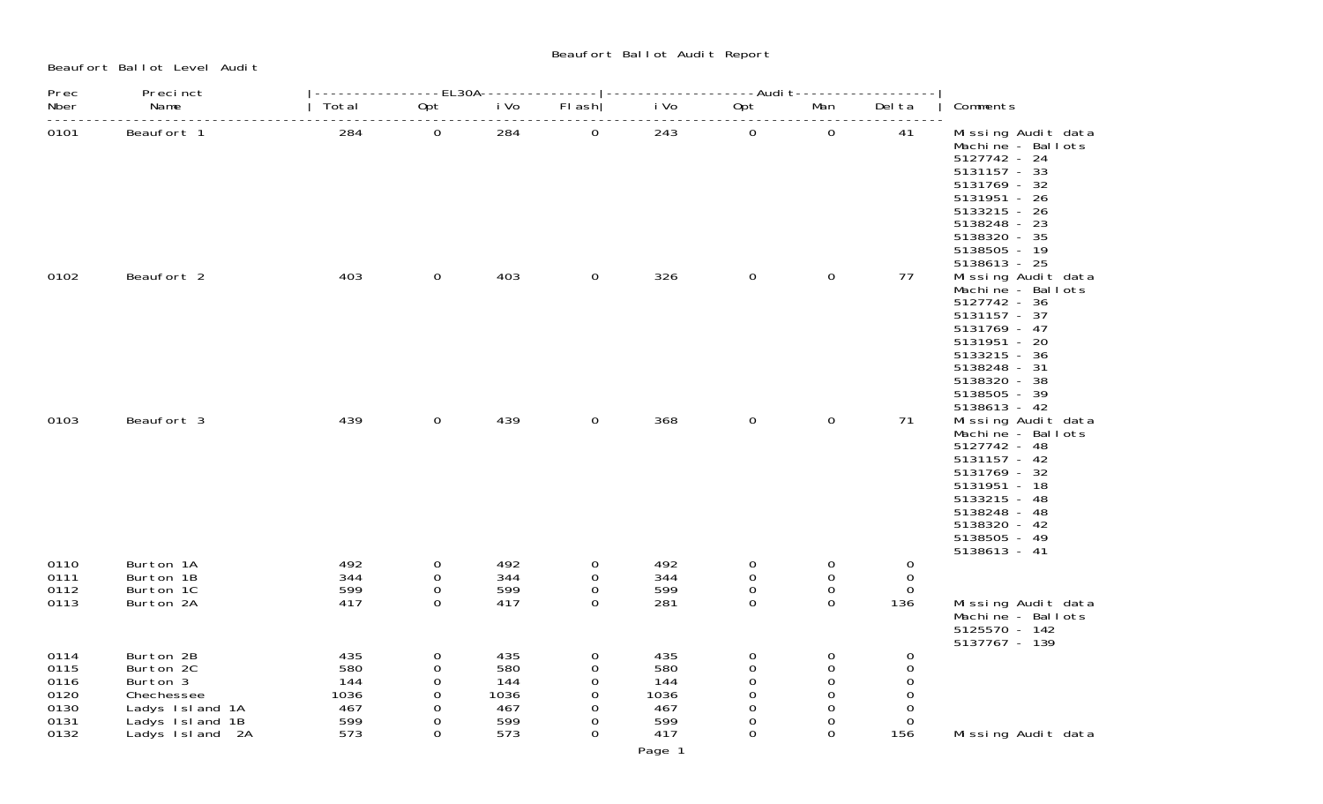Beaufort Ballot Level Audit

Beaufort Ballot Audit Report

| Prec                                                 | Precinct                                                                                                  |                                                | ----EL30A-                                                               |                                                | --------------                                             | -------------------Audit-                      |                                                         | ------                                                                                  |                                                                  |                                                                                                                                                                                         |
|------------------------------------------------------|-----------------------------------------------------------------------------------------------------------|------------------------------------------------|--------------------------------------------------------------------------|------------------------------------------------|------------------------------------------------------------|------------------------------------------------|---------------------------------------------------------|-----------------------------------------------------------------------------------------|------------------------------------------------------------------|-----------------------------------------------------------------------------------------------------------------------------------------------------------------------------------------|
| Nber                                                 | Name                                                                                                      | Total                                          | Opt                                                                      | i Vo                                           | $FI$ ash                                                   | i Vo                                           | Opt                                                     | Man                                                                                     | Del ta                                                           | Comments                                                                                                                                                                                |
| 0101                                                 | Beaufort 1                                                                                                | 284                                            | $\overline{O}$                                                           | 284                                            | $\mathbf 0$                                                | 243                                            | $\overline{0}$                                          | $\mathbf 0$                                                                             | 41                                                               | Missing Audit data<br>Machine - Ballots<br>5127742 - 24<br>5131157 - 33<br>5131769 - 32<br>5131951 - 26<br>5133215 - 26<br>5138248 - 23<br>5138320 - 35<br>5138505 - 19<br>5138613 - 25 |
| 0102                                                 | Beaufort 2                                                                                                | 403                                            | $\mathbf 0$                                                              | 403                                            | $\mathbf 0$                                                | 326                                            | $\mathbf 0$                                             | $\mathbf 0$                                                                             | 77                                                               | Missing Audit data<br>Machine - Ballots<br>5127742 - 36<br>5131157 - 37<br>5131769 - 47<br>5131951 - 20<br>5133215 - 36<br>5138248 - 31<br>5138320 - 38<br>5138505 - 39<br>5138613 - 42 |
| 0103                                                 | Beaufort 3                                                                                                | 439                                            | $\mathbf 0$                                                              | 439                                            | $\mathbf 0$                                                | 368                                            | $\mathbf 0$                                             | $\mathsf{O}\xspace$                                                                     | 71                                                               | Missing Audit data<br>Machine - Ballots<br>5127742 - 48<br>5131157 - 42<br>5131769 - 32<br>5131951 - 18<br>5133215 - 48<br>5138248 - 48<br>5138320 - 42<br>5138505 - 49<br>5138613 - 41 |
| 0110<br>0111<br>0112<br>0113                         | Burton 1A<br>Burton 1B<br>Burton 1C<br>Burton 2A                                                          | 492<br>344<br>599<br>417                       | 0<br>0<br>$\mathbf 0$<br>$\mathbf{O}$                                    | 492<br>344<br>599<br>417                       | $\overline{0}$<br>0<br>0<br>$\Omega$                       | 492<br>344<br>599<br>281                       | $\overline{0}$<br>0<br>0<br>0                           | $\mathbf 0$<br>0<br>$\mathbf 0$<br>$\overline{0}$                                       | $\mathbf 0$<br>$\overline{0}$<br>$\Omega$<br>136                 | Missing Audit data<br>Machine - Ballots                                                                                                                                                 |
| 0114<br>0115<br>0116<br>0120<br>0130<br>0131<br>0132 | Burton 2B<br>Burton 2C<br>Burton 3<br>Chechessee<br>Ladys Island 1A<br>Ladys Island 1B<br>Ladys Island 2A | 435<br>580<br>144<br>1036<br>467<br>599<br>573 | $\mathbf 0$<br>$\mathbf 0$<br>$\mathbf 0$<br>0<br>0<br>0<br>$\mathbf{O}$ | 435<br>580<br>144<br>1036<br>467<br>599<br>573 | 0<br>0<br>$\mathbf 0$<br>$\Omega$<br>0<br>0<br>$\mathbf 0$ | 435<br>580<br>144<br>1036<br>467<br>599<br>417 | 0<br>$\Omega$<br>0<br>$\Omega$<br>0<br>0<br>$\mathbf 0$ | $\mathbf 0$<br>$\Omega$<br>$\Omega$<br>$\Omega$<br>$\Omega$<br>$\Omega$<br>$\mathbf{O}$ | 0<br>$\mathbf 0$<br>0<br>$\Omega$<br>$\Omega$<br>$\Omega$<br>156 | 5125570 - 142<br>5137767 - 139<br>Missing Audit data                                                                                                                                    |

Page 1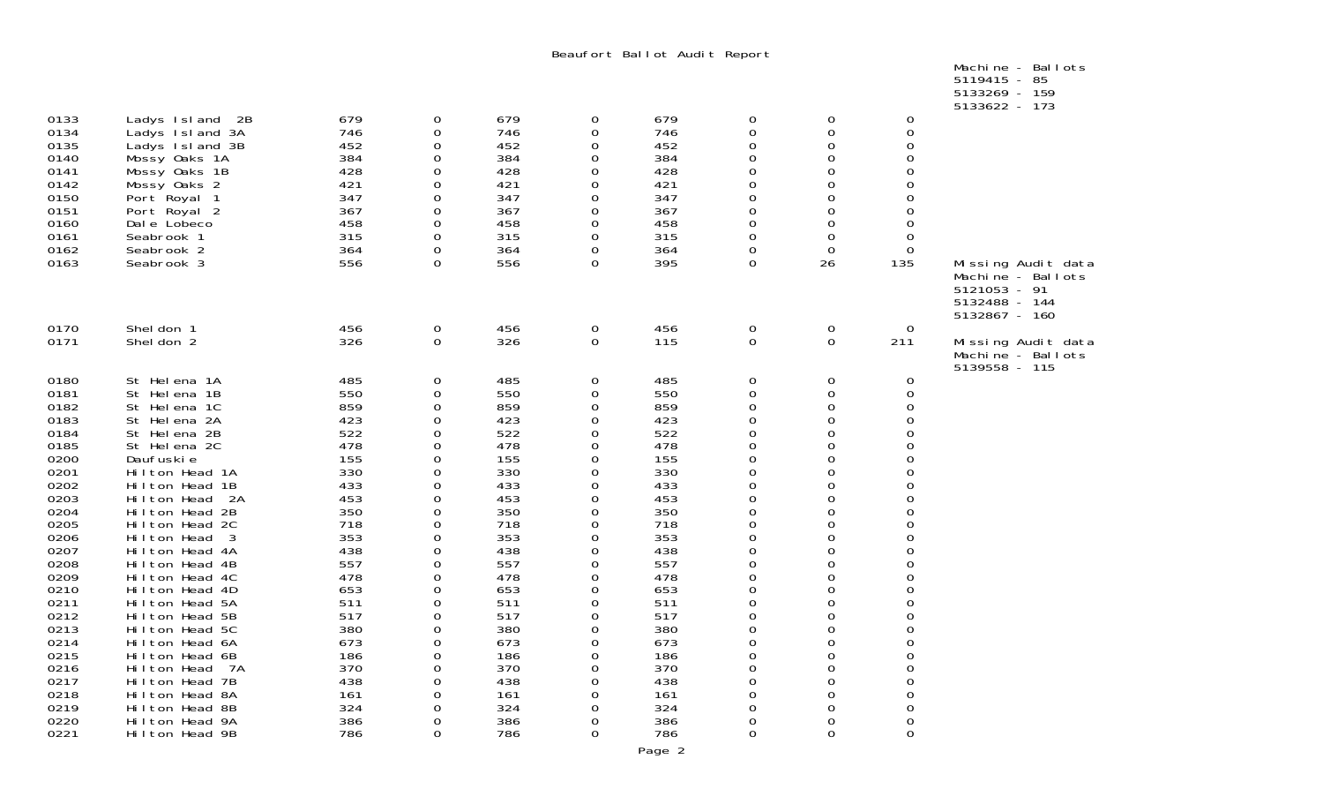Beaufort Ballot Audit Report

|  | Machine - Ballots |  |
|--|-------------------|--|
|  | 5119415 - 85      |  |
|  | 5133269 - 159     |  |
|  | $5122622$ 172     |  |

|                                                                                                                                                                                                                              |                                                                                                                                                                                                                                                                                                                                                                                                                                                                                                             |                                                                                                                                                                                                  |                                                                                                                                          |                                                                                                                                                                                                  |                                                                    |                                                                                                                                                                                                  |                                                                                                                                          |                                                                                                                                                        |                                                                                                                                                    | 5133622 - 173                                                                             |
|------------------------------------------------------------------------------------------------------------------------------------------------------------------------------------------------------------------------------|-------------------------------------------------------------------------------------------------------------------------------------------------------------------------------------------------------------------------------------------------------------------------------------------------------------------------------------------------------------------------------------------------------------------------------------------------------------------------------------------------------------|--------------------------------------------------------------------------------------------------------------------------------------------------------------------------------------------------|------------------------------------------------------------------------------------------------------------------------------------------|--------------------------------------------------------------------------------------------------------------------------------------------------------------------------------------------------|--------------------------------------------------------------------|--------------------------------------------------------------------------------------------------------------------------------------------------------------------------------------------------|------------------------------------------------------------------------------------------------------------------------------------------|--------------------------------------------------------------------------------------------------------------------------------------------------------|----------------------------------------------------------------------------------------------------------------------------------------------------|-------------------------------------------------------------------------------------------|
| 0133<br>0134<br>0135<br>0140<br>0141<br>0142<br>0150<br>0151<br>0160<br>0161<br>0162<br>0163                                                                                                                                 | Ladys Island 2B<br>Ladys Island 3A<br>Ladys Island 3B<br>Mossy Oaks 1A<br>Mossy Oaks 1B<br>Mossy Oaks 2<br>Port Royal 1<br>Port Royal 2<br>Dale Lobeco<br>Seabrook 1<br>Seabrook 2<br>Seabrook 3                                                                                                                                                                                                                                                                                                            | 679<br>746<br>452<br>384<br>428<br>421<br>347<br>367<br>458<br>315<br>364<br>556                                                                                                                 | 0<br>0<br>0<br>0<br>0<br>0<br>0<br>0<br>0<br>0<br>0<br>0                                                                                 | 679<br>746<br>452<br>384<br>428<br>421<br>347<br>367<br>458<br>315<br>364<br>556                                                                                                                 | 0<br>0<br>0<br>0<br>Ω<br>O<br>Ω<br>0<br>0<br>O<br>0                | 679<br>746<br>452<br>384<br>428<br>421<br>347<br>367<br>458<br>315<br>364<br>395                                                                                                                 | 0<br>0<br>0<br>0<br>0<br>O<br>0<br>0<br>0<br>0<br>0<br>0                                                                                 | 0<br>0<br>0<br>0<br>0<br>0<br>0<br>0<br>0<br>0<br>0<br>26                                                                                              | 0<br>0<br>0<br>0<br>0<br>0<br>0<br>0<br>0<br>0<br>0<br>135                                                                                         | Missing Audit data<br>Machine - Ballots<br>5121053 - 91<br>5132488 - 144<br>5132867 - 160 |
| 0170<br>0171                                                                                                                                                                                                                 | Shel don 1<br>Shel don 2                                                                                                                                                                                                                                                                                                                                                                                                                                                                                    | 456<br>326                                                                                                                                                                                       | 0<br>0                                                                                                                                   | 456<br>326                                                                                                                                                                                       | 0<br>0                                                             | 456<br>115                                                                                                                                                                                       | 0<br>0                                                                                                                                   | 0<br>0                                                                                                                                                 | $\mathbf 0$<br>211                                                                                                                                 | Missing Audit data<br>Machine - Ballots<br>5139558 - 115                                  |
| 0180<br>0181<br>0182<br>0183<br>0184<br>0185<br>0200<br>0201<br>0202<br>0203<br>0204<br>0205<br>0206<br>0207<br>0208<br>0209<br>0210<br>0211<br>0212<br>0213<br>0214<br>0215<br>0216<br>0217<br>0218<br>0219<br>0220<br>0221 | St Helena 1A<br>St Helena 1B<br>St Helena 1C<br>St Helena 2A<br>St Helena 2B<br>St Helena 2C<br>Daufuski e<br>Hilton Head 1A<br>Hilton Head 1B<br>Hilton Head 2A<br>Hilton Head 2B<br>Hilton Head 2C<br>Hilton Head<br>- 3<br>Hilton Head 4A<br>Hilton Head 4B<br>Hilton Head 4C<br>Hilton Head 4D<br>Hilton Head 5A<br>Hilton Head 5B<br>Hilton Head 5C<br>Hilton Head 6A<br>Hilton Head 6B<br>Hilton Head<br>7A<br>Hilton Head 7B<br>Hilton Head 8A<br>Hilton Head 8B<br>Hilton Head 9A<br>Hilton Head 9B | 485<br>550<br>859<br>423<br>522<br>478<br>155<br>330<br>433<br>453<br>350<br>718<br>353<br>438<br>557<br>478<br>653<br>511<br>517<br>380<br>673<br>186<br>370<br>438<br>161<br>324<br>386<br>786 | 0<br>0<br>0<br>0<br>0<br>0<br>0<br>0<br>0<br>0<br>0<br>0<br>0<br>0<br>0<br>0<br>0<br>0<br>0<br>0<br>0<br>0<br>0<br>0<br>0<br>0<br>0<br>0 | 485<br>550<br>859<br>423<br>522<br>478<br>155<br>330<br>433<br>453<br>350<br>718<br>353<br>438<br>557<br>478<br>653<br>511<br>517<br>380<br>673<br>186<br>370<br>438<br>161<br>324<br>386<br>786 | 0<br>0<br>O<br>0<br>∩<br>∩<br>O<br>0<br>O<br>Ω<br>Ω<br>O<br>0<br>0 | 485<br>550<br>859<br>423<br>522<br>478<br>155<br>330<br>433<br>453<br>350<br>718<br>353<br>438<br>557<br>478<br>653<br>511<br>517<br>380<br>673<br>186<br>370<br>438<br>161<br>324<br>386<br>786 | 0<br>0<br>0<br>0<br>0<br>0<br>0<br>0<br>0<br>0<br>0<br>0<br>0<br>0<br>0<br>0<br>0<br>0<br>0<br>0<br>0<br>0<br>0<br>0<br>0<br>0<br>0<br>0 | 0<br>0<br>0<br>0<br>0<br>0<br>0<br>0<br>0<br>0<br>$\Omega$<br>0<br>0<br>0<br>0<br>0<br>0<br>0<br>0<br>0<br>0<br>0<br>0<br>0<br>0<br>0<br>0<br>$\Omega$ | $\mathbf 0$<br>0<br>0<br>0<br>0<br>0<br>0<br>0<br>0<br>0<br>0<br>0<br>0<br>0<br>0<br>0<br>0<br>0<br>0<br>0<br>0<br>0<br>0<br>0<br>0<br>0<br>0<br>0 |                                                                                           |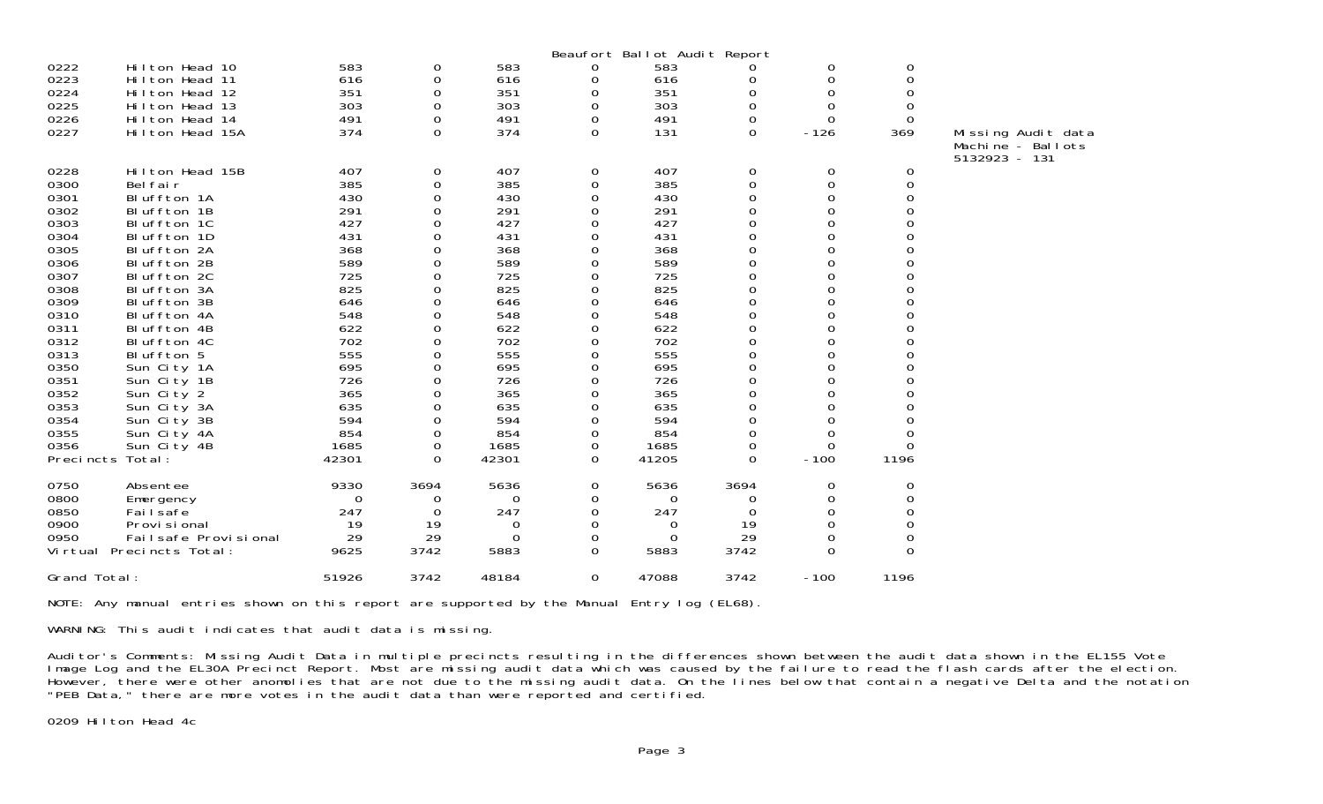|                                                                                                                      |                                                                                                                                                                                                                               |                                                                                                       |                                                                                          |                                                                                                       |                                                                                        | Beaufort Ballot Audit Report                                                                          |                                                                         |                                                                                                            |                                                  |                                                          |
|----------------------------------------------------------------------------------------------------------------------|-------------------------------------------------------------------------------------------------------------------------------------------------------------------------------------------------------------------------------|-------------------------------------------------------------------------------------------------------|------------------------------------------------------------------------------------------|-------------------------------------------------------------------------------------------------------|----------------------------------------------------------------------------------------|-------------------------------------------------------------------------------------------------------|-------------------------------------------------------------------------|------------------------------------------------------------------------------------------------------------|--------------------------------------------------|----------------------------------------------------------|
| 0222<br>0223<br>0224<br>0225<br>0226                                                                                 | Hilton Head 10<br>Hilton Head 11<br>Hilton Head 12<br>Hilton Head 13<br>Hilton Head 14                                                                                                                                        | 583<br>616<br>351<br>303<br>491                                                                       | 0<br>0<br>0<br>0<br>0                                                                    | 583<br>616<br>351<br>303<br>491                                                                       | 0<br>0<br>0<br>0<br>$\boldsymbol{0}$                                                   | 583<br>616<br>351<br>303<br>491                                                                       | 0<br>0<br>0<br>0<br>0                                                   | 0<br>$\Omega$<br>0<br>0<br>0                                                                               | 0<br>$\Omega$<br>0<br>0                          |                                                          |
| 0227                                                                                                                 | Hilton Head 15A                                                                                                                                                                                                               | 374                                                                                                   | $\Omega$                                                                                 | 374                                                                                                   | $\Omega$                                                                               | 131                                                                                                   | $\Omega$                                                                | $-126$                                                                                                     | 369                                              | Missing Audit data<br>Machine - Ballots<br>5132923 - 131 |
| 0228<br>0300<br>0301<br>0302<br>0303<br>0304<br>0305<br>0306<br>0307<br>0308<br>0309<br>0310<br>0311<br>0312<br>0313 | Hilton Head 15B<br>Bel fair<br>Bluffton 1A<br>Bluffton 1B<br>Bluffton 1C<br>Bluffton 1D<br>Bluffton 2A<br>Bluffton 2B<br>Bluffton 2C<br>Bluffton 3A<br>Bluffton 3B<br>Bluffton 4A<br>Bluffton 4B<br>Bluffton 4C<br>Bluffton 5 | 407<br>385<br>430<br>291<br>427<br>431<br>368<br>589<br>725<br>825<br>646<br>548<br>622<br>702<br>555 | 0<br>$\mathbf 0$<br>0<br>0<br>0<br>$\Omega$<br>0<br>0<br>0<br>0<br>O<br>0<br>0<br>0<br>0 | 407<br>385<br>430<br>291<br>427<br>431<br>368<br>589<br>725<br>825<br>646<br>548<br>622<br>702<br>555 | 0<br>$\boldsymbol{0}$<br>0<br>0<br>0<br>0<br>0<br>0<br>0<br>0<br>0<br>0<br>0<br>0<br>0 | 407<br>385<br>430<br>291<br>427<br>431<br>368<br>589<br>725<br>825<br>646<br>548<br>622<br>702<br>555 | 0<br>0<br>0<br>0<br>0<br>0<br>0<br>0<br>0<br>0<br>0<br>0<br>0<br>0<br>0 | 0<br>0<br>0<br>$\Omega$<br>$\Omega$<br>0<br>0<br>0<br>0<br>$\Omega$<br>$\Omega$<br>0<br>0<br>$\Omega$<br>0 | 0<br>$\boldsymbol{0}$<br>0<br>O<br>$\Omega$<br>0 |                                                          |
| 0350<br>0351<br>0352<br>0353<br>0354<br>0355<br>0356<br>Precincts Total:                                             | Sun City 1A<br>Sun City 1B<br>Sun City 2<br>Sun City 3A<br>Sun City 3B<br>Sun City 4A<br>Sun City 4B                                                                                                                          | 695<br>726<br>365<br>635<br>594<br>854<br>1685<br>42301                                               | 0<br>0<br>0<br>0<br>0<br>$\Omega$<br>0<br>$\Omega$                                       | 695<br>726<br>365<br>635<br>594<br>854<br>1685<br>42301                                               | 0<br>0<br>0<br>0<br>0<br>0<br>0<br>0                                                   | 695<br>726<br>365<br>635<br>594<br>854<br>1685<br>41205                                               | 0<br>0<br>0<br>0<br>0<br>0<br>0<br>$\Omega$                             | $\Omega$<br>0<br>0<br>$\Omega$<br>$\Omega$<br>$-100$                                                       | $\Omega$<br>O<br>$\Omega$<br>1196                |                                                          |
| 0750<br>0800<br>0850<br>0900<br>0950                                                                                 | Absentee<br>Emergency<br>Fai I safe<br>Provi si onal<br>Failsafe Provisional<br>Virtual Precincts Total:                                                                                                                      | 9330<br>0<br>247<br>19<br>29<br>9625                                                                  | 3694<br>0<br>0<br>19<br>29<br>3742                                                       | 5636<br>$\Omega$<br>247<br>$\Omega$<br>0<br>5883                                                      | 0<br>0<br>0<br>0<br>0<br>0                                                             | 5636<br>0<br>247<br>0<br>$\Omega$<br>5883                                                             | 3694<br>0<br>0<br>19<br>29<br>3742                                      | 0<br>O<br>$\Omega$<br>$\Omega$<br>0<br>0                                                                   | 0<br>0<br>$\Omega$<br>$\Omega$<br>0<br>$\Omega$  |                                                          |
| Grand Total:                                                                                                         |                                                                                                                                                                                                                               | 51926                                                                                                 | 3742                                                                                     | 48184                                                                                                 | 0                                                                                      | 47088                                                                                                 | 3742                                                                    | $-100$                                                                                                     | 1196                                             |                                                          |

NOTE: Any manual entries shown on this report are supported by the Manual Entry log (EL68).

WARNING: This audit indicates that audit data is missing.

Auditor's Comments: Missing Audit Data in multiple precincts resulting in the differences shown between the audit data shown in the EL155 Vote Image Log and the EL30A Precinct Report. Most are missing audit data which was caused by the failure to read the flash cards after the election. However, there were other anomolies that are not due to the missing audit data. On the lines below that contain a negative Delta and the notation "PEB Data," there are more votes in the audit data than were reported and certified.

0209 Hilton Head 4c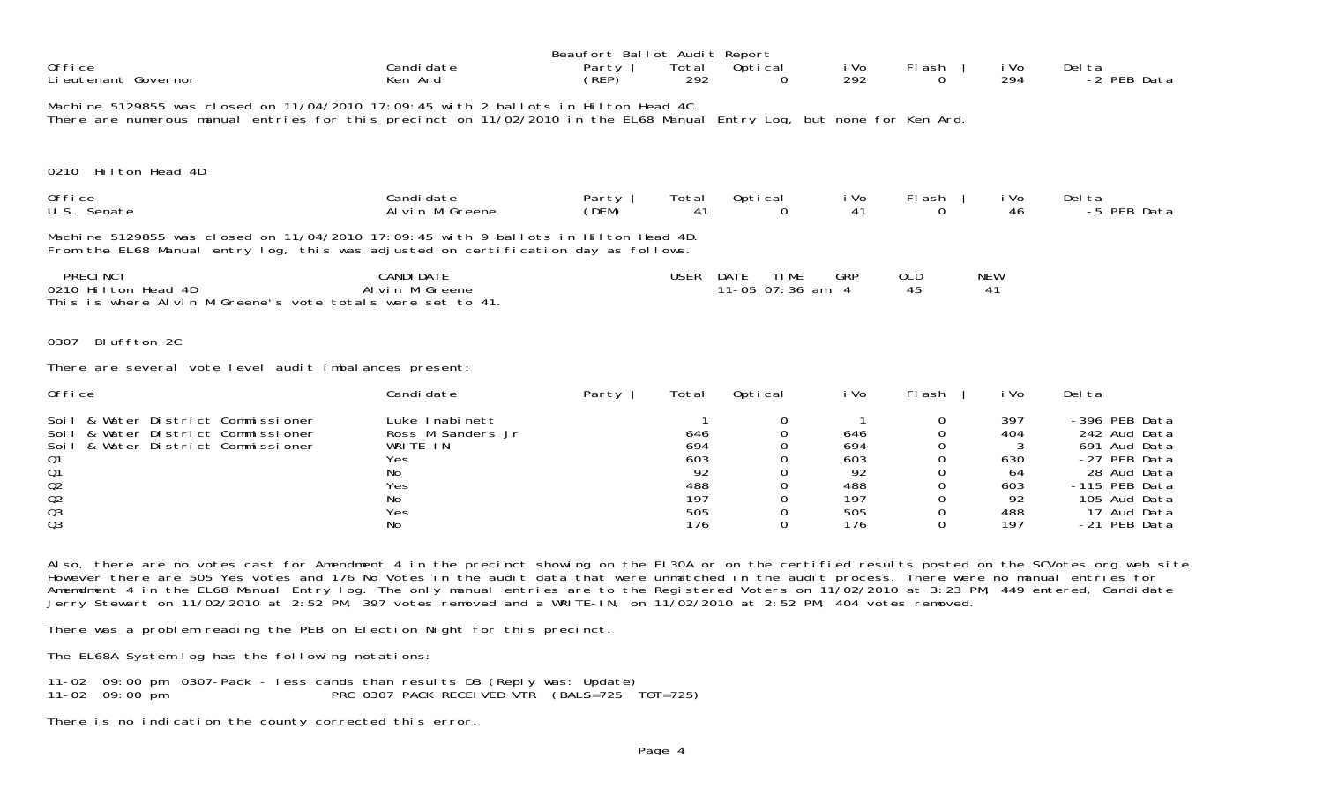| Office<br>Li eutenant Governor                                                                                                                                                                               | Candi date<br>Ken Ard                                                            | Beaufort Ballot Audit Report<br>Party<br>(REP) | Total<br>292                                 | Optical<br>0                              | i Vo<br>292                                        | Flash                      | i Vo<br>294                                      | Del ta<br>-2 PEB Data                                                                                                        |
|--------------------------------------------------------------------------------------------------------------------------------------------------------------------------------------------------------------|----------------------------------------------------------------------------------|------------------------------------------------|----------------------------------------------|-------------------------------------------|----------------------------------------------------|----------------------------|--------------------------------------------------|------------------------------------------------------------------------------------------------------------------------------|
| Machine 5129855 was closed on 11/04/2010 17:09:45 with 2 ballots in Hilton Head 4C.<br>There are numerous manual entries for this precinct on 11/02/2010 in the EL68 Manual Entry Log, but none for Ken Ard. |                                                                                  |                                                |                                              |                                           |                                                    |                            |                                                  |                                                                                                                              |
| 0210 Hilton Head 4D                                                                                                                                                                                          |                                                                                  |                                                |                                              |                                           |                                                    |                            |                                                  |                                                                                                                              |
| Office<br>U.S. Senate                                                                                                                                                                                        | Candi date<br>Al vin M Greene                                                    | Party<br>(DEM)                                 | Total<br>41                                  | Optical<br>$\Omega$                       | i Vo<br>41                                         | FI ash                     | i Vo<br>46                                       | Del ta<br>-5 PEB Data                                                                                                        |
| Machine 5129855 was closed on 11/04/2010 17:09:45 with 9 ballots in Hilton Head 4D.<br>From the EL68 Manual entry log, this was adjusted on certification day as follows.                                    |                                                                                  |                                                |                                              |                                           |                                                    |                            |                                                  |                                                                                                                              |
| <b>PRECINCT</b><br>0210 Hilton Head 4D<br>This is where Alvin M Greene's vote totals were set to 41.                                                                                                         | <b>CANDI DATE</b><br>Al vin M Greene                                             |                                                | <b>USER</b>                                  | DATE<br><b>TIME</b><br>11-05 07:36 am $4$ | <b>GRP</b>                                         | 0LD<br>45                  | <b>NEW</b><br>41                                 |                                                                                                                              |
| Bluffton 2C<br>0307                                                                                                                                                                                          |                                                                                  |                                                |                                              |                                           |                                                    |                            |                                                  |                                                                                                                              |
| There are several vote level audit imbalances present:                                                                                                                                                       |                                                                                  |                                                |                                              |                                           |                                                    |                            |                                                  |                                                                                                                              |
| Office                                                                                                                                                                                                       | Candi date                                                                       | Party                                          | Total                                        | Optical                                   | i Vo                                               | Flash                      | i Vo                                             | Del ta                                                                                                                       |
| Soil & Water District Commissioner<br>Soil & Water District Commissioner<br>& Water District Commissioner<br>Soi I<br>Q1<br>Q <sub>1</sub><br>Q <sub>2</sub><br>Q <sub>2</sub><br>Q <sub>3</sub>             | Luke Inabinett<br>Ross M Sanders Jr<br>WRITE-IN<br>Yes<br>No<br>Yes<br>No<br>Yes |                                                | 646<br>694<br>603<br>92<br>488<br>197<br>505 | 0<br>0<br>0<br>0<br>0<br>0<br>0           | -1<br>646<br>694<br>603<br>92<br>488<br>197<br>505 | 0<br>0<br>0<br>0<br>0<br>0 | 397<br>404<br>3<br>630<br>64<br>603<br>92<br>488 | -396 PEB Data<br>242 Aud Data<br>691 Aud Data<br>-27 PEB Data<br>28 Aud Data<br>-115 PEB Data<br>105 Aud Data<br>17 Aud Data |

Also, there are no votes cast for Amendment 4 in the precinct showing on the EL30A or on the certified results posted on the SCVotes.org web site. However there are 505 Yes votes and 176 No Votes in the audit data that were unmatched in the audit process. There were no manual entries for Amemdment 4 in the EL68 Manual Entry log. The only manual entries are to the Registered Voters on 11/02/2010 at 3:23 PM, 449 entered, Candidate Jerry Stewart on 11/02/2010 at 2:52 PM, 397 votes removed and a WRITE-IN, on 11/02/2010 at 2:52 PM, 404 votes removed.

There was a problem reading the PEB on Election Night for this precinct.

The EL68A System log has the following notations:

11-02 09:00 pm 0307-Pack - less cands than results DB (Reply was: Update) 11-02 09:00 pm PRC 0307 PACK RECEIVED VTR (BALS=725 TOT=725)

There is no indication the county corrected this error.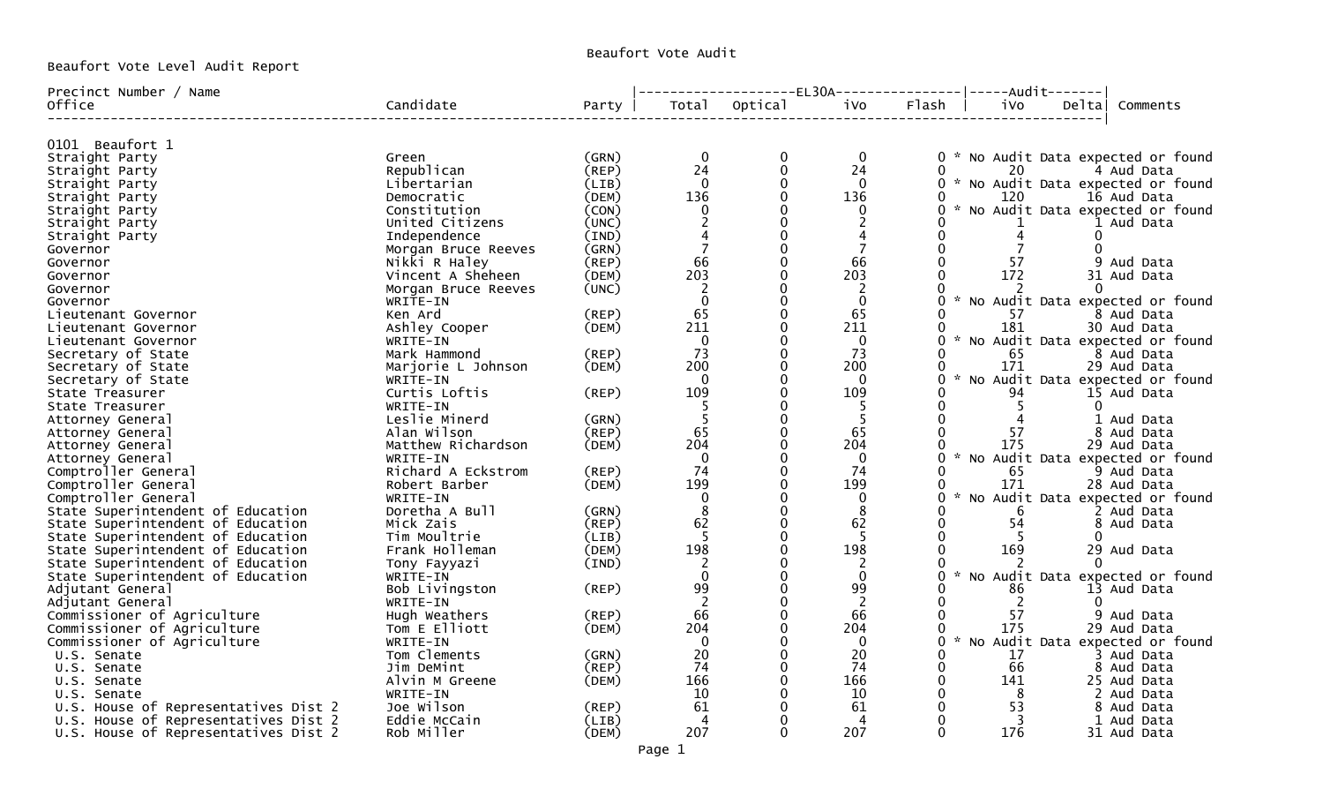Beaufort Vote Level Audit Report

## Beaufort Vote Audit

| Precinct Number / Name               |                     |       |                |         | $----EL30A---$ | $---Aud$ i t-------              |                                   |
|--------------------------------------|---------------------|-------|----------------|---------|----------------|----------------------------------|-----------------------------------|
| Office                               | Candidate           | Party | Total          | Optical | iVo            | Flash<br>1 Vo                    | Deltal<br>Comments                |
|                                      |                     |       |                |         |                |                                  |                                   |
| 0101 Beaufort 1                      |                     |       |                |         |                |                                  |                                   |
| Straight Party                       | Green               | (GRN) | $\mathbf 0$    | 0       | 0              | 0                                | * No Audit Data expected or found |
| Straight Party                       | Republican          | (REP) | 24             |         | 24             | 20                               | 4 Aud Data                        |
| Straight Party                       | Libertarian         | (LIB) | $\Omega$       |         | $\mathbf{0}$   | 0                                | * No Audit Data expected or found |
| Straight Party                       | Democratic          | (DEM) | 136            |         | 136            | 120                              | 16 Aud Data                       |
| Straight Party                       | Constitution        | (CON) | 0              |         | 0              | 0<br>$\sim$                      | No Audit Data expected or found   |
| Straight Party                       | United Citizens     | (UNC) |                |         | 2              |                                  | 1 Aud Data                        |
| Straight Party                       | Independence        | (IND) |                |         | 4              | ∩<br>4                           | 0                                 |
| Governor                             | Morgan Bruce Reeves | (GRN) |                |         | 7              | 0                                | U                                 |
| Governor                             | Nikki R Haley       | (REP) | 66             |         | 66             | -57                              | 9<br>Aud Data                     |
| Governor                             | Vincent A Sheheen   | (DEM) | 203            |         | 203            | 172<br>0                         | 31 Aud Data                       |
| Governor                             | Morgan Bruce Reeves | (UNC) | 2              |         | 2              |                                  | O                                 |
| Governor                             | WRITE-IN            |       | $\Omega$       |         | $\mathbf{0}$   | 0                                | No Audit Data expected or found   |
| Lieutenant Governor                  | Ken Ard             | (REP) | 65             |         | 65             | 57                               | 8 Aud Data                        |
| Lieutenant Governor                  | Ashley Cooper       | (DEM) | 211            |         | 211            | 181                              | 30 Aud Data                       |
| Lieutenant Governor                  | WRITE-IN            |       | $\mathbf{0}$   |         | $\mathbf{0}$   |                                  | No Audit Data expected or found   |
| Secretary of State                   | Mark Hammond        | (REP) | 73             |         | 73             | 65                               | 8 Aud Data                        |
| Secretary of State                   | Marjorie L Johnson  | (DEM) | 200            |         | 200            | 171                              | 29 Aud Data                       |
| Secretary of State                   | WRITE-IN            |       | $\mathbf{0}$   |         | $\Omega$       | 0                                | No Audit Data expected or found   |
| State Treasurer                      | Curtis Loftis       | (REP) | 109            |         | 109            | 94                               | 15 Aud Data                       |
| State Treasurer                      | WRITE-IN            |       |                |         | 5              | 5                                | 0                                 |
| Attorney General                     | Leslie Minerd       | (GRN) |                |         | -5             |                                  | 1 Aud Data                        |
| Attorney General                     | Alan Wilson         | (REP) | 65             |         | 65             | 57                               | 8 Aud Data                        |
| Attorney General                     | Matthew Richardson  | (DEM) | 204            |         | 204            | 175                              | 29 Aud Data                       |
| Attorney General                     | WRITE-IN            |       | $\mathbf 0$    |         | $\mathbf{0}$   | U                                | No Audit Data expected or found   |
| Comptroller General                  | Richard A Eckstrom  | (REP) | 74             |         | 74             | 65<br>∩                          | 9 Aud Data                        |
| Comptroller General                  | Robert Barber       | (DEM) | 199            |         | 199            | 171<br>O                         | 28 Aud Data                       |
| Comptroller General                  | WRITE-IN            |       | $\Omega$       |         | $\mathbf{0}$   | $\mathcal{H}^{\mathcal{A}}$<br>U | No Audit Data expected or found   |
| State Superintendent of Education    | Doretha A Bull      | (GRN) | 8              |         | 8              | 6                                | 2 Aud Data                        |
| State Superintendent of Education    | Mick Zais           | (REP) | 62             |         | 62             | 54<br>0                          | 8 Aud Data                        |
| State Superintendent of Education    | Tim Moultrie        | (LIB) |                |         | 5              |                                  | 0                                 |
| State Superintendent of Education    | Frank Holleman      | (DEM) | 198            |         | 198            | 169<br>0                         | 29 Aud Data                       |
| State Superintendent of Education    | Tony Fayyazi        | (IND) |                |         | 2              |                                  |                                   |
| State Superintendent of Education    | WRITE-IN            |       | $\Omega$       |         | $\Omega$       | 0                                | No Audit Data expected or found   |
| Adjutant General                     | Bob Livingston      | (REP) | 99             |         | 99             | 86                               | 13 Aud Data                       |
| Adjutant General                     | WRITE-IN            |       | $\overline{2}$ |         | 2              | $\overline{2}$                   |                                   |
| Commissioner of Agriculture          | Hugh Weathers       | (REP) | 66             |         | 66             | 57                               | 9 Aud Data                        |
| Commissioner of Agriculture          | Tom E Elliott       | (DEM) | 204            |         | 204            | 175                              | 29 Aud Data                       |
| Commissioner of Agriculture          | WRITE-IN            |       | $\Omega$       |         | $\Omega$       |                                  | No Audit Data expected or found   |
| U.S. Senate                          | Tom Clements        | (GRN) | 20             |         | 20             | 17<br>0                          | 3 Aud Data                        |
| U.S. Senate                          | Jim DeMint          | (REP) | 74             |         | 74             | 66<br>0                          | 8 Aud Data                        |
| U.S. Senate                          | Alvin M Greene      | (DEM) | 166            |         | 166            | 141                              | 25 Aud Data                       |
| U.S. Senate                          | WRITE-IN            |       | 10             |         | 10             | 0<br>8                           | 2 Aud Data                        |
| U.S. House of Representatives Dist 2 | Joe Wilson          | (REP) | 61             |         | 61             | 53                               | 8 Aud Data                        |
| U.S. House of Representatives Dist 2 | Eddie McCain        | (LIB) | 4              |         | 4              | 0<br>3                           | 1 Aud Data                        |
| U.S. House of Representatives Dist 2 | Rob Miller          | (DEM) | 207            |         | 207            | $\Omega$<br>176                  | 31 Aud Data                       |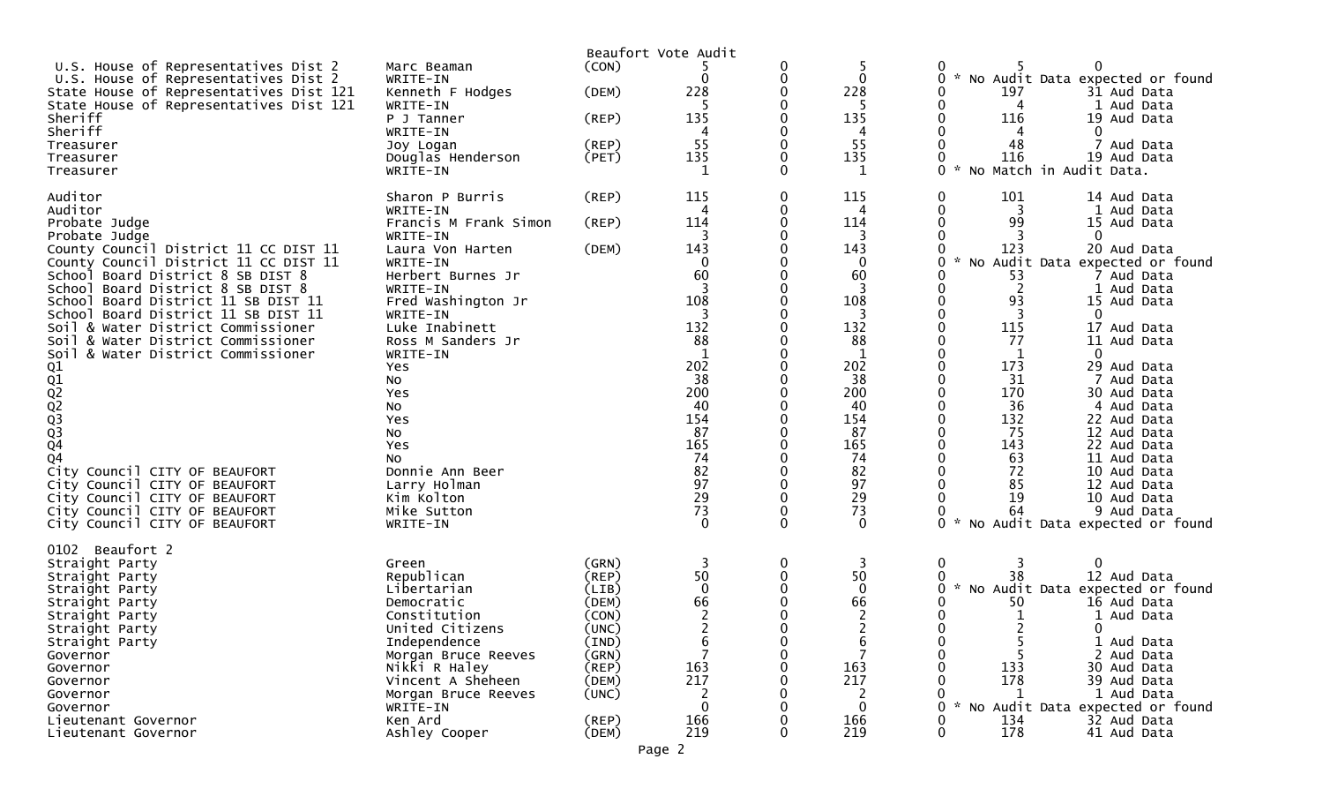|                                                                                    |                                      |                | Beaufort Vote Audit |               |                       |                                                                            |
|------------------------------------------------------------------------------------|--------------------------------------|----------------|---------------------|---------------|-----------------------|----------------------------------------------------------------------------|
| U.S. House of Representatives Dist 2<br>U.S. House of Representatives Dist 2       | Marc Beaman<br>WRITE-IN              | (CON)          |                     | 0             | 5<br>$\mathbf{0}$     | 0<br>0<br>* No Audit Data expected or found                                |
| State House of Representatives Dist 121<br>State House of Representatives Dist 121 | Kenneth F Hodges<br>WRITE-IN         | (DEM)          | 228                 |               | 228                   | 197<br>0<br>31 Aud Data<br>0<br>1 Aud Data<br>4                            |
| Sheriff<br>Sheriff                                                                 | P J Tanner                           | (REP)          | 135<br>4            |               | 135                   | 0<br>116<br>19 Aud Data<br>0                                               |
| Treasurer                                                                          | WRITE-IN<br>Joy Logan                | $($ REP $)$    | 55                  |               | 4<br>55               | 4<br>48<br>Aud Data                                                        |
| Treasurer<br>Treasurer                                                             | Douglas Henderson<br>WRITE-IN        | (PET)          | 135                 |               | 135                   | 116<br>19 Aud Data<br>0<br>No Match in Audit Data.                         |
| Auditor                                                                            | Sharon P Burris                      | $($ REP $)$    | 115                 | 0             | 115                   | 101<br>0<br>14 Aud Data                                                    |
| Auditor<br>Probate Judge                                                           | WRITE-IN<br>Francis M Frank Simon    | $($ REP $)$    | 114                 |               | 4<br>114              | 0<br>3<br>1 Aud Data<br>99<br>0<br>15 Aud Data                             |
| Probate Judge<br>County Council District 11 CC DIST 11                             | WRITE-IN<br>Laura Von Harten         | (DEM)          | 3<br>143            |               | $\overline{3}$<br>143 | 0<br>123<br>20 Aud Data                                                    |
| County Council District 11 CC DIST 11                                              | WRITE-IN                             |                | 0                   |               | $\mathbf 0$           | No Audit Data expected or found<br>0                                       |
| School Board District 8 SB DIST 8<br>School Board District 8 SB DIST 8             | Herbert Burnes Jr<br>WRITE-IN        |                | 60                  |               | 60<br>3               | 53<br>7 Aud Data<br>2<br>0<br>1 Aud Data                                   |
| School Board District 11 SB DIST 11                                                | Fred Washington Jr                   |                | 108                 |               | 108                   | 0<br>93<br>15 Aud Data                                                     |
| School Board District 11 SB DIST 11<br>Soil & Water District Commissioner          | WRITE-IN<br>Luke Inabinett           |                | 3<br>132            |               | 3<br>132              | 0<br>-3<br>0<br>115<br>17 Aud Data                                         |
| Soil & Water District Commissioner                                                 | Ross M Sanders Jr                    |                | 88                  |               | 88                    | 77<br>0<br>11 Aud Data                                                     |
| & Water District Commissioner<br>Soil                                              | WRITE-IN<br>Yes                      |                | 1<br>202            |               | $\mathbf 1$<br>202    | $\Omega$<br>1<br>173<br>O<br>29 Aud Data                                   |
|                                                                                    | No                                   |                | 38                  |               | 38                    | 31<br>0<br>7 Aud Data                                                      |
| Q1<br>Q2<br>Q2<br>Q3<br>Q3<br>Q4<br>Q4                                             | Yes<br>No                            |                | 200<br>40           |               | 200<br>40             | 170<br>30 Aud Data<br>36<br>4 Aud Data                                     |
|                                                                                    | Yes                                  |                | 154                 |               | 154                   | 132<br>22 Aud Data                                                         |
|                                                                                    | NO<br>Yes                            |                | 87<br>165           |               | 87<br>165             | 75<br>12 Aud Data<br>143<br>22 Aud Data<br>0                               |
|                                                                                    | NO.                                  |                | 74                  |               | 74                    | 63<br>11 Aud Data                                                          |
| City Council CITY OF BEAUFORT<br>City Council CITY OF BEAUFORT                     | Donnie Ann Beer<br>Larry Holman      |                | 82<br>97            |               | 82<br>97              | 72<br>10 Aud Data<br>85<br>12 Aud Data                                     |
| City Council CITY OF BEAUFORT                                                      | Kim Kolton                           |                | $\overline{29}$     |               | 29                    | 19<br>10 Aud Data                                                          |
| City Council CITY OF BEAUFORT<br>City Council CITY OF BEAUFORT                     | Mike Sutton<br>WRITE-IN              |                | 73<br>$\Omega$      | 0<br>$\Omega$ | 73<br>$\Omega$        | 64<br>9 Aud Data<br>No Audit Data expected or found<br>0                   |
| Beaufort 2<br>0102                                                                 |                                      |                |                     |               |                       |                                                                            |
| Straight Party                                                                     | Green                                | (GRN)          | 3                   | 0             | 3                     | 0<br>3<br>0                                                                |
| Straight Party<br>Straight Party                                                   | Republican<br>Libertarian            | (REP)<br>(LIB) | 50<br>$\mathbf{0}$  | 0             | 50<br>$\mathbf 0$     | 38<br>12 Aud Data<br>No Audit Data expected or found<br>$\mathcal{H}$<br>0 |
| Straight Party                                                                     | Democratic                           | (DEM)          | 66                  |               | 66                    | 50<br>16 Aud Data                                                          |
| Straight Party<br>Straight Party                                                   | Constitution<br>United Citizens      | (CON)<br>(UNC) | 2<br>2              |               | 2<br>2                | 1<br>Aud Data<br>1<br>2<br>0<br>0                                          |
| Straight Party                                                                     | Independence                         | (IND)          | 6<br>$\overline{7}$ |               | 6<br>$\overline{7}$   | 1 Aud Data<br>0                                                            |
| Governor<br>Governor                                                               | Morgan Bruce Reeves<br>Nikki R Haley | (GRN)<br>(REP) | 163                 | 0             | 163                   | 2 Aud Data<br>0<br>133<br>30 Aud Data                                      |
| Governor                                                                           | Vincent A Sheheen                    | (DEM)          | 217                 |               | 217                   | 178<br>39 Aud Data                                                         |
| Governor<br>Governor                                                               | Morgan Bruce Reeves<br>WRITE-IN      | (UNC)          | $\overline{2}$<br>0 |               | 2<br>$\mathbf 0$      | 1 Aud Data<br>No Audit Data expected or found<br>0                         |
| Lieutenant Governor                                                                | Ken Ard                              | $($ REP $)$    | 166                 |               | 166                   | 134<br>32 Aud Data                                                         |
| Lieutenant Governor                                                                | Ashley Cooper                        | (DEM)          | 219                 | 0             | 219                   | 178<br>0<br>41 Aud Data                                                    |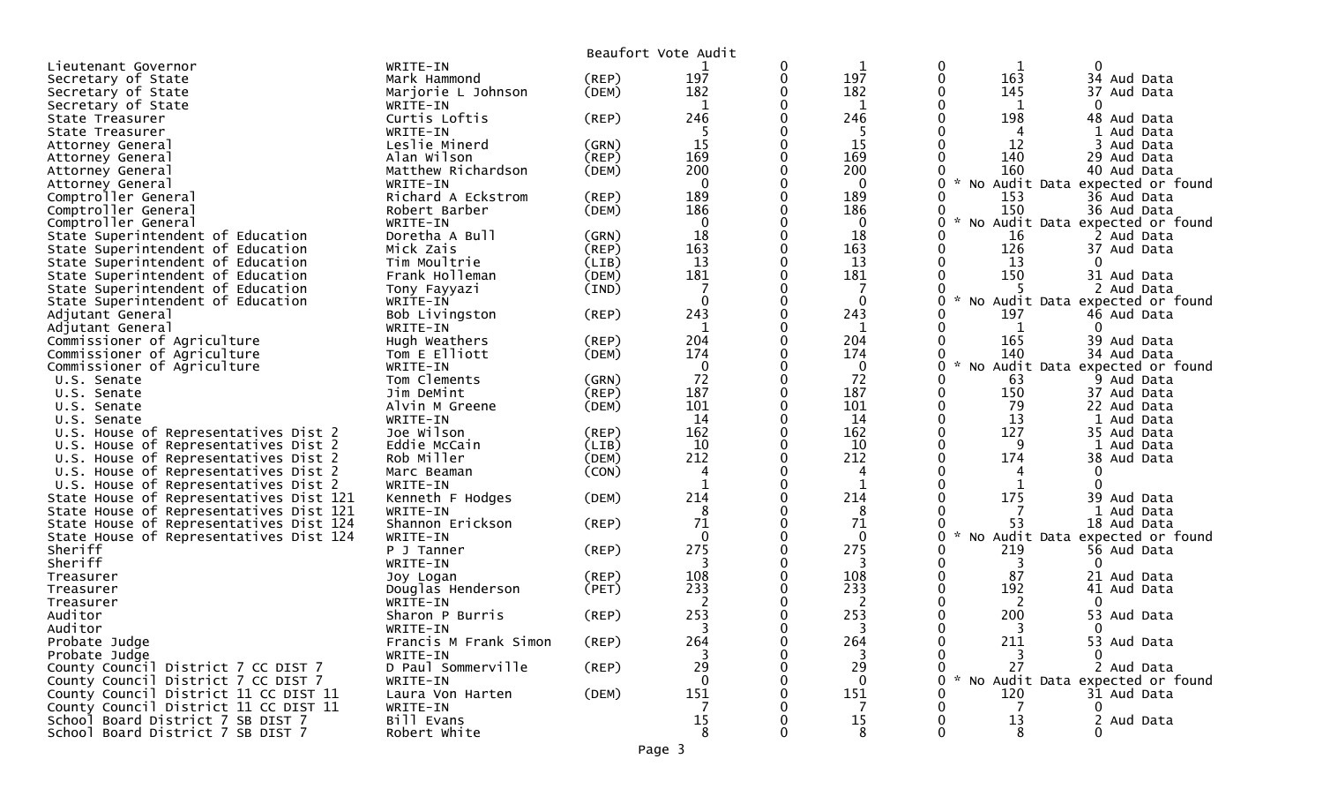|                                         |                       |             | Beaufort Vote Audit |              |              |   |                          |                                 |
|-----------------------------------------|-----------------------|-------------|---------------------|--------------|--------------|---|--------------------------|---------------------------------|
| Lieutenant Governor                     | WRITE-IN              |             |                     | 0            | 1            |   | 0                        | 0                               |
| Secretary of State                      | Mark Hammond          | (REP)       | 197                 | 0            | 197          |   | 0<br>163                 | 34 Aud Data                     |
| Secretary of State                      | Marjorie L Johnson    | (DEM)       | 182                 | 0            | 182          |   | 145                      | 37 Aud Data                     |
| Secretary of State                      | WRITE-IN              |             | 1                   | O            | 1            |   | $\mathbf{0}$<br>1        | $\mathbf{0}$                    |
| State Treasurer                         | Curtis Loftis         | (REP)       | 246                 |              | 246          |   | 198                      | 48 Aud Data                     |
| State Treasurer                         | WRITE-IN              |             | -5                  |              | 5            |   |                          | 1 Aud Data                      |
| Attorney General                        | Leslie Minerd         | (GRN)       | 15                  | $\Omega$     | 15           |   | 12                       | 3 Aud Data                      |
| Attorney General                        | Alan Wilson           | (REP)       | 169                 | 0            | 169          |   | 140                      | 29 Aud Data                     |
| Attorney General                        | Matthew Richardson    | (DEM)       | 200                 |              | 200          |   | 160                      | 40 Aud Data                     |
| Attorney General                        | WRITE-IN              |             | $\mathbf 0$         | ∩            | $\mathbf{0}$ |   | <b>NO</b>                | Audit Data expected or found    |
| Comptroller General                     | Richard A Eckstrom    | (REP)       | 189                 | $\mathbf{0}$ | 189          |   | 153<br>0                 | 36 Aud Data                     |
| Comptroller General                     | Robert Barber         | (DEM)       | 186                 |              | 186          |   | 150<br>0                 | 36 Aud Data                     |
| Comptroller General                     | WRITE-IN              |             | $\mathbf{0}$        | $\Omega$     | $\mathbf{0}$ |   | NO.                      | Audit Data expected or found    |
| State Superintendent of Education       | Doretha A Bull        | (GRN)       | 18                  | $\mathbf{0}$ | 18           |   | 16<br>0                  | 2 Aud Data                      |
| State Superintendent of Education       | Mick Zais             | (REP)       | 163                 | $\Omega$     | 163          |   | 0<br>126                 | 37 Aud Data                     |
| State Superintendent of Education       | Tim Moultrie          | (LIB)       | 13                  | 0            | 13           |   | 13                       | 0                               |
| State Superintendent of Education       | Frank Holleman        | (DEM)       | 181                 | 0            | 181          |   | 150                      | 31 Aud Data                     |
| State Superintendent of Education       | Tony Fayyazi          | (IND)       |                     |              |              |   |                          | 2 Aud Data                      |
| State Superintendent of Education       | WRITE-IN              |             | $\mathbf 0$         | $\Omega$     | $\Omega$     |   | $\sim$<br>No.            | Audit Data expected or found    |
| Adjutant General                        | Bob Livingston        | (REP)       | 243                 | 0            | 243          |   | 197                      | 46 Aud Data                     |
| Adjutant General                        | WRITE-IN              |             | 1                   |              | 1            |   | 1                        | $\Omega$                        |
| Commissioner of Agriculture             | Hugh Weathers         | $($ REP $)$ | 204                 | $\Omega$     | 204          |   | 165<br>0                 | 39 Aud Data                     |
| Commissioner of Agriculture             | Tom E Elliott         | (DEM)       | 174                 | 0            | 174          |   | 140                      | 34 Aud Data                     |
| Commissioner of Agriculture             | WRITE-IN              |             | 0                   |              | $\mathbf 0$  |   | 0                        | No Audit Data expected or found |
| U.S. Senate                             | Tom Clements          | (GRN)       | 72                  | $\Omega$     | 72           |   | 63<br>0                  | 9 Aud Data                      |
| U.S. Senate                             | Jim DeMint            | (REP)       | 187                 | 0            | 187          |   | 0<br>150                 | 37 Aud Data                     |
| U.S. Senate                             | Alvin M Greene        | (DEM)       | 101                 | $\Omega$     | 101          |   | $\mathbf{0}$<br>79       | 22 Aud Data                     |
| U.S. Senate                             | WRITE-IN              |             | 14                  | 0            | 14           |   | $\Omega$<br>13           | 1 Aud Data                      |
| U.S. House of Representatives Dist 2    | Joe Wilson            | (REP)       | 162                 | 0            | 162          | 0 | 127                      | 35 Aud Data                     |
| U.S. House of Representatives Dist 2    | Eddie McCain          | (LIB)       | 10                  |              | 10           |   | 9                        | 1 Aud Data                      |
| U.S. House of Representatives Dist 2    | Rob Miller            | (DEM)       | 212                 | $\Omega$     | 212          |   | $\mathbf{0}$<br>174      | 38 Aud Data                     |
| U.S. House of Representatives Dist 2    | Marc Beaman           | (CON)       | $\overline{4}$      | 0            | 4            |   | 4                        | 0                               |
| U.S. House of Representatives Dist 2    | WRITE-IN              |             |                     | $\Omega$     | $\mathbf{1}$ |   | $\Omega$                 | $\Omega$                        |
| State House of Representatives Dist 121 | Kenneth F Hodges      | (DEM)       | 214                 | 0            | 214          |   | 175                      | 39 Aud Data                     |
| State House of Representatives Dist 121 | WRITE-IN              |             | 8                   |              | 8            |   |                          | 1 Aud Data                      |
| State House of Representatives Dist 124 | Shannon Erickson      | (REP)       | 71                  | $\Omega$     | 71           |   | 53<br>0                  | 18 Aud Data                     |
| State House of Representatives Dist 124 | WRITE-IN              |             | $\mathbf{0}$        | 0            | $\mathbf{0}$ |   | 0<br>$\sim$<br><b>NO</b> | Audit Data expected or found    |
| Sheriff                                 | P J Tanner            | (REP)       | 275                 | 0            | 275          |   | 219                      | 56 Aud Data                     |
| Sheriff                                 | WRITE-IN              |             | 3                   |              | 3            |   | 0<br>3                   | $\Omega$                        |
| Treasurer                               | Joy Logan             | (REP)       | 108                 | 0            | 108          |   | 0<br>87                  | 21 Aud Data                     |
| Treasurer                               | Douglas Henderson     | (PET)       | 233                 |              | 233          |   | 192                      | 41 Aud Data                     |
| Treasurer                               | WRITE-IN              |             | 2                   |              | 2            |   | 2                        | 0                               |
| Auditor                                 | Sharon P Burris       | (REP)       | 253                 | 0            | 253          |   | $\mathbf{0}$<br>200      | 53 Aud Data                     |
| Auditor                                 | WRITE-IN              |             |                     | ∩            |              |   | 0                        | $\Omega$                        |
| Probate Judge                           | Francis M Frank Simon | $($ REP $)$ | 264                 |              | 264          |   | $\mathbf{0}$<br>211      | 53 Aud Data                     |
| Probate Judge                           | WRITE-IN              |             | 3                   |              | 3            |   | 3                        | $\Omega$                        |
| County Council District 7 CC DIST 7     | D Paul Sommerville    | $($ REP $)$ | 29                  |              | 29           |   | 27                       | 2 Aud Data                      |
| County Council District 7 CC DIST 7     | WRITE-IN              |             | $\Omega$            |              | $\mathbf{0}$ |   |                          | No Audit Data expected or found |
| County Council District 11 CC DIST 11   | Laura Von Harten      | (DEM)       | 151                 |              | 151          |   | 120                      | 31 Aud Data                     |
| County Council District 11 CC DIST 11   | WRITE-IN              |             |                     |              | 7            |   |                          | $\Omega$                        |
| School Board District 7 SB DIST 7       | Bill Evans            |             | 15                  |              | 15           |   | 13                       | 2 Aud Data                      |
| School Board District 7 SB DIST 7       | Robert White          |             | 8                   |              | 8            |   |                          |                                 |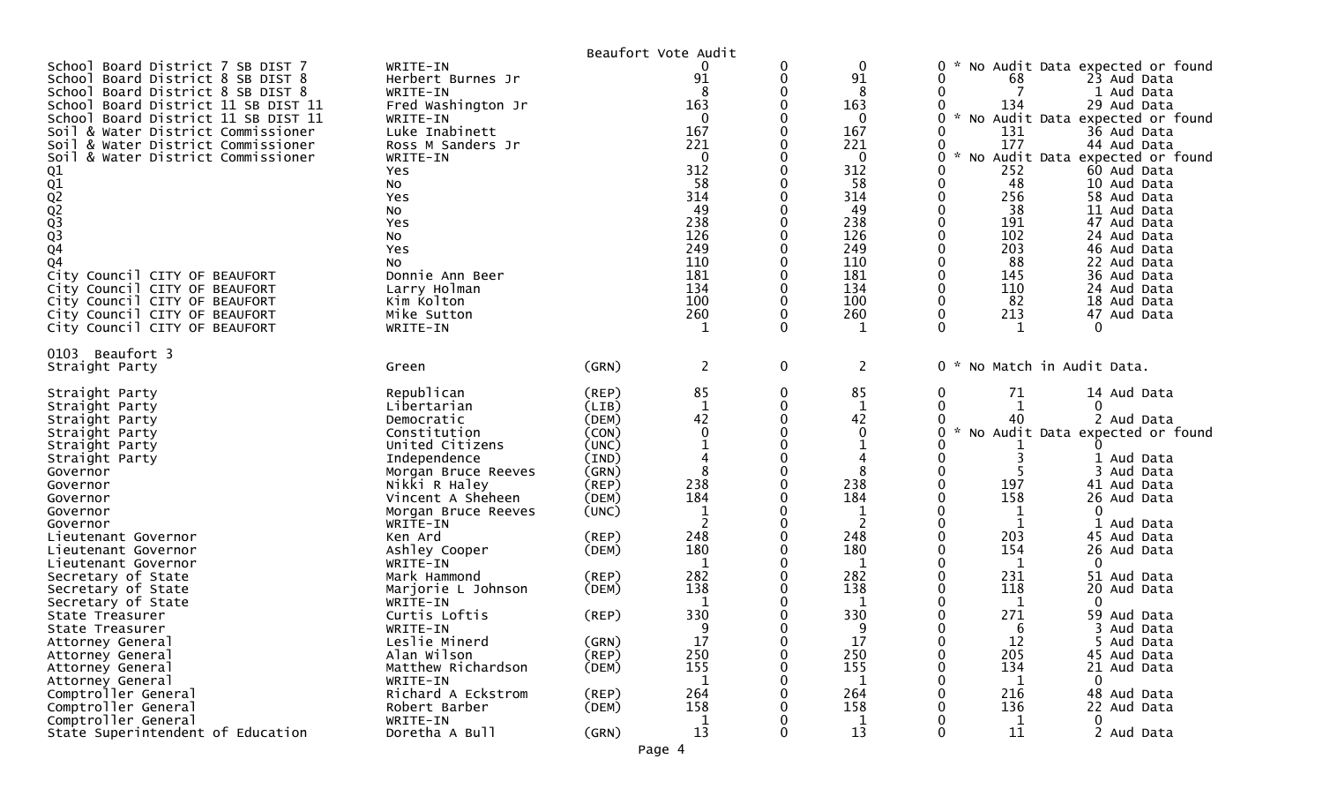|                                                                                                                                                                                                                                                                                                                                                                                                                                                                                                                                                          |                                                                                                                                                                                                                                                                                                                                    |                                                                                                                                              | Beaufort Vote Audit                                                                                                                            |                                  |                                                                                                                                       |                                                                                      |                                                                                                                                                                                                                                                                                                                                                                                                                                                                                               |
|----------------------------------------------------------------------------------------------------------------------------------------------------------------------------------------------------------------------------------------------------------------------------------------------------------------------------------------------------------------------------------------------------------------------------------------------------------------------------------------------------------------------------------------------------------|------------------------------------------------------------------------------------------------------------------------------------------------------------------------------------------------------------------------------------------------------------------------------------------------------------------------------------|----------------------------------------------------------------------------------------------------------------------------------------------|------------------------------------------------------------------------------------------------------------------------------------------------|----------------------------------|---------------------------------------------------------------------------------------------------------------------------------------|--------------------------------------------------------------------------------------|-----------------------------------------------------------------------------------------------------------------------------------------------------------------------------------------------------------------------------------------------------------------------------------------------------------------------------------------------------------------------------------------------------------------------------------------------------------------------------------------------|
| School Board District 7 SB DIST 7<br>School Board District 8 SB DIST 8<br>School<br>Board District 8 SB DIST 8<br>School Board District 11 SB DIST 11<br>Board District 11 SB DIST 11<br>School<br>Soil & Water District Commissioner<br>& Water District Commissioner<br>Soil<br>& Water District Commissioner<br>Soil<br>01<br>01<br>02<br>02<br>03<br>03<br>04<br>Q <sub>4</sub><br>City Council CITY OF BEAUFORT<br>City Council CITY OF BEAUFORT<br>City Council CITY OF BEAUFORT<br>City Council CITY OF BEAUFORT<br>City Council CITY OF BEAUFORT | WRITE-IN<br>Herbert Burnes Jr<br>WRITE-IN<br>Fred Washington Jr<br>WRITE-IN<br>Luke Inabinett<br>Ross M Sanders Jr<br>WRITE-IN<br>Yes<br>No<br>Yes<br>No<br>Yes<br>No<br>Yes<br>No<br>Donnie Ann Beer<br>Larry Holman<br>Kim Kolton<br>Mike Sutton<br>WRITE-IN                                                                     |                                                                                                                                              | 91<br>8<br>163<br>0<br>167<br>221<br>0<br>312<br>58<br>314<br>49<br>238<br>126<br>249<br>110<br>181<br>134<br>100<br>260<br>1                  | 0<br>0<br>0<br>0<br>$\mathbf{0}$ | 0<br>91<br>8<br>163<br>0<br>167<br>221<br>0<br>312<br>58<br>314<br>49<br>238<br>126<br>249<br>110<br>181<br>134<br>100<br>260<br>1    | 0<br>0<br>$\sim$<br>$\star$<br>0<br>0<br>0<br>0<br>0<br>0<br>0<br>0<br>0<br>$\Omega$ | No Audit Data expected or found<br>68<br>23 Aud Data<br>7<br>1 Aud Data<br>134<br>29 Aud Data<br>No Audit Data expected or found<br>131<br>36 Aud Data<br>177<br>44 Aud Data<br>No Audit Data expected or found<br>252<br>60 Aud Data<br>48<br>10 Aud Data<br>256<br>58 Aud Data<br>38<br>11 Aud Data<br>191<br>47 Aud Data<br>102<br>24 Aud Data<br>203<br>46 Aud Data<br>22 Aud Data<br>88<br>145<br>36 Aud Data<br>110<br>24 Aud Data<br>82<br>18 Aud Data<br>213<br>47 Aud Data<br>1<br>0 |
| 0103 Beaufort 3<br>Straight Party                                                                                                                                                                                                                                                                                                                                                                                                                                                                                                                        | Green                                                                                                                                                                                                                                                                                                                              | (GRN)                                                                                                                                        | $\overline{2}$                                                                                                                                 | $\mathbf 0$                      | $\overline{2}$                                                                                                                        |                                                                                      | 0 * No Match in Audit Data.                                                                                                                                                                                                                                                                                                                                                                                                                                                                   |
| Straight Party<br>Straight Party<br>Straight Party<br>Straight Party<br>Straight Party<br>Straight Party<br>Governor<br>Governor<br>Governor<br>Governor<br>Governor<br>Lieutenant Governor<br>Lieutenant Governor<br>Lieutenant Governor<br>Secretary of State<br>Secretary of State<br>Secretary of State<br>State Treasurer<br>State Treasurer<br>Attorney General                                                                                                                                                                                    | Republican<br>Libertarian<br>Democratic<br>Constitution<br>United Citizens<br>Independence<br>Morgan Bruce Reeves<br>Nikki R Haley<br>Vincent A Sheheen<br>Morgan Bruce Reeves<br>WRITE-IN<br>Ken Ard<br>Ashley Cooper<br>WRITE-IN<br>Mark Hammond<br>Marjorie L Johnson<br>WRITE-IN<br>Curtis Loftis<br>WRITE-IN<br>Leslie Minerd | (REP)<br>(LIB)<br>(DEM)<br>(CON)<br>(UNC)<br>(IND)<br>(GRN)<br>(REP)<br>(DEM)<br>(UNC)<br>(REP)<br>(DEM)<br>(REP)<br>(DEM)<br>(REP)<br>(GRN) | 85<br>$\mathbf 1$<br>42<br>$\mathbf{0}$<br>8<br>238<br>184<br>$\overline{2}$<br>248<br>180<br>$\mathbf 1$<br>282<br>138<br>1<br>330<br>9<br>17 | 0<br>0<br>∩<br>0                 | 85<br>$\mathbf{1}$<br>42<br>$\mathbf{0}$<br>8<br>238<br>184<br>$\overline{2}$<br>248<br>180<br>1<br>282<br>138<br>1<br>330<br>q<br>17 | 0<br>0<br>U<br>0<br>0<br>O<br>0<br>U<br>0                                            | 71<br>14 Aud Data<br>1<br>0<br>40<br>2 Aud Data<br>No Audit Data expected or found<br>1 Aud Data<br>Aud Data<br>197<br>41 Aud Data<br>158<br>26 Aud Data<br>0<br>1<br>Aud Data<br>203<br>45 Aud Data<br>154<br>26 Aud Data<br>1<br>0<br>231<br>51 Aud Data<br>118<br>20 Aud Data<br>1<br>0<br>271<br>59 Aud Data<br>6<br>3.<br>Aud Data<br>12<br>5 Aud Data                                                                                                                                   |
| Attorney General<br>Attorney General<br>Attorney General<br>Comptroller General<br>Comptroller General<br>Comptroller General<br>State Superintendent of Education                                                                                                                                                                                                                                                                                                                                                                                       | Alan Wilson<br>Matthew Richardson<br>WRITE-IN<br>Richard A Eckstrom<br>Robert Barber<br>WRITE-IN<br>Doretha A Bull                                                                                                                                                                                                                 | $($ REP $)$<br>(DEM)<br>$($ REP $)$<br>(DEM)<br>(GRN)                                                                                        | 250<br>155<br>$\mathbf 1$<br>264<br>158<br>$\mathbf 1$<br>13                                                                                   | 0<br>0                           | 250<br>155<br>1<br>264<br>158<br>$\mathbf 1$<br>13                                                                                    | 0<br>0                                                                               | 205<br>45 Aud Data<br>134<br>21 Aud Data<br>1<br>0<br>216<br>48 Aud Data<br>136<br>22 Aud Data<br>1<br>0<br>11<br>2 Aud Data                                                                                                                                                                                                                                                                                                                                                                  |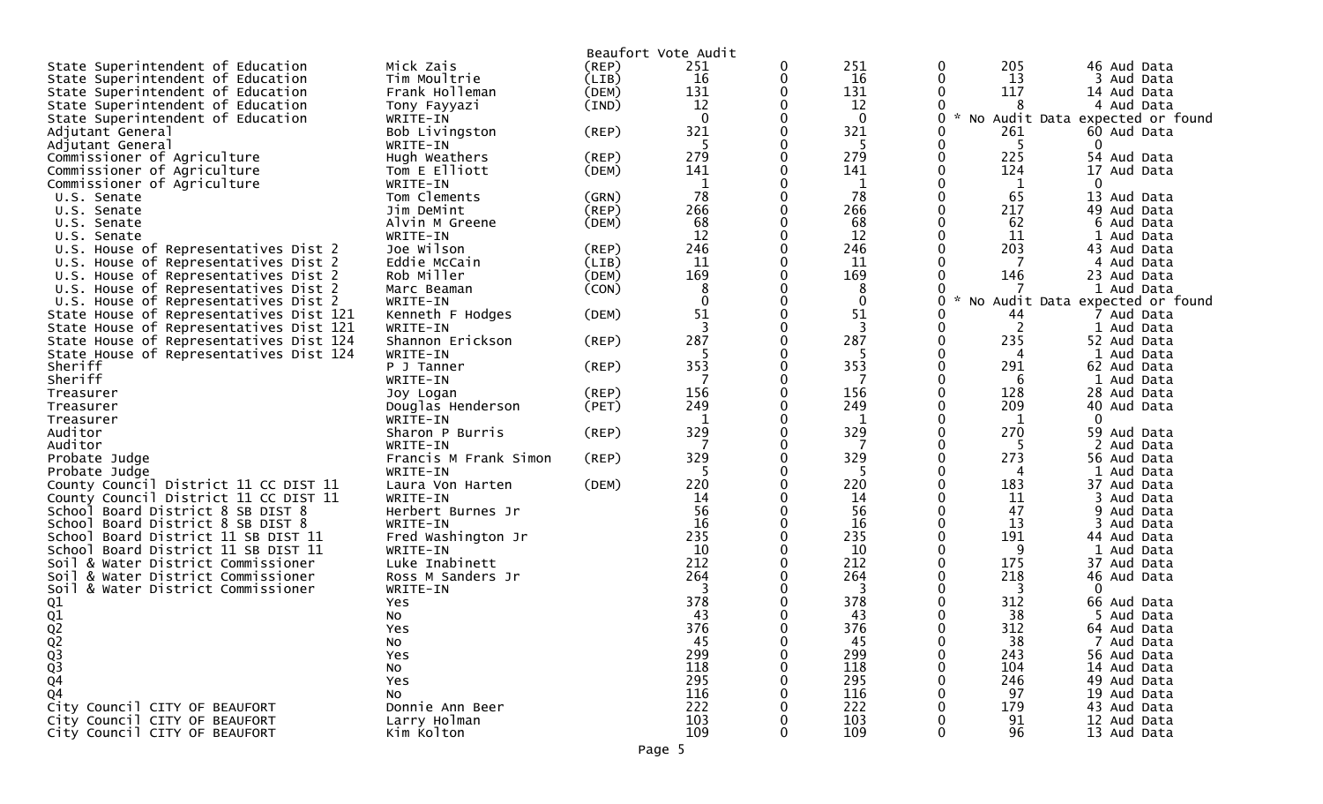|                                                                                 |                                |       | Beaufort Vote Audit |          |              |         |            |                                 |
|---------------------------------------------------------------------------------|--------------------------------|-------|---------------------|----------|--------------|---------|------------|---------------------------------|
| State Superintendent of Education                                               | Mick Zais                      | (REP) | 251                 | 0        | 251          | 0       | 205        | 46 Aud Data                     |
| State Superintendent of Education                                               | Tim Moultrie                   | (LIB) | 16                  | 0        | 16           |         | 13         | 3 Aud Data                      |
| State Superintendent of Education                                               | Frank Holleman                 | (DEM) | 131                 | $\Omega$ | 131          |         | 117        | 14 Aud Data                     |
| State Superintendent of Education                                               | Tony Fayyazi                   | (IND) | 12                  |          | 12           |         | 8          | 4 Aud Data                      |
| State Superintendent of Education                                               | WRITE-IN                       |       | $\mathbf{0}$        |          | $\mathbf{0}$ | $\star$ |            | No Audit Data expected or found |
| Adjutant General                                                                | Bob Livingston                 | (REP) | 321                 | 0        | 321          |         | 261        | 60 Aud Data                     |
| Adjutant General                                                                | WRITE-IN                       |       | 5                   |          | -5           |         | -5         | 0                               |
| Commissioner of Agriculture                                                     | Hugh Weathers                  | (REP) | 279                 |          | 279          |         | 225        | 54 Aud Data                     |
| Commissioner of Agriculture                                                     | Tom E Elliott                  | (DEM) | 141                 |          | 141          |         | 124        | 17<br>Aud Data                  |
| Commissioner of Agriculture                                                     | WRITE-IN                       |       | $\mathbf 1$         |          | 1            |         | 1          | 0                               |
| U.S. Senate                                                                     | Tom Clements                   | (GRN) | 78                  |          | 78           |         | 65         | 13 Aud Data                     |
| U.S. Senate                                                                     | Jim DeMint                     | (REP) | 266                 | $\Omega$ | 266          |         | 217        | 49 Aud Data                     |
| U.S. Senate                                                                     | Alvin M Greene                 | (DEM) | 68                  |          | 68           |         | 62         | 6 Aud Data                      |
| U.S. Senate                                                                     | WRITE-IN                       |       | 12                  |          | 12           |         | 11         | 1 Aud Data                      |
| U.S. House of Representatives Dist 2                                            | Joe Wilson                     | (REP) | 246                 | 0        | 246          |         | 203        | 43 Aud Data                     |
| U.S. House of Representatives Dist 2                                            | Eddie McCain                   | (LIB) | 11                  |          | 11           |         | 7          | Aud Data                        |
| U.S. House of Representatives Dist 2                                            | Rob Miller                     | (DEM) | 169                 |          | 169          |         | 146        | 23 Aud Data                     |
| U.S. House of Representatives Dist 2                                            | Marc Beaman                    | (CON) | 8                   |          | 8            |         |            | 1 Aud Data                      |
| U.S. House of Representatives Dist 2                                            | WRITE-IN                       |       | $\mathbf 0$         |          | $\mathbf{0}$ | 0       |            | No Audit Data expected or found |
| State House of Representatives Dist 121                                         | Kenneth F Hodges               | (DEM) | 51                  |          | 51           |         | 44         | 7 Aud Data                      |
| State House of Representatives Dist 121                                         | WRITE-IN                       |       | 3                   |          | 3            |         | 2          | 1 Aud Data                      |
| State House of Representatives Dist 124                                         | Shannon Erickson               | (REP) | 287                 |          | 287          | 0       | 235        | 52 Aud Data                     |
| State House of Representatives Dist 124                                         | WRITE-IN                       |       | 5                   |          | -5           |         | 4          | 1 Aud Data                      |
| Sheriff                                                                         | P J Tanner                     | (REP) | 353                 |          | 353          |         | 291        | 62 Aud Data                     |
| Sheriff                                                                         | WRITE-IN                       |       | 7                   |          | 7            |         | 6          | 1 Aud Data                      |
| Treasurer                                                                       | Joy Logan                      | (REP) | 156                 |          | 156          |         | 128        | 28 Aud Data                     |
| Treasurer                                                                       |                                | (PET) | 249                 |          | 249          |         | 209        | 40 Aud Data                     |
| Treasurer                                                                       | Douglas Henderson<br>WRITE-IN  |       | 1                   |          | $\mathbf{1}$ |         | 1          | 0                               |
| Auditor                                                                         | Sharon P Burris                | (REP) | 329                 |          | 329          |         | 270        | 59 Aud Data                     |
| Auditor                                                                         | WRITE-IN                       |       |                     |          |              |         | 5          | Aud Data                        |
| Probate Judge                                                                   | Francis M Frank Simon          | (REP) | 329                 |          | 329          | 0       | 273        | 56 Aud Data                     |
| Probate Judge                                                                   | WRITE-IN                       |       | 5                   |          | -5           |         | 4          | 1 Aud Data                      |
| County Council District 11 CC DIST 11                                           | Laura Von Harten               | (DEM) | 220                 |          | 220          |         | 183        | 37 Aud Data                     |
| County Council District 11 CC DIST 11                                           | WRITE-IN                       |       | 14                  |          | 14           |         | 11         |                                 |
| School Board District 8 SB DIST 8                                               |                                |       | 56                  |          | 56           |         | 47         | Aud Data<br>9 Aud Data          |
|                                                                                 | Herbert Burnes Jr              |       | 16                  |          | 16           |         | 13         |                                 |
| Board District 8 SB DIST 8<br>Schoo I<br>Board District 11 SB DIST 11<br>School | WRITE-IN<br>Fred Washington Jr |       | 235                 |          | 235          |         | 191        | Aud Data                        |
| School Board District 11 SB DIST 11                                             | WRITE-IN                       |       | 10                  |          | 10           |         | 9          | 44 Aud Data<br>Aud Data         |
|                                                                                 | Luke Inabinett                 |       | 212                 |          | 212          |         | 175        | 37 Aud Data                     |
| Soil & Water District Commissioner                                              |                                |       | 264                 |          | 264          |         | 218        | 46 Aud Data                     |
| Soil & Water District Commissioner<br>Soil & Water District Commissioner        | Ross M Sanders Jr<br>WRITE-IN  |       | 3                   |          | 3            |         | 3          | 0                               |
|                                                                                 |                                |       | 378                 |          | 378          |         | 312        | 66 Aud Data                     |
| $\frac{Q1}{Q1}$                                                                 | Yes.                           |       | 43                  |          | 43           |         | 38         | 5 Aud Data                      |
|                                                                                 | No                             |       |                     |          |              |         |            |                                 |
| Q <sub>2</sub>                                                                  | Yes                            |       | 376<br>45           |          | 376<br>45    |         | 312<br>38  | 64 Aud Data<br>7 Aud Data       |
| $\frac{2}{9}$<br>$\frac{2}{9}$<br>$\frac{3}{9}$                                 | NO.                            |       |                     |          |              |         |            |                                 |
|                                                                                 | Yes                            |       | 299<br>118          |          | 299          |         | 243<br>104 | 56 Aud Data                     |
|                                                                                 | No                             |       |                     |          | 118          |         |            | 14 Aud Data                     |
|                                                                                 | Yes                            |       | 295<br>116          |          | 295          |         | 246        | 49 Aud Data                     |
| $\overline{Q}4$                                                                 | NO                             |       |                     |          | 116          |         | 97         | 19 Aud Data                     |
| City Council CITY OF BEAUFORT                                                   | Donnie Ann Beer                |       | 222                 |          | 222          |         | 179        | 43 Aud Data                     |
| City Council CITY OF BEAUFORT                                                   | Larry Holman                   |       | 103<br>109          |          | 103          |         | 91         | 12 Aud Data                     |
| City Council CITY OF BEAUFORT                                                   | Kim Kolton                     |       |                     |          | 109          |         | 96         | 13 Aud Data                     |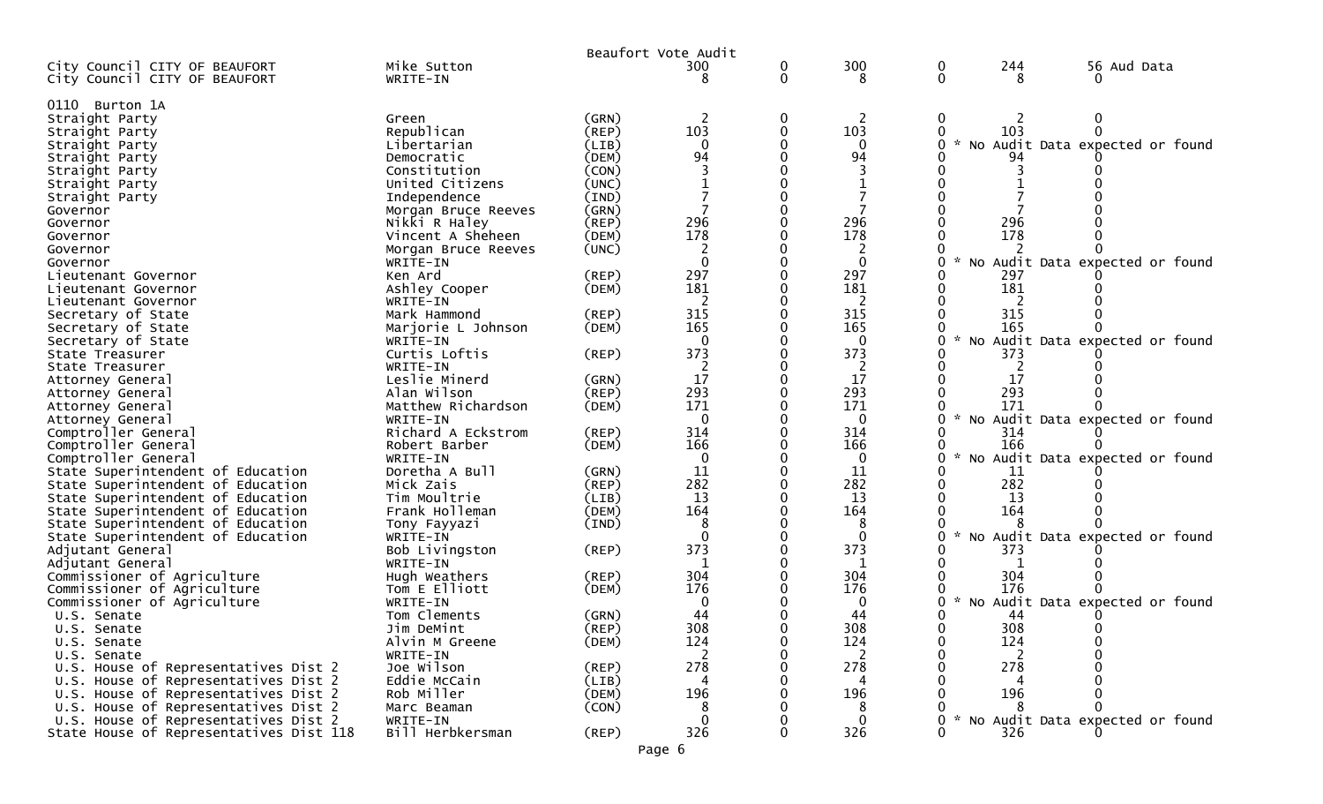|                                                                              |                           |                | Beaufort Vote Audit |        |                   |               |          |                                   |
|------------------------------------------------------------------------------|---------------------------|----------------|---------------------|--------|-------------------|---------------|----------|-----------------------------------|
| City Council CITY OF BEAUFORT<br>City Council CITY OF BEAUFORT               | Mike Sutton<br>WRITE-IN   |                | 300<br>8            | 0<br>0 | 300<br>8          | 0<br>$\Omega$ | 244<br>8 | 56 Aud Data                       |
| 0110 Burton 1A                                                               |                           |                |                     |        |                   |               |          |                                   |
| Straight Party                                                               | Green                     | (GRN)          |                     | 0      | 2                 |               |          |                                   |
| Straight Party                                                               | Republican                | $($ REP $)$    | 103                 |        | 103               |               | 103      |                                   |
| Straight Party                                                               | Libertarian               | (LIB)          | $\Omega$            |        |                   |               |          | * No Audit Data expected or found |
| Straight Party                                                               | Democratic                | (DEM)          | 94                  |        | 94                |               |          |                                   |
| Straight Party                                                               | Constitution              | (CON)          |                     |        |                   |               |          |                                   |
| Straight Party                                                               | United Citizens           | (UNC)          |                     |        |                   |               |          |                                   |
| Straight Party                                                               | Independence              | (IND)          |                     |        |                   |               |          |                                   |
| Governor                                                                     | Morgan Bruce Reeves       | (GRN)          |                     |        |                   |               |          |                                   |
| Governor                                                                     | Nikki R Haley             | (REP)          | 296                 |        | 296               |               | 296      |                                   |
| Governor                                                                     | Vincent A Sheheen         | (DEM)          | 178                 |        | 178               |               | 178      |                                   |
| Governor                                                                     | Morgan Bruce Reeves       | (UNC)          |                     |        |                   |               |          |                                   |
| Governor                                                                     | WRITE-IN                  |                | $\Omega$            |        | $\Omega$          |               |          | No Audit Data expected or found   |
| Lieutenant Governor                                                          | Ken Ard                   | (REP)          | 297                 |        | 297               |               | 297      |                                   |
| Lieutenant Governor                                                          | Ashley Cooper             | (DEM)          | 181                 |        | 181               |               | 181      |                                   |
| Lieutenant Governor                                                          | WRITE-IN                  |                | 2                   |        | 2                 |               |          |                                   |
| Secretary of State                                                           | Mark Hammond              | (REP)          | 315                 |        | 315               |               | 315      |                                   |
| Secretary of State                                                           | Marjorie L Johnson        | (DEM)          | 165                 |        | 165               |               | 165      |                                   |
| Secretary of State                                                           | WRITE-IN                  |                | $\Omega$            |        | $\Omega$          |               | 373      | * No Audit Data expected or found |
| State Treasurer                                                              | Curtis Loftis<br>WRITE-IN | (REP)          | 373                 |        | 373               |               |          |                                   |
| State Treasurer                                                              | Leslie Minerd             | (GRN)          | 17                  |        | 2<br>17           |               | 17       |                                   |
| Attorney General<br>Attorney General                                         | Alan Wilson               | $($ REP $)$    | 293                 |        | 293               |               | 293      |                                   |
| Attorney General                                                             | Matthew Richardson        | (DEM)          | 171                 |        | 171               |               | 171      |                                   |
| Attorney General                                                             | WRITE-IN                  |                | $\Omega$            |        | $\Omega$          |               |          | * No Audit Data expected or found |
| Comptroller General                                                          | Richard A Eckstrom        | (REP)          | 314                 |        | 314               |               | 314      |                                   |
| Comptroller General                                                          | Robert Barber             | (DEM)          | 166                 |        | 166               |               | 166      |                                   |
| Comptroller General                                                          | WRITE-IN                  |                | $\mathbf{0}$        |        | $\Omega$          | $\mathcal{H}$ |          | No Audit Data expected or found   |
| State Superintendent of Education                                            | Doretha A Bull            | (GRN)          | 11                  |        | 11                |               | 11       |                                   |
| State Superintendent of Education                                            | Mick Zais                 | (REP)          | 282                 |        | 282               |               | 282      |                                   |
| State Superintendent of Education                                            | Tim Moultrie              | (LIB)          | 13                  |        | 13                |               | 13       |                                   |
| State Superintendent of Education                                            | Frank Holleman            | (DEM)          | 164                 |        | 164               |               | 164      |                                   |
| State Superintendent of Education                                            | Tony Fayyazi              | (IND)          | 8                   |        | 8                 |               |          |                                   |
| State Superintendent of Education                                            | WRITE-IN                  |                | $\Omega$            |        | $\Omega$          | $\mathcal{H}$ |          | No Audit Data expected or found   |
| Adjutant General                                                             | Bob Livingston            | (REP)          | 373                 |        | 373               |               | 373      |                                   |
| Adjutant General                                                             | WRITE-IN                  |                |                     |        |                   |               |          |                                   |
| Commissioner of Agriculture                                                  | Hugh Weathers             | (REP)          | 304                 |        | 304               |               | 304      |                                   |
| Commissioner of Agriculture                                                  | Tom E Elliott             | (DEM)          | 176                 |        | 176               |               | 176      |                                   |
| Commissioner of Agriculture                                                  | WRITE-IN                  |                | 0                   |        |                   |               |          | * No Audit Data expected or found |
| U.S. Senate                                                                  | Tom Clements              | (GRN)          | 44                  |        | 44                |               | 44       |                                   |
| U.S. Senate                                                                  | Jim DeMint                | $($ REP $)$    | 308                 |        | 308               |               | 308      | $\Omega$                          |
| U.S. Senate                                                                  | Alvin M Greene            | (DEM)          | 124                 |        | 124               |               | 124      |                                   |
| U.S. Senate                                                                  | WRITE-IN                  |                |                     |        | 2                 |               |          |                                   |
| U.S. House of Representatives Dist 2                                         | Joe Wilson                | (REP)          | 278                 |        | 278               |               | 278      |                                   |
| U.S. House of Representatives Dist 2                                         | Eddie McCain              | (LIB)          | 196                 |        | 4<br>196          |               | 196      |                                   |
| U.S. House of Representatives Dist 2                                         | Rob Miller                | (DEM)<br>(CON) |                     |        |                   |               |          |                                   |
| U.S. House of Representatives Dist 2<br>U.S. House of Representatives Dist 2 | Marc Beaman<br>WRITE-IN   |                | $\Omega$            |        | 8<br>$\mathbf{0}$ |               |          | * No Audit Data expected or found |
| State House of Representatives Dist 118                                      | Bill Herbkersman          | (REP)          | 326                 |        | 326               |               | 326      |                                   |
|                                                                              |                           |                |                     |        |                   |               |          |                                   |
|                                                                              |                           |                | Page 6              |        |                   |               |          |                                   |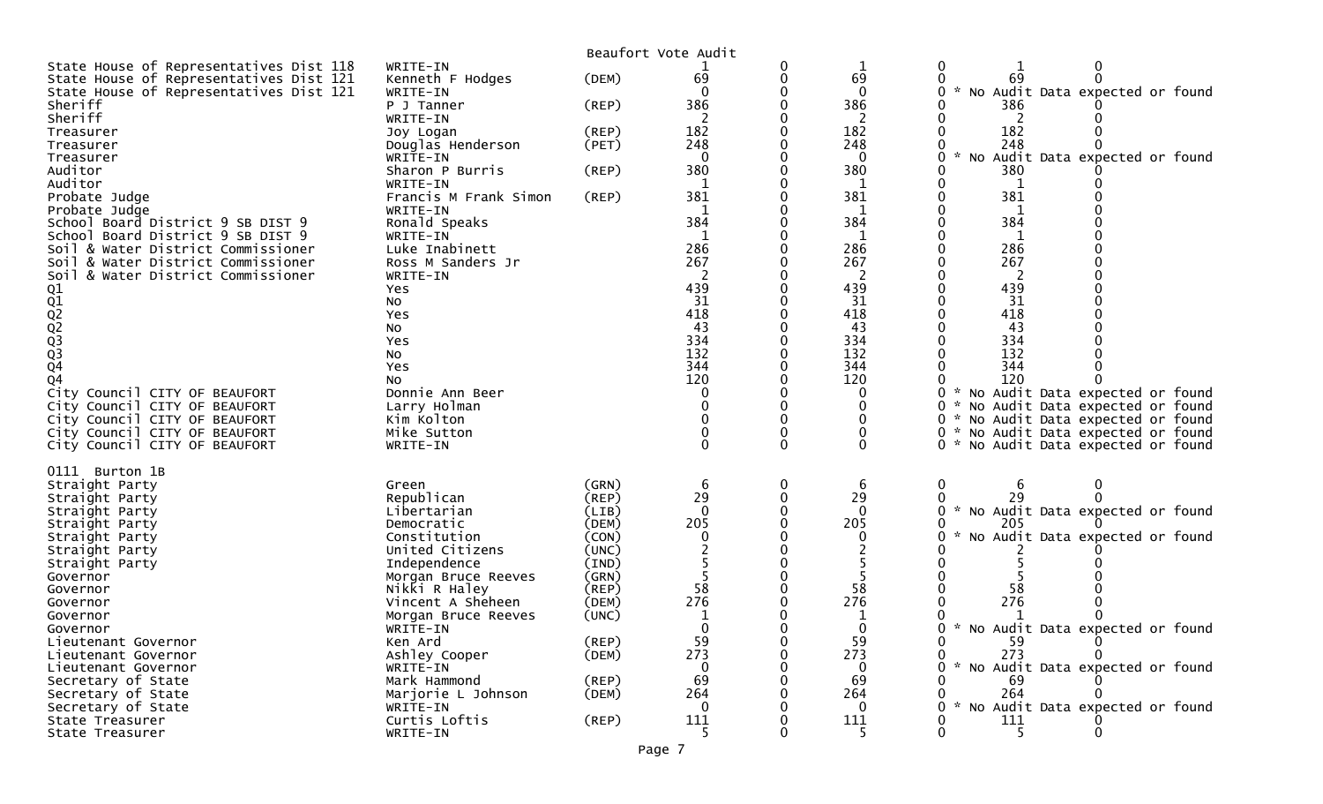|                                                                                    |                                      |                      | Beaufort Vote Audit |        |                     |                                                                             |
|------------------------------------------------------------------------------------|--------------------------------------|----------------------|---------------------|--------|---------------------|-----------------------------------------------------------------------------|
| State House of Representatives Dist 118                                            | WRITE-IN                             |                      |                     | 0      |                     | 0                                                                           |
| State House of Representatives Dist 121<br>State House of Representatives Dist 121 | Kenneth F Hodges<br>WRITE-IN         | (DEM)                | 69<br>$\Omega$      | 0      | 69<br>$\mathbf{0}$  | 69<br>No Audit Data expected or found                                       |
| Sheriff                                                                            | P J Tanner                           | (REP)                | 386                 |        | 386                 | 386                                                                         |
| Sheriff                                                                            | WRITE-IN                             |                      | 2                   |        | 2                   | 2                                                                           |
| Treasurer                                                                          | Joy Logan                            | $($ REP $)$          | 182                 |        | 182                 | 182                                                                         |
| Treasurer                                                                          | Douglas Henderson<br>WRITE-IN        | (PET)                | 248<br>$\mathbf{0}$ |        | 248<br>$\mathbf{0}$ | 248<br>Audit Data expected or found<br>No                                   |
| Treasurer<br>Auditor                                                               | Sharon P Burris                      | (REP)                | 380                 |        | 380                 | 380                                                                         |
| Auditor                                                                            | WRITE-IN                             |                      | 1                   |        |                     | 1                                                                           |
| Probate Judge                                                                      | Francis M Frank Simon                | (REP)                | 381                 |        | 381                 | 381                                                                         |
| Probate Judge                                                                      | WRITE-IN                             |                      | 1<br>384            |        | 1<br>384            | 1<br>384                                                                    |
| School Board District 9 SB DIST 9<br>School Board District 9 SB DIST 9             | Ronald Speaks<br>WRITE-IN            |                      | 1                   |        |                     | 1                                                                           |
| Soil & Water District Commissioner                                                 | Luke Inabinett                       |                      | 286                 |        | 286                 | 286                                                                         |
| Soil & Water District Commissioner                                                 | Ross M Sanders Jr                    |                      | 267                 |        | 267                 | 267                                                                         |
| Soil & Water District Commissioner                                                 | WRITE-IN                             |                      | 2                   |        | 2                   | 2                                                                           |
|                                                                                    | Yes                                  |                      | 439<br>31           |        | 439<br>31           | 439<br>31                                                                   |
|                                                                                    | No<br>Yes                            |                      | 418                 |        | 418                 | 418                                                                         |
| 01<br>02<br>02<br>02<br>03<br>03<br>04                                             | No                                   |                      | 43                  |        | 43                  | 43                                                                          |
|                                                                                    | Yes                                  |                      | 334                 |        | 334                 | 334                                                                         |
|                                                                                    | NO.                                  |                      | 132<br>344          |        | 132<br>344          | 132<br>344                                                                  |
| Q4                                                                                 | Yes<br>NO.                           |                      | 120                 |        | 120                 | 120                                                                         |
| City Council CITY OF BEAUFORT                                                      | Donnie Ann Beer                      |                      | 0                   |        | 0                   | * No Audit Data expected or found                                           |
| City Council CITY OF BEAUFORT                                                      | Larry Holman                         |                      |                     |        | 0                   | No Audit Data expected or found                                             |
| City Council CITY OF BEAUFORT                                                      | Kim Kolton                           |                      |                     |        | $\Omega$            | * No Audit Data expected or found                                           |
| City Council CITY OF BEAUFORT<br>City Council CITY OF BEAUFORT                     | Mike Sutton<br>WRITE-IN              |                      | 0                   | 0<br>0 | 0<br>0              | * No Audit Data expected or found<br>* No Audit Data expected or found<br>0 |
|                                                                                    |                                      |                      |                     |        |                     |                                                                             |
| 0111 Burton 1B                                                                     |                                      |                      |                     |        |                     |                                                                             |
| Straight Party                                                                     | Green                                | (GRN)                | -6                  | 0      | 6                   | 0<br>6                                                                      |
| Straight Party                                                                     | Republican                           | (REP)                | 29<br>$\mathbf{0}$  | 0      | 29<br>$\Omega$      | 29                                                                          |
| Straight Party<br>Straight Party                                                   | Libertarian<br>Democratic            | (LIB)<br>(DEM)       | 205                 |        | 205                 | * No Audit Data expected or found<br>205                                    |
| Straight Party                                                                     | Constitution                         | (CON)                |                     |        | $\Omega$            | No Audit Data expected or found                                             |
| Straight Party                                                                     | United Citizens                      | (UNC)                |                     |        |                     |                                                                             |
| Straight Party                                                                     | Independence                         | (IND)                |                     |        |                     |                                                                             |
| Governor<br>Governor                                                               | Morgan Bruce Reeves<br>Nikki R Haley | (GRN)<br>$($ REP $)$ | 58                  |        | 58                  | 58                                                                          |
| Governor                                                                           | Vincent A Sheheen                    | (DEM)                | 276                 |        | 276                 | 276                                                                         |
| Governor                                                                           | Morgan Bruce Reeves                  | (UNC)                | 1                   |        | 1                   |                                                                             |
| Governor                                                                           | WRITE-IN                             |                      | $\Omega$            |        | $\mathbf{0}$        | 0 * No Audit Data expected or found                                         |
| Lieutenant Governor                                                                | Ken Ard                              | (REP)                | 59                  |        | 59<br>273           | -59<br>273                                                                  |
| Lieutenant Governor<br>Lieutenant Governor                                         | Ashley Cooper<br>WRITE-IN            | (DEM)                | 273<br>$\Omega$     |        | 0                   | No Audit Data expected or found                                             |
| Secretary of State                                                                 | Mark Hammond                         | (REP)                | 69                  |        | 69                  | -69                                                                         |
| Secretary of State                                                                 | Marjorie L Johnson                   | (DEM)                | 264                 |        | 264                 | 264                                                                         |
| Secretary of State                                                                 | WRITE-IN                             |                      | $\Omega$            |        | 0                   | $\mathcal{H}$<br>No Audit Data expected or found                            |
| State Treasurer<br>State Treasurer                                                 | Curtis Loftis<br>WRITE-IN            | (REP)                | 111                 |        | 111<br>-5           | 111<br>$5\overline{)}$                                                      |
|                                                                                    |                                      |                      |                     |        |                     |                                                                             |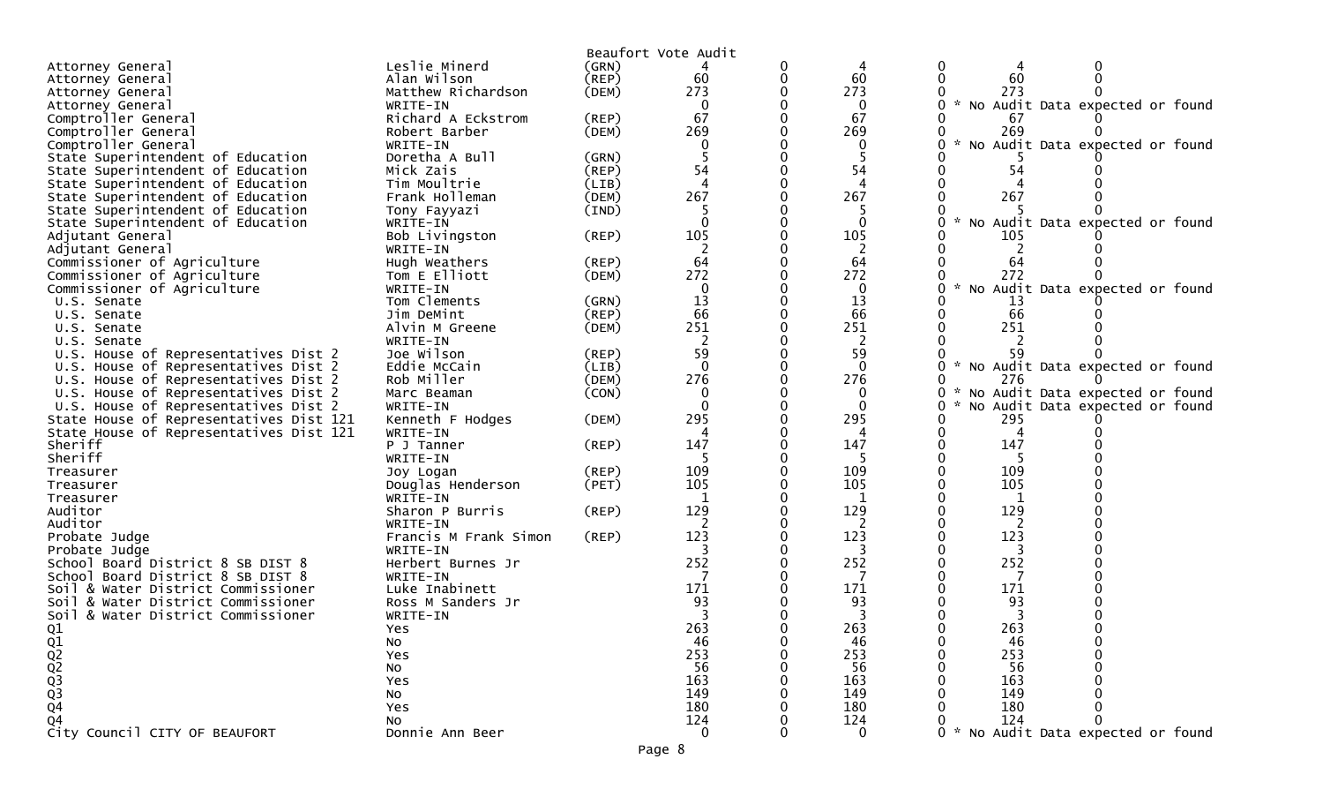| Beaufort Vote Audit                                                                                                                              |  |
|--------------------------------------------------------------------------------------------------------------------------------------------------|--|
| Leslie Minerd<br>0<br>(GRN)<br>Attorney General<br>0<br>4<br>4                                                                                   |  |
| 60<br>60<br>$\mathbf{0}$<br>60<br>Alan Wilson<br>$($ REP $)$<br>0<br>0<br>Attorney General                                                       |  |
| 273<br>273<br>Matthew Richardson<br>(DEM)<br>273<br>Attorney General                                                                             |  |
| * No Audit Data expected or found<br>0<br>0<br>0<br>Attorney General<br>WRITE-IN                                                                 |  |
| 67<br>67<br>Richard A Eckstrom<br>Comptroller General<br>(REP)<br>67                                                                             |  |
| 269<br>269<br>269<br>Comptroller General<br>Robert Barber<br>(DEM)<br>0                                                                          |  |
| Comptroller General<br>WRITE-IN<br>$\Omega$<br>0<br>No Audit Data expected or found                                                              |  |
| State Superintendent of Education<br>Doretha A Bull<br>5<br>(GRN)                                                                                |  |
| 54<br>54<br>State Superintendent of Education<br>Mick Zais<br>(REP)<br>54                                                                        |  |
| $\overline{4}$<br>$\boldsymbol{\Lambda}$<br>State Superintendent of Education<br>Tim Moultrie<br>(LIB)                                           |  |
| 267<br>267<br>267<br>(DEM)<br>State Superintendent of Education<br>Frank Holleman                                                                |  |
| State Superintendent of Education<br>Tony Fayyazi<br>(IND)                                                                                       |  |
| State Superintendent of Education<br>$\Omega$<br>$\Omega$<br>$\mathcal{H}$<br>0<br>No Audit Data expected or found<br>WRITE-IN                   |  |
| 105<br>105<br>105<br>Adjutant General<br>Bob Livingston<br>$($ REP $)$                                                                           |  |
| 2<br>2<br>WRITE-IN<br>Adjutant General                                                                                                           |  |
| 64<br>64<br>Commissioner of Agriculture<br>$($ REP $)$<br>0<br>0<br>64<br>Hugh Weathers                                                          |  |
| 272<br>272<br>272<br>Commissioner of Agriculture<br>Tom E Elliott<br>(DEM)                                                                       |  |
| Commissioner of Agriculture<br>$\mathbf 0$<br>$\mathbf 0$<br>0<br>No Audit Data expected or found<br>WRITE-IN                                    |  |
| 13<br>13<br>Tom Clements<br>0<br>(GRN)<br>U.S. Senate<br>13                                                                                      |  |
| 66<br>66<br>66<br>U.S. Senate<br>Jim DeMint<br>(REP)                                                                                             |  |
| 251<br>251<br>251<br>Alvin M Greene<br>(DEM)<br>U.S. Senate                                                                                      |  |
| $\overline{c}$<br>2<br>WRITE-IN<br>U.S. Senate                                                                                                   |  |
| 59<br>59<br>U.S. House of Representatives Dist 2<br>Joe Wilson<br>59<br>(REP)                                                                    |  |
| $\Omega$<br>∩<br>$\mathbf{0}$<br>0<br>$\sim$<br>U.S. House of Representatives Dist 2<br>Eddie McCain<br>(LIB)<br>No Audit Data expected or found |  |
| 276<br>276<br>Rob Miller<br>(DEM)<br>0<br>276<br>U.S. House of Representatives Dist 2<br>0                                                       |  |
| $\mathbf 0$<br>0<br>U.S. House of Representatives Dist 2<br>Marc Beaman<br>(CON)<br>0<br>No Audit Data expected or found                         |  |
| $\Omega$<br>0<br>0<br>U.S. House of Representatives Dist 2<br>WRITE-IN<br>0<br>No Audit Data expected or found                                   |  |
| 295<br>295<br>295<br>State House of Representatives Dist 121<br>Kenneth F Hodges<br>(DEM)<br>0                                                   |  |
| 4<br>State House of Representatives Dist 121<br>WRITE-IN<br>4<br>4                                                                               |  |
| 147<br>147<br>147<br>Sheriff<br>P J Tanner<br>$($ REP $)$                                                                                        |  |
| Sheriff<br>-5<br>5<br>5<br>WRITE-IN                                                                                                              |  |
| 109<br>109<br>109<br>$($ REP $)$<br>Treasurer<br>Joy Logan                                                                                       |  |
| 105<br>105<br>105<br>Douglas Henderson<br>(PET)<br>Treasurer                                                                                     |  |
| WRITE-IN<br>1<br>1<br>Treasurer<br>1                                                                                                             |  |
| 129<br>129<br>129<br>Auditor<br>(REP)<br>Sharon P Burris                                                                                         |  |
| Auditor<br>WRITE-IN                                                                                                                              |  |
| 123<br>123<br>123<br>Francis M Frank Simon<br>(REP)<br>Probate Judge                                                                             |  |
| 3<br>WRITE-IN<br>Probate Judge                                                                                                                   |  |
| 252<br>252<br>252<br>School Board District 8 SB DIST 8<br>Herbert Burnes Jr                                                                      |  |
| School Board District 8 SB DIST 8<br>7<br>7<br>WRITE-IN                                                                                          |  |
| 171<br>171<br>171<br>Soil & Water District Commissioner<br>Luke Inabinett                                                                        |  |
| 93<br>93<br>93<br>Soil & Water District Commissioner<br>Ross M Sanders Jr                                                                        |  |
| 3<br>3<br>3<br>Soil & Water District Commissioner<br>WRITE-IN                                                                                    |  |
| 263<br>263<br>263<br>Yes                                                                                                                         |  |
| 46<br>46<br>46<br>No                                                                                                                             |  |
| 253<br>253<br>253<br>Yes                                                                                                                         |  |
| 56<br>56<br>56<br>NO                                                                                                                             |  |
| 163<br>163<br>163<br>Yes                                                                                                                         |  |
| 01<br>02<br>02<br>03<br>03<br>04<br>149<br>149<br>149<br>NO                                                                                      |  |
| 180<br>180<br>180<br>Yes                                                                                                                         |  |
| 124<br>124<br>124<br>Q4<br>No                                                                                                                    |  |
| City Council CITY OF BEAUFORT<br>$\mathbf{0}$<br>No Audit Data expected or found<br>$\Omega$<br>Donnie Ann Beer                                  |  |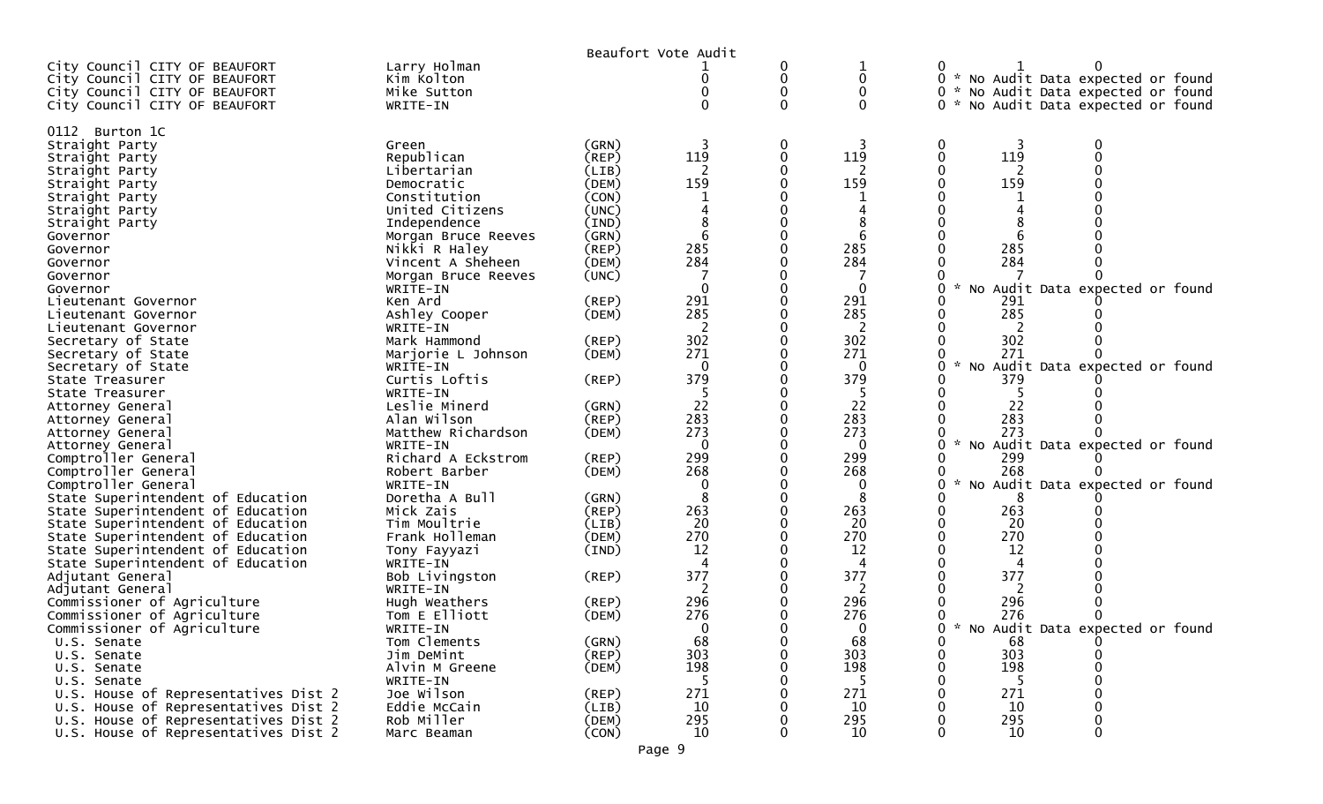|                                                                                                                                  |                                                       |                                  | Beaufort Vote Audit |             |                 |                                                                                                                   |
|----------------------------------------------------------------------------------------------------------------------------------|-------------------------------------------------------|----------------------------------|---------------------|-------------|-----------------|-------------------------------------------------------------------------------------------------------------------|
| City Council CITY OF BEAUFORT<br>City Council CITY OF BEAUFORT<br>City Council CITY OF BEAUFORT<br>City Council CITY OF BEAUFORT | Larry Holman<br>Kim Kolton<br>Mike Sutton<br>WRITE-IN |                                  | 0                   | 0<br>0<br>0 | 0<br>$\Omega$   | 0 * No Audit Data expected or found<br>0 * No Audit Data expected or found<br>0 * No Audit Data expected or found |
|                                                                                                                                  |                                                       |                                  |                     |             |                 |                                                                                                                   |
| 0112 Burton 1C<br>Straight Party<br>Straight Party<br>Straight Party<br>Straight Party                                           | Green<br>Republican<br>Libertarian<br>Democratic      | (GRN)<br>(REP)<br>(LIB)<br>(DEM) | 119<br>159          | 0           | 119<br>159      | 0<br>119<br>159                                                                                                   |
| Straight Party<br>Straight Party                                                                                                 | Constitution<br>United Citizens                       | (CON)<br>(UNC)                   |                     |             |                 |                                                                                                                   |
| Straight Party                                                                                                                   | Independence                                          | (IND)                            |                     |             |                 |                                                                                                                   |
| Governor                                                                                                                         | Morgan Bruce Reeves                                   | (GRN)                            |                     |             |                 |                                                                                                                   |
| Governor                                                                                                                         | Nikki R Haley                                         | (REP)                            | 285                 |             | 285             | 285                                                                                                               |
| Governor                                                                                                                         | Vincent A Sheheen                                     | (DEM)                            | 284                 |             | 284             | 284                                                                                                               |
| Governor                                                                                                                         | Morgan Bruce Reeves                                   | (UNC)                            |                     |             |                 |                                                                                                                   |
| Governor                                                                                                                         | WRITE-IN<br>Ken Ard                                   | (REP)                            | $\mathbf 0$<br>291  |             | $\Omega$<br>291 | $\mathcal{H}$<br>No Audit Data expected or found<br>291                                                           |
| Lieutenant Governor<br>Lieutenant Governor                                                                                       | Ashley Cooper                                         | (DEM)                            | 285                 |             | 285             | 285                                                                                                               |
| Lieutenant Governor                                                                                                              | WRITE-IN                                              |                                  |                     |             | 2               |                                                                                                                   |
| Secretary of State                                                                                                               | Mark Hammond                                          | (REP)                            | 302                 |             | 302             | 302                                                                                                               |
| Secretary of State                                                                                                               | Marjorie L Johnson                                    | (DEM)                            | 271                 |             | 271             | 271                                                                                                               |
| Secretary of State                                                                                                               | WRITE-IN                                              |                                  | $\Omega$            |             | 0               | $\sim$<br>No Audit Data expected or found                                                                         |
| State Treasurer                                                                                                                  | Curtis Loftis                                         | (REP)                            | 379                 |             | 379             | 379                                                                                                               |
| State Treasurer<br>Attorney General                                                                                              | WRITE-IN<br>Leslie Minerd                             | (GRN)                            | 22                  |             | -5<br>22        | 22                                                                                                                |
| Attorney General                                                                                                                 | Alan Wilson                                           | (REP)                            | 283                 |             | 283             | 283                                                                                                               |
| Attorney General                                                                                                                 | Matthew Richardson                                    | (DEM)                            | 273                 |             | 273             | 273                                                                                                               |
| Attorney General                                                                                                                 | WRITE-IN                                              |                                  | $\Omega$            |             | 0               | $\mathcal{H}$<br>No Audit Data expected or found                                                                  |
| Comptroller General                                                                                                              | Richard A Eckstrom                                    | (REP)                            | 299                 |             | 299             | 299                                                                                                               |
| Comptroller General                                                                                                              | Robert Barber                                         | (DEM)                            | 268                 |             | 268             | 268                                                                                                               |
| Comptroller General<br>State Superintendent of Education                                                                         | WRITE-IN<br>Doretha A Bull                            | (GRN)                            | 8                   |             | 8               | No Audit Data expected or found<br>8                                                                              |
| State Superintendent of Education                                                                                                | Mick Zais                                             | (REP)                            | 263                 |             | 263             | 263                                                                                                               |
| State Superintendent of Education                                                                                                | Tim Moultrie                                          | (LIB)                            | 20                  |             | 20              | 20                                                                                                                |
| State Superintendent of Education                                                                                                | Frank Holleman                                        | (DEM)                            | 270                 |             | 270             | 270                                                                                                               |
| State Superintendent of Education                                                                                                | Tony Fayyazi                                          | (IND)                            | 12                  |             | 12              | 12                                                                                                                |
| State Superintendent of Education                                                                                                | WRITE-IN                                              |                                  | Δ                   |             | 4               |                                                                                                                   |
| Adjutant General                                                                                                                 | Bob Livingston                                        | (REP)                            | 377                 |             | 377             | 377                                                                                                               |
| Adjutant General<br>Commissioner of Agriculture                                                                                  | WRITE-IN<br>Hugh Weathers                             | (REP)                            | 296                 |             | 2<br>296        | 296                                                                                                               |
| Commissioner of Agriculture                                                                                                      | Tom E Elliott                                         | (DEM)                            | 276                 |             | 276             | 276                                                                                                               |
| Commissioner of Agriculture                                                                                                      | WRITE-IN                                              |                                  | $\overline{0}$      |             | <sup>n</sup>    | * No Audit Data expected or found<br>∩                                                                            |
| U.S. Senate                                                                                                                      | Tom Clements                                          | (GRN)                            | 68                  |             | 68              | 0<br>68                                                                                                           |
| U.S. Senate                                                                                                                      | Jim DeMint                                            | (REP)                            | 303                 |             | 303             | 303                                                                                                               |
| U.S. Senate                                                                                                                      | Alvin M Greene                                        | (DEM)                            | 198                 |             | 198             | 198                                                                                                               |
| U.S. Senate<br>U.S. House of Representatives Dist 2                                                                              | WRITE-IN<br>Joe Wilson                                | (REP)                            | 271                 |             | -5<br>271       | 271                                                                                                               |
| U.S. House of Representatives Dist 2                                                                                             | Eddie McCain                                          | (LIB)                            | 10                  |             | 10              | 10                                                                                                                |
| U.S. House of Representatives Dist 2                                                                                             | Rob Miller                                            | (DEM)                            | 295                 |             | 295             | 295                                                                                                               |
| U.S. House of Representatives Dist 2                                                                                             | Marc Beaman                                           | (CON)                            | 10                  |             | 10              | 10                                                                                                                |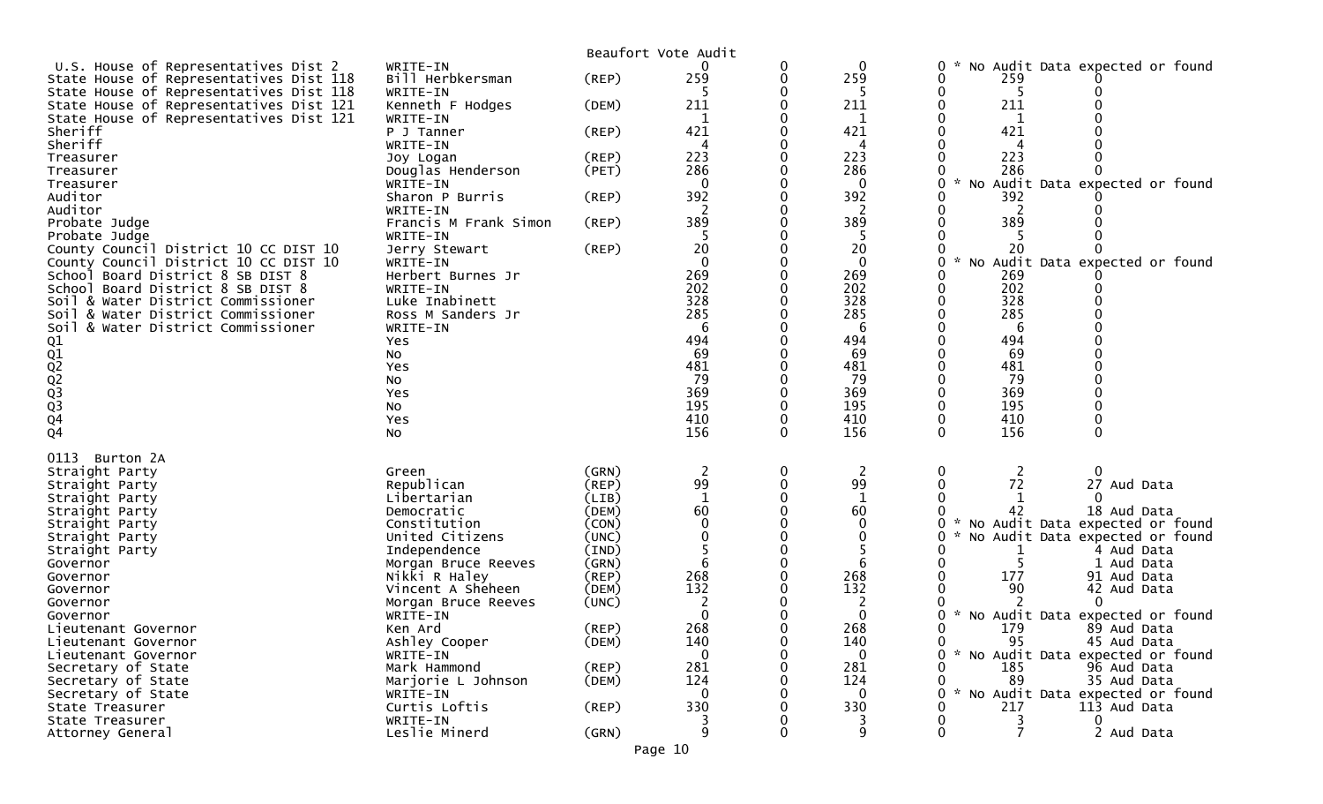|                                                                          |                               |                | Beaufort Vote Audit |          |              |                                                              |
|--------------------------------------------------------------------------|-------------------------------|----------------|---------------------|----------|--------------|--------------------------------------------------------------|
| U.S. House of Representatives Dist 2                                     | WRITE-IN                      |                |                     | 0        | $\Omega$     | No Audit Data expected or found<br>0                         |
| State House of Representatives Dist 118                                  | Bill Herbkersman              | (REP)          | 259                 |          | 259          | 259                                                          |
| State House of Representatives Dist 118                                  | WRITE-IN                      |                |                     |          |              | 5                                                            |
| State House of Representatives Dist 121                                  | Kenneth F Hodges              | (DEM)          | 211                 |          | 211          | 211                                                          |
| State House of Representatives Dist 121                                  | WRITE-IN                      |                | 1                   |          | 1            | 1                                                            |
| Sheriff                                                                  | P J Tanner                    | (REP)          | 421                 |          | 421          | 421                                                          |
| Sheriff                                                                  | WRITE-IN                      |                | 4                   |          | 4            | 4                                                            |
| Treasurer                                                                | Joy Logan                     | (REP)          | 223                 |          | 223          | 223                                                          |
| Treasurer                                                                | Douglas Henderson             | (PET)          | 286                 |          | 286          | 286                                                          |
| Treasurer                                                                | WRITE-IN                      |                | $\Omega$            |          | $\Omega$     | $\mathcal{H}$<br>Audit Data expected or found<br>No          |
| Auditor                                                                  | Sharon P Burris               | (REP)          | 392                 |          | 392          | 392                                                          |
| Auditor                                                                  | WRITE-IN                      |                |                     |          | 2            | 2                                                            |
| Probate Judge                                                            | Francis M Frank Simon         | (REP)          | 389                 |          | 389          | 389                                                          |
| Probate Judge                                                            | WRITE-IN                      |                |                     |          |              |                                                              |
| County Council District 10 CC DIST 10                                    | Jerry Stewart                 | (REP)          | 20                  |          | 20           | 20                                                           |
| County Council District 10 CC DIST 10                                    | WRITE-IN                      |                | $\mathbf{0}$<br>269 |          | $\Omega$     | Audit Data expected or found<br>NO<br>269                    |
| School Board District 8 SB DIST 8                                        | Herbert Burnes Jr             |                | 202                 |          | 269          | 202                                                          |
| School Board District 8 SB DIST 8                                        | WRITE-IN                      |                | 328                 |          | 202<br>328   | 328                                                          |
| Soil & Water District Commissioner                                       | Luke Inabinett                |                | 285                 |          | 285          | 285                                                          |
| Soil & Water District Commissioner<br>Soil & Water District Commissioner | Ross M Sanders Jr<br>WRITE-IN |                | 6                   |          | 6            | 6                                                            |
|                                                                          | Yes                           |                | 494                 |          | 494          | 494                                                          |
|                                                                          | No                            |                | 69                  |          | 69           | 69                                                           |
|                                                                          | Yes                           |                | 481                 |          | 481          | 481                                                          |
|                                                                          | No                            |                | 79                  |          | 79           | 79                                                           |
|                                                                          | Yes                           |                | 369                 |          | 369          | 369                                                          |
|                                                                          | No                            |                | 195                 |          | 195          | 195                                                          |
|                                                                          | Yes                           |                | 410                 |          | 410          | 410                                                          |
| 01<br>02<br>02<br>02<br>03<br>03<br>04<br>04                             | No                            |                | 156                 | 0        | 156          | 156                                                          |
|                                                                          |                               |                |                     |          |              |                                                              |
| 0113<br>Burton 2A                                                        |                               |                |                     |          |              |                                                              |
| Straight Party                                                           | Green                         | (GRN)          | $\overline{2}$      | 0        | 2            | 0<br>2<br>0                                                  |
| Straight Party                                                           | Republican                    | (REP)          | 99                  | $\Omega$ | 99           | 72<br>27 Aud Data                                            |
| Straight Party                                                           | Libertarian                   | (LIB)          | $\mathbf{1}$        |          | 1            |                                                              |
| Straight Party                                                           | Democratic                    | (DEM)          | 60                  |          | 60           | 42<br>18 Aud Data                                            |
| Straight Party                                                           | Constitution                  | (CON)          | $\Omega$            |          | $\Omega$     | No Audit Data expected or found                              |
| Straight Party                                                           | United Citizens               | (UNC)          |                     |          | 0            | No Audit Data expected or found                              |
| Straight Party                                                           | Independence                  | $(\text{IND})$ |                     |          |              | 4 Aud Data                                                   |
| Governor                                                                 | Morgan Bruce Reeves           | (GRN)          |                     |          | 6            | 1 Aud Data                                                   |
| Governor                                                                 | Nikki R Haley                 | $($ REP $)$    | 268                 |          | 268          | 177<br>91 Aud Data                                           |
| Governor                                                                 | Vincent A Sheheen             | (DEM)          | 132                 |          | 132          | 90<br>42 Aud Data                                            |
| Governor                                                                 | Morgan Bruce Reeves           | (UNC)          |                     |          |              | $\Omega$<br>$\mathcal{H}$                                    |
| Governor                                                                 | WRITE-IN                      |                |                     |          |              | No Audit Data expected or found                              |
| Lieutenant Governor                                                      | Ken Ard                       | (REP)          | 268                 |          | 268          | 179<br>89 Aud Data                                           |
| Lieutenant Governor                                                      | Ashley Cooper                 | (DEM)          | 140                 |          | 140          | 95<br>45 Aud Data                                            |
| Lieutenant Governor<br>Secretary of State                                | WRITE-IN<br>Mark Hammond      | (REP)          | $\mathbf{0}$<br>281 |          | $\Omega$     | * No Audit Data expected or found<br>0<br>185<br>96 Aud Data |
| Secretary of State                                                       | Marjorie L Johnson            | (DEM)          | 124                 |          | 281<br>124   | 89<br>35 Aud Data                                            |
| Secretary of State                                                       | WRITE-IN                      |                | $\mathbf{0}$        |          | $\mathbf{0}$ | $\sim$<br>No Audit Data expected or found                    |
| State Treasurer                                                          | Curtis Loftis                 | (REP)          | 330                 |          | 330          | 217<br>113 Aud Data                                          |
| State Treasurer                                                          | WRITE-IN                      |                |                     |          |              | 0                                                            |
| Attorney General                                                         | Leslie Minerd                 | (GRN)          | 9                   |          | 9            | $\overline{7}$<br>2 Aud Data                                 |
|                                                                          |                               |                |                     |          |              |                                                              |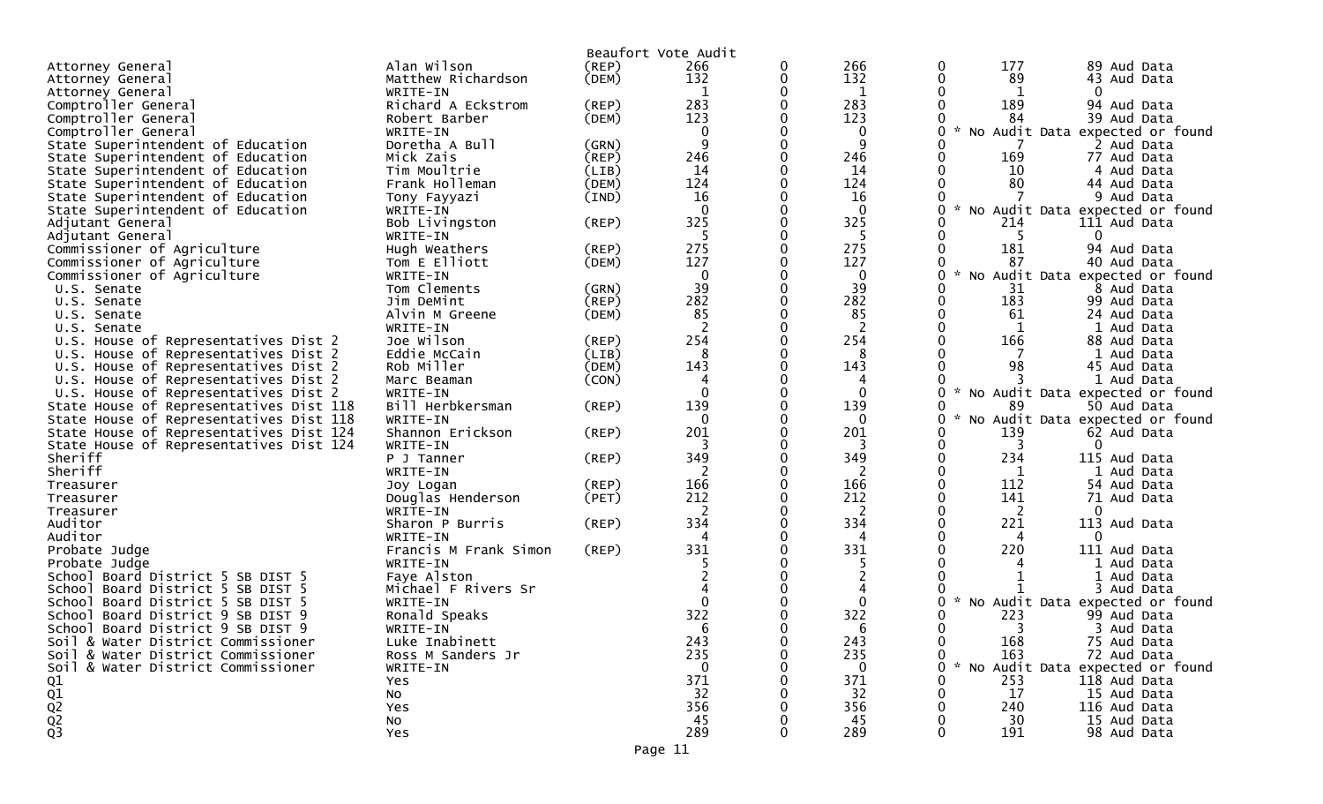|                                                  |                       |             | Beaufort Vote Audit |   |                |        |     |                                 |
|--------------------------------------------------|-----------------------|-------------|---------------------|---|----------------|--------|-----|---------------------------------|
| Attorney General                                 | Alan Wilson           | (REP)       | 266                 | 0 | 266            | 0      | 177 | 89 Aud Data                     |
| Attorney General                                 | Matthew Richardson    | (DEM)       | 132                 | 0 | 132            |        | 89  | 43 Aud Data                     |
| Attorney General                                 | WRITE-IN              |             | 1                   |   | $\mathbf 1$    |        |     |                                 |
| Comptroller General                              | Richard A Eckstrom    | (REP)       | 283                 |   | 283            |        | 189 | 94 Aud Data                     |
| Comptroller General                              | Robert Barber         | (DEM)       | 123                 |   | 123            |        | 84  | 39 Aud Data                     |
| Comptroller General                              | WRITE-IN              |             | 0                   |   | 0              | No     |     | Audit Data expected or found    |
| State Superintendent of Education                | Doretha A Bull        | (GRN)       | 9                   |   | 9              |        |     | 2 Aud Data                      |
| State Superintendent of Education                | Mick Zais             | (REP)       | 246                 |   | 246            |        | 169 | 77 Aud Data                     |
| State Superintendent of Education                | Tim Moultrie          | (LIB)       | 14                  |   | 14             |        | 10  | 4 Aud Data                      |
| State Superintendent of Education                | Frank Holleman        | (DEM)       | 124                 |   | 124            |        | 80  | 44 Aud Data                     |
| State Superintendent of Education                | Tony Fayyazi          | (IND)       | 16                  |   | 16             |        |     | 9 Aud Data                      |
|                                                  |                       |             | $\Omega$            |   | $\Omega$       |        |     |                                 |
| State Superintendent of Education                | WRITE-IN              |             | 325                 |   | 325            |        |     | No Audit Data expected or found |
| Adjutant General                                 | Bob Livingston        | (REP)       |                     |   |                |        | 214 | 111 Aud Data                    |
| Adjutant General                                 | WRITE-IN              |             | 5                   |   | -5             |        | -5  | 0                               |
| Commissioner of Agriculture                      | Hugh Weathers         | $($ REP $)$ | 275                 |   | 275            |        | 181 | 94 Aud Data                     |
| Commissioner of Agriculture                      | Tom E Elliott         | (DEM)       | 127                 |   | 127            |        | 87  | 40 Aud Data                     |
| Commissioner of Agriculture                      | WRITE-IN              |             | 0                   |   | $\mathbf 0$    |        |     | No Audit Data expected or found |
| U.S. Senate                                      | Tom Clements          | (GRN)       | 39                  | 0 | 39             |        | 31  | 8 Aud Data                      |
| U.S. Senate                                      | Jim DeMint            | (REP)       | 282                 |   | 282            |        | 183 | 99 Aud Data                     |
| U.S. Senate                                      | Alvin M Greene        | (DEM)       | 85                  |   | 85             |        | 61  | 24 Aud Data                     |
| U.S. Senate                                      | WRITE-IN              |             | 2                   |   | $\overline{2}$ |        |     | 1 Aud Data                      |
| U.S. House of Representatives Dist 2             | Joe Wilson            | (REP)       | 254                 |   | 254            |        | 166 | 88 Aud Data                     |
| House of Representatives Dist 2<br>U.S.          | Eddie McCain          | (LIB)       | 8                   |   | 8              |        |     | 1 Aud Data                      |
| U.S. House of Representatives Dist 2             | Rob Miller            | (DEM)       | 143                 | ∩ | 143            |        | 98  | 45 Aud Data                     |
| U.S. House of Representatives Dist 2             | Marc Beaman           | (CON)       | 4                   |   | 4              |        |     | 1 Aud Data                      |
| U.S. House of Representatives Dist 2             | WRITE-IN              |             | $\Omega$            |   | $\Omega$       |        |     | No Audit Data expected or found |
| State House of Representatives Dist 118          | Bill Herbkersman      | (REP)       | 139                 | 0 | 139            |        | 89  | 50 Aud Data                     |
| State House of Representatives Dist 118          | WRITE-IN              |             | $\mathbf{0}$        |   | 0              |        |     | No Audit Data expected or found |
| State House of Representatives Dist 124          | Shannon Erickson      | (REP)       | 201                 |   | 201            |        | 139 | 62 Aud Data                     |
| State House of Representatives Dist 124          | WRITE-IN              |             |                     | 0 | 3              |        | 3   | 0                               |
| Sheriff                                          | P J Tanner            | $($ REP $)$ | 349                 |   | 349            |        | 234 | 115 Aud Data                    |
| Sheriff                                          | WRITE-IN              |             | 2                   |   | 2              |        | 1   | 1 Aud Data                      |
| Treasurer                                        | Joy Logan             | (REP)       | 166                 | 0 | 166            |        | 112 | 54 Aud Data                     |
| Treasurer                                        | Douglas Henderson     | (PET)       | 212                 |   | 212            |        | 141 | 71 Aud Data                     |
| Treasurer                                        | WRITE-IN              |             | 2                   |   | 2              |        | 2   |                                 |
| Auditor                                          | Sharon P Burris       | (REP)       | 334                 |   | 334            |        | 221 | 113 Aud Data                    |
| Auditor                                          | WRITE-IN              |             | 4                   |   | 4              |        | 4   | 0                               |
| Probate Judge                                    | Francis M Frank Simon | $($ REP $)$ | 331                 |   | 331            |        | 220 | 111 Aud Data                    |
| Probate Judge                                    | WRITE-IN              |             |                     |   |                |        |     | 1 Aud Data                      |
|                                                  |                       |             |                     |   |                |        |     |                                 |
| School Board District 5 SB DIST 5                | Faye Alston           |             |                     |   |                |        |     | 1 Aud Data                      |
| School Board District 5 SB DIST 5                | Michael F Rivers Sr   |             | $\Omega$            |   |                |        |     | 3 Aud Data                      |
| Board District 5 SB DIST 5<br>School             | WRITE-IN              |             |                     |   | $\Omega$       |        |     | No Audit Data expected or found |
| Board District 9 SB DIST 9<br>Schoo <sub>1</sub> | Ronald Speaks         |             | 322                 |   | 322            |        | 223 | 99 Aud Data                     |
| School Board District 9 SB DIST 9                | WRITE-IN              |             | 6                   |   | 6              |        | 3   | 3 Aud Data                      |
| Soil & Water District Commissioner               | Luke Inabinett        |             | 243                 | 0 | 243            |        | 168 | 75 Aud Data                     |
| Soil & Water District Commissioner               | Ross M Sanders Jr     |             | 235                 |   | 235            |        | 163 | 72 Aud Data                     |
| Soil & Water District Commissioner               | WRITE-IN              |             | 0                   |   | 0              | $\sim$ |     | No Audit Data expected or found |
| Q1                                               | Yes                   |             | 371                 |   | 371            |        | 253 | 118 Aud Data                    |
|                                                  | <b>NO</b>             |             | 32                  |   | 32             |        | 17  | 15 Aud Data                     |
|                                                  | Yes                   |             | 356                 |   | 356            |        | 240 | 116 Aud Data                    |
|                                                  | No                    |             | 45                  |   | 45             |        | 30  | 15 Aud Data                     |
| $Q_1$<br>$Q_2$<br>$Q_3$                          | Yes                   |             | 289                 | 0 | 289            |        | 191 | 98 Aud Data                     |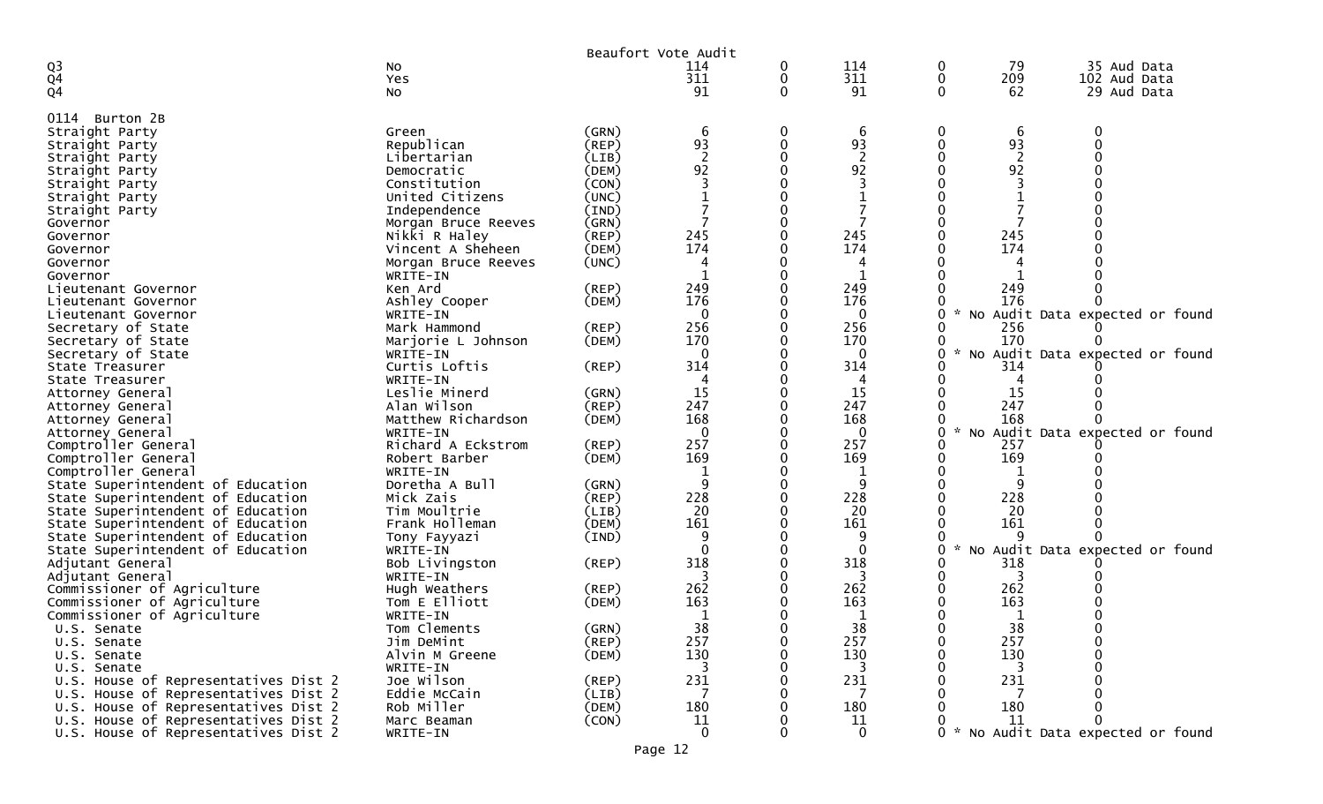|                                                                              |                          |             | Beaufort Vote Audit |   |                      |          |                |                                     |
|------------------------------------------------------------------------------|--------------------------|-------------|---------------------|---|----------------------|----------|----------------|-------------------------------------|
| Q <sub>3</sub>                                                               | NO.                      |             | 114                 | 0 | 114                  | 0        | 79             | 35 Aud Data                         |
| $\overline{Q}4$                                                              | Yes                      |             | 311                 | 0 | 311                  | 0        | 209            | 102 Aud Data                        |
| Q4                                                                           | <b>NO</b>                |             | 91                  | 0 | 91                   | $\Omega$ | 62             | 29 Aud Data                         |
| 0114 Burton 2B                                                               |                          |             |                     |   |                      |          |                |                                     |
| Straight Party                                                               | Green                    | (GRN)       | 6                   | 0 | 6                    | 0        | 6              | 0                                   |
| Straight Party                                                               | Republican               | (REP)       | 93                  | 0 | 93                   | 0        | 93             |                                     |
| Straight Party                                                               | Libertarian              | (LIB)       | $\overline{2}$      |   | $\overline{2}$       |          | $\overline{c}$ |                                     |
| Straight Party                                                               | Democratic               | (DEM)       | 92                  |   | 92                   |          | 92             |                                     |
| Straight Party                                                               | Constitution             | (CON)       |                     |   |                      |          |                |                                     |
| Straight Party                                                               | United Citizens          | (UNC)       |                     |   |                      |          |                |                                     |
| Straight Party                                                               | Independence             | (IND)       |                     |   |                      |          |                |                                     |
| Governor                                                                     | Morgan Bruce Reeves      | (GRN)       |                     |   |                      |          |                |                                     |
| Governor                                                                     | Nikki R Haley            | (REP)       | 245                 |   | 245                  |          | 245            |                                     |
| Governor                                                                     | Vincent A Sheheen        | (DEM)       | 174                 |   | 174                  |          | 174            |                                     |
| Governor                                                                     | Morgan Bruce Reeves      | (UNC)       |                     |   |                      |          |                |                                     |
| Governor                                                                     | WRITE-IN                 |             |                     |   |                      |          |                |                                     |
| Lieutenant Governor                                                          | Ken Ard                  | $($ REP $)$ | 249                 |   | 249                  |          | 249            |                                     |
| Lieutenant Governor                                                          | Ashley Cooper            | (DEM)       | 176                 |   | 176                  |          | 176            |                                     |
| Lieutenant Governor                                                          | WRITE-IN<br>Mark Hammond | (REP)       | $\mathbf{0}$<br>256 |   | $\mathbf{0}$<br>256  | 0        | 256            | * No Audit Data expected or found   |
| Secretary of State<br>Secretary of State                                     | Marjorie L Johnson       | (DEM)       | 170                 |   | 170                  |          | 170            |                                     |
| Secretary of State                                                           | WRITE-IN                 |             | $\mathbf{0}$        |   | $\mathbf{0}$         | 0        |                | * No Audit Data expected or found   |
| State Treasurer                                                              | Curtis Loftis            | $($ REP $)$ | 314                 |   | 314                  |          | 314            |                                     |
| State Treasurer                                                              | WRITE-IN                 |             | 4                   |   | 4                    |          |                |                                     |
| Attorney General                                                             | Leslie Minerd            | (GRN)       | 15                  |   | 15                   |          | 15             |                                     |
| Attorney General                                                             | Alan Wilson              | $($ REP $)$ | 247                 |   | 247                  |          | 247            |                                     |
| Attorney General                                                             | Matthew Richardson       | (DEM)       | 168                 |   | 168                  |          | 168            |                                     |
| Attorney General                                                             | WRITE-IN                 |             | $\mathbf 0$         |   | $\mathbf 0$          | 0        |                | No Audit Data expected or found     |
| Comptroller General                                                          | Richard A Eckstrom       | (REP)       | 257                 |   | 257                  |          | 257            |                                     |
| Comptroller General                                                          | Robert Barber            | (DEM)       | 169                 |   | 169                  |          | 169            |                                     |
| Comptroller General                                                          | WRITE-IN                 |             |                     |   | 1                    |          |                |                                     |
| State Superintendent of Education                                            | Doretha A Bull           | (GRN)       | 9                   |   | 9                    |          |                |                                     |
| State Superintendent of Education                                            | Mick Zais                | (REP)       | 228                 |   | 228                  |          | 228            |                                     |
| State Superintendent of Education                                            | Tim Moultrie             | (LIB)       | 20                  |   | 20                   |          | 20             |                                     |
| State Superintendent of Education                                            | Frank Holleman           | (DEM)       | 161<br>q            |   | 161<br>9             |          | 161            |                                     |
| State Superintendent of Education<br>State Superintendent of Education       | Tony Fayyazi<br>WRITE-IN | (IND)       | $\Omega$            |   | $\mathbf{0}$         | 0        |                | No Audit Data expected or found     |
| Adjutant General                                                             | Bob Livingston           | (REP)       | 318                 |   | 318                  |          | 318            |                                     |
| Adjutant General                                                             | WRITE-IN                 |             |                     |   | 3                    | 0        | 3              |                                     |
| Commissioner of Agriculture                                                  | Hugh Weathers            | (REP)       | 262                 |   | 262                  |          | 262            |                                     |
| Commissioner of Agriculture                                                  | Tom E Elliott            | (DEM)       | 163                 |   | 163                  |          | 163            |                                     |
| Commissioner of Agriculture                                                  | WRITE-IN                 |             | 1                   |   | 1                    |          | 1              |                                     |
| U.S. Senate                                                                  | Tom Clements             | (GRN)       | 38                  |   | 38                   | 0        | 38             |                                     |
| U.S. Senate                                                                  | Jim DeMint               | (REP)       | 257                 | 0 | 257                  | 0        | 257            | $\Omega$                            |
| U.S. Senate                                                                  | Alvin M Greene           | (DEM)       | 130                 | 0 | 130                  | 0        | 130            |                                     |
| U.S. Senate                                                                  | WRITE-IN                 |             | 3                   |   | 3                    |          | 3              |                                     |
| U.S. House of Representatives Dist 2                                         | Joe Wilson               | (REP)       | 231                 |   | 231                  |          | 231            |                                     |
| U.S. House of Representatives Dist 2                                         | Eddie McCain             | (LIB)       | 7                   |   | 7                    |          |                |                                     |
| U.S. House of Representatives Dist 2                                         | Rob Miller               | (DEM)       | 180                 |   | 180                  |          | 180            |                                     |
| U.S. House of Representatives Dist 2<br>U.S. House of Representatives Dist 2 | Marc Beaman              | (CON)       | 11<br>$\Omega$      | U | 11<br>$\overline{0}$ |          | 11             | $\Omega$                            |
|                                                                              | WRITE-IN                 |             |                     |   |                      |          |                | 0 * No Audit Data expected or found |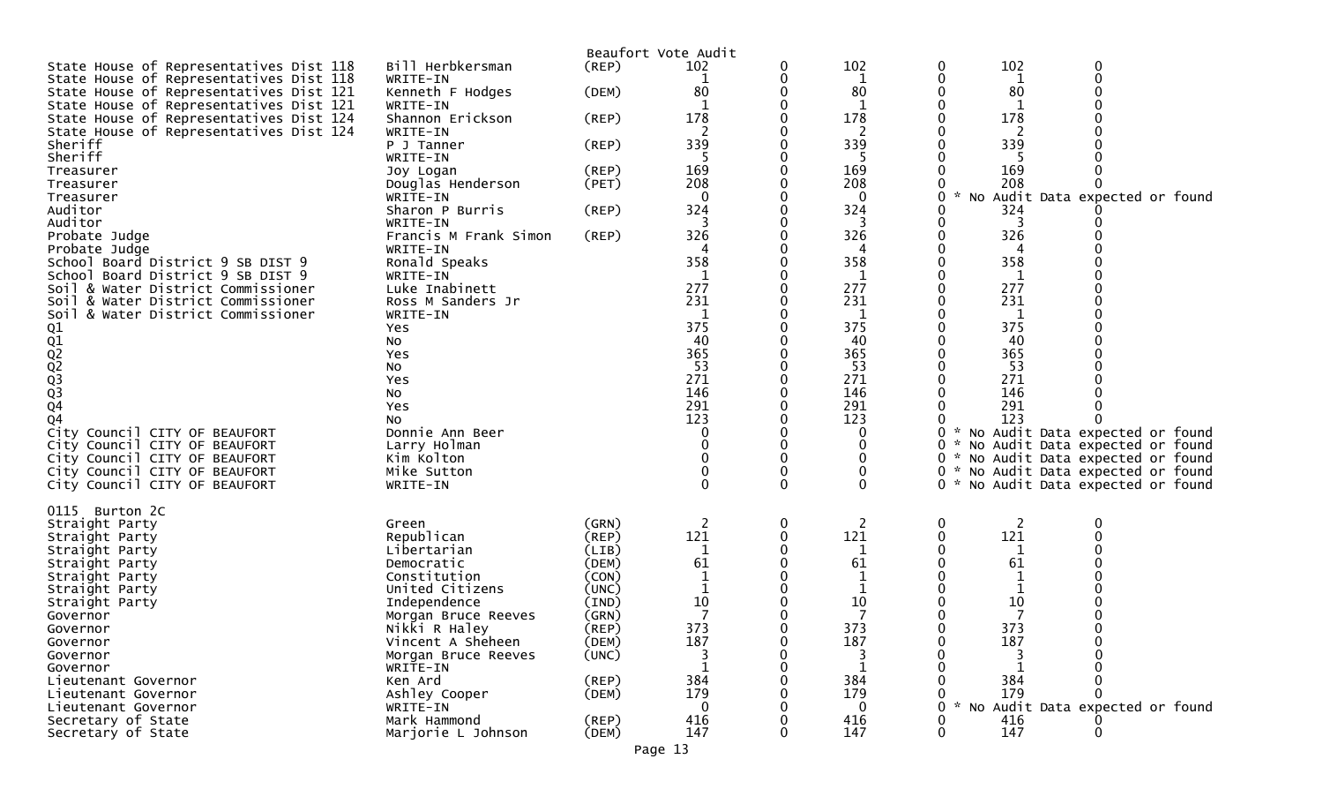|                                         |                             |             | Beaufort Vote Audit |          |                 |                                                  |
|-----------------------------------------|-----------------------------|-------------|---------------------|----------|-----------------|--------------------------------------------------|
| State House of Representatives Dist 118 | Bill Herbkersman            | (REP)       | 102                 |          | 102             | 102<br>0<br>0                                    |
| State House of Representatives Dist 118 | WRITE-IN                    |             |                     |          | 1               | $\mathbf 0$<br>0<br>1                            |
| State House of Representatives Dist 121 | Kenneth F Hodges            | (DEM)       | 80                  |          | 80              | 80                                               |
| State House of Representatives Dist 121 | WRITE-IN                    |             |                     |          | 1               |                                                  |
| State House of Representatives Dist 124 | Shannon Erickson            | (REP)       | 178                 |          | 178             | 178                                              |
| State House of Representatives Dist 124 | WRITE-IN                    |             |                     |          | 2               |                                                  |
| Sheriff                                 | P J Tanner                  | (REP)       | 339                 |          | 339             | 339                                              |
| Sheriff                                 | WRITE-IN                    |             | 5                   |          | -5              | -5                                               |
| Treasurer                               | Joy Logan                   | (REP)       | 169                 |          | 169             | 169                                              |
| Treasurer                               | Douglas Henderson           | (PET)       | 208<br>0            |          | 208<br>$\Omega$ | 208                                              |
| Treasurer<br>Auditor                    | WRITE-IN<br>Sharon P Burris | (REP)       | 324                 |          | 324             | * No Audit Data expected or found<br>0<br>324    |
| Auditor                                 | WRITE-IN                    |             | 3                   |          |                 |                                                  |
| Probate Judge                           | Francis M Frank Simon       | (REP)       | 326                 |          | 326             | 326                                              |
| Probate Judge                           | WRITE-IN                    |             | 4                   |          | 4               | 4                                                |
| School Board District 9 SB DIST 9       | Ronald Speaks               |             | 358                 |          | 358             | 358                                              |
| School Board District 9 SB DIST 9       | WRITE-IN                    |             | 1                   |          | 1               | 1                                                |
| Soil & Water District Commissioner      | Luke Inabinett              |             | 277                 |          | 277             | 277                                              |
| Soil & Water District Commissioner      | Ross M Sanders Jr           |             | 231                 |          | 231             | 231                                              |
| & Water District Commissioner<br>Soil   | WRITE-IN                    |             | $\mathbf 1$         |          | $\mathbf{1}$    | 1                                                |
|                                         | Yes                         |             | 375                 |          | 375             | 375                                              |
|                                         | No                          |             | 40                  |          | 40              | 40                                               |
|                                         | Yes                         |             | 365                 |          | 365             | 365                                              |
|                                         | No                          |             | 53<br>271           |          | 53<br>271       | 53<br>271                                        |
|                                         | Yes<br>No                   |             | 146                 |          | 146             | 146                                              |
| 01<br>02<br>02<br>03<br>03<br>03<br>04  | Yes                         |             | 291                 |          | 291             | 291                                              |
| Q4                                      | No                          |             | 123                 |          | 123             | 123                                              |
| City Council CITY OF BEAUFORT           | Donnie Ann Beer             |             | 0                   |          | 0               | * No Audit Data expected or found                |
| City Council CITY OF BEAUFORT           | Larry Holman                |             |                     |          |                 | 0<br>* No Audit Data expected or found           |
| City Council CITY OF BEAUFORT           | Kim Kolton                  |             |                     |          | 0               | * No Audit Data expected or found<br>0           |
| City Council CITY OF BEAUFORT           | Mike Sutton                 |             |                     |          | 0               | 0<br>* No Audit Data expected or found           |
| City Council CITY OF BEAUFORT           | WRITE-IN                    |             | 0                   | $\Omega$ | $\Omega$        | 0 * No Audit Data expected or found              |
|                                         |                             |             |                     |          |                 |                                                  |
| 0115 Burton 2C                          | Green                       | (GRN)       | 2                   | 0        | 2               | 0<br>2<br>0                                      |
| Straight Party<br>Straight Party        | Republican                  | (REP)       | 121                 |          | 121             | 121                                              |
| Straight Party                          | Libertarian                 | (LIB)       | 1                   |          | 1               | 1                                                |
| Straight Party                          | Democratic                  | (DEM)       | 61                  |          | 61              | 61                                               |
| Straight Party                          | Constitution                | (CON)       |                     |          |                 | 1                                                |
| Straight Party                          | United Citizens             | (UNC)       |                     |          |                 |                                                  |
| Straight Party                          | Independence                | (IND)       | 10                  |          | 10              | 10                                               |
| Governor                                | Morgan Bruce Reeves         | (GRN)       | $\overline{7}$      |          |                 | 7                                                |
| Governor                                | Nikki R Haley               | (REP)       | 373                 |          | 373             | 373                                              |
| Governor                                | Vincent A Sheheen           | (DEM)       | 187                 |          | 187             | 187                                              |
| Governor                                | Morgan Bruce Reeves         | (UNC)       |                     |          | 3               |                                                  |
| Governor<br>Lieutenant Governor         | WRITE-IN<br>Ken Ard         | (REP)       | 384                 |          | 1<br>384        | 384                                              |
| Lieutenant Governor                     | Ashley Cooper               | (DEM)       | 179                 |          | 179             | 179                                              |
| Lieutenant Governor                     | WRITE-IN                    |             | $\Omega$            |          | $\Omega$        | $\mathcal{H}$<br>No Audit Data expected or found |
| Secretary of State                      | Mark Hammond                | $($ REP $)$ | 416                 |          | 416             | 416                                              |
| Secretary of State                      | Marjorie L Johnson          | (DEM)       | 147                 |          | 147             | 147<br>0                                         |
|                                         |                             |             |                     |          |                 |                                                  |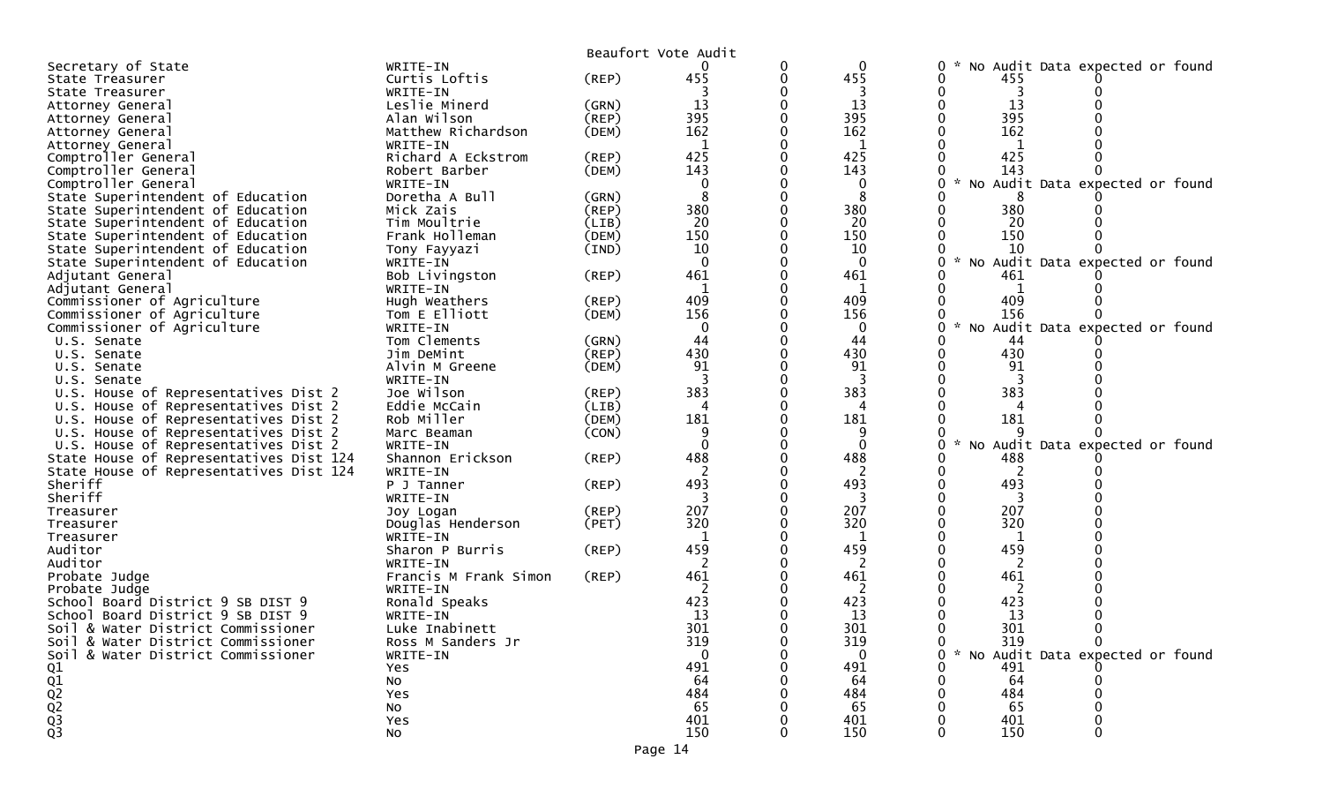|                                         |                       |             | Beaufort Vote Audit |   |              |                                                     |
|-----------------------------------------|-----------------------|-------------|---------------------|---|--------------|-----------------------------------------------------|
| Secretary of State                      | WRITE-IN              |             |                     | 0 | $\mathbf 0$  | No Audit Data expected or found<br>0                |
| State Treasurer                         | Curtis Loftis         | $($ REP $)$ | 455                 | 0 | 455          | 455                                                 |
| State Treasurer                         | WRITE-IN              |             |                     |   |              |                                                     |
| Attorney General                        | Leslie Minerd         | (GRN)       | 13                  |   | 13           | 13                                                  |
| Attorney General                        | Alan Wilson           | (REP)       | 395                 |   | 395          | 395                                                 |
| Attorney General                        | Matthew Richardson    | (DEM)       | 162                 |   | 162          | 162                                                 |
| Attorney General                        | WRITE-IN              |             | $\mathbf{1}$        |   | 1            | 1                                                   |
| Comptroller General                     | Richard A Eckstrom    | (REP)       | 425                 |   | 425          | 425                                                 |
| Comptroller General                     | Robert Barber         | (DEM)       | 143                 |   | 143          | 143                                                 |
| Comptroller General                     | WRITE-IN              |             | $\mathbf{0}$        |   | $\Omega$     | $\mathcal{H}$<br>Audit Data expected or found<br>No |
| State Superintendent of Education       | Doretha A Bull        | (GRN)       | 8                   |   |              |                                                     |
| State Superintendent of Education       | Mick Zais             | (REP)       | 380                 |   | 380          | 380                                                 |
| State Superintendent of Education       | Tim Moultrie          | (LIB)       | 20                  |   | 20           | 20                                                  |
| State Superintendent of Education       | Frank Holleman        | (DEM)       | 150                 |   | 150          | 150                                                 |
| State Superintendent of Education       | Tony Fayyazi          | (IND)       | 10                  |   | 10           | 10                                                  |
| State Superintendent of Education       | WRITE-IN              |             | $\mathbf{0}$        |   | $\mathbf{0}$ | $\mathcal{H}$<br>No Audit Data expected or found    |
| Adjutant General                        | Bob Livingston        | (REP)       | 461                 |   | 461          | 461                                                 |
| Adjutant General                        | WRITE-IN              |             | 1                   |   | 1            | 1                                                   |
| Commissioner of Agriculture             | Hugh Weathers         | (REP)       | 409                 |   | 409          | 409                                                 |
| Commissioner of Agriculture             | Tom E Elliott         | (DEM)       | 156                 |   | 156          | 156                                                 |
| Commissioner of Agriculture             | WRITE-IN              |             | $\mathbf{0}$        |   | $\Omega$     | Audit Data expected or found<br><b>NO</b>           |
| U.S. Senate                             | Tom Clements          | (GRN)       | 44                  |   | 44           | 44                                                  |
| U.S. Senate                             | Jim DeMint            | (REP)       | 430                 |   | 430          | 430                                                 |
| U.S. Senate                             | Alvin M Greene        | (DEM)       | 91                  |   | 91           | 91                                                  |
| U.S. Senate                             | WRITE-IN              |             |                     |   | 3            |                                                     |
| U.S. House of Representatives Dist 2    | Joe Wilson            | $($ REP $)$ | 383                 |   | 383          | 383                                                 |
| U.S. House of Representatives Dist 2    | Eddie McCain          | (LIB)       | 4                   |   | 4            |                                                     |
| U.S. House of Representatives Dist 2    | Rob Miller            | (DEM)       | 181                 |   | 181          | 181                                                 |
| U.S. House of Representatives Dist 2    | Marc Beaman           | (CON)       | 9                   |   |              |                                                     |
| U.S. House of Representatives Dist 2    | WRITE-IN              |             | $\Omega$            |   | $\Omega$     | No Audit Data expected or found                     |
| State House of Representatives Dist 124 | Shannon Erickson      | (REP)       | 488                 |   | 488          | 488                                                 |
| State House of Representatives Dist 124 | WRITE-IN              |             |                     |   |              | 2                                                   |
| Sheriff                                 | P J Tanner            | (REP)       | 493                 |   | 493          | 493                                                 |
| Sheriff                                 | WRITE-IN              |             | 3                   |   | 3            | 3                                                   |
| Treasurer                               | Joy Logan             | (REP)       | 207                 |   | 207          | 207                                                 |
| Treasurer                               | Douglas Henderson     | (PET)       | 320                 |   | 320          | 320                                                 |
| Treasurer                               | WRITE-IN              |             | -1                  |   |              | 1                                                   |
| Auditor                                 | Sharon P Burris       | (REP)       | 459                 |   | 459          | 459                                                 |
| Auditor                                 | WRITE-IN              |             | 2                   |   | 2            | 2                                                   |
| Probate Judge                           | Francis M Frank Simon | (REP)       | 461                 |   | 461          | 461                                                 |
| Probate Judge                           | WRITE-IN              |             |                     |   | 2            | 2                                                   |
| School Board District 9 SB DIST 9       | Ronald Speaks         |             | 423                 |   | 423          | 423                                                 |
| School Board District 9 SB DIST 9       | WRITE-IN              |             | 13                  |   | 13           | 13                                                  |
| Soil & Water District Commissioner      | Luke Inabinett        |             | 301                 |   | 301          | 301                                                 |
| Soil & Water District Commissioner      | Ross M Sanders Jr     |             | 319                 | 0 | 319          | $\Omega$<br>319<br>0                                |
| Soil & Water District Commissioner      | WRITE-IN              |             |                     |   | $\Omega$     | * No Audit Data expected or found                   |
| Q1                                      | Yes                   |             | 491                 |   | 491          | 491                                                 |
|                                         | No                    |             | 64                  |   | 64           | 64                                                  |
|                                         | Yes                   |             | 484                 |   | 484          | 484                                                 |
|                                         | NO.                   |             | 65                  |   | 65           | 65                                                  |
| $Q_2$<br>$Q_2$<br>$Q_3$<br>$Q_3$        | Yes                   |             | 401                 |   | 401          | 401                                                 |
|                                         | NO.                   |             | 150                 |   | 150          | 150                                                 |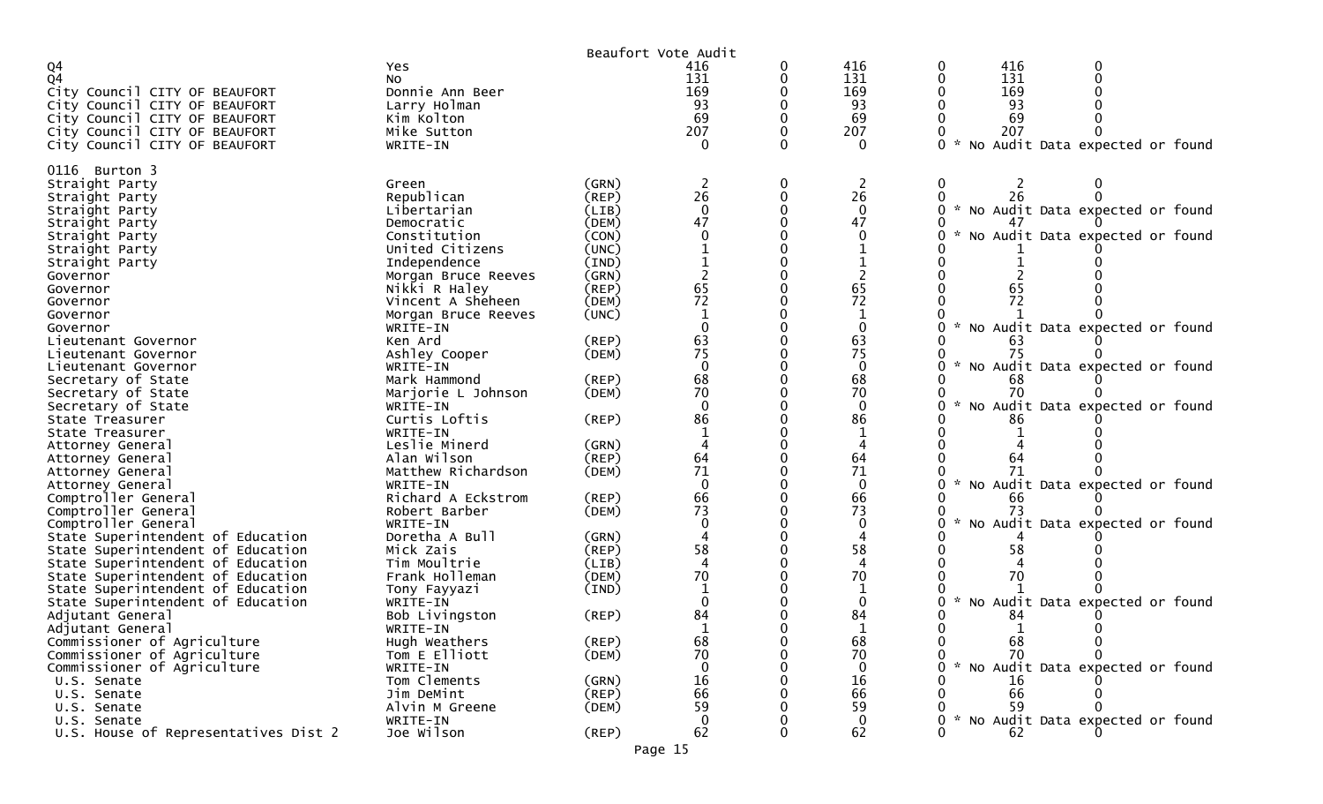|                                      |                     |             | Beaufort Vote Audit |   |                        |                                                  |
|--------------------------------------|---------------------|-------------|---------------------|---|------------------------|--------------------------------------------------|
| Q4                                   | Yes                 |             | 416                 | 0 | 416                    | 416<br>0                                         |
| Q <sub>4</sub>                       | NO.                 |             | 131                 |   | 131                    | 131<br>$\Omega$<br>0                             |
| City Council CITY OF BEAUFORT        | Donnie Ann Beer     |             | 169                 |   | 169                    | 169                                              |
| City Council CITY OF BEAUFORT        | Larry Holman        |             | 93                  |   | 93                     | 93                                               |
| City Council CITY OF BEAUFORT        | Kim Kolton          |             | 69                  |   | 69                     | 69                                               |
| City Council CITY OF BEAUFORT        | Mike Sutton         |             | 207                 |   | 207                    | 207                                              |
| City Council CITY OF BEAUFORT        | WRITE-IN            |             | $\Omega$            | 0 | $\Omega$               | ი ∗<br>No Audit Data expected or found           |
|                                      |                     |             |                     |   |                        |                                                  |
| 0116 Burton 3                        |                     |             |                     |   |                        |                                                  |
| Straight Party                       | Green               | (GRN)       |                     |   |                        | 0                                                |
| Straight Party                       | Republican          | (REP)       | 26                  | 0 | 26                     | 0<br>26                                          |
| Straight Party                       | Libertarian         | (LIB)       | $\Omega$            |   | $\mathbf{0}$           | $\mathcal{H}$<br>No Audit Data expected or found |
| Straight Party                       | Democratic          | (DEM)       | 47                  |   | 47                     |                                                  |
| Straight Party                       | Constitution        | (CON)       |                     |   | 0                      | No Audit Data expected or found                  |
| Straight Party                       | United Citizens     | (UNC)       |                     |   |                        |                                                  |
| Straight Party                       | Independence        | (IND)       |                     |   |                        |                                                  |
| Governor                             | Morgan Bruce Reeves | (GRN)       |                     |   |                        |                                                  |
| Governor                             | Nikki R Haley       | (REP)       | 65                  |   | 65                     | 65                                               |
|                                      | Vincent A Sheheen   | (DEM)       | $\overline{72}$     |   | 72                     | 72                                               |
| Governor<br>Governor                 |                     |             |                     |   | 1                      |                                                  |
|                                      | Morgan Bruce Reeves | (UNC)       |                     |   | $\Omega$               |                                                  |
| Governor                             | WRITE-IN            |             |                     |   |                        | No Audit Data expected or found                  |
| Lieutenant Governor                  | Ken Ard             | $($ REP $)$ | 63                  |   | 63                     |                                                  |
| Lieutenant Governor                  | Ashley Cooper       | (DEM)       | 75                  |   | 75                     | 75                                               |
| Lieutenant Governor                  | WRITE-IN            |             | $\Omega$            |   | $\mathbf{0}$           | No Audit Data expected or found                  |
| Secretary of State                   | Mark Hammond        | $($ REP $)$ | 68                  |   | 68                     | 68                                               |
| Secretary of State                   | Marjorie L Johnson  | (DEM)       | 70                  |   | 70                     | 70                                               |
| Secretary of State                   | WRITE-IN            |             | $\Omega$            |   | $\Omega$               | No Audit Data expected or found<br>0             |
| State Treasurer                      | Curtis Loftis       | $($ REP $)$ | 86                  |   | 86                     | 86                                               |
| State Treasurer                      | WRITE-IN            |             |                     |   | 1                      |                                                  |
| Attorney General                     | Leslie Minerd       | (GRN)       |                     |   |                        |                                                  |
| Attorney General                     | Alan Wilson         | $($ REP $)$ | 64                  |   | 64                     | 64                                               |
| Attorney General                     | Matthew Richardson  | (DEM)       | 71                  |   | 71                     |                                                  |
| Attorney General                     | WRITE-IN            |             | $\Omega$            |   | $\Omega$               | No Audit Data expected or found                  |
| Comptroller General                  | Richard A Eckstrom  | $($ REP $)$ | 66                  |   | 66                     | 66                                               |
| Comptroller General                  | Robert Barber       | (DEM)       | 73                  |   | 73                     | 73                                               |
| Comptroller General                  | WRITE-IN            |             | $\Omega$            |   | $\mathbf{0}$           | No Audit Data expected or found<br>0             |
| State Superintendent of Education    | Doretha A Bull      | (GRN)       |                     |   | $\boldsymbol{\Lambda}$ |                                                  |
| State Superintendent of Education    | Mick Zais           | (REP)       | 58                  |   | 58                     | 58                                               |
| State Superintendent of Education    | Tim Moultrie        | (LIB)       |                     |   |                        |                                                  |
| State Superintendent of Education    | Frank Holleman      | (DEM)       | 70                  |   | 70                     | 70                                               |
| State Superintendent of Education    | Tony Fayyazi        | (IND)       |                     |   | 1                      |                                                  |
| State Superintendent of Education    | WRITE-IN            |             | $\Omega$            |   | $\mathbf{0}$           | No Audit Data expected or found                  |
| Adjutant General                     | Bob Livingston      | (REP)       | 84                  |   | 84                     | 84                                               |
| Adjutant General                     |                     |             |                     |   | $\mathbf{1}$           | 1                                                |
| Commissioner of Agriculture          | WRITE-IN            | (REP)       |                     |   |                        | 0                                                |
|                                      | Hugh Weathers       |             | 68                  |   | ხბ                     | 0<br>68<br>70<br>0                               |
| Commissioner of Agriculture          | Tom E Elliott       | (DEM)       | 70                  |   | 70                     | 0<br>$\mathcal{H}$                               |
| Commissioner of Agriculture          | WRITE-IN            |             | $\mathbf{0}$        |   | $\Omega$               | 0<br>No Audit Data expected or found             |
| U.S. Senate                          | Tom Clements        | (GRN)       | 16                  |   | 16                     | 16                                               |
| U.S. Senate                          | Jim DeMint          | (REP)       | 66                  |   | 66                     | 66                                               |
| U.S. Senate                          | Alvin M Greene      | (DEM)       | 59                  |   | 59                     | 59                                               |
| U.S. Senate                          | WRITE-IN            |             | $\mathbf 0$         |   | $\mathbf 0$            | No Audit Data expected or found<br>0             |
| U.S. House of Representatives Dist 2 | Joe Wilson          | $($ REP $)$ | 62                  | 0 | 62                     | 62<br>0                                          |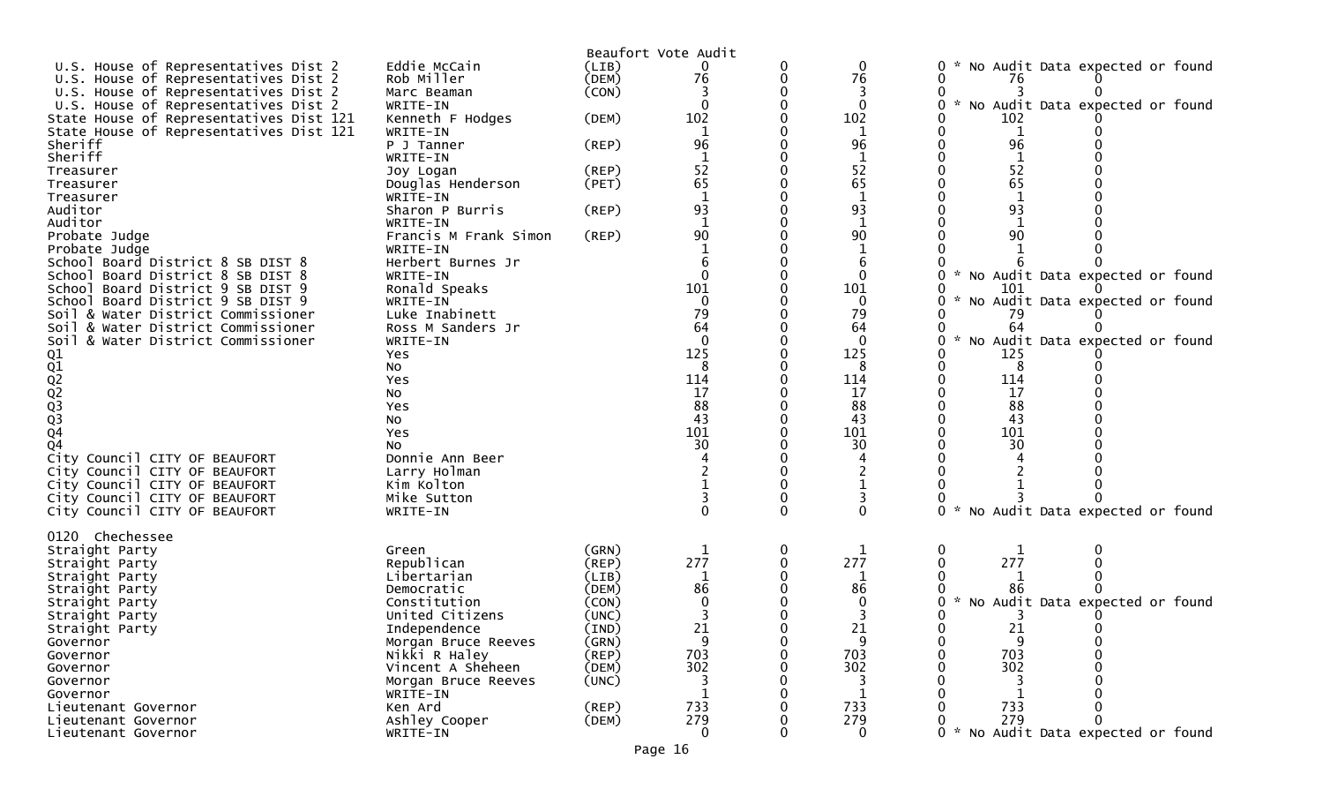|                                         |                       |             | Beaufort Vote Audit |   |              |                                                  |
|-----------------------------------------|-----------------------|-------------|---------------------|---|--------------|--------------------------------------------------|
| U.S. House of Representatives Dist 2    | Eddie McCain          | (LIB)       | 0                   | 0 | 0            | No Audit Data expected or found                  |
| U.S. House of Representatives Dist 2    | Rob Miller            | (DEM)       | 76                  | 0 | 76           | 76                                               |
| U.S. House of Representatives Dist 2    | Marc Beaman           | (CON)       |                     |   |              |                                                  |
| U.S. House of Representatives Dist 2    | WRITE-IN              |             | $\Omega$            |   | $\mathbf{0}$ | * No Audit Data expected or found                |
| State House of Representatives Dist 121 | Kenneth F Hodges      | (DEM)       | 102                 |   | 102          | 102                                              |
| State House of Representatives Dist 121 | WRITE-IN              |             | 1                   |   | 1            | 1                                                |
| Sheriff                                 | P J Tanner            | (REP)       | 96                  |   | 96           | 96                                               |
| <b>Sheriff</b>                          | WRITE-IN              |             |                     |   |              |                                                  |
| Treasurer                               | Joy Logan             | $($ REP $)$ | 52                  |   | 52           | 52                                               |
| Treasurer                               | Douglas Henderson     | (PET)       | 65                  |   | 65           | 65                                               |
| Treasurer                               | WRITE-IN              |             |                     |   |              |                                                  |
| Auditor                                 | Sharon P Burris       | (REP)       | 93                  |   | 93           | 93                                               |
| Auditor                                 | WRITE-IN              |             | $\mathbf{1}$        |   | $\mathbf 1$  |                                                  |
| Probate Judge                           | Francis M Frank Simon | (REP)       | 90                  |   | 90           | 90                                               |
| Probate Judge                           | WRITE-IN              |             |                     |   |              |                                                  |
| School Board District 8 SB DIST 8       | Herbert Burnes Jr     |             |                     |   | 6            |                                                  |
| School Board District 8 SB DIST 8       | WRITE-IN              |             | $\Omega$            |   | $\Omega$     | No Audit Data expected or found                  |
| School<br>Board District 9 SB DIST 9    | Ronald Speaks         |             | 101                 |   | 101          | 101                                              |
| School Board District 9 SB DIST 9       | WRITE-IN              |             | $\Omega$            |   | $\mathbf{0}$ | No Audit Data expected or found                  |
| Soil & Water District Commissioner      | Luke Inabinett        |             | 79                  |   | 79           | 79                                               |
| & Water District Commissioner<br>Soil   | Ross M Sanders Jr     |             | 64                  |   | 64           | 64                                               |
| & Water District Commissioner<br>Soil   | WRITE-IN              |             | $\Omega$            |   | $\Omega$     | $\sim$<br>No Audit Data expected or found        |
|                                         | <b>Yes</b>            |             | 125                 |   | 125          | 125                                              |
|                                         | No                    |             | 8                   |   | 8            | 8                                                |
|                                         | Yes                   |             | 114                 |   | 114          | 114                                              |
| 01<br>02<br>02<br>02<br>03<br>03<br>04  | NO.                   |             | 17                  |   | 17           | 17                                               |
|                                         | Yes                   |             | 88                  |   | 88           | 88                                               |
|                                         | No                    |             | 43                  |   | 43           | 43                                               |
|                                         | Yes                   |             | 101                 |   | 101          | 101                                              |
| Q <sub>4</sub>                          | No                    |             | 30                  |   | 30           | 30                                               |
| City Council CITY OF BEAUFORT           | Donnie Ann Beer       |             |                     |   |              |                                                  |
| City Council CITY OF BEAUFORT           | Larry Holman          |             |                     |   |              |                                                  |
| City Council CITY OF BEAUFORT           | Kim Kolton            |             |                     |   |              |                                                  |
| City Council CITY OF BEAUFORT           | Mike Sutton           |             |                     |   |              |                                                  |
| City Council CITY OF BEAUFORT           | WRITE-IN              |             | $\Omega$            |   |              | $\mathcal{H}$<br>No Audit Data expected or found |
|                                         |                       |             |                     |   |              |                                                  |
| 0120 Chechessee                         |                       |             |                     |   |              |                                                  |
| Straight Party                          | Green                 | (GRN)       | 1                   | 0 |              | 1                                                |
| Straight Party                          | Republican            | $($ REP $)$ | 277                 |   | 277          | 277                                              |
| Straight Party                          | Libertarian           | (LIB)       |                     |   |              |                                                  |
| Straight Party                          | Democratic            | (DEM)       | 86                  |   | 86           |                                                  |
| Straight Party                          | Constitution          | (CON)       |                     |   |              | No Audit Data expected or found                  |
| Straight Party                          | United Citizens       | (UNC)       |                     |   |              |                                                  |
| Straight Party                          | Independence          | (IND)       | 21                  |   | 21           | 21                                               |
| Governor                                | Morgan Bruce Reeves   | (GRN)       | 9                   | 0 | 9            | 9                                                |
| Governor                                | Nikki R Haley         | (REP)       | 703                 |   | 703          | 703                                              |
| Governor                                | Vincent A Sheheen     | (DEM)       | 302                 |   | 302          | 302                                              |
| Governor                                | Morgan Bruce Reeves   | (UNC)       |                     |   |              |                                                  |
| Governor                                | WRITE-IN              |             |                     |   |              |                                                  |
| Lieutenant Governor                     | Ken Ard               | $($ REP $)$ | 733                 |   | 733          | 733                                              |
| Lieutenant Governor                     | Ashley Cooper         | (DEM)       | 279                 |   | 279          | 279                                              |
| Lieutenant Governor                     | WRITE-IN              |             | $\mathbf{0}$        |   | 0            | No Audit Data expected or found                  |
|                                         |                       |             |                     |   |              |                                                  |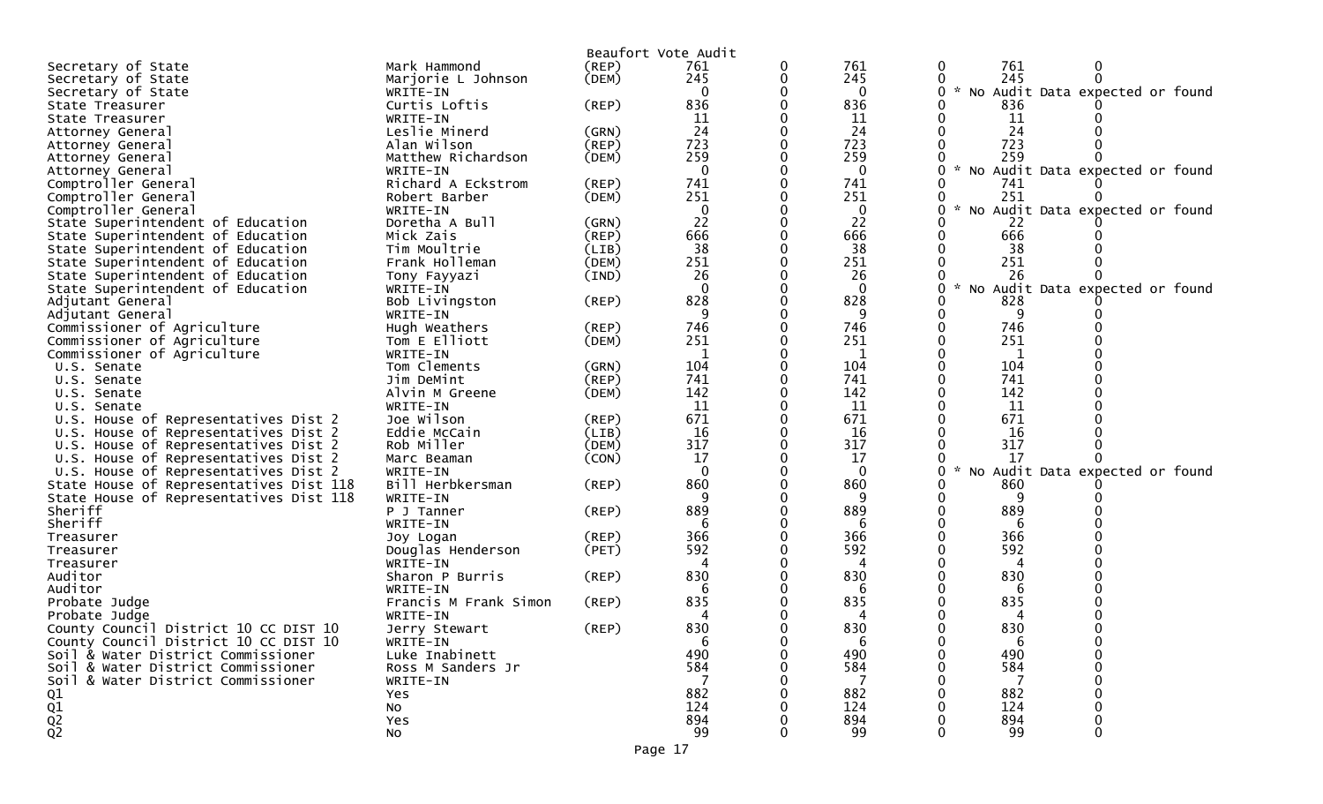|                                         |                       |             | Beaufort Vote Audit |              |                    |                                 |  |
|-----------------------------------------|-----------------------|-------------|---------------------|--------------|--------------------|---------------------------------|--|
| Secretary of State                      | Mark Hammond          | (REP)       | 761                 | 761          | 761<br>0           | 0                               |  |
| Secretary of State                      | Marjorie L Johnson    | (DEM)       | 245                 | 245          | 245                | $\Omega$                        |  |
| Secretary of State                      | WRITE-IN              |             | $\Omega$            | 0            | $\mathcal{H}$<br>0 | No Audit Data expected or found |  |
| State Treasurer                         | Curtis Loftis         | (REP)       | 836                 | 836          | 836                |                                 |  |
| State Treasurer                         | WRITE-IN              |             | 11                  | 11           | 11                 |                                 |  |
| Attorney General                        | Leslie Minerd         | (GRN)       | 24                  | 24           | 24                 |                                 |  |
| Attorney General                        | Alan Wilson           | (REP)       | 723                 | 723          | 723                |                                 |  |
| Attorney General                        | Matthew Richardson    | (DEM)       | 259                 | 259          | 259                |                                 |  |
| Attorney General                        | WRITE-IN              |             | $\Omega$            | $\Omega$     | $\mathcal{H}$      | No Audit Data expected or found |  |
| Comptroller General                     | Richard A Eckstrom    | (REP)       | 741                 | 741          | 741                |                                 |  |
| Comptroller General                     | Robert Barber         | (DEM)       | 251                 | 251          | 251                |                                 |  |
| Comptroller General                     | WRITE-IN              |             | $\mathbf 0$         | $\bf{0}$     | $\sim$             | No Audit Data expected or found |  |
| State Superintendent of Education       | Doretha A Bull        | (GRN)       | 22                  | 22           | 22                 |                                 |  |
| State Superintendent of Education       | Mick Zais             | $($ REP $)$ | 666                 | 666          | 666                |                                 |  |
| State Superintendent of Education       | Tim Moultrie          | (LIB)       | 38                  | 38           | 38                 |                                 |  |
| State Superintendent of Education       | Frank Holleman        | (DEM)       | 251                 | 251          | 251                |                                 |  |
| State Superintendent of Education       | Tony Fayyazi          | (IND)       | 26                  | 26           | 26                 |                                 |  |
| State Superintendent of Education       | WRITE-IN              |             | $\Omega$            | 0            |                    | No Audit Data expected or found |  |
| Adjutant General                        | Bob Livingston        | (REP)       | 828                 | 828          | 828                |                                 |  |
| Adjutant General                        | WRITE-IN              |             | 9                   | 9            | 9                  |                                 |  |
|                                         | Hugh Weathers         |             | 746                 | 746          | 746                |                                 |  |
| Commissioner of Agriculture             |                       | (REP)       | 251                 | 251          | 251                |                                 |  |
| Commissioner of Agriculture             | Tom E Elliott         | (DEM)       | 1                   |              |                    |                                 |  |
| Commissioner of Agriculture             | WRITE-IN              |             | 104                 | $\mathbf{1}$ | 1                  |                                 |  |
| U.S. Senate                             | Tom Clements          | (GRN)       | 741                 | 104<br>741   | 104<br>741         |                                 |  |
| U.S. Senate                             | Jim DeMint            | (REP)       |                     |              |                    |                                 |  |
| U.S. Senate                             | Alvin M Greene        | (DEM)       | 142                 | 142          | 142                |                                 |  |
| U.S. Senate                             | WRITE-IN              |             | 11                  | 11           | 11                 |                                 |  |
| U.S. House of Representatives Dist 2    | Joe Wilson            | (REP)       | 671                 | 671          | 671                |                                 |  |
| U.S. House of Representatives Dist 2    | Eddie McCain          | (LIB)       | 16                  | 16           | 16                 |                                 |  |
| U.S. House of Representatives Dist 2    | Rob Miller            | (DEM)       | 317                 | 317          | 317                |                                 |  |
| U.S. House of Representatives Dist 2    | Marc Beaman           | (CON)       | 17                  | 17           | 17                 |                                 |  |
| U.S. House of Representatives Dist 2    | WRITE-IN              |             | $\Omega$            | $\mathbf 0$  | 0                  | No Audit Data expected or found |  |
| State House of Representatives Dist 118 | Bill Herbkersman      | (REP)       | 860                 | 860          | 860                |                                 |  |
| State House of Representatives Dist 118 | WRITE-IN              |             | 9                   | 9            | 9                  |                                 |  |
| Sheriff                                 | P J Tanner            | (REP)       | 889                 | 889          | 889                |                                 |  |
| Sheriff                                 | WRITE-IN              |             |                     | 6            | 6                  |                                 |  |
| Treasurer                               | Joy Logan             | $($ REP $)$ | 366                 | 366          | 366                |                                 |  |
| Treasurer                               | Douglas Henderson     | (PET)       | 592                 | 592          | 592                |                                 |  |
| Treasurer                               | WRITE-IN              |             |                     | 4            | 4                  |                                 |  |
| Auditor                                 | Sharon P Burris       | $($ REP $)$ | 830                 | 830          | 830                |                                 |  |
| Auditor                                 | WRITE-IN              |             |                     | 6            | 6                  |                                 |  |
| Probate Judge                           | Francis M Frank Simon | (REP)       | 835                 | 835          | 835                |                                 |  |
| Probate Judge                           | WRITE-IN              |             | 4                   | 4            | 4                  |                                 |  |
| County Council District 10 CC DIST 10   | Jerry Stewart         | (REP)       | 830                 | 830          | 830                |                                 |  |
| County Council District 10 CC DIST 10   | WRITE-IN              |             | 6                   | 6            | -6                 |                                 |  |
| Soil & Water District Commissioner      | Luke Inabinett        |             | 490                 | 490          | 490                |                                 |  |
| Soil & Water District Commissioner      | Ross M Sanders Jr     |             | 584                 | 584          | 584                |                                 |  |
| Soil & Water District Commissioner      | WRITE-IN              |             |                     |              |                    |                                 |  |
| Q1                                      | Yes                   |             | 882                 | 882          | 882                |                                 |  |
| $\frac{Q1}{Q2}$                         | No                    |             | 124                 | 124          | 124                |                                 |  |
|                                         | Yes                   |             | 894                 | 894          | 894                |                                 |  |
|                                         | No                    |             | 99                  | 99           | 99                 |                                 |  |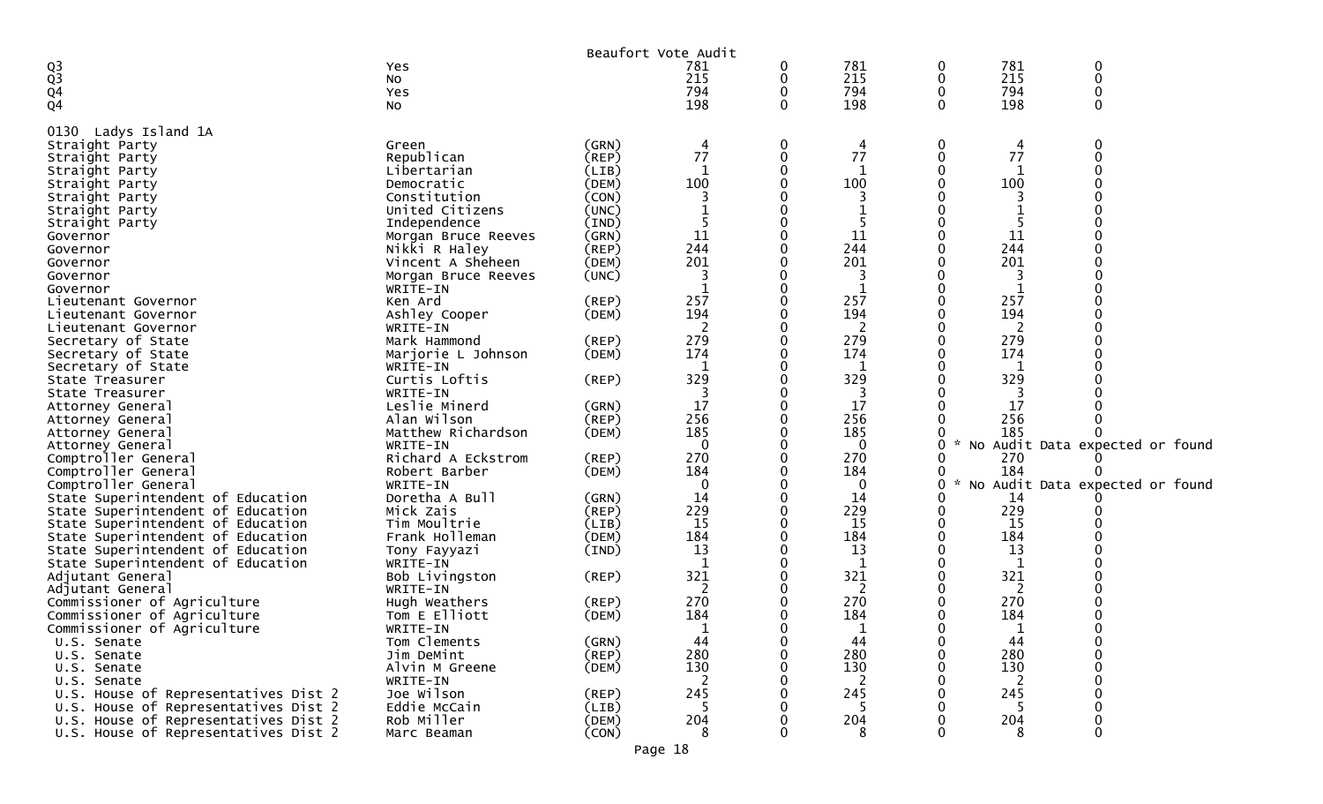|                                      |                     |             | Beaufort Vote Audit |          |     |          |               |                                 |
|--------------------------------------|---------------------|-------------|---------------------|----------|-----|----------|---------------|---------------------------------|
|                                      | Yes                 |             | 781                 | 0        | 781 | 0        | 781           | 0                               |
| $\frac{Q3}{Q3}$                      | No                  |             | 215                 | 0        | 215 | 0        | 215           | 0                               |
| Q <sub>4</sub>                       | Yes                 |             | 794                 | 0        | 794 | 0        | 794           | 0                               |
| Q <sub>4</sub>                       | NO.                 |             | 198                 | $\Omega$ | 198 | $\Omega$ | 198           | 0                               |
|                                      |                     |             |                     |          |     |          |               |                                 |
| Ladys Island 1A<br>0130              |                     |             |                     |          |     |          |               |                                 |
| Straight Party                       | Green               | (GRN)       | 4                   | 0        | 4   | 0        | 4             | 0                               |
| Straight Party                       | Republican          | (REP)       | 77                  | 0        | 77  | 0        | 77            |                                 |
| Straight Party                       | Libertarian         | (LIB)       | 1                   |          | 1   |          |               |                                 |
| Straight Party                       | Democratic          | (DEM)       | 100                 |          | 100 |          | 100           |                                 |
| Straight Party                       | Constitution        | (CON)       | 3                   |          | 3   |          | 3             |                                 |
| Straight Party                       | United Citizens     | (UNC)       |                     |          |     |          |               |                                 |
| Straight Party                       | Independence        | (IND)       |                     |          | 5   |          |               |                                 |
| Governor                             | Morgan Bruce Reeves | (GRN)       | 11                  |          | 11  |          | 11            |                                 |
| Governor                             | Nikki R Haley       | (REP)       | 244                 |          | 244 |          | 244           |                                 |
|                                      | Vincent A Sheheen   | (DEM)       | 201                 |          | 201 |          | 201           |                                 |
| Governor                             |                     | (UNC)       | 3                   |          | 3   |          | 3             |                                 |
| Governor                             | Morgan Bruce Reeves |             |                     |          |     |          |               |                                 |
| Governor                             | WRITE-IN            |             |                     |          | 1   |          | 1             |                                 |
| Lieutenant Governor                  | Ken Ard             | $($ REP $)$ | 257                 |          | 257 |          | 257           |                                 |
| Lieutenant Governor                  | Ashley Cooper       | (DEM)       | 194                 |          | 194 |          | 194           |                                 |
| Lieutenant Governor                  | WRITE-IN            |             |                     |          | 2   |          |               |                                 |
| Secretary of State                   | Mark Hammond        | (REP)       | 279                 |          | 279 |          | 279           |                                 |
| Secretary of State                   | Marjorie L Johnson  | (DEM)       | 174                 |          | 174 |          | 174           |                                 |
| Secretary of State                   | WRITE-IN            |             |                     |          | 1   |          |               |                                 |
| State Treasurer                      | Curtis Loftis       | (REP)       | 329                 |          | 329 |          | 329           |                                 |
| State Treasurer                      | WRITE-IN            |             |                     |          | 3   |          |               |                                 |
| Attorney General                     | Leslie Minerd       | (GRN)       | 17                  |          | 17  |          | 17            |                                 |
| Attorney General                     | Alan Wilson         | $($ REP $)$ | 256                 |          | 256 |          | 256           |                                 |
| Attorney General                     | Matthew Richardson  | (DEM)       | 185                 |          | 185 |          | 185           |                                 |
| Attorney General                     | WRITE-IN            |             | $\Omega$            |          | 0   | 0        | $\mathcal{R}$ | No Audit Data expected or found |
| Comptroller General                  | Richard A Eckstrom  | (REP)       | 270                 |          | 270 |          | 270           |                                 |
| Comptroller General                  | Robert Barber       | (DEM)       | 184                 |          | 184 |          | 184           |                                 |
| Comptroller General                  | WRITE-IN            |             | 0                   |          | 0   | 0        | $\sim$        | No Audit Data expected or found |
| State Superintendent of Education    | Doretha A Bull      | (GRN)       | 14                  |          | 14  |          | 14            |                                 |
| State Superintendent of Education    | Mick Zais           | $($ REP $)$ | 229                 |          | 229 |          | 229           |                                 |
| State Superintendent of Education    | Tim Moultrie        | (LIB)       | 15                  |          | 15  |          | 15            |                                 |
| State Superintendent of Education    | Frank Holleman      | (DEM)       | 184                 |          | 184 |          | 184           |                                 |
| State Superintendent of Education    | Tony Fayyazi        | (IND)       | 13                  |          | 13  |          | 13            |                                 |
| State Superintendent of Education    | WRITE-IN            |             |                     |          |     |          |               |                                 |
| Adjutant General                     | Bob Livingston      | (REP)       | 321                 |          | 321 |          | 321           |                                 |
| Adjutant General                     | WRITE-IN            |             |                     |          | 2   |          | 2             |                                 |
| Commissioner of Agriculture          | Hugh Weathers       | $($ REP $)$ | 270                 |          | 270 |          | 270           |                                 |
| Commissioner of Agriculture          | Tom E Elliott       | (DEM)       | 184                 |          | 184 |          | 184           |                                 |
| Commissioner of Agriculture          | WRITE-IN            |             | 1                   |          | 1   | 0        | 1             | 0                               |
| U.S. Senate                          | Tom Clements        | (GRN)       | 44                  | 0        | 44  | 0        | 44            | 0                               |
| U.S. Senate                          | Jim DeMint          | $($ REP $)$ | 280                 |          | 280 | 0        | 280           | $\mathbf 0$                     |
| U.S. Senate                          | Alvin M Greene      | (DEM)       | 130                 |          | 130 |          | 130           | 0                               |
| U.S. Senate                          | WRITE-IN            |             |                     |          |     |          |               | 0                               |
| U.S. House of Representatives Dist 2 | Joe Wilson          | (REP)       | 245                 |          | 245 |          | 245           | 0                               |
| U.S. House of Representatives Dist 2 | Eddie McCain        | (LIB)       |                     |          | 5   |          | 5             | 0                               |
| U.S. House of Representatives Dist 2 | Rob Miller          | (DEM)       | 204                 |          | 204 |          | 204           | $\mathbf 0$                     |
| U.S. House of Representatives Dist 2 | Marc Beaman         | (CON)       | 8                   | O        | 8   | 0        | 8             | $\mathbf 0$                     |
|                                      |                     |             |                     |          |     |          |               |                                 |
|                                      |                     |             | Page 18             |          |     |          |               |                                 |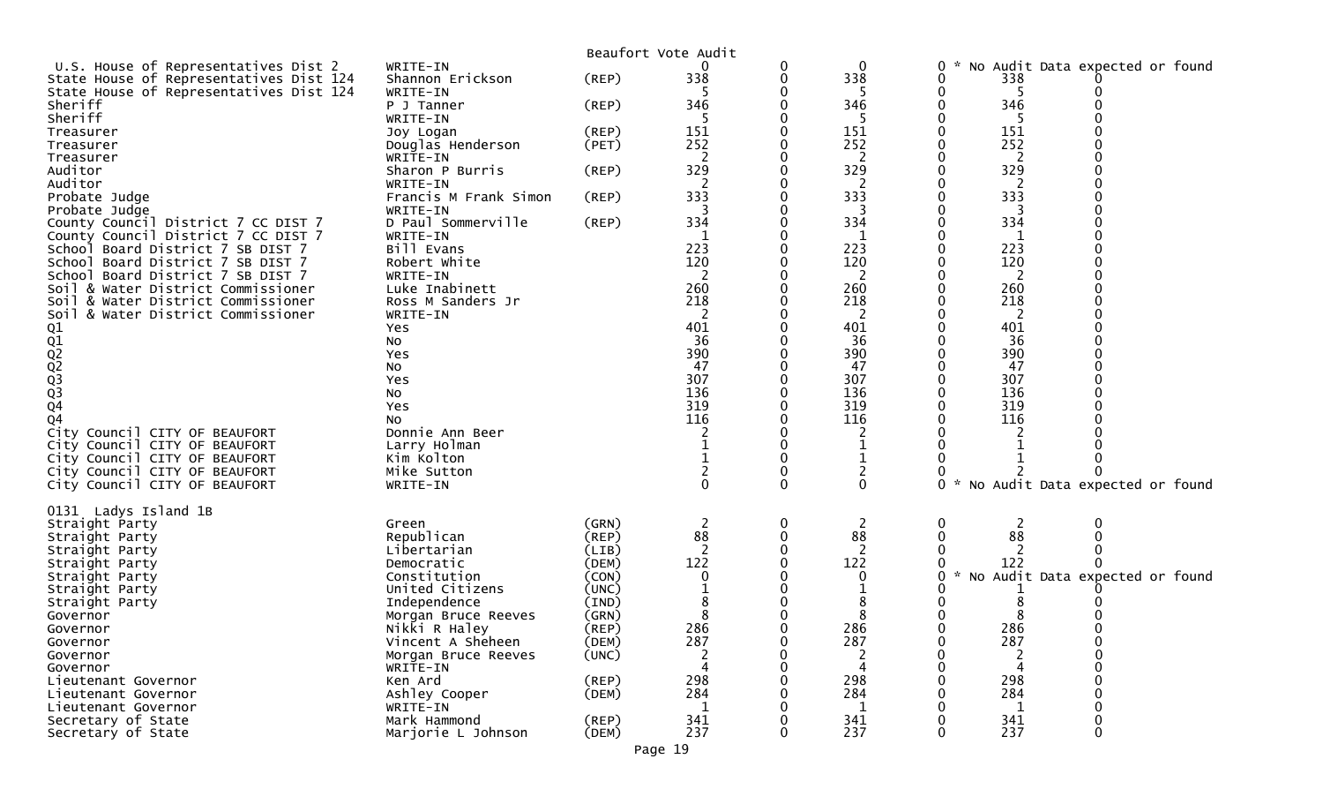| U.S. House of Representatives Dist 2<br>$\Omega$<br>WRITE-IN<br>0<br>0<br>Shannon Erickson<br>338<br>338<br>State House of Representatives Dist 124<br>$($ REP $)$<br>0<br>State House of Representatives Dist 124<br>WRITE-IN<br>346<br>346<br>Sheriff<br>(REP)<br>P J Tanner<br>Sheriff<br>WRITE-IN | No Audit Data expected or found |
|-------------------------------------------------------------------------------------------------------------------------------------------------------------------------------------------------------------------------------------------------------------------------------------------------------|---------------------------------|
|                                                                                                                                                                                                                                                                                                       |                                 |
|                                                                                                                                                                                                                                                                                                       | 338                             |
|                                                                                                                                                                                                                                                                                                       |                                 |
|                                                                                                                                                                                                                                                                                                       | 346                             |
|                                                                                                                                                                                                                                                                                                       | 5                               |
|                                                                                                                                                                                                                                                                                                       | 151                             |
| 151<br>151<br>Treasurer<br>Joy Logan<br>(REP)                                                                                                                                                                                                                                                         |                                 |
| 252<br>252<br>(PET)<br>Treasurer<br>Douglas Henderson                                                                                                                                                                                                                                                 | 252                             |
| 2<br>2<br>Treasurer<br>WRITE-IN                                                                                                                                                                                                                                                                       | 2                               |
| 329<br>329<br>Auditor<br>Sharon P Burris<br>$($ REP $)$                                                                                                                                                                                                                                               | 329                             |
| Auditor<br>2<br>2<br>WRITE-IN                                                                                                                                                                                                                                                                         | 2                               |
| 333<br>333<br>Francis M Frank Simon<br>Probate Judge<br>(REP)                                                                                                                                                                                                                                         | 333                             |
| Probate Judge<br>WRITE-IN<br>3<br>3                                                                                                                                                                                                                                                                   | 3                               |
| D Paul Sommerville<br>334<br>334<br>$($ REP $)$<br>County Council District 7 CC DIST 7                                                                                                                                                                                                                | 334                             |
| County Council District 7 CC DIST 7<br>WRITE-IN<br>1<br>1                                                                                                                                                                                                                                             | 1                               |
| Bill Evans<br>223<br>223<br>School Board District 7 SB DIST 7                                                                                                                                                                                                                                         | 223                             |
| 120<br>120                                                                                                                                                                                                                                                                                            | 120                             |
| School Board District 7 SB DIST 7<br>Robert White                                                                                                                                                                                                                                                     |                                 |
| 2<br>2<br>School Board District 7 SB DIST 7<br>WRITE-IN                                                                                                                                                                                                                                               | 2                               |
| 260<br>260<br>Soil & Water District Commissioner<br>Luke Inabinett                                                                                                                                                                                                                                    | 260                             |
| 218<br>218<br>Soil & Water District Commissioner<br>Ross M Sanders Jr                                                                                                                                                                                                                                 | 218                             |
| 2<br>2<br>& Water District Commissioner<br>WRITE-IN<br>Soil                                                                                                                                                                                                                                           | 2                               |
| 401<br>401<br>Yes                                                                                                                                                                                                                                                                                     | 401                             |
| 36<br>36<br>No                                                                                                                                                                                                                                                                                        | 36                              |
| 390<br>390<br>Yes                                                                                                                                                                                                                                                                                     | 390                             |
| 01<br>02<br>02<br>03<br>03<br>03<br>04<br>47<br>47<br>NO.                                                                                                                                                                                                                                             | 47                              |
| 307<br>307<br>Yes                                                                                                                                                                                                                                                                                     | 307                             |
| 136<br>136                                                                                                                                                                                                                                                                                            | 136                             |
| No<br>319                                                                                                                                                                                                                                                                                             |                                 |
| 319<br>Yes                                                                                                                                                                                                                                                                                            | 319                             |
| 116<br>116<br>Q4<br>No                                                                                                                                                                                                                                                                                | 116                             |
| City Council CITY OF BEAUFORT<br>Donnie Ann Beer                                                                                                                                                                                                                                                      |                                 |
|                                                                                                                                                                                                                                                                                                       |                                 |
| City Council CITY OF BEAUFORT<br>Larry Holman                                                                                                                                                                                                                                                         |                                 |
| City Council CITY OF BEAUFORT<br>Kim Kolton                                                                                                                                                                                                                                                           |                                 |
| 2                                                                                                                                                                                                                                                                                                     |                                 |
| $\overline{c}$<br>Mike Sutton<br>City Council CITY OF BEAUFORT<br>$\Omega$<br>$\Omega$<br>$\Omega$<br>$\mathcal{H}$<br>0                                                                                                                                                                              |                                 |
| City Council CITY OF BEAUFORT<br>WRITE-IN                                                                                                                                                                                                                                                             | No Audit Data expected or found |
|                                                                                                                                                                                                                                                                                                       |                                 |
| 0131 Ladys Island 1B                                                                                                                                                                                                                                                                                  |                                 |
| (GRN)<br>2<br>0<br>2<br>Straight Party<br>0<br>Green                                                                                                                                                                                                                                                  | 2                               |
| 88<br>88<br>Republican<br>0<br>(REP)<br>Straight Party                                                                                                                                                                                                                                                | 88                              |
| 2<br>Libertarian<br>(LIB)<br>Straight Party                                                                                                                                                                                                                                                           |                                 |
| 122<br>122<br>Straight Party<br>(DEM)<br>Democratic                                                                                                                                                                                                                                                   | 122                             |
| Constitution<br>(CON)<br>0<br>Straight Party<br>0                                                                                                                                                                                                                                                     | No Audit Data expected or found |
| United Citizens<br>(UNC)<br>Straight Party                                                                                                                                                                                                                                                            |                                 |
| (IND)<br>Straight Party<br>Independence                                                                                                                                                                                                                                                               |                                 |
| 8                                                                                                                                                                                                                                                                                                     |                                 |
| (GRN)<br>Governor<br>Morgan Bruce Reeves<br>0                                                                                                                                                                                                                                                         |                                 |
| 286<br>286<br>Nikki R Haley<br>(REP)<br>Governor                                                                                                                                                                                                                                                      | 286                             |
| Governor<br>Vincent A Sheheen<br>(DEM)<br>287<br>287                                                                                                                                                                                                                                                  | 287                             |
| (UNC)<br>2<br>2<br>0<br>Governor<br>Morgan Bruce Reeves                                                                                                                                                                                                                                               |                                 |
| Governor<br>WRITE-IN                                                                                                                                                                                                                                                                                  |                                 |
| 298<br>298<br>Ken Ard<br>$($ REP $)$<br>Lieutenant Governor                                                                                                                                                                                                                                           | 298                             |
| 284<br>284<br>Ashley Cooper<br>(DEM)<br>Lieutenant Governor                                                                                                                                                                                                                                           | 284                             |
| WRITE-IN<br>Lieutenant Governor<br>1<br>-1                                                                                                                                                                                                                                                            | 1                               |
| 341<br>341<br>Secretary of State<br>Mark Hammond<br>(REP)<br>237<br>237<br>Marjorie L Johnson<br>Secretary of State<br>(DEM)<br>0                                                                                                                                                                     | 341<br>237<br>0                 |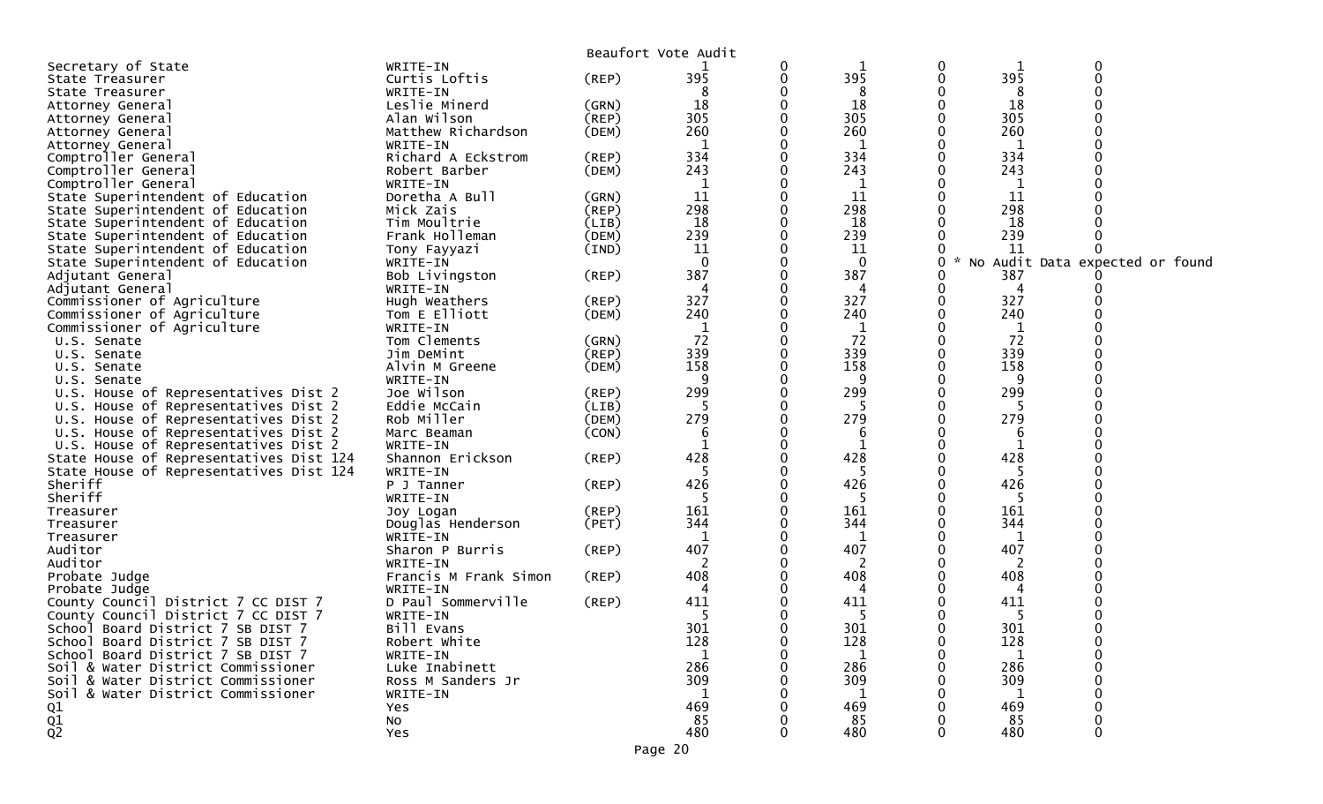|                                         |                       |                | Beaufort Vote Audit |   |              |   |     |                                 |
|-----------------------------------------|-----------------------|----------------|---------------------|---|--------------|---|-----|---------------------------------|
| Secretary of State                      | WRITE-IN              |                |                     | 0 |              | 0 |     | 0                               |
| State Treasurer                         | Curtis Loftis         | (REP)          | 395                 | 0 | 395          | 0 | 395 | $\Omega$                        |
| State Treasurer                         | WRITE-IN              |                | 8                   |   | 8            |   | 8   |                                 |
| Attorney General                        | Leslie Minerd         | (GRN)          | 18                  |   | 18           |   | 18  |                                 |
| Attorney General                        | Alan Wilson           | $($ REP $)$    | 305                 |   | 305          |   | 305 |                                 |
|                                         | Matthew Richardson    | (DEM)          | 260                 |   | 260          |   | 260 |                                 |
| Attorney General                        |                       |                |                     |   |              |   |     |                                 |
| Attorney General                        | WRITE-IN              |                | 1                   |   | 1            |   | 1   |                                 |
| Comptroller General                     | Richard A Eckstrom    | (REP)          | 334                 |   | 334          |   | 334 |                                 |
| Comptroller General                     | Robert Barber         | (DEM)          | 243                 |   | 243          |   | 243 |                                 |
| Comptroller General                     | WRITE-IN              |                | 1                   |   | 1            |   | 1   |                                 |
| State Superintendent of Education       | Doretha A Bull        | (GRN)          | 11                  |   | 11           |   | 11  |                                 |
| State Superintendent of Education       | Mick Zais             | $($ REP $)$    | 298                 |   | 298          |   | 298 |                                 |
| State Superintendent of Education       | Tim Moultrie          | (LIB)          | 18                  |   | 18           |   | 18  |                                 |
| State Superintendent of Education       | Frank Holleman        | (DEM)          | 239                 |   | 239          |   | 239 |                                 |
| State Superintendent of Education       | Tony Fayyazi          | $(\text{IND})$ | 11                  |   | 11           |   | 11  |                                 |
| State Superintendent of Education       | WRITE-IN              |                | $\mathbf{0}$        |   | $\Omega$     | 0 |     | No Audit Data expected or found |
| Adjutant General                        | Bob Livingston        | (REP)          | 387                 |   | 387          | 0 | 387 |                                 |
|                                         |                       |                |                     |   |              |   |     |                                 |
| Adjutant General                        | WRITE-IN              |                | 4                   |   | 4            |   | 4   |                                 |
| Commissioner of Agriculture             | Hugh Weathers         | $($ REP $)$    | 327                 |   | 327          | 0 | 327 |                                 |
| Commissioner of Agriculture             | Tom E Elliott         | (DEM)          | 240                 |   | 240          |   | 240 |                                 |
| Commissioner of Agriculture             | WRITE-IN              |                |                     |   | 1            |   |     |                                 |
| U.S. Senate                             | Tom Clements          | (GRN)          | 72                  |   | 72           |   | 72  |                                 |
| U.S. Senate                             | Jim DeMint            | $($ REP $)$    | 339                 |   | 339          |   | 339 |                                 |
| U.S. Senate                             | Alvin M Greene        | (DEM)          | 158                 |   | 158          | 0 | 158 |                                 |
| U.S. Senate                             | WRITE-IN              |                | 9                   |   | 9            |   | 9   |                                 |
| U.S. House of Representatives Dist 2    | Joe Wilson            | (REP)          | 299                 |   | 299          |   | 299 |                                 |
| U.S. House of Representatives Dist 2    | Eddie McCain          | (LIB)          |                     |   |              | 0 |     |                                 |
| U.S. House of Representatives Dist 2    | Rob Miller            | (DEM)          | 279                 |   | 279          |   | 279 |                                 |
|                                         |                       |                |                     |   |              |   |     |                                 |
| U.S. House of Representatives Dist 2    | Marc Beaman           | (CON)          | 6                   |   | 6            |   | 6   |                                 |
| U.S. House of Representatives Dist 2    | WRITE-IN              |                |                     |   | $\mathbf{1}$ |   |     |                                 |
| State House of Representatives Dist 124 | Shannon Erickson      | (REP)          | 428                 |   | 428          |   | 428 |                                 |
| State House of Representatives Dist 124 | WRITE-IN              |                |                     |   | 5            |   |     |                                 |
| Sheriff                                 | P J Tanner            | $($ REP $)$    | 426                 |   | 426          |   | 426 |                                 |
| Sheriff                                 | WRITE-IN              |                | 5                   |   | 5            |   | -5  |                                 |
| Treasurer                               | Joy Logan             | (REP)          | 161                 |   | 161          |   | 161 |                                 |
| Treasurer                               | Douglas Henderson     | (PET)          | 344                 |   | 344          |   | 344 |                                 |
| Treasurer                               | WRITE-IN              |                | 1                   |   | 1            |   |     |                                 |
| Auditor                                 | Sharon P Burris       | (REP)          | 407                 |   | 407          |   | 407 |                                 |
| Auditor                                 | WRITE-IN              |                |                     |   | 2            |   | 2   |                                 |
| Probate Judge                           | Francis M Frank Simon | (REP)          | 408                 |   | 408          |   | 408 |                                 |
|                                         | WRITE-IN              |                |                     |   | 4            |   | 4   |                                 |
| Probate Judge                           | D Paul Sommerville    |                | 411                 |   | 411          |   | 411 |                                 |
| County Council District 7 CC DIST 7     |                       | (REP)          |                     |   |              |   |     |                                 |
| County Council District 7 CC DIST 7     | WRITE-IN              |                | -5                  |   | -5           |   | -5  |                                 |
| School Board District 7 SB DIST 7       | Bill Evans            |                | 301                 | 0 | 301          | 0 | 301 | $\Omega$                        |
| School Board District 7 SB DIST 7       | Robert White          |                | 128                 |   | 128          |   | 128 |                                 |
| School Board District 7 SB DIST 7       | WRITE-IN              |                | 1                   |   | $\mathbf{1}$ |   | -1  |                                 |
| Soil & Water District Commissioner      | Luke Inabinett        |                | 286                 |   | 286          |   | 286 |                                 |
| Soil & Water District Commissioner      | Ross M Sanders Jr     |                | 309                 |   | 309          |   | 309 |                                 |
| Soil & Water District Commissioner      | WRITE-IN              |                | 1                   |   | 1            |   | 1   |                                 |
| Q1                                      | Yes                   |                | 469                 |   | 469          |   | 469 |                                 |
|                                         | No                    |                | 85                  |   | 85           |   | 85  |                                 |
| $\frac{Q1}{Q2}$                         | <b>Yes</b>            |                | 480                 | 0 | 480          | 0 | 480 | 0                               |
|                                         |                       |                |                     |   |              |   |     |                                 |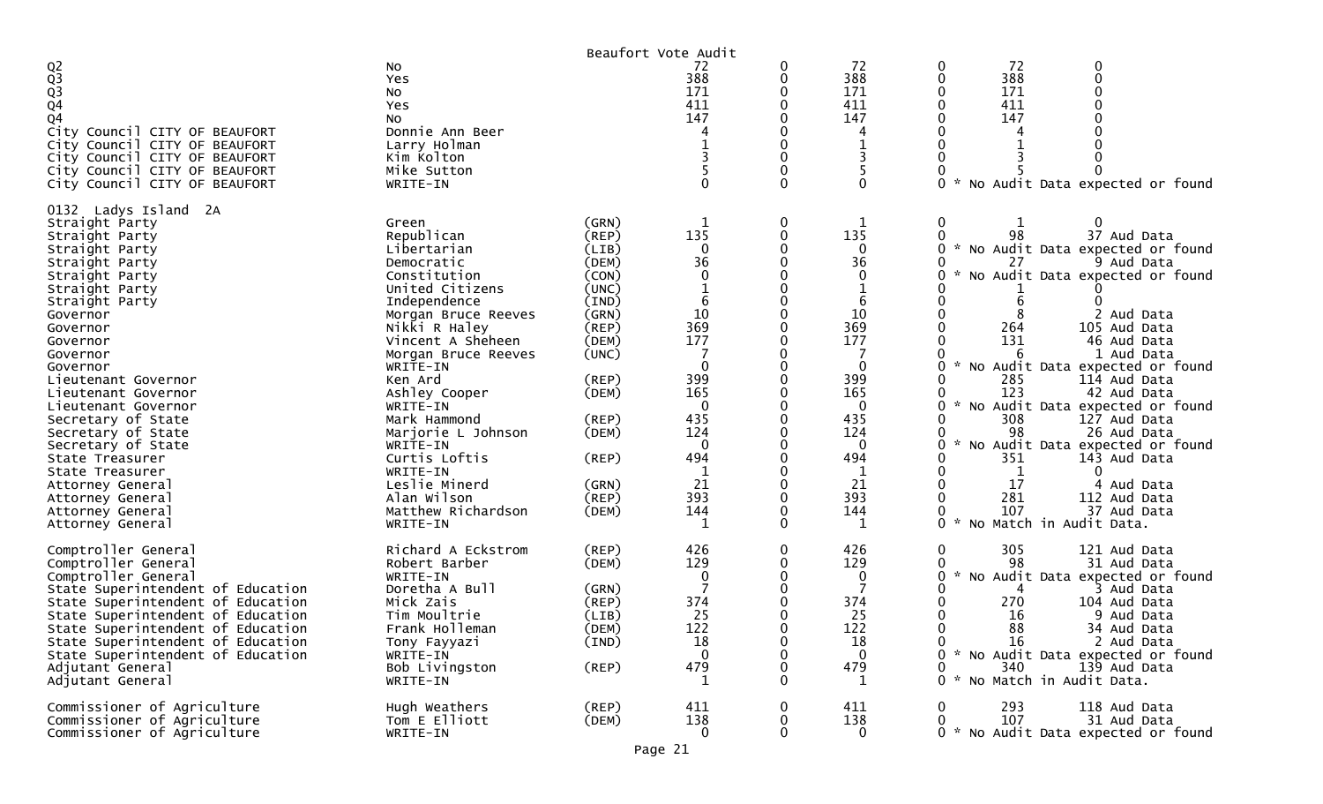|                                                                                                                                                                                                                                                                                                                                                                                                                                                                             |                                                                                                                                                                                                                                                                                                                                                                                              |                                                                                                                                                                                           | Beaufort Vote Audit                                                                                                                        |          |                                                                                                                                          |                                                                                                                                                                                                                                                                                                                                                                                                                                                                                                                                                                    |
|-----------------------------------------------------------------------------------------------------------------------------------------------------------------------------------------------------------------------------------------------------------------------------------------------------------------------------------------------------------------------------------------------------------------------------------------------------------------------------|----------------------------------------------------------------------------------------------------------------------------------------------------------------------------------------------------------------------------------------------------------------------------------------------------------------------------------------------------------------------------------------------|-------------------------------------------------------------------------------------------------------------------------------------------------------------------------------------------|--------------------------------------------------------------------------------------------------------------------------------------------|----------|------------------------------------------------------------------------------------------------------------------------------------------|--------------------------------------------------------------------------------------------------------------------------------------------------------------------------------------------------------------------------------------------------------------------------------------------------------------------------------------------------------------------------------------------------------------------------------------------------------------------------------------------------------------------------------------------------------------------|
| Q <sub>2</sub><br>Q <sub>3</sub><br>Q <sub>3</sub><br>Q <sub>4</sub><br>Q <sub>4</sub><br>City Council CITY OF BEAUFORT<br>City Council CITY OF BEAUFORT<br>City Council CITY OF BEAUFORT<br>City Council CITY OF BEAUFORT<br>City Council CITY OF BEAUFORT                                                                                                                                                                                                                 | No<br>Yes<br>No<br>Yes<br>No<br>Donnie Ann Beer<br>Larry Holman<br>Kim Kolton<br>Mike Sutton<br>WRITE-IN                                                                                                                                                                                                                                                                                     |                                                                                                                                                                                           | 72<br>388<br>171<br>411<br>147                                                                                                             |          | 72<br>388<br>171<br>411<br>147<br>3<br>$\Omega$                                                                                          | 72<br>0<br>0<br>388<br>$\Omega$<br>171<br>411<br>147<br>0<br>No Audit Data expected or found                                                                                                                                                                                                                                                                                                                                                                                                                                                                       |
| 0132 Ladys Island 2A<br>Straight Party<br>Straight Party<br>Straight Party<br>Straight Party<br>Straight Party<br>Straight Party<br>Straight Party<br>Governor<br>Governor<br>Governor<br>Governor<br>Governor<br>Lieutenant Governor<br>Lieutenant Governor<br>Lieutenant Governor<br>Secretary of State<br>Secretary of State<br>Secretary of State<br>State Treasurer<br>State Treasurer<br>Attorney General<br>Attorney General<br>Attorney General<br>Attorney General | Green<br>Republican<br>Libertarian<br>Democratic<br>Constitution<br>United Citizens<br>Independence<br>Morgan Bruce Reeves<br>Nikki R Haley<br>Vincent A Sheheen<br>Morgan Bruce Reeves<br>WRITE-IN<br>Ken Ard<br>Ashley Cooper<br>WRITE-IN<br>Mark Hammond<br>Marjorie L Johnson<br>WRITE-IN<br>Curtis Loftis<br>WRITE-IN<br>Leslie Minerd<br>Alan Wilson<br>Matthew Richardson<br>WRITE-IN | (GRN)<br>(REP)<br>(LIB)<br>(DEM)<br>(CON)<br>(UNC)<br>(IND)<br>(GRN)<br>(REP)<br>(DEM)<br>(UNC)<br>$($ REP $)$<br>(DEM)<br>$($ REP $)$<br>(DEM)<br>(REP)<br>(GRN)<br>$($ REP $)$<br>(DEM) | 135<br>$\Omega$<br>36<br>0<br>6<br>10<br>369<br>177<br>399<br>165<br>435<br>124<br>$\Omega$<br>494<br>$\mathbf 1$<br>21<br>393<br>144<br>1 | 0        | 1<br>135<br>0<br>36<br>0<br>6<br>10<br>369<br>177<br>0<br>399<br>165<br>0<br>435<br>124<br>$\Omega$<br>494<br>1<br>21<br>393<br>144<br>1 | 0<br>0<br>98<br>37 Aud Data<br>* No Audit Data expected or found<br>27<br>9 Aud Data<br>$\sim$<br>No Audit Data expected or found<br>6<br>2 Aud Data<br>105 Aud Data<br>264<br>131<br>46 Aud Data<br>6<br>1 Aud Data<br>No Audit Data expected or found<br>285<br>114 Aud Data<br>123<br>42 Aud Data<br>No Audit Data expected or found<br>308<br>127 Aud Data<br>98<br>26 Aud Data<br>No Audit Data expected or found<br>351<br>143 Aud Data<br>1<br>0<br>17<br>4 Aud Data<br>281<br>112 Aud Data<br>107<br>37 Aud Data<br>$\sim$<br>0<br>No Match in Audit Data. |
| Comptroller General<br>Comptroller General<br>Comptroller General<br>State Superintendent of Education<br>State Superintendent of Education<br>State Superintendent of Education<br>State Superintendent of Education<br>State Superintendent of Education<br>State Superintendent of Education<br>Adjutant General<br>Adjutant General<br>Commissioner of Agriculture                                                                                                      | Richard A Eckstrom<br>Robert Barber<br>WRITE-IN<br>Doretha A Bull<br>Mick Zais<br>Tim Moultrie<br>Frank Holleman<br>Tony Fayyazi<br>WRITE-IN<br>Bob Livingston<br>WRITE-IN<br>Hugh Weathers                                                                                                                                                                                                  | (REP)<br>(DEM)<br>(GRN)<br>(REP)<br>(LIB)<br>(DEM)<br>(IND)<br>$($ REP $)$<br>$($ REP $)$                                                                                                 | 426<br>129<br>0<br>374<br>25<br>122<br>18<br>$\mathbf{0}$<br>479<br>1<br>411                                                               |          | 426<br>129<br>0<br>7<br>374<br>25<br>122<br>18<br>$\mathbf{0}$<br>479<br>1<br>411                                                        | 305<br>0<br>121 Aud Data<br>98<br>31 Aud Data<br>$\sim$<br>No Audit Data expected or found<br>0<br>3 Aud Data<br>4<br>270<br>104 Aud Data<br>16<br>9 Aud Data<br>88<br>34 Aud Data<br>2 Aud Data<br>16<br>0<br>0 * No Audit Data expected or found<br>340<br>139 Aud Data<br>No Match in Audit Data.<br>$\Omega$<br>$\mathcal{H}$<br>293<br>118 Aud Data<br>0                                                                                                                                                                                                      |
| Commissioner of Agriculture<br>Commissioner of Agriculture                                                                                                                                                                                                                                                                                                                                                                                                                  | Tom E Elliott<br>WRITE-IN                                                                                                                                                                                                                                                                                                                                                                    | (DEM)                                                                                                                                                                                     | 138<br>$\overline{0}$<br>Page 21                                                                                                           | $\Omega$ | 138<br>$\bf{0}$                                                                                                                          | 107<br>0<br>31 Aud Data<br>0 * No Audit Data expected or found                                                                                                                                                                                                                                                                                                                                                                                                                                                                                                     |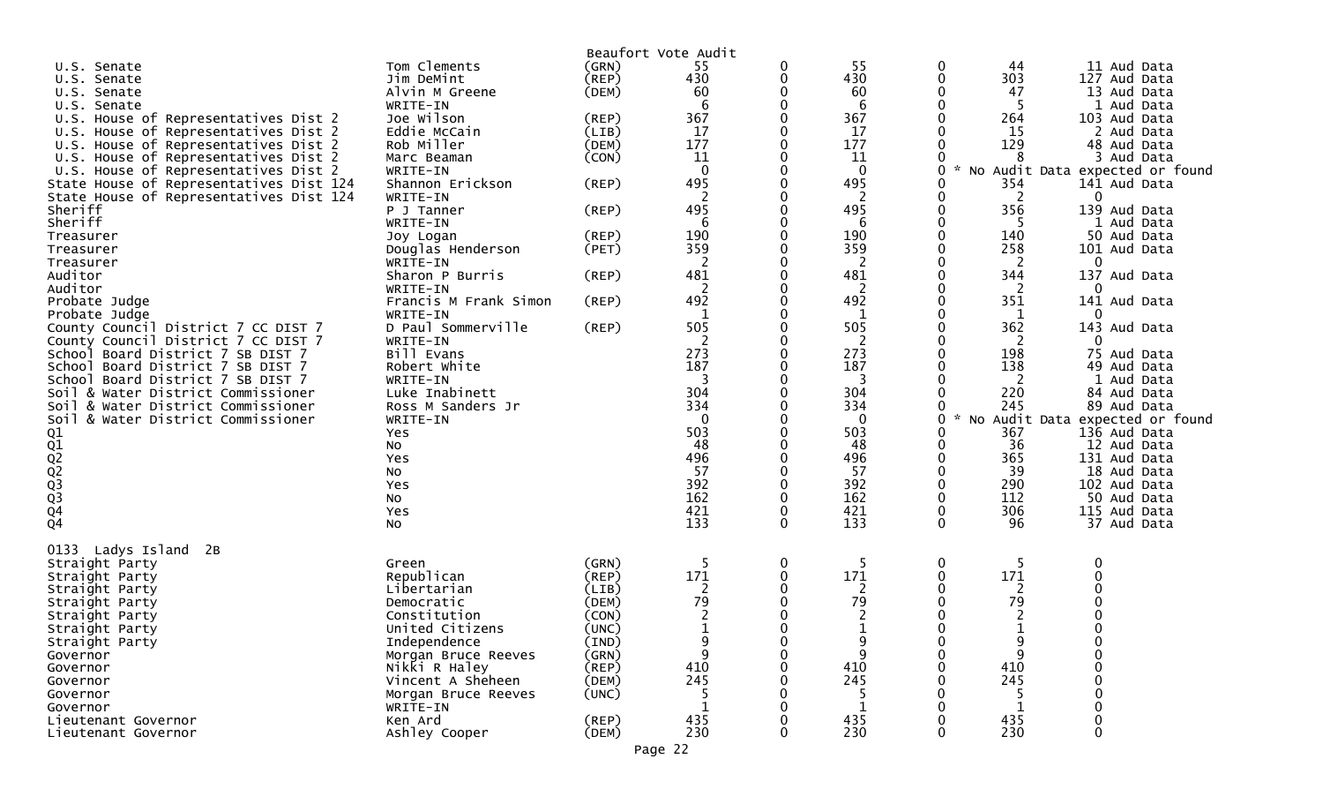|                                                                            |                                |                | Beaufort Vote Audit |          |              |                                 |           |                              |
|----------------------------------------------------------------------------|--------------------------------|----------------|---------------------|----------|--------------|---------------------------------|-----------|------------------------------|
| U.S. Senate                                                                | Tom Clements                   | (GRN)          | 55                  | 0        | 55           | 0                               | -44       | 11 Aud Data                  |
| U.S.<br>Senate                                                             | Jim DeMint                     | (REP)          | 430                 | 0        | 430          |                                 | 303       | 127 Aud Data                 |
| U.S.<br>Senate                                                             | Alvin M Greene                 | (DEM)          | 60                  |          | 60           |                                 | 47        | 13 Aud Data                  |
| U.S. Senate                                                                | WRITE-IN                       |                | 6                   | U        | 6            |                                 | -5        | 1 Aud Data                   |
| House of Representatives Dist 2<br>U.S.                                    | Joe Wilson                     | (REP)          | 367                 | 0        | 367          |                                 | 264       | 103 Aud Data                 |
| House of Representatives Dist 2<br>U.S.                                    | Eddie McCain                   | (LIB)          | 17                  |          | 17           |                                 | 15        | 2 Aud Data                   |
| U.S. House of Representatives Dist 2                                       | Rob Miller                     | (DEM)          | 177                 | 0        | 177          |                                 | 129       | 48 Aud Data                  |
| U.S. House of Representatives Dist 2                                       | Marc Beaman                    | (CON)          | 11                  | 0        | 11           |                                 | 8         | 3 Aud Data                   |
| U.S. House of Representatives Dist 2                                       | WRITE-IN                       |                | $\mathbf{0}$        |          | $\mathbf{0}$ | No                              |           | Audit Data expected or found |
| State House of Representatives Dist 124                                    | Shannon Erickson               | $($ REP $)$    | 495                 |          | 495          |                                 | 354       | 141 Aud Data                 |
| State House of Representatives Dist 124                                    | WRITE-IN                       |                | $\overline{2}$      | 0        | 2            |                                 | 2         | 0                            |
| Sheriff                                                                    | P J Tanner                     | (REP)          | 495                 |          | 495          |                                 | 356       | 139 Aud Data                 |
| Sheriff                                                                    | WRITE-IN                       |                | 6                   | U        | 6            |                                 | -5        | 1 Aud Data                   |
| Treasurer                                                                  | Joy Logan                      | $($ REP $)$    | 190                 | 0        | 190          |                                 | 140       | 50 Aud Data                  |
| Treasurer                                                                  | Douglas Henderson              | (PET)          | 359                 |          | 359          |                                 | 258       | 101 Aud Data                 |
| Treasurer                                                                  | WRITE-IN                       |                | 2                   |          | 2            |                                 | 2         | 0                            |
| Auditor                                                                    | Sharon P Burris                | (REP)          | 481                 | 0        | 481          |                                 | 344       | 137 Aud Data                 |
| Auditor                                                                    | WRITE-IN                       |                | 2                   |          | 2            |                                 | 2         | 0                            |
| Probate Judge                                                              | Francis M Frank Simon          | (REP)          | 492                 | O        | 492          |                                 | 351       | 141 Aud Data<br>$\Omega$     |
| Probate Judge                                                              | WRITE-IN<br>D Paul Sommerville |                | 1<br>505            | 0        | 1            |                                 | 1<br>362  |                              |
| County Council District 7 CC DIST 7<br>County Council District 7 CC DIST 7 | WRITE-IN                       | (REP)          | $\overline{c}$      |          | 505<br>2     |                                 | 2         | 143 Aud Data<br>0            |
| School Board District 7 SB DIST 7                                          | Bill Evans                     |                | 273                 |          | 273          |                                 | 198       | 75 Aud Data                  |
| School Board District 7 SB DIST 7                                          | Robert White                   |                | 187                 |          | 187          |                                 | 138       | 49 Aud Data                  |
| School Board District 7 SB DIST 7                                          | WRITE-IN                       |                | 3                   |          | 3            |                                 | 2         | 1 Aud Data                   |
| Soil & Water District Commissioner                                         | Luke Inabinett                 |                | 304                 |          | 304          |                                 | 220       | 84 Aud Data                  |
| Soil & Water District Commissioner                                         | Ross M Sanders Jr              |                | 334                 |          | 334          |                                 | 245       | 89 Aud Data                  |
| Soil & Water District Commissioner                                         | WRITE-IN                       |                | $\mathbf 0$         |          | 0            | $\mathcal{R}$<br>U<br><b>NO</b> |           | Audit Data expected or found |
|                                                                            | Yes                            |                | 503                 |          | 503          |                                 | 367       | 136 Aud Data                 |
|                                                                            | No                             |                | 48                  |          | 48           |                                 | 36        | 12 Aud Data                  |
|                                                                            | Yes                            |                | 496                 | $\Omega$ | 496          |                                 | 365       | 131 Aud Data                 |
|                                                                            | NO                             |                | 57                  |          | 57           |                                 | 39        | 18 Aud Data                  |
|                                                                            | Yes                            |                | 392                 | $\Omega$ | 392          |                                 | 290       | 102 Aud Data                 |
|                                                                            | No                             |                | 162                 | 0        | 162          |                                 | 112       | 50 Aud Data                  |
| 01<br>02<br>02<br>03<br>03<br>04<br>04                                     | Yes                            |                | 421                 | 0        | 421          |                                 | 306       | 115 Aud Data                 |
|                                                                            | No                             |                | 133                 | 0        | 133          | $\Omega$                        | 96        | 37 Aud Data                  |
|                                                                            |                                |                |                     |          |              |                                 |           |                              |
| 0133 Ladys Island<br>2B                                                    |                                |                |                     |          |              |                                 |           |                              |
| Straight Party                                                             | Green<br>Republican            | (GRN)          | -5<br>171           | 0<br>0   | -5<br>171    | 0                               | -5<br>171 | 0                            |
| Straight Party                                                             | Libertarian                    | (REP)<br>(LIB) | $\overline{c}$      |          | 2            |                                 |           |                              |
| Straight Party<br>Straight Party                                           | Democratic                     | (DEM)          | 79                  | $\Omega$ | 79           |                                 | 2<br>79   |                              |
| Straight Party                                                             | Constitution                   | (CON)          | $\overline{2}$      | 0        |              |                                 |           |                              |
| Straight Party                                                             | United Citizens                | (UNC)          |                     | $\Omega$ |              |                                 |           |                              |
| Straight Party                                                             | Independence                   | (IND)          | 9                   |          | 9            |                                 | 9         |                              |
| Governor                                                                   | Morgan Bruce Reeves            | (GRN)          |                     | 0        |              |                                 | 9         |                              |
| Governor                                                                   | Nikki R Haley                  | (REP)          | 410                 |          | 410          |                                 | 410       |                              |
| Governor                                                                   | Vincent A Sheheen              | (DEM)          | 245                 |          | 245          |                                 | 245       |                              |
| Governor                                                                   | Morgan Bruce Reeves            | (UNC)          | -5                  |          | 5.           |                                 |           |                              |
| Governor                                                                   | WRITE-IN                       |                |                     |          |              |                                 |           |                              |
| Lieutenant Governor                                                        | Ken Ard                        | (REP)          | 435                 |          | 435          |                                 | 435       |                              |
| Lieutenant Governor                                                        | Ashley Cooper                  | (DEM)          | 230                 |          | 230          |                                 | 230       |                              |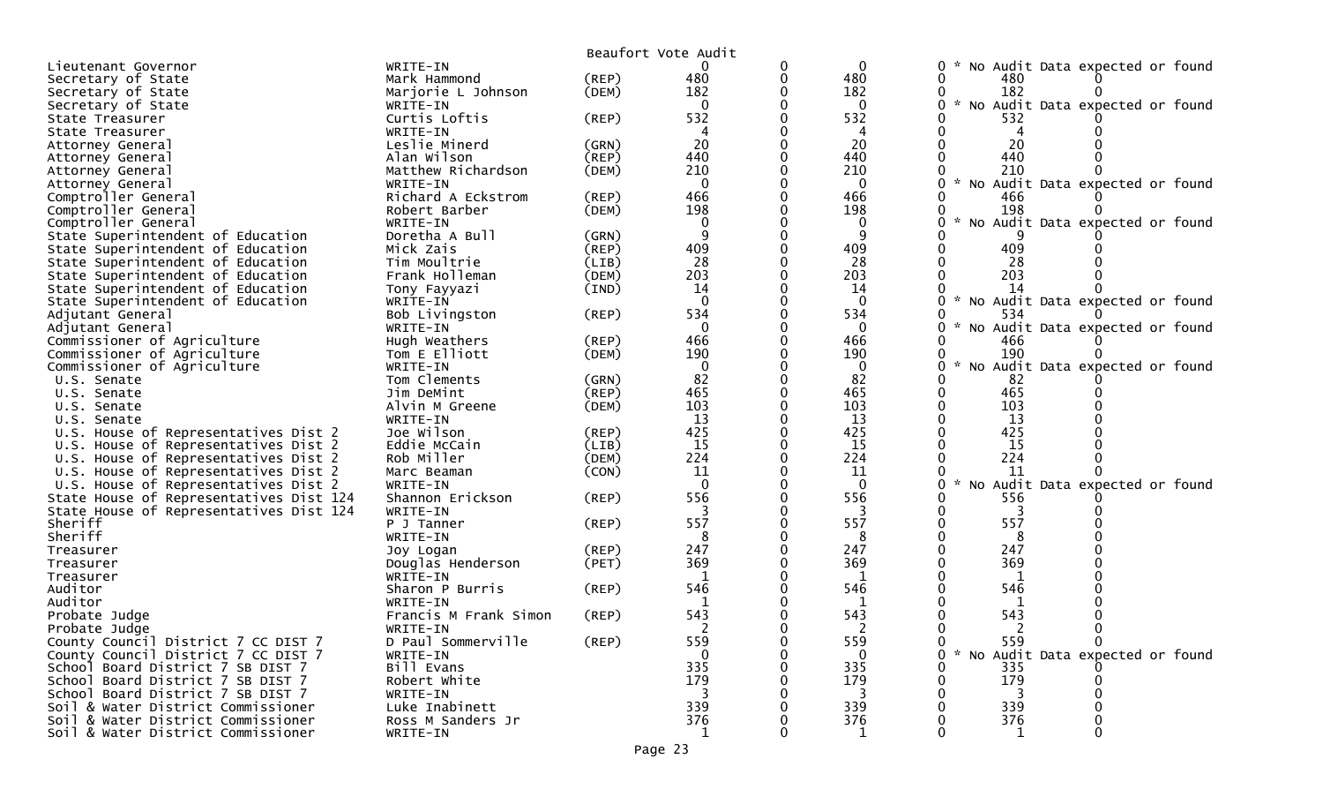|                                         |                       |             | Beaufort Vote Audit |   |              |                                           |
|-----------------------------------------|-----------------------|-------------|---------------------|---|--------------|-------------------------------------------|
| Lieutenant Governor                     | WRITE-IN              |             | 0                   | 0 | $\mathbf{0}$ | No Audit Data expected or found<br>0      |
| Secretary of State                      | Mark Hammond          | (REP)       | 480                 | 0 | 480          | 480                                       |
| Secretary of State                      | Marjorie L Johnson    | (DEM)       | 182                 |   | 182          | 182                                       |
| Secretary of State                      | WRITE-IN              |             | $\mathbf 0$         |   | 0            | * No Audit Data expected or found         |
| State Treasurer                         | Curtis Loftis         | (REP)       | 532                 |   | 532          | 532                                       |
| State Treasurer                         | WRITE-IN              |             |                     |   |              |                                           |
| Attorney General                        | Leslie Minerd         | (GRN)       | 20                  |   | 20           | 20                                        |
| Attorney General                        | Alan Wilson           | $($ REP $)$ | 440                 |   | 440          | 440                                       |
| Attorney General                        | Matthew Richardson    | (DEM)       | 210                 |   | 210          | 210                                       |
| Attorney General                        | WRITE-IN              |             | $\mathbf 0$         |   | $\mathbf{0}$ | * No Audit Data expected or found         |
| Comptroller General                     | Richard A Eckstrom    | (REP)       | 466                 |   | 466          | 466                                       |
| Comptroller General                     | Robert Barber         | (DEM)       | 198                 |   | 198          | 198                                       |
| Comptroller General                     | WRITE-IN              |             | $\mathbf 0$         |   | 0            | No Audit Data expected or found           |
| State Superintendent of Education       | Doretha A Bull        | (GRN)       | 9                   |   | -9           |                                           |
| State Superintendent of Education       | Mick Zais             | (REP)       | 409                 |   | 409          | 409                                       |
| State Superintendent of Education       | Tim Moultrie          | (LIB)       | 28                  |   | 28           | 28                                        |
| State Superintendent of Education       | Frank Holleman        | (DEM)       | 203                 |   | 203          | 203                                       |
| State Superintendent of Education       | Tony Fayyazi          | (IND)       | 14                  |   | 14           | 14                                        |
| State Superintendent of Education       | WRITE-IN              |             | $\mathbf{0}$        |   | $\Omega$     | * No Audit Data expected or found         |
| Adjutant General                        | Bob Livingston        | (REP)       | 534                 |   | 534          | 534                                       |
| Adjutant General                        | WRITE-IN              |             | 0                   |   | 0            | No Audit Data expected or found           |
| Commissioner of Agriculture             | Hugh Weathers         | (REP)       | 466                 |   | 466          | 466                                       |
| Commissioner of Agriculture             | Tom E Elliott         | (DEM)       | 190                 |   | 190          | 190                                       |
| Commissioner of Agriculture             | WRITE-IN              |             | $\mathbf 0$         |   | 0            | No Audit Data expected or found           |
| U.S. Senate                             | Tom Clements          | (GRN)       | 82                  |   | 82           | 82                                        |
| U.S. Senate                             | Jim DeMint            | (REP)       | 465                 |   | 465          | 465                                       |
| U.S. Senate                             | Alvin M Greene        | (DEM)       | 103                 |   | 103          | 103                                       |
| U.S. Senate                             | WRITE-IN              |             | 13                  |   | 13           | 13                                        |
| U.S. House of Representatives Dist 2    | Joe Wilson            | (REP)       | 425                 |   | 425          | 425                                       |
| U.S. House of Representatives Dist 2    | Eddie McCain          | (LIB)       | 15                  |   | 15           | <b>15</b>                                 |
| U.S. House of Representatives Dist 2    | Rob Miller            | (DEM)       | 224                 |   | 224          | 224                                       |
| U.S. House of Representatives Dist 2    | Marc Beaman           | (CON)       | 11                  |   | 11           | 11                                        |
| U.S. House of Representatives Dist 2    | WRITE-IN              |             | $\Omega$            |   | $\mathbf{0}$ | Audit Data expected or found<br><b>NO</b> |
| State House of Representatives Dist 124 | Shannon Erickson      | (REP)       | 556                 |   | 556          | 556                                       |
| State House of Representatives Dist 124 | WRITE-IN              |             |                     |   | 3            |                                           |
| Sheriff                                 | P J Tanner            | (REP)       | 557                 |   | 557          | 557                                       |
| Sheriff                                 | WRITE-IN              |             | 8                   |   | 8            | 8                                         |
| Treasurer                               | Joy Logan             | (REP)       | 247                 |   | 247          | 247                                       |
| Treasurer                               | Douglas Henderson     | (PET)       | 369                 |   | 369          | 369                                       |
| Treasurer                               | WRITE-IN              |             | 1                   |   | 1            | 1                                         |
| Auditor                                 | Sharon P Burris       | (REP)       | 546                 |   | 546          | 546                                       |
| Auditor                                 | WRITE-IN              |             | -1                  |   | 1            | 1                                         |
| Probate Judge                           | Francis M Frank Simon | (REP)       | 543                 |   | 543          | 543                                       |
| Probate Judge                           | WRITE-IN              |             |                     |   |              |                                           |
| County Council District 7 CC DIST 7     | D Paul Sommerville    | (REP)       | 559                 |   | 559          | 559<br>$\mathbf{0}$<br>0                  |
| County Council District 7 CC DIST 7     | WRITE-IN              |             |                     |   | 0            | * No Audit Data expected or found         |
| School Board District 7 SB DIST 7       | Bill Evans            |             | 335                 |   | 335          | 335                                       |
| School Board District 7 SB DIST 7       | Robert White          |             | 179                 |   | 179          | 179                                       |
| School Board District 7 SB DIST 7       | WRITE-IN              |             |                     |   |              |                                           |
| Soil & Water District Commissioner      | Luke Inabinett        |             | 339                 |   | 339          | 339                                       |
| Soil & Water District Commissioner      | Ross M Sanders Jr     |             | 376                 |   | 376          | 376                                       |
| Soil & Water District Commissioner      | WRITE-IN              |             | 1                   |   | 1            |                                           |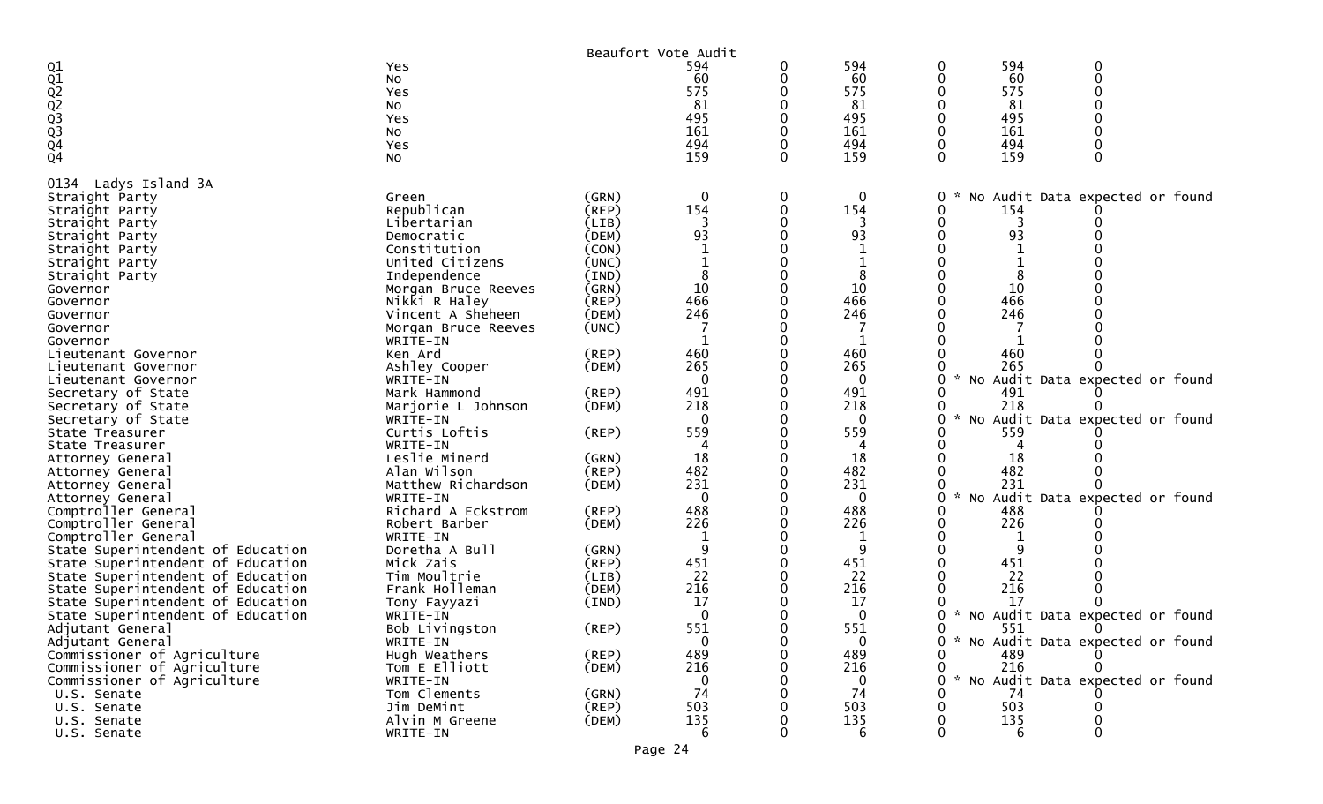|                                        |                     |             | Beaufort Vote Audit |   |              |   |     |                                 |  |
|----------------------------------------|---------------------|-------------|---------------------|---|--------------|---|-----|---------------------------------|--|
|                                        | Yes                 |             | 594                 | 0 | 594          | 0 | 594 | 0                               |  |
|                                        | No                  |             | 60                  |   | 60           |   | 60  | $\Omega$                        |  |
|                                        | Yes                 |             | 575                 |   | 575          |   | 575 |                                 |  |
|                                        | No                  |             | 81                  |   | 81           |   | 81  |                                 |  |
|                                        | Yes                 |             | 495                 |   | 495          |   | 495 |                                 |  |
|                                        | No                  |             | 161                 |   | 161          |   | 161 |                                 |  |
|                                        | Yes                 |             | 494                 |   | 494          |   | 494 |                                 |  |
| Q1<br>Q1<br>Q2<br>Q2<br>Q3<br>Q4<br>Q4 | NO.                 |             | 159                 | 0 | 159          | 0 | 159 |                                 |  |
|                                        |                     |             |                     |   |              |   |     |                                 |  |
| Ladys Island 3A<br>0134                |                     |             |                     |   |              |   |     |                                 |  |
| Straight Party                         | Green               | (GRN)       | $\mathbf 0$         | 0 | 0            | 0 |     | No Audit Data expected or found |  |
| Straight Party                         | Republican          | (REP)       | 154                 | 0 | 154          | 0 | 154 |                                 |  |
| Straight Party                         | Libertarian         | (LIB)       | 3                   |   | 3            |   |     |                                 |  |
| Straight Party                         | Democratic          | (DEM)       | 93                  |   | 93           |   | 93  |                                 |  |
| Straight Party                         | Constitution        | (CON)       |                     |   |              |   |     |                                 |  |
| Straight Party                         | United Citizens     | (UNC)       |                     |   |              |   |     |                                 |  |
| Straight Party                         | Independence        | (IND)       | 8                   |   |              |   |     |                                 |  |
| Governor                               | Morgan Bruce Reeves | (GRN)       | 10                  |   | 10           |   | 10  |                                 |  |
| Governor                               | Nikki R Haley       | (REP)       | 466                 |   | 466          |   | 466 |                                 |  |
| Governor                               | Vincent A Sheheen   | (DEM)       | 246                 |   | 246          |   | 246 |                                 |  |
| Governor                               | Morgan Bruce Reeves | (UNC)       |                     |   |              |   |     |                                 |  |
| Governor                               | WRITE-IN            |             | -1                  |   | $\mathbf{1}$ |   |     |                                 |  |
| Lieutenant Governor                    | Ken Ard             | (REP)       | 460                 |   | 460          |   | 460 |                                 |  |
|                                        |                     |             | 265                 |   | 265          |   | 265 |                                 |  |
| Lieutenant Governor                    | Ashley Cooper       | (DEM)       |                     |   |              |   |     |                                 |  |
| Lieutenant Governor                    | WRITE-IN            |             | $\mathbf{0}$        |   | $\mathbf{0}$ |   |     | No Audit Data expected or found |  |
| Secretary of State                     | Mark Hammond        | (REP)       | 491                 |   | 491          |   | 491 |                                 |  |
| Secretary of State                     | Marjorie L Johnson  | (DEM)       | 218                 |   | 218          |   | 218 |                                 |  |
| Secretary of State                     | WRITE-IN            |             | $\Omega$            |   | $\Omega$     |   |     | No Audit Data expected or found |  |
| State Treasurer                        | Curtis Loftis       | (REP)       | 559                 |   | 559          |   | 559 |                                 |  |
| State Treasurer                        | WRITE-IN            |             |                     |   |              |   |     |                                 |  |
| Attorney General                       | Leslie Minerd       | (GRN)       | 18                  |   | 18           |   | 18  |                                 |  |
| Attorney General                       | Alan Wilson         | (REP)       | 482                 |   | 482          |   | 482 |                                 |  |
| Attorney General                       | Matthew Richardson  | (DEM)       | 231                 |   | 231          |   | 231 |                                 |  |
| Attorney General                       | WRITE-IN            |             | $\mathbf{0}$        |   | $\mathbf 0$  | 0 | No  | Audit Data expected or found    |  |
| Comptroller General                    | Richard A Eckstrom  | (REP)       | 488                 |   | 488          |   | 488 |                                 |  |
| Comptroller General                    | Robert Barber       | (DEM)       | 226                 |   | 226          |   | 226 |                                 |  |
| Comptroller General                    | WRITE-IN            |             | 1                   |   | 1            |   |     |                                 |  |
| State Superintendent of Education      | Doretha A Bull      | (GRN)       | 9                   |   | 9            |   |     |                                 |  |
| State Superintendent of Education      | Mick Zais           | (REP)       | 451                 |   | 451          |   | 451 |                                 |  |
| State Superintendent of Education      |                     |             | 22                  |   | 22           |   | 22  |                                 |  |
|                                        | Tim Moultrie        | (LIB)       |                     |   |              |   |     |                                 |  |
| State Superintendent of Education      | Frank Holleman      | (DEM)       | 216                 |   | 216          |   | 216 |                                 |  |
| State Superintendent of Education      | Tony Fayyazi        | (IND)       | 17                  |   | 17           |   | 17  |                                 |  |
| State Superintendent of Education      | WRITE-IN            |             | $\mathbf{0}$        |   | $\mathbf 0$  |   | No  | Audit Data expected or found    |  |
| Adjutant General                       | Bob Livingston      | (REP)       | 551                 |   | 551          |   | 551 |                                 |  |
| Adjutant General                       | WRITE-IN            |             | $\bf{0}$            |   | $\bf{0}$     |   |     | No Audit Data expected or found |  |
| Commissioner of Agriculture            | Hugh Weathers       | $($ REP $)$ | 489                 | 0 | 489          | 0 | 489 |                                 |  |
| Commissioner of Agriculture            | Tom E Elliott       | (DEM)       | 216                 |   | 216          | 0 | 216 |                                 |  |
| Commissioner of Agriculture            | WRITE-IN            |             | $\mathbf{0}$        |   | $\mathbf{0}$ |   |     | No Audit Data expected or found |  |
| U.S. Senate                            | Tom Clements        | (GRN)       | 74                  |   | 74           |   | 74  |                                 |  |
| U.S. Senate                            | Jim DeMint          | (REP)       | 503                 |   | 503          |   | 503 |                                 |  |
| U.S. Senate                            | Alvin M Greene      | (DEM)       | 135                 |   | 135          |   | 135 |                                 |  |
| U.S. Senate                            | WRITE-IN            |             | 6                   | 0 | 6            | 0 | 6   | 0                               |  |
|                                        |                     |             |                     |   |              |   |     |                                 |  |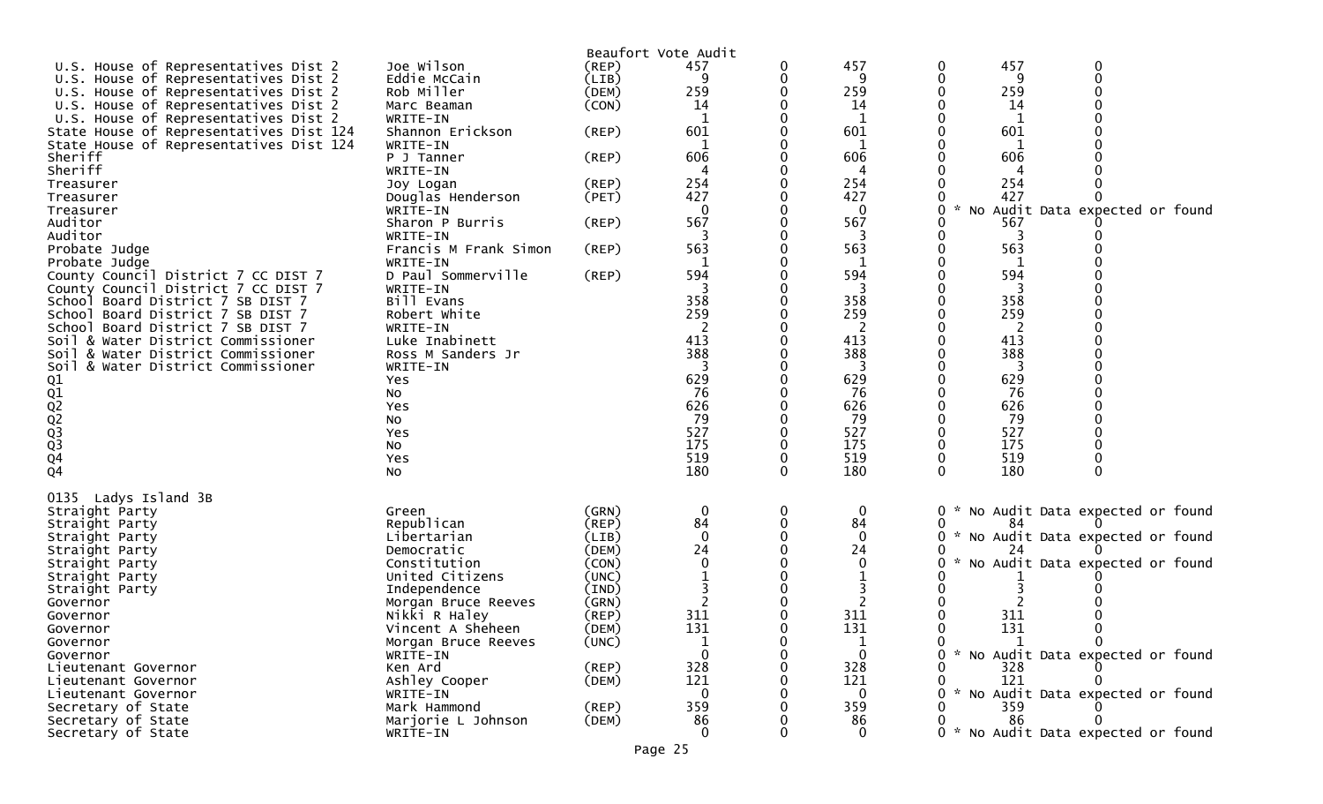| Beaufort Vote Audit<br>457<br>457<br>Joe Wilson<br>457<br>0<br>U.S. House of Representatives Dist 2<br>(REP)<br>0<br>0<br>$\mathbf 0$<br>Eddie McCain<br>(LIB)<br>9<br>0<br>q<br>-9<br>U.S. House of Representatives Dist 2<br>Rob Miller<br>259<br>259<br>259<br>U.S. House of Representatives Dist 2<br>(DEM)<br>(CON)<br>U.S. House of Representatives Dist 2<br>Marc Beaman<br>14<br>14<br>14<br>U.S. House of Representatives Dist 2<br>WRITE-IN<br>$\mathbf{1}$<br>1<br>1<br>601<br>601<br>601<br>Shannon Erickson<br>(REP)<br>State House of Representatives Dist 124<br>State House of Representatives Dist 124<br>WRITE-IN<br>Sheriff<br>606<br>606<br>606<br>(REP)<br>P J Tanner<br>WRITE-IN<br>4<br>254<br>254<br>254<br>$($ REP $)$<br>Joy Logan<br>427<br>427<br>427<br>(PET)<br>Douglas Henderson<br>$\Omega$<br>$\mathcal{H}$<br>$\Omega$<br>No Audit Data expected or found<br>WRITE-IN<br>567<br>567<br>Sharon P Burris<br>$($ REP $)$<br>567<br>Auditor<br>3<br>3<br>WRITE-IN<br>563<br>563<br>563<br>$($ REP $)$<br>Probate Judge<br>Francis M Frank Simon<br>Probate Judge<br>WRITE-IN<br>-1<br>1<br>D Paul Sommerville<br>594<br>594<br>594<br>(REP)<br>County Council District 7 CC DIST 7<br>County Council District 7 CC DIST 7<br>WRITE-IN<br>358<br>358<br>358<br>Bill Evans<br>School Board District 7 SB DIST 7<br>259<br>259<br>259<br>Robert White<br>School Board District 7 SB DIST 7<br>School Board District 7 SB DIST 7<br>WRITE-IN<br>2<br>413<br>413<br>413<br>Soil & Water District Commissioner<br>Luke Inabinett<br>388<br>388<br>388<br>Soil & Water District Commissioner<br>Ross M Sanders Jr<br>Soil & Water District Commissioner<br>WRITE-IN<br>629<br>629<br>629<br>01<br>02<br>02<br>02<br>03<br>03<br>04<br>04<br>Yes<br>76<br>76<br>76<br>NO.<br>626<br>626<br>626<br>Yes<br>79<br>79<br>79<br>No<br>527<br>527<br>527<br>Yes<br>175<br>175<br>175<br>No<br>519<br>519<br>519<br>Yes<br>180<br>180<br>180<br>$\Omega$<br>0<br>0<br>No<br>Ladys Island 3B<br>$\mathbf 0$<br>0<br>0<br>Straight Party<br>(GRN)<br>0<br>* No Audit Data expected or found<br>Green<br>84<br>Republican<br>84<br>$($ REP $)$<br>0<br>84<br>Straight Party<br>$\Omega$<br>$\Omega$<br>* No Audit Data expected or found<br>Libertarian<br>(LIB)<br>Straight Party<br>0<br>24<br>24<br>(DEM)<br>Straight Party<br>Democratic<br>No Audit Data expected or found<br>Constitution<br>(CON)<br>Straight Party<br>United Citizens<br>(UNC)<br>Straight Party<br>(IND)<br>Straight Party<br>Independence<br>(GRN)<br>Morgan Bruce Reeves<br>Governor<br>311<br>311<br>311<br>Nikki R Haley<br>(REP)<br>Governor<br>131<br>131<br>131<br>Vincent A Sheheen<br>(DEM)<br>Governor<br>$\Omega$<br>(UNC)<br>Morgan Bruce Reeves<br>1<br>Governor<br>$\mathbf{0}$<br>$\Omega$<br>* No Audit Data expected or found<br>WRITE-IN<br>Governor<br>328<br>328<br>328<br>(REP)<br>Ken Ard<br>Lieutenant Governor<br>121<br>121<br>Ashley Cooper<br>121<br>(DEM)<br>Lieutenant Governor<br>* No Audit Data expected or found<br>WRITE-IN<br>$\Omega$<br>$\bf{0}$<br>Lieutenant Governor<br>359<br>359<br>359<br>(REP)<br>Secretary of State<br>Mark Hammond |                    |          |  |  |                                     |
|-----------------------------------------------------------------------------------------------------------------------------------------------------------------------------------------------------------------------------------------------------------------------------------------------------------------------------------------------------------------------------------------------------------------------------------------------------------------------------------------------------------------------------------------------------------------------------------------------------------------------------------------------------------------------------------------------------------------------------------------------------------------------------------------------------------------------------------------------------------------------------------------------------------------------------------------------------------------------------------------------------------------------------------------------------------------------------------------------------------------------------------------------------------------------------------------------------------------------------------------------------------------------------------------------------------------------------------------------------------------------------------------------------------------------------------------------------------------------------------------------------------------------------------------------------------------------------------------------------------------------------------------------------------------------------------------------------------------------------------------------------------------------------------------------------------------------------------------------------------------------------------------------------------------------------------------------------------------------------------------------------------------------------------------------------------------------------------------------------------------------------------------------------------------------------------------------------------------------------------------------------------------------------------------------------------------------------------------------------------------------------------------------------------------------------------------------------------------------------------------------------------------------------------------------------------------------------------------------------------------------------------------------------------------------------------------------------------------------------------------------------------------------------------------------------------------------------------------------------------------------------------------------------------------------------------------------------------------------------------------------------------------------------------------------------------------------------------------------------------------------------------------------------------------------|--------------------|----------|--|--|-------------------------------------|
|                                                                                                                                                                                                                                                                                                                                                                                                                                                                                                                                                                                                                                                                                                                                                                                                                                                                                                                                                                                                                                                                                                                                                                                                                                                                                                                                                                                                                                                                                                                                                                                                                                                                                                                                                                                                                                                                                                                                                                                                                                                                                                                                                                                                                                                                                                                                                                                                                                                                                                                                                                                                                                                                                                                                                                                                                                                                                                                                                                                                                                                                                                                                                                       |                    |          |  |  |                                     |
|                                                                                                                                                                                                                                                                                                                                                                                                                                                                                                                                                                                                                                                                                                                                                                                                                                                                                                                                                                                                                                                                                                                                                                                                                                                                                                                                                                                                                                                                                                                                                                                                                                                                                                                                                                                                                                                                                                                                                                                                                                                                                                                                                                                                                                                                                                                                                                                                                                                                                                                                                                                                                                                                                                                                                                                                                                                                                                                                                                                                                                                                                                                                                                       |                    |          |  |  |                                     |
|                                                                                                                                                                                                                                                                                                                                                                                                                                                                                                                                                                                                                                                                                                                                                                                                                                                                                                                                                                                                                                                                                                                                                                                                                                                                                                                                                                                                                                                                                                                                                                                                                                                                                                                                                                                                                                                                                                                                                                                                                                                                                                                                                                                                                                                                                                                                                                                                                                                                                                                                                                                                                                                                                                                                                                                                                                                                                                                                                                                                                                                                                                                                                                       |                    |          |  |  |                                     |
|                                                                                                                                                                                                                                                                                                                                                                                                                                                                                                                                                                                                                                                                                                                                                                                                                                                                                                                                                                                                                                                                                                                                                                                                                                                                                                                                                                                                                                                                                                                                                                                                                                                                                                                                                                                                                                                                                                                                                                                                                                                                                                                                                                                                                                                                                                                                                                                                                                                                                                                                                                                                                                                                                                                                                                                                                                                                                                                                                                                                                                                                                                                                                                       |                    |          |  |  |                                     |
|                                                                                                                                                                                                                                                                                                                                                                                                                                                                                                                                                                                                                                                                                                                                                                                                                                                                                                                                                                                                                                                                                                                                                                                                                                                                                                                                                                                                                                                                                                                                                                                                                                                                                                                                                                                                                                                                                                                                                                                                                                                                                                                                                                                                                                                                                                                                                                                                                                                                                                                                                                                                                                                                                                                                                                                                                                                                                                                                                                                                                                                                                                                                                                       |                    |          |  |  |                                     |
|                                                                                                                                                                                                                                                                                                                                                                                                                                                                                                                                                                                                                                                                                                                                                                                                                                                                                                                                                                                                                                                                                                                                                                                                                                                                                                                                                                                                                                                                                                                                                                                                                                                                                                                                                                                                                                                                                                                                                                                                                                                                                                                                                                                                                                                                                                                                                                                                                                                                                                                                                                                                                                                                                                                                                                                                                                                                                                                                                                                                                                                                                                                                                                       |                    |          |  |  |                                     |
|                                                                                                                                                                                                                                                                                                                                                                                                                                                                                                                                                                                                                                                                                                                                                                                                                                                                                                                                                                                                                                                                                                                                                                                                                                                                                                                                                                                                                                                                                                                                                                                                                                                                                                                                                                                                                                                                                                                                                                                                                                                                                                                                                                                                                                                                                                                                                                                                                                                                                                                                                                                                                                                                                                                                                                                                                                                                                                                                                                                                                                                                                                                                                                       |                    |          |  |  |                                     |
|                                                                                                                                                                                                                                                                                                                                                                                                                                                                                                                                                                                                                                                                                                                                                                                                                                                                                                                                                                                                                                                                                                                                                                                                                                                                                                                                                                                                                                                                                                                                                                                                                                                                                                                                                                                                                                                                                                                                                                                                                                                                                                                                                                                                                                                                                                                                                                                                                                                                                                                                                                                                                                                                                                                                                                                                                                                                                                                                                                                                                                                                                                                                                                       |                    |          |  |  |                                     |
|                                                                                                                                                                                                                                                                                                                                                                                                                                                                                                                                                                                                                                                                                                                                                                                                                                                                                                                                                                                                                                                                                                                                                                                                                                                                                                                                                                                                                                                                                                                                                                                                                                                                                                                                                                                                                                                                                                                                                                                                                                                                                                                                                                                                                                                                                                                                                                                                                                                                                                                                                                                                                                                                                                                                                                                                                                                                                                                                                                                                                                                                                                                                                                       | Sheriff            |          |  |  |                                     |
|                                                                                                                                                                                                                                                                                                                                                                                                                                                                                                                                                                                                                                                                                                                                                                                                                                                                                                                                                                                                                                                                                                                                                                                                                                                                                                                                                                                                                                                                                                                                                                                                                                                                                                                                                                                                                                                                                                                                                                                                                                                                                                                                                                                                                                                                                                                                                                                                                                                                                                                                                                                                                                                                                                                                                                                                                                                                                                                                                                                                                                                                                                                                                                       | Treasurer          |          |  |  |                                     |
|                                                                                                                                                                                                                                                                                                                                                                                                                                                                                                                                                                                                                                                                                                                                                                                                                                                                                                                                                                                                                                                                                                                                                                                                                                                                                                                                                                                                                                                                                                                                                                                                                                                                                                                                                                                                                                                                                                                                                                                                                                                                                                                                                                                                                                                                                                                                                                                                                                                                                                                                                                                                                                                                                                                                                                                                                                                                                                                                                                                                                                                                                                                                                                       | Treasurer          |          |  |  |                                     |
|                                                                                                                                                                                                                                                                                                                                                                                                                                                                                                                                                                                                                                                                                                                                                                                                                                                                                                                                                                                                                                                                                                                                                                                                                                                                                                                                                                                                                                                                                                                                                                                                                                                                                                                                                                                                                                                                                                                                                                                                                                                                                                                                                                                                                                                                                                                                                                                                                                                                                                                                                                                                                                                                                                                                                                                                                                                                                                                                                                                                                                                                                                                                                                       | Treasurer          |          |  |  |                                     |
|                                                                                                                                                                                                                                                                                                                                                                                                                                                                                                                                                                                                                                                                                                                                                                                                                                                                                                                                                                                                                                                                                                                                                                                                                                                                                                                                                                                                                                                                                                                                                                                                                                                                                                                                                                                                                                                                                                                                                                                                                                                                                                                                                                                                                                                                                                                                                                                                                                                                                                                                                                                                                                                                                                                                                                                                                                                                                                                                                                                                                                                                                                                                                                       | Auditor            |          |  |  |                                     |
|                                                                                                                                                                                                                                                                                                                                                                                                                                                                                                                                                                                                                                                                                                                                                                                                                                                                                                                                                                                                                                                                                                                                                                                                                                                                                                                                                                                                                                                                                                                                                                                                                                                                                                                                                                                                                                                                                                                                                                                                                                                                                                                                                                                                                                                                                                                                                                                                                                                                                                                                                                                                                                                                                                                                                                                                                                                                                                                                                                                                                                                                                                                                                                       |                    |          |  |  |                                     |
|                                                                                                                                                                                                                                                                                                                                                                                                                                                                                                                                                                                                                                                                                                                                                                                                                                                                                                                                                                                                                                                                                                                                                                                                                                                                                                                                                                                                                                                                                                                                                                                                                                                                                                                                                                                                                                                                                                                                                                                                                                                                                                                                                                                                                                                                                                                                                                                                                                                                                                                                                                                                                                                                                                                                                                                                                                                                                                                                                                                                                                                                                                                                                                       |                    |          |  |  |                                     |
|                                                                                                                                                                                                                                                                                                                                                                                                                                                                                                                                                                                                                                                                                                                                                                                                                                                                                                                                                                                                                                                                                                                                                                                                                                                                                                                                                                                                                                                                                                                                                                                                                                                                                                                                                                                                                                                                                                                                                                                                                                                                                                                                                                                                                                                                                                                                                                                                                                                                                                                                                                                                                                                                                                                                                                                                                                                                                                                                                                                                                                                                                                                                                                       |                    |          |  |  |                                     |
|                                                                                                                                                                                                                                                                                                                                                                                                                                                                                                                                                                                                                                                                                                                                                                                                                                                                                                                                                                                                                                                                                                                                                                                                                                                                                                                                                                                                                                                                                                                                                                                                                                                                                                                                                                                                                                                                                                                                                                                                                                                                                                                                                                                                                                                                                                                                                                                                                                                                                                                                                                                                                                                                                                                                                                                                                                                                                                                                                                                                                                                                                                                                                                       |                    |          |  |  |                                     |
|                                                                                                                                                                                                                                                                                                                                                                                                                                                                                                                                                                                                                                                                                                                                                                                                                                                                                                                                                                                                                                                                                                                                                                                                                                                                                                                                                                                                                                                                                                                                                                                                                                                                                                                                                                                                                                                                                                                                                                                                                                                                                                                                                                                                                                                                                                                                                                                                                                                                                                                                                                                                                                                                                                                                                                                                                                                                                                                                                                                                                                                                                                                                                                       |                    |          |  |  |                                     |
|                                                                                                                                                                                                                                                                                                                                                                                                                                                                                                                                                                                                                                                                                                                                                                                                                                                                                                                                                                                                                                                                                                                                                                                                                                                                                                                                                                                                                                                                                                                                                                                                                                                                                                                                                                                                                                                                                                                                                                                                                                                                                                                                                                                                                                                                                                                                                                                                                                                                                                                                                                                                                                                                                                                                                                                                                                                                                                                                                                                                                                                                                                                                                                       |                    |          |  |  |                                     |
|                                                                                                                                                                                                                                                                                                                                                                                                                                                                                                                                                                                                                                                                                                                                                                                                                                                                                                                                                                                                                                                                                                                                                                                                                                                                                                                                                                                                                                                                                                                                                                                                                                                                                                                                                                                                                                                                                                                                                                                                                                                                                                                                                                                                                                                                                                                                                                                                                                                                                                                                                                                                                                                                                                                                                                                                                                                                                                                                                                                                                                                                                                                                                                       |                    |          |  |  |                                     |
|                                                                                                                                                                                                                                                                                                                                                                                                                                                                                                                                                                                                                                                                                                                                                                                                                                                                                                                                                                                                                                                                                                                                                                                                                                                                                                                                                                                                                                                                                                                                                                                                                                                                                                                                                                                                                                                                                                                                                                                                                                                                                                                                                                                                                                                                                                                                                                                                                                                                                                                                                                                                                                                                                                                                                                                                                                                                                                                                                                                                                                                                                                                                                                       |                    |          |  |  |                                     |
|                                                                                                                                                                                                                                                                                                                                                                                                                                                                                                                                                                                                                                                                                                                                                                                                                                                                                                                                                                                                                                                                                                                                                                                                                                                                                                                                                                                                                                                                                                                                                                                                                                                                                                                                                                                                                                                                                                                                                                                                                                                                                                                                                                                                                                                                                                                                                                                                                                                                                                                                                                                                                                                                                                                                                                                                                                                                                                                                                                                                                                                                                                                                                                       |                    |          |  |  |                                     |
|                                                                                                                                                                                                                                                                                                                                                                                                                                                                                                                                                                                                                                                                                                                                                                                                                                                                                                                                                                                                                                                                                                                                                                                                                                                                                                                                                                                                                                                                                                                                                                                                                                                                                                                                                                                                                                                                                                                                                                                                                                                                                                                                                                                                                                                                                                                                                                                                                                                                                                                                                                                                                                                                                                                                                                                                                                                                                                                                                                                                                                                                                                                                                                       |                    |          |  |  |                                     |
|                                                                                                                                                                                                                                                                                                                                                                                                                                                                                                                                                                                                                                                                                                                                                                                                                                                                                                                                                                                                                                                                                                                                                                                                                                                                                                                                                                                                                                                                                                                                                                                                                                                                                                                                                                                                                                                                                                                                                                                                                                                                                                                                                                                                                                                                                                                                                                                                                                                                                                                                                                                                                                                                                                                                                                                                                                                                                                                                                                                                                                                                                                                                                                       |                    |          |  |  |                                     |
|                                                                                                                                                                                                                                                                                                                                                                                                                                                                                                                                                                                                                                                                                                                                                                                                                                                                                                                                                                                                                                                                                                                                                                                                                                                                                                                                                                                                                                                                                                                                                                                                                                                                                                                                                                                                                                                                                                                                                                                                                                                                                                                                                                                                                                                                                                                                                                                                                                                                                                                                                                                                                                                                                                                                                                                                                                                                                                                                                                                                                                                                                                                                                                       |                    |          |  |  |                                     |
|                                                                                                                                                                                                                                                                                                                                                                                                                                                                                                                                                                                                                                                                                                                                                                                                                                                                                                                                                                                                                                                                                                                                                                                                                                                                                                                                                                                                                                                                                                                                                                                                                                                                                                                                                                                                                                                                                                                                                                                                                                                                                                                                                                                                                                                                                                                                                                                                                                                                                                                                                                                                                                                                                                                                                                                                                                                                                                                                                                                                                                                                                                                                                                       |                    |          |  |  |                                     |
|                                                                                                                                                                                                                                                                                                                                                                                                                                                                                                                                                                                                                                                                                                                                                                                                                                                                                                                                                                                                                                                                                                                                                                                                                                                                                                                                                                                                                                                                                                                                                                                                                                                                                                                                                                                                                                                                                                                                                                                                                                                                                                                                                                                                                                                                                                                                                                                                                                                                                                                                                                                                                                                                                                                                                                                                                                                                                                                                                                                                                                                                                                                                                                       |                    |          |  |  |                                     |
|                                                                                                                                                                                                                                                                                                                                                                                                                                                                                                                                                                                                                                                                                                                                                                                                                                                                                                                                                                                                                                                                                                                                                                                                                                                                                                                                                                                                                                                                                                                                                                                                                                                                                                                                                                                                                                                                                                                                                                                                                                                                                                                                                                                                                                                                                                                                                                                                                                                                                                                                                                                                                                                                                                                                                                                                                                                                                                                                                                                                                                                                                                                                                                       |                    |          |  |  |                                     |
|                                                                                                                                                                                                                                                                                                                                                                                                                                                                                                                                                                                                                                                                                                                                                                                                                                                                                                                                                                                                                                                                                                                                                                                                                                                                                                                                                                                                                                                                                                                                                                                                                                                                                                                                                                                                                                                                                                                                                                                                                                                                                                                                                                                                                                                                                                                                                                                                                                                                                                                                                                                                                                                                                                                                                                                                                                                                                                                                                                                                                                                                                                                                                                       |                    |          |  |  |                                     |
|                                                                                                                                                                                                                                                                                                                                                                                                                                                                                                                                                                                                                                                                                                                                                                                                                                                                                                                                                                                                                                                                                                                                                                                                                                                                                                                                                                                                                                                                                                                                                                                                                                                                                                                                                                                                                                                                                                                                                                                                                                                                                                                                                                                                                                                                                                                                                                                                                                                                                                                                                                                                                                                                                                                                                                                                                                                                                                                                                                                                                                                                                                                                                                       |                    |          |  |  |                                     |
|                                                                                                                                                                                                                                                                                                                                                                                                                                                                                                                                                                                                                                                                                                                                                                                                                                                                                                                                                                                                                                                                                                                                                                                                                                                                                                                                                                                                                                                                                                                                                                                                                                                                                                                                                                                                                                                                                                                                                                                                                                                                                                                                                                                                                                                                                                                                                                                                                                                                                                                                                                                                                                                                                                                                                                                                                                                                                                                                                                                                                                                                                                                                                                       |                    |          |  |  |                                     |
|                                                                                                                                                                                                                                                                                                                                                                                                                                                                                                                                                                                                                                                                                                                                                                                                                                                                                                                                                                                                                                                                                                                                                                                                                                                                                                                                                                                                                                                                                                                                                                                                                                                                                                                                                                                                                                                                                                                                                                                                                                                                                                                                                                                                                                                                                                                                                                                                                                                                                                                                                                                                                                                                                                                                                                                                                                                                                                                                                                                                                                                                                                                                                                       |                    |          |  |  |                                     |
|                                                                                                                                                                                                                                                                                                                                                                                                                                                                                                                                                                                                                                                                                                                                                                                                                                                                                                                                                                                                                                                                                                                                                                                                                                                                                                                                                                                                                                                                                                                                                                                                                                                                                                                                                                                                                                                                                                                                                                                                                                                                                                                                                                                                                                                                                                                                                                                                                                                                                                                                                                                                                                                                                                                                                                                                                                                                                                                                                                                                                                                                                                                                                                       | 0135               |          |  |  |                                     |
|                                                                                                                                                                                                                                                                                                                                                                                                                                                                                                                                                                                                                                                                                                                                                                                                                                                                                                                                                                                                                                                                                                                                                                                                                                                                                                                                                                                                                                                                                                                                                                                                                                                                                                                                                                                                                                                                                                                                                                                                                                                                                                                                                                                                                                                                                                                                                                                                                                                                                                                                                                                                                                                                                                                                                                                                                                                                                                                                                                                                                                                                                                                                                                       |                    |          |  |  |                                     |
|                                                                                                                                                                                                                                                                                                                                                                                                                                                                                                                                                                                                                                                                                                                                                                                                                                                                                                                                                                                                                                                                                                                                                                                                                                                                                                                                                                                                                                                                                                                                                                                                                                                                                                                                                                                                                                                                                                                                                                                                                                                                                                                                                                                                                                                                                                                                                                                                                                                                                                                                                                                                                                                                                                                                                                                                                                                                                                                                                                                                                                                                                                                                                                       |                    |          |  |  |                                     |
|                                                                                                                                                                                                                                                                                                                                                                                                                                                                                                                                                                                                                                                                                                                                                                                                                                                                                                                                                                                                                                                                                                                                                                                                                                                                                                                                                                                                                                                                                                                                                                                                                                                                                                                                                                                                                                                                                                                                                                                                                                                                                                                                                                                                                                                                                                                                                                                                                                                                                                                                                                                                                                                                                                                                                                                                                                                                                                                                                                                                                                                                                                                                                                       |                    |          |  |  |                                     |
|                                                                                                                                                                                                                                                                                                                                                                                                                                                                                                                                                                                                                                                                                                                                                                                                                                                                                                                                                                                                                                                                                                                                                                                                                                                                                                                                                                                                                                                                                                                                                                                                                                                                                                                                                                                                                                                                                                                                                                                                                                                                                                                                                                                                                                                                                                                                                                                                                                                                                                                                                                                                                                                                                                                                                                                                                                                                                                                                                                                                                                                                                                                                                                       |                    |          |  |  |                                     |
|                                                                                                                                                                                                                                                                                                                                                                                                                                                                                                                                                                                                                                                                                                                                                                                                                                                                                                                                                                                                                                                                                                                                                                                                                                                                                                                                                                                                                                                                                                                                                                                                                                                                                                                                                                                                                                                                                                                                                                                                                                                                                                                                                                                                                                                                                                                                                                                                                                                                                                                                                                                                                                                                                                                                                                                                                                                                                                                                                                                                                                                                                                                                                                       |                    |          |  |  |                                     |
|                                                                                                                                                                                                                                                                                                                                                                                                                                                                                                                                                                                                                                                                                                                                                                                                                                                                                                                                                                                                                                                                                                                                                                                                                                                                                                                                                                                                                                                                                                                                                                                                                                                                                                                                                                                                                                                                                                                                                                                                                                                                                                                                                                                                                                                                                                                                                                                                                                                                                                                                                                                                                                                                                                                                                                                                                                                                                                                                                                                                                                                                                                                                                                       |                    |          |  |  |                                     |
|                                                                                                                                                                                                                                                                                                                                                                                                                                                                                                                                                                                                                                                                                                                                                                                                                                                                                                                                                                                                                                                                                                                                                                                                                                                                                                                                                                                                                                                                                                                                                                                                                                                                                                                                                                                                                                                                                                                                                                                                                                                                                                                                                                                                                                                                                                                                                                                                                                                                                                                                                                                                                                                                                                                                                                                                                                                                                                                                                                                                                                                                                                                                                                       |                    |          |  |  |                                     |
|                                                                                                                                                                                                                                                                                                                                                                                                                                                                                                                                                                                                                                                                                                                                                                                                                                                                                                                                                                                                                                                                                                                                                                                                                                                                                                                                                                                                                                                                                                                                                                                                                                                                                                                                                                                                                                                                                                                                                                                                                                                                                                                                                                                                                                                                                                                                                                                                                                                                                                                                                                                                                                                                                                                                                                                                                                                                                                                                                                                                                                                                                                                                                                       |                    |          |  |  |                                     |
|                                                                                                                                                                                                                                                                                                                                                                                                                                                                                                                                                                                                                                                                                                                                                                                                                                                                                                                                                                                                                                                                                                                                                                                                                                                                                                                                                                                                                                                                                                                                                                                                                                                                                                                                                                                                                                                                                                                                                                                                                                                                                                                                                                                                                                                                                                                                                                                                                                                                                                                                                                                                                                                                                                                                                                                                                                                                                                                                                                                                                                                                                                                                                                       |                    |          |  |  |                                     |
|                                                                                                                                                                                                                                                                                                                                                                                                                                                                                                                                                                                                                                                                                                                                                                                                                                                                                                                                                                                                                                                                                                                                                                                                                                                                                                                                                                                                                                                                                                                                                                                                                                                                                                                                                                                                                                                                                                                                                                                                                                                                                                                                                                                                                                                                                                                                                                                                                                                                                                                                                                                                                                                                                                                                                                                                                                                                                                                                                                                                                                                                                                                                                                       |                    |          |  |  |                                     |
|                                                                                                                                                                                                                                                                                                                                                                                                                                                                                                                                                                                                                                                                                                                                                                                                                                                                                                                                                                                                                                                                                                                                                                                                                                                                                                                                                                                                                                                                                                                                                                                                                                                                                                                                                                                                                                                                                                                                                                                                                                                                                                                                                                                                                                                                                                                                                                                                                                                                                                                                                                                                                                                                                                                                                                                                                                                                                                                                                                                                                                                                                                                                                                       |                    |          |  |  |                                     |
|                                                                                                                                                                                                                                                                                                                                                                                                                                                                                                                                                                                                                                                                                                                                                                                                                                                                                                                                                                                                                                                                                                                                                                                                                                                                                                                                                                                                                                                                                                                                                                                                                                                                                                                                                                                                                                                                                                                                                                                                                                                                                                                                                                                                                                                                                                                                                                                                                                                                                                                                                                                                                                                                                                                                                                                                                                                                                                                                                                                                                                                                                                                                                                       |                    |          |  |  |                                     |
|                                                                                                                                                                                                                                                                                                                                                                                                                                                                                                                                                                                                                                                                                                                                                                                                                                                                                                                                                                                                                                                                                                                                                                                                                                                                                                                                                                                                                                                                                                                                                                                                                                                                                                                                                                                                                                                                                                                                                                                                                                                                                                                                                                                                                                                                                                                                                                                                                                                                                                                                                                                                                                                                                                                                                                                                                                                                                                                                                                                                                                                                                                                                                                       |                    |          |  |  |                                     |
|                                                                                                                                                                                                                                                                                                                                                                                                                                                                                                                                                                                                                                                                                                                                                                                                                                                                                                                                                                                                                                                                                                                                                                                                                                                                                                                                                                                                                                                                                                                                                                                                                                                                                                                                                                                                                                                                                                                                                                                                                                                                                                                                                                                                                                                                                                                                                                                                                                                                                                                                                                                                                                                                                                                                                                                                                                                                                                                                                                                                                                                                                                                                                                       |                    |          |  |  |                                     |
|                                                                                                                                                                                                                                                                                                                                                                                                                                                                                                                                                                                                                                                                                                                                                                                                                                                                                                                                                                                                                                                                                                                                                                                                                                                                                                                                                                                                                                                                                                                                                                                                                                                                                                                                                                                                                                                                                                                                                                                                                                                                                                                                                                                                                                                                                                                                                                                                                                                                                                                                                                                                                                                                                                                                                                                                                                                                                                                                                                                                                                                                                                                                                                       |                    |          |  |  |                                     |
| 86<br>Marjorie L Johnson<br>(DEM)<br>86<br>86                                                                                                                                                                                                                                                                                                                                                                                                                                                                                                                                                                                                                                                                                                                                                                                                                                                                                                                                                                                                                                                                                                                                                                                                                                                                                                                                                                                                                                                                                                                                                                                                                                                                                                                                                                                                                                                                                                                                                                                                                                                                                                                                                                                                                                                                                                                                                                                                                                                                                                                                                                                                                                                                                                                                                                                                                                                                                                                                                                                                                                                                                                                         | Secretary of State |          |  |  |                                     |
| $\overline{0}$<br>$\Omega$                                                                                                                                                                                                                                                                                                                                                                                                                                                                                                                                                                                                                                                                                                                                                                                                                                                                                                                                                                                                                                                                                                                                                                                                                                                                                                                                                                                                                                                                                                                                                                                                                                                                                                                                                                                                                                                                                                                                                                                                                                                                                                                                                                                                                                                                                                                                                                                                                                                                                                                                                                                                                                                                                                                                                                                                                                                                                                                                                                                                                                                                                                                                            | Secretary of State | WRITE-IN |  |  | 0 * No Audit Data expected or found |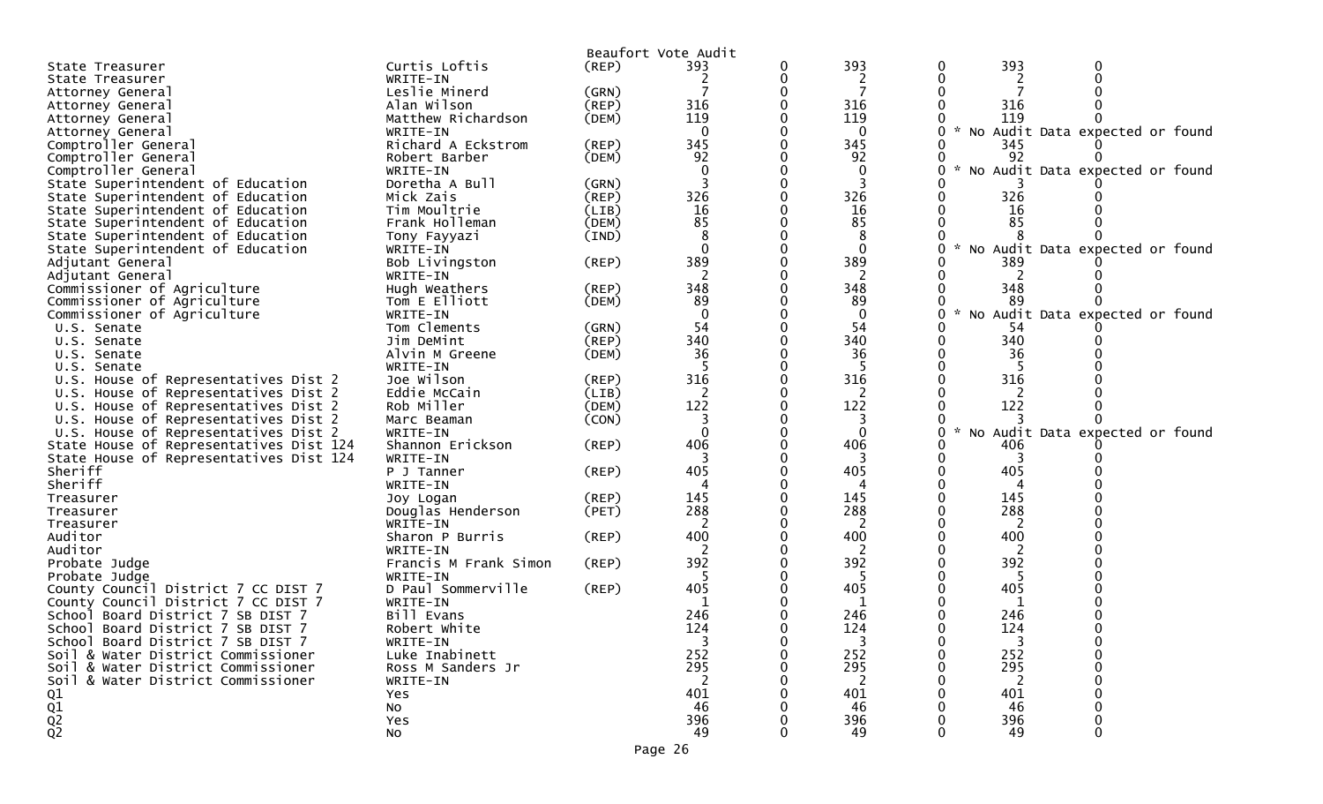| (REP)<br>State Treasurer<br>2<br>2<br>WRITE-IN<br>State Treasurer<br>Leslie Minerd<br>(GRN)<br>Attorney General<br>316<br>316<br>316<br>$($ REP $)$<br>Alan Wilson<br>Attorney General<br>119<br>119<br>119<br>Matthew Richardson<br>(DEM)<br>Attorney General<br>No Audit Data expected or found<br>WRITE-IN<br>$\Omega$<br>$\Omega$<br>Attorney General<br>345<br>345<br>Comptroller General<br>Richard A Eckstrom<br>(REP)<br>345<br>92<br>92<br>(DEM)<br>92<br>Comptroller General<br>Robert Barber<br>Comptroller General<br>No Audit Data expected or found<br>WRITE-IN<br>0<br>Doretha A Bull<br>State Superintendent of Education<br>(GRN)<br>326<br>326<br>Mick Zais<br>(REP)<br>326<br>State Superintendent of Education<br>16<br>State Superintendent of Education<br>Tim Moultrie<br>16<br>16<br>(LIB)<br>85<br>85<br>85<br>State Superintendent of Education<br>Frank Holleman<br>(DEM)<br>8<br>(IND)<br>State Superintendent of Education<br>Tony Fayyazi<br>$\Omega$<br>$\Omega$<br>State Superintendent of Education<br>WRITE-IN<br>No Audit Data expected or found<br>389<br>389<br>389<br>Bob Livingston<br>(REP)<br>Adjutant General<br>2<br>2<br>WRITE-IN<br>2<br>Adjutant General<br>348<br>348<br>348<br>Commissioner of Agriculture<br>Hugh Weathers<br>$($ REP $)$<br>89<br>89<br>Commissioner of Agriculture<br>-89<br>Tom E Elliott<br>(DEM)<br>$\Omega$<br>$\mathbf 0$<br>No Audit Data expected or found<br>Commissioner of Agriculture<br>WRITE-IN<br>54<br>Tom Clements<br>54<br>(GRN)<br>-54<br>U.S. Senate<br>340<br>340<br>340<br>(REP)<br>Jim DeMint<br>U.S. Senate<br>36<br>36<br>36<br>U.S. Senate<br>Alvin M Greene<br>(DEM)<br>WRITE-IN<br>U.S. Senate<br>316<br>316<br>316<br>U.S. House of Representatives Dist 2<br>Joe Wilson<br>(REP)<br>Eddie McCain<br>2<br>U.S. House of Representatives Dist 2<br>(LIB)<br>2<br>2<br>122<br>122<br>122<br>Rob Miller<br>(DEM)<br>U.S. House of Representatives Dist 2<br>(CON)<br>3<br>U.S. House of Representatives Dist 2<br>Marc Beaman<br>3<br>$\Omega$<br>No Audit Data expected or found<br>U.S. House of Representatives Dist 2<br>0<br>WRITE-IN<br>406<br>406<br>Shannon Erickson<br>(REP)<br>406<br>State House of Representatives Dist 124<br>State House of Representatives Dist 124<br>WRITE-IN<br>3<br>3<br>3<br>Sheriff<br>405<br>405<br>405<br>$($ REP $)$<br>P J Tanner<br>Sheriff<br>WRITE-IN<br>145<br>145<br>145<br>(REP)<br>Treasurer<br>Joy Logan<br>288<br>288<br>288<br>Douglas Henderson<br>(PET)<br>Treasurer<br>2<br>WRITE-IN<br>Treasurer<br>400<br>400<br>400<br>Auditor<br>(REP)<br>Sharon P Burris<br>Auditor<br>WRITE-IN<br>392<br>392<br>392<br>Probate Judge<br>Francis M Frank Simon<br>(REP)<br>WRITE-IN<br>5<br>Probate Judge<br>-5<br>-5<br>D Paul Sommerville<br>405<br>405<br>405<br>$($ REP $)$<br>County Council District 7 CC DIST 7<br>County Council District 7 CC DIST 7<br>WRITE-IN<br>1<br>1<br>1<br>246<br>246<br>246<br>Bill Evans<br>School<br>Board District 7 SB DIST 7<br>124<br>124<br>124<br>School Board District 7 SB DIST 7<br>Robert White<br>School Board District 7 SB DIST 7<br>WRITE-IN<br>3<br>0<br>3<br>3<br>252<br>252<br>252<br>Luke Inabinett<br>Soil & Water District Commissioner<br>295<br>295<br>295<br>Soil & Water District Commissioner<br>Ross M Sanders Jr<br>2<br>Soil & Water District Commissioner<br>2<br>2<br>WRITE-IN<br>401<br>401<br>Q1<br>401<br>Yes<br>$\frac{\dot{Q1}}{\dot{Q2}}$<br>46<br>46<br>46<br>No<br>396<br>396<br>396<br>Yes<br>49<br>49<br>49<br>No |               | Beaufort Vote Audit |     |     |  |  |
|--------------------------------------------------------------------------------------------------------------------------------------------------------------------------------------------------------------------------------------------------------------------------------------------------------------------------------------------------------------------------------------------------------------------------------------------------------------------------------------------------------------------------------------------------------------------------------------------------------------------------------------------------------------------------------------------------------------------------------------------------------------------------------------------------------------------------------------------------------------------------------------------------------------------------------------------------------------------------------------------------------------------------------------------------------------------------------------------------------------------------------------------------------------------------------------------------------------------------------------------------------------------------------------------------------------------------------------------------------------------------------------------------------------------------------------------------------------------------------------------------------------------------------------------------------------------------------------------------------------------------------------------------------------------------------------------------------------------------------------------------------------------------------------------------------------------------------------------------------------------------------------------------------------------------------------------------------------------------------------------------------------------------------------------------------------------------------------------------------------------------------------------------------------------------------------------------------------------------------------------------------------------------------------------------------------------------------------------------------------------------------------------------------------------------------------------------------------------------------------------------------------------------------------------------------------------------------------------------------------------------------------------------------------------------------------------------------------------------------------------------------------------------------------------------------------------------------------------------------------------------------------------------------------------------------------------------------------------------------------------------------------------------------------------------------------------------------------------------------------------------------------------------------------------------------------------------------------------------------------------------------------------------------------------------------------------------------------------------------------------------------------------------------------------------------------------------------------------------------------------------------------------------------------|---------------|---------------------|-----|-----|--|--|
|                                                                                                                                                                                                                                                                                                                                                                                                                                                                                                                                                                                                                                                                                                                                                                                                                                                                                                                                                                                                                                                                                                                                                                                                                                                                                                                                                                                                                                                                                                                                                                                                                                                                                                                                                                                                                                                                                                                                                                                                                                                                                                                                                                                                                                                                                                                                                                                                                                                                                                                                                                                                                                                                                                                                                                                                                                                                                                                                                                                                                                                                                                                                                                                                                                                                                                                                                                                                                                                                                                                                      | Curtis Loftis | 393                 | 393 | 393 |  |  |
|                                                                                                                                                                                                                                                                                                                                                                                                                                                                                                                                                                                                                                                                                                                                                                                                                                                                                                                                                                                                                                                                                                                                                                                                                                                                                                                                                                                                                                                                                                                                                                                                                                                                                                                                                                                                                                                                                                                                                                                                                                                                                                                                                                                                                                                                                                                                                                                                                                                                                                                                                                                                                                                                                                                                                                                                                                                                                                                                                                                                                                                                                                                                                                                                                                                                                                                                                                                                                                                                                                                                      |               |                     |     |     |  |  |
|                                                                                                                                                                                                                                                                                                                                                                                                                                                                                                                                                                                                                                                                                                                                                                                                                                                                                                                                                                                                                                                                                                                                                                                                                                                                                                                                                                                                                                                                                                                                                                                                                                                                                                                                                                                                                                                                                                                                                                                                                                                                                                                                                                                                                                                                                                                                                                                                                                                                                                                                                                                                                                                                                                                                                                                                                                                                                                                                                                                                                                                                                                                                                                                                                                                                                                                                                                                                                                                                                                                                      |               |                     |     |     |  |  |
|                                                                                                                                                                                                                                                                                                                                                                                                                                                                                                                                                                                                                                                                                                                                                                                                                                                                                                                                                                                                                                                                                                                                                                                                                                                                                                                                                                                                                                                                                                                                                                                                                                                                                                                                                                                                                                                                                                                                                                                                                                                                                                                                                                                                                                                                                                                                                                                                                                                                                                                                                                                                                                                                                                                                                                                                                                                                                                                                                                                                                                                                                                                                                                                                                                                                                                                                                                                                                                                                                                                                      |               |                     |     |     |  |  |
|                                                                                                                                                                                                                                                                                                                                                                                                                                                                                                                                                                                                                                                                                                                                                                                                                                                                                                                                                                                                                                                                                                                                                                                                                                                                                                                                                                                                                                                                                                                                                                                                                                                                                                                                                                                                                                                                                                                                                                                                                                                                                                                                                                                                                                                                                                                                                                                                                                                                                                                                                                                                                                                                                                                                                                                                                                                                                                                                                                                                                                                                                                                                                                                                                                                                                                                                                                                                                                                                                                                                      |               |                     |     |     |  |  |
|                                                                                                                                                                                                                                                                                                                                                                                                                                                                                                                                                                                                                                                                                                                                                                                                                                                                                                                                                                                                                                                                                                                                                                                                                                                                                                                                                                                                                                                                                                                                                                                                                                                                                                                                                                                                                                                                                                                                                                                                                                                                                                                                                                                                                                                                                                                                                                                                                                                                                                                                                                                                                                                                                                                                                                                                                                                                                                                                                                                                                                                                                                                                                                                                                                                                                                                                                                                                                                                                                                                                      |               |                     |     |     |  |  |
|                                                                                                                                                                                                                                                                                                                                                                                                                                                                                                                                                                                                                                                                                                                                                                                                                                                                                                                                                                                                                                                                                                                                                                                                                                                                                                                                                                                                                                                                                                                                                                                                                                                                                                                                                                                                                                                                                                                                                                                                                                                                                                                                                                                                                                                                                                                                                                                                                                                                                                                                                                                                                                                                                                                                                                                                                                                                                                                                                                                                                                                                                                                                                                                                                                                                                                                                                                                                                                                                                                                                      |               |                     |     |     |  |  |
|                                                                                                                                                                                                                                                                                                                                                                                                                                                                                                                                                                                                                                                                                                                                                                                                                                                                                                                                                                                                                                                                                                                                                                                                                                                                                                                                                                                                                                                                                                                                                                                                                                                                                                                                                                                                                                                                                                                                                                                                                                                                                                                                                                                                                                                                                                                                                                                                                                                                                                                                                                                                                                                                                                                                                                                                                                                                                                                                                                                                                                                                                                                                                                                                                                                                                                                                                                                                                                                                                                                                      |               |                     |     |     |  |  |
|                                                                                                                                                                                                                                                                                                                                                                                                                                                                                                                                                                                                                                                                                                                                                                                                                                                                                                                                                                                                                                                                                                                                                                                                                                                                                                                                                                                                                                                                                                                                                                                                                                                                                                                                                                                                                                                                                                                                                                                                                                                                                                                                                                                                                                                                                                                                                                                                                                                                                                                                                                                                                                                                                                                                                                                                                                                                                                                                                                                                                                                                                                                                                                                                                                                                                                                                                                                                                                                                                                                                      |               |                     |     |     |  |  |
|                                                                                                                                                                                                                                                                                                                                                                                                                                                                                                                                                                                                                                                                                                                                                                                                                                                                                                                                                                                                                                                                                                                                                                                                                                                                                                                                                                                                                                                                                                                                                                                                                                                                                                                                                                                                                                                                                                                                                                                                                                                                                                                                                                                                                                                                                                                                                                                                                                                                                                                                                                                                                                                                                                                                                                                                                                                                                                                                                                                                                                                                                                                                                                                                                                                                                                                                                                                                                                                                                                                                      |               |                     |     |     |  |  |
|                                                                                                                                                                                                                                                                                                                                                                                                                                                                                                                                                                                                                                                                                                                                                                                                                                                                                                                                                                                                                                                                                                                                                                                                                                                                                                                                                                                                                                                                                                                                                                                                                                                                                                                                                                                                                                                                                                                                                                                                                                                                                                                                                                                                                                                                                                                                                                                                                                                                                                                                                                                                                                                                                                                                                                                                                                                                                                                                                                                                                                                                                                                                                                                                                                                                                                                                                                                                                                                                                                                                      |               |                     |     |     |  |  |
|                                                                                                                                                                                                                                                                                                                                                                                                                                                                                                                                                                                                                                                                                                                                                                                                                                                                                                                                                                                                                                                                                                                                                                                                                                                                                                                                                                                                                                                                                                                                                                                                                                                                                                                                                                                                                                                                                                                                                                                                                                                                                                                                                                                                                                                                                                                                                                                                                                                                                                                                                                                                                                                                                                                                                                                                                                                                                                                                                                                                                                                                                                                                                                                                                                                                                                                                                                                                                                                                                                                                      |               |                     |     |     |  |  |
|                                                                                                                                                                                                                                                                                                                                                                                                                                                                                                                                                                                                                                                                                                                                                                                                                                                                                                                                                                                                                                                                                                                                                                                                                                                                                                                                                                                                                                                                                                                                                                                                                                                                                                                                                                                                                                                                                                                                                                                                                                                                                                                                                                                                                                                                                                                                                                                                                                                                                                                                                                                                                                                                                                                                                                                                                                                                                                                                                                                                                                                                                                                                                                                                                                                                                                                                                                                                                                                                                                                                      |               |                     |     |     |  |  |
|                                                                                                                                                                                                                                                                                                                                                                                                                                                                                                                                                                                                                                                                                                                                                                                                                                                                                                                                                                                                                                                                                                                                                                                                                                                                                                                                                                                                                                                                                                                                                                                                                                                                                                                                                                                                                                                                                                                                                                                                                                                                                                                                                                                                                                                                                                                                                                                                                                                                                                                                                                                                                                                                                                                                                                                                                                                                                                                                                                                                                                                                                                                                                                                                                                                                                                                                                                                                                                                                                                                                      |               |                     |     |     |  |  |
|                                                                                                                                                                                                                                                                                                                                                                                                                                                                                                                                                                                                                                                                                                                                                                                                                                                                                                                                                                                                                                                                                                                                                                                                                                                                                                                                                                                                                                                                                                                                                                                                                                                                                                                                                                                                                                                                                                                                                                                                                                                                                                                                                                                                                                                                                                                                                                                                                                                                                                                                                                                                                                                                                                                                                                                                                                                                                                                                                                                                                                                                                                                                                                                                                                                                                                                                                                                                                                                                                                                                      |               |                     |     |     |  |  |
|                                                                                                                                                                                                                                                                                                                                                                                                                                                                                                                                                                                                                                                                                                                                                                                                                                                                                                                                                                                                                                                                                                                                                                                                                                                                                                                                                                                                                                                                                                                                                                                                                                                                                                                                                                                                                                                                                                                                                                                                                                                                                                                                                                                                                                                                                                                                                                                                                                                                                                                                                                                                                                                                                                                                                                                                                                                                                                                                                                                                                                                                                                                                                                                                                                                                                                                                                                                                                                                                                                                                      |               |                     |     |     |  |  |
|                                                                                                                                                                                                                                                                                                                                                                                                                                                                                                                                                                                                                                                                                                                                                                                                                                                                                                                                                                                                                                                                                                                                                                                                                                                                                                                                                                                                                                                                                                                                                                                                                                                                                                                                                                                                                                                                                                                                                                                                                                                                                                                                                                                                                                                                                                                                                                                                                                                                                                                                                                                                                                                                                                                                                                                                                                                                                                                                                                                                                                                                                                                                                                                                                                                                                                                                                                                                                                                                                                                                      |               |                     |     |     |  |  |
|                                                                                                                                                                                                                                                                                                                                                                                                                                                                                                                                                                                                                                                                                                                                                                                                                                                                                                                                                                                                                                                                                                                                                                                                                                                                                                                                                                                                                                                                                                                                                                                                                                                                                                                                                                                                                                                                                                                                                                                                                                                                                                                                                                                                                                                                                                                                                                                                                                                                                                                                                                                                                                                                                                                                                                                                                                                                                                                                                                                                                                                                                                                                                                                                                                                                                                                                                                                                                                                                                                                                      |               |                     |     |     |  |  |
|                                                                                                                                                                                                                                                                                                                                                                                                                                                                                                                                                                                                                                                                                                                                                                                                                                                                                                                                                                                                                                                                                                                                                                                                                                                                                                                                                                                                                                                                                                                                                                                                                                                                                                                                                                                                                                                                                                                                                                                                                                                                                                                                                                                                                                                                                                                                                                                                                                                                                                                                                                                                                                                                                                                                                                                                                                                                                                                                                                                                                                                                                                                                                                                                                                                                                                                                                                                                                                                                                                                                      |               |                     |     |     |  |  |
|                                                                                                                                                                                                                                                                                                                                                                                                                                                                                                                                                                                                                                                                                                                                                                                                                                                                                                                                                                                                                                                                                                                                                                                                                                                                                                                                                                                                                                                                                                                                                                                                                                                                                                                                                                                                                                                                                                                                                                                                                                                                                                                                                                                                                                                                                                                                                                                                                                                                                                                                                                                                                                                                                                                                                                                                                                                                                                                                                                                                                                                                                                                                                                                                                                                                                                                                                                                                                                                                                                                                      |               |                     |     |     |  |  |
|                                                                                                                                                                                                                                                                                                                                                                                                                                                                                                                                                                                                                                                                                                                                                                                                                                                                                                                                                                                                                                                                                                                                                                                                                                                                                                                                                                                                                                                                                                                                                                                                                                                                                                                                                                                                                                                                                                                                                                                                                                                                                                                                                                                                                                                                                                                                                                                                                                                                                                                                                                                                                                                                                                                                                                                                                                                                                                                                                                                                                                                                                                                                                                                                                                                                                                                                                                                                                                                                                                                                      |               |                     |     |     |  |  |
|                                                                                                                                                                                                                                                                                                                                                                                                                                                                                                                                                                                                                                                                                                                                                                                                                                                                                                                                                                                                                                                                                                                                                                                                                                                                                                                                                                                                                                                                                                                                                                                                                                                                                                                                                                                                                                                                                                                                                                                                                                                                                                                                                                                                                                                                                                                                                                                                                                                                                                                                                                                                                                                                                                                                                                                                                                                                                                                                                                                                                                                                                                                                                                                                                                                                                                                                                                                                                                                                                                                                      |               |                     |     |     |  |  |
|                                                                                                                                                                                                                                                                                                                                                                                                                                                                                                                                                                                                                                                                                                                                                                                                                                                                                                                                                                                                                                                                                                                                                                                                                                                                                                                                                                                                                                                                                                                                                                                                                                                                                                                                                                                                                                                                                                                                                                                                                                                                                                                                                                                                                                                                                                                                                                                                                                                                                                                                                                                                                                                                                                                                                                                                                                                                                                                                                                                                                                                                                                                                                                                                                                                                                                                                                                                                                                                                                                                                      |               |                     |     |     |  |  |
|                                                                                                                                                                                                                                                                                                                                                                                                                                                                                                                                                                                                                                                                                                                                                                                                                                                                                                                                                                                                                                                                                                                                                                                                                                                                                                                                                                                                                                                                                                                                                                                                                                                                                                                                                                                                                                                                                                                                                                                                                                                                                                                                                                                                                                                                                                                                                                                                                                                                                                                                                                                                                                                                                                                                                                                                                                                                                                                                                                                                                                                                                                                                                                                                                                                                                                                                                                                                                                                                                                                                      |               |                     |     |     |  |  |
|                                                                                                                                                                                                                                                                                                                                                                                                                                                                                                                                                                                                                                                                                                                                                                                                                                                                                                                                                                                                                                                                                                                                                                                                                                                                                                                                                                                                                                                                                                                                                                                                                                                                                                                                                                                                                                                                                                                                                                                                                                                                                                                                                                                                                                                                                                                                                                                                                                                                                                                                                                                                                                                                                                                                                                                                                                                                                                                                                                                                                                                                                                                                                                                                                                                                                                                                                                                                                                                                                                                                      |               |                     |     |     |  |  |
|                                                                                                                                                                                                                                                                                                                                                                                                                                                                                                                                                                                                                                                                                                                                                                                                                                                                                                                                                                                                                                                                                                                                                                                                                                                                                                                                                                                                                                                                                                                                                                                                                                                                                                                                                                                                                                                                                                                                                                                                                                                                                                                                                                                                                                                                                                                                                                                                                                                                                                                                                                                                                                                                                                                                                                                                                                                                                                                                                                                                                                                                                                                                                                                                                                                                                                                                                                                                                                                                                                                                      |               |                     |     |     |  |  |
|                                                                                                                                                                                                                                                                                                                                                                                                                                                                                                                                                                                                                                                                                                                                                                                                                                                                                                                                                                                                                                                                                                                                                                                                                                                                                                                                                                                                                                                                                                                                                                                                                                                                                                                                                                                                                                                                                                                                                                                                                                                                                                                                                                                                                                                                                                                                                                                                                                                                                                                                                                                                                                                                                                                                                                                                                                                                                                                                                                                                                                                                                                                                                                                                                                                                                                                                                                                                                                                                                                                                      |               |                     |     |     |  |  |
|                                                                                                                                                                                                                                                                                                                                                                                                                                                                                                                                                                                                                                                                                                                                                                                                                                                                                                                                                                                                                                                                                                                                                                                                                                                                                                                                                                                                                                                                                                                                                                                                                                                                                                                                                                                                                                                                                                                                                                                                                                                                                                                                                                                                                                                                                                                                                                                                                                                                                                                                                                                                                                                                                                                                                                                                                                                                                                                                                                                                                                                                                                                                                                                                                                                                                                                                                                                                                                                                                                                                      |               |                     |     |     |  |  |
|                                                                                                                                                                                                                                                                                                                                                                                                                                                                                                                                                                                                                                                                                                                                                                                                                                                                                                                                                                                                                                                                                                                                                                                                                                                                                                                                                                                                                                                                                                                                                                                                                                                                                                                                                                                                                                                                                                                                                                                                                                                                                                                                                                                                                                                                                                                                                                                                                                                                                                                                                                                                                                                                                                                                                                                                                                                                                                                                                                                                                                                                                                                                                                                                                                                                                                                                                                                                                                                                                                                                      |               |                     |     |     |  |  |
|                                                                                                                                                                                                                                                                                                                                                                                                                                                                                                                                                                                                                                                                                                                                                                                                                                                                                                                                                                                                                                                                                                                                                                                                                                                                                                                                                                                                                                                                                                                                                                                                                                                                                                                                                                                                                                                                                                                                                                                                                                                                                                                                                                                                                                                                                                                                                                                                                                                                                                                                                                                                                                                                                                                                                                                                                                                                                                                                                                                                                                                                                                                                                                                                                                                                                                                                                                                                                                                                                                                                      |               |                     |     |     |  |  |
|                                                                                                                                                                                                                                                                                                                                                                                                                                                                                                                                                                                                                                                                                                                                                                                                                                                                                                                                                                                                                                                                                                                                                                                                                                                                                                                                                                                                                                                                                                                                                                                                                                                                                                                                                                                                                                                                                                                                                                                                                                                                                                                                                                                                                                                                                                                                                                                                                                                                                                                                                                                                                                                                                                                                                                                                                                                                                                                                                                                                                                                                                                                                                                                                                                                                                                                                                                                                                                                                                                                                      |               |                     |     |     |  |  |
|                                                                                                                                                                                                                                                                                                                                                                                                                                                                                                                                                                                                                                                                                                                                                                                                                                                                                                                                                                                                                                                                                                                                                                                                                                                                                                                                                                                                                                                                                                                                                                                                                                                                                                                                                                                                                                                                                                                                                                                                                                                                                                                                                                                                                                                                                                                                                                                                                                                                                                                                                                                                                                                                                                                                                                                                                                                                                                                                                                                                                                                                                                                                                                                                                                                                                                                                                                                                                                                                                                                                      |               |                     |     |     |  |  |
|                                                                                                                                                                                                                                                                                                                                                                                                                                                                                                                                                                                                                                                                                                                                                                                                                                                                                                                                                                                                                                                                                                                                                                                                                                                                                                                                                                                                                                                                                                                                                                                                                                                                                                                                                                                                                                                                                                                                                                                                                                                                                                                                                                                                                                                                                                                                                                                                                                                                                                                                                                                                                                                                                                                                                                                                                                                                                                                                                                                                                                                                                                                                                                                                                                                                                                                                                                                                                                                                                                                                      |               |                     |     |     |  |  |
|                                                                                                                                                                                                                                                                                                                                                                                                                                                                                                                                                                                                                                                                                                                                                                                                                                                                                                                                                                                                                                                                                                                                                                                                                                                                                                                                                                                                                                                                                                                                                                                                                                                                                                                                                                                                                                                                                                                                                                                                                                                                                                                                                                                                                                                                                                                                                                                                                                                                                                                                                                                                                                                                                                                                                                                                                                                                                                                                                                                                                                                                                                                                                                                                                                                                                                                                                                                                                                                                                                                                      |               |                     |     |     |  |  |
|                                                                                                                                                                                                                                                                                                                                                                                                                                                                                                                                                                                                                                                                                                                                                                                                                                                                                                                                                                                                                                                                                                                                                                                                                                                                                                                                                                                                                                                                                                                                                                                                                                                                                                                                                                                                                                                                                                                                                                                                                                                                                                                                                                                                                                                                                                                                                                                                                                                                                                                                                                                                                                                                                                                                                                                                                                                                                                                                                                                                                                                                                                                                                                                                                                                                                                                                                                                                                                                                                                                                      |               |                     |     |     |  |  |
|                                                                                                                                                                                                                                                                                                                                                                                                                                                                                                                                                                                                                                                                                                                                                                                                                                                                                                                                                                                                                                                                                                                                                                                                                                                                                                                                                                                                                                                                                                                                                                                                                                                                                                                                                                                                                                                                                                                                                                                                                                                                                                                                                                                                                                                                                                                                                                                                                                                                                                                                                                                                                                                                                                                                                                                                                                                                                                                                                                                                                                                                                                                                                                                                                                                                                                                                                                                                                                                                                                                                      |               |                     |     |     |  |  |
|                                                                                                                                                                                                                                                                                                                                                                                                                                                                                                                                                                                                                                                                                                                                                                                                                                                                                                                                                                                                                                                                                                                                                                                                                                                                                                                                                                                                                                                                                                                                                                                                                                                                                                                                                                                                                                                                                                                                                                                                                                                                                                                                                                                                                                                                                                                                                                                                                                                                                                                                                                                                                                                                                                                                                                                                                                                                                                                                                                                                                                                                                                                                                                                                                                                                                                                                                                                                                                                                                                                                      |               |                     |     |     |  |  |
|                                                                                                                                                                                                                                                                                                                                                                                                                                                                                                                                                                                                                                                                                                                                                                                                                                                                                                                                                                                                                                                                                                                                                                                                                                                                                                                                                                                                                                                                                                                                                                                                                                                                                                                                                                                                                                                                                                                                                                                                                                                                                                                                                                                                                                                                                                                                                                                                                                                                                                                                                                                                                                                                                                                                                                                                                                                                                                                                                                                                                                                                                                                                                                                                                                                                                                                                                                                                                                                                                                                                      |               |                     |     |     |  |  |
|                                                                                                                                                                                                                                                                                                                                                                                                                                                                                                                                                                                                                                                                                                                                                                                                                                                                                                                                                                                                                                                                                                                                                                                                                                                                                                                                                                                                                                                                                                                                                                                                                                                                                                                                                                                                                                                                                                                                                                                                                                                                                                                                                                                                                                                                                                                                                                                                                                                                                                                                                                                                                                                                                                                                                                                                                                                                                                                                                                                                                                                                                                                                                                                                                                                                                                                                                                                                                                                                                                                                      |               |                     |     |     |  |  |
|                                                                                                                                                                                                                                                                                                                                                                                                                                                                                                                                                                                                                                                                                                                                                                                                                                                                                                                                                                                                                                                                                                                                                                                                                                                                                                                                                                                                                                                                                                                                                                                                                                                                                                                                                                                                                                                                                                                                                                                                                                                                                                                                                                                                                                                                                                                                                                                                                                                                                                                                                                                                                                                                                                                                                                                                                                                                                                                                                                                                                                                                                                                                                                                                                                                                                                                                                                                                                                                                                                                                      |               |                     |     |     |  |  |
|                                                                                                                                                                                                                                                                                                                                                                                                                                                                                                                                                                                                                                                                                                                                                                                                                                                                                                                                                                                                                                                                                                                                                                                                                                                                                                                                                                                                                                                                                                                                                                                                                                                                                                                                                                                                                                                                                                                                                                                                                                                                                                                                                                                                                                                                                                                                                                                                                                                                                                                                                                                                                                                                                                                                                                                                                                                                                                                                                                                                                                                                                                                                                                                                                                                                                                                                                                                                                                                                                                                                      |               |                     |     |     |  |  |
|                                                                                                                                                                                                                                                                                                                                                                                                                                                                                                                                                                                                                                                                                                                                                                                                                                                                                                                                                                                                                                                                                                                                                                                                                                                                                                                                                                                                                                                                                                                                                                                                                                                                                                                                                                                                                                                                                                                                                                                                                                                                                                                                                                                                                                                                                                                                                                                                                                                                                                                                                                                                                                                                                                                                                                                                                                                                                                                                                                                                                                                                                                                                                                                                                                                                                                                                                                                                                                                                                                                                      |               |                     |     |     |  |  |
|                                                                                                                                                                                                                                                                                                                                                                                                                                                                                                                                                                                                                                                                                                                                                                                                                                                                                                                                                                                                                                                                                                                                                                                                                                                                                                                                                                                                                                                                                                                                                                                                                                                                                                                                                                                                                                                                                                                                                                                                                                                                                                                                                                                                                                                                                                                                                                                                                                                                                                                                                                                                                                                                                                                                                                                                                                                                                                                                                                                                                                                                                                                                                                                                                                                                                                                                                                                                                                                                                                                                      |               |                     |     |     |  |  |
|                                                                                                                                                                                                                                                                                                                                                                                                                                                                                                                                                                                                                                                                                                                                                                                                                                                                                                                                                                                                                                                                                                                                                                                                                                                                                                                                                                                                                                                                                                                                                                                                                                                                                                                                                                                                                                                                                                                                                                                                                                                                                                                                                                                                                                                                                                                                                                                                                                                                                                                                                                                                                                                                                                                                                                                                                                                                                                                                                                                                                                                                                                                                                                                                                                                                                                                                                                                                                                                                                                                                      |               |                     |     |     |  |  |
|                                                                                                                                                                                                                                                                                                                                                                                                                                                                                                                                                                                                                                                                                                                                                                                                                                                                                                                                                                                                                                                                                                                                                                                                                                                                                                                                                                                                                                                                                                                                                                                                                                                                                                                                                                                                                                                                                                                                                                                                                                                                                                                                                                                                                                                                                                                                                                                                                                                                                                                                                                                                                                                                                                                                                                                                                                                                                                                                                                                                                                                                                                                                                                                                                                                                                                                                                                                                                                                                                                                                      |               |                     |     |     |  |  |
|                                                                                                                                                                                                                                                                                                                                                                                                                                                                                                                                                                                                                                                                                                                                                                                                                                                                                                                                                                                                                                                                                                                                                                                                                                                                                                                                                                                                                                                                                                                                                                                                                                                                                                                                                                                                                                                                                                                                                                                                                                                                                                                                                                                                                                                                                                                                                                                                                                                                                                                                                                                                                                                                                                                                                                                                                                                                                                                                                                                                                                                                                                                                                                                                                                                                                                                                                                                                                                                                                                                                      |               |                     |     |     |  |  |
|                                                                                                                                                                                                                                                                                                                                                                                                                                                                                                                                                                                                                                                                                                                                                                                                                                                                                                                                                                                                                                                                                                                                                                                                                                                                                                                                                                                                                                                                                                                                                                                                                                                                                                                                                                                                                                                                                                                                                                                                                                                                                                                                                                                                                                                                                                                                                                                                                                                                                                                                                                                                                                                                                                                                                                                                                                                                                                                                                                                                                                                                                                                                                                                                                                                                                                                                                                                                                                                                                                                                      |               |                     |     |     |  |  |
|                                                                                                                                                                                                                                                                                                                                                                                                                                                                                                                                                                                                                                                                                                                                                                                                                                                                                                                                                                                                                                                                                                                                                                                                                                                                                                                                                                                                                                                                                                                                                                                                                                                                                                                                                                                                                                                                                                                                                                                                                                                                                                                                                                                                                                                                                                                                                                                                                                                                                                                                                                                                                                                                                                                                                                                                                                                                                                                                                                                                                                                                                                                                                                                                                                                                                                                                                                                                                                                                                                                                      |               |                     |     |     |  |  |
|                                                                                                                                                                                                                                                                                                                                                                                                                                                                                                                                                                                                                                                                                                                                                                                                                                                                                                                                                                                                                                                                                                                                                                                                                                                                                                                                                                                                                                                                                                                                                                                                                                                                                                                                                                                                                                                                                                                                                                                                                                                                                                                                                                                                                                                                                                                                                                                                                                                                                                                                                                                                                                                                                                                                                                                                                                                                                                                                                                                                                                                                                                                                                                                                                                                                                                                                                                                                                                                                                                                                      |               |                     |     |     |  |  |
|                                                                                                                                                                                                                                                                                                                                                                                                                                                                                                                                                                                                                                                                                                                                                                                                                                                                                                                                                                                                                                                                                                                                                                                                                                                                                                                                                                                                                                                                                                                                                                                                                                                                                                                                                                                                                                                                                                                                                                                                                                                                                                                                                                                                                                                                                                                                                                                                                                                                                                                                                                                                                                                                                                                                                                                                                                                                                                                                                                                                                                                                                                                                                                                                                                                                                                                                                                                                                                                                                                                                      |               |                     |     |     |  |  |
|                                                                                                                                                                                                                                                                                                                                                                                                                                                                                                                                                                                                                                                                                                                                                                                                                                                                                                                                                                                                                                                                                                                                                                                                                                                                                                                                                                                                                                                                                                                                                                                                                                                                                                                                                                                                                                                                                                                                                                                                                                                                                                                                                                                                                                                                                                                                                                                                                                                                                                                                                                                                                                                                                                                                                                                                                                                                                                                                                                                                                                                                                                                                                                                                                                                                                                                                                                                                                                                                                                                                      |               |                     |     |     |  |  |
|                                                                                                                                                                                                                                                                                                                                                                                                                                                                                                                                                                                                                                                                                                                                                                                                                                                                                                                                                                                                                                                                                                                                                                                                                                                                                                                                                                                                                                                                                                                                                                                                                                                                                                                                                                                                                                                                                                                                                                                                                                                                                                                                                                                                                                                                                                                                                                                                                                                                                                                                                                                                                                                                                                                                                                                                                                                                                                                                                                                                                                                                                                                                                                                                                                                                                                                                                                                                                                                                                                                                      |               |                     |     |     |  |  |
|                                                                                                                                                                                                                                                                                                                                                                                                                                                                                                                                                                                                                                                                                                                                                                                                                                                                                                                                                                                                                                                                                                                                                                                                                                                                                                                                                                                                                                                                                                                                                                                                                                                                                                                                                                                                                                                                                                                                                                                                                                                                                                                                                                                                                                                                                                                                                                                                                                                                                                                                                                                                                                                                                                                                                                                                                                                                                                                                                                                                                                                                                                                                                                                                                                                                                                                                                                                                                                                                                                                                      |               |                     |     |     |  |  |
|                                                                                                                                                                                                                                                                                                                                                                                                                                                                                                                                                                                                                                                                                                                                                                                                                                                                                                                                                                                                                                                                                                                                                                                                                                                                                                                                                                                                                                                                                                                                                                                                                                                                                                                                                                                                                                                                                                                                                                                                                                                                                                                                                                                                                                                                                                                                                                                                                                                                                                                                                                                                                                                                                                                                                                                                                                                                                                                                                                                                                                                                                                                                                                                                                                                                                                                                                                                                                                                                                                                                      |               |                     |     |     |  |  |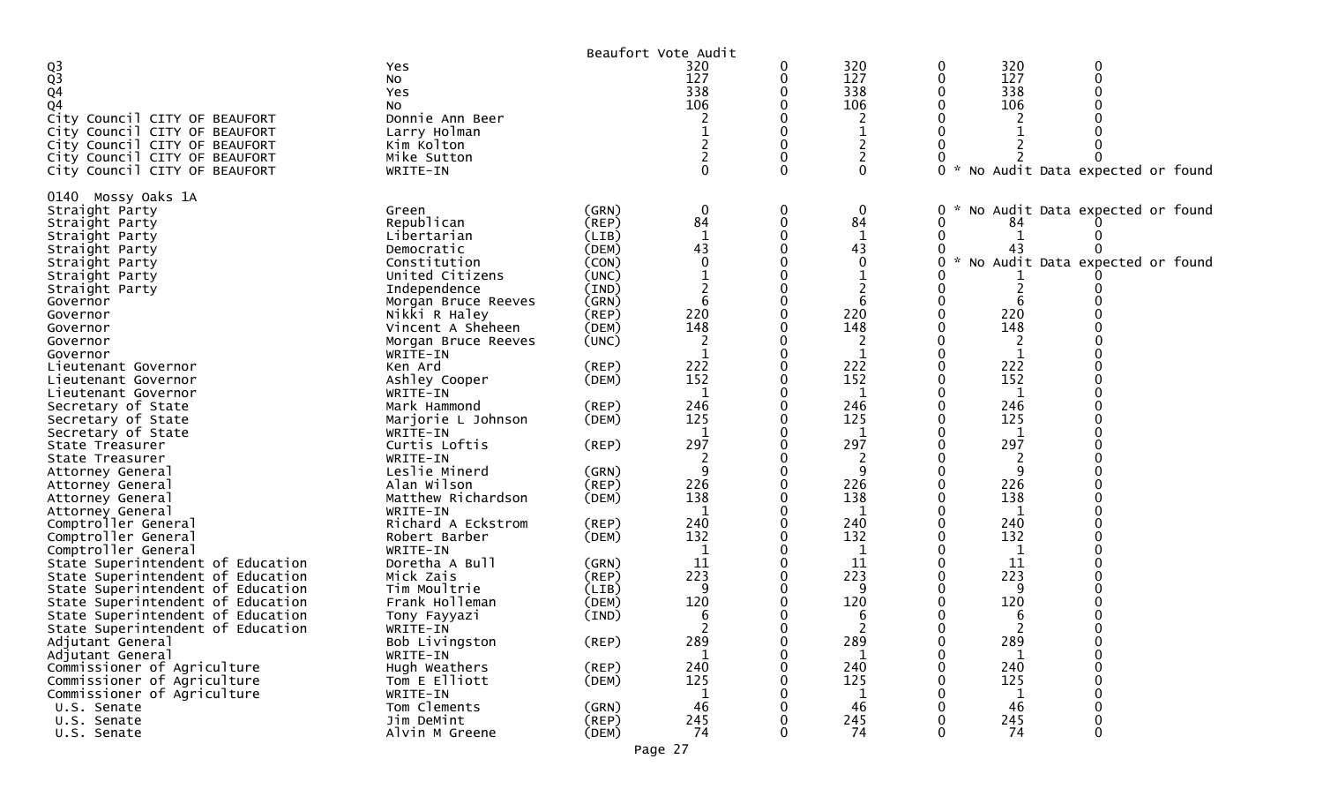|                                                                        |                            |                      | Beaufort Vote Audit |   |                  |          |              |                                   |
|------------------------------------------------------------------------|----------------------------|----------------------|---------------------|---|------------------|----------|--------------|-----------------------------------|
| $Q_3$                                                                  | Yes                        |                      | 320                 | 0 | 320              | 0        | 320          |                                   |
|                                                                        | No                         |                      | 127                 | 0 | 127              |          | 127          |                                   |
| Q4                                                                     | Yes                        |                      | 338                 |   | 338              |          | 338          |                                   |
| Q4                                                                     | No                         |                      | 106                 |   | 106              |          | 106          |                                   |
| City Council CITY OF BEAUFORT                                          | Donnie Ann Beer            |                      |                     |   |                  |          |              |                                   |
| City Council CITY OF BEAUFORT                                          | Larry Holman               |                      |                     |   |                  |          |              |                                   |
| City Council CITY OF BEAUFORT                                          | Kim Kolton                 |                      |                     |   | 2                |          |              |                                   |
| City Council CITY OF BEAUFORT                                          | Mike Sutton                |                      |                     |   | $\overline{c}$   |          |              |                                   |
| City Council CITY OF BEAUFORT                                          | WRITE-IN                   |                      |                     | 0 | $\Omega$         |          |              | * No Audit Data expected or found |
| 0140 Mossy Oaks 1A                                                     |                            |                      |                     |   |                  |          |              |                                   |
| Straight Party                                                         | Green                      | (GRN)                | $\boldsymbol{0}$    | 0 | $\boldsymbol{0}$ |          |              | No Audit Data expected or found   |
| Straight Party                                                         | Republican                 | (REP)                | 84                  | 0 | 84               |          | 84           |                                   |
| Straight Party                                                         | Libertarian                | (LIB)                | 1                   |   | 1                |          |              |                                   |
| Straight Party                                                         | Democratic                 | (DEM)                | 43                  |   | 43               |          | 43           |                                   |
| Straight Party                                                         | Constitution               | (CON)                |                     |   | $\mathbf{0}$     |          |              | * No Audit Data expected or found |
| Straight Party                                                         | United Citizens            | (UNC)                |                     |   |                  |          |              |                                   |
| Straight Party                                                         | Independence               | (IND)                |                     |   |                  |          |              |                                   |
| Governor                                                               | Morgan Bruce Reeves        | (GRN)                | 6                   |   |                  |          |              |                                   |
| Governor                                                               | Nikki R Haley              | (REP)                | 220                 |   | 220              |          | 220          |                                   |
| Governor                                                               | Vincent A Sheheen          | (DEM)                | 148                 |   | 148              |          | 148          |                                   |
| Governor                                                               | Morgan Bruce Reeves        | (UNC)                | 2                   |   |                  |          |              |                                   |
| Governor                                                               | WRITE-IN                   |                      |                     |   | 1                |          |              |                                   |
| Lieutenant Governor                                                    | Ken Ard                    | (REP)                | 222                 |   | 222              |          | 222          |                                   |
| Lieutenant Governor                                                    | Ashley Cooper              | (DEM)                | 152                 |   | 152              |          | 152          |                                   |
| Lieutenant Governor                                                    | WRITE-IN                   |                      | 1                   |   | 1                |          | 1            |                                   |
| Secretary of State                                                     | Mark Hammond               | (REP)                | 246                 |   | 246              |          | 246          |                                   |
| Secretary of State                                                     | Marjorie L Johnson         | (DEM)                | 125                 |   | 125              |          | 125          |                                   |
| Secretary of State                                                     | WRITE-IN                   |                      | -1                  |   | 1                |          | $\mathbf{1}$ |                                   |
| State Treasurer                                                        | Curtis Loftis              | $($ REP $)$          | 297                 |   | 297              |          | 297          |                                   |
| State Treasurer                                                        | WRITE-IN                   |                      |                     |   | 2                |          | 2            |                                   |
| Attorney General                                                       | Leslie Minerd              | (GRN)                | 9                   |   | 9                |          | -9           |                                   |
| Attorney General                                                       | Alan Wilson                | (REP)                | 226                 |   | 226              |          | 226          |                                   |
| Attorney General                                                       | Matthew Richardson         | (DEM)                | 138                 |   | 138              |          | 138          |                                   |
| Attorney General                                                       | WRITE-IN                   |                      | -1                  |   | 1                |          | 1            |                                   |
| Comptroller General                                                    | Richard A Eckstrom         | (REP)                | 240<br>132          |   | 240<br>132       |          | 240<br>132   |                                   |
| Comptroller General                                                    | Robert Barber              | (DEM)                | 1                   |   | 1                |          |              |                                   |
| Comptroller General                                                    | WRITE-IN<br>Doretha A Bull |                      | 11                  |   | 11               |          | 1<br>11      |                                   |
| State Superintendent of Education<br>State Superintendent of Education | Mick Zais                  | (GRN)<br>$($ REP $)$ | 223                 |   | 223              |          | 223          |                                   |
| State Superintendent of Education                                      | Tim Moultrie               | (LIB)                | 9                   |   | 9                |          | q            |                                   |
| State Superintendent of Education                                      | Frank Holleman             | (DEM)                | 120                 |   | 120              |          | 120          |                                   |
| State Superintendent of Education                                      | Tony Fayyazi               | (IND)                | 6                   |   | 6                |          | 6            |                                   |
| State Superintendent of Education                                      | WRITE-IN                   |                      | 2                   |   | 2                |          | 2            |                                   |
| Adjutant General                                                       | Bob Livingston             | (REP)                | 289                 | 0 | 289              |          | 289          |                                   |
| Adjutant General                                                       | WRITE-IN                   |                      | $\mathbf{1}$        | 0 | -1               | $\Omega$ | $\mathbf 1$  | $\Omega$                          |
| Commissioner of Agriculture                                            | Hugh Weathers              | (REP)                | 240                 | 0 | 240              |          | 240          |                                   |
| Commissioner of Agriculture                                            | Tom E Elliott              | (DEM)                | 125                 |   | 125              |          | 125          |                                   |
| Commissioner of Agriculture                                            | WRITE-IN                   |                      | 1                   |   | 1                |          | 1            |                                   |
| U.S. Senate                                                            | Tom Clements               | (GRN)                | 46                  |   | 46               |          | 46           |                                   |
| U.S. Senate                                                            | Jim DeMint                 | (REP)                | 245                 |   | 245              |          | 245          | $\Omega$                          |
| U.S. Senate                                                            | Alvin M Greene             | (DEM)                | 74                  | 0 | 74               | 0        | 74           | 0                                 |
|                                                                        |                            |                      |                     |   |                  |          |              |                                   |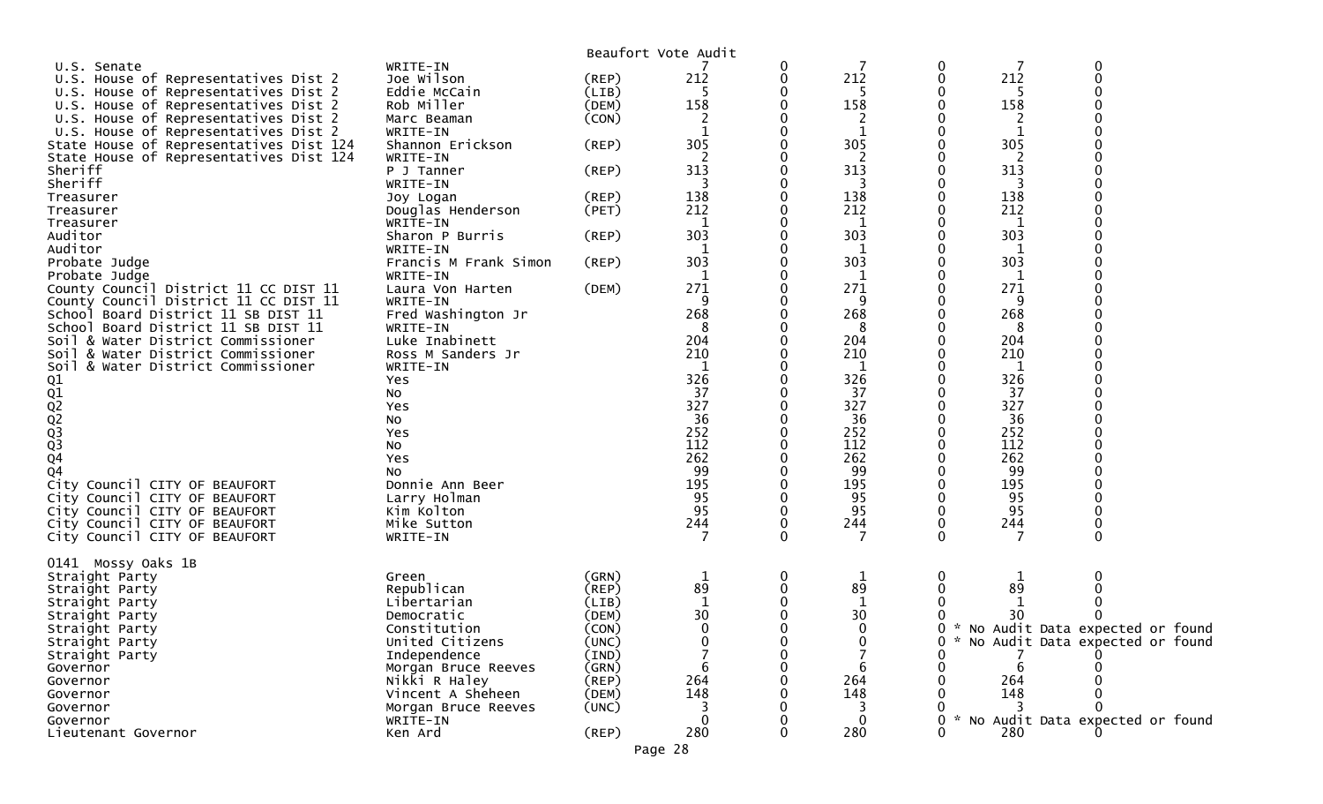|                                                                              |                                |             | Beaufort Vote Audit |          |             |               |          |                                   |
|------------------------------------------------------------------------------|--------------------------------|-------------|---------------------|----------|-------------|---------------|----------|-----------------------------------|
| U.S. Senate                                                                  | WRITE-IN                       |             |                     | 0        | 7           | 0             |          | 0                                 |
| U.S. House of Representatives Dist 2                                         | Joe Wilson                     | $($ REP $)$ | 212                 | 0        | 212         | 0             | 212      | 0                                 |
| U.S. House of Representatives Dist 2                                         | Eddie McCain                   | (LIB)       |                     |          | -5          |               | 5        |                                   |
| U.S. House of Representatives Dist 2                                         | Rob Miller                     | (DEM)       | 158                 |          | 158         |               | 158      |                                   |
| U.S. House of Representatives Dist 2                                         | Marc Beaman                    | (CON)       | 2                   |          | 2           |               |          |                                   |
| U.S. House of Representatives Dist 2                                         | WRITE-IN                       |             |                     |          | $\mathbf 1$ |               | 1        |                                   |
| State House of Representatives Dist 124                                      | Shannon Erickson               | $($ REP $)$ | 305                 |          | 305         |               | 305      |                                   |
| State House of Representatives Dist 124                                      | WRITE-IN                       |             | $\overline{2}$      |          | 2           |               | 2        |                                   |
| Sheriff                                                                      | P J Tanner                     | $($ REP $)$ | 313                 |          | 313         |               | 313      |                                   |
| Sheriff                                                                      | WRITE-IN                       |             |                     |          |             |               |          |                                   |
| Treasurer                                                                    | Joy Logan                      | (REP)       | 138                 |          | 138         |               | 138      |                                   |
| Treasurer                                                                    | Douglas Henderson              | (PET)       | 212                 |          | 212         |               | 212      |                                   |
| Treasurer                                                                    | WRITE-IN                       |             | $\mathbf 1$         |          | 1           |               | 1        |                                   |
| Auditor                                                                      | Sharon P Burris                | $($ REP $)$ | 303                 |          | 303         |               | 303      |                                   |
| Auditor                                                                      | WRITE-IN                       |             |                     |          | 1           |               | 1        |                                   |
| Probate Judge                                                                | Francis M Frank Simon          | $($ REP $)$ | 303                 |          | 303         |               | 303      |                                   |
| Probate Judge                                                                | WRITE-IN                       |             | 1                   |          | 1           |               | 1<br>271 |                                   |
| County Council District 11 CC DIST 11                                        | Laura Von Harten               | (DEM)       | 271                 |          | 271         |               |          |                                   |
| County Council District 11 CC DIST 11<br>School Board District 11 SB DIST 11 | WRITE-IN<br>Fred Washington Jr |             | 9<br>268            |          | 9<br>268    |               | 9<br>268 |                                   |
|                                                                              |                                |             |                     |          | 8           |               |          |                                   |
| School Board District 11 SB DIST 11<br>Soil & Water District Commissioner    | WRITE-IN<br>Luke Inabinett     |             | 8<br>204            |          | 204         |               | 8<br>204 |                                   |
| & Water District Commissioner                                                | Ross M Sanders Jr              |             | 210                 |          | 210         |               | 210      |                                   |
| Soil<br>Soil & Water District Commissioner                                   | WRITE-IN                       |             |                     |          | 1           |               | 1        |                                   |
|                                                                              | Yes                            |             | 326                 |          | 326         |               | 326      |                                   |
| 01<br>02<br>02<br>02<br>03<br>03<br>04                                       | No                             |             | 37                  |          | 37          |               | 37       |                                   |
|                                                                              | Yes                            |             | 327                 |          | 327         |               | 327      |                                   |
|                                                                              | No                             |             | 36                  |          | 36          |               | 36       |                                   |
|                                                                              | Yes                            |             | 252                 |          | 252         |               | 252      |                                   |
|                                                                              | No                             |             | 112                 |          | 112         |               | 112      |                                   |
|                                                                              | Yes                            |             | $\overline{262}$    |          | 262         |               | 262      |                                   |
| Q <sub>4</sub>                                                               | NO.                            |             | 99                  |          | 99          |               | 99       |                                   |
| City Council CITY OF BEAUFORT                                                | Donnie Ann Beer                |             | 195                 |          | 195         |               | 195      |                                   |
| City Council CITY OF BEAUFORT                                                | Larry Holman                   |             | 95                  |          | 95          |               | 95       |                                   |
| City Council CITY OF BEAUFORT                                                | Kim Kolton                     |             | 95                  |          | 95          | 0             | 95       |                                   |
| City Council CITY OF BEAUFORT                                                | Mike Sutton                    |             | 244                 |          | 244         | 0             | 244      |                                   |
| City Council CITY OF BEAUFORT                                                | WRITE-IN                       |             |                     | $\Omega$ | 7           | 0             | 7        | $\Omega$                          |
|                                                                              |                                |             |                     |          |             |               |          |                                   |
| 0141 Mossy Oaks 1B                                                           |                                |             |                     |          |             |               |          |                                   |
| Straight Party                                                               | Green                          | (GRN)       | $\mathbf 1$         | 0        | 1           | 0             |          |                                   |
| Straight Party                                                               | Republican                     | $($ REP $)$ | 89                  |          | 89          |               | 89       |                                   |
| Straight Party                                                               | Libertarian                    | (LIB)       |                     |          | 1           |               |          |                                   |
| Straight Party                                                               | Democratic                     | (DEM)       | 30                  |          | 30          |               | 30       |                                   |
| Straight Party                                                               | Constitution                   | (CON)       | 0                   | 0        | $\mathbf 0$ | 0             |          | * No Audit Data expected or found |
| Straight Party                                                               | United Citizens                | (UNC)       |                     |          | O           | 0             |          | * No Audit Data expected or found |
| Straight Party                                                               | Independence                   | (IND)       |                     |          |             |               |          |                                   |
| Governor                                                                     | Morgan Bruce Reeves            | (GRN)       |                     |          | 6           |               |          |                                   |
| Governor                                                                     | Nikki R Haley                  | $($ REP $)$ | 264                 |          | 264         |               | 264      |                                   |
| Governor                                                                     | Vincent A Sheheen              | (DEM)       | 148                 |          | 148         |               | 148      |                                   |
| Governor                                                                     | Morgan Bruce Reeves            | (UNC)       |                     |          |             |               |          |                                   |
| Governor                                                                     | WRITE-IN                       |             |                     |          | 0           | $\mathcal{H}$ |          | No Audit Data expected or found   |
| Lieutenant Governor                                                          | Ken Ard                        | $($ REP $)$ | 280                 |          | 280         |               | 280      |                                   |
|                                                                              |                                |             | Page 28             |          |             |               |          |                                   |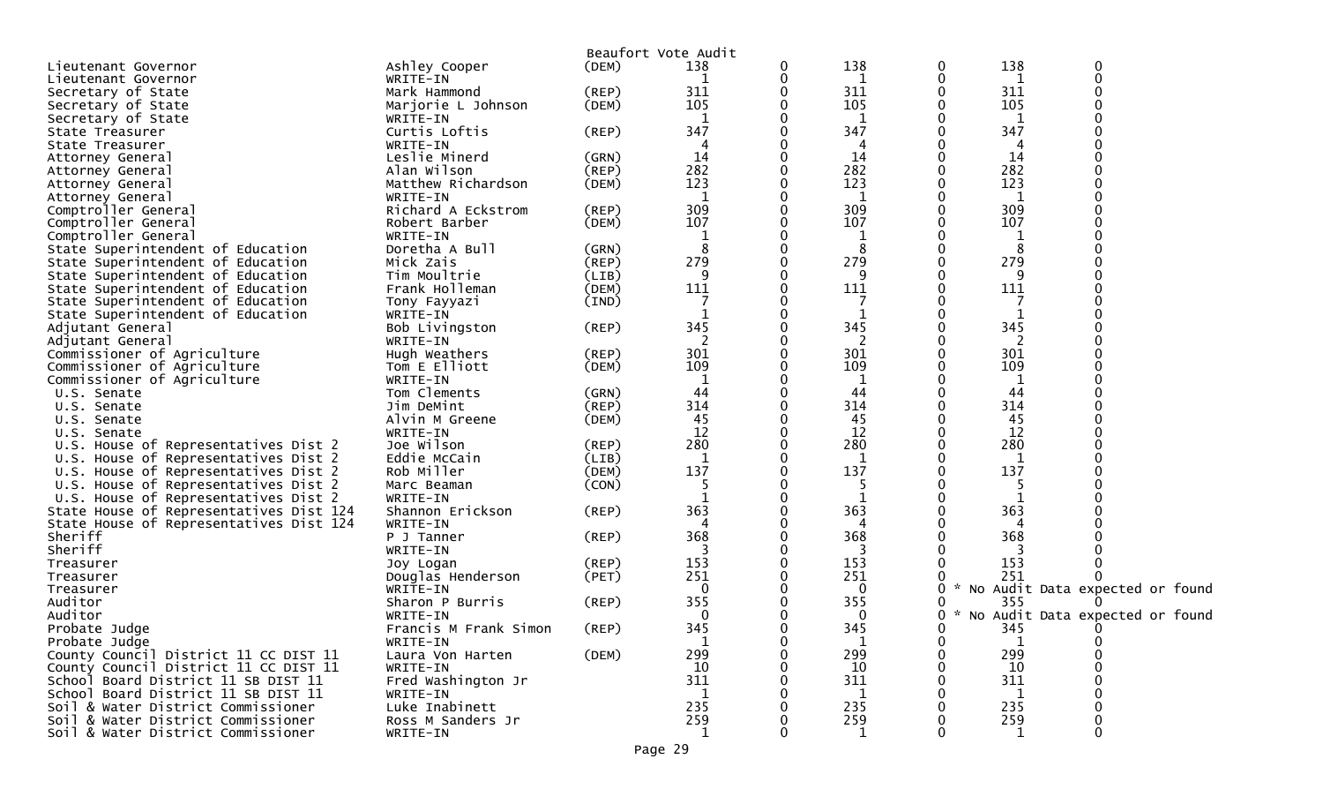|                                         |                       |             | Beaufort Vote Audit |   |         |          |        |          |                                 |
|-----------------------------------------|-----------------------|-------------|---------------------|---|---------|----------|--------|----------|---------------------------------|
| Lieutenant Governor                     | Ashley Cooper         | (DEM)       | 138                 | 0 | 138     | 0        | 138    | 0        |                                 |
| Lieutenant Governor                     | WRITE-IN              |             |                     | 0 | 1       | 0        | 1      | $\Omega$ |                                 |
| Secretary of State                      | Mark Hammond          | (REP)       | 311                 |   | 311     | 0        | 311    |          |                                 |
| Secretary of State                      | Marjorie L Johnson    | (DEM)       | 105                 | O | 105     | 0        | 105    |          |                                 |
| Secretary of State                      | WRITE-IN              |             | 1                   |   | 1       |          | 1      |          |                                 |
| State Treasurer                         | Curtis Loftis         | (REP)       | 347                 |   | 347     |          | 347    |          |                                 |
| State Treasurer                         | WRITE-IN              |             |                     |   | 4       |          |        |          |                                 |
| Attorney General                        | Leslie Minerd         | (GRN)       | 14                  |   | 14      |          | 14     |          |                                 |
| Attorney General                        | Alan Wilson           | (REP)       | 282                 |   | 282     |          | 282    |          |                                 |
| Attorney General                        | Matthew Richardson    | (DEM)       | 123                 |   | 123     |          | 123    |          |                                 |
| Attorney General                        | WRITE-IN              |             | 1                   |   | 1       |          | 1      |          |                                 |
| Comptroller General                     | Richard A Eckstrom    | (REP)       | 309                 |   | 309     |          | 309    |          |                                 |
| Comptroller General                     | Robert Barber         | (DEM)       | 107                 |   | 107     |          | 107    |          |                                 |
| Comptroller General                     | WRITE-IN              |             |                     |   | 1       |          | 1      |          |                                 |
| State Superintendent of Education       | Doretha A Bull        | (GRN)       | 8                   |   | 8       |          | 8      |          |                                 |
| State Superintendent of Education       | Mick Zais             | (REP)       | 279                 | 0 | 279     |          | 279    |          |                                 |
| State Superintendent of Education       | Tim Moultrie          | (LIB)       | 9                   | 0 | 9       | 0        | 9      |          |                                 |
| State Superintendent of Education       | Frank Holleman        | (DEM)       | 111                 |   | 111     |          | 111    |          |                                 |
| State Superintendent of Education       | Tony Fayyazi          | (IND)       |                     |   |         |          |        |          |                                 |
| State Superintendent of Education       | WRITE-IN              |             |                     |   | 1       |          | 1      |          |                                 |
| Adjutant General                        | Bob Livingston        | (REP)       | 345                 |   | 345     |          | 345    |          |                                 |
| Adjutant General                        | WRITE-IN              |             | 2                   |   | 2       |          | 2      |          |                                 |
| Commissioner of Agriculture             | Hugh Weathers         | (REP)       | 301                 |   | 301     |          | 301    |          |                                 |
| Commissioner of Agriculture             | Tom E Elliott         | (DEM)       | 109                 |   | 109     |          | 109    |          |                                 |
| Commissioner of Agriculture             | WRITE-IN              |             | 1                   |   | 1       |          | 1      |          |                                 |
| U.S. Senate                             | Tom Clements          | (GRN)       | 44                  |   | 44      |          | 44     |          |                                 |
| U.S. Senate                             | Jim DeMint            | $($ REP $)$ | 314                 |   | 314     |          | 314    |          |                                 |
| U.S. Senate                             | Alvin M Greene        | (DEM)       | 45                  |   | 45      |          | 45     |          |                                 |
| U.S. Senate                             | WRITE-IN              |             | 12                  | 0 | 12      |          | 12     |          |                                 |
| U.S. House of Representatives Dist 2    | Joe Wilson            | (REP)       | 280                 |   | 280     |          | 280    |          |                                 |
| U.S. House of Representatives Dist 2    | Eddie McCain          | (LIB)       | 1                   | 0 | 1       | 0        | 1      |          |                                 |
| U.S. House of Representatives Dist 2    | Rob Miller            | (DEM)       | 137                 |   | 137     |          | 137    |          |                                 |
| U.S. House of Representatives Dist 2    | Marc Beaman           | (CON)       |                     |   | 5       |          |        |          |                                 |
| U.S. House of Representatives Dist 2    | WRITE-IN              |             |                     |   | 1       |          |        |          |                                 |
| State House of Representatives Dist 124 | Shannon Erickson      | $($ REP $)$ | 363                 |   | 363     |          | 363    |          |                                 |
| State House of Representatives Dist 124 | WRITE-IN              |             |                     |   | 4       |          |        |          |                                 |
| Sheriff                                 | P J Tanner            | (REP)       | 368                 |   | 368     |          | 368    |          |                                 |
| Sheriff                                 | WRITE-IN              |             | 3                   |   | 3       |          | 3      |          |                                 |
| Treasurer                               | Joy Logan             | $($ REP $)$ | 153                 |   | 153     |          | 153    |          |                                 |
| Treasurer                               | Douglas Henderson     | (PET)       | 251                 | 0 | 251     |          | 251    |          |                                 |
| Treasurer                               | WRITE-IN              |             | 0                   |   | 0       |          | 0      |          | No Audit Data expected or found |
| Auditor                                 | Sharon P Burris       | (REP)       | 355                 |   | 355     |          | 355    |          |                                 |
| Auditor                                 | WRITE-IN              |             | $\mathbf 0$         |   | 0       |          | 0      |          | No Audit Data expected or found |
| Probate Judge                           | Francis M Frank Simon | $($ REP $)$ | 345                 | 0 | 345     | 0        | 345    |          |                                 |
| Probate Judge                           | WRITE-IN              |             |                     | Ü | $\perp$ | $\bf{0}$ |        |          |                                 |
| County Council District 11 CC DIST 11   | Laura Von Harten      | (DEM)       | 299                 |   | 299     | 0        | 299    |          |                                 |
| County Council District 11 CC DIST 11   | WRITE-IN              |             | 10                  |   | 10      |          | 10     |          |                                 |
| School Board District 11 SB DIST 11     | Fred Washington Jr    |             | 311                 |   | 311     |          | 311    |          |                                 |
| School Board District 11 SB DIST 11     | WRITE-IN              |             | 1                   |   | 1       |          | 1      |          |                                 |
| Soil & Water District Commissioner      | Luke Inabinett        |             | 235                 |   | 235     |          | 235    |          |                                 |
| Soil & Water District Commissioner      | Ross M Sanders Jr     |             | 259                 |   | 259     |          | 259    |          |                                 |
| Soil & Water District Commissioner      | WRITE-IN              |             | 1                   | 0 | 1       |          | 0<br>1 | 0        |                                 |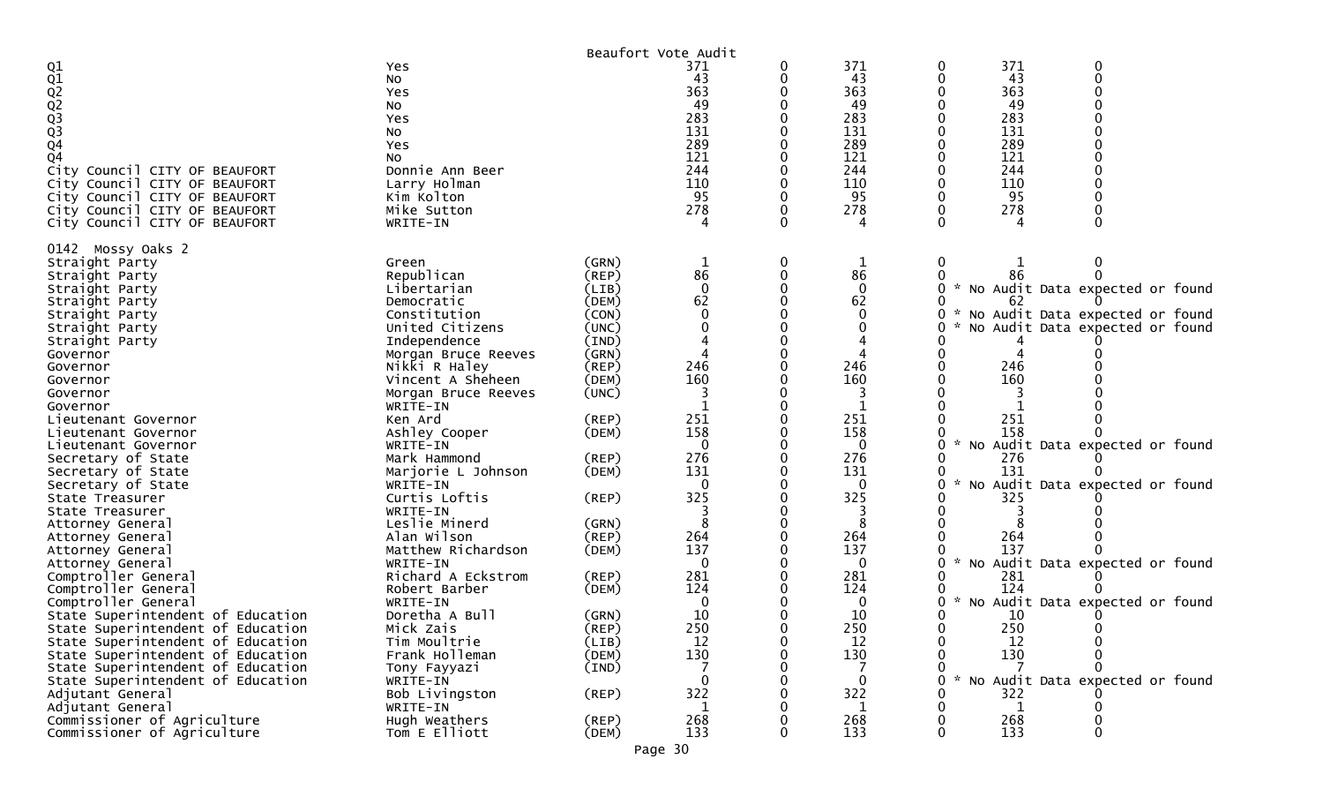|                                                                        |                            |             | Beaufort Vote Audit |   |                  |                                                  |  |
|------------------------------------------------------------------------|----------------------------|-------------|---------------------|---|------------------|--------------------------------------------------|--|
| 01<br>02<br>02<br>02<br>03<br>03<br>04                                 | Yes<br>No<br>Yes           |             | 371<br>43<br>363    | 0 | 371<br>43<br>363 | 371<br>0<br>0<br>43<br>$\mathbf 0$<br>363        |  |
|                                                                        | No                         |             | 49                  |   | 49               | 49                                               |  |
|                                                                        | Yes                        |             | 283                 |   | 283              | 283                                              |  |
|                                                                        | No                         |             | 131                 |   | 131              | 131                                              |  |
|                                                                        | Yes                        |             | 289                 |   | 289              | 289                                              |  |
| Q <sub>4</sub>                                                         | No                         |             | 121                 |   | 121              | 121                                              |  |
| City Council CITY OF BEAUFORT                                          | Donnie Ann Beer            |             | 244                 |   | 244              | 244                                              |  |
| City Council CITY OF BEAUFORT                                          | Larry Holman               |             | 110                 |   | 110              | 110                                              |  |
| City Council CITY OF BEAUFORT                                          | Kim Kolton                 |             | 95                  |   | 95               | 95                                               |  |
| City Council CITY OF BEAUFORT                                          | Mike Sutton                |             | 278                 |   | 278              | 278                                              |  |
| City Council CITY OF BEAUFORT                                          | WRITE-IN                   |             |                     |   |                  |                                                  |  |
| 0142 Mossy Oaks 2                                                      |                            |             |                     |   |                  |                                                  |  |
| Straight Party                                                         | Green                      | (GRN)       |                     | 0 | 1                | $\bf{0}$                                         |  |
| Straight Party                                                         | Republican                 | (REP)       | 86                  |   | 86               | 86                                               |  |
| Straight Party                                                         | Libertarian                | (LIB)       | $\mathbf 0$         |   | $\mathbf 0$      | No Audit Data expected or found<br>$\sim$        |  |
| Straight Party                                                         | Democratic                 | (DEM)       | 62                  |   | 62               | 62                                               |  |
| Straight Party                                                         | Constitution               | (CON)       |                     |   | $\Omega$         | * No Audit Data expected or found<br>0           |  |
| Straight Party                                                         | United Citizens            | (UNC)       |                     |   |                  | No Audit Data expected or found                  |  |
| Straight Party                                                         | Independence               | (IND)       |                     |   |                  |                                                  |  |
| Governor                                                               | Morgan Bruce Reeves        | (GRN)       |                     |   |                  |                                                  |  |
| Governor                                                               | Nikki R Haley              | (REP)       | 246                 |   | 246              | 246                                              |  |
| Governor                                                               | Vincent A Sheheen          | (DEM)       | 160                 |   | 160              | 160                                              |  |
| Governor                                                               | Morgan Bruce Reeves        | (UNC)       |                     |   |                  |                                                  |  |
| Governor<br>Lieutenant Governor                                        | WRITE-IN<br>Ken Ard        | (REP)       | 251                 |   | 251              | 251                                              |  |
| Lieutenant Governor                                                    | Ashley Cooper              | (DEM)       | 158                 |   | 158              | 158                                              |  |
| Lieutenant Governor                                                    | WRITE-IN                   |             | $\Omega$            |   | 0                | No Audit Data expected or found                  |  |
| Secretary of State                                                     | Mark Hammond               | (REP)       | 276                 |   | 276              | 276                                              |  |
| Secretary of State                                                     | Marjorie L Johnson         | (DEM)       | 131                 |   | 131              | 131                                              |  |
| Secretary of State                                                     | WRITE-IN                   |             | $\Omega$            |   | 0                | $\sim$<br>No Audit Data expected or found        |  |
| State Treasurer                                                        | Curtis Loftis              | (REP)       | 325                 |   | 325              | 325                                              |  |
| State Treasurer                                                        | WRITE-IN                   |             |                     |   |                  |                                                  |  |
| Attorney General                                                       | Leslie Minerd              | (GRN)       | 8                   |   | 8                |                                                  |  |
| Attorney General                                                       | Alan Wilson                | (REP)       | 264                 |   | 264              | 264                                              |  |
| Attorney General                                                       | Matthew Richardson         | (DEM)       | 137                 |   | 137              | 137                                              |  |
| Attorney General                                                       | WRITE-IN                   |             | $\Omega$            |   | 0                | $\mathcal{H}$<br>No Audit Data expected or found |  |
| Comptroller General                                                    | Richard A Eckstrom         | (REP)       | 281                 |   | 281              | 281                                              |  |
| Comptroller General                                                    | Robert Barber              | (DEM)       | 124                 |   | 124              | 124<br>U                                         |  |
| Comptroller General                                                    | WRITE-IN<br>Doretha A Bull | (GRN)       | 0<br>10             |   | 0<br>10          | No Audit Data expected or found                  |  |
| State Superintendent of Education<br>State Superintendent of Education | Mick Zais                  | (REP)       | 250                 |   | 250              | 10<br>250<br>0                                   |  |
| State Superintendent of Education                                      | Tim Moultrie               | (LIB)       | 12                  |   | 12               | 12<br>0<br>O                                     |  |
| State Superintendent of Education                                      | Frank Holleman             | (DEM)       | 130                 |   | 130              | 130<br>0                                         |  |
| State Superintendent of Education                                      | Tony Fayyazi               | (IND)       |                     |   |                  |                                                  |  |
| State Superintendent of Education                                      | WRITE-IN                   |             | $\mathbf 0$         |   | $\mathbf{0}$     | $\sim$<br>No Audit Data expected or found<br>U   |  |
| Adjutant General                                                       | Bob Livingston             | $($ REP $)$ | 322                 |   | 322              | 322                                              |  |
| Adjutant General                                                       | WRITE-IN                   |             | 1                   |   | $\mathbf{1}$     | $\mathbf{1}$                                     |  |
| Commissioner of Agriculture                                            | Hugh Weathers              | (REP)       | 268                 |   | 268              | 268                                              |  |
| Commissioner of Agriculture                                            | Tom E Elliott              | (DEM)       | 133                 |   | 133              | 133                                              |  |

Page 30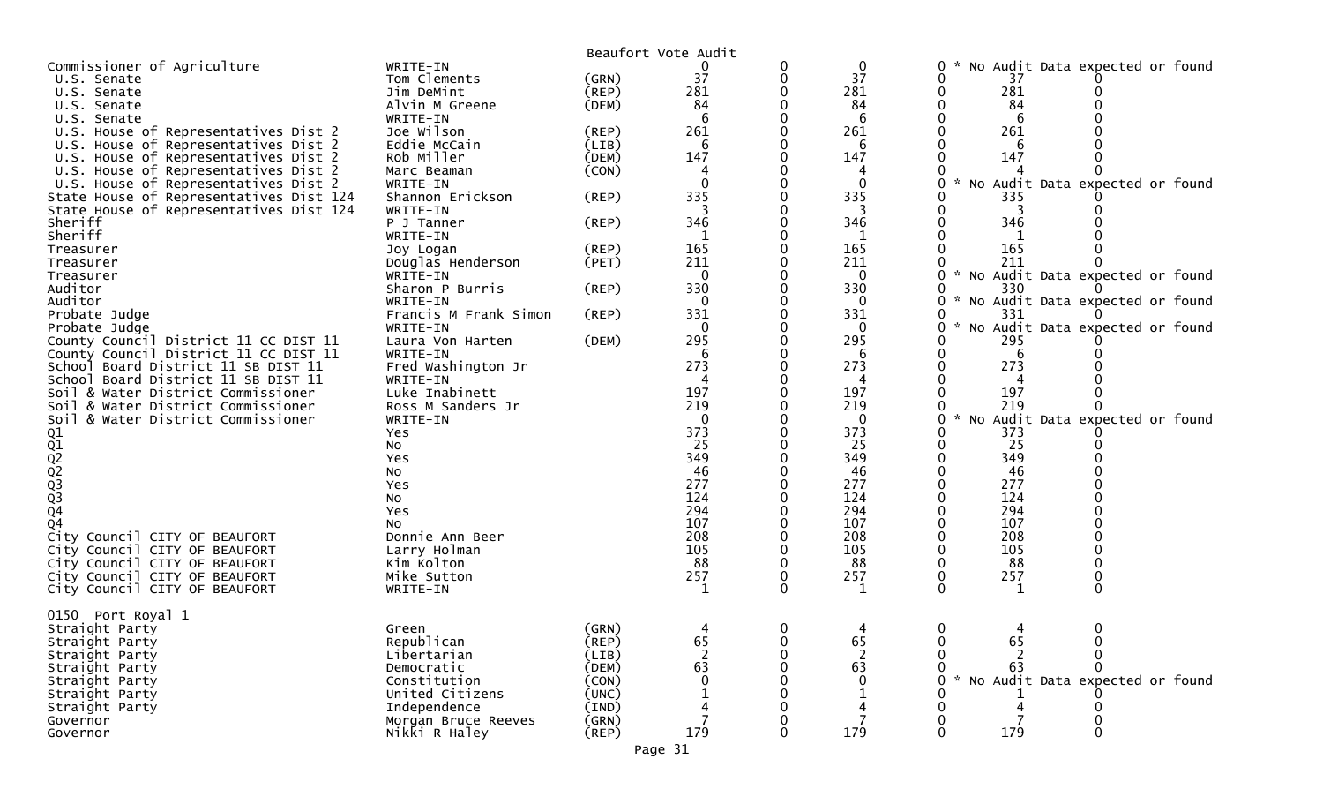|                                                        |                                   |                         | Beaufort Vote Audit |   |                     |                                                      |
|--------------------------------------------------------|-----------------------------------|-------------------------|---------------------|---|---------------------|------------------------------------------------------|
| Commissioner of Agriculture                            | WRITE-IN                          |                         | 0                   | 0 | 0                   | No Audit Data expected or found<br>0                 |
| U.S. Senate                                            | Tom Clements                      | (GRN)                   | 37                  | 0 | 37                  | 0<br>37                                              |
| U.S. Senate                                            | Jim DeMint                        | (REP)                   | 281                 |   | 281                 | 281<br>0                                             |
| U.S. Senate                                            | Alvin M Greene                    | (DEM)                   | 84                  |   | 84                  | 84                                                   |
| U.S. Senate                                            | WRITE-IN                          |                         |                     |   | 6                   | 6                                                    |
| U.S. House of Representatives Dist 2                   | Joe Wilson                        | $($ REP $)$             | 261                 |   | 261                 | 261                                                  |
| U.S. House of Representatives Dist 2                   | Eddie McCain                      | (LIB)                   | 6                   |   | 6                   | 6                                                    |
| U.S. House of Representatives Dist 2                   | Rob Miller                        | (DEM)                   | 147                 |   | 147                 | 147                                                  |
| U.S. House of Representatives Dist 2                   | Marc Beaman                       | (CON)                   |                     |   |                     |                                                      |
| U.S. House of Representatives Dist 2                   | WRITE-IN                          |                         | $\Omega$            |   | $\Omega$            | $\mathcal{H}$<br>Audit Data expected or found<br>NO. |
| State House of Representatives Dist 124                | Shannon Erickson                  | $($ REP $)$             | 335                 |   | 335                 | 335                                                  |
| State House of Representatives Dist 124                | WRITE-IN                          |                         |                     |   |                     |                                                      |
| Sheriff                                                | P J Tanner                        | (REP)                   | 346                 |   | 346                 | 346                                                  |
| Sheriff                                                | WRITE-IN                          |                         |                     |   |                     |                                                      |
| Treasurer                                              | Joy Logan                         | (REP)                   | 165                 |   | 165                 | 165                                                  |
| Treasurer                                              | Douglas Henderson                 | (PET)                   | 211                 |   | 211                 | 211                                                  |
| Treasurer                                              | WRITE-IN                          |                         | 0                   |   | $\Omega$            | No Audit Data expected or found                      |
| Auditor                                                | Sharon P Burris                   | (REP)                   | 330                 |   | 330                 | 330                                                  |
| Auditor                                                | WRITE-IN<br>Francis M Frank Simon |                         | $\mathbf 0$<br>331  |   | $\mathbf{0}$<br>331 | 0<br>No Audit Data expected or found<br>331<br>0     |
| Probate Judge                                          |                                   | (REP)                   | 0                   |   | 0                   | No Audit Data expected or found                      |
| Probate Judge<br>County Council District 11 CC DIST 11 | WRITE-IN<br>Laura Von Harten      | (DEM)                   | 295                 |   | 295                 | 295                                                  |
| County Council District 11 CC DIST 11                  | WRITE-IN                          |                         | 6                   |   | 6                   | 6                                                    |
| School Board District 11 SB DIST 11                    | Fred Washington Jr                |                         | 273                 |   | 273                 | 273<br>0                                             |
| School Board District 11 SB DIST 11                    | WRITE-IN                          |                         | 4                   |   | 4                   | 4                                                    |
| Soil & Water District Commissioner                     | Luke Inabinett                    |                         | 197                 |   | 197                 | 197                                                  |
| Soil & Water District Commissioner                     | Ross M Sanders Jr                 |                         | 219                 |   | 219                 | 219                                                  |
| Soil<br>& Water District Commissioner                  | WRITE-IN                          |                         | $\mathbf 0$         |   | $\mathbf 0$         | $\mathcal{H}$<br>No Audit Data expected or found     |
|                                                        | Yes                               |                         | 373                 |   | 373                 | 373                                                  |
|                                                        | <b>NO</b>                         |                         | 25                  |   | 25                  | 25                                                   |
|                                                        | <b>Yes</b>                        |                         | 349                 |   | 349                 | 349                                                  |
|                                                        | No                                |                         | 46                  |   | 46                  | 46                                                   |
|                                                        | Yes                               |                         | 277                 |   | 277                 | 277                                                  |
|                                                        | No                                |                         | 124                 |   | 124                 | 124                                                  |
| 01<br>02<br>02<br>02<br>03<br>03<br>04                 | Yes                               |                         | 294                 |   | 294                 | 294                                                  |
| <b>Q4</b>                                              | No                                |                         | 107                 |   | 107                 | 107                                                  |
| City Council CITY OF BEAUFORT                          | Donnie Ann Beer                   |                         | 208                 |   | 208                 | 208                                                  |
| City Council CITY OF BEAUFORT                          | Larry Holman                      |                         | 105                 |   | 105                 | 0<br>105                                             |
| City Council CITY OF BEAUFORT                          | Kim Kolton                        |                         | 88                  |   | 88                  | 88                                                   |
| City Council CITY OF BEAUFORT                          | Mike Sutton                       |                         | 257                 |   | 257                 | 257                                                  |
| City Council CITY OF BEAUFORT                          | WRITE-IN                          |                         | 1                   | 0 | 1                   | 0<br>0<br>1                                          |
|                                                        |                                   |                         |                     |   |                     |                                                      |
| 0150 Port Royal 1                                      |                                   |                         |                     |   |                     |                                                      |
| Straight Party                                         | Green                             | (GRN)                   | 4                   | 0 | 4                   | $\mathbf{0}$<br>0<br>4                               |
| Straight Party                                         | Republican                        | (REP)                   | 65                  | 0 | 65                  | 65<br>0<br>0                                         |
| Straight Party                                         | Libertarian                       | (LIB)                   |                     |   |                     |                                                      |
| Straight Party                                         | Democratic                        | (DEM)                   | 63                  |   | 63                  | 63                                                   |
| Straight Party                                         | Constitution<br>United Citizens   | (CON)                   | $\Omega$            |   | $\mathbf{0}$        | No Audit Data expected or found                      |
| Straight Party<br>Straight Party                       | Independence                      | (UNC)<br>$(\text{IND})$ |                     |   |                     |                                                      |
| Governor                                               | Morgan Bruce Reeves               | (GRN)                   |                     |   |                     |                                                      |
| Governor                                               | Nikki R Haley                     | (REP)                   | 179                 | 0 | 179                 | 179<br>0<br>0                                        |
|                                                        |                                   |                         |                     |   |                     |                                                      |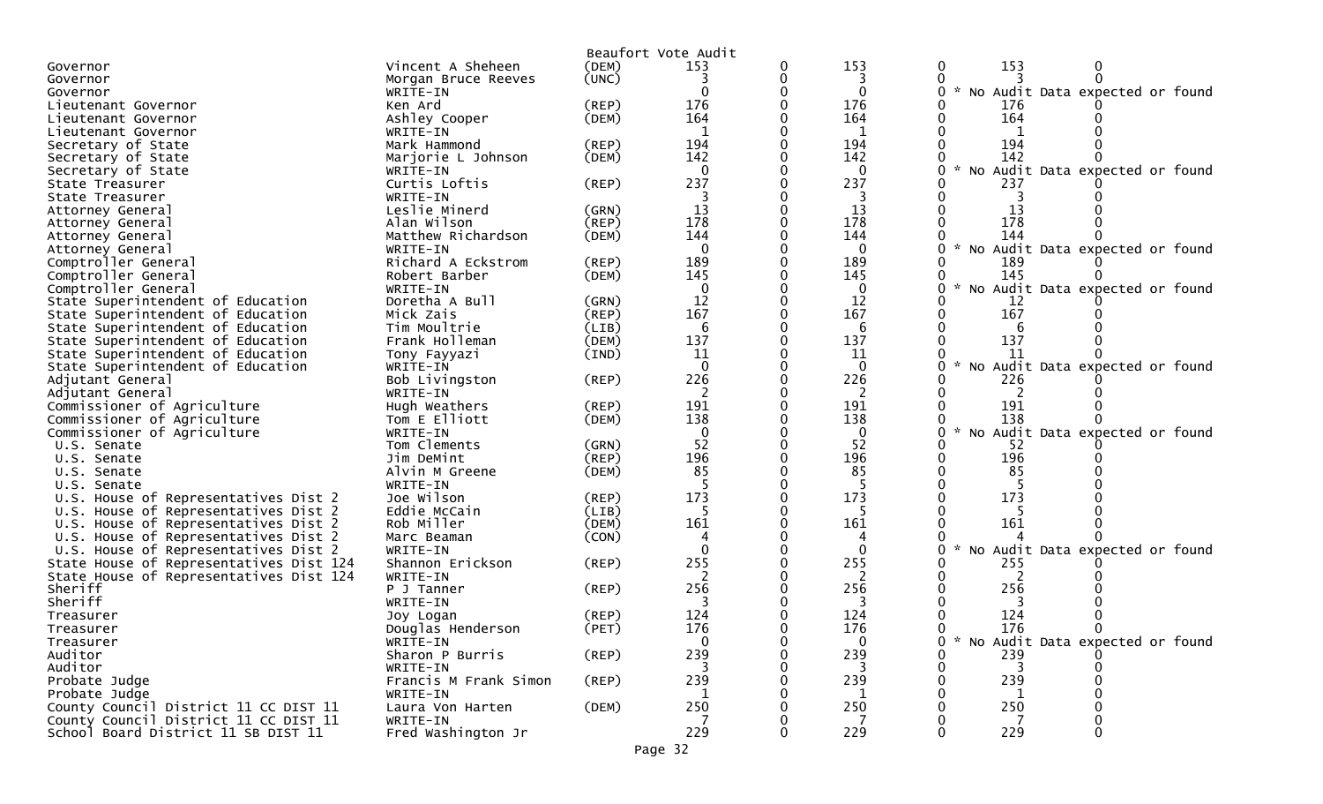|                                                                        |                       |             | Beaufort Vote Audit |          |                                                  |
|------------------------------------------------------------------------|-----------------------|-------------|---------------------|----------|--------------------------------------------------|
| Governor                                                               | Vincent A Sheheen     | (DEM)       | 153                 | 153      | 153<br>0                                         |
| Governor                                                               | Morgan Bruce Reeves   | (UNC)       |                     | 3        |                                                  |
| Governor                                                               | WRITE-IN              |             |                     | 0        | * No Audit Data expected or found                |
| Lieutenant Governor                                                    | Ken Ard               | $($ REP $)$ | 176                 | 176      | 176                                              |
| Lieutenant Governor                                                    | Ashley Cooper         | (DEM)       | 164                 | 164      | 164                                              |
| Lieutenant Governor                                                    | WRITE-IN              |             |                     |          |                                                  |
| Secretary of State                                                     | Mark Hammond          | $($ REP $)$ | 194                 | 194      | 194                                              |
| Secretary of State                                                     | Marjorie L Johnson    | (DEM)       | 142                 | 142      | 142                                              |
| Secretary of State                                                     | WRITE-IN              |             |                     | $\Omega$ | $\mathcal{H}$<br>No Audit Data expected or found |
| State Treasurer                                                        | Curtis Loftis         | (REP)       | 237                 | 237      | 237                                              |
| State Treasurer                                                        | WRITE-IN              |             |                     |          |                                                  |
| Attorney General                                                       | Leslie Minerd         | (GRN)       | 13                  | 13       | 13                                               |
| Attorney General                                                       | Alan Wilson           | (REP)       | 178                 | 178      | 178                                              |
| Attorney General                                                       | Matthew Richardson    | (DEM)       | 144                 | 144      | 144                                              |
| Attorney General                                                       | WRITE-IN              |             | $\Omega$            | $\Omega$ | $\sim$<br>No Audit Data expected or found        |
| Comptroller General                                                    | Richard A Eckstrom    | $($ REP $)$ | 189                 | 189      | 189                                              |
| Comptroller General                                                    | Robert Barber         | (DEM)       | 145                 | 145      | 145                                              |
| Comptroller General                                                    | WRITE-IN              |             | 0                   | 0        | No Audit Data expected or found<br>0             |
|                                                                        | Doretha A Bull        | (GRN)       | 12                  | 12       | 12                                               |
| State Superintendent of Education<br>State Superintendent of Education | Mick Zais             | (REP)       | 167                 | 167      | 167                                              |
|                                                                        |                       |             | 6                   |          | 6                                                |
| State Superintendent of Education                                      | Tim Moultrie          | (LIB)       |                     | 6<br>137 | 137                                              |
| State Superintendent of Education                                      | Frank Holleman        | (DEM)       | 137                 |          |                                                  |
| State Superintendent of Education                                      | Tony Fayyazi          | (IND)       | 11                  | 11       | 11<br>$\mathcal{R}$<br>O                         |
| State Superintendent of Education                                      | WRITE-IN              |             | $\Omega$            | $\Omega$ | No Audit Data expected or found                  |
| Adjutant General                                                       | Bob Livingston        | $($ REP $)$ | 226                 | 226      | 226                                              |
| Adjutant General                                                       | WRITE-IN              |             |                     | 2        |                                                  |
| Commissioner of Agriculture                                            | Hugh Weathers         | (REP)       | 191                 | 191      | 191                                              |
| Commissioner of Agriculture                                            | Tom E Elliott         | (DEM)       | 138                 | 138      | 138                                              |
| Commissioner of Agriculture                                            | WRITE-IN              |             |                     | $\bf{0}$ | $\sim$<br>No Audit Data expected or found        |
| U.S. Senate                                                            | Tom Clements          | (GRN)       | 52                  | 52       | 52                                               |
| U.S. Senate                                                            | Jim DeMint            | (REP)       | 196                 | 196      | 196                                              |
| U.S. Senate                                                            | Alvin M Greene        | (DEM)       | 85                  | 85       | 85                                               |
| U.S. Senate                                                            | WRITE-IN              |             |                     |          |                                                  |
| U.S. House of Representatives Dist 2                                   | Joe Wilson            | (REP)       | 173                 | 173      | 173                                              |
| U.S. House of Representatives Dist 2                                   | Eddie McCain          | (LIB)       |                     |          |                                                  |
| U.S. House of Representatives Dist 2                                   | Rob Miller            | (DEM)       | 161                 | 161      | 161                                              |
| U.S. House of Representatives Dist 2                                   | Marc Beaman           | (CON)       |                     |          |                                                  |
| U.S. House of Representatives Dist 2                                   | WRITE-IN              |             |                     | $\Omega$ | $\sim$<br>No Audit Data expected or found        |
| State House of Representatives Dist 124                                | Shannon Erickson      | $($ REP $)$ | 255                 | 255      | 255                                              |
| State House of Representatives Dist 124                                | WRITE-IN              |             |                     | 2        |                                                  |
| Sheriff                                                                | P J Tanner            | (REP)       | 256                 | 256      | 256                                              |
| Sheriff                                                                | WRITE-IN              |             |                     |          |                                                  |
| Treasurer                                                              | Joy Logan             | (REP)       | 124                 | 124      | 124                                              |
| Treasurer                                                              | Douglas Henderson     | (PET)       | 176                 | 176      | 176                                              |
| Treasurer                                                              | WRITE-IN              |             | 0                   | 0        | No Audit Data expected or found                  |
| Auditor                                                                | Sharon P Burris       | $($ REP $)$ | 239                 | 239      | 239                                              |
| Auditor                                                                | WRITE-IN              |             |                     |          |                                                  |
| Probate Judge                                                          | Francis M Frank Simon | (REP)       | 239                 | 239      | 239                                              |
| Probate Judge                                                          | WRITE-IN              |             |                     | 1        | 1                                                |
| County Council District 11 CC DIST 11                                  | Laura Von Harten      | (DEM)       | 250                 | 250      | 250                                              |
| County Council District 11 CC DIST 11                                  | WRITE-IN              |             |                     |          |                                                  |
| School Board District 11 SB DIST 11                                    | Fred Washington Jr    |             | 229                 | 229      | 229                                              |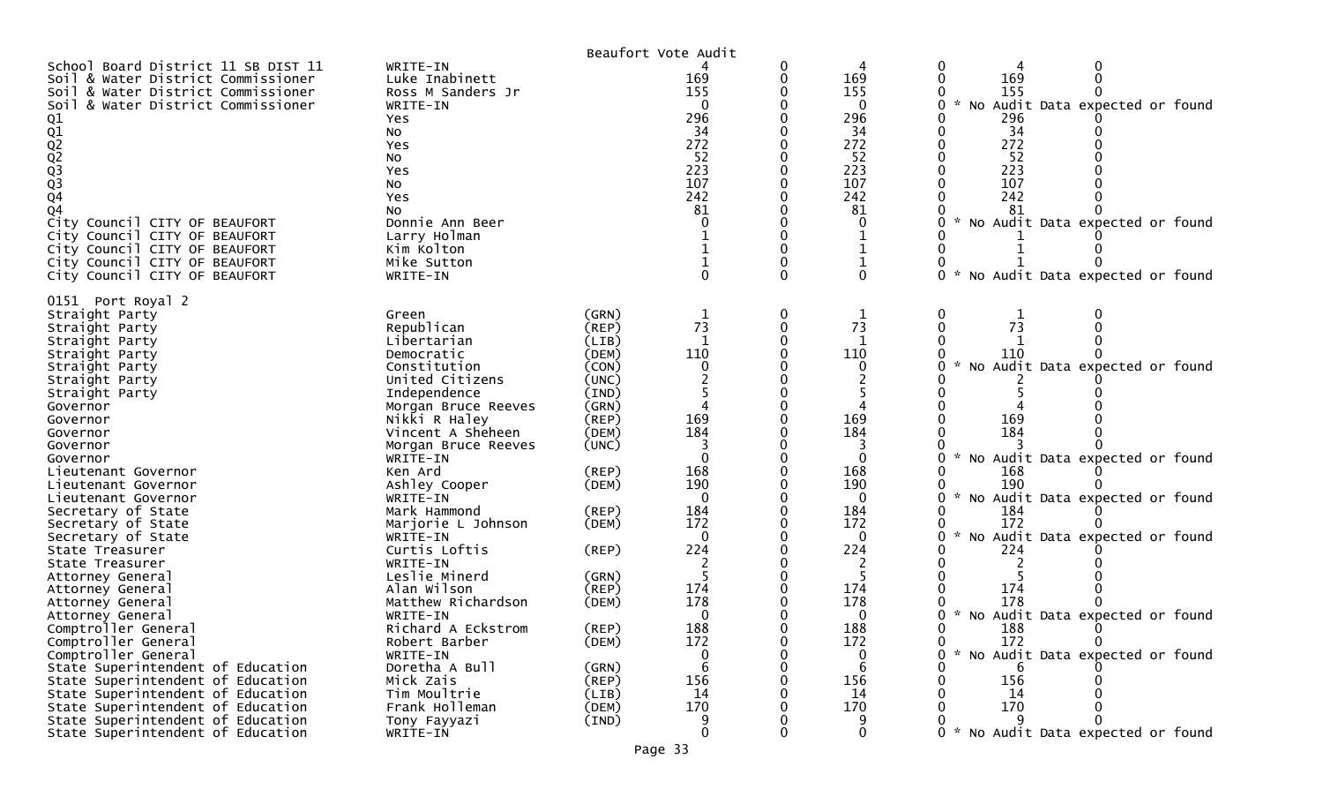|                                                                                                                                                                                                                                                                                                                                                                            |                                                                                                                                                                                                                                                             |                                                                                                                            | Beaufort Vote Audit                                                                   |        |                                                                                       |                                                                                                                                                                                                             |
|----------------------------------------------------------------------------------------------------------------------------------------------------------------------------------------------------------------------------------------------------------------------------------------------------------------------------------------------------------------------------|-------------------------------------------------------------------------------------------------------------------------------------------------------------------------------------------------------------------------------------------------------------|----------------------------------------------------------------------------------------------------------------------------|---------------------------------------------------------------------------------------|--------|---------------------------------------------------------------------------------------|-------------------------------------------------------------------------------------------------------------------------------------------------------------------------------------------------------------|
| School Board District 11 SB DIST 11<br>Soil & Water District Commissioner<br>Soil & Water District Commissioner<br>Soil & Water District Commissioner<br>01<br>02<br>02<br>03<br>03<br>03<br>04<br>04<br>City Council CITY OF BEAUFORT<br>City Council CITY OF BEAUFORT<br>City Council CITY OF BEAUFORT<br>City Council CITY OF BEAUFORT<br>City Council CITY OF BEAUFORT | WRITE-IN<br>Luke Inabinett<br>Ross M Sanders Jr<br>WRITE-IN<br>Yes<br><b>NO</b><br>Yes<br><b>NO</b><br><b>Yes</b><br>No<br>Yes<br>No<br>Donnie Ann Beer<br>Larry Holman<br>Kim Kolton<br>Mike Sutton<br>WRITE-IN                                            |                                                                                                                            | 169<br>155<br>$\Omega$<br>296<br>34<br>272<br>52<br>223<br>107<br>242<br>81           | 0<br>0 | 4<br>169<br>155<br>0<br>296<br>34<br>272<br>52<br>223<br>107<br>242<br>81<br>$\Omega$ | 0<br>0<br>169<br>0<br>0<br>155<br>Audit Data expected or found<br><b>NO</b><br>296<br>34<br>272<br>52<br>223<br>107<br>242<br>81<br>No Audit Data expected or found<br>0<br>No Audit Data expected or found |
| 0151 Port Royal 2<br>Straight Party<br>Straight Party<br>Straight Party<br>Straight Party<br>Straight Party<br>Straight Party<br>Straight Party<br>Governor<br>Governor<br>Governor<br>Governor<br>Governor<br>Lieutenant Governor<br>Lieutenant Governor<br>Lieutenant Governor<br>Secretary of State                                                                     | Green<br>Republican<br>Libertarian<br>Democratic<br>Constitution<br>United Citizens<br>Independence<br>Morgan Bruce Reeves<br>Nikki R Haley<br>Vincent A Sheheen<br>Morgan Bruce Reeves<br>WRITE-IN<br>Ken Ard<br>Ashley Cooper<br>WRITE-IN<br>Mark Hammond | (GRN)<br>(REP)<br>(LIB)<br>(DEM)<br>(CON)<br>(UNC)<br>(IND)<br>(GRN)<br>(REP)<br>(DEM)<br>(UNC)<br>(REP)<br>(DEM)<br>(REP) | 73<br>1<br>110<br>169<br>184<br>$\Omega$<br>168<br>190<br>$\Omega$<br>184             | 0      | 73<br>-1<br>110<br>169<br>184<br>$\Omega$<br>168<br>190<br>$\mathbf{0}$<br>184        | 0<br>73<br>110<br>No Audit Data expected or found<br>169<br>184<br>No Audit Data expected or found<br>168<br>190<br>No Audit Data expected or found<br>184                                                  |
| Secretary of State<br>Secretary of State<br>State Treasurer<br>State Treasurer<br>Attorney General<br>Attorney General<br>Attorney General<br>Attorney General<br>Comptroller General<br>Comptroller General<br>Comptroller General<br>State Superintendent of Education<br>State Superintendent of Education<br>State Superintendent of Education                         | Marjorie L Johnson<br>WRITE-IN<br>Curtis Loftis<br>WRITE-IN<br>Leslie Minerd<br>Alan Wilson<br>Matthew Richardson<br>WRITE-IN<br>Richard A Eckstrom<br>Robert Barber<br>WRITE-IN<br>Doretha A Bull<br>Mick Zais<br>Tim Moultrie                             | (DEM)<br>(REP)<br>(GRN)<br>(REP)<br>(DEM)<br>(REP)<br>(DEM)<br>(GRN)<br>$($ REP $)$<br>(LIB)                               | 172<br>$\Omega$<br>224<br>174<br>178<br>$\Omega$<br>188<br>172<br>0<br>6<br>156<br>14 | 0<br>0 | 172<br>$\Omega$<br>224<br>174<br>178<br>0<br>188<br>172<br>0<br>6<br>156<br>14        | 172<br>No Audit Data expected or found<br>224<br>174<br>178<br>No Audit Data expected or found<br>0<br>*<br>188<br>172<br>0<br>0<br>* No Audit Data expected or found<br>0<br>6<br>156<br>14                |
| State Superintendent of Education<br>State Superintendent of Education<br>State Superintendent of Education                                                                                                                                                                                                                                                                | Frank Holleman<br>Tony Fayyazi<br>WRITE-IN                                                                                                                                                                                                                  | (DEM)<br>(IND)                                                                                                             | 170<br>$\mathbf{0}$                                                                   |        | 170<br>$\mathbf{0}$                                                                   | 170<br>0 * No Audit Data expected or found                                                                                                                                                                  |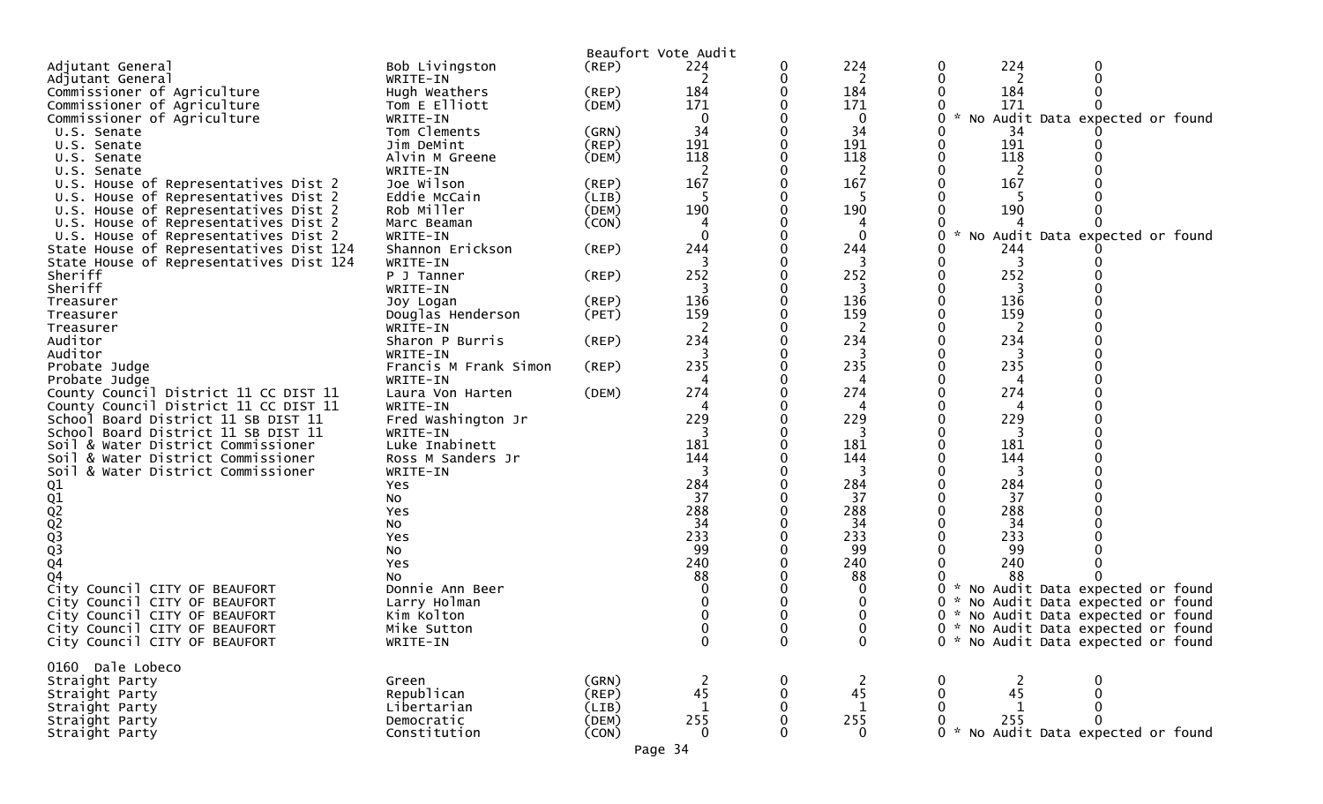|                                         |                                   |                      | Beaufort Vote Audit |              |                      |                                                  |
|-----------------------------------------|-----------------------------------|----------------------|---------------------|--------------|----------------------|--------------------------------------------------|
| Adjutant General                        | Bob Livingston                    | (REP)                | 224                 |              | 224                  | 224<br>0                                         |
| Adjutant General                        | WRITE-IN                          |                      | 2                   |              | 2                    | 2                                                |
| Commissioner of Agriculture             | Hugh Weathers                     | (REP)                | 184                 |              | 184                  | 184                                              |
| Commissioner of Agriculture             | Tom E Elliott                     | (DEM)                | 171                 |              | 171                  | 171                                              |
| Commissioner of Agriculture             | WRITE-IN                          |                      | 0                   |              | 0                    | * No Audit Data expected or found<br>0           |
| U.S. Senate                             | Tom Clements                      | (GRN)                | 34                  |              | 34                   | 34                                               |
| U.S. Senate                             | Jim DeMint                        | (REP)                | 191                 |              | 191                  | 191                                              |
| U.S. Senate                             | Alvin M Greene                    | (DEM)                | 118                 |              | 118                  | 118                                              |
| U.S. Senate                             | WRITE-IN                          |                      |                     |              | 2                    | 2                                                |
| U.S. House of Representatives Dist 2    | Joe Wilson                        | (REP)                | 167                 |              | 167                  | 167                                              |
| U.S. House of Representatives Dist 2    | Eddie McCain                      | (LIB)                | $\mathbf{b}$        |              | 5                    |                                                  |
| U.S. House of Representatives Dist 2    | Rob Miller                        | (DEM)                | 190                 |              | 190                  | 190                                              |
| U.S. House of Representatives Dist 2    | Marc Beaman                       | (CON)                |                     |              |                      |                                                  |
| U.S. House of Representatives Dist 2    | WRITE-IN                          |                      | $\Omega$            |              | $\Omega$             | $\mathcal{H}$<br>No Audit Data expected or found |
| State House of Representatives Dist 124 | Shannon Erickson                  | (REP)                | 244                 |              | 244                  | 244                                              |
| State House of Representatives Dist 124 | WRITE-IN                          |                      | 3                   |              |                      |                                                  |
| Sheriff                                 | P J Tanner                        | (REP)                | 252                 |              | 252                  | 252                                              |
| Sheriff                                 | WRITE-IN                          |                      |                     |              | 3                    |                                                  |
| Treasurer                               | Joy Logan                         | (REP)                | 136                 |              | 136                  | 136                                              |
| Treasurer                               | Douglas Henderson                 | (PET)                | 159                 |              | 159                  | 159                                              |
| Treasurer                               | WRITE-IN                          |                      | 2                   |              | 2                    | 2<br>234                                         |
| Auditor                                 | Sharon P Burris                   | (REP)                | 234                 |              | 234                  |                                                  |
| Auditor<br>Probate Judge                | WRITE-IN<br>Francis M Frank Simon | (REP)                | 235                 |              | 235                  | 235                                              |
| Probate Judge                           | WRITE-IN                          |                      |                     |              |                      |                                                  |
| County Council District 11 CC DIST 11   | Laura Von Harten                  | (DEM)                | 274                 |              | 274                  | 274                                              |
| County Council District 11 CC DIST 11   | WRITE-IN                          |                      |                     |              | 4                    |                                                  |
| School Board District 11 SB DIST 11     | Fred Washington Jr                |                      | 229                 |              | 229                  | 229                                              |
| School Board District 11 SB DIST 11     | WRITE-IN                          |                      | 3                   |              | 3                    | 3                                                |
| Soil & Water District Commissioner      | Luke Inabinett                    |                      | 181                 |              | 181                  | 181                                              |
| Soil & Water District Commissioner      | Ross M Sanders Jr                 |                      | 144                 |              | 144                  | 144                                              |
| Soil & Water District Commissioner      | WRITE-IN                          |                      |                     |              | 3                    | 3                                                |
| Q1                                      | Yes                               |                      | 284                 |              | 284                  | 284                                              |
|                                         | No                                |                      | 37                  |              | 37                   | 37                                               |
|                                         | Yes                               |                      | 288                 |              | 288                  | 288                                              |
|                                         | No                                |                      | 34                  |              | 34                   | 34                                               |
|                                         | Yes                               |                      | 233                 |              | 233                  | 233                                              |
| Q1<br>Q2<br>Q3<br>Q3<br>Q4              | No                                |                      | 99                  |              | 99                   | 99                                               |
|                                         | Yes                               |                      | 240                 |              | 240                  | 240                                              |
| 04                                      | NO.                               |                      | 88                  |              | 88                   | 88                                               |
| City Council CITY OF BEAUFORT           | Donnie Ann Beer                   |                      |                     |              |                      | * No Audit Data expected or found                |
| City Council CITY OF BEAUFORT           | Larry Holman                      |                      |                     |              |                      | No Audit Data expected or found                  |
| City Council CITY OF BEAUFORT           | Kim Kolton                        |                      | 0                   |              |                      | * No Audit Data expected or found<br>0           |
| City Council CITY OF BEAUFORT           | Mike Sutton                       |                      | 0                   |              | υ                    | 0<br>* No Audit Data expected or found           |
| City Council CITY OF BEAUFORT           | WRITE-IN                          |                      | $\mathbf{0}$        | $\mathbf{0}$ | $\mathbf{0}$         | 0 * No Audit Data expected or found              |
|                                         |                                   |                      |                     |              |                      |                                                  |
| 0160 Dale Lobeco                        |                                   |                      |                     |              |                      |                                                  |
| Straight Party<br>Straight Party        | Green<br>Republican               | (GRN)<br>$($ REP $)$ | 45                  |              | $\overline{2}$<br>45 | 45                                               |
| Straight Party                          | Libertarian                       | (LIB)                |                     |              | $\mathbf 1$          | 1                                                |
| Straight Party                          | Democratic                        | (DEM)                | 255                 |              | 255                  | 255<br>$\Omega$                                  |
| Straight Party                          | Constitution                      | (CON)                | $\Omega$            |              | $\Omega$             | $\Omega$<br>No Audit Data expected or found      |
|                                         |                                   |                      | Page 34             |              |                      |                                                  |
|                                         |                                   |                      |                     |              |                      |                                                  |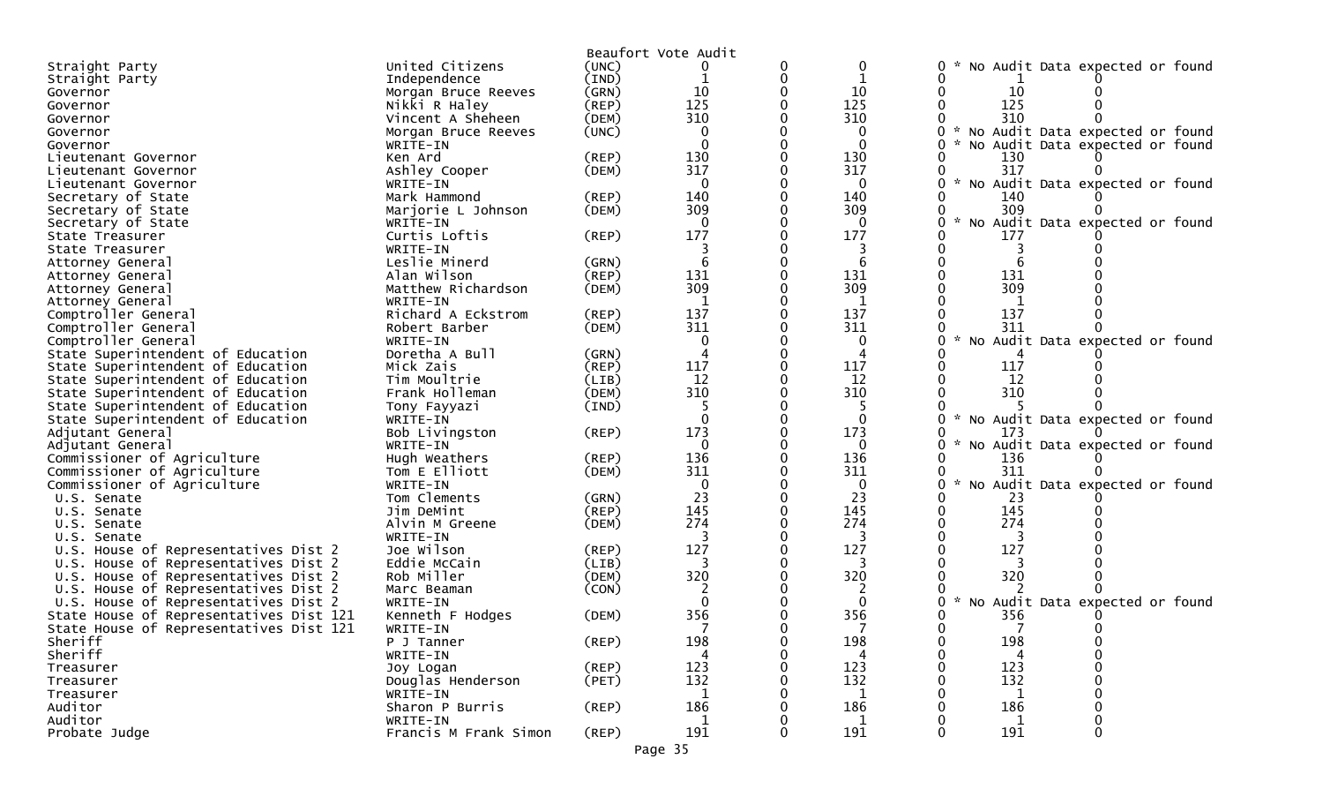|                                         |                       |                | Beaufort Vote Audit |   |              |                                                  |
|-----------------------------------------|-----------------------|----------------|---------------------|---|--------------|--------------------------------------------------|
| Straight Party                          | United Citizens       | (UNC)          |                     | 0 | 0            | No Audit Data expected or found                  |
| Straight Party                          | Independence          | $(\text{IND})$ | 1                   | 0 |              |                                                  |
| Governor                                | Morgan Bruce Reeves   | (GRN)          | 10                  |   | 10           | 10                                               |
| Governor                                | Nikki R Haley         | $($ REP $)$    | 125                 |   | 125          | 125                                              |
| Governor                                | Vincent A Sheheen     | (DEM)          | 310                 |   | 310          | 310                                              |
| Governor                                | Morgan Bruce Reeves   | (UNC)          | $\Omega$            |   |              | No Audit Data expected or found                  |
| Governor                                | WRITE-IN              |                | 0                   |   | 0            | No Audit Data expected or found                  |
| Lieutenant Governor                     | Ken Ard               | (REP)          | 130                 |   | 130          | 130                                              |
| Lieutenant Governor                     | Ashley Cooper         | (DEM)          | 317                 |   | 317          | 317                                              |
| Lieutenant Governor                     | WRITE-IN              |                | $\mathbf{0}$        |   | $\mathbf{0}$ | * No Audit Data expected or found                |
| Secretary of State                      | Mark Hammond          | (REP)          | 140                 |   | 140          | 140                                              |
| Secretary of State                      | Marjorie L Johnson    | (DEM)          | 309                 |   | 309          | 309                                              |
| Secretary of State                      | WRITE-IN              |                | $\mathbf{0}$        |   | $\mathbf{0}$ | No Audit Data expected or found                  |
| State Treasurer                         | Curtis Loftis         | $($ REP $)$    | 177                 |   | 177          | 177                                              |
| State Treasurer                         | WRITE-IN              |                |                     |   |              |                                                  |
| Attorney General                        | Leslie Minerd         | (GRN)          | 6                   |   | 6            |                                                  |
| Attorney General                        | Alan Wilson           | (REP)          | 131                 |   | 131          | 131                                              |
| Attorney General                        | Matthew Richardson    | (DEM)          | 309                 |   | 309          | 309                                              |
| Attorney General                        | WRITE-IN              |                | $\mathbf{1}$        |   | $\mathbf{1}$ |                                                  |
| Comptroller General                     | Richard A Eckstrom    | (REP)          | 137                 |   | 137          | 137                                              |
| Comptroller General                     | Robert Barber         | (DEM)          | 311                 |   | 311          | 311                                              |
| Comptroller General                     | WRITE-IN              |                | 0                   |   | 0            | * No Audit Data expected or found                |
| State Superintendent of Education       | Doretha A Bull        | (GRN)          |                     |   |              |                                                  |
| State Superintendent of Education       | Mick Zais             | (REP)          | 117                 |   | 117          | 117                                              |
| State Superintendent of Education       | Tim Moultrie          | (LIB)          | 12                  |   | 12           | 12                                               |
| State Superintendent of Education       | Frank Holleman        | (DEM)          | 310                 |   | 310          | 310                                              |
| State Superintendent of Education       | Tony Fayyazi          | (IND)          |                     |   |              |                                                  |
| State Superintendent of Education       | WRITE-IN              |                | $\Omega$            |   | $\mathbf{0}$ | * No Audit Data expected or found                |
| Adjutant General                        | Bob Livingston        | (REP)          | 173                 |   | 173          | 173                                              |
| Adjutant General                        | WRITE-IN              |                | $\Omega$            |   | $\mathbf{0}$ | No Audit Data expected or found<br>$\mathcal{H}$ |
| Commissioner of Agriculture             | Hugh Weathers         | (REP)          | 136                 |   | 136          | 136                                              |
| Commissioner of Agriculture             | Tom E Elliott         | (DEM)          | 311                 |   | 311          | 311                                              |
| Commissioner of Agriculture             | WRITE-IN              |                | $\mathbf{0}$        |   | $\mathbf 0$  | No Audit Data expected or found                  |
| U.S. Senate                             | Tom Clements          | (GRN)          | 23                  |   | 23           | 23                                               |
| U.S. Senate                             | Jim DeMint            | (REP)          | 145                 |   | 145          | 145                                              |
| U.S. Senate                             | Alvin M Greene        | (DEM)          | 274                 |   | 274          | 274                                              |
| U.S. Senate                             | WRITE-IN              |                |                     |   | 3            |                                                  |
| U.S. House of Representatives Dist 2    | Joe Wilson            | (REP)          | 127                 |   | 127          | 127                                              |
| U.S. House of Representatives Dist 2    | Eddie McCain          | (LIB)          | 3                   |   | 3            |                                                  |
| U.S. House of Representatives Dist 2    | Rob Miller            | (DEM)          | 320                 |   | 320          | 320                                              |
| U.S. House of Representatives Dist 2    | Marc Beaman           | (CON)          |                     |   |              |                                                  |
| U.S. House of Representatives Dist 2    | WRITE-IN              |                | $\Omega$            |   | $\Omega$     | No Audit Data expected or found                  |
| State House of Representatives Dist 121 | Kenneth F Hodges      | (DEM)          | 356                 |   | 356          | 356                                              |
| State House of Representatives Dist 121 | WRITE-IN              |                |                     |   |              |                                                  |
| Sheriff                                 | P J Tanner            | $($ REP $)$    | 198                 | 0 | 198          | 198                                              |
| Sheriff                                 | WRITE-IN              |                |                     |   |              |                                                  |
| Treasurer                               | Joy Logan             | (REP)          | 123                 |   | 123          | 123                                              |
| Treasurer                               | Douglas Henderson     | (PET)          | 132                 |   | 132          | 132                                              |
| Treasurer                               | WRITE-IN              |                | -1                  |   | -1           | 1                                                |
| Auditor                                 | Sharon P Burris       | $($ REP $)$    | 186                 |   | 186          | 186                                              |
| Auditor                                 | WRITE-IN              |                | 1                   |   | 1            | 1                                                |
| Probate Judge                           | Francis M Frank Simon | $($ REP $)$    | 191                 | 0 | 191          | 191<br>$\Omega$                                  |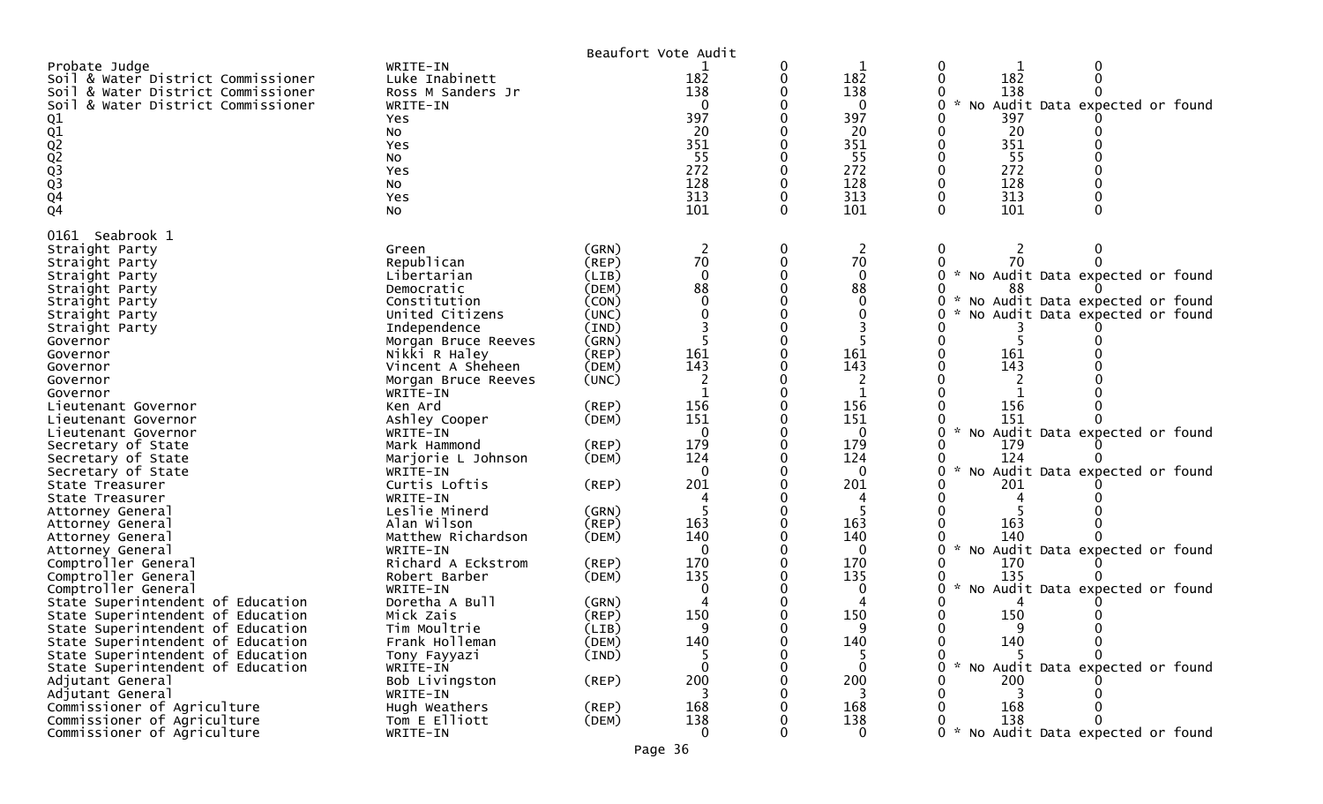|                                                                                                                                                                                                                                                                                                                                                                                                            |                                                                                                                                                                                                                                                                                                                                             | Beaufort Vote Audit                                                                                                                                         |                                                                                                                          |        |                                                                                                                           |                                                                                                                                                                                                                                                                     |
|------------------------------------------------------------------------------------------------------------------------------------------------------------------------------------------------------------------------------------------------------------------------------------------------------------------------------------------------------------------------------------------------------------|---------------------------------------------------------------------------------------------------------------------------------------------------------------------------------------------------------------------------------------------------------------------------------------------------------------------------------------------|-------------------------------------------------------------------------------------------------------------------------------------------------------------|--------------------------------------------------------------------------------------------------------------------------|--------|---------------------------------------------------------------------------------------------------------------------------|---------------------------------------------------------------------------------------------------------------------------------------------------------------------------------------------------------------------------------------------------------------------|
| Probate Judge<br>Soil & Water District Commissioner<br>Soil & Water District Commissioner<br>& Water District Commissioner<br>Soil<br>01<br>02<br>02<br>02<br>03<br>03<br>04<br>Q <sub>4</sub>                                                                                                                                                                                                             | WRITE-IN<br>Luke Inabinett<br>Ross M Sanders Jr<br>WRITE-IN<br>Yes<br>No<br>Yes<br>No<br>Yes<br>NO.<br>Yes<br>No                                                                                                                                                                                                                            |                                                                                                                                                             | 182<br>138<br>0<br>397<br>20<br>351<br>55<br>272<br>128<br>313<br>101                                                    | 0<br>0 | 182<br>138<br>0<br>397<br>20<br>351<br>55<br>272<br>128<br>313<br>101                                                     | 0<br>0<br>182<br>0<br>0<br>138<br>Audit Data expected or found<br>NO<br>397<br>20<br>351<br>55<br>272<br>128<br>313<br>101                                                                                                                                          |
| 0161 Seabrook 1<br>Straight Party<br>Straight Party<br>Straight Party<br>Straight Party<br>Straight Party<br>Straight Party<br>Straight Party<br>Governor<br>Governor<br>Governor<br>Governor<br>Governor<br>Lieutenant Governor<br>Lieutenant Governor<br>Lieutenant Governor<br>Secretary of State<br>Secretary of State<br>Secretary of State<br>State Treasurer<br>State Treasurer<br>Attorney General | Green<br>Republican<br>Libertarian<br>Democratic<br>Constitution<br>United Citizens<br>Independence<br>Morgan Bruce Reeves<br>Nikki R Haley<br>Vincent A Sheheen<br>Morgan Bruce Reeves<br>WRITE-IN<br>Ken Ard<br>Ashley Cooper<br>WRITE-IN<br>Mark Hammond<br>Marjorie L Johnson<br>WRITE-IN<br>Curtis Loftis<br>WRITE-IN<br>Leslie Minerd | (GRN)<br>(REP)<br>(LIB)<br>(DEM)<br>(CON)<br>(UNC)<br>(IND)<br>(GRN)<br>(REP)<br>(DEM)<br>(UNC)<br>(REP)<br>(DEM)<br>$($ REP $)$<br>(DEM)<br>(REP)<br>(GRN) | 2<br>70<br>$\mathbf{0}$<br>88<br>∩<br>161<br>143<br>$\mathbf{1}$<br>156<br>151<br>$\mathbf{0}$<br>179<br>124<br>0<br>201 | 0<br>0 | 2<br>70<br>$\mathbf{0}$<br>88<br>$\Omega$<br>0<br>161<br>143<br>1<br>156<br>151<br>0<br>179<br>124<br>$\mathbf{0}$<br>201 | 0<br>∩<br>70<br>No Audit Data expected or found<br>88<br>No Audit Data expected or found<br>No Audit Data expected or found<br>161<br>143<br>156<br>151<br>$\mathcal{H}$<br>No Audit Data expected or found<br>179<br>124<br>No Audit Data expected or found<br>201 |
| Attorney General<br>Attorney General<br>Attorney General<br>Comptroller General<br>Comptroller General<br>Comptroller General<br>State Superintendent of Education                                                                                                                                                                                                                                         | Alan Wilson<br>Matthew Richardson<br>WRITE-IN<br>Richard A Eckstrom<br>Robert Barber<br>WRITE-IN<br>Doretha A Bull                                                                                                                                                                                                                          | (REP)<br>(DEM)<br>(REP)<br>(DEM)<br>(GRN)                                                                                                                   | 163<br>140<br>$\Omega$<br>170<br>135                                                                                     |        | 163<br>140<br>$\Omega$<br>170<br>135<br>0                                                                                 | 163<br>140<br>No Audit Data expected or found<br>170<br>135<br>No Audit Data expected or found                                                                                                                                                                      |
| State Superintendent of Education<br>State Superintendent of Education<br>State Superintendent of Education<br>State Superintendent of Education<br>State Superintendent of Education<br>Adjutant General<br>Adjutant General<br>Commissioner of Agriculture<br>Commissioner of Agriculture<br>Commissioner of Agriculture                                                                                 | Mick Zais<br>Tim Moultrie<br>Frank Holleman<br>Tony Fayyazi<br>WRITE-IN<br>Bob Livingston<br>WRITE-IN<br>Hugh Weathers<br>Tom E Elliott<br>WRITE-IN                                                                                                                                                                                         | (REP)<br>(LIB)<br>(DEM)<br>(IND)<br>$($ REP $)$<br>(REP)<br>(DEM)                                                                                           | 150<br>q<br>140<br>$\Omega$<br>200<br>3<br>168<br>138<br>$\Omega$                                                        |        | 150<br>∩<br>140<br>$\Omega$<br>200<br>3<br>168<br>138<br>$\overline{0}$                                                   | 150<br>n<br>140<br>0<br>No Audit Data expected or found<br>200<br>3<br>168<br>138<br>No Audit Data expected or found                                                                                                                                                |
|                                                                                                                                                                                                                                                                                                                                                                                                            |                                                                                                                                                                                                                                                                                                                                             | Page 36                                                                                                                                                     |                                                                                                                          |        |                                                                                                                           |                                                                                                                                                                                                                                                                     |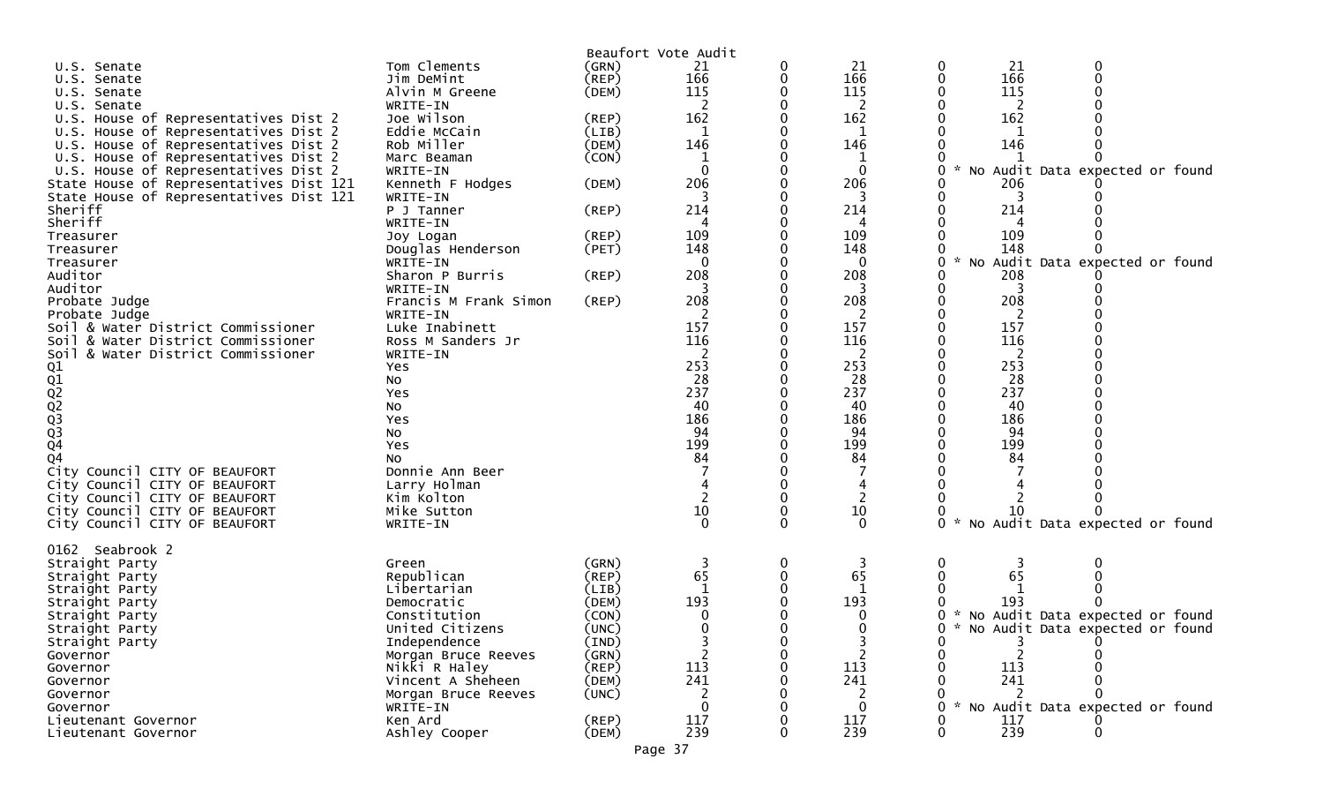| Tom Clements<br>(GRN)<br>0<br>21<br>21<br>0<br>U.S. Senate<br>0<br>166<br>166<br>166<br>(REP)<br>Jim DeMint<br>U.S. Senate<br>115<br>115<br>115<br>Alvin M Greene<br>(DEM)<br>U.S.<br>Senate<br>2<br>WRITE-IN<br>2<br>2<br>U.S. Senate<br>162<br>U.S. House of Representatives Dist 2<br>Joe Wilson<br>162<br>162<br>(REP)<br>Eddie McCain<br>(LIB)<br>U.S. House of Representatives Dist 2<br>1<br>1<br>146<br>146<br>146<br>Rob Miller<br>U.S. House of Representatives Dist 2<br>(DEM)<br>(CON)<br>U.S. House of Representatives Dist 2<br>1<br>Marc Beaman<br>1<br>U.S. House of Representatives Dist 2<br>WRITE-IN<br>$\mathbf{0}$<br>0<br>206<br>206<br>State House of Representatives Dist 121<br>Kenneth F Hodges<br>(DEM)<br>206<br>3<br>State House of Representatives Dist 121<br>WRITE-IN<br>Sheriff<br>214<br>214<br>214<br>P J Tanner<br>(REP)<br>Sheriff<br>WRITE-IN<br>4<br>4<br>109<br>109<br>109<br>$($ REP $)$<br>Treasurer<br>Joy Logan<br>148<br>148<br>Douglas Henderson<br>(PET)<br>148<br>Treasurer<br>$\mathbf{0}$<br>$\Omega$<br>Treasurer<br>ი<br>WRITE-IN<br>208<br>Auditor<br>Sharon P Burris<br>208<br>208<br>$($ REP $)$<br>Auditor<br>WRITE-IN<br>3<br>3<br>3<br>208<br>208<br>208<br>(REP)<br>Probate Judge<br>Francis M Frank Simon<br>Probate Judge<br>WRITE-IN<br>157<br>157<br>157<br>Soil & Water District Commissioner<br>Luke Inabinett<br>116<br>116<br>116<br>Soil & Water District Commissioner<br>Ross M Sanders Jr<br>$\overline{2}$<br>2<br>2<br>Soil & Water District Commissioner<br>WRITE-IN<br>253<br>253<br>253<br>01<br>02<br>02<br>02<br>03<br>03<br>04<br>Yes<br>28<br>28<br>28<br>No<br>237<br>237<br>237<br>Yes<br>40<br>40<br>40<br>No<br>186<br>186<br>186<br>Yes<br>94<br>94<br>94<br>No<br>199<br>199<br>199<br>Yes<br>84<br>Q <sub>4</sub><br>84<br>84<br>No<br>City Council CITY OF BEAUFORT<br>Donnie Ann Beer<br>City Council CITY OF BEAUFORT<br>Larry Holman<br>2<br>City Council CITY OF BEAUFORT<br>Kim Kolton<br>10<br>10<br>City Council CITY OF BEAUFORT<br>Mike Sutton<br>10<br>No Audit Data expected or found<br>$\Omega$<br>City Council CITY OF BEAUFORT<br>$\Omega$<br>$\Omega$<br>0<br>WRITE-IN<br>0162 Seabrook 2<br>Straight Party<br>(GRN)<br>0<br>0<br>Green<br>65<br>65<br>65<br>Republican<br>(REP)<br>Straight Party<br>-1<br>Libertarian<br>(LIB)<br>Straight Party<br>193<br>193<br>193<br>Democratic<br>(DEM)<br>Straight Party<br>Constitution<br>(CON)<br>Straight Party<br>0<br>$\Omega$<br>United Citizens<br>(UNC)<br>0<br>Straight Party<br>Straight Party<br>Independence<br>(IND) |                                   |  | Beaufort Vote Audit |  |          |
|-----------------------------------------------------------------------------------------------------------------------------------------------------------------------------------------------------------------------------------------------------------------------------------------------------------------------------------------------------------------------------------------------------------------------------------------------------------------------------------------------------------------------------------------------------------------------------------------------------------------------------------------------------------------------------------------------------------------------------------------------------------------------------------------------------------------------------------------------------------------------------------------------------------------------------------------------------------------------------------------------------------------------------------------------------------------------------------------------------------------------------------------------------------------------------------------------------------------------------------------------------------------------------------------------------------------------------------------------------------------------------------------------------------------------------------------------------------------------------------------------------------------------------------------------------------------------------------------------------------------------------------------------------------------------------------------------------------------------------------------------------------------------------------------------------------------------------------------------------------------------------------------------------------------------------------------------------------------------------------------------------------------------------------------------------------------------------------------------------------------------------------------------------------------------------------------------------------------------------------------------------------------------------------------------------------------------------------------------------------------------------------------------------------------------------------------------------------------------------------------------------------------------------------------------------------------------------------|-----------------------------------|--|---------------------|--|----------|
|                                                                                                                                                                                                                                                                                                                                                                                                                                                                                                                                                                                                                                                                                                                                                                                                                                                                                                                                                                                                                                                                                                                                                                                                                                                                                                                                                                                                                                                                                                                                                                                                                                                                                                                                                                                                                                                                                                                                                                                                                                                                                                                                                                                                                                                                                                                                                                                                                                                                                                                                                                                   |                                   |  | 21                  |  |          |
|                                                                                                                                                                                                                                                                                                                                                                                                                                                                                                                                                                                                                                                                                                                                                                                                                                                                                                                                                                                                                                                                                                                                                                                                                                                                                                                                                                                                                                                                                                                                                                                                                                                                                                                                                                                                                                                                                                                                                                                                                                                                                                                                                                                                                                                                                                                                                                                                                                                                                                                                                                                   |                                   |  |                     |  |          |
|                                                                                                                                                                                                                                                                                                                                                                                                                                                                                                                                                                                                                                                                                                                                                                                                                                                                                                                                                                                                                                                                                                                                                                                                                                                                                                                                                                                                                                                                                                                                                                                                                                                                                                                                                                                                                                                                                                                                                                                                                                                                                                                                                                                                                                                                                                                                                                                                                                                                                                                                                                                   |                                   |  |                     |  |          |
|                                                                                                                                                                                                                                                                                                                                                                                                                                                                                                                                                                                                                                                                                                                                                                                                                                                                                                                                                                                                                                                                                                                                                                                                                                                                                                                                                                                                                                                                                                                                                                                                                                                                                                                                                                                                                                                                                                                                                                                                                                                                                                                                                                                                                                                                                                                                                                                                                                                                                                                                                                                   |                                   |  |                     |  |          |
|                                                                                                                                                                                                                                                                                                                                                                                                                                                                                                                                                                                                                                                                                                                                                                                                                                                                                                                                                                                                                                                                                                                                                                                                                                                                                                                                                                                                                                                                                                                                                                                                                                                                                                                                                                                                                                                                                                                                                                                                                                                                                                                                                                                                                                                                                                                                                                                                                                                                                                                                                                                   |                                   |  |                     |  |          |
|                                                                                                                                                                                                                                                                                                                                                                                                                                                                                                                                                                                                                                                                                                                                                                                                                                                                                                                                                                                                                                                                                                                                                                                                                                                                                                                                                                                                                                                                                                                                                                                                                                                                                                                                                                                                                                                                                                                                                                                                                                                                                                                                                                                                                                                                                                                                                                                                                                                                                                                                                                                   |                                   |  |                     |  |          |
|                                                                                                                                                                                                                                                                                                                                                                                                                                                                                                                                                                                                                                                                                                                                                                                                                                                                                                                                                                                                                                                                                                                                                                                                                                                                                                                                                                                                                                                                                                                                                                                                                                                                                                                                                                                                                                                                                                                                                                                                                                                                                                                                                                                                                                                                                                                                                                                                                                                                                                                                                                                   |                                   |  |                     |  |          |
|                                                                                                                                                                                                                                                                                                                                                                                                                                                                                                                                                                                                                                                                                                                                                                                                                                                                                                                                                                                                                                                                                                                                                                                                                                                                                                                                                                                                                                                                                                                                                                                                                                                                                                                                                                                                                                                                                                                                                                                                                                                                                                                                                                                                                                                                                                                                                                                                                                                                                                                                                                                   |                                   |  |                     |  |          |
|                                                                                                                                                                                                                                                                                                                                                                                                                                                                                                                                                                                                                                                                                                                                                                                                                                                                                                                                                                                                                                                                                                                                                                                                                                                                                                                                                                                                                                                                                                                                                                                                                                                                                                                                                                                                                                                                                                                                                                                                                                                                                                                                                                                                                                                                                                                                                                                                                                                                                                                                                                                   | No Audit Data expected or found   |  |                     |  |          |
|                                                                                                                                                                                                                                                                                                                                                                                                                                                                                                                                                                                                                                                                                                                                                                                                                                                                                                                                                                                                                                                                                                                                                                                                                                                                                                                                                                                                                                                                                                                                                                                                                                                                                                                                                                                                                                                                                                                                                                                                                                                                                                                                                                                                                                                                                                                                                                                                                                                                                                                                                                                   |                                   |  |                     |  |          |
|                                                                                                                                                                                                                                                                                                                                                                                                                                                                                                                                                                                                                                                                                                                                                                                                                                                                                                                                                                                                                                                                                                                                                                                                                                                                                                                                                                                                                                                                                                                                                                                                                                                                                                                                                                                                                                                                                                                                                                                                                                                                                                                                                                                                                                                                                                                                                                                                                                                                                                                                                                                   |                                   |  |                     |  |          |
|                                                                                                                                                                                                                                                                                                                                                                                                                                                                                                                                                                                                                                                                                                                                                                                                                                                                                                                                                                                                                                                                                                                                                                                                                                                                                                                                                                                                                                                                                                                                                                                                                                                                                                                                                                                                                                                                                                                                                                                                                                                                                                                                                                                                                                                                                                                                                                                                                                                                                                                                                                                   |                                   |  |                     |  |          |
|                                                                                                                                                                                                                                                                                                                                                                                                                                                                                                                                                                                                                                                                                                                                                                                                                                                                                                                                                                                                                                                                                                                                                                                                                                                                                                                                                                                                                                                                                                                                                                                                                                                                                                                                                                                                                                                                                                                                                                                                                                                                                                                                                                                                                                                                                                                                                                                                                                                                                                                                                                                   |                                   |  |                     |  |          |
|                                                                                                                                                                                                                                                                                                                                                                                                                                                                                                                                                                                                                                                                                                                                                                                                                                                                                                                                                                                                                                                                                                                                                                                                                                                                                                                                                                                                                                                                                                                                                                                                                                                                                                                                                                                                                                                                                                                                                                                                                                                                                                                                                                                                                                                                                                                                                                                                                                                                                                                                                                                   |                                   |  |                     |  |          |
|                                                                                                                                                                                                                                                                                                                                                                                                                                                                                                                                                                                                                                                                                                                                                                                                                                                                                                                                                                                                                                                                                                                                                                                                                                                                                                                                                                                                                                                                                                                                                                                                                                                                                                                                                                                                                                                                                                                                                                                                                                                                                                                                                                                                                                                                                                                                                                                                                                                                                                                                                                                   |                                   |  |                     |  |          |
|                                                                                                                                                                                                                                                                                                                                                                                                                                                                                                                                                                                                                                                                                                                                                                                                                                                                                                                                                                                                                                                                                                                                                                                                                                                                                                                                                                                                                                                                                                                                                                                                                                                                                                                                                                                                                                                                                                                                                                                                                                                                                                                                                                                                                                                                                                                                                                                                                                                                                                                                                                                   | No Audit Data expected or found   |  |                     |  |          |
|                                                                                                                                                                                                                                                                                                                                                                                                                                                                                                                                                                                                                                                                                                                                                                                                                                                                                                                                                                                                                                                                                                                                                                                                                                                                                                                                                                                                                                                                                                                                                                                                                                                                                                                                                                                                                                                                                                                                                                                                                                                                                                                                                                                                                                                                                                                                                                                                                                                                                                                                                                                   |                                   |  |                     |  |          |
|                                                                                                                                                                                                                                                                                                                                                                                                                                                                                                                                                                                                                                                                                                                                                                                                                                                                                                                                                                                                                                                                                                                                                                                                                                                                                                                                                                                                                                                                                                                                                                                                                                                                                                                                                                                                                                                                                                                                                                                                                                                                                                                                                                                                                                                                                                                                                                                                                                                                                                                                                                                   |                                   |  |                     |  |          |
|                                                                                                                                                                                                                                                                                                                                                                                                                                                                                                                                                                                                                                                                                                                                                                                                                                                                                                                                                                                                                                                                                                                                                                                                                                                                                                                                                                                                                                                                                                                                                                                                                                                                                                                                                                                                                                                                                                                                                                                                                                                                                                                                                                                                                                                                                                                                                                                                                                                                                                                                                                                   |                                   |  |                     |  |          |
|                                                                                                                                                                                                                                                                                                                                                                                                                                                                                                                                                                                                                                                                                                                                                                                                                                                                                                                                                                                                                                                                                                                                                                                                                                                                                                                                                                                                                                                                                                                                                                                                                                                                                                                                                                                                                                                                                                                                                                                                                                                                                                                                                                                                                                                                                                                                                                                                                                                                                                                                                                                   |                                   |  |                     |  |          |
|                                                                                                                                                                                                                                                                                                                                                                                                                                                                                                                                                                                                                                                                                                                                                                                                                                                                                                                                                                                                                                                                                                                                                                                                                                                                                                                                                                                                                                                                                                                                                                                                                                                                                                                                                                                                                                                                                                                                                                                                                                                                                                                                                                                                                                                                                                                                                                                                                                                                                                                                                                                   |                                   |  |                     |  |          |
|                                                                                                                                                                                                                                                                                                                                                                                                                                                                                                                                                                                                                                                                                                                                                                                                                                                                                                                                                                                                                                                                                                                                                                                                                                                                                                                                                                                                                                                                                                                                                                                                                                                                                                                                                                                                                                                                                                                                                                                                                                                                                                                                                                                                                                                                                                                                                                                                                                                                                                                                                                                   |                                   |  |                     |  |          |
|                                                                                                                                                                                                                                                                                                                                                                                                                                                                                                                                                                                                                                                                                                                                                                                                                                                                                                                                                                                                                                                                                                                                                                                                                                                                                                                                                                                                                                                                                                                                                                                                                                                                                                                                                                                                                                                                                                                                                                                                                                                                                                                                                                                                                                                                                                                                                                                                                                                                                                                                                                                   |                                   |  |                     |  |          |
|                                                                                                                                                                                                                                                                                                                                                                                                                                                                                                                                                                                                                                                                                                                                                                                                                                                                                                                                                                                                                                                                                                                                                                                                                                                                                                                                                                                                                                                                                                                                                                                                                                                                                                                                                                                                                                                                                                                                                                                                                                                                                                                                                                                                                                                                                                                                                                                                                                                                                                                                                                                   |                                   |  |                     |  |          |
|                                                                                                                                                                                                                                                                                                                                                                                                                                                                                                                                                                                                                                                                                                                                                                                                                                                                                                                                                                                                                                                                                                                                                                                                                                                                                                                                                                                                                                                                                                                                                                                                                                                                                                                                                                                                                                                                                                                                                                                                                                                                                                                                                                                                                                                                                                                                                                                                                                                                                                                                                                                   |                                   |  |                     |  |          |
|                                                                                                                                                                                                                                                                                                                                                                                                                                                                                                                                                                                                                                                                                                                                                                                                                                                                                                                                                                                                                                                                                                                                                                                                                                                                                                                                                                                                                                                                                                                                                                                                                                                                                                                                                                                                                                                                                                                                                                                                                                                                                                                                                                                                                                                                                                                                                                                                                                                                                                                                                                                   |                                   |  |                     |  |          |
|                                                                                                                                                                                                                                                                                                                                                                                                                                                                                                                                                                                                                                                                                                                                                                                                                                                                                                                                                                                                                                                                                                                                                                                                                                                                                                                                                                                                                                                                                                                                                                                                                                                                                                                                                                                                                                                                                                                                                                                                                                                                                                                                                                                                                                                                                                                                                                                                                                                                                                                                                                                   |                                   |  |                     |  |          |
|                                                                                                                                                                                                                                                                                                                                                                                                                                                                                                                                                                                                                                                                                                                                                                                                                                                                                                                                                                                                                                                                                                                                                                                                                                                                                                                                                                                                                                                                                                                                                                                                                                                                                                                                                                                                                                                                                                                                                                                                                                                                                                                                                                                                                                                                                                                                                                                                                                                                                                                                                                                   |                                   |  |                     |  |          |
|                                                                                                                                                                                                                                                                                                                                                                                                                                                                                                                                                                                                                                                                                                                                                                                                                                                                                                                                                                                                                                                                                                                                                                                                                                                                                                                                                                                                                                                                                                                                                                                                                                                                                                                                                                                                                                                                                                                                                                                                                                                                                                                                                                                                                                                                                                                                                                                                                                                                                                                                                                                   |                                   |  |                     |  |          |
|                                                                                                                                                                                                                                                                                                                                                                                                                                                                                                                                                                                                                                                                                                                                                                                                                                                                                                                                                                                                                                                                                                                                                                                                                                                                                                                                                                                                                                                                                                                                                                                                                                                                                                                                                                                                                                                                                                                                                                                                                                                                                                                                                                                                                                                                                                                                                                                                                                                                                                                                                                                   |                                   |  |                     |  |          |
|                                                                                                                                                                                                                                                                                                                                                                                                                                                                                                                                                                                                                                                                                                                                                                                                                                                                                                                                                                                                                                                                                                                                                                                                                                                                                                                                                                                                                                                                                                                                                                                                                                                                                                                                                                                                                                                                                                                                                                                                                                                                                                                                                                                                                                                                                                                                                                                                                                                                                                                                                                                   |                                   |  |                     |  |          |
|                                                                                                                                                                                                                                                                                                                                                                                                                                                                                                                                                                                                                                                                                                                                                                                                                                                                                                                                                                                                                                                                                                                                                                                                                                                                                                                                                                                                                                                                                                                                                                                                                                                                                                                                                                                                                                                                                                                                                                                                                                                                                                                                                                                                                                                                                                                                                                                                                                                                                                                                                                                   |                                   |  |                     |  |          |
|                                                                                                                                                                                                                                                                                                                                                                                                                                                                                                                                                                                                                                                                                                                                                                                                                                                                                                                                                                                                                                                                                                                                                                                                                                                                                                                                                                                                                                                                                                                                                                                                                                                                                                                                                                                                                                                                                                                                                                                                                                                                                                                                                                                                                                                                                                                                                                                                                                                                                                                                                                                   |                                   |  |                     |  |          |
|                                                                                                                                                                                                                                                                                                                                                                                                                                                                                                                                                                                                                                                                                                                                                                                                                                                                                                                                                                                                                                                                                                                                                                                                                                                                                                                                                                                                                                                                                                                                                                                                                                                                                                                                                                                                                                                                                                                                                                                                                                                                                                                                                                                                                                                                                                                                                                                                                                                                                                                                                                                   |                                   |  |                     |  |          |
|                                                                                                                                                                                                                                                                                                                                                                                                                                                                                                                                                                                                                                                                                                                                                                                                                                                                                                                                                                                                                                                                                                                                                                                                                                                                                                                                                                                                                                                                                                                                                                                                                                                                                                                                                                                                                                                                                                                                                                                                                                                                                                                                                                                                                                                                                                                                                                                                                                                                                                                                                                                   |                                   |  |                     |  |          |
|                                                                                                                                                                                                                                                                                                                                                                                                                                                                                                                                                                                                                                                                                                                                                                                                                                                                                                                                                                                                                                                                                                                                                                                                                                                                                                                                                                                                                                                                                                                                                                                                                                                                                                                                                                                                                                                                                                                                                                                                                                                                                                                                                                                                                                                                                                                                                                                                                                                                                                                                                                                   |                                   |  |                     |  |          |
|                                                                                                                                                                                                                                                                                                                                                                                                                                                                                                                                                                                                                                                                                                                                                                                                                                                                                                                                                                                                                                                                                                                                                                                                                                                                                                                                                                                                                                                                                                                                                                                                                                                                                                                                                                                                                                                                                                                                                                                                                                                                                                                                                                                                                                                                                                                                                                                                                                                                                                                                                                                   |                                   |  |                     |  |          |
|                                                                                                                                                                                                                                                                                                                                                                                                                                                                                                                                                                                                                                                                                                                                                                                                                                                                                                                                                                                                                                                                                                                                                                                                                                                                                                                                                                                                                                                                                                                                                                                                                                                                                                                                                                                                                                                                                                                                                                                                                                                                                                                                                                                                                                                                                                                                                                                                                                                                                                                                                                                   |                                   |  |                     |  |          |
|                                                                                                                                                                                                                                                                                                                                                                                                                                                                                                                                                                                                                                                                                                                                                                                                                                                                                                                                                                                                                                                                                                                                                                                                                                                                                                                                                                                                                                                                                                                                                                                                                                                                                                                                                                                                                                                                                                                                                                                                                                                                                                                                                                                                                                                                                                                                                                                                                                                                                                                                                                                   |                                   |  |                     |  |          |
|                                                                                                                                                                                                                                                                                                                                                                                                                                                                                                                                                                                                                                                                                                                                                                                                                                                                                                                                                                                                                                                                                                                                                                                                                                                                                                                                                                                                                                                                                                                                                                                                                                                                                                                                                                                                                                                                                                                                                                                                                                                                                                                                                                                                                                                                                                                                                                                                                                                                                                                                                                                   |                                   |  |                     |  |          |
|                                                                                                                                                                                                                                                                                                                                                                                                                                                                                                                                                                                                                                                                                                                                                                                                                                                                                                                                                                                                                                                                                                                                                                                                                                                                                                                                                                                                                                                                                                                                                                                                                                                                                                                                                                                                                                                                                                                                                                                                                                                                                                                                                                                                                                                                                                                                                                                                                                                                                                                                                                                   |                                   |  |                     |  |          |
|                                                                                                                                                                                                                                                                                                                                                                                                                                                                                                                                                                                                                                                                                                                                                                                                                                                                                                                                                                                                                                                                                                                                                                                                                                                                                                                                                                                                                                                                                                                                                                                                                                                                                                                                                                                                                                                                                                                                                                                                                                                                                                                                                                                                                                                                                                                                                                                                                                                                                                                                                                                   |                                   |  |                     |  |          |
|                                                                                                                                                                                                                                                                                                                                                                                                                                                                                                                                                                                                                                                                                                                                                                                                                                                                                                                                                                                                                                                                                                                                                                                                                                                                                                                                                                                                                                                                                                                                                                                                                                                                                                                                                                                                                                                                                                                                                                                                                                                                                                                                                                                                                                                                                                                                                                                                                                                                                                                                                                                   | * No Audit Data expected or found |  |                     |  |          |
|                                                                                                                                                                                                                                                                                                                                                                                                                                                                                                                                                                                                                                                                                                                                                                                                                                                                                                                                                                                                                                                                                                                                                                                                                                                                                                                                                                                                                                                                                                                                                                                                                                                                                                                                                                                                                                                                                                                                                                                                                                                                                                                                                                                                                                                                                                                                                                                                                                                                                                                                                                                   | No Audit Data expected or found   |  |                     |  |          |
|                                                                                                                                                                                                                                                                                                                                                                                                                                                                                                                                                                                                                                                                                                                                                                                                                                                                                                                                                                                                                                                                                                                                                                                                                                                                                                                                                                                                                                                                                                                                                                                                                                                                                                                                                                                                                                                                                                                                                                                                                                                                                                                                                                                                                                                                                                                                                                                                                                                                                                                                                                                   |                                   |  |                     |  |          |
| Morgan Bruce Reeves<br>(GRN)                                                                                                                                                                                                                                                                                                                                                                                                                                                                                                                                                                                                                                                                                                                                                                                                                                                                                                                                                                                                                                                                                                                                                                                                                                                                                                                                                                                                                                                                                                                                                                                                                                                                                                                                                                                                                                                                                                                                                                                                                                                                                                                                                                                                                                                                                                                                                                                                                                                                                                                                                      |                                   |  |                     |  | Governor |
| 113<br>113<br>Nikki R Haley<br>(REP)<br>113<br>Governor                                                                                                                                                                                                                                                                                                                                                                                                                                                                                                                                                                                                                                                                                                                                                                                                                                                                                                                                                                                                                                                                                                                                                                                                                                                                                                                                                                                                                                                                                                                                                                                                                                                                                                                                                                                                                                                                                                                                                                                                                                                                                                                                                                                                                                                                                                                                                                                                                                                                                                                           |                                   |  |                     |  |          |
| 241<br>241<br>241<br>(DEM)<br>Vincent A Sheheen<br>Governor                                                                                                                                                                                                                                                                                                                                                                                                                                                                                                                                                                                                                                                                                                                                                                                                                                                                                                                                                                                                                                                                                                                                                                                                                                                                                                                                                                                                                                                                                                                                                                                                                                                                                                                                                                                                                                                                                                                                                                                                                                                                                                                                                                                                                                                                                                                                                                                                                                                                                                                       |                                   |  |                     |  |          |
| (UNC)<br>2<br>Morgan Bruce Reeves<br>2<br>Governor                                                                                                                                                                                                                                                                                                                                                                                                                                                                                                                                                                                                                                                                                                                                                                                                                                                                                                                                                                                                                                                                                                                                                                                                                                                                                                                                                                                                                                                                                                                                                                                                                                                                                                                                                                                                                                                                                                                                                                                                                                                                                                                                                                                                                                                                                                                                                                                                                                                                                                                                |                                   |  |                     |  |          |
| Governor<br>WRITE-IN<br>$\Omega$<br>0                                                                                                                                                                                                                                                                                                                                                                                                                                                                                                                                                                                                                                                                                                                                                                                                                                                                                                                                                                                                                                                                                                                                                                                                                                                                                                                                                                                                                                                                                                                                                                                                                                                                                                                                                                                                                                                                                                                                                                                                                                                                                                                                                                                                                                                                                                                                                                                                                                                                                                                                             | No Audit Data expected or found   |  |                     |  |          |
| Ken Ard<br>(REP)<br>117<br>117<br>117<br>Lieutenant Governor                                                                                                                                                                                                                                                                                                                                                                                                                                                                                                                                                                                                                                                                                                                                                                                                                                                                                                                                                                                                                                                                                                                                                                                                                                                                                                                                                                                                                                                                                                                                                                                                                                                                                                                                                                                                                                                                                                                                                                                                                                                                                                                                                                                                                                                                                                                                                                                                                                                                                                                      |                                   |  |                     |  |          |
| 239<br>239<br>239<br>(DEM)<br>Ashley Cooper<br>Lieutenant Governor                                                                                                                                                                                                                                                                                                                                                                                                                                                                                                                                                                                                                                                                                                                                                                                                                                                                                                                                                                                                                                                                                                                                                                                                                                                                                                                                                                                                                                                                                                                                                                                                                                                                                                                                                                                                                                                                                                                                                                                                                                                                                                                                                                                                                                                                                                                                                                                                                                                                                                                |                                   |  |                     |  |          |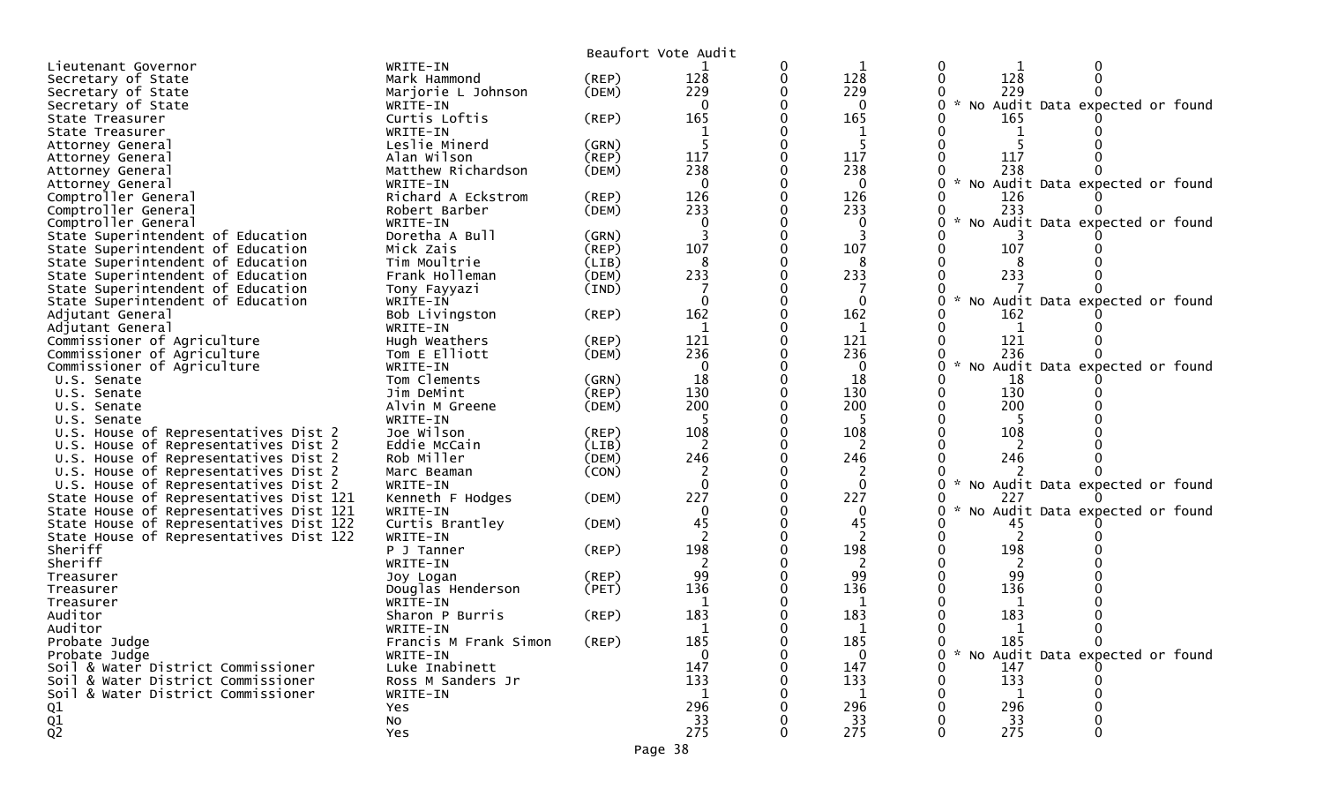|                                                 |                           |             | Beaufort Vote Audit |   |                |                                                  |
|-------------------------------------------------|---------------------------|-------------|---------------------|---|----------------|--------------------------------------------------|
| Lieutenant Governor                             | WRITE-IN                  |             |                     | 0 |                |                                                  |
| Secretary of State                              | Mark Hammond              | (REP)       | 128                 | 0 | 128            | 128                                              |
| Secretary of State                              | Marjorie L Johnson        | (DEM)       | 229                 |   | 229            | 229                                              |
| Secretary of State                              | WRITE-IN                  |             | 0                   |   | $\mathbf{0}$   | * No Audit Data expected or found                |
| State Treasurer                                 | Curtis Loftis             | (REP)       | 165                 |   | 165            | 165                                              |
| State Treasurer                                 | WRITE-IN                  |             |                     |   |                |                                                  |
| Attorney General                                | Leslie Minerd             | (GRN)       |                     |   |                |                                                  |
| Attorney General                                | Alan Wilson               | (REP)       | 117                 |   | 117            | 117                                              |
| Attorney General                                | Matthew Richardson        | (DEM)       | 238                 |   | 238            | 238                                              |
| Attorney General                                | WRITE-IN                  |             | 0                   |   | $\mathbf{0}$   | No Audit Data expected or found                  |
| Comptroller General                             | Richard A Eckstrom        | (REP)       | 126                 |   | 126            | 126                                              |
| Comptroller General                             | Robert Barber             | (DEM)       | 233                 |   | 233            | 233                                              |
| Comptroller General                             | WRITE-IN                  |             | $\Omega$            |   | $\Omega$       | No Audit Data expected or found                  |
| State Superintendent of Education               | Doretha A Bull            | (GRN)       |                     |   | 3              |                                                  |
| State Superintendent of Education               | Mick Zais                 | (REP)       | 107                 |   | 107            | 107                                              |
| State Superintendent of Education               | Tim Moultrie              | (LIB)       | 8                   |   | 8              |                                                  |
| State Superintendent of Education               | Frank Holleman            | (DEM)       | 233                 |   | 233            | 233                                              |
| State Superintendent of Education               | Tony Fayyazi              | (IND)       | $\Omega$            |   | $\Omega$       |                                                  |
| State Superintendent of Education               | WRITE-IN                  |             | 162                 |   | 162            | No Audit Data expected or found                  |
| Adjutant General                                | Bob Livingston            | $($ REP $)$ |                     |   |                | 162                                              |
| Adjutant General<br>Commissioner of Agriculture | WRITE-IN<br>Hugh Weathers | $($ REP $)$ | 1<br>121            |   | 1<br>121       | 121                                              |
| Commissioner of Agriculture                     | Tom E Elliott             | (DEM)       | 236                 |   | 236            | 236                                              |
| Commissioner of Agriculture                     | WRITE-IN                  |             | $\Omega$            |   | $\Omega$       | No Audit Data expected or found                  |
| U.S. Senate                                     | Tom Clements              | (GRN)       | 18                  |   | 18             | 18                                               |
| U.S. Senate                                     | Jim DeMint                | $($ REP $)$ | 130                 |   | 130            | 130                                              |
| U.S. Senate                                     | Alvin M Greene            | (DEM)       | 200                 |   | 200            | 200                                              |
| U.S. Senate                                     | WRITE-IN                  |             |                     |   |                |                                                  |
| U.S. House of Representatives Dist 2            | Joe Wilson                | (REP)       | 108                 |   | 108            | 108                                              |
| U.S. House of Representatives Dist 2            | Eddie McCain              | (LIB)       |                     |   |                |                                                  |
| U.S. House of Representatives Dist 2            | Rob Miller                | (DEM)       | 246                 |   | 246            | 246                                              |
| U.S. House of Representatives Dist 2            | Marc Beaman               | (CON)       |                     |   |                |                                                  |
| U.S. House of Representatives Dist 2            | WRITE-IN                  |             | $\Omega$            |   | $\mathbf{0}$   | No Audit Data expected or found<br>$\mathcal{H}$ |
| State House of Representatives Dist 121         | Kenneth F Hodges          | (DEM)       | 227                 |   | 227            | 227                                              |
| State House of Representatives Dist 121         | WRITE-IN                  |             | $\mathbf{0}$        |   | $\mathbf{0}$   | No Audit Data expected or found                  |
| State House of Representatives Dist 122         | Curtis Brantley           | (DEM)       | 45                  |   | 45             | 45                                               |
| State House of Representatives Dist 122         | WRITE-IN                  |             |                     |   | 2              |                                                  |
| Sheriff                                         | P J Tanner                | $($ REP $)$ | 198                 |   | 198            | 198                                              |
| Sheriff                                         | WRITE-IN                  |             |                     |   |                | 2                                                |
| Treasurer                                       | Joy Logan                 | (REP)       | 99                  |   | 99             | 99                                               |
| Treasurer                                       | Douglas Henderson         | (PET)       | 136                 |   | 136            | 136                                              |
| Treasurer                                       | WRITE-IN                  |             |                     |   |                |                                                  |
| Auditor                                         | Sharon P Burris           | (REP)       | 183                 |   | 183            | 183                                              |
| Auditor                                         | WRITE-IN                  |             |                     |   |                | $\mathbf{1}$                                     |
| Probate Judge                                   | Francis M Frank Simon     | (REP)       | 185                 |   | 185            | $\mathbf{0}$<br>185<br>0                         |
| Probate Judge                                   | WRITE-IN                  |             | $\Omega$            |   | $\overline{0}$ | * No Audit Data expected or found                |
| Soil & Water District Commissioner              | Luke Inabinett            |             | 147                 |   | 147            | 147                                              |
| Soil & Water District Commissioner              | Ross M Sanders Jr         |             | 133                 |   | 133            | 133                                              |
| Soil & Water District Commissioner              | WRITE-IN                  |             | $\mathbf{1}$        |   | 1              | 1                                                |
| Q1                                              | Yes                       |             | 296                 |   | 296            | 296                                              |
| $\frac{Q1}{Q2}$                                 | <b>NO</b>                 |             | 33                  |   | 33             | 33                                               |
|                                                 | Yes                       |             | 275                 |   | 275            | 275                                              |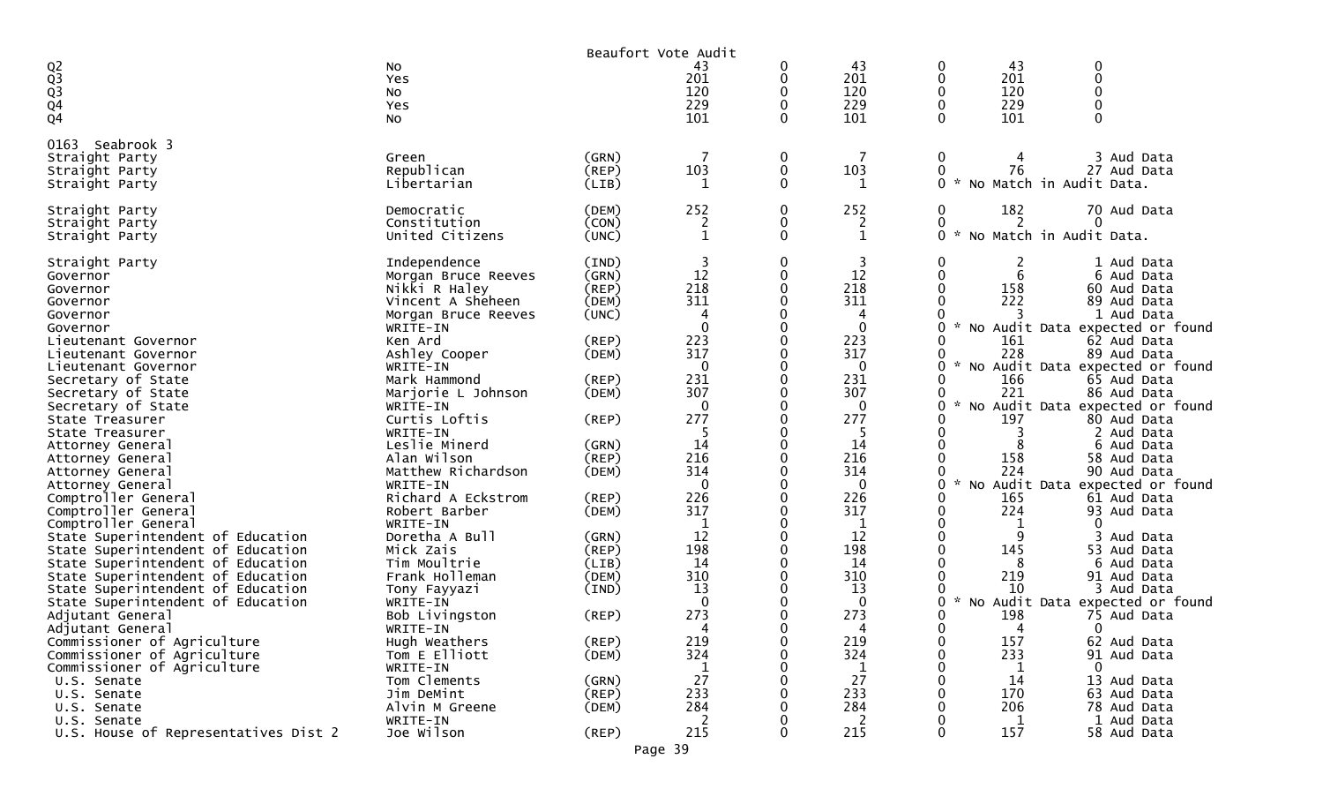| 43<br>Q2<br>Q3<br>Q3<br>Q4<br>Q4<br>43<br>43<br>0<br>No<br>0<br>0<br>201<br>201<br>201<br>0<br>0<br>Yes<br>120<br>120<br>120<br>0<br>0<br>No<br>229<br>229<br>$\Omega$<br>229<br>$\Omega$<br>Yes<br>101<br>101<br>101<br>0<br>$\Omega$<br>0<br>No<br>0163<br>Seabrook 3<br>$\mathbf 0$<br>3 Aud Data<br>(GRN)<br>0<br>Straight Party<br>Green<br>Republican<br>103<br>103<br>76<br>(REF)<br>$\mathbf 0$<br>0<br>27 Aud Data<br>Straight Party<br>$\Omega$<br>0<br>No Match in Audit Data.<br>Libertarian<br>(LIB)<br>1<br>1<br>Straight Party<br>252<br>252<br>182<br>Democratic<br>0<br>70 Aud Data<br>(DEM)<br>0<br>2<br>Constitution<br>(CON)<br>0<br>2<br>0<br>$\Omega$<br>Straight Party<br>2<br>No Match in Audit Data.<br>0<br>$\mathbf 1$<br>0<br>United Citizens<br>(UNC)<br>1<br>$\sim$<br>Straight Party<br>3<br>3<br>Straight Party<br>Independence<br>(IND)<br>0<br>0<br>1 Aud Data<br>2<br>12<br>12<br>6<br>(GRN)<br>0<br>Morgan Bruce Reeves<br>6 Aud Data<br>Governor<br>218<br>218<br>Nikki R Haley<br>158<br>$($ REP $)$<br>60 Aud Data<br>Governor<br>311<br>311<br>222<br>Vincent A Sheheen<br>(DEM)<br>89 Aud Data<br>Governor<br>(UNC)<br>4<br>4<br>1 Aud Data<br>Governor<br>Morgan Bruce Reeves<br>0<br>WRITE-IN<br>No Audit Data expected or found<br>223<br>223<br>(REP)<br>161<br>Ken Ard<br>62 Aud Data<br>317<br>317<br>228<br>Ashley Cooper<br>89 Aud Data<br>(DEM)<br>No Audit Data expected or found<br>WRITE-IN<br>$\Omega$<br>0<br>ი<br>231<br>231<br>(REP)<br>166<br>Secretary of State<br>Mark Hammond<br>0<br>65 Aud Data<br>307<br>307<br>221<br>Marjorie L Johnson<br>86 Aud Data<br>(DEM)<br>$\sim$<br>0<br>No Audit Data expected or found<br>WRITE-IN<br>0<br>0<br>277<br>Curtis Loftis<br>277<br>197<br>(REP)<br>80 Aud Data<br>0<br>WRITE-IN<br>-5<br>-5<br>0<br>3<br>2 Aud Data<br>State Treasurer<br>14<br>14<br>Leslie Minerd<br>(GRN)<br>6 Aud Data<br>Attorney General<br>216<br>216<br>(REP)<br>158<br>Alan Wilson<br>58 Aud Data<br>Attorney General<br>314<br>314<br>224<br>Matthew Richardson<br>90 Aud Data<br>(DEM)<br>Attorney General<br>$\mathbf 0$<br>$\mathbf 0$<br>0<br>No Audit Data expected or found<br>WRITE-IN<br>Attorney General<br>226<br>226<br>Richard A Eckstrom<br>(REP)<br>165<br>Comptroller General<br>0<br>61 Aud Data<br>317<br>317<br>224<br>0<br>93 Aud Data<br>Comptroller General<br>Robert Barber<br>(DEM)<br>Comptroller General<br>WRITE-IN<br>1<br>$\Omega$<br>0<br>12<br>12<br>Doretha A Bull<br>(GRN)<br>0<br>9<br>State Superintendent of Education<br>Aud Data<br>198<br>198<br>145<br>53 Aud Data<br>State Superintendent of Education<br>Mick Zais<br>$($ REP $)$<br>14<br>Tim Moultrie<br>14<br>State Superintendent of Education<br>(LIB)<br>8<br>6 Aud Data<br>310<br>310<br>219<br>State Superintendent of Education<br>Frank Holleman<br>(DEM)<br>91 Aud Data<br>13<br>13<br>State Superintendent of Education<br>10<br>3 Aud Data<br>Tony Fayyazi<br>(IND)<br>$\Omega$<br>Audit Data expected or found<br>$\Omega$<br>O<br>State Superintendent of Education<br>WRITE-IN<br><b>NO</b><br>273<br>273<br>198<br>Bob Livingston<br>$($ REP $)$<br>75 Aud Data<br>Adjutant General<br>WRITE-IN<br>0<br>4<br>Adjutant General<br>4<br>4<br>0<br>(REP)<br>Commissioner of Agriculture<br>Hugh Weathers<br>219<br>219<br>0<br>157<br>62 Aud Data<br>324<br>324<br>233<br>Commissioner of Agriculture<br>Tom E Elliott<br>91 Aud Data<br>(DEM)<br>0<br>Commissioner of Agriculture<br>WRITE-IN<br>$\Omega$<br>1<br>1<br>1<br>27<br>27<br>14<br>Tom Clements<br>(GRN)<br>13 Aud Data<br>U.S. Senate<br>233<br>233<br>170<br>Jim DeMint<br>$($ REP $)$<br>U.S. Senate<br>63 Aud Data<br>Alvin M Greene<br>284<br>284<br>206<br>(DEM)<br>78 Aud Data<br>U.S. Senate<br>WRITE-IN<br>2<br>2<br>$\mathbf{1}$<br>1 Aud Data<br>U.S. Senate |                                      |            |       | Beaufort Vote Audit |     |   |     |             |
|-------------------------------------------------------------------------------------------------------------------------------------------------------------------------------------------------------------------------------------------------------------------------------------------------------------------------------------------------------------------------------------------------------------------------------------------------------------------------------------------------------------------------------------------------------------------------------------------------------------------------------------------------------------------------------------------------------------------------------------------------------------------------------------------------------------------------------------------------------------------------------------------------------------------------------------------------------------------------------------------------------------------------------------------------------------------------------------------------------------------------------------------------------------------------------------------------------------------------------------------------------------------------------------------------------------------------------------------------------------------------------------------------------------------------------------------------------------------------------------------------------------------------------------------------------------------------------------------------------------------------------------------------------------------------------------------------------------------------------------------------------------------------------------------------------------------------------------------------------------------------------------------------------------------------------------------------------------------------------------------------------------------------------------------------------------------------------------------------------------------------------------------------------------------------------------------------------------------------------------------------------------------------------------------------------------------------------------------------------------------------------------------------------------------------------------------------------------------------------------------------------------------------------------------------------------------------------------------------------------------------------------------------------------------------------------------------------------------------------------------------------------------------------------------------------------------------------------------------------------------------------------------------------------------------------------------------------------------------------------------------------------------------------------------------------------------------------------------------------------------------------------------------------------------------------------------------------------------------------------------------------------------------------------------------------------------------------------------------------------------------------------------------------------------------------------------------------------------------------------------------------------------------------------------------------------------------------------------------------------------------------------------------------------------------------------------------------------------------------------------------------------------------------------------------------------------------------|--------------------------------------|------------|-------|---------------------|-----|---|-----|-------------|
|                                                                                                                                                                                                                                                                                                                                                                                                                                                                                                                                                                                                                                                                                                                                                                                                                                                                                                                                                                                                                                                                                                                                                                                                                                                                                                                                                                                                                                                                                                                                                                                                                                                                                                                                                                                                                                                                                                                                                                                                                                                                                                                                                                                                                                                                                                                                                                                                                                                                                                                                                                                                                                                                                                                                                                                                                                                                                                                                                                                                                                                                                                                                                                                                                                                                                                                                                                                                                                                                                                                                                                                                                                                                                                                                                                                                                               |                                      |            |       |                     |     |   |     |             |
|                                                                                                                                                                                                                                                                                                                                                                                                                                                                                                                                                                                                                                                                                                                                                                                                                                                                                                                                                                                                                                                                                                                                                                                                                                                                                                                                                                                                                                                                                                                                                                                                                                                                                                                                                                                                                                                                                                                                                                                                                                                                                                                                                                                                                                                                                                                                                                                                                                                                                                                                                                                                                                                                                                                                                                                                                                                                                                                                                                                                                                                                                                                                                                                                                                                                                                                                                                                                                                                                                                                                                                                                                                                                                                                                                                                                                               |                                      |            |       |                     |     |   |     |             |
|                                                                                                                                                                                                                                                                                                                                                                                                                                                                                                                                                                                                                                                                                                                                                                                                                                                                                                                                                                                                                                                                                                                                                                                                                                                                                                                                                                                                                                                                                                                                                                                                                                                                                                                                                                                                                                                                                                                                                                                                                                                                                                                                                                                                                                                                                                                                                                                                                                                                                                                                                                                                                                                                                                                                                                                                                                                                                                                                                                                                                                                                                                                                                                                                                                                                                                                                                                                                                                                                                                                                                                                                                                                                                                                                                                                                                               |                                      |            |       |                     |     |   |     |             |
|                                                                                                                                                                                                                                                                                                                                                                                                                                                                                                                                                                                                                                                                                                                                                                                                                                                                                                                                                                                                                                                                                                                                                                                                                                                                                                                                                                                                                                                                                                                                                                                                                                                                                                                                                                                                                                                                                                                                                                                                                                                                                                                                                                                                                                                                                                                                                                                                                                                                                                                                                                                                                                                                                                                                                                                                                                                                                                                                                                                                                                                                                                                                                                                                                                                                                                                                                                                                                                                                                                                                                                                                                                                                                                                                                                                                                               |                                      |            |       |                     |     |   |     |             |
|                                                                                                                                                                                                                                                                                                                                                                                                                                                                                                                                                                                                                                                                                                                                                                                                                                                                                                                                                                                                                                                                                                                                                                                                                                                                                                                                                                                                                                                                                                                                                                                                                                                                                                                                                                                                                                                                                                                                                                                                                                                                                                                                                                                                                                                                                                                                                                                                                                                                                                                                                                                                                                                                                                                                                                                                                                                                                                                                                                                                                                                                                                                                                                                                                                                                                                                                                                                                                                                                                                                                                                                                                                                                                                                                                                                                                               |                                      |            |       |                     |     |   |     |             |
|                                                                                                                                                                                                                                                                                                                                                                                                                                                                                                                                                                                                                                                                                                                                                                                                                                                                                                                                                                                                                                                                                                                                                                                                                                                                                                                                                                                                                                                                                                                                                                                                                                                                                                                                                                                                                                                                                                                                                                                                                                                                                                                                                                                                                                                                                                                                                                                                                                                                                                                                                                                                                                                                                                                                                                                                                                                                                                                                                                                                                                                                                                                                                                                                                                                                                                                                                                                                                                                                                                                                                                                                                                                                                                                                                                                                                               |                                      |            |       |                     |     |   |     |             |
|                                                                                                                                                                                                                                                                                                                                                                                                                                                                                                                                                                                                                                                                                                                                                                                                                                                                                                                                                                                                                                                                                                                                                                                                                                                                                                                                                                                                                                                                                                                                                                                                                                                                                                                                                                                                                                                                                                                                                                                                                                                                                                                                                                                                                                                                                                                                                                                                                                                                                                                                                                                                                                                                                                                                                                                                                                                                                                                                                                                                                                                                                                                                                                                                                                                                                                                                                                                                                                                                                                                                                                                                                                                                                                                                                                                                                               |                                      |            |       |                     |     |   |     |             |
|                                                                                                                                                                                                                                                                                                                                                                                                                                                                                                                                                                                                                                                                                                                                                                                                                                                                                                                                                                                                                                                                                                                                                                                                                                                                                                                                                                                                                                                                                                                                                                                                                                                                                                                                                                                                                                                                                                                                                                                                                                                                                                                                                                                                                                                                                                                                                                                                                                                                                                                                                                                                                                                                                                                                                                                                                                                                                                                                                                                                                                                                                                                                                                                                                                                                                                                                                                                                                                                                                                                                                                                                                                                                                                                                                                                                                               |                                      |            |       |                     |     |   |     |             |
|                                                                                                                                                                                                                                                                                                                                                                                                                                                                                                                                                                                                                                                                                                                                                                                                                                                                                                                                                                                                                                                                                                                                                                                                                                                                                                                                                                                                                                                                                                                                                                                                                                                                                                                                                                                                                                                                                                                                                                                                                                                                                                                                                                                                                                                                                                                                                                                                                                                                                                                                                                                                                                                                                                                                                                                                                                                                                                                                                                                                                                                                                                                                                                                                                                                                                                                                                                                                                                                                                                                                                                                                                                                                                                                                                                                                                               |                                      |            |       |                     |     |   |     |             |
|                                                                                                                                                                                                                                                                                                                                                                                                                                                                                                                                                                                                                                                                                                                                                                                                                                                                                                                                                                                                                                                                                                                                                                                                                                                                                                                                                                                                                                                                                                                                                                                                                                                                                                                                                                                                                                                                                                                                                                                                                                                                                                                                                                                                                                                                                                                                                                                                                                                                                                                                                                                                                                                                                                                                                                                                                                                                                                                                                                                                                                                                                                                                                                                                                                                                                                                                                                                                                                                                                                                                                                                                                                                                                                                                                                                                                               |                                      |            |       |                     |     |   |     |             |
|                                                                                                                                                                                                                                                                                                                                                                                                                                                                                                                                                                                                                                                                                                                                                                                                                                                                                                                                                                                                                                                                                                                                                                                                                                                                                                                                                                                                                                                                                                                                                                                                                                                                                                                                                                                                                                                                                                                                                                                                                                                                                                                                                                                                                                                                                                                                                                                                                                                                                                                                                                                                                                                                                                                                                                                                                                                                                                                                                                                                                                                                                                                                                                                                                                                                                                                                                                                                                                                                                                                                                                                                                                                                                                                                                                                                                               | Straight Party                       |            |       |                     |     |   |     |             |
|                                                                                                                                                                                                                                                                                                                                                                                                                                                                                                                                                                                                                                                                                                                                                                                                                                                                                                                                                                                                                                                                                                                                                                                                                                                                                                                                                                                                                                                                                                                                                                                                                                                                                                                                                                                                                                                                                                                                                                                                                                                                                                                                                                                                                                                                                                                                                                                                                                                                                                                                                                                                                                                                                                                                                                                                                                                                                                                                                                                                                                                                                                                                                                                                                                                                                                                                                                                                                                                                                                                                                                                                                                                                                                                                                                                                                               |                                      |            |       |                     |     |   |     |             |
|                                                                                                                                                                                                                                                                                                                                                                                                                                                                                                                                                                                                                                                                                                                                                                                                                                                                                                                                                                                                                                                                                                                                                                                                                                                                                                                                                                                                                                                                                                                                                                                                                                                                                                                                                                                                                                                                                                                                                                                                                                                                                                                                                                                                                                                                                                                                                                                                                                                                                                                                                                                                                                                                                                                                                                                                                                                                                                                                                                                                                                                                                                                                                                                                                                                                                                                                                                                                                                                                                                                                                                                                                                                                                                                                                                                                                               |                                      |            |       |                     |     |   |     |             |
|                                                                                                                                                                                                                                                                                                                                                                                                                                                                                                                                                                                                                                                                                                                                                                                                                                                                                                                                                                                                                                                                                                                                                                                                                                                                                                                                                                                                                                                                                                                                                                                                                                                                                                                                                                                                                                                                                                                                                                                                                                                                                                                                                                                                                                                                                                                                                                                                                                                                                                                                                                                                                                                                                                                                                                                                                                                                                                                                                                                                                                                                                                                                                                                                                                                                                                                                                                                                                                                                                                                                                                                                                                                                                                                                                                                                                               |                                      |            |       |                     |     |   |     |             |
|                                                                                                                                                                                                                                                                                                                                                                                                                                                                                                                                                                                                                                                                                                                                                                                                                                                                                                                                                                                                                                                                                                                                                                                                                                                                                                                                                                                                                                                                                                                                                                                                                                                                                                                                                                                                                                                                                                                                                                                                                                                                                                                                                                                                                                                                                                                                                                                                                                                                                                                                                                                                                                                                                                                                                                                                                                                                                                                                                                                                                                                                                                                                                                                                                                                                                                                                                                                                                                                                                                                                                                                                                                                                                                                                                                                                                               |                                      |            |       |                     |     |   |     |             |
|                                                                                                                                                                                                                                                                                                                                                                                                                                                                                                                                                                                                                                                                                                                                                                                                                                                                                                                                                                                                                                                                                                                                                                                                                                                                                                                                                                                                                                                                                                                                                                                                                                                                                                                                                                                                                                                                                                                                                                                                                                                                                                                                                                                                                                                                                                                                                                                                                                                                                                                                                                                                                                                                                                                                                                                                                                                                                                                                                                                                                                                                                                                                                                                                                                                                                                                                                                                                                                                                                                                                                                                                                                                                                                                                                                                                                               |                                      |            |       |                     |     |   |     |             |
|                                                                                                                                                                                                                                                                                                                                                                                                                                                                                                                                                                                                                                                                                                                                                                                                                                                                                                                                                                                                                                                                                                                                                                                                                                                                                                                                                                                                                                                                                                                                                                                                                                                                                                                                                                                                                                                                                                                                                                                                                                                                                                                                                                                                                                                                                                                                                                                                                                                                                                                                                                                                                                                                                                                                                                                                                                                                                                                                                                                                                                                                                                                                                                                                                                                                                                                                                                                                                                                                                                                                                                                                                                                                                                                                                                                                                               |                                      |            |       |                     |     |   |     |             |
|                                                                                                                                                                                                                                                                                                                                                                                                                                                                                                                                                                                                                                                                                                                                                                                                                                                                                                                                                                                                                                                                                                                                                                                                                                                                                                                                                                                                                                                                                                                                                                                                                                                                                                                                                                                                                                                                                                                                                                                                                                                                                                                                                                                                                                                                                                                                                                                                                                                                                                                                                                                                                                                                                                                                                                                                                                                                                                                                                                                                                                                                                                                                                                                                                                                                                                                                                                                                                                                                                                                                                                                                                                                                                                                                                                                                                               |                                      |            |       |                     |     |   |     |             |
|                                                                                                                                                                                                                                                                                                                                                                                                                                                                                                                                                                                                                                                                                                                                                                                                                                                                                                                                                                                                                                                                                                                                                                                                                                                                                                                                                                                                                                                                                                                                                                                                                                                                                                                                                                                                                                                                                                                                                                                                                                                                                                                                                                                                                                                                                                                                                                                                                                                                                                                                                                                                                                                                                                                                                                                                                                                                                                                                                                                                                                                                                                                                                                                                                                                                                                                                                                                                                                                                                                                                                                                                                                                                                                                                                                                                                               | Governor                             |            |       |                     |     |   |     |             |
|                                                                                                                                                                                                                                                                                                                                                                                                                                                                                                                                                                                                                                                                                                                                                                                                                                                                                                                                                                                                                                                                                                                                                                                                                                                                                                                                                                                                                                                                                                                                                                                                                                                                                                                                                                                                                                                                                                                                                                                                                                                                                                                                                                                                                                                                                                                                                                                                                                                                                                                                                                                                                                                                                                                                                                                                                                                                                                                                                                                                                                                                                                                                                                                                                                                                                                                                                                                                                                                                                                                                                                                                                                                                                                                                                                                                                               | Lieutenant Governor                  |            |       |                     |     |   |     |             |
|                                                                                                                                                                                                                                                                                                                                                                                                                                                                                                                                                                                                                                                                                                                                                                                                                                                                                                                                                                                                                                                                                                                                                                                                                                                                                                                                                                                                                                                                                                                                                                                                                                                                                                                                                                                                                                                                                                                                                                                                                                                                                                                                                                                                                                                                                                                                                                                                                                                                                                                                                                                                                                                                                                                                                                                                                                                                                                                                                                                                                                                                                                                                                                                                                                                                                                                                                                                                                                                                                                                                                                                                                                                                                                                                                                                                                               | Lieutenant Governor                  |            |       |                     |     |   |     |             |
|                                                                                                                                                                                                                                                                                                                                                                                                                                                                                                                                                                                                                                                                                                                                                                                                                                                                                                                                                                                                                                                                                                                                                                                                                                                                                                                                                                                                                                                                                                                                                                                                                                                                                                                                                                                                                                                                                                                                                                                                                                                                                                                                                                                                                                                                                                                                                                                                                                                                                                                                                                                                                                                                                                                                                                                                                                                                                                                                                                                                                                                                                                                                                                                                                                                                                                                                                                                                                                                                                                                                                                                                                                                                                                                                                                                                                               | Lieutenant Governor                  |            |       |                     |     |   |     |             |
|                                                                                                                                                                                                                                                                                                                                                                                                                                                                                                                                                                                                                                                                                                                                                                                                                                                                                                                                                                                                                                                                                                                                                                                                                                                                                                                                                                                                                                                                                                                                                                                                                                                                                                                                                                                                                                                                                                                                                                                                                                                                                                                                                                                                                                                                                                                                                                                                                                                                                                                                                                                                                                                                                                                                                                                                                                                                                                                                                                                                                                                                                                                                                                                                                                                                                                                                                                                                                                                                                                                                                                                                                                                                                                                                                                                                                               |                                      |            |       |                     |     |   |     |             |
|                                                                                                                                                                                                                                                                                                                                                                                                                                                                                                                                                                                                                                                                                                                                                                                                                                                                                                                                                                                                                                                                                                                                                                                                                                                                                                                                                                                                                                                                                                                                                                                                                                                                                                                                                                                                                                                                                                                                                                                                                                                                                                                                                                                                                                                                                                                                                                                                                                                                                                                                                                                                                                                                                                                                                                                                                                                                                                                                                                                                                                                                                                                                                                                                                                                                                                                                                                                                                                                                                                                                                                                                                                                                                                                                                                                                                               | Secretary of State                   |            |       |                     |     |   |     |             |
|                                                                                                                                                                                                                                                                                                                                                                                                                                                                                                                                                                                                                                                                                                                                                                                                                                                                                                                                                                                                                                                                                                                                                                                                                                                                                                                                                                                                                                                                                                                                                                                                                                                                                                                                                                                                                                                                                                                                                                                                                                                                                                                                                                                                                                                                                                                                                                                                                                                                                                                                                                                                                                                                                                                                                                                                                                                                                                                                                                                                                                                                                                                                                                                                                                                                                                                                                                                                                                                                                                                                                                                                                                                                                                                                                                                                                               | Secretary of State                   |            |       |                     |     |   |     |             |
|                                                                                                                                                                                                                                                                                                                                                                                                                                                                                                                                                                                                                                                                                                                                                                                                                                                                                                                                                                                                                                                                                                                                                                                                                                                                                                                                                                                                                                                                                                                                                                                                                                                                                                                                                                                                                                                                                                                                                                                                                                                                                                                                                                                                                                                                                                                                                                                                                                                                                                                                                                                                                                                                                                                                                                                                                                                                                                                                                                                                                                                                                                                                                                                                                                                                                                                                                                                                                                                                                                                                                                                                                                                                                                                                                                                                                               | State Treasurer                      |            |       |                     |     |   |     |             |
|                                                                                                                                                                                                                                                                                                                                                                                                                                                                                                                                                                                                                                                                                                                                                                                                                                                                                                                                                                                                                                                                                                                                                                                                                                                                                                                                                                                                                                                                                                                                                                                                                                                                                                                                                                                                                                                                                                                                                                                                                                                                                                                                                                                                                                                                                                                                                                                                                                                                                                                                                                                                                                                                                                                                                                                                                                                                                                                                                                                                                                                                                                                                                                                                                                                                                                                                                                                                                                                                                                                                                                                                                                                                                                                                                                                                                               |                                      |            |       |                     |     |   |     |             |
|                                                                                                                                                                                                                                                                                                                                                                                                                                                                                                                                                                                                                                                                                                                                                                                                                                                                                                                                                                                                                                                                                                                                                                                                                                                                                                                                                                                                                                                                                                                                                                                                                                                                                                                                                                                                                                                                                                                                                                                                                                                                                                                                                                                                                                                                                                                                                                                                                                                                                                                                                                                                                                                                                                                                                                                                                                                                                                                                                                                                                                                                                                                                                                                                                                                                                                                                                                                                                                                                                                                                                                                                                                                                                                                                                                                                                               |                                      |            |       |                     |     |   |     |             |
|                                                                                                                                                                                                                                                                                                                                                                                                                                                                                                                                                                                                                                                                                                                                                                                                                                                                                                                                                                                                                                                                                                                                                                                                                                                                                                                                                                                                                                                                                                                                                                                                                                                                                                                                                                                                                                                                                                                                                                                                                                                                                                                                                                                                                                                                                                                                                                                                                                                                                                                                                                                                                                                                                                                                                                                                                                                                                                                                                                                                                                                                                                                                                                                                                                                                                                                                                                                                                                                                                                                                                                                                                                                                                                                                                                                                                               |                                      |            |       |                     |     |   |     |             |
|                                                                                                                                                                                                                                                                                                                                                                                                                                                                                                                                                                                                                                                                                                                                                                                                                                                                                                                                                                                                                                                                                                                                                                                                                                                                                                                                                                                                                                                                                                                                                                                                                                                                                                                                                                                                                                                                                                                                                                                                                                                                                                                                                                                                                                                                                                                                                                                                                                                                                                                                                                                                                                                                                                                                                                                                                                                                                                                                                                                                                                                                                                                                                                                                                                                                                                                                                                                                                                                                                                                                                                                                                                                                                                                                                                                                                               |                                      |            |       |                     |     |   |     |             |
|                                                                                                                                                                                                                                                                                                                                                                                                                                                                                                                                                                                                                                                                                                                                                                                                                                                                                                                                                                                                                                                                                                                                                                                                                                                                                                                                                                                                                                                                                                                                                                                                                                                                                                                                                                                                                                                                                                                                                                                                                                                                                                                                                                                                                                                                                                                                                                                                                                                                                                                                                                                                                                                                                                                                                                                                                                                                                                                                                                                                                                                                                                                                                                                                                                                                                                                                                                                                                                                                                                                                                                                                                                                                                                                                                                                                                               |                                      |            |       |                     |     |   |     |             |
|                                                                                                                                                                                                                                                                                                                                                                                                                                                                                                                                                                                                                                                                                                                                                                                                                                                                                                                                                                                                                                                                                                                                                                                                                                                                                                                                                                                                                                                                                                                                                                                                                                                                                                                                                                                                                                                                                                                                                                                                                                                                                                                                                                                                                                                                                                                                                                                                                                                                                                                                                                                                                                                                                                                                                                                                                                                                                                                                                                                                                                                                                                                                                                                                                                                                                                                                                                                                                                                                                                                                                                                                                                                                                                                                                                                                                               |                                      |            |       |                     |     |   |     |             |
|                                                                                                                                                                                                                                                                                                                                                                                                                                                                                                                                                                                                                                                                                                                                                                                                                                                                                                                                                                                                                                                                                                                                                                                                                                                                                                                                                                                                                                                                                                                                                                                                                                                                                                                                                                                                                                                                                                                                                                                                                                                                                                                                                                                                                                                                                                                                                                                                                                                                                                                                                                                                                                                                                                                                                                                                                                                                                                                                                                                                                                                                                                                                                                                                                                                                                                                                                                                                                                                                                                                                                                                                                                                                                                                                                                                                                               |                                      |            |       |                     |     |   |     |             |
|                                                                                                                                                                                                                                                                                                                                                                                                                                                                                                                                                                                                                                                                                                                                                                                                                                                                                                                                                                                                                                                                                                                                                                                                                                                                                                                                                                                                                                                                                                                                                                                                                                                                                                                                                                                                                                                                                                                                                                                                                                                                                                                                                                                                                                                                                                                                                                                                                                                                                                                                                                                                                                                                                                                                                                                                                                                                                                                                                                                                                                                                                                                                                                                                                                                                                                                                                                                                                                                                                                                                                                                                                                                                                                                                                                                                                               |                                      |            |       |                     |     |   |     |             |
|                                                                                                                                                                                                                                                                                                                                                                                                                                                                                                                                                                                                                                                                                                                                                                                                                                                                                                                                                                                                                                                                                                                                                                                                                                                                                                                                                                                                                                                                                                                                                                                                                                                                                                                                                                                                                                                                                                                                                                                                                                                                                                                                                                                                                                                                                                                                                                                                                                                                                                                                                                                                                                                                                                                                                                                                                                                                                                                                                                                                                                                                                                                                                                                                                                                                                                                                                                                                                                                                                                                                                                                                                                                                                                                                                                                                                               |                                      |            |       |                     |     |   |     |             |
|                                                                                                                                                                                                                                                                                                                                                                                                                                                                                                                                                                                                                                                                                                                                                                                                                                                                                                                                                                                                                                                                                                                                                                                                                                                                                                                                                                                                                                                                                                                                                                                                                                                                                                                                                                                                                                                                                                                                                                                                                                                                                                                                                                                                                                                                                                                                                                                                                                                                                                                                                                                                                                                                                                                                                                                                                                                                                                                                                                                                                                                                                                                                                                                                                                                                                                                                                                                                                                                                                                                                                                                                                                                                                                                                                                                                                               |                                      |            |       |                     |     |   |     |             |
|                                                                                                                                                                                                                                                                                                                                                                                                                                                                                                                                                                                                                                                                                                                                                                                                                                                                                                                                                                                                                                                                                                                                                                                                                                                                                                                                                                                                                                                                                                                                                                                                                                                                                                                                                                                                                                                                                                                                                                                                                                                                                                                                                                                                                                                                                                                                                                                                                                                                                                                                                                                                                                                                                                                                                                                                                                                                                                                                                                                                                                                                                                                                                                                                                                                                                                                                                                                                                                                                                                                                                                                                                                                                                                                                                                                                                               |                                      |            |       |                     |     |   |     |             |
|                                                                                                                                                                                                                                                                                                                                                                                                                                                                                                                                                                                                                                                                                                                                                                                                                                                                                                                                                                                                                                                                                                                                                                                                                                                                                                                                                                                                                                                                                                                                                                                                                                                                                                                                                                                                                                                                                                                                                                                                                                                                                                                                                                                                                                                                                                                                                                                                                                                                                                                                                                                                                                                                                                                                                                                                                                                                                                                                                                                                                                                                                                                                                                                                                                                                                                                                                                                                                                                                                                                                                                                                                                                                                                                                                                                                                               |                                      |            |       |                     |     |   |     |             |
|                                                                                                                                                                                                                                                                                                                                                                                                                                                                                                                                                                                                                                                                                                                                                                                                                                                                                                                                                                                                                                                                                                                                                                                                                                                                                                                                                                                                                                                                                                                                                                                                                                                                                                                                                                                                                                                                                                                                                                                                                                                                                                                                                                                                                                                                                                                                                                                                                                                                                                                                                                                                                                                                                                                                                                                                                                                                                                                                                                                                                                                                                                                                                                                                                                                                                                                                                                                                                                                                                                                                                                                                                                                                                                                                                                                                                               |                                      |            |       |                     |     |   |     |             |
|                                                                                                                                                                                                                                                                                                                                                                                                                                                                                                                                                                                                                                                                                                                                                                                                                                                                                                                                                                                                                                                                                                                                                                                                                                                                                                                                                                                                                                                                                                                                                                                                                                                                                                                                                                                                                                                                                                                                                                                                                                                                                                                                                                                                                                                                                                                                                                                                                                                                                                                                                                                                                                                                                                                                                                                                                                                                                                                                                                                                                                                                                                                                                                                                                                                                                                                                                                                                                                                                                                                                                                                                                                                                                                                                                                                                                               |                                      |            |       |                     |     |   |     |             |
|                                                                                                                                                                                                                                                                                                                                                                                                                                                                                                                                                                                                                                                                                                                                                                                                                                                                                                                                                                                                                                                                                                                                                                                                                                                                                                                                                                                                                                                                                                                                                                                                                                                                                                                                                                                                                                                                                                                                                                                                                                                                                                                                                                                                                                                                                                                                                                                                                                                                                                                                                                                                                                                                                                                                                                                                                                                                                                                                                                                                                                                                                                                                                                                                                                                                                                                                                                                                                                                                                                                                                                                                                                                                                                                                                                                                                               |                                      |            |       |                     |     |   |     |             |
|                                                                                                                                                                                                                                                                                                                                                                                                                                                                                                                                                                                                                                                                                                                                                                                                                                                                                                                                                                                                                                                                                                                                                                                                                                                                                                                                                                                                                                                                                                                                                                                                                                                                                                                                                                                                                                                                                                                                                                                                                                                                                                                                                                                                                                                                                                                                                                                                                                                                                                                                                                                                                                                                                                                                                                                                                                                                                                                                                                                                                                                                                                                                                                                                                                                                                                                                                                                                                                                                                                                                                                                                                                                                                                                                                                                                                               |                                      |            |       |                     |     |   |     |             |
|                                                                                                                                                                                                                                                                                                                                                                                                                                                                                                                                                                                                                                                                                                                                                                                                                                                                                                                                                                                                                                                                                                                                                                                                                                                                                                                                                                                                                                                                                                                                                                                                                                                                                                                                                                                                                                                                                                                                                                                                                                                                                                                                                                                                                                                                                                                                                                                                                                                                                                                                                                                                                                                                                                                                                                                                                                                                                                                                                                                                                                                                                                                                                                                                                                                                                                                                                                                                                                                                                                                                                                                                                                                                                                                                                                                                                               |                                      |            |       |                     |     |   |     |             |
|                                                                                                                                                                                                                                                                                                                                                                                                                                                                                                                                                                                                                                                                                                                                                                                                                                                                                                                                                                                                                                                                                                                                                                                                                                                                                                                                                                                                                                                                                                                                                                                                                                                                                                                                                                                                                                                                                                                                                                                                                                                                                                                                                                                                                                                                                                                                                                                                                                                                                                                                                                                                                                                                                                                                                                                                                                                                                                                                                                                                                                                                                                                                                                                                                                                                                                                                                                                                                                                                                                                                                                                                                                                                                                                                                                                                                               |                                      |            |       |                     |     |   |     |             |
|                                                                                                                                                                                                                                                                                                                                                                                                                                                                                                                                                                                                                                                                                                                                                                                                                                                                                                                                                                                                                                                                                                                                                                                                                                                                                                                                                                                                                                                                                                                                                                                                                                                                                                                                                                                                                                                                                                                                                                                                                                                                                                                                                                                                                                                                                                                                                                                                                                                                                                                                                                                                                                                                                                                                                                                                                                                                                                                                                                                                                                                                                                                                                                                                                                                                                                                                                                                                                                                                                                                                                                                                                                                                                                                                                                                                                               |                                      |            |       |                     |     |   |     |             |
|                                                                                                                                                                                                                                                                                                                                                                                                                                                                                                                                                                                                                                                                                                                                                                                                                                                                                                                                                                                                                                                                                                                                                                                                                                                                                                                                                                                                                                                                                                                                                                                                                                                                                                                                                                                                                                                                                                                                                                                                                                                                                                                                                                                                                                                                                                                                                                                                                                                                                                                                                                                                                                                                                                                                                                                                                                                                                                                                                                                                                                                                                                                                                                                                                                                                                                                                                                                                                                                                                                                                                                                                                                                                                                                                                                                                                               |                                      |            |       |                     |     |   |     |             |
|                                                                                                                                                                                                                                                                                                                                                                                                                                                                                                                                                                                                                                                                                                                                                                                                                                                                                                                                                                                                                                                                                                                                                                                                                                                                                                                                                                                                                                                                                                                                                                                                                                                                                                                                                                                                                                                                                                                                                                                                                                                                                                                                                                                                                                                                                                                                                                                                                                                                                                                                                                                                                                                                                                                                                                                                                                                                                                                                                                                                                                                                                                                                                                                                                                                                                                                                                                                                                                                                                                                                                                                                                                                                                                                                                                                                                               |                                      |            |       |                     |     |   |     |             |
|                                                                                                                                                                                                                                                                                                                                                                                                                                                                                                                                                                                                                                                                                                                                                                                                                                                                                                                                                                                                                                                                                                                                                                                                                                                                                                                                                                                                                                                                                                                                                                                                                                                                                                                                                                                                                                                                                                                                                                                                                                                                                                                                                                                                                                                                                                                                                                                                                                                                                                                                                                                                                                                                                                                                                                                                                                                                                                                                                                                                                                                                                                                                                                                                                                                                                                                                                                                                                                                                                                                                                                                                                                                                                                                                                                                                                               |                                      |            |       |                     |     |   |     |             |
|                                                                                                                                                                                                                                                                                                                                                                                                                                                                                                                                                                                                                                                                                                                                                                                                                                                                                                                                                                                                                                                                                                                                                                                                                                                                                                                                                                                                                                                                                                                                                                                                                                                                                                                                                                                                                                                                                                                                                                                                                                                                                                                                                                                                                                                                                                                                                                                                                                                                                                                                                                                                                                                                                                                                                                                                                                                                                                                                                                                                                                                                                                                                                                                                                                                                                                                                                                                                                                                                                                                                                                                                                                                                                                                                                                                                                               | U.S. House of Representatives Dist 2 | Joe Wilson | (REP) | 215                 | 215 | 0 | 157 | 58 Aud Data |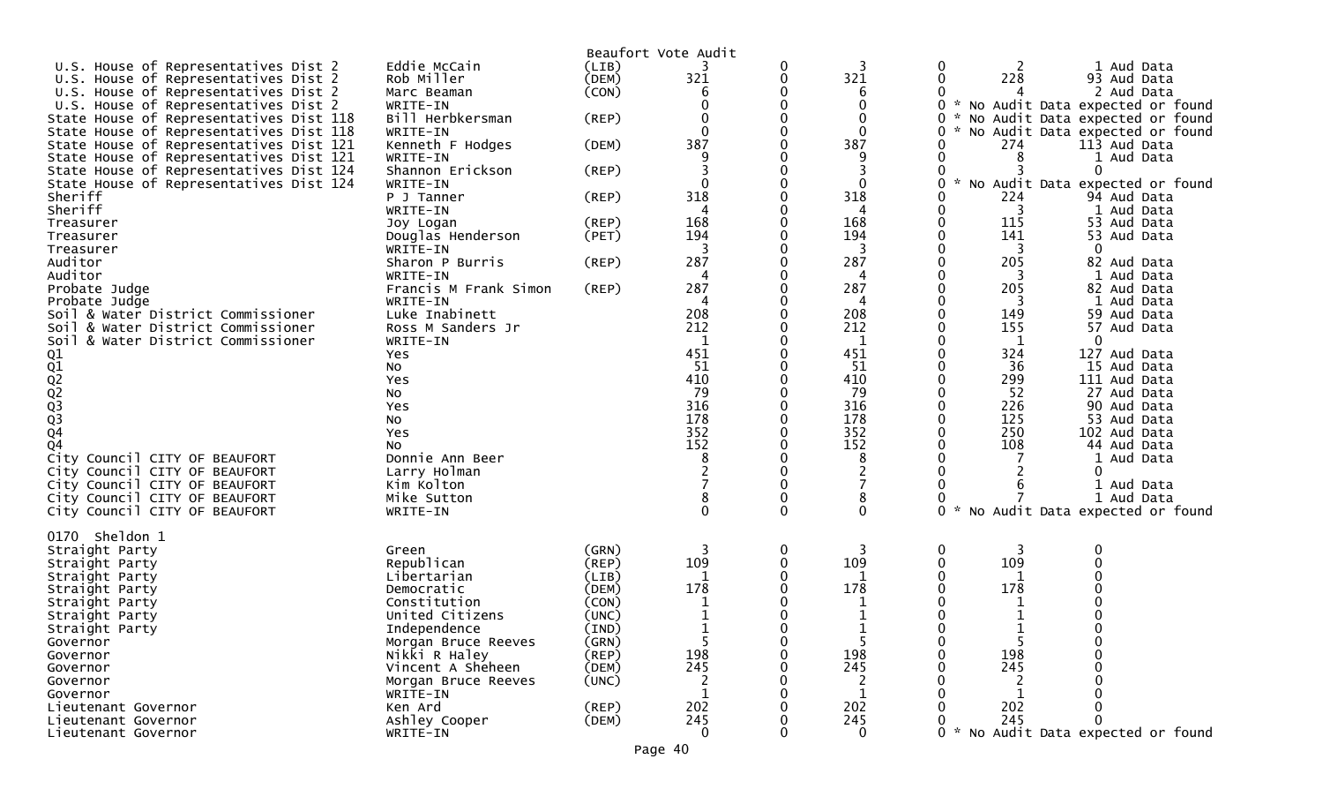|                                         |                                |       | Beaufort Vote Audit |   |                     |                                             |
|-----------------------------------------|--------------------------------|-------|---------------------|---|---------------------|---------------------------------------------|
| U.S. House of Representatives Dist 2    | Eddie McCain                   | (LIB) |                     | 0 | 3                   | 0<br>1 Aud Data                             |
| U.S. House of Representatives Dist 2    | Rob Miller                     | (DEM) | 321                 | 0 | 321                 | 228<br>93 Aud Data                          |
| U.S. House of Representatives Dist 2    | Marc Beaman                    | (CON) | 6                   |   | 6                   | 2 Aud Data                                  |
| U.S. House of Representatives Dist 2    | WRITE-IN                       |       |                     |   | $\Omega$            | No Audit Data expected or found             |
| State House of Representatives Dist 118 | Bill Herbkersman               | (REP) |                     |   | 0                   | No Audit Data expected or found             |
| State House of Representatives Dist 118 | WRITE-IN                       |       | $\Omega$            |   | $\Omega$            | No Audit Data expected or found             |
| State House of Representatives Dist 121 | Kenneth F Hodges               | (DEM) | 387                 |   | 387                 | 274<br>113 Aud Data                         |
| State House of Representatives Dist 121 | WRITE-IN                       |       |                     |   |                     | 8<br>1 Aud Data                             |
| State House of Representatives Dist 124 | Shannon Erickson               | (REP) |                     |   |                     | 0                                           |
| State House of Representatives Dist 124 | WRITE-IN                       |       | $\Omega$            |   | $\Omega$            | No Audit Data expected or found             |
| Sheriff                                 | P J Tanner                     | (REP) | 318                 |   | 318                 | 224<br>94 Aud Data                          |
| Sheriff                                 | WRITE-IN                       |       |                     |   |                     | 1 Aud Data<br>3                             |
| Treasurer                               |                                | (REP) | 168                 | 0 | 168                 | 115<br>53 Aud Data                          |
|                                         | Joy Logan<br>Douglas Henderson |       | 194                 |   | 194                 | 141<br>53 Aud Data                          |
| Treasurer<br>Treasurer                  | WRITE-IN                       | (PET) | 3                   |   | 3                   | 3<br>0                                      |
| Auditor                                 | Sharon P Burris                | (REP) | 287                 |   | 287                 | 205<br>82 Aud Data                          |
| Auditor                                 | WRITE-IN                       |       | 4                   |   | 4                   | 1 Aud Data<br>3                             |
|                                         |                                |       | 287                 | 0 | 287                 | 205                                         |
| Probate Judge                           | Francis M Frank Simon          | (REP) |                     |   |                     | 82 Aud Data                                 |
| Probate Judge                           | WRITE-IN<br>Luke Inabinett     |       | 4<br>208            |   | 4<br>208            | 3<br>1 Aud Data<br>149                      |
| Soil & Water District Commissioner      |                                |       | 212                 |   |                     | 59 Aud Data<br>57 Aud Data                  |
| Soil & Water District Commissioner      | Ross M Sanders Jr              |       | 1                   |   | 212                 | 155                                         |
| Soil & Water District Commissioner      | WRITE-IN                       |       | 451                 |   | 1<br>451            | 1<br>0<br>324<br>127 Aud Data               |
|                                         | Yes                            |       | 51                  | O | 51                  | 36<br>15 Aud Data                           |
|                                         | NO.                            |       | 410                 | 0 | 410                 | 299<br>111 Aud Data                         |
| 01<br>02<br>02<br>02<br>03<br>03<br>04  | Yes                            |       | 79                  |   | 79                  |                                             |
|                                         | No                             |       | 316                 | 0 | 316                 | 27 Aud Data<br>52                           |
|                                         | Yes                            |       | 178                 |   | 178                 | 226<br>90 Aud Data                          |
|                                         | No                             |       | 352                 |   | 352                 | 125<br>53 Aud Data                          |
|                                         | Yes                            |       |                     |   |                     | 250<br>102 Aud Data                         |
| Q4                                      | NO.                            |       | 152                 |   | 152                 | 108<br>44 Aud Data                          |
| City Council CITY OF BEAUFORT           | Donnie Ann Beer                |       | 8                   |   | 8                   | 1 Aud Data<br>0                             |
| City Council CITY OF BEAUFORT           | Larry Holman                   |       |                     | 0 |                     |                                             |
| City Council CITY OF BEAUFORT           | Kim Kolton                     |       |                     |   |                     | 1 Aud Data                                  |
| City Council CITY OF BEAUFORT           | Mike Sutton                    |       | 8                   | 0 | 8                   | 1 Aud Data                                  |
| City Council CITY OF BEAUFORT           | WRITE-IN                       |       | $\Omega$            | 0 | 0                   | $\Omega$<br>No Audit Data expected or found |
| 0170 Sheldon 1                          |                                |       |                     |   |                     |                                             |
|                                         |                                | (GRN) | 3                   | 0 | 3                   | 3<br>0                                      |
| Straight Party                          | Green<br>Republican            |       | 109                 | 0 | 109                 | 109                                         |
| Straight Party                          |                                | (REP) | 1                   |   |                     |                                             |
| Straight Party                          | Libertarian                    | (LIB) | 178                 |   | 178                 | 1<br>178                                    |
| Straight Party                          | Democratic                     | (DEM) |                     |   |                     |                                             |
| Straight Party                          | Constitution                   | (CON) |                     |   |                     |                                             |
| Straight Party                          | United Citizens                | (UNC) |                     | ∩ |                     |                                             |
| Straight Party                          | Independence                   | (IND) | ᅩ<br>5              |   |                     | 5                                           |
| Governor                                | Morgan Bruce Reeves            | (GRN) |                     |   |                     |                                             |
| Governor                                | Nikki R Haley                  | (REP) | 198                 |   | 198                 | 198<br>245                                  |
| Governor                                | Vincent A Sheheen              | (DEM) | 245                 |   | 245                 |                                             |
| Governor                                | Morgan Bruce Reeves            | (UNC) | 2<br>$\mathbf{1}$   |   |                     |                                             |
| Governor                                | WRITE-IN                       |       |                     |   |                     |                                             |
| Lieutenant Governor                     | Ken Ard                        | (REP) | 202                 |   | 202                 | 202<br>245                                  |
| Lieutenant Governor                     | Ashley Cooper                  | (DEM) | 245                 |   | 245<br>$\mathbf{0}$ |                                             |
| Lieutenant Governor                     | WRITE-IN                       |       | $\mathbf{0}$        |   |                     | * No Audit Data expected or found           |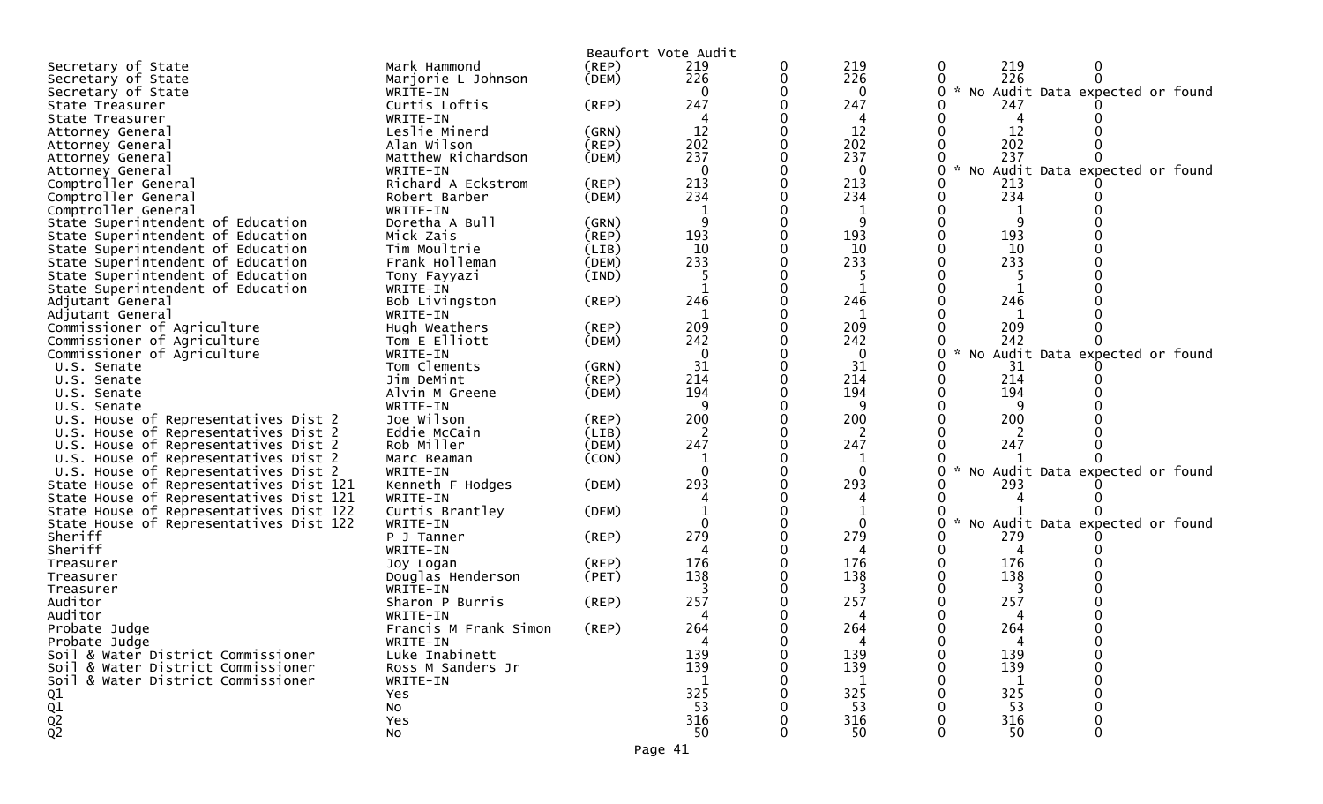|                                                     |                            |             | Beaufort Vote Audit |   |          |                                           |
|-----------------------------------------------------|----------------------------|-------------|---------------------|---|----------|-------------------------------------------|
| Secretary of State                                  | Mark Hammond               | $($ REP $)$ | 219                 | 0 | 219      | 219<br>0                                  |
| Secretary of State                                  | Marjorie L Johnson         | (DEM)       | 226                 | 0 | 226      | 226                                       |
| Secretary of State                                  | WRITE-IN                   |             | $\Omega$            |   | 0        | * No Audit Data expected or found         |
| State Treasurer                                     | Curtis Loftis              | (REP)       | 247                 |   | 247      | 247                                       |
| State Treasurer                                     | WRITE-IN                   |             | 4                   |   | 4        | 4                                         |
| Attorney General                                    | Leslie Minerd              | (GRN)       | 12                  |   | 12       | 12                                        |
| Attorney General                                    | Alan Wilson                | (REP)       | 202                 |   | 202      | 202                                       |
| Attorney General                                    | Matthew Richardson         | (DEM)       | 237                 |   | 237      | 237                                       |
| Attorney General                                    | WRITE-IN                   |             | $\mathbf 0$         |   | 0        | $\sim$<br>No Audit Data expected or found |
| Comptroller General                                 | Richard A Eckstrom         | (REP)       | 213                 |   | 213      | 213                                       |
| Comptroller General                                 | Robert Barber              | (DEM)       | 234                 |   | 234      | 234                                       |
| Comptroller General                                 | WRITE-IN                   |             |                     |   |          |                                           |
| State Superintendent of Education                   | Doretha A Bull             | (GRN)       | 9                   |   | 9        |                                           |
| State Superintendent of Education                   | Mick Zais                  | $($ REP $)$ | 193                 |   | 193      | 193                                       |
| State Superintendent of Education                   | Tim Moultrie               | (LIB)       | 10                  |   | 10       | 10                                        |
| State Superintendent of Education                   | Frank Holleman             | (DEM)       | 233                 |   | 233      | 233                                       |
| State Superintendent of Education                   | Tony Fayyazi               | (IND)       | 5                   |   | 5        |                                           |
| State Superintendent of Education                   | WRITE-IN                   |             |                     |   |          |                                           |
| Adjutant General                                    | Bob Livingston             | (REP)       | 246                 |   | 246      | 246                                       |
| Adjutant General                                    | WRITE-IN                   |             | 1                   |   | 1        | 1                                         |
| Commissioner of Agriculture                         | Hugh Weathers              | (REP)       | 209                 |   | 209      | 209                                       |
| Commissioner of Agriculture                         | Tom E Elliott              | (DEM)       | 242                 |   | 242      | 242                                       |
| Commissioner of Agriculture                         | WRITE-IN                   |             | $\Omega$            |   | 0        | * No Audit Data expected or found         |
| U.S. Senate                                         | Tom Clements               | (GRN)       | 31                  |   | 31       | -31                                       |
| U.S. Senate                                         | Jim DeMint                 | (REP)       | 214                 |   | 214      | 214                                       |
| U.S. Senate                                         | Alvin M Greene             | (DEM)       | 194                 |   | 194      | 194                                       |
| U.S. Senate                                         | WRITE-IN                   |             | 9                   |   | 9        |                                           |
| U.S. House of Representatives Dist 2                | Joe Wilson                 | (REP)       | 200                 |   | 200      | 200                                       |
| U.S. House of Representatives Dist 2                | Eddie McCain               | (LIB)       | 2                   |   | 2        |                                           |
| U.S. House of Representatives Dist 2                | Rob Miller                 | (DEM)       | 247                 |   | 247      | 247                                       |
| U.S. House of Representatives Dist 2                | Marc Beaman                | (CON)       | 1                   |   |          |                                           |
| U.S. House of Representatives Dist 2                | WRITE-IN                   |             | $\Omega$            |   | $\Omega$ | $\sim$<br>No Audit Data expected or found |
| State House of Representatives Dist 121             | Kenneth F Hodges           | (DEM)       | 293                 |   | 293      | 293                                       |
| State House of Representatives Dist 121             | WRITE-IN                   |             |                     |   |          |                                           |
| State House of Representatives Dist 122             | Curtis Brantley            | (DEM)       |                     |   |          |                                           |
| State House of Representatives Dist 122             | WRITE-IN                   |             | 0                   |   |          | $\sim$<br>No Audit Data expected or found |
| Sheriff                                             | P J Tanner                 | (REP)       | 279                 |   | 279      | 279                                       |
| Sheriff                                             | WRITE-IN                   |             |                     |   | 4        | 4                                         |
| Treasurer                                           | Joy Logan                  | $($ REP $)$ | 176                 |   | 176      | 176                                       |
| Treasurer                                           | Douglas Henderson          | (PET)       | 138                 |   | 138      | 138                                       |
| Treasurer                                           | WRITE-IN                   |             |                     |   | 3        |                                           |
| Auditor                                             | Sharon P Burris            | (REP)       | 257                 |   | 257      | 257                                       |
| Auditor                                             | WRITE-IN                   |             | 4                   |   | 4        | 4                                         |
| Probate Judge                                       | Francis M Frank Simon      | (REP)       | 264                 |   | 264      | 264<br>4                                  |
| Probate Judge<br>Soil & Water District Commissioner | WRITE-IN<br>Luke Inabinett |             | 4<br>139            | 0 | 139      | 139                                       |
| Soil & Water District Commissioner                  | Ross M Sanders Jr          |             | 139                 |   | 139      | 139                                       |
|                                                     |                            |             | 1                   |   |          |                                           |
| Soil & Water District Commissioner                  | WRITE-IN                   |             | 325                 |   | 325      | 1<br>325                                  |
| Q1                                                  | Yes<br>No                  |             | 53                  |   | 53       | 53                                        |
| $\frac{Q1}{Q2}$                                     | Yes                        |             | 316                 |   | 316      | 316                                       |
|                                                     | No                         |             | 50                  |   | 50       | 50                                        |
|                                                     |                            |             |                     |   |          |                                           |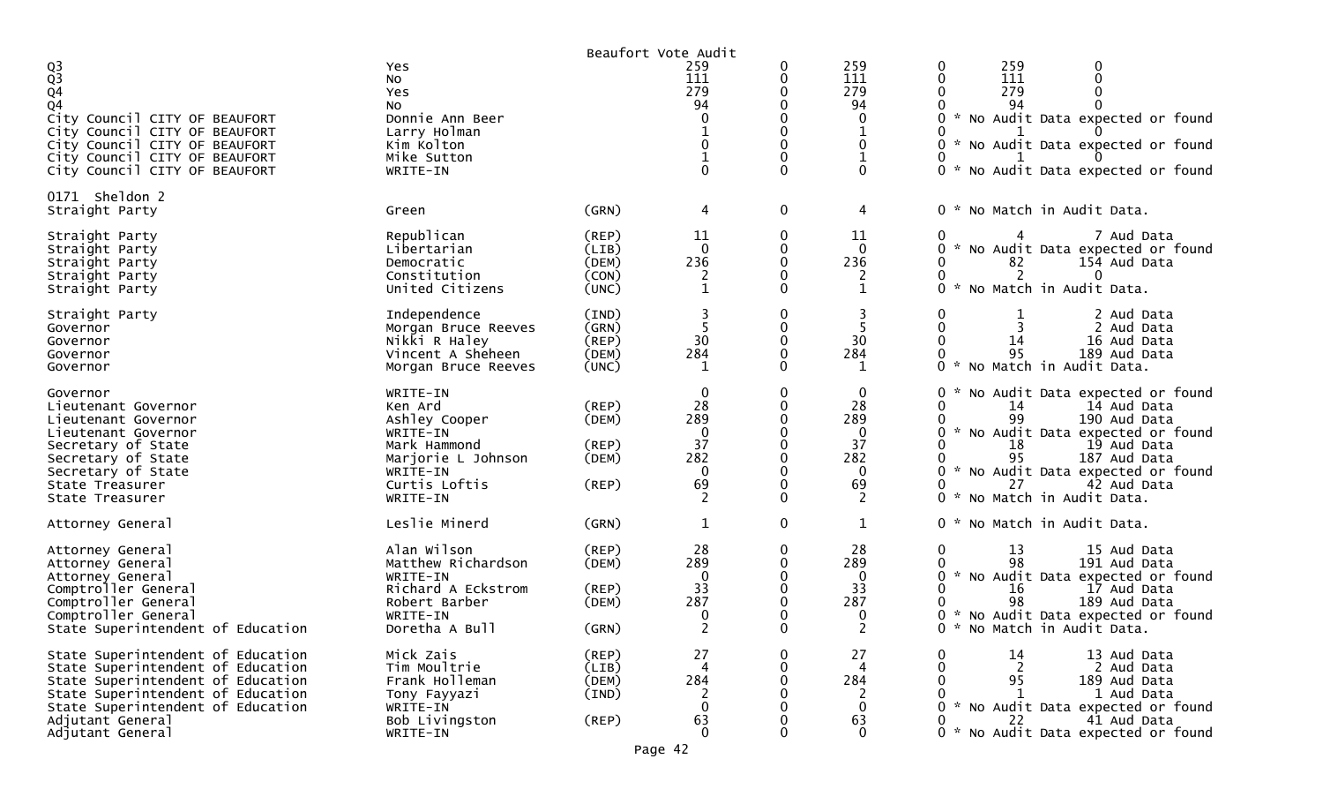|                                                                                                                                                                                                                               |                                                                                                                                 |                                                             | Beaufort Vote Audit                                                    |                              |                                                                                              |                                                                                                                                                                                                                                                                                                            |
|-------------------------------------------------------------------------------------------------------------------------------------------------------------------------------------------------------------------------------|---------------------------------------------------------------------------------------------------------------------------------|-------------------------------------------------------------|------------------------------------------------------------------------|------------------------------|----------------------------------------------------------------------------------------------|------------------------------------------------------------------------------------------------------------------------------------------------------------------------------------------------------------------------------------------------------------------------------------------------------------|
| $\frac{Q3}{Q3}$<br>Q <sub>4</sub><br>Q4<br>City Council CITY OF BEAUFORT<br>City Council CITY OF BEAUFORT<br>City Council CITY OF BEAUFORT<br>City Council CITY OF BEAUFORT<br>City Council CITY OF BEAUFORT                  | Yes<br>No<br>Yes<br>NO.<br>Donnie Ann Beer<br>Larry Holman<br>Kim Kolton<br>Mike Sutton<br>WRITE-IN                             |                                                             | 259<br>111<br>279<br>94<br>0<br>0<br>$\mathbf 1$<br>0                  | 0<br>0<br>0<br>$\Omega$      | 259<br>111<br>279<br>94<br>$\mathbf{0}$<br>1<br>$\mathbf{0}$<br>$\mathbf{1}$<br>$\mathbf{0}$ | 259<br>0<br>0<br>111<br>$\mathbf{0}$<br>0<br>279<br>94<br>0 * No Audit Data expected or found<br>0<br>No Audit Data expected or found<br>0<br>No Audit Data expected or found<br>$0 *$                                                                                                                     |
| 0171 Sheldon 2<br>Straight Party                                                                                                                                                                                              | Green                                                                                                                           | (GRN)                                                       | 4                                                                      | 0                            | 4                                                                                            | 0 * No Match in Audit Data.                                                                                                                                                                                                                                                                                |
| Straight Party<br>Straight Party<br>Straight Party<br>Straight Party<br>Straight Party                                                                                                                                        | Republican<br>Libertarian<br>Democratic<br>Constitution<br>United Citizens                                                      | $($ REP $)$<br>(LIB)<br>(DEM)<br>(CON)<br>(UNC)             | 11<br>$\Omega$<br>236<br>$\overline{2}$<br>$\mathbf{1}$                | 0<br>0<br>$\Omega$<br>0      | 11<br>$\mathbf{0}$<br>236<br>2<br>1                                                          | 7 Aud Data<br>No Audit Data expected or found<br>82<br>154 Aud Data<br>0<br>2<br>0<br>0<br>No Match in Audit Data.<br>ი ∗                                                                                                                                                                                  |
| Straight Party<br>Governor<br>Governor<br>Governor<br>Governor                                                                                                                                                                | Independence<br>Morgan Bruce Reeves<br>Nikki R Haley<br>Vincent A Sheheen<br>Morgan Bruce Reeves                                | (IND)<br>(GRN)<br>(REP)<br>(DEM)<br>(UNC)                   | 30<br>284<br>1                                                         | 0<br>0<br>$\Omega$<br>0      | 3<br>30<br>284<br>1                                                                          | 0<br>1<br>2 Aud Data<br>2 Aud Data<br>14<br>16 Aud Data<br>95<br>189 Aud Data<br>ი ∗<br>No Match in Audit Data.                                                                                                                                                                                            |
| Governor<br>Lieutenant Governor<br>Lieutenant Governor<br>Lieutenant Governor<br>Secretary of State<br>Secretary of State<br>Secretary of State<br>State Treasurer<br>State Treasurer                                         | WRITE-IN<br>Ken Ard<br>Ashley Cooper<br>WRITE-IN<br>Mark Hammond<br>Marjorie L Johnson<br>WRITE-IN<br>Curtis Loftis<br>WRITE-IN | $($ REP $)$<br>(DEM)<br>$($ REP $)$<br>(DEM)<br>$($ REP $)$ | 0<br>28<br>289<br>$\mathbf{0}$<br>37<br>282<br>$\mathbf{0}$<br>69<br>2 | 0<br>0<br>$\Omega$<br>0<br>0 | $\mathbf 0$<br>28<br>289<br>$\mathbf{0}$<br>37<br>282<br>$\Omega$<br>69<br>2                 | 0<br>No Audit Data expected or found<br>14 Aud Data<br>0<br>14<br>190 Aud Data<br>$\mathcal{H}$<br>0<br>No Audit Data expected or found<br>18<br>19 Aud Data<br>95<br>187 Aud Data<br>$\sim$<br>No Audit Data expected or found<br>27<br>42 Aud Data<br>0<br>No Match in Audit Data.<br>$\mathcal{H}$<br>0 |
| Attorney General                                                                                                                                                                                                              | Leslie Minerd                                                                                                                   | (GRN)                                                       | $\mathbf 1$                                                            | 0                            | $\mathbf 1$                                                                                  | 0 * No Match in Audit Data.                                                                                                                                                                                                                                                                                |
| Attorney General<br>Attorney General<br>Attorney General<br>Comptroller General<br>Comptroller General<br>Comptroller General<br>State Superintendent of Education                                                            | Alan Wilson<br>Matthew Richardson<br>WRITE-IN<br>Richard A Eckstrom<br>Robert Barber<br>WRITE-IN<br>Doretha A Bull              | (REP)<br>(DEM)<br>(REP)<br>(DEM)<br>(GRN)                   | 28<br>289<br>$\Omega$<br>33<br>287<br>0<br>$\mathcal{D}$               | 0<br>$\Omega$<br>0<br>0<br>0 | 28<br>289<br>0<br>33<br>287<br>$\mathbf{0}$<br>ົ<br>∠                                        | 0<br>13<br>15 Aud Data<br>191 Aud Data<br>98<br>No Audit Data expected or found<br>$\mathcal{H}$<br>0<br>16<br>17 Aud Data<br>98<br>189 Aud Data<br>0 * No Audit Data expected or found<br>0 * No Match in Audit Data.                                                                                     |
| State Superintendent of Education<br>State Superintendent of Education<br>State Superintendent of Education<br>State Superintendent of Education<br>State Superintendent of Education<br>Adjutant General<br>Adjutant General | Mick Zais<br>Tim Moultrie<br>Frank Holleman<br>Tony Fayyazi<br>WRITE-IN<br>Bob Livingston<br>WRITE-IN                           | (REP)<br>(LIB)<br>(DEM)<br>(IND)<br>(REP)<br>Page 42        | 27<br>4<br>284<br>2<br>$\Omega$<br>63<br>$\Omega$                      | 0<br>0<br>0<br>0<br>O<br>0   | 27<br>4<br>284<br>2<br>$\mathbf{0}$<br>63<br>$\mathbf{0}$                                    | 13 Aud Data<br>0<br>14<br>2<br>0<br>2 Aud Data<br>95<br>0<br>189 Aud Data<br>1 Aud Data<br>$\mathbf{1}$<br>0 * No Audit Data expected or found<br>0<br>22<br>41 Aud Data<br>No Audit Data expected or found<br>0 *                                                                                         |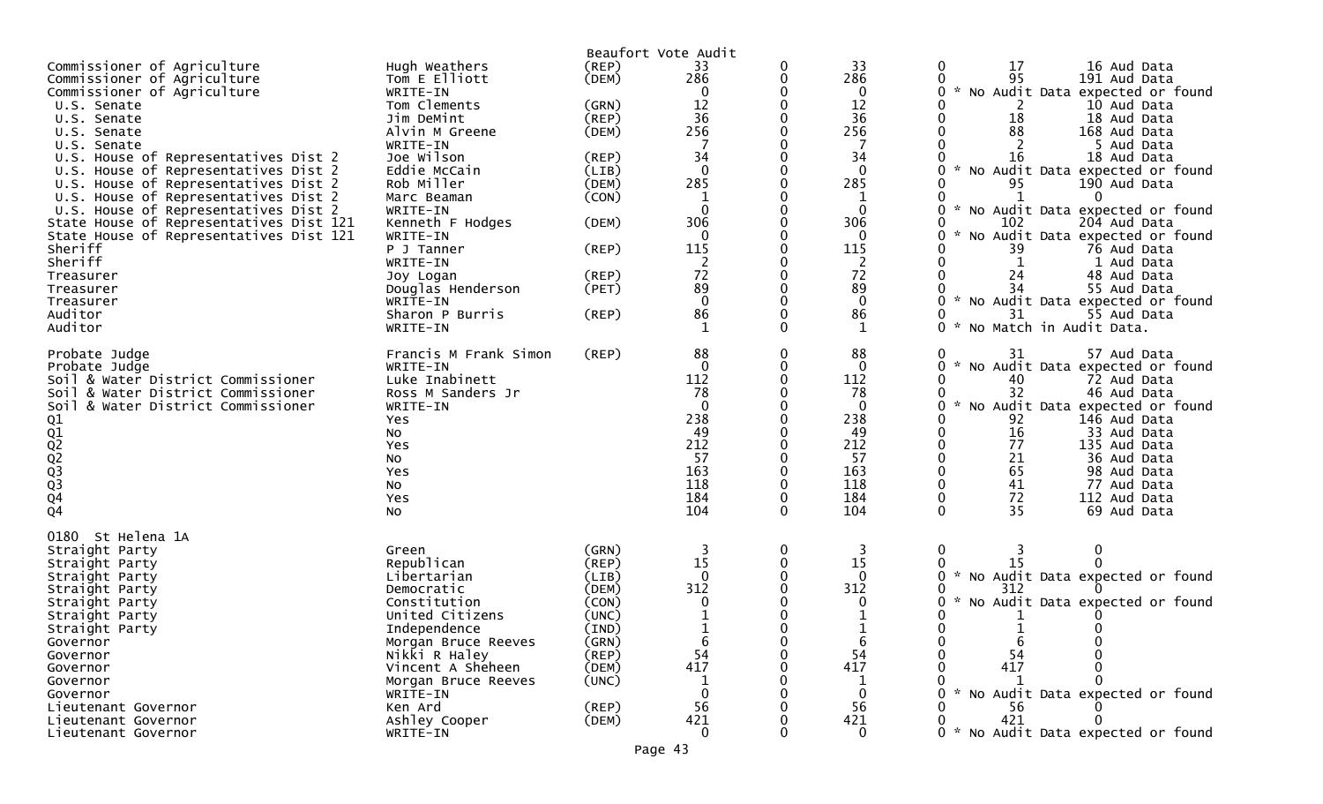|                                         |                       |             | Beaufort Vote Audit |          |              |                                        |
|-----------------------------------------|-----------------------|-------------|---------------------|----------|--------------|----------------------------------------|
| Commissioner of Agriculture             | Hugh Weathers         | (REP)       | 33                  | 0        | 33           | 17<br>16 Aud Data<br>0                 |
| Commissioner of Agriculture             | Tom E Elliott         | (DEM)       | 286                 | 0        | 286          | 95<br>191 Aud Data                     |
| Commissioner of Agriculture             | WRITE-IN              |             | 0                   |          | $\mathbf 0$  | No Audit Data expected or found        |
| U.S. Senate                             | Tom Clements          | (GRN)       | 12                  |          | 12           | 2<br>10 Aud Data                       |
| U.S. Senate                             | Jim DeMint            | (REP)       | 36                  |          | 36           | 18<br>18 Aud Data                      |
| U.S. Senate                             | Alvin M Greene        | (DEM)       | 256                 |          | 256          | 88<br>168 Aud Data                     |
| U.S. Senate                             | WRITE-IN              |             |                     |          |              | 2<br>5 Aud Data                        |
| U.S. House of Representatives Dist 2    | Joe Wilson            | (REP)       | 34                  |          | 34           | 16<br>18 Aud Data                      |
| U.S. House of Representatives Dist 2    | Eddie McCain          | (LIB)       | $\mathbf 0$         |          | 0            | No Audit Data expected or found        |
| U.S. House of Representatives Dist 2    | Rob Miller            | (DEM)       | 285                 |          | 285          | 95<br>190 Aud Data                     |
| U.S. House of Representatives Dist 2    | Marc Beaman           | (CON)       |                     |          | $\mathbf 1$  | $\Omega$                               |
| U.S. House of Representatives Dist 2    | WRITE-IN              |             | $\mathbf 0$         |          | 0            | No Audit Data expected or found        |
| State House of Representatives Dist 121 | Kenneth F Hodges      | (DEM)       | 306                 |          | 306          | 102<br>204 Aud Data                    |
| State House of Representatives Dist 121 | WRITE-IN              |             | $\mathbf 0$         |          | 0            | No Audit Data expected or found<br>O   |
| Sheriff                                 | P J Tanner            | $($ REP $)$ | 115                 |          | 115          | 39<br>76 Aud Data                      |
| Sheriff                                 |                       |             |                     |          |              |                                        |
|                                         | WRITE-IN              |             | 2                   |          | 2            | 1 Aud Data                             |
| Treasurer                               | Joy Logan             | (REP)       | 72                  |          | 72           | 24<br>48 Aud Data                      |
| Treasurer                               | Douglas Henderson     | (PET)       | 89                  |          | 89           | 55 Aud Data                            |
| Treasurer                               | WRITE-IN              |             | $\mathbf{0}$        |          | $\mathbf 0$  | No Audit Data expected or found<br>0   |
| Auditor                                 | Sharon P Burris       | (REP)       | 86                  |          | 86           | 31<br>55 Aud Data                      |
| Auditor                                 | WRITE-IN              |             |                     |          | 1            | 0<br>$\sim$<br>No Match in Audit Data. |
| Probate Judge                           | Francis M Frank Simon | (REP)       | 88                  | 0        | 88           | 31<br>57 Aud Data<br>0                 |
| Probate Judge                           | WRITE-IN              |             | $\mathbf 0$         | 0        | $\mathbf 0$  | No Audit Data expected or found<br>0   |
| Soil & Water District Commissioner      | Luke Inabinett        |             | 112                 |          | 112          | 40<br>72 Aud Data<br>0                 |
| Soil & Water District Commissioner      | Ross M Sanders Jr     |             | 78                  |          | 78           | 32<br>46 Aud Data                      |
| Soil & Water District Commissioner      | WRITE-IN              |             | $\mathbf 0$         |          | $\mathbf 0$  | No Audit Data expected or found<br>0   |
|                                         | Yes                   |             | 238                 |          | 238          | 92<br>146 Aud Data                     |
|                                         | No                    |             | 49                  |          | 49           | 16<br>33 Aud Data                      |
|                                         | Yes                   |             | 212                 |          | 212          | 77<br>135 Aud Data                     |
|                                         |                       |             | 57                  |          | 57           | 0<br>21<br>36 Aud Data                 |
|                                         | No                    |             | 163                 |          | 163          | 65<br>98 Aud Data                      |
|                                         | Yes                   |             | 118                 |          |              | $\Omega$                               |
| 01<br>02<br>02<br>02<br>03<br>03<br>04  | No                    |             |                     |          | 118          | 41<br>77 Aud Data                      |
|                                         | Yes                   |             | 184                 | 0        | 184          | $\boldsymbol{0}$<br>72<br>112 Aud Data |
| Q <sub>4</sub>                          | NO                    |             | 104                 | $\Omega$ | 104          | 35<br>$\Omega$<br>69 Aud Data          |
| St Helena 1A<br>0180                    |                       |             |                     |          |              |                                        |
| Straight Party                          | Green                 | (GRN)       | 3                   | 0        | 3            | 0<br>0<br>3                            |
| Straight Party                          | Republican            | (REP)       | 15                  |          | 15           | 15                                     |
| Straight Party                          | Libertarian           | (LIB)       | $\mathbf{0}$        |          | $\Omega$     | * No Audit Data expected or found<br>0 |
| Straight Party                          | Democratic            | (DEM)       | 312                 |          | 312          | 312                                    |
| Straight Party                          | Constitution          | (CON)       | 0                   |          | $\Omega$     | No Audit Data expected or found<br>U   |
| Straight Party                          | United Citizens       | (UNC)       |                     |          |              |                                        |
| Straight Party                          | Independence          | (IND)       |                     |          |              | 0                                      |
| Governor                                | Morgan Bruce Reeves   | (GRN)       | b                   |          | b            | b                                      |
| Governor                                | Nikki R Haley         | (REP)       | 54                  |          | 54           | 54                                     |
| Governor                                | Vincent A Sheheen     | (DEM)       | 417                 |          | 417          | 417                                    |
| Governor                                | Morgan Bruce Reeves   | (UNC)       |                     |          |              |                                        |
| Governor                                | WRITE-IN              |             | $\mathbf{0}$        |          | $\mathbf 0$  | * No Audit Data expected or found      |
| Lieutenant Governor                     | Ken Ard               | $($ REP $)$ | 56                  |          | 56           | 56                                     |
| Lieutenant Governor                     | Ashley Cooper         | (DEM)       | 421                 |          | 421          | 421                                    |
| Lieutenant Governor                     | WRITE-IN              |             | $\mathbf{0}$        |          | $\mathbf{0}$ | * No Audit Data expected or found<br>0 |
|                                         |                       |             |                     |          |              |                                        |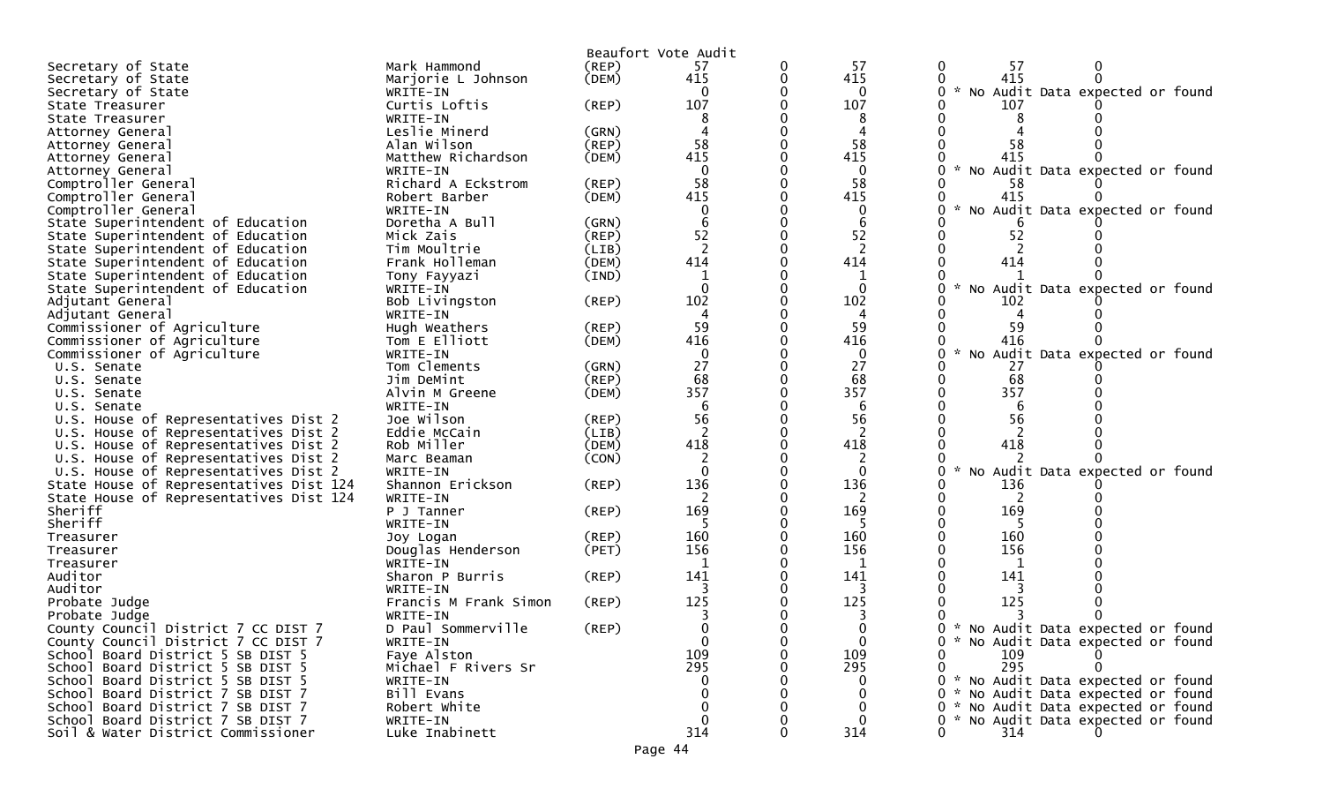|                                                      |                                |             | Beaufort Vote Audit |   |                   |                                                                          |
|------------------------------------------------------|--------------------------------|-------------|---------------------|---|-------------------|--------------------------------------------------------------------------|
| Secretary of State                                   | Mark Hammond                   | $($ REP $)$ | 57                  | 0 | -57               | -57                                                                      |
| Secretary of State                                   | Marjorie L Johnson             | (DEM)       | 415                 | 0 | 415               | 415                                                                      |
| Secretary of State                                   | WRITE-IN                       |             |                     |   | 0                 | * No Audit Data expected or found                                        |
| State Treasurer                                      | Curtis Loftis                  | (REP)       | 107                 |   | 107               | 107                                                                      |
| State Treasurer                                      | WRITE-IN                       |             |                     |   | 8                 |                                                                          |
| Attorney General                                     | Leslie Minerd                  | (GRN)       |                     |   |                   |                                                                          |
| Attorney General                                     | Alan Wilson                    | (REP)       | 58                  |   | 58                | 58                                                                       |
| Attorney General                                     | Matthew Richardson             | (DEM)       | 415                 |   | 415               | 415                                                                      |
| Attorney General                                     | WRITE-IN                       |             | $\Omega$            |   | 0                 | $\sim$<br>No Audit Data expected or found                                |
| Comptroller General                                  | Richard A Eckstrom             | (REP)       | 58                  |   | 58                | -58                                                                      |
| Comptroller General                                  | Robert Barber                  | (DEM)       | 415                 |   | 415               | 415                                                                      |
| Comptroller General                                  | WRITE-IN                       |             |                     |   | 0                 | $\mathcal{H}$<br>No Audit Data expected or found                         |
| State Superintendent of Education                    | Doretha A Bull                 | (GRN)       |                     |   | 6                 |                                                                          |
| State Superintendent of Education                    | Mick Zais                      | (REP)       | 52                  |   | 52                | 52                                                                       |
| State Superintendent of Education                    | Tim Moultrie                   | (LIB)       | $\overline{2}$      |   |                   |                                                                          |
| State Superintendent of Education                    | Frank Holleman                 | (DEM)       | 414                 |   | 414               | 414                                                                      |
| State Superintendent of Education                    | Tony Fayyazi                   | (IND)       | 1                   |   |                   |                                                                          |
| State Superintendent of Education                    | WRITE-IN                       |             | $\Omega$            |   | 0                 | $\mathcal{H}$<br>No Audit Data expected or found                         |
| Adjutant General                                     | Bob Livingston                 | (REP)       | 102                 |   | 102               | 102                                                                      |
| Adjutant General                                     | WRITE-IN                       |             | 4                   |   | 4                 |                                                                          |
| Commissioner of Agriculture                          | Hugh Weathers                  | (REP)       | 59                  |   | 59                | 59                                                                       |
| Commissioner of Agriculture                          | Tom E Elliott                  | (DEM)       | 416                 |   | 416               | 416                                                                      |
| Commissioner of Agriculture                          | WRITE-IN                       |             | $\mathbf 0$         |   | $\mathbf{0}$      | * No Audit Data expected or found                                        |
| U.S. Senate                                          | Tom Clements                   | (GRN)       | 27                  |   | 27                | 27                                                                       |
| U.S. Senate                                          | Jim DeMint                     | (REP)       | 68                  |   | 68                | 68                                                                       |
| U.S. Senate                                          | Alvin M Greene                 | (DEM)       | 357                 |   | 357               | 357                                                                      |
| U.S. Senate                                          | WRITE-IN                       |             | 6                   |   | 6                 | 6                                                                        |
| U.S. House of Representatives Dist 2                 | Joe Wilson                     | $($ REP $)$ | 56                  |   | 56                | 56                                                                       |
| U.S. House of Representatives Dist 2                 | Eddie McCain                   | (LIB)       | $\overline{2}$      |   | 2                 | 2                                                                        |
| U.S. House of Representatives Dist 2                 | Rob Miller                     | (DEM)       | 418                 |   | 418               | 418                                                                      |
| U.S. House of Representatives Dist 2                 | Marc Beaman                    | (CON)       |                     |   |                   |                                                                          |
| U.S. House of Representatives Dist 2                 | WRITE-IN                       |             | $\Omega$            |   | $\Omega$          | No Audit Data expected or found                                          |
| State House of Representatives Dist 124              | Shannon Erickson               | (REP)       | 136                 |   | 136               | 136                                                                      |
| State House of Representatives Dist 124              | WRITE-IN                       |             | 2                   |   | 2                 | 2                                                                        |
| Sheriff                                              | P J Tanner                     | (REP)       | 169                 |   | 169               | 169                                                                      |
| Sheriff                                              | WRITE-IN                       |             |                     |   |                   |                                                                          |
| Treasurer                                            | Joy Logan                      | $($ REP $)$ | 160                 |   | 160               | 160                                                                      |
| Treasurer                                            | Douglas Henderson              | (PET)       | 156                 |   | 156               | 156                                                                      |
| Treasurer                                            | WRITE-IN                       |             |                     |   |                   |                                                                          |
| Auditor                                              | Sharon P Burris                | (REP)       | 141                 |   | 141               | 141                                                                      |
| Auditor                                              | WRITE-IN                       |             | 125                 |   | 3<br>125          | 125                                                                      |
| Probate Judge                                        | Francis M Frank Simon          | (REP)       |                     |   |                   |                                                                          |
| Probate Judge<br>County Council District 7 CC DIST 7 | WRITE-IN                       |             |                     |   | 3                 |                                                                          |
| County Council District 7 CC DIST 7                  | D Paul Sommerville<br>WRITE-IN | (REP)       | 0<br>$\mathbf{0}$   |   | 0<br>$\mathbf{0}$ | 0 * No Audit Data expected or found<br>* No Audit Data expected or found |
| School Board District 5 SB DIST 5                    | Faye Alston                    |             | 109                 |   | 109               | 109                                                                      |
| School Board District 5 SB DIST 5                    | Michael F Rivers Sr            |             | 295                 |   | 295               | 295                                                                      |
| School Board District 5 SB DIST 5                    | WRITE-IN                       |             |                     |   |                   | * No Audit Data expected or found                                        |
| School Board District 7 SB DIST 7                    | Bill Evans                     |             | 0                   |   |                   | * No Audit Data expected or found<br>0.                                  |
| School Board District 7 SB DIST 7                    | Robert White                   |             | 0                   |   |                   | * No Audit Data expected or found                                        |
| School Board District 7 SB DIST 7                    | WRITE-IN                       |             | $\mathbf{0}$        |   |                   | * No Audit Data expected or found                                        |
| Soil & Water District Commissioner                   | Luke Inabinett                 |             | 314                 |   | 314               | 314                                                                      |
|                                                      |                                |             |                     |   |                   |                                                                          |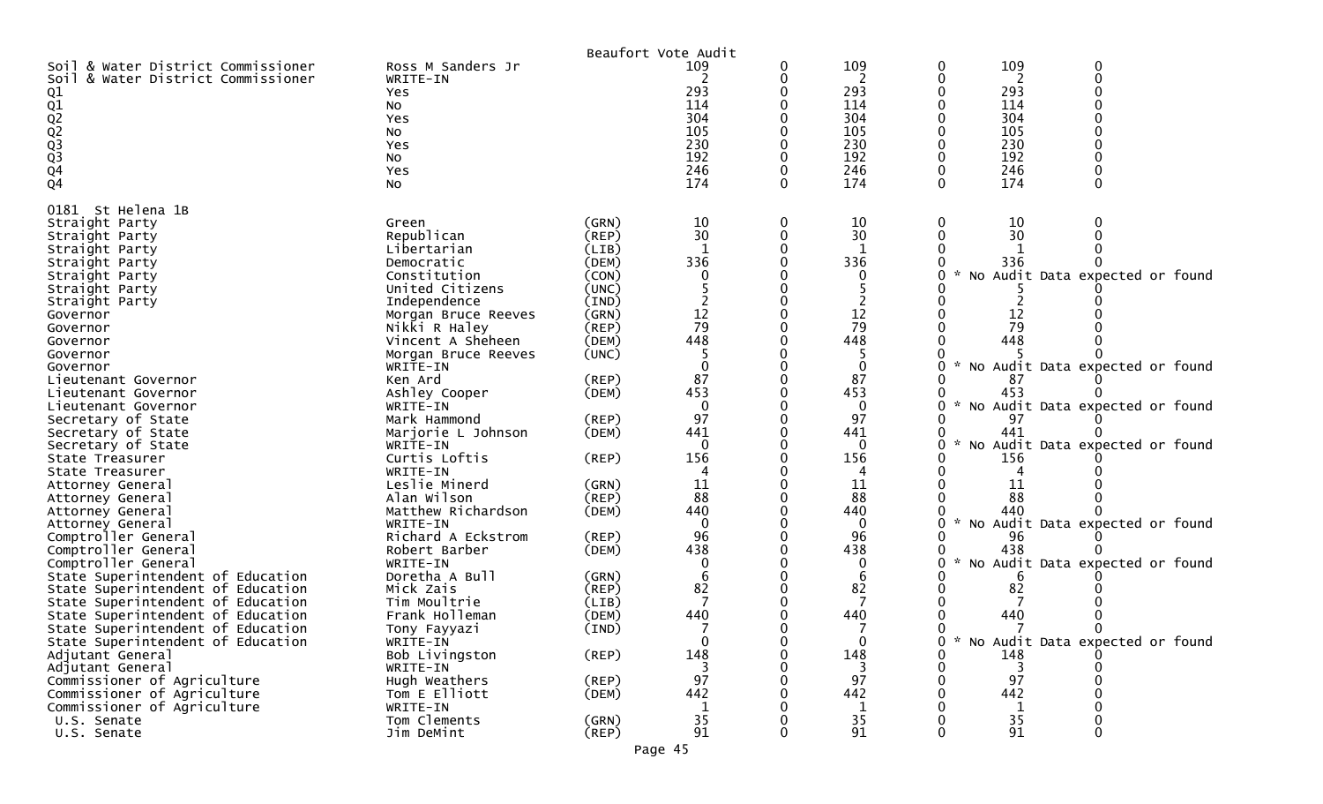|                                        |                     |             | Beaufort Vote Audit |   |             |               |     |                                   |  |
|----------------------------------------|---------------------|-------------|---------------------|---|-------------|---------------|-----|-----------------------------------|--|
| & Water District Commissioner<br>Soil  | Ross M Sanders Jr   |             | 109                 | 0 | 109         | 0             | 109 |                                   |  |
| Soil & Water District Commissioner     | WRITE-IN            |             |                     |   | 2           |               | 2   |                                   |  |
|                                        | <b>Yes</b>          |             | 293                 |   | 293         |               | 293 |                                   |  |
| 01<br>02<br>02<br>03<br>03<br>04<br>04 | No                  |             | 114                 |   | 114         |               | 114 |                                   |  |
|                                        | Yes                 |             | 304                 |   | 304         |               | 304 |                                   |  |
|                                        | No                  |             | 105                 |   | 105         |               | 105 |                                   |  |
|                                        | Yes                 |             | 230                 |   | 230         |               | 230 |                                   |  |
|                                        | No                  |             | 192                 |   | 192         |               | 192 |                                   |  |
|                                        | Yes                 |             | 246                 |   | 246         |               | 246 |                                   |  |
|                                        |                     |             | 174                 |   | 174         |               | 174 |                                   |  |
|                                        | No                  |             |                     |   |             |               |     |                                   |  |
| 0181 St Helena 1B                      |                     |             |                     |   |             |               |     |                                   |  |
| Straight Party                         | Green               | (GRN)       | 10                  | 0 | 10          |               | 10  |                                   |  |
|                                        | Republican          | (REP)       | 30                  | 0 | 30          |               | 30  |                                   |  |
| Straight Party                         |                     |             |                     |   |             |               |     |                                   |  |
| Straight Party                         | Libertarian         | (LIB)       |                     |   |             |               |     |                                   |  |
| Straight Party                         | Democratic          | (DEM)       | 336                 |   | 336         |               | 336 |                                   |  |
| Straight Party                         | Constitution        | (CON)       | 0                   |   |             |               |     | * No Audit Data expected or found |  |
| Straight Party                         | United Citizens     | (UNC)       |                     |   |             |               |     |                                   |  |
| Straight Party                         | Independence        | (IND)       |                     |   |             |               |     |                                   |  |
| Governor                               | Morgan Bruce Reeves | (GRN)       | $12\,$              |   | 12          |               | 12  |                                   |  |
| Governor                               | Nikki R Haley       | (REP)       | 79                  |   | 79          |               | 79  |                                   |  |
| Governor                               | Vincent A Sheheen   | (DEM)       | 448                 |   | 448         |               | 448 |                                   |  |
| Governor                               | Morgan Bruce Reeves | (UNC)       |                     |   |             |               |     |                                   |  |
| Governor                               | WRITE-IN            |             | $\Omega$            |   | $\mathbf 0$ |               |     | No Audit Data expected or found   |  |
| Lieutenant Governor                    | Ken Ard             | (REP)       | 87                  |   | 87          |               | 87  |                                   |  |
| Lieutenant Governor                    | Ashley Cooper       | (DEM)       | 453                 |   | 453         |               | 453 |                                   |  |
| Lieutenant Governor                    | WRITE-IN            |             | $\mathbf{0}$        |   | $\Omega$    | $\sim$        |     | No Audit Data expected or found   |  |
| Secretary of State                     | Mark Hammond        | (REP)       | 97                  |   | 97          |               | 97  |                                   |  |
|                                        |                     |             | 441                 |   |             |               | 441 |                                   |  |
| Secretary of State                     | Marjorie L Johnson  | (DEM)       |                     |   | 441         |               |     |                                   |  |
| Secretary of State                     | WRITE-IN            |             | $\Omega$            |   | $\Omega$    |               |     | No Audit Data expected or found   |  |
| State Treasurer                        | Curtis Loftis       | (REP)       | 156                 |   | 156         |               | 156 |                                   |  |
| State Treasurer                        | WRITE-IN            |             |                     |   | 4           |               |     |                                   |  |
| Attorney General                       | Leslie Minerd       | (GRN)       | 11                  |   | 11          |               | 11  |                                   |  |
| Attorney General                       | Alan Wilson         | $($ REP $)$ | 88                  |   | 88          |               | 88  |                                   |  |
| Attorney General                       | Matthew Richardson  | (DEM)       | 440                 |   | 440         |               | 440 |                                   |  |
| Attorney General                       | WRITE-IN            |             | $\mathbf{0}$        |   | $\Omega$    | $\mathcal{H}$ |     | No Audit Data expected or found   |  |
| Comptroller General                    | Richard A Eckstrom  | (REP)       | 96                  |   | 96          |               | 96  |                                   |  |
| Comptroller General                    | Robert Barber       | (DEM)       | 438                 |   | 438         |               | 438 |                                   |  |
| Comptroller General                    | WRITE-IN            |             | 0                   |   |             | $\mathcal{R}$ |     | No Audit Data expected or found   |  |
| State Superintendent of Education      | Doretha A Bull      | (GRN)       | 6                   |   | 6           |               |     |                                   |  |
| State Superintendent of Education      | Mick Zais           | $($ REP $)$ | 82                  |   | 82          |               | 82  |                                   |  |
| State Superintendent of Education      | Tim Moultrie        | (LIB)       |                     |   |             |               |     |                                   |  |
| State Superintendent of Education      | Frank Holleman      | (DEM)       | 440                 |   | 440         |               | 440 |                                   |  |
|                                        |                     |             |                     |   |             |               |     |                                   |  |
| State Superintendent of Education      | Tony Fayyazi        | (IND)       |                     |   |             |               |     |                                   |  |
| State Superintendent of Education      | WRITE-IN            |             | $\bf{0}$            |   | 0           |               |     | No Audit Data expected or found   |  |
| Adjutant General                       | Bob Livingston      | $($ REP $)$ | 148                 |   | 148         |               | 148 |                                   |  |
| Adjutant General                       | WRITE-IN            |             |                     |   |             |               |     |                                   |  |
| Commissioner of Agriculture            | Hugh Weathers       | (REP)       | 97                  |   | 97          |               | 97  |                                   |  |
| Commissioner of Agriculture            | Tom E Elliott       | (DEM)       | 442                 |   | 442         |               | 442 |                                   |  |
| Commissioner of Agriculture            | WRITE-IN            |             |                     |   | 1           |               | 1   |                                   |  |
| U.S. Senate                            | Tom Clements        | (GRN)       | 35                  |   | 35          |               | 35  |                                   |  |
| U.S. Senate                            | Jim DeMint          | (REF)       | 91                  |   | 91          |               | 91  | 0                                 |  |
|                                        |                     |             | Page 45             |   |             |               |     |                                   |  |
|                                        |                     |             |                     |   |             |               |     |                                   |  |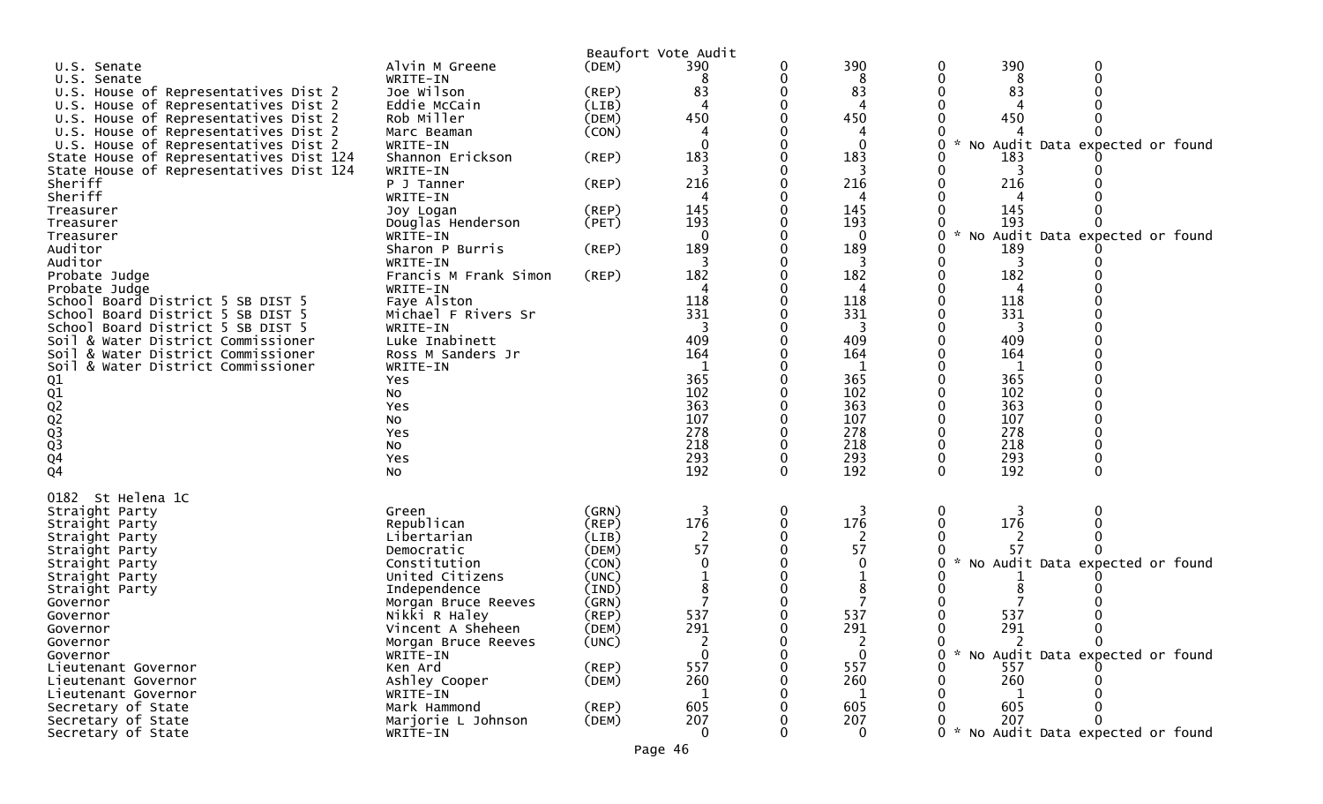| U.S. Senate<br>U.S. Senate<br>U.S. House of Representatives Dist 2<br>U.S. House of Representatives Dist 2<br>U.S. House of Representatives Dist 2<br>U.S. House of Representatives Dist 2<br>U.S. House of Representatives Dist 2<br>State House of Representatives Dist 124<br>State House of Representatives Dist 124<br>Sheriff<br>Sheriff<br>Treasurer<br>Treasurer<br>Treasurer<br>Auditor<br>Auditor<br>Probate Judge<br>Probate Judge<br>School Board District 5 SB DIST 5<br>School Board District 5 SB DIST 5<br>School Board District 5 SB DIST 5<br>Soil & Water District Commissioner<br>Soil & Water District Commissioner<br>Soil & Water District Commissioner | Alvin M Greene<br>WRITE-IN<br>Joe Wilson<br>Eddie McCain<br>Rob Miller<br>Marc Beaman<br>WRITE-IN<br>Shannon Erickson<br>WRITE-IN<br>P J Tanner<br>WRITE-IN<br>Joy Logan<br>Douglas Henderson<br>WRITE-IN<br>Sharon P Burris<br>WRITE-IN<br>Francis M Frank Simon<br>WRITE-IN<br>Faye Alston<br>Michael F Rivers Sr<br>WRITE-IN<br>Luke Inabinett<br>Ross M Sanders Jr<br>WRITE-IN | (DEM)<br>$($ REP $)$<br>(LIB)<br>(DEM)<br>(CON)<br>$($ REP $)$<br>(REP)<br>(REP)<br>(PET)<br>(REP)<br>(REP)                               | Beaufort Vote Audit<br>390<br>8<br>83<br>4<br>450<br>183<br>216<br>4<br>145<br>193<br>$\mathbf{0}$<br>189<br>3<br>182<br>4<br>118<br>331<br>3<br>409<br>164 | 0                     | 390<br>8<br>83<br>450<br>∩<br>183<br>216<br>4<br>145<br>193<br>0<br>189<br>3<br>182<br>118<br>331<br>3<br>409<br>164<br>1 | 390<br>8<br>83<br>450<br>183<br>3<br>216<br>145<br>193<br>189<br>3<br>182<br>4<br>118<br>331<br>3<br>409<br>164<br>1 | 0<br>No Audit Data expected or found<br>* No Audit Data expected or found                                                   |  |
|--------------------------------------------------------------------------------------------------------------------------------------------------------------------------------------------------------------------------------------------------------------------------------------------------------------------------------------------------------------------------------------------------------------------------------------------------------------------------------------------------------------------------------------------------------------------------------------------------------------------------------------------------------------------------------|------------------------------------------------------------------------------------------------------------------------------------------------------------------------------------------------------------------------------------------------------------------------------------------------------------------------------------------------------------------------------------|-------------------------------------------------------------------------------------------------------------------------------------------|-------------------------------------------------------------------------------------------------------------------------------------------------------------|-----------------------|---------------------------------------------------------------------------------------------------------------------------|----------------------------------------------------------------------------------------------------------------------|-----------------------------------------------------------------------------------------------------------------------------|--|
| 01<br>02<br>02<br>02<br>03<br>04<br>04                                                                                                                                                                                                                                                                                                                                                                                                                                                                                                                                                                                                                                         | Yes<br>NO.<br>Yes<br>NO.<br>Yes<br>No<br>Yes                                                                                                                                                                                                                                                                                                                                       |                                                                                                                                           | 365<br>102<br>363<br>107<br>278<br>218<br>293                                                                                                               | 0                     | 365<br>102<br>363<br>107<br>278<br>218<br>293                                                                             | 365<br>102<br>363<br>107<br>278<br>218<br>293                                                                        |                                                                                                                             |  |
| 0182 St Helena 1C<br>Straight Party<br>Straight Party<br>Straight Party<br>Straight Party<br>Straight Party<br>Straight Party<br>Straight Party<br>Governor<br>Governor<br>Governor<br>Governor<br>Governor<br>Lieutenant Governor<br>Lieutenant Governor<br>Lieutenant Governor<br>Secretary of State<br>Secretary of State<br>Secretary of State                                                                                                                                                                                                                                                                                                                             | No<br>Green<br>Republican<br>Libertarian<br>Democratic<br>Constitution<br>United Citizens<br>Independence<br>Morgan Bruce Reeves<br>Nikki R Haley<br>Vincent A Sheheen<br>Morgan Bruce Reeves<br>WRITE-IN<br>Ken Ard<br>Ashley Cooper<br>WRITE-IN<br>Mark Hammond<br>Marjorie L Johnson<br>WRITE-IN                                                                                | (GRN)<br>(REP)<br>(LIB)<br>(DEM)<br>(CON)<br>(UNC)<br>(IND)<br>(GRN)<br>(REP)<br>(DEM)<br>(UNC)<br>$($ REP $)$<br>(DEM)<br>(REP)<br>(DEM) | 192<br>3<br>176<br>2<br>57<br>537<br>291<br>2<br>557<br>260<br>1<br>605<br>207<br>$\mathbf{0}$                                                              | 0<br>0<br>0<br>0<br>0 | 192<br>3<br>176<br>57<br>537<br>291<br>2<br>$\mathbf{0}$<br>557<br>260<br>1<br>605<br>207<br>$\mathbf{0}$                 | 192<br>0<br>3<br>176<br>57<br>537<br>291<br>557<br>260<br>605<br>207                                                 | No Audit Data expected or found<br>$\mathbf{0}$<br>* No Audit Data expected or found<br>0 * No Audit Data expected or found |  |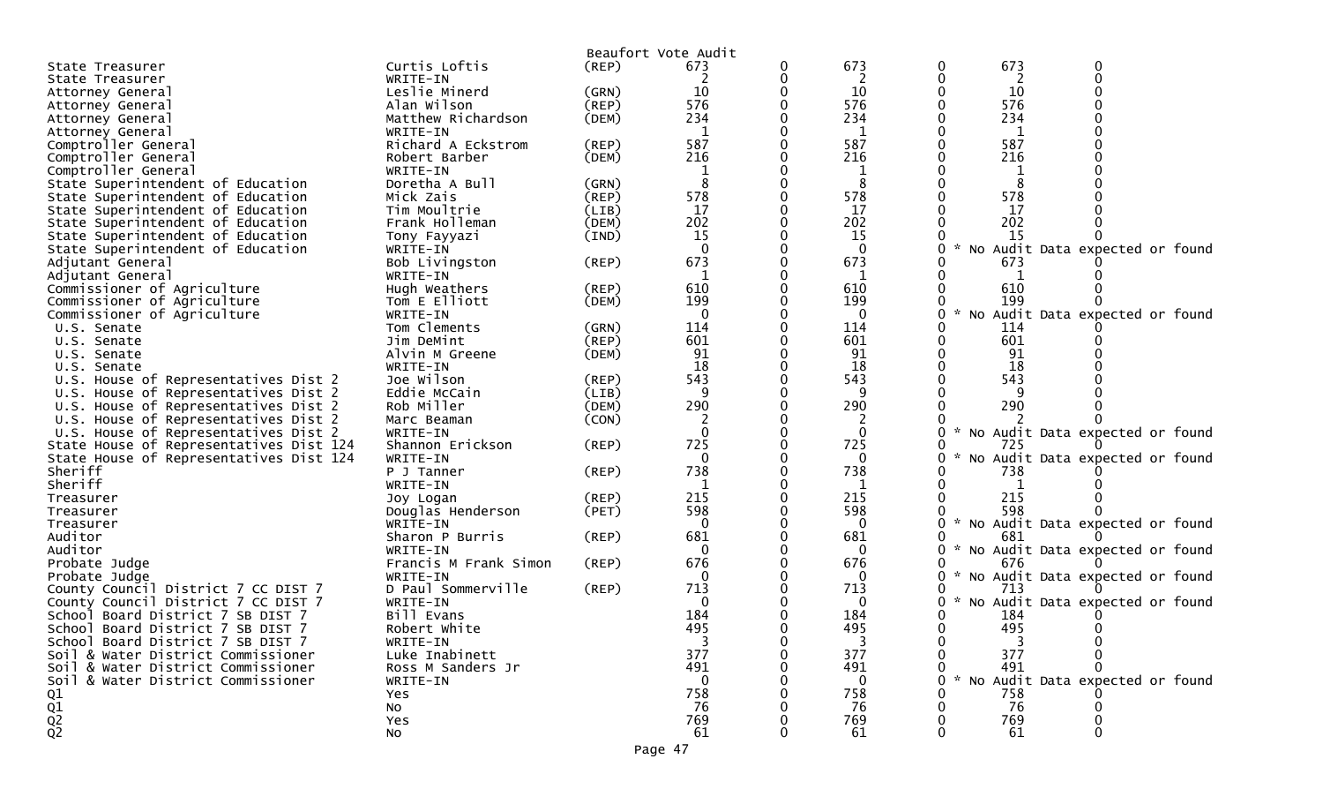|                                         |                       |             | Beaufort Vote Audit |           |                      |                                   |
|-----------------------------------------|-----------------------|-------------|---------------------|-----------|----------------------|-----------------------------------|
| State Treasurer                         | Curtis Loftis         | $($ REP $)$ | 673                 | 673       | 673                  |                                   |
| State Treasurer                         | WRITE-IN              |             |                     | 2         | 2                    |                                   |
| Attorney General                        | Leslie Minerd         | (GRN)       | 10                  | 10        | 10                   |                                   |
| Attorney General                        | Alan Wilson           | $($ REP $)$ | 576                 | 576       | 576                  |                                   |
| Attorney General                        | Matthew Richardson    | (DEM)       | 234                 | 234       | 234                  |                                   |
| Attorney General                        | WRITE-IN              |             | $\mathbf{1}$        | 1         | 1                    |                                   |
| Comptroller General                     | Richard A Eckstrom    | (REP)       | 587                 | 587       | 587                  |                                   |
| Comptroller General                     | Robert Barber         | (DEM)       | 216                 | 216       | 216                  |                                   |
| Comptroller General                     | WRITE-IN              |             |                     |           |                      |                                   |
| State Superintendent of Education       | Doretha A Bull        | (GRN)       | 8                   | 8         | 8                    |                                   |
| State Superintendent of Education       | Mick Zais             | (REP)       | 578                 | 578       | 578                  |                                   |
| State Superintendent of Education       | Tim Moultrie          | (LIB)       | 17                  | 17        | 17                   |                                   |
| State Superintendent of Education       | Frank Holleman        | (DEM)       | 202                 | 202       | 202                  |                                   |
| State Superintendent of Education       | Tony Fayyazi          | (IND)       | 15                  | <b>15</b> | 15                   |                                   |
| State Superintendent of Education       | WRITE-IN              |             | $\Omega$            | $\Omega$  | $\mathcal{H}$        | No Audit Data expected or found   |
|                                         |                       | (REP)       | 673                 | 673       | 673                  |                                   |
| Adjutant General                        | Bob Livingston        |             | 1                   |           |                      |                                   |
| Adjutant General                        | WRITE-IN              |             |                     | 1         | 1                    |                                   |
| Commissioner of Agriculture             | Hugh Weathers         | $($ REP $)$ | 610                 | 610       | 610                  |                                   |
| Commissioner of Agriculture             | Tom E Elliott         | (DEM)       | 199                 | 199       | 199<br>$\mathcal{H}$ |                                   |
| Commissioner of Agriculture             | WRITE-IN              |             | $\mathbf{0}$        | 0         |                      | No Audit Data expected or found   |
| U.S. Senate                             | Tom Clements          | (GRN)       | 114                 | 114       | 114                  |                                   |
| U.S. Senate                             | Jim DeMint            | (REP)       | 601                 | 601       | 601                  |                                   |
| U.S. Senate                             | Alvin M Greene        | (DEM)       | 91                  | 91        | 91                   |                                   |
| U.S. Senate                             | WRITE-IN              |             | 18                  | 18        | 18                   |                                   |
| U.S. House of Representatives Dist 2    | Joe Wilson            | (REP)       | 543                 | 543       | 543                  |                                   |
| U.S. House of Representatives Dist 2    | Eddie McCain          | (LIB)       | 9                   | -9        |                      |                                   |
| U.S. House of Representatives Dist 2    | Rob Miller            | (DEM)       | 290                 | 290       | 290                  |                                   |
| U.S. House of Representatives Dist 2    | Marc Beaman           | (CON)       |                     | 2         |                      |                                   |
| U.S. House of Representatives Dist 2    | WRITE-IN              |             | $\mathbf 0$         | 0         |                      | * No Audit Data expected or found |
| State House of Representatives Dist 124 | Shannon Erickson      | (REP)       | 725                 | 725       | 725                  |                                   |
| State House of Representatives Dist 124 | WRITE-IN              |             | $\mathbf{0}$        | 0         |                      | No Audit Data expected or found   |
| Sheriff                                 | P J Tanner            | (REP)       | 738                 | 738       | 738                  |                                   |
| Sheriff                                 | WRITE-IN              |             |                     |           |                      |                                   |
| Treasurer                               | Joy Logan             | (REP)       | 215                 | 215       | 215                  |                                   |
| Treasurer                               | Douglas Henderson     | (PET)       | 598                 | 598       | 598                  |                                   |
| Treasurer                               | WRITE-IN              |             | 0                   | 0         | $\sim$               | No Audit Data expected or found   |
| Auditor                                 | Sharon P Burris       | (REP)       | 681                 | 681       | 681                  |                                   |
| Auditor                                 | WRITE-IN              |             | 0                   | 0         |                      | * No Audit Data expected or found |
| Probate Judge                           | Francis M Frank Simon | (REP)       | 676                 | 676       | 676                  |                                   |
| Probate Judge                           | WRITE-IN              |             | 0                   | 0         | 0                    | * No Audit Data expected or found |
| County Council District 7 CC DIST 7     | D Paul Sommerville    | (REP)       | 713                 | 713       | 713                  |                                   |
| County Council District 7 CC DIST 7     | WRITE-IN              |             | 0                   | $\Omega$  |                      | No Audit Data expected or found   |
| School Board District 7 SB DIST 7       | Bill Evans            |             | 184                 | 184       | 184                  |                                   |
| School Board District 7 SB DIST 7       | Robert White          |             | 495                 | 495       | 495                  |                                   |
| School Board District 7 SB DIST 7       | WRITE-IN              |             | 3                   | 3         | 3                    |                                   |
| Soil & Water District Commissioner      | Luke Inabinett        |             | 377                 | 377       | 377                  |                                   |
| Soil & Water District Commissioner      | Ross M Sanders Jr     |             | 491                 | 491       | 491                  |                                   |
| Soil & Water District Commissioner      | WRITE-IN              |             | $\Omega$            | $\Omega$  |                      | No Audit Data expected or found   |
| Q1                                      | Yes                   |             | 758                 | 758       | 758                  |                                   |
|                                         | NO                    |             | 76                  | 76        | 76                   |                                   |
| $\frac{Q1}{Q2}$                         | Yes                   |             | 769                 | 769       | 769                  |                                   |
|                                         | NO.                   |             | 61                  | 61        | 61                   |                                   |
|                                         |                       |             |                     |           |                      |                                   |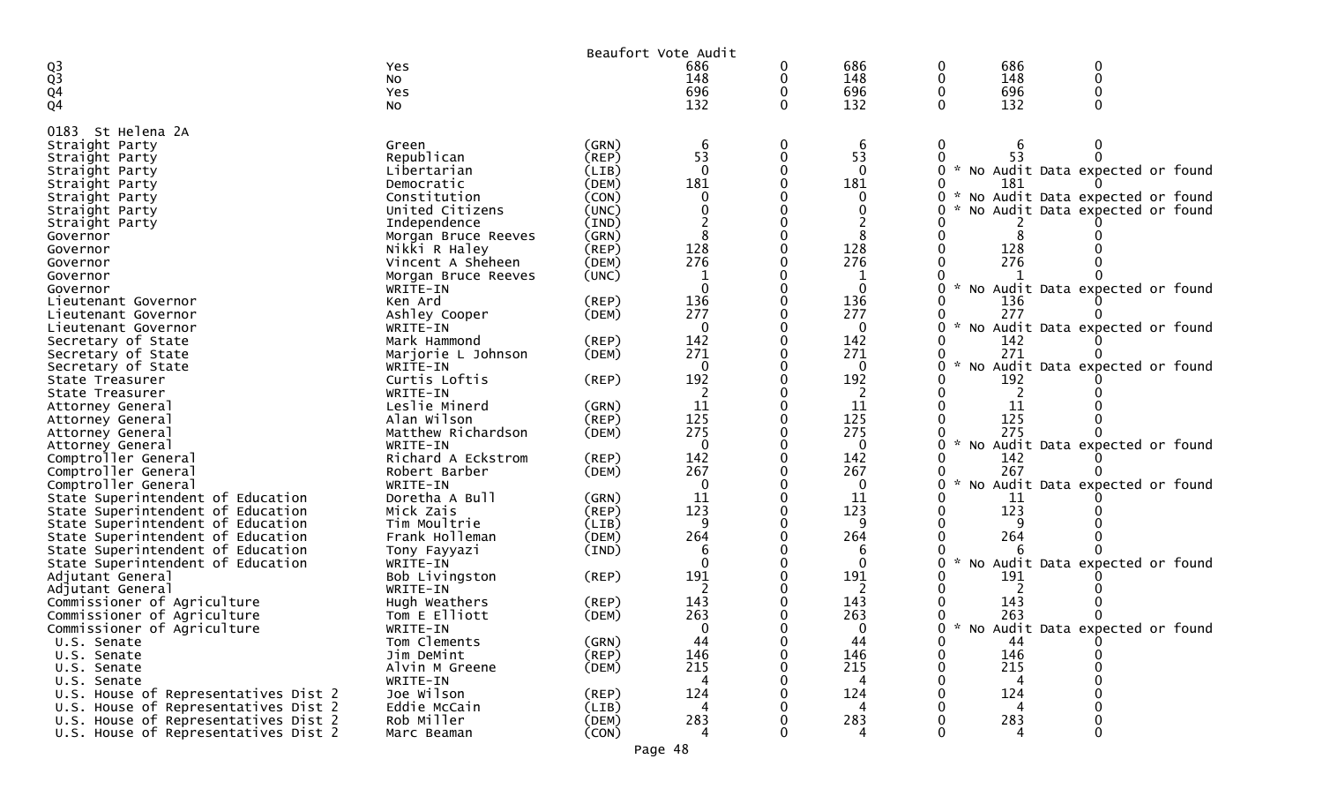|                                                     |                                 |                | Beaufort Vote Audit |          |                 |               |     |                                     |  |
|-----------------------------------------------------|---------------------------------|----------------|---------------------|----------|-----------------|---------------|-----|-------------------------------------|--|
|                                                     | Yes                             |                | 686                 | 0        | 686             |               | 686 |                                     |  |
| $\frac{Q3}{Q3}$                                     | No                              |                | 148                 | 0        | 148             |               | 148 |                                     |  |
| Q <sub>4</sub>                                      | Yes                             |                | 696                 |          | 696             |               | 696 |                                     |  |
| Q <sub>4</sub>                                      | NO.                             |                | 132                 | $\Omega$ | 132             |               | 132 |                                     |  |
| St Helena 2A<br>0183                                |                                 |                |                     |          |                 |               |     |                                     |  |
| Straight Party                                      | Green                           | (GRN)          | 6                   | 0        | 6               |               |     |                                     |  |
| Straight Party                                      | Republican                      | (REP)          | 53                  | 0        | 53              |               | 53  |                                     |  |
| Straight Party                                      | Libertarian                     | (LIB)          | $\Omega$            |          | $\Omega$        |               |     | * No Audit Data expected or found   |  |
| Straight Party                                      | Democratic                      | (DEM)          | 181                 |          | 181             |               | 181 |                                     |  |
| Straight Party                                      | Constitution                    | (CON)          | 0                   |          | 0               |               |     | * No Audit Data expected or found   |  |
| Straight Party                                      | United Citizens                 | (UNC)          |                     |          |                 |               |     | No Audit Data expected or found     |  |
| Straight Party                                      | Independence                    | (IND)          |                     |          |                 |               |     |                                     |  |
| Governor                                            | Morgan Bruce Reeves             | (GRN)          | 8                   |          |                 |               |     |                                     |  |
| Governor                                            | Nikki R Haley                   | $($ REP $)$    | 128<br>276          |          | 128             |               | 128 |                                     |  |
| Governor                                            | Vincent A Sheheen               | (DEM)<br>(UNC) | 1                   |          | 276             |               | 276 |                                     |  |
| Governor                                            | Morgan Bruce Reeves<br>WRITE-IN |                | 0                   |          | $\Omega$        | $\sim$        |     | No Audit Data expected or found     |  |
| Governor<br>Lieutenant Governor                     | Ken Ard                         | $($ REP $)$    | 136                 |          | 136             |               | 136 |                                     |  |
| Lieutenant Governor                                 | Ashley Cooper                   | (DEM)          | 277                 |          | 277             |               | 277 |                                     |  |
| Lieutenant Governor                                 | WRITE-IN                        |                | $\Omega$            |          | $\Omega$        |               |     | No Audit Data expected or found     |  |
| Secretary of State                                  | Mark Hammond                    | (REP)          | 142                 |          | 142             |               | 142 |                                     |  |
| Secretary of State                                  | Marjorie L Johnson              | (DEM)          | 271                 |          | 271             |               | 271 |                                     |  |
| Secretary of State                                  | WRITE-IN                        |                | 0                   |          | $\Omega$        |               |     | No Audit Data expected or found     |  |
| State Treasurer                                     | Curtis Loftis                   | (REP)          | 192                 |          | 192             |               | 192 |                                     |  |
| State Treasurer                                     | WRITE-IN                        |                |                     |          | -2              |               | 2   |                                     |  |
| Attorney General                                    | Leslie Minerd                   | (GRN)          | 11                  |          | 11              |               | 11  |                                     |  |
| Attorney General                                    | Alan Wilson                     | $($ REP $)$    | 125                 |          | 125             |               | 125 |                                     |  |
| Attorney General                                    | Matthew Richardson              | (DEM)          | 275                 |          | 275             |               | 275 |                                     |  |
| Attorney General                                    | WRITE-IN                        |                | 0                   |          | $\Omega$        | $\mathcal{H}$ |     | No Audit Data expected or found     |  |
| Comptroller General                                 | Richard A Eckstrom              | (REP)          | 142                 |          | 142             |               | 142 |                                     |  |
| Comptroller General<br>Comptroller General          | Robert Barber<br>WRITE-IN       | (DEM)          | 267<br>0            |          | 267<br>$\Omega$ |               | 267 | No Audit Data expected or found     |  |
| State Superintendent of Education                   | Doretha A Bull                  | (GRN)          | 11                  |          | 11              |               | 11  |                                     |  |
| State Superintendent of Education                   | Mick Zais                       | (REP)          | 123                 |          | 123             |               | 123 |                                     |  |
| State Superintendent of Education                   | Tim Moultrie                    | (LIB)          | 9                   |          |                 |               |     |                                     |  |
| State Superintendent of Education                   | Frank Holleman                  | (DEM)          | 264                 |          | 264             |               | 264 |                                     |  |
| State Superintendent of Education                   | Tony Fayyazi                    | (IND)          | 6                   |          | 6               |               |     |                                     |  |
| State Superintendent of Education                   | WRITE-IN                        |                | $\Omega$            |          | $\Omega$        |               |     | No Audit Data expected or found     |  |
| Adjutant General                                    | Bob Livingston                  | (REP)          | 191                 |          | 191             |               | 191 |                                     |  |
| Adjutant General                                    | WRITE-IN                        |                |                     |          |                 |               |     |                                     |  |
| Commissioner of Agriculture                         | Hugh Weathers                   | $($ REP $)$    | 143                 |          | 143             |               | 143 |                                     |  |
| Commissioner of Agriculture                         | Tom E Elliott                   | (DEM)          | 263                 |          | 263             |               | 263 |                                     |  |
| Commissioner of Agriculture                         | WRITE-IN                        |                | 0                   |          | 0               |               |     | 0 * No Audit Data expected or found |  |
| U.S. Senate                                         | Tom Clements                    | (GRN)          | 44                  | 0        | 44              |               | 44  |                                     |  |
| U.S. Senate                                         | Jim DeMint                      | (REP)          | 146                 | 0        | 146             |               | 146 |                                     |  |
| U.S. Senate                                         | Alvin M Greene                  | (DEM)          | 215                 |          | 215             |               | 215 |                                     |  |
| U.S. Senate<br>U.S. House of Representatives Dist 2 | WRITE-IN<br>Joe Wilson          | (REP)          | 4<br>124            |          | 4<br>124        |               | 124 |                                     |  |
| U.S. House of Representatives Dist 2                | Eddie McCain                    | (LIB)          | 4                   |          | 4               |               | 4   |                                     |  |
| U.S. House of Representatives Dist 2                | Rob Miller                      | (DEM)          | 283                 |          | 283             |               | 283 |                                     |  |
| U.S. House of Representatives Dist 2                | Marc Beaman                     | (CON)          | $\overline{4}$      |          | 4               |               | 4   |                                     |  |
|                                                     |                                 |                |                     |          |                 |               |     |                                     |  |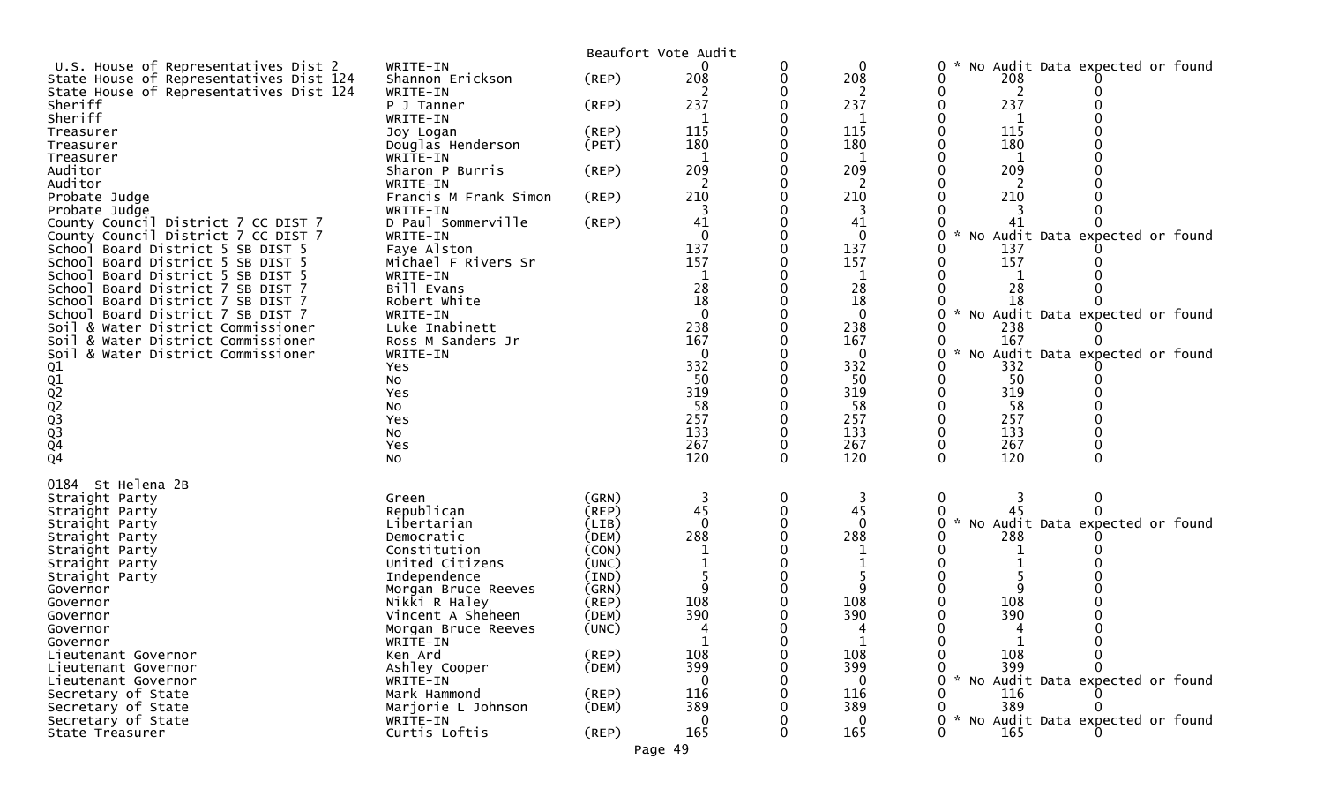|                                                                                 |                                          |                | Beaufort Vote Audit |        |                    |                                        |
|---------------------------------------------------------------------------------|------------------------------------------|----------------|---------------------|--------|--------------------|----------------------------------------|
| U.S. House of Representatives Dist 2<br>State House of Representatives Dist 124 | WRITE-IN<br>Shannon Erickson             | (REP)          | 208                 | 0<br>0 | $\mathbf 0$<br>208 | No Audit Data expected or found<br>208 |
| State House of Representatives Dist 124<br>Sheriff<br>Sheriff                   | WRITE-IN<br>P J Tanner<br>WRITE-IN       | $($ REP $)$    | 237<br>-1           |        | 2<br>237           | 2<br>237                               |
| Treasurer                                                                       | Joy Logan                                | $($ REP $)$    | 115                 |        | 115                | 115                                    |
| Treasurer                                                                       | Douglas Henderson                        | (PET)          | 180                 |        | 180                | 180                                    |
| Treasurer                                                                       | WRITE-IN                                 |                | -1                  |        | 1                  | 1                                      |
| Auditor<br>Auditor                                                              | Sharon P Burris<br>WRITE-IN              | (REP)          | 209<br>2            |        | 209<br>2           | 209                                    |
| Probate Judge                                                                   | Francis M Frank Simon                    | (REP)          | 210                 |        | 210                | 210                                    |
| Probate Judge                                                                   | WRITE-IN<br>D Paul Sommerville           | (REP)          | 41                  |        | 41                 | 41                                     |
| County Council District 7 CC DIST 7<br>County Council District 7 CC DIST 7      | WRITE-IN                                 |                | $\Omega$            |        | $\Omega$           | No Audit Data expected or found        |
| School Board District 5 SB DIST 5                                               | Faye Alston                              |                | 137                 |        | 137                | 137                                    |
| School Board District 5 SB DIST 5                                               | Michael F Rivers Sr                      |                | 157                 |        | 157                | 157                                    |
| School Board District 5 SB DIST 5                                               | WRITE-IN                                 |                |                     |        |                    |                                        |
| School<br>Board District 7 SB DIST 7                                            | Bill Evans<br>Robert White               |                | 28<br>18            |        | 28<br>18           | 28<br>18                               |
| School Board District 7 SB DIST 7<br>School Board District 7 SB DIST 7          | WRITE-IN                                 |                | $\Omega$            |        | $\Omega$           | No Audit Data expected or found        |
| Soil & Water District Commissioner                                              | Luke Inabinett                           |                | 238                 |        | 238                | 238                                    |
| Soil & Water District Commissioner                                              | Ross M Sanders Jr                        |                | 167                 |        | 167                | 167                                    |
| Soil & Water District Commissioner                                              | WRITE-IN                                 |                | $\Omega$            |        | 0                  | No Audit Data expected or found        |
|                                                                                 | Yes<br>No                                |                | 332<br>50           |        | 332<br>50          | 332<br>50                              |
|                                                                                 | Yes                                      |                | 319                 |        | 319                | 319                                    |
|                                                                                 | No                                       |                | 58                  |        | 58                 | 58                                     |
|                                                                                 | Yes                                      |                | 257                 |        | 257                | 257                                    |
|                                                                                 | No                                       |                | 133<br>267          |        | 133<br>267         | 133<br>267                             |
| Q1<br>Q2<br>Q2<br>Q3<br>Q3<br>Q4                                                | Yes<br>No                                |                | 120                 | 0      | 120                | 120                                    |
| St Helena 2B<br>0184                                                            |                                          |                |                     |        |                    |                                        |
| Straight Party                                                                  | Green                                    | (GRN)          |                     | 0      | 3                  | 0                                      |
| Straight Party                                                                  | Republican                               | (REP)          | 45                  | 0      | 45                 |                                        |
| Straight Party                                                                  | Libertarian                              | (LIB)          | $\Omega$            |        | $\Omega$           | No Audit Data expected or found        |
| Straight Party<br>Straight Party                                                | Democratic<br>Constitution               | (DEM)<br>(CON) | 288                 |        | 288                | 288                                    |
| Straight Party                                                                  | United Citizens                          | (UNC)          |                     |        |                    |                                        |
| Straight Party                                                                  | Independence                             | (IND)          |                     |        |                    |                                        |
| Governor                                                                        | Morgan Bruce Reeves                      | (GRN)          |                     |        |                    |                                        |
| Governor                                                                        | Nikki R Haley                            | (REP)          | 108                 |        | 108                | 108                                    |
| Governor<br>Governor                                                            | Vincent A Sheheen<br>Morgan Bruce Reeves | (DEM)<br>(UNC) | 390                 |        | 390                | 390                                    |
| Governor                                                                        | WRITE-IN                                 |                | 1                   |        |                    |                                        |
| Lieutenant Governor                                                             | Ken Ard                                  | (REP)          | 108                 |        | 108                | 108                                    |
| Lieutenant Governor                                                             | Ashley Cooper                            | (DEM)          | 399                 |        | 399                | 399                                    |
| Lieutenant Governor                                                             | WRITE-IN                                 |                | $\Omega$<br>116     |        | $\mathbf{0}$       | * No Audit Data expected or found      |
| Secretary of State<br>Secretary of State                                        | Mark Hammond<br>Marjorie L Johnson       | (REP)<br>(DEM) | 389                 |        | 116<br>389         | 116<br>389                             |
| Secretary of State                                                              | WRITE-IN                                 |                | $\Omega$            |        | $\Omega$           | No Audit Data expected or found        |
| State Treasurer                                                                 | Curtis Loftis                            | $($ REP $)$    | 165                 |        | 165                | 165                                    |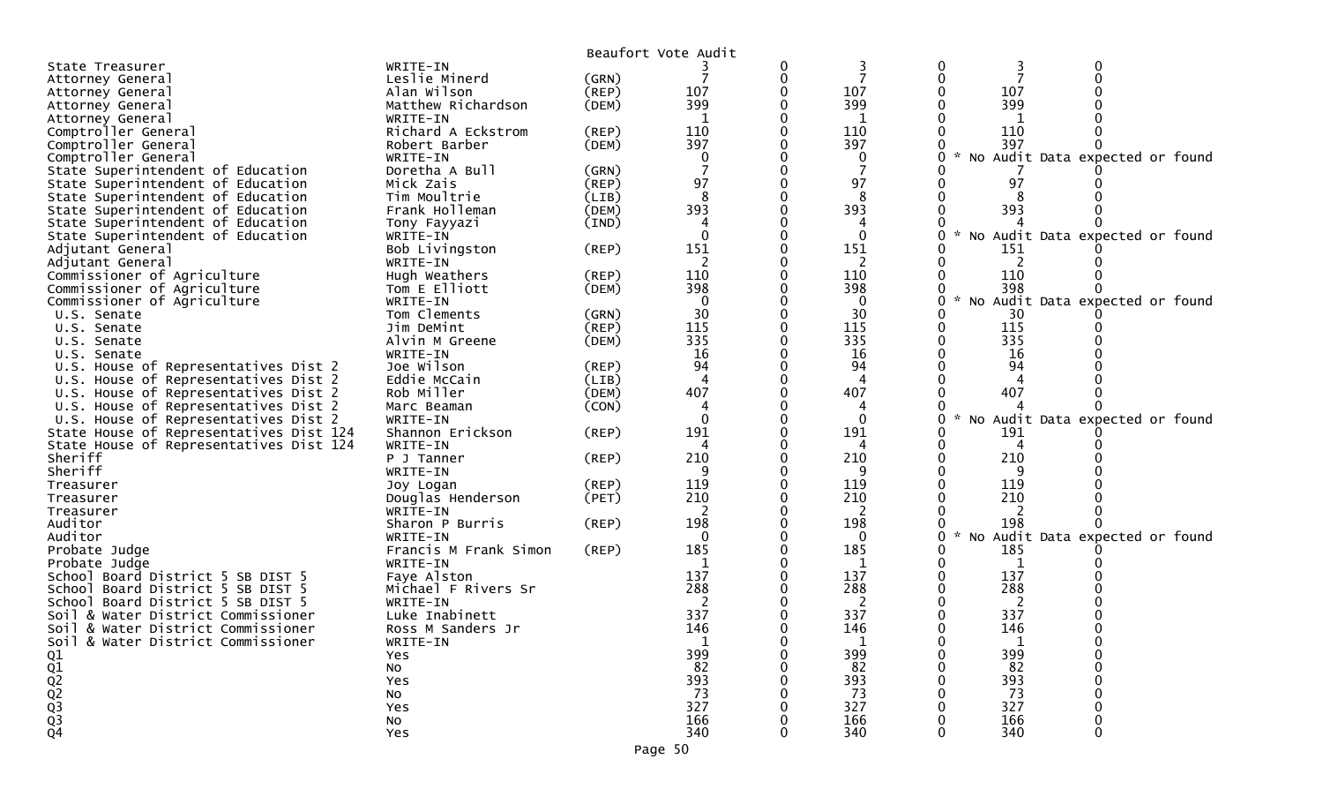|                                                    |                              |             | Beaufort Vote Audit |   |                 |     |                                   |
|----------------------------------------------------|------------------------------|-------------|---------------------|---|-----------------|-----|-----------------------------------|
| State Treasurer                                    | WRITE-IN                     |             |                     | 0 |                 |     |                                   |
| Attorney General                                   | Leslie Minerd                | (GRN)       |                     | 0 |                 |     |                                   |
| Attorney General                                   | Alan Wilson                  | $($ REP $)$ | 107                 |   | 107             | 107 |                                   |
| Attorney General                                   | Matthew Richardson           | (DEM)       | 399                 |   | 399             | 399 |                                   |
| Attorney General                                   | WRITE-IN                     |             |                     |   | 1               |     |                                   |
| Comptroller General                                | Richard A Eckstrom           | (REP)       | 110                 |   | 110             | 110 |                                   |
| Comptroller General                                | Robert Barber                | (DEM)       | 397                 |   | 397             | 397 |                                   |
| Comptroller General                                | WRITE-IN                     |             | 0                   |   | 0               |     | * No Audit Data expected or found |
| State Superintendent of Education                  | Doretha A Bull               | (GRN)       |                     |   |                 |     |                                   |
| State Superintendent of Education                  | Mick Zais                    | (REP)       | 97                  |   | 97              | 97  |                                   |
| State Superintendent of Education                  | Tim Moultrie                 | (LIB)       | 8                   |   | 8               |     |                                   |
| State Superintendent of Education                  | Frank Holleman               | (DEM)       | 393                 |   | 393             | 393 |                                   |
| State Superintendent of Education                  | Tony Fayyazi                 | (IND)       |                     |   |                 |     |                                   |
| State Superintendent of Education                  | WRITE-IN                     |             | $\Omega$            |   | $\Omega$        |     | * No Audit Data expected or found |
| Adjutant General                                   | Bob Livingston               | (REP)       | 151                 |   | 151             | 151 |                                   |
| Adjutant General                                   | WRITE-IN                     |             | 2                   |   | 2               |     |                                   |
| Commissioner of Agriculture                        | Hugh Weathers                | (REP)       | 110                 |   | 110             | 110 |                                   |
| Commissioner of Agriculture                        | Tom E Elliott                | (DEM)       | 398                 |   | 398             | 398 |                                   |
| Commissioner of Agriculture                        | WRITE-IN                     |             | $\Omega$            |   | $\Omega$        |     | No Audit Data expected or found   |
| U.S. Senate                                        | Tom Clements                 | (GRN)       | 30                  |   | 30              | 30  |                                   |
| U.S. Senate                                        | Jim DeMint                   | (REP)       | 115                 |   | 115             | 115 |                                   |
| U.S. Senate                                        | Alvin M Greene               | (DEM)       | 335                 |   | 335             | 335 |                                   |
| U.S. Senate                                        | WRITE-IN                     |             | 16                  |   | 16              | 16  |                                   |
| U.S. House of Representatives Dist 2               | Joe Wilson                   | (REP)       | 94                  |   | 94              | 94  |                                   |
| U.S. House of Representatives Dist 2               | Eddie McCain                 | (LIB)       |                     |   | 4               |     |                                   |
| U.S. House of Representatives Dist 2               | Rob Miller                   | (DEM)       | 407                 |   | 407             | 407 |                                   |
| U.S. House of Representatives Dist 2               | Marc Beaman                  | (CON)       |                     |   |                 |     |                                   |
| U.S. House of Representatives Dist 2               | WRITE-IN<br>Shannon Erickson |             | $\Omega$<br>191     |   | $\Omega$<br>191 |     | * No Audit Data expected or found |
| State House of Representatives Dist 124            |                              | $($ REP $)$ |                     |   |                 | 191 |                                   |
| State House of Representatives Dist 124<br>Sheriff | WRITE-IN<br>P J Tanner       | $($ REP $)$ | 210                 |   | 210             | 210 |                                   |
| Sheriff                                            | WRITE-IN                     |             |                     |   | q               |     |                                   |
| Treasurer                                          | Joy Logan                    | (REP)       | 119                 |   | 119             | 119 |                                   |
| Treasurer                                          | Douglas Henderson            | (PET)       | 210                 |   | 210             | 210 |                                   |
| Treasurer                                          | WRITE-IN                     |             |                     |   | 2               |     |                                   |
| Auditor                                            | Sharon P Burris              | (REP)       | 198                 |   | 198             | 198 |                                   |
| Auditor                                            | WRITE-IN                     |             | $\Omega$            |   | 0               |     | * No Audit Data expected or found |
| Probate Judge                                      | Francis M Frank Simon        | (REP)       | 185                 |   | 185             | 185 |                                   |
| Probate Judge                                      | WRITE-IN                     |             |                     |   |                 |     |                                   |
| School Board District 5 SB DIST 5                  | Faye Alston                  |             | 137                 |   | 137             | 137 |                                   |
| School Board District 5 SB DIST 5                  | Michael F Rivers Sr          |             | 288                 |   | 288             | 288 |                                   |
| School Board District 5 SB DIST 5                  | WRITE-IN                     |             |                     |   | 2               | 2   |                                   |
| Soil & Water District Commissioner                 | Luke Inabinett               |             | 337                 |   | 337             | 337 |                                   |
| Soil & Water District Commissioner                 | Ross M Sanders Jr            |             | 146                 |   | 146             | 146 |                                   |
| Soil & Water District Commissioner                 | WRITE-IN                     |             |                     |   |                 |     |                                   |
| Q1                                                 | Yes                          |             | 399                 |   | 399             | 399 |                                   |
|                                                    | No                           |             | 82                  |   | 82              | 82  |                                   |
|                                                    | Yes                          |             | 393                 |   | 393             | 393 |                                   |
|                                                    | No                           |             | 73                  |   | 73              | 73  |                                   |
|                                                    | Yes                          |             | 327                 |   | 327             | 327 |                                   |
| Q1<br>Q2<br>Q3<br>Q3<br>Q3<br>Q4                   | No                           |             | 166                 |   | 166             | 166 |                                   |
|                                                    | Yes                          |             | 340                 |   | 340             | 340 |                                   |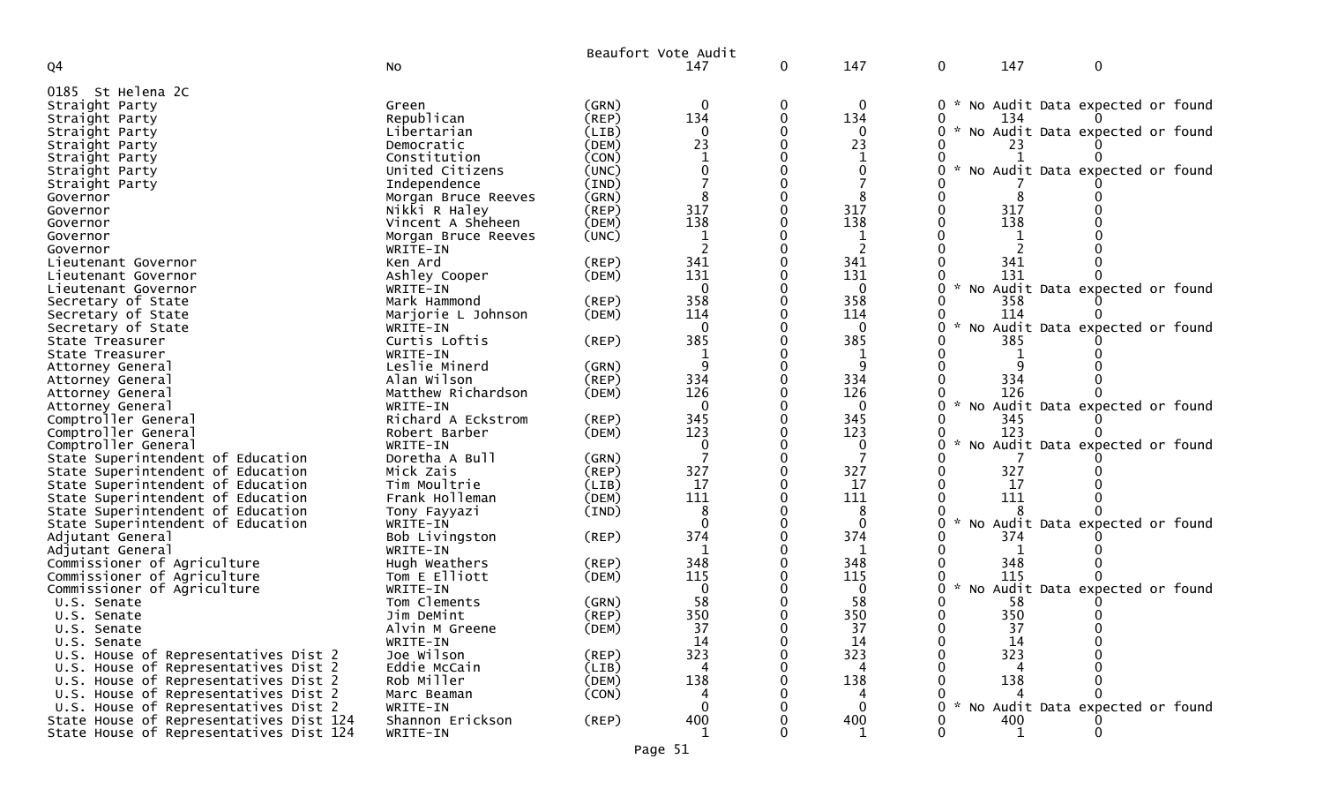|                                                                              |                           |                      | Beaufort Vote Audit |              |                 |               |           |                                   |
|------------------------------------------------------------------------------|---------------------------|----------------------|---------------------|--------------|-----------------|---------------|-----------|-----------------------------------|
| Q4                                                                           | No                        |                      | 147                 | $\mathbf{0}$ | 147             | $\mathbf 0$   | 147       | $\mathbf 0$                       |
| 0185 St Helena 2C                                                            |                           |                      |                     |              |                 |               |           |                                   |
| Straight Party                                                               | Green                     | (GRN)                | 0                   | 0            | 0               | $\mathbf{0}$  |           | * No Audit Data expected or found |
| Straight Party                                                               | Republican                | (REP)                | 134                 |              | 134             |               | 134       |                                   |
| Straight Party                                                               | Libertarian               | (LIB)                |                     |              | $\Omega$        | 0             |           | * No Audit Data expected or found |
| Straight Party                                                               | Democratic                | (DEM)                | 23                  |              | 23              |               |           |                                   |
| Straight Party                                                               | Constitution              | (CON)                |                     |              |                 |               |           |                                   |
| Straight Party                                                               | United Citizens           | (UNC)                |                     |              |                 |               |           | No Audit Data expected or found   |
| Straight Party                                                               | Independence              | (IND)                |                     |              |                 |               |           |                                   |
| Governor                                                                     | Morgan Bruce Reeves       | (GRN)                |                     |              |                 |               |           |                                   |
| Governor                                                                     | Nikki R Haley             | (REP)                | 317                 |              | 317             |               | 317       |                                   |
| Governor                                                                     | Vincent A Sheheen         | (DEM)                | 138                 |              | 138             |               | 138       |                                   |
| Governor                                                                     | Morgan Bruce Reeves       | (UNC)                |                     |              | 1               |               |           |                                   |
| Governor                                                                     | WRITE-IN                  |                      |                     |              | 2               |               |           |                                   |
| Lieutenant Governor                                                          | Ken Ard                   | (REP)                | 341                 |              | 341             |               | 341       |                                   |
| Lieutenant Governor                                                          | Ashley Cooper             | (DEM)                | 131                 |              | 131             |               | 131       |                                   |
| Lieutenant Governor                                                          | WRITE-IN                  |                      |                     |              | $\Omega$        |               |           | * No Audit Data expected or found |
| Secretary of State                                                           | Mark Hammond              | (REP)                | 358                 |              | 358             |               | 358       |                                   |
| Secretary of State                                                           | Marjorie L Johnson        | (DEM)                | 114<br>$\Omega$     |              | 114<br>$\Omega$ |               | 114       | No Audit Data expected or found   |
| Secretary of State<br>State Treasurer                                        | WRITE-IN<br>Curtis Loftis | (REP)                | 385                 |              | 385             |               | 385       |                                   |
| State Treasurer                                                              | WRITE-IN                  |                      |                     |              |                 |               |           |                                   |
| Attorney General                                                             | Leslie Minerd             | (GRN)                |                     |              |                 |               |           |                                   |
| Attorney General                                                             | Alan Wilson               | $($ REP $)$          | 334                 |              | 334             |               | 334       |                                   |
| Attorney General                                                             | Matthew Richardson        | (DEM)                | 126                 |              | 126             |               | 126       |                                   |
| Attorney General                                                             | WRITE-IN                  |                      | $\Omega$            |              | $\Omega$        | $\mathcal{H}$ |           | No Audit Data expected or found   |
| Comptroller General                                                          | Richard A Eckstrom        | (REP)                | 345                 |              | 345             |               | 345       |                                   |
| Comptroller General                                                          | Robert Barber             | (DEM)                | 123                 |              | 123             |               | 123       |                                   |
| Comptroller General                                                          | WRITE-IN                  |                      |                     |              | 0               | $\mathcal{R}$ |           | No Audit Data expected or found   |
| State Superintendent of Education                                            | Doretha A Bull            | (GRN)                |                     |              |                 |               |           |                                   |
| State Superintendent of Education                                            | Mick Zais                 | $($ REP $)$          | 327                 |              | 327             |               | 327       |                                   |
| State Superintendent of Education                                            | Tim Moultrie              | (LIB)                | 17                  |              | 17              |               | 17        |                                   |
| State Superintendent of Education                                            | Frank Holleman            | (DEM)                | 111                 |              | 111             |               | 111       |                                   |
| State Superintendent of Education                                            | Tony Fayyazi              | (IND)                |                     |              | 8               |               |           |                                   |
| State Superintendent of Education                                            | WRITE-IN                  |                      |                     |              | $\Omega$        | $\mathcal{R}$ |           | No Audit Data expected or found   |
| Adjutant General                                                             | Bob Livingston            | (REP)                | 374                 |              | 374             |               | 374       |                                   |
| Adjutant General                                                             | WRITE-IN                  |                      | 1                   |              | 1               |               |           |                                   |
| Commissioner of Agriculture                                                  | Hugh Weathers             | $($ REP $)$          | 348                 |              | 348             |               | 348       |                                   |
| Commissioner of Agriculture                                                  | Tom E Elliott             | (DEM)                | 115                 |              | 115             |               | 115       |                                   |
| Commissioner of Agriculture                                                  | WRITE-IN                  |                      |                     |              | 0               | $\mathcal{H}$ |           | No Audit Data expected or found   |
| U.S. Senate                                                                  | Tom Clements              | (GRN)                | 58                  |              | 58              |               | 58        |                                   |
| U.S. Senate                                                                  | Jim DeMint                | $($ REP $)$          | 350                 |              | 350             |               | 350       |                                   |
| U.S. Senate                                                                  | Alvin M Greene            | (DEM)                | 37<br>14            |              | 37<br>14        |               | 37        |                                   |
| U.S. Senate                                                                  | WRITE-IN<br>Joe Wilson    |                      | 323                 |              | 323             |               | 14<br>323 |                                   |
| U.S. House of Representatives Dist 2<br>U.S. House of Representatives Dist 2 | Eddie McCain              | $($ REP $)$<br>(LIB) | 4                   |              | 4               |               |           |                                   |
| U.S. House of Representatives Dist 2                                         | Rob Miller                | (DEM)                | 138                 |              | 138             |               | 138       |                                   |
| U.S. House of Representatives Dist 2                                         | Marc Beaman               | (CON)                |                     |              | 4               |               |           |                                   |
| U.S. House of Representatives Dist 2                                         | WRITE-IN                  |                      | 0                   |              | $\Omega$        |               |           | * No Audit Data expected or found |
| State House of Representatives Dist 124                                      | Shannon Erickson          | (REP)                | 400                 |              | 400             |               | 400       |                                   |
| State House of Representatives Dist 124                                      | WRITE-IN                  |                      | 1                   |              | 1               |               | 1         |                                   |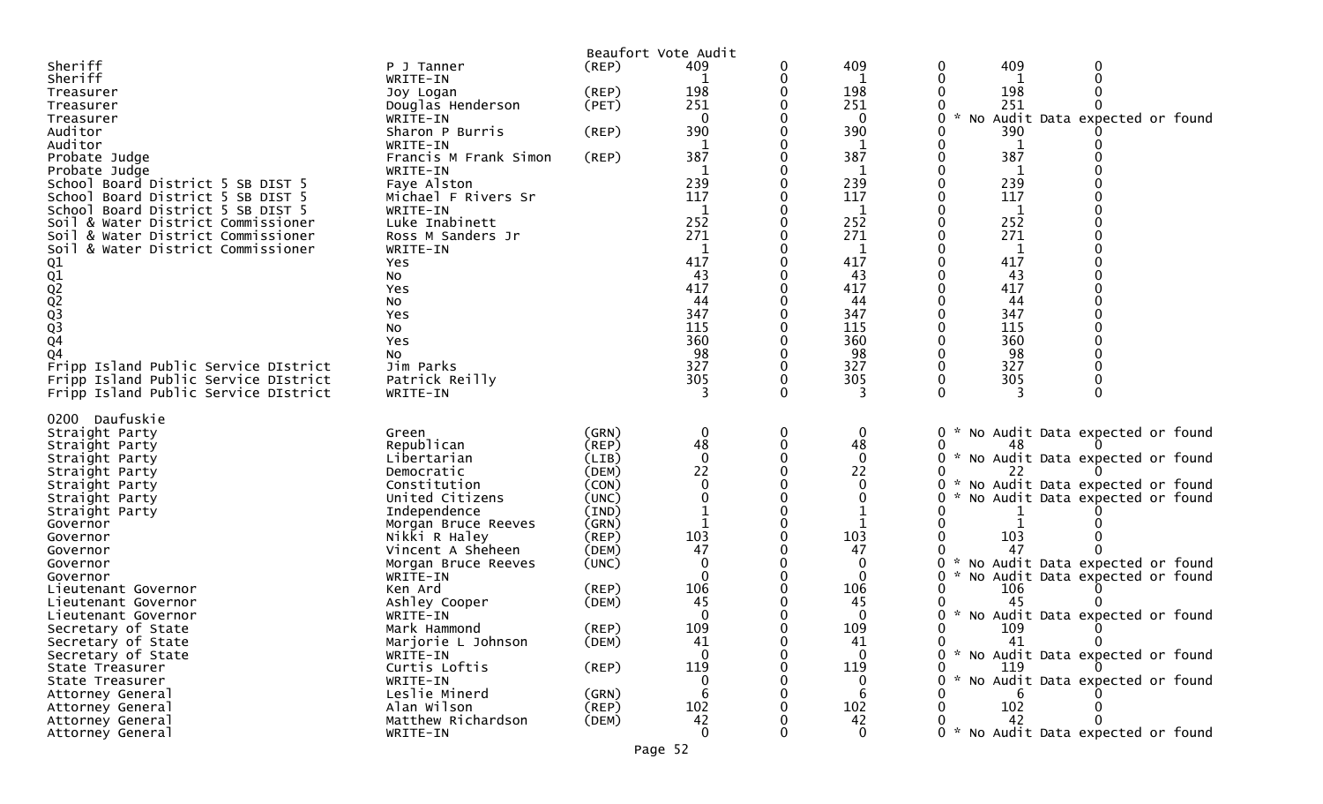| (REP)<br>0<br>P J Tanner<br>Sheriff<br>WRITE-IN<br>1<br>198<br>$($ REP $)$<br>198<br>198<br>Treasurer<br>Joy Logan<br>251<br>251<br>251<br>Douglas Henderson<br>(PET)<br>Treasurer<br>No Audit Data expected or found<br>$\mathbf 0$<br>$\mathbf 0$<br>0<br>$\sim$<br>Treasurer<br>WRITE-IN<br>390<br>390<br>390<br>Auditor<br>Sharon P Burris<br>(REP)<br>Auditor<br>WRITE-IN<br>1<br>1<br>1<br>387<br>387<br>387<br>Francis M Frank Simon<br>$($ REP $)$<br>Probate Judge<br>WRITE-IN<br>Probate Judge<br>239<br>239<br>239<br>School Board District 5 SB DIST 5<br>Faye Alston<br>117<br>117<br>117<br>School Board District 5 SB DIST 5<br>Michael F Rivers Sr<br>School Board District 5 SB DIST 5<br>WRITE-IN<br>1<br>252<br>252<br>252<br>Luke Inabinett<br>Soil & Water District Commissioner<br>271<br>271<br>271<br>& Water District Commissioner<br>Ross M Sanders Jr<br>Soil<br>WRITE-IN<br>& Water District Commissioner<br>Soil<br>417<br>417<br>417<br>01<br>01<br>02<br>02<br>03<br>03<br>04<br>Yes<br>43<br>43<br>43<br>No<br>417<br>417<br>417<br>Yes<br>44<br>44<br>44<br>No<br>347<br>347<br>347<br>Yes<br>115<br>115<br>115<br>No<br>360<br>360<br>360<br>Yes<br>98<br>98<br>98<br>Q4<br>No<br>327<br>327<br>327<br>Fripp Island Public Service DIstrict<br>Jim Parks<br>305<br>305<br>305<br>Fripp Island Public Service DIstrict<br>Patrick Reilly<br>Fripp Island Public Service DIstrict<br>WRITE-IN<br>3<br>3<br>3<br>0200 Daufuskie<br>$\mathbf 0$<br>0<br>$\mathbf 0$<br>* No Audit Data expected or found<br>Straight Party<br>(GRN)<br>0<br>Green<br>Republican<br>48<br>48<br>Straight Party<br>(REP)<br>48<br>* No Audit Data expected or found<br>$\Omega$<br>0<br>0<br>Libertarian<br>(LIB)<br>Straight Party<br>22<br>22<br>(DEM)<br>22<br>Straight Party<br>Democratic<br>$\mathbf{0}$<br>No Audit Data expected or found<br>Constitution<br>(CON)<br>Straight Party<br>United Citizens<br>(UNC)<br>0<br>No Audit Data expected or found<br>Straight Party<br>Straight Party<br>Independence<br>(IND)<br>$\mathbf{1}$<br>Governor<br>Morgan Bruce Reeves<br>(GRN)<br>103<br>103<br>Nikki R Haley<br>(REP)<br>103<br>Governor<br>47<br>47<br>47<br>Vincent A Sheheen<br>(DEM)<br>Governor<br>(UNC)<br>0<br>No Audit Data expected or found<br>Governor<br>Morgan Bruce Reeves<br>$\mathbf{0}$<br>$\sim$<br>No Audit Data expected or found<br>0<br>Governor<br>WRITE-IN<br>106<br>106<br>Ken Ard<br>(REP)<br>106<br>Lieutenant Governor<br>Ashley Cooper<br>(DEM)<br>45<br>45<br>45<br>Lieutenant Governor<br>0<br>$\sim$<br>No Audit Data expected or found<br>WRITE-IN<br>0<br>Lieutenant Governor<br>109<br>109<br>Secretary of State<br>Mark Hammond<br>(REP)<br>109<br>Secretary of State<br>Marjorie L Johnson<br>(DEM)<br>41<br>41<br>41<br>0<br>$\Omega$<br>$\mathbf{0}$<br>0 * No Audit Data expected or found<br>Secretary of State<br>WRITE-IN<br>119<br>119<br>Curtis Loftis<br>$($ REP $)$<br>State Treasurer<br>119<br>$\sim$<br>No Audit Data expected or found<br>WRITE-IN<br>0<br>U<br>State Treasurer<br>Leslie Minerd<br>(GRN)<br>6<br>6<br>Attorney General<br>Alan Wilson<br>102<br>$($ REP $)$<br>102<br>102<br>Attorney General<br>Matthew Richardson<br>42<br>42<br>42<br>(DEM)<br>Attorney General<br>$\mathbf 0$<br>$\mathbf 0$<br>0 * No Audit Data expected or found<br>Attorney General<br>WRITE-IN |         |  | Beaufort Vote Audit |     |     |
|---------------------------------------------------------------------------------------------------------------------------------------------------------------------------------------------------------------------------------------------------------------------------------------------------------------------------------------------------------------------------------------------------------------------------------------------------------------------------------------------------------------------------------------------------------------------------------------------------------------------------------------------------------------------------------------------------------------------------------------------------------------------------------------------------------------------------------------------------------------------------------------------------------------------------------------------------------------------------------------------------------------------------------------------------------------------------------------------------------------------------------------------------------------------------------------------------------------------------------------------------------------------------------------------------------------------------------------------------------------------------------------------------------------------------------------------------------------------------------------------------------------------------------------------------------------------------------------------------------------------------------------------------------------------------------------------------------------------------------------------------------------------------------------------------------------------------------------------------------------------------------------------------------------------------------------------------------------------------------------------------------------------------------------------------------------------------------------------------------------------------------------------------------------------------------------------------------------------------------------------------------------------------------------------------------------------------------------------------------------------------------------------------------------------------------------------------------------------------------------------------------------------------------------------------------------------------------------------------------------------------------------------------------------------------------------------------------------------------------------------------------------------------------------------------------------------------------------------------------------------------------------------------------------------------------------------------------------------------------------------------------------------------------------------------------------------------------------------------------------------------------------------------------------------------------------------------------------------------------------------------------------------------------------------------------------------------------------------------------------------|---------|--|---------------------|-----|-----|
|                                                                                                                                                                                                                                                                                                                                                                                                                                                                                                                                                                                                                                                                                                                                                                                                                                                                                                                                                                                                                                                                                                                                                                                                                                                                                                                                                                                                                                                                                                                                                                                                                                                                                                                                                                                                                                                                                                                                                                                                                                                                                                                                                                                                                                                                                                                                                                                                                                                                                                                                                                                                                                                                                                                                                                                                                                                                                                                                                                                                                                                                                                                                                                                                                                                                                                                                                                     | Sheriff |  | 409                 | 409 | 409 |
|                                                                                                                                                                                                                                                                                                                                                                                                                                                                                                                                                                                                                                                                                                                                                                                                                                                                                                                                                                                                                                                                                                                                                                                                                                                                                                                                                                                                                                                                                                                                                                                                                                                                                                                                                                                                                                                                                                                                                                                                                                                                                                                                                                                                                                                                                                                                                                                                                                                                                                                                                                                                                                                                                                                                                                                                                                                                                                                                                                                                                                                                                                                                                                                                                                                                                                                                                                     |         |  |                     |     |     |
|                                                                                                                                                                                                                                                                                                                                                                                                                                                                                                                                                                                                                                                                                                                                                                                                                                                                                                                                                                                                                                                                                                                                                                                                                                                                                                                                                                                                                                                                                                                                                                                                                                                                                                                                                                                                                                                                                                                                                                                                                                                                                                                                                                                                                                                                                                                                                                                                                                                                                                                                                                                                                                                                                                                                                                                                                                                                                                                                                                                                                                                                                                                                                                                                                                                                                                                                                                     |         |  |                     |     |     |
|                                                                                                                                                                                                                                                                                                                                                                                                                                                                                                                                                                                                                                                                                                                                                                                                                                                                                                                                                                                                                                                                                                                                                                                                                                                                                                                                                                                                                                                                                                                                                                                                                                                                                                                                                                                                                                                                                                                                                                                                                                                                                                                                                                                                                                                                                                                                                                                                                                                                                                                                                                                                                                                                                                                                                                                                                                                                                                                                                                                                                                                                                                                                                                                                                                                                                                                                                                     |         |  |                     |     |     |
|                                                                                                                                                                                                                                                                                                                                                                                                                                                                                                                                                                                                                                                                                                                                                                                                                                                                                                                                                                                                                                                                                                                                                                                                                                                                                                                                                                                                                                                                                                                                                                                                                                                                                                                                                                                                                                                                                                                                                                                                                                                                                                                                                                                                                                                                                                                                                                                                                                                                                                                                                                                                                                                                                                                                                                                                                                                                                                                                                                                                                                                                                                                                                                                                                                                                                                                                                                     |         |  |                     |     |     |
|                                                                                                                                                                                                                                                                                                                                                                                                                                                                                                                                                                                                                                                                                                                                                                                                                                                                                                                                                                                                                                                                                                                                                                                                                                                                                                                                                                                                                                                                                                                                                                                                                                                                                                                                                                                                                                                                                                                                                                                                                                                                                                                                                                                                                                                                                                                                                                                                                                                                                                                                                                                                                                                                                                                                                                                                                                                                                                                                                                                                                                                                                                                                                                                                                                                                                                                                                                     |         |  |                     |     |     |
|                                                                                                                                                                                                                                                                                                                                                                                                                                                                                                                                                                                                                                                                                                                                                                                                                                                                                                                                                                                                                                                                                                                                                                                                                                                                                                                                                                                                                                                                                                                                                                                                                                                                                                                                                                                                                                                                                                                                                                                                                                                                                                                                                                                                                                                                                                                                                                                                                                                                                                                                                                                                                                                                                                                                                                                                                                                                                                                                                                                                                                                                                                                                                                                                                                                                                                                                                                     |         |  |                     |     |     |
|                                                                                                                                                                                                                                                                                                                                                                                                                                                                                                                                                                                                                                                                                                                                                                                                                                                                                                                                                                                                                                                                                                                                                                                                                                                                                                                                                                                                                                                                                                                                                                                                                                                                                                                                                                                                                                                                                                                                                                                                                                                                                                                                                                                                                                                                                                                                                                                                                                                                                                                                                                                                                                                                                                                                                                                                                                                                                                                                                                                                                                                                                                                                                                                                                                                                                                                                                                     |         |  |                     |     |     |
|                                                                                                                                                                                                                                                                                                                                                                                                                                                                                                                                                                                                                                                                                                                                                                                                                                                                                                                                                                                                                                                                                                                                                                                                                                                                                                                                                                                                                                                                                                                                                                                                                                                                                                                                                                                                                                                                                                                                                                                                                                                                                                                                                                                                                                                                                                                                                                                                                                                                                                                                                                                                                                                                                                                                                                                                                                                                                                                                                                                                                                                                                                                                                                                                                                                                                                                                                                     |         |  |                     |     |     |
|                                                                                                                                                                                                                                                                                                                                                                                                                                                                                                                                                                                                                                                                                                                                                                                                                                                                                                                                                                                                                                                                                                                                                                                                                                                                                                                                                                                                                                                                                                                                                                                                                                                                                                                                                                                                                                                                                                                                                                                                                                                                                                                                                                                                                                                                                                                                                                                                                                                                                                                                                                                                                                                                                                                                                                                                                                                                                                                                                                                                                                                                                                                                                                                                                                                                                                                                                                     |         |  |                     |     |     |
|                                                                                                                                                                                                                                                                                                                                                                                                                                                                                                                                                                                                                                                                                                                                                                                                                                                                                                                                                                                                                                                                                                                                                                                                                                                                                                                                                                                                                                                                                                                                                                                                                                                                                                                                                                                                                                                                                                                                                                                                                                                                                                                                                                                                                                                                                                                                                                                                                                                                                                                                                                                                                                                                                                                                                                                                                                                                                                                                                                                                                                                                                                                                                                                                                                                                                                                                                                     |         |  |                     |     |     |
|                                                                                                                                                                                                                                                                                                                                                                                                                                                                                                                                                                                                                                                                                                                                                                                                                                                                                                                                                                                                                                                                                                                                                                                                                                                                                                                                                                                                                                                                                                                                                                                                                                                                                                                                                                                                                                                                                                                                                                                                                                                                                                                                                                                                                                                                                                                                                                                                                                                                                                                                                                                                                                                                                                                                                                                                                                                                                                                                                                                                                                                                                                                                                                                                                                                                                                                                                                     |         |  |                     |     |     |
|                                                                                                                                                                                                                                                                                                                                                                                                                                                                                                                                                                                                                                                                                                                                                                                                                                                                                                                                                                                                                                                                                                                                                                                                                                                                                                                                                                                                                                                                                                                                                                                                                                                                                                                                                                                                                                                                                                                                                                                                                                                                                                                                                                                                                                                                                                                                                                                                                                                                                                                                                                                                                                                                                                                                                                                                                                                                                                                                                                                                                                                                                                                                                                                                                                                                                                                                                                     |         |  |                     |     |     |
|                                                                                                                                                                                                                                                                                                                                                                                                                                                                                                                                                                                                                                                                                                                                                                                                                                                                                                                                                                                                                                                                                                                                                                                                                                                                                                                                                                                                                                                                                                                                                                                                                                                                                                                                                                                                                                                                                                                                                                                                                                                                                                                                                                                                                                                                                                                                                                                                                                                                                                                                                                                                                                                                                                                                                                                                                                                                                                                                                                                                                                                                                                                                                                                                                                                                                                                                                                     |         |  |                     |     |     |
|                                                                                                                                                                                                                                                                                                                                                                                                                                                                                                                                                                                                                                                                                                                                                                                                                                                                                                                                                                                                                                                                                                                                                                                                                                                                                                                                                                                                                                                                                                                                                                                                                                                                                                                                                                                                                                                                                                                                                                                                                                                                                                                                                                                                                                                                                                                                                                                                                                                                                                                                                                                                                                                                                                                                                                                                                                                                                                                                                                                                                                                                                                                                                                                                                                                                                                                                                                     |         |  |                     |     |     |
|                                                                                                                                                                                                                                                                                                                                                                                                                                                                                                                                                                                                                                                                                                                                                                                                                                                                                                                                                                                                                                                                                                                                                                                                                                                                                                                                                                                                                                                                                                                                                                                                                                                                                                                                                                                                                                                                                                                                                                                                                                                                                                                                                                                                                                                                                                                                                                                                                                                                                                                                                                                                                                                                                                                                                                                                                                                                                                                                                                                                                                                                                                                                                                                                                                                                                                                                                                     |         |  |                     |     |     |
|                                                                                                                                                                                                                                                                                                                                                                                                                                                                                                                                                                                                                                                                                                                                                                                                                                                                                                                                                                                                                                                                                                                                                                                                                                                                                                                                                                                                                                                                                                                                                                                                                                                                                                                                                                                                                                                                                                                                                                                                                                                                                                                                                                                                                                                                                                                                                                                                                                                                                                                                                                                                                                                                                                                                                                                                                                                                                                                                                                                                                                                                                                                                                                                                                                                                                                                                                                     |         |  |                     |     |     |
|                                                                                                                                                                                                                                                                                                                                                                                                                                                                                                                                                                                                                                                                                                                                                                                                                                                                                                                                                                                                                                                                                                                                                                                                                                                                                                                                                                                                                                                                                                                                                                                                                                                                                                                                                                                                                                                                                                                                                                                                                                                                                                                                                                                                                                                                                                                                                                                                                                                                                                                                                                                                                                                                                                                                                                                                                                                                                                                                                                                                                                                                                                                                                                                                                                                                                                                                                                     |         |  |                     |     |     |
|                                                                                                                                                                                                                                                                                                                                                                                                                                                                                                                                                                                                                                                                                                                                                                                                                                                                                                                                                                                                                                                                                                                                                                                                                                                                                                                                                                                                                                                                                                                                                                                                                                                                                                                                                                                                                                                                                                                                                                                                                                                                                                                                                                                                                                                                                                                                                                                                                                                                                                                                                                                                                                                                                                                                                                                                                                                                                                                                                                                                                                                                                                                                                                                                                                                                                                                                                                     |         |  |                     |     |     |
|                                                                                                                                                                                                                                                                                                                                                                                                                                                                                                                                                                                                                                                                                                                                                                                                                                                                                                                                                                                                                                                                                                                                                                                                                                                                                                                                                                                                                                                                                                                                                                                                                                                                                                                                                                                                                                                                                                                                                                                                                                                                                                                                                                                                                                                                                                                                                                                                                                                                                                                                                                                                                                                                                                                                                                                                                                                                                                                                                                                                                                                                                                                                                                                                                                                                                                                                                                     |         |  |                     |     |     |
|                                                                                                                                                                                                                                                                                                                                                                                                                                                                                                                                                                                                                                                                                                                                                                                                                                                                                                                                                                                                                                                                                                                                                                                                                                                                                                                                                                                                                                                                                                                                                                                                                                                                                                                                                                                                                                                                                                                                                                                                                                                                                                                                                                                                                                                                                                                                                                                                                                                                                                                                                                                                                                                                                                                                                                                                                                                                                                                                                                                                                                                                                                                                                                                                                                                                                                                                                                     |         |  |                     |     |     |
|                                                                                                                                                                                                                                                                                                                                                                                                                                                                                                                                                                                                                                                                                                                                                                                                                                                                                                                                                                                                                                                                                                                                                                                                                                                                                                                                                                                                                                                                                                                                                                                                                                                                                                                                                                                                                                                                                                                                                                                                                                                                                                                                                                                                                                                                                                                                                                                                                                                                                                                                                                                                                                                                                                                                                                                                                                                                                                                                                                                                                                                                                                                                                                                                                                                                                                                                                                     |         |  |                     |     |     |
|                                                                                                                                                                                                                                                                                                                                                                                                                                                                                                                                                                                                                                                                                                                                                                                                                                                                                                                                                                                                                                                                                                                                                                                                                                                                                                                                                                                                                                                                                                                                                                                                                                                                                                                                                                                                                                                                                                                                                                                                                                                                                                                                                                                                                                                                                                                                                                                                                                                                                                                                                                                                                                                                                                                                                                                                                                                                                                                                                                                                                                                                                                                                                                                                                                                                                                                                                                     |         |  |                     |     |     |
|                                                                                                                                                                                                                                                                                                                                                                                                                                                                                                                                                                                                                                                                                                                                                                                                                                                                                                                                                                                                                                                                                                                                                                                                                                                                                                                                                                                                                                                                                                                                                                                                                                                                                                                                                                                                                                                                                                                                                                                                                                                                                                                                                                                                                                                                                                                                                                                                                                                                                                                                                                                                                                                                                                                                                                                                                                                                                                                                                                                                                                                                                                                                                                                                                                                                                                                                                                     |         |  |                     |     |     |
|                                                                                                                                                                                                                                                                                                                                                                                                                                                                                                                                                                                                                                                                                                                                                                                                                                                                                                                                                                                                                                                                                                                                                                                                                                                                                                                                                                                                                                                                                                                                                                                                                                                                                                                                                                                                                                                                                                                                                                                                                                                                                                                                                                                                                                                                                                                                                                                                                                                                                                                                                                                                                                                                                                                                                                                                                                                                                                                                                                                                                                                                                                                                                                                                                                                                                                                                                                     |         |  |                     |     |     |
|                                                                                                                                                                                                                                                                                                                                                                                                                                                                                                                                                                                                                                                                                                                                                                                                                                                                                                                                                                                                                                                                                                                                                                                                                                                                                                                                                                                                                                                                                                                                                                                                                                                                                                                                                                                                                                                                                                                                                                                                                                                                                                                                                                                                                                                                                                                                                                                                                                                                                                                                                                                                                                                                                                                                                                                                                                                                                                                                                                                                                                                                                                                                                                                                                                                                                                                                                                     |         |  |                     |     |     |
|                                                                                                                                                                                                                                                                                                                                                                                                                                                                                                                                                                                                                                                                                                                                                                                                                                                                                                                                                                                                                                                                                                                                                                                                                                                                                                                                                                                                                                                                                                                                                                                                                                                                                                                                                                                                                                                                                                                                                                                                                                                                                                                                                                                                                                                                                                                                                                                                                                                                                                                                                                                                                                                                                                                                                                                                                                                                                                                                                                                                                                                                                                                                                                                                                                                                                                                                                                     |         |  |                     |     |     |
|                                                                                                                                                                                                                                                                                                                                                                                                                                                                                                                                                                                                                                                                                                                                                                                                                                                                                                                                                                                                                                                                                                                                                                                                                                                                                                                                                                                                                                                                                                                                                                                                                                                                                                                                                                                                                                                                                                                                                                                                                                                                                                                                                                                                                                                                                                                                                                                                                                                                                                                                                                                                                                                                                                                                                                                                                                                                                                                                                                                                                                                                                                                                                                                                                                                                                                                                                                     |         |  |                     |     |     |
|                                                                                                                                                                                                                                                                                                                                                                                                                                                                                                                                                                                                                                                                                                                                                                                                                                                                                                                                                                                                                                                                                                                                                                                                                                                                                                                                                                                                                                                                                                                                                                                                                                                                                                                                                                                                                                                                                                                                                                                                                                                                                                                                                                                                                                                                                                                                                                                                                                                                                                                                                                                                                                                                                                                                                                                                                                                                                                                                                                                                                                                                                                                                                                                                                                                                                                                                                                     |         |  |                     |     |     |
|                                                                                                                                                                                                                                                                                                                                                                                                                                                                                                                                                                                                                                                                                                                                                                                                                                                                                                                                                                                                                                                                                                                                                                                                                                                                                                                                                                                                                                                                                                                                                                                                                                                                                                                                                                                                                                                                                                                                                                                                                                                                                                                                                                                                                                                                                                                                                                                                                                                                                                                                                                                                                                                                                                                                                                                                                                                                                                                                                                                                                                                                                                                                                                                                                                                                                                                                                                     |         |  |                     |     |     |
|                                                                                                                                                                                                                                                                                                                                                                                                                                                                                                                                                                                                                                                                                                                                                                                                                                                                                                                                                                                                                                                                                                                                                                                                                                                                                                                                                                                                                                                                                                                                                                                                                                                                                                                                                                                                                                                                                                                                                                                                                                                                                                                                                                                                                                                                                                                                                                                                                                                                                                                                                                                                                                                                                                                                                                                                                                                                                                                                                                                                                                                                                                                                                                                                                                                                                                                                                                     |         |  |                     |     |     |
|                                                                                                                                                                                                                                                                                                                                                                                                                                                                                                                                                                                                                                                                                                                                                                                                                                                                                                                                                                                                                                                                                                                                                                                                                                                                                                                                                                                                                                                                                                                                                                                                                                                                                                                                                                                                                                                                                                                                                                                                                                                                                                                                                                                                                                                                                                                                                                                                                                                                                                                                                                                                                                                                                                                                                                                                                                                                                                                                                                                                                                                                                                                                                                                                                                                                                                                                                                     |         |  |                     |     |     |
|                                                                                                                                                                                                                                                                                                                                                                                                                                                                                                                                                                                                                                                                                                                                                                                                                                                                                                                                                                                                                                                                                                                                                                                                                                                                                                                                                                                                                                                                                                                                                                                                                                                                                                                                                                                                                                                                                                                                                                                                                                                                                                                                                                                                                                                                                                                                                                                                                                                                                                                                                                                                                                                                                                                                                                                                                                                                                                                                                                                                                                                                                                                                                                                                                                                                                                                                                                     |         |  |                     |     |     |
|                                                                                                                                                                                                                                                                                                                                                                                                                                                                                                                                                                                                                                                                                                                                                                                                                                                                                                                                                                                                                                                                                                                                                                                                                                                                                                                                                                                                                                                                                                                                                                                                                                                                                                                                                                                                                                                                                                                                                                                                                                                                                                                                                                                                                                                                                                                                                                                                                                                                                                                                                                                                                                                                                                                                                                                                                                                                                                                                                                                                                                                                                                                                                                                                                                                                                                                                                                     |         |  |                     |     |     |
|                                                                                                                                                                                                                                                                                                                                                                                                                                                                                                                                                                                                                                                                                                                                                                                                                                                                                                                                                                                                                                                                                                                                                                                                                                                                                                                                                                                                                                                                                                                                                                                                                                                                                                                                                                                                                                                                                                                                                                                                                                                                                                                                                                                                                                                                                                                                                                                                                                                                                                                                                                                                                                                                                                                                                                                                                                                                                                                                                                                                                                                                                                                                                                                                                                                                                                                                                                     |         |  |                     |     |     |
|                                                                                                                                                                                                                                                                                                                                                                                                                                                                                                                                                                                                                                                                                                                                                                                                                                                                                                                                                                                                                                                                                                                                                                                                                                                                                                                                                                                                                                                                                                                                                                                                                                                                                                                                                                                                                                                                                                                                                                                                                                                                                                                                                                                                                                                                                                                                                                                                                                                                                                                                                                                                                                                                                                                                                                                                                                                                                                                                                                                                                                                                                                                                                                                                                                                                                                                                                                     |         |  |                     |     |     |
|                                                                                                                                                                                                                                                                                                                                                                                                                                                                                                                                                                                                                                                                                                                                                                                                                                                                                                                                                                                                                                                                                                                                                                                                                                                                                                                                                                                                                                                                                                                                                                                                                                                                                                                                                                                                                                                                                                                                                                                                                                                                                                                                                                                                                                                                                                                                                                                                                                                                                                                                                                                                                                                                                                                                                                                                                                                                                                                                                                                                                                                                                                                                                                                                                                                                                                                                                                     |         |  |                     |     |     |
|                                                                                                                                                                                                                                                                                                                                                                                                                                                                                                                                                                                                                                                                                                                                                                                                                                                                                                                                                                                                                                                                                                                                                                                                                                                                                                                                                                                                                                                                                                                                                                                                                                                                                                                                                                                                                                                                                                                                                                                                                                                                                                                                                                                                                                                                                                                                                                                                                                                                                                                                                                                                                                                                                                                                                                                                                                                                                                                                                                                                                                                                                                                                                                                                                                                                                                                                                                     |         |  |                     |     |     |
|                                                                                                                                                                                                                                                                                                                                                                                                                                                                                                                                                                                                                                                                                                                                                                                                                                                                                                                                                                                                                                                                                                                                                                                                                                                                                                                                                                                                                                                                                                                                                                                                                                                                                                                                                                                                                                                                                                                                                                                                                                                                                                                                                                                                                                                                                                                                                                                                                                                                                                                                                                                                                                                                                                                                                                                                                                                                                                                                                                                                                                                                                                                                                                                                                                                                                                                                                                     |         |  |                     |     |     |
|                                                                                                                                                                                                                                                                                                                                                                                                                                                                                                                                                                                                                                                                                                                                                                                                                                                                                                                                                                                                                                                                                                                                                                                                                                                                                                                                                                                                                                                                                                                                                                                                                                                                                                                                                                                                                                                                                                                                                                                                                                                                                                                                                                                                                                                                                                                                                                                                                                                                                                                                                                                                                                                                                                                                                                                                                                                                                                                                                                                                                                                                                                                                                                                                                                                                                                                                                                     |         |  |                     |     |     |
|                                                                                                                                                                                                                                                                                                                                                                                                                                                                                                                                                                                                                                                                                                                                                                                                                                                                                                                                                                                                                                                                                                                                                                                                                                                                                                                                                                                                                                                                                                                                                                                                                                                                                                                                                                                                                                                                                                                                                                                                                                                                                                                                                                                                                                                                                                                                                                                                                                                                                                                                                                                                                                                                                                                                                                                                                                                                                                                                                                                                                                                                                                                                                                                                                                                                                                                                                                     |         |  |                     |     |     |
|                                                                                                                                                                                                                                                                                                                                                                                                                                                                                                                                                                                                                                                                                                                                                                                                                                                                                                                                                                                                                                                                                                                                                                                                                                                                                                                                                                                                                                                                                                                                                                                                                                                                                                                                                                                                                                                                                                                                                                                                                                                                                                                                                                                                                                                                                                                                                                                                                                                                                                                                                                                                                                                                                                                                                                                                                                                                                                                                                                                                                                                                                                                                                                                                                                                                                                                                                                     |         |  |                     |     |     |
|                                                                                                                                                                                                                                                                                                                                                                                                                                                                                                                                                                                                                                                                                                                                                                                                                                                                                                                                                                                                                                                                                                                                                                                                                                                                                                                                                                                                                                                                                                                                                                                                                                                                                                                                                                                                                                                                                                                                                                                                                                                                                                                                                                                                                                                                                                                                                                                                                                                                                                                                                                                                                                                                                                                                                                                                                                                                                                                                                                                                                                                                                                                                                                                                                                                                                                                                                                     |         |  |                     |     |     |
|                                                                                                                                                                                                                                                                                                                                                                                                                                                                                                                                                                                                                                                                                                                                                                                                                                                                                                                                                                                                                                                                                                                                                                                                                                                                                                                                                                                                                                                                                                                                                                                                                                                                                                                                                                                                                                                                                                                                                                                                                                                                                                                                                                                                                                                                                                                                                                                                                                                                                                                                                                                                                                                                                                                                                                                                                                                                                                                                                                                                                                                                                                                                                                                                                                                                                                                                                                     |         |  |                     |     |     |
|                                                                                                                                                                                                                                                                                                                                                                                                                                                                                                                                                                                                                                                                                                                                                                                                                                                                                                                                                                                                                                                                                                                                                                                                                                                                                                                                                                                                                                                                                                                                                                                                                                                                                                                                                                                                                                                                                                                                                                                                                                                                                                                                                                                                                                                                                                                                                                                                                                                                                                                                                                                                                                                                                                                                                                                                                                                                                                                                                                                                                                                                                                                                                                                                                                                                                                                                                                     |         |  |                     |     |     |
|                                                                                                                                                                                                                                                                                                                                                                                                                                                                                                                                                                                                                                                                                                                                                                                                                                                                                                                                                                                                                                                                                                                                                                                                                                                                                                                                                                                                                                                                                                                                                                                                                                                                                                                                                                                                                                                                                                                                                                                                                                                                                                                                                                                                                                                                                                                                                                                                                                                                                                                                                                                                                                                                                                                                                                                                                                                                                                                                                                                                                                                                                                                                                                                                                                                                                                                                                                     |         |  |                     |     |     |
|                                                                                                                                                                                                                                                                                                                                                                                                                                                                                                                                                                                                                                                                                                                                                                                                                                                                                                                                                                                                                                                                                                                                                                                                                                                                                                                                                                                                                                                                                                                                                                                                                                                                                                                                                                                                                                                                                                                                                                                                                                                                                                                                                                                                                                                                                                                                                                                                                                                                                                                                                                                                                                                                                                                                                                                                                                                                                                                                                                                                                                                                                                                                                                                                                                                                                                                                                                     |         |  |                     |     |     |
|                                                                                                                                                                                                                                                                                                                                                                                                                                                                                                                                                                                                                                                                                                                                                                                                                                                                                                                                                                                                                                                                                                                                                                                                                                                                                                                                                                                                                                                                                                                                                                                                                                                                                                                                                                                                                                                                                                                                                                                                                                                                                                                                                                                                                                                                                                                                                                                                                                                                                                                                                                                                                                                                                                                                                                                                                                                                                                                                                                                                                                                                                                                                                                                                                                                                                                                                                                     |         |  |                     |     |     |
|                                                                                                                                                                                                                                                                                                                                                                                                                                                                                                                                                                                                                                                                                                                                                                                                                                                                                                                                                                                                                                                                                                                                                                                                                                                                                                                                                                                                                                                                                                                                                                                                                                                                                                                                                                                                                                                                                                                                                                                                                                                                                                                                                                                                                                                                                                                                                                                                                                                                                                                                                                                                                                                                                                                                                                                                                                                                                                                                                                                                                                                                                                                                                                                                                                                                                                                                                                     |         |  |                     |     |     |
|                                                                                                                                                                                                                                                                                                                                                                                                                                                                                                                                                                                                                                                                                                                                                                                                                                                                                                                                                                                                                                                                                                                                                                                                                                                                                                                                                                                                                                                                                                                                                                                                                                                                                                                                                                                                                                                                                                                                                                                                                                                                                                                                                                                                                                                                                                                                                                                                                                                                                                                                                                                                                                                                                                                                                                                                                                                                                                                                                                                                                                                                                                                                                                                                                                                                                                                                                                     |         |  |                     |     |     |
|                                                                                                                                                                                                                                                                                                                                                                                                                                                                                                                                                                                                                                                                                                                                                                                                                                                                                                                                                                                                                                                                                                                                                                                                                                                                                                                                                                                                                                                                                                                                                                                                                                                                                                                                                                                                                                                                                                                                                                                                                                                                                                                                                                                                                                                                                                                                                                                                                                                                                                                                                                                                                                                                                                                                                                                                                                                                                                                                                                                                                                                                                                                                                                                                                                                                                                                                                                     |         |  |                     |     |     |
|                                                                                                                                                                                                                                                                                                                                                                                                                                                                                                                                                                                                                                                                                                                                                                                                                                                                                                                                                                                                                                                                                                                                                                                                                                                                                                                                                                                                                                                                                                                                                                                                                                                                                                                                                                                                                                                                                                                                                                                                                                                                                                                                                                                                                                                                                                                                                                                                                                                                                                                                                                                                                                                                                                                                                                                                                                                                                                                                                                                                                                                                                                                                                                                                                                                                                                                                                                     |         |  |                     |     |     |
|                                                                                                                                                                                                                                                                                                                                                                                                                                                                                                                                                                                                                                                                                                                                                                                                                                                                                                                                                                                                                                                                                                                                                                                                                                                                                                                                                                                                                                                                                                                                                                                                                                                                                                                                                                                                                                                                                                                                                                                                                                                                                                                                                                                                                                                                                                                                                                                                                                                                                                                                                                                                                                                                                                                                                                                                                                                                                                                                                                                                                                                                                                                                                                                                                                                                                                                                                                     |         |  |                     |     |     |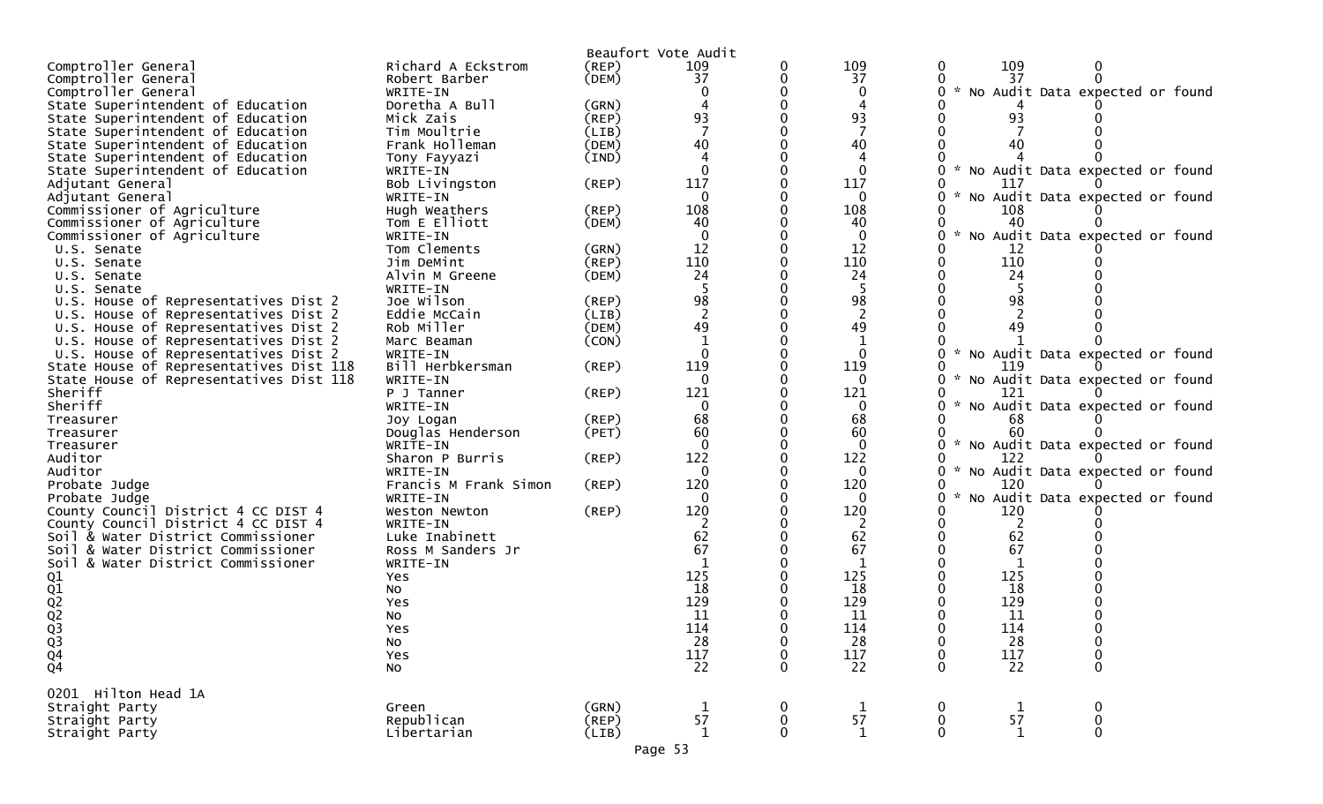|                                         |                             |                | Beaufort Vote Audit          |                             |                     |                    |             |                                   |
|-----------------------------------------|-----------------------------|----------------|------------------------------|-----------------------------|---------------------|--------------------|-------------|-----------------------------------|
| Comptroller General                     | Richard A Eckstrom          | (REP)          | 109                          | 0                           | 109                 | 0                  | 109         |                                   |
| Comptroller General                     | Robert Barber               | (DEM)          | 37                           | 0                           | 37                  |                    | 37          |                                   |
| Comptroller General                     | WRITE-IN                    |                |                              |                             | $\mathbf{0}$        | 0                  |             | * No Audit Data expected or found |
| State Superintendent of Education       | Doretha A Bull              | (GRN)          |                              |                             | 4                   |                    |             |                                   |
| State Superintendent of Education       | Mick Zais                   | (REP)          | 93                           |                             | 93                  |                    | 93          |                                   |
| State Superintendent of Education       | Tim Moultrie                | (LIB)          |                              |                             |                     |                    |             |                                   |
| State Superintendent of Education       | Frank Holleman              | (DEM)          | 40                           |                             | 40                  |                    | 40          |                                   |
| State Superintendent of Education       | Tony Fayyazi                | (IND)          |                              |                             |                     |                    |             |                                   |
| State Superintendent of Education       | WRITE-IN                    |                | $\Omega$                     |                             | $\mathbf{0}$        |                    |             | * No Audit Data expected or found |
| Adjutant General                        | Bob Livingston              | $($ REP $)$    | 117                          |                             | 117                 |                    | 117         |                                   |
| Adjutant General                        | WRITE-IN                    |                |                              |                             | 0                   | $\mathcal{H}$      |             | No Audit Data expected or found   |
| Commissioner of Agriculture             | Hugh Weathers               | (REP)          | 108                          |                             | 108                 |                    | 108         |                                   |
| Commissioner of Agriculture             | Tom E Elliott               | (DEM)          | 40                           |                             | 40                  |                    | 40          |                                   |
| Commissioner of Agriculture             | WRITE-IN                    |                |                              |                             | 0                   |                    |             | No Audit Data expected or found   |
| U.S. Senate                             | Tom Clements                | (GRN)          | 12                           |                             | 12                  |                    | 12          |                                   |
| U.S. Senate                             | Jim DeMint                  | (REP)          | 110                          |                             | 110                 |                    | 110         |                                   |
| U.S. Senate                             | Alvin M Greene              | (DEM)          | 24                           |                             | 24                  |                    | 24          |                                   |
| U.S. Senate                             | WRITE-IN                    |                |                              |                             | -5                  |                    |             |                                   |
| U.S. House of Representatives Dist 2    | Joe Wilson                  | (REP)          | 98                           |                             | 98                  |                    | 98          |                                   |
| U.S. House of Representatives Dist 2    | Eddie McCain                | (LIB)          |                              |                             | 2                   |                    |             |                                   |
| U.S. House of Representatives Dist 2    | Rob Miller                  | (DEM)          | 49                           |                             | 49                  |                    | 49          |                                   |
| U.S. House of Representatives Dist 2    | Marc Beaman                 | (CON)          |                              |                             | $\mathbf 1$         |                    |             |                                   |
| U.S. House of Representatives Dist 2    | WRITE-IN                    |                |                              |                             | 0                   |                    |             | * No Audit Data expected or found |
| State House of Representatives Dist 118 | Bill Herbkersman            | (REP)          | 119                          |                             | 119                 |                    | 119         |                                   |
| State House of Representatives Dist 118 | WRITE-IN                    |                | $\Omega$                     |                             | $\mathbf{0}$        | 0                  |             | * No Audit Data expected or found |
| Sheriff                                 | P J Tanner                  | $($ REP $)$    | 121                          |                             | 121                 |                    | 121         |                                   |
| Sheriff                                 | WRITE-IN                    |                | $\mathbf{0}$                 |                             | $\Omega$            | 0                  |             | * No Audit Data expected or found |
| Treasurer                               | Joy Logan                   | (REP)          | 68<br>60                     |                             | 68                  |                    | 68<br>60    |                                   |
| Treasurer                               | Douglas Henderson           | (PET)          | $\Omega$                     |                             | 60                  |                    |             |                                   |
| Treasurer<br>Auditor                    | WRITE-IN<br>Sharon P Burris | (REP)          | 122                          |                             | $\mathbf{0}$<br>122 | 0.                 | 122         | * No Audit Data expected or found |
| Auditor                                 | WRITE-IN                    |                | 0                            |                             | $\Omega$            | 0                  |             | * No Audit Data expected or found |
| Probate Judge                           | Francis M Frank Simon       | (REP)          | 120                          |                             | 120                 | 0                  | 120         |                                   |
| Probate Judge                           | WRITE-IN                    |                | 0                            |                             | 0                   | $\mathcal{H}$<br>U |             | No Audit Data expected or found   |
| County Council District 4 CC DIST 4     | Weston Newton               | $($ REP $)$    | 120                          |                             | 120                 |                    | 120         |                                   |
| County Council District 4 CC DIST 4     | WRITE-IN                    |                |                              |                             | 2                   |                    | 2           |                                   |
| Soil & Water District Commissioner      | Luke Inabinett              |                | 62                           |                             | 62                  |                    | 62          |                                   |
| Soil & Water District Commissioner      | Ross M Sanders Jr           |                | 67                           |                             | 67                  |                    | 67          |                                   |
| Soil & Water District Commissioner      | WRITE-IN                    |                |                              |                             | 1                   |                    | -1          |                                   |
|                                         | Yes                         |                | 125                          |                             | 125                 |                    | 125         |                                   |
| $Q_1$<br>$Q_2$<br>$Q_2$<br>$Q_3$        | No                          |                | 18                           |                             | 18                  |                    | 18          |                                   |
|                                         | Yes                         |                | 129                          |                             | 129                 |                    | 129         |                                   |
|                                         | No                          |                | 11                           |                             | 11                  |                    | 11          |                                   |
|                                         | <b>Yes</b>                  |                | 114                          |                             | 114                 |                    | 114         |                                   |
|                                         | No                          |                | 28                           | 0                           | 28                  | 0                  | 28          | $\pmb{0}$                         |
|                                         | Yes                         |                |                              | $\mathbf 0$                 | 117                 | 0                  | $117\,$     | 0                                 |
| $Q_3$<br>$Q_4$<br>$Q_4$                 | No                          |                | $\frac{1\bar{1}\bar{7}}{22}$ | $\mathbf{0}$                | 22                  | 0                  | 22          | $\mathbf 0$                       |
|                                         |                             |                |                              |                             |                     |                    |             |                                   |
| 0201 Hilton Head 1A                     |                             |                |                              |                             |                     |                    |             |                                   |
| Straight Party                          | Green                       | (GRN)          | $\mathbf{1}$                 | $\bf{0}$                    | $\mathbf{1}$        | 0                  | $\mathbf 1$ | 0                                 |
| Straight Party<br>Straight Party        | Republican<br>Libertarian   | (REP)<br>(LIB) | 57<br>$\mathbf{1}$           | $\mathbf 0$<br>$\mathbf{0}$ | 57<br>$\mathbf{1}$  | $\mathbf 0$<br>0   | 57<br>1     | $\pmb{0}$<br>0                    |
|                                         |                             |                |                              |                             |                     |                    |             |                                   |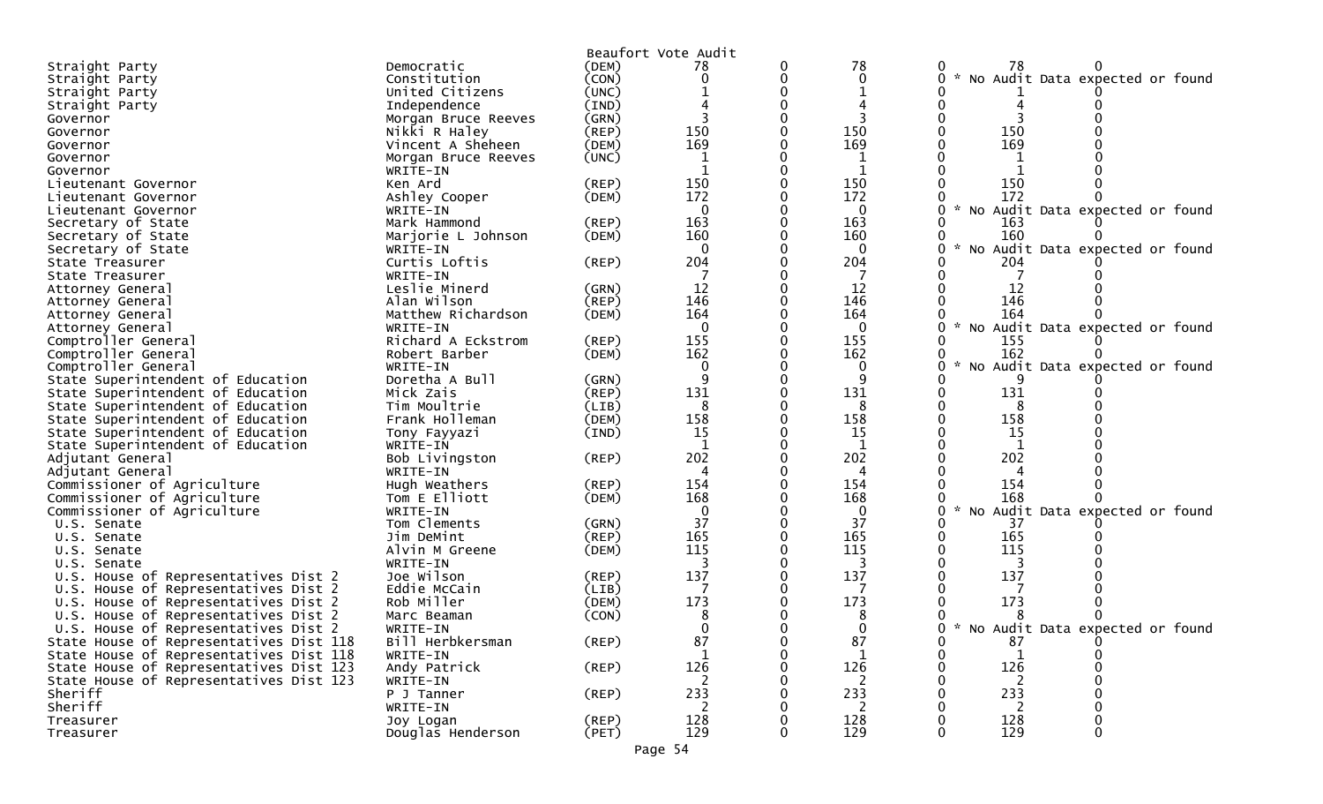|                                         |                     |             | Beaufort Vote Audit |   |              |                                                  |
|-----------------------------------------|---------------------|-------------|---------------------|---|--------------|--------------------------------------------------|
| Straight Party                          | Democratic          | (DEM)       | 78                  |   | 78           | 78                                               |
| Straight Party                          | Constitution        | (CON)       |                     | 0 | $\mathbf{0}$ | No Audit Data expected or found                  |
| Straight Party                          | United Citizens     | (UNC)       |                     |   |              |                                                  |
| Straight Party                          | Independence        | (IND)       |                     |   |              |                                                  |
| Governor                                | Morgan Bruce Reeves | (GRN)       |                     |   |              |                                                  |
| Governor                                | Nikki R Haley       | $($ REP $)$ | 150                 |   | 150          | 150                                              |
| Governor                                | Vincent A Sheheen   | (DEM)       | 169                 |   | 169          | 169                                              |
| Governor                                | Morgan Bruce Reeves | (UNC)       | 1                   |   | 1            |                                                  |
| Governor                                | WRITE-IN            |             |                     |   |              |                                                  |
| Lieutenant Governor                     | Ken Ard             | $($ REP $)$ | 150                 |   | 150          | 150                                              |
| Lieutenant Governor                     | Ashley Cooper       | (DEM)       | 172                 |   | 172          | 172                                              |
| Lieutenant Governor                     | WRITE-IN            |             | $\mathbf{0}$        |   | $\Omega$     | No Audit Data expected or found                  |
| Secretary of State                      | Mark Hammond        | (REP)       | 163                 |   | 163          | 163                                              |
| Secretary of State                      | Marjorie L Johnson  | (DEM)       | 160                 |   | 160          | 160                                              |
| Secretary of State                      | WRITE-IN            |             | $\Omega$            |   | $\Omega$     | $\mathcal{H}$<br>No Audit Data expected or found |
| State Treasurer                         | Curtis Loftis       | (REP)       | 204                 |   | 204          | 204                                              |
| State Treasurer                         | WRITE-IN            |             |                     |   |              |                                                  |
| Attorney General                        | Leslie Minerd       | (GRN)       | 12                  |   | 12           | 12                                               |
| Attorney General                        | Alan Wilson         | (REP)       | 146                 |   | 146          | 146                                              |
| Attorney General                        | Matthew Richardson  | (DEM)       | 164                 |   | 164          | 164                                              |
| Attorney General                        | WRITE-IN            |             | 0                   |   | $\Omega$     | $\mathcal{H}$<br>No Audit Data expected or found |
| Comptroller General                     | Richard A Eckstrom  | (REP)       | 155                 |   | 155          | 155                                              |
| Comptroller General                     | Robert Barber       | (DEM)       | 162                 |   | 162          | 162                                              |
| Comptroller General                     | WRITE-IN            |             | 0                   |   | 0            | No Audit Data expected or found                  |
| State Superintendent of Education       | Doretha A Bull      | (GRN)       | 9                   |   | 9            |                                                  |
| State Superintendent of Education       | Mick Zais           | $($ REP $)$ | 131                 |   | 131          | 131                                              |
| State Superintendent of Education       | Tim Moultrie        | (LIB)       | 8                   |   | 8            |                                                  |
| State Superintendent of Education       | Frank Holleman      | (DEM)       | 158                 |   | 158          | 158                                              |
| State Superintendent of Education       | Tony Fayyazi        | (IND)       | <b>15</b>           |   | 15           | 15                                               |
| State Superintendent of Education       | WRITE-IN            |             |                     |   |              |                                                  |
| Adjutant General                        | Bob Livingston      | (REP)       | 202                 |   | 202          | 202                                              |
| Adjutant General                        | WRITE-IN            |             |                     |   | 4            |                                                  |
| Commissioner of Agriculture             | Hugh Weathers       | (REP)       | 154                 |   | 154          | 154                                              |
| Commissioner of Agriculture             | Tom E Elliott       | (DEM)       | 168                 |   | 168          | 168                                              |
| Commissioner of Agriculture             | WRITE-IN            |             | $\Omega$            |   | $\Omega$     | No Audit Data expected or found                  |
| U.S. Senate                             | Tom Clements        | (GRN)       | 37                  |   | 37           | 37                                               |
| U.S. Senate                             | Jim DeMint          | $($ REP $)$ | 165                 |   | 165          | 165                                              |
| U.S. Senate                             | Alvin M Greene      | (DEM)       | 115                 |   | 115          | 115                                              |
| U.S. Senate                             | WRITE-IN            |             |                     |   |              |                                                  |
| U.S. House of Representatives Dist 2    | Joe Wilson          | (REP)       | 137                 |   | 137          | 137                                              |
| U.S. House of Representatives Dist 2    | Eddie McCain        | (LIB)       |                     |   |              |                                                  |
| U.S. House of Representatives Dist 2    | Rob Miller          | (DEM)       | 173                 |   | 173          | 173                                              |
| U.S. House of Representatives Dist 2    | Marc Beaman         | (CON)       | 8                   |   | 8            |                                                  |
| U.S. House of Representatives Dist 2    | WRITE-IN            |             | 0                   |   | $\mathbf{0}$ | 0<br>No Audit Data expected or found<br>*        |
| State House of Representatives Dist 118 | Bill Herbkersman    | (REP)       | 87                  | 0 | 87           | 87                                               |
| State House of Representatives Dist 118 | WRITE-IN            |             | $\mathbf{1}$        | 0 |              |                                                  |
| State House of Representatives Dist 123 | Andy Patrick        | $($ REP $)$ | 126                 |   | 126          | 126                                              |
| State House of Representatives Dist 123 | WRITE-IN            |             | 2                   |   | 2            | 2                                                |
| Sheriff                                 | P J Tanner          | $($ REP $)$ | 233                 |   | 233          | 233                                              |
| Sheriff                                 | WRITE-IN            |             | 2                   |   | 2            | 2                                                |
| Treasurer                               | Joy Logan           | $($ REP $)$ | 128                 |   | 128          |                                                  |
| Treasurer                               | Douglas Henderson   | (PET)       | 129                 | 0 | 129          | 128<br>129<br>0                                  |
|                                         |                     |             |                     |   |              |                                                  |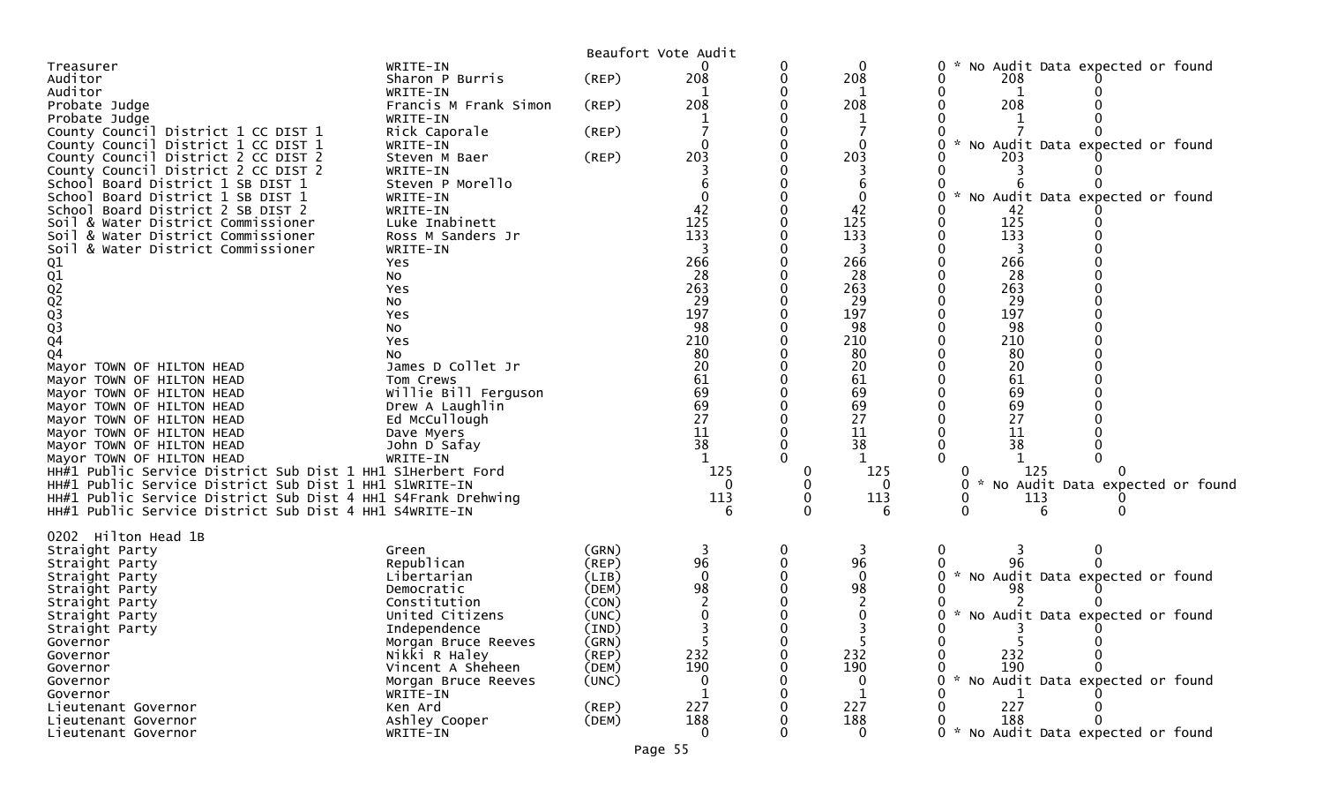|                                                              |                                    |                | Beaufort Vote Audit |           |              |                                                                |
|--------------------------------------------------------------|------------------------------------|----------------|---------------------|-----------|--------------|----------------------------------------------------------------|
| Treasurer                                                    | WRITE-IN                           |                |                     | 0         | 0            | No Audit Data expected or found<br>0                           |
| Auditor                                                      | Sharon P Burris                    | (REP)          | 208                 | 0         | 208          | 208                                                            |
| Auditor                                                      | WRITE-IN                           |                |                     | 0         |              |                                                                |
| Probate Judge                                                | Francis M Frank Simon              | $($ REP $)$    | 208                 | 0         | 208          | 208                                                            |
| Probate Judge                                                | WRITE-IN                           |                |                     |           |              |                                                                |
| County Council District 1 CC DIST 1                          | Rick Caporale                      | $($ REP $)$    |                     | 0         |              |                                                                |
| County Council District 1 CC DIST 1                          | WRITE-IN                           |                |                     |           | $\Omega$     | $\mathcal{H}$<br>No Audit Data expected or found<br>0.         |
| County Council District 2 CC DIST 2                          | Steven M Baer                      | (REP)          | 203                 |           | 203          | 203                                                            |
| County Council District 2 CC DIST 2                          | WRITE-IN                           |                |                     |           |              |                                                                |
| School Board District 1 SB DIST 1                            | Steven P Morello                   |                |                     |           |              |                                                                |
| School Board District 1 SB DIST 1                            | WRITE-IN                           |                |                     |           | 0            | * No Audit Data expected or found                              |
| School Board District 2 SB DIST 2                            | WRITE-IN                           |                | 42                  | $\Omega$  | 42           | 42                                                             |
| Soil & Water District Commissioner                           | Luke Inabinett                     |                | 125                 | 0         | 125          | 125                                                            |
| Soil & Water District Commissioner                           | Ross M Sanders Jr                  |                | 133                 | 0         | 133          | 133                                                            |
| Soil & Water District Commissioner                           | WRITE-IN                           |                |                     | 0         |              |                                                                |
|                                                              | Yes                                |                | 266                 | 0         | 266          | 266                                                            |
|                                                              | No                                 |                | 28                  | 0         | 28           | -28                                                            |
| 01<br>02<br>02<br>03<br>03<br>03<br>04                       | Yes                                |                | 263                 | 0         | 263          | 263                                                            |
|                                                              | No                                 |                | 29                  |           | 29           | 29                                                             |
|                                                              | Yes                                |                | 197                 |           | 197          | 197                                                            |
|                                                              | No                                 |                | 98                  | 0         | 98           | 98                                                             |
|                                                              | Yes                                |                | 210                 |           | 210          | 210                                                            |
| Q4                                                           | NO.                                |                | 80                  |           | 80           | 80                                                             |
| Mayor TOWN OF HILTON HEAD                                    | James D Collet Jr                  |                | 20                  | 0         | 20           | 20                                                             |
| Mayor TOWN OF HILTON HEAD                                    | Tom Crews                          |                | 61                  |           | 61           | 61                                                             |
| Mayor TOWN OF HILTON HEAD                                    | Willie Bill Ferguson               |                |                     |           | 69           | 69                                                             |
| Mayor TOWN OF HILTON HEAD                                    | Drew A Laughlin                    |                | 69<br>69            |           | 69           | 69                                                             |
| Mayor TOWN OF HILTON HEAD                                    | Ed McCullough                      |                | 27                  |           | 27           | 27                                                             |
| Mayor TOWN OF HILTON HEAD                                    | Dave Myers                         |                | 11                  |           | 11           | 11                                                             |
| Mayor TOWN OF HILTON HEAD                                    | John D Safay                       |                | 38                  | 0         | 38           | 38                                                             |
| Mayor TOWN OF HILTON HEAD                                    | WRITE-IN                           |                |                     | $\Omega$  |              |                                                                |
| HH#1 Public Service District Sub Dist 1 HH1 S1Herbert Ford   |                                    |                | 125                 | 0         | 125          | 125                                                            |
| HH#1 Public Service District Sub Dist 1 HH1 S1WRITE-IN       |                                    |                |                     |           | O            | $\mathcal{H}^{\mathcal{A}}$<br>No Audit Data expected or found |
| HH#1 Public Service District Sub Dist 4 HH1 S4Frank Drehwing |                                    |                | 113                 | 0         | 113          | 113                                                            |
| HH#1 Public Service District Sub Dist 4 HH1 S4WRITE-IN       |                                    |                |                     |           | 6            |                                                                |
|                                                              |                                    |                |                     |           |              |                                                                |
| Hilton Head 1B<br>0202                                       |                                    |                |                     |           |              |                                                                |
|                                                              | Green                              | (GRN)          | 3                   | 0         | 3            |                                                                |
| Straight Party                                               | Republican                         | (REP)          | 96                  | 0         | 96           |                                                                |
| Straight Party                                               | Libertarian                        | (LIB)          | $\mathbf 0$         | 0         | $\mathbf{0}$ | 0 * No Audit Data expected or found                            |
| Straight Party                                               |                                    | (DEM)          | 98                  |           | 98           | 98                                                             |
| Straight Party                                               | Democratic<br>Constitution         | (CON)          |                     |           |              |                                                                |
| Straight Party                                               | United Citizens                    | (UNC)          |                     |           |              | $\sim$<br>No Audit Data expected or found                      |
| Straight Party                                               |                                    |                |                     | 0         |              |                                                                |
| Straight Party                                               | Independence                       | (IND)          |                     |           |              |                                                                |
| Governor                                                     | Morgan Bruce Reeves                | (GRN)          | ∍                   | 0         | כ.           |                                                                |
| Governor                                                     | Nikki R Haley<br>Vincent A Sheheen | (REP)<br>(DEM) | 232<br>190          | 0         | 232<br>190   | 232<br>190<br>0                                                |
| Governor                                                     |                                    |                |                     | 0         |              | 0                                                              |
| Governor<br>Governor                                         | Morgan Bruce Reeves<br>WRITE-IN    | (UNC)          |                     | 0<br>0    |              | * No Audit Data expected or found<br>0                         |
|                                                              | Ken Ard                            | (REP)          | 227                 | $\pmb{0}$ | 227          | 227<br>0                                                       |
| Lieutenant Governor                                          | Ashley Cooper                      | (DEM)          | 188                 | 0         | 188          | 188<br>0                                                       |
| Lieutenant Governor<br>Lieutenant Governor                   | WRITE-IN                           |                | $\Omega$            | 0         | 0            | 0 * No Audit Data expected or found                            |
|                                                              |                                    |                |                     |           |              |                                                                |
|                                                              |                                    |                | Page 55             |           |              |                                                                |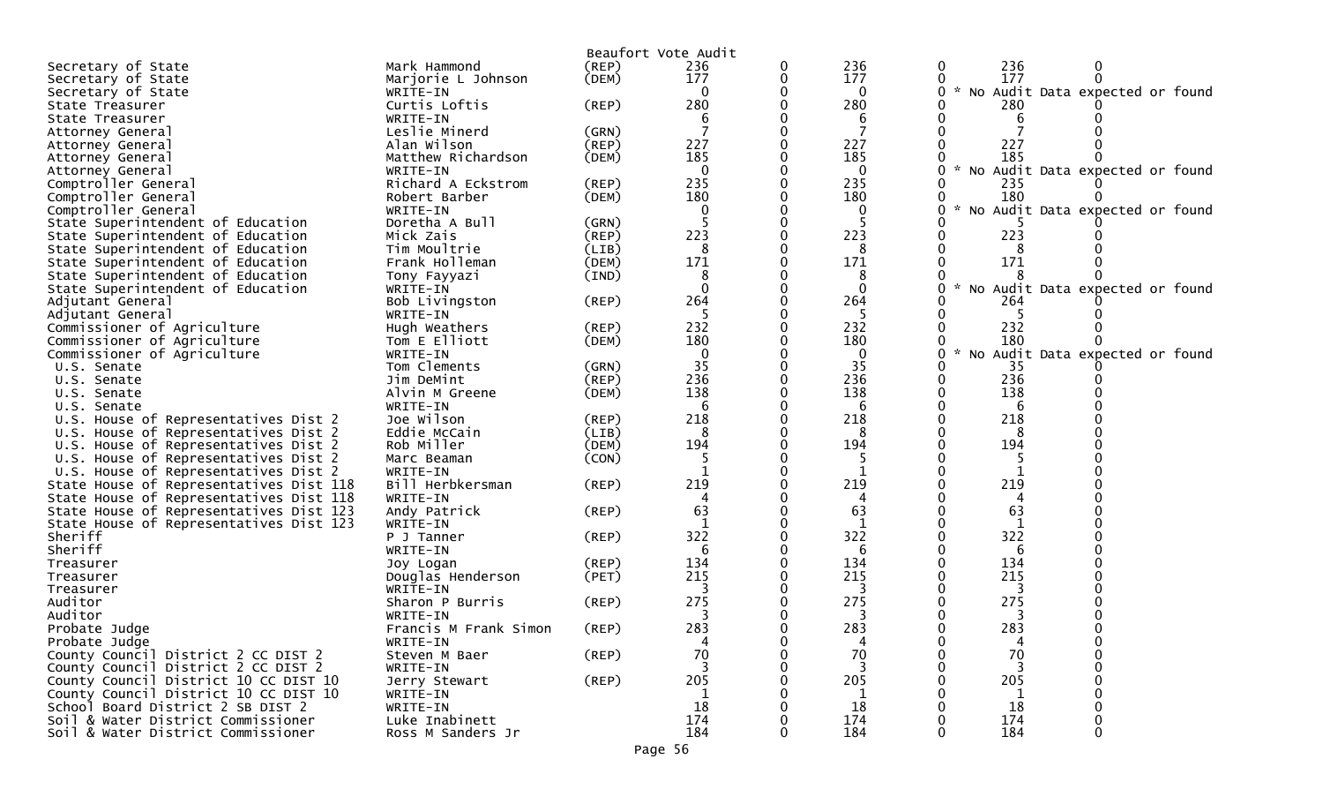|                                         |                                |                | Beaufort Vote Audit |          |                                                       |
|-----------------------------------------|--------------------------------|----------------|---------------------|----------|-------------------------------------------------------|
| Secretary of State                      | Mark Hammond                   | (REP)          | 236                 | 236      | 236<br>0<br>0                                         |
| Secretary of State                      | Marjorie L Johnson             | (DEM)          | 177                 | 177      | 177<br>0                                              |
| Secretary of State                      | WRITE-IN                       |                | 0                   | $\bf{0}$ | No Audit Data expected or found<br>$\mathcal{H}$<br>0 |
| State Treasurer                         | Curtis Loftis                  | (REP)          | 280                 | 280      | 280                                                   |
| State Treasurer                         | WRITE-IN                       |                | b                   | 6        | 6                                                     |
| Attorney General                        | Leslie Minerd                  | (GRN)          |                     |          |                                                       |
| Attorney General                        | Alan Wilson                    | (REP)          | 227                 | 227      | 227                                                   |
| Attorney General                        | Matthew Richardson             | (DEM)          | 185                 | 185      | 185                                                   |
| Attorney General                        | WRITE-IN                       |                | $\Omega$            | $\Omega$ | No Audit Data expected or found                       |
| Comptroller General                     | Richard A Eckstrom             | (REP)          | 235                 | 235      | 235                                                   |
| Comptroller General                     | Robert Barber                  | (DEM)          | 180                 | 180      | 180                                                   |
| Comptroller General                     | WRITE-IN                       |                |                     | 0        | No Audit Data expected or found                       |
| State Superintendent of Education       | Doretha A Bull                 | (GRN)          |                     |          |                                                       |
| State Superintendent of Education       | Mick Zais                      | (REP)          | 223                 | 223      | 223                                                   |
| State Superintendent of Education       | Tim Moultrie                   | (LIB)          | 8                   | 8        | 8                                                     |
| State Superintendent of Education       | Frank Holleman                 | (DEM)          | 171                 | 171      | 171                                                   |
| State Superintendent of Education       | Tony Fayyazi                   | (IND)          | 8                   | 8        | $\sim$                                                |
| State Superintendent of Education       | WRITE-IN                       |                | $\Omega$            | $\Omega$ | No Audit Data expected or found<br>0                  |
| Adjutant General<br>Adjutant General    | Bob Livingston                 | (REP)          | 264                 | 264      | 264<br>-5                                             |
| Commissioner of Agriculture             | WRITE-IN                       |                | 232                 | 232      | 232                                                   |
| Commissioner of Agriculture             | Hugh Weathers<br>Tom E Elliott | (REP)<br>(DEM) | 180                 | 180      | 180                                                   |
| Commissioner of Agriculture             | WRITE-IN                       |                | 0                   | $\bf{0}$ | $\mathcal{R}$<br>No Audit Data expected or found      |
| U.S. Senate                             | Tom Clements                   | (GRN)          | 35                  | 35       | 35                                                    |
| U.S. Senate                             | Jim DeMint                     | (REP)          | 236                 | 236      | 236                                                   |
| U.S. Senate                             | Alvin M Greene                 | (DEM)          | 138                 | 138      | 138                                                   |
| U.S. Senate                             | WRITE-IN                       |                | 6                   | 6        | 6                                                     |
| U.S. House of Representatives Dist 2    | Joe Wilson                     | (REP)          | 218                 | 218      | 218                                                   |
| U.S. House of Representatives Dist 2    | Eddie McCain                   | (LIB)          |                     | 8        | 8                                                     |
| U.S. House of Representatives Dist 2    | Rob Miller                     | (DEM)          | 194                 | 194      | 194                                                   |
| U.S. House of Representatives Dist 2    | Marc Beaman                    | (CON)          | 5                   | -5       | -5                                                    |
| U.S. House of Representatives Dist 2    | WRITE-IN                       |                |                     | 1        | 1                                                     |
| State House of Representatives Dist 118 | Bill Herbkersman               | (REP)          | 219                 | 219      | 219                                                   |
| State House of Representatives Dist 118 | WRITE-IN                       |                |                     | 4        | 4                                                     |
| State House of Representatives Dist 123 | Andy Patrick                   | (REP)          | 63                  | 63       | 63                                                    |
| State House of Representatives Dist 123 | WRITE-IN                       |                |                     |          |                                                       |
| Sheriff                                 | P J Tanner                     | (REP)          | 322                 | 322      | 322                                                   |
| Sheriff                                 | WRITE-IN                       |                |                     | 6        | 6                                                     |
| Treasurer                               | Joy Logan                      | (REP)          | 134                 | 134      | 134                                                   |
| Treasurer                               | Douglas Henderson              | (PET)          | 215                 | 215      | 215                                                   |
| Treasurer                               | WRITE-IN                       |                |                     |          |                                                       |
| Auditor                                 | Sharon P Burris                | (REP)          | 275                 | 275      | 275                                                   |
| Auditor                                 | WRITE-IN                       |                | 3                   | 3        | 3                                                     |
| Probate Judge                           | Francis M Frank Simon          | (REP)          | 283                 | 283      | 283                                                   |
| Probate Judge                           | WRITE-IN                       |                |                     | 4        | 4                                                     |
| County Council District 2 CC DIST 2     | Steven M Baer                  | (REP)          | 70                  | 70       | 70                                                    |
| County Council District 2 CC DIST 2     | WRITE-IN                       |                |                     |          |                                                       |
| County Council District 10 CC DIST 10   | Jerry Stewart                  | (REP)          | 205                 | 205      | 205                                                   |
| County Council District 10 CC DIST 10   | WRITE-IN                       |                |                     | 1        | 1                                                     |
| School Board District 2 SB DIST 2       | WRITE-IN                       |                | 18                  | 18       | 18                                                    |
| Soil & Water District Commissioner      | Luke Inabinett                 |                | 174                 | 174      | 174                                                   |
| Soil & Water District Commissioner      | Ross M Sanders Jr              |                | 184                 | 184      | 184                                                   |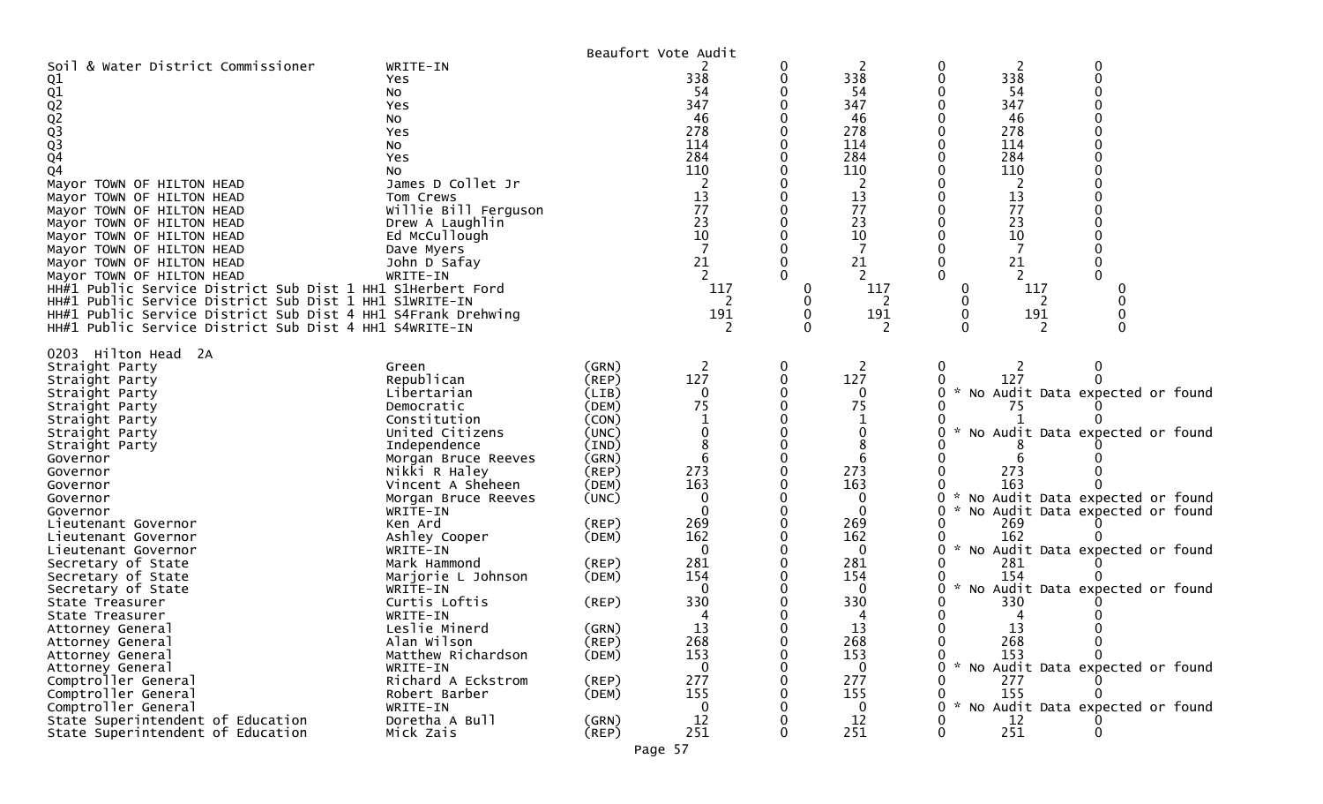|                                                                                                                                                                                                                                                                                                                                                                                                                                                                                                                                                                         |                                                                                                                                                                                                                                                                                                                                             | Beaufort Vote Audit                                                                                                                                         |                                                                                                |          |                                                                                                                                     |                                                                                                                                                                                                                                                                                                                                                                |
|-------------------------------------------------------------------------------------------------------------------------------------------------------------------------------------------------------------------------------------------------------------------------------------------------------------------------------------------------------------------------------------------------------------------------------------------------------------------------------------------------------------------------------------------------------------------------|---------------------------------------------------------------------------------------------------------------------------------------------------------------------------------------------------------------------------------------------------------------------------------------------------------------------------------------------|-------------------------------------------------------------------------------------------------------------------------------------------------------------|------------------------------------------------------------------------------------------------|----------|-------------------------------------------------------------------------------------------------------------------------------------|----------------------------------------------------------------------------------------------------------------------------------------------------------------------------------------------------------------------------------------------------------------------------------------------------------------------------------------------------------------|
| Soil & Water District Commissioner<br>Q1<br>01<br>02<br>023<br>03<br>04<br>Q4<br>Mayor TOWN OF HILTON HEAD<br>Mayor TOWN OF HILTON HEAD<br>Mayor TOWN OF HILTON HEAD<br>Mayor TOWN OF HILTON HEAD<br>Mayor TOWN OF HILTON HEAD<br>Mayor TOWN OF HILTON HEAD<br>Mayor TOWN OF HILTON HEAD<br>Mayor TOWN OF HILTON HEAD<br>HH#1 Public Service District Sub Dist 1 HH1 S1Herbert Ford<br>HH#1 Public Service District Sub Dist 1 HH1 S1WRITE-IN<br>HH#1 Public Service District Sub Dist 4 HH1 S4Frank Drehwing<br>HH#1 Public Service District Sub Dist 4 HH1 S4WRITE-IN | WRITE-IN<br>Yes.<br>NO.<br>Yes<br>No<br>Yes<br>NO.<br>Yes<br>NO.<br>James D Collet Jr<br>Tom Crews<br>Willie Bill Ferguson<br>Drew A Laughlin<br>Ed McCullough<br>Dave Myers<br>John D Safay<br>WRITE-IN                                                                                                                                    |                                                                                                                                                             | 338<br>54<br>347<br>46<br>278<br>114<br>284<br>110<br>13<br>77<br>23<br>10<br>21<br>117<br>191 | 0        | 2<br>338<br>54<br>347<br>46<br>278<br>114<br>284<br>110<br>13<br>77<br>23<br>10<br>21<br>117<br>191                                 | 0<br>0<br>2<br>338<br>0<br>54<br>347<br>46<br>278<br>114<br>284<br>110<br>13<br>77<br>23<br>10<br>21<br>2<br>117<br>0<br>0<br>191<br>0                                                                                                                                                                                                                         |
| 0203 Hilton Head 2A<br>Straight Party<br>Straight Party<br>Straight Party<br>Straight Party<br>Straight Party<br>Straight Party<br>Straight Party<br>Governor<br>Governor<br>Governor<br>Governor<br>Governor<br>Lieutenant Governor<br>Lieutenant Governor<br>Lieutenant Governor<br>Secretary of State<br>Secretary of State<br>Secretary of State<br>State Treasurer<br>State Treasurer<br>Attorney General                                                                                                                                                          | Green<br>Republican<br>Libertarian<br>Democratic<br>Constitution<br>United Citizens<br>Independence<br>Morgan Bruce Reeves<br>Nikki R Haley<br>Vincent A Sheheen<br>Morgan Bruce Reeves<br>WRITE-IN<br>Ken Ard<br>Ashley Cooper<br>WRITE-IN<br>Mark Hammond<br>Marjorie L Johnson<br>WRITE-IN<br>Curtis Loftis<br>WRITE-IN<br>Leslie Minerd | (GRN)<br>$($ REP $)$<br>(LIB)<br>(DEM)<br>(CON)<br>(UNC)<br>(IND)<br>(GRN)<br>(REP)<br>(DEM)<br>(UNC)<br>(REP)<br>(DEM)<br>(REP)<br>(DEM)<br>(REP)<br>(GRN) | 2<br>127<br>75<br>273<br>163<br>$\Omega$<br>269<br>162<br>281<br>154<br>330<br>13              | $\bf{0}$ | 2<br>127<br>$\mathbf 0$<br>75<br>0<br>8<br>6<br>273<br>163<br>0<br>0<br>269<br>162<br>0<br>281<br>154<br>$\bf{0}$<br>330<br>4<br>13 | $\mathbf{0}$<br>2<br>127<br>* No Audit Data expected or found<br>0<br>75<br>* No Audit Data expected or found<br>273<br>163<br>No Audit Data expected or found<br>0<br>0<br>* No Audit Data expected or found<br>269<br>162<br>* No Audit Data expected or found<br>0<br>281<br>154<br>* No Audit Data expected or found<br>0<br>330<br>4<br>13<br>$\mathbf 0$ |
| Attorney General<br>Attorney General<br>Attorney General<br>Comptroller General<br>Comptroller General<br>Comptroller General<br>State Superintendent of Education<br>State Superintendent of Education                                                                                                                                                                                                                                                                                                                                                                 | Alan Wilson<br>Matthew Richardson<br>WRITE-IN<br>Richard A Eckstrom<br>Robert Barber<br>WRITE-IN<br>Doretha A Bull<br>Mick Zais                                                                                                                                                                                                             | (REP)<br>(DEM)<br>(REP)<br>(DEM)<br>(GRN)<br>$($ REP $)$                                                                                                    | 268<br>153<br>0<br>277<br>155<br>0<br>12<br>251                                                |          | 268<br>153<br>$\bf{0}$<br>277<br>155<br>$\Omega$<br>12<br>251                                                                       | 268<br>0<br>0<br>153<br>$\mathcal{H}$<br>No Audit Data expected or found<br>O.<br>277<br>155<br>* No Audit Data expected or found<br>O.<br>12<br>251<br>0<br>O                                                                                                                                                                                                 |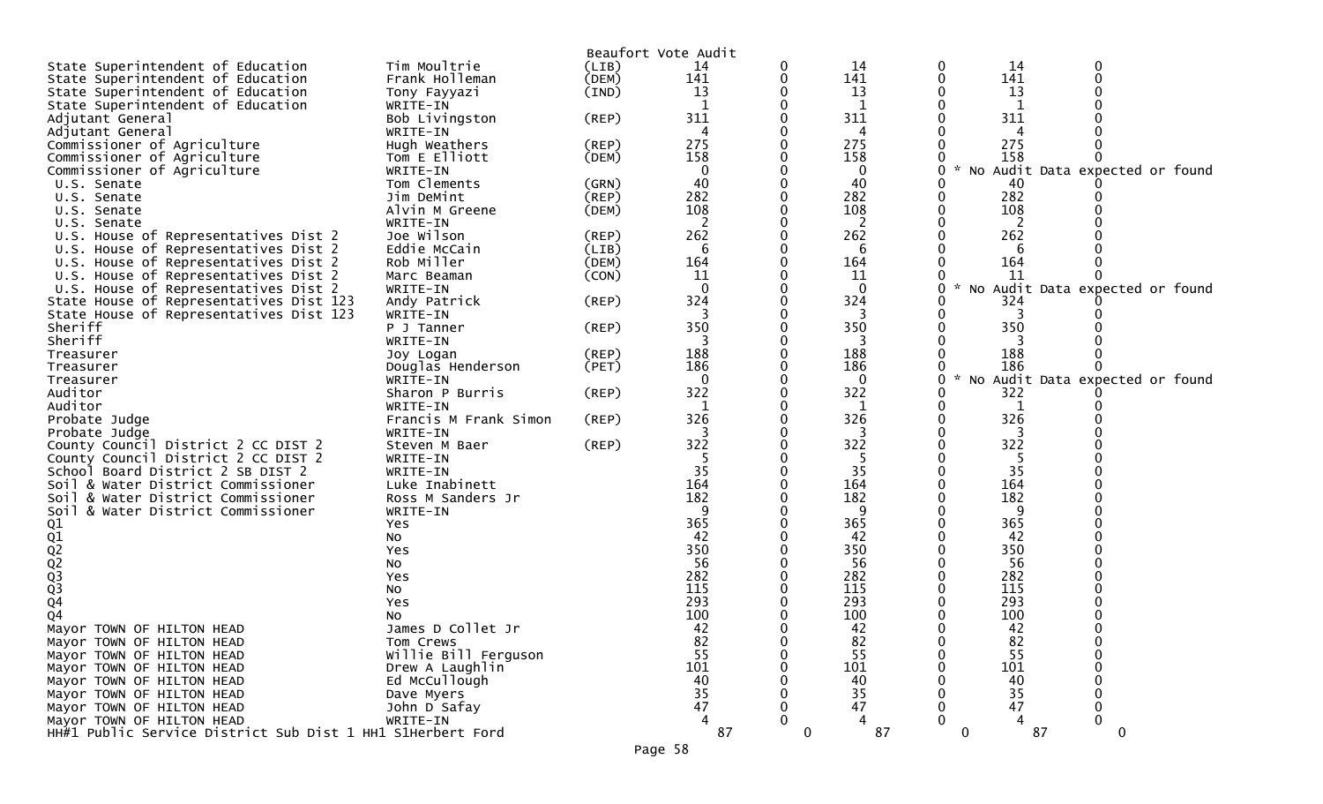|                                                            |                                |                | Beaufort Vote Audit |             |              |   |          |                                 |
|------------------------------------------------------------|--------------------------------|----------------|---------------------|-------------|--------------|---|----------|---------------------------------|
| State Superintendent of Education                          | Tim Moultrie                   | (LIB)          | 14                  | 0           | 14           | 0 | 14       | 0                               |
| State Superintendent of Education                          | Frank Holleman                 | (DEM)          | 141                 |             | 141          | 0 | 141      |                                 |
| State Superintendent of Education                          | Tony Fayyazi                   | $(\text{IND})$ | 13                  |             | 13           |   | 13       |                                 |
| State Superintendent of Education                          | WRITE-IN                       |                | 1                   |             | $\mathbf{1}$ |   | -1       |                                 |
| Adjutant General                                           | Bob Livingston                 | (REP)          | 311                 |             | 311          |   | 311      |                                 |
| Adjutant General                                           | WRITE-IN                       |                |                     |             | 4            |   |          |                                 |
| Commissioner of Agriculture                                | Hugh Weathers                  | (REP)          | 275                 |             | 275          |   | 275      |                                 |
| Commissioner of Agriculture                                | Tom E Elliott                  | (DEM)          | 158                 |             | 158          |   | 158      |                                 |
| Commissioner of Agriculture                                | WRITE-IN                       |                | 0                   |             | 0            |   |          | No Audit Data expected or found |
| U.S. Senate                                                | Tom Clements                   | (GRN)          | 40                  |             | 40           |   | 40       |                                 |
| U.S. Senate                                                | Jim DeMint                     | $($ REP $)$    | 282                 |             | 282          |   | 282      |                                 |
| U.S. Senate                                                | Alvin M Greene                 | (DEM)          | 108                 |             | 108          |   | 108      |                                 |
| U.S. Senate                                                | WRITE-IN                       |                | 2                   |             | 2            |   | 2        |                                 |
| U.S. House of Representatives Dist 2                       | Joe Wilson                     | (REP)          | 262                 |             | 262          |   | 262      |                                 |
| U.S. House of Representatives Dist 2                       | Eddie McCain                   | (LIB)          | 6                   |             | 6            |   |          |                                 |
| U.S. House of Representatives Dist 2                       | Rob Miller                     | (DEM)          | 164                 |             | 164          |   | 164      |                                 |
| U.S. House of Representatives Dist 2                       | Marc Beaman                    | (CON)          | 11                  |             | 11           |   | 11       |                                 |
| U.S. House of Representatives Dist 2                       | WRITE-IN                       |                |                     |             | $\Omega$     | 0 |          | No Audit Data expected or found |
| State House of Representatives Dist 123                    | Andy Patrick                   | (REP)          | 324                 |             | 324          |   | 324<br>3 |                                 |
| State House of Representatives Dist 123                    | WRITE-IN                       |                | 350                 |             | 3<br>350     |   | 350      |                                 |
| Sheriff<br>Sheriff                                         | P J Tanner<br>WRITE-IN         | (REP)          |                     |             | 3            |   | 3        |                                 |
|                                                            |                                | (REP)          | 188                 |             | 188          |   | 188      |                                 |
| Treasurer<br>Treasurer                                     | Joy Logan<br>Douglas Henderson | (PET)          | 186                 |             | 186          |   | 186      |                                 |
| Treasurer                                                  | WRITE-IN                       |                | 0                   |             | $\mathbf 0$  | 0 |          | No Audit Data expected or found |
| Auditor                                                    | Sharon P Burris                | (REP)          | 322                 |             | 322          |   | 322      |                                 |
| Auditor                                                    | WRITE-IN                       |                |                     |             | 1            |   |          |                                 |
| Probate Judge                                              | Francis M Frank Simon          | (REP)          | 326                 |             | 326          |   | 326      |                                 |
| Probate Judge                                              | WRITE-IN                       |                |                     |             | 3            |   | 3        |                                 |
| County Council District 2 CC DIST 2                        | Steven M Baer                  | (REP)          | 322                 |             | 322          |   | 322      |                                 |
| County Council District 2 CC DIST 2                        | WRITE-IN                       |                | -5                  |             | -5           |   | -5       |                                 |
| School Board District 2 SB DIST 2                          | WRITE-IN                       |                | 35                  |             | 35           |   | 35       |                                 |
| Soil & Water District Commissioner                         | Luke Inabinett                 |                | 164                 |             | 164          |   | 164      |                                 |
| Soil & Water District Commissioner                         | Ross M Sanders Jr              |                | 182                 |             | 182          |   | 182      |                                 |
| Soil & Water District Commissioner                         | WRITE-IN                       |                | 9                   |             | 9            |   | 9        |                                 |
|                                                            | Yes                            |                | 365                 |             | 365          |   | 365      |                                 |
|                                                            | No                             |                | 42                  |             | 42           |   | 42       |                                 |
|                                                            | Yes                            |                | 350                 |             | 350          |   | 350      |                                 |
| 01<br>02<br>02<br>02<br>03<br>03<br>04                     | NO.                            |                | 56                  |             | 56           |   | 56       |                                 |
|                                                            | Yes                            |                | 282                 |             | 282          |   | 282      |                                 |
|                                                            | No                             |                | 115                 |             | 115          |   | 115      |                                 |
|                                                            | Yes                            |                | 293                 |             | 293          |   | 293      |                                 |
| Q4                                                         | No                             |                | 100                 |             | 100          |   | 100      |                                 |
| Mayor TOWN OF HILTON HEAD                                  | James D Collet Jr              |                | 42                  | 0           | 42           | 0 | 42       |                                 |
| Mayor TOWN OF HILTON HEAD                                  | Tom Crews                      |                | 82                  | 0           | 82           | 0 | 82       |                                 |
| Mayor TOWN OF HILTON HEAD                                  | Willie Bill Ferguson           |                | 55                  |             | 55           | 0 | 55       | 0                               |
| Mayor TOWN OF HILTON HEAD                                  | Drew A Laughlin                |                | 101                 |             | 101          |   | 101      | 0                               |
| Mayor TOWN OF HILTON HEAD                                  | Ed McCullough                  |                | 40                  |             | 40           |   | 40       |                                 |
| Mayor TOWN OF HILTON HEAD                                  | Dave Myers                     |                | 35                  |             | 35           |   | 35       | 0                               |
| Mayor TOWN OF HILTON HEAD                                  | John D Safay                   |                | 47                  |             | 47           |   | 47       | 0                               |
| Mayor TOWN OF HILTON HEAD                                  | WRITE-IN                       |                | 4                   | 0           | 4            | 0 | 4        | $\mathbf 0$                     |
| HH#1 Public Service District Sub Dist 1 HH1 S1Herbert Ford |                                |                | 87                  | $\mathbf 0$ | 87           | 0 | 87       | 0                               |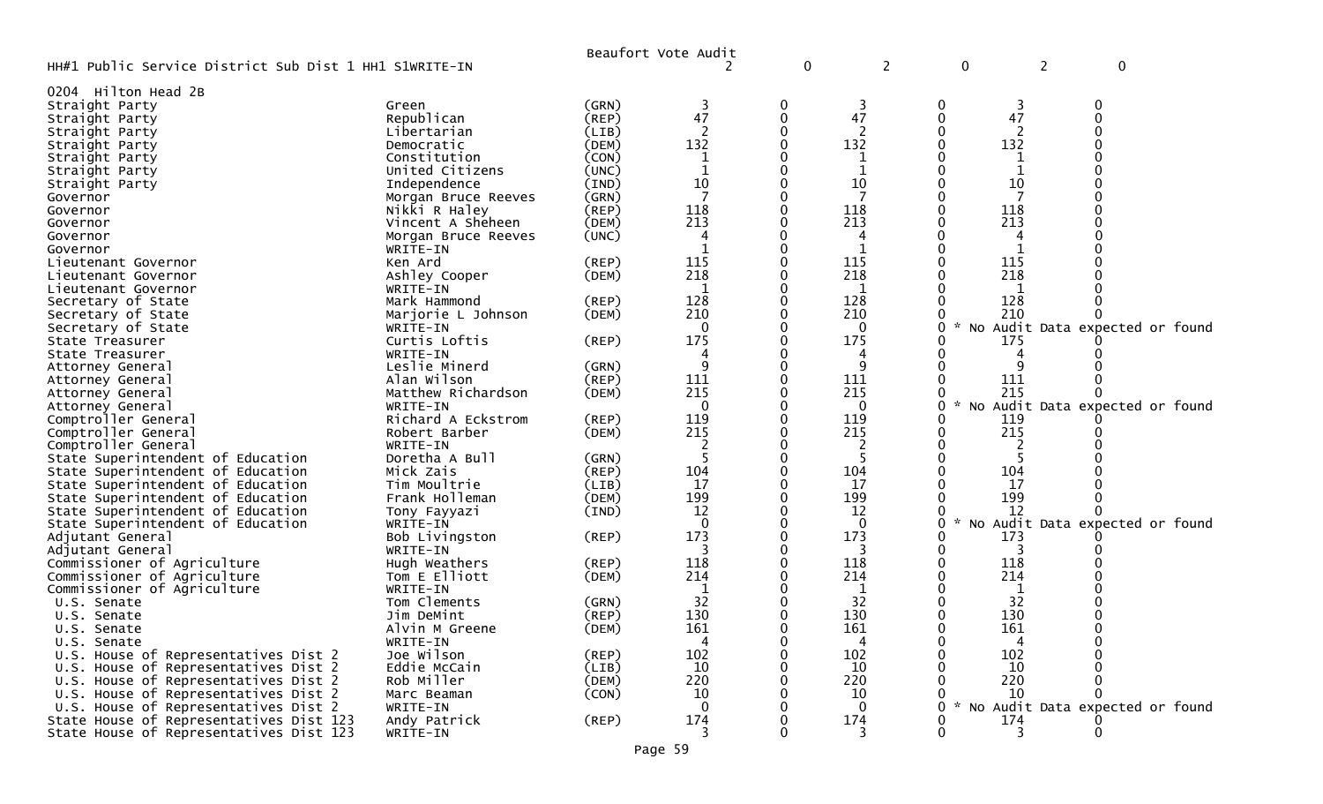|                                                        |                                    |                | Beaufort Vote Audit |   |          |               |                                   |
|--------------------------------------------------------|------------------------------------|----------------|---------------------|---|----------|---------------|-----------------------------------|
| HH#1 Public Service District Sub Dist 1 HH1 S1WRITE-IN |                                    |                |                     | 0 | 2        | 0             | 2<br>0                            |
| 0204 Hilton Head 2B                                    |                                    |                |                     |   |          |               |                                   |
| Straight Party                                         | Green                              | (GRN)          | 3                   | 0 | 3        | 0<br>3        | 0                                 |
| Straight Party                                         | Republican                         | (REP)          | 47                  | 0 | 47       | 47            |                                   |
| Straight Party                                         | Libertarian                        | (LIB)          |                     |   |          |               |                                   |
| Straight Party                                         | Democratic                         | (DEM)          | 132                 |   | 132      | 132           |                                   |
| Straight Party                                         | Constitution                       | (CON)          |                     |   | 1        |               |                                   |
| Straight Party                                         | United Citizens                    | (UNC)          |                     |   | 1        |               |                                   |
| Straight Party                                         | Independence                       | (IND)          | 10                  |   | 10       | 10            |                                   |
| Governor                                               | Morgan Bruce Reeves                | (GRN)          | 7                   |   | 7        | -7            |                                   |
| Governor                                               | Nikki R Haley                      | $($ REP $)$    | 118                 |   | 118      | 118           |                                   |
| Governor                                               | Vincent A Sheheen                  | (DEM)          | 213                 |   | 213      | 213           |                                   |
| Governor                                               | Morgan Bruce Reeves                | (UNC)          | 4                   |   |          |               |                                   |
| Governor                                               | WRITE-IN                           |                |                     |   |          |               |                                   |
| Lieutenant Governor                                    | Ken Ard                            | (REP)          | 115                 |   | 115      | 115           |                                   |
| Lieutenant Governor                                    | Ashley Cooper                      | (DEM)          | 218                 |   | 218      | 218           |                                   |
| Lieutenant Governor                                    | WRITE-IN                           |                | 128                 |   | 1<br>128 |               |                                   |
| Secretary of State<br>Secretary of State               | Mark Hammond<br>Marjorie L Johnson | (REP)<br>(DEM) | 210                 |   | 210      | 128<br>210    |                                   |
| Secretary of State                                     | WRITE-IN                           |                | 0                   |   | 0        | 0             | No Audit Data expected or found   |
| State Treasurer                                        | Curtis Loftis                      | $($ REP $)$    | 175                 |   | 175      | 175           |                                   |
| State Treasurer                                        | WRITE-IN                           |                |                     |   | 4        |               |                                   |
| Attorney General                                       | Leslie Minerd                      | (GRN)          | 9                   |   | 9        |               |                                   |
| Attorney General                                       | Alan Wilson                        | $($ REP $)$    | 111                 |   | 111      | 111           |                                   |
| Attorney General                                       | Matthew Richardson                 | (DEM)          | 215                 |   | 215      | 215           |                                   |
| Attorney General                                       | WRITE-IN                           |                | $\Omega$            |   | 0        |               | No Audit Data expected or found   |
| Comptroller General                                    | Richard A Eckstrom                 | (REP)          | 119                 |   | 119      | 119           |                                   |
| Comptroller General                                    | Robert Barber                      | (DEM)          | 215                 |   | 215      | 215           |                                   |
| Comptroller General                                    | WRITE-IN                           |                |                     |   |          |               |                                   |
| State Superintendent of Education                      | Doretha A Bull                     | (GRN)          |                     |   |          |               |                                   |
| State Superintendent of Education                      | Mick Zais                          | (REP)          | 104                 |   | 104      | 104           |                                   |
| State Superintendent of Education                      | Tim Moultrie                       | (LIB)          | 17                  |   | 17       | -17           |                                   |
| State Superintendent of Education                      | Frank Holleman                     | (DEM)          | 199                 |   | 199      | 199           |                                   |
| State Superintendent of Education                      | Tony Fayyazi                       | (IND)          | 12                  |   | 12       | 12            |                                   |
| State Superintendent of Education                      | WRITE-IN                           |                |                     |   | 0        | 0             | * No Audit Data expected or found |
| Adjutant General                                       | Bob Livingston                     | $($ REP $)$    | 173                 |   | 173      | 173           |                                   |
| Adjutant General                                       | WRITE-IN                           |                |                     |   | 3        | 3             |                                   |
| Commissioner of Agriculture                            | Hugh Weathers                      | (REP)          | 118                 |   | 118      | 118           |                                   |
| Commissioner of Agriculture                            | Tom E Elliott                      | (DEM)          | 214                 |   | 214      | 214           |                                   |
| Commissioner of Agriculture                            | WRITE-IN<br>Tom Clements           |                | 32                  |   | 1<br>32  | 1<br>32       |                                   |
| U.S. Senate                                            | Jim DeMint                         | (GRN)<br>(REP) | 130                 |   | 130      | 130           |                                   |
| U.S. Senate<br>U.S. Senate                             | Alvin M Greene                     | (DEM)          | 161                 |   | 161      | 161<br>0      |                                   |
| U.S. Senate                                            | WRITE-IN                           |                |                     | 0 | 4        | $\mathbf 0$   |                                   |
| U.S. House of Representatives Dist 2                   | Joe Wilson                         | (REP)          | 102                 | 0 | 102      | 102<br>0      |                                   |
| U.S. House of Representatives Dist 2                   | Eddie McCain                       | (LIB)          | 10                  |   | 10       | 10            |                                   |
| U.S. House of Representatives Dist 2                   | Rob Miller                         | (DEM)          | 220                 |   | 220      | 220           |                                   |
| U.S. House of Representatives Dist 2                   | Marc Beaman                        | (CON)          | 10                  |   | 10       | 10            |                                   |
| U.S. House of Representatives Dist 2                   | WRITE-IN                           |                | $\Omega$            |   | $\Omega$ | $\mathcal{H}$ | No Audit Data expected or found   |
| State House of Representatives Dist 123                | Andy Patrick                       | (REP)          | 174                 |   | 174      | 174           |                                   |
| State House of Representatives Dist 123                | WRITE-IN                           |                | 3                   |   | 3        | 3             | $\Omega$                          |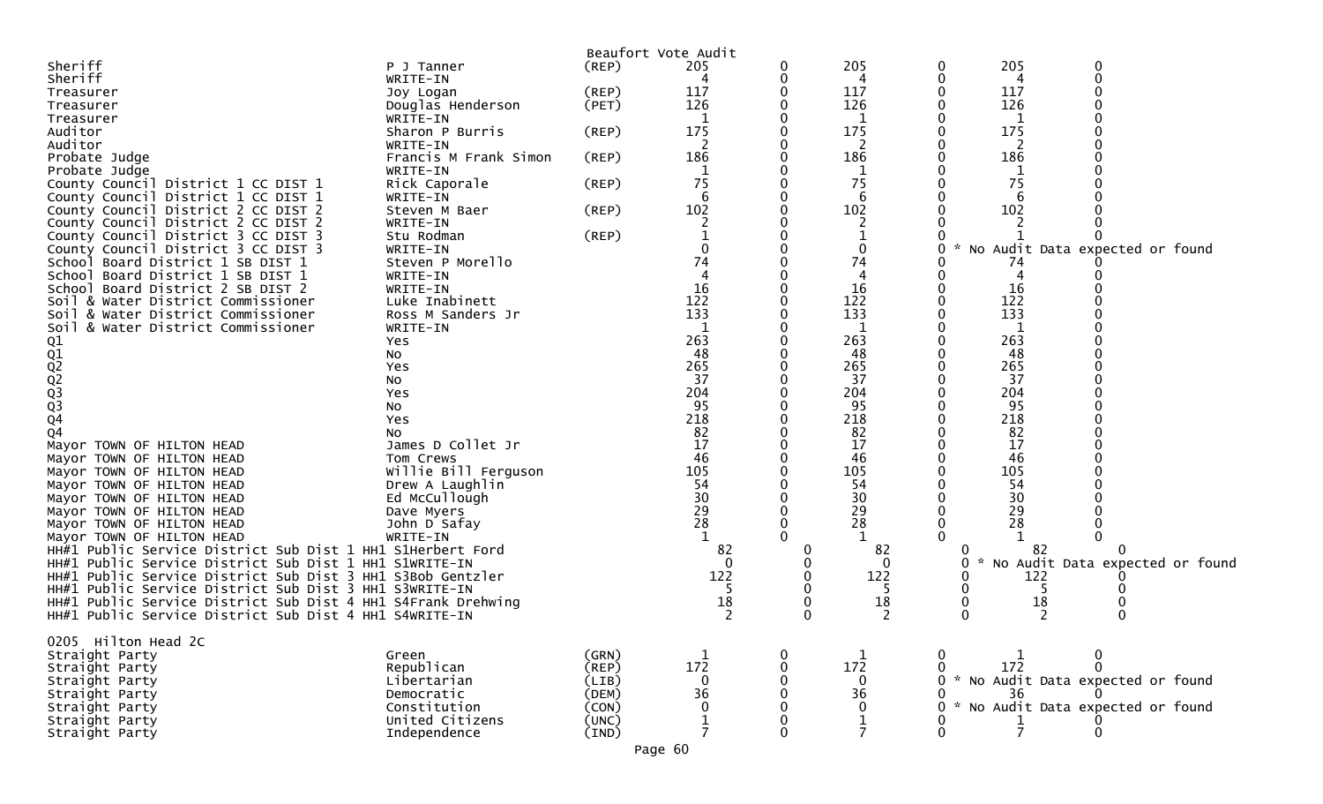|                                                                                                                        |                                   |             | Beaufort Vote Audit |        |             |              |                                   |                                   |  |
|------------------------------------------------------------------------------------------------------------------------|-----------------------------------|-------------|---------------------|--------|-------------|--------------|-----------------------------------|-----------------------------------|--|
| Sheriff                                                                                                                | P J Tanner                        | $($ REP $)$ | 205                 | 0      | 205         | 0            | 205                               |                                   |  |
| Sheriff                                                                                                                | WRITE-IN                          |             | 4                   | 0      | 4           | 0            | 4                                 |                                   |  |
| Treasurer                                                                                                              | Joy Logan                         | $($ REP $)$ | 117                 | 0      | 117         |              | 117                               |                                   |  |
| Treasurer                                                                                                              | Douglas Henderson                 | (PET)       | 126                 | 0      | 126         |              | 126                               |                                   |  |
| Treasurer                                                                                                              | WRITE-IN                          |             |                     | 0      | 1           |              | 1                                 |                                   |  |
| Auditor                                                                                                                | Sharon P Burris                   | (REP)       | 175                 | 0      | 175         |              | 175                               |                                   |  |
| Auditor                                                                                                                | WRITE-IN                          |             | 186                 | 0<br>0 | 186         |              | 186                               |                                   |  |
| Probate Judge                                                                                                          | Francis M Frank Simon<br>WRITE-IN | $($ REP $)$ |                     |        | 1           |              |                                   |                                   |  |
| Probate Judge<br>County Council District 1 CC DIST 1                                                                   | Rick Caporale                     | $($ REP $)$ | 75                  | 0      | 75          |              | 75                                |                                   |  |
| County Council District 1 CC DIST 1                                                                                    | WRITE-IN                          |             | 6                   | 0      | 6           |              |                                   |                                   |  |
| County Council District 2 CC DIST 2                                                                                    | Steven M Baer                     | (REP)       | 102                 | 0      | 102         |              | 102                               |                                   |  |
| County Council District 2 CC DIST 2                                                                                    | WRITE-IN                          |             |                     |        |             |              |                                   |                                   |  |
| County Council District 3 CC DIST 3                                                                                    | Stu Rodman                        | $($ REP $)$ |                     | 0      |             |              |                                   |                                   |  |
| County Council District 3 CC DIST 3                                                                                    | WRITE-IN                          |             |                     |        |             |              |                                   | * No Audit Data expected or found |  |
| School Board District 1 SB DIST 1                                                                                      | Steven P Morello                  |             | 74                  |        | 74          |              |                                   |                                   |  |
| School Board District 1 SB DIST 1                                                                                      | WRITE-IN                          |             |                     |        |             |              |                                   |                                   |  |
| School Board District 2 SB DIST 2                                                                                      | WRITE-IN                          |             | 16                  |        | 16          |              | 16                                |                                   |  |
| Soil & Water District Commissioner                                                                                     | Luke Inabinett                    |             | 122                 | 0      | 122         |              | 122                               |                                   |  |
| Soil & Water District Commissioner                                                                                     | Ross M Sanders Jr                 |             | 133                 | 0      | 133         |              | 133                               |                                   |  |
| Soil & Water District Commissioner                                                                                     | WRITE-IN                          |             |                     |        |             |              |                                   |                                   |  |
|                                                                                                                        | Yes                               |             | 263                 | 0      | 263         |              | 263                               |                                   |  |
|                                                                                                                        | No                                |             | 48                  | 0      | 48          |              | 48                                |                                   |  |
|                                                                                                                        | Yes                               |             | 265<br>37           | 0<br>0 | 265<br>37   |              | 265<br>37                         |                                   |  |
|                                                                                                                        | No<br>Yes                         |             | 204                 |        | 204         |              | 204                               |                                   |  |
| 01<br>01<br>02<br>02<br>03<br>03<br>04                                                                                 | No                                |             | 95                  |        | 95          |              | 95                                |                                   |  |
|                                                                                                                        | Yes                               |             | 218                 |        | 218         |              | 218                               |                                   |  |
| Q4                                                                                                                     | NO.                               |             | 82                  |        | 82          |              | 82                                |                                   |  |
| Mayor TOWN OF HILTON HEAD                                                                                              | James D Collet Jr                 |             | 17                  | 0      | 17          |              | 17                                |                                   |  |
| Mayor TOWN OF HILTON HEAD                                                                                              | Tom Crews                         |             | 46                  | 0      | 46          |              | 46                                |                                   |  |
| Mayor TOWN OF HILTON HEAD                                                                                              | Willie Bill Ferguson              |             | 105                 |        | 105         |              | 105                               |                                   |  |
| Mayor TOWN OF HILTON HEAD                                                                                              | Drew A Laughlin                   |             | 54                  | 0      | 54          |              | 54                                |                                   |  |
| Mayor TOWN OF HILTON HEAD                                                                                              | Ed McCullough                     |             | 30                  | 0      | 30          |              | 30                                |                                   |  |
| Mayor TOWN OF HILTON HEAD                                                                                              | Dave Myers                        |             | 29                  |        | 29          |              | 29                                |                                   |  |
| Mayor TOWN OF HILTON HEAD                                                                                              | John D Safay                      |             | 28                  | 0      | 28          |              | 28                                |                                   |  |
| Mayor TOWN OF HILTON HEAD                                                                                              | WRITE-IN                          |             |                     | 0      |             |              |                                   |                                   |  |
| HH#1 Public Service District Sub Dist 1 HH1 S1Herbert Ford                                                             |                                   |             | 82                  |        | 82          |              | 82<br>$\mathcal{H}^{\mathcal{C}}$ |                                   |  |
| HH#1 Public Service District Sub Dist 1 HH1 S1WRITE-IN                                                                 |                                   |             | $\Omega$            | 0      | 0           |              |                                   | No Audit Data expected or found   |  |
| HH#1 Public Service District Sub Dist 3 HH1 S3Bob Gentzler                                                             |                                   |             | 122                 |        | 122         |              | 122                               |                                   |  |
| HH#1 Public Service District Sub Dist 3 HH1 S3WRITE-IN<br>HH#1 Public Service District Sub Dist 4 HH1 S4Frank Drehwing |                                   |             | 18                  |        | 18          |              | 18                                |                                   |  |
| HH#1 Public Service District Sub Dist 4 HH1 S4WRITE-IN                                                                 |                                   |             | 2                   |        | 2           |              | 2                                 |                                   |  |
|                                                                                                                        |                                   |             |                     |        |             |              |                                   |                                   |  |
| 0205 Hilton Head 2C                                                                                                    |                                   |             |                     |        |             |              |                                   |                                   |  |
| Straight Party                                                                                                         | Green                             | (GRN)       |                     | 0      | 1           | 0            |                                   | 0                                 |  |
| Straight Party                                                                                                         | Republican                        | $($ REP $)$ | 172                 | 0      | 172         | $\mathbf{0}$ | 172                               | $\Omega$                          |  |
| Straight Party                                                                                                         | Libertarian                       | (LIB)       |                     | 0      | 0           | 0            |                                   | * No Audit Data expected or found |  |
| Straight Party                                                                                                         | Democratic                        | (DEM)       | 36                  | 0      | 36          | 0            | 36                                |                                   |  |
| Straight Party                                                                                                         | Constitution                      | (CON)       |                     | 0      | $\mathbf 0$ | 0            |                                   | * No Audit Data expected or found |  |
| Straight Party                                                                                                         | United Citizens                   | (UNC)       |                     | 0      |             |              |                                   |                                   |  |
| Straight Party                                                                                                         | Independence                      | (IND)       |                     | 0      | 7           | 0            |                                   | 0                                 |  |
|                                                                                                                        |                                   |             | Page 60             |        |             |              |                                   |                                   |  |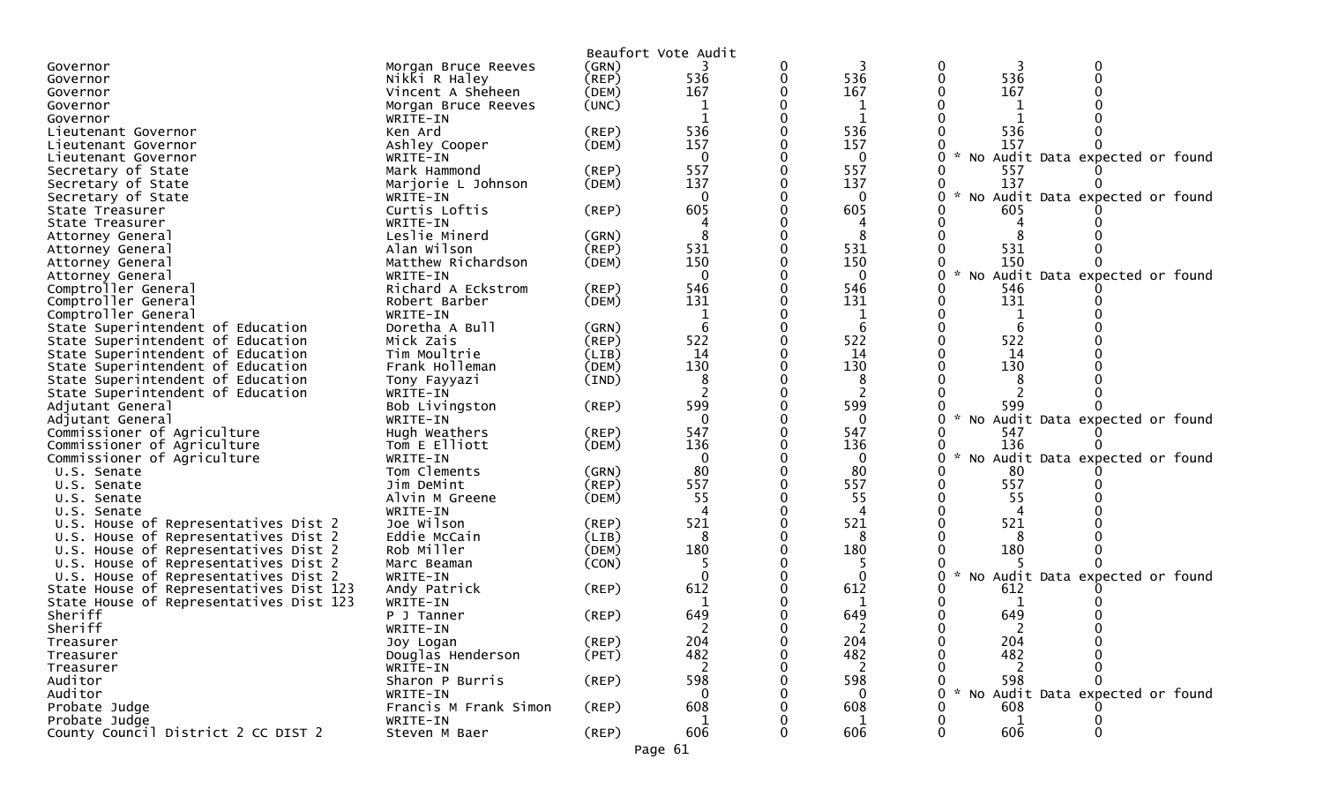|                                                                                    |                          |             | Beaufort Vote Audit |   |              |               |              |                                   |
|------------------------------------------------------------------------------------|--------------------------|-------------|---------------------|---|--------------|---------------|--------------|-----------------------------------|
| Governor                                                                           | Morgan Bruce Reeves      | (GRN)       |                     | 0 |              |               |              |                                   |
| Governor                                                                           | Nikki R Haley            | $($ REP $)$ | 536                 | 0 | 536          |               | 536          |                                   |
| Governor                                                                           | Vincent A Sheheen        | (DEM)       | 167                 |   | 167          |               | 167          |                                   |
| Governor                                                                           | Morgan Bruce Reeves      | (UNC)       |                     |   |              |               |              |                                   |
| Governor                                                                           | WRITE-IN                 |             |                     |   |              |               |              |                                   |
| Lieutenant Governor                                                                | Ken Ard                  | (REP)       | 536                 |   | 536          |               | 536          |                                   |
| Lieutenant Governor                                                                | Ashley Cooper            | (DEM)       | 157                 |   | 157          |               | 157          |                                   |
| Lieutenant Governor                                                                | WRITE-IN                 |             | $\mathbf{0}$        |   | 0            |               |              | * No Audit Data expected or found |
| Secretary of State                                                                 | Mark Hammond             | (REP)       | 557                 |   | 557          |               | 557          |                                   |
| Secretary of State                                                                 | Marjorie L Johnson       | (DEM)       | 137                 |   | 137          |               | 137          |                                   |
| Secretary of State                                                                 | WRITE-IN                 |             | 0                   |   | 0            |               |              | * No Audit Data expected or found |
| State Treasurer                                                                    | Curtis Loftis            | (REP)       | 605                 |   | 605          |               | 605          |                                   |
| State Treasurer                                                                    | WRITE-IN                 |             |                     |   |              |               |              |                                   |
| Attorney General                                                                   | Leslie Minerd            | (GRN)       |                     |   | 8            |               |              |                                   |
| Attorney General                                                                   | Alan Wilson              | (REP)       | 531                 |   | 531          |               | 531          |                                   |
| Attorney General                                                                   | Matthew Richardson       | (DEM)       | 150                 |   | 150          |               | 150          |                                   |
| Attorney General                                                                   | WRITE-IN                 |             | $\mathbf 0$         |   | $\mathbf{0}$ |               |              | * No Audit Data expected or found |
| Comptroller General                                                                | Richard A Eckstrom       | (REP)       | 546                 |   | 546          |               | 546          |                                   |
| Comptroller General                                                                | Robert Barber            | (DEM)       | 131                 |   | 131          |               | 131          |                                   |
| Comptroller General                                                                | WRITE-IN                 |             | 1                   |   | 1            |               | 1            |                                   |
| State Superintendent of Education                                                  | Doretha A Bull           | (GRN)       | 6                   |   | 6            |               | 6            |                                   |
| State Superintendent of Education                                                  | Mick Zais                | (REP)       | 522                 |   | 522          |               | 522          |                                   |
| State Superintendent of Education                                                  | Tim Moultrie             | (LIB)       | 14                  |   | 14           |               | 14           |                                   |
| State Superintendent of Education                                                  | Frank Holleman           | (DEM)       | 130                 |   | 130          |               | 130          |                                   |
| State Superintendent of Education                                                  | Tony Fayyazi             | (IND)       | 8                   |   | 8            |               |              |                                   |
| State Superintendent of Education                                                  | WRITE-IN                 |             |                     |   | 2            |               |              |                                   |
| Adjutant General                                                                   | Bob Livingston           | (REP)       | 599                 |   | 599          |               | 599          |                                   |
| Adjutant General                                                                   | WRITE-IN                 |             | $\Omega$            |   | $\Omega$     | $\mathcal{H}$ |              | No Audit Data expected or found   |
| Commissioner of Agriculture                                                        | Hugh Weathers            | (REP)       | 547                 |   | 547          |               | 547          |                                   |
| Commissioner of Agriculture                                                        | Tom E Elliott            | (DEM)       | 136                 |   | 136          |               | 136          |                                   |
| Commissioner of Agriculture                                                        | WRITE-IN                 |             | $\mathbf{0}$        |   | 0            | $\mathcal{H}$ |              | No Audit Data expected or found   |
| U.S. Senate                                                                        | Tom Clements             | (GRN)       | 80                  |   | 80           |               | 80           |                                   |
| U.S. Senate                                                                        | Jim DeMint               | $($ REP $)$ | 557                 |   | 557          |               | 557          |                                   |
| U.S. Senate                                                                        | Alvin M Greene           | (DEM)       | 55                  |   | 55           |               | 55           |                                   |
| U.S. Senate                                                                        | WRITE-IN                 |             | 4                   |   | 4            |               |              |                                   |
| U.S. House of Representatives Dist 2                                               | Joe Wilson               | $($ REP $)$ | 521                 |   | 521          |               | 521          |                                   |
| U.S. House of Representatives Dist 2                                               | Eddie McCain             | (LIB)       | 8                   |   | 8            |               |              |                                   |
| U.S. House of Representatives Dist 2                                               | Rob Miller               | (DEM)       | 180                 |   | 180          |               | 180          |                                   |
| U.S. House of Representatives Dist 2                                               | Marc Beaman              | (CON)       | $\Omega$            |   | $\Omega$     |               |              | * No Audit Data expected or found |
| U.S. House of Representatives Dist 2                                               | WRITE-IN                 |             |                     |   |              |               |              |                                   |
| State House of Representatives Dist 123<br>State House of Representatives Dist 123 | Andy Patrick<br>WRITE-IN | (REP)       | 612                 |   | 612          |               | 612          |                                   |
| Sheriff                                                                            | P J Tanner               | (REP)       | 649                 |   | 649          |               | 649          |                                   |
| Sheriff                                                                            | WRITE-IN                 |             |                     |   |              |               |              |                                   |
| Treasurer                                                                          | Joy Logan                | (REP)       | 204                 | 0 | 204          |               | 204          |                                   |
| Treasurer                                                                          | Douglas Henderson        | (PET)       | 482                 |   | 482          |               | 482          |                                   |
| Treasurer                                                                          | WRITE-IN                 |             | 2                   |   | 2            |               | 2            |                                   |
| Auditor                                                                            | Sharon P Burris          | $($ REP $)$ | 598                 |   | 598          |               | 598          |                                   |
| Auditor                                                                            | WRITE-IN                 |             | $\Omega$            |   | 0            |               |              | No Audit Data expected or found   |
| Probate Judge                                                                      | Francis M Frank Simon    | $($ REP $)$ | 608                 |   | 608          |               | 608          |                                   |
| Probate Judge                                                                      | WRITE-IN                 |             |                     |   |              |               | $\mathbf{1}$ |                                   |
| County Council District 2 CC DIST 2                                                | Steven M Baer            | $($ REP $)$ | 606                 |   | 606          |               | 606          | ∩                                 |
|                                                                                    |                          |             | Page 61             |   |              |               |              |                                   |
|                                                                                    |                          |             |                     |   |              |               |              |                                   |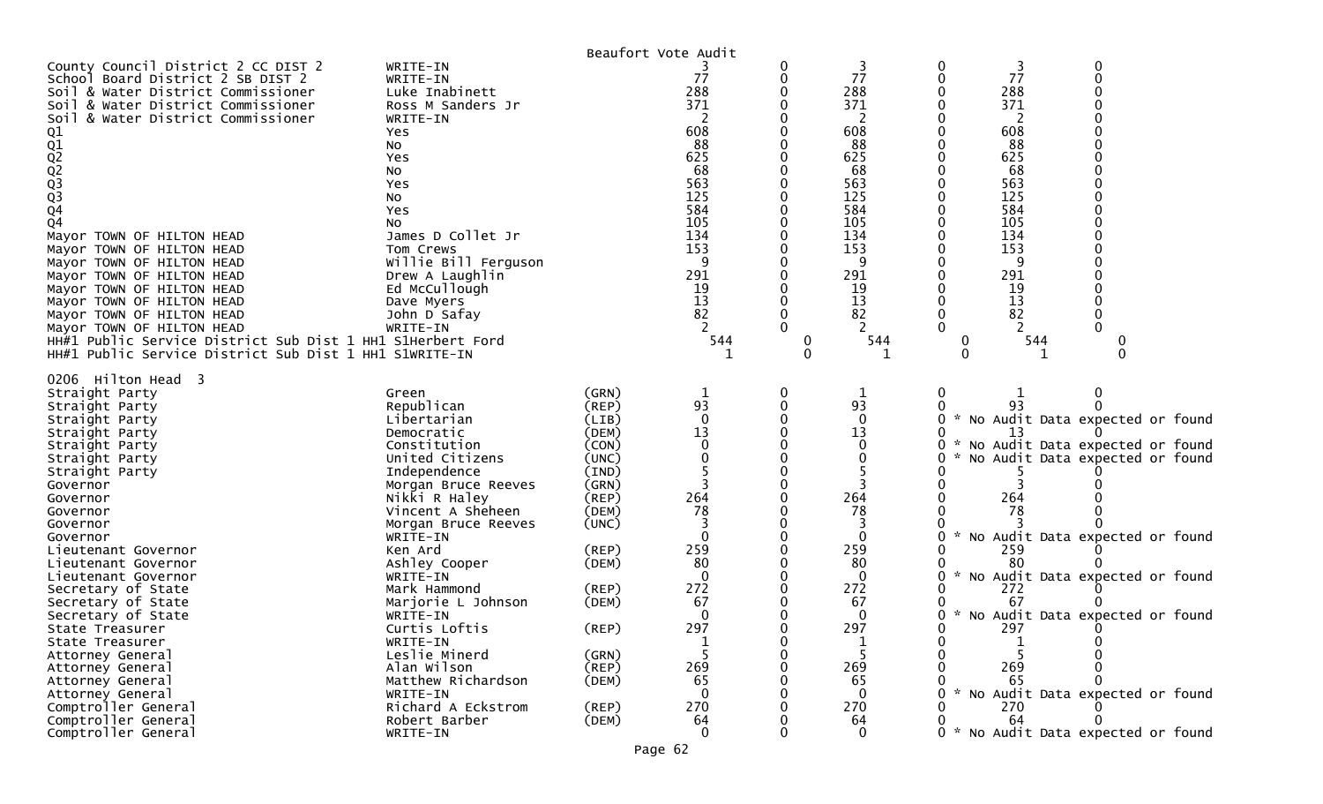|                                                                          |                                 |             | Beaufort Vote Audit |          |                |        |         |                                     |
|--------------------------------------------------------------------------|---------------------------------|-------------|---------------------|----------|----------------|--------|---------|-------------------------------------|
| County Council District 2 CC DIST 2<br>School Board District 2 SB DIST 2 | WRITE-IN<br>WRITE-IN            |             | 77                  | 0        | 3<br>77        | 0<br>0 | 3<br>77 | 0                                   |
| Soil & Water District Commissioner                                       | Luke Inabinett                  |             | 288                 |          | 288            |        | 288     |                                     |
| Soil & Water District Commissioner                                       | Ross M Sanders Jr               |             | 371                 |          | 371            |        | 371     |                                     |
| & Water District Commissioner                                            |                                 |             | 2                   |          | $\overline{2}$ |        | 2       |                                     |
| Soil                                                                     | WRITE-IN<br>Yes                 |             | 608                 |          | 608            |        | 608     |                                     |
|                                                                          |                                 |             | 88                  |          | 88             |        | 88      |                                     |
|                                                                          | No<br>Yes                       |             | 625                 |          | 625            |        | 625     |                                     |
|                                                                          | NO.                             |             | 68                  |          | 68             |        | 68      |                                     |
|                                                                          | Yes                             |             | 563                 |          | 563            |        | 563     |                                     |
|                                                                          | No                              |             | 125                 |          | 125            |        | 125     |                                     |
| 01<br>02<br>02<br>02<br>03<br>03<br>04                                   | Yes                             |             | 584                 |          | 584            |        | 584     |                                     |
| Q <sub>4</sub>                                                           | NO.                             |             | 105                 |          | 105            |        | 105     |                                     |
| Mayor TOWN OF HILTON HEAD                                                | James D Collet Jr               |             | 134                 |          | 134            |        | 134     |                                     |
| Mayor TOWN OF HILTON HEAD                                                | Tom Crews                       |             | 153                 |          | 153            |        | 153     |                                     |
| Mayor TOWN OF HILTON HEAD                                                | Willie Bill Ferguson            |             | 9                   |          | 9              |        | 9       |                                     |
| Mayor TOWN OF HILTON HEAD                                                | Drew A Laughlin                 |             | 291                 |          | 291            |        | 291     |                                     |
| Mayor TOWN OF HILTON HEAD                                                | Ed McCullough                   |             | 19                  |          | 19             |        | 19      |                                     |
| Mayor TOWN OF HILTON HEAD                                                | Dave Myers                      |             | 13                  |          | 13             |        | 13      |                                     |
| Mayor TOWN OF HILTON HEAD                                                | John D Safay                    |             | 82                  |          | 82             |        | 82      |                                     |
| Mayor TOWN OF HILTON HEAD                                                | WRITE-IN                        |             |                     |          |                |        |         |                                     |
| HH#1 Public Service District Sub Dist 1 HH1 S1Herbert Ford               |                                 |             | 544                 | $\bf{0}$ | 544            | 0      | 544     |                                     |
| HH#1 Public Service District Sub Dist 1 HH1 S1WRITE-IN                   |                                 |             |                     | 0        |                | 0      |         |                                     |
| 0206 Hilton Head 3                                                       |                                 |             |                     |          |                |        |         |                                     |
| Straight Party                                                           | Green                           | (GRN)       | $\mathbf{1}$        | 0        | $\mathbf{1}$   | 0      |         | 0                                   |
| Straight Party                                                           | Republican                      | (REP)       | 93                  | 0        | 93             | 0      | 93      |                                     |
| Straight Party                                                           | Libertarian                     | (LIB)       | $\mathbf 0$         |          | $\mathbf{0}$   | 0      |         | * No Audit Data expected or found   |
| Straight Party                                                           | Democratic                      | (DEM)       | 13                  |          | 13             |        | 13      |                                     |
| Straight Party                                                           | Constitution                    | (CON)       |                     |          | $\Omega$       | 0      |         | No Audit Data expected or found     |
| Straight Party                                                           | United Citizens                 | (UNC)       |                     |          | 0              |        |         | No Audit Data expected or found     |
| Straight Party                                                           | Independence                    | (IND)       |                     |          |                |        |         |                                     |
| Governor                                                                 | Morgan Bruce Reeves             | (GRN)       |                     |          |                |        |         |                                     |
| Governor                                                                 | Nikki R Haley                   | $($ REP $)$ | 264                 |          | 264            |        | 264     |                                     |
| Governor                                                                 | Vincent A Sheheen               | (DEM)       | 78                  |          | 78             |        | 78      |                                     |
| Governor                                                                 | Morgan Bruce Reeves<br>WRITE-IN | (UNC)       | $\Omega$            |          | $\Omega$       |        |         | No Audit Data expected or found     |
| Governor<br>Lieutenant Governor                                          | Ken Ard                         | (REP)       | 259                 |          | 259            |        | 259     |                                     |
| Lieutenant Governor                                                      | Ashley Cooper                   | (DEM)       | 80                  |          | 80             |        | 80      |                                     |
| Lieutenant Governor                                                      | WRITE-IN                        |             | $\mathbf{0}$        |          | $\mathbf{0}$   | 0      |         | * No Audit Data expected or found   |
| Secretary of State                                                       | Mark Hammond                    | (REP)       | 272                 |          | 272            |        | 272     |                                     |
| Secretary of State                                                       | Marjorie L Johnson              | (DEM)       | 67                  |          | 67             |        | 67      |                                     |
| Secretary of State                                                       | WRITE-IN                        |             | $\Omega$            |          | $\Omega$       | 0      |         | * No Audit Data expected or found   |
| State Treasurer                                                          | Curtis Loftis                   | (REP)       | 297                 | 0        | 297            | 0      | 297     |                                     |
| State Treasurer                                                          | WRITE-IN                        |             |                     |          |                |        |         |                                     |
| Attorney General                                                         | Leslie Minerd                   | (GRN)       |                     |          | 5              | 0      |         |                                     |
| Attorney General                                                         | Alan Wilson                     | (REP)       | 269                 |          | 269            |        | 269     |                                     |
| Attorney General                                                         | Matthew Richardson              | (DEM)       | 65                  |          | 65             |        | 65      |                                     |
| Attorney General                                                         | WRITE-IN                        |             | $\Omega$            |          | $\Omega$       |        |         | * No Audit Data expected or found   |
| Comptroller General                                                      | Richard A Eckstrom              | (REP)       | 270                 |          | 270            |        | 270     |                                     |
| Comptroller General                                                      | Robert Barber                   | (DEM)       | 64                  |          | 64             |        | 64      |                                     |
| Comptroller General                                                      | WRITE-IN                        |             | $\mathbf 0$         |          | $\mathbf 0$    |        |         | 0 * No Audit Data expected or found |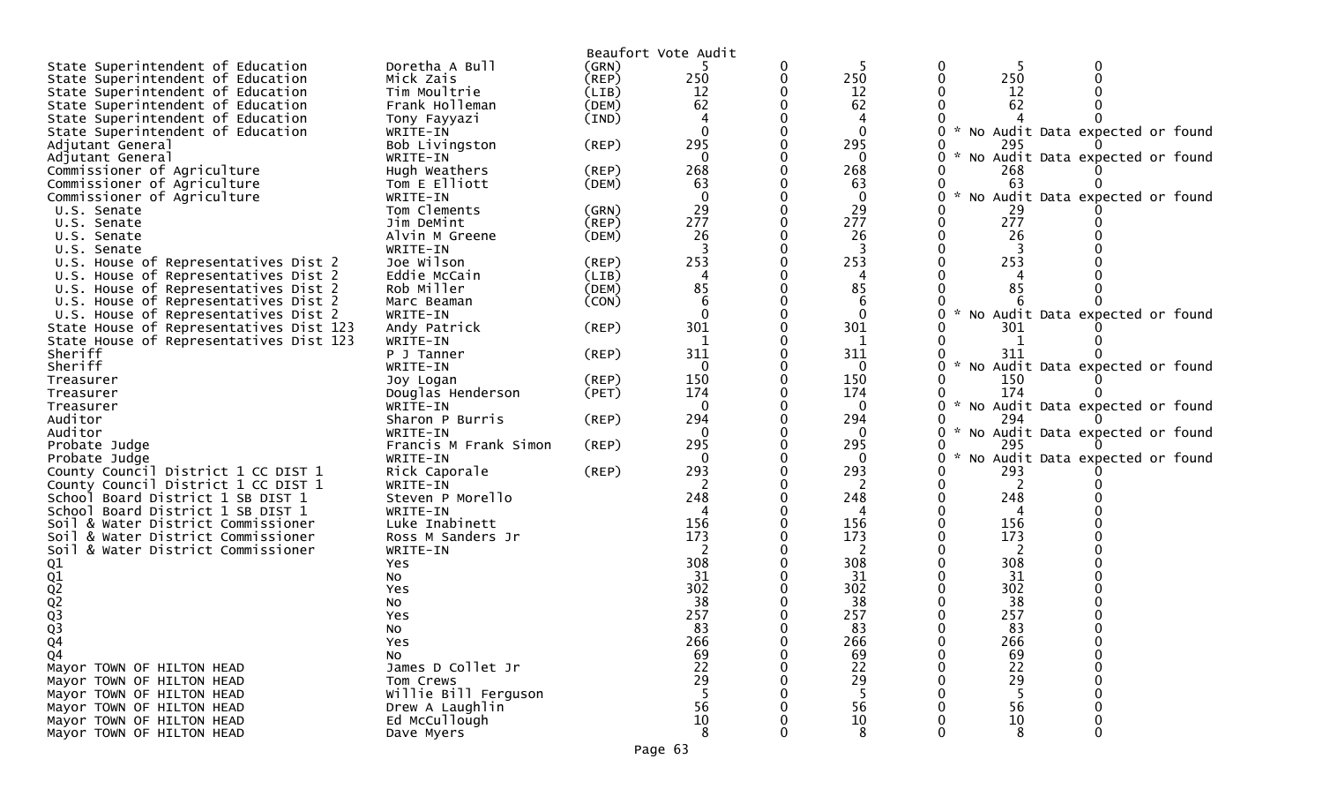|                                         |                       |             | Beaufort Vote Audit |              |                                                |  |
|-----------------------------------------|-----------------------|-------------|---------------------|--------------|------------------------------------------------|--|
| State Superintendent of Education       | Doretha A Bull        | (GRN)       |                     |              | 0                                              |  |
| State Superintendent of Education       | Mick Zais             | (REP)       | 250                 | 250          | 250<br>0                                       |  |
| State Superintendent of Education       | Tim Moultrie          | (LIB)       | 12                  | 12           | 12                                             |  |
| State Superintendent of Education       | Frank Holleman        | (DEM)       | 62                  | 62           | 62                                             |  |
| State Superintendent of Education       | Tony Fayyazi          | (IND)       |                     | 4            |                                                |  |
| State Superintendent of Education       | WRITE-IN              |             |                     | $\mathbf{0}$ | No Audit Data expected or found                |  |
| Adjutant General                        | Bob Livingston        | $($ REP $)$ | 295                 | 295          | 295                                            |  |
| Adjutant General                        | WRITE-IN              |             |                     | $\mathbf{0}$ | No Audit Data expected or found                |  |
| Commissioner of Agriculture             | Hugh Weathers         | (REP)       | 268                 | 268          | 268                                            |  |
| Commissioner of Agriculture             | Tom E Elliott         | (DEM)       | 63                  | 63           | 63                                             |  |
| Commissioner of Agriculture             | WRITE-IN              |             |                     | $\mathbf 0$  | No Audit Data expected or found                |  |
| U.S. Senate                             | Tom Clements          | (GRN)       | 29                  | 29           | 29                                             |  |
| U.S. Senate                             | Jim DeMint            | (REP)       | 277                 | 277          | 277                                            |  |
| U.S. Senate                             | Alvin M Greene        | (DEM)       | 26                  | 26           | 26                                             |  |
| U.S. Senate                             | WRITE-IN              |             |                     |              |                                                |  |
| U.S. House of Representatives Dist 2    | Joe Wilson            | (REP)       | 253                 | 253          | 253                                            |  |
| U.S. House of Representatives Dist 2    | Eddie McCain          | (LIB)       |                     | 4            |                                                |  |
|                                         | Rob Miller            | (DEM)       | 85                  | 85           | 85                                             |  |
| U.S. House of Representatives Dist 2    |                       |             |                     |              |                                                |  |
| U.S. House of Representatives Dist 2    | Marc Beaman           | (CON)       |                     | 6            | $\sim$                                         |  |
| U.S. House of Representatives Dist 2    | WRITE-IN              |             |                     | $\mathbf{0}$ | No Audit Data expected or found                |  |
| State House of Representatives Dist 123 | Andy Patrick          | $($ REP $)$ | 301                 | 301          | 301                                            |  |
| State House of Representatives Dist 123 | WRITE-IN              |             | 1                   | 1            |                                                |  |
| Sheriff                                 | P J Tanner            | (REP)       | 311                 | 311          | 311                                            |  |
| Sheriff                                 | WRITE-IN              |             |                     | 0            | $\sim$<br>No Audit Data expected or found      |  |
| Treasurer                               | Joy Logan             | (REP)       | 150                 | 150          | 150                                            |  |
| Treasurer                               | Douglas Henderson     | (PET)       | 174                 | 174          | 174                                            |  |
| Treasurer                               | WRITE-IN              |             |                     | 0            | * No Audit Data expected or found              |  |
| Auditor                                 | Sharon P Burris       | (REP)       | 294                 | 294          | 294                                            |  |
| Auditor                                 | WRITE-IN              |             | $\Omega$            | $\Omega$     | * No Audit Data expected or found              |  |
| Probate Judge                           | Francis M Frank Simon | (REP)       | 295                 | 295          | 295                                            |  |
| Probate Judge                           | WRITE-IN              |             | 0                   | 0            | No Audit Data expected or found<br>$\sim$<br>0 |  |
| County Council District 1 CC DIST 1     | Rick Caporale         | (REP)       | 293                 | 293          | 293                                            |  |
| County Council District 1 CC DIST 1     | WRITE-IN              |             |                     |              |                                                |  |
| School Board District 1 SB DIST 1       | Steven P Morello      |             | 248                 | 248          | 248                                            |  |
| School Board District 1 SB DIST 1       | WRITE-IN              |             |                     |              |                                                |  |
| Soil & Water District Commissioner      | Luke Inabinett        |             | 156                 | 156          | 156                                            |  |
| Soil & Water District Commissioner      | Ross M Sanders Jr     |             | 173                 | 173          | 173                                            |  |
| Soil & Water District Commissioner      | WRITE-IN              |             |                     | 2            | 2                                              |  |
|                                         | Yes                   |             | 308                 | 308          | 308                                            |  |
| 01<br>01<br>02<br>03<br>03              | No.                   |             | 31                  | 31           | 31                                             |  |
|                                         | Yes                   |             | 302                 | 302          | 302                                            |  |
|                                         | No                    |             | 38                  | 38           | 38                                             |  |
|                                         | Yes                   |             | 257                 | 257          | 257                                            |  |
|                                         | No                    |             | 83                  | 83           | 83                                             |  |
| Q4                                      | Yes                   |             | 266                 | 266          | 0<br>266                                       |  |
| Q4                                      | No                    |             | 69                  | 69           | 69                                             |  |
| Mayor TOWN OF HILTON HEAD               | James D Collet Jr     |             | 22                  | 22           | 22                                             |  |
| Mayor TOWN OF HILTON HEAD               | Tom Crews             |             | 29                  | 29           | 29                                             |  |
| Mayor TOWN OF HILTON HEAD               | Willie Bill Ferguson  |             | 5                   | -5           | -5                                             |  |
| Mayor TOWN OF HILTON HEAD               | Drew A Laughlin       |             | 56                  | 56           | 56                                             |  |
| Mayor TOWN OF HILTON HEAD               | Ed McCullough         |             | 10                  | 10           | 10                                             |  |
| Mayor TOWN OF HILTON HEAD               | Dave Myers            |             | 8                   | 8            | 8<br>0                                         |  |
|                                         |                       |             |                     |              |                                                |  |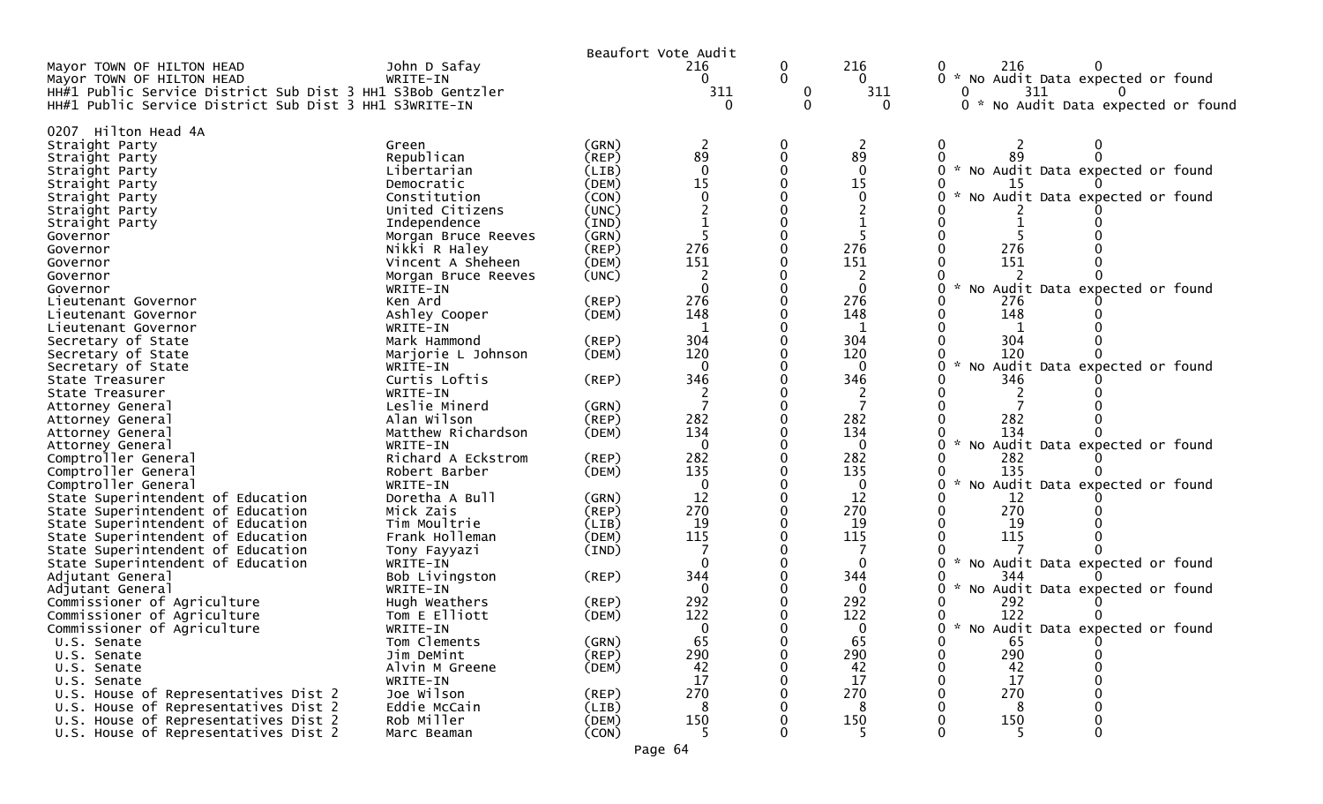|                                                                                                                      |                            |                | Beaufort Vote Audit    |                        |                        |                                                             |
|----------------------------------------------------------------------------------------------------------------------|----------------------------|----------------|------------------------|------------------------|------------------------|-------------------------------------------------------------|
| Mayor TOWN OF HILTON HEAD<br>Mayor TOWN OF HILTON HEAD<br>HH#1 Public Service District Sub Dist 3 HH1 S3Bob Gentzler | John D Safay<br>WRITE-IN   |                | 216<br>$\Omega$<br>311 | 0<br>$\mathbf{0}$<br>0 | 216<br>$\Omega$<br>311 | 216<br>0<br>0 * No Audit Data expected or found<br>311<br>0 |
| HH#1 Public Service District Sub Dist 3 HH1 S3WRITE-IN                                                               |                            |                | 0                      | 0                      | $\Omega$               | 0 * No Audit Data expected or found                         |
|                                                                                                                      |                            |                |                        |                        |                        |                                                             |
| Hilton Head 4A<br>0207<br>Straight Party                                                                             | Green                      | (GRN)          | 2                      | 0                      | 2                      | 0<br>2                                                      |
| Straight Party                                                                                                       | Republican                 | $($ REP $)$    | 89                     | 0                      | 89                     |                                                             |
| Straight Party                                                                                                       | Libertarian                | (LIB)          | $\Omega$               | $\Omega$               | $\Omega$               | * No Audit Data expected or found                           |
| Straight Party                                                                                                       | Democratic                 | (DEM)          | 15                     | $\Omega$               | 15                     | 15                                                          |
| Straight Party                                                                                                       | Constitution               | (CON)          | $\Omega$               |                        | 0                      | No Audit Data expected or found                             |
| Straight Party                                                                                                       | United Citizens            | (UNC)          |                        |                        |                        |                                                             |
| Straight Party                                                                                                       | Independence               | (IND)          |                        | 0                      |                        |                                                             |
| Governor                                                                                                             | Morgan Bruce Reeves        | (GRN)          |                        | 0                      |                        |                                                             |
| Governor                                                                                                             | Nikki R Haley              | (REP)          | 276                    | 0                      | 276                    | 276                                                         |
| Governor                                                                                                             | Vincent A Sheheen          | (DEM)          | 151                    | 0                      | 151                    | 151                                                         |
| Governor                                                                                                             | Morgan Bruce Reeves        | (UNC)          |                        | 0                      | 2                      |                                                             |
| Governor                                                                                                             | WRITE-IN                   |                | $\Omega$               | 0                      | $\mathbf{0}$           | * No Audit Data expected or found<br>0                      |
| Lieutenant Governor                                                                                                  | Ken Ard                    | (REP)          | 276                    | 0                      | 276                    | 276                                                         |
| Lieutenant Governor                                                                                                  | Ashley Cooper              | (DEM)          | 148                    | 0                      | 148                    | 148                                                         |
| Lieutenant Governor                                                                                                  | WRITE-IN                   |                | 1                      | 0                      | -1                     |                                                             |
| Secretary of State                                                                                                   | Mark Hammond               | (REP)          | 304                    | 0                      | 304                    | 304                                                         |
| Secretary of State                                                                                                   | Marjorie L Johnson         | (DEM)          | 120<br>$\Omega$        | 0<br>0                 | 120                    | 120<br>0                                                    |
| Secretary of State<br>State Treasurer                                                                                | WRITE-IN<br>Curtis Loftis  | (REP)          | 346                    | 0                      | $\overline{0}$<br>346  | * No Audit Data expected or found<br>346                    |
| State Treasurer                                                                                                      | WRITE-IN                   |                |                        | 0                      |                        |                                                             |
| Attorney General                                                                                                     | Leslie Minerd              | (GRN)          |                        | 0                      |                        |                                                             |
| Attorney General                                                                                                     | Alan Wilson                | (REP)          | 282                    | 0                      | 282                    | 282                                                         |
| Attorney General                                                                                                     | Matthew Richardson         | (DEM)          | 134                    | 0                      | 134                    | 134                                                         |
| Attorney General                                                                                                     | WRITE-IN                   |                | $\Omega$               | 0                      | $\Omega$               | * No Audit Data expected or found<br>0.                     |
| Comptroller General                                                                                                  | Richard A Eckstrom         | $($ REP $)$    | 282                    | 0                      | 282                    | 282                                                         |
| Comptroller General                                                                                                  | Robert Barber              | (DEM)          | 135                    | 0                      | 135                    | 135                                                         |
| Comptroller General                                                                                                  | WRITE-IN                   |                | 0                      | 0                      | $\bf{0}$               | * No Audit Data expected or found<br>0                      |
| State Superintendent of Education                                                                                    | Doretha A Bull             | (GRN)          | 12                     | 0                      | 12                     | 12                                                          |
| State Superintendent of Education                                                                                    | Mick Zais                  | (REP)          | 270                    | $\Omega$               | 270                    | 270                                                         |
| State Superintendent of Education                                                                                    | Tim Moultrie               | (LIB)          | 19                     | 0                      | 19                     | 19                                                          |
| State Superintendent of Education                                                                                    | Frank Holleman             | (DEM)          | 115                    | 0                      | 115                    | 115                                                         |
| State Superintendent of Education                                                                                    | Tony Fayyazi               | (IND)          |                        | 0                      |                        |                                                             |
| State Superintendent of Education                                                                                    | WRITE-IN                   |                |                        | 0                      | $\Omega$               | * No Audit Data expected or found<br>0                      |
| Adjutant General                                                                                                     | Bob Livingston             | (REP)          | 344                    | 0                      | 344                    | 344                                                         |
| Adjutant General                                                                                                     | WRITE-IN                   |                |                        |                        | 0                      | * No Audit Data expected or found<br>0.                     |
| Commissioner of Agriculture                                                                                          | Hugh Weathers              | $($ REP $)$    | 292                    |                        | 292                    | 292                                                         |
| Commissioner of Agriculture                                                                                          | Tom E Elliott              | (DEM)          | 122                    |                        | 122                    | 122                                                         |
| Commissioner of Agriculture                                                                                          | WRITE-IN                   |                | 65                     |                        | $\Omega$<br>65         | * No Audit Data expected or found                           |
| U.S. Senate<br>U.S. Senate                                                                                           | Tom Clements<br>Jim DeMint | (GRN)<br>(REP) | 290                    | 0<br>0                 | 290                    | 0<br>65<br>0<br>290<br>0                                    |
| U.S. Senate                                                                                                          | Alvin M Greene             | (DEM)          | 42                     | $\pmb{0}$              | 42                     | 0<br>42                                                     |
| U.S. Senate                                                                                                          | WRITE-IN                   |                | 17                     | $\pmb{0}$              | 17                     | 0<br>17                                                     |
| U.S. House of Representatives Dist 2                                                                                 | Joe Wilson                 | (REP)          | 270                    | 0                      | 270                    | 0<br>270                                                    |
| U.S. House of Representatives Dist 2                                                                                 | Eddie McCain               | (LIB)          |                        | 0                      |                        | 0                                                           |
| U.S. House of Representatives Dist 2                                                                                 | Rob Miller                 | (DEM)          | 150                    | 0                      | 150                    | 0<br>150<br>0                                               |
| U.S. House of Representatives Dist 2                                                                                 | Marc Beaman                | (CON)          |                        | $\mathbf{0}$           |                        | $\mathbf{0}$<br>0                                           |
|                                                                                                                      |                            |                |                        |                        |                        |                                                             |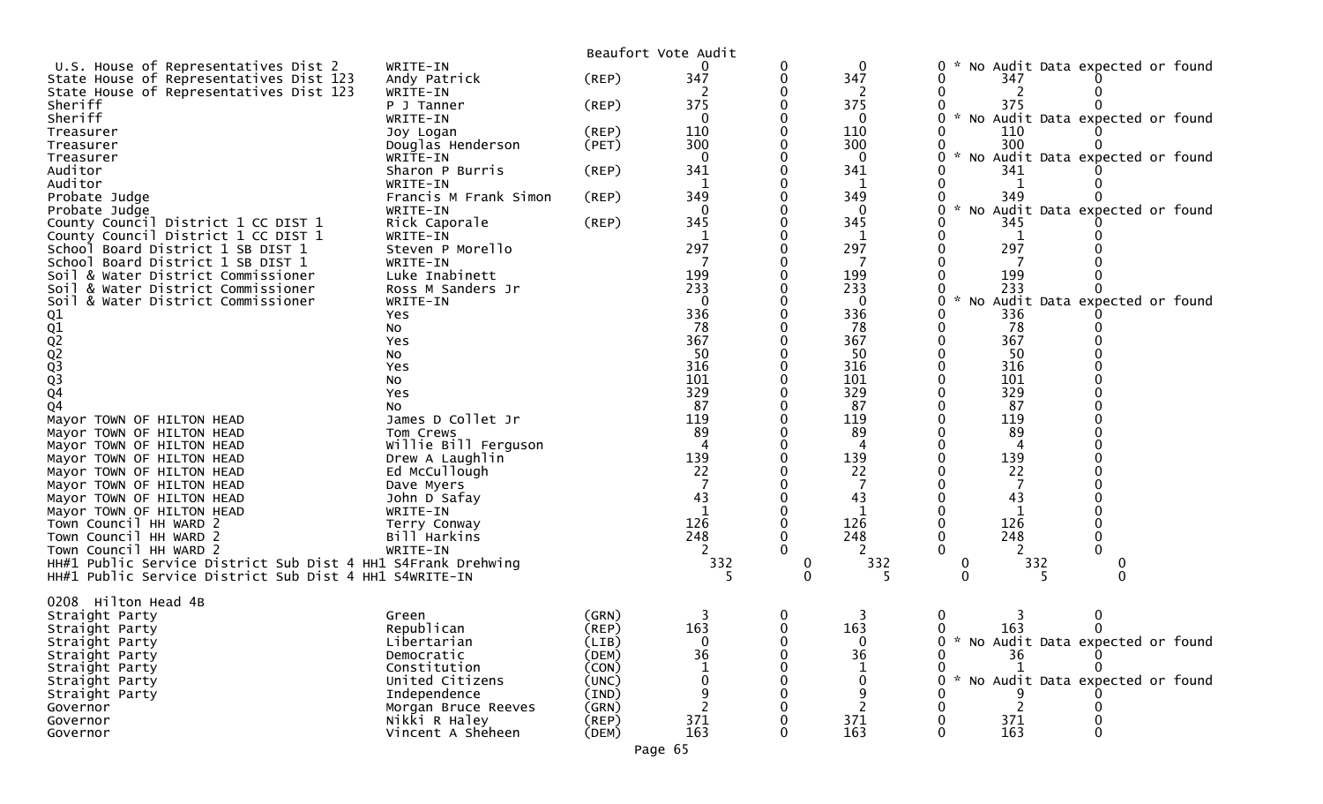|                                                              |                       |             | Beaufort Vote Audit |              |              |                                                  |
|--------------------------------------------------------------|-----------------------|-------------|---------------------|--------------|--------------|--------------------------------------------------|
| U.S. House of Representatives Dist 2                         | WRITE-IN              |             |                     | 0            | $\mathbf 0$  | No Audit Data expected or found<br>0             |
| State House of Representatives Dist 123                      | Andy Patrick          | $($ REP $)$ | 347                 |              | 347          | 347                                              |
| State House of Representatives Dist 123                      | WRITE-IN              |             |                     |              |              |                                                  |
| Sheriff                                                      | P J Tanner            | (REP)       | 375                 |              | 375          | 375                                              |
| Sheriff                                                      | WRITE-IN              |             | $\mathbf{0}$        |              | 0            | $\mathcal{H}$<br>No Audit Data expected or found |
| Treasurer                                                    | Joy Logan             | (REP)       | 110                 |              | 110          | 110                                              |
| Treasurer                                                    | Douglas Henderson     | (PET)       | 300                 |              | 300          | 300                                              |
| Treasurer                                                    | WRITE-IN              |             | $\mathbf{0}$        |              | 0            | * No Audit Data expected or found                |
| Auditor                                                      | Sharon P Burris       | (REP)       | 341                 |              | 341          | 341                                              |
| Auditor                                                      | WRITE-IN              |             | $\mathbf{1}$        |              | 1            |                                                  |
| Probate Judge                                                | Francis M Frank Simon | (REP)       | 349                 |              | 349          | 349                                              |
| Probate Judge                                                | WRITE-IN              |             | 0                   |              | $\Omega$     | No Audit Data expected or found                  |
| County Council District 1 CC DIST 1                          | Rick Caporale         | (REP)       | 345                 |              | 345          | 345                                              |
| County Council District 1 CC DIST 1                          | WRITE-IN              |             | 1                   |              | 1            |                                                  |
| School Board District 1 SB DIST 1                            | Steven P Morello      |             | 297                 |              | 297          | 297                                              |
| School Board District 1 SB DIST 1                            | WRITE-IN              |             |                     |              |              |                                                  |
| Soil & Water District Commissioner                           | Luke Inabinett        |             | 199                 |              | 199          | 199                                              |
| Soil & Water District Commissioner                           | Ross M Sanders Jr     |             | 233                 |              | 233          | 233                                              |
| & Water District Commissioner<br>Soil                        | WRITE-IN              |             | $\mathbf{0}$        |              | $\mathbf{0}$ | No Audit Data expected or found<br>$\mathcal{H}$ |
|                                                              | Yes                   |             | 336                 |              | 336          | 336                                              |
| 01<br>02<br>02<br>02<br>03<br>03<br>04                       | NO.                   |             | 78                  |              | 78           | 78                                               |
|                                                              | Yes                   |             | 367                 |              | 367          | 367                                              |
|                                                              | No                    |             | 50                  |              | 50           | 50                                               |
|                                                              | Yes                   |             | 316                 |              | 316          | 316                                              |
|                                                              | No                    |             | 101                 |              | 101          | 101                                              |
|                                                              | Yes                   |             | 329                 |              | 329          | 329                                              |
| Q <sub>4</sub>                                               | NO.                   |             | 87                  |              | 87           | 87                                               |
| Mayor TOWN OF HILTON HEAD                                    | James D Collet Jr     |             | 119                 |              | 119          | 119                                              |
| Mayor TOWN OF HILTON HEAD                                    | Tom Crews             |             | 89                  |              | 89           | 89                                               |
| Mayor TOWN OF HILTON HEAD                                    | Willie Bill Ferguson  |             | 4                   |              | 4            | 4                                                |
|                                                              |                       |             | 139                 |              | 139          | 139                                              |
| Mayor TOWN OF HILTON HEAD                                    | Drew A Laughlin       |             | 22                  |              | 22           | 22                                               |
| Mayor TOWN OF HILTON HEAD                                    | Ed McCullough         |             |                     |              |              |                                                  |
| Mayor TOWN OF HILTON HEAD                                    | Dave Myers            |             | 43                  |              |              |                                                  |
| Mayor TOWN OF HILTON HEAD                                    | John D Safay          |             |                     |              | 43           | 43                                               |
| Mayor TOWN OF HILTON HEAD                                    | WRITE-IN              |             | $\mathbf{1}$        |              | 1            | 1                                                |
| Town Council HH WARD 2                                       | Terry Conway          |             | 126                 |              | 126          | 126                                              |
| Town Council HH WARD 2                                       | Bill Harkins          |             | 248                 |              | 248          | 248                                              |
| Town Council HH WARD 2                                       | WRITE-IN              |             |                     |              |              |                                                  |
| HH#1 Public Service District Sub Dist 4 HH1 S4Frank Drehwing |                       |             | 332                 | 0            | 332          | 332                                              |
| HH#1 Public Service District Sub Dist 4 HH1 S4WRITE-IN       |                       |             |                     | $\Omega$     |              |                                                  |
|                                                              |                       |             |                     |              |              |                                                  |
| Hilton Head 4B<br>0208                                       |                       |             |                     |              |              |                                                  |
| Straight Party                                               | Green                 | (GRN)       |                     | 0            |              |                                                  |
| Straight Party                                               | Republican            | (REP)       | 163                 | $\mathbf{0}$ | 163          | 163<br>$\mathbf{0}$<br>$\Omega$                  |
| Straight Party                                               | Libertarian           | (LIB)       | 0                   |              |              | * No Audit Data expected or found                |
| Straight Party                                               | Democratic            | (DEM)       | 36                  |              | 36           | 36                                               |
| Straight Party                                               | Constitution          | (CON)       |                     |              |              |                                                  |
| Straight Party                                               | United Citizens       | (UNC)       |                     |              |              | * No Audit Data expected or found                |
| Straight Party                                               | Independence          | (IND)       |                     |              | 9            |                                                  |
| Governor                                                     | Morgan Bruce Reeves   | (GRN)       |                     |              |              | 2                                                |
| Governor                                                     | Nikki R Haley         | (REP)       | 371                 |              | 371          | 371                                              |
| Governor                                                     | Vincent A Sheheen     | (DEM)       | 163                 |              | 163          | 163                                              |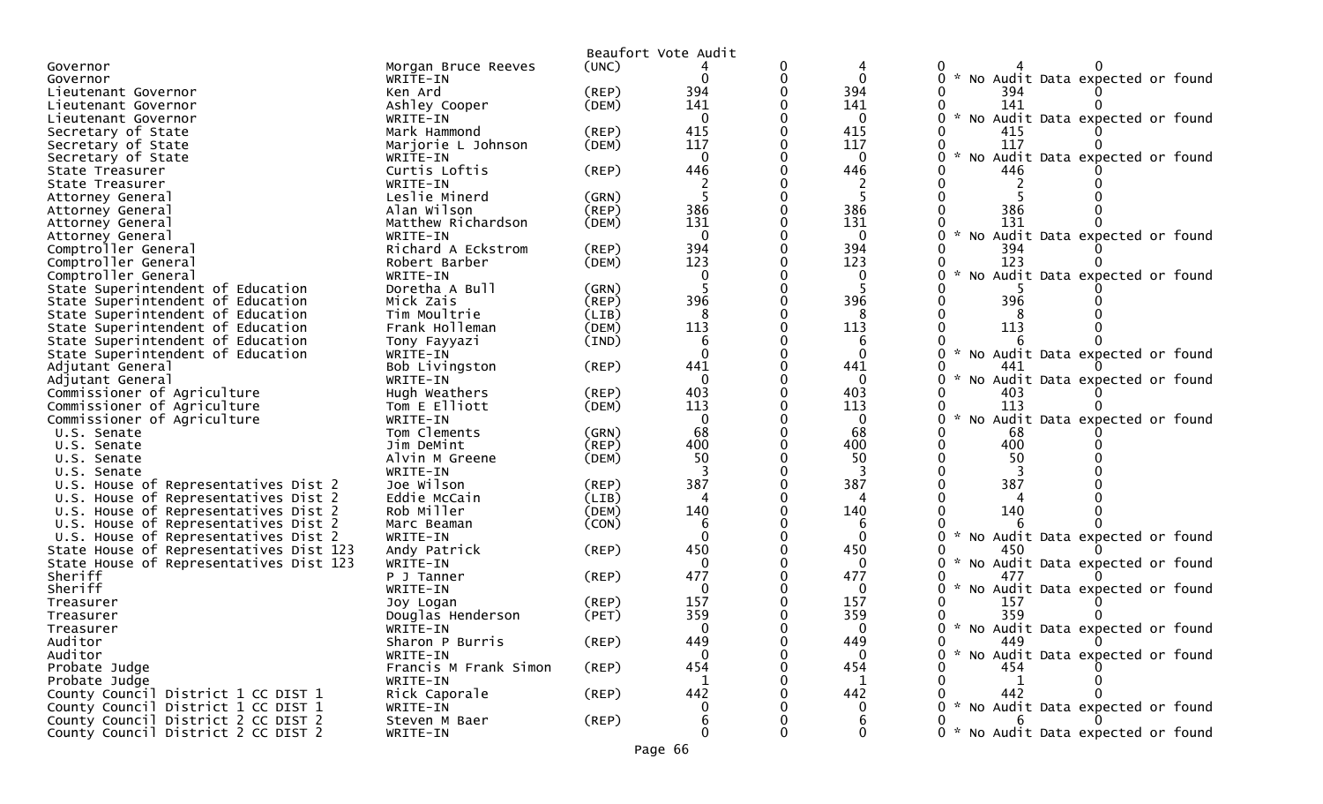|                                                                              |                            |                | Beaufort Vote Audit |   |                |                                                       |
|------------------------------------------------------------------------------|----------------------------|----------------|---------------------|---|----------------|-------------------------------------------------------|
| Governor                                                                     | Morgan Bruce Reeves        | (UNC)          |                     | 0 |                |                                                       |
| Governor                                                                     | WRITE-IN                   |                | 0                   | 0 | $\mathbf{0}$   | 0 * No Audit Data expected or found                   |
| Lieutenant Governor                                                          | Ken Ard                    | (REP)          | 394                 |   | 394            | 394                                                   |
| Lieutenant Governor                                                          | Ashley Cooper              | (DEM)          | 141                 |   | 141            | 141                                                   |
| Lieutenant Governor                                                          | WRITE-IN                   |                | $\mathbf{0}$        |   | $\mathbf{0}$   | * No Audit Data expected or found<br>0                |
| Secretary of State                                                           | Mark Hammond               | (REP)          | 415                 |   | 415            | 415                                                   |
| Secretary of State                                                           | Marjorie L Johnson         | (DEM)          | 117                 |   | 117            | 117                                                   |
| Secretary of State                                                           | WRITE-IN                   |                | $\mathbf{0}$        |   | $\mathbf 0$    | No Audit Data expected or found                       |
| State Treasurer                                                              | Curtis Loftis              | (REP)          | 446                 |   | 446            | 446                                                   |
| State Treasurer                                                              | WRITE-IN                   |                |                     |   |                |                                                       |
| Attorney General                                                             | Leslie Minerd              | (GRN)          |                     |   | -5             |                                                       |
| Attorney General                                                             | Alan Wilson                | (REP)          | 386                 |   | 386            | 386                                                   |
| Attorney General                                                             | Matthew Richardson         | (DEM)          | 131                 |   | 131            | 131                                                   |
| Attorney General                                                             | WRITE-IN                   |                | $\mathbf{0}$        |   | $\mathbf{0}$   | $\mathcal{H}$<br>No Audit Data expected or found      |
| Comptroller General                                                          | Richard A Eckstrom         | $($ REP $)$    | 394                 |   | 394            | 394                                                   |
| Comptroller General                                                          | Robert Barber              | (DEM)          | 123                 |   | 123            | 123                                                   |
| Comptroller General                                                          | WRITE-IN                   |                | 0                   |   | 0              | $\mathcal{R}$<br>No Audit Data expected or found      |
| State Superintendent of Education                                            | Doretha A Bull             | (GRN)          |                     |   |                |                                                       |
| State Superintendent of Education                                            | Mick Zais                  | (REP)          | 396                 |   | 396            | 396                                                   |
| State Superintendent of Education                                            | Tim Moultrie               | (LIB)          | 8                   |   | 8              |                                                       |
| State Superintendent of Education                                            | Frank Holleman             | (DEM)          | 113                 |   | 113            | 113                                                   |
| State Superintendent of Education                                            | Tony Fayyazi               | (IND)          | 6                   |   | 6              |                                                       |
| State Superintendent of Education                                            | WRITE-IN                   |                | $\Omega$            |   | $\Omega$       | $\mathcal{H}$<br>No Audit Data expected or found      |
| Adjutant General                                                             | Bob Livingston             | (REP)          | 441                 | O | 441            | 441                                                   |
| Adjutant General                                                             | WRITE-IN                   |                | $\Omega$            |   | $\Omega$       | No Audit Data expected or found<br>0                  |
| Commissioner of Agriculture                                                  | Hugh Weathers              | $($ REP $)$    | 403                 |   | 403            | 403                                                   |
| Commissioner of Agriculture                                                  | Tom E Elliott              | (DEM)          | 113                 | 0 | 113            | 113                                                   |
| Commissioner of Agriculture                                                  | WRITE-IN                   |                | $\mathbf{0}$        |   | $\mathbf{0}$   | No Audit Data expected or found                       |
| U.S. Senate                                                                  | Tom Clements               | (GRN)          | 68                  |   | 68             | 68                                                    |
| U.S. Senate                                                                  | Jim DeMint                 | (REP)          | 400                 |   | 400            | 400<br>50                                             |
| U.S. Senate                                                                  | Alvin M Greene             | (DEM)          | 50                  |   | 50             |                                                       |
| U.S. Senate                                                                  | WRITE-IN<br>Joe Wilson     |                | 387                 |   | 387            | 387                                                   |
| U.S. House of Representatives Dist 2                                         |                            | (REP)          | 4                   |   | 4              |                                                       |
| U.S. House of Representatives Dist 2                                         | Eddie McCain<br>Rob Miller | (LIB)          | 140                 |   | 140            | 140                                                   |
| U.S. House of Representatives Dist 2<br>U.S. House of Representatives Dist 2 | Marc Beaman                | (DEM)<br>(CON) |                     |   |                |                                                       |
| U.S. House of Representatives Dist 2                                         | WRITE-IN                   |                | $\Omega$            |   | $\Omega$       | No Audit Data expected or found                       |
| State House of Representatives Dist 123                                      | Andy Patrick               | (REP)          | 450                 |   | 450            | 450                                                   |
| State House of Representatives Dist 123                                      | WRITE-IN                   |                | 0                   |   | 0              | No Audit Data expected or found                       |
| Sheriff                                                                      | P J Tanner                 | (REP)          | 477                 |   | 477            | 477                                                   |
| Sheriff                                                                      | WRITE-IN                   |                | 0                   |   | $\Omega$       | $\mathcal{H}$<br>No Audit Data expected or found<br>0 |
| Treasurer                                                                    | Joy Logan                  | $($ REP $)$    | 157                 |   | 157            | 157                                                   |
| Treasurer                                                                    | Douglas Henderson          | (PET)          | 359                 |   | 359            | 359                                                   |
| Treasurer                                                                    | WRITE-IN                   |                | 0                   |   | $\bf{0}$       | 0 * No Audit Data expected or found                   |
| Auditor                                                                      | Sharon P Burris            | $($ REP $)$    | 449                 |   | 449            | 449<br>0                                              |
| Auditor                                                                      | WRITE-IN                   |                | $\Omega$            |   | $\overline{0}$ | 0 * No Audit Data expected or found                   |
| Probate Judge                                                                | Francis M Frank Simon      | (REP)          | 454                 |   | 454            | 454                                                   |
| Probate Judge                                                                | WRITE-IN                   |                | 1                   |   | 1              | 1                                                     |
| County Council District 1 CC DIST 1                                          | Rick Caporale              | (REP)          | 442                 |   | 442            | 442                                                   |
| County Council District 1 CC DIST 1                                          | WRITE-IN                   |                | 0                   |   | $\mathbf{0}$   | 0 * No Audit Data expected or found                   |
| County Council District 2 CC DIST 2                                          | Steven M Baer              | $($ REP $)$    | 6                   |   | 6              | 6.                                                    |
| County Council District 2 CC DIST 2                                          | WRITE-IN                   |                | 0                   | 0 | 0              | 0 * No Audit Data expected or found                   |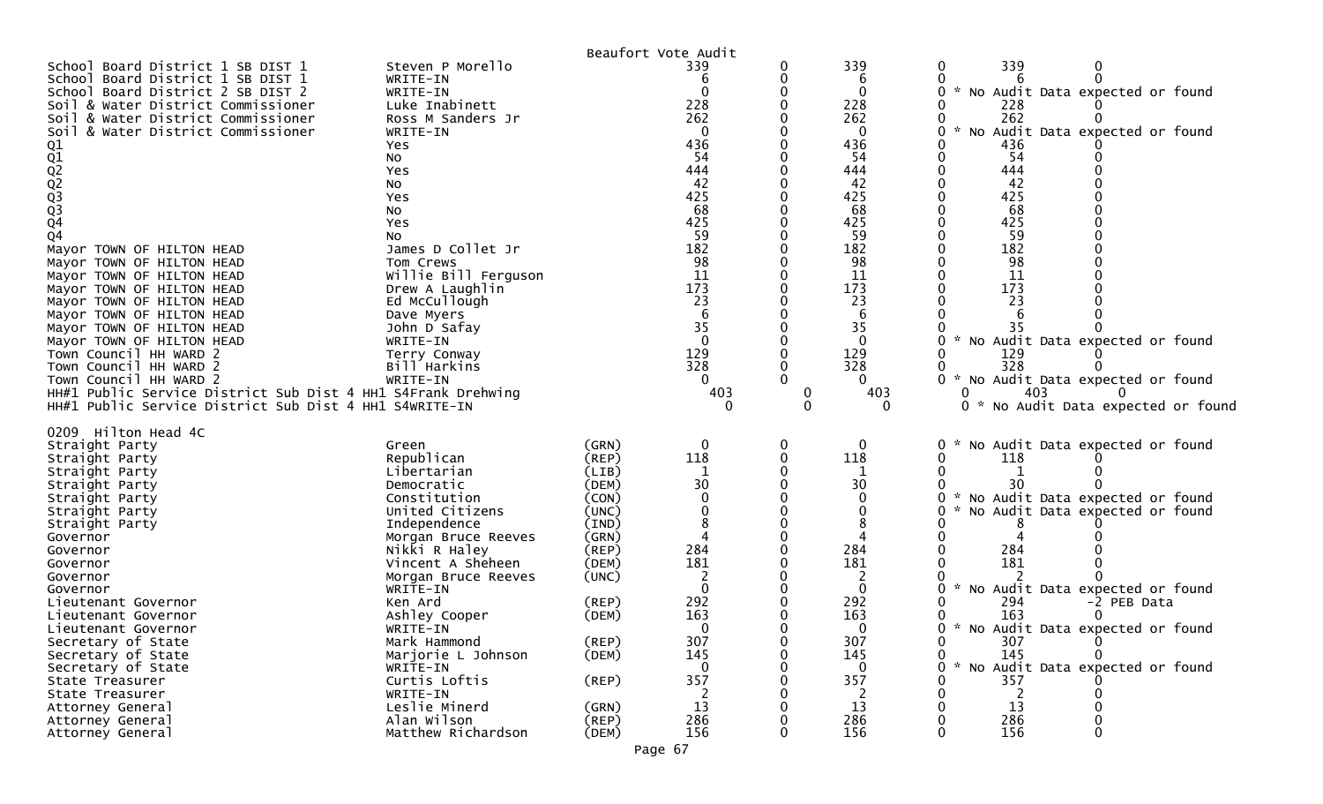|                                                                                                                                                                                                                                                                                                                                                                                                                                                                                                                                                                                                                                                                                                                                                  |                                                                                                                                                                                                                                                                                                                                                                                  | Beaufort Vote Audit                                                                                                                                                                                        |                                                                                                                                                                                |                                                |                                                                                                                                                                            |                                                                                                                                                                                                                                                                                                                                                                     |
|--------------------------------------------------------------------------------------------------------------------------------------------------------------------------------------------------------------------------------------------------------------------------------------------------------------------------------------------------------------------------------------------------------------------------------------------------------------------------------------------------------------------------------------------------------------------------------------------------------------------------------------------------------------------------------------------------------------------------------------------------|----------------------------------------------------------------------------------------------------------------------------------------------------------------------------------------------------------------------------------------------------------------------------------------------------------------------------------------------------------------------------------|------------------------------------------------------------------------------------------------------------------------------------------------------------------------------------------------------------|--------------------------------------------------------------------------------------------------------------------------------------------------------------------------------|------------------------------------------------|----------------------------------------------------------------------------------------------------------------------------------------------------------------------------|---------------------------------------------------------------------------------------------------------------------------------------------------------------------------------------------------------------------------------------------------------------------------------------------------------------------------------------------------------------------|
| Board District 1 SB DIST 1<br>School<br>School Board District 1 SB DIST 1<br>School Board District 2 SB DIST 2<br>Soil & Water District Commissioner<br>Soil & Water District Commissioner<br>& Water District Commissioner<br>Soi I<br>Q1<br>Q1<br>Q2<br>Q3<br>Q3<br>Q3<br>Q4<br>Q <sub>4</sub><br>Mayor TOWN OF HILTON HEAD<br>Mayor TOWN OF HILTON HEAD<br>Mayor TOWN OF HILTON HEAD<br>Mayor TOWN OF HILTON HEAD<br>Mayor TOWN OF HILTON HEAD<br>Mayor TOWN OF HILTON HEAD<br>Mayor TOWN OF HILTON HEAD<br>Mayor TOWN OF HILTON HEAD<br>Town Council HH WARD 2<br>Town Council HH WARD 2<br>Town Council HH WARD 2<br>HH#1 Public Service District Sub Dist 4 HH1 S4Frank Drehwing<br>HH#1 Public Service District Sub Dist 4 HH1 S4WRITE-IN | Steven P Morello<br>WRITE-IN<br>WRITE-IN<br>Luke Inabinett<br>Ross M Sanders Jr<br>WRITE-IN<br>Yes<br>No<br>Yes<br>No<br>Yes<br>NO.<br>Yes<br>NO.<br>James D Collet Jr<br>Tom Crews<br>Willie Bill Ferguson<br>Drew A Laughlin<br>Ed McCullough<br>Dave Myers<br>John D Safay<br>WRITE-IN<br>Terry Conway<br>Bill Harkins<br>WRITE-IN                                            |                                                                                                                                                                                                            | 339<br>228<br>262<br>$\Omega$<br>436<br>54<br>444<br>42<br>425<br>68<br>425<br>59<br>182<br>98<br>11<br>173<br>23<br>6<br>35<br>$\Omega$<br>129<br>328<br>0<br>403<br>$\Omega$ | 0<br>0<br>0<br>0<br>0<br>0<br>0<br>0<br>0<br>0 | 339<br>6<br>0<br>228<br>262<br>0<br>436<br>54<br>444<br>42<br>425<br>68<br>425<br>59<br>182<br>98<br>11<br>173<br>23<br>6<br>35<br>0<br>129<br>328<br>0<br>403<br>$\Omega$ | 339<br>0<br>0<br>* No Audit Data expected or found<br>228<br>262<br>* No Audit Data expected or found<br>0<br>436<br>54<br>444<br>42<br>425<br>68<br>425<br>59<br>182<br>98<br>11<br>173<br>23<br>* No Audit Data expected or found<br>129<br>328<br>$\sim$<br>No Audit Data expected or found<br>403<br>0<br>* No Audit Data expected or found                     |
| 0209 Hilton Head 4C<br>Straight Party<br>Straight Party<br>Straight Party<br>Straight Party<br>Straight Party<br>Straight Party<br>Straight Party<br>Governor<br>Governor<br>Governor<br>Governor<br>Governor<br>Lieutenant Governor<br>Lieutenant Governor<br>Lieutenant Governor<br>Secretary of State<br>Secretary of State<br>Secretary of State<br>State Treasurer<br>State Treasurer<br>Attorney General<br>Attorney General<br>Attorney General                                                                                                                                                                                                                                                                                           | Green<br>Republican<br>Libertarian<br>Democratic<br>Constitution<br>United Citizens<br>Independence<br>Morgan Bruce Reeves<br>Nikki R Haley<br>Vincent A Sheheen<br>Morgan Bruce Reeves<br>WRITE-IN<br>Ken Ard<br>Ashley Cooper<br>WRITE-IN<br>Mark Hammond<br>Marjorie L Johnson<br>WRITE-IN<br>Curtis Loftis<br>WRITE-IN<br>Leslie Minerd<br>Alan Wilson<br>Matthew Richardson | (GRN)<br>$($ REP $)$<br>(LIB)<br>(DEM)<br>(CON)<br>(UNC)<br>(IND)<br>(GRN)<br>(REP)<br>(DEM)<br>(UNC)<br>(REP)<br>(DEM)<br>$($ REP $)$<br>(DEM)<br>$($ REP $)$<br>(GRN)<br>$($ REP $)$<br>(DEM)<br>Page 67 | 118<br>30<br>284<br>181<br>292<br>163<br>307<br>145<br>$\Omega$<br>357<br>13<br>286<br>156                                                                                     | 0<br>0<br>0<br>0<br>0<br>0<br>0<br>0<br>0<br>0 | 0<br>118<br>30<br>0<br>8<br>284<br>181<br>0<br>292<br>163<br>O<br>307<br>145<br>0<br>357<br>13<br>286<br>156                                                               | No Audit Data expected or found<br>0<br>118<br>* No Audit Data expected or found<br>No Audit Data expected or found<br>284<br>181<br>* No Audit Data expected or found<br>0<br>294<br>-2 PEB Data<br>163<br>* No Audit Data expected or found<br>0<br>307<br>0<br>145<br>0<br>* No Audit Data expected or found<br>0<br>357<br>0<br>13<br>286<br>0<br>156<br>0<br>0 |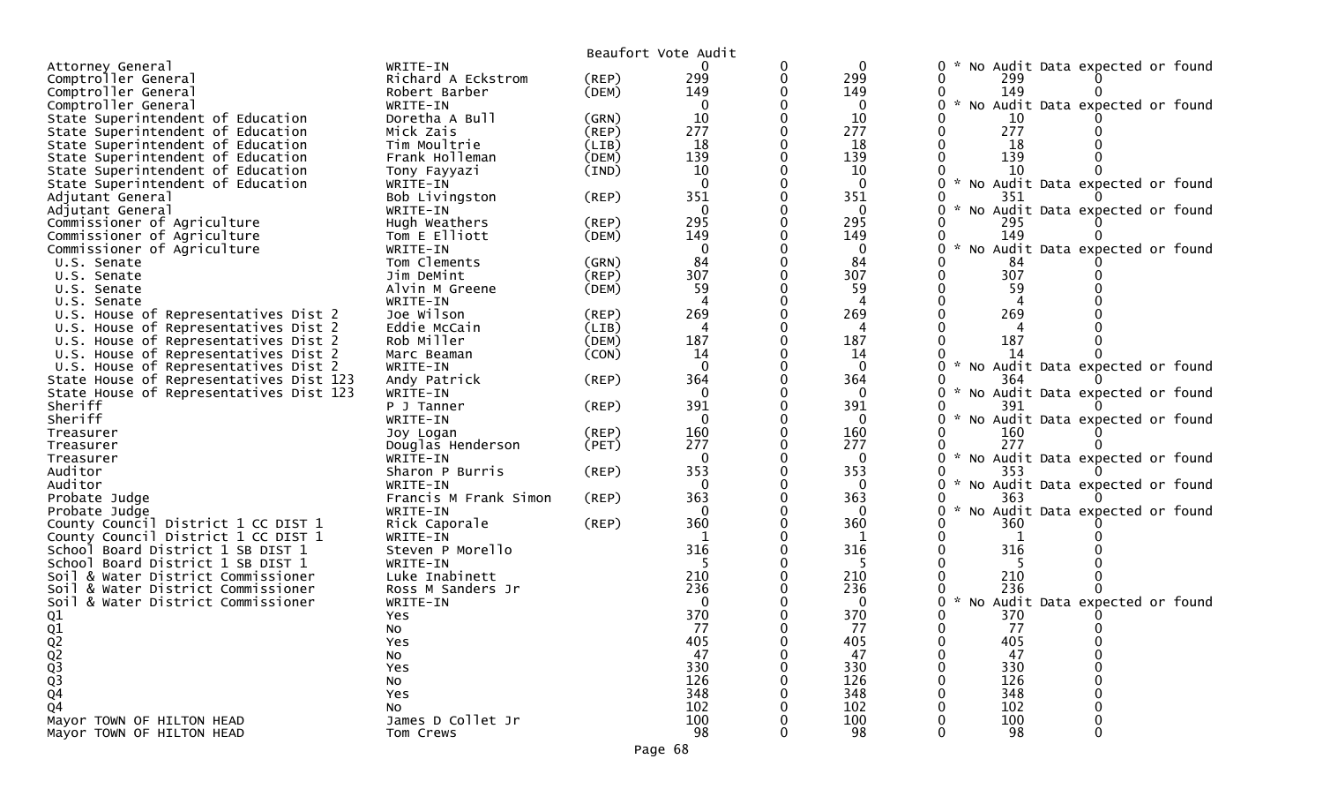|                                         |                       |       | Beaufort Vote Audit |          |              |                                           |
|-----------------------------------------|-----------------------|-------|---------------------|----------|--------------|-------------------------------------------|
| Attorney General                        | WRITE-IN              |       | 0                   | 0        | $\mathbf 0$  | No Audit Data expected or found           |
| Comptroller General                     | Richard A Eckstrom    | (REP) | 299                 | $\Omega$ | 299          | 299                                       |
| Comptroller General                     | Robert Barber         | (DEM) | 149                 |          | 149          | 149                                       |
| Comptroller General                     | WRITE-IN              |       | 0                   |          | 0            | * No Audit Data expected or found         |
| State Superintendent of Education       | Doretha A Bull        | (GRN) | 10                  |          | 10           | 10                                        |
| State Superintendent of Education       | Mick Zais             | (REP) | 277                 |          | 277          | 277                                       |
| State Superintendent of Education       | Tim Moultrie          | (LIB) | 18                  |          | 18           | 18                                        |
| State Superintendent of Education       | Frank Holleman        | (DEM) | 139                 |          | 139          | 139                                       |
| State Superintendent of Education       | Tony Fayyazi          | (IND) | 10                  |          | 10           | 10                                        |
| State Superintendent of Education       | WRITE-IN              |       | $\mathbf{0}$        |          | $\mathbf{0}$ | * No Audit Data expected or found         |
| Adjutant General                        | Bob Livingston        | (REP) | 351                 |          | 351          | 351                                       |
| Adjutant General                        | WRITE-IN              |       | $\Omega$            |          | $\Omega$     | $\sim$<br>No Audit Data expected or found |
| Commissioner of Agriculture             | Hugh Weathers         | (REP) | 295                 |          | 295          | 295                                       |
| Commissioner of Agriculture             | Tom E Elliott         | (DEM) | 149                 |          | 149          | 149                                       |
| Commissioner of Agriculture             | WRITE-IN              |       | 0                   |          | 0            | No Audit Data expected or found           |
| U.S. Senate                             | Tom Clements          | (GRN) | 84                  |          | 84           | 84                                        |
| U.S. Senate                             | Jim DeMint            | (REP) | 307                 |          | 307          | 307                                       |
| U.S. Senate                             | Alvin M Greene        | (DEM) | 59                  |          | 59           | 59                                        |
| U.S. Senate                             | WRITE-IN              |       |                     |          | 4            |                                           |
| U.S. House of Representatives Dist 2    | Joe Wilson            | (REP) | 269                 |          | 269          | 269                                       |
| U.S. House of Representatives Dist 2    | Eddie McCain          | (LIB) | 4                   |          |              |                                           |
| U.S. House of Representatives Dist 2    | Rob Miller            | (DEM) | 187                 |          | 187          | 187                                       |
| U.S. House of Representatives Dist 2    | Marc Beaman           | (CON) | 14                  |          | 14           |                                           |
| U.S. House of Representatives Dist 2    | WRITE-IN              |       | $\Omega$            |          | $\mathbf{0}$ | * No Audit Data expected or found         |
| State House of Representatives Dist 123 | Andy Patrick          | (REP) | 364                 |          | 364          | 364                                       |
| State House of Representatives Dist 123 | WRITE-IN              |       | $\Omega$            |          | $\Omega$     | No Audit Data expected or found           |
| Sheriff                                 | P J Tanner            | (REP) | 391                 |          | 391          | 391                                       |
| Sheriff                                 | WRITE-IN              |       | $\mathbf{0}$        |          | $\mathbf{0}$ | $\sim$<br>No Audit Data expected or found |
| Treasurer                               | Joy Logan             | (REP) | 160                 |          | 160          | 160                                       |
| Treasurer                               | Douglas Henderson     | (PET) | 277                 |          | 277          | 277                                       |
| Treasurer                               | WRITE-IN              |       | $\Omega$            |          | 0            | No Audit Data expected or found           |
| Auditor                                 | Sharon P Burris       | (REP) | 353                 |          | 353          | 353                                       |
| Auditor                                 | WRITE-IN              |       | $\mathbf{0}$        |          | 0            | No Audit Data expected or found           |
| Probate Judge                           | Francis M Frank Simon | (REP) | 363                 |          | 363          | 363                                       |
| Probate Judge                           | WRITE-IN              |       | 0                   |          |              | $\sim$<br>No Audit Data expected or found |
| County Council District 1 CC DIST 1     | Rick Caporale         | (REP) | 360                 |          | 360          | 360                                       |
| County Council District 1 CC DIST 1     | WRITE-IN              |       |                     |          | 1            |                                           |
| School Board District 1 SB DIST 1       | Steven P Morello      |       | 316                 |          | 316          | 316                                       |
| School Board District 1 SB DIST 1       | WRITE-IN              |       | -5                  |          | 5            | -5                                        |
| Soil & Water District Commissioner      | Luke Inabinett        |       | 210                 |          | 210          | 210                                       |
| Soil & Water District Commissioner      | Ross M Sanders Jr     |       | 236                 |          | 236          | 236                                       |
| Soil & Water District Commissioner      | WRITE-IN              |       | $\Omega$            |          | 0            | * No Audit Data expected or found         |
| Q1                                      | Yes                   |       | 370                 |          | 370          | 370                                       |
|                                         | No                    |       | 77                  |          | 77           | 77                                        |
|                                         | Yes                   |       | 405                 | 0        | 405          | 405                                       |
|                                         | No                    |       | 47                  |          | 47           | 47                                        |
|                                         | Yes                   |       | 330                 |          | 330          | 330                                       |
|                                         | No                    |       | 126                 |          | 126          | 126                                       |
| Q1<br>Q2<br>Q3<br>Q3<br>Q4              | Yes                   |       | 348                 |          | 348          | 348                                       |
| Q4                                      | NO.                   |       | 102                 |          | 102          | 102                                       |
| Mayor TOWN OF HILTON HEAD               | James D Collet Jr     |       | 100                 |          | 100          | 100                                       |
| Mayor TOWN OF HILTON HEAD               | Tom Crews             |       | 98                  | ∩        | 98           | 98<br>0                                   |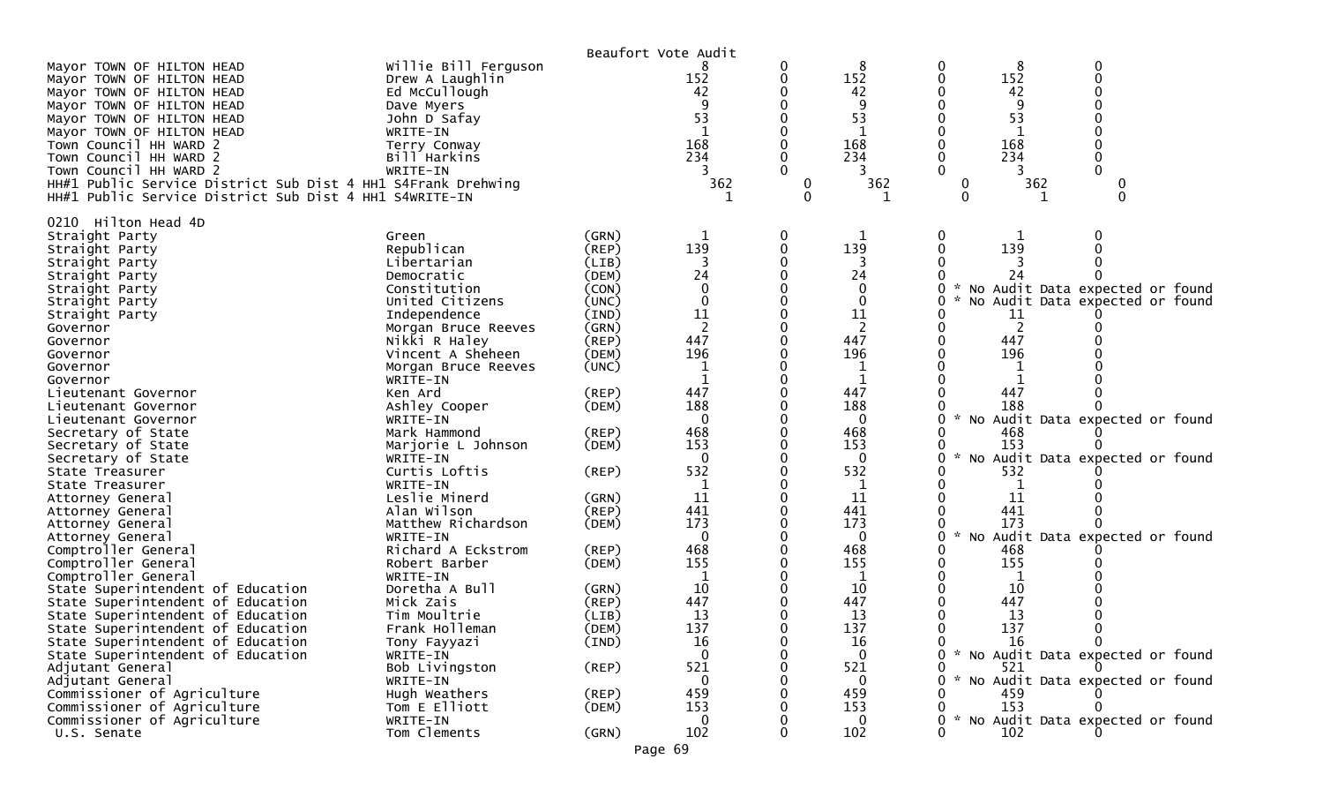|                                                              |                      | Beaufort Vote Audit |                |                  |              |               |     |                                   |  |
|--------------------------------------------------------------|----------------------|---------------------|----------------|------------------|--------------|---------------|-----|-----------------------------------|--|
| Mayor TOWN OF HILTON HEAD                                    | Willie Bill Ferguson |                     | 8              | 0                | 8            | 0             | 8   |                                   |  |
| Mayor TOWN OF HILTON HEAD                                    | Drew A Laughlin      |                     | 152            | 0                | 152          |               | 152 |                                   |  |
| Mayor TOWN OF HILTON HEAD                                    | Ed McCullough        |                     | 42             |                  | 42           |               | 42  |                                   |  |
| Mayor TOWN OF HILTON HEAD                                    | Dave Myers           |                     | q              |                  | q            |               |     |                                   |  |
| Mayor TOWN OF HILTON HEAD                                    | John D Safay         |                     | 53             |                  | 53           |               | 53  |                                   |  |
| Mayor TOWN OF HILTON HEAD                                    | WRITE-IN             |                     |                |                  |              |               |     |                                   |  |
| Town Council HH WARD 2                                       | Terry Conway         |                     | 168            |                  | 168          |               | 168 |                                   |  |
| Town Council HH WARD 2                                       | Bill Harkins         |                     | 234            |                  | 234          |               | 234 |                                   |  |
| Town Council HH WARD 2                                       | WRITE-IN             |                     |                |                  | 3            |               | 3   |                                   |  |
| HH#1 Public Service District Sub Dist 4 HH1 S4Frank Drehwing |                      |                     | 362            | $\boldsymbol{0}$ | 362          | 0             | 362 |                                   |  |
| HH#1 Public Service District Sub Dist 4 HH1 S4WRITE-IN       |                      |                     |                | $\mathbf{0}$     |              | $\Omega$      |     |                                   |  |
|                                                              |                      |                     |                |                  |              |               |     |                                   |  |
| 0210 Hilton Head 4D                                          |                      |                     |                |                  |              |               |     |                                   |  |
| Straight Party                                               | Green                | (GRN)               | 1              | 0                |              | 0             |     |                                   |  |
| Straight Party                                               | Republican           | (REP)               | 139            | $\mathbf{0}$     | 139          | $\Omega$      | 139 |                                   |  |
| Straight Party                                               | Libertarian          | (LIB)               | 3              | 0                |              |               |     |                                   |  |
| Straight Party                                               | Democratic           | (DEM)               | 24             |                  | 24           |               | 24  |                                   |  |
| Straight Party                                               | Constitution         | (CON)               | 0              | 0                | $\mathbf{0}$ |               |     | No Audit Data expected or found   |  |
| Straight Party                                               | United Citizens      | (UNC)               | $\mathbf{0}$   | $\Omega$         | $\mathbf{0}$ |               |     | No Audit Data expected or found   |  |
| Straight Party                                               | Independence         | (IND)               | 11             |                  | 11           |               | 11  |                                   |  |
| Governor                                                     | Morgan Bruce Reeves  | (GRN)               | $\overline{2}$ |                  |              |               | 2   |                                   |  |
| Governor                                                     | Nikki R Haley        | (REP)               | 447            | $\Omega$         | 447          |               | 447 |                                   |  |
| Governor                                                     | Vincent A Sheheen    | (DEM)               | 196            |                  | 196          |               | 196 |                                   |  |
|                                                              |                      |                     |                |                  |              |               |     |                                   |  |
| Governor                                                     | Morgan Bruce Reeves  | (UNC)               | $\mathbf{1}$   | 0                |              |               |     |                                   |  |
| Governor                                                     | WRITE-IN             |                     |                |                  | 1            |               |     |                                   |  |
| Lieutenant Governor                                          | Ken Ard              | (REP)               | 447            |                  | 447          |               | 447 |                                   |  |
| Lieutenant Governor                                          | Ashley Cooper        | (DEM)               | 188            |                  | 188          |               | 188 |                                   |  |
| Lieutenant Governor                                          | WRITE-IN             |                     | $\mathbf{0}$   |                  | $\Omega$     |               |     | No Audit Data expected or found   |  |
| Secretary of State                                           | Mark Hammond         | $($ REP $)$         | 468            |                  | 468          |               | 468 |                                   |  |
| Secretary of State                                           | Marjorie L Johnson   | (DEM)               | 153            | 0                | 153          |               | 153 |                                   |  |
| Secretary of State                                           | WRITE-IN             |                     | $\Omega$       |                  | $\mathbf 0$  |               |     | No Audit Data expected or found   |  |
| State Treasurer                                              | Curtis Loftis        | $($ REP $)$         | 532            |                  | 532          |               | 532 |                                   |  |
| State Treasurer                                              | WRITE-IN             |                     | 1              | 0                | 1            |               |     |                                   |  |
| Attorney General                                             | Leslie Minerd        | (GRN)               | 11             | 0                | 11           |               | 11  |                                   |  |
| Attorney General                                             | Alan Wilson          | $($ REP $)$         | 441            |                  | 441          |               | 441 |                                   |  |
| Attorney General                                             | Matthew Richardson   | (DEM)               | 173            | 0                | 173          |               | 173 |                                   |  |
| Attorney General                                             | WRITE-IN             |                     | $\mathbf{0}$   |                  | $\mathbf 0$  | No            |     | Audit Data expected or found      |  |
| Comptroller General                                          | Richard A Eckstrom   | $($ REP $)$         | 468            |                  | 468          |               | 468 |                                   |  |
| Comptroller General                                          | Robert Barber        | (DEM)               | 155            |                  | 155          |               | 155 |                                   |  |
| Comptroller General                                          | WRITE-IN             |                     | $\mathbf 1$    |                  | $\mathbf 1$  |               | 1   |                                   |  |
| State Superintendent of Education                            | Doretha A Bull       | (GRN)               | 10             |                  | 10           |               | 10  |                                   |  |
| State Superintendent of Education                            | Mick Zais            | (REP)               | 447            |                  | 447          |               | 447 |                                   |  |
| State Superintendent of Education                            | Tim Moultrie         | (LIB)               | 13             |                  | 13           |               | 13  |                                   |  |
| State Superintendent of Education                            | Frank Holleman       | (DEM)               | 137            |                  | 137          |               | 137 |                                   |  |
| State Superintendent of Education                            | Tony Fayyazi         | (IND)               | 16             | 0                | 16           |               | 16  | 0                                 |  |
| State Superintendent of Education                            | WRITE-IN             |                     | $\Omega$       | 0                | $\Omega$     | 0             |     | * No Audit Data expected or found |  |
| Adjutant General                                             | Bob Livingston       | $($ REP $)$         | 521            |                  | 521          |               | 521 |                                   |  |
| Adjutant General                                             | WRITE-IN             |                     | $\mathbf{0}$   |                  | $\mathbf{0}$ |               |     | * No Audit Data expected or found |  |
| Commissioner of Agriculture                                  | Hugh Weathers        | (REP)               | 459            |                  | 459          |               | 459 |                                   |  |
| Commissioner of Agriculture                                  | Tom E Elliott        | (DEM)               | 153            |                  | 153          | 0             | 153 |                                   |  |
| Commissioner of Agriculture                                  | WRITE-IN             |                     | 0              |                  | $\mathbf{0}$ | $\mathcal{H}$ |     | No Audit Data expected or found   |  |
| U.S. Senate                                                  | Tom Clements         | (GRN)               | 102            | 0                | 102          |               | 102 |                                   |  |
|                                                              |                      |                     |                |                  |              |               |     |                                   |  |
|                                                              |                      | Page 69             |                |                  |              |               |     |                                   |  |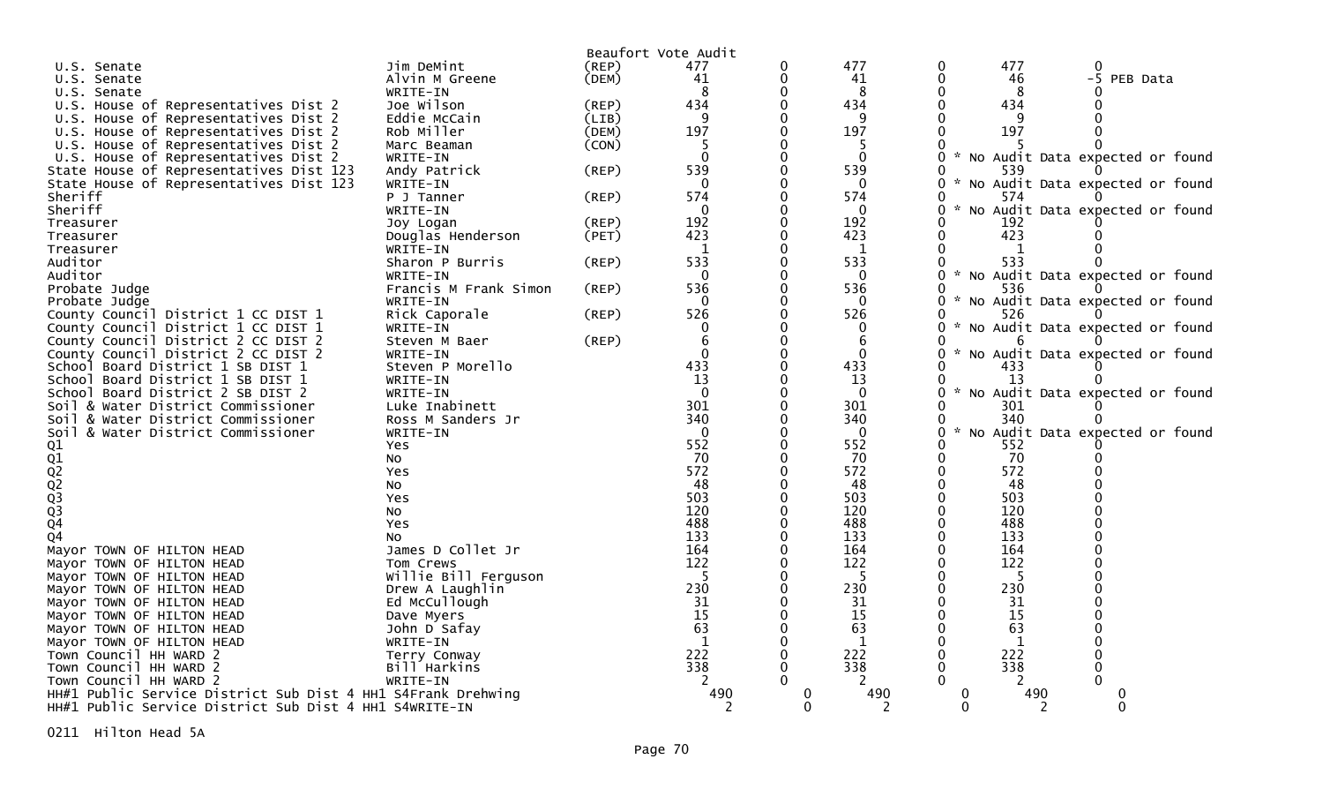|                                                              |                          |       | Beaufort Vote Audit |          |                |                    |              |                                   |  |
|--------------------------------------------------------------|--------------------------|-------|---------------------|----------|----------------|--------------------|--------------|-----------------------------------|--|
| U.S. Senate                                                  | Jim DeMint               | (REP) | 477                 | 0        | 477            | 0                  | 477          | 0                                 |  |
| U.S. Senate                                                  | Alvin M Greene           | (DEM) | 41                  | 0        | 41             | 0                  | 46           | -5 PEB Data                       |  |
| U.S. Senate                                                  | WRITE-IN                 |       | 8                   |          | 8              |                    | 8            |                                   |  |
| U.S. House of Representatives Dist 2                         | Joe Wilson               | (REP) | 434                 |          | 434            |                    | 434          |                                   |  |
| U.S. House of Representatives Dist 2                         | Eddie McCain             | (LIB) |                     |          | 9              |                    | q            |                                   |  |
| U.S. House of Representatives Dist 2                         | Rob Miller               | (DEM) | 197                 |          | 197            | 0                  | 197          |                                   |  |
| U.S. House of Representatives Dist 2                         | Marc Beaman              | (CON) |                     |          | 5              |                    |              |                                   |  |
| U.S. House of Representatives Dist 2                         | WRITE-IN                 |       | $\mathbf 0$         |          | $\mathbf 0$    | 0                  |              | * No Audit Data expected or found |  |
| State House of Representatives Dist 123                      | Andy Patrick             | (REP) | 539                 |          | 539            | 0                  | 539          |                                   |  |
| State House of Representatives Dist 123                      | WRITE-IN                 |       | $\Omega$            |          | 0              | 0<br>$\mathcal{H}$ |              | No Audit Data expected or found   |  |
| Sheriff                                                      | P J Tanner               | (REP) | 574                 | 0        | 574            |                    | 574          |                                   |  |
| Sheriff                                                      | WRITE-IN                 |       | $\Omega$            |          | $\overline{0}$ | 0                  |              | No Audit Data expected or found   |  |
| Treasurer                                                    | Joy Logan                | (REP) | 192                 | 0        | 192            |                    | 192          |                                   |  |
| Treasurer                                                    | Douglas Henderson        | (PET) | 423                 |          | 423            |                    | 423          |                                   |  |
| Treasurer                                                    | WRITE-IN                 |       | $\mathbf{1}$        |          | 1              |                    | $\mathbf 1$  |                                   |  |
| Auditor                                                      | Sharon P Burris          | (REP) | 533                 |          | 533            |                    | 533          |                                   |  |
| Auditor                                                      | WRITE-IN                 |       | $\Omega$            |          | $\overline{0}$ | 0                  |              | * No Audit Data expected or found |  |
| Probate Judge                                                | Francis M Frank Simon    | (REP) | 536                 |          | 536            | 0                  | 536          |                                   |  |
| Probate Judge                                                | WRITE-IN                 |       | $\Omega$            |          | $\Omega$       | 0                  |              | * No Audit Data expected or found |  |
| County Council District 1 CC DIST 1                          | Rick Caporale            | (REP) | 526                 |          | 526            | 0                  | 526          |                                   |  |
| County Council District 1 CC DIST 1                          | WRITE-IN                 |       |                     |          | 0              | 0<br>$\mathcal{H}$ |              | No Audit Data expected or found   |  |
| County Council District 2 CC DIST 2                          | Steven M Baer            | (REP) | 6                   |          | 6              |                    |              |                                   |  |
| County Council District 2 CC DIST 2                          | WRITE-IN                 |       | $\Omega$            |          | $\Omega$       | 0<br>$\mathcal{H}$ |              | No Audit Data expected or found   |  |
| School Board District 1 SB DIST 1                            | Steven P Morello         |       | 433                 |          | 433            | O                  | 433          |                                   |  |
| School Board District 1 SB DIST 1                            | WRITE-IN                 |       | 13                  |          | 13             | 0                  | 13           |                                   |  |
| School Board District 2 SB DIST 2                            | WRITE-IN                 |       | $\Omega$            |          | $\Omega$       | 0                  |              | * No Audit Data expected or found |  |
| Soil & Water District Commissioner                           | Luke Inabinett           |       | 301                 |          | 301            |                    | 301          |                                   |  |
| Soil & Water District Commissioner                           | Ross M Sanders Jr        |       | 340                 |          | 340            |                    | 340          |                                   |  |
| Soil & Water District Commissioner                           | WRITE-IN                 |       | $\Omega$            |          | $\Omega$       | 0<br>$\mathbf{x}$  |              | No Audit Data expected or found   |  |
|                                                              | Yes.                     |       | 552                 |          | 552            | 0                  | 552          |                                   |  |
|                                                              | No                       |       | 70                  |          | 70             | 0                  | 70           |                                   |  |
|                                                              | Yes                      |       | 572                 |          | 572            |                    | 572          |                                   |  |
|                                                              |                          |       | 48                  |          | 48             | O                  | 48           |                                   |  |
|                                                              | NO.                      |       | 503                 |          | 503            |                    | 503          |                                   |  |
|                                                              | Yes                      |       | 120                 |          |                | $\Omega$           |              |                                   |  |
| 01<br>02<br>02<br>02<br>03<br>03<br>04                       | NO.                      |       | 488                 |          | 120<br>488     |                    | 120<br>488   |                                   |  |
|                                                              | Yes                      |       | 133                 |          | 133            | 0                  |              |                                   |  |
| Q <sub>4</sub>                                               | NO.<br>James D Collet Jr |       | 164                 |          | 164            |                    | 133          |                                   |  |
| Mayor TOWN OF HILTON HEAD                                    |                          |       |                     |          |                |                    | 164          |                                   |  |
| Mayor TOWN OF HILTON HEAD                                    | Tom Crews                |       | 122<br>-5           |          | 122<br>-5      |                    | 122<br>-5    |                                   |  |
| Mayor TOWN OF HILTON HEAD                                    | Willie Bill Ferguson     |       |                     |          |                |                    |              |                                   |  |
| Mayor TOWN OF HILTON HEAD                                    | Drew A Laughlin          |       | 230                 |          | 230            |                    | 230          |                                   |  |
| Mayor TOWN OF HILTON HEAD                                    | Ed McCullough            |       | 31                  |          | 31             |                    | 31           |                                   |  |
| Mayor TOWN OF HILTON HEAD                                    | Dave Myers               |       | 15                  |          | 15             |                    | 15           |                                   |  |
| Mayor TOWN OF HILTON HEAD                                    | John D Safay             |       | 63                  |          | 63             |                    | 63           |                                   |  |
| Mayor TOWN OF HILTON HEAD                                    | WRITE-IN                 |       | $\mathbf 1$         |          | $\mathbf{1}$   |                    | $\mathbf{1}$ |                                   |  |
| Town Council HH WARD 2                                       | Terry Conway             |       | 222                 |          | 222            | $\Omega$           | 222          |                                   |  |
| Town Council HH WARD 2                                       | Bill Harkins             |       | 338                 |          | 338            | 0                  | 338          |                                   |  |
| Town Council HH WARD 2                                       | WRITE-IN                 |       |                     |          |                |                    |              |                                   |  |
| HH#1 Public Service District Sub Dist 4 HH1 S4Frank Drehwing |                          |       | 490                 |          | 490            |                    | 490          |                                   |  |
| HH#1 Public Service District Sub Dist 4 HH1 S4WRITE-IN       |                          |       |                     | $\Omega$ |                | $\Omega$           |              | ∩                                 |  |

0211 Hilton Head 5A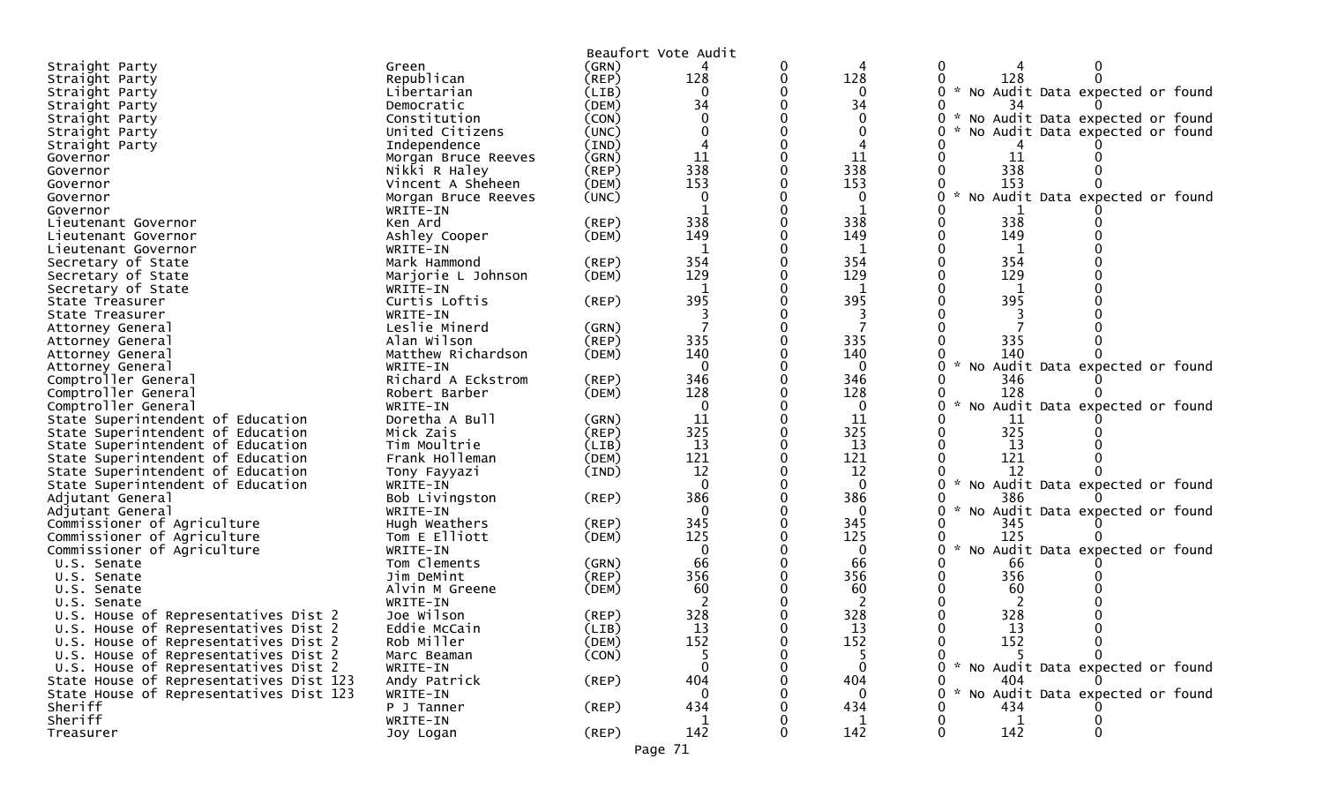| Beaufort Vote Audit<br>(GRN)<br>0<br>Straight Party<br>Green<br>0<br>4<br>128<br>128<br>Republican<br>0<br>128<br>(REP)<br>0<br>Straight Party |  |
|------------------------------------------------------------------------------------------------------------------------------------------------|--|
|                                                                                                                                                |  |
|                                                                                                                                                |  |
| * No Audit Data expected or found<br>Libertarian<br>$\mathbf{0}$<br>0<br>(LIB)<br>0<br>Straight Party                                          |  |
| 34<br>(DEM)<br>34<br>34<br>Straight Party<br>Democratic                                                                                        |  |
| No Audit Data expected or found<br>$0 *$<br>Constitution<br>(CON)<br>$\Omega$<br>Straight Party                                                |  |
| No Audit Data expected or found<br>United Citizens<br>(UNC)<br>Straight Party                                                                  |  |
| Independence<br>(IND)<br>Straight Party                                                                                                        |  |
| 11<br>11<br>11<br>0<br>(GRN)<br>Governor<br>Morgan Bruce Reeves                                                                                |  |
| 338<br>338<br>338<br>Nikki R Haley<br>(REF)<br>Governor                                                                                        |  |
| 153<br>153<br>(DEM)<br>153<br>Vincent A Sheheen<br>Governor                                                                                    |  |
| * No Audit Data expected or found<br>(UNC)<br>0<br>0<br>0<br>Governor<br>Morgan Bruce Reeves                                                   |  |
| WRITE-IN<br>Governor                                                                                                                           |  |
| 338<br>338<br>338<br>Ken Ard<br>$($ REP $)$<br>Lieutenant Governor                                                                             |  |
| 149<br>149<br>149<br>Ashley Cooper<br>(DEM)<br>Lieutenant Governor                                                                             |  |
| WRITE-IN<br>$\mathbf{1}$<br>1<br>Lieutenant Governor                                                                                           |  |
| 354<br>354<br>354<br>Secretary of State<br>Mark Hammond<br>$($ REP $)$                                                                         |  |
| 129<br>129<br>129<br>Secretary of State<br>Marjorie L Johnson<br>(DEM)                                                                         |  |
| Secretary of State<br>WRITE-IN<br>1                                                                                                            |  |
| 395<br>395<br>395<br>Curtis Loftis<br>State Treasurer<br>(REP)                                                                                 |  |
| State Treasurer<br>WRITE-IN                                                                                                                    |  |
| Leslie Minerd<br>(GRN)<br>Attorney General                                                                                                     |  |
| 335<br>335<br>335<br>Alan Wilson<br>$($ REP $)$<br>Attorney General                                                                            |  |
| 140<br>140<br>Matthew Richardson<br>(DEM)<br>140<br>Attorney General                                                                           |  |
| $\mathcal{H}$<br>No Audit Data expected or found<br>WRITE-IN<br>$\Omega$<br>$\Omega$<br>0<br>Attorney General                                  |  |
| 346<br>346<br>Richard A Eckstrom<br>Comptroller General<br>(REP)<br>346                                                                        |  |
| 128<br>128<br>128<br>Comptroller General<br>Robert Barber<br>(DEM)                                                                             |  |
| Comptroller General<br>0<br>No Audit Data expected or found<br>WRITE-IN<br>0<br>$\Omega$                                                       |  |
| Doretha A Bull<br>11<br>11<br>State Superintendent of Education<br>(GRN)<br>11                                                                 |  |
| 325<br>325<br>325<br>(REP)<br>State Superintendent of Education<br>Mick Zais                                                                   |  |
| Tim Moultrie<br>13<br>13<br>State Superintendent of Education<br>(LIB)<br>13                                                                   |  |
| 121<br>121<br>121<br>State Superintendent of Education<br>Frank Holleman<br>(DEM)                                                              |  |
| 12<br>12<br>(IND)<br>12<br>State Superintendent of Education<br>Tony Fayyazi                                                                   |  |
| $\Omega$<br>No Audit Data expected or found<br>State Superintendent of Education<br>WRITE-IN<br>0<br>0                                         |  |
| 386<br>386<br>386<br>Bob Livingston<br>(REP)<br>Adjutant General<br>0                                                                          |  |
| $\mathcal{H}$<br>$\mathbf{0}$<br>No Audit Data expected or found<br>WRITE-IN<br>$\Omega$<br>Adjutant General                                   |  |
| 345<br>345<br>Commissioner of Agriculture<br>Hugh Weathers<br>345<br>(REP)                                                                     |  |
| 125<br>125<br>125<br>Commissioner of Agriculture<br>(DEM)<br>Tom E Elliott                                                                     |  |
| 0<br>No Audit Data expected or found<br>Commissioner of Agriculture<br>WRITE-IN<br>0<br>0                                                      |  |
| 66<br>Tom Clements<br>66<br>66<br>U.S. Senate<br>(GRN)                                                                                         |  |
| 356<br>356<br>356<br>(REP)<br>Jim DeMint<br>0<br>U.S. Senate                                                                                   |  |
| 60<br>60<br>60<br>Alvin M Greene<br>(DEM)<br>U.S. Senate                                                                                       |  |
| WRITE-IN<br>U.S. Senate                                                                                                                        |  |
| 328<br>328<br>328<br>U.S. House of Representatives Dist 2<br>Joe Wilson<br>(REP)                                                               |  |
| U.S. House of Representatives Dist 2<br>Eddie McCain<br>(LIB)<br>13<br>13<br>13                                                                |  |
| 152<br>152<br>152<br>Rob Miller<br>U.S. House of Representatives Dist 2<br>(DEM)<br>0<br>0                                                     |  |
| U.S. House of Representatives Dist 2<br>(CON)<br>5<br>Marc Beaman<br>5<br>0                                                                    |  |
| $0 *$<br>$\Omega$<br>No Audit Data expected or found<br>U.S. House of Representatives Dist 2<br>WRITE-IN<br>0                                  |  |
| 404<br>State House of Representatives Dist 123<br>(REP)<br>404<br>404<br>Andy Patrick                                                          |  |
| No Audit Data expected or found<br>State House of Representatives Dist 123<br>$\sim$<br>WRITE-IN<br>0<br>$\mathbf{0}$<br>0                     |  |
| 434<br>434<br>Sheriff<br>434<br>P J Tanner<br>(REP)                                                                                            |  |
| Sheriff<br>1<br>WRITE-IN<br>$\mathbf 1$                                                                                                        |  |
| 142<br>142<br>142<br>0<br>Treasurer<br>(REP)<br>0<br>Joy Logan                                                                                 |  |

Page 71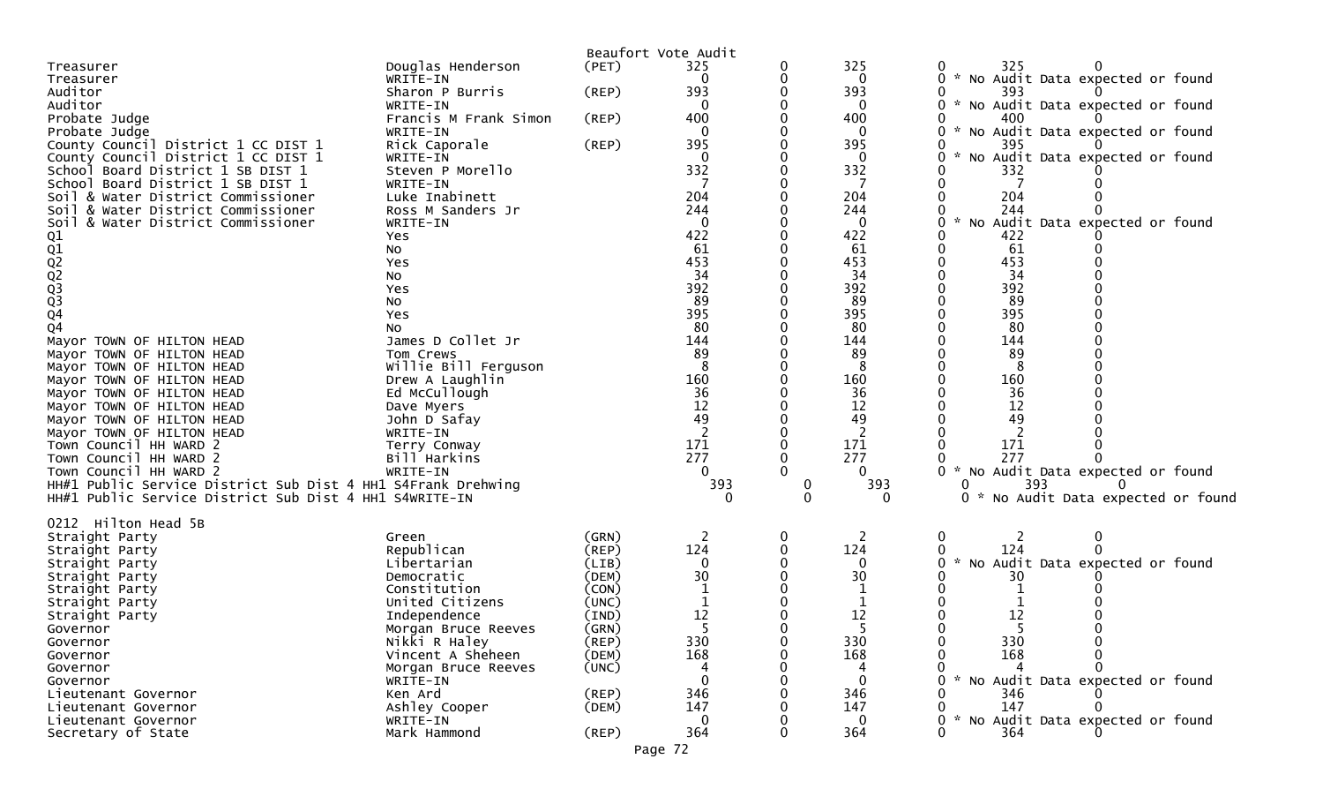|                                                              |                       |             | Beaufort Vote Audit |          |          |                                               |
|--------------------------------------------------------------|-----------------------|-------------|---------------------|----------|----------|-----------------------------------------------|
| Treasurer                                                    | Douglas Henderson     | (PET)       | 325                 | 0        | 325      | 325                                           |
| Treasurer                                                    | WRITE-IN              |             | $\Omega$            | 0        | 0        | 0 * No Audit Data expected or found           |
| Auditor                                                      | Sharon P Burris       | (REP)       | 393                 | 0        | 393      | 393                                           |
| Auditor                                                      | WRITE-IN              |             | $\Omega$            | 0        | 0        | 0 * No Audit Data expected or found           |
| Probate Judge                                                | Francis M Frank Simon | (REP)       | 400                 | 0        | 400      | 400                                           |
| Probate Judge                                                | WRITE-IN              |             |                     | 0        | 0        | * No Audit Data expected or found             |
| County Council District 1 CC DIST 1                          | Rick Caporale         | (REP)       | 395                 | 0        | 395      | 395                                           |
| County Council District 1 CC DIST 1                          | WRITE-IN              |             | $\Omega$            | 0        | $\Omega$ | * No Audit Data expected or found<br>0        |
| School Board District 1 SB DIST 1                            | Steven P Morello      |             | 332                 | 0        | 332      | 332                                           |
| School Board District 1 SB DIST 1                            | WRITE-IN              |             |                     |          |          |                                               |
| Soil & Water District Commissioner                           | Luke Inabinett        |             | 204                 |          | 204      | 204                                           |
| & Water District Commissioner<br>Soil                        | Ross M Sanders Jr     |             | 244                 | 0        | 244      | 244                                           |
| Soil & Water District Commissioner                           | WRITE-IN              |             | $\Omega$            | 0        | 0        | $*$ No<br>Audit Data expected or found<br>0   |
|                                                              | Yes                   |             | 422                 | 0        | 422      | 422                                           |
|                                                              | No                    |             | 61                  | 0        | 61       | 61                                            |
|                                                              |                       |             | 453                 | 0        | 453      | 453                                           |
|                                                              | Yes                   |             | 34                  | 0        | 34       | 34                                            |
|                                                              | No                    |             |                     |          |          |                                               |
| 01<br>02<br>02<br>02<br>03<br>03<br>04                       | Yes                   |             | 392                 | 0        | 392      | 392                                           |
|                                                              | No                    |             | 89                  |          | 89       | 89                                            |
|                                                              | Yes                   |             | 395                 |          | 395      | 395                                           |
| Q4                                                           | NO.                   |             | 80                  | 0        | 80       | 80                                            |
| Mayor TOWN OF HILTON HEAD                                    | James D Collet Jr     |             | 144                 | 0        | 144      | 144                                           |
| Mayor TOWN OF HILTON HEAD                                    | Tom Crews             |             | 89                  |          | 89       | 89                                            |
| Mayor TOWN OF HILTON HEAD                                    | Willie Bill Ferguson  |             | 8                   | 0        | 8        |                                               |
| Mayor TOWN OF HILTON HEAD                                    | Drew A Laughlin       |             | 160                 | 0        | 160      | 160                                           |
| Mayor TOWN OF HILTON HEAD                                    | Ed McCullough         |             | 36                  |          | 36       | 36                                            |
| Mayor TOWN OF HILTON HEAD                                    | Dave Myers            |             | 12                  |          | 12       | 12                                            |
| Mayor TOWN OF HILTON HEAD                                    | John D Safay          |             | 49                  |          | 49       | 49                                            |
| Mayor TOWN OF HILTON HEAD                                    | WRITE-IN              |             |                     |          | -2       |                                               |
| Town Council HH WARD 2                                       | Terry Conway          |             | 171                 | 0        | 171      | 171                                           |
| Town Council HH WARD 2                                       | Bill Harkins          |             | 277                 | 0        | 277      | 277                                           |
| Town Council HH WARD 2                                       | WRITE-IN              |             | $\Omega$            | 0        | 0        | 0 * No Audit Data expected or found           |
| HH#1 Public Service District Sub Dist 4 HH1 S4Frank Drehwing |                       |             | 393                 | 0        | 393      | 393                                           |
| HH#1 Public Service District Sub Dist 4 HH1 S4WRITE-IN       |                       |             | $\Omega$            | $\Omega$ | $\Omega$ | 0 * No Audit Data expected or found           |
|                                                              |                       |             |                     |          |          |                                               |
| 0212 Hilton Head 5B                                          |                       |             |                     |          |          |                                               |
| Straight Party                                               | Green                 | (GRN)       | -2                  | 0        | 2        | 0<br>0                                        |
| Straight Party                                               | Republican            | (REP)       | 124                 | 0        | 124      | 124<br>0<br>0                                 |
| Straight Party                                               | Libertarian           | (LIB)       |                     | 0        | 0        | * No Audit Data expected or found<br>0        |
| Straight Party                                               | Democratic            | (DEM)       | 30                  | 0        | 30       | 30                                            |
| Straight Party                                               | Constitution          | (CON)       | $\mathbf 1$         |          |          |                                               |
| Straight Party                                               | United Citizens       | (UNC)       | 1                   | 0        |          |                                               |
| Straight Party                                               | Independence          | (IND)       | 12                  |          | 12       | 12                                            |
| Governor                                                     | Morgan Bruce Reeves   | (GRN)       | 5                   | 0        | 5        |                                               |
| Governor                                                     | Nikki R Haley         | (REP)       | 330                 | 0        | 330      | 0<br>330                                      |
| Governor                                                     | Vincent A Sheheen     | (DEM)       | 168                 | 0        | 168      | 168                                           |
| Governor                                                     | Morgan Bruce Reeves   | (UNC)       |                     | 0        |          |                                               |
| Governor                                                     | WRITE-IN              |             |                     | 0        | $\Omega$ | * No Audit Data expected or found<br>0        |
| Lieutenant Governor                                          | Ken Ard               | (REP)       | 346                 | 0        | 346      | 346                                           |
| Lieutenant Governor                                          | Ashley Cooper         | (DEM)       | 147                 | 0        | 147      | 147<br>0                                      |
| Lieutenant Governor                                          | WRITE-IN              |             |                     | 0        | $\Omega$ | * No Audit Data expected or found<br>$\Omega$ |
| Secretary of State                                           | Mark Hammond          | $($ REP $)$ | 364                 | 0        | 364      | 364<br>0                                      |
|                                                              |                       |             |                     |          |          |                                               |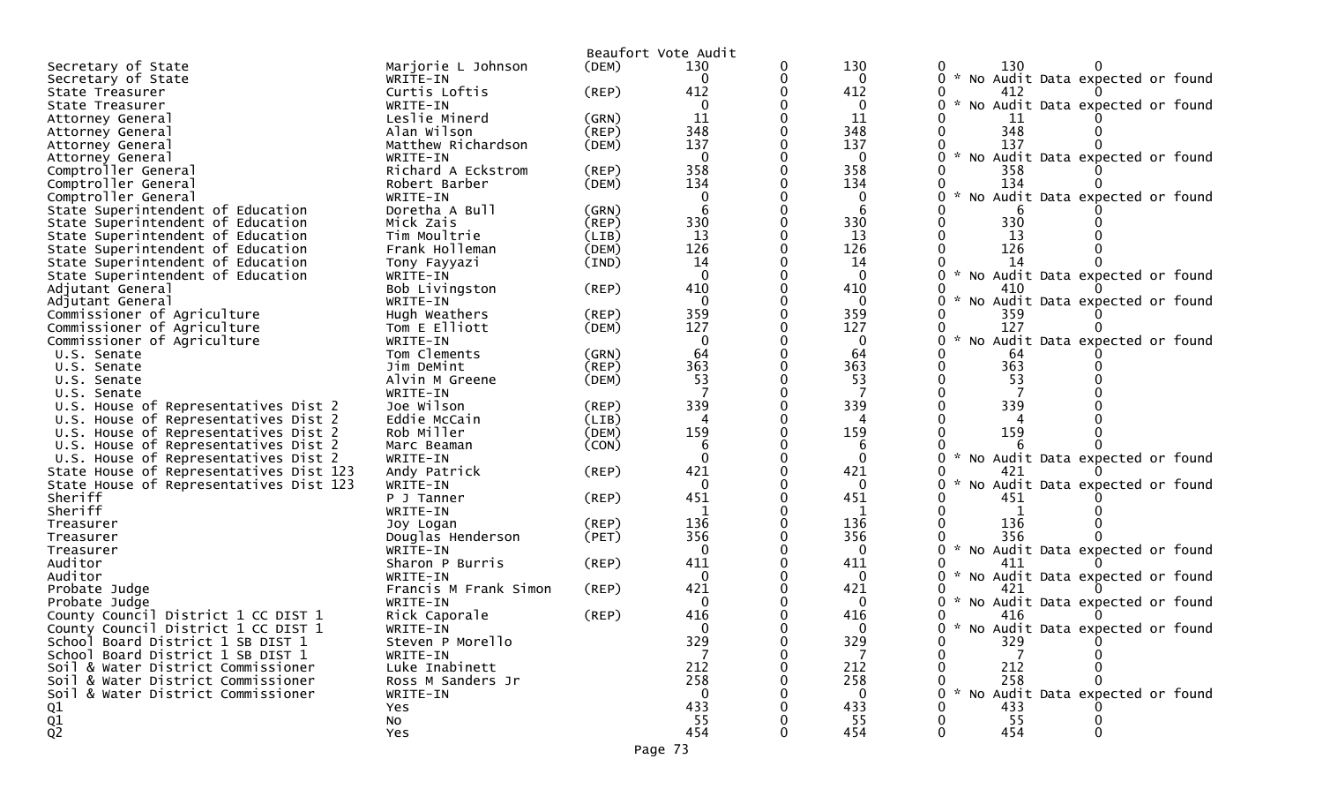|                                         |                       |             | Beaufort Vote Audit |   |              |                                                       |
|-----------------------------------------|-----------------------|-------------|---------------------|---|--------------|-------------------------------------------------------|
| Secretary of State                      | Marjorie L Johnson    | (DEM)       | 130                 | 0 | 130          | 130<br>0                                              |
| Secretary of State                      | WRITE-IN              |             | $\Omega$            | 0 | $\mathbf{0}$ | 0 * No Audit Data expected or found                   |
| State Treasurer                         | Curtis Loftis         | (REP)       | 412                 |   | 412          | 0<br>412                                              |
| State Treasurer                         | WRITE-IN              |             | $\mathbf 0$         |   | 0            | 0 * No Audit Data expected or found                   |
| Attorney General                        | Leslie Minerd         | (GRN)       | 11                  |   | 11           | 11                                                    |
| Attorney General                        | Alan Wilson           | (REP)       | 348                 |   | 348          | 348                                                   |
| Attorney General                        | Matthew Richardson    | (DEM)       | 137                 |   | 137          | 137                                                   |
| Attorney General                        | WRITE-IN              |             | $\mathbf 0$         |   | $\mathbf 0$  | $\mathcal{H}$<br>0<br>No Audit Data expected or found |
| Comptroller General                     | Richard A Eckstrom    | $($ REP $)$ | 358                 |   | 358          | 358                                                   |
| Comptroller General                     | Robert Barber         | (DEM)       | 134                 |   | 134          | 134                                                   |
| Comptroller General                     | WRITE-IN              |             | 0                   |   | 0            | No Audit Data expected or found                       |
|                                         | Doretha A Bull        |             | 6                   |   | 6            |                                                       |
| State Superintendent of Education       |                       | (GRN)       | 330                 |   | 330          | 6<br>330<br>0                                         |
| State Superintendent of Education       | Mick Zais             | (REP)       |                     |   |              |                                                       |
| State Superintendent of Education       | Tim Moultrie          | (LIB)       | 13                  |   | 13           | 13                                                    |
| State Superintendent of Education       | Frank Holleman        | (DEM)       | 126                 | ∩ | 126          | 126<br>0                                              |
| State Superintendent of Education       | Tony Fayyazi          | (IND)       | 14                  |   | 14           | 14                                                    |
| State Superintendent of Education       | WRITE-IN              |             | $\Omega$            |   | $\mathbf 0$  | 0<br>No Audit Data expected or found                  |
| Adjutant General                        | Bob Livingston        | $($ REP $)$ | 410                 |   | 410          | 0<br>410                                              |
| Adjutant General                        | WRITE-IN              |             | $\mathbf{0}$        |   | $\mathbf{0}$ | No Audit Data expected or found<br>0                  |
| Commissioner of Agriculture             | Hugh Weathers         | $($ REP $)$ | 359                 |   | 359          | 359                                                   |
| Commissioner of Agriculture             | Tom E Elliott         | (DEM)       | 127                 |   | 127          | 127                                                   |
| Commissioner of Agriculture             | WRITE-IN              |             | $\mathbf 0$         |   | $\mathbf 0$  | No Audit Data expected or found<br>0                  |
| U.S. Senate                             | Tom Clements          | (GRN)       | 64                  |   | 64           | 64                                                    |
| U.S. Senate                             | Jim DeMint            | (REP)       | 363                 | 0 | 363          | 363<br>0                                              |
| U.S. Senate                             | Alvin M Greene        | (DEM)       | 53                  |   | 53           | 53                                                    |
| U.S. Senate                             | WRITE-IN              |             |                     |   | 7            |                                                       |
| U.S. House of Representatives Dist 2    | Joe Wilson            | $($ REP $)$ | 339                 | 0 | 339          | 339<br>O                                              |
| U.S. House of Representatives Dist 2    | Eddie McCain          | (LIB)       | Δ                   |   | 4            |                                                       |
| U.S. House of Representatives Dist 2    | Rob Miller            | (DEM)       | 159                 |   | 159          | 159                                                   |
| U.S. House of Representatives Dist 2    | Marc Beaman           | (CON)       | 6                   |   | 6            |                                                       |
| U.S. House of Representatives Dist 2    | WRITE-IN              |             | $\Omega$            |   | $\mathbf{0}$ | 0<br>No Audit Data expected or found                  |
|                                         |                       |             | 421                 |   | 421          | 421                                                   |
| State House of Representatives Dist 123 | Andy Patrick          | $($ REP $)$ | $\mathbf 0$         |   |              | 0                                                     |
| State House of Representatives Dist 123 | WRITE-IN              |             |                     |   | 0            | No Audit Data expected or found                       |
| Sheriff                                 | P J Tanner            | $($ REP $)$ | 451                 |   | 451          | 451                                                   |
| Sheriff                                 | WRITE-IN              |             | -1                  |   | 1            | $\mathbf{1}$                                          |
| Treasurer                               | Joy Logan             | $($ REP $)$ | 136                 |   | 136          | 136                                                   |
| Treasurer                               | Douglas Henderson     | (PET)       | 356                 |   | 356          | 356                                                   |
| Treasurer                               | WRITE-IN              |             | 0                   |   | 0            | $\mathcal{H}$<br>0<br>No Audit Data expected or found |
| Auditor                                 | Sharon P Burris       | (REP)       | 411                 |   | 411          | 411                                                   |
| Auditor                                 | WRITE-IN              |             | $\mathbf{0}$        |   | $\mathbf{0}$ | $0 *$<br>No Audit Data expected or found              |
| Probate Judge                           | Francis M Frank Simon | (REP)       | 421                 |   | 421          | 0<br>421                                              |
| Probate Judge                           | WRITE-IN              |             | 0                   |   | 0            | No Audit Data expected or found                       |
| County Council District 1 CC DIST 1     | Rick Caporale         | $($ REP $)$ | 416                 |   | 416          | 416<br>0                                              |
| County Council District 1 CC DIST 1     | WRITE-IN              |             | $\Omega$            |   | 0            | 0<br>$\mathcal{H}$<br>No Audit Data expected or found |
| School Board District 1 SB DIST 1       | Steven P Morello      |             | 329                 |   | 329          | 329                                                   |
| School Board District 1 SB DIST 1       | WRITE-IN              |             | 7                   |   | 7            |                                                       |
| Soil & Water District Commissioner      | Luke Inabinett        |             | 212                 |   | 212          | 212                                                   |
| Soil & Water District Commissioner      | Ross M Sanders Jr     |             | 258                 |   | 258          | 258<br>0                                              |
| Soil & Water District Commissioner      | WRITE-IN              |             | $\Omega$            |   | $\Omega$     | No Audit Data expected or found<br>0                  |
| Q1                                      | Yes                   |             | 433                 |   | 433          | 433                                                   |
|                                         |                       |             | 55                  |   | 55           | 55                                                    |
| $\frac{Q1}{Q2}$                         | NO.                   |             | 454                 |   | 454          | 454<br>$\Omega$                                       |
|                                         | <b>Yes</b>            |             |                     |   |              |                                                       |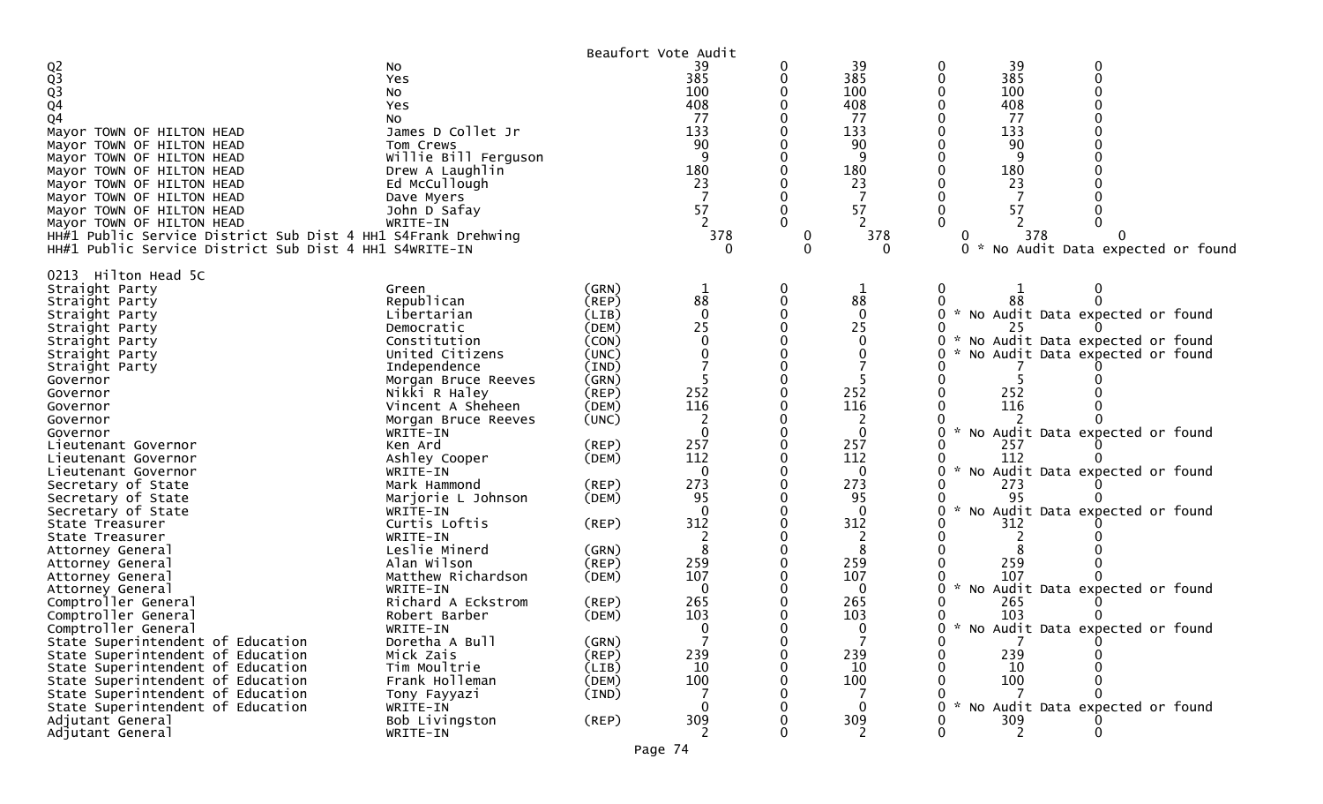|                                                              |                      |                  | Beaufort Vote Audit |             |              |   |     |                                     |  |
|--------------------------------------------------------------|----------------------|------------------|---------------------|-------------|--------------|---|-----|-------------------------------------|--|
|                                                              | NO.                  |                  | 39                  | 0           | 39           |   | 39  |                                     |  |
|                                                              | Yes                  |                  | 385                 | 0           | 385          |   | 385 |                                     |  |
|                                                              | No                   |                  | 100                 |             | 100          |   | 100 |                                     |  |
| Q2<br>Q3<br>Q3<br>Q4                                         | Yes                  |                  | 408                 |             | 408          |   | 408 |                                     |  |
| Q <sub>4</sub>                                               | No                   |                  | 77                  |             | 77           |   | 77  |                                     |  |
| Mayor TOWN OF HILTON HEAD                                    | James D Collet Jr    |                  | 133                 |             | 133          |   | 133 |                                     |  |
| Mayor TOWN OF HILTON HEAD                                    | Tom Crews            |                  | 90                  |             | 90           |   | 90  |                                     |  |
| Mayor TOWN OF HILTON HEAD                                    | Willie Bill Ferguson |                  | 9                   |             | -9           |   |     |                                     |  |
| Mayor TOWN OF HILTON HEAD                                    | Drew A Laughlin      |                  | 180                 |             | 180          |   | 180 |                                     |  |
| Mayor TOWN OF HILTON HEAD                                    | Ed McCullough        |                  | 23                  |             | 23           |   | 23  |                                     |  |
| Mayor TOWN OF HILTON HEAD                                    | Dave Myers           |                  | 7                   |             |              |   |     |                                     |  |
| Mayor TOWN OF HILTON HEAD                                    | John D Safay         |                  | 57                  |             | 57           |   | 57  |                                     |  |
| Mayor TOWN OF HILTON HEAD                                    | WRITE-IN             |                  |                     | 0           |              |   |     |                                     |  |
| HH#1 Public Service District Sub Dist 4 HH1 S4Frank Drehwing |                      |                  | 378                 | $\mathbf 0$ | 378          |   | 378 |                                     |  |
| HH#1 Public Service District Sub Dist 4 HH1 S4WRITE-IN       |                      |                  |                     |             | $\Omega$     |   |     | 0 * No Audit Data expected or found |  |
| 0213 Hilton Head 5C                                          |                      |                  |                     |             |              |   |     |                                     |  |
| Straight Party                                               | Green                | (GRN)            | 1                   | 0           | 1            |   |     |                                     |  |
| Straight Party                                               | Republican           | (REP)            | 88                  |             | 88           |   |     |                                     |  |
| Straight Party                                               | Libertarian          | (LIB)            | 0                   |             | $\mathbf{0}$ |   |     | * No Audit Data expected or found   |  |
| Straight Party                                               | Democratic           | (DEM)            | 25                  |             | 25           |   |     |                                     |  |
| Straight Party                                               | Constitution         | (CON)            | $\Omega$            |             | $\Omega$     |   |     | * No Audit Data expected or found   |  |
| Straight Party                                               | United Citizens      | (UNC)            | 0                   |             |              |   |     | * No Audit Data expected or found   |  |
| Straight Party                                               | Independence         | $(\texttt{IND})$ |                     |             |              |   |     |                                     |  |
| Governor                                                     | Morgan Bruce Reeves  | (GRN)            |                     |             |              |   |     |                                     |  |
| Governor                                                     | Nikki R Haley        | (REP)            | 252                 |             | 252          |   | 252 |                                     |  |
| Governor                                                     | Vincent A Sheheen    | (DEM)            | 116                 |             | 116          |   | 116 |                                     |  |
| Governor                                                     | Morgan Bruce Reeves  | (UNC)            |                     |             |              |   |     |                                     |  |
| Governor                                                     | WRITE-IN             |                  | 0                   |             | $\mathbf{0}$ |   |     | * No Audit Data expected or found   |  |
| Lieutenant Governor                                          | Ken Ard              | $($ REP $)$      | 257                 |             | 257          |   | 257 |                                     |  |
| Lieutenant Governor                                          | Ashley Cooper        | (DEM)            | 112                 | 0           | 112          |   | 112 |                                     |  |
| Lieutenant Governor                                          | WRITE-IN             |                  | 0                   |             | $\mathbf 0$  |   |     | * No Audit Data expected or found   |  |
| Secretary of State                                           | Mark Hammond         | $($ REP $)$      | 273                 |             | 273          |   | 273 |                                     |  |
| Secretary of State                                           | Marjorie L Johnson   | (DEM)            | 95                  |             | 95           |   | 95  |                                     |  |
| Secretary of State                                           | WRITE-IN             |                  | $\mathbf{0}$        |             | $\mathbf{0}$ |   |     | No Audit Data expected or found     |  |
| State Treasurer                                              | Curtis Loftis        | (REP)            | 312                 |             | 312          |   | 312 |                                     |  |
| State Treasurer                                              | WRITE-IN             |                  |                     |             |              |   |     |                                     |  |
| Attorney General                                             | Leslie Minerd        | (GRN)            | 8                   |             | 8            |   |     |                                     |  |
| Attorney General                                             | Alan Wilson          | $($ REP $)$      | 259                 |             | 259          |   | 259 |                                     |  |
| Attorney General                                             | Matthew Richardson   | (DEM)            | 107                 |             | 107          |   | 107 |                                     |  |
| Attorney General                                             | WRITE-IN             |                  | 0                   |             | 0            |   |     | * No Audit Data expected or found   |  |
| Comptroller General                                          | Richard A Eckstrom   | (REP)            | 265                 |             | 265          |   | 265 |                                     |  |
| Comptroller General                                          | Robert Barber        | (DEM)            | 103                 |             | 103          |   | 103 |                                     |  |
| Comptroller General                                          | WRITE-IN             |                  | 0                   | 0           | ∩            | 0 |     | * No Audit Data expected or found   |  |
| State Superintendent of Education                            | Doretha A Bull       | (GRN)            |                     | O           |              |   |     |                                     |  |
| State Superintendent of Education                            | Mick Zais            | $($ REP $)$      | 239                 | 0           | 239          |   | 239 |                                     |  |
| State Superintendent of Education                            | Tim Moultrie         | (LIB)            | 10                  | 0           | 10           |   | 10  |                                     |  |
| State Superintendent of Education                            | Frank Holleman       | (DEM)            | 100                 | 0           | 100          |   | 100 |                                     |  |
| State Superintendent of Education                            | Tony Fayyazi         | (IND)            |                     | 0           |              |   |     |                                     |  |
| State Superintendent of Education                            | WRITE-IN             |                  | 0                   | 0           | $\Omega$     |   |     | * No Audit Data expected or found   |  |
| Adjutant General                                             | Bob Livingston       | (REP)            | 309                 | 0           | 309          |   | 309 |                                     |  |
| Adjutant General                                             | WRITE-IN             |                  |                     | 0           |              |   |     | $\mathbf{0}$                        |  |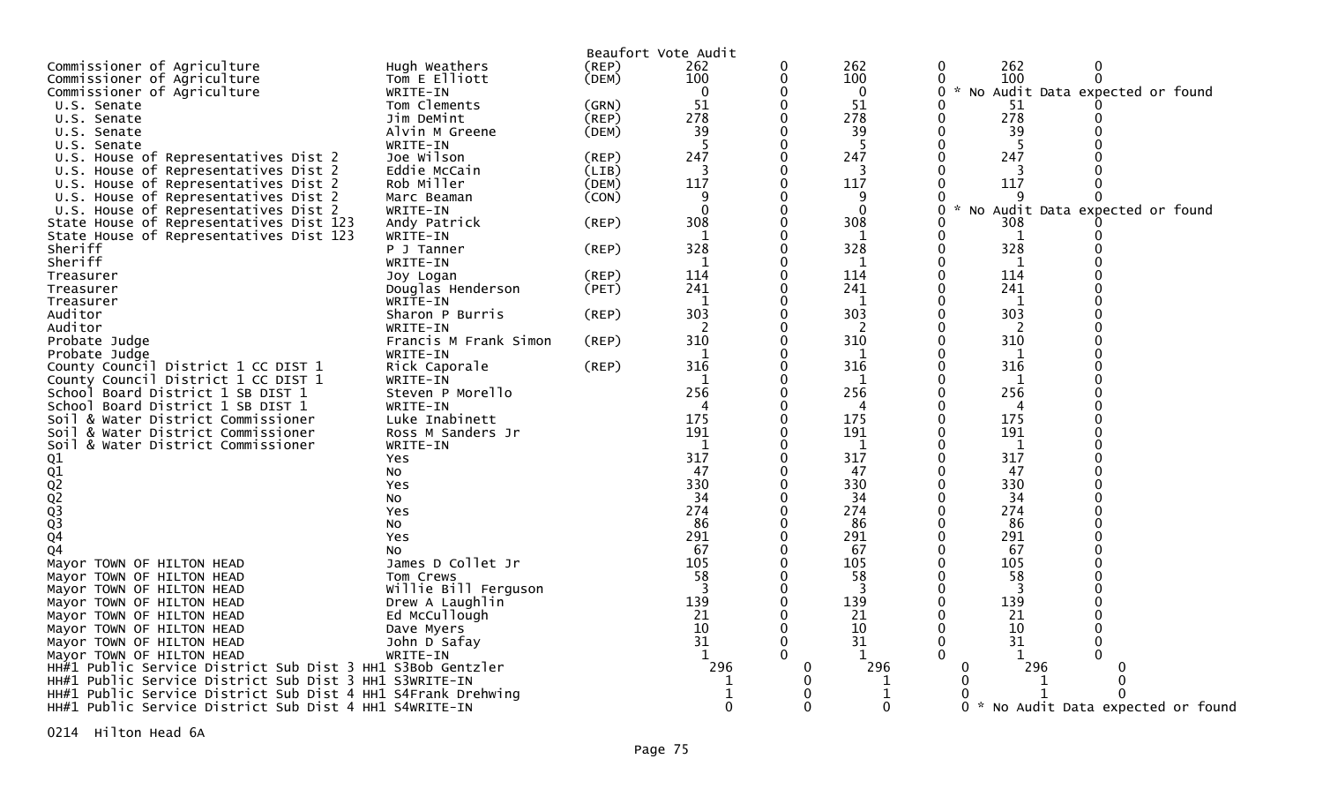| Beaufort Vote Audit<br>Commissioner of Agriculture<br>262<br>262<br>0<br>Hugh Weathers<br>(REP)<br>262<br>$\Omega$<br>0<br>100<br>Commissioner of Agriculture<br>Tom E Elliott<br>$\mathbf 0$<br>100<br>$\Omega$<br>100<br>$\Omega$<br>(DEM)<br>$\Omega$<br>Commissioner of Agriculture<br>$\mathbf 0$<br>$\mathbf{0}$<br>0<br>* No Audit Data expected or found<br>WRITE-IN<br>51 |
|------------------------------------------------------------------------------------------------------------------------------------------------------------------------------------------------------------------------------------------------------------------------------------------------------------------------------------------------------------------------------------|
|                                                                                                                                                                                                                                                                                                                                                                                    |
|                                                                                                                                                                                                                                                                                                                                                                                    |
|                                                                                                                                                                                                                                                                                                                                                                                    |
| $\mathbf 0$<br>51<br>(GRN)<br>Tom Clements<br>0<br>51<br>U.S. Senate                                                                                                                                                                                                                                                                                                               |
| 278<br>$\Omega$<br>278<br>278<br>(REP)<br>0<br>Jim DeMint<br>U.S. Senate                                                                                                                                                                                                                                                                                                           |
| 39<br>39<br>(DEM)<br>0<br>39<br>Alvin M Greene<br>0<br>U.S. Senate                                                                                                                                                                                                                                                                                                                 |
| -5<br>$\Omega$<br>5<br>0<br>U.S. Senate<br>WRITE-IN                                                                                                                                                                                                                                                                                                                                |
| U.S. House of Representatives Dist 2<br>Joe Wilson<br>247<br>$\mathbf 0$<br>247<br>247<br>(REP)<br>0                                                                                                                                                                                                                                                                               |
| $\Omega$<br>O<br>U.S. House of Representatives Dist 2<br>Eddie McCain<br>(LIB)<br>3                                                                                                                                                                                                                                                                                                |
| Rob Miller<br>117<br>$\mathbf 0$<br>117<br>117<br>U.S. House of Representatives Dist 2<br>(DEM)<br>0                                                                                                                                                                                                                                                                               |
| $\Omega$<br>U.S. House of Representatives Dist 2<br>(CON)<br>q<br>0<br>Marc Beaman<br>q                                                                                                                                                                                                                                                                                            |
| $\Omega$<br>$\Omega$<br>$\Omega$<br>0<br>U.S. House of Representatives Dist 2<br>WRITE-IN<br>No Audit Data expected or found                                                                                                                                                                                                                                                       |
| 308<br>$\Omega$<br>(REP)<br>308<br>State House of Representatives Dist 123<br>Andy Patrick<br>0<br>308                                                                                                                                                                                                                                                                             |
| $\Omega$<br>State House of Representatives Dist 123<br>0<br>WRITE-IN<br>-1<br>1                                                                                                                                                                                                                                                                                                    |
| 328<br>328<br>$\Omega$<br>328<br>(REP)<br>0<br>Sheriff<br>P J Tanner                                                                                                                                                                                                                                                                                                               |
| $\mathbf 0$<br>Sheriff<br>0<br>WRITE-IN<br>-1<br>-1                                                                                                                                                                                                                                                                                                                                |
| 114<br>0<br>114<br>114<br>(REP)<br>0<br>Treasurer<br>Joy Logan                                                                                                                                                                                                                                                                                                                     |
| 241<br>$\Omega$<br>241<br>0<br>241<br>(PET)<br>Treasurer<br>Douglas Henderson                                                                                                                                                                                                                                                                                                      |
| $\mathbf 0$<br>WRITE-IN<br>1<br>1<br>0<br>1<br>Treasurer                                                                                                                                                                                                                                                                                                                           |
| 303<br>303<br>303<br>$\Omega$<br>(REP)<br>0<br>Auditor<br>Sharon P Burris                                                                                                                                                                                                                                                                                                          |
| $\Omega$<br>Auditor<br>-2<br>-2<br>0<br>2<br>WRITE-IN                                                                                                                                                                                                                                                                                                                              |
| 310<br>$\Omega$<br>310<br>310<br>O<br>Francis M Frank Simon<br>(REP)<br>Probate Judge                                                                                                                                                                                                                                                                                              |
| $\Omega$<br>1<br>0<br>Probate Judge<br>WRITE-IN<br>1<br>1                                                                                                                                                                                                                                                                                                                          |
| 316<br>316<br>$\Omega$<br>316<br>(REP)<br>0<br>County Council District 1 CC DIST 1<br>Rick Caporale                                                                                                                                                                                                                                                                                |
| $\Omega$<br>County Council District 1 CC DIST 1<br>0<br>WRITE-IN<br>-1<br>1<br>1                                                                                                                                                                                                                                                                                                   |
| 256<br>256<br>$\mathbf 0$<br>256<br>Steven P Morello<br>0<br>School<br>Board District 1 SB DIST 1                                                                                                                                                                                                                                                                                  |
| $\Omega$<br>0<br>School Board District 1 SB DIST 1<br>WRITE-IN<br>4                                                                                                                                                                                                                                                                                                                |
| 175<br>$\mathbf 0$<br>175<br>175<br>0<br>Soil & Water District Commissioner<br>Luke Inabinett                                                                                                                                                                                                                                                                                      |
| $\Omega$<br>191<br>191<br>0<br>191<br>& Water District Commissioner<br>Ross M Sanders Jr<br>Soi l                                                                                                                                                                                                                                                                                  |
| $\mathbf 0$<br>1<br>1<br>0<br>1<br>Soil & Water District Commissioner<br>WRITE-IN                                                                                                                                                                                                                                                                                                  |
| 317<br>317<br>$\Omega$<br>317<br>0<br>Q1<br><b>Yes</b>                                                                                                                                                                                                                                                                                                                             |
| 47<br>$\Omega$<br>47<br>47<br>0<br><b>NO</b>                                                                                                                                                                                                                                                                                                                                       |
| 330<br>$\Omega$<br>330<br>330<br>O<br>Yes                                                                                                                                                                                                                                                                                                                                          |
| 34<br>$\Omega$<br>34<br>34<br>0<br>NO.                                                                                                                                                                                                                                                                                                                                             |
| 274<br>$\Omega$<br>274<br>0<br>274<br>Yes                                                                                                                                                                                                                                                                                                                                          |
| Q1<br>Q2<br>Q3<br>Q3<br>Q3<br>Q4<br>86<br>$\mathbf 0$<br>86<br>86<br>0<br>NO.                                                                                                                                                                                                                                                                                                      |
| 291<br>291<br>$\mathbf 0$<br>291<br>0<br><b>Yes</b><br>67<br>$\Omega$<br>0                                                                                                                                                                                                                                                                                                         |
| 67<br>67<br>04<br>NO.<br>105                                                                                                                                                                                                                                                                                                                                                       |
| 105<br>105<br>James D Collet Jr<br>0<br>0<br>Mayor TOWN OF HILTON HEAD<br>$\Omega$<br>58<br>58<br>0<br>58                                                                                                                                                                                                                                                                          |
| Mayor TOWN OF HILTON HEAD<br>Tom Crews<br>-3<br>$\mathbf 0$<br>3<br>0<br>3                                                                                                                                                                                                                                                                                                         |
| Willie Bill Ferguson<br>Mayor TOWN OF HILTON HEAD<br>139<br>139<br>$\Omega$<br>139<br>O<br>Drew A Laughlin<br>Mayor TOWN OF HILTON HEAD                                                                                                                                                                                                                                            |
| 21<br>21<br>21<br>Ed McCullough<br>$\mathbf 0$<br>0                                                                                                                                                                                                                                                                                                                                |
| Mayor TOWN OF HILTON HEAD<br>10<br>$\Omega$<br>10<br>10<br>0<br>Mayor TOWN OF HILTON HEAD<br>Dave Myers                                                                                                                                                                                                                                                                            |
| 31<br>$\Omega$<br>31<br>31<br>0<br>Mayor TOWN OF HILTON HEAD<br>John D Safay                                                                                                                                                                                                                                                                                                       |
| $\Omega$<br>O<br>Mayor TOWN OF HILTON HEAD<br>WRITE-IN<br>1                                                                                                                                                                                                                                                                                                                        |
| 296<br>296<br>296<br>HH#1 Public Service District Sub Dist 3 HH1 S3Bob Gentzler<br>0<br>0                                                                                                                                                                                                                                                                                          |
| HH#1 Public Service District Sub Dist 3 HH1 S3WRITE-IN<br>O<br>$\Omega$                                                                                                                                                                                                                                                                                                            |
| 0<br>HH#1 Public Service District Sub Dist 4 HH1 S4Frank Drehwing<br>1                                                                                                                                                                                                                                                                                                             |
| $\Omega$<br>∩<br>0<br>* No Audit Data expected or found<br>HH#1 Public Service District Sub Dist 4 HH1 S4WRITE-IN<br>0                                                                                                                                                                                                                                                             |

0214 Hilton Head 6A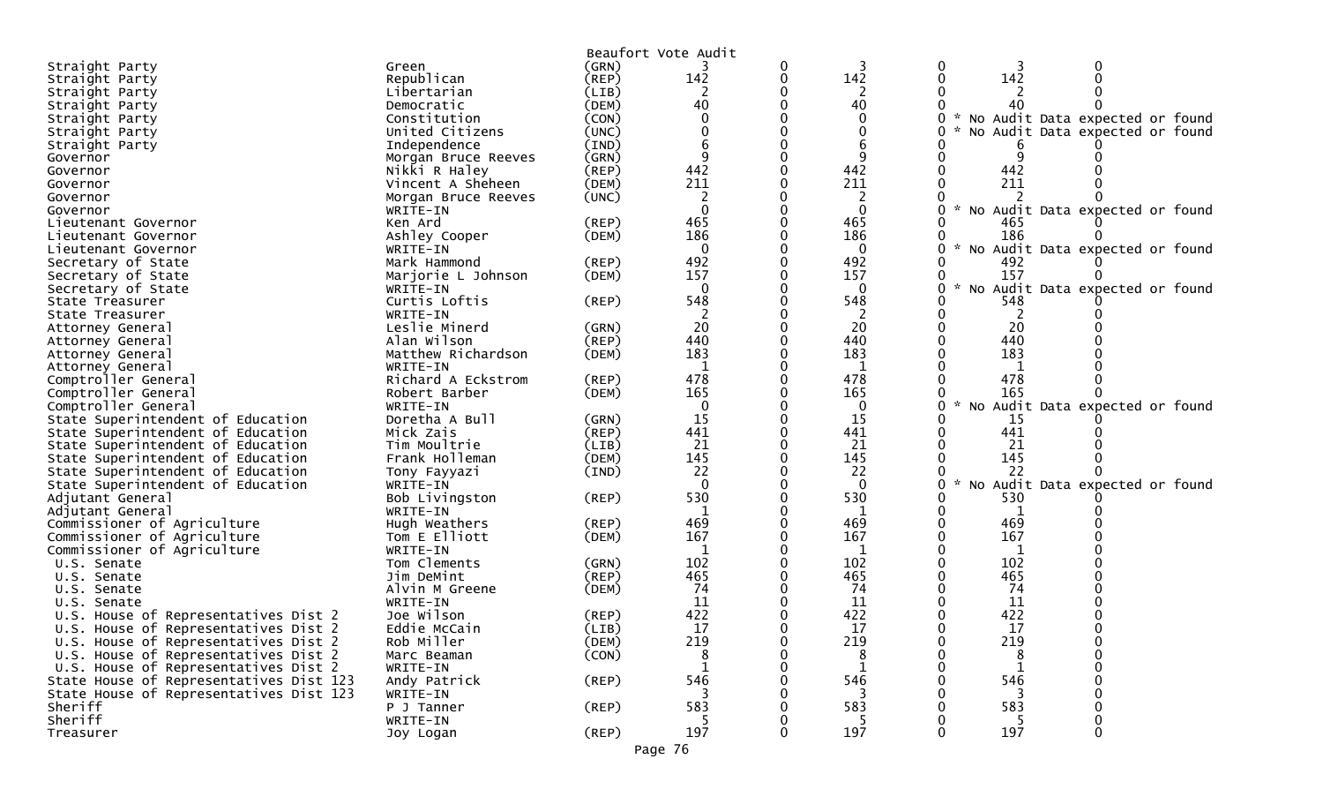| Beaufort Vote Audit<br>(GRN)<br>0<br>0<br>Straight Party<br>Green<br>142<br>142<br>142<br>Republican<br>0<br>0<br>(REP)<br>Straight Party<br>2<br>2<br>Libertarian<br>(LIB)<br>Straight Party<br>40<br>40<br>(DEM) |  |
|--------------------------------------------------------------------------------------------------------------------------------------------------------------------------------------------------------------------|--|
|                                                                                                                                                                                                                    |  |
|                                                                                                                                                                                                                    |  |
|                                                                                                                                                                                                                    |  |
|                                                                                                                                                                                                                    |  |
| Straight Party<br>Democratic<br>No Audit Data expected or found<br>(CON)<br>$\Omega$                                                                                                                               |  |
| Constitution<br>Straight Party<br>0                                                                                                                                                                                |  |
| United Citizens<br>(UNC)<br>No Audit Data expected or found<br>Straight Party                                                                                                                                      |  |
| Independence<br>(IND)<br>Straight Party                                                                                                                                                                            |  |
| 9<br>9<br>9<br>(GRN)<br>Governor<br>Morgan Bruce Reeves                                                                                                                                                            |  |
| 442<br>442<br>442<br>$($ REP $)$<br>Nikki R Haley<br>Governor                                                                                                                                                      |  |
| 211<br>211<br>211<br>Vincent A Sheheen<br>(DEM)<br>Governor                                                                                                                                                        |  |
| (UNC)<br>2<br>Governor<br>Morgan Bruce Reeves                                                                                                                                                                      |  |
| $\mathbf{0}$<br>No Audit Data expected or found<br>$\Omega$<br><b>*</b><br>WRITE-IN<br>Governor                                                                                                                    |  |
| 465<br>465<br>Ken Ard<br>$($ REP $)$<br>Lieutenant Governor<br>465                                                                                                                                                 |  |
| 186<br>186<br>186<br>Ashley Cooper<br>(DEM)<br>Lieutenant Governor                                                                                                                                                 |  |
| No Audit Data expected or found<br>WRITE-IN<br>$\Omega$<br>0<br>Lieutenant Governor                                                                                                                                |  |
| 492<br>492<br>Secretary of State<br>Mark Hammond<br>$($ REP $)$<br>492                                                                                                                                             |  |
| 157<br>157<br>157<br>(DEM)<br>Secretary of State<br>Marjorie L Johnson                                                                                                                                             |  |
| No Audit Data expected or found<br>Secretary of State<br>WRITE-IN<br>0<br>0                                                                                                                                        |  |
| 548<br>548<br>Curtis Loftis<br>$($ REP $)$<br>548<br>State Treasurer                                                                                                                                               |  |
| WRITE-IN<br>State Treasurer                                                                                                                                                                                        |  |
| Leslie Minerd<br>20<br>20<br>20<br>(GRN)<br>Attorney General                                                                                                                                                       |  |
| 440<br>440<br>440<br>Alan Wilson<br>(REP)<br>Attorney General                                                                                                                                                      |  |
| 183<br>183<br>183<br>Matthew Richardson<br>(DEM)<br>Attorney General                                                                                                                                               |  |
| WRITE-IN<br>Attorney General                                                                                                                                                                                       |  |
| 478<br>478<br>478<br>Richard A Eckstrom<br>Comptroller General<br>$($ REP $)$                                                                                                                                      |  |
| 165<br>165<br>Comptroller General<br>Robert Barber<br>(DEM)<br>165                                                                                                                                                 |  |
| No Audit Data expected or found<br>Comptroller General<br>WRITE-IN<br>0<br>$\Omega$                                                                                                                                |  |
| Doretha A Bull<br>15<br>15<br>State Superintendent of Education<br>(GRN)<br>15                                                                                                                                     |  |
| 441<br>441<br>441<br>Mick Zais<br>(REP)<br>State Superintendent of Education                                                                                                                                       |  |
| State Superintendent of Education<br>Tim Moultrie<br>21<br>21<br>(LIB)<br>-21                                                                                                                                      |  |
| 145<br>145<br>145<br>State Superintendent of Education<br>Frank Holleman<br>(DEM)                                                                                                                                  |  |
| 22<br>22<br>State Superintendent of Education<br>22<br>Tony Fayyazi<br>(IND)                                                                                                                                       |  |
| No Audit Data expected or found<br>State Superintendent of Education<br>WRITE-IN<br>$\Omega$<br>$\Omega$                                                                                                           |  |
| 530<br>530<br>530<br>Bob Livingston<br>(REP)<br>Adjutant General                                                                                                                                                   |  |
| 1<br>WRITE-IN<br>-1<br>1                                                                                                                                                                                           |  |
| Adjutant General<br>469<br>469<br>469<br>Commissioner of Agriculture<br>Hugh Weathers                                                                                                                              |  |
| (REP)<br>167<br>167<br>167<br>Commissioner of Agriculture<br>(DEM)<br>Tom E Elliott                                                                                                                                |  |
| Commissioner of Agriculture<br>WRITE-IN<br>-1<br>1<br>1                                                                                                                                                            |  |
| 102<br>102<br>Tom Clements<br>102                                                                                                                                                                                  |  |
| U.S. Senate<br>(GRN)<br>465<br>465<br>465<br>(REP)                                                                                                                                                                 |  |
| Jim DeMint<br>U.S. Senate                                                                                                                                                                                          |  |
| 74<br>74<br>74<br>Alvin M Greene<br>(DEM)<br>U.S. Senate                                                                                                                                                           |  |
| 11<br>11<br>11<br>WRITE-IN<br>U.S. Senate                                                                                                                                                                          |  |
| 422<br>422<br>422<br>U.S. House of Representatives Dist 2<br>Joe Wilson<br>(REP)                                                                                                                                   |  |
| U.S. House of Representatives Dist 2<br>Eddie McCain<br>17<br>(LIB)<br>17<br>17                                                                                                                                    |  |
| 219<br>219<br>219<br>Rob Miller<br>U.S. House of Representatives Dist 2<br>(DEM)<br>0<br>0<br>0                                                                                                                    |  |
| U.S. House of Representatives Dist 2<br>(CON)<br>8<br>8<br>Marc Beaman<br>8<br>0                                                                                                                                   |  |
| -1<br>$\mathbf{1}$<br>U.S. House of Representatives Dist 2<br>WRITE-IN<br>1                                                                                                                                        |  |
| 546<br>546<br>546<br>State House of Representatives Dist 123<br>Andy Patrick<br>$($ REP $)$                                                                                                                        |  |
| $\overline{3}$<br>3<br>3<br>State House of Representatives Dist 123<br>WRITE-IN                                                                                                                                    |  |
| 583<br>583<br>583<br>Sheriff<br>$($ REP $)$<br>P J Tanner                                                                                                                                                          |  |
| Sheriff<br>WRITE-IN                                                                                                                                                                                                |  |
| 197<br>197<br>197<br>Treasurer<br>(REP)<br>0<br>0<br>Joy Logan                                                                                                                                                     |  |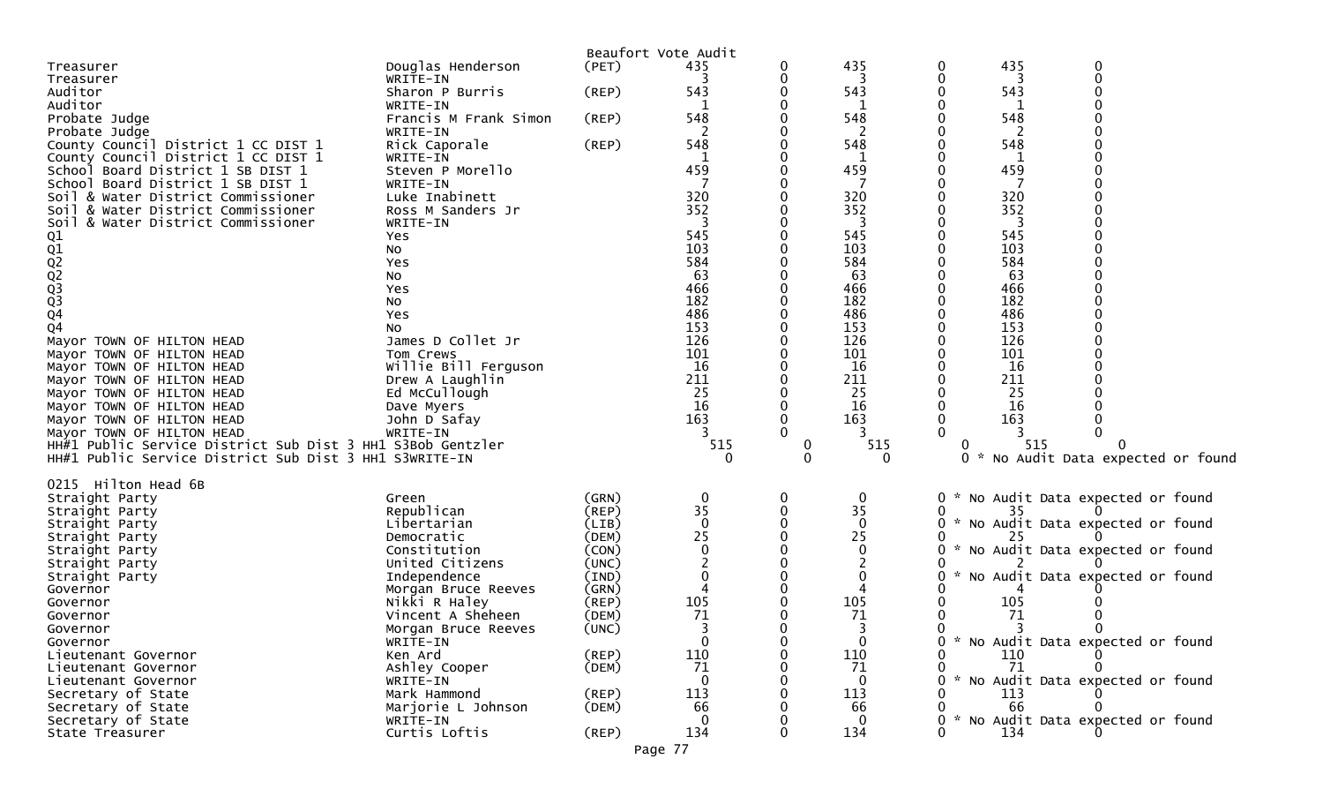|                                                            |                       |             | Beaufort Vote Audit |   |              |                                                   |
|------------------------------------------------------------|-----------------------|-------------|---------------------|---|--------------|---------------------------------------------------|
| Treasurer                                                  | Douglas Henderson     | (PET)       | 435                 | 0 | 435          | 435<br>$\bf{0}$                                   |
| Treasurer                                                  | WRITE-IN              |             |                     | 0 | 3            | 0                                                 |
| Auditor                                                    | Sharon P Burris       | (REP)       | 543                 | 0 | 543          | 543                                               |
| Auditor                                                    | WRITE-IN              |             |                     | 0 |              | 0                                                 |
| Probate Judge                                              | Francis M Frank Simon | (REP)       | 548                 | 0 | 548          | 548                                               |
| Probate Judge                                              | WRITE-IN              |             |                     | 0 | -2           |                                                   |
| County Council District 1 CC DIST 1                        | Rick Caporale         | (REP)       | 548                 | 0 | 548          | 548<br>0                                          |
| County Council District 1 CC DIST 1                        | WRITE-IN              |             | 1                   | 0 | 1            | 1                                                 |
| School Board District 1 SB DIST 1                          | Steven P Morello      |             | 459                 | 0 | 459          | 459                                               |
| School Board District 1 SB DIST 1                          | WRITE-IN              |             |                     | 0 |              |                                                   |
| Soil & Water District Commissioner                         | Luke Inabinett        |             | 320                 | 0 | 320          | 320                                               |
| & Water District Commissioner<br>Soil                      | Ross M Sanders Jr     |             | 352                 | 0 | 352          | 352                                               |
| & Water District Commissioner<br>Soil                      | WRITE-IN              |             |                     | 0 | 3            | 0                                                 |
|                                                            | Yes                   |             | 545                 | 0 | 545          | 545                                               |
|                                                            | No                    |             | 103                 | 0 | 103          | 103                                               |
|                                                            | Yes                   |             | 584                 | 0 | 584          | 584                                               |
|                                                            | No                    |             | 63                  | 0 | 63           | 63                                                |
|                                                            | Yes                   |             | 466                 | 0 | 466          | 466                                               |
| 01<br>02<br>02<br>02<br>03<br>03<br>04                     | No                    |             | 182                 | 0 | 182          | 182<br>0                                          |
|                                                            | Yes                   |             | 486                 | 0 | 486          | 486                                               |
| Q <sub>4</sub>                                             | NO.                   |             | 153                 | 0 | 153          | 153                                               |
| Mayor TOWN OF HILTON HEAD                                  | James D Collet Jr     |             | 126                 | 0 | 126          | 126                                               |
| Mayor TOWN OF HILTON HEAD                                  | Tom Crews             |             | 101                 | 0 | 101          | 101                                               |
| Mayor TOWN OF HILTON HEAD                                  | Willie Bill Ferguson  |             | 16                  | 0 | 16           | 16                                                |
| Mayor TOWN OF HILTON HEAD                                  | Drew A Laughlin       |             | 211                 | 0 | 211          | 211<br>0                                          |
| Mayor TOWN OF HILTON HEAD                                  | Ed McCullough         |             | 25                  | 0 | 25           | 25                                                |
| Mayor TOWN OF HILTON HEAD                                  | Dave Myers            |             | 16                  | 0 | 16           | 16                                                |
| Mayor TOWN OF HILTON HEAD                                  | John D Safay          |             | 163                 | 0 | 163          | 163<br>0                                          |
| Mayor TOWN OF HILTON HEAD                                  | WRITE-IN              |             |                     | 0 | 3            |                                                   |
| HH#1 Public Service District Sub Dist 3 HH1 S3Bob Gentzler |                       |             | 515                 | 0 | 515          | 515<br>$\mathbf{0}$                               |
| HH#1 Public Service District Sub Dist 3 HH1 S3WRITE-IN     |                       |             | 0                   | 0 | $\Omega$     | No Audit Data expected or found<br>ი ∗            |
|                                                            |                       |             |                     |   |              |                                                   |
| 0215 Hilton Head 6B                                        |                       |             |                     |   |              |                                                   |
| Straight Party                                             | Green                 | (GRN)       | 0                   | 0 | 0            | No Audit Data expected or found<br>$0 *$          |
| Straight Party                                             | Republican            | (REP)       | 35                  | 0 | 35           | 35                                                |
| Straight Party                                             | Libertarian           | (LIB)       | $\mathbf 0$         | 0 | $\mathbf{0}$ | * No Audit Data expected or found<br>0            |
| Straight Party                                             | Democratic            | (DEM)       | 25                  | 0 | 25           | 25                                                |
| Straight Party                                             | Constitution          | (CON)       | $\mathbf 0$         | 0 | 0            | No Audit Data expected or found<br>0<br>$\sim$    |
| Straight Party                                             | United Citizens       | (UNC)       |                     | 0 |              |                                                   |
| Straight Party                                             | Independence          | (IND)       | 0                   | 0 | 0            | No Audit Data expected or found<br>0<br>. * ∴     |
| Governor                                                   | Morgan Bruce Reeves   | (GRN)       |                     | 0 |              |                                                   |
| Governor                                                   | Nikki R Haley         | (REP)       | 105                 | 0 | 105          | 105                                               |
| Governor                                                   | Vincent A Sheheen     | (DEM)       | 71                  | 0 | 71           | 71                                                |
| Governor                                                   | Morgan Bruce Reeves   | (UNC)       | 3                   | 0 | 3            | 0                                                 |
| Governor                                                   | WRITE-IN              |             | 0                   | 0 | 0            | * No Audit Data expected or found                 |
| Lieutenant Governor                                        | Ken Ard               | $($ REP $)$ | 110                 | 0 | 110          | 0<br>110                                          |
| Lieutenant Governor                                        | Ashley Cooper         | (DEM)       | 71                  | 0 | 71           | $\mathbf{0}$<br>71                                |
| Lieutenant Governor                                        | WRITE-IN              |             |                     | 0 | 0            | * No Audit Data expected or found<br>$\mathbf{0}$ |
| Secretary of State                                         | Mark Hammond          | $($ REP $)$ | 113                 | 0 | 113          | 113                                               |
| Secretary of State                                         | Marjorie L Johnson    | (DEM)       | 66                  | 0 | 66           | 0<br>66                                           |
| Secretary of State                                         | WRITE-IN              |             |                     | 0 |              | * No Audit Data expected or found<br>0            |
| State Treasurer                                            | Curtis Loftis         | $($ REP $)$ | 134                 | 0 | 134          | $\mathbf{0}$<br>134                               |
|                                                            |                       |             |                     |   |              |                                                   |

Page 77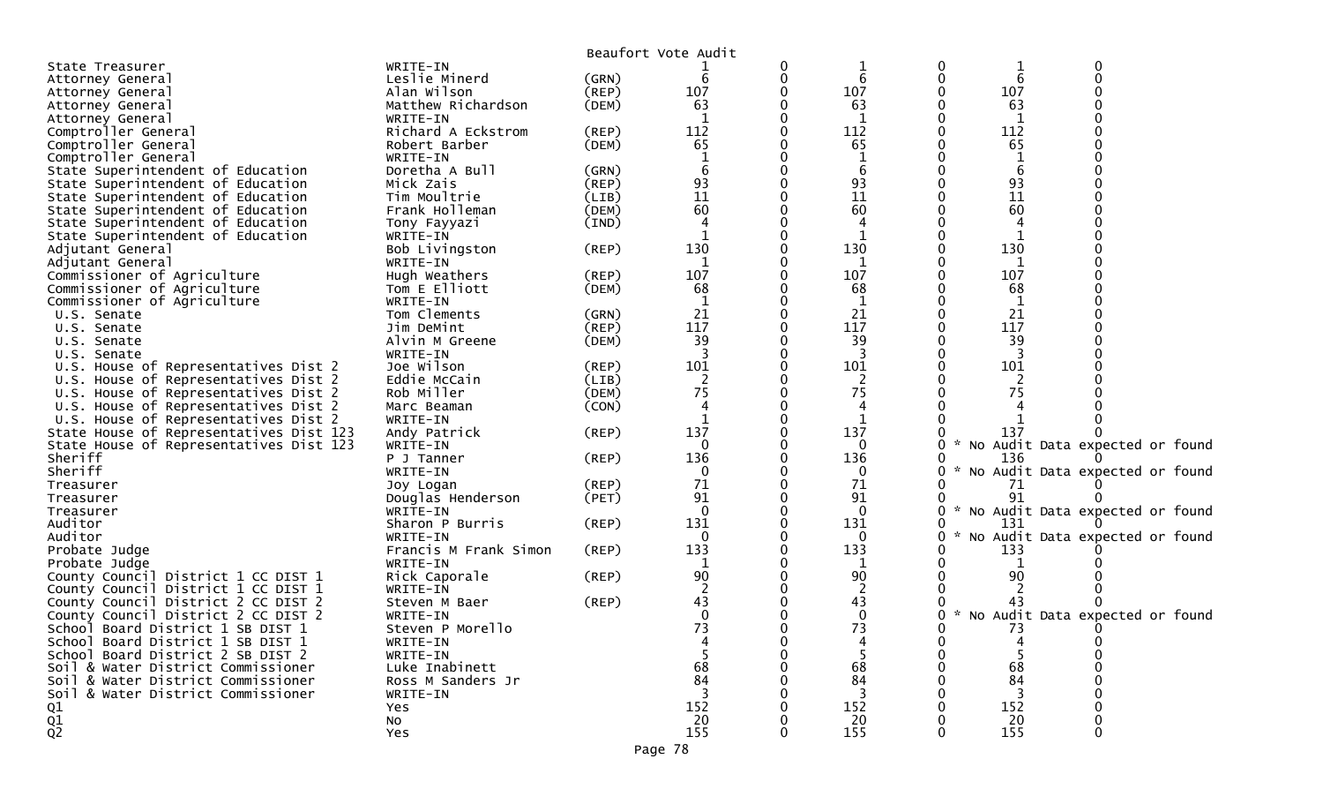|                                         |                       |             | Beaufort Vote Audit |              |                 |                                   |  |
|-----------------------------------------|-----------------------|-------------|---------------------|--------------|-----------------|-----------------------------------|--|
| State Treasurer                         | WRITE-IN              |             |                     |              |                 |                                   |  |
| Attorney General                        | Leslie Minerd         | (GRN)       | 6                   | 6            | $6\phantom{1}6$ |                                   |  |
| Attorney General                        | Alan Wilson           | $($ REP $)$ | 107                 | 107          | 107             |                                   |  |
| Attorney General                        | Matthew Richardson    | (DEM)       | 63                  | 63           | 63              |                                   |  |
| Attorney General                        | WRITE-IN              |             |                     | 1            | 1               |                                   |  |
| Comptroller General                     | Richard A Eckstrom    | (REP)       | 112                 | 112          | 112             |                                   |  |
| Comptroller General                     | Robert Barber         | (DEM)       | 65                  | 65           | 65              |                                   |  |
| Comptroller General                     | WRITE-IN              |             |                     |              |                 |                                   |  |
| State Superintendent of Education       | Doretha A Bull        | (GRN)       |                     |              | 6               |                                   |  |
| State Superintendent of Education       | Mick Zais             | (REP)       | 93                  | 93           | 93              |                                   |  |
| State Superintendent of Education       | Tim Moultrie          | (LIB)       | 11                  | 11           | 11              |                                   |  |
| State Superintendent of Education       | Frank Holleman        | (DEM)       | 60                  | 60           | 60              |                                   |  |
| State Superintendent of Education       | Tony Fayyazi          | (IND)       |                     |              |                 |                                   |  |
| State Superintendent of Education       | WRITE-IN              |             |                     |              |                 |                                   |  |
| Adjutant General                        | Bob Livingston        | $($ REP $)$ | 130                 | 130          | 130             |                                   |  |
| Adjutant General                        | WRITE-IN              |             | $\mathbf 1$         | 1            | 1               |                                   |  |
| Commissioner of Agriculture             | Hugh Weathers         | (REP)       | 107                 | 107          | 107             |                                   |  |
| Commissioner of Agriculture             | Tom E Elliott         | (DEM)       | 68                  | 68           | 68              |                                   |  |
| Commissioner of Agriculture             | WRITE-IN              |             |                     | 1            | 1               |                                   |  |
| U.S. Senate                             | Tom Clements          | (GRN)       | 21                  | 21           | 21              |                                   |  |
| U.S. Senate                             | Jim DeMint            | $($ REP $)$ | 117                 | 117          | 117             |                                   |  |
| U.S. Senate                             | Alvin M Greene        | (DEM)       | 39                  | 39           | 39              |                                   |  |
| U.S. Senate                             | WRITE-IN              |             |                     | 3            |                 |                                   |  |
| U.S. House of Representatives Dist 2    | Joe Wilson            | $($ REP $)$ | 101                 | 101          | 101             |                                   |  |
| U.S. House of Representatives Dist 2    | Eddie McCain          | (LIB)       | 2                   | 2            | 2               |                                   |  |
| U.S. House of Representatives Dist 2    | Rob Miller            | (DEM)       | 75                  | 75           | 75              |                                   |  |
| U.S. House of Representatives Dist 2    | Marc Beaman           | (CON)       |                     |              |                 |                                   |  |
| U.S. House of Representatives Dist 2    | WRITE-IN              |             |                     |              |                 |                                   |  |
| State House of Representatives Dist 123 | Andy Patrick          | $($ REP $)$ | 137                 | 137          | 137             |                                   |  |
| State House of Representatives Dist 123 | WRITE-IN              |             | 0                   | 0            | $\mathcal{H}$   | No Audit Data expected or found   |  |
| Sheriff                                 | P J Tanner            | (REP)       | 136                 | 136          | 136             |                                   |  |
| Sheriff                                 | WRITE-IN              |             | $\Omega$            | 0            |                 | * No Audit Data expected or found |  |
| Treasurer                               | Joy Logan             | (REP)       | 71                  | 71           | 71              |                                   |  |
| Treasurer                               | Douglas Henderson     | (PET)       | 91                  | 91           | 91              |                                   |  |
| Treasurer                               | WRITE-IN              |             | $\Omega$            | $\mathbf{0}$ |                 | * No Audit Data expected or found |  |
| Auditor                                 | Sharon P Burris       | (REP)       | 131                 | 131          | 131             |                                   |  |
| Auditor                                 | WRITE-IN              |             | $\mathbf{0}$        | 0            |                 | No Audit Data expected or found   |  |
| Probate Judge                           | Francis M Frank Simon | $($ REP $)$ | 133                 | 133          | 133             |                                   |  |
| Probate Judge                           | WRITE-IN              |             |                     |              |                 |                                   |  |
| County Council District 1 CC DIST 1     | Rick Caporale         | (REP)       | 90                  | 90           | 90              |                                   |  |
| County Council District 1 CC DIST 1     | WRITE-IN              |             |                     | 2            |                 |                                   |  |
| County Council District 2 CC DIST 2     | Steven M Baer         | (REP)       | 43                  | 43           | 43              |                                   |  |
| County Council District 2 CC DIST 2     | WRITE-IN              |             | $\mathbf{0}$        | $\mathbf 0$  | $\mathcal{H}$   | No Audit Data expected or found   |  |
| School Board District 1 SB DIST 1       | Steven P Morello      |             | 73                  | 73           | 73              |                                   |  |
| School Board District 1 SB DIST 1       | WRITE-IN              |             |                     |              |                 |                                   |  |
| School Board District 2 SB DIST 2       | WRITE-IN              |             |                     |              |                 |                                   |  |
| Soil & Water District Commissioner      | Luke Inabinett        |             | 68                  | 68           | 68              |                                   |  |
| Soil & Water District Commissioner      | Ross M Sanders Jr     |             | 84                  | 84           | 84              |                                   |  |
| Soil & Water District Commissioner      | WRITE-IN              |             |                     | 3            | 3               |                                   |  |
| Q1                                      | Yes                   |             | 152                 | 152          | 152             |                                   |  |
|                                         | No                    |             | 20                  | 20           | 20              |                                   |  |
| $\frac{Q1}{Q2}$                         | Yes                   |             | 155                 | 155          | 155             |                                   |  |
|                                         |                       |             |                     |              |                 |                                   |  |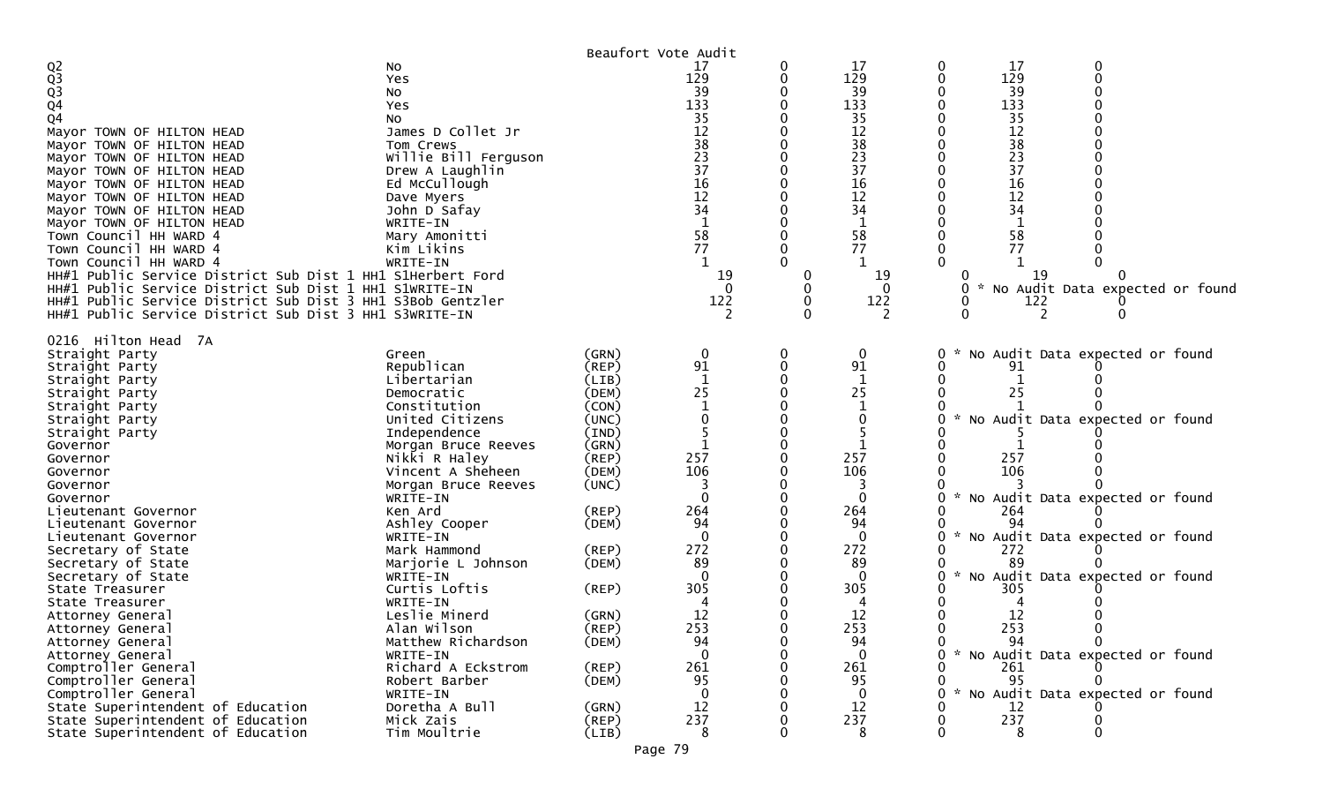|                                                            |                      |             | Beaufort Vote Audit |   |              |   |     |                                   |
|------------------------------------------------------------|----------------------|-------------|---------------------|---|--------------|---|-----|-----------------------------------|
| $Q_0^2$<br>$Q_3^3$<br>$Q_4^4$                              | No                   |             | 17                  | 0 | 17           | 0 | 17  |                                   |
|                                                            | Yes                  |             | 129                 | 0 | 129          |   | 129 |                                   |
|                                                            | No                   |             | 39                  |   | 39           |   | 39  |                                   |
|                                                            | Yes                  |             | 133                 |   | 133          |   | 133 |                                   |
| Q4                                                         | No.                  |             | 35                  |   | 35           |   | 35  |                                   |
| Mayor TOWN OF HILTON HEAD                                  | James D Collet Jr    |             | 12                  |   | 12           |   | 12  |                                   |
| Mayor TOWN OF HILTON HEAD                                  | Tom Crews            |             | 38                  |   | 38           |   | 38  |                                   |
| Mayor TOWN OF HILTON HEAD                                  | Willie Bill Ferguson |             | 23                  |   | 23           |   | 23  |                                   |
| Mayor TOWN OF HILTON HEAD                                  | Drew A Laughlin      |             | 37                  |   | 37           |   | 37  |                                   |
| Mayor TOWN OF HILTON HEAD                                  | Ed McCullough        |             | 16                  |   | 16           |   | 16  |                                   |
| Mayor TOWN OF HILTON HEAD                                  | Dave Myers           |             | 12                  |   | 12           |   | 12  |                                   |
| Mayor TOWN OF HILTON HEAD                                  | John D Safay         |             | 34                  |   | 34           |   | 34  |                                   |
| Mayor TOWN OF HILTON HEAD                                  | WRITE-IN             |             |                     |   | 1            |   |     |                                   |
| Town Council HH WARD 4                                     | Mary Amonitti        |             | 58                  |   | 58           |   | 58  |                                   |
| Town Council HH WARD 4                                     | Kim Likins           |             | 77                  |   | 77           |   | 77  |                                   |
| Town Council HH WARD 4                                     | WRITE-IN             |             |                     |   |              |   |     |                                   |
| HH#1 Public Service District Sub Dist 1 HH1 S1Herbert Ford |                      |             | 19                  | 0 | 19           |   | -19 |                                   |
| HH#1 Public Service District Sub Dist 1 HH1 S1WRITE-IN     |                      |             | $\Omega$            | 0 | 0            |   |     | No Audit Data expected or found   |
|                                                            |                      |             |                     |   |              |   |     |                                   |
| HH#1 Public Service District Sub Dist 3 HH1 S3Bob Gentzler |                      |             | 122                 | 0 | 122          |   | 122 |                                   |
| HH#1 Public Service District Sub Dist 3 HH1 S3WRITE-IN     |                      |             |                     | O | 2            |   |     |                                   |
| 0216 Hilton Head 7A                                        |                      |             |                     |   |              |   |     |                                   |
|                                                            |                      |             |                     |   |              |   |     |                                   |
| Straight Party                                             | Green                | (GRN)       | $\boldsymbol{0}$    | 0 | 0            |   |     | No Audit Data expected or found   |
| Straight Party                                             | Republican           | (REP)       | 91                  | 0 | 91           |   | 91  |                                   |
| Straight Party                                             | Libertarian          | (LIB)       | $\mathbf{1}$        |   | 1            |   |     |                                   |
| Straight Party                                             | Democratic           | (DEM)       | 25                  |   | 25           |   | 25  |                                   |
| Straight Party                                             | Constitution         | (CON)       |                     |   |              |   |     |                                   |
| Straight Party                                             | United Citizens      | (UNC)       | $\Omega$            |   |              |   |     | No Audit Data expected or found   |
| Straight Party                                             | Independence         | (IND)       |                     |   |              |   |     |                                   |
| Governor                                                   | Morgan Bruce Reeves  | (GRN)       |                     |   |              |   |     |                                   |
| Governor                                                   | Nikki R Haley        | $($ REP $)$ | 257                 |   | 257          |   | 257 |                                   |
| Governor                                                   | Vincent A Sheheen    | (DEM)       | 106                 |   | 106          |   | 106 |                                   |
| Governor                                                   | Morgan Bruce Reeves  | (UNC)       |                     |   |              |   |     |                                   |
| Governor                                                   | WRITE-IN             |             | $\Omega$            |   | $\Omega$     |   |     | * No Audit Data expected or found |
| Lieutenant Governor                                        | Ken Ard              | (REP)       | 264                 |   | 264          |   | 264 |                                   |
| Lieutenant Governor                                        | Ashley Cooper        | (DEM)       | 94                  |   | 94           |   | 94  |                                   |
| Lieutenant Governor                                        | WRITE-IN             |             | $\Omega$            |   | $\mathbf{0}$ |   |     | * No Audit Data expected or found |
| Secretary of State                                         | Mark Hammond         | (REP)       | 272                 |   | 272          |   | 272 |                                   |
| Secretary of State                                         | Marjorie L Johnson   | (DEM)       | 89                  |   | 89           |   | 89  |                                   |
| Secretary of State                                         | WRITE-IN             |             | $\Omega$            |   | 0            |   |     | * No Audit Data expected or found |
| State Treasurer                                            | Curtis Loftis        | (REP)       | 305                 |   | 305          |   | 305 |                                   |
| State Treasurer                                            | WRITE-IN             |             |                     |   |              |   |     |                                   |
| Attorney General                                           | Leslie Minerd        | (GRN)       | 12                  |   | 12           |   | 12  |                                   |
| Attorney General                                           | Alan Wilson          | (REP)       | 253                 | 0 | 253          |   | 253 |                                   |
| Attorney General                                           | Matthew Richardson   | (DEM)       | 94                  |   | 94           | 0 | 94  | $\Omega$                          |
| Attorney General                                           | WRITE-IN             |             | $\Omega$            |   | $\mathbf{0}$ | 0 |     | * No Audit Data expected or found |
| Comptroller General                                        | Richard A Eckstrom   | (REP)       | 261                 | 0 | 261          |   | 261 |                                   |
| Comptroller General                                        | Robert Barber        | (DEM)       | 95                  |   | 95           | 0 | 95  |                                   |
| Comptroller General                                        | WRITE-IN             |             | $\mathbf{0}$        | 0 | $\bf{0}$     | 0 |     | * No Audit Data expected or found |
| State Superintendent of Education                          | Doretha A Bull       | (GRN)       | 12                  | 0 | 12           |   | 12  |                                   |
| State Superintendent of Education                          | Mick Zais            | $($ REP $)$ | 237                 | 0 | 237          | 0 | 237 |                                   |
| State Superintendent of Education                          | Tim Moultrie         | (LIB)       | -8                  | 0 | 8            | 0 | 8   | 0                                 |
|                                                            |                      |             |                     |   |              |   |     |                                   |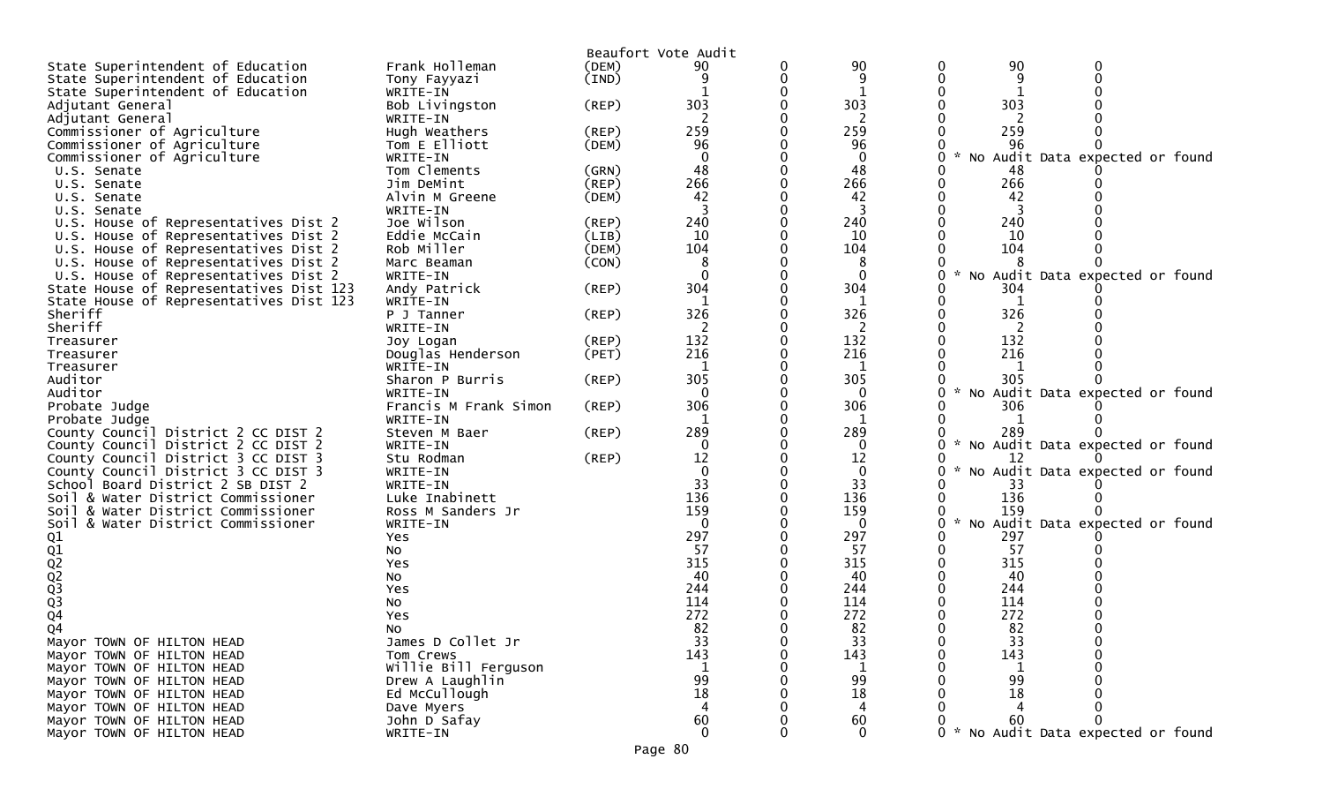| 90<br>90<br>(DEM)<br>9<br>9<br>State Superintendent of Education<br>(IND)<br>Tony Fayyazi<br>State Superintendent of Education<br>WRITE-IN<br>303<br>303<br>303<br>Adjutant General<br>Bob Livingston<br>(REP)<br>2<br>Adjutant General<br>WRITE-IN<br>259<br>259<br>259<br>Commissioner of Agriculture<br>Hugh Weathers<br>(REP)<br>96<br>96<br>96<br>Commissioner of Agriculture<br>(DEM)<br>Tom E Elliott<br>Commissioner of Agriculture<br>$\Omega$<br>$\mathbf 0$<br>No Audit Data expected or found<br>WRITE-IN<br>Tom Clements<br>48<br>48<br>48<br>U.S. Senate<br>(GRN)<br>266<br>266<br>266<br>Jim DeMint<br>(REP)<br>U.S. Senate<br>42<br>42<br>42<br>Alvin M Greene<br>(DEM)<br>U.S. Senate<br>WRITE-IN<br>3<br>U.S. Senate<br>240<br>240<br>240<br>U.S. House of Representatives Dist 2<br>Joe Wilson<br>(REP)<br>10<br>10<br>U.S. House of Representatives Dist 2<br>Eddie McCain<br>(LIB)<br>10<br>Rob Miller<br>104<br>104<br>104<br>(DEM)<br>U.S. House of Representatives Dist 2<br>(CON)<br>8<br>U.S. House of Representatives Dist 2<br>Marc Beaman<br>8<br>$\Omega$<br>$\Omega$<br>No Audit Data expected or found<br>U.S. House of Representatives Dist 2<br>WRITE-IN<br>304<br>304<br>304<br>State House of Representatives Dist 123<br>Andy Patrick<br>(REP)<br>State House of Representatives Dist 123<br>WRITE-IN<br>-1<br>1<br>1<br>326<br>326<br>326<br>Sheriff<br>$($ REP $)$<br>P J Tanner<br>Sheriff<br>WRITE-IN<br>132<br>132<br>132<br>$($ REP $)$<br>Treasurer<br>Joy Logan<br>216<br>216<br>216<br>Douglas Henderson<br>Treasurer<br>(PET)<br>WRITE-IN<br>1<br>Treasurer<br>305<br>305<br>305<br>Auditor<br>(REP)<br>Sharon P Burris<br>Auditor<br>$\mathbf{0}$<br>No Audit Data expected or found<br>WRITE-IN<br>0<br>306<br>306<br>$($ REP $)$<br>306<br>Probate Judge<br>Francis M Frank Simon<br>$\mathbf{1}$<br>Probate Judge<br>WRITE-IN<br>1<br>289<br>289<br>289<br>County Council District 2 CC DIST 2<br>$($ REP $)$<br>Steven M Baer<br>No Audit Data expected or found<br>County Council District 2 CC DIST 2<br>$\mathbf{0}$<br>WRITE-IN<br>0<br>12<br>12<br>County Council District 3 CC DIST 3<br>(REP)<br>Stu Rodman<br>12<br>No Audit Data expected or found<br>$\Omega$<br>County Council District 3 CC DIST 3<br>$\mathbf 0$<br>WRITE-IN<br>33<br>33<br>School Board District 2 SB DIST 2<br>WRITE-IN<br>33<br>136<br>136<br>136<br>Luke Inabinett<br>Soil & Water District Commissioner<br>159<br>159<br>159<br>Soil & Water District Commissioner<br>Ross M Sanders Jr<br>Audit Data expected or found<br>Soil & Water District Commissioner<br>WRITE-IN<br>$\mathbf{0}$<br>$\mathbf{0}$<br><b>NO</b><br>297<br>297<br>297<br>01<br>02<br>02<br>02<br>03<br>03<br>04<br>Yes<br>57<br>57<br>57<br>No<br>315<br>315<br>315<br>Yes<br>40<br>40<br>40<br>No<br>244<br>244<br>244<br>Yes<br>114<br>114<br>114<br>No<br>272<br>272<br>272<br>Yes<br>Q4<br>82<br>82<br>82<br>No<br>James D Collet Jr<br>Mayor TOWN OF HILTON HEAD<br>33<br>0<br>33<br>-33<br>143<br>143<br>143<br>Tom Crews<br>0<br>Mayor TOWN OF HILTON HEAD<br>Willie Bill Ferguson<br>Mayor TOWN OF HILTON HEAD<br>1<br>1<br>99<br>99<br>99<br>Drew A Laughlin<br>Mayor TOWN OF HILTON HEAD<br>18<br>18<br>18<br>Ed McCullough<br>Mayor TOWN OF HILTON HEAD<br>Dave Myers<br>4<br>4<br>Mayor TOWN OF HILTON HEAD<br>60<br>60<br>60<br>John D Safay<br>Mayor TOWN OF HILTON HEAD<br>$\mathbf 0$<br>$\bf{0}$<br>0<br>* No Audit Data expected or found<br>Mayor TOWN OF HILTON HEAD<br>WRITE-IN |                                   |                | Beaufort Vote Audit |  |    |  |  |
|------------------------------------------------------------------------------------------------------------------------------------------------------------------------------------------------------------------------------------------------------------------------------------------------------------------------------------------------------------------------------------------------------------------------------------------------------------------------------------------------------------------------------------------------------------------------------------------------------------------------------------------------------------------------------------------------------------------------------------------------------------------------------------------------------------------------------------------------------------------------------------------------------------------------------------------------------------------------------------------------------------------------------------------------------------------------------------------------------------------------------------------------------------------------------------------------------------------------------------------------------------------------------------------------------------------------------------------------------------------------------------------------------------------------------------------------------------------------------------------------------------------------------------------------------------------------------------------------------------------------------------------------------------------------------------------------------------------------------------------------------------------------------------------------------------------------------------------------------------------------------------------------------------------------------------------------------------------------------------------------------------------------------------------------------------------------------------------------------------------------------------------------------------------------------------------------------------------------------------------------------------------------------------------------------------------------------------------------------------------------------------------------------------------------------------------------------------------------------------------------------------------------------------------------------------------------------------------------------------------------------------------------------------------------------------------------------------------------------------------------------------------------------------------------------------------------------------------------------------------------------------------------------------------------------------------------------------------------------------------------------------------------------------------------------------------------------------------------------------------------------------------------------------------------------------------------------------------------------------------------------------------------------------------------------------------------------------------------------------------------------------------------------------------------------------------------------------------------------------------------------------------|-----------------------------------|----------------|---------------------|--|----|--|--|
|                                                                                                                                                                                                                                                                                                                                                                                                                                                                                                                                                                                                                                                                                                                                                                                                                                                                                                                                                                                                                                                                                                                                                                                                                                                                                                                                                                                                                                                                                                                                                                                                                                                                                                                                                                                                                                                                                                                                                                                                                                                                                                                                                                                                                                                                                                                                                                                                                                                                                                                                                                                                                                                                                                                                                                                                                                                                                                                                                                                                                                                                                                                                                                                                                                                                                                                                                                                                                                                                                                                  | State Superintendent of Education | Frank Holleman |                     |  | 90 |  |  |
|                                                                                                                                                                                                                                                                                                                                                                                                                                                                                                                                                                                                                                                                                                                                                                                                                                                                                                                                                                                                                                                                                                                                                                                                                                                                                                                                                                                                                                                                                                                                                                                                                                                                                                                                                                                                                                                                                                                                                                                                                                                                                                                                                                                                                                                                                                                                                                                                                                                                                                                                                                                                                                                                                                                                                                                                                                                                                                                                                                                                                                                                                                                                                                                                                                                                                                                                                                                                                                                                                                                  |                                   |                |                     |  |    |  |  |
|                                                                                                                                                                                                                                                                                                                                                                                                                                                                                                                                                                                                                                                                                                                                                                                                                                                                                                                                                                                                                                                                                                                                                                                                                                                                                                                                                                                                                                                                                                                                                                                                                                                                                                                                                                                                                                                                                                                                                                                                                                                                                                                                                                                                                                                                                                                                                                                                                                                                                                                                                                                                                                                                                                                                                                                                                                                                                                                                                                                                                                                                                                                                                                                                                                                                                                                                                                                                                                                                                                                  |                                   |                |                     |  |    |  |  |
|                                                                                                                                                                                                                                                                                                                                                                                                                                                                                                                                                                                                                                                                                                                                                                                                                                                                                                                                                                                                                                                                                                                                                                                                                                                                                                                                                                                                                                                                                                                                                                                                                                                                                                                                                                                                                                                                                                                                                                                                                                                                                                                                                                                                                                                                                                                                                                                                                                                                                                                                                                                                                                                                                                                                                                                                                                                                                                                                                                                                                                                                                                                                                                                                                                                                                                                                                                                                                                                                                                                  |                                   |                |                     |  |    |  |  |
|                                                                                                                                                                                                                                                                                                                                                                                                                                                                                                                                                                                                                                                                                                                                                                                                                                                                                                                                                                                                                                                                                                                                                                                                                                                                                                                                                                                                                                                                                                                                                                                                                                                                                                                                                                                                                                                                                                                                                                                                                                                                                                                                                                                                                                                                                                                                                                                                                                                                                                                                                                                                                                                                                                                                                                                                                                                                                                                                                                                                                                                                                                                                                                                                                                                                                                                                                                                                                                                                                                                  |                                   |                |                     |  |    |  |  |
|                                                                                                                                                                                                                                                                                                                                                                                                                                                                                                                                                                                                                                                                                                                                                                                                                                                                                                                                                                                                                                                                                                                                                                                                                                                                                                                                                                                                                                                                                                                                                                                                                                                                                                                                                                                                                                                                                                                                                                                                                                                                                                                                                                                                                                                                                                                                                                                                                                                                                                                                                                                                                                                                                                                                                                                                                                                                                                                                                                                                                                                                                                                                                                                                                                                                                                                                                                                                                                                                                                                  |                                   |                |                     |  |    |  |  |
|                                                                                                                                                                                                                                                                                                                                                                                                                                                                                                                                                                                                                                                                                                                                                                                                                                                                                                                                                                                                                                                                                                                                                                                                                                                                                                                                                                                                                                                                                                                                                                                                                                                                                                                                                                                                                                                                                                                                                                                                                                                                                                                                                                                                                                                                                                                                                                                                                                                                                                                                                                                                                                                                                                                                                                                                                                                                                                                                                                                                                                                                                                                                                                                                                                                                                                                                                                                                                                                                                                                  |                                   |                |                     |  |    |  |  |
|                                                                                                                                                                                                                                                                                                                                                                                                                                                                                                                                                                                                                                                                                                                                                                                                                                                                                                                                                                                                                                                                                                                                                                                                                                                                                                                                                                                                                                                                                                                                                                                                                                                                                                                                                                                                                                                                                                                                                                                                                                                                                                                                                                                                                                                                                                                                                                                                                                                                                                                                                                                                                                                                                                                                                                                                                                                                                                                                                                                                                                                                                                                                                                                                                                                                                                                                                                                                                                                                                                                  |                                   |                |                     |  |    |  |  |
|                                                                                                                                                                                                                                                                                                                                                                                                                                                                                                                                                                                                                                                                                                                                                                                                                                                                                                                                                                                                                                                                                                                                                                                                                                                                                                                                                                                                                                                                                                                                                                                                                                                                                                                                                                                                                                                                                                                                                                                                                                                                                                                                                                                                                                                                                                                                                                                                                                                                                                                                                                                                                                                                                                                                                                                                                                                                                                                                                                                                                                                                                                                                                                                                                                                                                                                                                                                                                                                                                                                  |                                   |                |                     |  |    |  |  |
|                                                                                                                                                                                                                                                                                                                                                                                                                                                                                                                                                                                                                                                                                                                                                                                                                                                                                                                                                                                                                                                                                                                                                                                                                                                                                                                                                                                                                                                                                                                                                                                                                                                                                                                                                                                                                                                                                                                                                                                                                                                                                                                                                                                                                                                                                                                                                                                                                                                                                                                                                                                                                                                                                                                                                                                                                                                                                                                                                                                                                                                                                                                                                                                                                                                                                                                                                                                                                                                                                                                  |                                   |                |                     |  |    |  |  |
|                                                                                                                                                                                                                                                                                                                                                                                                                                                                                                                                                                                                                                                                                                                                                                                                                                                                                                                                                                                                                                                                                                                                                                                                                                                                                                                                                                                                                                                                                                                                                                                                                                                                                                                                                                                                                                                                                                                                                                                                                                                                                                                                                                                                                                                                                                                                                                                                                                                                                                                                                                                                                                                                                                                                                                                                                                                                                                                                                                                                                                                                                                                                                                                                                                                                                                                                                                                                                                                                                                                  |                                   |                |                     |  |    |  |  |
|                                                                                                                                                                                                                                                                                                                                                                                                                                                                                                                                                                                                                                                                                                                                                                                                                                                                                                                                                                                                                                                                                                                                                                                                                                                                                                                                                                                                                                                                                                                                                                                                                                                                                                                                                                                                                                                                                                                                                                                                                                                                                                                                                                                                                                                                                                                                                                                                                                                                                                                                                                                                                                                                                                                                                                                                                                                                                                                                                                                                                                                                                                                                                                                                                                                                                                                                                                                                                                                                                                                  |                                   |                |                     |  |    |  |  |
|                                                                                                                                                                                                                                                                                                                                                                                                                                                                                                                                                                                                                                                                                                                                                                                                                                                                                                                                                                                                                                                                                                                                                                                                                                                                                                                                                                                                                                                                                                                                                                                                                                                                                                                                                                                                                                                                                                                                                                                                                                                                                                                                                                                                                                                                                                                                                                                                                                                                                                                                                                                                                                                                                                                                                                                                                                                                                                                                                                                                                                                                                                                                                                                                                                                                                                                                                                                                                                                                                                                  |                                   |                |                     |  |    |  |  |
|                                                                                                                                                                                                                                                                                                                                                                                                                                                                                                                                                                                                                                                                                                                                                                                                                                                                                                                                                                                                                                                                                                                                                                                                                                                                                                                                                                                                                                                                                                                                                                                                                                                                                                                                                                                                                                                                                                                                                                                                                                                                                                                                                                                                                                                                                                                                                                                                                                                                                                                                                                                                                                                                                                                                                                                                                                                                                                                                                                                                                                                                                                                                                                                                                                                                                                                                                                                                                                                                                                                  |                                   |                |                     |  |    |  |  |
|                                                                                                                                                                                                                                                                                                                                                                                                                                                                                                                                                                                                                                                                                                                                                                                                                                                                                                                                                                                                                                                                                                                                                                                                                                                                                                                                                                                                                                                                                                                                                                                                                                                                                                                                                                                                                                                                                                                                                                                                                                                                                                                                                                                                                                                                                                                                                                                                                                                                                                                                                                                                                                                                                                                                                                                                                                                                                                                                                                                                                                                                                                                                                                                                                                                                                                                                                                                                                                                                                                                  |                                   |                |                     |  |    |  |  |
|                                                                                                                                                                                                                                                                                                                                                                                                                                                                                                                                                                                                                                                                                                                                                                                                                                                                                                                                                                                                                                                                                                                                                                                                                                                                                                                                                                                                                                                                                                                                                                                                                                                                                                                                                                                                                                                                                                                                                                                                                                                                                                                                                                                                                                                                                                                                                                                                                                                                                                                                                                                                                                                                                                                                                                                                                                                                                                                                                                                                                                                                                                                                                                                                                                                                                                                                                                                                                                                                                                                  |                                   |                |                     |  |    |  |  |
|                                                                                                                                                                                                                                                                                                                                                                                                                                                                                                                                                                                                                                                                                                                                                                                                                                                                                                                                                                                                                                                                                                                                                                                                                                                                                                                                                                                                                                                                                                                                                                                                                                                                                                                                                                                                                                                                                                                                                                                                                                                                                                                                                                                                                                                                                                                                                                                                                                                                                                                                                                                                                                                                                                                                                                                                                                                                                                                                                                                                                                                                                                                                                                                                                                                                                                                                                                                                                                                                                                                  |                                   |                |                     |  |    |  |  |
|                                                                                                                                                                                                                                                                                                                                                                                                                                                                                                                                                                                                                                                                                                                                                                                                                                                                                                                                                                                                                                                                                                                                                                                                                                                                                                                                                                                                                                                                                                                                                                                                                                                                                                                                                                                                                                                                                                                                                                                                                                                                                                                                                                                                                                                                                                                                                                                                                                                                                                                                                                                                                                                                                                                                                                                                                                                                                                                                                                                                                                                                                                                                                                                                                                                                                                                                                                                                                                                                                                                  |                                   |                |                     |  |    |  |  |
|                                                                                                                                                                                                                                                                                                                                                                                                                                                                                                                                                                                                                                                                                                                                                                                                                                                                                                                                                                                                                                                                                                                                                                                                                                                                                                                                                                                                                                                                                                                                                                                                                                                                                                                                                                                                                                                                                                                                                                                                                                                                                                                                                                                                                                                                                                                                                                                                                                                                                                                                                                                                                                                                                                                                                                                                                                                                                                                                                                                                                                                                                                                                                                                                                                                                                                                                                                                                                                                                                                                  |                                   |                |                     |  |    |  |  |
|                                                                                                                                                                                                                                                                                                                                                                                                                                                                                                                                                                                                                                                                                                                                                                                                                                                                                                                                                                                                                                                                                                                                                                                                                                                                                                                                                                                                                                                                                                                                                                                                                                                                                                                                                                                                                                                                                                                                                                                                                                                                                                                                                                                                                                                                                                                                                                                                                                                                                                                                                                                                                                                                                                                                                                                                                                                                                                                                                                                                                                                                                                                                                                                                                                                                                                                                                                                                                                                                                                                  |                                   |                |                     |  |    |  |  |
|                                                                                                                                                                                                                                                                                                                                                                                                                                                                                                                                                                                                                                                                                                                                                                                                                                                                                                                                                                                                                                                                                                                                                                                                                                                                                                                                                                                                                                                                                                                                                                                                                                                                                                                                                                                                                                                                                                                                                                                                                                                                                                                                                                                                                                                                                                                                                                                                                                                                                                                                                                                                                                                                                                                                                                                                                                                                                                                                                                                                                                                                                                                                                                                                                                                                                                                                                                                                                                                                                                                  |                                   |                |                     |  |    |  |  |
|                                                                                                                                                                                                                                                                                                                                                                                                                                                                                                                                                                                                                                                                                                                                                                                                                                                                                                                                                                                                                                                                                                                                                                                                                                                                                                                                                                                                                                                                                                                                                                                                                                                                                                                                                                                                                                                                                                                                                                                                                                                                                                                                                                                                                                                                                                                                                                                                                                                                                                                                                                                                                                                                                                                                                                                                                                                                                                                                                                                                                                                                                                                                                                                                                                                                                                                                                                                                                                                                                                                  |                                   |                |                     |  |    |  |  |
|                                                                                                                                                                                                                                                                                                                                                                                                                                                                                                                                                                                                                                                                                                                                                                                                                                                                                                                                                                                                                                                                                                                                                                                                                                                                                                                                                                                                                                                                                                                                                                                                                                                                                                                                                                                                                                                                                                                                                                                                                                                                                                                                                                                                                                                                                                                                                                                                                                                                                                                                                                                                                                                                                                                                                                                                                                                                                                                                                                                                                                                                                                                                                                                                                                                                                                                                                                                                                                                                                                                  |                                   |                |                     |  |    |  |  |
|                                                                                                                                                                                                                                                                                                                                                                                                                                                                                                                                                                                                                                                                                                                                                                                                                                                                                                                                                                                                                                                                                                                                                                                                                                                                                                                                                                                                                                                                                                                                                                                                                                                                                                                                                                                                                                                                                                                                                                                                                                                                                                                                                                                                                                                                                                                                                                                                                                                                                                                                                                                                                                                                                                                                                                                                                                                                                                                                                                                                                                                                                                                                                                                                                                                                                                                                                                                                                                                                                                                  |                                   |                |                     |  |    |  |  |
|                                                                                                                                                                                                                                                                                                                                                                                                                                                                                                                                                                                                                                                                                                                                                                                                                                                                                                                                                                                                                                                                                                                                                                                                                                                                                                                                                                                                                                                                                                                                                                                                                                                                                                                                                                                                                                                                                                                                                                                                                                                                                                                                                                                                                                                                                                                                                                                                                                                                                                                                                                                                                                                                                                                                                                                                                                                                                                                                                                                                                                                                                                                                                                                                                                                                                                                                                                                                                                                                                                                  |                                   |                |                     |  |    |  |  |
|                                                                                                                                                                                                                                                                                                                                                                                                                                                                                                                                                                                                                                                                                                                                                                                                                                                                                                                                                                                                                                                                                                                                                                                                                                                                                                                                                                                                                                                                                                                                                                                                                                                                                                                                                                                                                                                                                                                                                                                                                                                                                                                                                                                                                                                                                                                                                                                                                                                                                                                                                                                                                                                                                                                                                                                                                                                                                                                                                                                                                                                                                                                                                                                                                                                                                                                                                                                                                                                                                                                  |                                   |                |                     |  |    |  |  |
|                                                                                                                                                                                                                                                                                                                                                                                                                                                                                                                                                                                                                                                                                                                                                                                                                                                                                                                                                                                                                                                                                                                                                                                                                                                                                                                                                                                                                                                                                                                                                                                                                                                                                                                                                                                                                                                                                                                                                                                                                                                                                                                                                                                                                                                                                                                                                                                                                                                                                                                                                                                                                                                                                                                                                                                                                                                                                                                                                                                                                                                                                                                                                                                                                                                                                                                                                                                                                                                                                                                  |                                   |                |                     |  |    |  |  |
|                                                                                                                                                                                                                                                                                                                                                                                                                                                                                                                                                                                                                                                                                                                                                                                                                                                                                                                                                                                                                                                                                                                                                                                                                                                                                                                                                                                                                                                                                                                                                                                                                                                                                                                                                                                                                                                                                                                                                                                                                                                                                                                                                                                                                                                                                                                                                                                                                                                                                                                                                                                                                                                                                                                                                                                                                                                                                                                                                                                                                                                                                                                                                                                                                                                                                                                                                                                                                                                                                                                  |                                   |                |                     |  |    |  |  |
|                                                                                                                                                                                                                                                                                                                                                                                                                                                                                                                                                                                                                                                                                                                                                                                                                                                                                                                                                                                                                                                                                                                                                                                                                                                                                                                                                                                                                                                                                                                                                                                                                                                                                                                                                                                                                                                                                                                                                                                                                                                                                                                                                                                                                                                                                                                                                                                                                                                                                                                                                                                                                                                                                                                                                                                                                                                                                                                                                                                                                                                                                                                                                                                                                                                                                                                                                                                                                                                                                                                  |                                   |                |                     |  |    |  |  |
|                                                                                                                                                                                                                                                                                                                                                                                                                                                                                                                                                                                                                                                                                                                                                                                                                                                                                                                                                                                                                                                                                                                                                                                                                                                                                                                                                                                                                                                                                                                                                                                                                                                                                                                                                                                                                                                                                                                                                                                                                                                                                                                                                                                                                                                                                                                                                                                                                                                                                                                                                                                                                                                                                                                                                                                                                                                                                                                                                                                                                                                                                                                                                                                                                                                                                                                                                                                                                                                                                                                  |                                   |                |                     |  |    |  |  |
|                                                                                                                                                                                                                                                                                                                                                                                                                                                                                                                                                                                                                                                                                                                                                                                                                                                                                                                                                                                                                                                                                                                                                                                                                                                                                                                                                                                                                                                                                                                                                                                                                                                                                                                                                                                                                                                                                                                                                                                                                                                                                                                                                                                                                                                                                                                                                                                                                                                                                                                                                                                                                                                                                                                                                                                                                                                                                                                                                                                                                                                                                                                                                                                                                                                                                                                                                                                                                                                                                                                  |                                   |                |                     |  |    |  |  |
|                                                                                                                                                                                                                                                                                                                                                                                                                                                                                                                                                                                                                                                                                                                                                                                                                                                                                                                                                                                                                                                                                                                                                                                                                                                                                                                                                                                                                                                                                                                                                                                                                                                                                                                                                                                                                                                                                                                                                                                                                                                                                                                                                                                                                                                                                                                                                                                                                                                                                                                                                                                                                                                                                                                                                                                                                                                                                                                                                                                                                                                                                                                                                                                                                                                                                                                                                                                                                                                                                                                  |                                   |                |                     |  |    |  |  |
|                                                                                                                                                                                                                                                                                                                                                                                                                                                                                                                                                                                                                                                                                                                                                                                                                                                                                                                                                                                                                                                                                                                                                                                                                                                                                                                                                                                                                                                                                                                                                                                                                                                                                                                                                                                                                                                                                                                                                                                                                                                                                                                                                                                                                                                                                                                                                                                                                                                                                                                                                                                                                                                                                                                                                                                                                                                                                                                                                                                                                                                                                                                                                                                                                                                                                                                                                                                                                                                                                                                  |                                   |                |                     |  |    |  |  |
|                                                                                                                                                                                                                                                                                                                                                                                                                                                                                                                                                                                                                                                                                                                                                                                                                                                                                                                                                                                                                                                                                                                                                                                                                                                                                                                                                                                                                                                                                                                                                                                                                                                                                                                                                                                                                                                                                                                                                                                                                                                                                                                                                                                                                                                                                                                                                                                                                                                                                                                                                                                                                                                                                                                                                                                                                                                                                                                                                                                                                                                                                                                                                                                                                                                                                                                                                                                                                                                                                                                  |                                   |                |                     |  |    |  |  |
|                                                                                                                                                                                                                                                                                                                                                                                                                                                                                                                                                                                                                                                                                                                                                                                                                                                                                                                                                                                                                                                                                                                                                                                                                                                                                                                                                                                                                                                                                                                                                                                                                                                                                                                                                                                                                                                                                                                                                                                                                                                                                                                                                                                                                                                                                                                                                                                                                                                                                                                                                                                                                                                                                                                                                                                                                                                                                                                                                                                                                                                                                                                                                                                                                                                                                                                                                                                                                                                                                                                  |                                   |                |                     |  |    |  |  |
|                                                                                                                                                                                                                                                                                                                                                                                                                                                                                                                                                                                                                                                                                                                                                                                                                                                                                                                                                                                                                                                                                                                                                                                                                                                                                                                                                                                                                                                                                                                                                                                                                                                                                                                                                                                                                                                                                                                                                                                                                                                                                                                                                                                                                                                                                                                                                                                                                                                                                                                                                                                                                                                                                                                                                                                                                                                                                                                                                                                                                                                                                                                                                                                                                                                                                                                                                                                                                                                                                                                  |                                   |                |                     |  |    |  |  |
|                                                                                                                                                                                                                                                                                                                                                                                                                                                                                                                                                                                                                                                                                                                                                                                                                                                                                                                                                                                                                                                                                                                                                                                                                                                                                                                                                                                                                                                                                                                                                                                                                                                                                                                                                                                                                                                                                                                                                                                                                                                                                                                                                                                                                                                                                                                                                                                                                                                                                                                                                                                                                                                                                                                                                                                                                                                                                                                                                                                                                                                                                                                                                                                                                                                                                                                                                                                                                                                                                                                  |                                   |                |                     |  |    |  |  |
|                                                                                                                                                                                                                                                                                                                                                                                                                                                                                                                                                                                                                                                                                                                                                                                                                                                                                                                                                                                                                                                                                                                                                                                                                                                                                                                                                                                                                                                                                                                                                                                                                                                                                                                                                                                                                                                                                                                                                                                                                                                                                                                                                                                                                                                                                                                                                                                                                                                                                                                                                                                                                                                                                                                                                                                                                                                                                                                                                                                                                                                                                                                                                                                                                                                                                                                                                                                                                                                                                                                  |                                   |                |                     |  |    |  |  |
|                                                                                                                                                                                                                                                                                                                                                                                                                                                                                                                                                                                                                                                                                                                                                                                                                                                                                                                                                                                                                                                                                                                                                                                                                                                                                                                                                                                                                                                                                                                                                                                                                                                                                                                                                                                                                                                                                                                                                                                                                                                                                                                                                                                                                                                                                                                                                                                                                                                                                                                                                                                                                                                                                                                                                                                                                                                                                                                                                                                                                                                                                                                                                                                                                                                                                                                                                                                                                                                                                                                  |                                   |                |                     |  |    |  |  |
|                                                                                                                                                                                                                                                                                                                                                                                                                                                                                                                                                                                                                                                                                                                                                                                                                                                                                                                                                                                                                                                                                                                                                                                                                                                                                                                                                                                                                                                                                                                                                                                                                                                                                                                                                                                                                                                                                                                                                                                                                                                                                                                                                                                                                                                                                                                                                                                                                                                                                                                                                                                                                                                                                                                                                                                                                                                                                                                                                                                                                                                                                                                                                                                                                                                                                                                                                                                                                                                                                                                  |                                   |                |                     |  |    |  |  |
|                                                                                                                                                                                                                                                                                                                                                                                                                                                                                                                                                                                                                                                                                                                                                                                                                                                                                                                                                                                                                                                                                                                                                                                                                                                                                                                                                                                                                                                                                                                                                                                                                                                                                                                                                                                                                                                                                                                                                                                                                                                                                                                                                                                                                                                                                                                                                                                                                                                                                                                                                                                                                                                                                                                                                                                                                                                                                                                                                                                                                                                                                                                                                                                                                                                                                                                                                                                                                                                                                                                  |                                   |                |                     |  |    |  |  |
|                                                                                                                                                                                                                                                                                                                                                                                                                                                                                                                                                                                                                                                                                                                                                                                                                                                                                                                                                                                                                                                                                                                                                                                                                                                                                                                                                                                                                                                                                                                                                                                                                                                                                                                                                                                                                                                                                                                                                                                                                                                                                                                                                                                                                                                                                                                                                                                                                                                                                                                                                                                                                                                                                                                                                                                                                                                                                                                                                                                                                                                                                                                                                                                                                                                                                                                                                                                                                                                                                                                  |                                   |                |                     |  |    |  |  |
|                                                                                                                                                                                                                                                                                                                                                                                                                                                                                                                                                                                                                                                                                                                                                                                                                                                                                                                                                                                                                                                                                                                                                                                                                                                                                                                                                                                                                                                                                                                                                                                                                                                                                                                                                                                                                                                                                                                                                                                                                                                                                                                                                                                                                                                                                                                                                                                                                                                                                                                                                                                                                                                                                                                                                                                                                                                                                                                                                                                                                                                                                                                                                                                                                                                                                                                                                                                                                                                                                                                  |                                   |                |                     |  |    |  |  |
|                                                                                                                                                                                                                                                                                                                                                                                                                                                                                                                                                                                                                                                                                                                                                                                                                                                                                                                                                                                                                                                                                                                                                                                                                                                                                                                                                                                                                                                                                                                                                                                                                                                                                                                                                                                                                                                                                                                                                                                                                                                                                                                                                                                                                                                                                                                                                                                                                                                                                                                                                                                                                                                                                                                                                                                                                                                                                                                                                                                                                                                                                                                                                                                                                                                                                                                                                                                                                                                                                                                  |                                   |                |                     |  |    |  |  |
|                                                                                                                                                                                                                                                                                                                                                                                                                                                                                                                                                                                                                                                                                                                                                                                                                                                                                                                                                                                                                                                                                                                                                                                                                                                                                                                                                                                                                                                                                                                                                                                                                                                                                                                                                                                                                                                                                                                                                                                                                                                                                                                                                                                                                                                                                                                                                                                                                                                                                                                                                                                                                                                                                                                                                                                                                                                                                                                                                                                                                                                                                                                                                                                                                                                                                                                                                                                                                                                                                                                  |                                   |                |                     |  |    |  |  |
|                                                                                                                                                                                                                                                                                                                                                                                                                                                                                                                                                                                                                                                                                                                                                                                                                                                                                                                                                                                                                                                                                                                                                                                                                                                                                                                                                                                                                                                                                                                                                                                                                                                                                                                                                                                                                                                                                                                                                                                                                                                                                                                                                                                                                                                                                                                                                                                                                                                                                                                                                                                                                                                                                                                                                                                                                                                                                                                                                                                                                                                                                                                                                                                                                                                                                                                                                                                                                                                                                                                  |                                   |                |                     |  |    |  |  |
|                                                                                                                                                                                                                                                                                                                                                                                                                                                                                                                                                                                                                                                                                                                                                                                                                                                                                                                                                                                                                                                                                                                                                                                                                                                                                                                                                                                                                                                                                                                                                                                                                                                                                                                                                                                                                                                                                                                                                                                                                                                                                                                                                                                                                                                                                                                                                                                                                                                                                                                                                                                                                                                                                                                                                                                                                                                                                                                                                                                                                                                                                                                                                                                                                                                                                                                                                                                                                                                                                                                  |                                   |                |                     |  |    |  |  |
|                                                                                                                                                                                                                                                                                                                                                                                                                                                                                                                                                                                                                                                                                                                                                                                                                                                                                                                                                                                                                                                                                                                                                                                                                                                                                                                                                                                                                                                                                                                                                                                                                                                                                                                                                                                                                                                                                                                                                                                                                                                                                                                                                                                                                                                                                                                                                                                                                                                                                                                                                                                                                                                                                                                                                                                                                                                                                                                                                                                                                                                                                                                                                                                                                                                                                                                                                                                                                                                                                                                  |                                   |                |                     |  |    |  |  |
|                                                                                                                                                                                                                                                                                                                                                                                                                                                                                                                                                                                                                                                                                                                                                                                                                                                                                                                                                                                                                                                                                                                                                                                                                                                                                                                                                                                                                                                                                                                                                                                                                                                                                                                                                                                                                                                                                                                                                                                                                                                                                                                                                                                                                                                                                                                                                                                                                                                                                                                                                                                                                                                                                                                                                                                                                                                                                                                                                                                                                                                                                                                                                                                                                                                                                                                                                                                                                                                                                                                  |                                   |                |                     |  |    |  |  |
|                                                                                                                                                                                                                                                                                                                                                                                                                                                                                                                                                                                                                                                                                                                                                                                                                                                                                                                                                                                                                                                                                                                                                                                                                                                                                                                                                                                                                                                                                                                                                                                                                                                                                                                                                                                                                                                                                                                                                                                                                                                                                                                                                                                                                                                                                                                                                                                                                                                                                                                                                                                                                                                                                                                                                                                                                                                                                                                                                                                                                                                                                                                                                                                                                                                                                                                                                                                                                                                                                                                  |                                   |                |                     |  |    |  |  |
|                                                                                                                                                                                                                                                                                                                                                                                                                                                                                                                                                                                                                                                                                                                                                                                                                                                                                                                                                                                                                                                                                                                                                                                                                                                                                                                                                                                                                                                                                                                                                                                                                                                                                                                                                                                                                                                                                                                                                                                                                                                                                                                                                                                                                                                                                                                                                                                                                                                                                                                                                                                                                                                                                                                                                                                                                                                                                                                                                                                                                                                                                                                                                                                                                                                                                                                                                                                                                                                                                                                  |                                   |                |                     |  |    |  |  |
|                                                                                                                                                                                                                                                                                                                                                                                                                                                                                                                                                                                                                                                                                                                                                                                                                                                                                                                                                                                                                                                                                                                                                                                                                                                                                                                                                                                                                                                                                                                                                                                                                                                                                                                                                                                                                                                                                                                                                                                                                                                                                                                                                                                                                                                                                                                                                                                                                                                                                                                                                                                                                                                                                                                                                                                                                                                                                                                                                                                                                                                                                                                                                                                                                                                                                                                                                                                                                                                                                                                  |                                   |                |                     |  |    |  |  |
|                                                                                                                                                                                                                                                                                                                                                                                                                                                                                                                                                                                                                                                                                                                                                                                                                                                                                                                                                                                                                                                                                                                                                                                                                                                                                                                                                                                                                                                                                                                                                                                                                                                                                                                                                                                                                                                                                                                                                                                                                                                                                                                                                                                                                                                                                                                                                                                                                                                                                                                                                                                                                                                                                                                                                                                                                                                                                                                                                                                                                                                                                                                                                                                                                                                                                                                                                                                                                                                                                                                  |                                   |                |                     |  |    |  |  |
|                                                                                                                                                                                                                                                                                                                                                                                                                                                                                                                                                                                                                                                                                                                                                                                                                                                                                                                                                                                                                                                                                                                                                                                                                                                                                                                                                                                                                                                                                                                                                                                                                                                                                                                                                                                                                                                                                                                                                                                                                                                                                                                                                                                                                                                                                                                                                                                                                                                                                                                                                                                                                                                                                                                                                                                                                                                                                                                                                                                                                                                                                                                                                                                                                                                                                                                                                                                                                                                                                                                  |                                   |                |                     |  |    |  |  |
|                                                                                                                                                                                                                                                                                                                                                                                                                                                                                                                                                                                                                                                                                                                                                                                                                                                                                                                                                                                                                                                                                                                                                                                                                                                                                                                                                                                                                                                                                                                                                                                                                                                                                                                                                                                                                                                                                                                                                                                                                                                                                                                                                                                                                                                                                                                                                                                                                                                                                                                                                                                                                                                                                                                                                                                                                                                                                                                                                                                                                                                                                                                                                                                                                                                                                                                                                                                                                                                                                                                  |                                   |                |                     |  |    |  |  |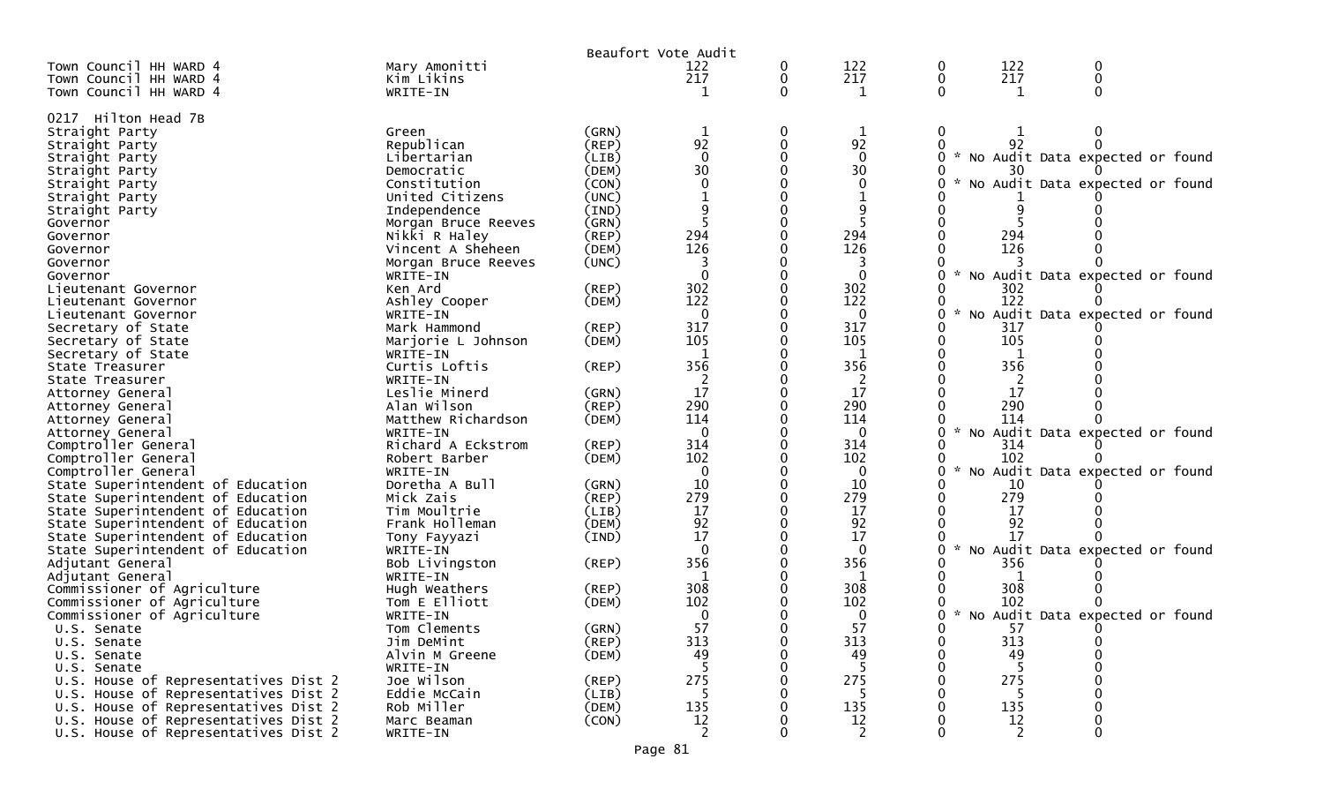|                                      |                     |             | Beaufort Vote Audit |   |                |    |                                   |                                 |  |
|--------------------------------------|---------------------|-------------|---------------------|---|----------------|----|-----------------------------------|---------------------------------|--|
| Town Council HH WARD 4               | Mary Amonitti       |             | 122                 | 0 | 122            | 0  | 122                               | 0                               |  |
| Town Council HH WARD 4               | Kim Likins          |             | 217                 | 0 | 217            | 0  | 217                               | $\mathbf{0}$                    |  |
| Town Council HH WARD 4               | WRITE-IN            |             |                     | 0 | $\mathbf 1$    | 0  | 1                                 |                                 |  |
|                                      |                     |             |                     |   |                |    |                                   |                                 |  |
| 0217 Hilton Head 7B                  |                     |             |                     |   |                |    |                                   |                                 |  |
| Straight Party                       | Green               | (GRN)       | $\mathbf 1$         | 0 | $\mathbf 1$    | 0  |                                   |                                 |  |
| Straight Party                       | Republican          | (REP)       | 92                  |   | 92             |    | 92                                |                                 |  |
| Straight Party                       | Libertarian         | (LIB)       | $\mathbf 0$         |   | $\mathbf 0$    | 0. | * No Audit Data expected or found |                                 |  |
| Straight Party                       | Democratic          | (DEM)       | 30                  |   | 30             |    | 30                                |                                 |  |
| Straight Party                       | Constitution        | (CON)       | $\Omega$            |   | $\Omega$       | O  | $\mathcal{H}$                     | No Audit Data expected or found |  |
| Straight Party                       | United Citizens     | (UNC)       |                     |   |                |    |                                   |                                 |  |
| Straight Party                       | Independence        | (IND)       | 9                   |   | 9              |    |                                   |                                 |  |
| Governor                             | Morgan Bruce Reeves | (GRN)       |                     |   |                |    |                                   |                                 |  |
| Governor                             | Nikki R Haley       | (REP)       | 294                 |   | 294            |    | 294                               |                                 |  |
| Governor                             | Vincent A Sheheen   | (DEM)       | 126                 |   | 126            |    | 126                               |                                 |  |
| Governor                             | Morgan Bruce Reeves | (UNC)       |                     |   |                |    |                                   |                                 |  |
| Governor                             | WRITE-IN            |             | $\Omega$            |   | $\mathbf 0$    |    |                                   | No Audit Data expected or found |  |
| Lieutenant Governor                  | Ken Ard             | $($ REP $)$ | 302                 |   | 302            |    | 302                               |                                 |  |
| Lieutenant Governor                  | Ashley Cooper       | (DEM)       | 122                 |   | 122            |    | 122                               |                                 |  |
| Lieutenant Governor                  | WRITE-IN            |             | 0                   |   | $\mathbf 0$    | U  |                                   | No Audit Data expected or found |  |
| Secretary of State                   | Mark Hammond        | (REP)       | 317                 |   | 317            |    | 317                               |                                 |  |
| Secretary of State                   | Marjorie L Johnson  | (DEM)       | 105                 |   | 105            |    | 105                               |                                 |  |
| Secretary of State                   | WRITE-IN            |             |                     |   | 1              |    |                                   |                                 |  |
| State Treasurer                      | Curtis Loftis       | $($ REP $)$ | 356                 |   | 356            |    | 356                               |                                 |  |
| State Treasurer                      | WRITE-IN            |             | 2                   |   | 2              |    |                                   |                                 |  |
| Attorney General                     | Leslie Minerd       | (GRN)       | 17                  |   | 17             |    | 17                                |                                 |  |
| Attorney General                     | Alan Wilson         | (REP)       | 290                 |   | 290            |    | 290                               |                                 |  |
| Attorney General                     | Matthew Richardson  | (DEM)       | 114                 |   | 114            |    | 114                               |                                 |  |
| Attorney General                     | WRITE-IN            |             | $\Omega$            |   | $\mathbf 0$    |    | $\mathcal{H}$                     | No Audit Data expected or found |  |
| Comptroller General                  | Richard A Eckstrom  | (REP)       | 314                 |   | 314            |    | 314                               |                                 |  |
| Comptroller General                  | Robert Barber       | (DEM)       | 102                 |   | 102            |    | 102                               |                                 |  |
| Comptroller General                  | WRITE-IN            |             | $\Omega$            |   | 0              |    | $\mathcal{H}$                     | No Audit Data expected or found |  |
| State Superintendent of Education    | Doretha A Bull      | (GRN)       | 10                  |   | 10             |    | 10                                |                                 |  |
| State Superintendent of Education    | Mick Zais           | $($ REP $)$ | 279                 |   | 279            |    | 279                               |                                 |  |
| State Superintendent of Education    | Tim Moultrie        | (LIB)       | 17                  |   | 17             |    | 17                                |                                 |  |
| State Superintendent of Education    | Frank Holleman      | (DEM)       | 92                  |   | 92             |    | 92                                |                                 |  |
| State Superintendent of Education    | Tony Fayyazi        | (IND)       | 17                  |   | 17             |    | 17                                |                                 |  |
| State Superintendent of Education    | WRITE-IN            |             | $\Omega$            |   | $\Omega$       |    | $\mathcal{H}$                     | No Audit Data expected or found |  |
| Adjutant General                     | Bob Livingston      | $($ REP $)$ | 356                 |   | 356            |    | 356                               |                                 |  |
| Adjutant General                     | WRITE-IN            |             | 1                   |   | 1              |    |                                   |                                 |  |
| Commissioner of Agriculture          | Hugh Weathers       | (REP)       | 308                 |   | 308            |    | 308                               |                                 |  |
| Commissioner of Agriculture          | Tom E Elliott       | (DEM)       | 102                 |   | 102            |    | 102                               |                                 |  |
| Commissioner of Agriculture          | WRITE-IN            |             | 0                   |   | 0              |    | * No Audit Data expected or found |                                 |  |
| U.S. Senate                          | Tom Clements        | (GRN)       | 57                  |   | 57             |    | 57                                |                                 |  |
| U.S. Senate                          | Jim DeMint          | (REP)       | 313                 | 0 | 313            | 0  | 313                               |                                 |  |
| U.S. Senate                          | Alvin M Greene      | (DEM)       | 49                  | 0 | 49             | 0  | 49                                | 0                               |  |
| U.S. Senate                          | WRITE-IN            |             |                     |   | -5             |    |                                   |                                 |  |
| U.S. House of Representatives Dist 2 | Joe Wilson          | (REP)       | 275                 |   | 275            |    | 275                               |                                 |  |
| U.S. House of Representatives Dist 2 | Eddie McCain        | (LIB)       | 5                   |   | -5             |    | 5                                 |                                 |  |
| U.S. House of Representatives Dist 2 | Rob Miller          | (DEM)       | 135                 |   | 135            |    | 135                               |                                 |  |
| U.S. House of Representatives Dist 2 | Marc Beaman         | (CON)       | $\frac{12}{2}$      |   | $\frac{12}{2}$ |    | 12                                | 0                               |  |
| U.S. House of Representatives Dist 2 | WRITE-IN            |             |                     | 0 |                | 0  | $\overline{2}$                    | 0                               |  |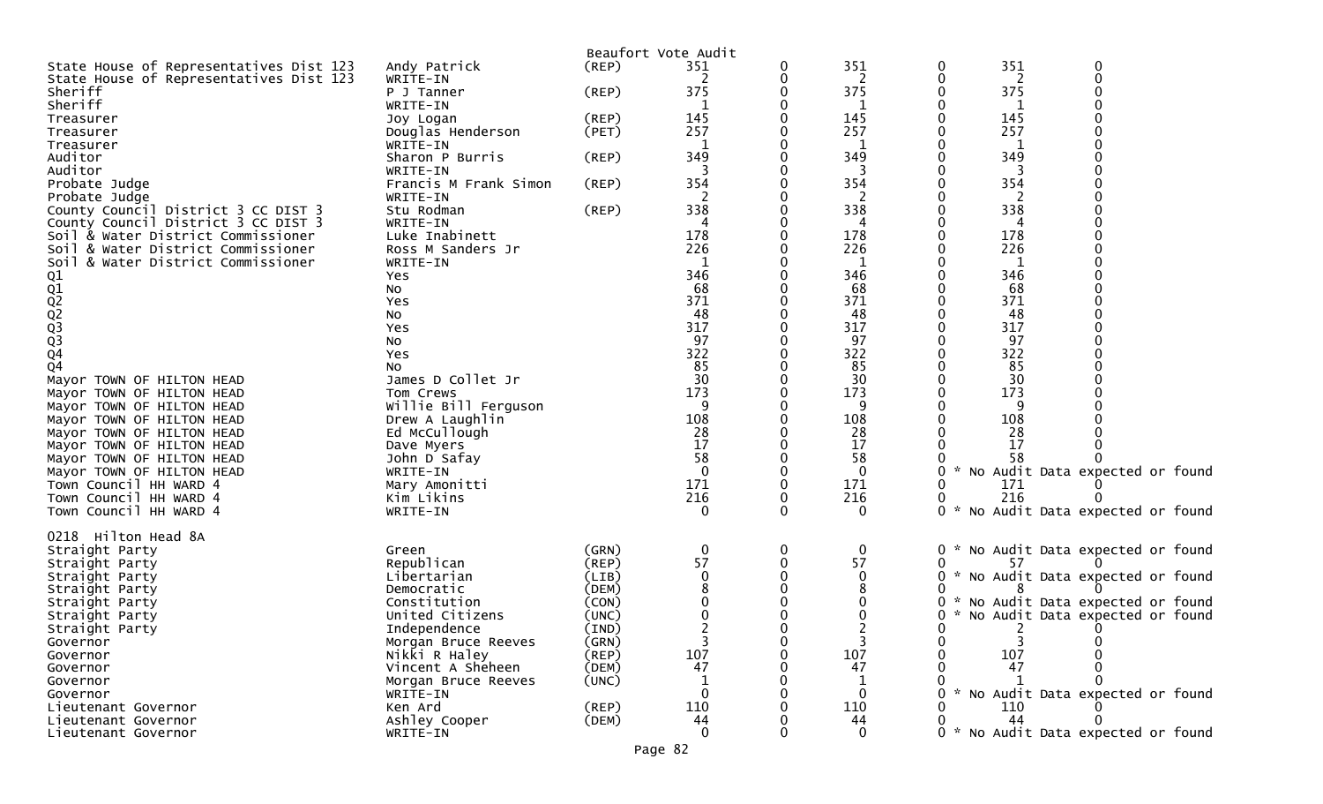|                                                        |                               |                      | Beaufort Vote Audit |   |                   |               |            |                                     |  |
|--------------------------------------------------------|-------------------------------|----------------------|---------------------|---|-------------------|---------------|------------|-------------------------------------|--|
| State House of Representatives Dist 123                | Andy Patrick                  | $($ REP $)$          | 351                 | 0 | 351               | 0             | 351        | 0                                   |  |
| State House of Representatives Dist 123                | WRITE-IN                      |                      | 2                   |   | 2                 | 0             | 2          | 0                                   |  |
| Sheriff                                                | P J Tanner                    | $($ REP $)$          | 375                 |   | 375               |               | 375        |                                     |  |
| Sheriff                                                | WRITE-IN                      |                      |                     |   |                   |               |            |                                     |  |
| Treasurer<br>Treasurer                                 | Joy Logan                     | $($ REP $)$<br>(PET) | 145<br>257          |   | 145<br>257        |               | 145<br>257 |                                     |  |
| Treasurer                                              | Douglas Henderson<br>WRITE-IN |                      |                     |   | 1                 |               |            |                                     |  |
| Auditor                                                | Sharon P Burris               | $($ REP $)$          | 349                 |   | 349               |               | 349        |                                     |  |
| Auditor                                                | WRITE-IN                      |                      |                     |   |                   |               |            |                                     |  |
| Probate Judge                                          | Francis M Frank Simon         | $($ REP $)$          | 354                 |   | 354               |               | 354        |                                     |  |
| Probate Judge                                          | WRITE-IN                      |                      | 2                   |   | 2                 |               | 2          |                                     |  |
| County Council District 3 CC DIST 3                    | Stu Rodman                    | $($ REP $)$          | 338                 |   | 338               |               | 338        |                                     |  |
| County Council District 3 CC DIST 3                    | WRITE-IN                      |                      |                     |   |                   |               |            |                                     |  |
| Soil & Water District Commissioner                     | Luke Inabinett                |                      | 178                 |   | 178               |               | 178        |                                     |  |
| Soil & Water District Commissioner                     | Ross M Sanders Jr             |                      | 226                 |   | 226               |               | 226        |                                     |  |
| Soil & Water District Commissioner                     | WRITE-IN                      |                      | 346                 |   | 1                 |               | -1         |                                     |  |
| Q1                                                     | Yes<br>No                     |                      | 68                  |   | 346<br>68         |               | 346<br>68  |                                     |  |
|                                                        | Yes                           |                      | 371                 |   | 371               |               | 371        |                                     |  |
| 01<br>02<br>02<br>03<br>03                             | No                            |                      | 48                  |   | 48                |               | 48         |                                     |  |
|                                                        | Yes                           |                      | 317                 |   | 317               |               | 317        |                                     |  |
|                                                        | No                            |                      | 97                  |   | 97                |               | 97         |                                     |  |
| $\frac{Q4}{Q4}$                                        | Yes                           |                      | 322                 |   | 322               |               | 322        |                                     |  |
|                                                        | No                            |                      | 85                  |   | 85                |               | 85         |                                     |  |
| Mayor TOWN OF HILTON HEAD                              | James D Collet Jr             |                      | 30                  |   | 30                |               | 30         |                                     |  |
| Mayor TOWN OF HILTON HEAD                              | Tom Crews                     |                      | 173                 |   | 173               |               | 173        |                                     |  |
| Mayor TOWN OF HILTON HEAD                              | Willie Bill Ferguson          |                      |                     |   | 9                 |               | 9          |                                     |  |
| Mayor TOWN OF HILTON HEAD                              | Drew A Laughlin               |                      | 108                 |   | 108               |               | 108        |                                     |  |
| Mayor TOWN OF HILTON HEAD                              | Ed McCullough<br>Dave Myers   |                      | 28<br>17            |   | 28<br>17          |               | 28<br>17   |                                     |  |
| Mayor TOWN OF HILTON HEAD<br>Mayor TOWN OF HILTON HEAD | John D Safay                  |                      | 58                  |   | 58                |               | 58         |                                     |  |
| Mayor TOWN OF HILTON HEAD                              | WRITE-IN                      |                      | $\mathbf 0$         |   | $\mathbf 0$       | $\mathcal{H}$ |            | No Audit Data expected or found     |  |
| Town Council HH WARD 4                                 | Mary Amonitti                 |                      | 171                 |   | 171               |               | 171        |                                     |  |
| Town Council HH WARD 4                                 | Kim Likins                    |                      | 216                 |   | 216               |               | 216        |                                     |  |
| Town Council HH WARD 4                                 | WRITE-IN                      |                      | 0                   | 0 | $\mathbf 0$       | $0 *$         |            | No Audit Data expected or found     |  |
|                                                        |                               |                      |                     |   |                   |               |            |                                     |  |
| 0218 Hilton Head 8A                                    |                               |                      |                     |   |                   |               |            |                                     |  |
| Straight Party                                         | Green                         | (GRN)                | $\mathbf 0$         | 0 | 0                 | 0             |            | * No Audit Data expected or found   |  |
| Straight Party                                         | Republican<br>Libertarian     | $($ REP $)$<br>(LIB) | 57<br>$\Omega$      | 0 | 57<br>$\mathbf 0$ | 0             | 57         | 0 * No Audit Data expected or found |  |
| Straight Party<br>Straight Party                       | Democratic                    | (DEM)                |                     |   | 8                 |               |            |                                     |  |
| Straight Party                                         | Constitution                  | (CON)                |                     |   | 0                 | 0             |            | * No Audit Data expected or found   |  |
| Straight Party                                         | United Citizens               | (UNC)                |                     |   | 0                 | 0             |            | No Audit Data expected or found     |  |
| Straight Party                                         | Independence                  | (IND)                |                     | 0 | 2                 | 0             | 2          | 0                                   |  |
| Governor                                               | Morgan Bruce Reeves           | (GRN)                |                     | U |                   | 0             |            |                                     |  |
| Governor                                               | Nikki R Haley                 | (REP)                | 107                 |   | 107               |               | 107        |                                     |  |
| Governor                                               | Vincent A Sheheen             | (DEM)                | 47                  |   | 47                |               | 47         |                                     |  |
| Governor                                               | Morgan Bruce Reeves           | (UNC)                |                     |   |                   |               |            |                                     |  |
| Governor                                               | WRITE-IN                      |                      | $\Omega$            |   | $\mathbf 0$       |               |            | * No Audit Data expected or found   |  |
| Lieutenant Governor                                    | Ken Ard                       | $($ REP $)$          | 110<br>44           |   | 110<br>44         |               | 110<br>44  |                                     |  |
| Lieutenant Governor<br>Lieutenant Governor             | Ashley Cooper<br>WRITE-IN     | (DEM)                | $\Omega$            |   | $\Omega$          |               |            | 0 * No Audit Data expected or found |  |
|                                                        |                               |                      |                     |   |                   |               |            |                                     |  |
|                                                        |                               |                      | Page 82             |   |                   |               |            |                                     |  |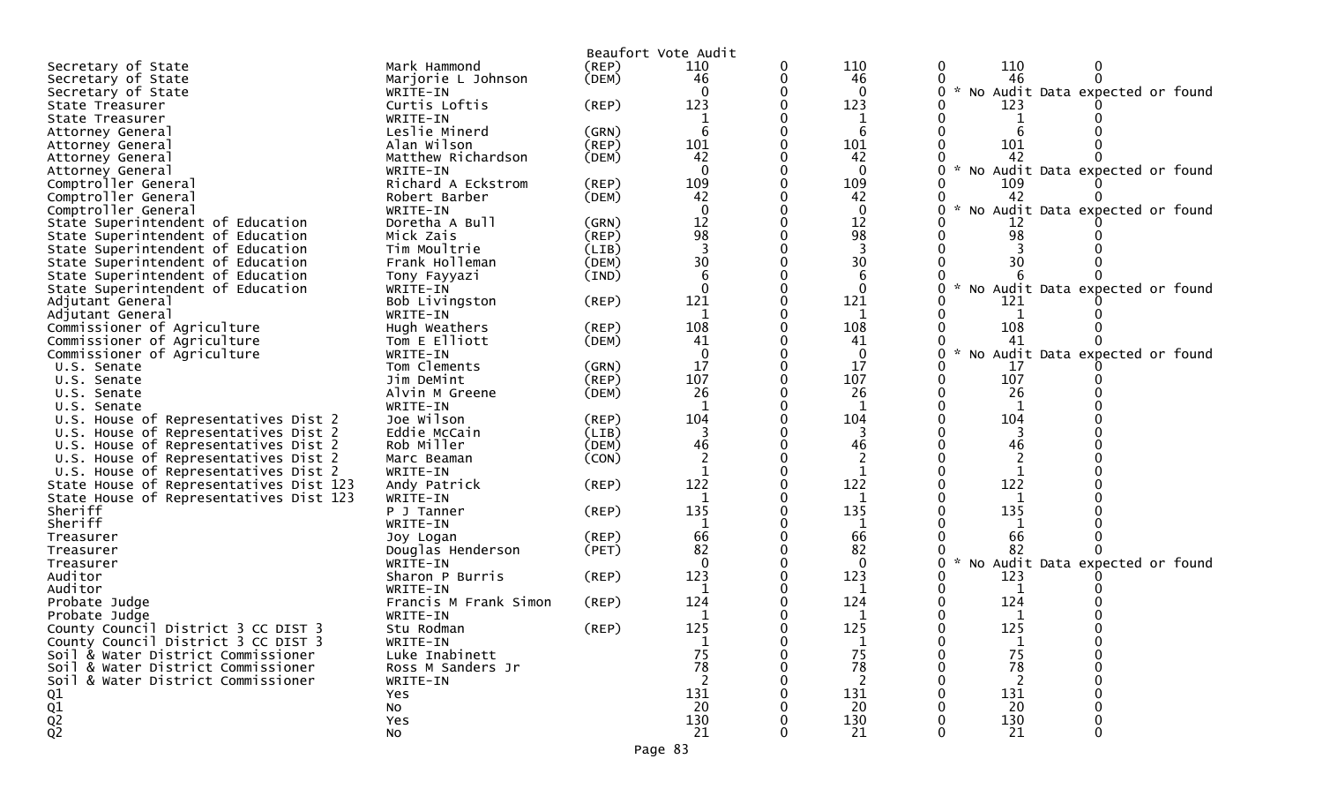|                                                                          |                       |             | Beaufort Vote Audit |   |              |   |               |                                   |  |
|--------------------------------------------------------------------------|-----------------------|-------------|---------------------|---|--------------|---|---------------|-----------------------------------|--|
| Secretary of State                                                       | Mark Hammond          | (REP)       | 110                 | 0 | 110          | 0 | 110           |                                   |  |
| Secretary of State                                                       | Marjorie L Johnson    | (DEM)       | 46                  | 0 | 46           |   | 46            |                                   |  |
| Secretary of State                                                       | WRITE-IN              |             | $\Omega$            |   | $\Omega$     |   |               | * No Audit Data expected or found |  |
| State Treasurer                                                          | Curtis Loftis         | (REP)       | 123                 |   | 123          |   | 123           |                                   |  |
| State Treasurer                                                          | WRITE-IN              |             |                     |   |              |   |               |                                   |  |
| Attorney General                                                         | Leslie Minerd         | (GRN)       | 6                   |   | 6            |   |               |                                   |  |
| Attorney General                                                         | Alan Wilson           | (REP)       | 101                 |   | 101          |   | 101           |                                   |  |
| Attorney General                                                         | Matthew Richardson    | (DEM)       | 42                  |   | 42           |   | 42            |                                   |  |
| Attorney General                                                         | WRITE-IN              |             | $\Omega$            |   | $\mathbf{0}$ |   |               | No Audit Data expected or found   |  |
| Comptroller General                                                      | Richard A Eckstrom    | (REP)       | 109                 |   | 109          |   | 109           |                                   |  |
| Comptroller General                                                      | Robert Barber         | (DEM)       | 42                  |   | 42           |   | 42            |                                   |  |
| Comptroller General                                                      | WRITE-IN              |             | $\Omega$            |   | $\mathbf{0}$ |   |               | No Audit Data expected or found   |  |
| State Superintendent of Education                                        | Doretha A Bull        | (GRN)       | 12                  |   | 12           |   | 12            |                                   |  |
| State Superintendent of Education                                        | Mick Zais             | (REP)       | 98                  |   | 98           |   | 98            |                                   |  |
| State Superintendent of Education                                        | Tim Moultrie          | (LIB)       |                     |   |              |   |               |                                   |  |
| State Superintendent of Education                                        | Frank Holleman        | (DEM)       | 30                  |   | 30           |   | 30            |                                   |  |
| State Superintendent of Education                                        | Tony Fayyazi          | (IND)       | 6                   |   | 6            |   |               |                                   |  |
| State Superintendent of Education                                        | WRITE-IN              |             | $\Omega$            |   | $\Omega$     |   |               | No Audit Data expected or found   |  |
| Adjutant General                                                         | Bob Livingston        | (REP)       | 121                 |   | 121          |   | 121           |                                   |  |
| Adjutant General                                                         | WRITE-IN              |             | 1                   |   | 1            |   | 1             |                                   |  |
| Commissioner of Agriculture                                              | Hugh Weathers         | (REP)       | 108                 |   | 108          |   | 108           |                                   |  |
| Commissioner of Agriculture                                              | Tom E Elliott         | (DEM)       | 41                  |   | 41           |   | 41            |                                   |  |
| Commissioner of Agriculture                                              | WRITE-IN              |             | $\mathbf{0}$        |   | $\mathbf 0$  |   | $\mathcal{H}$ | No Audit Data expected or found   |  |
| U.S. Senate                                                              | Tom Clements          | (GRN)       | 17                  |   | 17           |   | 17            |                                   |  |
| U.S. Senate                                                              | Jim DeMint            | (REP)       | 107                 |   | 107          |   | 107           |                                   |  |
| U.S. Senate                                                              | Alvin M Greene        | (DEM)       | 26                  |   | 26           |   | 26            |                                   |  |
| U.S. Senate                                                              | WRITE-IN              |             |                     |   |              |   |               |                                   |  |
| U.S. House of Representatives Dist 2                                     | Joe Wilson            | $($ REP $)$ | 104                 |   | 104          |   | 104           |                                   |  |
| U.S. House of Representatives Dist 2                                     | Eddie McCain          | (LIB)       | 3                   |   |              |   |               |                                   |  |
| U.S. House of Representatives Dist 2                                     | Rob Miller            | (DEM)       | 46                  |   | 46           |   | 46            |                                   |  |
| U.S. House of Representatives Dist 2                                     | Marc Beaman           | (CON)       | 2                   |   |              |   | 2             |                                   |  |
| U.S. House of Representatives Dist 2                                     | WRITE-IN              |             | 1                   |   | 1            |   | 1             |                                   |  |
| State House of Representatives Dist 123                                  | Andy Patrick          | (REP)       | 122                 |   | 122          |   | 122           |                                   |  |
| State House of Representatives Dist 123                                  | WRITE-IN              |             | 1                   |   | 1            |   | 1             |                                   |  |
| Sheriff                                                                  | P J Tanner            | (REP)       | 135                 |   | 135          |   | 135           |                                   |  |
| Sheriff                                                                  | WRITE-IN              |             |                     |   |              |   |               |                                   |  |
| Treasurer                                                                | Joy Logan             | $($ REP $)$ | 66                  |   | 66           |   | 66            |                                   |  |
| Treasurer                                                                | Douglas Henderson     | (PET)       | 82                  |   | 82           |   | 82            |                                   |  |
| Treasurer                                                                | WRITE-IN              |             | $\Omega$            |   | $\Omega$     |   |               | No Audit Data expected or found   |  |
| Auditor                                                                  | Sharon P Burris       | (REP)       | 123                 |   | 123          |   | 123           |                                   |  |
| Auditor                                                                  | WRITE-IN              |             | -1                  |   | 1            |   | 1             |                                   |  |
| Probate Judge                                                            | Francis M Frank Simon | (REP)       | 124                 |   | 124          |   | 124           |                                   |  |
| Probate Judge                                                            | WRITE-IN              |             | -1                  |   | 1            |   | 1             |                                   |  |
| County Council District 3 CC DIST 3                                      | Stu Rodman            | $($ REP $)$ | 125                 |   | 125          |   | 125           |                                   |  |
| County Council District 3 CC DIST 3                                      | WRITE-IN              |             | 1                   |   |              |   |               |                                   |  |
| Soil & Water District Commissioner<br>Soil & Water District Commissioner | Luke Inabinett        |             | 75<br>78            | 0 | 75<br>78     |   | 75<br>78      |                                   |  |
|                                                                          | Ross M Sanders Jr     |             |                     |   |              |   |               |                                   |  |
| Soil & Water District Commissioner                                       | WRITE-IN<br>Yes       |             | 131                 |   | 131          |   | 131           |                                   |  |
| Q1                                                                       | No                    |             | 20                  |   | 20           |   | 20            |                                   |  |
| $\frac{Q1}{Q2}$                                                          | Yes                   |             | 130                 |   | 130          |   | 130           |                                   |  |
|                                                                          | No                    |             | 21                  |   | 21           |   | 21            |                                   |  |
|                                                                          |                       |             |                     |   |              |   |               |                                   |  |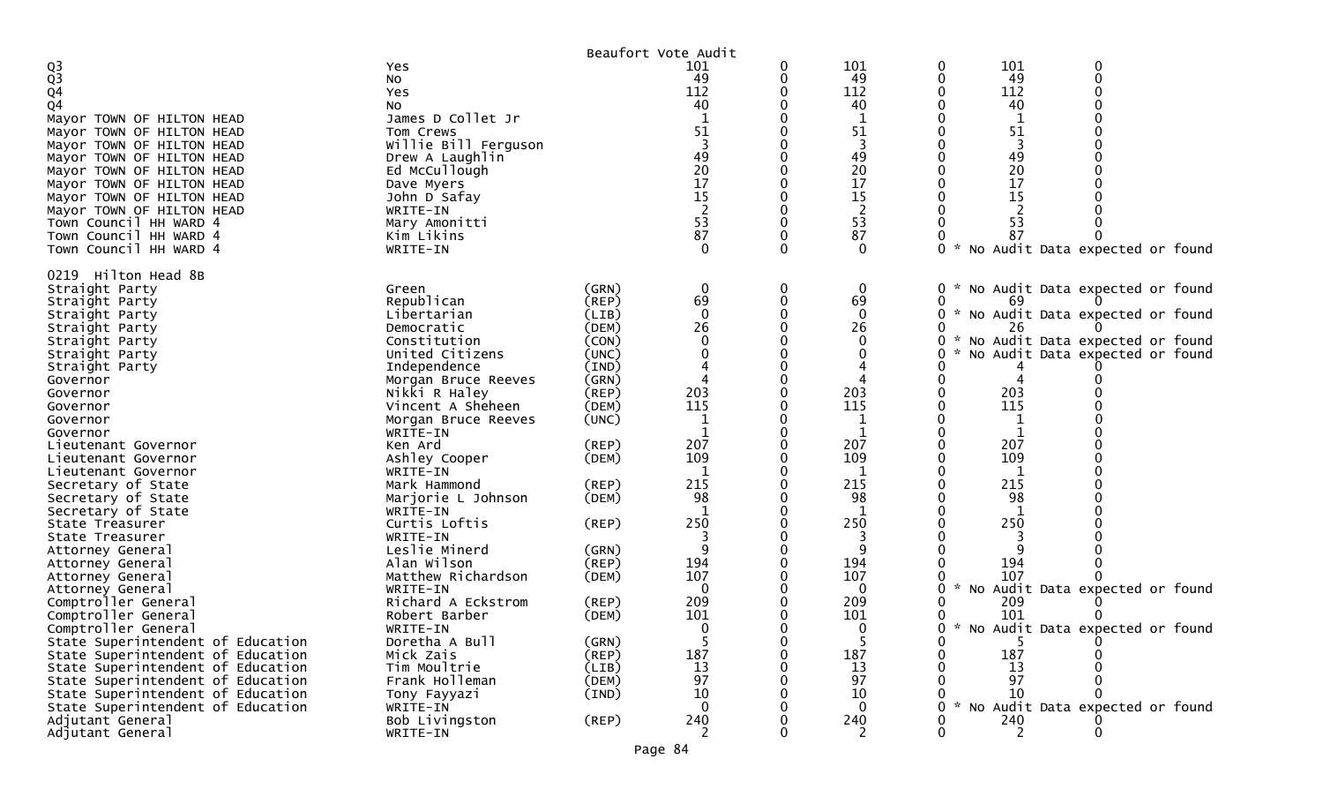|                                      |                           |             | Beaufort Vote Audit |   |                |                                                  |  |
|--------------------------------------|---------------------------|-------------|---------------------|---|----------------|--------------------------------------------------|--|
| $\frac{Q3}{Q3}$                      | Yes                       |             | 101                 | 0 | 101            | 101<br>0                                         |  |
|                                      | No                        |             | 49                  |   | 49             | 49<br>0                                          |  |
| $\overline{Q}4$                      | Yes                       |             | 112                 |   | 112            | 112                                              |  |
| Q <sub>4</sub>                       | No                        |             | 40                  |   | 40             | 40                                               |  |
| Mayor TOWN OF HILTON HEAD            | James D Collet Jr         |             |                     |   | 1              | 1                                                |  |
| Mayor TOWN OF HILTON HEAD            | Tom Crews                 |             | 51                  |   | 51             | 51                                               |  |
| Mayor TOWN OF HILTON HEAD            | Willie Bill Ferguson      |             | $\overline{3}$      |   | 3              | 3                                                |  |
| Mayor TOWN OF HILTON HEAD            | Drew A Laughlin           |             | 49                  |   | 49             | 49                                               |  |
| Mayor TOWN OF HILTON HEAD            | Ed McCullough             |             | 20                  |   | 20             | 20                                               |  |
| Mayor TOWN OF HILTON HEAD            | Dave Myers                |             | $\overline{17}$     |   | 17             | 17                                               |  |
| Mayor TOWN OF HILTON HEAD            | John D Safay              |             | 15                  |   | 15             | 15                                               |  |
| Mayor TOWN OF HILTON HEAD            | WRITE-IN                  |             | 53                  |   | $\overline{2}$ |                                                  |  |
| Town Council HH WARD 4               | Mary Amonitti             |             | 87                  |   | 53             | 53                                               |  |
| Town Council HH WARD 4               | Kim Likins                |             |                     |   | 87             | 87<br>$\sim$                                     |  |
| Town Council HH WARD 4               | WRITE-IN                  |             |                     |   | $\Omega$       | No Audit Data expected or found<br>0             |  |
| 0219 Hilton Head 8B                  |                           |             |                     |   |                |                                                  |  |
| Straight Party                       | Green                     | (GRN)       | 0                   | 0 | 0              | No Audit Data expected or found<br>0             |  |
| Straight Party                       | Republican                | (REP)       | 69                  |   | 69             | 69                                               |  |
| Straight Party                       | Libertarian               | (LIB)       | $\Omega$            |   | $\mathbf{0}$   | No Audit Data expected or found<br>W.<br>0       |  |
| Straight Party                       | Democratic                | (DEM)       | 26                  |   | 26             | 26                                               |  |
| Straight Party                       | Constitution              | (CON)       |                     |   | $\Omega$       | * No Audit Data expected or found<br>0           |  |
| Straight Party                       | United Citizens           | (UNC)       |                     |   |                | No Audit Data expected or found                  |  |
| Straight Party                       | Independence              | (IND)       |                     |   |                |                                                  |  |
| Governor                             | Morgan Bruce Reeves       | (GRN)       |                     |   |                |                                                  |  |
| Governor                             | Nikki R Haley             | $($ REP $)$ | 203                 |   | 203            | 203                                              |  |
| Governor                             | Vincent A Sheheen         | (DEM)       | 115                 |   | 115            | 115                                              |  |
| Governor                             | Morgan Bruce Reeves       | (UNC)       |                     |   | 1              | 1                                                |  |
| Governor                             | WRITE-IN                  |             |                     |   | 1              | 1                                                |  |
| Lieutenant Governor                  | Ken Ard                   | $($ REP $)$ | 207                 |   | 207            | 207                                              |  |
| Lieutenant Governor                  | Ashley Cooper             | (DEM)       | 109                 |   | 109            | 109                                              |  |
| Lieutenant Governor                  | WRITE-IN                  |             |                     |   | 1              |                                                  |  |
| Secretary of State                   | Mark Hammond              | $($ REP $)$ | 215                 |   | 215            | 215                                              |  |
| Secretary of State                   | Marjorie L Johnson        | (DEM)       | 98                  |   | 98             | 98                                               |  |
| Secretary of State                   | WRITE-IN                  |             |                     |   | 1              | -1                                               |  |
| State Treasurer                      | Curtis Loftis             | $($ REP $)$ | 250                 |   | 250            | 250                                              |  |
| State Treasurer                      | WRITE-IN<br>Leslie Minerd | (GRN)       |                     |   | 3<br>9         |                                                  |  |
| Attorney General<br>Attorney General | Alan Wilson               | $($ REP $)$ | 194                 |   | 194            | 194                                              |  |
| Attorney General                     | Matthew Richardson        | (DEM)       | 107                 |   | 107            | 107                                              |  |
| Attorney General                     | WRITE-IN                  |             | $\Omega$            |   | 0              | No Audit Data expected or found<br>$\mathcal{H}$ |  |
| Comptroller General                  | Richard A Eckstrom        | (REP)       | 209                 |   | 209            | 209                                              |  |
| Comptroller General                  | Robert Barber             | (DEM)       | 101                 |   | 101            | 101                                              |  |
| Comptroller General                  | WRITE-IN                  |             | 0                   |   | $\mathbf 0$    | 0<br>$\sim$<br>No Audit Data expected or found   |  |
| State Superintendent of Education    | Doretha A Bull            | (GRN)       | 5                   |   |                |                                                  |  |
| State Superintendent of Education    | Mick Zais                 | (REP)       | 187                 |   | 187            | 187                                              |  |
| State Superintendent of Education    | Tim Moultrie              | (LIB)       | 13                  |   | 13             | 13                                               |  |
| State Superintendent of Education    | Frank Holleman            | (DEM)       | 97                  |   | 97             | 97                                               |  |
| State Superintendent of Education    | Tony Fayyazi              | (IND)       | 10                  |   | 10             | 10                                               |  |
| State Superintendent of Education    | WRITE-IN                  |             | $\Omega$            |   | $\mathbf 0$    | No Audit Data expected or found                  |  |
| Adjutant General                     | Bob Livingston            | (REP)       | 240                 |   | 240            | 240                                              |  |
| Adjutant General                     | WRITE-IN                  |             | $\overline{2}$      |   |                | 2                                                |  |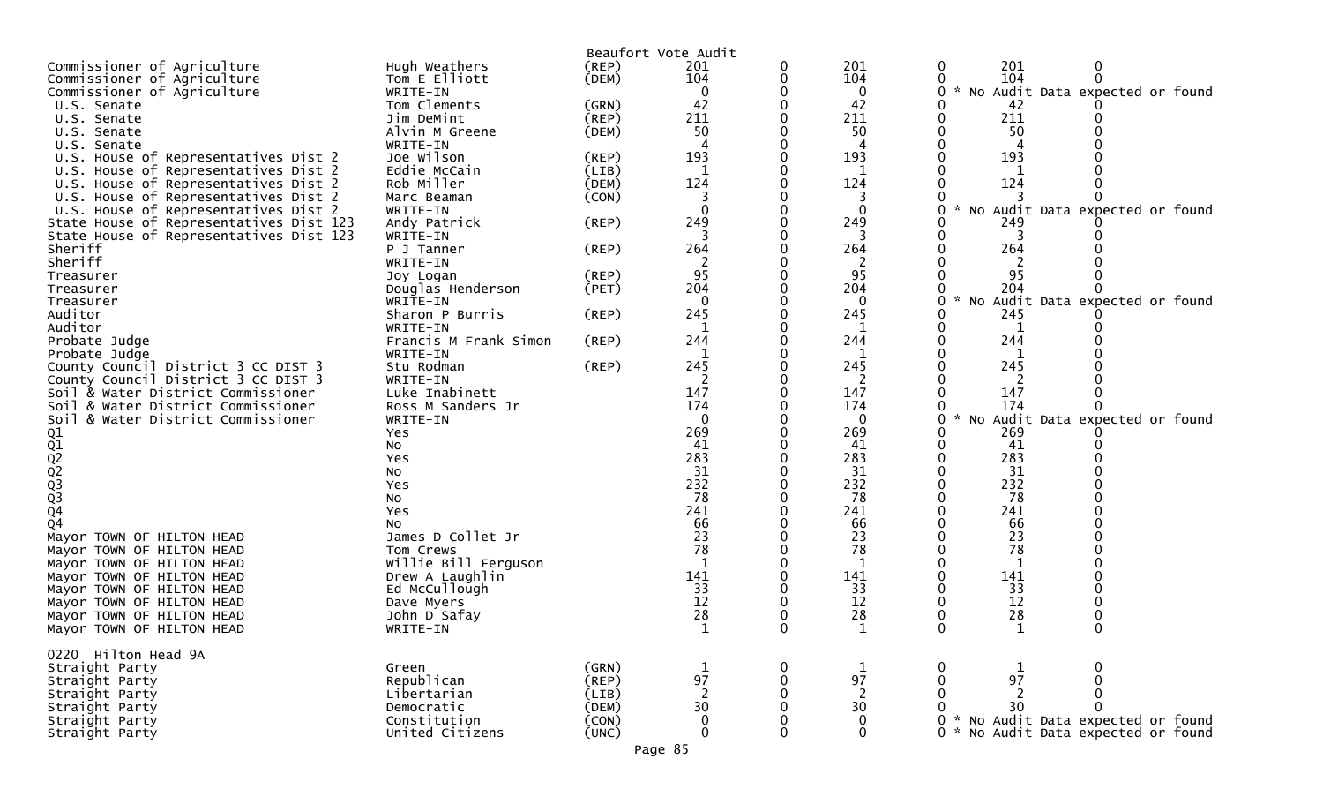|                                                                                    |                            |                | Beaufort Vote Audit |   |                   |                                                          |
|------------------------------------------------------------------------------------|----------------------------|----------------|---------------------|---|-------------------|----------------------------------------------------------|
| Commissioner of Agriculture                                                        | Hugh Weathers              | (REP)          | 201                 |   | 201               | 201<br>0<br>0                                            |
| Commissioner of Agriculture                                                        | Tom E Elliott              | (DEM)          | 104                 |   | 104               | 104<br>$\Omega$<br>$\sim$                                |
| Commissioner of Agriculture<br>U.S. Senate                                         | WRITE-IN<br>Tom Clements   | (GRN)          | $\Omega$<br>42      |   | 0<br>42           | No Audit Data expected or found<br>0<br>42               |
| U.S. Senate                                                                        | Jim DeMint                 | (REP)          | 211                 |   | 211               | 211                                                      |
| U.S. Senate                                                                        | Alvin M Greene             | (DEM)          | 50                  |   | 50                | 50                                                       |
| U.S. Senate                                                                        | WRITE-IN                   |                |                     |   |                   |                                                          |
| U.S. House of Representatives Dist 2                                               | Joe Wilson                 | (REP)          | 193                 |   | 193               | 193                                                      |
| U.S. House of Representatives Dist 2                                               | Eddie McCain               | (LIB)          | 1                   |   | 1                 |                                                          |
| U.S. House of Representatives Dist 2                                               | Rob Miller                 | (DEM)          | 124                 |   | 124               | 124                                                      |
| U.S. House of Representatives Dist 2                                               | Marc Beaman                | (CON)          | 3                   |   | 3                 |                                                          |
| U.S. House of Representatives Dist 2                                               | WRITE-IN                   |                | $\Omega$            |   | $\Omega$          | $\sim$<br>No Audit Data expected or found                |
| State House of Representatives Dist 123<br>State House of Representatives Dist 123 | Andy Patrick<br>WRITE-IN   | (REP)          | 249<br>3            |   | 249<br>3          | 249<br>3                                                 |
| Sheriff                                                                            | P J Tanner                 | (REP)          | 264                 |   | 264               | 264                                                      |
| Sheriff                                                                            | WRITE-IN                   |                |                     |   | 2                 |                                                          |
| Treasurer                                                                          | Joy Logan                  | (REP)          | 95                  |   | 95                | 95                                                       |
| Treasurer                                                                          | Douglas Henderson          | (PET)          | 204                 |   | 204               | 204                                                      |
| Treasurer                                                                          | WRITE-IN                   |                | $\Omega$            |   | $\Omega$          | $\sim$<br>Audit Data expected or found<br>U<br>NO        |
| Auditor                                                                            | Sharon P Burris            | (REP)          | 245                 |   | 245               | 245                                                      |
| Auditor                                                                            | WRITE-IN                   |                |                     |   | 1                 | 1                                                        |
| Probate Judge                                                                      | Francis M Frank Simon      | (REP)          | 244                 |   | 244               | 244                                                      |
| Probate Judge<br>County Council District 3 CC DIST 3                               | WRITE-IN<br>Stu Rodman     | (REP)          | 245                 |   | 1<br>245          | 245                                                      |
| County Council District 3 CC DIST 3                                                | WRITE-IN                   |                | 2                   |   | 2                 | 2                                                        |
| Soil & Water District Commissioner                                                 | Luke Inabinett             |                | 147                 |   | 147               | 147                                                      |
| Soil & Water District Commissioner                                                 | Ross M Sanders Jr          |                | 174                 |   | 174               | 174                                                      |
| Soil & Water District Commissioner                                                 | WRITE-IN                   |                | $\Omega$            |   | $\Omega$          | $\sim$<br>Audit Data expected or found<br>0<br><b>NO</b> |
| Q1                                                                                 | Yes                        |                | 269                 |   | 269               | 269                                                      |
| Q1<br>Q2<br>Q3<br>Q3<br>Q4                                                         | No                         |                | 41                  |   | 41                | 41                                                       |
|                                                                                    | Yes                        |                | 283                 |   | 283               | 283                                                      |
|                                                                                    | No<br>Yes                  |                | 31<br>232           |   | 31<br>232         | 31<br>232                                                |
|                                                                                    | No                         |                | 78                  |   | 78                | 78                                                       |
|                                                                                    | Yes                        |                | 241                 |   | 241               | 241                                                      |
| Q <sub>4</sub>                                                                     | No                         |                | 66                  |   | 66                | 66                                                       |
| Mayor TOWN OF HILTON HEAD                                                          | James D Collet Jr          |                | 23                  |   | 23                | 23                                                       |
| Mayor TOWN OF HILTON HEAD                                                          | Tom Crews                  |                | 78                  |   | 78                | 78                                                       |
| Mayor TOWN OF HILTON HEAD                                                          | Willie Bill Ferguson       |                |                     |   |                   |                                                          |
| Mayor TOWN OF HILTON HEAD                                                          | Drew A Laughlin            |                | 141                 |   | 141               | 141                                                      |
| Mayor TOWN OF HILTON HEAD                                                          | Ed McCullough              |                | 33<br>12            |   | 33<br>12          | 33<br>12                                                 |
| Mayor TOWN OF HILTON HEAD<br>Mayor TOWN OF HILTON HEAD                             | Dave Myers<br>John D Safay |                | 28                  |   | 28                | 28                                                       |
| Mayor TOWN OF HILTON HEAD                                                          | WRITE-IN                   |                | $\mathbf{1}$        |   |                   |                                                          |
|                                                                                    |                            |                |                     |   |                   |                                                          |
| 0220 Hilton Head 9A                                                                |                            |                |                     |   |                   |                                                          |
| Straight Party                                                                     | Green                      | (GRN)          | $\mathbf 1$         | 0 | $\mathbf{1}$      | 0<br>1                                                   |
| Straight Party                                                                     | Republican                 | (REP)          | 97                  |   | 97                | 97                                                       |
| Straight Party                                                                     | Libertarian                | (LIB)          | $\overline{2}$      |   | $\overline{2}$    | $\overline{2}$                                           |
| Straight Party<br>Straight Party                                                   | Democratic<br>Constitution | (DEM)<br>(CON) | 30<br>$\mathbf{0}$  |   | 30<br>$\mathbf 0$ | 30<br>* No Audit Data expected or found                  |
| Straight Party                                                                     | United Citizens            | (UNC)          | $\mathbf 0$         |   | $\mathbf 0$       | * No Audit Data expected or found<br>0                   |
|                                                                                    |                            |                |                     |   |                   |                                                          |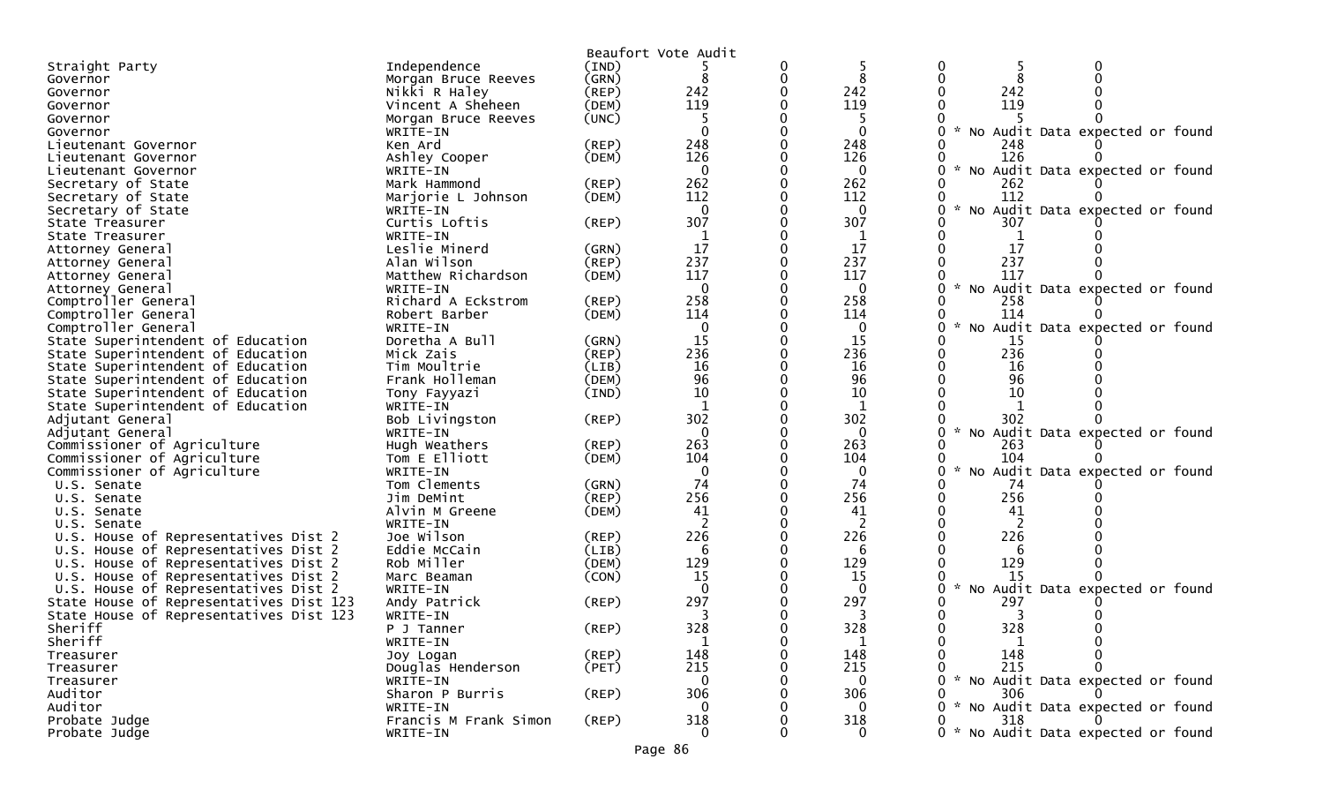|                                         |                       |             | Beaufort Vote Audit |   |              |                                                  |
|-----------------------------------------|-----------------------|-------------|---------------------|---|--------------|--------------------------------------------------|
| Straight Party                          | Independence          | (IND)       |                     | 0 |              | 0                                                |
| Governor                                | Morgan Bruce Reeves   | (GRN)       | 8                   | 0 | 8            | 0                                                |
| Governor                                | Nikki R Haley         | $($ REP $)$ | 242                 |   | 242          | 242                                              |
| Governor                                | Vincent A Sheheen     | (DEM)       | 119                 |   | 119          | 119                                              |
| Governor                                | Morgan Bruce Reeves   | (UNC)       | -5                  |   |              |                                                  |
| Governor                                | WRITE-IN              |             |                     |   | $\Omega$     | No Audit Data expected or found<br>×.            |
| Lieutenant Governor                     | Ken Ard               | $($ REP $)$ | 248                 |   | 248          | 248                                              |
| Lieutenant Governor                     | Ashley Cooper         | (DEM)       | 126                 |   | 126          | 126                                              |
| Lieutenant Governor                     | WRITE-IN              |             | $\Omega$            |   | $\mathbf{0}$ | No Audit Data expected or found                  |
| Secretary of State                      | Mark Hammond          | (REP)       | 262                 |   | 262          | 262                                              |
| Secretary of State                      | Marjorie L Johnson    | (DEM)       | 112                 |   | 112          | 112                                              |
| Secretary of State                      | WRITE-IN              |             | $\mathbf{0}$        |   | $\Omega$     | No Audit Data expected or found                  |
| State Treasurer                         | Curtis Loftis         | (REP)       | 307                 |   | 307          | 307                                              |
| State Treasurer                         | WRITE-IN              |             | -1                  |   |              |                                                  |
| Attorney General                        | Leslie Minerd         | (GRN)       | 17                  |   | 17           | 17                                               |
| Attorney General                        | Alan Wilson           | $($ REP $)$ | 237                 |   | 237          | 237                                              |
| Attorney General                        | Matthew Richardson    | (DEM)       | 117                 |   | 117          | 117                                              |
| Attorney General                        | WRITE-IN              |             | $\mathbf{0}$        |   | $\mathbf{0}$ | $\mathbf{r}$<br>No Audit Data expected or found  |
| Comptroller General                     | Richard A Eckstrom    | (REP)       | 258                 |   | 258          | 258                                              |
| Comptroller General                     | Robert Barber         | (DEM)       | 114                 |   | 114          | 114                                              |
| Comptroller General                     | WRITE-IN              |             | 0                   |   | $\Omega$     | No Audit Data expected or found                  |
| State Superintendent of Education       | Doretha A Bull        | (GRN)       | 15                  |   | 15           | 15                                               |
| State Superintendent of Education       | Mick Zais             | (REP)       | 236                 |   | 236          | 236                                              |
| State Superintendent of Education       | Tim Moultrie          | (LIB)       | 16                  |   | 16           | 16                                               |
| State Superintendent of Education       | Frank Holleman        | (DEM)       | 96                  |   | 96           | 96                                               |
| State Superintendent of Education       | Tony Fayyazi          | (IND)       | 10                  |   | 10           | 10                                               |
| State Superintendent of Education       | WRITE-IN              |             |                     |   | 1            |                                                  |
| Adjutant General                        | Bob Livingston        | (REP)       | 302                 |   | 302          | 302                                              |
| Adjutant General                        | WRITE-IN              |             | $\mathbf{0}$        |   | $\mathbf 0$  | No Audit Data expected or found                  |
| Commissioner of Agriculture             | Hugh Weathers         | $($ REP $)$ | 263                 |   | 263          | 263                                              |
| Commissioner of Agriculture             | Tom E Elliott         | (DEM)       | 104                 |   | 104          | 104                                              |
| Commissioner of Agriculture             | WRITE-IN              |             | $\mathbf{0}$        |   | $\mathbf 0$  | No Audit Data expected or found                  |
| U.S. Senate                             | Tom Clements          | (GRN)       | 74                  |   | 74           | 74                                               |
| U.S. Senate                             | Jim DeMint            | (REP)       | 256                 |   | 256          | 256                                              |
| U.S. Senate                             | Alvin M Greene        | (DEM)       | 41                  |   | 41           | 41                                               |
| U.S. Senate                             | WRITE-IN              |             |                     |   |              |                                                  |
| U.S. House of Representatives Dist 2    | Joe Wilson            | (REP)       | 226                 |   | 226          | 226                                              |
| U.S. House of Representatives Dist 2    | Eddie McCain          | (LIB)       | 6                   |   | 6            | 6                                                |
| U.S. House of Representatives Dist 2    | Rob Miller            | (DEM)       | 129                 |   | 129          | 129                                              |
| U.S. House of Representatives Dist 2    | Marc Beaman           | (CON)       | 15                  |   | 15           | 15                                               |
| U.S. House of Representatives Dist 2    | WRITE-IN              |             | $\Omega$            |   | $\Omega$     | No Audit Data expected or found                  |
| State House of Representatives Dist 123 | Andy Patrick          | (REP)       | 297                 |   | 297          | 297                                              |
| State House of Representatives Dist 123 | WRITE-IN              |             | 3                   |   | 3            | 3                                                |
| Sheriff                                 | P J Tanner            | $($ REP $)$ | 328                 |   | 328          | 328<br>0                                         |
| Sheriff                                 | WRITE-IN              |             | $\mathbf{1}$        | 0 | 1            | 0                                                |
| Treasurer                               | Joy Logan             | $($ REP $)$ | 148                 | 0 | 148          | 148<br>0                                         |
| Treasurer                               | Douglas Henderson     | (PET)       | 215                 |   | 215          | 215                                              |
| Treasurer                               | WRITE-IN              |             | $\mathbf{0}$        |   | $\mathbf{0}$ | $\mathcal{H}$<br>No Audit Data expected or found |
| Auditor                                 | Sharon P Burris       | (REP)       | 306                 |   | 306          | 306                                              |
| Auditor                                 | WRITE-IN              |             | 0                   |   | 0            | No Audit Data expected or found<br>*             |
| Probate Judge                           | Francis M Frank Simon | (REP)       | 318                 |   | 318          | 318                                              |
| Probate Judge                           | WRITE-IN              |             | $\mathbf{0}$        |   | $\Omega$     | No Audit Data expected or found<br>0             |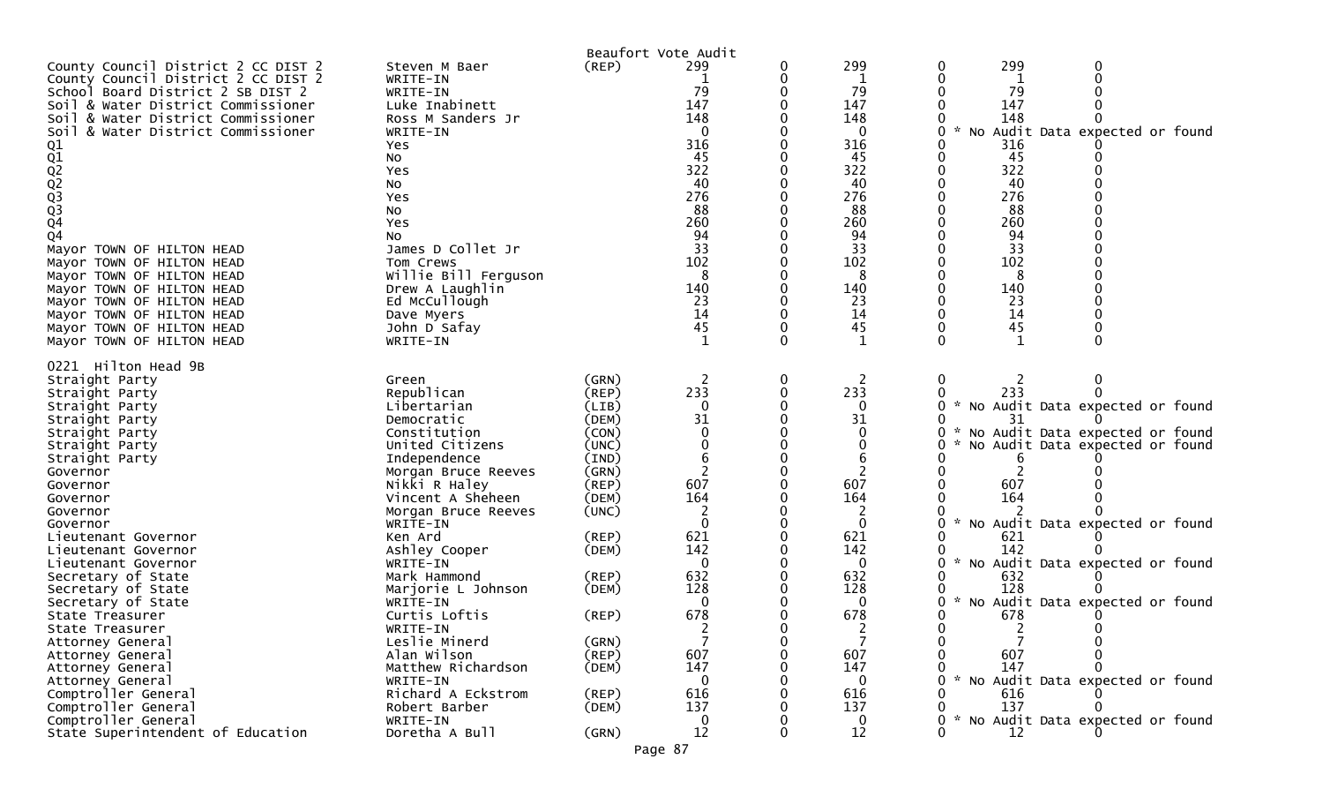|                                        |                            |             | Beaufort Vote Audit |   |              |                                      |
|----------------------------------------|----------------------------|-------------|---------------------|---|--------------|--------------------------------------|
| County Council District 2 CC DIST 2    | Steven M Baer              | (REP)       | 299                 | 0 | 299          | 299                                  |
| County Council District 2 CC DIST 2    | WRITE-IN                   |             |                     |   | 1            |                                      |
| School Board District 2 SB DIST 2      | WRITE-IN                   |             | 79                  |   | 79           | 79                                   |
| Soil & Water District Commissioner     | Luke Inabinett             |             | 147                 |   | 147          | 147                                  |
| & Water District Commissioner<br>Soil  | Ross M Sanders Jr          |             | 148                 |   | 148          | 148                                  |
| Soil & Water District Commissioner     | WRITE-IN                   |             | $\Omega$            |   | 0            | No Audit Data expected or found      |
|                                        | Yes                        |             | 316                 |   | 316          | 316                                  |
|                                        | NO.                        |             | 45                  |   | 45           | 45                                   |
|                                        | Yes                        |             | 322                 |   | 322          | 322                                  |
|                                        | NO                         |             | 40                  |   | 40           | 40                                   |
|                                        | Yes                        |             | 276                 |   | 276          | 276                                  |
| 01<br>02<br>02<br>02<br>03<br>03<br>04 | No                         |             | 88                  |   | 88           | 88                                   |
|                                        | Yes                        |             | 260                 |   | 260          | 260                                  |
| Q4                                     | NO.                        |             | 94                  |   | 94           | 94                                   |
| Mayor TOWN OF HILTON HEAD              | James D Collet Jr          |             | 33                  |   | 33           | 33                                   |
| Mayor TOWN OF HILTON HEAD              | Tom Crews                  |             | 102                 |   | 102          | 102                                  |
| Mayor TOWN OF HILTON HEAD              | Willie Bill Ferguson       |             | 8                   |   | 8            | 8                                    |
| Mayor TOWN OF HILTON HEAD              | Drew A Laughlin            |             | 140                 |   | 140          | 140                                  |
| Mayor TOWN OF HILTON HEAD              | Ed McCullough              |             | 23                  |   | 23           | 23                                   |
| Mayor TOWN OF HILTON HEAD              | Dave Myers                 |             | 14                  |   | 14           | 14                                   |
| Mayor TOWN OF HILTON HEAD              | John D Safay               |             | 45                  |   | 45           | 45                                   |
| Mayor TOWN OF HILTON HEAD              | WRITE-IN                   |             | $\mathbf{1}$        |   | 1            |                                      |
| 0221 Hilton Head 9B                    |                            |             |                     |   |              |                                      |
|                                        |                            | (GRN)       |                     |   |              |                                      |
| Straight Party                         | Green<br>Republican        | (REP)       | 233                 | 0 | 2<br>233     | 0<br>233                             |
| Straight Party                         | Libertarian                | (LIB)       | $\mathbf{0}$        |   | 0            | * No Audit Data expected or found    |
| Straight Party                         |                            | (DEM)       | 31                  |   | 31           | 31                                   |
| Straight Party<br>Straight Party       | Democratic<br>Constitution | (CON)       | $\Omega$            |   | 0            | * No Audit Data expected or found    |
| Straight Party                         | United Citizens            | (UNC)       |                     |   |              | No Audit Data expected or found      |
| Straight Party                         | Independence               | (IND)       | 6                   |   | 6            |                                      |
| Governor                               | Morgan Bruce Reeves        | (GRN)       |                     |   |              |                                      |
| Governor                               | Nikki R Haley              | (REP)       | 607                 |   | 607          | 607                                  |
| Governor                               | Vincent A Sheheen          | (DEM)       | 164                 |   | 164          | 164                                  |
| Governor                               | Morgan Bruce Reeves        | (UNC)       | 2                   |   | 2            |                                      |
| Governor                               | WRITE-IN                   |             | $\mathbf 0$         |   | $\mathbf{0}$ | No Audit Data expected or found<br>* |
| Lieutenant Governor                    | Ken Ard                    | $($ REP $)$ | 621                 |   | 621          | 621                                  |
| Lieutenant Governor                    | Ashley Cooper              | (DEM)       | 142                 |   | 142          | 142                                  |
| Lieutenant Governor                    | WRITE-IN                   |             | $\mathbf{0}$        |   | 0            | * No Audit Data expected or found    |
| Secretary of State                     | Mark Hammond               | (REP)       | 632                 |   | 632          | 632                                  |
| Secretary of State                     | Marjorie L Johnson         | (DEM)       | 128                 |   | 128          | 128                                  |
| Secretary of State                     | WRITE-IN                   |             | $\Omega$            |   | 0            | No Audit Data expected or found      |
| State Treasurer                        | Curtis Loftis              | (REP)       | 678                 |   | 678          | 678                                  |
| State Treasurer                        | WRITE-IN                   |             |                     |   |              | 2                                    |
| Attorney General                       | Leslie Minerd              | (GRN)       |                     | 0 |              |                                      |
| Attorney General                       | Alan Wilson                | (REP)       | 607                 |   | 607          | 607                                  |
| Attorney General                       | Matthew Richardson         | (DEM)       | 147                 |   | 147          | 147                                  |
| Attorney General                       | WRITE-IN                   |             | $\Omega$            |   | ∩            | No Audit Data expected or found      |
| Comptroller General                    | Richard A Eckstrom         | (REP)       | 616                 |   | 616          | 616                                  |
| Comptroller General                    | Robert Barber              | (DEM)       | 137                 |   | 137          | 137                                  |
| Comptroller General                    | WRITE-IN                   |             | 0                   |   | 0            | No Audit Data expected or found      |
| State Superintendent of Education      | Doretha A Bull             | (GRN)       | 12                  | 0 | 12           | 12                                   |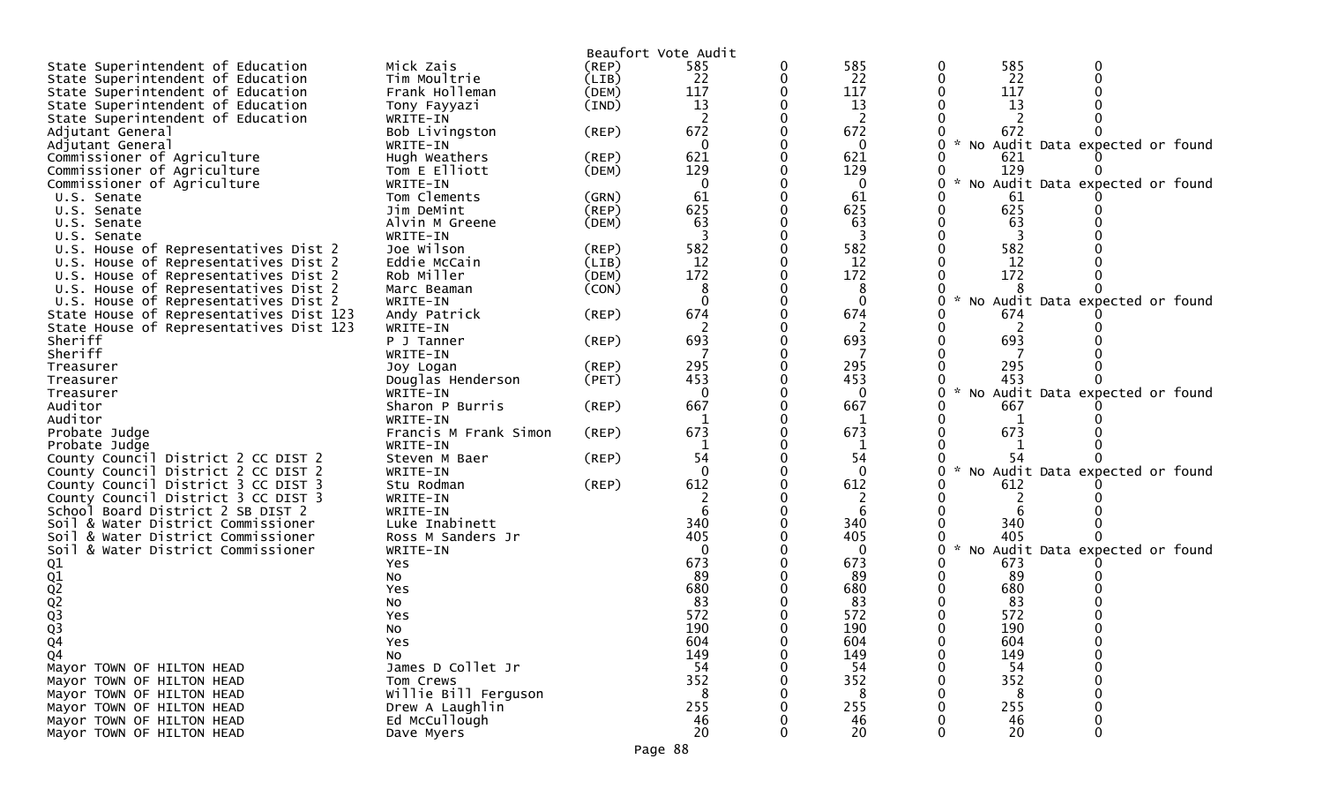| Beaufort Vote Audit<br>585<br>585<br>State Superintendent of Education<br>Mick Zais<br>(REP)<br>585<br>0<br>22<br>22<br>22<br>Tim Moultrie<br>0<br>State Superintendent of Education<br>(LIB)<br>117<br>117<br>117<br>State Superintendent of Education<br>Frank Holleman<br>(DEM)<br>13<br>13<br>13<br>State Superintendent of Education<br>(IND)<br>Tony Fayyazi<br>$\overline{2}$<br>2<br>State Superintendent of Education<br>2<br>WRITE-IN<br>672<br>672<br>672<br>Bob Livingston<br>$($ REP $)$<br>Adjutant General<br>$\mathbf{0}$<br>No Audit Data expected or found<br>WRITE-IN<br>$\Omega$<br>Adjutant General<br>621<br>Commissioner of Agriculture<br>621<br>Hugh Weathers<br>621<br>(REP)<br>129<br>129<br>Commissioner of Agriculture<br>Tom E Elliott<br>129<br>(DEM)<br>No Audit Data expected or found<br>Commissioner of Agriculture<br>WRITE-IN<br>$\mathbf{0}$<br>0<br>61<br>61<br>Tom Clements<br>(GRN)<br>61<br>U.S. Senate<br>625<br>625<br>625<br>Jim DeMint<br>(REP)<br>U.S. Senate<br>63<br>63<br>63<br>Alvin M Greene<br>(DEM)<br>U.S. Senate<br>3<br>3<br>U.S. Senate<br>WRITE-IN |  |
|---------------------------------------------------------------------------------------------------------------------------------------------------------------------------------------------------------------------------------------------------------------------------------------------------------------------------------------------------------------------------------------------------------------------------------------------------------------------------------------------------------------------------------------------------------------------------------------------------------------------------------------------------------------------------------------------------------------------------------------------------------------------------------------------------------------------------------------------------------------------------------------------------------------------------------------------------------------------------------------------------------------------------------------------------------------------------------------------------------------|--|
|                                                                                                                                                                                                                                                                                                                                                                                                                                                                                                                                                                                                                                                                                                                                                                                                                                                                                                                                                                                                                                                                                                               |  |
|                                                                                                                                                                                                                                                                                                                                                                                                                                                                                                                                                                                                                                                                                                                                                                                                                                                                                                                                                                                                                                                                                                               |  |
|                                                                                                                                                                                                                                                                                                                                                                                                                                                                                                                                                                                                                                                                                                                                                                                                                                                                                                                                                                                                                                                                                                               |  |
|                                                                                                                                                                                                                                                                                                                                                                                                                                                                                                                                                                                                                                                                                                                                                                                                                                                                                                                                                                                                                                                                                                               |  |
|                                                                                                                                                                                                                                                                                                                                                                                                                                                                                                                                                                                                                                                                                                                                                                                                                                                                                                                                                                                                                                                                                                               |  |
|                                                                                                                                                                                                                                                                                                                                                                                                                                                                                                                                                                                                                                                                                                                                                                                                                                                                                                                                                                                                                                                                                                               |  |
|                                                                                                                                                                                                                                                                                                                                                                                                                                                                                                                                                                                                                                                                                                                                                                                                                                                                                                                                                                                                                                                                                                               |  |
|                                                                                                                                                                                                                                                                                                                                                                                                                                                                                                                                                                                                                                                                                                                                                                                                                                                                                                                                                                                                                                                                                                               |  |
|                                                                                                                                                                                                                                                                                                                                                                                                                                                                                                                                                                                                                                                                                                                                                                                                                                                                                                                                                                                                                                                                                                               |  |
|                                                                                                                                                                                                                                                                                                                                                                                                                                                                                                                                                                                                                                                                                                                                                                                                                                                                                                                                                                                                                                                                                                               |  |
|                                                                                                                                                                                                                                                                                                                                                                                                                                                                                                                                                                                                                                                                                                                                                                                                                                                                                                                                                                                                                                                                                                               |  |
|                                                                                                                                                                                                                                                                                                                                                                                                                                                                                                                                                                                                                                                                                                                                                                                                                                                                                                                                                                                                                                                                                                               |  |
|                                                                                                                                                                                                                                                                                                                                                                                                                                                                                                                                                                                                                                                                                                                                                                                                                                                                                                                                                                                                                                                                                                               |  |
|                                                                                                                                                                                                                                                                                                                                                                                                                                                                                                                                                                                                                                                                                                                                                                                                                                                                                                                                                                                                                                                                                                               |  |
|                                                                                                                                                                                                                                                                                                                                                                                                                                                                                                                                                                                                                                                                                                                                                                                                                                                                                                                                                                                                                                                                                                               |  |
| 582<br>582<br>U.S. House of Representatives Dist 2<br>Joe Wilson<br>582<br>(REP)                                                                                                                                                                                                                                                                                                                                                                                                                                                                                                                                                                                                                                                                                                                                                                                                                                                                                                                                                                                                                              |  |
| 12<br>12<br>U.S. House of Representatives Dist 2<br>Eddie McCain<br>(LIB)<br>12                                                                                                                                                                                                                                                                                                                                                                                                                                                                                                                                                                                                                                                                                                                                                                                                                                                                                                                                                                                                                               |  |
| 172<br>172<br>172<br>Rob Miller<br>(DEM)<br>U.S. House of Representatives Dist 2                                                                                                                                                                                                                                                                                                                                                                                                                                                                                                                                                                                                                                                                                                                                                                                                                                                                                                                                                                                                                              |  |
| 8<br>U.S. House of Representatives Dist 2<br>Marc Beaman<br>(CON)<br>8                                                                                                                                                                                                                                                                                                                                                                                                                                                                                                                                                                                                                                                                                                                                                                                                                                                                                                                                                                                                                                        |  |
| $\Omega$<br>$\Omega$<br>No Audit Data expected or found<br>U.S. House of Representatives Dist 2<br>WRITE-IN                                                                                                                                                                                                                                                                                                                                                                                                                                                                                                                                                                                                                                                                                                                                                                                                                                                                                                                                                                                                   |  |
| 674<br>674<br>State House of Representatives Dist 123<br>Andy Patrick<br>674<br>(REP)                                                                                                                                                                                                                                                                                                                                                                                                                                                                                                                                                                                                                                                                                                                                                                                                                                                                                                                                                                                                                         |  |
| State House of Representatives Dist 123<br>WRITE-IN                                                                                                                                                                                                                                                                                                                                                                                                                                                                                                                                                                                                                                                                                                                                                                                                                                                                                                                                                                                                                                                           |  |
| 693<br>693<br>693<br>Sheriff<br>(REP)<br>P J Tanner                                                                                                                                                                                                                                                                                                                                                                                                                                                                                                                                                                                                                                                                                                                                                                                                                                                                                                                                                                                                                                                           |  |
| Sheriff<br>WRITE-IN                                                                                                                                                                                                                                                                                                                                                                                                                                                                                                                                                                                                                                                                                                                                                                                                                                                                                                                                                                                                                                                                                           |  |
| 295<br>295<br>295<br>$($ REP $)$<br>Treasurer<br>Joy Logan                                                                                                                                                                                                                                                                                                                                                                                                                                                                                                                                                                                                                                                                                                                                                                                                                                                                                                                                                                                                                                                    |  |
| 453<br>453<br>453<br>Douglas Henderson<br>(PET)<br>Treasurer                                                                                                                                                                                                                                                                                                                                                                                                                                                                                                                                                                                                                                                                                                                                                                                                                                                                                                                                                                                                                                                  |  |
| WRITE-IN<br>$\mathbf{0}$<br>$\mathbf{0}$<br>No Audit Data expected or found<br>Treasurer                                                                                                                                                                                                                                                                                                                                                                                                                                                                                                                                                                                                                                                                                                                                                                                                                                                                                                                                                                                                                      |  |
| 667<br>667<br>Auditor<br>(REP)<br>667<br>Sharon P Burris                                                                                                                                                                                                                                                                                                                                                                                                                                                                                                                                                                                                                                                                                                                                                                                                                                                                                                                                                                                                                                                      |  |
| Auditor<br>1<br>WRITE-IN<br>1<br>1                                                                                                                                                                                                                                                                                                                                                                                                                                                                                                                                                                                                                                                                                                                                                                                                                                                                                                                                                                                                                                                                            |  |
| 673<br>673<br>673<br>Francis M Frank Simon<br>(REP)<br>Probate Judge                                                                                                                                                                                                                                                                                                                                                                                                                                                                                                                                                                                                                                                                                                                                                                                                                                                                                                                                                                                                                                          |  |
| Probate Judge<br>WRITE-IN                                                                                                                                                                                                                                                                                                                                                                                                                                                                                                                                                                                                                                                                                                                                                                                                                                                                                                                                                                                                                                                                                     |  |
| 54<br>54<br>54<br>County Council District 2 CC DIST 2<br>(REP)<br>Steven M Baer                                                                                                                                                                                                                                                                                                                                                                                                                                                                                                                                                                                                                                                                                                                                                                                                                                                                                                                                                                                                                               |  |
| County Council District 2 CC DIST 2<br>$\mathbf{0}$<br>$\mathbf{0}$<br>No Audit Data expected or found<br>WRITE-IN                                                                                                                                                                                                                                                                                                                                                                                                                                                                                                                                                                                                                                                                                                                                                                                                                                                                                                                                                                                            |  |
| 612<br>County Council District 3 CC DIST 3<br>612<br>$($ REP $)$<br>612<br>Stu Rodman                                                                                                                                                                                                                                                                                                                                                                                                                                                                                                                                                                                                                                                                                                                                                                                                                                                                                                                                                                                                                         |  |
| County Council District 3 CC DIST 3<br>2<br>WRITE-IN                                                                                                                                                                                                                                                                                                                                                                                                                                                                                                                                                                                                                                                                                                                                                                                                                                                                                                                                                                                                                                                          |  |
| School Board District 2 SB DIST 2<br>WRITE-IN<br>-6<br>6                                                                                                                                                                                                                                                                                                                                                                                                                                                                                                                                                                                                                                                                                                                                                                                                                                                                                                                                                                                                                                                      |  |
| 340<br>340<br>Soil & Water District Commissioner<br>Luke Inabinett<br>340                                                                                                                                                                                                                                                                                                                                                                                                                                                                                                                                                                                                                                                                                                                                                                                                                                                                                                                                                                                                                                     |  |
| 405<br>405<br>405<br>Soil & Water District Commissioner<br>Ross M Sanders Jr                                                                                                                                                                                                                                                                                                                                                                                                                                                                                                                                                                                                                                                                                                                                                                                                                                                                                                                                                                                                                                  |  |
| No Audit Data expected or found<br>$\Omega$<br>& Water District Commissioner<br>WRITE-IN<br>$\Omega$<br>Soil                                                                                                                                                                                                                                                                                                                                                                                                                                                                                                                                                                                                                                                                                                                                                                                                                                                                                                                                                                                                  |  |
| 673<br>673<br>01<br>02<br>02<br>03<br>673<br>Yes                                                                                                                                                                                                                                                                                                                                                                                                                                                                                                                                                                                                                                                                                                                                                                                                                                                                                                                                                                                                                                                              |  |
| 89<br>89<br>89<br>No                                                                                                                                                                                                                                                                                                                                                                                                                                                                                                                                                                                                                                                                                                                                                                                                                                                                                                                                                                                                                                                                                          |  |
| 680<br>680<br>680<br>Yes                                                                                                                                                                                                                                                                                                                                                                                                                                                                                                                                                                                                                                                                                                                                                                                                                                                                                                                                                                                                                                                                                      |  |
| 83<br>83<br>83<br>No                                                                                                                                                                                                                                                                                                                                                                                                                                                                                                                                                                                                                                                                                                                                                                                                                                                                                                                                                                                                                                                                                          |  |
| 572<br>572<br>572<br>Yes                                                                                                                                                                                                                                                                                                                                                                                                                                                                                                                                                                                                                                                                                                                                                                                                                                                                                                                                                                                                                                                                                      |  |
| Q <sub>3</sub><br>190<br>190<br>190<br>No                                                                                                                                                                                                                                                                                                                                                                                                                                                                                                                                                                                                                                                                                                                                                                                                                                                                                                                                                                                                                                                                     |  |
| Q <sub>4</sub><br>604<br>604<br>604<br>0<br>Yes                                                                                                                                                                                                                                                                                                                                                                                                                                                                                                                                                                                                                                                                                                                                                                                                                                                                                                                                                                                                                                                               |  |
| 149<br>149<br>149<br>Q <sub>4</sub><br>No<br>0                                                                                                                                                                                                                                                                                                                                                                                                                                                                                                                                                                                                                                                                                                                                                                                                                                                                                                                                                                                                                                                                |  |
| James D Collet Jr<br>54<br>54<br>54<br>Mayor TOWN OF HILTON HEAD                                                                                                                                                                                                                                                                                                                                                                                                                                                                                                                                                                                                                                                                                                                                                                                                                                                                                                                                                                                                                                              |  |
| 352<br>352<br>352<br>Mayor TOWN OF HILTON HEAD<br>Tom Crews                                                                                                                                                                                                                                                                                                                                                                                                                                                                                                                                                                                                                                                                                                                                                                                                                                                                                                                                                                                                                                                   |  |
| Willie Bill Ferguson<br>8<br>8<br>8<br>Mayor TOWN OF HILTON HEAD                                                                                                                                                                                                                                                                                                                                                                                                                                                                                                                                                                                                                                                                                                                                                                                                                                                                                                                                                                                                                                              |  |
| 255<br>255<br>255<br>Mayor TOWN OF HILTON HEAD<br>Drew A Laughlin                                                                                                                                                                                                                                                                                                                                                                                                                                                                                                                                                                                                                                                                                                                                                                                                                                                                                                                                                                                                                                             |  |
| Ed McCullough<br>Mayor TOWN OF HILTON HEAD<br>46<br>46<br>46                                                                                                                                                                                                                                                                                                                                                                                                                                                                                                                                                                                                                                                                                                                                                                                                                                                                                                                                                                                                                                                  |  |
| Dave Myers<br>20<br>20<br>20<br>Mayor TOWN OF HILTON HEAD                                                                                                                                                                                                                                                                                                                                                                                                                                                                                                                                                                                                                                                                                                                                                                                                                                                                                                                                                                                                                                                     |  |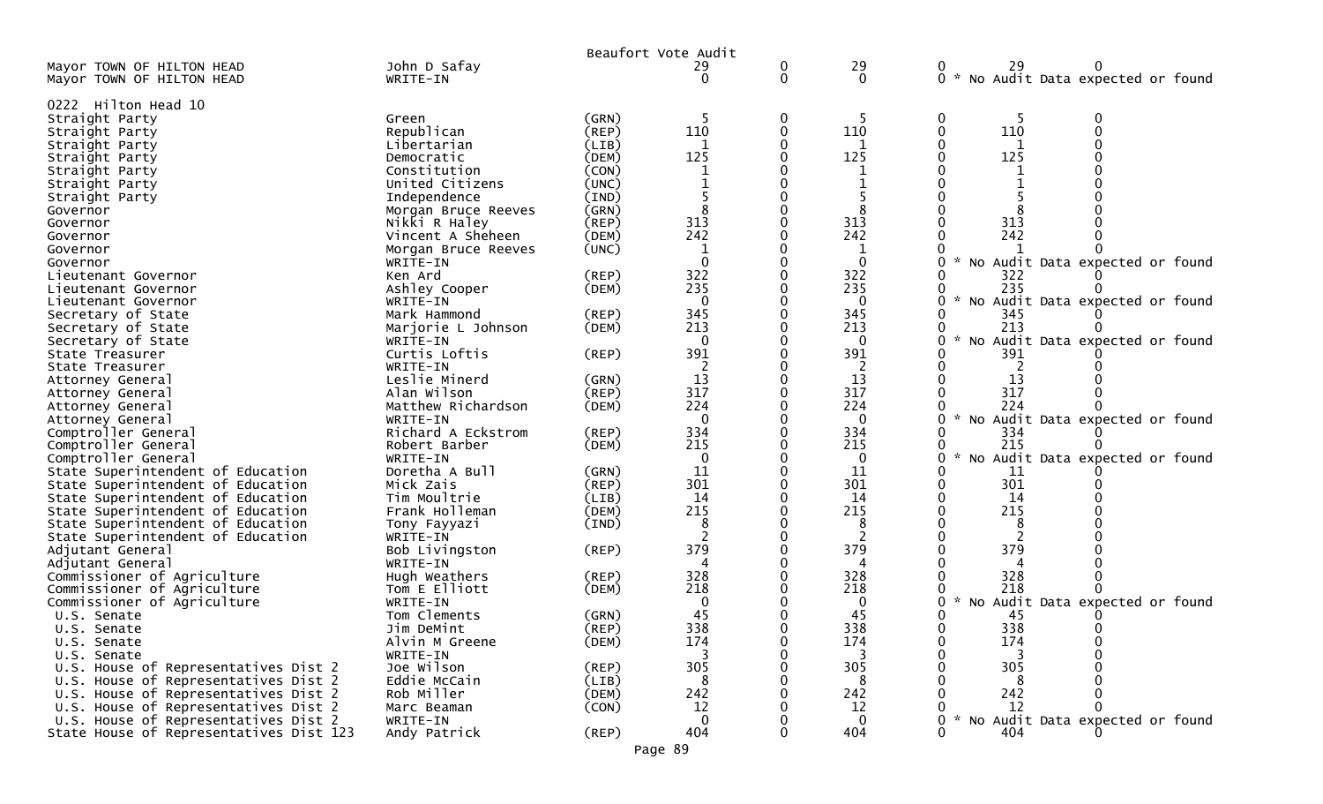|                                                        |                                |             | Beaufort Vote Audit   |          |                 |                                                       |
|--------------------------------------------------------|--------------------------------|-------------|-----------------------|----------|-----------------|-------------------------------------------------------|
| Mayor TOWN OF HILTON HEAD<br>Mayor TOWN OF HILTON HEAD | John D Safay<br>WRITE-IN       |             | 29<br>0               | 0<br>0   | 29<br>$\Omega$  | 29<br>0<br>0<br>0 * No Audit Data expected or found   |
| 0222 Hilton Head 10                                    |                                |             |                       |          |                 |                                                       |
| Straight Party                                         | Green                          | (GRN)       | -5                    | 0        | -5              | -5<br>$\bf{0}$                                        |
| Straight Party                                         | Republican                     | (REP)       | 110                   | 0        | 110             | 110<br>$\Omega$<br>0                                  |
| Straight Party                                         | Libertarian                    | (LIB)       | 1                     |          | $\mathbf{1}$    | $\mathbf{1}$                                          |
| Straight Party                                         | Democratic                     | (DEM)       | 125                   |          | 125             | 125<br>0                                              |
| Straight Party                                         | Constitution                   | (CON)       | 1                     |          | 1               |                                                       |
| Straight Party                                         | United Citizens                | (UNC)       |                       |          | $\mathbf 1$     |                                                       |
| Straight Party                                         | Independence                   | (IND)       |                       |          |                 |                                                       |
| Governor                                               | Morgan Bruce Reeves            | (GRN)       | 8                     |          | 8               |                                                       |
| Governor                                               | Nikki R Haley                  | $($ REP $)$ | 313                   |          | 313             | 313                                                   |
| Governor                                               | Vincent A Sheheen              | (DEM)       | 242                   |          | 242             | 242                                                   |
| Governor                                               | Morgan Bruce Reeves            | (UNC)       | 1                     |          | 1               |                                                       |
| Governor                                               | WRITE-IN                       |             | $\Omega$              |          | $\mathbf 0$     | $\mathcal{H}$<br>No Audit Data expected or found      |
| Lieutenant Governor                                    | Ken Ard                        | $($ REP $)$ | 322                   |          | 322             | 322                                                   |
| Lieutenant Governor                                    | Ashley Cooper                  | (DEM)       | 235                   |          | 235             | 235                                                   |
| Lieutenant Governor                                    | WRITE-IN                       |             | $\Omega$              |          | $\mathbf 0$     | $\mathcal{H}$<br>No Audit Data expected or found      |
| Secretary of State                                     | Mark Hammond                   | (REP)       | 345                   |          | 345             | 345                                                   |
| Secretary of State                                     | Marjorie L Johnson             | (DEM)       | 213                   |          | 213             | 213                                                   |
| Secretary of State                                     | WRITE-IN                       |             | 0                     |          | $\bf{0}$        | $\mathcal{H}$<br>No Audit Data expected or found<br>0 |
| State Treasurer                                        | Curtis Loftis                  | (REP)       | 391                   |          | 391             | 391                                                   |
| State Treasurer                                        | WRITE-IN                       |             | $\overline{2}$        |          | 2               | $\overline{2}$                                        |
| Attorney General                                       | Leslie Minerd                  | (GRN)       | 13                    |          | 13              | 13                                                    |
| Attorney General                                       | Alan Wilson                    | $($ REP $)$ | 317                   |          | 317             | 317<br>224                                            |
| Attorney General                                       | Matthew Richardson             | (DEM)       | 224<br>$\overline{0}$ |          | 224<br>$\Omega$ |                                                       |
| Attorney General                                       | WRITE-IN<br>Richard A Eckstrom | (REP)       | 334                   |          | 334             | * No Audit Data expected or found<br>334              |
| Comptroller General<br>Comptroller General             |                                | (DEM)       | 215                   |          | 215             | 215                                                   |
| Comptroller General                                    | Robert Barber<br>WRITE-IN      |             | $\mathbf{0}$          |          | $\bf{0}$        | No Audit Data expected or found<br>$\mathcal{H}$<br>0 |
| State Superintendent of Education                      | Doretha A Bull                 | (GRN)       | 11                    |          | 11              | 11                                                    |
| State Superintendent of Education                      | Mick Zais                      | (REP)       | 301                   |          | 301             | 301<br>0                                              |
| State Superintendent of Education                      | Tim Moultrie                   | (LIB)       | 14                    |          | 14              | 14                                                    |
| State Superintendent of Education                      | Frank Holleman                 | (DEM)       | 215                   |          | 215             | 215                                                   |
| State Superintendent of Education                      | Tony Fayyazi                   | (IND)       | 8                     |          | 8               | 8                                                     |
| State Superintendent of Education                      | WRITE-IN                       |             |                       |          | 2               |                                                       |
| Adjutant General                                       | Bob Livingston                 | $($ REP $)$ | 379                   |          | 379             | 379                                                   |
| Adjutant General                                       | WRITE-IN                       |             | Δ                     |          | 4               |                                                       |
| Commissioner of Agriculture                            | Hugh Weathers                  | $($ REP $)$ | 328                   |          | 328             | 328                                                   |
| Commissioner of Agriculture                            | Tom E Elliott                  | (DEM)       | 218                   |          | 218             | 218                                                   |
| Commissioner of Agriculture                            | WRITE-IN                       |             | 0                     |          | 0               | * No Audit Data expected or found<br>0                |
| U.S. Senate                                            | Tom Clements                   | (GRN)       | 45                    |          | 45              | 45                                                    |
| U.S. Senate                                            | Jim DeMint                     | (REP)       | 338                   |          | 338             | 338                                                   |
| U.S. Senate                                            | Alvin M Greene                 | (DEM)       | 174                   | $\Omega$ | 174             | 174<br>0                                              |
| U.S. Senate                                            | WRITE-IN                       |             | 3                     |          | 3               | 3                                                     |
| U.S. House of Representatives Dist 2                   | Joe Wilson                     | $($ REP $)$ | 305                   |          | 305             | 305                                                   |
| U.S. House of Representatives Dist 2                   | Eddie McCain                   | (LIB)       | 8                     |          | 8               | 8                                                     |
| U.S. House of Representatives Dist 2                   | Rob Miller                     | (DEM)       | 242                   |          | 242             | 242                                                   |
| U.S. House of Representatives Dist 2                   | Marc Beaman                    | (CON)       | 12                    |          | 12              | 12                                                    |
| U.S. House of Representatives Dist 2                   | WRITE-IN                       |             | $\mathbf 0$           |          | $\mathbf 0$     | No Audit Data expected or found<br>$\mathcal{H}$      |
| State House of Representatives Dist 123                | Andy Patrick                   | $($ REP $)$ | 404                   | 0        | 404             | 404<br>0                                              |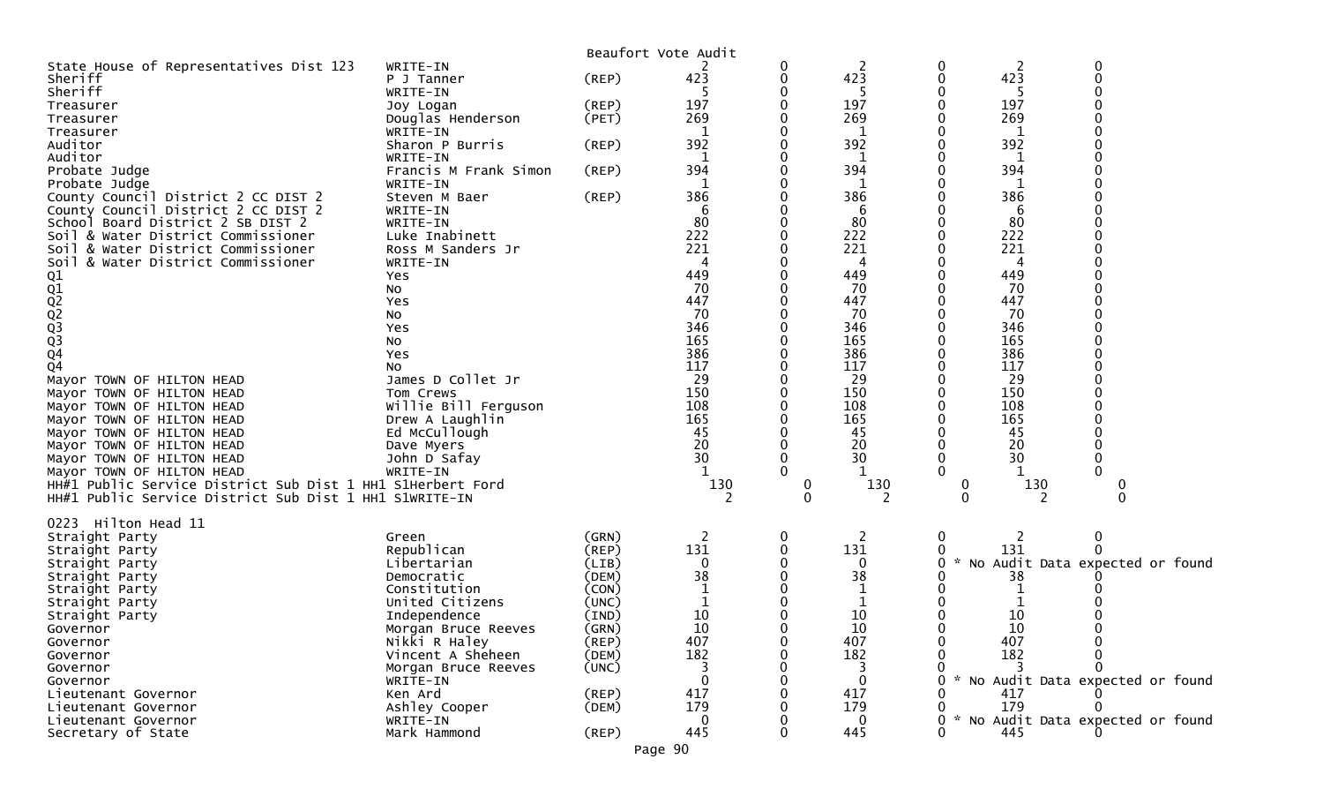|                                                                          |                       |             | Beaufort Vote Audit |                         |              |                    |          |                                   |
|--------------------------------------------------------------------------|-----------------------|-------------|---------------------|-------------------------|--------------|--------------------|----------|-----------------------------------|
| State House of Representatives Dist 123                                  | WRITE-IN              |             |                     | 0                       | 2            | 0                  | 2        | 0                                 |
| Sheriff                                                                  | P J Tanner            | $($ REP $)$ | 423                 | 0                       | 423          | $\mathbf 0$        | 423      | $\Omega$                          |
| Sheriff                                                                  | WRITE-IN              |             |                     |                         |              |                    |          |                                   |
| Treasurer                                                                | Joy Logan             | $($ REP $)$ | 197                 | 0                       | 197          | 0                  | 197      |                                   |
| Treasurer                                                                | Douglas Henderson     | (PET)       | 269                 |                         | 269          |                    | 269      |                                   |
| Treasurer                                                                | WRITE-IN              |             |                     |                         | 1            |                    | -1       |                                   |
| Auditor                                                                  | Sharon P Burris       | $($ REP $)$ | 392                 |                         | 392          |                    | 392      |                                   |
| Auditor                                                                  | WRITE-IN              |             | 1                   |                         | 1            |                    | 1        |                                   |
| Probate Judge                                                            | Francis M Frank Simon | (REP)       | 394                 |                         | 394          |                    | 394      |                                   |
| Probate Judge                                                            | WRITE-IN              |             |                     |                         |              |                    |          |                                   |
| County Council District 2 CC DIST 2                                      | Steven M Baer         | (REP)       | 386                 |                         | 386<br>6     |                    | 386      |                                   |
| County Council District 2 CC DIST 2<br>School Board District 2 SB DIST 2 | WRITE-IN<br>WRITE-IN  |             | 6<br>80             |                         | 80           |                    | 6<br>80  |                                   |
| Soil & Water District Commissioner                                       | Luke Inabinett        |             | 222                 |                         | 222          |                    | 222      |                                   |
| & Water District Commissioner<br>Soi L                                   | Ross M Sanders Jr     |             | 221                 |                         | 221          |                    | 221      |                                   |
| & Water District Commissioner<br>SO <sub>1</sub>                         | WRITE-IN              |             |                     |                         | 4            |                    |          |                                   |
|                                                                          | Yes                   |             | 449                 |                         | 449          |                    | 449      |                                   |
|                                                                          | No                    |             | 70                  |                         | 70           |                    | 70       |                                   |
| 01<br>02<br>02<br>03<br>03<br>03<br>04                                   | Yes                   |             | 447                 |                         | 447          |                    | 447      |                                   |
|                                                                          | No                    |             | 70                  |                         | 70           |                    | 70       |                                   |
|                                                                          | Yes                   |             | 346                 |                         | 346          |                    | 346      |                                   |
|                                                                          | No                    |             | 165                 |                         | 165          |                    | 165      |                                   |
|                                                                          | Yes                   |             | 386                 |                         | 386          |                    | 386      |                                   |
| Q4                                                                       | No                    |             | 117                 |                         | 117          |                    | 117      |                                   |
| Mayor TOWN OF HILTON HEAD                                                | James D Collet Jr     |             | 29                  |                         | 29           |                    | 29       |                                   |
| Mayor TOWN OF HILTON HEAD                                                | Tom Crews             |             | 150                 |                         | 150          |                    | 150      |                                   |
| Mayor TOWN OF HILTON HEAD                                                | Willie Bill Ferguson  |             | 108                 |                         | 108          |                    | 108      |                                   |
| Mayor TOWN OF HILTON HEAD                                                | Drew A Laughlin       |             | 165                 |                         | 165          |                    | 165      |                                   |
| Mayor TOWN OF HILTON HEAD                                                | Ed McCullough         |             | 45                  |                         | 45           |                    | 45       |                                   |
| Mayor TOWN OF HILTON HEAD                                                | Dave Myers            |             | 20                  |                         | 20           |                    | 20       |                                   |
| Mayor TOWN OF HILTON HEAD                                                | John D Safay          |             | 30                  | 0                       | 30           | $\mathbf 0$        | 30       |                                   |
| Mayor TOWN OF HILTON HEAD                                                | WRITE-IN              |             |                     |                         | 1            | 0                  |          |                                   |
| HH#1 Public Service District Sub Dist 1 HH1 S1Herbert Ford               |                       |             | 130                 | $\mathbf 0$<br>$\Omega$ | 130<br>2     | 0<br>$\Omega$      | 130<br>2 | 0                                 |
| HH#1 Public Service District Sub Dist 1 HH1 S1WRITE-IN                   |                       |             |                     |                         |              |                    |          |                                   |
| 0223<br>Hilton Head 11                                                   |                       |             |                     |                         |              |                    |          |                                   |
| Straight Party                                                           | Green                 | (GRN)       | 2                   | 0                       | 2            | 0                  |          | 0                                 |
| Straight Party                                                           | Republican            | (REP)       | 131                 | 0                       | 131          |                    | 131      |                                   |
| Straight Party                                                           | Libertarian           | (LIB)       | $\Omega$            |                         | 0            | $\mathcal{H}$<br>0 |          | No Audit Data expected or found   |
| Straight Party                                                           | Democratic            | (DEM)       | 38                  | 0                       | 38           |                    | 38       |                                   |
| Straight Party                                                           | Constitution          | (CON)       |                     |                         | $\mathbf{1}$ |                    |          |                                   |
| Straight Party                                                           | United Citizens       | (UNC)       |                     |                         | 1            |                    |          |                                   |
| Straight Party                                                           | Independence          | (IND)       | 10                  |                         | 10           |                    | 10       |                                   |
| Governor                                                                 | Morgan Bruce Reeves   | (GRN)       | 10                  | 0                       | 10           | 0                  | 10       |                                   |
| Governor                                                                 | Nikki R Haley         | (REP)       | 407                 | 0                       | 407          | 0                  | 407      |                                   |
| Governor                                                                 | Vincent A Sheheen     | (DEM)       | 182                 |                         | 182          | 0                  | 182      |                                   |
| Governor                                                                 | Morgan Bruce Reeves   | (UNC)       | 3                   |                         | 3            |                    |          |                                   |
| Governor                                                                 | WRITE-IN              |             | $\Omega$            |                         | $\mathbf{0}$ |                    |          | * No Audit Data expected or found |
| Lieutenant Governor                                                      | Ken Ard               | $($ REP $)$ | 417                 |                         | 417          |                    | 417      |                                   |
| Lieutenant Governor                                                      | Ashley Cooper         | (DEM)       | 179                 |                         | 179          |                    | 179      |                                   |
| Lieutenant Governor                                                      | WRITE-IN              |             | 0                   |                         | $\mathbf{0}$ | $\mathcal{H}$      |          | No Audit Data expected or found   |
| Secretary of State                                                       | Mark Hammond          | (REP)       | 445                 | 0                       | 445          | 0                  | 445      |                                   |
|                                                                          |                       |             | Page 90             |                         |              |                    |          |                                   |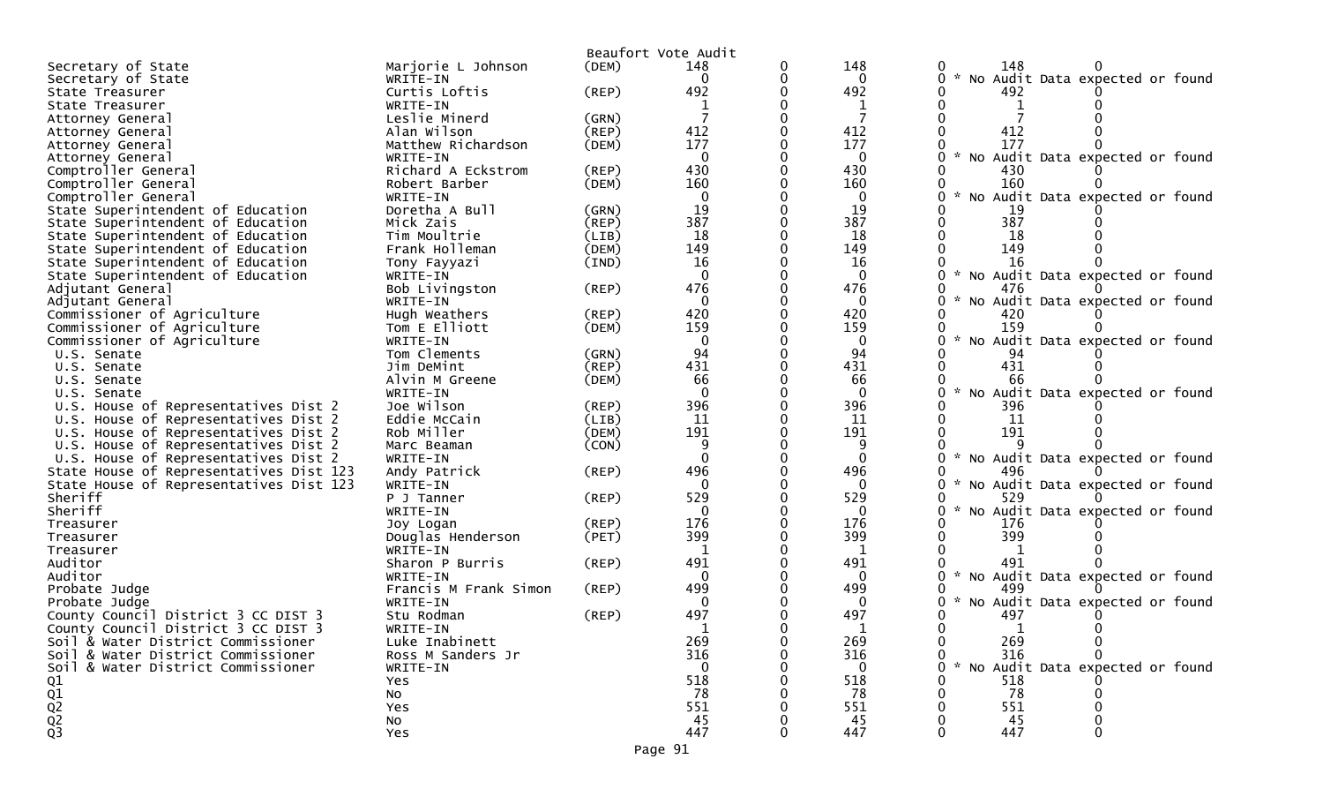|                                         |                       |             | Beaufort Vote Audit |   |              |                                                       |
|-----------------------------------------|-----------------------|-------------|---------------------|---|--------------|-------------------------------------------------------|
| Secretary of State                      | Marjorie L Johnson    | (DEM)       | 148                 | 0 | 148          | 148<br>0                                              |
| Secretary of State                      | WRITE-IN              |             | $\Omega$            | 0 | $\mathbf{0}$ | 0 * No Audit Data expected or found                   |
| State Treasurer                         | Curtis Loftis         | (REP)       | 492                 |   | 492          | 492                                                   |
| State Treasurer                         | WRITE-IN              |             |                     |   | -1           |                                                       |
| Attorney General                        | Leslie Minerd         | (GRN)       |                     |   | 7            |                                                       |
| Attorney General                        | Alan Wilson           | (REP)       | 412                 |   | 412          | 412                                                   |
| Attorney General                        | Matthew Richardson    | (DEM)       | 177                 |   | 177          | 177                                                   |
| Attorney General                        | WRITE-IN              |             | $\mathbf{0}$        |   | $\mathbf 0$  | $\mathcal{H}$<br>0<br>No Audit Data expected or found |
| Comptroller General                     | Richard A Eckstrom    | $($ REP $)$ | 430                 |   | 430          | 430                                                   |
| Comptroller General                     | Robert Barber         | (DEM)       | 160                 |   | 160          | 160                                                   |
| Comptroller General                     | WRITE-IN              |             | 0                   |   | 0            |                                                       |
|                                         |                       |             |                     |   |              | No Audit Data expected or found                       |
| State Superintendent of Education       | Doretha A Bull        | (GRN)       | 19<br>387           |   | 19           | 19                                                    |
| State Superintendent of Education       | Mick Zais             | (REP)       |                     |   | 387          | 387<br>0                                              |
| State Superintendent of Education       | Tim Moultrie          | (LIB)       | 18                  |   | 18           | 18                                                    |
| State Superintendent of Education       | Frank Holleman        | (DEM)       | 149                 | ∩ | 149          | 0<br>149                                              |
| State Superintendent of Education       | Tony Fayyazi          | (IND)       | 16                  |   | 16           | 16                                                    |
| State Superintendent of Education       | WRITE-IN              |             | $\Omega$            |   | $\mathbf 0$  | 0<br>$\sim$<br>No Audit Data expected or found        |
| Adjutant General                        | Bob Livingston        | $($ REP $)$ | 476                 | ∩ | 476          | 476<br>0                                              |
| Adjutant General                        | WRITE-IN              |             | $\mathbf{0}$        |   | $\mathbf{0}$ | No Audit Data expected or found<br>0                  |
| Commissioner of Agriculture             | Hugh Weathers         | $($ REP $)$ | 420                 |   | 420          | 420                                                   |
| Commissioner of Agriculture             | Tom E Elliott         | (DEM)       | 159                 |   | 159          | 159                                                   |
| Commissioner of Agriculture             | WRITE-IN              |             | $\Omega$            |   | $\mathbf 0$  | No Audit Data expected or found<br>0                  |
| U.S. Senate                             | Tom Clements          | (GRN)       | 94                  |   | 94           | 94                                                    |
| U.S. Senate                             | Jim DeMint            | (REP)       | 431                 | 0 | 431          | 431                                                   |
| U.S. Senate                             | Alvin M Greene        | (DEM)       | 66                  |   | 66           | 66                                                    |
| U.S. Senate                             | WRITE-IN              |             | $\Omega$            |   | $\mathbf{0}$ | $\sim$<br>No Audit Data expected or found             |
| U.S. House of Representatives Dist 2    | Joe Wilson            | (REP)       | 396                 | 0 | 396          | 396                                                   |
| U.S. House of Representatives Dist 2    | Eddie McCain          | (LIB)       | 11                  |   | 11           | 11                                                    |
| U.S. House of Representatives Dist 2    | Rob Miller            | (DEM)       | 191                 |   | 191          | 191                                                   |
|                                         |                       |             | 9                   |   | 9            |                                                       |
| U.S. House of Representatives Dist 2    | Marc Beaman           | (CON)       | $\Omega$            |   | $\mathbf{0}$ |                                                       |
| U.S. House of Representatives Dist 2    | WRITE-IN              |             |                     |   |              | 0<br>No Audit Data expected or found                  |
| State House of Representatives Dist 123 | Andy Patrick          | (REP)       | 496                 |   | 496          | 496                                                   |
| State House of Representatives Dist 123 | WRITE-IN              |             | $\Omega$            |   | 0            | 0<br>No Audit Data expected or found                  |
| Sheriff                                 | P J Tanner            | $($ REP $)$ | 529                 |   | 529          | 529                                                   |
| Sheriff                                 | WRITE-IN              |             | $\Omega$            |   | $\Omega$     | 0<br>No Audit Data expected or found                  |
| Treasurer                               | Joy Logan             | $($ REP $)$ | 176                 |   | 176          | 176                                                   |
| Treasurer                               | Douglas Henderson     | (PET)       | 399                 |   | 399          | 399                                                   |
| Treasurer                               | WRITE-IN              |             | -1                  |   | 1            | 0                                                     |
| Auditor                                 | Sharon P Burris       | (REP)       | 491                 |   | 491          | 491                                                   |
| Auditor                                 | WRITE-IN              |             | $\mathbf{0}$        |   | $\mathbf{0}$ | $0 *$<br>No Audit Data expected or found              |
| Probate Judge                           | Francis M Frank Simon | (REP)       | 499                 |   | 499          | 0<br>499                                              |
| Probate Judge                           | WRITE-IN              |             | 0                   |   | 0            | No Audit Data expected or found<br>O                  |
| County Council District 3 CC DIST 3     | Stu Rodman            | $($ REP $)$ | 497                 |   | 497          | 497                                                   |
| County Council District 3 CC DIST 3     | WRITE-IN              |             | -1                  |   | 1            | 1<br>0                                                |
| Soil & Water District Commissioner      | Luke Inabinett        |             | 269                 |   | 269          | 0<br>269<br>$\mathbf{0}$                              |
| Soil & Water District Commissioner      | Ross M Sanders Jr     |             | 316                 |   | 316          | 316<br>$\Omega$<br>0                                  |
| Soil & Water District Commissioner      | WRITE-IN              |             | $\Omega$            |   | $\bf{0}$     | No Audit Data expected or found<br>0                  |
|                                         |                       |             | 518                 |   | 518          | 518                                                   |
|                                         | Yes                   |             | 78                  |   | 78           | 78                                                    |
|                                         | No                    |             |                     |   |              |                                                       |
| $Q_1$<br>$Q_2$<br>$Q_3$<br>$Q_3$        | Yes                   |             | 551                 |   | 551          | 551                                                   |
|                                         | No                    |             | 45                  |   | 45           | 45                                                    |
|                                         | <b>Yes</b>            |             | 447                 |   | 447          | 447                                                   |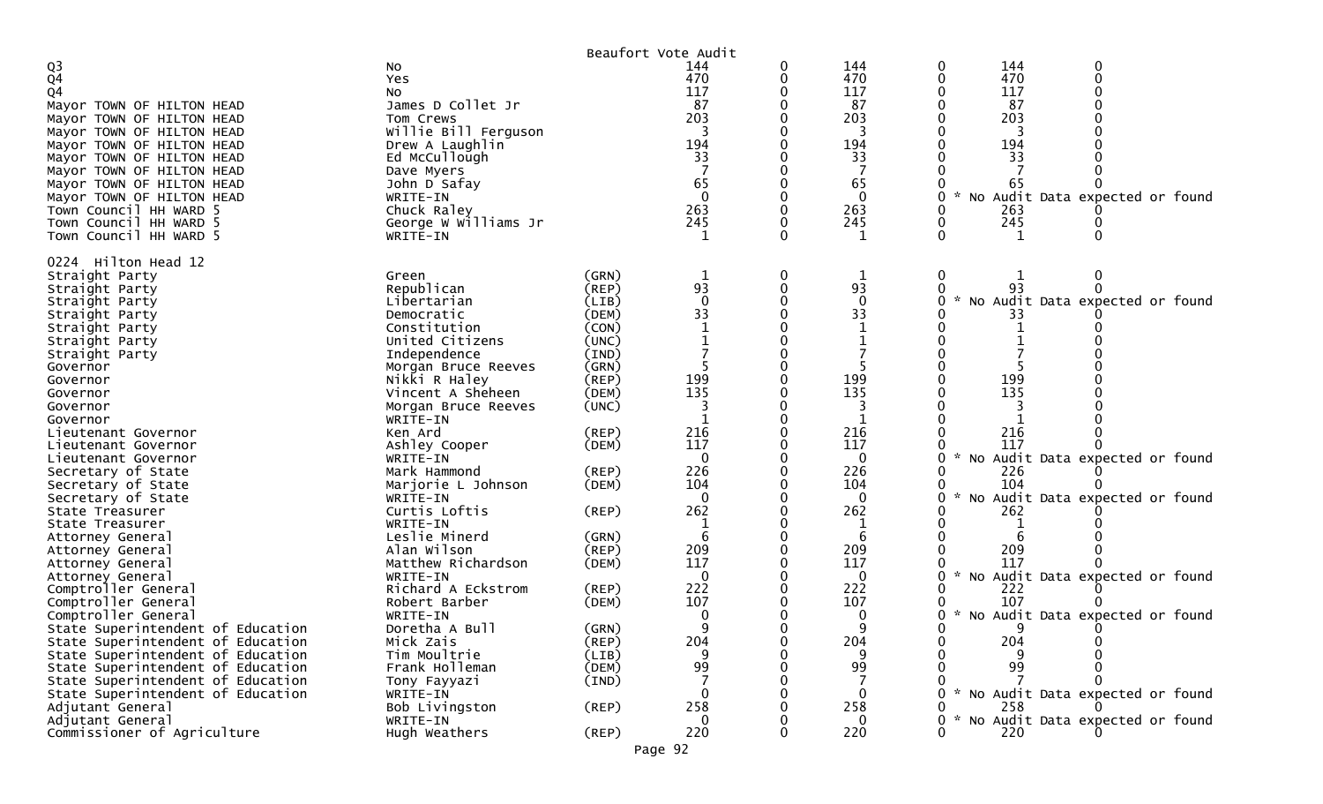|                                                     |                                      |                | Beaufort Vote Audit  |   |                    |                                                  |
|-----------------------------------------------------|--------------------------------------|----------------|----------------------|---|--------------------|--------------------------------------------------|
| $\frac{Q3}{Q4}$                                     | NO.                                  |                | 144                  |   | 144                | 144<br>0                                         |
|                                                     | Yes                                  |                | 470                  |   | 470                | 470<br>0                                         |
| Q4                                                  | NO.                                  |                | 117                  |   | 117                | 117                                              |
| Mayor TOWN OF HILTON HEAD                           | James D Collet Jr                    |                | 87                   |   | 87                 | 87                                               |
| Mayor TOWN OF HILTON HEAD                           | Tom Crews                            |                | 203                  |   | 203                | 203                                              |
| Mayor TOWN OF HILTON HEAD                           | Willie Bill Ferguson                 |                |                      |   | 3                  |                                                  |
| Mayor TOWN OF HILTON HEAD                           | Drew A Laughlin                      |                | 194                  |   | 194                | 194                                              |
| Mayor TOWN OF HILTON HEAD                           | Ed McCullough                        |                | 33                   |   | 33                 | 33                                               |
| Mayor TOWN OF HILTON HEAD                           | Dave Myers                           |                |                      |   |                    |                                                  |
| Mayor TOWN OF HILTON HEAD                           | John D Safay                         |                | 65<br>$\overline{0}$ |   | 65<br>$\mathbf{0}$ | 65<br>No Audit Data expected or found            |
| Mayor TOWN OF HILTON HEAD<br>Town Council HH WARD 5 | WRITE-IN<br>Chuck Raley              |                | 263                  |   | 263                | 263                                              |
| Town Council HH WARD 5                              | George W Williams Jr                 |                | 245                  |   | 245                | 245                                              |
| Town Council HH WARD 5                              | WRITE-IN                             |                | 1                    |   | $\mathbf 1$        | $\mathbf 1$<br>0                                 |
|                                                     |                                      |                |                      |   |                    |                                                  |
| Hilton Head 12<br>0224                              |                                      |                |                      |   |                    |                                                  |
| Straight Party                                      | Green                                | (GRN)          | 1                    | 0 | $\mathbf 1$        | $\pmb{0}$<br>0                                   |
| Straight Party                                      | Republican                           | (REP)          | 93                   |   | 93                 |                                                  |
| Straight Party                                      | Libertarian                          | (LIB)          | $\Omega$             |   | $\Omega$           | No Audit Data expected or found                  |
| Straight Party                                      | Democratic                           | (DEM)          | 33                   |   | 33                 | 33                                               |
| Straight Party                                      | Constitution                         | (CON)          |                      |   |                    |                                                  |
| Straight Party                                      | United Citizens                      | (UNC)          |                      |   |                    |                                                  |
| Straight Party                                      | Independence                         | (IND)          |                      |   |                    |                                                  |
| Governor                                            | Morgan Bruce Reeves<br>Nikki R Haley | (GRN)<br>(REP) | 199                  |   | 199                | 199                                              |
| Governor<br>Governor                                | Vincent A Sheheen                    | (DEM)          | 135                  |   | 135                | 135                                              |
| Governor                                            | Morgan Bruce Reeves                  | (UNC)          |                      |   |                    |                                                  |
| Governor                                            | WRITE-IN                             |                |                      |   | 1                  |                                                  |
| Lieutenant Governor                                 | Ken Ard                              | (REP)          | 216                  |   | 216                | 216                                              |
| Lieutenant Governor                                 | Ashley Cooper                        | (DEM)          | 117                  |   | 117                | 117                                              |
| Lieutenant Governor                                 | WRITE-IN                             |                | $\Omega$             |   | $\mathbf 0$        | Audit Data expected or found<br>$*$ No           |
| Secretary of State                                  | Mark Hammond                         | (REP)          | 226                  |   | 226                | 226                                              |
| Secretary of State                                  | Marjorie L Johnson                   | (DEM)          | 104                  |   | 104                | 104                                              |
| Secretary of State                                  | WRITE-IN                             |                | $\Omega$             |   | $\Omega$           | No Audit Data expected or found                  |
| State Treasurer                                     | Curtis Loftis                        | (REP)          | 262                  |   | 262                | 262                                              |
| State Treasurer                                     | WRITE-IN                             |                |                      |   |                    |                                                  |
| Attorney General                                    | Leslie Minerd                        | (GRN)          | 6                    |   | 6                  |                                                  |
| Attorney General                                    | Alan Wilson                          | (REP)          | 209                  |   | 209                | 209                                              |
| Attorney General                                    | Matthew Richardson                   | (DEM)          | 117                  |   | 117                | 117                                              |
| Attorney General                                    | WRITE-IN                             |                | $\Omega$             |   | 0                  | No Audit Data expected or found                  |
| Comptroller General                                 | Richard A Eckstrom<br>Robert Barber  | (REP)          | 222<br>107           |   | 222<br>107         | 222<br>107                                       |
| Comptroller General<br>Comptroller General          | WRITE-IN                             | (DEM)          |                      |   | 0                  | No Audit Data expected or found                  |
| State Superintendent of Education                   | Doretha A Bull                       | (GRN)          | 9                    |   | q                  | 9                                                |
| State Superintendent of Education                   | Mick Zais                            | (REP)          | 204                  |   | 204                | 204                                              |
| State Superintendent of Education                   | Tim Moultrie                         | (LIB)          | q                    |   | 9                  | q                                                |
| State Superintendent of Education                   | Frank Holleman                       | (DEM)          | 99                   |   | 99                 | 99                                               |
| State Superintendent of Education                   | Tony Fayyazi                         | (IND)          |                      |   |                    |                                                  |
| State Superintendent of Education                   | WRITE-IN                             |                |                      |   | $\mathbf{0}$       | * No Audit Data expected or found                |
| Adjutant General                                    | Bob Livingston                       | $($ REP $)$    | 258                  |   | 258                | 258                                              |
| Adjutant General                                    | WRITE-IN                             |                |                      |   | 0                  | No Audit Data expected or found<br>$\mathcal{H}$ |
| Commissioner of Agriculture                         | Hugh Weathers                        | (REP)          | 220                  |   | 220                | 220                                              |
|                                                     |                                      |                | Page 92              |   |                    |                                                  |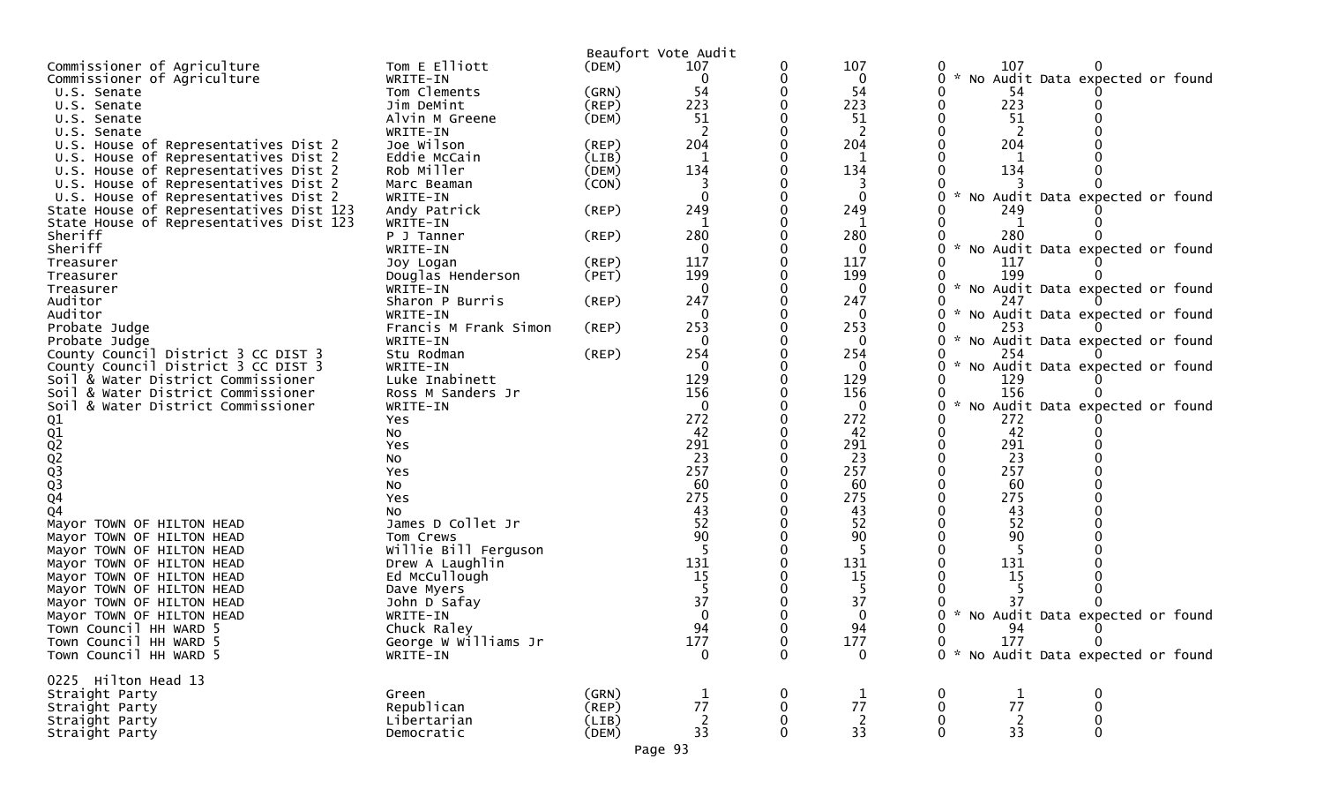|                                                        |                          |             | Beaufort Vote Audit |              |                |                                                       |
|--------------------------------------------------------|--------------------------|-------------|---------------------|--------------|----------------|-------------------------------------------------------|
| Commissioner of Agriculture                            | Tom E Elliott            | (DEM)       | 107                 | 0            | 107            | 107<br>0                                              |
| Commissioner of Agriculture                            | WRITE-IN                 |             | 0                   | 0            | $\bf{0}$       | No Audit Data expected or found<br>$\mathcal{H}$<br>0 |
| U.S. Senate                                            | Tom Clements             | (GRN)       | 54                  | 0            | 54             | 54                                                    |
| U.S. Senate                                            | Jim DeMint               | (REP)       | 223                 |              | 223            | 223<br>0                                              |
| U.S. Senate                                            | Alvin M Greene           | (DEM)       | 51                  |              | 51             | 51                                                    |
| U.S. Senate                                            | WRITE-IN                 |             |                     |              | 2              | 2                                                     |
| U.S. House of Representatives Dist 2                   | Joe Wilson               | (REP)       | 204                 |              | 204            | 204                                                   |
| U.S. House of Representatives Dist 2                   | Eddie McCain             | (LIB)       |                     |              |                |                                                       |
| U.S. House of Representatives Dist 2                   | Rob Miller               | (DEM)       | 134                 |              | 134            | 134                                                   |
| U.S. House of Representatives Dist 2                   | Marc Beaman              | (CON)       | 3                   |              | 3              | $\mathcal{H}$                                         |
| U.S. House of Representatives Dist 2                   | WRITE-IN                 |             | $\Omega$            |              | $\mathbf{0}$   | No Audit Data expected or found                       |
| State House of Representatives Dist 123                | Andy Patrick             | (REP)       | 249                 |              | 249            | 249<br>-1                                             |
| State House of Representatives Dist 123<br>Sheriff     | WRITE-IN<br>P J Tanner   | (REP)       | 280                 |              | 1<br>280       | 280                                                   |
| Sheriff                                                | WRITE-IN                 |             | $\mathbf 0$         |              | $\bf{0}$       | * No Audit Data expected or found<br>0                |
| Treasurer                                              | Joy Logan                | (REP)       | 117                 |              | 117            | 117                                                   |
| Treasurer                                              | Douglas Henderson        | (PET)       | 199                 |              | 199            | 199                                                   |
| Treasurer                                              | WRITE-IN                 |             | $\mathbf 0$         |              | $\mathbf 0$    | * No Audit Data expected or found<br>0                |
| Auditor                                                | Sharon P Burris          | (REP)       | 247                 |              | 247            | 247                                                   |
| Auditor                                                | WRITE-IN                 |             | 0                   |              | 0              | * No Audit Data expected or found<br>0                |
| Probate Judge                                          | Francis M Frank Simon    | $($ REP $)$ | 253                 |              | 253            | 253                                                   |
| Probate Judge                                          | WRITE-IN                 |             | $\Omega$            |              | 0              | * No Audit Data expected or found<br>0                |
| County Council District 3 CC DIST 3                    | Stu Rodman               | $($ REP $)$ | 254                 |              | 254            | 254                                                   |
| County Council District 3 CC DIST 3                    | WRITE-IN                 |             | $\mathbf 0$         |              | 0              | 0<br>* No Audit Data expected or found                |
| Soil & Water District Commissioner                     | Luke Inabinett           |             | 129                 |              | 129            | 129                                                   |
| Soil & Water District Commissioner                     | Ross M Sanders Jr        |             | 156                 |              | 156            | 156                                                   |
| Soil & Water District Commissioner                     | WRITE-IN                 |             | $\mathbf 0$         |              | $\bf{0}$       | * No Audit Data expected or found<br>0                |
|                                                        | Yes                      |             | 272                 |              | 272            | 272                                                   |
| 01<br>02<br>02<br>02<br>03<br>03<br>04                 | <b>NO</b>                |             | 42                  |              | 42             | 42                                                    |
|                                                        | Yes                      |             | 291                 |              | 291            | 291                                                   |
|                                                        | No                       |             | 23                  |              | 23             | 23                                                    |
|                                                        | Yes                      |             | 257                 |              | 257            | 257                                                   |
|                                                        | No                       |             | 60                  |              | 60             | 60                                                    |
|                                                        | Yes                      |             | 275                 |              | 275            | 275                                                   |
| Q <sub>4</sub>                                         | NO.<br>James D Collet Jr |             | 43<br>52            |              | 43<br>52       | 43<br>52                                              |
| Mayor TOWN OF HILTON HEAD<br>Mayor TOWN OF HILTON HEAD | Tom Crews                |             | 90                  |              | 90             | 90                                                    |
| Mayor TOWN OF HILTON HEAD                              | Willie Bill Ferguson     |             | -5                  |              | -5             |                                                       |
| Mayor TOWN OF HILTON HEAD                              | Drew A Laughlin          |             | 131                 |              | 131            | 131                                                   |
| Mayor TOWN OF HILTON HEAD                              | Ed McCullough            |             | 15                  |              | 15             | 15                                                    |
| Mayor TOWN OF HILTON HEAD                              | Dave Myers               |             |                     |              | -5             |                                                       |
| Mayor TOWN OF HILTON HEAD                              | John D Safay             |             | 37                  |              | 37             | 37                                                    |
| Mayor TOWN OF HILTON HEAD                              | WRITE-IN                 |             |                     |              | 0              | No Audit Data expected or found<br>$\mathcal{H}$      |
| Town Council HH WARD 5                                 | Chuck Raley              |             | 94                  |              | 94             | 94                                                    |
| Town Council HH WARD 5                                 | George W Williams Jr     |             | 177                 | 0            | 177            | $\mathbf 0$<br>177<br>0                               |
| Town Council HH WARD 5                                 | WRITE-IN                 |             | $\mathbf 0$         | $\mathbf 0$  | $\mathbf 0$    | 0 * No Audit Data expected or found                   |
|                                                        |                          |             |                     |              |                |                                                       |
| 0225 Hilton Head 13                                    |                          |             |                     |              |                |                                                       |
| Straight Party                                         | Green                    | (GRN)       |                     | $\bf{0}$     | $\mathbf{1}$   | 0<br>1<br>$\bf{0}$                                    |
| Straight Party                                         | Republican               | (REP)       | 77                  | 0            | 77             | 77<br>$\mathbf 0$<br>0                                |
| Straight Party                                         | Libertarian              | (LIB)       | $\overline{2}$      | 0            | $\overline{2}$ | $\overline{2}$<br>$\pmb{0}$<br>0                      |
| Straight Party                                         | Democratic               | (DEM)       | 33                  | $\mathbf{0}$ | 33             | 33<br>$\mathbf 0$<br>$\mathbf{0}$                     |
|                                                        |                          |             | Page 93             |              |                |                                                       |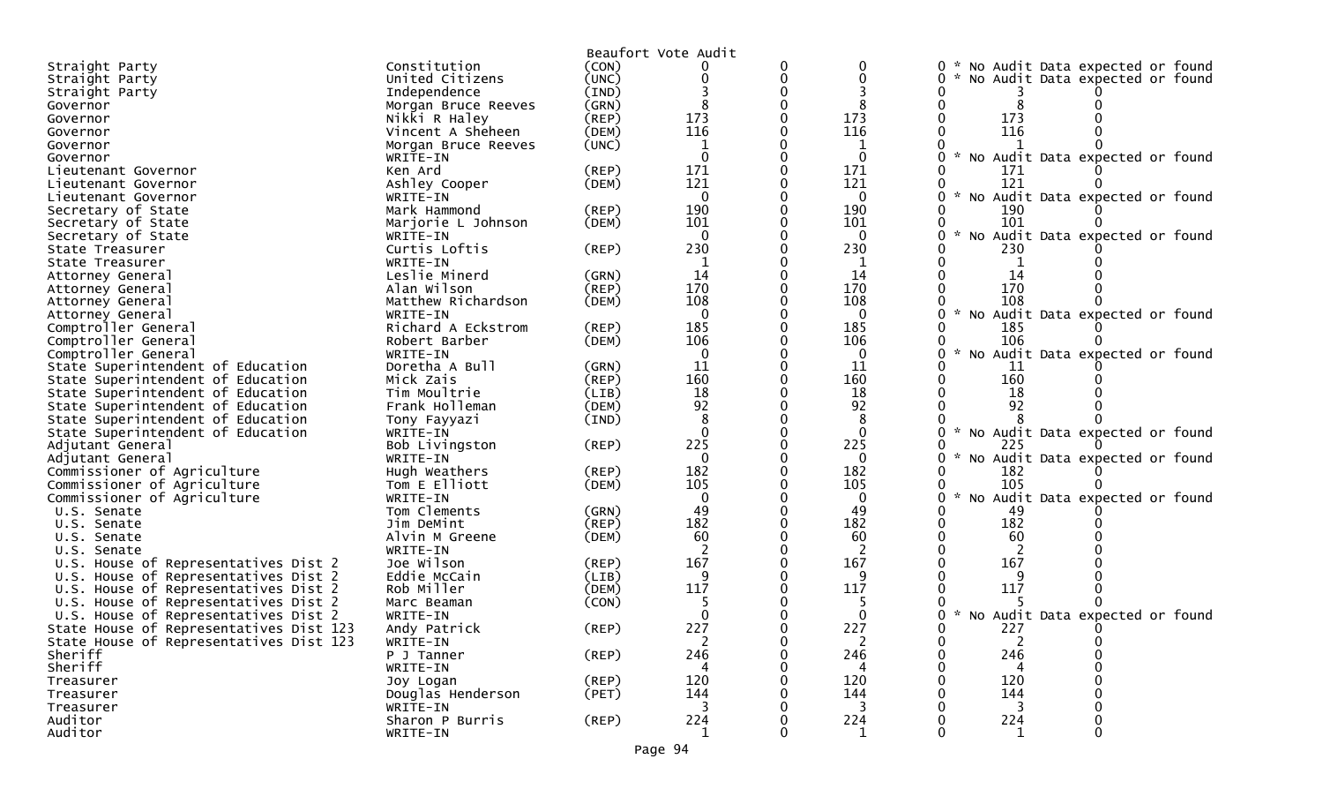|                                            |                           |             | Beaufort Vote Audit |          |              |                                                  |
|--------------------------------------------|---------------------------|-------------|---------------------|----------|--------------|--------------------------------------------------|
| Straight Party                             | Constitution              | (CON)       |                     | 0        |              | * No Audit Data expected or found<br>$\Omega$    |
| Straight Party                             | United Citizens           | (UNC)       |                     | $\Omega$ |              | No Audit Data expected or found                  |
| Straight Party                             | Independence              | (IND)       |                     |          |              |                                                  |
| Governor                                   | Morgan Bruce Reeves       | (GRN)       |                     |          |              |                                                  |
| Governor                                   | Nikki R Haley             | (REP)       | 173                 |          | 173          | 173                                              |
| Governor                                   | Vincent A Sheheen         | (DEM)       | 116                 |          | 116          | 116                                              |
| Governor                                   | Morgan Bruce Reeves       | (UNC)       | 1                   |          |              |                                                  |
| Governor                                   | WRITE-IN                  |             | $\Omega$            |          | $\mathbf{0}$ | * No Audit Data expected or found                |
|                                            | Ken Ard                   | (REP)       | 171                 |          | 171          | 171                                              |
| Lieutenant Governor<br>Lieutenant Governor | Ashley Cooper             | (DEM)       | 121                 |          | 121          | 121                                              |
| Lieutenant Governor                        | WRITE-IN                  |             | $\Omega$            |          | 0            | * No Audit Data expected or found                |
| Secretary of State                         | Mark Hammond              | (REP)       | 190                 |          | 190          | 190                                              |
|                                            | Marjorie L Johnson        | (DEM)       | 101                 |          | 101          | 101                                              |
| Secretary of State                         |                           |             | $\Omega$            |          | $\Omega$     |                                                  |
| Secretary of State                         | WRITE-IN<br>Curtis Loftis |             | 230                 |          | 230          | No Audit Data expected or found<br>230           |
| State Treasurer                            |                           | (REP)       |                     |          |              |                                                  |
| State Treasurer                            | WRITE-IN                  |             | 1                   |          | 1            |                                                  |
| Attorney General                           | Leslie Minerd             | (GRN)       | 14                  |          | 14           | 14                                               |
| Attorney General                           | Alan Wilson               | (REP)       | 170                 |          | 170          | 170                                              |
| Attorney General                           | Matthew Richardson        | (DEM)       | 108                 |          | 108          | 108<br>$\mathcal{H}$                             |
| Attorney General                           | WRITE-IN                  |             | $\Omega$            |          | 0            | No Audit Data expected or found                  |
| Comptroller General                        | Richard A Eckstrom        | (REP)       | 185                 |          | 185          | 185                                              |
| Comptroller General                        | Robert Barber             | (DEM)       | 106                 |          | 106          | 106                                              |
| Comptroller General                        | WRITE-IN                  |             | $\Omega$            |          | 0            | $\sim$<br>No Audit Data expected or found        |
| State Superintendent of Education          | Doretha A Bull            | (GRN)       | 11                  |          | 11           | 11                                               |
| State Superintendent of Education          | Mick Zais                 | (REP)       | 160                 |          | 160          | 160                                              |
| State Superintendent of Education          | Tim Moultrie              | (LIB)       | 18                  |          | 18           | 18                                               |
| State Superintendent of Education          | Frank Holleman            | (DEM)       | 92                  |          | 92           | 92                                               |
| State Superintendent of Education          | Tony Fayyazi              | (IND)       | 8                   |          | 8            |                                                  |
| State Superintendent of Education          | WRITE-IN                  |             | $\Omega$            |          | 0            | * No Audit Data expected or found                |
| Adjutant General                           | Bob Livingston            | (REP)       | 225                 |          | 225          |                                                  |
| Adjutant General                           | WRITE-IN                  |             | $\Omega$            |          | $\mathbf{0}$ | * No Audit Data expected or found                |
| Commissioner of Agriculture                | Hugh Weathers             | (REP)       | 182                 |          | 182          | 182                                              |
| Commissioner of Agriculture                | Tom E Elliott             | (DEM)       | 105                 |          | 105          | 105                                              |
| Commissioner of Agriculture                | WRITE-IN                  |             | $\mathbf{0}$        |          | 0            | $\mathcal{H}$<br>No Audit Data expected or found |
| U.S. Senate                                | Tom Clements              | (GRN)       | 49                  |          | 49           | 49                                               |
| U.S. Senate                                | Jim DeMint                | (REP)       | 182                 |          | 182          | 182                                              |
| U.S. Senate                                | Alvin M Greene            | (DEM)       | 60                  |          | 60           | 60                                               |
| U.S. Senate                                | WRITE-IN                  |             |                     |          |              |                                                  |
| U.S. House of Representatives Dist 2       | Joe Wilson                | (REP)       | 167                 |          | 167          | 167                                              |
| U.S. House of Representatives Dist 2       | Eddie McCain              | (LIB)       | 9                   |          |              |                                                  |
| U.S. House of Representatives Dist 2       | Rob Miller                | (DEM)       | 117                 |          | 117          | 117                                              |
| U.S. House of Representatives Dist 2       | Marc Beaman               | (CON)       |                     |          |              |                                                  |
| U.S. House of Representatives Dist 2       | WRITE-IN                  |             |                     |          |              | * No Audit Data expected or found                |
| State House of Representatives Dist 123    | Andy Patrick              | $($ REP $)$ | 227                 |          | 227          | 227                                              |
| State House of Representatives Dist 123    | WRITE-IN                  |             | 2                   |          | 2            | 2                                                |
| Sheriff                                    | P J Tanner                | (REP)       | 246                 |          | 246          | 246                                              |
| Sheriff                                    | WRITE-IN                  |             |                     |          |              |                                                  |
| Treasurer                                  | Joy Logan                 | (REP)       | 120                 |          | 120          | 120                                              |
| Treasurer                                  | Douglas Henderson         | (PET)       | 144                 |          | 144          | 144                                              |
| Treasurer                                  | WRITE-IN                  |             |                     |          |              |                                                  |
| Auditor                                    | Sharon P Burris           | $($ REP $)$ | 224                 |          | 224          | 224                                              |
| Auditor                                    | WRITE-IN                  |             | 1                   |          | 1            |                                                  |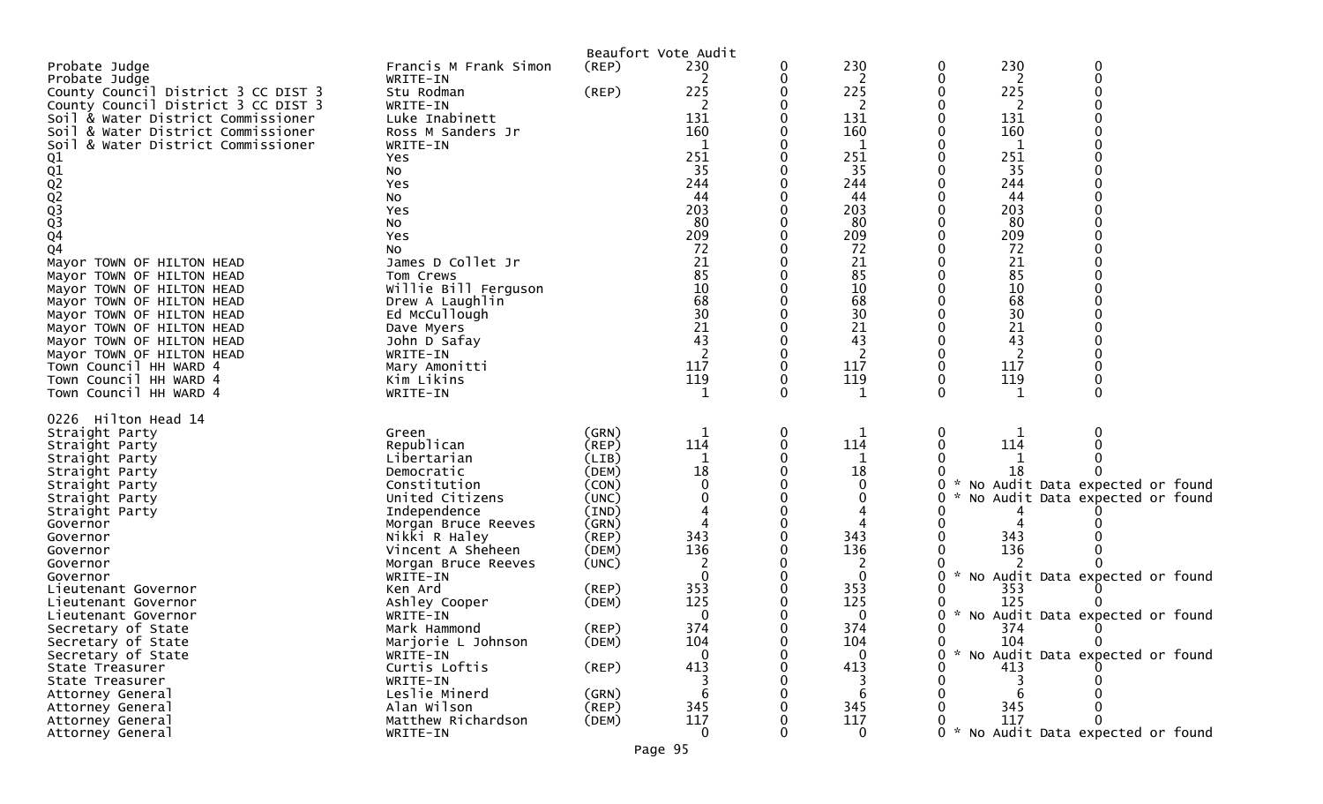|                                                                          |                                     |                | Beaufort Vote Audit |   |                     |                 |                                     |
|--------------------------------------------------------------------------|-------------------------------------|----------------|---------------------|---|---------------------|-----------------|-------------------------------------|
| Probate Judge                                                            | Francis M Frank Simon               | $($ REP $)$    | 230                 | 0 | 230                 | 230<br>0        | 0                                   |
| Probate Judge                                                            | WRITE-IN                            |                | 2                   | 0 | 2                   | 0<br>2          | $\Omega$                            |
| County Council District 3 CC DIST 3                                      | Stu Rodman                          | (REP)          | 225                 |   | 225                 | 225<br>0        |                                     |
| County Council District 3 CC DIST 3                                      | WRITE-IN                            |                | 2                   | Ω | 2                   | 2               |                                     |
| Soil & Water District Commissioner<br>Soil & Water District Commissioner | Luke Inabinett<br>Ross M Sanders Jr |                | 131<br>160          |   | 131                 | 131             |                                     |
|                                                                          |                                     |                | 1                   |   | 160<br>$\mathbf{1}$ | 160<br>1        |                                     |
| & Water District Commissioner<br>SO <sub>1</sub>                         | WRITE-IN<br>Yes                     |                | 251                 |   | 251                 | 251             |                                     |
| Q1                                                                       | No                                  |                | 35                  |   | 35                  | 35              |                                     |
|                                                                          | Yes                                 |                | 244                 |   | 244                 | 244             |                                     |
|                                                                          | <b>NO</b>                           |                | 44                  |   | 44                  | 44              |                                     |
|                                                                          | Yes                                 |                | 203                 |   | 203                 | 203             |                                     |
|                                                                          | No                                  |                | 80                  |   | 80                  | 80              |                                     |
| Q1<br>Q2<br>Q3<br>Q3<br>Q4                                               | Yes                                 |                | 209                 |   | 209                 | 209             |                                     |
| $\overline{Q}4$                                                          | No                                  |                | 72                  |   | 72                  | 72              |                                     |
| Mayor TOWN OF HILTON HEAD                                                | James D Collet Jr                   |                | 21                  |   | 21                  | 21              |                                     |
| Mayor TOWN OF HILTON HEAD                                                | Tom Crews                           |                | 85                  |   | 85                  | 85              |                                     |
| Mayor TOWN OF HILTON HEAD                                                | Willie Bill Ferguson                |                | 10                  |   | 10                  | 10              |                                     |
| Mayor TOWN OF HILTON HEAD                                                | Drew A Laughlin                     |                | 68                  |   | 68                  | 68              |                                     |
| Mayor TOWN OF HILTON HEAD                                                | Ed McCullough                       |                | 30                  |   | 30                  | 30              |                                     |
| Mayor TOWN OF HILTON HEAD                                                | Dave Myers                          |                | 21                  |   | 21                  | 21              |                                     |
| Mayor TOWN OF HILTON HEAD                                                | John D Safay                        |                | 43                  |   | 43                  | 43              |                                     |
| Mayor TOWN OF HILTON HEAD                                                | WRITE-IN                            |                | 2<br>117            |   | 2                   | 2<br>0          |                                     |
| Town Council HH WARD 4<br>Town Council HH WARD 4                         | Mary Amonitti                       |                | 119                 | 0 | 117<br>119          | 117<br>119<br>0 |                                     |
| Town Council HH WARD 4                                                   | Kim Likins<br>WRITE-IN              |                | 1                   | 0 | 1                   | 0<br>1          |                                     |
|                                                                          |                                     |                |                     |   |                     |                 |                                     |
| 0226 Hilton Head 14                                                      |                                     |                |                     |   |                     |                 |                                     |
| Straight Party                                                           | Green                               | (GRN)          | 1                   | 0 | 1                   | 0               |                                     |
| Straight Party                                                           | Republican                          | (REP)          | 114                 | 0 | 114                 | 114             |                                     |
| Straight Party                                                           | Libertarian                         | (LIB)          | 1                   | 0 | 1                   |                 |                                     |
| Straight Party                                                           | Democratic                          | (DEM)          | 18                  |   | 18                  | 18              |                                     |
| Straight Party                                                           | Constitution                        | (CON)          |                     |   | 0                   | 0               | No Audit Data expected or found     |
| Straight Party                                                           | United Citizens                     | (UNC)          |                     |   | 0                   |                 | No Audit Data expected or found     |
| Straight Party                                                           | Independence                        | (IND)          |                     |   |                     |                 |                                     |
| Governor                                                                 | Morgan Bruce Reeves                 | (GRN)          |                     |   |                     |                 |                                     |
| Governor                                                                 | Nikki R Haley<br>Vincent A Sheheen  | (REP)<br>(DEM) | 343<br>136          |   | 343<br>136          | 343<br>136      |                                     |
| Governor<br>Governor                                                     | Morgan Bruce Reeves                 | (UNC)          |                     |   | 2                   |                 |                                     |
| Governor                                                                 | WRITE-IN                            |                | $\mathbf{0}$        |   | 0                   | 0<br>*          | No Audit Data expected or found     |
| Lieutenant Governor                                                      | Ken Ard                             | (REP)          | 353                 |   | 353                 | 353             |                                     |
| Lieutenant Governor                                                      | Ashley Cooper                       | (DEM)          | 125                 | 0 | 125                 | 125             |                                     |
| Lieutenant Governor                                                      | WRITE-IN                            |                | 0                   |   | 0                   | 0               | * No Audit Data expected or found   |
| Secretary of State                                                       | Mark Hammond                        | (REP)          | 374                 | 0 | 374                 | 0<br>374        |                                     |
| Secretary of State                                                       | Marjorie L Johnson                  | (DEM)          | 104                 | U | 104                 | $\Omega$<br>104 | $\Omega$                            |
| Secretary of State                                                       | WRITE-IN                            |                | $\mathbf{0}$        |   | $\Omega$            | 0               | * No Audit Data expected or found   |
| State Treasurer                                                          | Curtis Loftis                       | $($ REP $)$    | 413                 |   | 413                 | 413             |                                     |
| State Treasurer                                                          | WRITE-IN                            |                |                     |   |                     |                 |                                     |
| Attorney General                                                         | Leslie Minerd                       | (GRN)          | 6                   |   | 6                   |                 |                                     |
| Attorney General                                                         | Alan Wilson                         | (REP)          | 345                 |   | 345                 | 345             |                                     |
| Attorney General                                                         | Matthew Richardson                  | (DEM)          | 117                 |   | 117                 | 117             |                                     |
| Attorney General                                                         | WRITE-IN                            |                | $\mathbf 0$         | O | $\mathbf 0$         |                 | 0 * No Audit Data expected or found |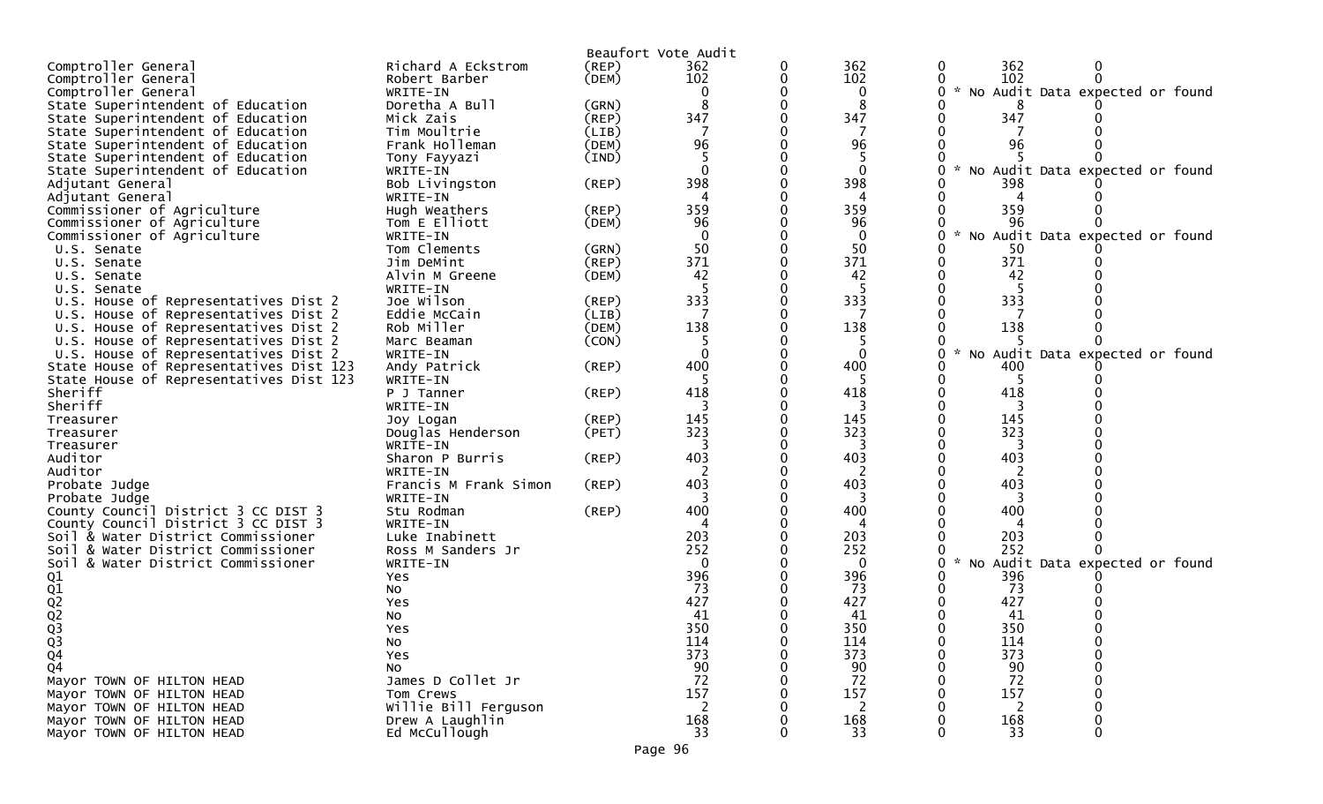|                                         |                       |             | Beaufort Vote Audit |              |                                            |
|-----------------------------------------|-----------------------|-------------|---------------------|--------------|--------------------------------------------|
| Comptroller General                     | Richard A Eckstrom    | (REP)       | 362                 | 362          | 362<br>0<br>0                              |
| Comptroller General                     | Robert Barber         | (DEM)       | 102                 | 102          | 102                                        |
| Comptroller General                     | WRITE-IN              |             |                     | $\mathbf 0$  | * No Audit Data expected or found<br>0     |
| State Superintendent of Education       | Doretha A Bull        | (GRN)       |                     | 8            |                                            |
| State Superintendent of Education       | Mick Zais             | (REP)       | 347                 | 347          | 347                                        |
| State Superintendent of Education       | Tim Moultrie          | (LIB)       |                     |              |                                            |
| State Superintendent of Education       | Frank Holleman        | (DEM)       | 96                  | 96           | 96                                         |
| State Superintendent of Education       | Tony Fayyazi          | (IND)       |                     | -5           |                                            |
| State Superintendent of Education       | WRITE-IN              |             |                     | $\mathbf{0}$ | No Audit Data expected or<br>0<br>found    |
| Adjutant General                        | Bob Livingston        | $($ REP $)$ | 398                 | 398          | 398                                        |
| Adjutant General                        | WRITE-IN              |             |                     |              |                                            |
| Commissioner of Agriculture             | Hugh Weathers         | (REP)       | 359                 | 359          | 359                                        |
| Commissioner of Agriculture             | Tom E Elliott         | (DEM)       | 96                  | 96           | 96                                         |
| Commissioner of Agriculture             | WRITE-IN              |             | $\Omega$            | $\mathbf 0$  | No Audit Data expected or found            |
| U.S. Senate                             | Tom Clements          | (GRN)       | 50                  | 50           | 50                                         |
| U.S. Senate                             | Jim DeMint            | $($ REP $)$ | 371                 | 371          | 371<br>0                                   |
| U.S. Senate                             | Alvin M Greene        | (DEM)       | 42                  | 42           | 42                                         |
| U.S. Senate                             | WRITE-IN              |             |                     |              |                                            |
| U.S. House of Representatives Dist 2    | Joe Wilson            | $($ REP $)$ | 333                 | 333          | 333                                        |
| U.S. House of Representatives Dist 2    | Eddie McCain          | (LIB)       |                     | 7            |                                            |
| U.S. House of Representatives Dist 2    | Rob Miller            | (DEM)       | 138                 | 138          | 138                                        |
| U.S. House of Representatives Dist 2    | Marc Beaman           | (CON)       |                     | 5            |                                            |
| U.S. House of Representatives Dist 2    | WRITE-IN              |             |                     | $\mathbf{0}$ | $\star$<br>No Audit Data expected or found |
| State House of Representatives Dist 123 | Andy Patrick          | $($ REP $)$ | 400                 | 400          | 400                                        |
| State House of Representatives Dist 123 | WRITE-IN              |             |                     |              | -5                                         |
| Sheriff                                 | P J Tanner            | (REP)       | 418                 | 418          | 418                                        |
| Sheriff                                 | WRITE-IN              |             |                     |              |                                            |
| Treasurer                               | Joy Logan             | $($ REP $)$ | 145                 | 145          | 145                                        |
| Treasurer                               | Douglas Henderson     | (PET)       | 323                 | 323          | 323                                        |
| Treasurer                               | WRITE-IN              |             |                     |              |                                            |
| Auditor                                 | Sharon P Burris       | $($ REP $)$ | 403                 | 403          | 403                                        |
| Auditor                                 | WRITE-IN              |             |                     |              |                                            |
| Probate Judge                           | Francis M Frank Simon | $($ REP $)$ | 403                 | 403          | 403                                        |
| Probate Judge                           | WRITE-IN              |             | 3                   | 3            | 3                                          |
| County Council District 3 CC DIST 3     | Stu Rodman            | $($ REP $)$ | 400                 | 400          | 400                                        |
| County Council District 3 CC DIST 3     | WRITE-IN              |             |                     |              |                                            |
| Soil & Water District Commissioner      | Luke Inabinett        |             | 203                 | 203          | 203                                        |
| Soil & Water District Commissioner      | Ross M Sanders Jr     |             | 252                 | 252          | 252                                        |
| Soil & Water District Commissioner      | WRITE-IN              |             | $\Omega$            | $\mathbf 0$  | No Audit Data expected or found<br>n       |
| $Q_1$<br>$Q_2$<br>$Q_2$                 | Yes                   |             | 396                 | 396          | 396                                        |
|                                         | <b>NO</b>             |             | 73                  | 73           | 73                                         |
|                                         | Yes                   |             | 427                 | 427          | 427                                        |
|                                         | No                    |             | 41                  | 41           | 41                                         |
| $\frac{Q3}{Q3}$                         | Yes                   |             | 350                 | 350          | 350                                        |
|                                         | No                    |             | 114                 | 114          | 114<br>0                                   |
| Q <sub>4</sub>                          | Yes                   |             | 373                 | 373          | 373                                        |
| Q4                                      | No                    |             | 90                  | 90           | 90                                         |
| Mayor TOWN OF HILTON HEAD               | James D Collet Jr     |             | 72                  | 72           | 72                                         |
| Mayor TOWN OF HILTON HEAD               | Tom Crews             |             | 157                 | 157          | 157                                        |
| Mayor TOWN OF HILTON HEAD               | Willie Bill Ferguson  |             | 2                   | 2            | 2                                          |
| Mayor TOWN OF HILTON HEAD               | Drew A Laughlin       |             | 168                 | 168          | 168                                        |
| Mayor TOWN OF HILTON HEAD               | Ed McCullough         |             | 33                  | 33           | 33                                         |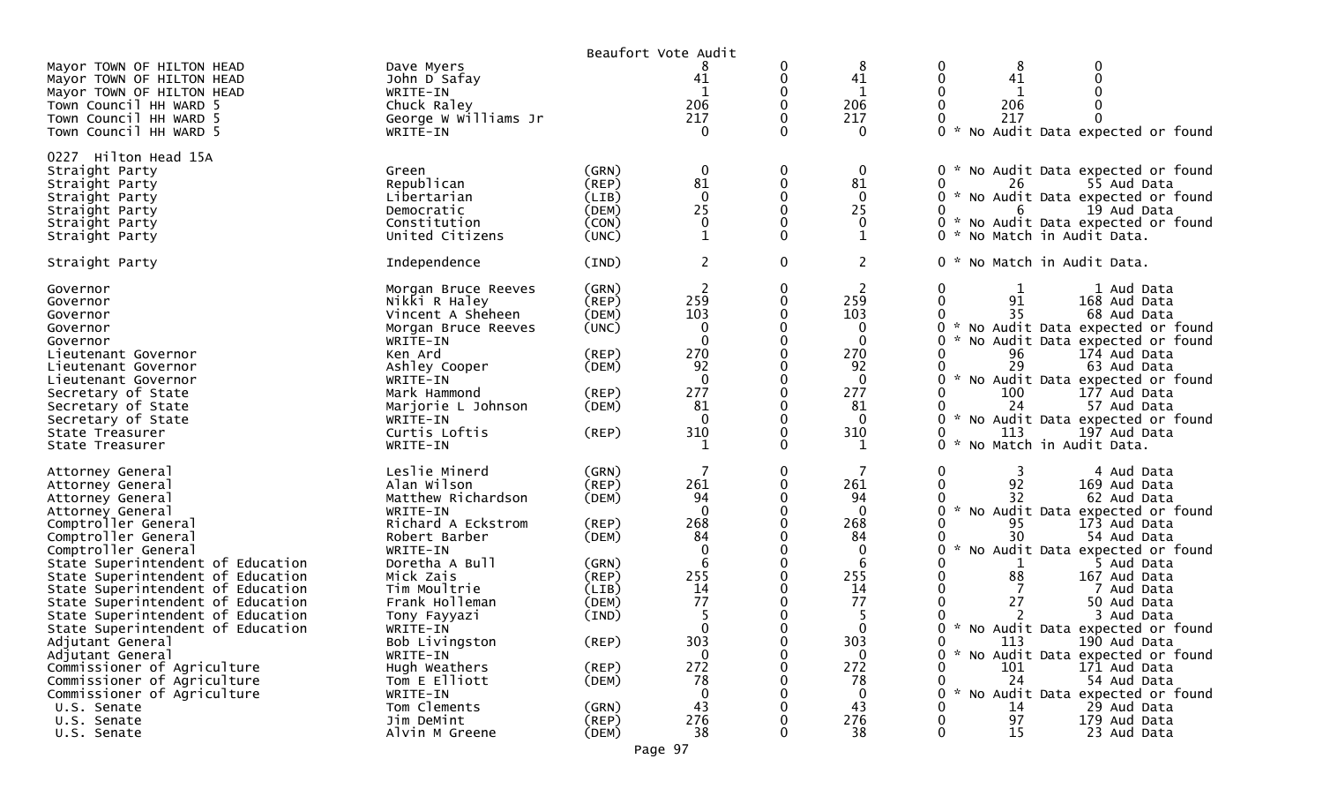|                                                                                                                                                                                                                                                                                                                                                                                                                                                                                                                                                                   |                                                                                                                                                                                                                                                                                                                                            |                                                                                                                                                          | Beaufort Vote Audit                                                                                                                   |                    |                                                                                                                                |                                                                                                                                                                                                                                                                                                                                                                                                                                                                                                                                      |
|-------------------------------------------------------------------------------------------------------------------------------------------------------------------------------------------------------------------------------------------------------------------------------------------------------------------------------------------------------------------------------------------------------------------------------------------------------------------------------------------------------------------------------------------------------------------|--------------------------------------------------------------------------------------------------------------------------------------------------------------------------------------------------------------------------------------------------------------------------------------------------------------------------------------------|----------------------------------------------------------------------------------------------------------------------------------------------------------|---------------------------------------------------------------------------------------------------------------------------------------|--------------------|--------------------------------------------------------------------------------------------------------------------------------|--------------------------------------------------------------------------------------------------------------------------------------------------------------------------------------------------------------------------------------------------------------------------------------------------------------------------------------------------------------------------------------------------------------------------------------------------------------------------------------------------------------------------------------|
| Mayor TOWN OF HILTON HEAD<br>Mayor TOWN OF HILTON HEAD<br>Mayor TOWN OF HILTON HEAD<br>Town Council HH WARD 5<br>Town Council HH WARD 5<br>Town Council HH WARD 5                                                                                                                                                                                                                                                                                                                                                                                                 | Dave Myers<br>John D Safay<br>WRITE-IN<br>Chuck Raley<br>George W Williams Jr<br>WRITE-IN                                                                                                                                                                                                                                                  |                                                                                                                                                          | 41<br>206<br>217<br>$\Omega$                                                                                                          | 0                  | 8<br>41<br>206<br>217<br>0                                                                                                     | 8<br>0<br>41<br>206<br>217<br>0<br>$\sim$<br>No Audit Data expected or found                                                                                                                                                                                                                                                                                                                                                                                                                                                         |
| 0227 Hilton Head 15A<br>Straight Party<br>Straight Party<br>Straight Party<br>Straight Party<br>Straight Party<br>Straight Party                                                                                                                                                                                                                                                                                                                                                                                                                                  | Green<br>Republican<br>Libertarian<br>Democratic<br>Constitution<br>United Citizens                                                                                                                                                                                                                                                        | (GRN)<br>(REP)<br>(LIB)<br>(DEM)<br>(CON)<br>(UNC)                                                                                                       | 0<br>81<br>$\Omega$<br>25<br>$\mathbf 0$<br>1                                                                                         | 0<br>0<br>$\Omega$ | 0<br>81<br>$\Omega$<br>25<br>$\mathbf 0$<br>1                                                                                  | No Audit Data expected or found<br>0<br>26<br>55 Aud Data<br>0<br>* No Audit Data expected or found<br>6<br>19 Aud Data<br>0<br>* No Audit Data expected or found<br>* No Match in Audit Data.<br>0                                                                                                                                                                                                                                                                                                                                  |
| Straight Party                                                                                                                                                                                                                                                                                                                                                                                                                                                                                                                                                    | Independence                                                                                                                                                                                                                                                                                                                               | (IND)                                                                                                                                                    | $\overline{c}$                                                                                                                        | $\mathbf 0$        | $\overline{2}$                                                                                                                 | * No Match in Audit Data.<br>0                                                                                                                                                                                                                                                                                                                                                                                                                                                                                                       |
| Governor<br>Governor<br>Governor<br>Governor<br>Governor<br>Lieutenant Governor<br>Lieutenant Governor<br>Lieutenant Governor<br>Secretary of State<br>Secretary of State<br>Secretary of State<br>State Treasurer<br>State Treasurer                                                                                                                                                                                                                                                                                                                             | Morgan Bruce Reeves<br>Nikki R Haley<br>Vincent A Sheheen<br>Morgan Bruce Reeves<br>WRITE-IN<br>Ken Ard<br>Ashley Cooper<br>WRITE-IN<br>Mark Hammond<br>Marjorie L Johnson<br>WRITE-IN<br>Curtis Loftis<br>WRITE-IN                                                                                                                        | (GRN)<br>(REP)<br>(DEM)<br>(UNC)<br>(REP)<br>(DEM)<br>(REP)<br>(DEM)<br>$($ REP $)$                                                                      | 2<br>259<br>103<br>$\Omega$<br>270<br>92<br>$\overline{0}$<br>277<br>81<br>$\Omega$<br>310                                            | 0                  | 2<br>259<br>103<br>0<br>$\mathbf{0}$<br>270<br>92<br>$\mathbf{0}$<br>277<br>81<br>$\Omega$<br>310                              | 1 Aud Data<br>0<br>1<br>0<br>91<br>168 Aud Data<br>35<br>68 Aud Data<br>No Audit Data expected or found<br>No Audit Data expected or found<br>174 Aud Data<br>96<br>29<br>63 Aud Data<br>0<br>* No Audit Data expected or found<br>100<br>177 Aud Data<br>24<br>57 Aud Data<br>* No Audit Data expected or found<br>113<br>197 Aud Data<br>$\sim$<br>No Match in Audit Data.<br>0                                                                                                                                                    |
| Attorney General<br>Attorney General<br>Attorney General<br>Attorney General<br>Comptroller General<br>Comptroller General<br>Comptroller General<br>State Superintendent of Education<br>State Superintendent of Education<br>State Superintendent of Education<br>State Superintendent of Education<br>State Superintendent of Education<br>State Superintendent of Education<br>Adjutant General<br>Adjutant General<br>Commissioner of Agriculture<br>Commissioner of Agriculture<br>Commissioner of Agriculture<br>U.S. Senate<br>U.S. Senate<br>U.S. Senate | Leslie Minerd<br>Alan Wilson<br>Matthew Richardson<br>WRITE-IN<br>Richard A Eckstrom<br>Robert Barber<br>WRITE-IN<br>Doretha A Bull<br>Mick Zais<br>Tim Moultrie<br>Frank Holleman<br>Tony Fayyazi<br>WRITE-IN<br>Bob Livingston<br>WRITE-IN<br>Hugh Weathers<br>Tom E Elliott<br>WRITE-IN<br>Tom Clements<br>Jim DeMint<br>Alvin M Greene | (GRN)<br>(REP)<br>(DEM)<br>(REP)<br>(DEM)<br>(GRN)<br>(REP)<br>(LIB)<br>(DEM)<br>(IND)<br>$($ REP $)$<br>$($ REP $)$<br>(DEM)<br>(GRN)<br>(REP)<br>(DEM) | 261<br>94<br>$\Omega$<br>268<br>84<br>6<br>255<br>14<br>77<br>$\Omega$<br>303<br>$\Omega$<br>272<br>78<br>$\Omega$<br>43<br>276<br>38 | 0                  | 261<br>94<br>$\mathbf{0}$<br>268<br>84<br>0<br>6<br>255<br>14<br>77<br>5<br>∩<br>303<br>0<br>272<br>78<br>0<br>43<br>276<br>38 | 0<br>4 Aud Data<br>92<br>169 Aud Data<br>32<br>62 Aud Data<br>No Audit Data expected or found<br>95<br>173 Aud Data<br>30<br>54 Aud Data<br>No Audit Data expected or found<br>5 Aud Data<br>88<br>167 Aud Data<br>7 Aud Data<br>27<br>50 Aud Data<br>3 Aud Data<br>* No Audit Data expected or found<br>113<br>190 Aud Data<br>0<br>* No Audit Data expected or found<br>101<br>171 Aud Data<br>24<br>54 Aud Data<br>$\sim$<br>No Audit Data expected or found<br>14<br>29 Aud Data<br>97<br>179 Aud Data<br>15<br>23 Aud Data<br>O |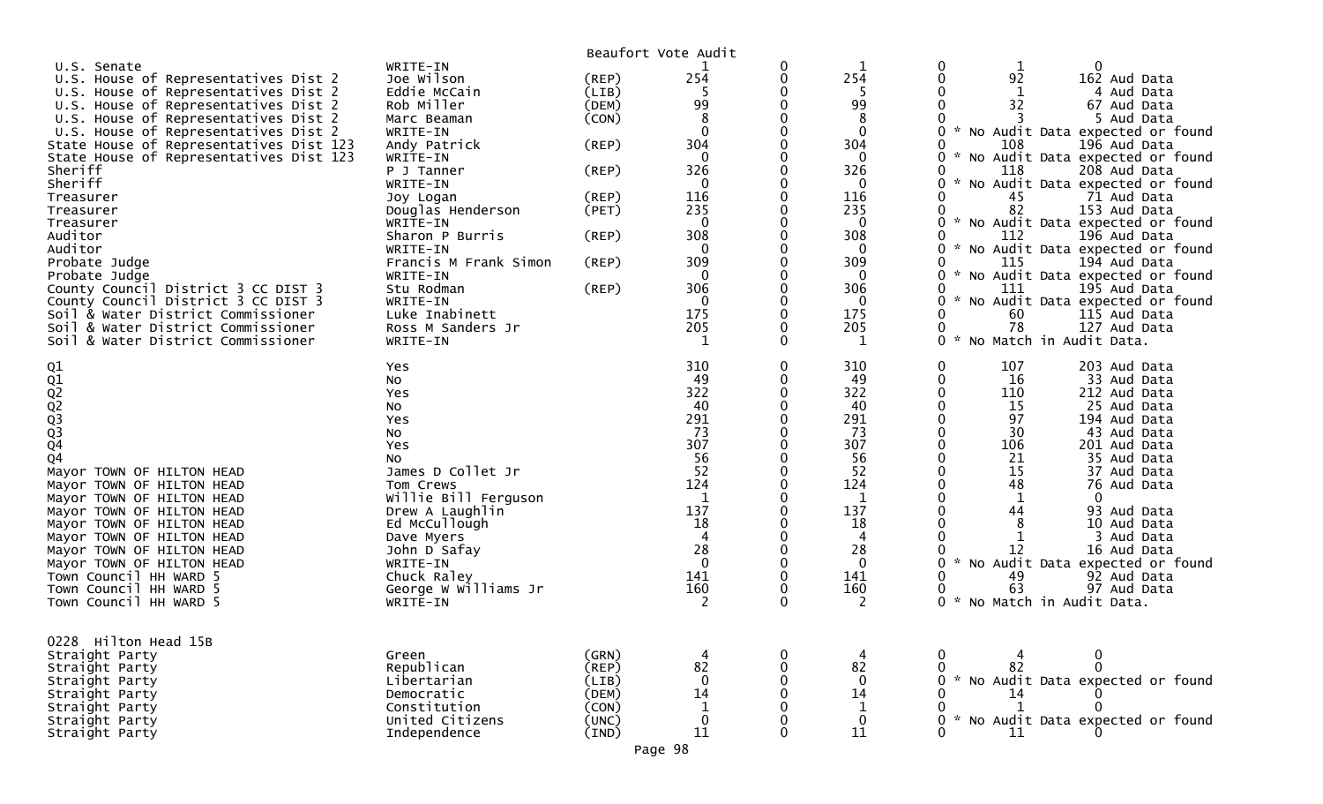|                                         |                       |       | Beaufort Vote Audit |              |              |                                               |
|-----------------------------------------|-----------------------|-------|---------------------|--------------|--------------|-----------------------------------------------|
| U.S. Senate                             | WRITE-IN              |       |                     | 0            |              | 1                                             |
| U.S. House of Representatives Dist 2    | Joe Wilson            | (REP) | 254                 | 0            | 254          | 92<br>162 Aud Data                            |
| U.S. House of Representatives Dist 2    | Eddie McCain          | (LIB) | 5                   |              | 5            | 4 Aud Data                                    |
| U.S. House of Representatives Dist 2    | Rob Miller            | (DEM) | 99                  | 0            | 99           | 32<br>67 Aud Data                             |
| U.S. House of Representatives Dist 2    | Marc Beaman           | (CON) | 8                   |              | 8            | 5 Aud Data                                    |
| U.S. House of Representatives Dist 2    | WRITE-IN              |       | $\mathbf{0}$        | 0            | $\mathbf{0}$ | No Audit Data expected or found               |
| State House of Representatives Dist 123 | Andy Patrick          | (REP) | 304                 |              | 304          | 108<br>196 Aud Data                           |
| State House of Representatives Dist 123 | WRITE-IN              |       | $\mathbf 0$         |              | $\mathbf 0$  | No Audit Data expected or found               |
| Sheriff                                 | P J Tanner            | (REP) | 326                 | 0            | 326          | 118<br>208 Aud Data                           |
| Sheriff                                 | WRITE-IN              |       | $\Omega$            |              | $\Omega$     | No Audit Data expected or found               |
| Treasurer                               | Joy Logan             | (REP) | 116                 |              | 116          | 45<br>71 Aud Data                             |
| Treasurer                               | Douglas Henderson     | (PET) | 235                 | 0            | 235          | 82<br>153 Aud Data                            |
| Treasurer                               | WRITE-IN              |       | $\mathbf 0$         | 0            | $\mathbf 0$  |                                               |
|                                         |                       |       |                     |              |              | No Audit Data expected or found               |
| Auditor                                 | Sharon P Burris       | (REP) | 308                 |              | 308          | 112<br>196 Aud Data                           |
| Auditor                                 | WRITE-IN              |       | 0                   | 0            | 0            | No Audit Data expected or found               |
| Probate Judge                           | Francis M Frank Simon | (REP) | 309                 | 0            | 309          | 115<br>194 Aud Data                           |
| Probate Judge                           | WRITE-IN              |       | 0                   |              | $\bf{0}$     | No Audit Data expected or found               |
| County Council District 3 CC DIST 3     | Stu Rodman            | (REP) | 306                 | $\Omega$     | 306          | 111<br>195 Aud Data                           |
| County Council District 3 CC DIST 3     | WRITE-IN              |       | $\Omega$            | 0            | 0            | No Audit Data expected or found               |
| Soil & Water District Commissioner      | Luke Inabinett        |       | 175                 | 0            | 175          | 60<br>115 Aud Data                            |
| Soil & Water District Commissioner      | Ross M Sanders Jr     |       | 205                 | 0            | 205          | 78<br>127 Aud Data                            |
| Soil & Water District Commissioner      | WRITE-IN              |       | 1                   | 0            | 1            | No Match in Audit Data.<br>$\mathcal{H}$<br>0 |
|                                         | Yes                   |       | 310                 | $\mathbf{0}$ | 310          | 107<br>0<br>203 Aud Data                      |
|                                         | No                    |       | 49                  | 0            | 49           | 0<br>16<br>33 Aud Data                        |
| Q1<br>Q2<br>Q2<br>Q2<br>Q3<br>Q4<br>Q4  | Yes                   |       | 322                 | 0            | 322          | 110<br>212 Aud Data                           |
|                                         | NO.                   |       | 40                  | 0            | 40           | 15<br>25 Aud Data                             |
|                                         |                       |       | 291                 |              | 291          | 97<br>194 Aud Data                            |
|                                         | Yes                   |       | 73                  |              | 73           | 30<br>43 Aud Data                             |
|                                         | No                    |       | 307                 |              |              |                                               |
|                                         | Yes                   |       |                     |              | 307          | 106<br>201 Aud Data                           |
|                                         | NO.                   |       | 56                  | 0            | 56           | 35 Aud Data<br>21                             |
| Mayor TOWN OF HILTON HEAD               | James D Collet Jr     |       | 52                  |              | 52           | 15<br>37 Aud Data                             |
| Mayor TOWN OF HILTON HEAD               | Tom Crews             |       | 124                 | 0            | 124          | 48<br>76 Aud Data                             |
| Mayor TOWN OF HILTON HEAD               | Willie Bill Ferguson  |       | $\mathbf 1$         |              | $\mathbf{1}$ | 1<br>0                                        |
| Mayor TOWN OF HILTON HEAD               | Drew A Laughlin       |       | 137                 |              | 137          | 44<br>93 Aud Data                             |
| Mayor TOWN OF HILTON HEAD               | Ed McCullough         |       | 18                  |              | 18           | 10 Aud Data                                   |
| Mayor TOWN OF HILTON HEAD               | Dave Myers            |       | 4                   | 0            | 4            | 3 Aud Data                                    |
| Mayor TOWN OF HILTON HEAD               | John D Safay          |       | 28                  |              | 28           | 12<br>16 Aud Data                             |
| Mayor TOWN OF HILTON HEAD               | WRITE-IN              |       | $\mathbf{0}$        |              | $\mathbf 0$  | No Audit Data expected or found               |
| Town Council HH WARD 5                  | Chuck Raley           |       | 141                 | 0            | 141          | 49<br>92 Aud Data                             |
| Town Council HH WARD 5                  | George W Williams Jr  |       | 160                 | 0            | 160          | 63<br>97 Aud Data                             |
| Town Council HH WARD 5                  | WRITE-IN              |       | 2                   | 0            | 2            | 0<br>No Match in Audit Data.                  |
|                                         |                       |       |                     |              |              |                                               |
| 0228 Hilton Head 15B                    |                       |       |                     |              |              |                                               |
| Straight Party                          | Green                 | (GRN) |                     | 0            |              | 0                                             |
| Straight Party                          | Republican            | (REP) | 82                  | 0            | 82           | $\Omega$<br>82                                |
| Straight Party                          | Libertarian           | (LIB) | $\Omega$            |              | $\Omega$     | No Audit Data expected or found               |
| Straight Party                          | Democratic            | (DEM) | 14                  |              | 14           | 14                                            |
| Straight Party                          | Constitution          | (CON) | $\mathbf 1$         |              | $\mathbf 1$  |                                               |
| Straight Party                          | United Citizens       | (UNC) | $\mathbf 0$         |              | $\mathbf 0$  | No Audit Data expected or found               |
| Straight Party                          | Independence          | (IND) | 11                  | 0            | $11\,$       | 11                                            |
|                                         |                       |       |                     |              |              |                                               |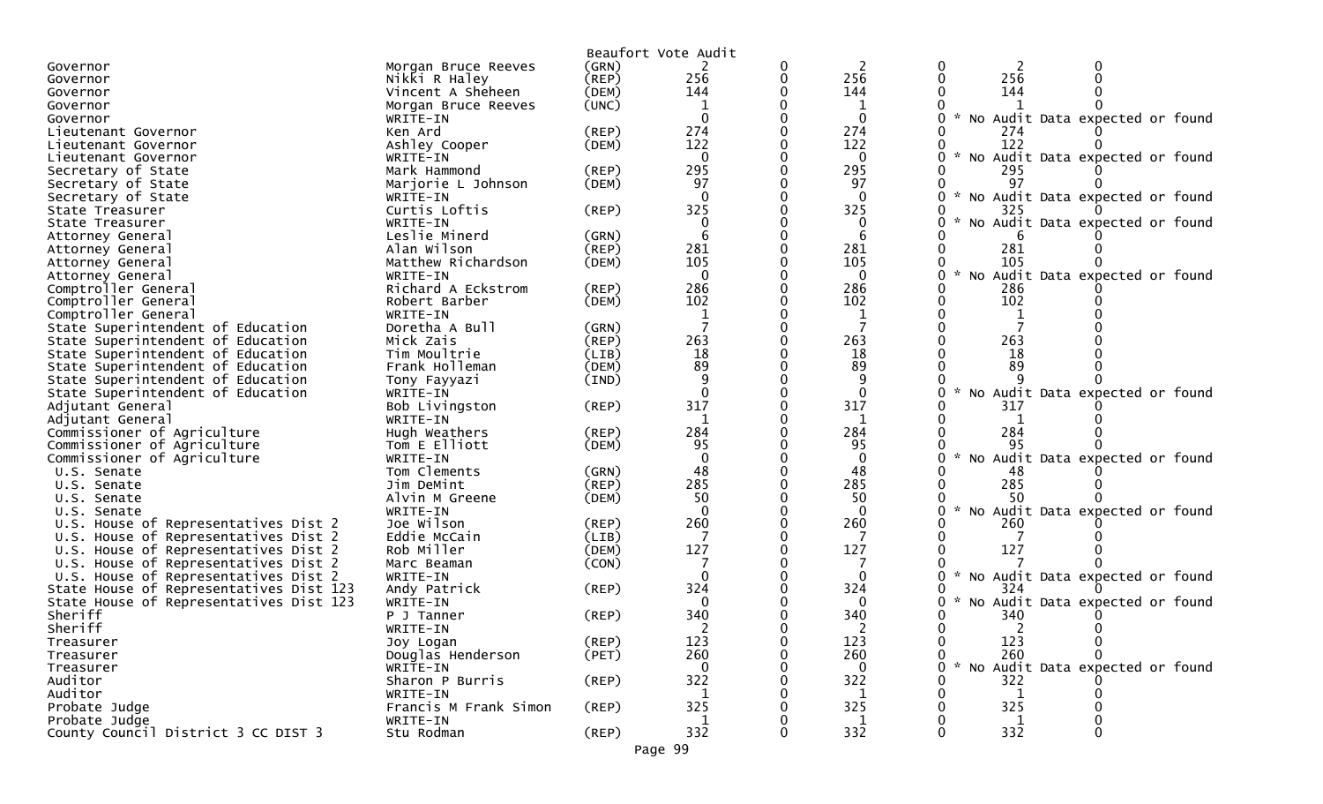|                                         |                            |             | Beaufort Vote Audit |   |                     |                                                  |
|-----------------------------------------|----------------------------|-------------|---------------------|---|---------------------|--------------------------------------------------|
| Governor                                | Morgan Bruce Reeves        | (GRN)       |                     | 0 | 2                   | 0<br>2                                           |
| Governor                                | Nikki R Haley              | (REP)       | 256                 | 0 | 256                 | 256<br>0                                         |
| Governor                                | Vincent A Sheheen          | (DEM)       | 144                 |   | 144                 | 144                                              |
| Governor                                | Morgan Bruce Reeves        | (UNC)       |                     |   | 1                   |                                                  |
| Governor                                | WRITE-IN                   |             | $\Omega$            |   | $\mathbf{0}$        | No Audit Data expected or found                  |
| Lieutenant Governor                     | Ken Ard                    | (REP)       | 274                 |   | 274                 | 274                                              |
| Lieutenant Governor                     | Ashley Cooper              | (DEM)       | 122                 |   | 122                 | 122                                              |
| Lieutenant Governor                     | WRITE-IN                   |             | $\mathbf{0}$        |   | $\Omega$            | No Audit Data expected or found                  |
| Secretary of State                      | Mark Hammond               | (REP)       | 295                 |   | 295                 | 295                                              |
| Secretary of State                      | Marjorie L Johnson         | (DEM)       | 97                  |   | 97                  | 97                                               |
| Secretary of State                      | WRITE-IN                   |             | $\Omega$            |   | $\mathbf{0}$        | No Audit Data expected or found<br>$\mathcal{H}$ |
| State Treasurer                         | Curtis Loftis              | (REP)       | 325                 |   | 325                 | 325                                              |
| State Treasurer                         | WRITE-IN                   |             | $\Omega$            |   | $\Omega$            | No Audit Data expected or found                  |
| Attorney General                        | Leslie Minerd              | (GRN)       | 6                   |   | 6                   |                                                  |
| Attorney General                        | Alan Wilson                | (REP)       | 281                 |   | 281                 | 281                                              |
| Attorney General                        | Matthew Richardson         | (DEM)       | 105                 |   | 105                 | 105                                              |
| Attorney General                        | WRITE-IN                   |             | $\mathbf{0}$        |   | $\mathbf 0$         | No Audit Data expected or found                  |
| Comptroller General                     | Richard A Eckstrom         | (REP)       | 286                 |   | 286                 | 286                                              |
| Comptroller General                     | Robert Barber              | (DEM)       | 102                 |   | 102                 | 102                                              |
| Comptroller General                     | WRITE-IN                   |             | 1                   |   | 1                   | 1                                                |
| State Superintendent of Education       | Doretha A Bull             | (GRN)       |                     |   |                     |                                                  |
| State Superintendent of Education       | Mick Zais                  | (REP)       | 263                 |   | 263                 | 263                                              |
| State Superintendent of Education       | Tim Moultrie               | (LIB)       | 18                  |   | 18                  | 18                                               |
| State Superintendent of Education       | Frank Holleman             | (DEM)       | 89                  |   | 89                  | 89                                               |
| State Superintendent of Education       | Tony Fayyazi               | (IND)       | 9<br>$\Omega$       |   | 9                   |                                                  |
| State Superintendent of Education       | WRITE-IN<br>Bob Livingston |             | 317                 |   | $\mathbf{0}$<br>317 | No Audit Data expected or found<br>317           |
| Adjutant General<br>Adjutant General    | WRITE-IN                   | (REP)       | -1                  |   | 1                   |                                                  |
| Commissioner of Agriculture             | Hugh Weathers              | (REP)       | 284                 |   | 284                 | 284                                              |
| Commissioner of Agriculture             | Tom E Elliott              | (DEM)       | 95                  |   | 95                  | 95                                               |
| Commissioner of Agriculture             | WRITE-IN                   |             | $\Omega$            |   | $\Omega$            | No Audit Data expected or found                  |
| U.S. Senate                             | Tom Clements               | (GRN)       | 48                  |   | 48                  | 48                                               |
| U.S. Senate                             | Jim DeMint                 | (REP)       | 285                 | 0 | 285                 | 285                                              |
| U.S. Senate                             | Alvin M Greene             | (DEM)       | 50                  |   | 50                  | 50                                               |
| U.S. Senate                             | WRITE-IN                   |             | $\Omega$            |   | $\Omega$            | No Audit Data expected or found                  |
| U.S. House of Representatives Dist 2    | Joe Wilson                 | (REP)       | 260                 |   | 260                 | 260                                              |
| U.S. House of Representatives Dist 2    | Eddie McCain               | (LIB)       |                     |   |                     |                                                  |
| U.S. House of Representatives Dist 2    | Rob Miller                 | (DEM)       | 127                 |   | 127                 | 127                                              |
| U.S. House of Representatives Dist 2    | Marc Beaman                | (CON)       |                     |   |                     |                                                  |
| U.S. House of Representatives Dist 2    | WRITE-IN                   |             | $\Omega$            |   | $\Omega$            | No Audit Data expected or found                  |
| State House of Representatives Dist 123 | Andy Patrick               | (REP)       | 324                 |   | 324                 | 324                                              |
| State House of Representatives Dist 123 | WRITE-IN                   |             | ∩                   |   | $\Omega$            | $\mathbf{r}$<br>No Audit Data expected or found  |
| Sheriff                                 | P J Tanner                 | (REP)       | 340                 |   | 340                 | 340<br>0                                         |
| Sheriff                                 | WRITE-IN                   |             |                     |   |                     | 0<br>ົາ<br>$\mathbf{0}$                          |
| Treasurer                               | Joy Logan                  | (REP)       | 123                 | 0 | 123                 | 123<br>$\mathbf{0}$<br>0                         |
| Treasurer                               | Douglas Henderson          | (PET)       | 260                 |   | 260                 | 260<br>0                                         |
| Treasurer                               | WRITE-IN                   |             | 0                   |   | $\bf{0}$            | No Audit Data expected or found                  |
| Auditor                                 | Sharon P Burris            | $($ REP $)$ | 322                 |   | 322                 | 322                                              |
| Auditor                                 | WRITE-IN                   |             | 1                   |   | 1                   | 1                                                |
| Probate Judge                           | Francis M Frank Simon      | $($ REP $)$ | 325                 |   | 325                 | 325                                              |
| Probate Judge                           | WRITE-IN                   |             |                     |   |                     |                                                  |
| County Council District 3 CC DIST 3     | Stu Rodman                 | $($ REP $)$ | 332                 | 0 | 332                 | 332                                              |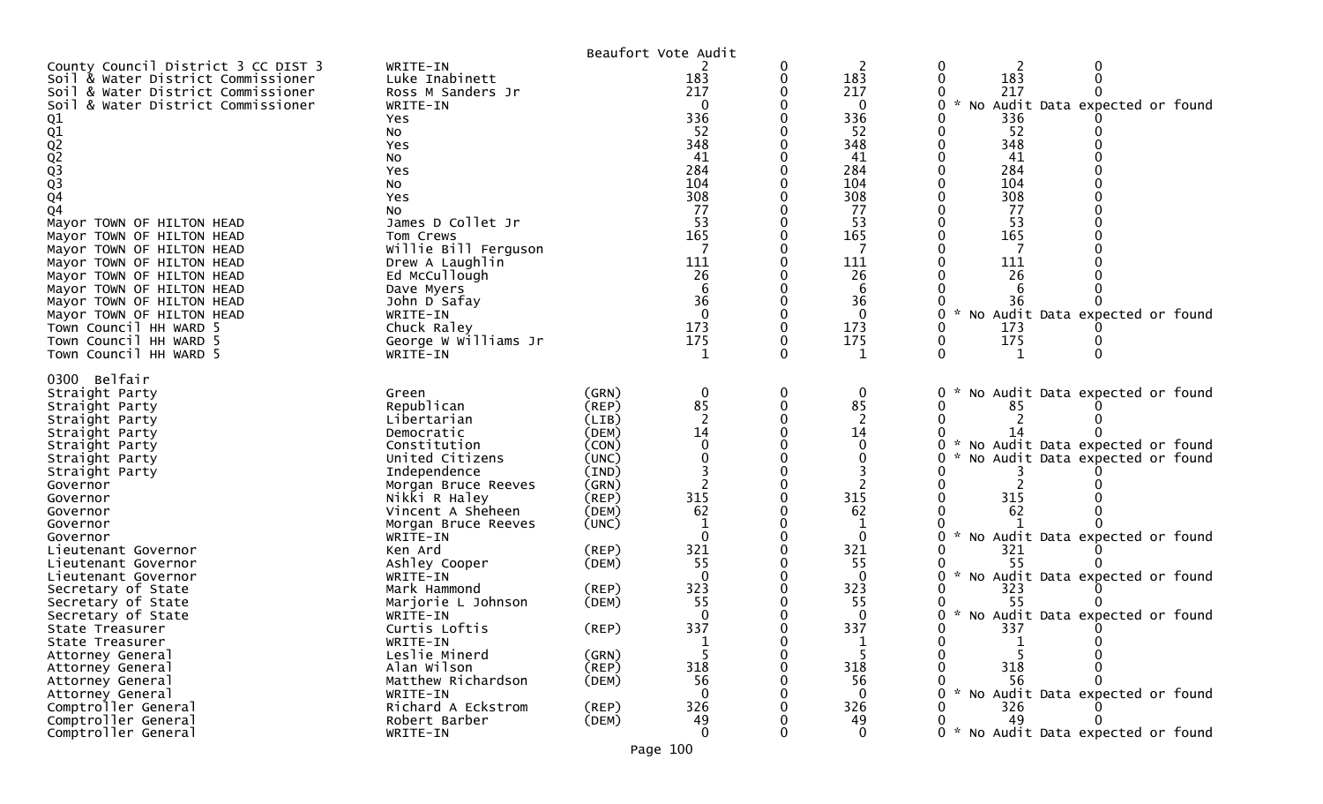|                                        |                           |             | Beaufort Vote Audit |                    |                                               |
|----------------------------------------|---------------------------|-------------|---------------------|--------------------|-----------------------------------------------|
| County Council District 3 CC DIST 3    | WRITE-IN                  |             |                     | 2                  | 2                                             |
| Soil & Water District Commissioner     | Luke Inabinett            |             | 183                 | 183                | 183                                           |
| Soil & Water District Commissioner     | Ross M Sanders Jr         |             | 217                 | 217                | 217                                           |
| Soil & Water District Commissioner     | WRITE-IN                  |             | $\Omega$            | $\Omega$           | No Audit Data expected or found<br>$\sim$     |
|                                        | Yes                       |             | 336                 | 336                | 336                                           |
|                                        | No                        |             | 52                  | 52                 | 52                                            |
|                                        | Yes                       |             | 348                 | 348                | 348                                           |
|                                        | No                        |             | 41                  | 41                 | 41                                            |
|                                        | Yes                       |             | 284                 | 284                | 284                                           |
|                                        | No                        |             | 104                 | 104                | 104                                           |
| 01<br>02<br>02<br>02<br>03<br>03<br>04 | Yes                       |             | 308                 | 308                | 308                                           |
| Q4                                     | No                        |             | 77                  | 77                 | 77                                            |
| Mayor TOWN OF HILTON HEAD              | James D Collet Jr         |             | 53                  | 53                 | 53                                            |
| Mayor TOWN OF HILTON HEAD              | Tom Crews                 |             | 165                 | 165                | 165                                           |
| Mayor TOWN OF HILTON HEAD              | Willie Bill Ferguson      |             |                     |                    |                                               |
| Mayor TOWN OF HILTON HEAD              | Drew A Laughlin           |             | 111                 | 111                | 111                                           |
| Mayor TOWN OF HILTON HEAD              | Ed McCullough             |             | 26                  | 26                 | 26                                            |
| Mayor TOWN OF HILTON HEAD              | Dave Myers                |             |                     | 6                  |                                               |
| Mayor TOWN OF HILTON HEAD              | John D Safay              |             | 36                  | 36                 | 36                                            |
| Mayor TOWN OF HILTON HEAD              | WRITE-IN                  |             | $\Omega$            | $\mathbf 0$        | $\sim$<br>No Audit Data expected or found     |
| Town Council HH WARD 5                 | Chuck Raley               |             | 173                 | 173                | 173                                           |
| Town Council HH WARD 5                 | George W Williams Jr      |             | 175                 | 175                | 175<br>0                                      |
| Town Council HH WARD 5                 | WRITE-IN                  |             |                     |                    | 0<br>1                                        |
| 0300 Belfair                           |                           |             |                     |                    |                                               |
| Straight Party                         | Green                     | (GRN)       | 0                   | 0                  | No Audit Data expected or found               |
| Straight Party                         | Republican                | (REP)       | 85                  | 85                 | 85                                            |
| Straight Party                         | Libertarian               | (LIB)       |                     | 2                  |                                               |
| Straight Party                         | Democratic                | (DEM)       | 14                  | 14                 |                                               |
| Straight Party                         | Constitution              | (CON)       |                     | $\mathbf 0$        | No Audit Data expected or found               |
| Straight Party                         | United Citizens           | (UNC)       |                     |                    | No Audit Data expected or found               |
| Straight Party                         | Independence              | (IND)       |                     |                    |                                               |
| Governor                               | Morgan Bruce Reeves       | (GRN)       |                     |                    |                                               |
| Governor                               | Nikki R Haley             | (REP)       | 315                 | 315                | 315                                           |
| Governor                               | Vincent A Sheheen         | (DEM)       | 62                  | 62                 | 62                                            |
| Governor                               | Morgan Bruce Reeves       | (UNC)       |                     |                    |                                               |
| Governor                               | WRITE-IN                  |             | $\Omega$            | $\Omega$           | No Audit Data expected or found               |
| Lieutenant Governor                    | Ken Ard                   | (REP)       | 321                 | 321                | 321                                           |
| Lieutenant Governor                    | Ashley Cooper             | (DEM)       | 55<br>$\Omega$      | 55                 | 55                                            |
| Lieutenant Governor                    | WRITE-IN                  |             |                     | $\Omega$           | * No Audit Data expected or found             |
| Secretary of State                     | Mark Hammond              | (REP)       | 323<br>55           | 323                | 323                                           |
| Secretary of State                     | Marjorie L Johnson        | (DEM)       |                     | 55<br>$\mathbf{0}$ | 55<br>$\sim$                                  |
| Secretary of State                     | WRITE-IN<br>Curtis Loftis |             | 337                 | 337                | No Audit Data expected or found<br>337        |
| State Treasurer                        |                           | $($ REP $)$ |                     |                    |                                               |
| State Treasurer                        | WRITE-IN<br>Leslie Minerd | (GRN)       |                     |                    |                                               |
| Attorney General<br>Attorney General   | Alan Wilson               | $($ REP $)$ | 318                 | 318                | 318                                           |
| Attorney General                       | Matthew Richardson        | (DEM)       | 56                  | 56                 | 56                                            |
| Attorney General                       | WRITE-IN                  |             | $\Omega$            | $\mathbf{0}$       | * No Audit Data expected or found             |
| Comptroller General                    | Richard A Eckstrom        | $($ REP $)$ | 326                 | 326                | 326                                           |
| Comptroller General                    | Robert Barber             | (DEM)       | 49                  | 49                 | 49                                            |
| Comptroller General                    | WRITE-IN                  |             | $\mathbf{0}$        | $\mathbf 0$        | * No Audit Data expected or found<br>$\Omega$ |
|                                        |                           |             |                     |                    |                                               |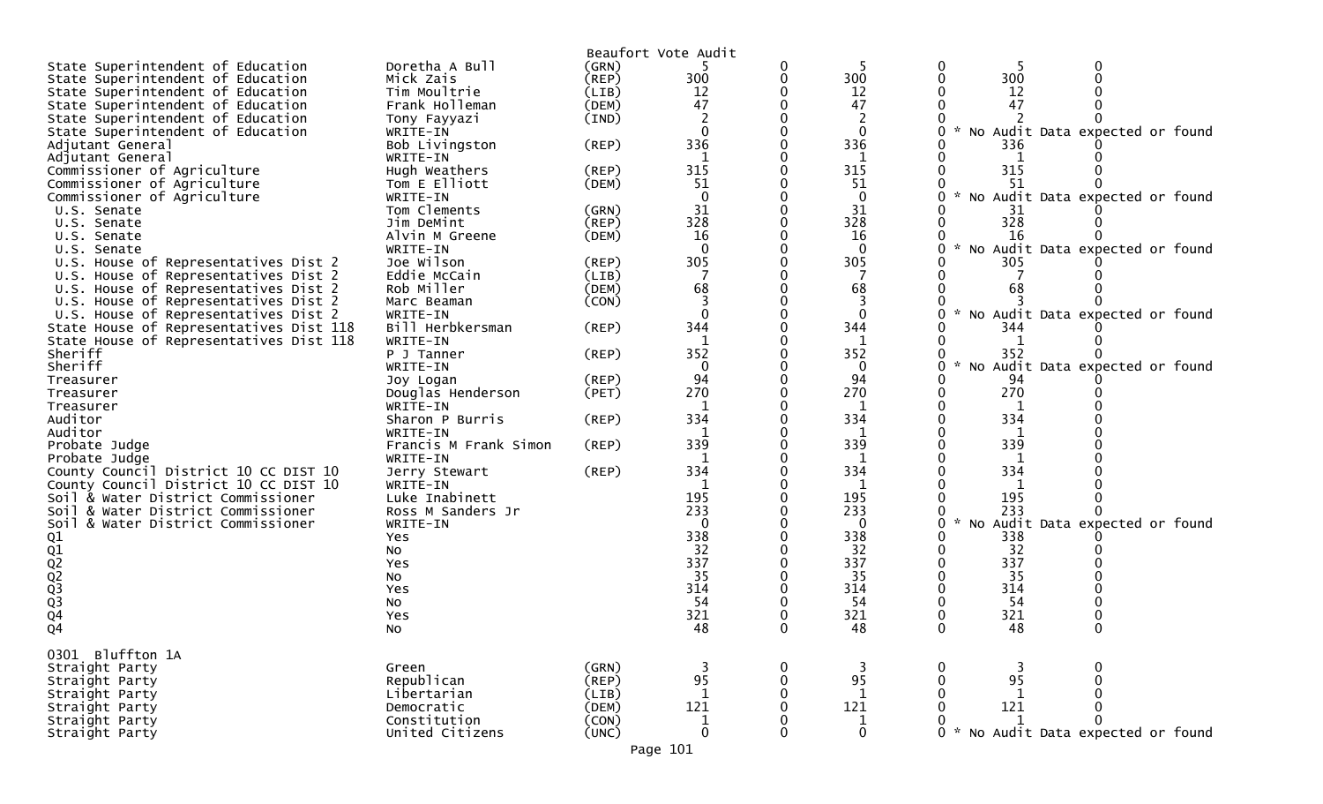|                                         |                       |             | Beaufort Vote Audit |          |                |               |                                    |
|-----------------------------------------|-----------------------|-------------|---------------------|----------|----------------|---------------|------------------------------------|
| State Superintendent of Education       | Doretha A Bull        | (GRN)       |                     | 0        |                |               |                                    |
| State Superintendent of Education       | Mick Zais             | (REP)       | 300                 | 0        | 300            | 300           |                                    |
| State Superintendent of Education       | Tim Moultrie          | (LIB)       | 12                  |          | 12             | 12            |                                    |
| State Superintendent of Education       | Frank Holleman        | (DEM)       | 47                  |          | 47             | 47            |                                    |
| State Superintendent of Education       | Tony Fayyazi          | (IND)       |                     |          | $\overline{2}$ |               |                                    |
| State Superintendent of Education       | WRITE-IN              |             | $\Omega$            |          | $\mathbf{0}$   |               | No Audit Data expected or<br>found |
| Adjutant General                        | Bob Livingston        | $($ REP $)$ | 336                 |          | 336            | 336           |                                    |
| Adjutant General                        | WRITE-IN              |             | 1                   |          | 1              |               |                                    |
| Commissioner of Agriculture             | Hugh Weathers         | (REP)       | 315                 |          | 315            | 315           |                                    |
| Commissioner of Agriculture             | Tom E Elliott         | (DEM)       | 51                  |          | 51             | 51            |                                    |
| Commissioner of Agriculture             | WRITE-IN              |             | $\Omega$            |          | $\mathbf 0$    | $\sim$        | No Audit Data expected or found    |
| U.S. Senate                             | Tom Clements          | (GRN)       | 31                  |          | 31             | 31            |                                    |
| U.S. Senate                             | Jim DeMint            | $($ REP)    | 328                 |          | 328            | 328           |                                    |
| U.S. Senate                             | Alvin M Greene        | (DEM)       | 16                  |          | 16             | 16            |                                    |
| U.S. Senate                             | WRITE-IN              |             | $\Omega$            |          | $\Omega$       |               | * No Audit Data expected or found  |
| U.S. House of Representatives Dist 2    | Joe Wilson            | (REP)       | 305                 |          | 305            | 305           |                                    |
| U.S. House of Representatives Dist 2    | Eddie McCain          | (LIB)       |                     |          | 7              |               |                                    |
| U.S. House of Representatives Dist 2    | Rob Miller            | (DEM)       | 68                  |          | 68             | 68            |                                    |
| U.S. House of Representatives Dist 2    | Marc Beaman           | (CON)       |                     |          | 3              |               |                                    |
| U.S. House of Representatives Dist 2    | WRITE-IN              |             | $\Omega$            |          | $\Omega$       |               | * No Audit Data expected or found  |
| State House of Representatives Dist 118 | Bill Herbkersman      | $($ REP $)$ | 344                 |          | 344            | 344           |                                    |
| State House of Representatives Dist 118 | WRITE-IN              |             | 1                   |          | 1              |               |                                    |
| Sheriff                                 | P J Tanner            | (REP)       | 352                 |          | 352            | 352           |                                    |
| Sheriff                                 | WRITE-IN              |             | $\mathbf{0}$        |          | $\mathbf{0}$   | $\sim$        | No Audit Data expected or found    |
| Treasurer                               | Joy Logan             | $($ REP $)$ | 94                  |          | 94             | 94            |                                    |
| Treasurer                               | Douglas Henderson     | (PET)       | 270                 |          | 270            | 270           |                                    |
| Treasurer                               | WRITE-IN              |             |                     |          |                |               |                                    |
| Auditor                                 | Sharon P Burris       | $($ REP $)$ | 334                 |          | 334            | 334           |                                    |
| Auditor                                 | WRITE-IN              |             | 1                   |          | 1              | 1             |                                    |
| Probate Judge                           | Francis M Frank Simon | $($ REP $)$ | 339                 |          | 339            | 339           |                                    |
| Probate Judge                           | WRITE-IN              |             | 1                   |          | 1              | 1             |                                    |
| County Council District 10 CC DIST 10   | Jerry Stewart         | $($ REP $)$ | 334                 |          | 334            | 334           |                                    |
| County Council District 10 CC DIST 10   | WRITE-IN              |             |                     |          | 1              |               |                                    |
| Soil & Water District Commissioner      | Luke Inabinett        |             | 195                 |          | 195            | 195           |                                    |
| Soil & Water District Commissioner      | Ross M Sanders Jr     |             | 233                 |          | 233            | 233           |                                    |
| Soil & Water District Commissioner      | WRITE-IN              |             | $\mathbf{0}$        |          | 0              | $\sim$        | No Audit Data expected or found    |
|                                         | Yes                   |             | 338                 |          | 338            | 338           |                                    |
|                                         | No                    |             | 32                  |          | 32             | 32            |                                    |
| 01<br>02<br>02<br>02<br>03<br>03<br>04  | Yes                   |             | 337                 |          | 337            | 337           |                                    |
|                                         | No                    |             | 35                  |          | 35             | 35            |                                    |
|                                         | Yes                   |             | 314                 |          | 314            | 314           |                                    |
|                                         | No                    |             | 54                  |          | 54             | 54            |                                    |
|                                         | Yes                   |             | 321                 |          | 321            | 321           |                                    |
| Q4                                      | No                    |             | 48                  |          | 48             | 48            |                                    |
|                                         |                       |             |                     |          |                |               |                                    |
| 0301 Bluffton 1A                        |                       |             |                     |          |                |               |                                    |
| Straight Party                          | Green                 | (GRN)       |                     | 0        | 3              |               |                                    |
| Straight Party                          | Republican            | (REP)       | 95                  | $\Omega$ | 95             | 95            |                                    |
| Straight Party                          | Libertarian           | (LIB)       | $\mathbf{1}$        |          | $\mathbf{1}$   | 1             |                                    |
| Straight Party                          | Democratic            | (DEM)       | 121                 | 0        | 121            | 121           |                                    |
| Straight Party                          | Constitution          | (CON)       | $\mathbf 1$         |          |                |               |                                    |
| Straight Party                          | United Citizens       | (UNC)       | $\mathbf 0$         | 0        | $\frac{1}{0}$  | $\Omega$<br>* | No Audit Data expected or found    |
|                                         |                       |             | Page 101            |          |                |               |                                    |
|                                         |                       |             |                     |          |                |               |                                    |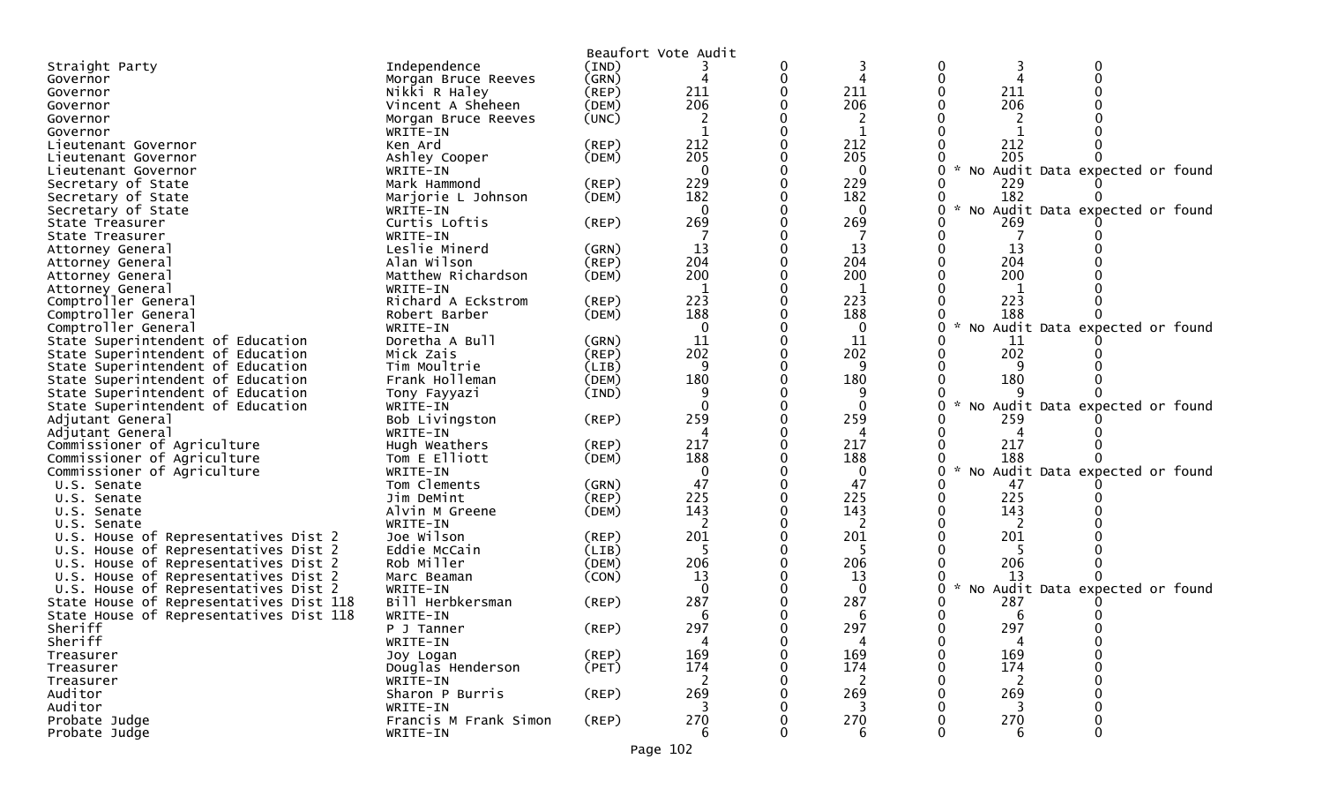|                                         |                              |                | Beaufort Vote Audit |   |                |           |                                 |       |
|-----------------------------------------|------------------------------|----------------|---------------------|---|----------------|-----------|---------------------------------|-------|
| Straight Party                          | Independence                 | (IND)          |                     | 0 |                |           |                                 |       |
| Governor                                | Morgan Bruce Reeves          | (GRN)          |                     | 0 |                |           |                                 |       |
| Governor                                | Nikki R Haley                | (REP)          | 211                 |   | 211            | 211       |                                 |       |
| Governor                                | Vincent A Sheheen            | (DEM)          | 206                 |   | 206            | 206       |                                 |       |
| Governor                                | Morgan Bruce Reeves          | (UNC)          | 2                   |   |                |           |                                 |       |
| Governor                                | WRITE-IN                     |                |                     |   |                |           |                                 |       |
| Lieutenant Governor                     | Ken Ard                      | $($ REP $)$    | 212                 |   | 212            | 212       |                                 |       |
| Lieutenant Governor                     | Ashley Cooper                | (DEM)          | 205                 |   | 205            | 205       |                                 |       |
| Lieutenant Governor                     | WRITE-IN                     |                | $\Omega$            |   | $\Omega$       |           | No Audit Data expected or       | found |
| Secretary of State                      | Mark Hammond                 | $($ REP $)$    | 229                 |   | 229            | 229       |                                 |       |
| Secretary of State                      | Marjorie L Johnson           | (DEM)          | 182                 |   | 182            | 182       |                                 |       |
| Secretary of State                      | WRITE-IN                     |                | $\Omega$            |   | $\Omega$       |           | No Audit Data expected or found |       |
| State Treasurer                         | Curtis Loftis                | (REP)          | 269                 |   | 269            | 269       |                                 |       |
| State Treasurer                         | WRITE-IN                     |                |                     |   |                |           |                                 |       |
| Attorney General                        | Leslie Minerd                | (GRN)          | 13                  |   | 13             | 13        |                                 |       |
| Attorney General                        | Alan Wilson                  | (REP)          | 204                 |   | 204            | 204       |                                 |       |
| Attorney General                        | Matthew Richardson           | (DEM)          | 200                 |   | 200            | 200       |                                 |       |
| Attorney General                        | WRITE-IN                     |                | -1                  |   |                |           |                                 |       |
| Comptroller General                     | Richard A Eckstrom           | (REP)          | 223                 |   | 223            | 223       |                                 |       |
| Comptroller General                     | Robert Barber                | (DEM)          | 188                 |   | 188            | 188       |                                 |       |
| Comptroller General                     | WRITE-IN                     |                | $\mathbf{0}$        |   | $\Omega$       | <b>NO</b> | Audit Data expected or found    |       |
| State Superintendent of Education       | Doretha A Bull               | (GRN)          | 11                  |   | 11             | 11        |                                 |       |
| State Superintendent of Education       | Mick Zais                    | $($ REP $)$    | 202                 |   | 202            | 202       |                                 |       |
| State Superintendent of Education       | Tim Moultrie                 | (LIB)          | q                   |   | 9              |           |                                 |       |
| State Superintendent of Education       | Frank Holleman               | (DEM)          | 180                 |   | 180            | 180       |                                 |       |
| State Superintendent of Education       | Tony Fayyazi                 | (IND)          |                     |   | 9              |           |                                 |       |
| State Superintendent of Education       | WRITE-IN                     |                | $\Omega$            | 0 | $\mathbf{0}$   | <b>NO</b> | Audit Data expected or found    |       |
| Adjutant General                        | Bob Livingston               | (REP)          | 259                 |   | 259            | 259       |                                 |       |
| Adjutant General                        | WRITE-IN                     |                |                     |   | 4              |           |                                 |       |
| Commissioner of Agriculture             | Hugh Weathers                | (REP)          | 217<br>188          |   | 217            | 217       |                                 |       |
| Commissioner of Agriculture             | Tom E Elliott                | (DEM)          |                     |   | 188            | 188       |                                 |       |
| Commissioner of Agriculture             | WRITE-IN<br>Tom Clements     |                | $\Omega$<br>47      |   | $\Omega$<br>47 | -47       | No Audit Data expected or found |       |
| U.S. Senate                             |                              | (GRN)<br>(REP) | 225                 |   | 225            | 225       |                                 |       |
| U.S. Senate                             | Jim DeMint<br>Alvin M Greene |                | 143                 |   | 143            | 143       |                                 |       |
| U.S. Senate<br>U.S. Senate              | WRITE-IN                     | (DEM)          |                     |   | 2              |           |                                 |       |
| U.S. House of Representatives Dist 2    | Joe Wilson                   | $($ REP $)$    | 201                 |   | 201            | 201       |                                 |       |
| U.S. House of Representatives Dist 2    | Eddie McCain                 | (LIB)          |                     |   |                |           |                                 |       |
| U.S. House of Representatives Dist 2    | Rob Miller                   | (DEM)          | 206                 |   | 206            | 206       |                                 |       |
| U.S. House of Representatives Dist 2    | Marc Beaman                  | (CON)          | 13                  |   | 13             | 13        |                                 |       |
| U.S. House of Representatives Dist 2    | WRITE-IN                     |                | $\Omega$            |   | $\mathbf{0}$   |           | No Audit Data expected or found |       |
| State House of Representatives Dist 118 | Bill Herbkersman             | (REP)          | 287                 |   | 287            | 287       |                                 |       |
| State House of Representatives Dist 118 | WRITE-IN                     |                | 6                   |   | 6              | 6         |                                 |       |
| Sheriff                                 | P J Tanner                   | $($ REP $)$    | 297                 |   | 297            | 297       |                                 |       |
| Sheriff                                 | WRITE-IN                     |                | 4                   |   | 4              | 4         |                                 |       |
| Treasurer                               | Joy Logan                    | $($ REP $)$    | 169                 |   | 169            | 169       |                                 |       |
| Treasurer                               | Douglas Henderson            | (PET)          | 174                 |   | 174            | 174       |                                 |       |
| Treasurer                               | WRITE-IN                     |                | 2                   |   | 2              | 2         |                                 |       |
| Auditor                                 | Sharon P Burris              | $($ REP $)$    | 269                 |   | 269            | 269       |                                 |       |
| Auditor                                 | WRITE-IN                     |                |                     |   |                |           |                                 |       |
| Probate Judge                           | Francis M Frank Simon        | $($ REP $)$    | 270                 |   | 270            | 270       |                                 |       |
| Probate Judge                           | WRITE-IN                     |                | 6                   |   | 6              | 6         |                                 |       |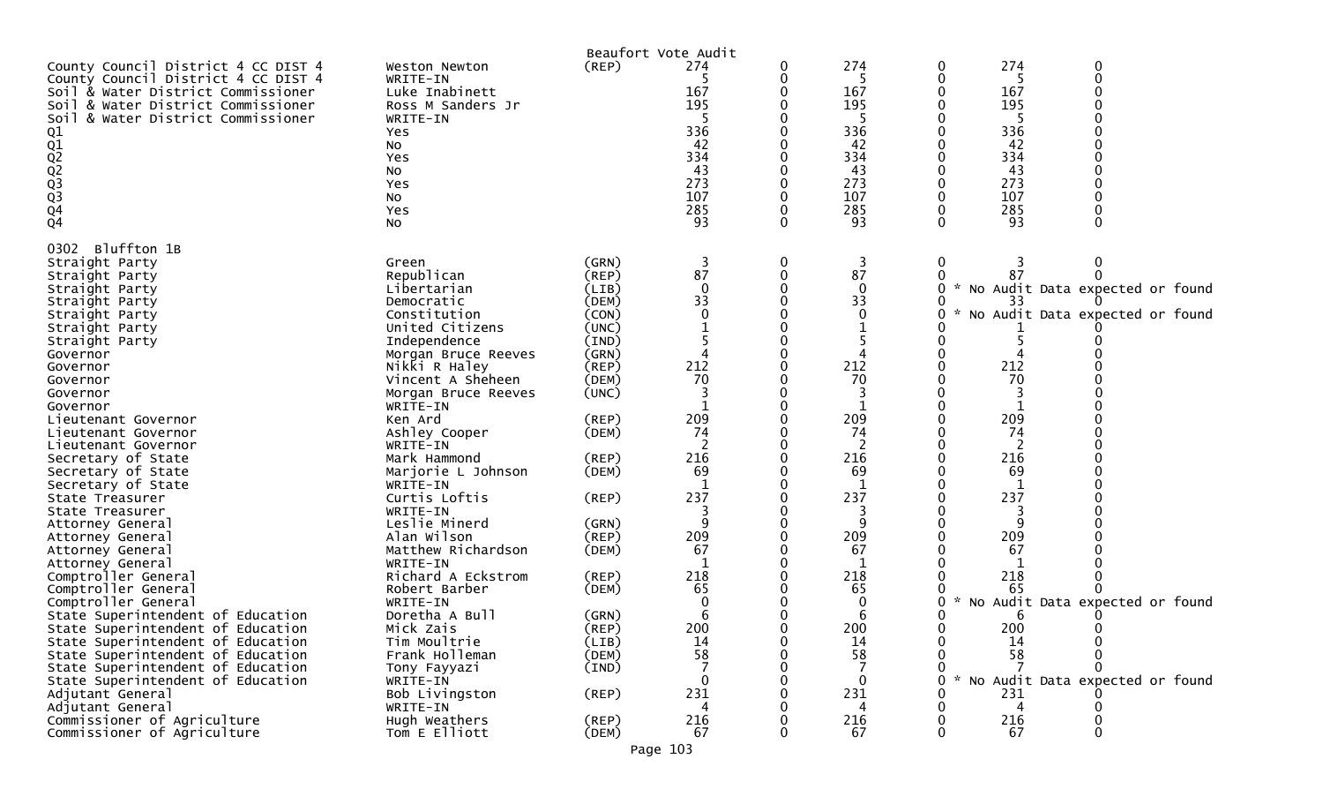|                                                                                                                                                                                                                                                                                                                                                                                                                                                        |                                                                                                                                                                                                                                                                                                                                                                                  |                                                                                                                                                                               | Beaufort Vote Audit                                                                  |                                                                                                               |                                                                                                                                                                                         |  |
|--------------------------------------------------------------------------------------------------------------------------------------------------------------------------------------------------------------------------------------------------------------------------------------------------------------------------------------------------------------------------------------------------------------------------------------------------------|----------------------------------------------------------------------------------------------------------------------------------------------------------------------------------------------------------------------------------------------------------------------------------------------------------------------------------------------------------------------------------|-------------------------------------------------------------------------------------------------------------------------------------------------------------------------------|--------------------------------------------------------------------------------------|---------------------------------------------------------------------------------------------------------------|-----------------------------------------------------------------------------------------------------------------------------------------------------------------------------------------|--|
| County Council District 4 CC DIST 4<br>County Council District 4 CC DIST 4<br>Soil & Water District Commissioner<br>Soil & Water District Commissioner<br>Soil & Water District Commissioner<br>01<br>02<br>02<br>02<br>03<br>04<br>04                                                                                                                                                                                                                 | Weston Newton<br>WRITE-IN<br>Luke Inabinett<br>Ross M Sanders Jr<br>WRITE-IN<br>Yes<br>No<br>Yes<br>No<br>Yes<br>No<br>Yes<br>No                                                                                                                                                                                                                                                 | (REP)                                                                                                                                                                         | 274<br>167<br>195<br>336<br>42<br>334<br>43<br>273<br>107<br>285<br>93               | 274<br>5<br>167<br>195<br>-5<br>336<br>42<br>334<br>43<br>273<br>107<br>285<br>93                             | 274<br>0<br>0<br>0<br>5<br>167<br>195<br>5<br>336<br>42<br>334<br>43<br>273<br>107<br>285<br>93<br>O<br>∩                                                                               |  |
| Bluffton 1B<br>0302<br>Straight Party<br>Straight Party<br>Straight Party<br>Straight Party<br>Straight Party<br>Straight Party<br>Straight Party<br>Governor<br>Governor<br>Governor<br>Governor<br>Governor<br>Lieutenant Governor<br>Lieutenant Governor<br>Lieutenant Governor<br>Secretary of State<br>Secretary of State<br>Secretary of State<br>State Treasurer<br>State Treasurer<br>Attorney General<br>Attorney General<br>Attorney General | Green<br>Republican<br>Libertarian<br>Democratic<br>Constitution<br>United Citizens<br>Independence<br>Morgan Bruce Reeves<br>Nikki R Haley<br>Vincent A Sheheen<br>Morgan Bruce Reeves<br>WRITE-IN<br>Ken Ard<br>Ashley Cooper<br>WRITE-IN<br>Mark Hammond<br>Marjorie L Johnson<br>WRITE-IN<br>Curtis Loftis<br>WRITE-IN<br>Leslie Minerd<br>Alan Wilson<br>Matthew Richardson | (GRN)<br>$($ REP $)$<br>(LIB)<br>(DEM)<br>(CON)<br>(UNC)<br>(IND)<br>(GRN)<br>(REP)<br>(DEM)<br>(UNC)<br>(REP)<br>(DEM)<br>(REP)<br>(DEM)<br>(REP)<br>(GRN)<br>(REP)<br>(DEM) | 3<br>87<br>$\Omega$<br>33<br>212<br>70<br>209<br>74<br>216<br>69<br>237<br>209<br>67 | 3<br>87<br>$\mathbf 0$<br>33<br>$\Omega$<br>212<br>70<br>209<br>74<br>216<br>69<br>237<br>3<br>9<br>209<br>67 | 0<br>$\mathbf{0}$<br>3<br>87<br>O<br>No Audit Data expected or found<br>*<br>33<br>No Audit Data expected or found<br>212<br>70<br>209<br>74<br>216<br>69<br>237<br>3<br>9<br>209<br>67 |  |
| Attorney General<br>Comptroller General<br>Comptroller General<br>Comptroller General<br>State Superintendent of Education<br>State Superintendent of Education<br>State Superintendent of Education<br>State Superintendent of Education<br>State Superintendent of Education<br>State Superintendent of Education                                                                                                                                    | WRITE-IN<br>Richard A Eckstrom<br>Robert Barber<br>WRITE-IN<br>Doretha A Bull<br>Mick Zais<br>Tim Moultrie<br>Frank Holleman<br>Tony Fayyazi<br>WRITE-IN                                                                                                                                                                                                                         | (REP)<br>(DEM)<br>(GRN)<br>(REP)<br>(LIB)<br>(DEM)<br>(IND)                                                                                                                   | 218<br>65<br>b<br>200<br>14<br>58                                                    | 218<br>65<br>0<br>6<br>200<br>14<br>58<br>$\mathbf{0}$                                                        | 218<br>65<br>No Audit Data expected or found<br>O<br>6<br>200<br>0<br>$\Omega$<br>0<br>14<br>0<br>58<br>0<br>No Audit Data expected or found<br>U                                       |  |
| Adjutant General<br>Adjutant General<br>Commissioner of Agriculture<br>Commissioner of Agriculture                                                                                                                                                                                                                                                                                                                                                     | Bob Livingston<br>WRITE-IN<br>Hugh Weathers<br>Tom E Elliott                                                                                                                                                                                                                                                                                                                     | (REP)<br>$($ REP $)$<br>(DEM)                                                                                                                                                 | 231<br>216<br>67                                                                     | 231<br>4<br>216<br>67                                                                                         | 231<br>4<br>216<br>67                                                                                                                                                                   |  |

Page 103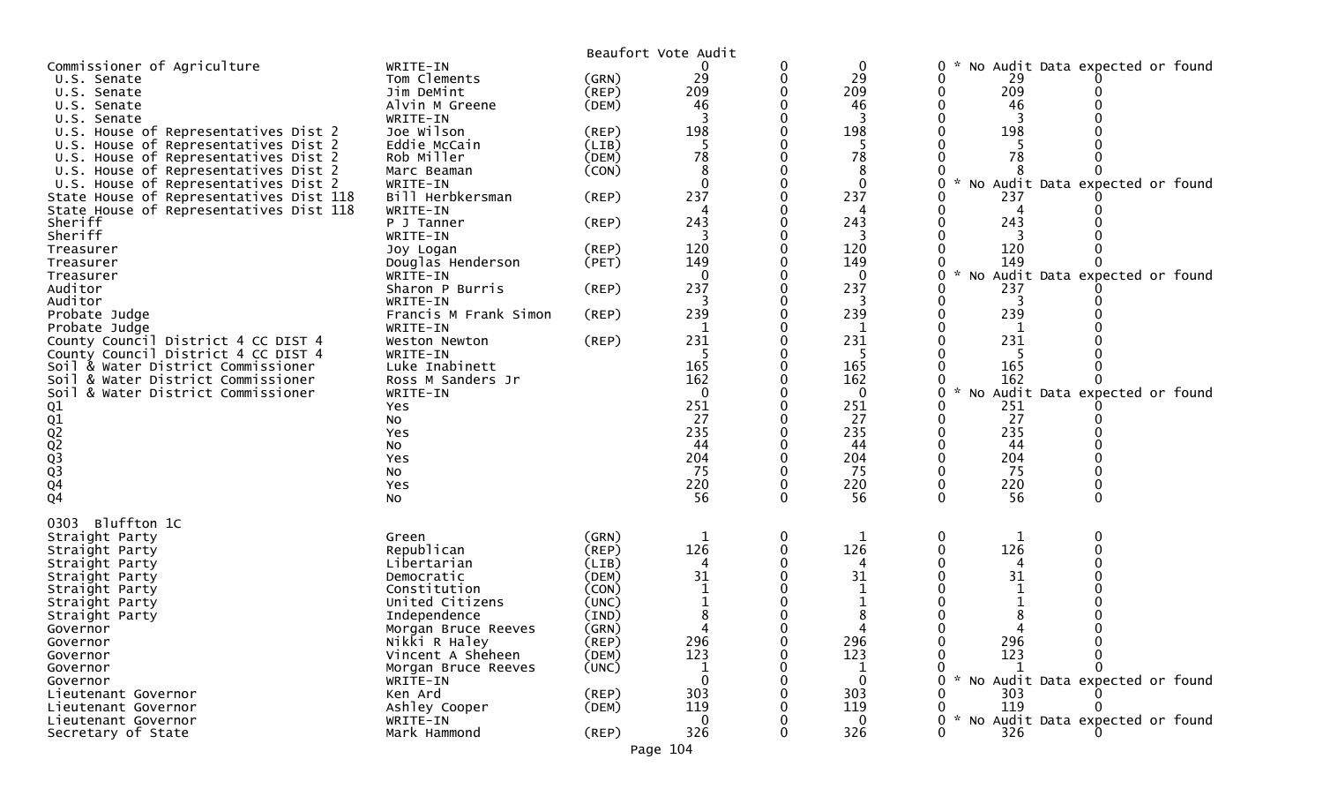|                                                                                 |                                 |                | Beaufort Vote Audit |   |                    |                                                       |
|---------------------------------------------------------------------------------|---------------------------------|----------------|---------------------|---|--------------------|-------------------------------------------------------|
| Commissioner of Agriculture                                                     | WRITE-IN                        |                |                     |   | 0                  | No Audit Data expected or found<br>0                  |
| U.S. Senate                                                                     | Tom Clements                    | (GRN)          | 29                  |   | 29                 | 29                                                    |
| U.S. Senate                                                                     | Jim DeMint                      | (REP)          | 209                 |   | 209                | 209                                                   |
| U.S. Senate                                                                     | Alvin M Greene                  | (DEM)          | 46                  |   | 46                 | 46                                                    |
| U.S. Senate                                                                     | WRITE-IN                        |                |                     |   |                    |                                                       |
| U.S. House of Representatives Dist 2                                            | Joe Wilson                      | (REP)          | 198                 |   | 198                | 198                                                   |
| U.S. House of Representatives Dist 2                                            | Eddie McCain                    | (LIB)          | .5                  |   | -5                 |                                                       |
| U.S. House of Representatives Dist 2                                            | Rob Miller                      | (DEM)          | 78                  |   | 78                 | 78                                                    |
| U.S. House of Representatives Dist 2                                            | Marc Beaman<br>WRITE-IN         | (CON)          | 8<br>$\Omega$       |   | 8                  | $\mathcal{H}$                                         |
| U.S. House of Representatives Dist 2<br>State House of Representatives Dist 118 | Bill Herbkersman                | (REP)          | 237                 |   | $\mathbf 0$<br>237 | No Audit Data expected or found<br>237                |
| State House of Representatives Dist 118                                         | WRITE-IN                        |                |                     |   |                    |                                                       |
| Sheriff                                                                         | P J Tanner                      | (REP)          | 243                 |   | 243                | 243                                                   |
| Sheriff                                                                         | WRITE-IN                        |                |                     |   |                    |                                                       |
| Treasurer                                                                       | Joy Logan                       | $($ REP $)$    | 120                 |   | 120                | 120                                                   |
| Treasurer                                                                       | Douglas Henderson               | (PET)          | 149                 |   | 149                | 149                                                   |
| Treasurer                                                                       | WRITE-IN                        |                |                     |   | $\Omega$           | $\mathcal{H}$<br>No Audit Data expected or found<br>U |
| Auditor                                                                         | Sharon P Burris                 | (REP)          | 237                 |   | 237                | 237                                                   |
| Auditor                                                                         | WRITE-IN                        |                |                     |   |                    | 3                                                     |
| Probate Judge                                                                   | Francis M Frank Simon           | $($ REP $)$    | 239                 |   | 239                | 239                                                   |
| Probate Judge                                                                   | WRITE-IN                        |                | 1                   |   | 1                  |                                                       |
| County Council District 4 CC DIST 4                                             | Weston Newton                   | $($ REP $)$    | 231                 |   | 231                | 231                                                   |
| County Council District 4 CC DIST 4                                             | WRITE-IN                        |                |                     |   |                    |                                                       |
| Soil & Water District Commissioner                                              | Luke Inabinett                  |                | 165                 |   | 165                | 165                                                   |
| & Water District Commissioner<br>Soil                                           | Ross M Sanders Jr               |                | 162                 |   | 162                | 162                                                   |
| Soil & Water District Commissioner                                              | WRITE-IN                        |                | $\Omega$            |   | $\Omega$           | No Audit Data expected or found<br>0                  |
| 01<br>01<br>02<br>02<br>03<br>03<br>04                                          | Yes                             |                | 251                 |   | 251                | 251                                                   |
|                                                                                 | No                              |                | 27                  |   | 27                 | 27                                                    |
|                                                                                 | Yes                             |                | 235                 |   | 235                | 235                                                   |
|                                                                                 | No                              |                | 44<br>204           |   | 44<br>204          | 44<br>204                                             |
|                                                                                 | Yes                             |                | 75                  |   | 75                 | 75                                                    |
|                                                                                 | No<br>Yes                       |                | 220                 |   | 220                | 220                                                   |
| Q <sub>4</sub>                                                                  | No                              |                | 56                  |   | 56                 | 56<br>0<br>0                                          |
|                                                                                 |                                 |                |                     |   |                    |                                                       |
| Bluffton 1C<br>0303                                                             |                                 |                |                     |   |                    |                                                       |
| Straight Party                                                                  | Green                           | (GRN)          | 1                   | 0 | 1                  | 0<br>1                                                |
| Straight Party                                                                  | Republican                      | (REP)          | 126                 |   | 126                | 126                                                   |
| Straight Party                                                                  | Libertarian                     | (LIB)          | 4                   |   |                    |                                                       |
| Straight Party                                                                  | Democratic                      | (DEM)          | 31                  |   | 31                 | 31                                                    |
| Straight Party                                                                  | Constitution                    | (CON)          |                     |   |                    |                                                       |
| Straight Party                                                                  | United Citizens<br>Independence | (UNC)<br>(IND) |                     |   |                    |                                                       |
| Straight Party<br>Governor                                                      | Morgan Bruce Reeves             | (GRN)          |                     |   |                    |                                                       |
| Governor                                                                        | Nikki R Haley                   | $($ REP $)$    | 296                 |   | 296                | 296                                                   |
| Governor                                                                        | Vincent A Sheheen               | (DEM)          | 123                 |   | 123                | 123                                                   |
| Governor                                                                        | Morgan Bruce Reeves             | (UNC)          |                     |   |                    |                                                       |
| Governor                                                                        | WRITE-IN                        |                |                     |   | $\mathbf{0}$       | No Audit Data expected or found<br>W.                 |
| Lieutenant Governor                                                             | Ken Ard                         | (REP)          | 303                 |   | 303                | 303                                                   |
| Lieutenant Governor                                                             | Ashley Cooper                   | (DEM)          | 119                 |   | 119                | 119                                                   |
| Lieutenant Governor                                                             | WRITE-IN                        |                |                     |   | $\mathbf{0}$       | No Audit Data expected or found                       |
| Secretary of State                                                              | Mark Hammond                    | $($ REP $)$    | 326                 |   | 326                | 326<br>0                                              |
|                                                                                 |                                 |                | Page 104            |   |                    |                                                       |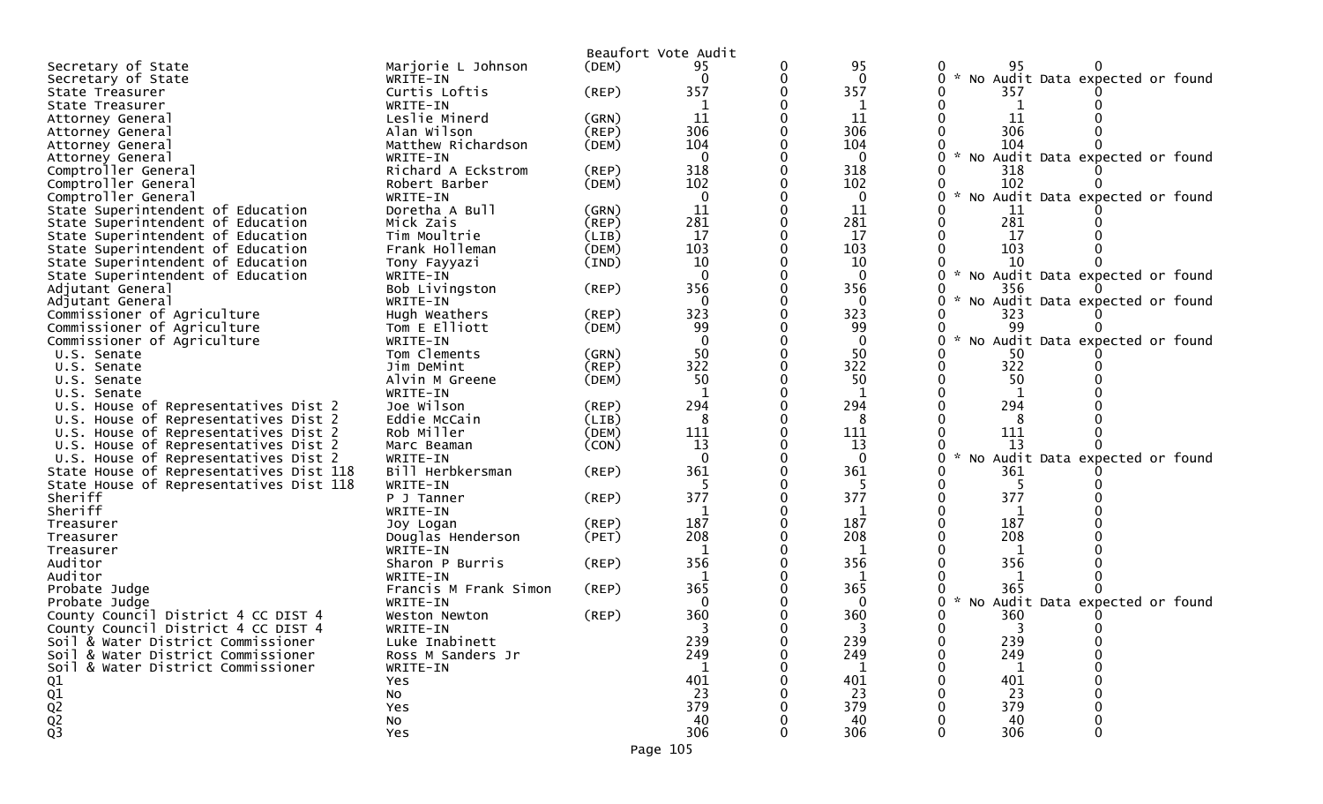|                                         |                       |             | Beaufort Vote Audit |          |              |                                                  |
|-----------------------------------------|-----------------------|-------------|---------------------|----------|--------------|--------------------------------------------------|
| Secretary of State                      | Marjorie L Johnson    | (DEM)       | 95                  | 0        | 95           | 95                                               |
| Secretary of State                      | WRITE-IN              |             | $\Omega$            |          | $\mathbf{0}$ | * No Audit Data expected or found                |
| State Treasurer                         | Curtis Loftis         | $($ REP $)$ | 357                 |          | 357          | 357                                              |
| State Treasurer                         | WRITE-IN              |             | 1                   |          | 1            |                                                  |
| Attorney General                        | Leslie Minerd         | (GRN)       | 11                  |          | 11           | 11                                               |
| Attorney General                        | Alan Wilson           | (REP)       | 306                 |          | 306          | 306                                              |
| Attorney General                        | Matthew Richardson    | (DEM)       | 104                 |          | 104          | 104                                              |
| Attorney General                        | WRITE-IN              |             | $\mathbf{0}$        |          | $\mathbf 0$  | * No Audit Data expected or found                |
| Comptroller General                     | Richard A Eckstrom    | (REP)       | 318                 |          | 318          | 318                                              |
| Comptroller General                     | Robert Barber         | (DEM)       | 102                 |          | 102          | 102                                              |
| Comptroller General                     |                       |             | $\mathbf 0$         |          | $\mathbf 0$  | $\sim$<br>No Audit Data expected or found        |
|                                         | WRITE-IN              |             |                     |          |              |                                                  |
| State Superintendent of Education       | Doretha A Bull        | (GRN)       | 11<br>281           |          | 11           | 11<br>281                                        |
| State Superintendent of Education       | Mick Zais             | (REP)       |                     |          | 281          |                                                  |
| State Superintendent of Education       | Tim Moultrie          | (LIB)       | 17                  |          | 17           | 17                                               |
| State Superintendent of Education       | Frank Holleman        | (DEM)       | 103                 |          | 103          | 103                                              |
| State Superintendent of Education       | Tony Fayyazi          | (IND)       | 10                  |          | 10           | 10                                               |
| State Superintendent of Education       | WRITE-IN              |             | $\Omega$            |          | $\mathbf{0}$ | * No Audit Data expected or found                |
| Adjutant General                        | Bob Livingston        | (REP)       | 356                 |          | 356          | 356                                              |
| Adjutant General                        | WRITE-IN              |             | $\mathbf{0}$        |          | $\mathbf{0}$ | No Audit Data expected or found                  |
| Commissioner of Agriculture             | Hugh Weathers         | (REP)       | 323                 |          | 323          | 323                                              |
| Commissioner of Agriculture             | Tom E Elliott         | (DEM)       | 99                  |          | 99           |                                                  |
| Commissioner of Agriculture             | WRITE-IN              |             | $\overline{0}$      |          | $\mathbf 0$  | $\mathcal{H}$<br>No Audit Data expected or found |
| U.S. Senate                             | Tom Clements          | (GRN)       | 50                  |          | 50           | 50                                               |
| U.S. Senate                             | Jim DeMint            | (REP)       | 322                 | $\Omega$ | 322          | 322                                              |
| U.S. Senate                             | Alvin M Greene        | (DEM)       | 50                  |          | 50           | 50                                               |
| U.S. Senate                             | WRITE-IN              |             | $\mathbf{1}$        |          | 1            |                                                  |
| U.S. House of Representatives Dist 2    | Joe Wilson            | (REP)       | 294                 |          | 294          | 294                                              |
| U.S. House of Representatives Dist 2    | Eddie McCain          | (LIB)       | 8                   |          | 8            | 8                                                |
| U.S. House of Representatives Dist 2    | Rob Miller            | (DEM)       | 111                 |          | 111          | 111                                              |
|                                         |                       |             | 13                  |          | 13           | 13                                               |
| U.S. House of Representatives Dist 2    | Marc Beaman           | (CON)       | $\mathbf{0}$        |          | $\Omega$     | * No Audit Data expected or                      |
| U.S. House of Representatives Dist 2    | WRITE-IN              |             |                     |          |              | found                                            |
| State House of Representatives Dist 118 | Bill Herbkersman      | (REP)       | 361                 |          | 361          | 361                                              |
| State House of Representatives Dist 118 | WRITE-IN              |             |                     |          |              |                                                  |
| Sheriff                                 | P J Tanner            | (REP)       | 377                 |          | 377          | 377                                              |
| Sheriff                                 | WRITE-IN              |             | 1                   |          | 1            |                                                  |
| Treasurer                               | Joy Logan             | (REP)       | 187                 |          | 187          | 187                                              |
| Treasurer                               | Douglas Henderson     | (PET)       | 208                 |          | 208          | 208                                              |
| Treasurer                               | WRITE-IN              |             |                     |          | 1            |                                                  |
| Auditor                                 | Sharon P Burris       | (REP)       | 356                 |          | 356          | 356                                              |
| Auditor                                 | WRITE-IN              |             | 1                   |          | 1            |                                                  |
| Probate Judge                           | Francis M Frank Simon | $($ REP $)$ | 365                 |          | 365          | 365                                              |
| Probate Judge                           | WRITE-IN              |             | $\Omega$            |          | $\Omega$     | No Audit Data expected or found                  |
| County Council District 4 CC DIST 4     | Weston Newton         | $($ REP $)$ | 360                 |          | 360          | 360                                              |
| County Council District 4 CC DIST 4     | WRITE-IN              |             |                     |          |              | 3                                                |
| Soil & Water District Commissioner      | Luke Inabinett        |             | 239                 |          | 239          | 239                                              |
| Soil & Water District Commissioner      | Ross M Sanders Jr     |             | 249                 |          | 249          | 249                                              |
| Soil & Water District Commissioner      | WRITE-IN              |             |                     |          |              |                                                  |
|                                         | Yes                   |             | 401                 |          | 401          | 401                                              |
|                                         | No                    |             | 23                  |          | 23           | 23                                               |
|                                         |                       |             | 379                 |          | 379          | 379                                              |
| $Q_1$<br>$Q_2$<br>$Q_2$<br>$Q_3$        | Yes                   |             |                     |          |              |                                                  |
|                                         | No                    |             | 40                  |          | 40           | 40                                               |
|                                         | Yes                   |             | 306                 |          | 306          | 306                                              |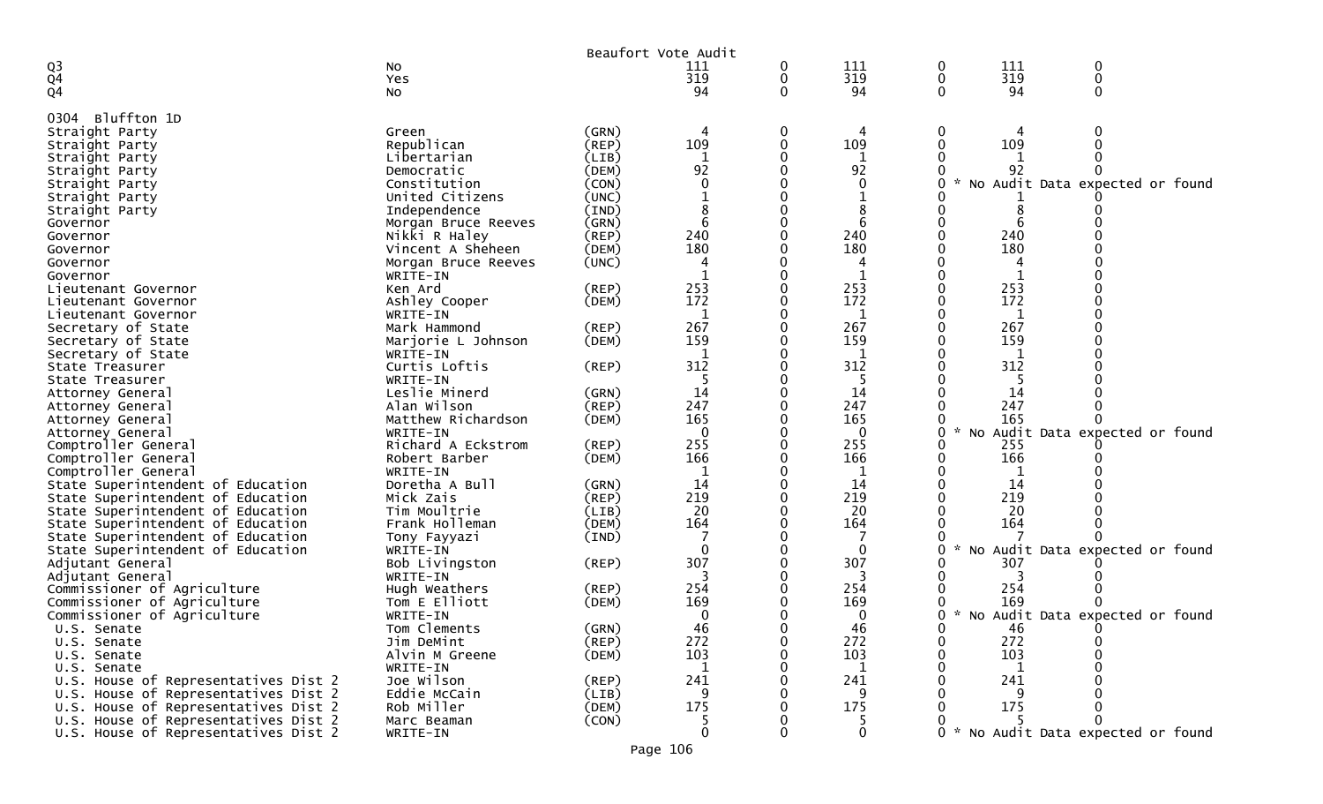|                                      |                     |             | Beaufort Vote Audit |   |              |   |     |                                     |  |
|--------------------------------------|---------------------|-------------|---------------------|---|--------------|---|-----|-------------------------------------|--|
| Q3                                   | NO                  |             | 111                 | 0 | 111          | 0 | 111 | 0                                   |  |
| $\overline{Q}4$                      | Yes                 |             | 319                 | 0 | 319          | 0 | 319 | $\mathbf 0$                         |  |
| Q <sub>4</sub>                       | No                  |             | 94                  | 0 | 94           | 0 | 94  | 0                                   |  |
|                                      |                     |             |                     |   |              |   |     |                                     |  |
| Bluffton 1D<br>0304                  |                     |             |                     |   |              |   |     |                                     |  |
| Straight Party                       | Green               | (GRN)       | 4                   | 0 | 4            | 0 |     | 0                                   |  |
| Straight Party                       | Republican          | (REP)       | 109                 |   | 109          |   | 109 |                                     |  |
| Straight Party                       | Libertarian         | (LIB)       | 1                   |   |              |   |     |                                     |  |
| Straight Party                       | Democratic          | (DEM)       | 92                  |   | 92           |   | 92  |                                     |  |
| Straight Party                       | Constitution        | (CON)       |                     |   | $\Omega$     |   |     | No Audit Data expected or found     |  |
| Straight Party                       | United Citizens     | (UNC)       |                     |   |              |   |     |                                     |  |
| Straight Party                       | Independence        | (IND)       |                     |   |              |   |     |                                     |  |
| Governor                             | Morgan Bruce Reeves | (GRN)       | 6                   |   | 6            |   |     |                                     |  |
| Governor                             | Nikki R Haley       | $($ REP $)$ | 240                 |   | 240          |   | 240 |                                     |  |
| Governor                             | Vincent A Sheheen   | (DEM)       | 180                 |   | 180          |   | 180 |                                     |  |
| Governor                             | Morgan Bruce Reeves | (UNC)       |                     |   | 4            |   |     |                                     |  |
| Governor                             | WRITE-IN            |             | -1                  |   |              |   |     |                                     |  |
| Lieutenant Governor                  | Ken Ard             | $($ REP $)$ | 253                 |   | 253          |   | 253 |                                     |  |
| Lieutenant Governor                  | Ashley Cooper       | (DEM)       | 172                 |   | 172          |   | 172 |                                     |  |
| Lieutenant Governor                  | WRITE-IN            |             | 1                   |   | 1            |   | 1   |                                     |  |
| Secretary of State                   | Mark Hammond        | $($ REP $)$ | 267                 |   | 267          |   | 267 |                                     |  |
| Secretary of State                   | Marjorie L Johnson  | (DEM)       | 159                 |   | 159          |   | 159 |                                     |  |
| Secretary of State                   | WRITE-IN            |             | 1                   |   | 1            |   | 1   |                                     |  |
| State Treasurer                      | Curtis Loftis       | (REP)       | 312                 |   | 312          |   | 312 |                                     |  |
| State Treasurer                      | WRITE-IN            |             | 5                   |   | -5           |   | 5   |                                     |  |
| Attorney General                     | Leslie Minerd       | (GRN)       | 14                  |   | 14           |   | 14  |                                     |  |
| Attorney General                     | Alan Wilson         | $($ REP $)$ | 247                 |   | 247          |   | 247 |                                     |  |
| Attorney General                     | Matthew Richardson  | (DEM)       | 165                 |   | 165          |   | 165 |                                     |  |
| Attorney General                     | WRITE-IN            |             | $\Omega$            |   | $\mathbf{0}$ |   |     | No Audit Data expected or found     |  |
| Comptroller General                  | Richard A Eckstrom  | $($ REP $)$ | 255                 |   | 255          |   | 255 |                                     |  |
| Comptroller General                  | Robert Barber       | (DEM)       | 166                 |   | 166          |   | 166 |                                     |  |
| Comptroller General                  | WRITE-IN            |             | -1                  |   |              |   |     |                                     |  |
| State Superintendent of Education    | Doretha A Bull      | (GRN)       | 14                  |   | 14           |   | 14  |                                     |  |
| State Superintendent of Education    | Mick Zais           | (REP)       | 219                 |   | 219          |   | 219 |                                     |  |
| State Superintendent of Education    | Tim Moultrie        | (LIB)       | 20                  |   | 20           |   | 20  |                                     |  |
| State Superintendent of Education    | Frank Holleman      | (DEM)       | 164                 |   | 164          |   | 164 |                                     |  |
| State Superintendent of Education    | Tony Fayyazi        | (IND)       |                     |   |              |   |     |                                     |  |
| State Superintendent of Education    | WRITE-IN            |             | $\mathbf{0}$        |   | $\mathbf{0}$ |   |     | No Audit Data expected or found     |  |
| Adjutant General                     | Bob Livingston      | (REP)       | 307                 |   | 307          |   | 307 |                                     |  |
| Adjutant General                     | WRITE-IN            |             | 3                   |   | 3            |   | 3   |                                     |  |
| Commissioner of Agriculture          | Hugh Weathers       | $($ REP $)$ | 254                 |   | 254          |   | 254 |                                     |  |
| Commissioner of Agriculture          | Tom E Elliott       | (DEM)       | 169                 |   | 169          |   | 169 |                                     |  |
| Commissioner of Agriculture          | WRITE-IN            |             | 0                   |   | $\Omega$     |   |     | No Audit Data expected or found     |  |
| U.S. Senate                          | Tom Clements        | (GRN)       | 46                  |   | 46           |   | 46  |                                     |  |
| U.S. Senate                          | Jim DeMint          | (REP)       | 272                 | 0 | 272          |   | 272 |                                     |  |
| U.S. Senate                          | Alvin M Greene      | (DEM)       | 103                 | 0 | 103          |   | 103 |                                     |  |
| U.S. Senate                          | WRITE-IN            |             | 1                   |   | 1            |   | 1   |                                     |  |
| U.S. House of Representatives Dist 2 | Joe Wilson          | (REP)       | 241                 |   | 241          |   | 241 |                                     |  |
| U.S. House of Representatives Dist 2 | Eddie McCain        | (LIB)       | 9                   |   | 9            |   | 9   |                                     |  |
| U.S. House of Representatives Dist 2 | Rob Miller          | (DEM)       | 175                 |   | 175          |   | 175 |                                     |  |
| U.S. House of Representatives Dist 2 | Marc Beaman         | (CON)       | 5                   |   | 5            |   |     |                                     |  |
| U.S. House of Representatives Dist 2 | WRITE-IN            |             | $\mathbf{0}$        | 0 | 0            |   |     | 0 * No Audit Data expected or found |  |
|                                      |                     |             | Page 106            |   |              |   |     |                                     |  |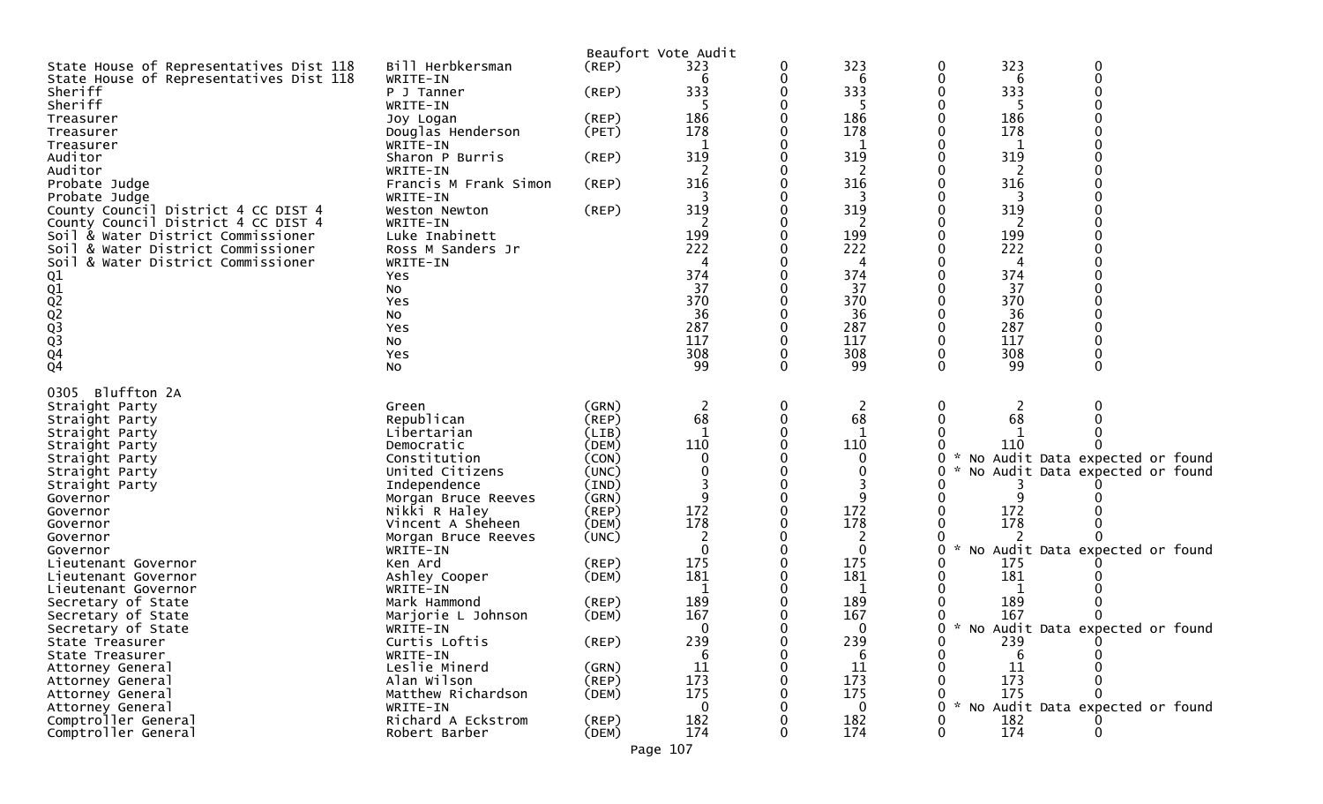|                                         |                       |             | Beaufort Vote Audit |   |            |                    |            |                                 |
|-----------------------------------------|-----------------------|-------------|---------------------|---|------------|--------------------|------------|---------------------------------|
| State House of Representatives Dist 118 | Bill Herbkersman      | $($ REP $)$ | 323                 | 0 | 323        | 0                  | 323        | 0                               |
| State House of Representatives Dist 118 | WRITE-IN              |             | 6                   |   | 6          |                    | 6          |                                 |
| Sheriff                                 | P J Tanner            | $($ REP $)$ | 333                 |   | 333        |                    | 333        |                                 |
| Sheriff                                 | WRITE-IN              |             |                     |   |            |                    |            |                                 |
| Treasurer                               | Joy Logan             | (REP)       | 186                 |   | 186        |                    | 186        |                                 |
| Treasurer                               | Douglas Henderson     | (PET)       | 178                 |   | 178        |                    | 178        |                                 |
| Treasurer                               | WRITE-IN              |             |                     |   | 1          |                    |            |                                 |
| Auditor                                 | Sharon P Burris       | (REP)       | 319                 |   | 319        |                    | 319        |                                 |
| Auditor                                 | WRITE-IN              |             |                     |   |            |                    |            |                                 |
| Probate Judge                           | Francis M Frank Simon | (REP)       | 316                 |   | 316        |                    | 316        |                                 |
| Probate Judge                           | WRITE-IN              |             |                     |   |            |                    |            |                                 |
| County Council District 4 CC DIST 4     | Weston Newton         | $($ REP $)$ | 319                 |   | 319        |                    | 319        |                                 |
| County Council District 4 CC DIST 4     | WRITE-IN              |             | 2                   |   | 2          |                    | 2          |                                 |
| Soil & Water District Commissioner      | Luke Inabinett        |             | 199                 |   | 199        |                    | 199        |                                 |
| Soil & Water District Commissioner      | Ross M Sanders Jr     |             | 222                 |   | 222        |                    | 222        |                                 |
| Soil & Water District Commissioner      | WRITE-IN              |             |                     |   | 4          |                    | 4          |                                 |
|                                         | Yes                   |             | 374                 |   | 374        |                    | 374        |                                 |
|                                         | NO.                   |             | 37                  |   | 37         |                    | 37         |                                 |
|                                         | Yes                   |             | 370                 |   | 370        |                    | 370        |                                 |
|                                         | NO.                   |             | 36                  |   | 36         |                    | 36         |                                 |
|                                         | Yes                   |             | 287<br>117          |   | 287<br>117 |                    | 287<br>117 |                                 |
|                                         | No<br>Yes             |             | 308                 |   | 308        |                    | 308        |                                 |
| 01<br>02<br>02<br>02<br>03<br>04<br>04  | NO.                   |             | 99                  |   | 99         | 0                  | 99         |                                 |
|                                         |                       |             |                     |   |            |                    |            |                                 |
| Bluffton 2A<br>0305                     |                       |             |                     |   |            |                    |            |                                 |
| Straight Party                          | Green                 | (GRN)       | 2                   | 0 | 2          | 0                  |            |                                 |
| Straight Party                          | Republican            | (REP)       | 68                  |   | 68         |                    | 68         |                                 |
| Straight Party                          | Libertarian           | (LIB)       |                     |   |            |                    |            |                                 |
| Straight Party                          | Democratic            | (DEM)       | 110                 |   | 110        |                    | 110        |                                 |
| Straight Party                          | Constitution          | (CON)       |                     |   | 0          | 0                  |            | No Audit Data expected or found |
| Straight Party                          | United Citizens       | (UNC)       |                     |   | 0          |                    |            | No Audit Data expected or found |
| Straight Party                          | Independence          | (IND)       |                     |   |            |                    |            |                                 |
| Governor                                | Morgan Bruce Reeves   | (GRN)       |                     |   | 9          |                    |            |                                 |
| Governor                                | Nikki R Haley         | $($ REP $)$ | 172                 |   | 172        |                    | 172        |                                 |
| Governor                                | Vincent A Sheheen     | (DEM)       | 178                 |   | 178        |                    | 178        |                                 |
| Governor                                | Morgan Bruce Reeves   | (UNC)       | 2                   |   | 2          |                    |            |                                 |
| Governor                                | WRITE-IN              |             | $\Omega$            |   | 0          | 0                  |            | No Audit Data expected or found |
| Lieutenant Governor                     | Ken Ard               | $($ REP $)$ | 175                 |   | 175        |                    | 175        |                                 |
| Lieutenant Governor                     | Ashley Cooper         | (DEM)       | 181                 |   | 181        |                    | 181        |                                 |
| Lieutenant Governor                     | WRITE-IN              |             |                     |   | 1          |                    |            |                                 |
| Secretary of State                      | Mark Hammond          | (REP)       | 189                 |   | 189        |                    | 189        |                                 |
| Secretary of State                      | Marjorie L Johnson    | (DEM)       | 167                 |   | 167        |                    | 167        |                                 |
| Secretary of State                      | WRITE-IN              |             | 0                   |   | 0          | 0<br>$\mathcal{H}$ |            | No Audit Data expected or found |
| State Treasurer                         | Curtis Loftis         | $($ REP $)$ | 239                 |   | 239        |                    | 239        |                                 |
| State Treasurer                         | WRITE-IN              |             | 6                   |   | 6          |                    |            |                                 |
| Attorney General                        | Leslie Minerd         | (GRN)       | 11                  |   | 11         |                    | 11         |                                 |
| Attorney General                        | Alan Wilson           | (REP)       | 173                 |   | 173        |                    | 173        |                                 |
| Attorney General                        | Matthew Richardson    | (DEM)       | 175                 |   | 175        |                    | 175        |                                 |
| Attorney General                        | WRITE-IN              |             |                     |   | 0          | $\sim$<br>O        |            | No Audit Data expected or found |
| Comptroller General                     | Richard A Eckstrom    | (REP)       | 182                 |   | 182        |                    | 182        |                                 |
| Comptroller General                     | Robert Barber         | (DEM)       | 174                 |   | 174        | 0                  | 174        |                                 |
|                                         |                       |             | Page 107            |   |            |                    |            |                                 |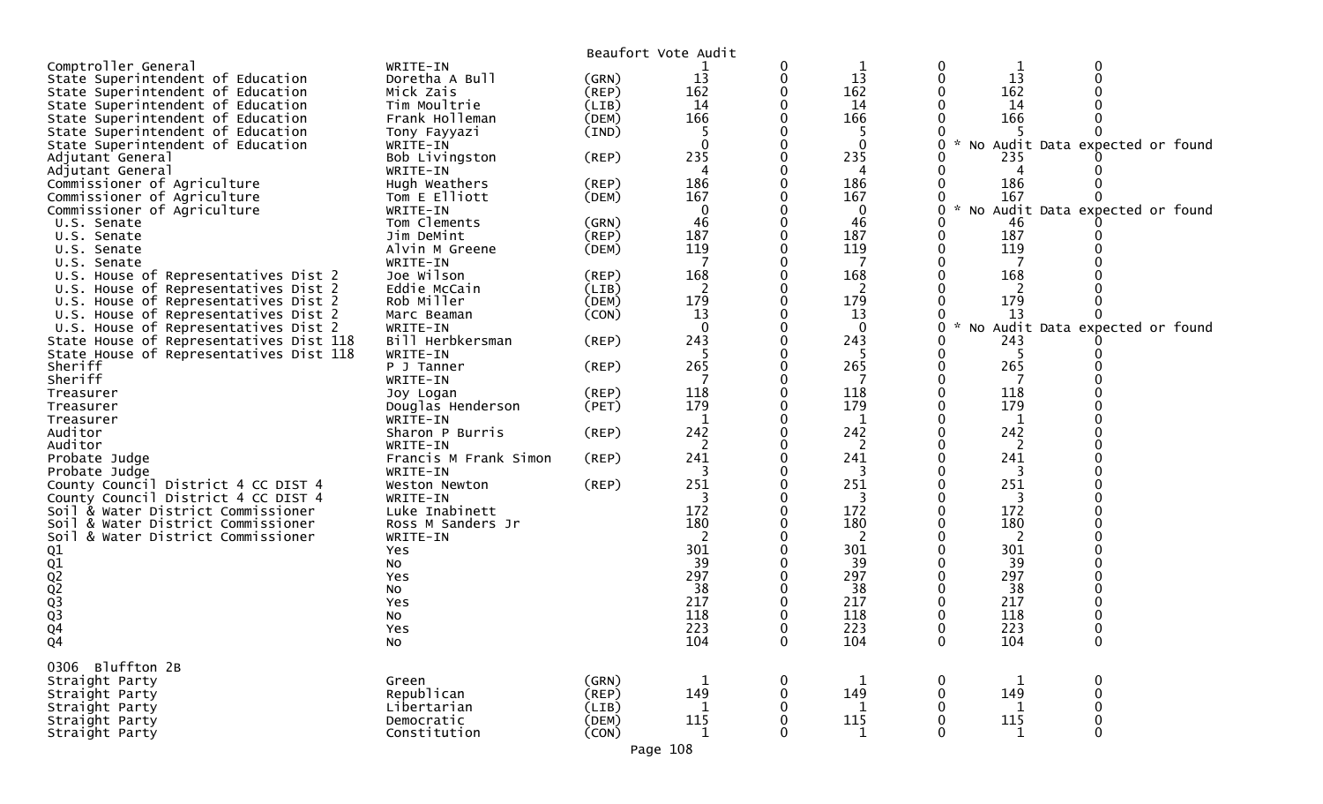|                                         |                       |             | Beaufort Vote Audit |             |              |              |             |                                 |  |
|-----------------------------------------|-----------------------|-------------|---------------------|-------------|--------------|--------------|-------------|---------------------------------|--|
| Comptroller General                     | WRITE-IN              |             |                     | 0           | 1            | 0            | 1           | 0                               |  |
| State Superintendent of Education       | Doretha A Bull        | (GRN)       | 13                  | 0           | 13           | 0            | 13          |                                 |  |
| State Superintendent of Education       | Mick Zais             | (REP)       | 162                 |             | 162          |              | 162         |                                 |  |
| State Superintendent of Education       | Tim Moultrie          | (LIB)       | 14                  | 0           | 14           |              | 14          |                                 |  |
| State Superintendent of Education       | Frank Holleman        | (DEM)       | 166                 |             | 166          |              | 166         |                                 |  |
| State Superintendent of Education       | Tony Fayyazi          | (IND)       | 5                   |             | 5            |              |             |                                 |  |
| State Superintendent of Education       | WRITE-IN              |             | $\Omega$            |             | $\mathbf{0}$ | 0            |             | No Audit Data expected or found |  |
| Adjutant General                        | Bob Livingston        | $($ REP $)$ | 235                 |             | 235          |              | 235         |                                 |  |
| Adjutant General                        | WRITE-IN              |             | 4                   |             | 4            |              | 4           |                                 |  |
| Commissioner of Agriculture             | Hugh Weathers         | (REP)       | 186                 | ∩           | 186          |              | 186         |                                 |  |
| Commissioner of Agriculture             | Tom E Elliott         | (DEM)       | 167                 |             | 167          |              | 167         |                                 |  |
| Commissioner of Agriculture             | WRITE-IN              |             | 0                   |             | $\mathbf 0$  | 0<br>$\sim$  |             | No Audit Data expected or found |  |
| U.S. Senate                             | Tom Clements          | (GRN)       | 46                  |             | 46           |              | 46          |                                 |  |
| U.S. Senate                             | Jim DeMint            | $($ REP $)$ | 187                 |             | 187          | 0            | 187         |                                 |  |
| U.S. Senate                             | Alvin M Greene        | (DEM)       | 119                 |             | 119          | 0            | 119         |                                 |  |
| U.S. Senate                             | WRITE-IN              |             |                     |             |              | U            |             |                                 |  |
| U.S. House of Representatives Dist 2    | Joe Wilson            | (REP)       | 168                 |             | 168          |              | 168         |                                 |  |
| U.S. House of Representatives Dist 2    | Eddie McCain          | (LIB)       | 2                   |             | 2            |              |             |                                 |  |
| U.S. House of Representatives Dist 2    | Rob Miller            | (DEM)       | 179                 |             | 179          |              | 179         |                                 |  |
| U.S. House of Representatives Dist 2    | Marc Beaman           | (CON)       | 13                  |             | 13           |              | 13          |                                 |  |
| U.S. House of Representatives Dist 2    | WRITE-IN              |             | $\mathbf{0}$        |             | $\mathbf 0$  | 0            |             | No Audit Data expected or found |  |
| State House of Representatives Dist 118 | Bill Herbkersman      | (REP)       | 243                 |             | 243          |              | 243         |                                 |  |
| State House of Representatives Dist 118 | WRITE-IN              |             | 5                   |             | -5           | 0            | -5          |                                 |  |
| Sheriff                                 | P J Tanner            | (REP)       | 265                 |             | 265          | 0            | 265         |                                 |  |
| Sheriff                                 | WRITE-IN              |             |                     |             |              | 0            | 7           |                                 |  |
| Treasurer                               | Joy Logan             | (REP)       | 118                 |             | 118          |              | 118         |                                 |  |
| Treasurer                               | Douglas Henderson     | (PET)       | 179                 |             | 179          |              | 179         |                                 |  |
| Treasurer                               | WRITE-IN              |             | $\mathbf 1$         |             | 1            |              | 1           |                                 |  |
| Auditor                                 | Sharon P Burris       | $($ REP $)$ | 242                 |             | 242          |              | 242         |                                 |  |
| Auditor                                 | WRITE-IN              |             | 2                   |             | 2            |              | 2           |                                 |  |
| Probate Judge                           | Francis M Frank Simon | (REP)       | 241                 | 0           | 241          | 0            | 241         |                                 |  |
| Probate Judge                           | WRITE-IN              |             | 3                   |             | 3            |              | 3           |                                 |  |
| County Council District 4 CC DIST 4     | Weston Newton         | (REP)       | 251                 |             | 251          |              | 251         |                                 |  |
| County Council District 4 CC DIST 4     | WRITE-IN              |             | 3                   |             | 3            |              | 3           |                                 |  |
| Soil & Water District Commissioner      | Luke Inabinett        |             | 172                 |             | 172          |              | 172         |                                 |  |
| Soil & Water District Commissioner      | Ross M Sanders Jr     |             | 180                 |             | 180          |              | 180         |                                 |  |
| Soil & Water District Commissioner      | WRITE-IN              |             | 2                   |             | 2            |              | 2           |                                 |  |
|                                         | Yes                   |             | 301                 |             | 301          |              | 301         |                                 |  |
| 01<br>01<br>02<br>02<br>03<br>03        | No                    |             | 39                  |             | 39           |              | 39          |                                 |  |
|                                         | Yes                   |             | 297                 |             | 297          |              | 297         |                                 |  |
|                                         | No                    |             | 38                  |             | 38           |              | 38          |                                 |  |
|                                         | Yes                   |             | 217                 |             | 217          |              | 217         |                                 |  |
|                                         | No                    |             | 118                 |             | 118          |              | 118         |                                 |  |
|                                         | Yes                   |             | 223                 | $\mathbf 0$ | 223          | 0            | 223         | v                               |  |
| $\frac{Q4}{Q4}$                         | No                    |             | 104                 | $\mathbf 0$ | 104          | $\mathbf 0$  | 104         | $\mathbf 0$                     |  |
|                                         |                       |             |                     |             |              |              |             |                                 |  |
| 0306 Bluffton 2B                        |                       |             |                     |             |              |              |             |                                 |  |
| Straight Party                          | Green                 | (GRN)       | $\mathbf 1$         | $\bf{0}$    | $\mathbf{1}$ | 0            | $\mathbf 1$ | $\mathbf 0$                     |  |
| Straight Party                          | Republican            | $($ REP $)$ | 149                 | 0           | 149          | 0            | 149         | $\pmb{0}$                       |  |
| Straight Party                          | Libertarian           | (LIB)       | $\mathbf 1$         |             | $\mathbf 1$  |              | 1           | $\pmb{0}$                       |  |
| Straight Party                          | Democratic            | (DEM)       | 115                 | 0           | 115          | 0            | 115         | $\pmb{0}$                       |  |
| Straight Party                          | Constitution          | (CON)       | $\mathbf{1}$        | $\Omega$    | $\mathbf{1}$ | $\mathbf{0}$ | 1           | $\mathbf 0$                     |  |
|                                         |                       |             | Page 108            |             |              |              |             |                                 |  |
|                                         |                       |             |                     |             |              |              |             |                                 |  |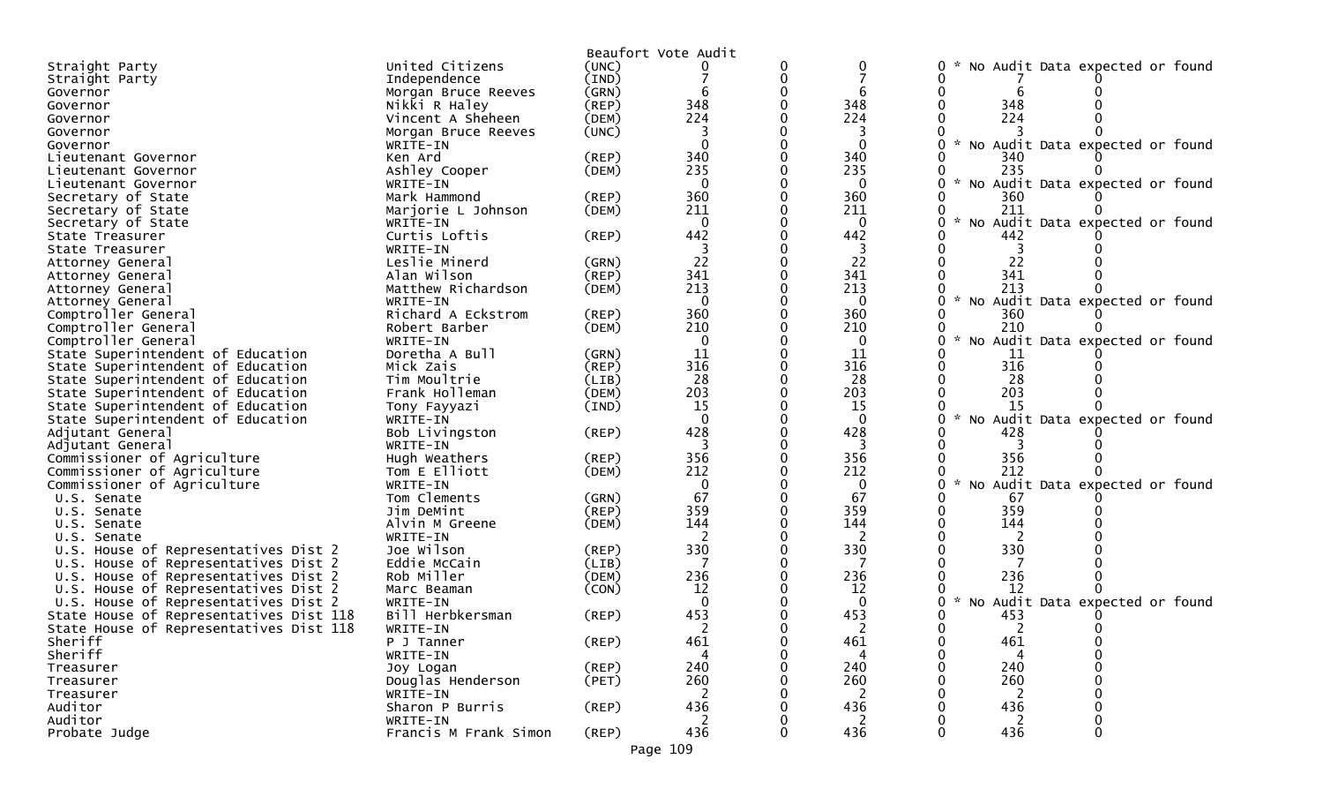|                                                     |                        |             | Beaufort Vote Audit |   |              |                                                  |
|-----------------------------------------------------|------------------------|-------------|---------------------|---|--------------|--------------------------------------------------|
| Straight Party                                      | United Citizens        | (UNC)       |                     | 0 | 0            | No Audit Data expected or found<br>0             |
| Straight Party                                      | Independence           | (IND)       |                     | 0 |              |                                                  |
| Governor                                            | Morgan Bruce Reeves    | (GRN)       | 6                   | 0 |              |                                                  |
| Governor                                            | Nikki R Haley          | $($ REP $)$ | 348                 | 0 | 348          | 348                                              |
| Governor                                            | Vincent A Sheheen      | (DEM)       | 224                 |   | 224          | 224                                              |
| Governor                                            | Morgan Bruce Reeves    | (UNC)       |                     |   |              |                                                  |
| Governor                                            | WRITE-IN               |             | $\Omega$            |   | $\mathbf{0}$ | No Audit Data expected or found                  |
| Lieutenant Governor                                 | Ken Ard                | (REP)       | 340                 |   | 340          | 340                                              |
| Lieutenant Governor                                 | Ashley Cooper          | (DEM)       | 235                 |   | 235          | 235                                              |
| Lieutenant Governor                                 | WRITE-IN               |             | $\mathbf{0}$        |   | $\Omega$     | No Audit Data expected or found<br>$\mathcal{H}$ |
| Secretary of State                                  | Mark Hammond           | (REP)       | 360                 |   | 360          | 360                                              |
| Secretary of State                                  | Marjorie L Johnson     | (DEM)       | 211                 |   | 211          | 211                                              |
| Secretary of State                                  | WRITE-IN               |             | $\mathbf{0}$        |   | $\Omega$     | No Audit Data expected or found                  |
| State Treasurer                                     | Curtis Loftis          | (REP)       | 442                 |   | 442          | 442                                              |
| State Treasurer                                     | WRITE-IN               |             |                     |   | 3            |                                                  |
| Attorney General                                    | Leslie Minerd          | (GRN)       | 22                  |   | 22           | 22                                               |
| Attorney General                                    | Alan Wilson            | (REP)       | 341                 |   | 341          | 341                                              |
| Attorney General                                    | Matthew Richardson     | (DEM)       | 213                 |   | 213          | 213                                              |
| Attorney General                                    | WRITE-IN               |             | $\mathbf{0}$        |   | $\mathbf{0}$ | No Audit Data expected or found                  |
| Comptroller General                                 | Richard A Eckstrom     | (REP)       | 360                 |   | 360          | 360                                              |
| Comptroller General                                 | Robert Barber          | (DEM)       | 210                 |   | 210          | 210                                              |
| Comptroller General                                 | WRITE-IN               |             | 0                   |   | 0            | No Audit Data expected or found                  |
| State Superintendent of Education                   | Doretha A Bull         | (GRN)       | 11                  |   | 11           | 11                                               |
| State Superintendent of Education                   | Mick Zais              | (REP)       | 316                 | 0 | 316          | 316                                              |
| State Superintendent of Education                   | Tim Moultrie           | (LIB)       | 28                  |   | 28           | 28                                               |
| State Superintendent of Education                   | Frank Holleman         | (DEM)       | 203                 |   | 203          | 203                                              |
| State Superintendent of Education                   | Tony Fayyazi           | (IND)       | 15                  |   | 15           | 15                                               |
| State Superintendent of Education                   | WRITE-IN               |             | $\Omega$            |   | $\Omega$     | No Audit Data expected or found<br>$\mathcal{H}$ |
| Adjutant General                                    | Bob Livingston         | (REP)       | 428                 | O | 428          | 428                                              |
| Adjutant General                                    | WRITE-IN               |             |                     |   |              |                                                  |
| Commissioner of Agriculture                         | Hugh Weathers          | (REP)       | 356                 |   | 356          | 356                                              |
| Commissioner of Agriculture                         | Tom E Elliott          | (DEM)       | 212                 |   | 212          | 212                                              |
| Commissioner of Agriculture                         | WRITE-IN               |             | $\mathbf 0$         |   | $\mathbf 0$  | No Audit Data expected or found                  |
| U.S. Senate                                         | Tom Clements           | (GRN)       | 67                  |   | 67           | -67                                              |
| U.S. Senate                                         | Jim DeMint             | (REP)       | 359<br>144          |   | 359<br>144   | 359<br>144                                       |
| U.S. Senate                                         | Alvin M Greene         | (DEM)       |                     |   |              |                                                  |
| U.S. Senate<br>U.S. House of Representatives Dist 2 | WRITE-IN<br>Joe Wilson | (REP)       | 330                 | 0 | 2<br>330     | 2<br>330                                         |
| U.S. House of Representatives Dist 2                | Eddie McCain           | (LIB)       | 7                   |   | 7            |                                                  |
| U.S. House of Representatives Dist 2                | Rob Miller             | (DEM)       | 236                 |   | 236          | 236                                              |
| U.S. House of Representatives Dist 2                | Marc Beaman            | (CON)       | 12                  |   | 12           | 12                                               |
| U.S. House of Representatives Dist 2                | WRITE-IN               |             | $\Omega$            |   | $\bf{0}$     | Audit Data expected or found<br>NO               |
| State House of Representatives Dist 118             | Bill Herbkersman       | (REP)       | 453                 |   | 453          | 453                                              |
| State House of Representatives Dist 118             | WRITE-IN               |             |                     |   |              |                                                  |
| Sheriff                                             | P J Tanner             | $($ REP $)$ | 461                 | 0 | 461          | 461<br>0                                         |
| Sheriff                                             | WRITE-IN               |             |                     |   | 4            |                                                  |
| Treasurer                                           | Joy Logan              | $($ REP $)$ | 240                 |   | 240          | 240                                              |
| Treasurer                                           | Douglas Henderson      | (PET)       | 260                 |   | 260          | 260                                              |
| Treasurer                                           | WRITE-IN               |             |                     |   |              |                                                  |
| Auditor                                             | Sharon P Burris        | (REP)       | 436                 |   | 436          | 436                                              |
| Auditor                                             | WRITE-IN               |             | 2                   |   | 2            | 2                                                |
| Probate Judge                                       | Francis M Frank Simon  | $($ REP $)$ | 436                 | 0 | 436          | 436<br>0<br>0                                    |
|                                                     |                        |             |                     |   |              |                                                  |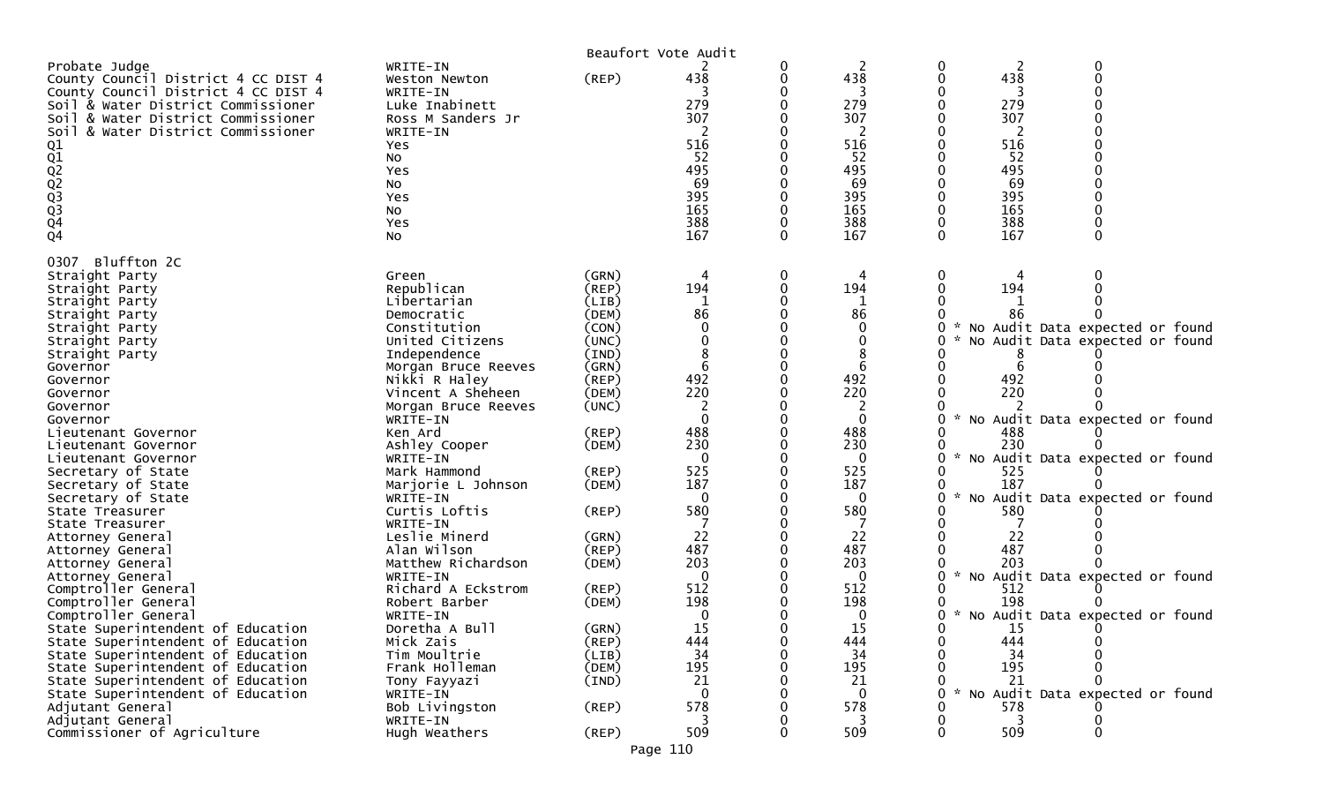|                                                                                                                                                                                                                                                                                                                                                                                                                                                                                                                                                                                                                                                                                                                                                                                                                                                      |                                                                                                                                                                                                                                                                                                                                                                                                                                                                                                                                                                                             |                                                                                                                                                                                                                                                                                  | Beaufort Vote Audit                                                                                                                                                                                    |        |                                                                                                                                                                                                                                       |                                                |                                                                                                                                                 |                                                                                                                                                                                                                                                                                                           |
|------------------------------------------------------------------------------------------------------------------------------------------------------------------------------------------------------------------------------------------------------------------------------------------------------------------------------------------------------------------------------------------------------------------------------------------------------------------------------------------------------------------------------------------------------------------------------------------------------------------------------------------------------------------------------------------------------------------------------------------------------------------------------------------------------------------------------------------------------|---------------------------------------------------------------------------------------------------------------------------------------------------------------------------------------------------------------------------------------------------------------------------------------------------------------------------------------------------------------------------------------------------------------------------------------------------------------------------------------------------------------------------------------------------------------------------------------------|----------------------------------------------------------------------------------------------------------------------------------------------------------------------------------------------------------------------------------------------------------------------------------|--------------------------------------------------------------------------------------------------------------------------------------------------------------------------------------------------------|--------|---------------------------------------------------------------------------------------------------------------------------------------------------------------------------------------------------------------------------------------|------------------------------------------------|-------------------------------------------------------------------------------------------------------------------------------------------------|-----------------------------------------------------------------------------------------------------------------------------------------------------------------------------------------------------------------------------------------------------------------------------------------------------------|
| Probate Judge<br>County Council District 4 CC DIST 4<br>County Council District 4 CC DIST 4<br>Soil & Water District Commissioner<br>Soil & Water District Commissioner<br>Soil<br>& Water District Commissioner<br>01<br>02<br>02<br>02<br>03<br>04<br>04                                                                                                                                                                                                                                                                                                                                                                                                                                                                                                                                                                                           | WRITE-IN<br>Weston Newton<br>WRITE-IN<br>Luke Inabinett<br>Ross M Sanders Jr<br>WRITE-IN<br>Yes<br>NO.<br>Yes<br>NO.<br>Yes<br>No<br>Yes<br>NO.                                                                                                                                                                                                                                                                                                                                                                                                                                             | (REP)                                                                                                                                                                                                                                                                            | 438<br>279<br>307<br>516<br>52<br>495<br>69<br>395<br>165<br>388<br>167                                                                                                                                | 0<br>0 | 2<br>438<br>3<br>279<br>307<br>516<br>52<br>495<br>69<br>395<br>165<br>388<br>167                                                                                                                                                     | 0<br>0<br>0                                    | 2<br>438<br>3<br>279<br>307<br>516<br>52<br>495<br>69<br>395<br>165<br>388<br>167                                                               | 0<br>0                                                                                                                                                                                                                                                                                                    |
| Bluffton 2C<br>0307<br>Straight Party<br>Straight Party<br>Straight Party<br>Straight Party<br>Straight Party<br>Straight Party<br>Straight Party<br>Governor<br>Governor<br>Governor<br>Governor<br>Governor<br>Lieutenant Governor<br>Lieutenant Governor<br>Lieutenant Governor<br>Secretary of State<br>Secretary of State<br>Secretary of State<br>State Treasurer<br>State Treasurer<br>Attorney General<br>Attorney General<br>Attorney General<br>Attorney General<br>Comptroller General<br>Comptroller General<br>Comptroller General<br>State Superintendent of Education<br>State Superintendent of Education<br>State Superintendent of Education<br>State Superintendent of Education<br>State Superintendent of Education<br>State Superintendent of Education<br>Adjutant General<br>Adjutant General<br>Commissioner of Agriculture | Green<br>Republican<br>Libertarian<br>Democratic<br>Constitution<br>United Citizens<br>Independence<br>Morgan Bruce Reeves<br>Nikki R Haley<br>Vincent A Sheheen<br>Morgan Bruce Reeves<br>WRITE-IN<br>Ken Ard<br>Ashley Cooper<br>WRITE-IN<br>Mark Hammond<br>Marjorie L Johnson<br>WRITE-IN<br>Curtis Loftis<br>WRITE-IN<br>Leslie Minerd<br>Alan Wilson<br>Matthew Richardson<br>WRITE-IN<br>Richard A Eckstrom<br>Robert Barber<br>WRITE-IN<br>Doretha A Bull<br>Mick Zais<br>Tim Moultrie<br>Frank Holleman<br>Tony Fayyazi<br>WRITE-IN<br>Bob Livingston<br>WRITE-IN<br>Hugh Weathers | (GRN)<br>$($ REP $)$<br>(LIB)<br>(DEM)<br>(CON)<br>(UNC)<br>(IND)<br>(GRN)<br>$($ REP $)$<br>(DEM)<br>(UNC)<br>(REP)<br>(DEM)<br>(REP)<br>(DEM)<br>$($ REP $)$<br>(GRN)<br>(REP)<br>(DEM)<br>(REP)<br>(DEM)<br>(GRN)<br>(REP)<br>(LIB)<br>(DEM)<br>(IND)<br>$($ REP $)$<br>(REP) | 194<br>86<br>492<br>220<br>488<br>230<br>$\Omega$<br>525<br>187<br>$\Omega$<br>580<br>22<br>487<br>203<br>$\Omega$<br>512<br>198<br>$\Omega$<br>15<br>444<br>34<br>195<br>21<br>$\Omega$<br>578<br>509 | 0      | 194<br>86<br>0<br>0<br>8<br>6<br>492<br>220<br>2<br>$\Omega$<br>488<br>230<br>$\mathbf{0}$<br>525<br>187<br>$\Omega$<br>580<br>22<br>487<br>203<br>0<br>512<br>198<br>0<br>15<br>444<br>34<br>195<br>21<br>$\mathbf{0}$<br>578<br>509 | 0<br>O<br>0<br>0<br>0<br>0<br>0<br>0<br>0<br>0 | 194<br>86<br>6<br>492<br>220<br>488<br>230<br>525<br>187<br>580<br>22<br>487<br>203<br>512<br>198<br>15<br>444<br>34<br>195<br>21<br>578<br>509 | * No Audit Data expected or found<br>* No Audit Data expected or found<br>* No Audit Data expected or found<br>* No Audit Data expected or found<br>* No Audit Data expected or found<br>* No Audit Data expected or found<br>* No Audit Data expected or found<br>* No Audit Data expected or found<br>0 |
|                                                                                                                                                                                                                                                                                                                                                                                                                                                                                                                                                                                                                                                                                                                                                                                                                                                      |                                                                                                                                                                                                                                                                                                                                                                                                                                                                                                                                                                                             |                                                                                                                                                                                                                                                                                  | Page 110                                                                                                                                                                                               |        |                                                                                                                                                                                                                                       |                                                |                                                                                                                                                 |                                                                                                                                                                                                                                                                                                           |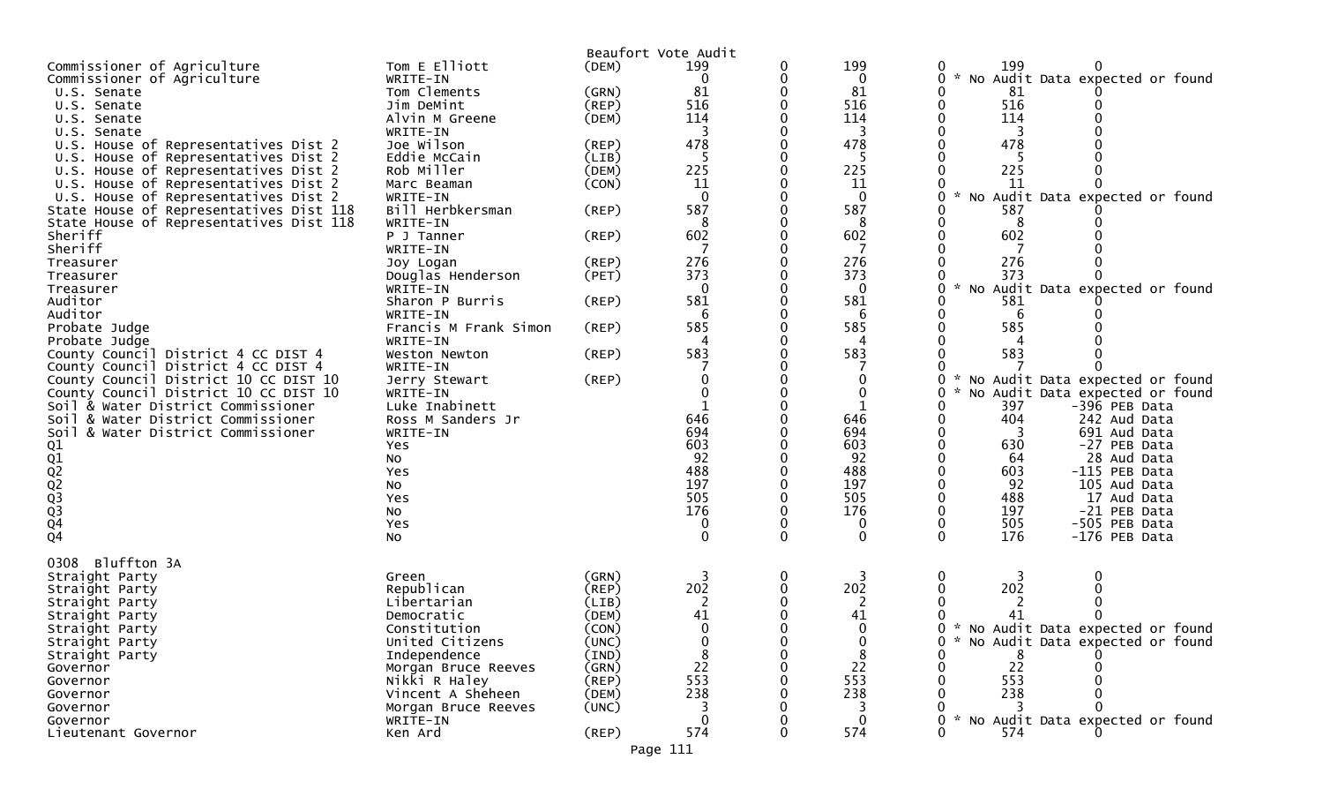|                                                                                    |                              |             | Beaufort Vote Audit |   |                                  |                                                        |
|------------------------------------------------------------------------------------|------------------------------|-------------|---------------------|---|----------------------------------|--------------------------------------------------------|
| Commissioner of Agriculture                                                        | Tom E Elliott                | (DEM)       | 199                 | 0 | 199                              | 199<br>0                                               |
| Commissioner of Agriculture                                                        | WRITE-IN                     |             | 0                   | 0 | 0                                | No Audit Data expected or found<br>O                   |
| U.S. Senate                                                                        | Tom Clements                 | (GRN)       | 81                  |   | 81                               | 81                                                     |
| U.S. Senate                                                                        | Jim DeMint                   | (REP)       | 516                 |   | 516                              | 516                                                    |
| U.S. Senate                                                                        | Alvin M Greene               | (DEM)       | 114                 |   | 114                              | 114                                                    |
| U.S. Senate                                                                        | WRITE-IN                     |             |                     |   | 3                                |                                                        |
| U.S. House of Representatives Dist 2                                               | Joe Wilson                   | $($ REP $)$ | 478                 |   | 478                              | 478                                                    |
| U.S. House of Representatives Dist 2                                               | Eddie McCain                 | (LIB)       | 5                   |   | -5                               |                                                        |
| U.S. House of Representatives Dist 2                                               | Rob Miller                   | (DEM)       | 225                 |   | 225                              | 225                                                    |
| U.S. House of Representatives Dist 2                                               | Marc Beaman                  | (CON)       | 11                  |   | 11                               | 11                                                     |
| U.S. House of Representatives Dist 2                                               | WRITE-IN                     |             | 0<br>587            |   | $\mathbf 0$<br>587               | No Audit Data expected or found                        |
| State House of Representatives Dist 118<br>State House of Representatives Dist 118 | Bill Herbkersman<br>WRITE-IN | $($ REP $)$ | 8                   |   | 8                                | 587<br>8                                               |
| Sheriff                                                                            | P J Tanner                   | (REP)       | 602                 |   | 602                              | 602                                                    |
| Sheriff                                                                            | WRITE-IN                     |             |                     |   |                                  |                                                        |
| Treasurer                                                                          | Joy Logan                    | (REP)       | 276                 |   | 276                              | 276                                                    |
| Treasurer                                                                          | Douglas Henderson            | (PET)       | 373                 |   | 373                              | 373                                                    |
| Treasurer                                                                          | WRITE-IN                     |             | 0                   |   | $\mathbf{0}$                     | No Audit Data expected or found<br>U                   |
| Auditor                                                                            | Sharon P Burris              | $($ REP $)$ | 581                 |   | 581                              | 581                                                    |
| Auditor                                                                            | WRITE-IN                     |             | 6                   |   | 6                                | 6                                                      |
| Probate Judge                                                                      | Francis M Frank Simon        | $($ REP $)$ | 585                 |   | 585                              | 585                                                    |
| Probate Judge                                                                      | WRITE-IN                     |             |                     |   | 4                                |                                                        |
| County Council District 4 CC DIST 4                                                | Weston Newton                | $($ REP $)$ | 583                 |   | 583                              | 583                                                    |
| County Council District 4 CC DIST 4                                                | WRITE-IN                     |             |                     |   |                                  |                                                        |
| County Council District 10 CC DIST 10                                              | Jerry Stewart                | $($ REP $)$ |                     |   | 0                                | 0<br>No Audit Data expected or found                   |
| County Council District 10 CC DIST 10                                              | WRITE-IN                     |             |                     |   | 0                                | No Audit Data expected or found                        |
| Soil & Water District Commissioner                                                 | Luke Inabinett               |             |                     |   | 1                                | 397<br>-396 PEB Data                                   |
| Soil & Water District Commissioner                                                 | Ross M Sanders Jr            |             | 646                 |   | 646                              | 404<br>242 Aud Data                                    |
| Soil & Water District Commissioner                                                 | WRITE-IN                     |             | 694                 |   | 694                              | 691 Aud Data<br>3                                      |
|                                                                                    | Yes                          |             | 603                 |   | 603                              | 630<br>-27 PEB Data                                    |
|                                                                                    | No                           |             | 92                  |   | 92                               | 28 Aud Data<br>64                                      |
| 01<br>02<br>02<br>02<br>03<br>03<br>04                                             | Yes                          |             | 488                 |   | 488                              | -115 PEB Data<br>603                                   |
|                                                                                    | No                           |             | 197                 |   | 197                              | 92<br>105 Aud Data                                     |
|                                                                                    | Yes                          |             | 505                 |   | 505                              | 488<br>17 Aud Data                                     |
|                                                                                    | No                           |             | 176                 |   | 176                              | 197<br>-21 PEB Data                                    |
| $\overline{Q}4$                                                                    | Yes                          |             | 0<br>$\Omega$       |   | $\boldsymbol{0}$<br>$\mathbf{0}$ | 505<br>-505 PEB Data<br>0<br>0<br>176<br>-176 PEB Data |
|                                                                                    | No                           |             |                     |   |                                  |                                                        |
| Bluffton 3A<br>0308                                                                |                              |             |                     |   |                                  |                                                        |
| Straight Party                                                                     | Green                        | (GRN)       |                     | 0 | 3                                | 0<br>3                                                 |
| Straight Party                                                                     | Republican                   | (REP)       | 202                 |   | 202                              | 202                                                    |
| Straight Party                                                                     | Libertarian                  | (LIB)       | 2                   |   | 2                                | 2                                                      |
| Straight Party                                                                     | Democratic                   | (DEM)       | 41                  |   | 41                               | 41                                                     |
| Straight Party                                                                     | Constitution                 | (CON)       | $\Omega$            |   | $\Omega$                         | * No Audit Data expected or found                      |
| Straight Party                                                                     | United Citizens              | (UNC)       |                     |   | $\mathbf 0$                      | 0<br>* No Audit Data expected or found                 |
| Straight Party                                                                     | Independence                 | (IND)       |                     |   | 8                                |                                                        |
| Governor                                                                           | Morgan Bruce Reeves          | (GRN)       | 22                  |   | 22                               | 22                                                     |
| Governor                                                                           | Nikki R Haley                | $($ REP $)$ | 553                 |   | 553                              | 553                                                    |
| Governor                                                                           | Vincent A Sheheen            | (DEM)       | 238                 |   | 238                              | 238                                                    |
| Governor                                                                           | Morgan Bruce Reeves          | (UNC)       |                     |   |                                  |                                                        |
| Governor                                                                           | WRITE-IN                     |             |                     |   | 0                                | * No Audit Data expected or found                      |
| Lieutenant Governor                                                                | Ken Ard                      | $($ REP $)$ | 574                 |   | 574                              | 574<br>∩                                               |
|                                                                                    |                              |             | Page 111            |   |                                  |                                                        |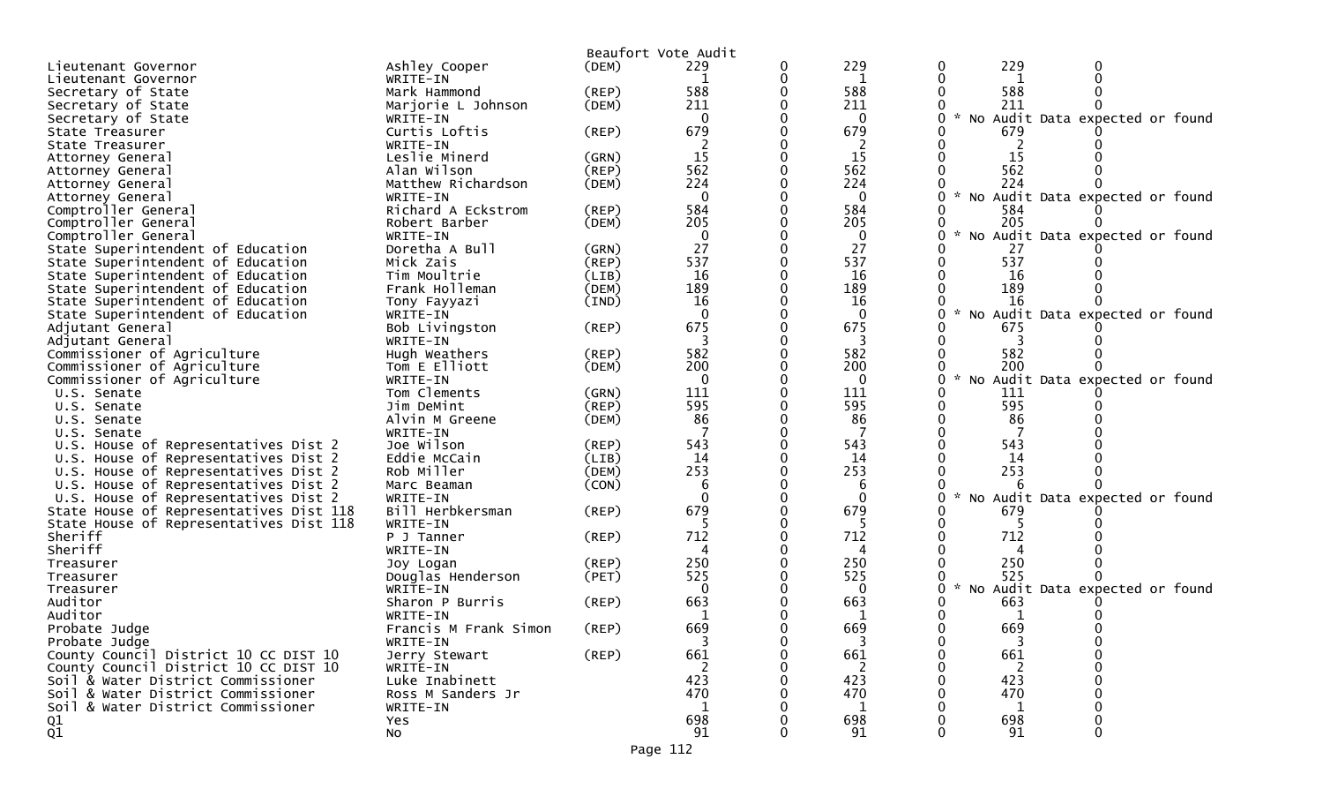|                                                    |                              |             | Beaufort Vote Audit |   |                   |     |                                   |
|----------------------------------------------------|------------------------------|-------------|---------------------|---|-------------------|-----|-----------------------------------|
| Lieutenant Governor                                | Ashley Cooper                | (DEM)       | 229                 | 0 | 229               | 229 |                                   |
| Lieutenant Governor                                | WRITE-IN                     |             | 1                   | 0 | 1                 |     |                                   |
| Secretary of State                                 | Mark Hammond                 | (REP)       | 588                 |   | 588               | 588 |                                   |
| Secretary of State                                 | Marjorie L Johnson           | (DEM)       | 211                 |   | 211               | 211 |                                   |
| Secretary of State                                 | WRITE-IN                     |             | $\mathbf{0}$        |   | $\Omega$          |     | * No Audit Data expected or found |
| State Treasurer                                    | Curtis Loftis                | (REP)       | 679                 |   | 679               | 679 |                                   |
| State Treasurer                                    | WRITE-IN                     |             |                     |   |                   |     |                                   |
| Attorney General                                   | Leslie Minerd                | (GRN)       | 15                  |   | 15                | 15  |                                   |
| Attorney General                                   | Alan Wilson                  | $($ REP $)$ | 562                 |   | 562               | 562 |                                   |
| Attorney General                                   | Matthew Richardson           | (DEM)       | 224                 |   | 224               | 224 |                                   |
| Attorney General                                   | WRITE-IN                     |             | $\mathbf{0}$        |   | $\mathbf{0}$      |     | * No Audit Data expected or found |
| Comptroller General                                | Richard A Eckstrom           | (REP)       | 584                 |   | 584               | 584 |                                   |
| Comptroller General                                | Robert Barber                | (DEM)       | 205                 |   | 205               | 205 |                                   |
| Comptroller General                                | WRITE-IN                     |             | $\mathbf{0}$        |   | $\mathbf{0}$      |     | * No Audit Data expected or found |
| State Superintendent of Education                  | Doretha A Bull               | (GRN)       | 27                  |   | 27                | 27  |                                   |
| State Superintendent of Education                  | Mick Zais                    | (REP)       | 537                 |   | 537               | 537 |                                   |
| State Superintendent of Education                  | Tim Moultrie                 | (LIB)       | 16                  |   | 16                | 16  |                                   |
| State Superintendent of Education                  | Frank Holleman               | (DEM)       | 189                 |   | 189               | 189 |                                   |
| State Superintendent of Education                  | Tony Fayyazi                 | (IND)       | 16                  |   | 16                | 16  |                                   |
| State Superintendent of Education                  | WRITE-IN                     |             | $\Omega$            |   | $\Omega$          |     | No Audit Data expected or found   |
| Adjutant General                                   | Bob Livingston               | $($ REP $)$ | 675                 |   | 675               | 675 |                                   |
| Adjutant General                                   | WRITE-IN                     |             | 3                   |   | 3                 |     |                                   |
| Commissioner of Agriculture                        | Hugh Weathers                | (REP)       | 582                 |   | 582               | 582 |                                   |
| Commissioner of Agriculture                        | Tom E Elliott                | (DEM)       | 200                 |   | 200               | 200 |                                   |
| Commissioner of Agriculture                        | WRITE-IN                     |             | $\mathbf{0}$        |   | $\Omega$          |     | * No Audit Data expected or found |
| U.S. Senate                                        | Tom Clements                 | (GRN)       | 111                 |   | 111               | 111 |                                   |
| U.S. Senate                                        | Jim DeMint                   | (REP)       | 595                 |   | 595               | 595 |                                   |
| U.S. Senate                                        | Alvin M Greene               | (DEM)       | 86                  |   | 86                | 86  |                                   |
| U.S. Senate                                        | WRITE-IN                     |             |                     |   |                   |     |                                   |
| U.S. House of Representatives Dist 2               | Joe Wilson                   | $($ REP $)$ | 543                 |   | 543               | 543 |                                   |
| U.S. House of Representatives Dist 2               | Eddie McCain                 | (LIB)       | 14                  |   | 14                | 14  |                                   |
| U.S. House of Representatives Dist 2               | Rob Miller                   | (DEM)       | 253                 |   | 253               | 253 |                                   |
| U.S. House of Representatives Dist 2               | Marc Beaman                  | (CON)       | 6<br>$\Omega$       |   | 6<br>$\mathbf{0}$ |     | No Audit Data expected or found   |
| U.S. House of Representatives Dist 2               | WRITE-IN<br>Bill Herbkersman |             | 679                 |   | 679               |     |                                   |
| State House of Representatives Dist 118            |                              | (REP)       |                     |   |                   | 679 |                                   |
| State House of Representatives Dist 118<br>Sheriff | WRITE-IN                     | (REP)       | 712                 |   | 712               | 712 |                                   |
| Sheriff                                            | P J Tanner<br>WRITE-IN       |             |                     |   | 4                 |     |                                   |
| Treasurer                                          | Joy Logan                    | $($ REP $)$ | 250                 |   | 250               | 250 |                                   |
| Treasurer                                          | Douglas Henderson            | (PET)       | 525                 |   | 525               | 525 |                                   |
| Treasurer                                          | WRITE-IN                     |             | $\Omega$            |   | $\Omega$          |     | * No Audit Data expected or found |
| Auditor                                            | Sharon P Burris              | $($ REP $)$ | 663                 |   | 663               | 663 |                                   |
| Auditor                                            | WRITE-IN                     |             | 1                   |   | 1                 |     |                                   |
| Probate Judge                                      | Francis M Frank Simon        | (REP)       | 669                 |   | 669               | 669 |                                   |
| Probate Judge                                      | WRITE-IN                     |             | 3                   | 0 | 3                 | 3   |                                   |
| County Council District 10 CC DIST 10              | Jerry Stewart                | $($ REP $)$ | 661                 | 0 | 661               | 661 |                                   |
| County Council District 10 CC DIST 10              | WRITE-IN                     |             | 2                   |   | 2                 | 2   |                                   |
| Soil & Water District Commissioner                 | Luke Inabinett               |             | 423                 |   | 423               | 423 |                                   |
| Soil & Water District Commissioner                 | Ross M Sanders Jr            |             | 470                 |   | 470               | 470 |                                   |
| Soil & Water District Commissioner                 | WRITE-IN                     |             | -1                  |   | -1                |     |                                   |
|                                                    | Yes                          |             | 698                 |   | 698               | 698 |                                   |
| $\frac{Q1}{Q1}$                                    | No                           |             | 91                  |   | 91                | 91  |                                   |
|                                                    |                              |             |                     |   |                   |     |                                   |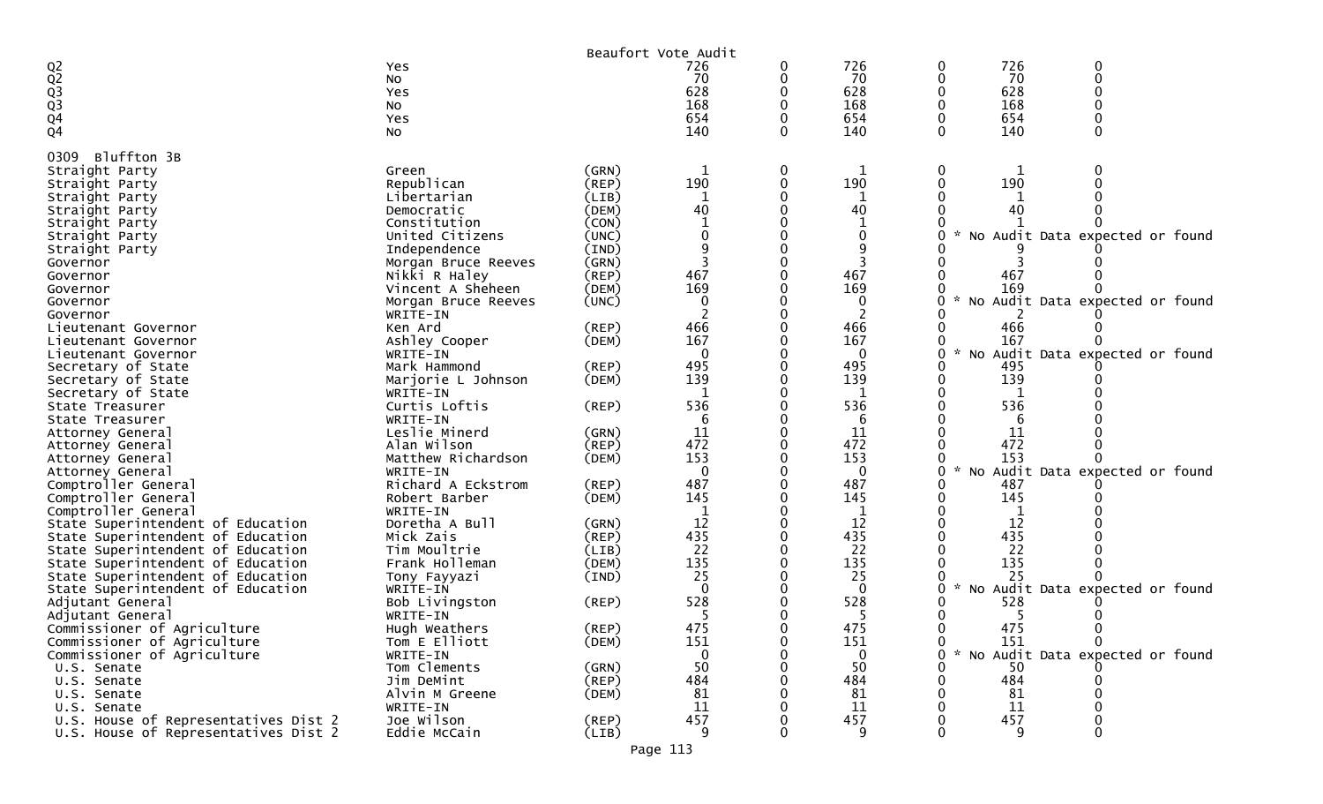|                                      |                     |             | Beaufort Vote Audit |   |             |               |     |                                   |  |
|--------------------------------------|---------------------|-------------|---------------------|---|-------------|---------------|-----|-----------------------------------|--|
|                                      | Yes                 |             | 726                 | 0 | 726         | 0             | 726 | 0                                 |  |
|                                      | No                  |             | 70                  |   | 70          |               | 70  | $\Omega$                          |  |
|                                      | Yes                 |             | 628                 |   | 628         |               | 628 |                                   |  |
|                                      | No                  |             | 168                 |   | 168         |               | 168 |                                   |  |
| Q2<br>Q2<br>Q3<br>Q4<br>Q4           | Yes                 |             | 654                 |   | 654         |               | 654 |                                   |  |
|                                      | No                  |             | 140                 |   | 140         |               | 140 |                                   |  |
| Bluffton 3B<br>0309                  |                     |             |                     |   |             |               |     |                                   |  |
| Straight Party                       | Green               | (GRN)       | 1                   | 0 |             |               |     |                                   |  |
| Straight Party                       | Republican          | (REP)       | 190                 | 0 | 190         |               | 190 |                                   |  |
| Straight Party                       | Libertarian         | (LIB)       | 1                   |   |             |               |     |                                   |  |
| Straight Party                       | Democratic          | (DEM)       | 40                  |   | 40          |               | 40  |                                   |  |
| Straight Party                       | Constitution        | (CON)       | -1                  |   |             |               |     |                                   |  |
| Straight Party                       | United Citizens     | (UNC)       |                     |   |             | $\mathcal{H}$ |     | No Audit Data expected or found   |  |
| Straight Party                       | Independence        | (IND)       |                     |   |             |               |     |                                   |  |
| Governor                             | Morgan Bruce Reeves | (GRN)       |                     |   |             |               |     |                                   |  |
| Governor                             | Nikki R Haley       | (REP)       | 467                 |   | 467         |               | 467 |                                   |  |
| Governor                             | Vincent A Sheheen   | (DEM)       | 169                 |   | 169         |               | 169 |                                   |  |
| Governor                             | Morgan Bruce Reeves | (UNC)       | 0                   |   | $\Omega$    |               |     | No Audit Data expected or found   |  |
| Governor                             | WRITE-IN            |             |                     |   |             |               |     |                                   |  |
| Lieutenant Governor                  | Ken Ard             | $($ REP $)$ | 466                 |   | 466         |               | 466 |                                   |  |
| Lieutenant Governor                  | Ashley Cooper       | (DEM)       | 167                 |   | 167         |               | 167 |                                   |  |
| Lieutenant Governor                  | WRITE-IN            |             | $\mathbf{0}$        |   | $\mathbf 0$ |               |     | * No Audit Data expected or found |  |
| Secretary of State                   | Mark Hammond        | $($ REP $)$ | 495                 |   | 495         |               | 495 |                                   |  |
| Secretary of State                   | Marjorie L Johnson  | (DEM)       | 139                 |   | 139         |               | 139 |                                   |  |
| Secretary of State                   | WRITE-IN            |             | -1                  |   | 1           |               |     |                                   |  |
| State Treasurer                      | Curtis Loftis       | $($ REP $)$ | 536                 |   | 536         |               | 536 |                                   |  |
| State Treasurer                      | WRITE-IN            |             | 6                   |   | 6           |               | 6   |                                   |  |
| Attorney General                     | Leslie Minerd       | (GRN)       | 11                  |   | 11          |               | 11  |                                   |  |
| Attorney General                     | Alan Wilson         | $($ REP $)$ | 472                 |   | 472         |               | 472 |                                   |  |
| Attorney General                     | Matthew Richardson  | (DEM)       | 153                 |   | 153         |               | 153 |                                   |  |
| Attorney General                     | WRITE-IN            |             | $\Omega$            |   | $\Omega$    |               |     | No Audit Data expected or found   |  |
| Comptroller General                  | Richard A Eckstrom  | (REP)       | 487                 |   | 487         |               | 487 |                                   |  |
| Comptroller General                  | Robert Barber       | (DEM)       | 145                 |   | 145         |               | 145 |                                   |  |
| Comptroller General                  | WRITE-IN            |             | -1                  |   |             |               |     |                                   |  |
| State Superintendent of Education    | Doretha A Bull      | (GRN)       | 12                  |   | 12          |               | 12  |                                   |  |
| State Superintendent of Education    | Mick Zais           | (REP)       | 435                 |   | 435         |               | 435 |                                   |  |
| State Superintendent of Education    | Tim Moultrie        | (LIB)       | 22                  |   | 22          |               | 22  |                                   |  |
| State Superintendent of Education    | Frank Holleman      | (DEM)       | 135                 |   | 135         |               | 135 |                                   |  |
| State Superintendent of Education    | Tony Fayyazi        | (IND)       | 25                  |   | 25          |               | 25  |                                   |  |
| State Superintendent of Education    | WRITE-IN            |             | $\Omega$            |   | $\Omega$    | $\mathcal{H}$ |     | No Audit Data expected or found   |  |
| Adjutant General                     | Bob Livingston      | $($ REP $)$ | 528                 |   | 528         |               | 528 |                                   |  |
| Adjutant General                     | WRITE-IN            |             | 5                   |   | 5           |               | 5   |                                   |  |
| Commissioner of Agriculture          | Hugh Weathers       | $($ REP $)$ | 475                 |   | 475         |               | 475 |                                   |  |
| Commissioner of Agriculture          | Tom E Elliott       | (DEM)       | 151                 | 0 | 151         | 0             | 151 |                                   |  |
| Commissioner of Agriculture          | WRITE-IN            |             | $\Omega$            | 0 | $\Omega$    | 0             |     | * No Audit Data expected or found |  |
| U.S. Senate                          | Tom Clements        | (GRN)       | 50                  |   | 50          |               | 50  |                                   |  |
| U.S. Senate                          | Jim DeMint          | (REP)       | 484                 |   | 484         |               | 484 |                                   |  |
| U.S. Senate                          | Alvin M Greene      | (DEM)       | 81                  |   | 81          |               | 81  |                                   |  |
| U.S. Senate                          | WRITE-IN            |             | 11                  |   | 11          |               | 11  |                                   |  |
| U.S. House of Representatives Dist 2 | Joe Wilson          | $($ REP $)$ | 457                 |   | 457         |               | 457 |                                   |  |
| U.S. House of Representatives Dist 2 | Eddie McCain        | (LIB)       | 9                   |   | 9           |               | 9   |                                   |  |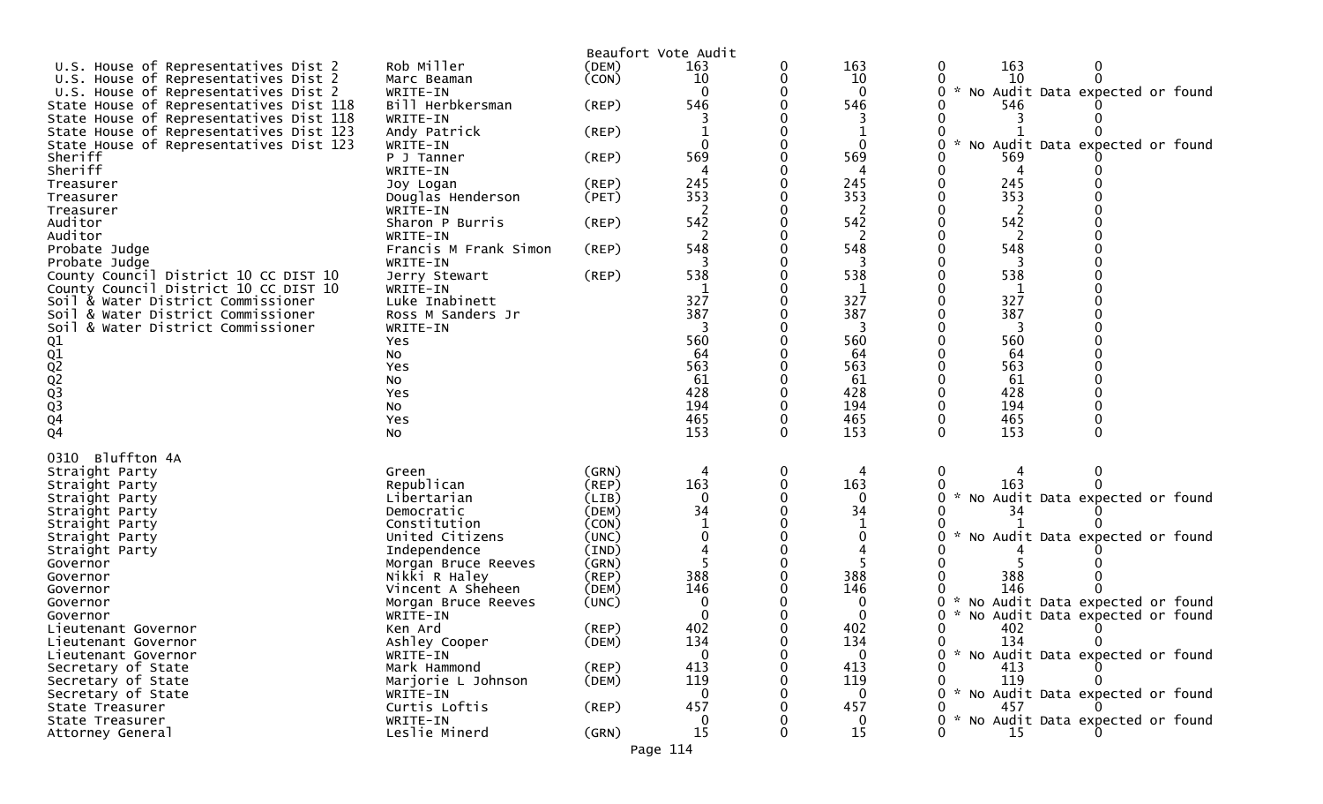|                                         |                       |             | Beaufort Vote Audit |          |              |                                                  |
|-----------------------------------------|-----------------------|-------------|---------------------|----------|--------------|--------------------------------------------------|
| U.S. House of Representatives Dist 2    | Rob Miller            | (DEM)       | 163                 | 0        | 163          | 163<br>0                                         |
| U.S. House of Representatives Dist 2    | Marc Beaman           | (CON)       | 10                  |          | 10           | 10                                               |
| U.S. House of Representatives Dist 2    | WRITE-IN              |             |                     |          | $\Omega$     | * No Audit Data expected or found                |
| State House of Representatives Dist 118 | Bill Herbkersman      | (REP)       | 546                 |          | 546          | 546                                              |
| State House of Representatives Dist 118 | WRITE-IN              |             |                     |          |              |                                                  |
| State House of Representatives Dist 123 | Andy Patrick          | $($ REP $)$ |                     |          |              |                                                  |
| State House of Representatives Dist 123 | WRITE-IN              |             | $\Omega$            |          | $\Omega$     | No Audit Data expected or found                  |
| Sheriff                                 | P J Tanner            | (REP)       | 569                 |          | 569          | 569                                              |
| Sheriff                                 | WRITE-IN              |             |                     |          |              |                                                  |
| Treasurer                               | Joy Logan             | $($ REP $)$ | 245                 |          | 245          | 245                                              |
| Treasurer                               | Douglas Henderson     | (PET)       | 353                 |          | 353          | 353                                              |
| Treasurer                               | WRITE-IN              |             |                     |          | 2            | 2                                                |
| Auditor                                 | Sharon P Burris       | (REP)       | 542                 |          | 542          | 542                                              |
| Auditor                                 | WRITE-IN              |             |                     |          | 2            |                                                  |
| Probate Judge                           | Francis M Frank Simon | (REP)       | 548                 |          | 548          | 548                                              |
| Probate Judge                           | WRITE-IN              |             |                     |          | 3            | 3                                                |
| County Council District 10 CC DIST 10   | Jerry Stewart         | (REP)       | 538                 |          | 538          | 538                                              |
| County Council District 10 CC DIST 10   | WRITE-IN              |             |                     |          | 1            | 1                                                |
| Soil & Water District Commissioner      | Luke Inabinett        |             | 327                 |          | 327          | 327                                              |
| Soil & Water District Commissioner      | Ross M Sanders Jr     |             | 387                 |          | 387          | 387                                              |
| Soil & Water District Commissioner      | WRITE-IN              |             |                     |          |              |                                                  |
|                                         | Yes                   |             | 560                 |          | 560          | 560                                              |
| Q1<br>Q2<br>Q2<br>Q3<br>Q3<br>Q4        | No                    |             | 64                  |          | 64           | 64                                               |
|                                         | Yes                   |             | 563                 |          | 563          | 563                                              |
|                                         | NO                    |             | 61                  |          | 61           | 61                                               |
|                                         | Yes                   |             | 428                 |          | 428          | 428                                              |
|                                         | NO.                   |             | 194                 |          | 194          | 194                                              |
|                                         | Yes                   |             | 465                 | 0        | 465          | 465                                              |
|                                         | No                    |             | 153                 | $\Omega$ | 153          | 153                                              |
|                                         |                       |             |                     |          |              |                                                  |
| Bluffton 4A<br>0310                     |                       |             |                     |          |              |                                                  |
| Straight Party                          | Green                 | (GRN)       | 4                   | 0        | 4            | 0                                                |
| Straight Party                          | Republican            | (REP)       | 163                 | 0        | 163          | 163                                              |
| Straight Party                          | Libertarian           | (LIB)       | $\mathbf{0}$        |          | $\Omega$     | * No Audit Data expected or found                |
| Straight Party                          | Democratic            | (DEM)       | 34                  |          | 34           | 34                                               |
| Straight Party                          | Constitution          | (CON)       |                     |          |              |                                                  |
| Straight Party                          | United Citizens       | (UNC)       |                     |          | 0            | No Audit Data expected or found                  |
| Straight Party                          | Independence          | (IND)       |                     |          |              |                                                  |
| Governor                                | Morgan Bruce Reeves   | (GRN)       |                     |          |              |                                                  |
| Governor                                | Nikki R Haley         | (REP)       | 388                 |          | 388          | 388                                              |
| Governor                                | Vincent A Sheheen     | (DEM)       | 146                 |          | 146          | 146                                              |
| Governor                                | Morgan Bruce Reeves   | (UNC)       | 0                   |          | 0            | No Audit Data expected or found                  |
| Governor                                | WRITE-IN              |             |                     |          |              | $\mathcal{H}$<br>No Audit Data expected or found |
| Lieutenant Governor                     | Ken Ard               | (REP)       | 402                 | $\Omega$ | 402          | 402<br>0                                         |
| Lieutenant Governor                     | Ashley Cooper         | (DEM)       | 134                 |          | 134          | 134                                              |
| Lieutenant Governor                     | WRITE-IN              |             | $\Omega$            |          | $\mathbf{0}$ | * No Audit Data expected or found                |
| Secretary of State                      | Mark Hammond          | $($ REP $)$ | 413                 |          | 413          | 413                                              |
| Secretary of State                      | Marjorie L Johnson    | (DEM)       | 119                 |          | 119          | 119                                              |
| Secretary of State                      | WRITE-IN              |             | $\Omega$            |          | $\mathbf{0}$ | * No Audit Data expected or found                |
| State Treasurer                         | Curtis Loftis         | $($ REP $)$ | 457                 |          | 457          | 457                                              |
| State Treasurer                         | WRITE-IN              |             | 0                   |          | 0            | No Audit Data expected or found                  |
| Attorney General                        | Leslie Minerd         | (GRN)       | 15                  |          | 15           | 15                                               |
|                                         |                       |             | Page 114            |          |              |                                                  |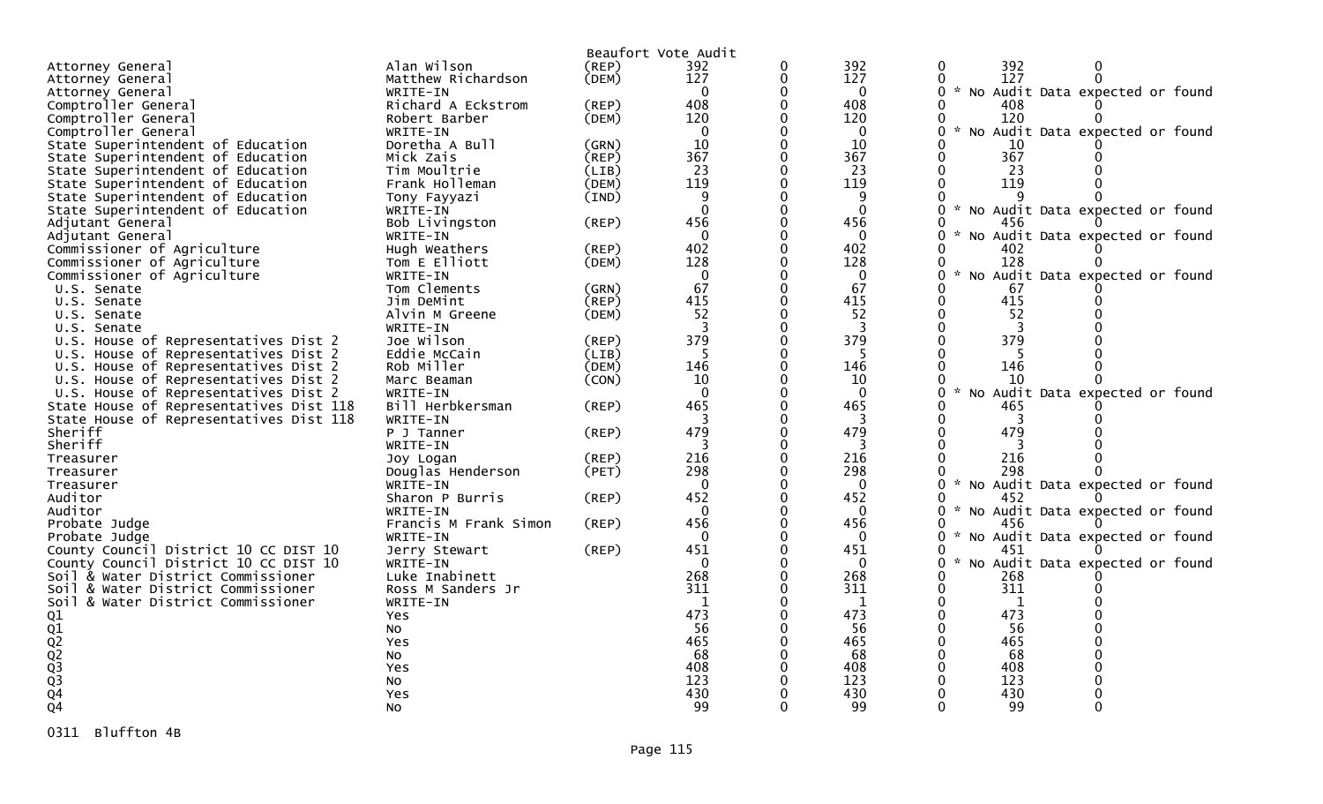|                                              |                       |       | Beaufort Vote Audit |              |              |                                                       |
|----------------------------------------------|-----------------------|-------|---------------------|--------------|--------------|-------------------------------------------------------|
| Attorney General                             | Alan Wilson           | (REP) | 392                 | 0            | 392          | 0<br>392<br>0                                         |
| Attorney General                             | Matthew Richardson    | (DEM) | 127                 | $\mathbf{0}$ | 127          | 127<br>$\Omega$<br>$\Omega$                           |
| Attorney General                             | WRITE-IN              |       | $\mathbf{0}$        | $\mathbf{0}$ | $\mathbf{0}$ | 0<br>* No Audit Data expected or found                |
| Comptroller General                          | Richard A Eckstrom    | (REP) | 408                 | $\Omega$     | 408          | 408<br>0                                              |
| Comptroller General                          | Robert Barber         | (DEM) | 120                 | 0            | 120          | 120<br>0                                              |
| Comptroller General                          | WRITE-IN              |       | $\Omega$            | O            | $\Omega$     | $\mathcal{L}$<br>No Audit Data expected or found<br>0 |
| State Superintendent of Education            | Doretha A Bull        | (GRN) | 10                  | $\Omega$     | 10           | 10                                                    |
| State Superintendent of Education            | Mick Zais             | (REP) | 367                 | $\Omega$     | 367          | 367<br>$\Omega$                                       |
| State Superintendent of Education            | Tim Moultrie          | (LIB) | 23                  |              | 23           | 23<br>$\Omega$                                        |
| State Superintendent of Education            | Frank Holleman        | (DEM) | 119                 | $\Omega$     | 119          | $\Omega$<br>119                                       |
| State Superintendent of Education            | Tony Fayyazi          | (IND) | 9                   |              | 9            | 0                                                     |
| State Superintendent of Education            | WRITE-IN              |       | $\Omega$            | $\Omega$     | $\Omega$     | * No Audit Data expected or found<br>0                |
| Adjutant General                             | Bob Livingston        | (REP) | 456                 | O            | 456          | 456                                                   |
| Adjutant General                             | WRITE-IN              |       | $\Omega$            | 0            | $\Omega$     | 0<br>$\sim$<br>No Audit Data expected or found        |
| Commissioner of Agriculture                  | Hugh Weathers         | (REP) | 402                 | $\Omega$     | 402          | 402                                                   |
| Commissioner of Agriculture                  | Tom E Elliott         | (DEM) | 128                 | 0            | 128          | 128                                                   |
| Commissioner of Agriculture                  | WRITE-IN              |       | $\Omega$            | O            | $\Omega$     | $\sim$<br>$\Omega$<br>No Audit Data expected or found |
| U.S. Senate                                  | Tom Clements          | (GRN) | 67                  | 0            | 67           | 67<br>$\Omega$                                        |
| U.S. Senate                                  | Jim DeMint            | (REP) | 415                 | $\Omega$     | 415          | 415<br>$\mathbf{0}$                                   |
| U.S. Senate                                  | Alvin M Greene        | (DEM) | 52                  | $\mathbf{0}$ | 52           | 52<br>0                                               |
| U.S. Senate                                  | WRITE-IN              |       |                     | $\Omega$     | 3            | 0                                                     |
| U.S. House of Representatives Dist 2         | Joe Wilson            | (REP) | 379                 | $\Omega$     | 379          | $\Omega$<br>379                                       |
| U.S. House of Representatives Dist 2         | Eddie McCain          | (LIB) | 5                   | $\Omega$     | 5            | -5                                                    |
| U.S. House of Representatives Dist 2         | Rob Miller            | (DEM) | 146                 | $\Omega$     | 146          | 146                                                   |
| U.S. House of Representatives Dist 2         | Marc Beaman           | (CON) | 10                  | 0            | 10           | 10                                                    |
| U.S. House of Representatives Dist 2         | WRITE-IN              |       | $\Omega$            |              | $\Omega$     | $\sim$<br>$\Omega$<br>No Audit Data expected or found |
| State House of Representatives Dist 118      | Bill Herbkersman      | (REP) | 465                 | $\Omega$     | 465          | 465<br>0                                              |
| State House of Representatives Dist 118      | WRITE-IN              |       |                     |              | 3            |                                                       |
| Sheriff                                      | P J Tanner            | (REP) | 479                 | $\Omega$     | 479          | 479<br>0                                              |
| Sheriff                                      | WRITE-IN              |       |                     |              | 3            |                                                       |
| Treasurer                                    | Joy Logan             | (REP) | 216                 | 0            | 216          | $\mathbf{0}$<br>216                                   |
| Treasurer                                    | Douglas Henderson     | (PET) | 298                 |              | 298          | 298                                                   |
| Treasurer                                    | WRITE-IN              |       | $\mathbf 0$         | $\Omega$     | $\mathbf{0}$ | $\mathcal{H}$<br>No Audit Data expected or found<br>0 |
| Auditor                                      | Sharon P Burris       | (REP) | 452                 | $\Omega$     | 452          | 0<br>452                                              |
| Auditor                                      | WRITE-IN              |       | $\overline{0}$      | $\Omega$     | $\mathbf{0}$ | No Audit Data expected or found<br>0<br>$\mathcal{H}$ |
| Probate Judge                                | Francis M Frank Simon | (REP) | 456                 | $\Omega$     | 456          | 0<br>456                                              |
| Probate Judge                                | WRITE-IN              |       | $\overline{0}$      | $\Omega$     | $\mathbf{0}$ | 0 * No Audit Data expected or found                   |
| County Council District 10 CC DIST 10        | Jerry Stewart         | (REP) | 451                 | O            | 451          | 451<br>0                                              |
| County Council District 10 CC DIST 10        | WRITE-IN              |       | $\overline{0}$      | 0            | $\mathbf{0}$ | $\sim$<br>No Audit Data expected or found<br>$\Omega$ |
| Soil & Water District Commissioner           | Luke Inabinett        |       | 268                 | O            | 268          | 268                                                   |
| Soil & Water District Commissioner           | Ross M Sanders Jr     |       | 311                 |              | 311          | 311<br>$\Omega$                                       |
| Soil & Water District Commissioner           | WRITE-IN              |       | $\mathbf{1}$        | $\Omega$     | 1            | $\Omega$<br>1                                         |
|                                              |                       |       | 473                 |              | 473          | 473<br>$\Omega$                                       |
|                                              | Yes                   |       | 56                  |              | 56           | 56                                                    |
|                                              | No                    |       | 465                 |              | 465          | 465                                                   |
|                                              | Yes                   |       | 68                  |              | 68           | 68                                                    |
|                                              | No                    |       | 408                 |              | 408          | 408                                                   |
|                                              | Yes                   |       | 123                 |              | 123          | 123                                                   |
| 01<br>02<br>02<br>02<br>03<br>03<br>04<br>04 | No                    |       | 430                 |              | 430          | 430                                                   |
|                                              | Yes                   |       | 99                  | 0            | 99           | 99<br>0                                               |
|                                              | No                    |       |                     |              |              |                                                       |

0311 Bluffton 4B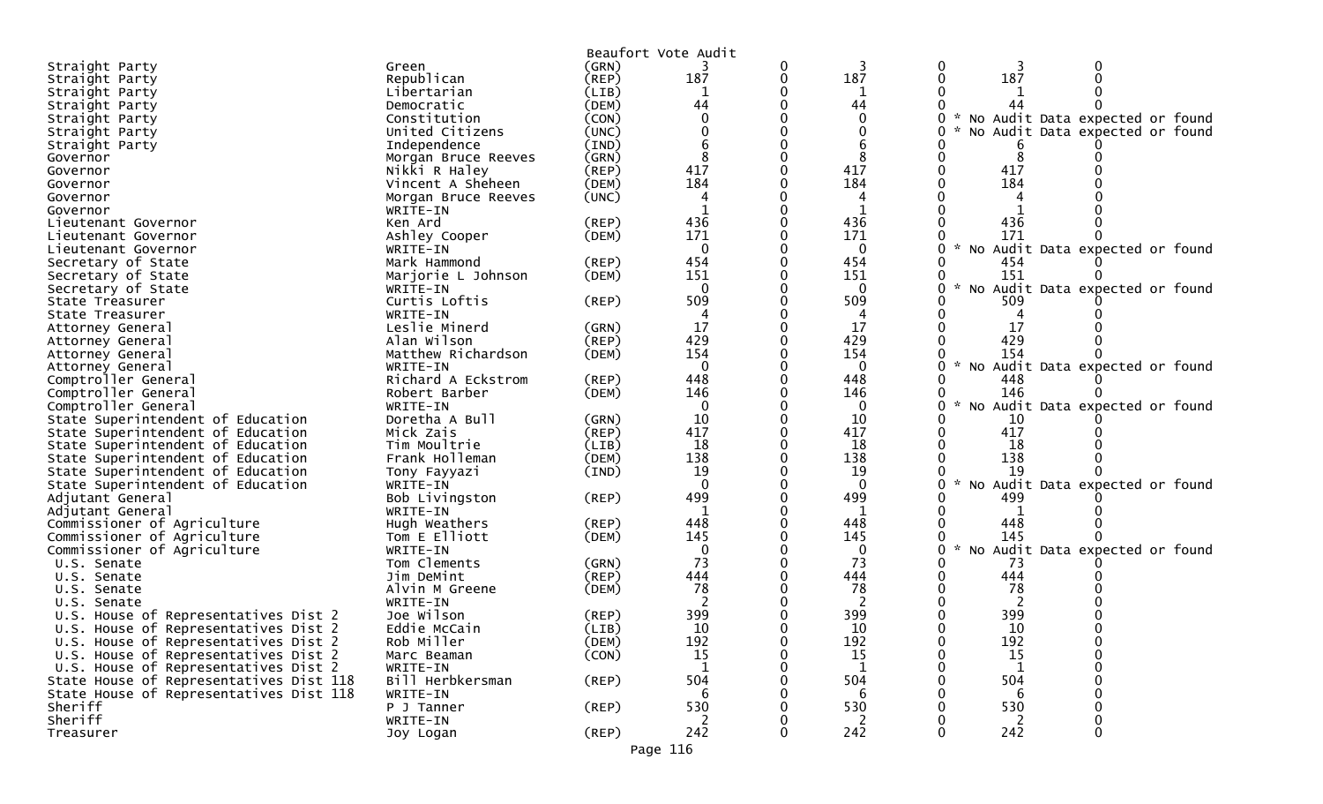|                                                 |                            |       | Beaufort Vote Audit |   |                |                                           |
|-------------------------------------------------|----------------------------|-------|---------------------|---|----------------|-------------------------------------------|
| Straight Party                                  | Green                      | (GRN) |                     | 0 |                |                                           |
| Straight Party                                  | Republican                 | (REP) | 187                 | 0 | 187            | 187                                       |
| Straight Party                                  | Libertarian                | (LIB) | 1                   |   |                |                                           |
| Straight Party                                  | Democratic                 | (DEM) | 44                  |   | 44             | 44                                        |
| Straight Party                                  | Constitution               | (CON) | 0                   |   | $\mathbf{0}$   | * No Audit Data expected or found         |
| Straight Party                                  | United Citizens            | (UNC) |                     |   | 0              | No Audit Data expected or found           |
| Straight Party                                  | Independence               | (IND) |                     |   |                |                                           |
| Governor                                        | Morgan Bruce Reeves        | (GRN) | 8                   |   |                | 8                                         |
| Governor                                        | Nikki R Haley              | (REP) | 417                 |   | 417            | 417                                       |
| Governor                                        | Vincent A Sheheen          | (DEM) | 184                 |   | 184            | 184                                       |
| Governor                                        | Morgan Bruce Reeves        | (UNC) |                     |   |                |                                           |
| Governor                                        | WRITE-IN                   |       |                     |   |                |                                           |
| Lieutenant Governor                             | Ken Ard                    | (REP) | 436                 |   | 436            | 436                                       |
| Lieutenant Governor                             | Ashley Cooper              | (DEM) | 171                 |   | 171            | 171                                       |
| Lieutenant Governor                             | WRITE-IN                   |       | $\Omega$            |   | $\Omega$       | No Audit Data expected or found           |
| Secretary of State                              | Mark Hammond               | (REP) | 454                 |   | 454            | 454                                       |
| Secretary of State                              | Marjorie L Johnson         | (DEM) | 151                 |   | 151            | 151                                       |
| Secretary of State                              | WRITE-IN                   |       | $\Omega$            |   | $\Omega$       | $\sim$<br>No Audit Data expected or found |
| State Treasurer                                 | Curtis Loftis              | (REP) | 509                 |   | 509            | 509                                       |
| State Treasurer                                 | WRITE-IN                   |       | 4                   |   | 4              |                                           |
| Attorney General                                | Leslie Minerd              | (GRN) | 17                  |   | 17             | 17                                        |
| Attorney General                                | Alan Wilson                | (REP) | 429                 |   | 429            | 429                                       |
| Attorney General                                | Matthew Richardson         | (DEM) | 154                 |   | 154            | 154                                       |
| Attorney General                                | WRITE-IN                   |       | $\Omega$            |   | $\mathbf{0}$   | * No Audit Data expected or found         |
| Comptroller General                             | Richard A Eckstrom         | (REP) | 448                 |   | 448            | 448                                       |
| Comptroller General                             | Robert Barber              | (DEM) | 146                 |   | 146            | 146                                       |
| Comptroller General                             | WRITE-IN                   |       | $\mathbf{0}$        |   | $\mathbf{0}$   | No Audit Data expected or found           |
| State Superintendent of Education               | Doretha A Bull             | (GRN) | 10                  |   | 10             | 10                                        |
| State Superintendent of Education               | Mick Zais                  | (REP) | 417                 |   | 417            | 417                                       |
| State Superintendent of Education               | Tim Moultrie               | (LIB) | 18                  |   | 18             | 18                                        |
| State Superintendent of Education               | Frank Holleman             | (DEM) | 138                 |   | 138            | 138<br>19                                 |
| State Superintendent of Education               | Tony Fayyazi               | (IND) | 19<br>$\Omega$      |   | 19<br>$\Omega$ | Audit Data expected or found<br><b>NO</b> |
| State Superintendent of Education               | WRITE-IN                   |       | 499                 |   | 499            | 499                                       |
| Adjutant General                                | Bob Livingston<br>WRITE-IN | (REP) |                     |   | $\mathbf{1}$   |                                           |
| Adjutant General<br>Commissioner of Agriculture | Hugh Weathers              | (REP) | 448                 |   | 448            | 448                                       |
| Commissioner of Agriculture                     | Tom E Elliott              | (DEM) | 145                 |   | 145            | 145                                       |
| Commissioner of Agriculture                     | WRITE-IN                   |       | $\Omega$            |   | $\bf{0}$       | No Audit Data expected or found           |
| U.S. Senate                                     | Tom Clements               | (GRN) | 73                  |   | 73             | -73                                       |
| U.S. Senate                                     | Jim DeMint                 | (REP) | 444                 |   | 444            | 444                                       |
| U.S. Senate                                     | Alvin M Greene             | (DEM) | 78                  |   | 78             | 78                                        |
| U.S. Senate                                     | WRITE-IN                   |       | 2                   |   | 2              |                                           |
| U.S. House of Representatives Dist 2            | Joe Wilson                 | (REP) | 399                 |   | 399            | 399                                       |
| U.S. House of Representatives Dist 2            | Eddie McCain               | (LIB) | 10                  |   | 10             | 10                                        |
| U.S. House of Representatives Dist 2            | Rob Miller                 | (DEM) | 192                 |   | 192            | 192                                       |
| U.S. House of Representatives Dist 2            | Marc Beaman                | (CON) | 15                  |   | 15             | 15                                        |
| U.S. House of Representatives Dist 2            | WRITE-IN                   |       | -1                  |   | -1             | 1                                         |
| State House of Representatives Dist 118         | Bill Herbkersman           | (REP) | 504                 |   | 504            | 504                                       |
| State House of Representatives Dist 118         | WRITE-IN                   |       | 6                   |   | 6              | 6                                         |
| Sheriff                                         | P J Tanner                 | (REP) | 530                 |   | 530            | 530                                       |
| Sheriff                                         | WRITE-IN                   |       | 2                   |   |                |                                           |
| Treasurer                                       | Joy Logan                  | (REP) | 242                 |   | 242            | 242                                       |
|                                                 |                            |       |                     |   |                |                                           |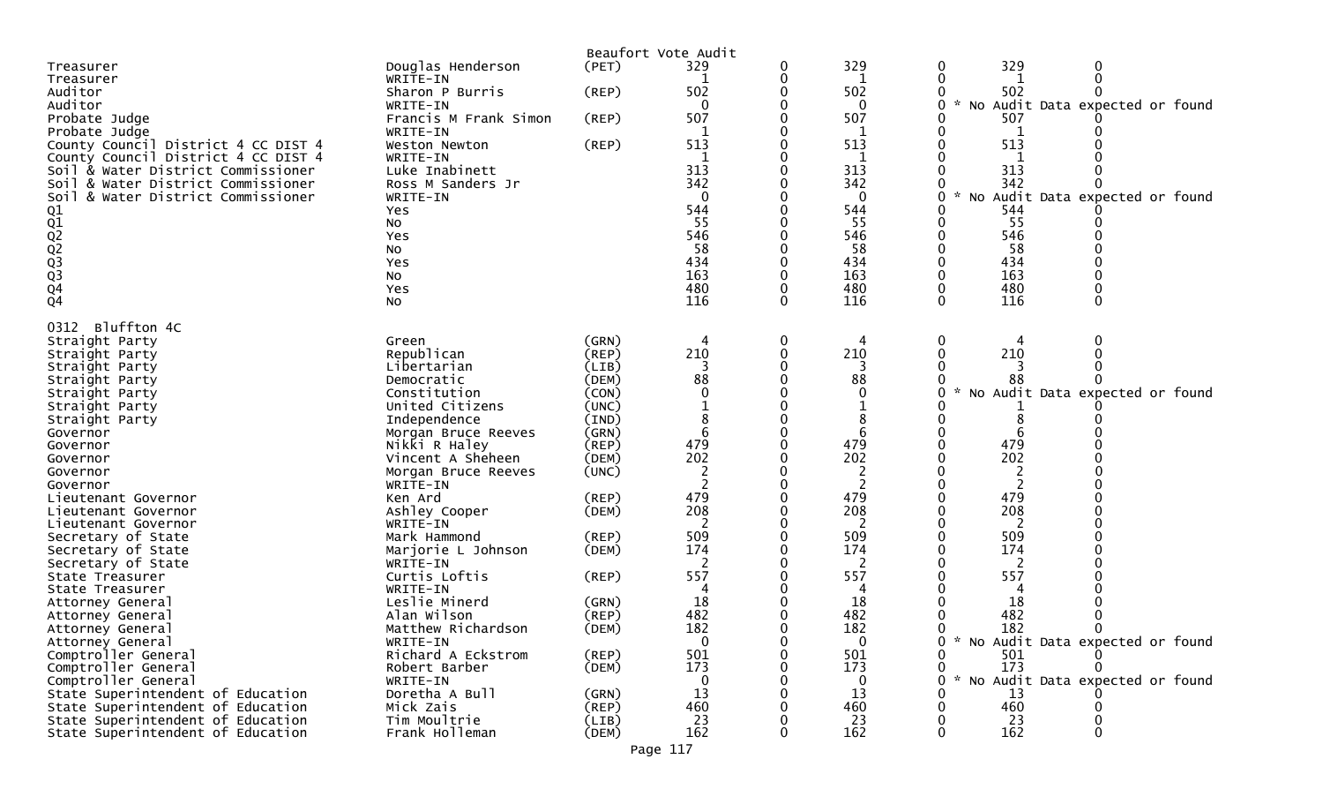|                                        |                           |             | Beaufort Vote Audit |   |                |                                      |
|----------------------------------------|---------------------------|-------------|---------------------|---|----------------|--------------------------------------|
| Treasurer                              | Douglas Henderson         | (PET)       | 329                 | 0 | 329            | 329<br>0<br>0                        |
| Treasurer                              | WRITE-IN                  |             |                     |   | 1              | 0<br>0                               |
| Auditor                                | Sharon P Burris           | $($ REP $)$ | 502                 |   | 502            | 502<br>0                             |
| Auditor                                | WRITE-IN                  |             | $\Omega$            |   | 0              | No Audit Data expected or found<br>0 |
| Probate Judge                          | Francis M Frank Simon     | $($ REP $)$ | 507                 |   | 507            | 507                                  |
| Probate Judge                          | WRITE-IN                  |             |                     |   | 1              | 1                                    |
| County Council District 4 CC DIST 4    | Weston Newton             | $($ REP $)$ | 513                 |   | 513            | 513                                  |
| County Council District 4 CC DIST 4    | WRITE-IN                  |             |                     |   | 1              |                                      |
| Soil & Water District Commissioner     | Luke Inabinett            |             | 313                 |   | 313            | 313                                  |
| Soil & Water District Commissioner     | Ross M Sanders Jr         |             | 342                 |   | 342            | 342                                  |
| & Water District Commissioner<br>Soil  | WRITE-IN                  |             | $\mathbf 0$         |   | 0              | No Audit Data expected or found<br>0 |
|                                        | Yes                       |             | 544                 |   | 544            | 544                                  |
|                                        | NO.                       |             | 55                  |   | 55             | 55                                   |
|                                        | Yes                       |             | 546                 |   | 546            | 546                                  |
|                                        | No                        |             | 58                  |   | 58             | 58                                   |
|                                        | Yes                       |             | 434                 |   | 434            | 434                                  |
|                                        | No                        |             | 163                 |   | 163            | 163                                  |
|                                        |                           |             | 480                 |   | 480            | 480                                  |
| 01<br>02<br>02<br>03<br>03<br>04<br>04 | Yes<br><b>NO</b>          |             | 116                 | 0 | 116            | 116<br>$\mathbf{0}$<br>$\mathbf{0}$  |
|                                        |                           |             |                     |   |                |                                      |
| Bluffton 4C<br>0312                    |                           |             |                     |   |                |                                      |
| Straight Party                         | Green                     | (GRN)       |                     |   | 4              | 0                                    |
| Straight Party                         | Republican                | (REP)       | 210                 |   | 210            | 210                                  |
| Straight Party                         | Libertarian               | (LIB)       |                     |   |                |                                      |
| Straight Party                         | Democratic                | (DEM)       | 88                  |   | 88             | 88                                   |
| Straight Party                         | Constitution              | (CON)       |                     |   | $\mathbf 0$    | No Audit Data expected or found      |
| Straight Party                         | United Citizens           | (UNC)       |                     |   |                |                                      |
| Straight Party                         | Independence              | (IND)       | 8                   |   | 8              | 8                                    |
| Governor                               | Morgan Bruce Reeves       | (GRN)       |                     |   | 6              | 6                                    |
| Governor                               | Nikki R Haley             | (REP)       | 479                 |   | 479            | 479                                  |
| Governor                               | Vincent A Sheheen         | (DEM)       | 202                 |   | 202            | 202                                  |
| Governor                               | Morgan Bruce Reeves       | (UNC)       |                     |   | 2              | 2                                    |
| Governor                               | WRITE-IN                  |             |                     |   | $\overline{2}$ |                                      |
| Lieutenant Governor                    | Ken Ard                   | (REP)       | 479                 |   | 479            | 479                                  |
|                                        | Ashley Cooper             | (DEM)       | 208                 |   | 208            | 208                                  |
| Lieutenant Governor                    | WRITE-IN                  |             | 2                   |   | 2              | 2                                    |
| Lieutenant Governor                    | Mark Hammond              | (REP)       | 509                 |   | 509            | 509                                  |
| Secretary of State                     | Marjorie L Johnson        | (DEM)       | 174                 |   | 174            | 174                                  |
| Secretary of State                     |                           |             |                     |   |                |                                      |
| Secretary of State                     | WRITE-IN<br>Curtis Loftis |             | 557                 |   | 557            | 557                                  |
| State Treasurer                        | WRITE-IN                  | (REP)       |                     |   |                |                                      |
| State Treasurer                        | Leslie Minerd             |             |                     |   | 4              | 18                                   |
| Attorney General                       |                           | (GRN)       | 18<br>482           |   | 18<br>482      | 482                                  |
| Attorney General                       | Alan Wilson               | (REP)       | 182                 |   | 182            | 0                                    |
| Attorney General                       | Matthew Richardson        | (DEM)       |                     |   |                | 182                                  |
| Attorney General                       | WRITE-IN                  |             | 0                   |   | 0              | * No Audit Data expected or found    |
| Comptroller General                    | Richard A Eckstrom        | (REP)       | 501                 |   | 501            | 501<br>173                           |
| Comptroller General                    | Robert Barber             | (DEM)       | 173                 |   | 173            | 0<br>$\sim$                          |
| Comptroller General                    | WRITE-IN                  |             | $\Omega$            |   | 0              | No Audit Data expected or found<br>U |
| State Superintendent of Education      | Doretha A Bull            | (GRN)       | 13                  |   | 13             | 13                                   |
| State Superintendent of Education      | Mick Zais                 | (REP)       | 460                 |   | 460            | 460                                  |
| State Superintendent of Education      | Tim Moultrie              | (LIB)       | 23                  |   | 23             | 23                                   |
| State Superintendent of Education      | Frank Holleman            | (DEM)       | 162                 |   | 162            | 162                                  |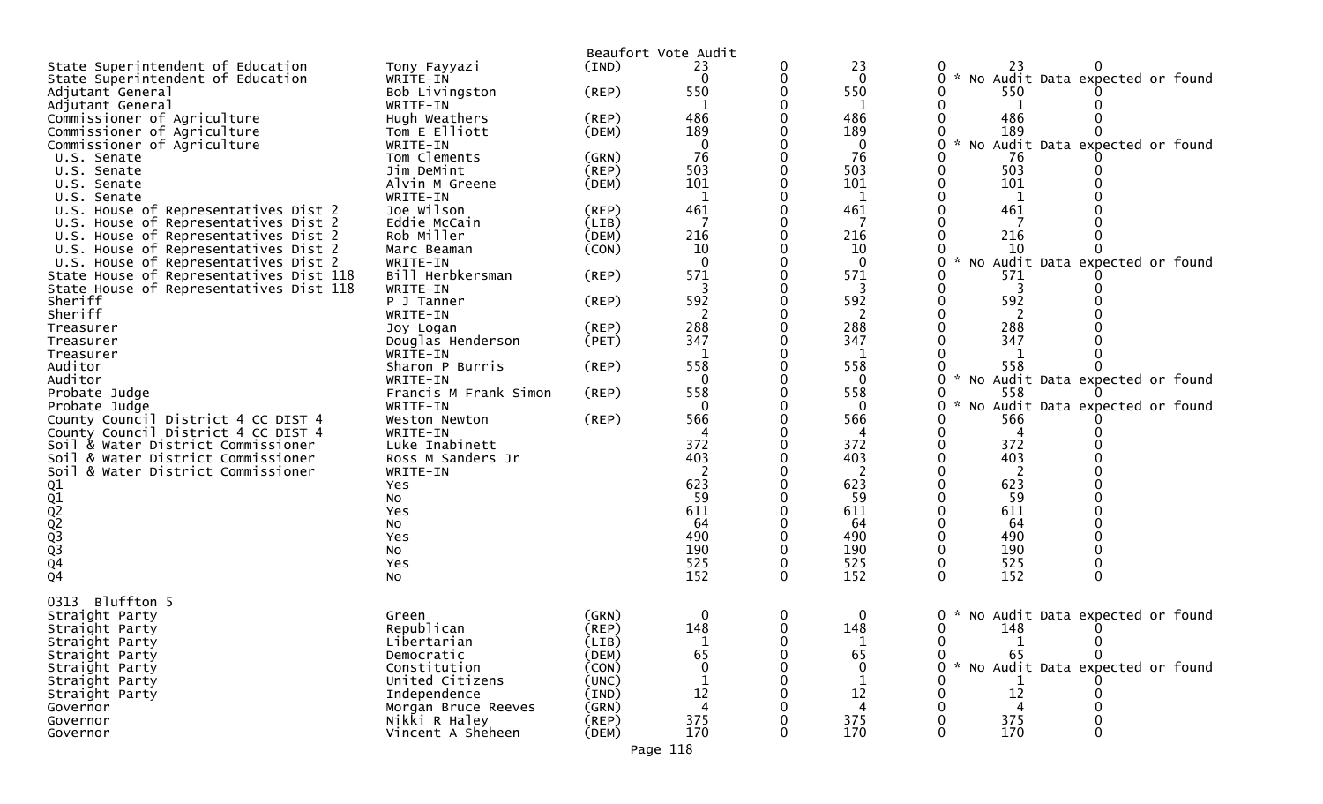|                                         |                       |             | Beaufort Vote Audit |              |                |                                            |
|-----------------------------------------|-----------------------|-------------|---------------------|--------------|----------------|--------------------------------------------|
| State Superintendent of Education       | Tony Fayyazi          | (IND)       | 23                  |              | 23             | 23                                         |
| State Superintendent of Education       | WRITE-IN              |             | $\Omega$            | 0            | $\mathbf{0}$   | No Audit Data expected or found<br>0<br>₩. |
| Adjutant General                        | Bob Livingston        | (REP)       | 550                 |              | 550            | 550                                        |
| Adjutant General                        | WRITE-IN              |             | 1                   |              | 1              | 1                                          |
| Commissioner of Agriculture             | Hugh Weathers         | $($ REP $)$ | 486                 |              | 486            | 486                                        |
| Commissioner of Agriculture             | Tom E Elliott         | (DEM)       | 189                 |              | 189            | 189                                        |
| Commissioner of Agriculture             | WRITE-IN              |             | $\mathbf{0}$        |              | $\Omega$       | No Audit Data expected or found            |
| U.S. Senate                             | Tom Clements          | (GRN)       | 76                  |              | 76             | 76                                         |
| U.S. Senate                             | Jim DeMint            | $($ REP $)$ | 503                 |              | 503            | 503                                        |
| U.S. Senate                             | Alvin M Greene        | (DEM)       | 101                 |              | 101            | 101                                        |
| U.S. Senate                             | WRITE-IN              |             | $\mathbf 1$         |              | 1              | $\mathbf{1}$                               |
| U.S. House of Representatives Dist 2    | Joe Wilson            | $($ REP $)$ | 461                 |              | 461            | 461                                        |
| U.S. House of Representatives Dist 2    | Eddie McCain          | (LIB)       | 7                   |              | -7             |                                            |
| U.S. House of Representatives Dist 2    | Rob Miller            | (DEM)       | 216                 |              | 216            | 216                                        |
| U.S. House of Representatives Dist 2    | Marc Beaman           | (CON)       | 10                  |              | 10             | 10                                         |
|                                         |                       |             | $\mathbf{0}$        |              | $\mathbf{0}$   |                                            |
| U.S. House of Representatives Dist 2    | WRITE-IN              |             |                     |              | 571            | Audit Data expected or found<br>No<br>571  |
| State House of Representatives Dist 118 | Bill Herbkersman      | $($ REP $)$ | 571                 |              |                |                                            |
| State House of Representatives Dist 118 | WRITE-IN              |             | 3                   | $\Omega$     | 3              | 3                                          |
| Sheriff                                 | P J Tanner            | (REP)       | 592                 |              | 592            | 592                                        |
| Sheriff                                 | WRITE-IN              |             |                     |              | 2              |                                            |
| Treasurer                               | Joy Logan             | $($ REP $)$ | 288                 |              | 288            | 288                                        |
| Treasurer                               | Douglas Henderson     | (PET)       | 347                 |              | 347            | 347                                        |
| Treasurer                               | WRITE-IN              |             | -1                  |              | 1              |                                            |
| Auditor                                 | Sharon P Burris       | (REP)       | 558                 | 0            | 558            | 558                                        |
| Auditor                                 | WRITE-IN              |             | $\mathbf 0$         |              | $\mathbf 0$    | No Audit Data expected or found<br>0       |
| Probate Judge                           | Francis M Frank Simon | (REP)       | 558                 |              | 558            | 558                                        |
| Probate Judge                           | WRITE-IN              |             | 0                   |              | 0              | No Audit Data expected or found<br>0       |
| County Council District 4 CC DIST 4     | Weston Newton         | (REP)       | 566                 |              | 566            | 566                                        |
| County Council District 4 CC DIST 4     | WRITE-IN              |             | 4                   |              | 4              | 4                                          |
| Soil & Water District Commissioner      | Luke Inabinett        |             | 372                 |              | 372            | 372                                        |
| Soil & Water District Commissioner      | Ross M Sanders Jr     |             | 403                 |              | 403            | 403                                        |
| Soil & Water District Commissioner      | WRITE-IN              |             | $\overline{c}$      |              | 2              | 2                                          |
|                                         | Yes                   |             | 623                 |              | 623            | 623                                        |
|                                         | No                    |             | 59                  |              | 59             | 59                                         |
|                                         | Yes                   |             | 611                 |              | 611            | 611                                        |
|                                         | No                    |             | 64                  |              | 64             | 64                                         |
|                                         | Yes                   |             | 490                 |              | 490            | 490                                        |
|                                         | No                    |             | 190                 |              | 190            | 190                                        |
| Q1<br>Q2<br>Q2<br>Q3<br>Q3<br>Q4<br>Q4  | Yes                   |             | 525                 | 0            | 525            | 525                                        |
|                                         | No                    |             | 152                 | 0            | 152            | 152<br>0                                   |
|                                         |                       |             |                     |              |                |                                            |
| Bluffton 5<br>0313                      |                       |             |                     |              |                |                                            |
| Straight Party                          | Green                 | (GRN)       | 0                   | 0            | $\mathbf{0}$   | No Audit Data expected or found<br>0       |
| Straight Party                          | Republican            | $($ REP $)$ | 148                 | $\mathbf{0}$ | 148            | 0<br>148<br>0                              |
| Straight Party                          | Libertarian           | (LIB)       |                     |              |                | 0                                          |
| Straight Party                          | Democratic            | (DEM)       | 65                  |              | 65             | 65                                         |
| Straight Party                          | Constitution          | (CON)       |                     |              | $\mathbf 0$    | No Audit Data expected or found            |
| Straight Party                          | United Citizens       | (UNC)       |                     |              | $\mathbf 1$    |                                            |
| Straight Party                          | Independence          | (IND)       | 12                  |              | 12             | 12                                         |
| Governor                                | Morgan Bruce Reeves   | (GRN)       | 4                   |              | $\overline{4}$ |                                            |
| Governor                                | Nikki R Haley         | $($ REP $)$ | 375                 |              | 375            | 375                                        |
| Governor                                | Vincent A Sheheen     | (DEM)       | 170                 | 0            | 170            | 170<br>O                                   |
|                                         |                       |             |                     |              |                |                                            |
|                                         |                       |             | Page 118            |              |                |                                            |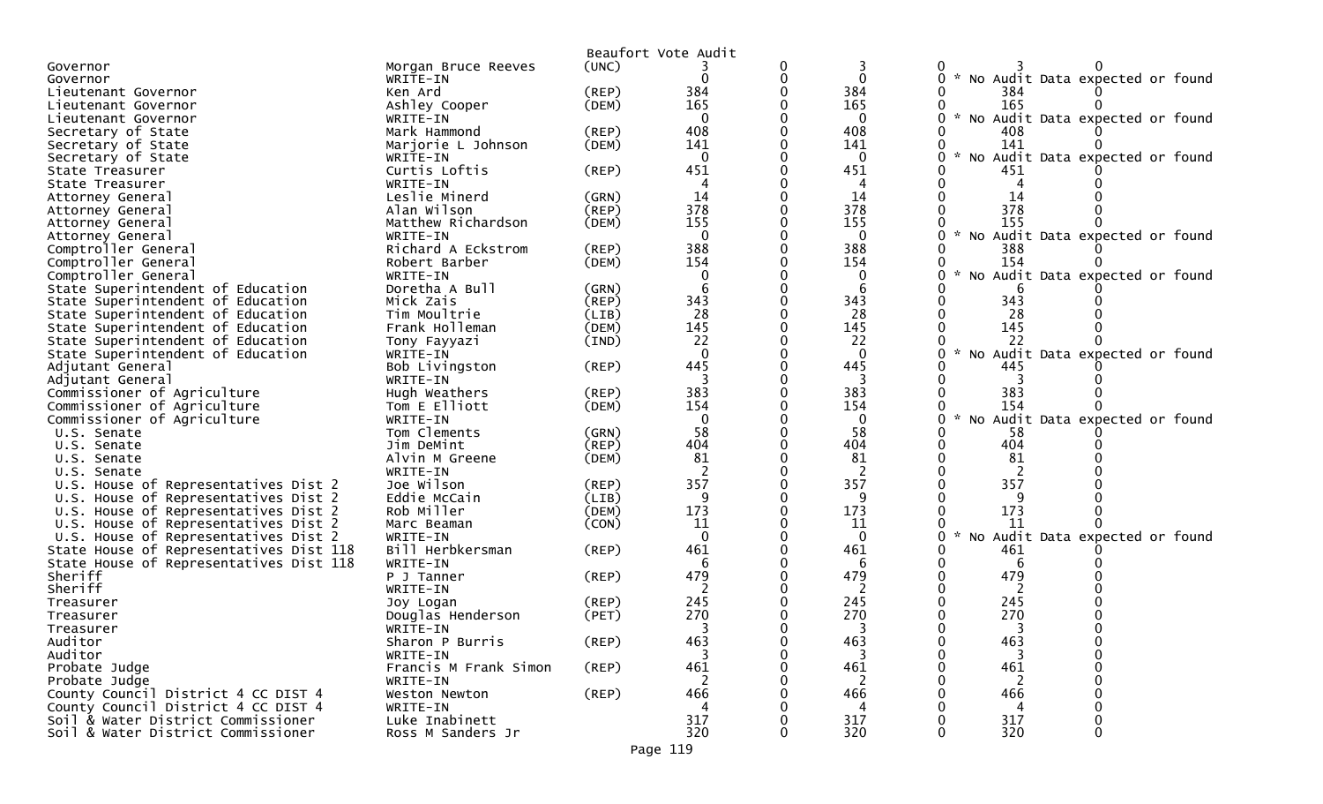|                                         |                       |                | Beaufort Vote Audit |              |                                                  |
|-----------------------------------------|-----------------------|----------------|---------------------|--------------|--------------------------------------------------|
| Governor                                | Morgan Bruce Reeves   | (UNC)          |                     |              |                                                  |
| Governor                                | WRITE-IN              |                |                     | $\Omega$     | * No Audit Data expected or found<br>0           |
| Lieutenant Governor                     | Ken Ard               | (REP)          | 384                 | 384          | 384                                              |
| Lieutenant Governor                     | Ashley Cooper         | (DEM)          | 165                 | 165          | 165                                              |
| Lieutenant Governor                     | WRITE-IN              |                | $\mathbf{0}$        | $\mathbf 0$  | $\mathcal{H}$<br>No Audit Data expected or found |
| Secretary of State                      | Mark Hammond          | (REP)          | 408                 | 408          | 408                                              |
| Secretary of State                      | Marjorie L Johnson    | (DEM)          | 141                 | 141          | 141                                              |
| Secretary of State                      | WRITE-IN              |                | $\mathbf{0}$        | $\mathbf 0$  | * No Audit Data expected or found                |
| State Treasurer                         | Curtis Loftis         | (REP)          | 451                 | 451          | 451                                              |
| State Treasurer                         | WRITE-IN              |                |                     |              |                                                  |
| Attorney General                        | Leslie Minerd         | (GRN)          | 14                  | 14           | 14                                               |
| Attorney General                        | Alan Wilson           | (REP)          | 378                 | 378          | 378                                              |
| Attorney General                        | Matthew Richardson    | (DEM)          | 155                 | 155          | 155                                              |
| Attorney General                        | WRITE-IN              |                | $\Omega$            | $\Omega$     | * No Audit Data expected or found                |
| Comptroller General                     | Richard A Eckstrom    | (REP)          | 388                 | 388          | 388                                              |
| Comptroller General                     | Robert Barber         | (DEM)          | 154                 | 154          | 154                                              |
| Comptroller General                     | WRITE-IN              |                | $\Omega$            | 0            | No Audit Data expected or found                  |
| State Superintendent of Education       | Doretha A Bull        | (GRN)          |                     | 6            |                                                  |
| State Superintendent of Education       | Mick Zais             | (REP)          | 343                 | 343          | 343                                              |
| State Superintendent of Education       | Tim Moultrie          | (LIB)          | 28                  | 28           | 28                                               |
| State Superintendent of Education       | Frank Holleman        | (DEM)          | 145                 | 145          | 145                                              |
| State Superintendent of Education       | Tony Fayyazi          | $(\text{IND})$ | 22                  | 22           | 22                                               |
| State Superintendent of Education       | WRITE-IN              |                | $\Omega$            | $\Omega$     | No Audit Data expected or found                  |
| Adjutant General                        | Bob Livingston        | $($ REP $)$    | 445                 | 445          | 445                                              |
| Adjutant General                        | WRITE-IN              |                | 3                   | 3            |                                                  |
| Commissioner of Agriculture             | Hugh Weathers         | (REP)          | 383                 | 383          | 383                                              |
|                                         | Tom E Elliott         | (DEM)          | 154                 | 154          | 154                                              |
| Commissioner of Agriculture             | WRITE-IN              |                | $\mathbf{0}$        | $\mathbf{0}$ | * No Audit Data expected or found                |
| Commissioner of Agriculture             | Tom Clements          |                | 58                  | 58           | 58                                               |
| U.S. Senate                             |                       | (GRN)          | 404                 | 404          | 404                                              |
| U.S. Senate                             | Jim DeMint            | $($ REP $)$    | 81                  | 81           | 81                                               |
| U.S. Senate                             | Alvin M Greene        | (DEM)          |                     |              |                                                  |
| U.S. Senate                             | WRITE-IN              |                |                     |              | 357                                              |
| U.S. House of Representatives Dist 2    | Joe Wilson            | (REP)          | 357                 | 357          |                                                  |
| U.S. House of Representatives Dist 2    | Eddie McCain          | (LIB)          | 9                   | q            |                                                  |
| U.S. House of Representatives Dist 2    | Rob Miller            | (DEM)          | 173                 | 173          | 173                                              |
| U.S. House of Representatives Dist 2    | Marc Beaman           | (CON)          | 11                  | 11           | 11                                               |
| U.S. House of Representatives Dist 2    | WRITE-IN              |                | $\Omega$            | $\mathbf{0}$ | * No Audit Data expected or found                |
| State House of Representatives Dist 118 | Bill Herbkersman      | (REP)          | 461                 | 461          | 461                                              |
| State House of Representatives Dist 118 | WRITE-IN              |                |                     | 6            | 6                                                |
| Sheriff                                 | P J Tanner            | (REP)          | 479                 | 479          | 479                                              |
| Sheriff                                 | WRITE-IN              |                |                     | 2            | 2                                                |
| Treasurer                               | Joy Logan             | (REP)          | 245                 | 245          | 245                                              |
| Treasurer                               | Douglas Henderson     | (PET)          | 270                 | 270          | 270                                              |
| Treasurer                               | WRITE-IN              |                |                     |              |                                                  |
| Auditor                                 | Sharon P Burris       | (REP)          | 463                 | 463          | 463                                              |
| Auditor                                 | WRITE-IN              |                | 3                   | 3            | 3                                                |
| Probate Judge                           | Francis M Frank Simon | $($ REP $)$    | 461                 | 461          | 461                                              |
| Probate Judge                           | WRITE-IN              |                | 2                   | 2            | 2                                                |
| County Council District 4 CC DIST 4     | Weston Newton         | $($ REP $)$    | 466                 | 466          | 466                                              |
| County Council District 4 CC DIST 4     | WRITE-IN              |                | 4                   | 4            | 4                                                |
| Soil & Water District Commissioner      | Luke Inabinett        |                | 317                 | 317          | 317                                              |
| Soil & Water District Commissioner      | Ross M Sanders Jr     |                | 320                 | 320          | 320                                              |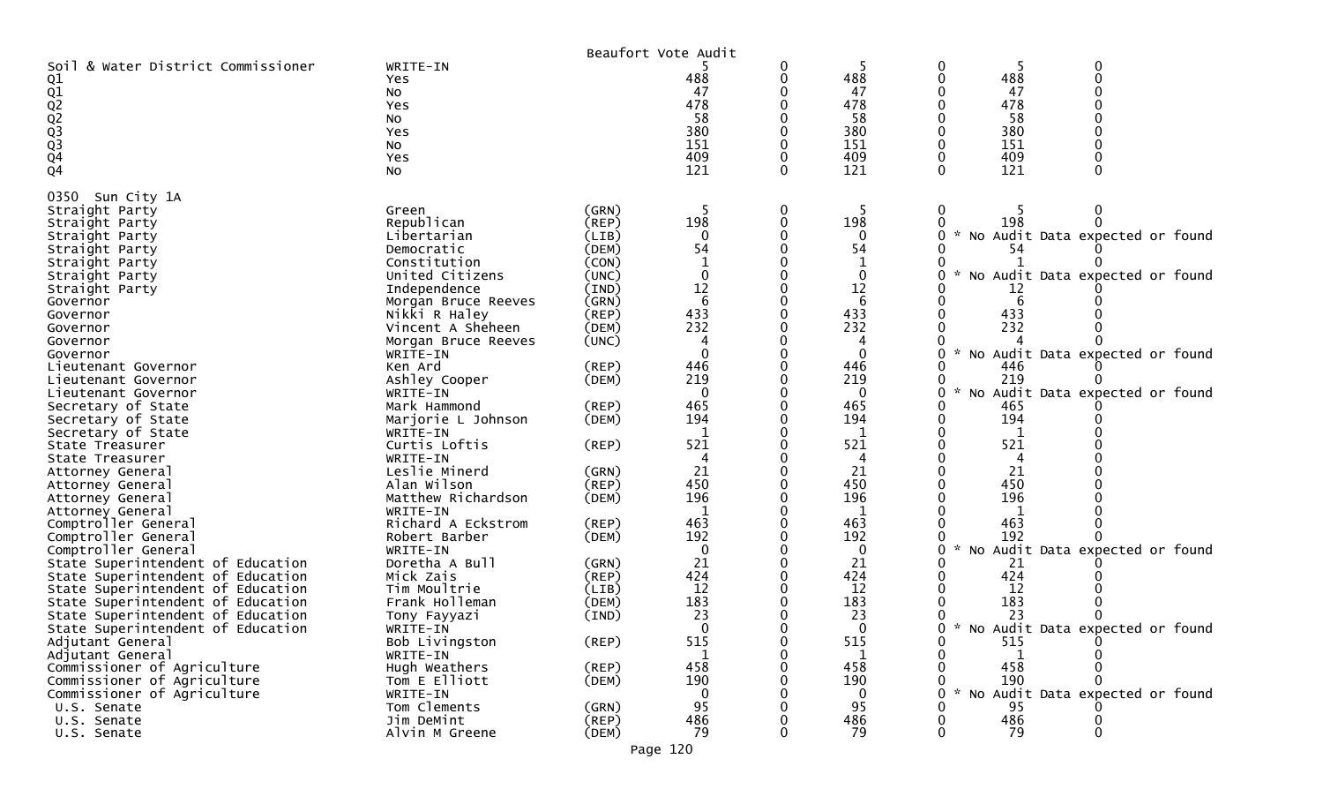|                                    |                     |             | Beaufort Vote Audit |              |              |               |           |                                 |  |
|------------------------------------|---------------------|-------------|---------------------|--------------|--------------|---------------|-----------|---------------------------------|--|
| Soil & Water District Commissioner | WRITE-IN            |             |                     | 0            |              | 0             |           |                                 |  |
| Q1                                 | Yes                 |             | 488                 | 0            | 488          |               | 488       |                                 |  |
|                                    | No                  |             | 47                  |              | 47           |               | 47        |                                 |  |
| 01<br>02<br>023<br>03<br>04        | Yes                 |             | 478                 |              | 478          |               | 478       |                                 |  |
|                                    | NO                  |             | 58                  |              | 58           |               | 58        |                                 |  |
|                                    | Yes                 |             | 380                 |              | 380          |               | 380       |                                 |  |
|                                    | NO.                 |             | 151                 |              | 151          |               | 151       |                                 |  |
|                                    |                     |             | 409                 | 0            | 409          |               | 409       |                                 |  |
|                                    | Yes                 |             | 121                 |              |              |               |           |                                 |  |
| Q4                                 | No                  |             |                     | 0            | 121          |               | 121       |                                 |  |
| Sun City 1A<br>0350                |                     |             |                     |              |              |               |           |                                 |  |
| Straight Party                     | Green               | (GRN)       | -5                  | 0            | -5           | 0             |           |                                 |  |
|                                    | Republican          | (REP)       | 198                 | $\mathbf{0}$ | 198          |               | 198       |                                 |  |
| Straight Party                     |                     |             | $\Omega$            |              |              | $\mathcal{H}$ |           |                                 |  |
| Straight Party                     | Libertarian         | (LIB)       |                     |              | 0            |               |           | No Audit Data expected or found |  |
| Straight Party                     | Democratic          | (DEM)       | 54                  |              | 54           |               | 54        |                                 |  |
| Straight Party                     | Constitution        | (CON)       | -1                  |              |              |               |           |                                 |  |
| Straight Party                     | United Citizens     | (UNC)       | $\mathbf{0}$        |              | $\mathbf{0}$ |               |           | No Audit Data expected or found |  |
| Straight Party                     | Independence        | (IND)       | 12                  |              | 12           |               | 12        |                                 |  |
| Governor                           | Morgan Bruce Reeves | (GRN)       | 6                   |              | 6            |               |           |                                 |  |
| Governor                           | Nikki R Haley       | (REP)       | 433                 |              | 433          |               | 433       |                                 |  |
| Governor                           | Vincent A Sheheen   | (DEM)       | 232                 |              | 232          |               | 232       |                                 |  |
| Governor                           | Morgan Bruce Reeves | (UNC)       | 4                   |              | 4            |               |           |                                 |  |
| Governor                           | WRITE-IN            |             | $\Omega$            |              | $\mathbf{0}$ |               |           | No Audit Data expected or found |  |
| Lieutenant Governor                | Ken Ard             | $($ REP $)$ | 446                 |              | 446          |               | 446       |                                 |  |
| Lieutenant Governor                | Ashley Cooper       | (DEM)       | 219                 |              | 219          |               | 219       |                                 |  |
|                                    |                     |             | $\mathbf{0}$        |              | $\mathbf{0}$ |               |           | No Audit Data expected or found |  |
| Lieutenant Governor                | WRITE-IN            |             |                     |              |              |               |           |                                 |  |
| Secretary of State                 | Mark Hammond        | $($ REP $)$ | 465                 |              | 465          |               | 465       |                                 |  |
| Secretary of State                 | Marjorie L Johnson  | (DEM)       | 194                 |              | 194          |               | 194       |                                 |  |
| Secretary of State                 | WRITE-IN            |             | -1                  |              | 1            |               | 1         |                                 |  |
| State Treasurer                    | Curtis Loftis       | (REP)       | 521                 |              | 521          |               | 521       |                                 |  |
| State Treasurer                    | WRITE-IN            |             | 4                   |              | 4            |               | 4         |                                 |  |
| Attorney General                   | Leslie Minerd       | (GRN)       | 21                  |              | 21           |               | 21        |                                 |  |
| Attorney General                   | Alan Wilson         | (REP)       | 450                 |              | 450          |               | 450       |                                 |  |
| Attorney General                   | Matthew Richardson  | (DEM)       | 196                 |              | 196          |               | 196       |                                 |  |
| Attorney General                   | WRITE-IN            |             | $\mathbf{1}$        |              | 1            |               | -1        |                                 |  |
| Comptroller General                | Richard A Eckstrom  | (REP)       | 463                 |              | 463          |               | 463       |                                 |  |
| Comptroller General                | Robert Barber       | (DEM)       | 192                 |              | 192          |               | 192       |                                 |  |
| Comptroller General                | WRITE-IN            |             | 0                   |              | 0            |               |           | No Audit Data expected or found |  |
| State Superintendent of Education  | Doretha A Bull      | (GRN)       | 21                  |              | 21           |               | 21        |                                 |  |
| State Superintendent of Education  | Mick Zais           | (REP)       | 424                 |              | 424          |               | 424       |                                 |  |
|                                    | Tim Moultrie        |             | 12                  |              | 12           |               | 12        |                                 |  |
| State Superintendent of Education  |                     | (LIB)       |                     |              |              |               |           |                                 |  |
| State Superintendent of Education  | Frank Holleman      | (DEM)       | 183                 |              | 183          |               | 183       |                                 |  |
| State Superintendent of Education  | Tony Fayyazi        | (IND)       | 23                  |              | 23           |               | 23        |                                 |  |
| State Superintendent of Education  | WRITE-IN            |             | $\Omega$            |              | $\Omega$     | $\mathcal{H}$ |           | No Audit Data expected or found |  |
| Adjutant General                   | Bob Livingston      | (REP)       | 515                 | 0            | 515          |               | 515       |                                 |  |
| Adjutant General                   | WRITE-IN            |             | $\mathbf 1$         | 0            | -1           |               |           |                                 |  |
| Commissioner of Agriculture        | Hugh Weathers       | (REP)       | 458                 |              | 458          |               | 458       |                                 |  |
| Commissioner of Agriculture        | Tom E Elliott       | (DEM)       | 190                 |              | 190          |               | 190       |                                 |  |
| Commissioner of Agriculture        | WRITE-IN            |             | $\Omega$            |              | $\mathbf{0}$ |               | <b>NO</b> | Audit Data expected or found    |  |
| U.S. Senate                        | Tom Clements        | (GRN)       | 95                  |              | 95           |               | 95        |                                 |  |
| U.S. Senate                        | Jim DeMint          | (REP)       | 486                 |              | 486          |               |           |                                 |  |
| U.S. Senate                        | Alvin M Greene      | (DEM)       | 79                  | 0            | 79           | 0             | 486<br>79 | 0                               |  |
|                                    |                     |             |                     |              |              |               |           |                                 |  |
|                                    |                     |             | Page 120            |              |              |               |           |                                 |  |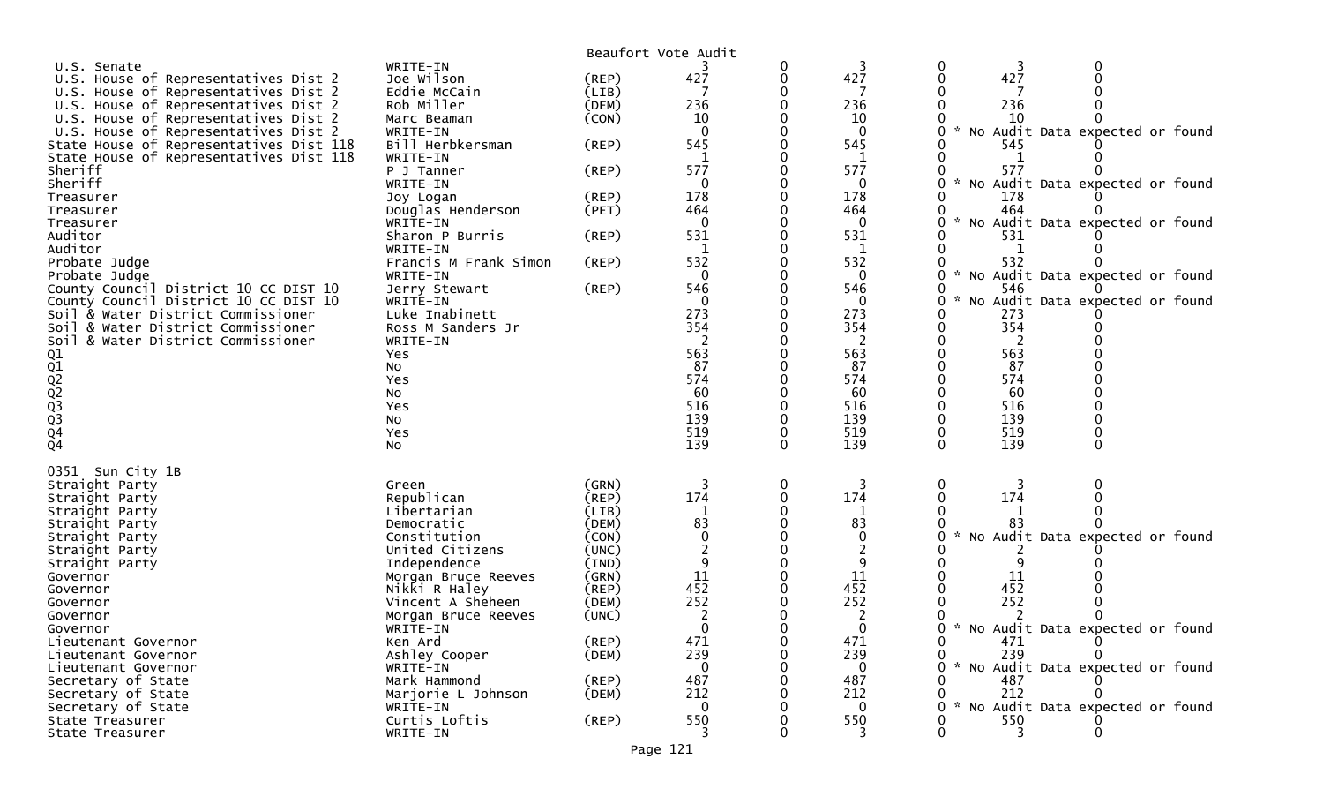|                                                    |                           |                | Beaufort Vote Audit |          |                |                                                  |
|----------------------------------------------------|---------------------------|----------------|---------------------|----------|----------------|--------------------------------------------------|
| U.S. Senate                                        | WRITE-IN                  |                |                     | 0        | 3              | 0                                                |
| U.S. House of Representatives Dist 2               | Joe Wilson                | $($ REP $)$    | 427                 | 0        | 427            | 427<br>0                                         |
| U.S. House of Representatives Dist 2               | Eddie McCain              | (LIB)          |                     |          |                |                                                  |
| U.S. House of Representatives Dist 2               | Rob Miller                | (DEM)          | 236                 |          | 236            | 236                                              |
| U.S. House of Representatives Dist 2               | Marc Beaman               | (CON)          | 10                  |          | 10             | 10                                               |
| U.S. House of Representatives Dist 2               | WRITE-IN                  |                | $\Omega$            |          | $\mathbf{0}$   | No Audit Data expected or found                  |
| State House of Representatives Dist 118            | Bill Herbkersman          | (REP)          | 545                 |          | 545            | 545                                              |
| State House of Representatives Dist 118<br>Sheriff | WRITE-IN                  |                | 1<br>577            |          | 1<br>577       | $\mathbf{1}$<br>577<br>0                         |
| Sheriff                                            | P J Tanner<br>WRITE-IN    | (REP)          | 0                   |          | 0              | No Audit Data expected or found                  |
| Treasurer                                          | Joy Logan                 | (REP)          | 178                 |          | 178            | 178                                              |
| Treasurer                                          | Douglas Henderson         | (PET)          | 464                 |          | 464            | 464                                              |
| Treasurer                                          | WRITE-IN                  |                | $\mathbf{0}$        |          | $\mathbf{0}$   | No Audit Data expected or found                  |
| Auditor                                            | Sharon P Burris           | (REP)          | 531                 |          | 531            | 531                                              |
| Auditor                                            | WRITE-IN                  |                | 1                   |          | 1              | 1                                                |
| Probate Judge                                      | Francis M Frank Simon     | (REP)          | 532                 |          | 532            | 532                                              |
| Probate Judge                                      | WRITE-IN                  |                | 0                   |          | $\mathbf 0$    | No Audit Data expected or found<br>0<br>*        |
| County Council District 10 CC DIST 10              | Jerry Stewart             | (REP)          | 546                 |          | 546            | 546                                              |
| County Council District 10 CC DIST 10              | WRITE-IN                  |                | $\mathbf{0}$        |          | $\mathbf{0}$   | No Audit Data expected or found                  |
| Soil & Water District Commissioner                 | Luke Inabinett            |                | 273                 |          | 273            | 273                                              |
| Soil & Water District Commissioner                 | Ross M Sanders Jr         |                | 354                 |          | 354            | 354                                              |
| Soil & Water District Commissioner                 | WRITE-IN                  |                | 2                   |          | 2              | 2                                                |
|                                                    | Yes                       |                | 563                 |          | 563            | 563                                              |
|                                                    | No                        |                | 87<br>574           |          | 87<br>574      | 87<br>574                                        |
|                                                    | Yes                       |                | 60                  |          | 60             | 60                                               |
|                                                    | No<br>Yes                 |                | 516                 |          | 516            | 516                                              |
|                                                    | No                        |                | 139                 |          | 139            | 139                                              |
|                                                    | Yes                       |                | 519                 | 0        | 519            | 519                                              |
| 01<br>02<br>02<br>02<br>03<br>04<br>04             | No                        |                | 139                 | $\Omega$ | 139            | 139<br>$\Omega$                                  |
|                                                    |                           |                |                     |          |                |                                                  |
| 0351 Sun City 1B                                   |                           |                |                     |          |                |                                                  |
| Straight Party                                     | Green                     | (GRN)          | 3                   | 0        | 3              | 0<br>3                                           |
| Straight Party                                     | Republican                | (REP)          | 174                 | 0        | 174<br>1       | 174                                              |
| Straight Party<br>Straight Party                   | Libertarian<br>Democratic | (LIB)<br>(DEM) | $\mathbf 1$<br>83   |          | 83             |                                                  |
| Straight Party                                     | Constitution              | (CON)          | $\Omega$            |          | 0              | No Audit Data expected or found                  |
| Straight Party                                     | United Citizens           | (UNC)          | $\overline{c}$      |          | 2              |                                                  |
| Straight Party                                     | Independence              | (IND)          | 9                   |          | 9              |                                                  |
| Governor                                           | Morgan Bruce Reeves       | (GRN)          | 11                  |          | 11             | 11                                               |
| Governor                                           | Nikki R Haley             | (REP)          | 452                 |          | 452            | 452                                              |
| Governor                                           | Vincent A Sheheen         | (DEM)          | 252                 |          | 252            | 252                                              |
| Governor                                           | Morgan Bruce Reeves       | (UNC)          | 2                   | 0        | 2              |                                                  |
| Governor                                           | WRITE-IN                  |                | $\overline{0}$      | $\Omega$ | $\overline{0}$ | 0 * No Audit Data expected or found              |
| Lieutenant Governor                                | Ken Ard                   | (REP)          | 471                 |          | 471            | 0<br>471                                         |
| Lieutenant Governor                                | Ashley Cooper             | (DEM)          | 239                 |          | 239            | 239<br>0                                         |
| Lieutenant Governor                                | WRITE-IN                  |                | 0                   |          | $\mathbf{0}$   | No Audit Data expected or found<br>$\mathcal{H}$ |
| Secretary of State                                 | Mark Hammond              | (REP)          | 487                 |          | 487            | 487                                              |
| Secretary of State                                 | Marjorie L Johnson        | (DEM)          | 212                 |          | 212            | 212<br>$\mathcal{H}$                             |
| Secretary of State                                 | WRITE-IN                  |                | $\Omega$            |          | $\Omega$       | No Audit Data expected or found                  |
| State Treasurer                                    | Curtis Loftis             | $($ REP $)$    | 550<br>3            |          | 550            | 550<br>3                                         |
| State Treasurer                                    | WRITE-IN                  |                |                     |          |                |                                                  |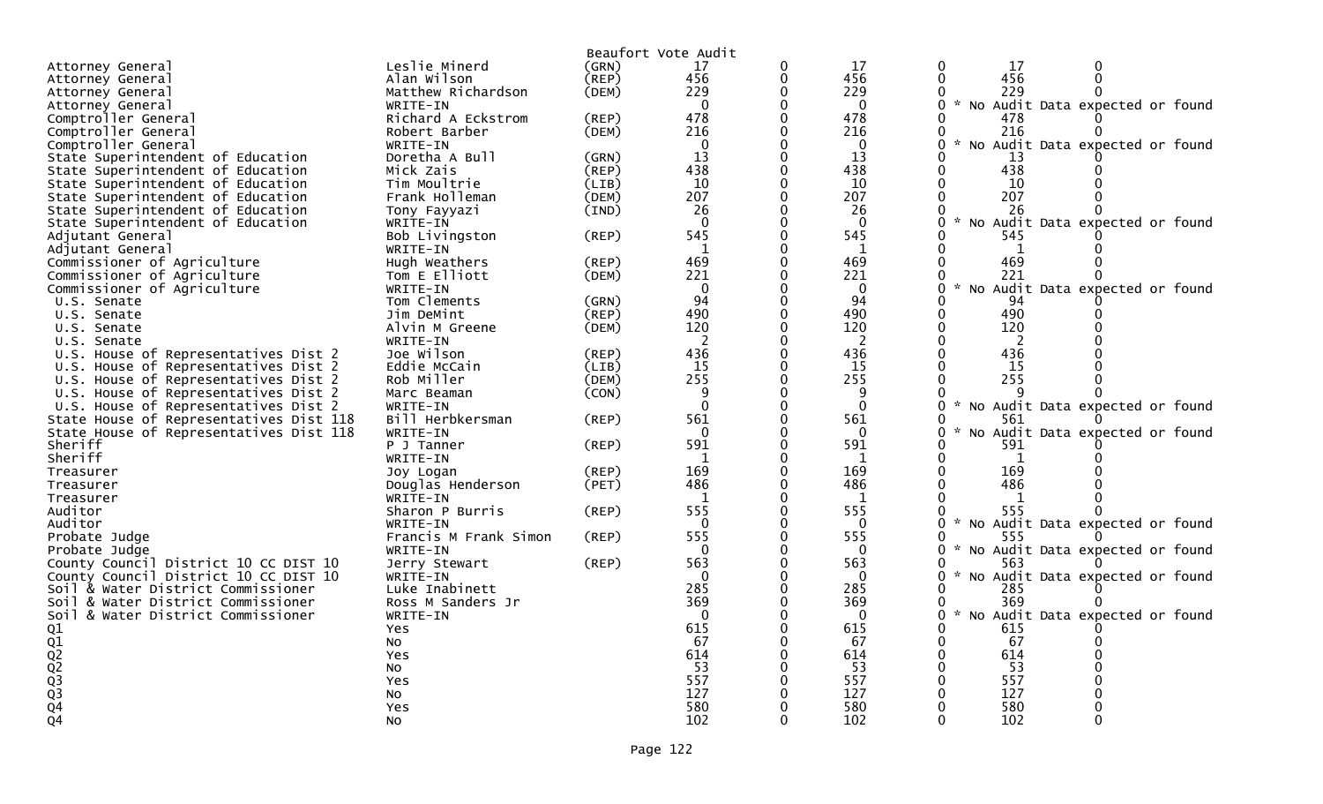|                                         |                       |             | Beaufort Vote Audit |          |              |                                                |
|-----------------------------------------|-----------------------|-------------|---------------------|----------|--------------|------------------------------------------------|
| Attorney General                        | Leslie Minerd         | (GRN)       | 17                  | 0        | 17           | $\Omega$<br>17                                 |
| Attorney General                        | Alan Wilson           | $($ REP $)$ | 456                 | 0        | 456          | $\Omega$<br>456<br>$\Omega$                    |
| Attorney General                        | Matthew Richardson    | (DEM)       | 229                 | 0        | 229          | 229<br>0<br>0                                  |
| Attorney General                        | WRITE-IN              |             | $\Omega$            | 0        | $\Omega$     | * No Audit Data expected or found<br>0         |
| Comptroller General                     | Richard A Eckstrom    | (REP)       | 478                 |          | 478          | 478                                            |
| Comptroller General                     | Robert Barber         | (DEM)       | 216                 | 0        | 216          | 216<br>0                                       |
| Comptroller General                     | WRITE-IN              |             | $\Omega$            |          | $\Omega$     | No Audit Data expected or found                |
| State Superintendent of Education       | Doretha A Bull        | (GRN)       | 13                  | $\Omega$ | 13           | 13<br>0                                        |
| State Superintendent of Education       | Mick Zais             | (REP)       | 438                 | 0        | 438          | 438<br>$\Omega$                                |
|                                         | Tim Moultrie          | (LIB)       | 10                  | 0        | 10           | 10                                             |
| State Superintendent of Education       | Frank Holleman        | (DEM)       | 207                 | 0        | 207          | 0<br>$\Omega$<br>207                           |
| State Superintendent of Education       |                       |             |                     |          |              |                                                |
| State Superintendent of Education       | Tony Fayyazi          | (IND)       | 26                  |          | 26           | 26<br>$\mathcal{H}$                            |
| State Superintendent of Education       | WRITE-IN              |             | $\Omega$            | 0        | $\Omega$     | 0<br>No Audit Data expected or found           |
| Adjutant General                        | Bob Livingston        | (REP)       | 545                 |          | 545          | 0<br>545                                       |
| Adjutant General                        | WRITE-IN              |             | 1                   | 0        | 1            | 0<br>$\mathbf{1}$                              |
| Commissioner of Agriculture             | Hugh Weathers         | (REP)       | 469                 |          | 469          | 0<br>469                                       |
| Commissioner of Agriculture             | Tom E Elliott         | (DEM)       | 221                 | 0        | 221          | 221<br>0<br>0                                  |
| Commissioner of Agriculture             | WRITE-IN              |             | $\mathbf 0$         | $\Omega$ | $\mathbf 0$  | $\sim$<br>0<br>No Audit Data expected or found |
| U.S. Senate                             | Tom Clements          | (GRN)       | 94                  | 0        | 94           | 0<br>94                                        |
| U.S. Senate                             | Jim DeMint            | (REP)       | 490                 | 0        | 490          | 490<br>0                                       |
| U.S. Senate                             | Alvin M Greene        | (DEM)       | 120                 |          | 120          | 120                                            |
| U.S. Senate                             | WRITE-IN              |             | 2                   | 0        | 2            | $\mathbf{0}$<br>2                              |
| U.S. House of Representatives Dist 2    | Joe Wilson            | (REP)       | 436                 |          | 436          | 436                                            |
| U.S. House of Representatives Dist 2    | Eddie McCain          | (LIB)       | 15                  | 0        | 15           | 15<br>0                                        |
| U.S. House of Representatives Dist 2    | Rob Miller            | (DEM)       | 255                 | $\Omega$ | 255          | $\Omega$<br>255                                |
| U.S. House of Representatives Dist 2    | Marc Beaman           | (CON)       | 9                   | 0        | 9            | 0                                              |
| U.S. House of Representatives Dist 2    | WRITE-IN              |             | $\Omega$            | 0        | $\Omega$     | $\sim$<br>0<br>No Audit Data expected or found |
|                                         |                       |             |                     |          |              |                                                |
| State House of Representatives Dist 118 | Bill Herbkersman      | (REP)       | 561                 |          | 561          | 561<br>$\mathcal{H}$                           |
| State House of Representatives Dist 118 | WRITE-IN              |             | $\Omega$            | 0        | 0            | No Audit Data expected or found<br>0           |
| Sheriff                                 | P J Tanner            | (REP)       | 591                 |          | 591          | 591<br>0                                       |
| Sheriff                                 | WRITE-IN              |             | 1                   |          | 1            | 0<br>1                                         |
| Treasurer                               | Joy Logan             | (REP)       | 169                 |          | 169          | 169                                            |
| Treasurer                               | Douglas Henderson     | (PET)       | 486                 | 0        | 486          | 486<br>0                                       |
| Treasurer                               | WRITE-IN              |             | $\mathbf{1}$        | ∩        | $\mathbf{1}$ | 0<br>$\mathbf{1}$                              |
| Auditor                                 | Sharon P Burris       | (REP)       | 555                 | 0        | 555          | 0<br>555<br>0                                  |
| Auditor                                 | WRITE-IN              |             | $\Omega$            | 0        | $\Omega$     | 0<br>No Audit Data expected or found           |
| Probate Judge                           | Francis M Frank Simon | $($ REP $)$ | 555                 |          | 555          | 0<br>555                                       |
| Probate Judge                           | WRITE-IN              |             | $\Omega$            | 0        | $\Omega$     | * No Audit Data expected or found<br>0         |
| County Council District 10 CC DIST 10   | Jerry Stewart         | (REP)       | 563                 |          | 563          | 0<br>563                                       |
| County Council District 10 CC DIST 10   | WRITE-IN              |             | $\Omega$            |          | $\mathbf{0}$ | No Audit Data expected or found<br>0           |
| Soil & Water District Commissioner      | Luke Inabinett        |             | 285                 |          | 285          | 0<br>285                                       |
| Soil & Water District Commissioner      | Ross M Sanders Jr     |             | 369                 | 0        | 369          | 369<br>0                                       |
| Soil & Water District Commissioner      | WRITE-IN              |             | $\Omega$            | 0        | $\Omega$     | No Audit Data expected or found<br>O           |
|                                         | Yes                   |             | 615                 |          | 615          | 615                                            |
|                                         | NO                    |             | 67                  |          | 67           | 67<br>0                                        |
|                                         |                       |             | 614                 |          | 614          | 0<br>614                                       |
|                                         | Yes                   |             | 53                  | 0        | 53           | 53<br>$\mathbf{0}$                             |
|                                         | No                    |             |                     |          |              |                                                |
|                                         | Yes                   |             | 557                 |          | 557          | 557                                            |
| 01<br>02<br>02<br>03<br>03<br>03<br>04  | No                    |             | 127                 |          | 127          | 127                                            |
|                                         | Yes                   |             | 580                 |          | 580          | 580                                            |
| $\overline{Q}4$                         | NO.                   |             | 102                 | 0        | 102          | 102<br>0<br>0                                  |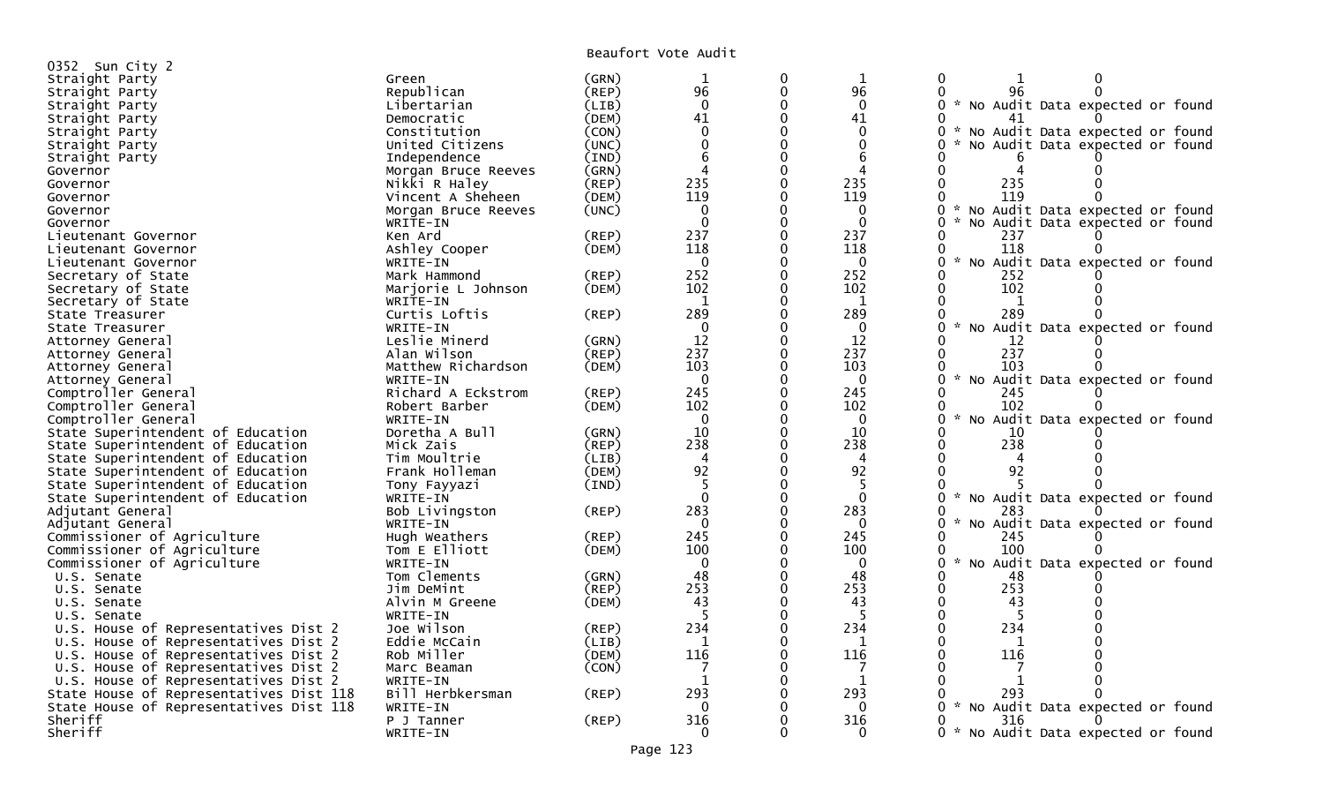Beaufort Vote Audit

|                                         |                     |             | DEAUIUIL VULE AUUIL |          |              |                                                       |
|-----------------------------------------|---------------------|-------------|---------------------|----------|--------------|-------------------------------------------------------|
| 0352 Sun City 2                         |                     |             |                     |          |              |                                                       |
| Straight Party                          | Green               | (GRN)       |                     | 0        | 1            | 0                                                     |
| Straight Party                          | Republican          | (REP)       | 96                  | $\Omega$ | 96           | 96                                                    |
| Straight Party                          | Libertarian         | (LIB)       | $\Omega$            | 0        | $\mathbf{0}$ | * No Audit Data expected or found<br>0                |
| Straight Party                          | Democratic          | (DEM)       | 41                  |          | 41           |                                                       |
| Straight Party                          | Constitution        | (CON)       | $\Omega$            |          | $\Omega$     | 0<br>$\sim$<br>No Audit Data expected or found        |
| Straight Party                          | United Citizens     | (UNC)       |                     |          | O            | No Audit Data expected or found                       |
| Straight Party                          | Independence        | (IND)       |                     |          | 6            |                                                       |
| Governor                                | Morgan Bruce Reeves | (GRN)       |                     |          |              |                                                       |
| Governor                                | Nikki R Haley       | (REP)       | 235                 |          | 235          | 235                                                   |
| Governor                                | Vincent A Sheheen   | (DEM)       | 119                 |          | 119          | 119                                                   |
| Governor                                | Morgan Bruce Reeves | (UNC)       | $\mathbf 0$         |          | 0            | * No Audit Data expected or found                     |
| Governor                                | WRITE-IN            |             | $\Omega$            |          | $\Omega$     | No Audit Data expected or found<br>0                  |
| Lieutenant Governor                     | Ken Ard             | (REP)       | 237                 |          | 237          | 237                                                   |
| Lieutenant Governor                     | Ashley Cooper       | (DEM)       | 118                 |          | 118          | 118                                                   |
| Lieutenant Governor                     | WRITE-IN            |             | $\Omega$            |          | $\Omega$     | $\sim$<br>No Audit Data expected or found<br>0        |
| Secretary of State                      | Mark Hammond        | (REP)       | 252                 |          | 252          | 252                                                   |
| Secretary of State                      | Marjorie L Johnson  | (DEM)       | 102                 |          | 102          | 102                                                   |
| Secretary of State                      | WRITE-IN            |             |                     |          | -1           |                                                       |
| State Treasurer                         | Curtis Loftis       | $($ REP $)$ | 289                 |          | 289          | 289                                                   |
| State Treasurer                         | WRITE-IN            |             | 0                   |          | $\Omega$     | No Audit Data expected or found                       |
| Attorney General                        | Leslie Minerd       | (GRN)       | 12                  |          | 12           | -12                                                   |
| Attorney General                        | Alan Wilson         | (REP)       | 237                 |          | 237          | 237                                                   |
| Attorney General                        | Matthew Richardson  | (DEM)       | 103                 |          | 103          | 103                                                   |
| Attorney General                        | WRITE-IN            |             | $\mathbf 0$         |          | $\mathbf{0}$ | $\mathcal{H}$<br>0<br>No Audit Data expected or found |
| Comptroller General                     | Richard A Eckstrom  | $($ REP $)$ | 245                 |          | 245          | 245<br>0                                              |
| Comptroller General                     | Robert Barber       | (DEM)       | 102                 |          | 102          | 102<br>0                                              |
| Comptroller General                     | WRITE-IN            |             | $\Omega$            |          | $\mathbf 0$  | No Audit Data expected or found                       |
| State Superintendent of Education       | Doretha A Bull      | (GRN)       | 10                  |          | 10           | 10                                                    |
| State Superintendent of Education       | Mick Zais           | (REP)       | 238                 |          | 238          | 238                                                   |
| State Superintendent of Education       | Tim Moultrie        | (LIB)       | 4                   |          |              |                                                       |
| State Superintendent of Education       | Frank Holleman      | (DEM)       | 92                  |          | 92           | 92                                                    |
| State Superintendent of Education       | Tony Fayyazi        | (IND)       |                     |          |              |                                                       |
| State Superintendent of Education       | WRITE-IN            |             | $\Omega$            | ∩        | $\Omega$     | No Audit Data expected or found                       |
| Adjutant General                        | Bob Livingston      | (REP)       | 283                 |          | 283          | 283<br>0                                              |
| Adjutant General                        | WRITE-IN            |             | $\Omega$            |          | 0            | 0<br>$\mathcal{H}$<br>No Audit Data expected or found |
| Commissioner of Agriculture             | Hugh Weathers       | $($ REP $)$ | 245                 |          | 245          | 245                                                   |
| Commissioner of Agriculture             | Tom E Elliott       | (DEM)       | 100                 |          | 100          | 100                                                   |
| Commissioner of Agriculture             | WRITE-IN            |             | $\Omega$            |          | $\mathbf 0$  | No Audit Data expected or found                       |
| U.S. Senate                             | Tom Clements        | (GRN)       | 48                  |          | 48           | 48                                                    |
| U.S. Senate                             | Jim DeMint          | (REP)       | 253                 |          | 253          | 253<br>0                                              |
| U.S. Senate                             | Alvin M Greene      | (DEM)       | 43                  |          | 43           | 43                                                    |
| U.S. Senate                             | WRITE-IN            |             |                     |          |              |                                                       |
| U.S. House of Representatives Dist 2    | Joe Wilson          | (REP)       | 234                 |          | 234          | 234                                                   |
| U.S. House of Representatives Dist 2    | Eddie McCain        | (LIB)       |                     |          |              |                                                       |
| U.S. House of Representatives Dist 2    | Rob Miller          | (DEM)       | 116                 |          | 116          | 116                                                   |
| U.S. House of Representatives Dist 2    | Marc Beaman         | (CON)       |                     |          |              |                                                       |
| U.S. House of Representatives Dist 2    | WRITE-IN            |             |                     |          | -1           |                                                       |
| State House of Representatives Dist 118 | Bill Herbkersman    | $($ REP $)$ | 293                 |          | 293          | 293                                                   |
| State House of Representatives Dist 118 | WRITE-IN            |             | 0                   |          | 0            | 0 * No Audit Data expected or found                   |
| Sheriff                                 | P J Tanner          |             | 316                 |          | 316          | 316<br>0                                              |
| Sheriff                                 |                     | $($ REP $)$ | $\Omega$            |          | $\Omega$     | 0 * No Audit Data expected or found                   |
|                                         | WRITE-IN            |             |                     |          |              |                                                       |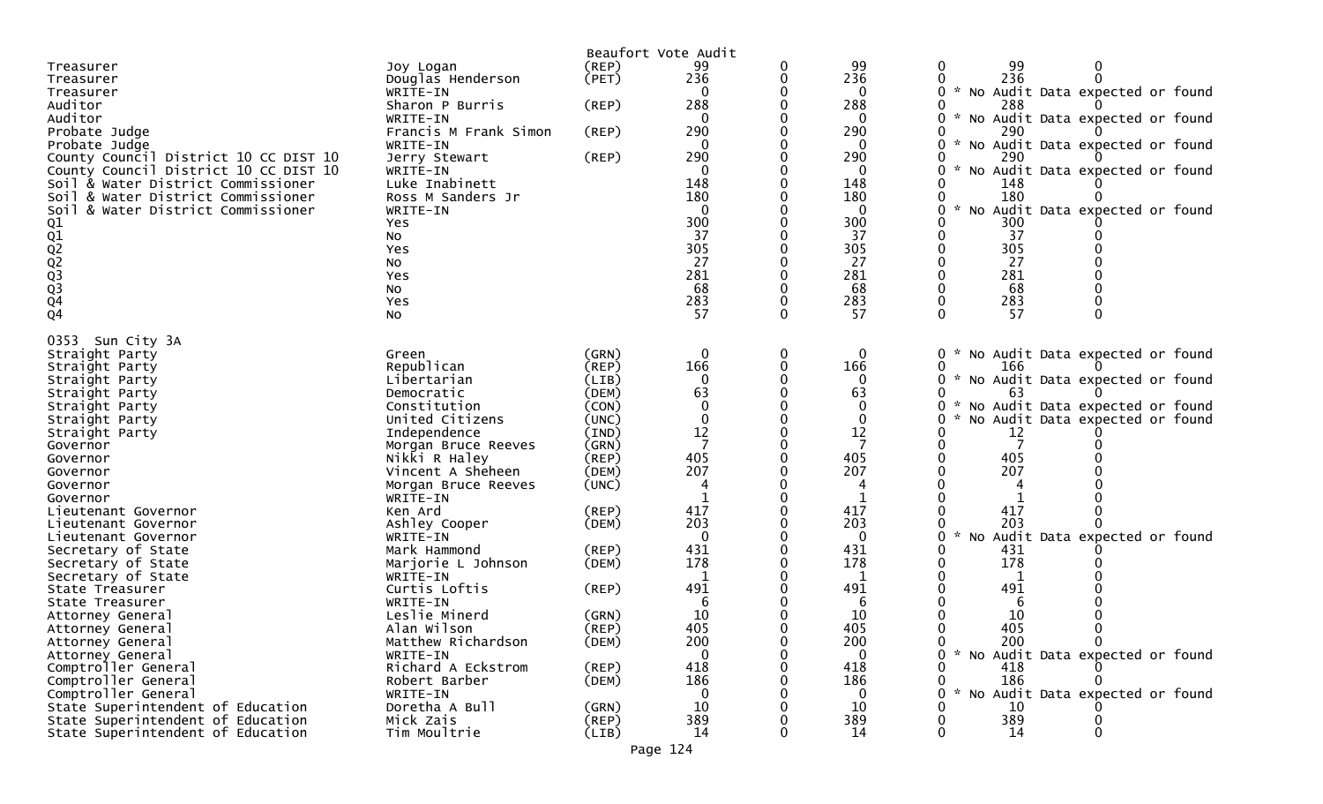|                                         |                                |                | Beaufort Vote Audit |                 |                                                               |
|-----------------------------------------|--------------------------------|----------------|---------------------|-----------------|---------------------------------------------------------------|
| Treasurer                               | Joy Logan                      | $($ REP $)$    | 99                  | 99              | 99<br>0                                                       |
| Treasurer                               | Douglas Henderson              | (PET)          | 236                 | 236             | 236                                                           |
| Treasurer                               | WRITE-IN                       |                |                     | 0               | * No Audit Data expected or found                             |
| Auditor                                 | Sharon P Burris                | $($ REP $)$    | 288                 | 288             | 288                                                           |
| Auditor                                 | WRITE-IN                       |                |                     | $\Omega$        | * No Audit Data expected or found                             |
| Probate Judge                           | Francis M Frank Simon          | (REP)          | 290                 | 290             | 290                                                           |
| Probate Judge                           | WRITE-IN                       |                | $\Omega$            | 0               | 0<br>* No Audit Data expected or found                        |
| County Council District 10 CC DIST 10   | Jerry Stewart                  | $($ REP $)$    | 290                 | 290             | 290                                                           |
| County Council District 10 CC DIST 10   | WRITE-IN                       |                | 0                   | 0               | No Audit Data expected or found                               |
| Soil & Water District Commissioner      | Luke Inabinett                 |                | 148                 | 148             | 148                                                           |
| Soil & Water District Commissioner      | Ross M Sanders Jr              |                | 180                 | 180             | 180                                                           |
| & Water District Commissioner<br>Soil   | WRITE-IN                       |                | $\Omega$            | $\Omega$        | No Audit Data expected or found                               |
|                                         | Yes                            |                | 300                 | 300             | 300                                                           |
|                                         | No                             |                | 37                  | 37              | 37                                                            |
|                                         | Yes                            |                | 305                 | 305             | 305                                                           |
|                                         | <b>NO</b>                      |                | 27                  | 27              | 27                                                            |
|                                         | Yes                            |                | 281                 | 281             | 281                                                           |
|                                         | <b>NO</b>                      |                | 68                  | 68              | 68                                                            |
| 01<br>02<br>02<br>02<br>03<br>04<br>04  | Yes                            |                | 283                 | 283             | 283                                                           |
|                                         | No                             |                | 57                  | 57              | 57                                                            |
| 0353 Sun City 3A                        |                                |                |                     |                 |                                                               |
| Straight Party                          | Green                          | (GRN)          | 0                   | 0               | No Audit Data expected or found<br>$\overline{0}$<br><b>W</b> |
| Straight Party                          | Republican                     | (REP)          | 166                 | 166             | 166                                                           |
| Straight Party                          | Libertarian                    | (LIB)          | $\Omega$            | $\mathbf 0$     | * No Audit Data expected or found<br>0                        |
| Straight Party                          | Democratic                     | (DEM)          | 63                  | 63              | 63                                                            |
| Straight Party                          | Constitution                   | (CON)          | $\mathbf 0$         | $\mathbf 0$     | No Audit Data expected or found                               |
| Straight Party                          | United Citizens                | (UNC)          |                     | $\mathbf 0$     | No Audit Data expected or found                               |
| Straight Party                          | Independence                   | $(\text{IND})$ | 12                  | 12              | 12                                                            |
| Governor                                | Morgan Bruce Reeves            | (GRN)          | $\overline{7}$      |                 |                                                               |
| Governor                                | Nikki R Haley                  | $($ REP $)$    | 405                 | 405             | 405                                                           |
| Governor                                | Vincent A Sheheen              | (DEM)          | 207                 | 207             | 207                                                           |
| Governor                                | Morgan Bruce Reeves            | (UNC)          | 4                   | 4               |                                                               |
| Governor                                | WRITE-IN                       |                |                     |                 |                                                               |
| Lieutenant Governor                     | Ken Ard                        | $($ REP $)$    | 417                 | 417             | 417                                                           |
| Lieutenant Governor                     | Ashley Cooper                  | (DEM)          | 203                 | 203             | 203                                                           |
| Lieutenant Governor                     | WRITE-IN                       |                |                     | $\Omega$        | No Audit Data expected or found                               |
| Secretary of State                      | Mark Hammond                   | (REP)          | 431                 | 431             | 431                                                           |
| Secretary of State                      | Marjorie L Johnson             | (DEM)          | 178                 | 178             | 178                                                           |
| Secretary of State                      | WRITE-IN                       |                |                     | 1               |                                                               |
| State Treasurer                         | Curtis Loftis                  | (REP)          | 491                 | 491             | 491                                                           |
| State Treasurer                         | WRITE-IN                       |                | 6                   | 6               | 6                                                             |
| Attorney General                        | Leslie Minerd                  | (GRN)          | 10                  | 10              | 10                                                            |
| Attorney General                        | Alan Wilson                    | $($ REP $)$    | 405                 | 405             | 405<br>$\Omega$                                               |
| Attorney General                        | Matthew Richardson             | (DEM)          | 200                 | 200             | 200<br>0                                                      |
| Attorney General<br>Comptroller General | WRITE-IN<br>Richard A Eckstrom | (REP)          | 418                 | $\Omega$<br>418 | * No Audit Data expected or found<br>418                      |
| Comptroller General                     | Robert Barber                  | (DEM)          | 186                 | 186             | 186                                                           |
| Comptroller General                     | WRITE-IN                       |                | $\Omega$            | 0               | $\sim$<br>No Audit Data expected or found                     |
| State Superintendent of Education       | Doretha A Bull                 | (GRN)          | 10                  | 10              | 10                                                            |
| State Superintendent of Education       | Mick Zais                      | $($ REP $)$    | 389                 | 389             | 389                                                           |
| State Superintendent of Education       | Tim Moultrie                   | (LIB)          | 14                  | 14              | 14                                                            |
|                                         |                                |                |                     |                 |                                                               |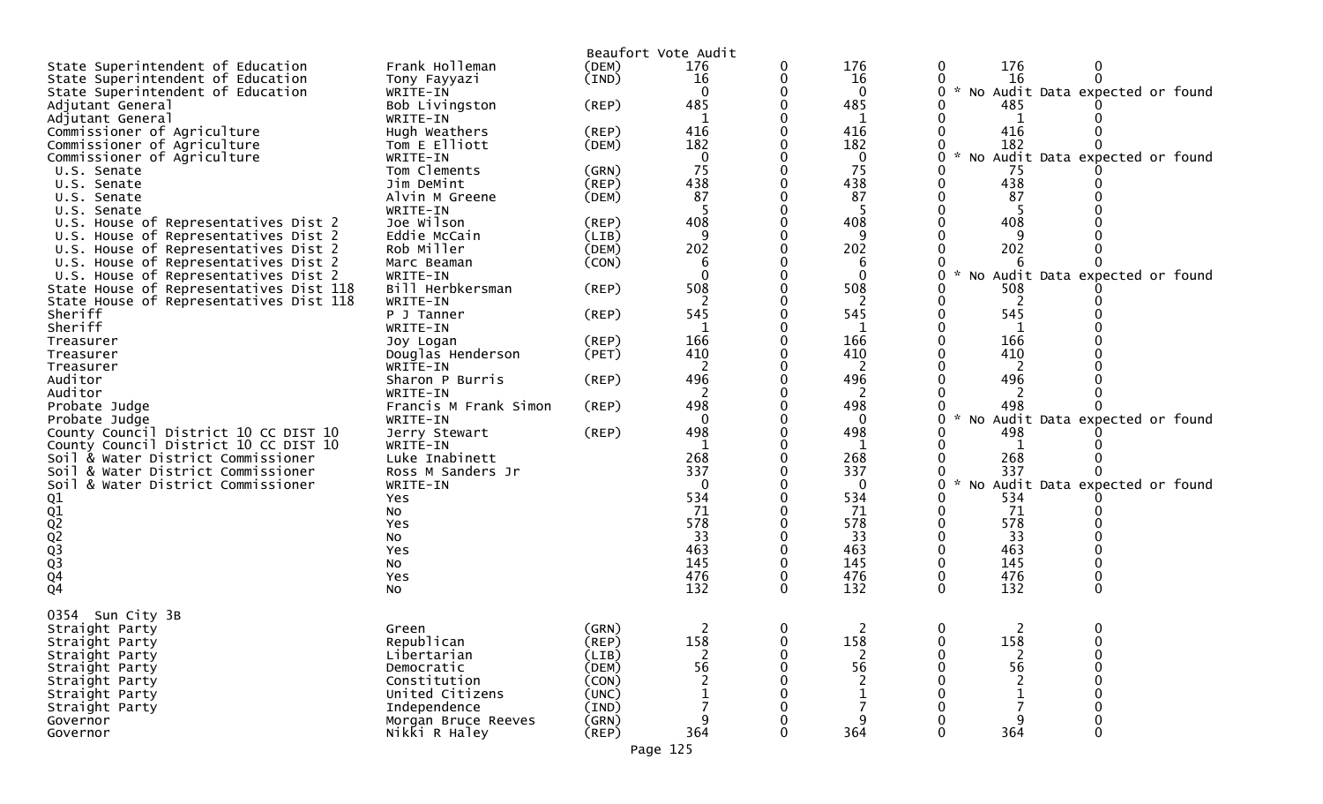|                                         |                       |             | Beaufort Vote Audit |   |                |               |                |                                 |  |
|-----------------------------------------|-----------------------|-------------|---------------------|---|----------------|---------------|----------------|---------------------------------|--|
| State Superintendent of Education       | Frank Holleman        | (DEM)       | 176                 | 0 | 176            | 0             | 176            |                                 |  |
| State Superintendent of Education       | Tony Fayyazi          | (IND)       | 16                  |   | 16             |               | 16             |                                 |  |
| State Superintendent of Education       | WRITE-IN              |             | 0                   |   | $\mathbf 0$    |               |                | No Audit Data expected or found |  |
| Adjutant General                        | Bob Livingston        | $($ REP $)$ | 485                 |   | 485            |               | 485            |                                 |  |
| Adjutant General                        | WRITE-IN              |             | 1                   |   | 1              |               | 1              |                                 |  |
| Commissioner of Agriculture             | Hugh Weathers         | $($ REP $)$ | 416                 |   | 416            |               | 416            |                                 |  |
| Commissioner of Agriculture             | Tom E Elliott         | (DEM)       | 182                 |   | 182            |               | 182            |                                 |  |
| Commissioner of Agriculture             | WRITE-IN              |             | $\mathbf 0$         |   | $\mathbf 0$    | $\mathcal{H}$ |                | No Audit Data expected or found |  |
| U.S. Senate                             | Tom Clements          | (GRN)       | 75                  |   | 75             |               | 75             |                                 |  |
|                                         | Jim DeMint            | (REP)       | 438                 |   | 438            |               | 438            |                                 |  |
| U.S. Senate                             | Alvin M Greene        | (DEM)       | 87                  |   | 87             |               | 87             |                                 |  |
| U.S. Senate                             |                       |             |                     |   |                |               |                |                                 |  |
| U.S. Senate                             | WRITE-IN              |             |                     |   | -5             |               |                |                                 |  |
| U.S. House of Representatives Dist 2    | Joe Wilson            | $($ REP $)$ | 408                 |   | 408            |               | 408            |                                 |  |
| U.S. House of Representatives Dist 2    | Eddie McCain          | (LIB)       | 9                   |   | 9              |               |                |                                 |  |
| U.S. House of Representatives Dist 2    | Rob Miller            | (DEM)       | 202                 |   | 202            |               | 202            |                                 |  |
| U.S. House of Representatives Dist 2    | Marc Beaman           | (CON)       | 6                   |   | 6              |               |                |                                 |  |
| U.S. House of Representatives Dist 2    | WRITE-IN              |             | $\Omega$            |   | $\Omega$       |               |                | No Audit Data expected or found |  |
| State House of Representatives Dist 118 | Bill Herbkersman      | $($ REP $)$ | 508                 | 0 | 508            |               | 508            |                                 |  |
| State House of Representatives Dist 118 | WRITE-IN              |             | 2                   |   | 2              |               | 2              |                                 |  |
| Sheriff                                 | P J Tanner            | $($ REP $)$ | 545                 |   | 545            |               | 545            |                                 |  |
| Sheriff                                 | WRITE-IN              |             |                     |   |                |               |                |                                 |  |
| Treasurer                               | Joy Logan             | $($ REP $)$ | 166                 |   | 166            |               | 166            |                                 |  |
| Treasurer                               | Douglas Henderson     | (PET)       | 410                 |   | 410            |               | 410            |                                 |  |
| Treasurer                               | WRITE-IN              |             | 2                   | 0 | 2              |               | 2              |                                 |  |
| Auditor                                 | Sharon P Burris       | (REP)       | 496                 |   | 496            |               | 496            |                                 |  |
| Auditor                                 | WRITE-IN              |             | 2                   |   | 2              |               |                |                                 |  |
| Probate Judge                           | Francis M Frank Simon | $($ REP $)$ | 498                 | 0 | 498            |               | 498            |                                 |  |
|                                         |                       |             | $\mathbf{0}$        |   | $\mathbf{0}$   |               |                | Audit Data expected or found    |  |
| Probate Judge                           | WRITE-IN              |             |                     |   |                |               | No             |                                 |  |
| County Council District 10 CC DIST 10   | Jerry Stewart         | $($ REP $)$ | 498                 |   | 498            |               | 498            |                                 |  |
| County Council District 10 CC DIST 10   | WRITE-IN              |             | 1                   |   |                |               | 1              |                                 |  |
| Soil & Water District Commissioner      | Luke Inabinett        |             | 268                 |   | 268            |               | 268            |                                 |  |
| Soil & Water District Commissioner      | Ross M Sanders Jr     |             | 337                 |   | 337            |               | 337            |                                 |  |
| Soil & Water District Commissioner      | WRITE-IN              |             | $\mathbf{0}$        |   | $\mathbf{0}$   |               | NO             | Audit Data expected or found    |  |
| 01<br>02<br>02<br>02<br>03<br>03<br>04  | Yes                   |             | 534                 |   | 534            |               | 534            |                                 |  |
|                                         | No                    |             | 71                  |   | 71             |               | 71             |                                 |  |
|                                         | Yes                   |             | 578                 |   | 578            |               | 578            |                                 |  |
|                                         | No                    |             | 33                  |   | 33             |               | 33             |                                 |  |
|                                         | Yes                   |             | 463                 |   | 463            |               | 463            |                                 |  |
|                                         | NO.                   |             | 145                 |   | 145            |               | 145            |                                 |  |
|                                         | Yes                   |             | 476                 | 0 | 476            |               | 476            |                                 |  |
| Q4                                      | No                    |             | 132                 | 0 | 132            | $\Omega$      | 132            |                                 |  |
|                                         |                       |             |                     |   |                |               |                |                                 |  |
| Sun City 3B<br>0354                     |                       |             |                     |   |                |               |                |                                 |  |
| Straight Party                          | Green                 | (GRN)       | 2                   | 0 | $\overline{2}$ | $\mathbf 0$   | $\overline{2}$ | 0                               |  |
| Straight Party                          | Republican            | $($ REP $)$ | 158                 | 0 | 158            |               | 158            |                                 |  |
| Straight Party                          | Libertarian           | (LIB)       | 2                   | 0 | 2              |               | 2              |                                 |  |
| Straight Party                          | Democratic            | (DEM)       | 56                  |   | 56             |               | 56             |                                 |  |
|                                         |                       |             |                     |   |                |               |                |                                 |  |
| Straight Party                          | Constitution          | (CON)       |                     |   |                |               |                |                                 |  |
| Straight Party                          | United Citizens       | (UNC)       |                     |   |                |               |                |                                 |  |
| Straight Party                          | Independence          | (IND)       |                     |   |                |               |                |                                 |  |
| Governor                                | Morgan Bruce Reeves   | (GRN)       |                     |   | q              |               |                |                                 |  |
| Governor                                | Nikki R Haley         | $($ REP $)$ | 364                 | 0 | 364            |               | 364            | 0                               |  |
|                                         |                       |             |                     |   |                |               |                |                                 |  |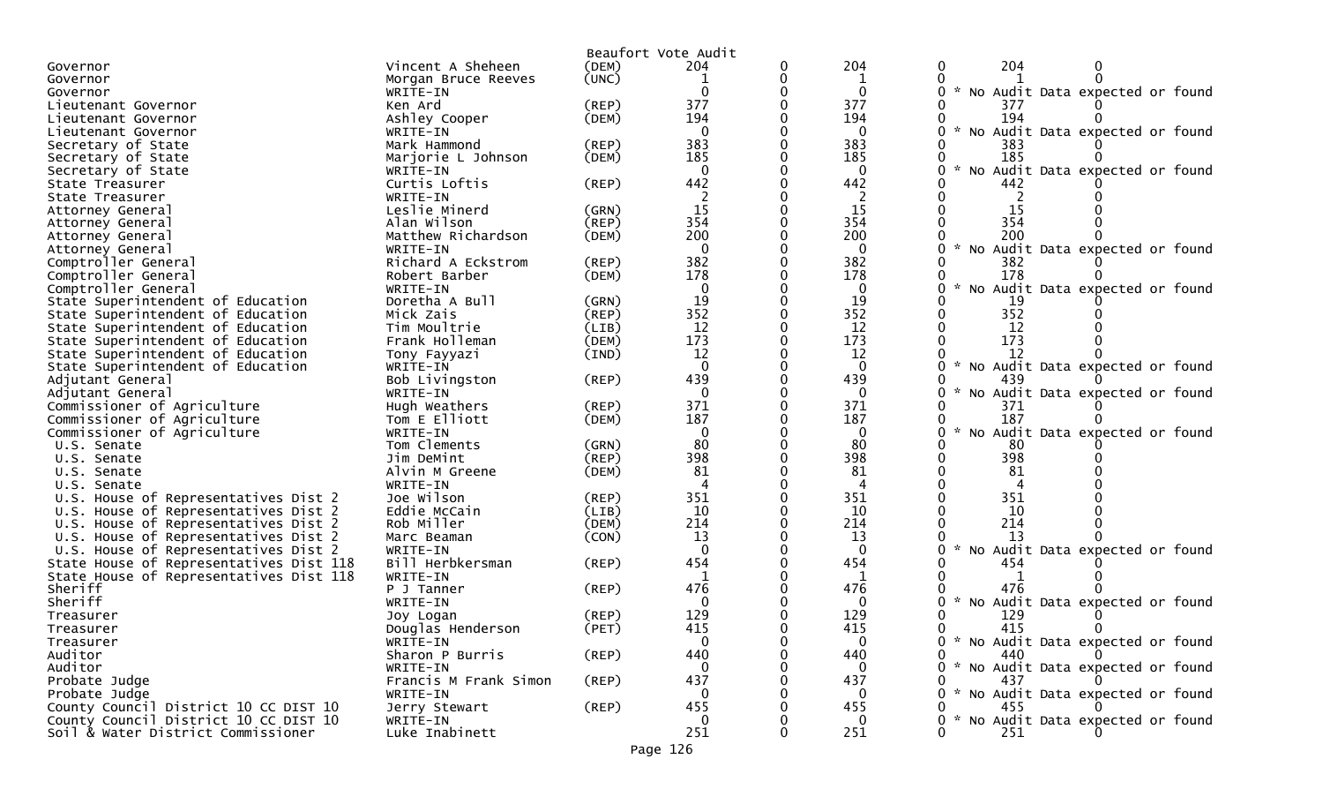|                                         |                       |             | Beaufort Vote Audit    |   |              |                                                       |
|-----------------------------------------|-----------------------|-------------|------------------------|---|--------------|-------------------------------------------------------|
| Governor                                | Vincent A Sheheen     | (DEM)       | 204                    | 0 | 204          | 204<br>0                                              |
| Governor                                | Morgan Bruce Reeves   | (UNC)       | 1                      | 0 | 1            |                                                       |
| Governor                                | WRITE-IN              |             | 0                      |   | $\mathbf{0}$ | 0<br>No Audit Data expected or found                  |
| Lieutenant Governor                     | Ken Ard               | (REP)       | 377                    |   | 377          | 377                                                   |
| Lieutenant Governor                     | Ashley Cooper         | (DEM)       | 194                    |   | 194          | 194                                                   |
| Lieutenant Governor                     | WRITE-IN              |             | $\mathbf{0}$           |   | $\Omega$     | No Audit Data expected or found                       |
| Secretary of State                      | Mark Hammond          | (REP)       | 383                    |   | 383          | 383                                                   |
| Secretary of State                      | Marjorie L Johnson    | (DEM)       | 185                    |   | 185          | 185                                                   |
| Secretary of State                      | WRITE-IN              |             | $\mathbf{0}$           |   | $\mathbf{0}$ | $\mathcal{R}$<br>No Audit Data expected or found      |
| State Treasurer                         | Curtis Loftis         | (REP)       | 442                    |   | 442          | 442                                                   |
| State Treasurer                         | WRITE-IN              |             |                        |   | 2            | 2                                                     |
| Attorney General                        | Leslie Minerd         | (GRN)       | 15                     |   | 15           | 15                                                    |
| Attorney General                        | Alan Wilson           | (REP)       | 354                    |   | 354          | 354                                                   |
| Attorney General                        | Matthew Richardson    | (DEM)       | 200                    |   | 200          | 200                                                   |
| Attorney General                        | WRITE-IN              |             | $\mathbf{0}$           |   | $\mathbf{0}$ | No Audit Data expected or found<br>0                  |
| Comptroller General                     | Richard A Eckstrom    | (REP)       | 382                    |   | 382          | 382                                                   |
| Comptroller General                     | Robert Barber         | (DEM)       | 178                    |   | 178          | 178                                                   |
| Comptroller General                     | WRITE-IN              |             | $\mathbf{0}$           |   | $\bf{0}$     | No Audit Data expected or found<br>0                  |
|                                         |                       |             | 19                     |   | 19           |                                                       |
| State Superintendent of Education       | Doretha A Bull        | (GRN)       | 352                    |   | 352          | 19<br>352                                             |
| State Superintendent of Education       | Mick Zais             | (REP)       |                        |   |              |                                                       |
| State Superintendent of Education       | Tim Moultrie          | (LIB)       | 12                     |   | 12           | 12                                                    |
| State Superintendent of Education       | Frank Holleman        | (DEM)       | 173                    |   | 173          | 173<br>0                                              |
| State Superintendent of Education       | Tony Fayyazi          | (IND)       | 12                     |   | 12           | 12                                                    |
| State Superintendent of Education       | WRITE-IN              |             | $\mathbf{0}$           | 0 | $\mathbf{0}$ | No Audit Data expected or found<br>$\mathcal{H}$<br>0 |
| Adjutant General                        | Bob Livingston        | (REP)       | 439                    |   | 439          | 439                                                   |
| Adjutant General                        | WRITE-IN              |             | $\mathbf{0}$           |   | $\Omega$     | No Audit Data expected or found                       |
| Commissioner of Agriculture             | Hugh Weathers         | (REP)       | 371                    |   | 371          | 371                                                   |
| Commissioner of Agriculture             | Tom E Elliott         | (DEM)       | 187                    |   | 187          | 187                                                   |
| Commissioner of Agriculture             | WRITE-IN              |             | $\Omega$               |   | $\Omega$     | No Audit Data expected or found                       |
| U.S. Senate                             | Tom Clements          | (GRN)       | 80                     |   | 80           | 80                                                    |
| U.S. Senate                             | Jim DeMint            | (REP)       | 398                    |   | 398          | 398<br>0                                              |
| U.S. Senate                             | Alvin M Greene        | (DEM)       | 81                     |   | 81           | 81                                                    |
| U.S. Senate                             | WRITE-IN              |             | $\boldsymbol{\Lambda}$ |   | 4            | 4                                                     |
| U.S. House of Representatives Dist 2    | Joe Wilson            | (REP)       | 351                    |   | 351          | 351                                                   |
| U.S. House of Representatives Dist 2    | Eddie McCain          | (LIB)       | 10                     |   | 10           | 10                                                    |
| U.S. House of Representatives Dist 2    | Rob Miller            | (DEM)       | 214                    |   | 214          | 214                                                   |
| U.S. House of Representatives Dist 2    | Marc Beaman           | (CON)       | 13                     |   | 13           | 13                                                    |
| U.S. House of Representatives Dist 2    | WRITE-IN              |             | $\Omega$               |   | $\Omega$     | No Audit Data expected or found<br>0<br>$\mathcal{H}$ |
| State House of Representatives Dist 118 | Bill Herbkersman      | (REP)       | 454                    |   | 454          | 454                                                   |
| State House of Representatives Dist 118 | WRITE-IN              |             | 1                      |   | 1            |                                                       |
| Sheriff                                 | P J Tanner            | $($ REP $)$ | 476                    |   | 476          | 476<br>0                                              |
| Sheriff                                 | WRITE-IN              |             | 0                      |   | $\Omega$     | Audit Data expected or found<br><b>NO</b>             |
| Treasurer                               | Joy Logan             | $($ REP $)$ | 129                    |   | 129          | 129                                                   |
| Treasurer                               | Douglas Henderson     | (PET)       | 415                    |   | 415          | 415<br>0                                              |
| Treasurer                               | WRITE-IN              |             | 0                      | 0 | 0            | No Audit Data expected or found                       |
| Auditor                                 | Sharon P Burris       | $($ REP $)$ | 440                    |   | 440          | 440<br>0                                              |
| Auditor                                 | WRITE-IN              |             | 0                      |   | $\Omega$     | 0<br>* No Audit Data expected or found                |
| Probate Judge                           | Francis M Frank Simon | (REP)       | 437                    |   | 437          | 437                                                   |
| Probate Judge                           | WRITE-IN              |             | 0                      |   | $\Omega$     | 0<br>* No Audit Data expected or found                |
| County Council District 10 CC DIST 10   | Jerry Stewart         | (REP)       | 455                    |   | 455          | 455<br>0                                              |
| County Council District 10 CC DIST 10   | WRITE-IN              |             | $\mathbf{0}$           |   | $\Omega$     | No Audit Data expected or found<br>$\mathcal{H}$      |
| Soil & Water District Commissioner      | Luke Inabinett        |             | 251                    | 0 | 251          | 251                                                   |
|                                         |                       |             |                        |   |              |                                                       |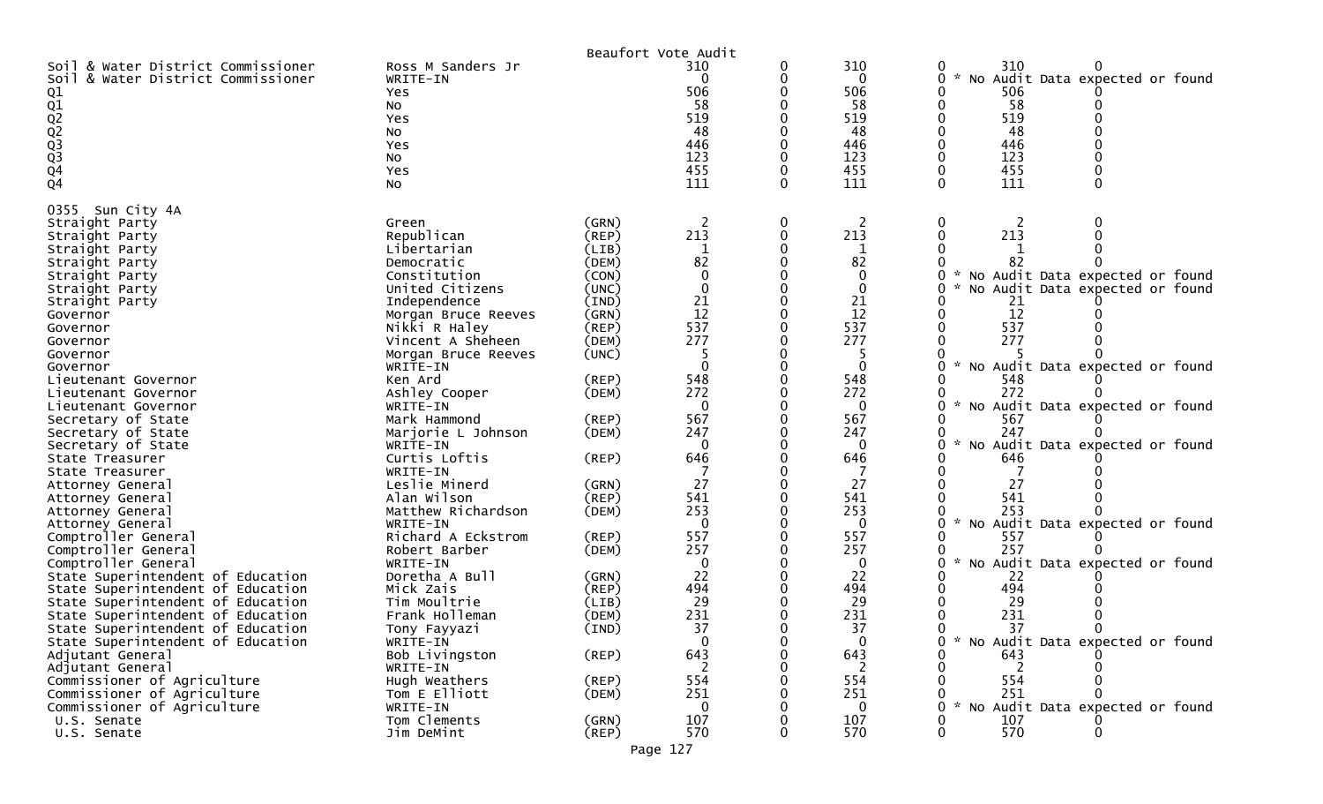|                                                                                                                                                                                                                                                                                                                                                                                                                                                                                                                                                                                                                                                                                                                                       |                                                                                                                                                                                                                                                                                                                                                                                                                                                                                                                                  |                                                                                                                                                                                                                                        | Beaufort Vote Audit                                                                                                                                                                                                                    |                  |                                                                                                                                                                                                                |                                                                                                                                                                                                                                                                                                                                                                                                                                         |
|---------------------------------------------------------------------------------------------------------------------------------------------------------------------------------------------------------------------------------------------------------------------------------------------------------------------------------------------------------------------------------------------------------------------------------------------------------------------------------------------------------------------------------------------------------------------------------------------------------------------------------------------------------------------------------------------------------------------------------------|----------------------------------------------------------------------------------------------------------------------------------------------------------------------------------------------------------------------------------------------------------------------------------------------------------------------------------------------------------------------------------------------------------------------------------------------------------------------------------------------------------------------------------|----------------------------------------------------------------------------------------------------------------------------------------------------------------------------------------------------------------------------------------|----------------------------------------------------------------------------------------------------------------------------------------------------------------------------------------------------------------------------------------|------------------|----------------------------------------------------------------------------------------------------------------------------------------------------------------------------------------------------------------|-----------------------------------------------------------------------------------------------------------------------------------------------------------------------------------------------------------------------------------------------------------------------------------------------------------------------------------------------------------------------------------------------------------------------------------------|
| Soil & Water District Commissioner<br>Soil & Water District Commissioner<br>Q1<br>01<br>02<br>02<br>03<br>03<br>04<br>04                                                                                                                                                                                                                                                                                                                                                                                                                                                                                                                                                                                                              | Ross M Sanders Jr<br>WRITE-IN<br>Yes<br>NO.<br>Yes<br>No<br>Yes<br>No<br>Yes<br>No                                                                                                                                                                                                                                                                                                                                                                                                                                               |                                                                                                                                                                                                                                        | 310<br>0<br>506<br>58<br>519<br>48<br>446<br>123<br>455<br>111                                                                                                                                                                         | 0<br>0<br>0<br>0 | 310<br>$\mathbf{0}$<br>506<br>58<br>519<br>48<br>446<br>123<br>455<br>111                                                                                                                                      | 310<br>0<br>0<br>No Audit Data expected or found<br>0<br>506<br>58<br>519<br>48<br>446<br>123<br>455<br>111<br>$\mathbf{0}$<br>$\Omega$                                                                                                                                                                                                                                                                                                 |
| 0355 Sun City 4A<br>Straight Party<br>Straight Party<br>Straight Party<br>Straight Party<br>Straight Party<br>Straight Party<br>Straight Party<br>Governor<br>Governor<br>Governor<br>Governor<br>Governor<br>Lieutenant Governor<br>Lieutenant Governor<br>Lieutenant Governor<br>Secretary of State<br>Secretary of State<br>Secretary of State<br>State Treasurer<br>State Treasurer<br>Attorney General<br>Attorney General<br>Attorney General<br>Attorney General<br>Comptroller General<br>Comptroller General<br>Comptroller General<br>State Superintendent of Education<br>State Superintendent of Education<br>State Superintendent of Education<br>State Superintendent of Education<br>State Superintendent of Education | Green<br>Republican<br>Libertarian<br>Democratic<br>Constitution<br>United Citizens<br>Independence<br>Morgan Bruce Reeves<br>Nikki R Haley<br>Vincent A Sheheen<br>Morgan Bruce Reeves<br>WRITE-IN<br>Ken Ard<br>Ashley Cooper<br>WRITE-IN<br>Mark Hammond<br>Marjorie L Johnson<br>WRITE-IN<br>Curtis Loftis<br>WRITE-IN<br>Leslie Minerd<br>Alan Wilson<br>Matthew Richardson<br>WRITE-IN<br>Richard A Eckstrom<br>Robert Barber<br>WRITE-IN<br>Doretha A Bull<br>Mick Zais<br>Tim Moultrie<br>Frank Holleman<br>Tony Fayyazi | (GRN)<br>(REP)<br>(LIB)<br>(DEM)<br>(CON)<br>(UNC)<br>(IND)<br>(GRN)<br>(REP)<br>(DEM)<br>(UNC)<br>(REP)<br>(DEM)<br>(REP)<br>(DEM)<br>(REP)<br>(GRN)<br>(REP)<br>(DEM)<br>(REP)<br>(DEM)<br>(GRN)<br>(REP)<br>(LIB)<br>(DEM)<br>(IND) | 2<br>213<br>-1<br>82<br>0<br>$\Omega$<br>21<br>12<br>537<br>277<br>-5<br>$\Omega$<br>548<br>272<br>$\Omega$<br>567<br>247<br>$\Omega$<br>646<br>27<br>541<br>253<br>$\Omega$<br>557<br>257<br>$\Omega$<br>22<br>494<br>29<br>231<br>37 | 0<br>0           | 2<br>213<br>1<br>82<br>$\mathbf{0}$<br>0<br>21<br>12<br>537<br>277<br>$\Omega$<br>548<br>272<br>0<br>567<br>247<br>$\Omega$<br>646<br>27<br>541<br>253<br>0<br>557<br>257<br>0<br>22<br>494<br>29<br>231<br>37 | 213<br>$\mathbf{0}$<br>No Audit Data expected or found<br>No Audit Data expected or found<br>21<br>12<br>537<br>277<br>No Audit Data expected or found<br>548<br>272<br>No Audit Data expected or found<br>567<br>247<br>$\sim$<br>No Audit Data expected or found<br>646<br>27<br>541<br>253<br>$\sim$<br>No Audit Data expected or found<br>557<br>257<br>No Audit Data expected or found<br>22<br>494<br>29<br>231<br>37<br>$\Omega$ |
| State Superintendent of Education<br>Adjutant General<br>Adjutant General<br>Commissioner of Agriculture<br>Commissioner of Agriculture<br>Commissioner of Agriculture<br>U.S. Senate<br>U.S. Senate                                                                                                                                                                                                                                                                                                                                                                                                                                                                                                                                  | WRITE-IN<br>Bob Livingston<br>WRITE-IN<br>Hugh Weathers<br>Tom E Elliott<br>WRITE-IN<br>Tom Clements<br>Jim DeMint                                                                                                                                                                                                                                                                                                                                                                                                               | $($ REP $)$<br>(REP)<br>(DEM)<br>(GRN)<br>$($ REP $)$                                                                                                                                                                                  | $\mathbf{0}$<br>643<br>2<br>554<br>251<br>0<br>107<br>570                                                                                                                                                                              |                  | $\mathbf{0}$<br>643<br>2<br>554<br>251<br>0<br>107<br>570                                                                                                                                                      | * No Audit Data expected or found<br>0<br>643<br>2<br>554<br>251<br>$\mathcal{H}$<br>No Audit Data expected or found<br>107<br>570<br>0                                                                                                                                                                                                                                                                                                 |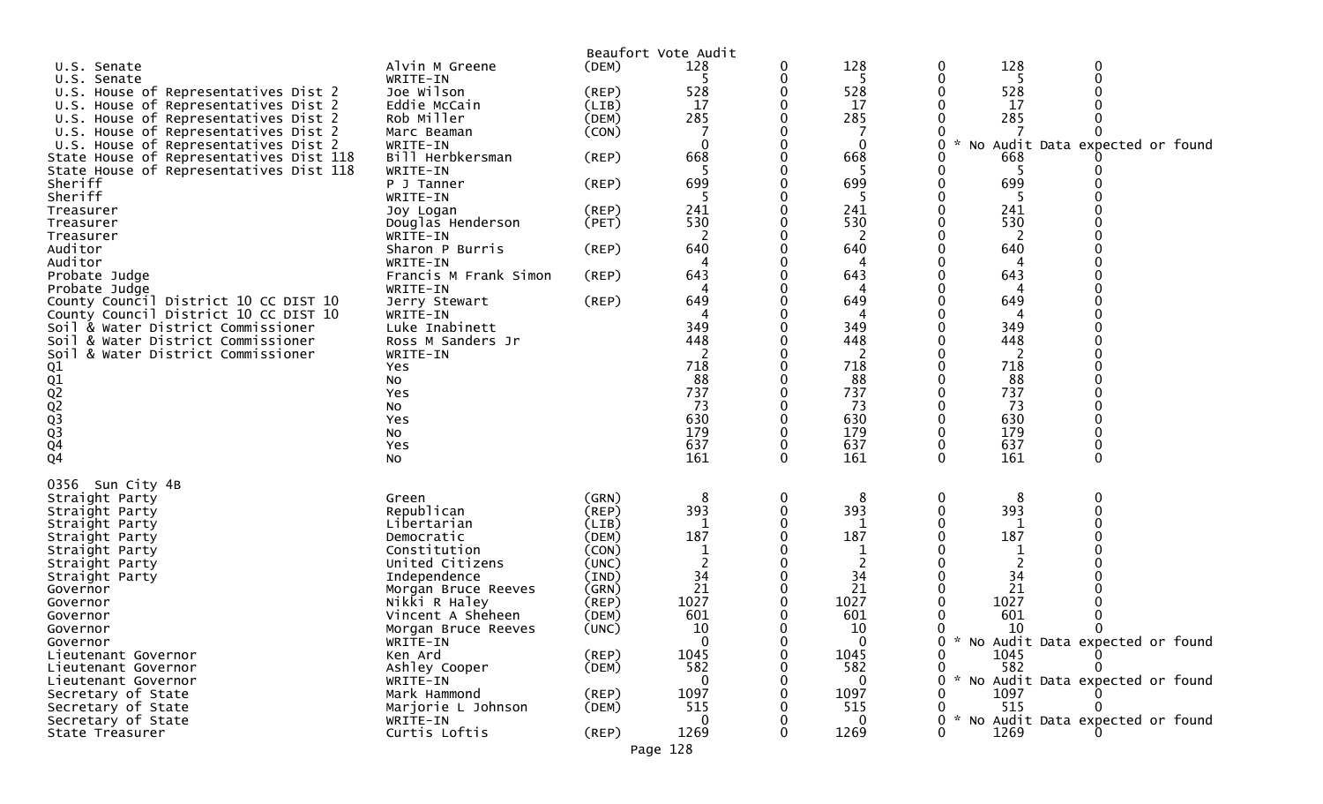|                                         |                       |             | Beaufort Vote Audit |   |              |   |      |                                 |  |
|-----------------------------------------|-----------------------|-------------|---------------------|---|--------------|---|------|---------------------------------|--|
| U.S. Senate                             | Alvin M Greene        | (DEM)       | 128                 | 0 | 128          | 0 | 128  | 0                               |  |
| U.S. Senate                             | WRITE-IN              |             | 5                   | 0 | -5           | 0 | 5    |                                 |  |
| U.S. House of Representatives Dist 2    | Joe Wilson            | $($ REP $)$ | 528                 |   | 528          |   | 528  |                                 |  |
| U.S. House of Representatives Dist 2    | Eddie McCain          | (LIB)       | 17                  | 0 | 17           |   | 17   |                                 |  |
| U.S. House of Representatives Dist 2    | Rob Miller            | (DEM)       | 285                 |   | 285          |   | 285  |                                 |  |
| U.S. House of Representatives Dist 2    | Marc Beaman           | (CON)       |                     |   |              |   |      |                                 |  |
| U.S. House of Representatives Dist 2    | WRITE-IN              |             | $\mathbf{0}$        |   | $\mathbf{0}$ |   | NO.  | Audit Data expected or found    |  |
| State House of Representatives Dist 118 | Bill Herbkersman      | $($ REP $)$ | 668                 |   | 668          |   | 668  |                                 |  |
| State House of Representatives Dist 118 | WRITE-IN              |             |                     |   |              |   |      |                                 |  |
| Sheriff                                 | P J Tanner            | $($ REP $)$ | 699                 |   | 699          |   | 699  |                                 |  |
| Sheriff                                 | WRITE-IN              |             | -5                  |   | -5           |   | 5    |                                 |  |
| Treasurer                               | Joy Logan             | (REP)       | 241                 |   | 241          |   | 241  |                                 |  |
| Treasurer                               | Douglas Henderson     | (PET)       | 530                 |   | 530          |   | 530  |                                 |  |
| Treasurer                               | WRITE-IN              |             | $\overline{2}$      |   | 2            |   | 2    |                                 |  |
| Auditor                                 | Sharon P Burris       | (REP)       | 640                 |   | 640          |   | 640  |                                 |  |
| Auditor                                 | WRITE-IN              |             |                     |   |              |   |      |                                 |  |
| Probate Judge                           | Francis M Frank Simon | (REP)       | 643                 |   | 643          |   | 643  |                                 |  |
| Probate Judge                           | WRITE-IN              |             | 4                   |   | 4            |   |      |                                 |  |
| County Council District 10 CC DIST 10   | Jerry Stewart         | $($ REP $)$ | 649                 |   | 649          |   | 649  |                                 |  |
| County Council District 10 CC DIST 10   | WRITE-IN              |             | 4                   |   | 4            |   | 4    |                                 |  |
| Soil & Water District Commissioner      | Luke Inabinett        |             | 349                 |   | 349          |   | 349  |                                 |  |
| Soil & Water District Commissioner      | Ross M Sanders Jr     |             | 448                 |   | 448          |   | 448  |                                 |  |
| Soil<br>& Water District Commissioner   | WRITE-IN              |             | 2                   |   | 2            |   | 2    |                                 |  |
|                                         | Yes                   |             | 718                 |   | 718          |   | 718  |                                 |  |
| Q1<br>Q2<br>Q2<br>Q3<br>Q3<br>Q4<br>Q4  | No                    |             | 88                  |   | 88           |   | 88   |                                 |  |
|                                         | Yes                   |             | 737                 |   | 737          |   | 737  |                                 |  |
|                                         | No                    |             | 73                  |   | 73           |   | 73   |                                 |  |
|                                         | Yes                   |             | 630                 |   | 630          |   | 630  |                                 |  |
|                                         | No                    |             | 179                 |   | 179          |   | 179  |                                 |  |
|                                         | Yes                   |             | 637                 |   | 637          |   | 637  |                                 |  |
|                                         | No                    |             | 161                 | 0 | 161          | 0 | 161  | $\Omega$                        |  |
|                                         |                       |             |                     |   |              |   |      |                                 |  |
| 0356 Sun City 4B                        |                       |             |                     |   |              |   |      |                                 |  |
| Straight Party                          | Green                 | (GRN)       | 8                   | 0 | 8            | 0 | 8    | 0                               |  |
| Straight Party                          | Republican            | $($ REP $)$ | 393                 | 0 | 393          |   | 393  |                                 |  |
| Straight Party                          | Libertarian           | (LIB)       | 1                   | 0 | 1            |   |      |                                 |  |
| Straight Party                          | Democratic            | (DEM)       | 187                 |   | 187          |   | 187  |                                 |  |
| Straight Party                          | Constitution          | (CON)       | $\mathbf 1$         |   | 1            |   | 1    |                                 |  |
| Straight Party                          | United Citizens       | (UNC)       |                     |   |              |   | 2    |                                 |  |
| Straight Party                          | Independence          | (IND)       | 34                  | 0 | 34           |   | 34   |                                 |  |
| Governor                                | Morgan Bruce Reeves   | (GRN)       | 21                  |   | 21           |   | 21   |                                 |  |
| Governor                                | Nikki R Haley         | (REP)       | 1027                | 0 | 1027         |   | 1027 |                                 |  |
| Governor                                | Vincent A Sheheen     | (DEM)       | 601                 |   | 601          |   | 601  |                                 |  |
| Governor                                | Morgan Bruce Reeves   | (UNC)       | 10                  | 0 | 10           |   | 10   | $\Omega$                        |  |
| Governor                                | WRITE-IN              |             | $\mathbf{0}$        |   | 0            |   |      | No Audit Data expected or found |  |
| Lieutenant Governor                     | Ken Ard               | (REP)       | 1045                |   | 1045         | 0 | 1045 |                                 |  |
| Lieutenant Governor                     | Ashley Cooper         | (DEM)       | 582                 |   | 582          |   | 582  |                                 |  |
| Lieutenant Governor                     | WRITE-IN              |             | ∩                   |   | $\Omega$     |   |      | No Audit Data expected or found |  |
| Secretary of State                      | Mark Hammond          | $($ REP $)$ | 1097                |   | 1097         |   | 1097 |                                 |  |
| Secretary of State                      | Marjorie L Johnson    | (DEM)       | 515                 |   | 515          |   | 515  |                                 |  |
| Secretary of State                      | WRITE-IN              |             | ∩                   |   | 0            |   |      | No Audit Data expected or found |  |
| State Treasurer                         | Curtis Loftis         | $($ REP $)$ | 1269                | 0 | 1269         | 0 | 1269 |                                 |  |
|                                         |                       |             | Page 128            |   |              |   |      |                                 |  |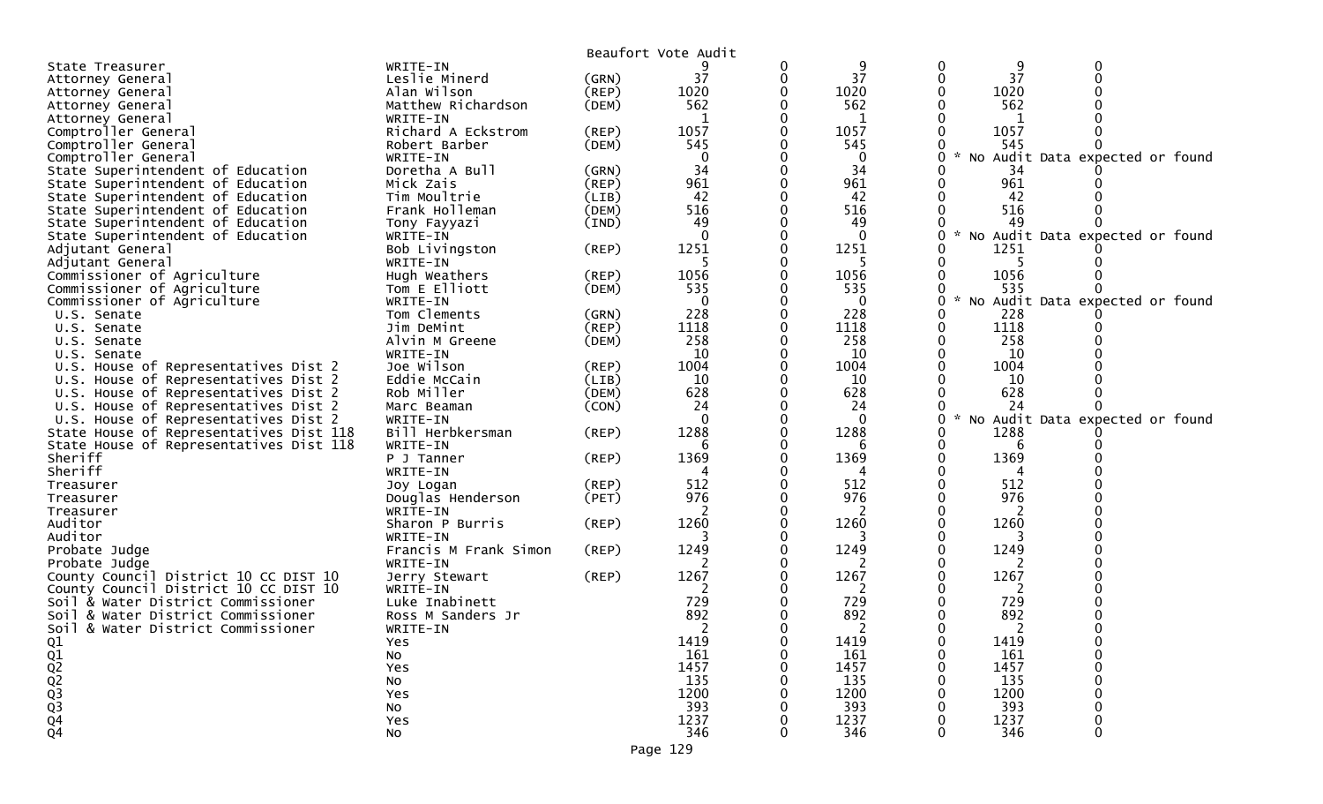|                                         |                       |             | Beaufort Vote Audit |             |          |      |                                   |
|-----------------------------------------|-----------------------|-------------|---------------------|-------------|----------|------|-----------------------------------|
| State Treasurer                         | WRITE-IN              |             |                     | 0           | 9        | 9    |                                   |
| Attorney General                        | Leslie Minerd         | (GRN)       | 37                  | 0           | 37       | 37   |                                   |
| Attorney General                        | Alan Wilson           | $($ REP $)$ | 1020                |             | 1020     | 1020 |                                   |
| Attorney General                        | Matthew Richardson    | (DEM)       | 562                 |             | 562      | 562  |                                   |
| Attorney General                        | WRITE-IN              |             |                     |             | 1        |      |                                   |
| Comptroller General                     | Richard A Eckstrom    | (REP)       | 1057                |             | 1057     | 1057 |                                   |
| Comptroller General                     | Robert Barber         | (DEM)       | 545                 |             | 545      | 545  |                                   |
| Comptroller General                     | WRITE-IN              |             | $\Omega$            |             | 0        |      | * No Audit Data expected or found |
| State Superintendent of Education       | Doretha A Bull        | (GRN)       | 34                  |             | 34       | -34  |                                   |
| State Superintendent of Education       | Mick Zais             | (REP)       | 961                 |             | 961      | 961  |                                   |
| State Superintendent of Education       | Tim Moultrie          | (LIB)       | 42                  |             | 42       | 42   |                                   |
| State Superintendent of Education       | Frank Holleman        | (DEM)       | 516                 |             | 516      | 516  |                                   |
| State Superintendent of Education       | Tony Fayyazi          | (IND)       | 49                  |             | 49       | 49   |                                   |
| State Superintendent of Education       | WRITE-IN              |             | $\Omega$            |             | $\Omega$ |      | * No Audit Data expected or found |
| Adjutant General                        | Bob Livingston        | (REP)       | 1251                |             | 1251     | 1251 |                                   |
| Adjutant General                        | WRITE-IN              |             |                     |             |          |      |                                   |
| Commissioner of Agriculture             | Hugh Weathers         | (REP)       | 1056                |             | 1056     | 1056 |                                   |
| Commissioner of Agriculture             | Tom E Elliott         | (DEM)       | 535                 |             | 535      | 535  |                                   |
| Commissioner of Agriculture             | WRITE-IN              |             | $\Omega$            |             | $\Omega$ |      | No Audit Data expected or found   |
| U.S. Senate                             | Tom Clements          | (GRN)       | 228                 |             | 228      | 228  |                                   |
| U.S. Senate                             | Jim DeMint            | (REP)       | 1118                |             | 1118     | 1118 |                                   |
| U.S. Senate                             | Alvin M Greene        | (DEM)       | 258                 |             | 258      | 258  |                                   |
| U.S. Senate                             | WRITE-IN              |             | 10                  |             | 10       | 10   |                                   |
| U.S. House of Representatives Dist 2    | Joe Wilson            | $($ REP $)$ | 1004                |             | 1004     | 1004 |                                   |
| U.S. House of Representatives Dist 2    | Eddie McCain          | (LIB)       | 10                  |             | 10       | 10   |                                   |
| U.S. House of Representatives Dist 2    | Rob Miller            | (DEM)       | 628                 |             | 628      | 628  |                                   |
| U.S. House of Representatives Dist 2    | Marc Beaman           | (CON)       | 24                  |             | 24       | 24   |                                   |
| U.S. House of Representatives Dist 2    | WRITE-IN              |             | $\Omega$            |             | $\Omega$ |      | * No Audit Data expected or found |
| State House of Representatives Dist 118 | Bill Herbkersman      | (REP)       | 1288                |             | 1288     | 1288 |                                   |
| State House of Representatives Dist 118 | WRITE-IN              |             |                     |             |          | b    |                                   |
| Sheriff                                 | P J Tanner            | $($ REP $)$ | 1369                |             | 1369     | 1369 |                                   |
| Sheriff                                 | WRITE-IN              |             |                     |             |          |      |                                   |
| Treasurer                               | Joy Logan             | (REP)       | 512                 |             | 512      | 512  |                                   |
| Treasurer                               | Douglas Henderson     | (PET)       | 976                 |             | 976      | 976  |                                   |
| Treasurer                               | WRITE-IN              |             |                     |             |          |      |                                   |
| Auditor                                 | Sharon P Burris       | (REP)       | 1260                |             | 1260     | 1260 |                                   |
| Auditor                                 | WRITE-IN              |             |                     |             |          |      |                                   |
| Probate Judge                           | Francis M Frank Simon | (REP)       | 1249                |             | 1249     | 1249 |                                   |
| Probate Judge                           | WRITE-IN              |             |                     |             |          | 2    |                                   |
| County Council District 10 CC DIST 10   | Jerry Stewart         | (REP)       | 1267                |             | 1267     | 1267 |                                   |
| County Council District 10 CC DIST 10   | WRITE-IN              |             |                     |             |          |      |                                   |
| Soil & Water District Commissioner      | Luke Inabinett        |             | 729                 |             | 729      | 729  |                                   |
| Soil & Water District Commissioner      | Ross M Sanders Jr     |             | 892                 | 0           | 892      | 892  |                                   |
| Soil & Water District Commissioner      | WRITE-IN              |             |                     | 0           |          |      |                                   |
| Q1                                      | Yes                   |             | 1419                | $\mathbf 0$ | 1419     | 1419 |                                   |
|                                         | No                    |             | 161                 |             | 161      | 161  |                                   |
|                                         | Yes                   |             | 1457                |             | 1457     | 1457 |                                   |
| Q1<br>Q2<br>Q3<br>Q3<br>Q3              | NO                    |             | 135                 |             | 135      | 135  |                                   |
|                                         | Yes                   |             | 1200                |             | 1200     | 1200 |                                   |
|                                         | No                    |             | 393                 |             | 393      | 393  |                                   |
| $\frac{Q4}{Q4}$                         | Yes                   |             | 1237                |             | 1237     | 1237 |                                   |
|                                         | No                    |             | 346                 |             | 346      | 346  |                                   |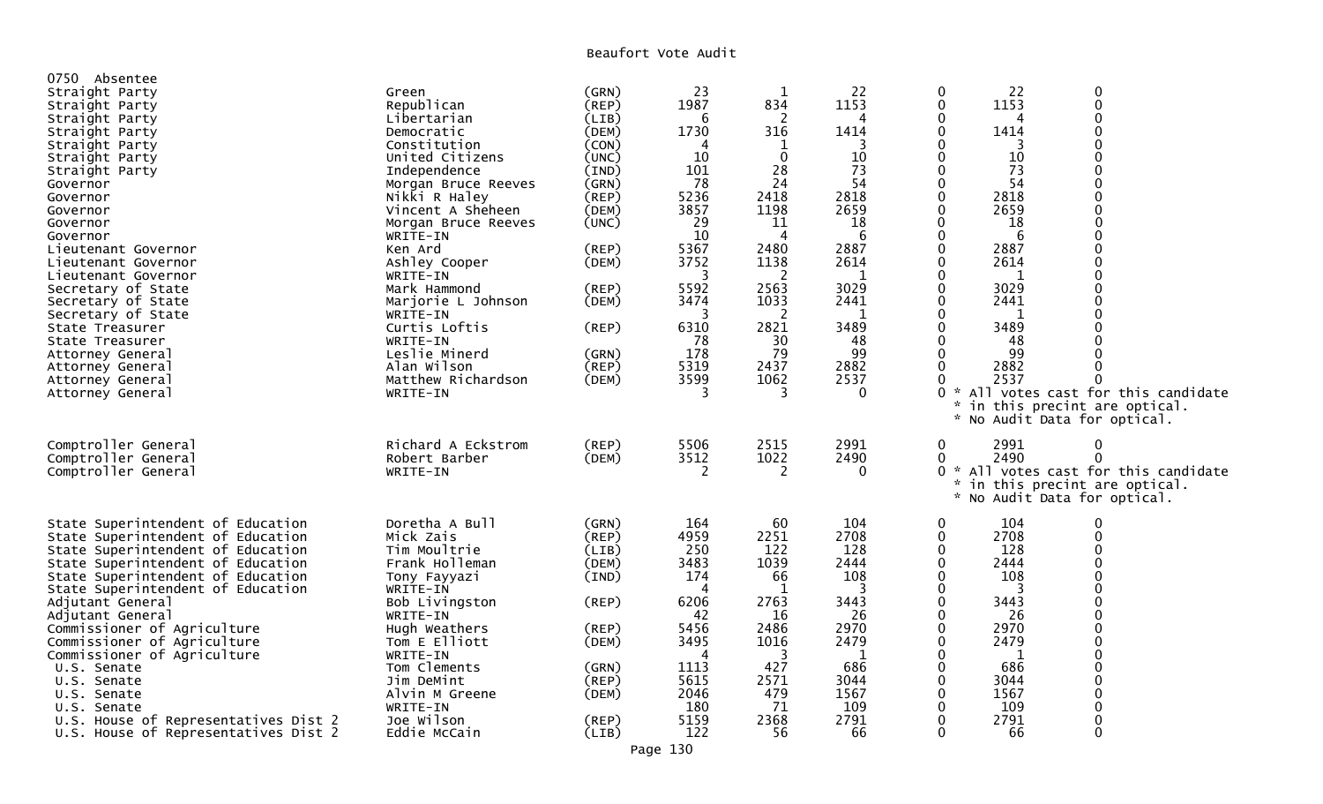Beaufort Vote Audit

| 0750 Absentee                        |                     |             |      |                |          |              |      |                                     |  |
|--------------------------------------|---------------------|-------------|------|----------------|----------|--------------|------|-------------------------------------|--|
| Straight Party                       | Green               | (GRN)       | 23   | 1              | 22       |              | 22   | 0                                   |  |
| Straight Party                       | Republican          | (REP)       | 1987 | 834            | 1153     | $\mathbf 0$  | 1153 | $\Omega$                            |  |
| Straight Party                       | Libertarian         | (LIB)       | 6    | $\overline{c}$ |          | 0            |      | $\Omega$                            |  |
| Straight Party                       | Democratic          | (DEM)       | 1730 | 316            | 1414     | $\Omega$     | 1414 | $\Omega$                            |  |
| Straight Party                       | Constitution        | (CON)       | 4    | $\mathbf 1$    | 3        |              | 3    | U                                   |  |
| Straight Party                       | United Citizens     | (UNC)       | 10   | $\mathbf{0}$   | 10       |              | 10   | 0                                   |  |
| Straight Party                       | Independence        | (IND)       | 101  | 28             | 73       |              | 73   |                                     |  |
| Governor                             | Morgan Bruce Reeves | (GRN)       | 78   | 24             | 54       | 0            | 54   | O                                   |  |
| Governor                             | Nikki R Haley       | $($ REP $)$ | 5236 | 2418           | 2818     | $\Omega$     | 2818 |                                     |  |
| Governor                             | Vincent A Sheheen   | (DEM)       | 3857 | 1198           | 2659     |              | 2659 |                                     |  |
| Governor                             | Morgan Bruce Reeves | (UNC)       | 29   | 11             | 18       |              | 18   |                                     |  |
| Governor                             | WRITE-IN            |             | 10   | 4              | 6        |              | 6    |                                     |  |
| Lieutenant Governor                  | Ken Ard             | (REP)       | 5367 | 2480           | 2887     |              | 2887 |                                     |  |
| Lieutenant Governor                  | Ashley Cooper       | (DEM)       | 3752 | 1138           | 2614     |              | 2614 |                                     |  |
| Lieutenant Governor                  | WRITE-IN            |             | 3    | 2              | 1        |              | -1   | U                                   |  |
| Secretary of State                   | Mark Hammond        | (REP)       | 5592 | 2563           | 3029     |              | 3029 |                                     |  |
| Secretary of State                   | Marjorie L Johnson  | (DEM)       | 3474 | 1033           | 2441     |              | 2441 |                                     |  |
| Secretary of State                   | WRITE-IN            |             | 3    | 2              | 1        |              | 1    |                                     |  |
| State Treasurer                      | Curtis Loftis       | (REP)       | 6310 | 2821           | 3489     |              | 3489 |                                     |  |
| State Treasurer                      | WRITE-IN            |             | 78   | 30             | 48       |              | 48   |                                     |  |
| Attorney General                     | Leslie Minerd       | (GRN)       | 178  | 79             | 99       |              | 99   |                                     |  |
| Attorney General                     | Alan Wilson         | $($ REP $)$ | 5319 | 2437           | 2882     |              | 2882 |                                     |  |
| Attorney General                     | Matthew Richardson  | (DEM)       | 3599 | 1062           | 2537     |              | 2537 |                                     |  |
| Attorney General                     | WRITE-IN            |             | 3    | 3              | 0        |              |      | * All votes cast for this candidate |  |
|                                      |                     |             |      |                |          |              |      | in this precint are optical.        |  |
|                                      |                     |             |      |                |          |              |      | No Audit Data for optical.          |  |
|                                      |                     |             |      |                |          |              |      |                                     |  |
| Comptroller General                  | Richard A Eckstrom  | $($ REP $)$ | 5506 | 2515           | 2991     | 0            | 2991 | 0                                   |  |
| Comptroller General                  | Robert Barber       | (DEM)       | 3512 | 1022           | 2490     | 0            | 2490 | $\Omega$                            |  |
| Comptroller General                  | WRITE-IN            |             | 2    | 2              | $\Omega$ | $\Omega$     |      | * All votes cast for this candidate |  |
|                                      |                     |             |      |                |          |              |      | in this precint are optical.        |  |
|                                      |                     |             |      |                |          |              |      | * No Audit Data for optical.        |  |
|                                      |                     |             |      |                |          |              |      |                                     |  |
| State Superintendent of Education    | Doretha A Bull      | (GRN)       | 164  | 60             | 104      | 0            | 104  | $\Omega$                            |  |
| State Superintendent of Education    | Mick Zais           | (REP)       | 4959 | 2251           | 2708     | $\Omega$     | 2708 | $\Omega$                            |  |
| State Superintendent of Education    | Tim Moultrie        | (LIB)       | 250  | 122            | 128      | 0            | 128  | O                                   |  |
| State Superintendent of Education    | Frank Holleman      | (DEM)       | 3483 | 1039           | 2444     |              | 2444 |                                     |  |
| State Superintendent of Education    | Tony Fayyazi        | (IND)       | 174  | 66             | 108      |              | 108  |                                     |  |
| State Superintendent of Education    | WRITE-IN            |             | Δ    | -1             |          |              |      |                                     |  |
| Adjutant General                     | Bob Livingston      | (REP)       | 6206 | 2763           | 3443     |              | 3443 | $\Omega$                            |  |
| Adjutant General                     | WRITE-IN            |             | 42   | 16             | 26       |              | 26   | O                                   |  |
| Commissioner of Agriculture          | Hugh Weathers       | (REP)       | 5456 | 2486           | 2970     |              | 2970 |                                     |  |
| Commissioner of Agriculture          | Tom E Elliott       | (DEM)       | 3495 | 1016           | 2479     |              | 2479 |                                     |  |
| Commissioner of Agriculture          | WRITE-IN            |             | 4    | 3              | 1        |              | 1    |                                     |  |
| U.S. Senate                          | Tom Clements        | (GRN)       | 1113 | 427            | 686      |              | 686  | U                                   |  |
| U.S. Senate                          | Jim DeMint          | (REP)       | 5615 | 2571           | 3044     |              | 3044 |                                     |  |
| U.S. Senate                          | Alvin M Greene      | (DEM)       | 2046 | 479            | 1567     | 0            | 1567 | $\Omega$                            |  |
| U.S. Senate                          | WRITE-IN            |             | 180  | 71             | 109      |              | 109  |                                     |  |
| U.S. House of Representatives Dist 2 | Joe Wilson          | (REP)       | 5159 | 2368           | 2791     | 0            | 2791 | $\Omega$                            |  |
| U.S. House of Representatives Dist 2 | Eddie McCain        | (LIB)       | 122  | 56             | 66       | $\mathbf{0}$ | 66   | $\Omega$                            |  |
|                                      |                     |             |      |                |          |              |      |                                     |  |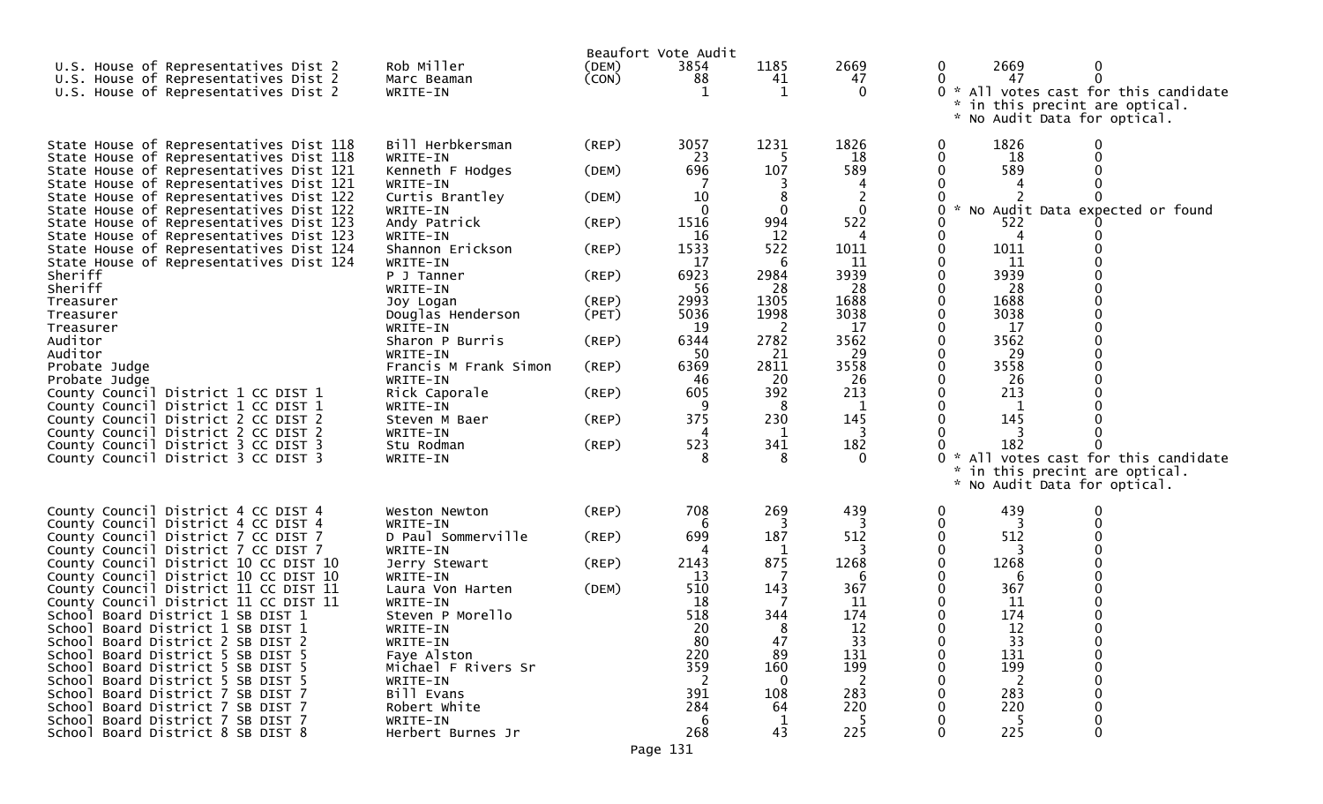| U.S. House of Representatives Dist 2<br>U.S. House of Representatives Dist 2<br>U.S. House of Representatives Dist 2                                                                                                                                                                                                                                                                                                                                                                                                                                                                                                                                                                                                                                                                                      | Rob Miller<br>Marc Beaman<br>WRITE-IN                                                                                                                                                                                                                                                                                                                                                   | Beaufort Vote Audit<br>(DEM)<br>(CON)                                                                                         | 3854<br>88<br>-1                                                                                                                                   | 1185<br>41<br>1                                                                                                                                   | 2669<br>47<br>0                                                                                                                                        | 0<br>0<br>0                                   | 2669<br>47<br>in this precint are optical.<br>* No Audit Data for optical.                                                                                                                            | 0<br>0<br>* All votes cast for this candidate                          |
|-----------------------------------------------------------------------------------------------------------------------------------------------------------------------------------------------------------------------------------------------------------------------------------------------------------------------------------------------------------------------------------------------------------------------------------------------------------------------------------------------------------------------------------------------------------------------------------------------------------------------------------------------------------------------------------------------------------------------------------------------------------------------------------------------------------|-----------------------------------------------------------------------------------------------------------------------------------------------------------------------------------------------------------------------------------------------------------------------------------------------------------------------------------------------------------------------------------------|-------------------------------------------------------------------------------------------------------------------------------|----------------------------------------------------------------------------------------------------------------------------------------------------|---------------------------------------------------------------------------------------------------------------------------------------------------|--------------------------------------------------------------------------------------------------------------------------------------------------------|-----------------------------------------------|-------------------------------------------------------------------------------------------------------------------------------------------------------------------------------------------------------|------------------------------------------------------------------------|
| State House of Representatives Dist 118<br>State House of Representatives Dist 118<br>State House of Representatives Dist 121<br>State House of Representatives Dist 121<br>State House of Representatives Dist 122<br>State House of Representatives Dist 122<br>State House of Representatives Dist 123<br>State House of Representatives Dist 123<br>State House of Representatives Dist 124<br>State House of Representatives Dist 124<br>Sheriff<br>Sheriff<br>Treasurer<br>Treasurer<br>Treasurer<br>Auditor<br>Auditor<br>Probate Judge<br>Probate Judge<br>County Council District 1 CC DIST 1<br>County Council District 1 CC DIST 1<br>County Council District 2 CC DIST 2<br>County Council District 2 CC DIST 2<br>County Council District 3 CC DIST 3<br>County Council District 3 CC DIST 3 | Bill Herbkersman<br>WRITE-IN<br>Kenneth F Hodges<br>WRITE-IN<br>Curtis Brantley<br>WRITE-IN<br>Andy Patrick<br>WRITE-IN<br>Shannon Erickson<br>WRITE-IN<br>P J Tanner<br>WRITE-IN<br>Joy Logan<br>Douglas Henderson<br>WRITE-IN<br>Sharon P Burris<br>WRITE-IN<br>Francis M Frank Simon<br>WRITE-IN<br>Rick Caporale<br>WRITE-IN<br>Steven M Baer<br>WRITE-IN<br>Stu Rodman<br>WRITE-IN | (REP)<br>(DEM)<br>(DEM)<br>$($ REP $)$<br>(REP)<br>(REP)<br>$($ REP $)$<br>(PET)<br>(REP)<br>(REP)<br>(REP)<br>(REP)<br>(REP) | 3057<br>23<br>696<br>10<br>1516<br>16<br>1533<br>17<br>6923<br>56<br>2993<br>5036<br>19<br>6344<br>50<br>6369<br>46<br>605<br>9<br>375<br>523<br>8 | 1231<br>5<br>107<br>8<br>0<br>994<br>12<br>522<br>6<br>2984<br>28<br>1305<br>1998<br>2<br>2782<br>21<br>2811<br>20<br>392<br>8<br>230<br>341<br>8 | 1826<br>18<br>589<br>$\mathbf 0$<br>522<br>1011<br>11<br>3939<br>28<br>1688<br>3038<br>17<br>3562<br>29<br>3558<br>26<br>213<br>145<br>182<br>$\Omega$ | $\bf{0}$<br>0<br>$\mathcal{H}$<br>0<br>0<br>0 | 1826<br>18<br>589<br>522<br>4<br>1011<br>11<br>3939<br>28<br>1688<br>3038<br>17<br>3562<br>29<br>3558<br>26<br>213<br>1<br>145<br>182<br>in this precint are optical.<br>* No Audit Data for optical. | No Audit Data expected or found<br>* All votes cast for this candidate |
| County Council District 4 CC DIST 4<br>County Council District 4 CC DIST 4<br>County Council District 7 CC DIST 7<br>County Council District 7 CC DIST 7<br>County Council District 10 CC DIST 10<br>County Council District 10 CC DIST 10<br>County Council District 11 CC DIST 11<br>County Council District 11 CC DIST 11<br>School Board District 1 SB DIST 1<br>School Board District 1 SB DIST 1<br>School Board District 2 SB DIST 2<br>School Board District 5 SB DIST 5<br>School Board District 5 SB DIST 5<br>School Board District 5 SB DIST 5<br>School Board District 7 SB DIST 7<br>School Board District 7 SB DIST 7<br>School Board District 7 SB DIST 7<br>School Board District 8 SB DIST 8                                                                                            | Weston Newton<br>WRITE-IN<br>D Paul Sommerville<br>WRITE-IN<br>Jerry Stewart<br>WRITE-IN<br>Laura Von Harten<br>WRITE-IN<br>Steven P Morello<br>WRITE-IN<br>WRITE-IN<br>Faye Alston<br>Michael F Rivers Sr<br>WRITE-IN<br>Bill Evans<br>Robert White<br>WRITE-IN<br>Herbert Burnes Jr                                                                                                   | (REP)<br>(REP)<br>(REP)<br>(DEM)<br>Page 131                                                                                  | 708<br>6<br>699<br>2143<br>13<br>510<br>18<br>518<br>20<br>80<br>220<br>359<br>2<br>391<br>284<br>6<br>268                                         | 269<br>187<br>1<br>875<br>143<br>344<br>47<br>89<br>160<br>$\overline{0}$<br>108<br>64<br>1<br>43                                                 | 439<br>512<br>1268<br>6<br>367<br>11<br>174<br>12<br>33<br>131<br>199<br>-2<br>283<br>220<br>225                                                       | 0<br>0                                        | 439<br>512<br>1268<br>6<br>367<br>11<br>174<br>12<br>33<br>131<br>199<br>283<br>220<br>225                                                                                                            | $\Omega$                                                               |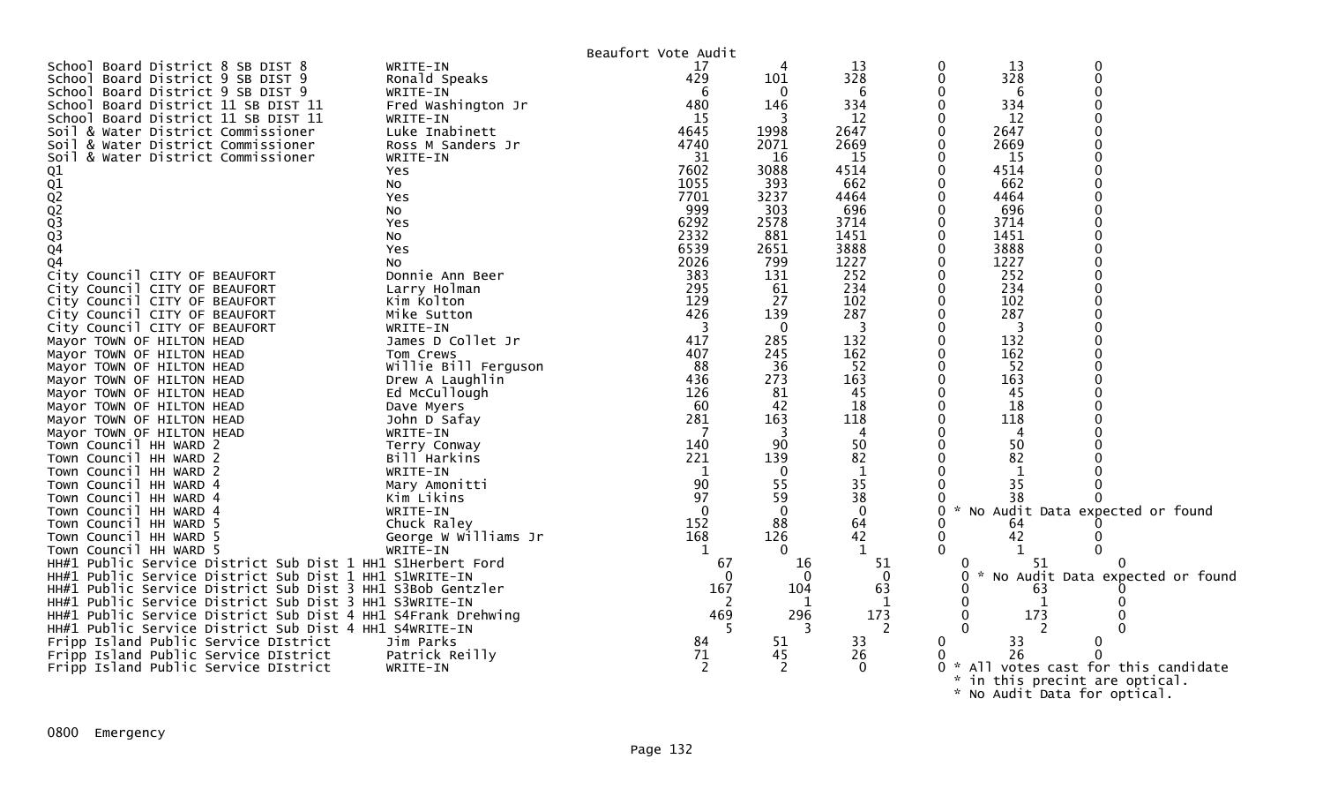|                                                              |                      | Beaufort Vote Audit |              |             |                     |      |                                   |  |
|--------------------------------------------------------------|----------------------|---------------------|--------------|-------------|---------------------|------|-----------------------------------|--|
| School Board District 8 SB DIST 8                            | WRITE-IN             | 17                  |              | 13          |                     | 13   |                                   |  |
| School Board District 9 SB DIST 9                            | Ronald Speaks        | 429                 | 101          | 328         | 0                   | 328  |                                   |  |
| School Board District 9 SB DIST 9                            | WRITE-IN             | 6                   | $\mathbf{0}$ | 6           |                     | 6    |                                   |  |
| School Board District 11 SB DIST 11                          | Fred Washington Jr   | 480                 | 146          | 334         |                     | 334  |                                   |  |
| School Board District 11 SB DIST 11                          | WRITE-IN             | 15                  | 3            | 12          | 0                   | 12   |                                   |  |
| Soil & Water District Commissioner                           | Luke Inabinett       | 4645                | 1998         | 2647        |                     | 2647 |                                   |  |
| Soil & Water District Commissioner                           | Ross M Sanders Jr    | 4740                | 2071         | 2669        |                     | 2669 |                                   |  |
| Soil & Water District Commissioner                           | WRITE-IN             | 31                  | 16           | 15          |                     | 15   |                                   |  |
|                                                              | Yes                  | 7602                | 3088         | 4514        |                     | 4514 |                                   |  |
|                                                              |                      | 1055                | 393          | 662         |                     | 662  |                                   |  |
|                                                              | NO.                  | 7701                | 3237         | 4464        | 0                   | 4464 |                                   |  |
| 01<br>01<br>02<br>02<br>03<br>03<br>04                       | Yes                  |                     |              |             |                     |      |                                   |  |
|                                                              | NO.                  | 999                 | 303          | 696         |                     | 696  |                                   |  |
|                                                              | Yes                  | 6292                | 2578         | 3714        | 0                   | 3714 |                                   |  |
|                                                              | No                   | 2332                | 881          | 1451        |                     | 1451 |                                   |  |
|                                                              | Yes                  | 6539                | 2651         | 3888        | 0                   | 3888 |                                   |  |
| Q <sub>4</sub>                                               | No                   | 2026                | 799          | 1227        |                     | 1227 |                                   |  |
| City Council CITY OF BEAUFORT                                | Donnie Ann Beer      | 383                 | 131          | 252         |                     | 252  |                                   |  |
| City Council CITY OF BEAUFORT                                | Larry Holman         | 295                 | 61           | 234         |                     | 234  |                                   |  |
| City Council CITY OF BEAUFORT                                | Kim Kolton           | 129                 | 27           | 102         |                     | 102  |                                   |  |
| City Council CITY OF BEAUFORT                                | Mike Sutton          | 426                 | 139          | 287         | 0                   | 287  |                                   |  |
| City Council CITY OF BEAUFORT                                | WRITE-IN             | -3                  | $\mathbf{0}$ | 3           |                     | 3    |                                   |  |
| Mayor TOWN OF HILTON HEAD                                    | James D Collet Jr    | 417                 | 285          | 132         | 0                   | 132  |                                   |  |
| Mayor TOWN OF HILTON HEAD                                    | Tom Crews            | 407                 | 245          | 162         |                     | 162  |                                   |  |
| Mayor TOWN OF HILTON HEAD                                    | Willie Bill Ferguson | 88                  | 36           | 52          | 0                   | 52   |                                   |  |
| Mayor TOWN OF HILTON HEAD                                    | Drew A Laughlin      | 436                 | 273          | 163         |                     | 163  |                                   |  |
| Mayor TOWN OF HILTON HEAD                                    | Ed McCullough        | 126                 | 81           | 45          | 0                   | 45   |                                   |  |
| Mayor TOWN OF HILTON HEAD                                    | Dave Myers           | 60                  | 42           | 18          |                     | 18   |                                   |  |
| Mayor TOWN OF HILTON HEAD                                    | John D Safay         | 281                 | 163          | 118         | 0                   | 118  |                                   |  |
|                                                              | WRITE-IN             |                     | 3            | 4           | 0                   | 4    |                                   |  |
| Mayor TOWN OF HILTON HEAD<br>Town Council HH WARD 2          |                      | 140                 | 90           | 50          | $\mathbf{0}$        | 50   |                                   |  |
|                                                              | Terry Conway         | 221                 |              |             |                     | 82   |                                   |  |
| Town Council HH WARD 2                                       | Bill Harkins         |                     | 139          | 82          |                     |      |                                   |  |
| Town Council HH WARD 2                                       | WRITE-IN             | -1                  | $\mathbf{0}$ | 1           |                     |      |                                   |  |
| Town Council HH WARD 4                                       | Mary Amonitti        | 90                  | 55           | 35          |                     | 35   |                                   |  |
| Town Council HH WARD 4                                       | Kim Likins           | 97                  | 59           | 38          |                     | 38   |                                   |  |
| Town Council HH WARD 4                                       | WRITE-IN             | $\overline{0}$      | $\mathbf 0$  | $\mathbf 0$ | 0                   |      | * No Audit Data expected or found |  |
| Town Council HH WARD 5                                       | Chuck Raley          | 152                 | 88           | 64          |                     | 64   |                                   |  |
| Town Council HH WARD 5                                       | George W Williams Jr | 168                 | 126          | 42          | 0                   | 42   |                                   |  |
| Town Council HH WARD 5                                       | WRITE-IN             |                     | 0            |             |                     |      |                                   |  |
| HH#1 Public Service District Sub Dist 1 HH1 S1Herbert Ford   |                      | 67                  | 16           | 51          |                     | 51   |                                   |  |
| HH#1 Public Service District Sub Dist 1 HH1 S1WRITE-IN       |                      | 0                   | $\Omega$     | $\mathbf 0$ |                     |      | * No Audit Data expected or found |  |
| HH#1 Public Service District Sub Dist 3 HH1 S3Bob Gentzler   |                      | 167                 | 104          | 63          |                     | 63   |                                   |  |
| HH#1 Public Service District Sub Dist 3 HH1 S3WRITE-IN       |                      |                     |              | 1           |                     | 1    |                                   |  |
| HH#1 Public Service District Sub Dist 4 HH1 S4Frank Drehwing |                      | 469                 | 296          | 173         |                     | 173  |                                   |  |
| HH#1 Public Service District Sub Dist 4 HH1 S4WRITE-IN       |                      |                     | 3            | 2           |                     | 2    |                                   |  |
| Fripp Island Public Service DIstrict                         | Jim Parks            | 84                  | 51           | 33          | 0                   | 33   | 0                                 |  |
| Fripp Island Public Service DIstrict                         | Patrick Reilly       | 71                  | 45           | 26          |                     | 26   | $\Omega$                          |  |
| Fripp Island Public Service DIstrict                         | WRITE-IN             |                     | 2            | 0           | $\sim$              |      | All votes cast for this candidate |  |
|                                                              |                      |                     |              |             | $\mathcal{H}^{\pm}$ |      | in this precint are optical.      |  |
|                                                              |                      |                     |              |             |                     |      |                                   |  |

\* No Audit Data for optical.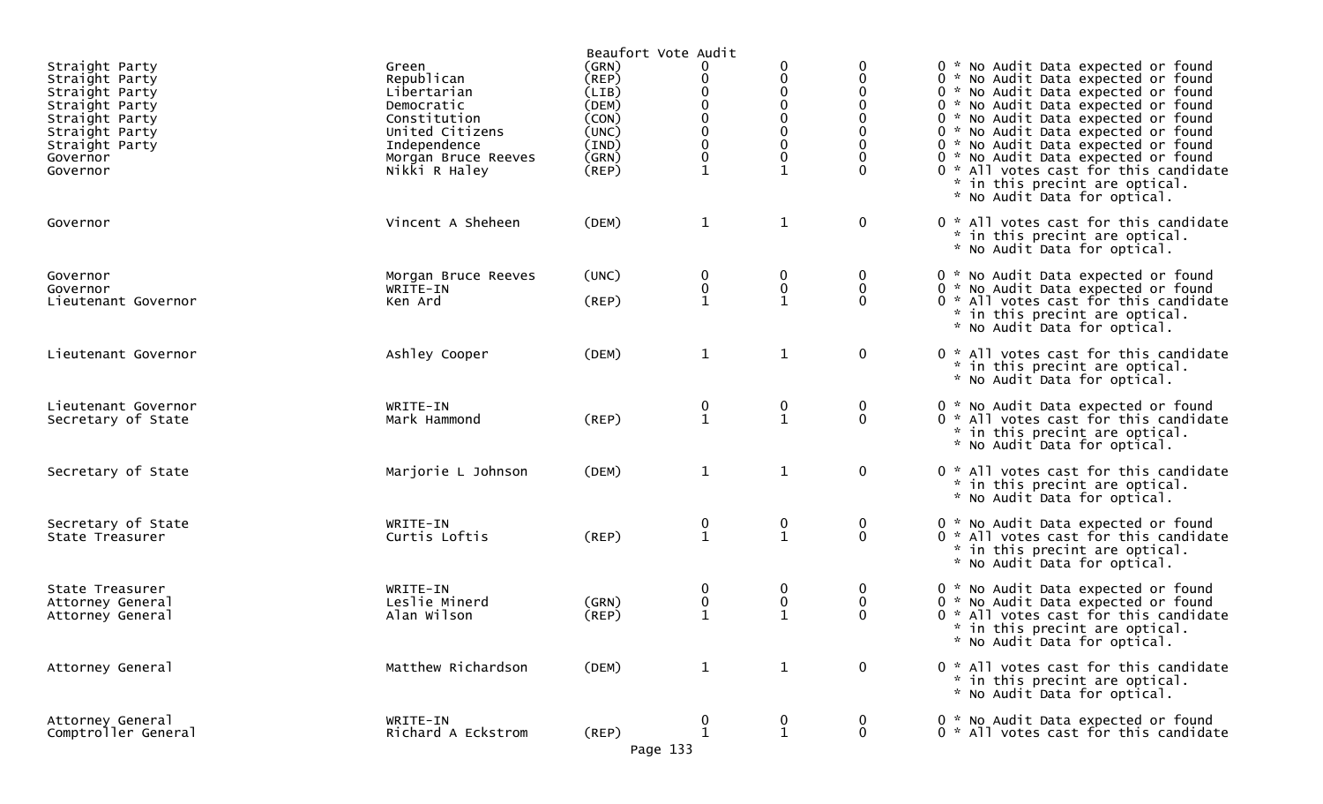| Straight Party<br>Straight Party<br>Straight Party<br>Straight Party<br>Straight Party<br>Straight Party<br>Straight Party<br>Governor<br>Governor | Green<br>Republican<br>Libertarian<br>Democratic<br>Constitution<br>United Citizens<br>Independence<br>Morgan Bruce Reeves<br>Nikki R Haley | Beaufort Vote Audit<br>(GRN)<br>(REP)<br>(LIB)<br>(DEM)<br>(CON)<br>(UNC)<br>(IND)<br>(GRN)<br>$($ REP $)$ | 0<br>0<br>0<br>0<br>0<br>0<br>$\mathbf{1}$     | 0<br>0<br>0<br>0<br>0<br>0<br>0<br>0<br>$\mathbf{1}$ |                    | 0 * No Audit Data expected or found<br>0 * No Audit Data expected or found<br>0 * No Audit Data expected or found<br>0 * No Audit Data expected or found<br>0 * No Audit Data expected or found<br>0 * No Audit Data expected or found<br>0 * No Audit Data expected or found<br>0 * No Audit Data expected or found<br>0 * All votes cast for this candidate<br>* in this precint are optical.<br>* No Audit Data for optical. |
|----------------------------------------------------------------------------------------------------------------------------------------------------|---------------------------------------------------------------------------------------------------------------------------------------------|------------------------------------------------------------------------------------------------------------|------------------------------------------------|------------------------------------------------------|--------------------|---------------------------------------------------------------------------------------------------------------------------------------------------------------------------------------------------------------------------------------------------------------------------------------------------------------------------------------------------------------------------------------------------------------------------------|
| Governor                                                                                                                                           | Vincent A Sheheen                                                                                                                           | (DEM)                                                                                                      | $\mathbf{1}$                                   | $\mathbf{1}$                                         | $\mathbf 0$        | 0 * All votes cast for this candidate<br>* in this precint are optical.<br>* No Audit Data for optical.                                                                                                                                                                                                                                                                                                                         |
| Governor<br>Governor<br>Lieutenant Governor                                                                                                        | Morgan Bruce Reeves<br>WRITE-IN<br>Ken Ard                                                                                                  | (UNC)<br>$($ REP $)$                                                                                       | 0<br>0<br>$\mathbf{1}$                         | 0<br>0<br>$\mathbf{1}$                               | 0<br>0<br>$\Omega$ | 0 * No Audit Data expected or found<br>0 * No Audit Data expected or found<br>0 * All votes cast for this candidate<br>* in this precint are optical.<br>* No Audit Data for optical.                                                                                                                                                                                                                                           |
| Lieutenant Governor                                                                                                                                | Ashley Cooper                                                                                                                               | (DEM)                                                                                                      | $\mathbf{1}$                                   | $\mathbf{1}$                                         | $\mathbf 0$        | 0 * All votes cast for this candidate<br>* in this precint are optical.<br>* No Audit Data for optical.                                                                                                                                                                                                                                                                                                                         |
| Lieutenant Governor<br>Secretary of State                                                                                                          | WRITE-IN<br>Mark Hammond                                                                                                                    | (REP)                                                                                                      | $\begin{smallmatrix} 0 \\ 1 \end{smallmatrix}$ | $\boldsymbol{0}$<br>$\mathbf{1}$                     | 0<br>$\mathbf 0$   | 0 * No Audit Data expected or found<br>0 * All votes cast for this candidate<br>* in this precint are optical.<br>* No Audit Data for optical.                                                                                                                                                                                                                                                                                  |
| Secretary of State                                                                                                                                 | Marjorie L Johnson                                                                                                                          | (DEM)                                                                                                      | $\mathbf{1}$                                   | $\mathbf{1}$                                         | $\mathbf 0$        | 0 * All votes cast for this candidate<br>* in this precint are optical.<br>* No Audit Data for optical.                                                                                                                                                                                                                                                                                                                         |
| Secretary of State<br>State Treasurer                                                                                                              | WRITE-IN<br>Curtis Loftis                                                                                                                   | (REP)                                                                                                      | $\begin{smallmatrix} 0 \\ 1 \end{smallmatrix}$ | 0<br>$\mathbf{1}$                                    | 0<br>$\mathbf 0$   | 0 * No Audit Data expected or found<br>0 * All votes cast for this candidate<br>* in this precint are optical.<br>* No Audit Data for optical.                                                                                                                                                                                                                                                                                  |
| State Treasurer<br>Attorney General<br>Attorney General                                                                                            | WRITE-IN<br>Leslie Minerd<br>Alan Wilson                                                                                                    | (GRN)<br>$($ REP $)$                                                                                       | 0<br>0<br>$\mathbf{1}$                         | 0<br>$\boldsymbol{0}$<br>$\mathbf{1}$                | 0<br>0<br>$\Omega$ | 0 * No Audit Data expected or found<br>0 * No Audit Data expected or found<br>0 * All votes cast for this candidate<br>* in this precint are optical.<br>* No Audit Data for optical.                                                                                                                                                                                                                                           |
| Attorney General                                                                                                                                   | Matthew Richardson                                                                                                                          | (DEM)                                                                                                      | $\mathbf{1}$                                   | $\mathbf{1}$                                         | $\mathbf 0$        | 0 * All votes cast for this candidate<br>* in this precint are optical.<br>* No Audit Data for optical.                                                                                                                                                                                                                                                                                                                         |
| Attorney General<br>Comptroller General                                                                                                            | WRITE-IN<br>Richard A Eckstrom                                                                                                              | $($ REP $)$<br>Page 133                                                                                    | 0<br>$\mathbf{1}$                              | 0<br>$\mathbf{1}$                                    | 0<br>$\mathbf 0$   | 0 * No Audit Data expected or found<br>0 * All votes cast for this candidate                                                                                                                                                                                                                                                                                                                                                    |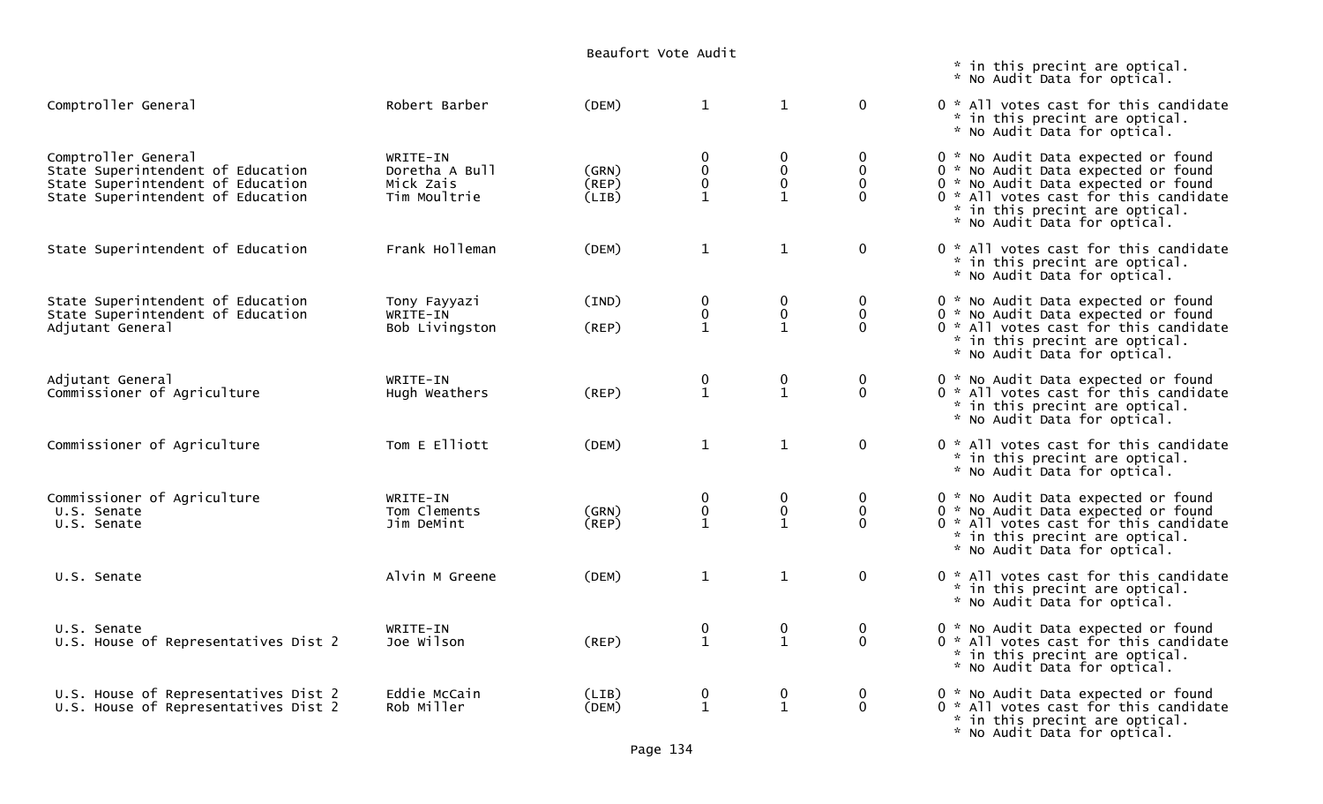|                                                                                                                                    |                                                         | Beaufort Vote Audit     |                                  |                                       |                                                    |                                                                                                                                                                                                                              |
|------------------------------------------------------------------------------------------------------------------------------------|---------------------------------------------------------|-------------------------|----------------------------------|---------------------------------------|----------------------------------------------------|------------------------------------------------------------------------------------------------------------------------------------------------------------------------------------------------------------------------------|
|                                                                                                                                    |                                                         |                         |                                  |                                       |                                                    | * in this precint are optical.<br>* No Audit Data for optical.                                                                                                                                                               |
| Comptroller General                                                                                                                | Robert Barber                                           | (DEM)                   | $\mathbf{1}$                     | $\mathbf{1}$                          | $\mathbf 0$                                        | 0 * All votes cast for this candidate<br>* in this precint are optical.<br>* No Audit Data for optical.                                                                                                                      |
| Comptroller General<br>State Superintendent of Education<br>State Superintendent of Education<br>State Superintendent of Education | WRITE-IN<br>Doretha A Bull<br>Mick Zais<br>Tim Moultrie | (GRN)<br>(REP)<br>(LIB) | $\bf{0}$<br>0<br>$\mathbf 0$     | 0<br>$\mathbf 0$<br>0<br>$\mathbf{1}$ | $\bf{0}$<br>$\mathbf 0$<br>$\mathbf 0$<br>$\Omega$ | 0 * No Audit Data expected or found<br>0 * No Audit Data expected or found<br>0 * No Audit Data expected or found<br>0 * All votes cast for this candidate<br>* in this precint are optical.<br>* No Audit Data for optical. |
| State Superintendent of Education                                                                                                  | Frank Holleman                                          | (DEM)                   | $\mathbf{1}$                     | $\mathbf{1}$                          | $\mathbf 0$                                        | 0 * All votes cast for this candidate<br>* in this precint are optical.<br>* No Audit Data for optical.                                                                                                                      |
| State Superintendent of Education<br>State Superintendent of Education<br>Adjutant General                                         | Tony Fayyazi<br>WRITE-IN<br>Bob Livingston              | (IND)<br>(REP)          | 0<br>$\pmb{0}$<br>$\mathbf{1}$   | 0<br>0<br>$\mathbf{1}$                | 0<br>$\mathbf 0$<br>$\mathbf 0$                    | 0 * No Audit Data expected or found<br>0 * No Audit Data expected or found<br>0 * All votes cast for this candidate<br>* in this precint are optical.<br>* No Audit Data for optical.                                        |
| Adjutant General<br>Commissioner of Agriculture                                                                                    | WRITE-IN<br>Hugh Weathers                               | (REP)                   | $\boldsymbol{0}$<br>$\mathbf{1}$ | 0<br>$\mathbf{1}$                     | $\mathbf 0$<br>$\mathbf{0}$                        | 0 * No Audit Data expected or found<br>0 * All votes cast for this candidate<br>* in this precint are optical.<br>* No Audit Data for optical.                                                                               |
| Commissioner of Agriculture                                                                                                        | Tom E Elliott                                           | (DEM)                   | $\mathbf{1}$                     | $\mathbf{1}$                          | $\mathbf 0$                                        | 0 * All votes cast for this candidate<br>* in this precint are optical.<br>* No Audit Data for optical.                                                                                                                      |
| Commissioner of Agriculture<br>U.S. Senate<br>U.S. Senate                                                                          | WRITE-IN<br>Tom Clements<br>Jim DeMint                  | (GRN)<br>(REP)          | 0<br>$\mathbf 0$<br>$\mathbf{1}$ | 0<br>$\mathbf 0$<br>$\mathbf{1}$      | $\boldsymbol{0}$<br>$\mathbf 0$<br>$\mathbf 0$     | 0 * No Audit Data expected or found<br>0 * No Audit Data expected or found<br>0 * All votes cast for this candidate<br>* in this precint are optical.<br>* No Audit Data for optical.                                        |
| U.S. Senate                                                                                                                        | Alvin M Greene                                          | (DEM)                   | $\mathbf{1}$                     | $\mathbf{1}$                          | $\mathbf 0$                                        | 0 * All votes cast for this candidate<br>* in this precint are optical.<br>* No Audit Data for optical.                                                                                                                      |
| U.S. Senate<br>U.S. House of Representatives Dist 2                                                                                | WRITE-IN<br>Joe Wilson                                  | (REP)                   | $\mathbf 0$<br>$\mathbf{1}$      | 0<br>$\mathbf{1}$                     | $\mathbf 0$<br>$\mathbf 0$                         | 0 * No Audit Data expected or found<br>0 * All votes cast for this candidate<br>* in this precint are optical.<br>* No Audit Data for optical.                                                                               |
| U.S. House of Representatives Dist 2<br>U.S. House of Representatives Dist 2                                                       | Eddie McCain<br>Rob Miller                              | (LIB)<br>(DEM)          | $\mathbf 0$<br>$\mathbf{1}$      | 0<br>$\mathbf{1}$                     | $\mathbf{0}$<br>$\mathbf 0$                        | 0 * No Audit Data expected or found<br>0 * All votes cast for this candidate<br>* in this precint are optical.<br>* No Audit Data for optical.                                                                               |

Page 134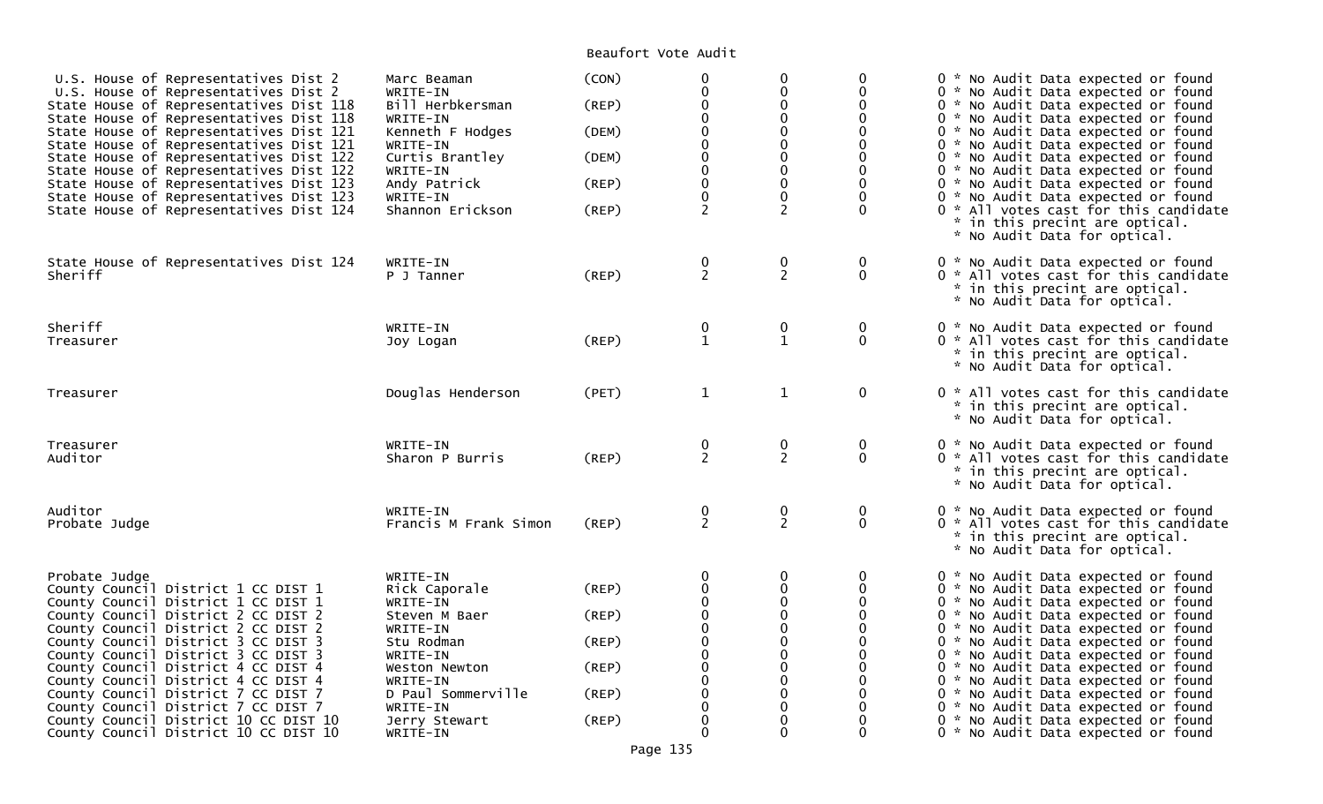## Beaufort Vote Audit

| U.S. House of Representatives Dist 2<br>U.S. House of Representatives Dist 2<br>State House of Representatives Dist 118<br>State House of Representatives Dist 118<br>State House of Representatives Dist 121<br>State House of Representatives Dist 121<br>State House of Representatives Dist 122<br>State House of Representatives Dist 122<br>State House of Representatives Dist 123<br>State House of Representatives Dist 123<br>State House of Representatives Dist 124 | Marc Beaman<br>WRITE-IN<br>Bill Herbkersman<br>WRITE-IN<br>Kenneth F Hodges<br>WRITE-IN<br>Curtis Brantley<br>WRITE-IN<br>Andy Patrick<br>WRITE-IN<br>Shannon Erickson | (CON)<br>(REP)<br>(DEM)<br>(DEM)<br>(REP)<br>(REP) | $\pmb{0}$<br>$\mathbf 0$<br>0<br>0<br>$\pmb{0}$<br>$\pmb{0}$<br>$\pmb{0}$<br>$\pmb{0}$<br>0<br>$\mathbf 0$<br>$\overline{2}$ | $\pmb{0}$<br>$\mathbf 0$<br>0<br>$\mathbf 0$<br>$\mathbf 0$<br>$\mathbf 0$<br>$\mathbf 0$<br>0<br>$\mathbf 0$<br>$\mathbf 0$<br>$\overline{c}$ | 0<br>$\Omega$              | 0 * No Audit Data expected or found<br>0 * No Audit Data expected or found<br>0 * No Audit Data expected or found<br>0 * No Audit Data expected or found<br>0 * No Audit Data expected or found<br>0 * No Audit Data expected or found<br>0 * No Audit Data expected or found<br>0 * No Audit Data expected or found<br>0 * No Audit Data expected or found<br>0 * No Audit Data expected or found<br>0 * All votes cast for this candidate<br>* in this precint are optical.<br>* No Audit Data for optical. |
|---------------------------------------------------------------------------------------------------------------------------------------------------------------------------------------------------------------------------------------------------------------------------------------------------------------------------------------------------------------------------------------------------------------------------------------------------------------------------------|------------------------------------------------------------------------------------------------------------------------------------------------------------------------|----------------------------------------------------|------------------------------------------------------------------------------------------------------------------------------|------------------------------------------------------------------------------------------------------------------------------------------------|----------------------------|---------------------------------------------------------------------------------------------------------------------------------------------------------------------------------------------------------------------------------------------------------------------------------------------------------------------------------------------------------------------------------------------------------------------------------------------------------------------------------------------------------------|
| State House of Representatives Dist 124<br>Sheriff                                                                                                                                                                                                                                                                                                                                                                                                                              | WRITE-IN<br>P J Tanner                                                                                                                                                 | $($ REP $)$                                        | $\frac{0}{2}$                                                                                                                | $\frac{0}{2}$                                                                                                                                  | 0<br>$\mathbf{0}$          | 0 * No Audit Data expected or found<br>0 * All votes cast for this candidate<br>* in this precint are optical.<br>* No Audit Data for optical.                                                                                                                                                                                                                                                                                                                                                                |
| Sheriff<br>Treasurer                                                                                                                                                                                                                                                                                                                                                                                                                                                            | WRITE-IN<br>Joy Logan                                                                                                                                                  | (REP)                                              | $\bf{0}$<br>$\mathbf{1}$                                                                                                     | $\mathbf 0$<br>$\mathbf{1}$                                                                                                                    | $\mathbf 0$<br>$\mathbf 0$ | 0 * No Audit Data expected or found<br>0 * All votes cast for this candidate<br>* in this precint are optical.<br>* No Audit Data for optical.                                                                                                                                                                                                                                                                                                                                                                |
| Treasurer                                                                                                                                                                                                                                                                                                                                                                                                                                                                       | Douglas Henderson                                                                                                                                                      | (PET)                                              | $\mathbf{1}$                                                                                                                 | $\mathbf{1}$                                                                                                                                   | $\mathbf 0$                | 0 * All votes cast for this candidate<br>* in this precint are optical.<br>* No Audit Data for optical.                                                                                                                                                                                                                                                                                                                                                                                                       |
| Treasurer<br>Auditor                                                                                                                                                                                                                                                                                                                                                                                                                                                            | WRITE-IN<br>Sharon P Burris                                                                                                                                            | (REP)                                              | $\frac{0}{2}$                                                                                                                | $\frac{0}{2}$                                                                                                                                  | $\mathbf 0$<br>$\Omega$    | 0 * No Audit Data expected or found<br>0 * All votes cast for this candidate<br>* in this precint are optical.<br>* No Audit Data for optical.                                                                                                                                                                                                                                                                                                                                                                |
| Auditor<br>Probate Judge                                                                                                                                                                                                                                                                                                                                                                                                                                                        | WRITE-IN<br>Francis M Frank Simon                                                                                                                                      | (REP)                                              | $\frac{0}{2}$                                                                                                                | $\bf{0}$<br>$\overline{2}$                                                                                                                     | 0<br>$\Omega$              | 0 * No Audit Data expected or found<br>0 * All votes cast for this candidate<br>* in this precint are optical.<br>* No Audit Data for optical.                                                                                                                                                                                                                                                                                                                                                                |
| Probate Judge                                                                                                                                                                                                                                                                                                                                                                                                                                                                   | WRITE-IN                                                                                                                                                               |                                                    | $\boldsymbol{0}$                                                                                                             | $\mathbf 0$                                                                                                                                    | 0                          | 0 * No Audit Data expected or found                                                                                                                                                                                                                                                                                                                                                                                                                                                                           |
| County Council District 1 CC DIST 1<br>County Council District 1 CC DIST 1                                                                                                                                                                                                                                                                                                                                                                                                      | Rick Caporale<br>WRITE-IN                                                                                                                                              | (REP)                                              | $\pmb{0}$<br>0                                                                                                               | $\pmb{0}$<br>$\mathbf 0$                                                                                                                       |                            | 0 * No Audit Data expected or found<br>0 * No Audit Data expected or found                                                                                                                                                                                                                                                                                                                                                                                                                                    |
| County Council District 2 CC DIST 2                                                                                                                                                                                                                                                                                                                                                                                                                                             | Steven M Baer                                                                                                                                                          | (REP)                                              | $\pmb{0}$                                                                                                                    | $\pmb{0}$                                                                                                                                      |                            | 0 * No Audit Data expected or found                                                                                                                                                                                                                                                                                                                                                                                                                                                                           |
| County Council District 2 CC DIST 2                                                                                                                                                                                                                                                                                                                                                                                                                                             | WRITE-IN                                                                                                                                                               |                                                    | $\pmb{0}$                                                                                                                    | $\pmb{0}$                                                                                                                                      |                            | 0 * No Audit Data expected or found                                                                                                                                                                                                                                                                                                                                                                                                                                                                           |
| County Council District 3 CC DIST 3                                                                                                                                                                                                                                                                                                                                                                                                                                             | Stu Rodman                                                                                                                                                             | (REP)                                              | $_{\rm 0}^{\rm 0}$                                                                                                           | $\pmb{0}$                                                                                                                                      |                            | 0 * No Audit Data expected or found                                                                                                                                                                                                                                                                                                                                                                                                                                                                           |
| County Council District 3 CC DIST 3<br>County Council District 4 CC DIST 4                                                                                                                                                                                                                                                                                                                                                                                                      | WRITE-IN<br>Weston Newton                                                                                                                                              | (REP)                                              | $\ddot{\mathbf{0}}$                                                                                                          | $\mathbf{0}$<br>0                                                                                                                              |                            | 0 * No Audit Data expected or found<br>0 * No Audit Data expected or found                                                                                                                                                                                                                                                                                                                                                                                                                                    |
| County Council District 4 CC DIST 4                                                                                                                                                                                                                                                                                                                                                                                                                                             | WRITE-IN                                                                                                                                                               |                                                    | $\mathbf 0$                                                                                                                  | $\mathbf{0}$                                                                                                                                   |                            | 0 * No Audit Data expected or found                                                                                                                                                                                                                                                                                                                                                                                                                                                                           |
| County Council District 7 CC DIST 7                                                                                                                                                                                                                                                                                                                                                                                                                                             | D Paul Sommerville                                                                                                                                                     | (REP)                                              | $\pmb{0}$                                                                                                                    | 0                                                                                                                                              |                            | 0 * No Audit Data expected or found                                                                                                                                                                                                                                                                                                                                                                                                                                                                           |
| County Council District 7 CC DIST 7                                                                                                                                                                                                                                                                                                                                                                                                                                             | WRITE-IN                                                                                                                                                               |                                                    | $\pmb{0}$                                                                                                                    | 0                                                                                                                                              |                            | 0 * No Audit Data expected or found                                                                                                                                                                                                                                                                                                                                                                                                                                                                           |
| County Council District 10 CC DIST 10<br>County Council District 10 CC DIST 10                                                                                                                                                                                                                                                                                                                                                                                                  | Jerry Stewart<br>WRITE-IN                                                                                                                                              | (REP)                                              | $\pmb{0}$<br>$\Omega$                                                                                                        | 0<br>$\mathbf{0}$                                                                                                                              | 0                          | 0 * No Audit Data expected or found<br>0 * No Audit Data expected or found                                                                                                                                                                                                                                                                                                                                                                                                                                    |
|                                                                                                                                                                                                                                                                                                                                                                                                                                                                                 |                                                                                                                                                                        |                                                    |                                                                                                                              |                                                                                                                                                |                            |                                                                                                                                                                                                                                                                                                                                                                                                                                                                                                               |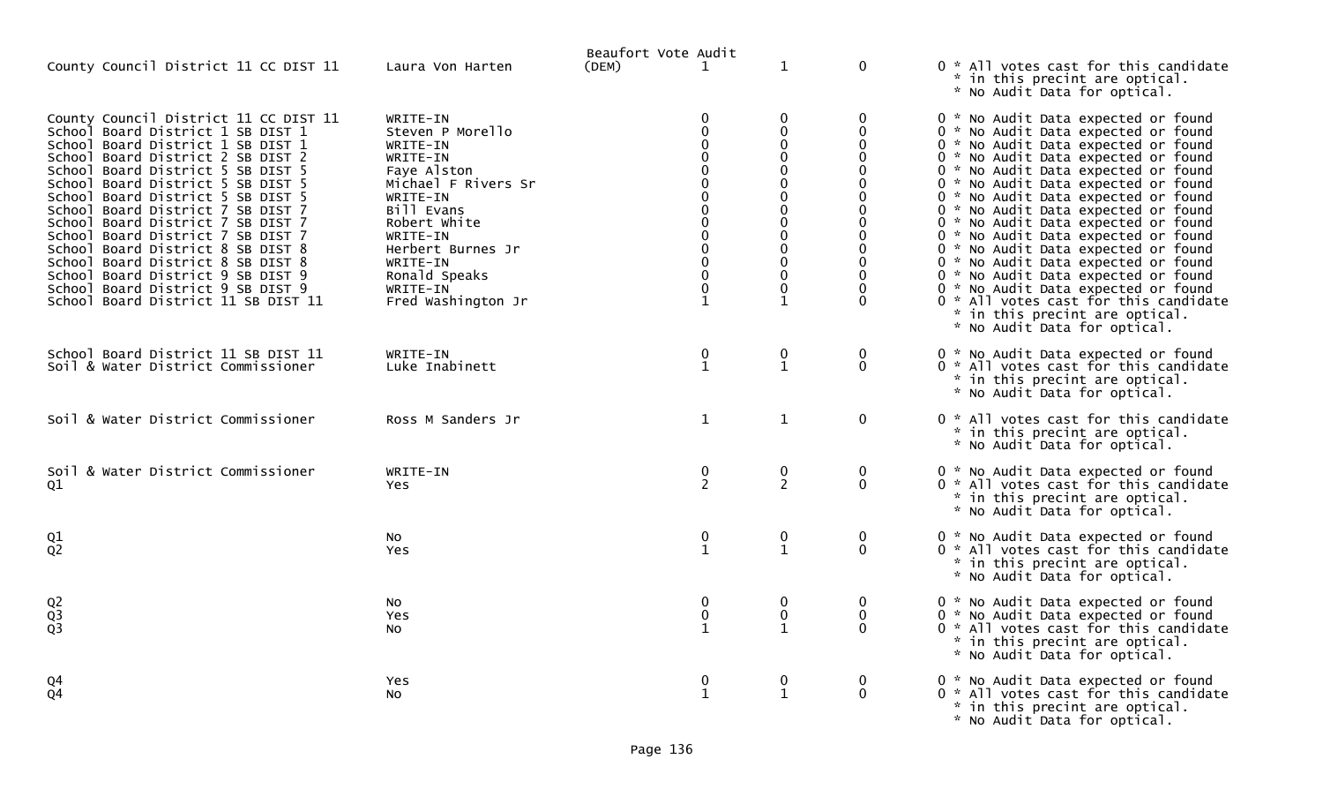| County Council District 11 CC DIST 11                                                                                                                                                                                                                                                                                                                                                                                                                                                                                                                                               | Laura Von Harten                                                                                                                                                                                                                     | Beaufort Vote Audit<br>(DEM) | $\mathbf 1$                                                       | $\mathbf{1}$                                                                                                                        | $\mathbf 0$                                                                  | 0 * All votes cast for this candidate<br>* in this precint are optical.<br>* No Audit Data for optical.                                                                                                                                                                                                                                                                                                                                                                                                                                                                                                                                                                   |
|-------------------------------------------------------------------------------------------------------------------------------------------------------------------------------------------------------------------------------------------------------------------------------------------------------------------------------------------------------------------------------------------------------------------------------------------------------------------------------------------------------------------------------------------------------------------------------------|--------------------------------------------------------------------------------------------------------------------------------------------------------------------------------------------------------------------------------------|------------------------------|-------------------------------------------------------------------|-------------------------------------------------------------------------------------------------------------------------------------|------------------------------------------------------------------------------|---------------------------------------------------------------------------------------------------------------------------------------------------------------------------------------------------------------------------------------------------------------------------------------------------------------------------------------------------------------------------------------------------------------------------------------------------------------------------------------------------------------------------------------------------------------------------------------------------------------------------------------------------------------------------|
| County Council District 11 CC DIST 11<br>School Board District 1 SB DIST 1<br>School Board District 1 SB DIST 1<br>School Board District 2 SB DIST 2<br>Board District 5 SB DIST 5<br>School<br>School Board District 5 SB DIST 5<br>School<br>Board District 5 SB DIST 5<br>School Board District 7 SB DIST 7<br>School Board District 7 SB DIST 7<br>School Board District 7 SB DIST 7<br>School Board District 8 SB DIST 8<br>School Board District 8 SB DIST 8<br>School Board District 9 SB DIST 9<br>School Board District 9 SB DIST 9<br>School Board District 11 SB DIST 11 | WRITE-IN<br>Steven P Morello<br>WRITE-IN<br>WRITE-IN<br>Faye Alston<br>Michael F Rivers Sr<br>WRITE-IN<br>Bill Evans<br>Robert White<br>WRITE-IN<br>Herbert Burnes Jr<br>WRITE-IN<br>Ronald Speaks<br>WRITE-IN<br>Fred Washington Jr |                              | 0<br>$\mathbf{0}$<br>0<br>$\Omega$<br>$\mathbf 0$<br>$\mathbf{1}$ | $\mathbf{0}$<br>$\mathbf 0$<br>$\Omega$<br>$\Omega$<br>$\mathbf{0}$<br>0<br>$\Omega$<br>$\mathbf{0}$<br>0<br>0<br>0<br>$\mathbf{1}$ | 0<br>0<br>$\Omega$<br>∩<br>O<br>$\Omega$<br>$\Omega$<br>$\Omega$<br>$\Omega$ | 0 * No Audit Data expected or found<br>0 * No Audit Data expected or found<br>0 * No Audit Data expected or found<br>0 * No Audit Data expected or found<br>0 * No Audit Data expected or found<br>0 * No Audit Data expected or found<br>0 * No Audit Data expected or found<br>0 * No Audit Data expected or found<br>0 * No Audit Data expected or found<br>0 * No Audit Data expected or found<br>0 * No Audit Data expected or found<br>0 * No Audit Data expected or found<br>0 * No Audit Data expected or found<br>0 * No Audit Data expected or found<br>0 * All votes cast for this candidate<br>* in this precint are optical.<br>* No Audit Data for optical. |
| School Board District 11 SB DIST 11<br>Soil & Water District Commissioner                                                                                                                                                                                                                                                                                                                                                                                                                                                                                                           | WRITE-IN<br>Luke Inabinett                                                                                                                                                                                                           |                              | $\begin{smallmatrix} 0 \ 1 \end{smallmatrix}$                     | 0<br>$\mathbf{1}$                                                                                                                   | $\mathbf 0$<br>$\mathbf 0$                                                   | 0 * No Audit Data expected or found<br>0 * All votes cast for this candidate<br>* in this precint are optical.<br>* No Audit Data for optical.                                                                                                                                                                                                                                                                                                                                                                                                                                                                                                                            |
| Soil & Water District Commissioner                                                                                                                                                                                                                                                                                                                                                                                                                                                                                                                                                  | Ross M Sanders Jr                                                                                                                                                                                                                    |                              | $\mathbf{1}$                                                      | $\mathbf{1}$                                                                                                                        | $\mathbf 0$                                                                  | 0 * All votes cast for this candidate<br>* in this precint are optical.<br>* No Audit Data for optical.                                                                                                                                                                                                                                                                                                                                                                                                                                                                                                                                                                   |
| Soil & Water District Commissioner<br>01                                                                                                                                                                                                                                                                                                                                                                                                                                                                                                                                            | WRITE-IN<br><b>Yes</b>                                                                                                                                                                                                               |                              | $\frac{0}{2}$                                                     | 0<br>$\overline{2}$                                                                                                                 | $\mathbf 0$<br>$\Omega$                                                      | 0 * No Audit Data expected or found<br>0 * All votes cast for this candidate<br>* in this precint are optical.<br>* No Audit Data for optical.                                                                                                                                                                                                                                                                                                                                                                                                                                                                                                                            |
| $\frac{Q1}{Q2}$                                                                                                                                                                                                                                                                                                                                                                                                                                                                                                                                                                     | NO.<br><b>Yes</b>                                                                                                                                                                                                                    |                              | $\begin{smallmatrix} 0 \ 1 \end{smallmatrix}$                     | 0<br>$\mathbf{1}$                                                                                                                   | 0<br>$\mathbf{0}$                                                            | 0 * No Audit Data expected or found<br>0 * All votes cast for this candidate<br>* in this precint are optical.<br>* No Audit Data for optical.                                                                                                                                                                                                                                                                                                                                                                                                                                                                                                                            |
| $\begin{array}{c} \n 02 \\ 03 \\ 03\n \end{array}$                                                                                                                                                                                                                                                                                                                                                                                                                                                                                                                                  | NO.<br>Yes<br>NO.                                                                                                                                                                                                                    |                              | 0<br>$\pmb{0}$<br>$\mathbf{1}$                                    | 0<br>0<br>$\mathbf{1}$                                                                                                              | 0<br>0<br>$\Omega$                                                           | 0 * No Audit Data expected or found<br>0 * No Audit Data expected or found<br>0 * All votes cast for this candidate<br>* in this precint are optical.<br>* No Audit Data for optical.                                                                                                                                                                                                                                                                                                                                                                                                                                                                                     |
| Q4<br>Q <sub>4</sub>                                                                                                                                                                                                                                                                                                                                                                                                                                                                                                                                                                | Yes<br>NO.                                                                                                                                                                                                                           |                              | $\pmb{0}$<br>$\mathbf{1}$                                         | 0<br>$\mathbf{1}$                                                                                                                   | 0<br>$\mathbf{0}$                                                            | 0 * No Audit Data expected or found<br>0 * All votes cast for this candidate<br>* in this precint are optical.<br>* No Audit Data for optical.                                                                                                                                                                                                                                                                                                                                                                                                                                                                                                                            |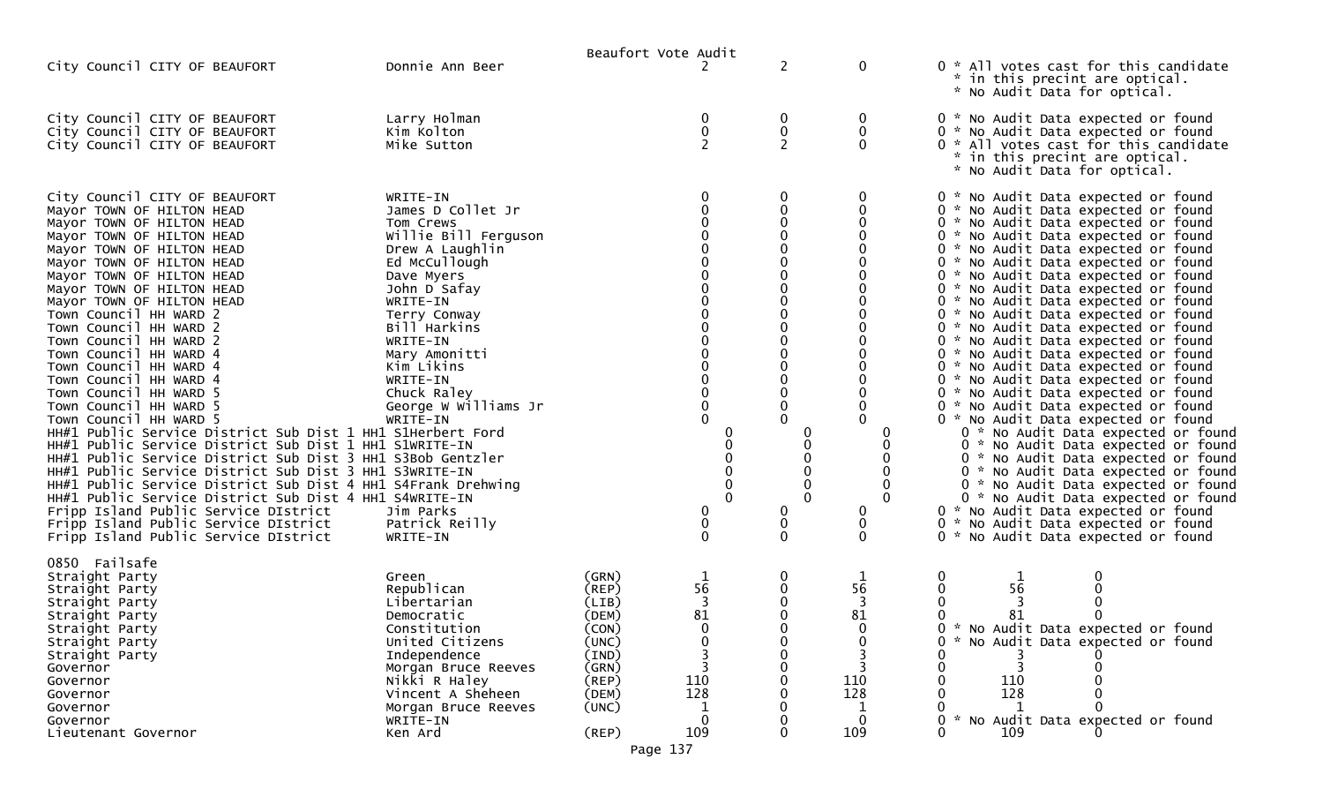|                                                                                                                                                                                                                                                                                                                                                                                                                                                                                                                                                                                                                                                                                                                                                                                                                                                                                                                                                                                                                   |                                                                                                                                                                                                                                                                                                                                       | Beaufort Vote Audit                                                                                                        |                                                                                                          |                       |                                                         |                                                                                                                                                                                                                                                                                                                                                                                                                                                                                                                                                                                                                                                                                                                                                                                                                                                                                                                                                                                                                                                                                           |
|-------------------------------------------------------------------------------------------------------------------------------------------------------------------------------------------------------------------------------------------------------------------------------------------------------------------------------------------------------------------------------------------------------------------------------------------------------------------------------------------------------------------------------------------------------------------------------------------------------------------------------------------------------------------------------------------------------------------------------------------------------------------------------------------------------------------------------------------------------------------------------------------------------------------------------------------------------------------------------------------------------------------|---------------------------------------------------------------------------------------------------------------------------------------------------------------------------------------------------------------------------------------------------------------------------------------------------------------------------------------|----------------------------------------------------------------------------------------------------------------------------|----------------------------------------------------------------------------------------------------------|-----------------------|---------------------------------------------------------|-------------------------------------------------------------------------------------------------------------------------------------------------------------------------------------------------------------------------------------------------------------------------------------------------------------------------------------------------------------------------------------------------------------------------------------------------------------------------------------------------------------------------------------------------------------------------------------------------------------------------------------------------------------------------------------------------------------------------------------------------------------------------------------------------------------------------------------------------------------------------------------------------------------------------------------------------------------------------------------------------------------------------------------------------------------------------------------------|
| City Council CITY OF BEAUFORT                                                                                                                                                                                                                                                                                                                                                                                                                                                                                                                                                                                                                                                                                                                                                                                                                                                                                                                                                                                     | Donnie Ann Beer                                                                                                                                                                                                                                                                                                                       |                                                                                                                            |                                                                                                          | $\overline{2}$        | 0                                                       | 0 * All votes cast for this candidate<br>* in this precint are optical.<br>* No Audit Data for optical.                                                                                                                                                                                                                                                                                                                                                                                                                                                                                                                                                                                                                                                                                                                                                                                                                                                                                                                                                                                   |
| City Council CITY OF BEAUFORT<br>City Council CITY OF BEAUFORT<br>City Council CITY OF BEAUFORT                                                                                                                                                                                                                                                                                                                                                                                                                                                                                                                                                                                                                                                                                                                                                                                                                                                                                                                   | Larry Holman<br>Kim Kolton<br>Mike Sutton                                                                                                                                                                                                                                                                                             |                                                                                                                            | $\mathbf 0$<br>$\pmb{0}$<br>$\overline{2}$                                                               | 0<br>$\overline{2}$   | 0<br>0<br>$\Omega$                                      | 0 * No Audit Data expected or found<br>0 * No Audit Data expected or found<br>0 * All votes cast for this candidate<br>* in this precint are optical.<br>* No Audit Data for optical.                                                                                                                                                                                                                                                                                                                                                                                                                                                                                                                                                                                                                                                                                                                                                                                                                                                                                                     |
| City Council CITY OF BEAUFORT<br>Mayor TOWN OF HILTON HEAD<br>Mayor TOWN OF HILTON HEAD<br>Mayor TOWN OF HILTON HEAD<br>Mayor TOWN OF HILTON HEAD<br>Mayor TOWN OF HILTON HEAD<br>Mayor TOWN OF HILTON HEAD<br>Mayor TOWN OF HILTON HEAD<br>Mayor TOWN OF HILTON HEAD<br>Town Council HH WARD 2<br>Town Council HH WARD 2<br>Town Council HH WARD 2<br>Town Council HH WARD 4<br>Town Council HH WARD 4<br>Town Council HH WARD 4<br>Town Council HH WARD 5<br>Town Council HH WARD 5<br>Town Council HH WARD 5<br>HH#1 Public Service District Sub Dist 1 HH1 S1Herbert Ford<br>HH#1 Public Service District Sub Dist 1 HH1 S1WRITE-IN<br>HH#1 Public Service District Sub Dist 3 HH1 S3Bob Gentzler<br>HH#1 Public Service District Sub Dist 3 HH1 S3WRITE-IN<br>HH#1 Public Service District Sub Dist 4 HH1 S4Frank Drehwing<br>HH#1 Public Service District Sub Dist 4 HH1 S4WRITE-IN<br>Fripp Island Public Service DIstrict<br>Fripp Island Public Service DIstrict<br>Fripp Island Public Service DIstrict | WRITE-IN<br>James D Collet Jr<br>Tom Crews<br>Willie Bill Ferguson<br>Drew A Laughlin<br>Ed McCullough<br>Dave Myers<br>John D Safay<br>WRITE-IN<br>Terry Conway<br>Bill Harkins<br>WRITE-IN<br>Mary Amonitti<br>Kim Likins<br>WRITE-IN<br>Chuck Raley<br>George W Williams Jr<br>WRITE-IN<br>Jim Parks<br>Patrick Reilly<br>WRITE-IN |                                                                                                                            | 0<br>0<br>0<br>0<br>$_0^0$<br>0<br>$\Omega$<br>$\Omega$<br>$\Omega$<br>$\Omega$<br>0<br>0<br>$\mathbf 0$ | 0<br>0<br>$\mathbf 0$ | 0<br>0<br>$\Omega$<br>0<br>0<br>$\mathbf{0}$            | 0 * No Audit Data expected or found<br>0 * No Audit Data expected or found<br>0 * No Audit Data expected or found<br>0 * No Audit Data expected or found<br>0 * No Audit Data expected or found<br>0 * No Audit Data expected or found<br>0 * No Audit Data expected or found<br>0 * No Audit Data expected or found<br>0 * No Audit Data expected or found<br>0 * No Audit Data expected or found<br>0 * No Audit Data expected or found<br>0 * No Audit Data expected or found<br>0 * No Audit Data expected or found<br>0 * No Audit Data expected or found<br>0 * No Audit Data expected or found<br>0 * No Audit Data expected or found<br>0 * No Audit Data expected or found<br>0 * No Audit Data expected or found<br>0 * No Audit Data expected or found<br>0 * No Audit Data expected or found<br>0 * No Audit Data expected or found<br>0 * No Audit Data expected or found<br>0 * No Audit Data expected or found<br>0 * No Audit Data expected or found<br>0 * No Audit Data expected or found<br>0 * No Audit Data expected or found<br>0 * No Audit Data expected or found |
| 0850 Failsafe<br>Straight Party<br>Straight Party<br>Straight Party<br>Straight Party<br>Straight Party<br>Straight Party<br>Straight Party<br>Governor<br>Governor<br>Governor<br>Governor<br>Governor<br>Lieutenant Governor                                                                                                                                                                                                                                                                                                                                                                                                                                                                                                                                                                                                                                                                                                                                                                                    | Green<br>Republican<br>Libertarian<br>Democratic<br>Constitution<br>United Citizens<br>Independence<br>Morgan Bruce Reeves<br>Nikki R Haley<br>Vincent A Sheheen<br>Morgan Bruce Reeves<br>WRITE-IN<br>Ken Ard                                                                                                                        | (GRN)<br>$($ REP $)$<br>(LIB)<br>(DEM)<br>(CON)<br>(UNC)<br>(IND)<br>(GRN)<br>(REP)<br>(DEM)<br>(UNC)<br>(REP)<br>Page 137 | 56<br>3<br>81<br>$\mathbf{0}$<br>110<br>128<br>109                                                       | 0                     | 1<br>56<br>3<br>81<br>$\mathbf{0}$<br>110<br>128<br>109 | 0<br>0<br>56<br>0<br>$\mathbf 0$<br>$\mathbf{0}$<br>$\Omega$<br>81<br>0<br>. *<br>No Audit Data expected or found<br>0<br>No Audit Data expected or found<br>0<br>110<br>128<br>$\mathcal{H}$<br>No Audit Data expected or found<br>$\Omega$<br>109<br>0                                                                                                                                                                                                                                                                                                                                                                                                                                                                                                                                                                                                                                                                                                                                                                                                                                  |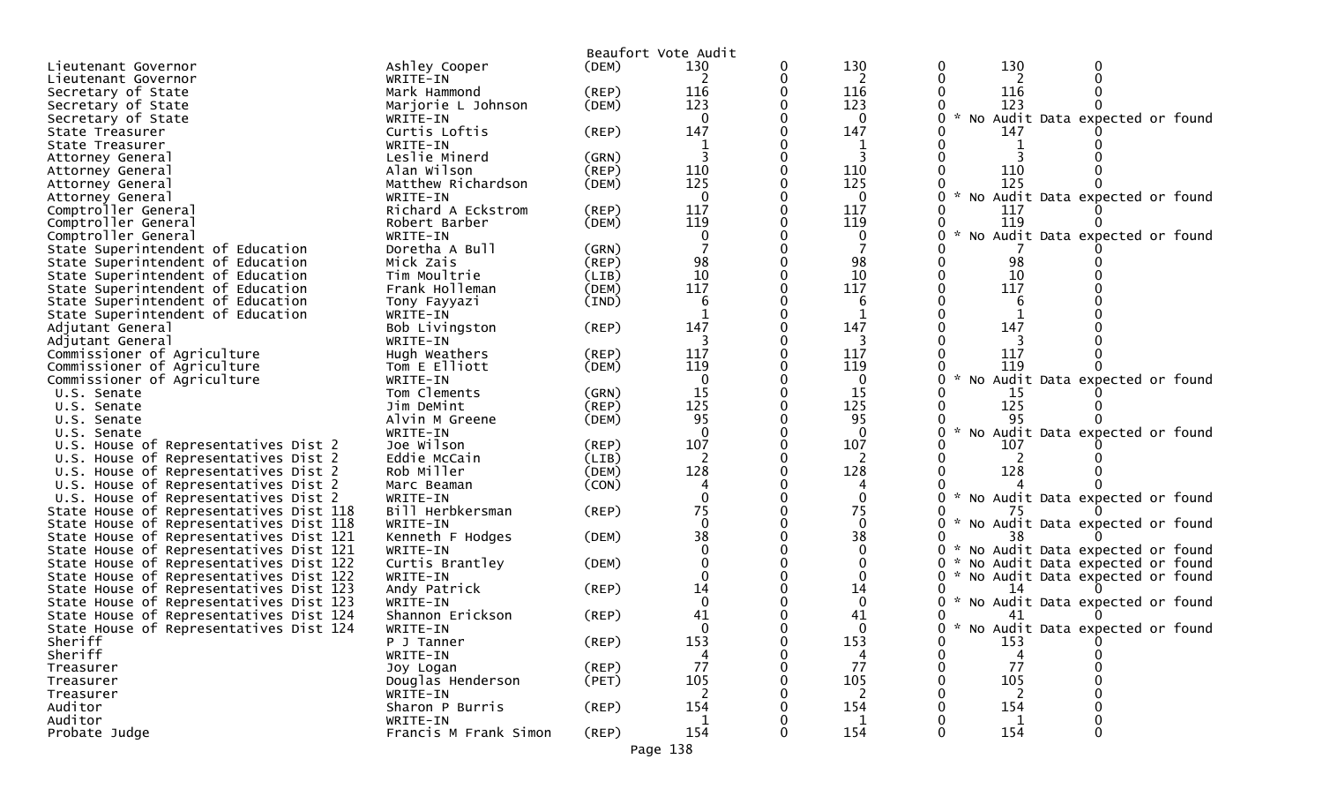|                                                     |                                |             | Beaufort Vote Audit |   |                 |               |                                        |  |
|-----------------------------------------------------|--------------------------------|-------------|---------------------|---|-----------------|---------------|----------------------------------------|--|
| Lieutenant Governor                                 | Ashley Cooper                  | (DEM)       | 130                 | 0 | 130             |               | 130                                    |  |
| Lieutenant Governor                                 | WRITE-IN                       |             |                     |   | 2               |               | 2                                      |  |
| Secretary of State                                  | Mark Hammond                   | $($ REP $)$ | 116                 |   | 116             |               | 116                                    |  |
| Secretary of State                                  | Marjorie L Johnson             | (DEM)       | 123                 |   | 123             |               | 123                                    |  |
| Secretary of State                                  | WRITE-IN                       |             | $\Omega$            |   | $\Omega$        | $\sim$        | No Audit Data expected or found        |  |
| State Treasurer                                     | Curtis Loftis                  | (REP)       | 147                 |   | 147             |               | 147                                    |  |
| State Treasurer                                     | WRITE-IN                       |             |                     |   |                 |               |                                        |  |
| Attorney General                                    | Leslie Minerd                  | (GRN)       |                     |   |                 |               |                                        |  |
| Attorney General                                    | Alan Wilson                    | (REP)       | 110                 |   | 110             |               | 110                                    |  |
| Attorney General                                    | Matthew Richardson             | (DEM)       | 125<br>$\Omega$     |   | 125<br>$\Omega$ | $\mathcal{H}$ | 125                                    |  |
| Attorney General                                    | WRITE-IN<br>Richard A Eckstrom | (REP)       | 117                 |   | 117             |               | No Audit Data expected or found<br>117 |  |
| Comptroller General<br>Comptroller General          | Robert Barber                  | (DEM)       | 119                 |   | 119             |               | 119                                    |  |
| Comptroller General                                 | WRITE-IN                       |             |                     |   | 0               |               | No Audit Data expected or found        |  |
| State Superintendent of Education                   | Doretha A Bull                 | (GRN)       |                     |   |                 |               |                                        |  |
| State Superintendent of Education                   | Mick Zais                      | (REP)       | 98                  |   | 98              |               | 98                                     |  |
| State Superintendent of Education                   | Tim Moultrie                   | (LIB)       | 10                  |   | 10              |               | 10                                     |  |
| State Superintendent of Education                   | Frank Holleman                 | (DEM)       | 117                 |   | 117             |               | 117                                    |  |
| State Superintendent of Education                   | Tony Fayyazi                   | (IND)       | 6                   |   | 6               |               | 6                                      |  |
| State Superintendent of Education                   | WRITE-IN                       |             |                     |   |                 |               |                                        |  |
| Adjutant General                                    | Bob Livingston                 | (REP)       | 147                 |   | 147             |               | 147                                    |  |
| Adjutant General                                    | WRITE-IN                       |             | 3                   |   | 3               |               |                                        |  |
| Commissioner of Agriculture                         | Hugh Weathers                  | (REP)       | 117                 |   | 117             |               | 117                                    |  |
| Commissioner of Agriculture                         | Tom E Elliott                  | (DEM)       | 119                 |   | 119             |               | 119                                    |  |
| Commissioner of Agriculture                         | WRITE-IN                       |             | $\mathbf{0}$        |   | $\mathbf 0$     | $\mathcal{H}$ | No Audit Data expected or found        |  |
| U.S. Senate                                         | Tom Clements                   | (GRN)       | 15                  |   | 15              |               | 15                                     |  |
| U.S. Senate                                         | Jim DeMint                     | (REP)       | 125                 |   | 125             |               | 125                                    |  |
| U.S. Senate                                         | Alvin M Greene                 | (DEM)       | 95<br>$\Omega$      |   | 95<br>$\Omega$  |               | 95                                     |  |
| U.S. Senate<br>U.S. House of Representatives Dist 2 | WRITE-IN<br>Joe Wilson         | (REP)       | 107                 |   | 107             |               | No Audit Data expected or found<br>107 |  |
| U.S. House of Representatives Dist 2                | Eddie McCain                   | (LIB)       | 2                   |   | 2               |               |                                        |  |
| U.S. House of Representatives Dist 2                | Rob Miller                     | (DEM)       | 128                 |   | 128             |               | 128                                    |  |
| U.S. House of Representatives Dist 2                | Marc Beaman                    | (CON)       |                     |   |                 |               |                                        |  |
| U.S. House of Representatives Dist 2                | WRITE-IN                       |             |                     |   | $\Omega$        |               | * No Audit Data expected or found      |  |
| State House of Representatives Dist 118             | Bill Herbkersman               | (REP)       | 75                  |   | 75              |               | 75                                     |  |
| State House of Representatives Dist 118             | WRITE-IN                       |             | $\Omega$            |   | $\Omega$        | W.            | No Audit Data expected or found        |  |
| State House of Representatives Dist 121             | Kenneth F Hodges               | (DEM)       | 38                  |   | 38              |               | 38                                     |  |
| State House of Representatives Dist 121             | WRITE-IN                       |             |                     |   |                 |               | * No Audit Data expected or found      |  |
| State House of Representatives Dist 122             | Curtis Brantley                | (DEM)       |                     |   |                 | 0             | No Audit Data expected or found        |  |
| State House of Representatives Dist 122             | WRITE-IN                       |             |                     |   |                 | 0             | * No Audit Data expected or found      |  |
| State House of Representatives Dist 123             | Andy Patrick                   | (REP)       | 14                  |   | 14              |               |                                        |  |
| State House of Representatives Dist 123             | WRITE-IN                       |             | $\Omega$            |   | $\Omega$        |               | * No Audit Data expected or found      |  |
| State House of Representatives Dist 124             | Shannon Erickson               | (REP)       | 41                  |   | 41              |               | 41                                     |  |
| State House of Representatives Dist 124             | WRITE-IN                       |             | <sup>0</sup>        |   |                 | ∩             | * No Audit Data expected or found      |  |
| Sheriff                                             | P J Tanner                     | (REP)       | 153                 |   | 153             | 0             | 153                                    |  |
| Sheriff<br>Treasurer                                | WRITE-IN<br>Joy Logan          | (REP)       | 77                  |   | 77              |               | 77                                     |  |
| Treasurer                                           | Douglas Henderson              | (PET)       | 105                 |   | 105             |               | 105                                    |  |
| Treasurer                                           | WRITE-IN                       |             | $\mathcal{L}$       |   | 2               |               | 2                                      |  |
| Auditor                                             | Sharon P Burris                | (REP)       | 154                 |   | 154             |               | 154                                    |  |
| Auditor                                             | WRITE-IN                       |             | 1                   |   | 1               |               | 1                                      |  |
| Probate Judge                                       | Francis M Frank Simon          | (REP)       | 154                 |   | 154             |               | 154                                    |  |
|                                                     |                                |             |                     |   |                 |               |                                        |  |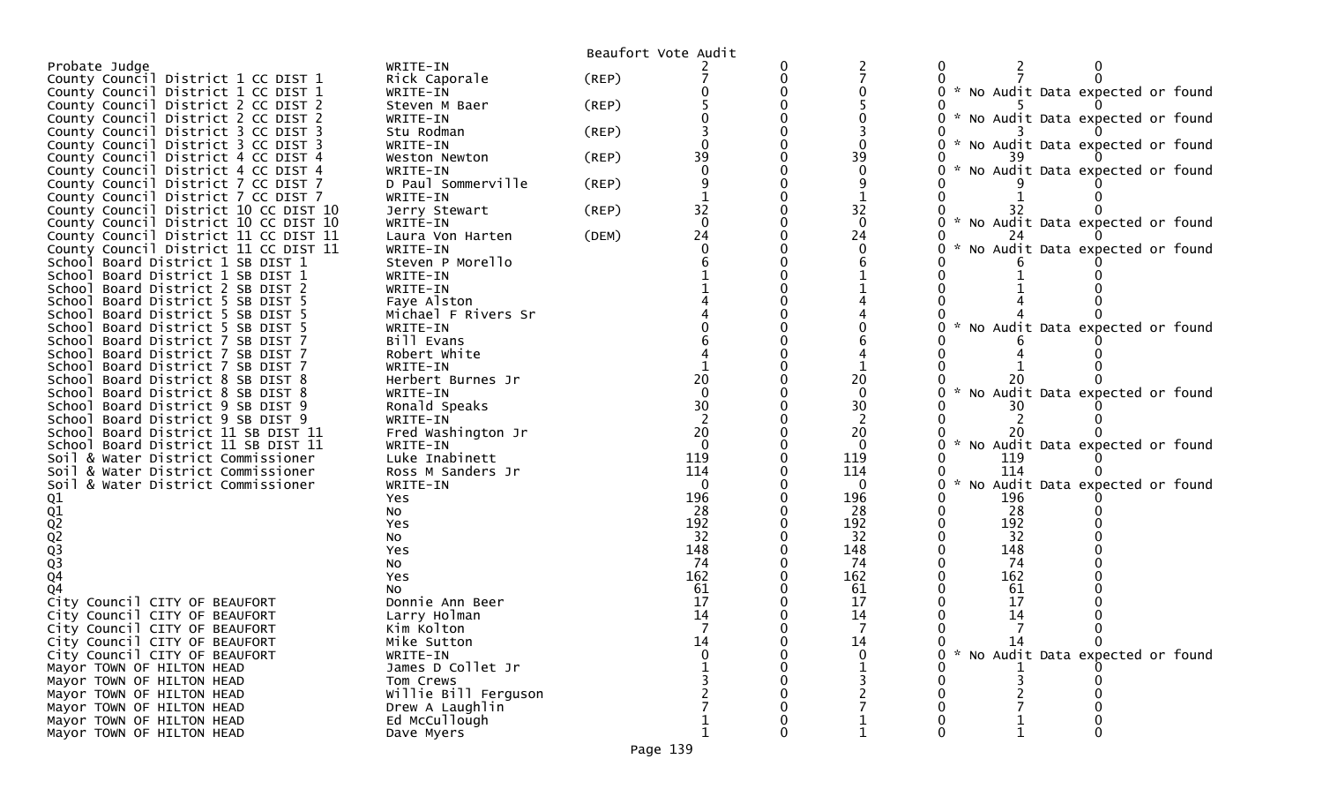|                                        |                        |             | Beaufort Vote Audit |             |               |                                   |
|----------------------------------------|------------------------|-------------|---------------------|-------------|---------------|-----------------------------------|
| Probate Judge                          | WRITE-IN               |             |                     |             |               |                                   |
| County Council District 1 CC DIST 1    | Rick Caporale          | $($ REP $)$ |                     |             |               |                                   |
| County Council District 1 CC DIST 1    | WRITE-IN               |             |                     |             |               | * No Audit Data expected or found |
| County Council District 2 CC DIST 2    | Steven M Baer          | $($ REP $)$ |                     |             |               |                                   |
| County Council District 2 CC DIST 2    | WRITE-IN               |             |                     |             |               | * No Audit Data expected or found |
| County Council District 3 CC DIST 3    | Stu Rodman             | (REP)       |                     |             |               |                                   |
| County Council District 3 CC DIST 3    | WRITE-IN               |             |                     |             |               | * No Audit Data expected or found |
| County Council District 4 CC DIST 4    | Weston Newton          | (REP)       | 39                  | 39          |               |                                   |
| County Council District 4 CC DIST 4    | WRITE-IN               |             |                     |             |               | No Audit Data expected or found   |
| County Council District 7 CC DIST 7    | D Paul Sommerville     | $($ REP $)$ |                     |             |               |                                   |
| County Council District 7 CC DIST 7    | WRITE-IN               |             |                     |             |               |                                   |
| County Council District 10 CC DIST 10  | Jerry Stewart          | $($ REP $)$ | 32                  | 32          |               |                                   |
| County Council District 10 CC DIST 10  | WRITE-IN               |             | $\Omega$            | $\mathbf 0$ |               | * No Audit Data expected or found |
| County Council District 11 CC DIST 11  | Laura Von Harten       | (DEM)       | 24                  | 24          |               |                                   |
| County Council District 11 CC DIST 11  | WRITE-IN               |             |                     |             |               | No Audit Data expected or found   |
| School Board District 1 SB DIST 1      | Steven P Morello       |             |                     |             |               |                                   |
| School Board District 1 SB DIST 1      | WRITE-IN               |             |                     |             |               |                                   |
| School Board District 2 SB DIST 2      | WRITE-IN               |             |                     |             |               |                                   |
| School Board District 5 SB DIST 5      | Faye Alston            |             |                     |             |               |                                   |
| School Board District 5 SB DIST 5      | Michael F Rivers Sr    |             |                     |             |               |                                   |
| School Board District 5 SB DIST 5      | WRITE-IN               |             |                     |             |               | No Audit Data expected or found   |
| School Board District 7 SB DIST 7      | Bill Evans             |             |                     |             |               |                                   |
| School Board District 7 SB DIST 7      | Robert White           |             |                     |             |               |                                   |
| School Board District 7 SB DIST 7      | WRITE-IN               |             |                     |             |               |                                   |
| School Board District 8 SB DIST 8      | Herbert Burnes Jr      |             | 20                  | 20          |               |                                   |
| School Board District 8 SB DIST 8      | WRITE-IN               |             |                     |             | $\mathcal{H}$ | No Audit Data expected or found   |
| School Board District 9 SB DIST 9      | Ronald Speaks          |             | 30                  | 30          | 30            |                                   |
| School Board District 9 SB DIST 9      | WRITE-IN               |             |                     |             |               |                                   |
| School Board District 11 SB DIST 11    | Fred Washington Jr     |             | 20                  | 20          |               |                                   |
| School Board District 11 SB DIST 11    | WRITE-IN               |             | $\Omega$            | $\Omega$    | $\mathcal{H}$ | No Audit Data expected or found   |
| Soil & Water District Commissioner     | Luke Inabinett         |             | 119                 | 119         | 119           |                                   |
| Soil & Water District Commissioner     | Ross M Sanders Jr      |             | 114                 | 114         | 114           |                                   |
| Soil & Water District Commissioner     | WRITE-IN               |             | $\Omega$            | 0           | $\mathcal{H}$ | No Audit Data expected or found   |
|                                        |                        |             | 196                 | 196         | 196           |                                   |
|                                        | Yes                    |             | 28                  | 28          | 28            |                                   |
|                                        | No                     |             | 192                 |             | 192           |                                   |
|                                        | Yes                    |             | 32                  | 192<br>32   | 32            |                                   |
|                                        | No                     |             | 148                 | 148         | 148           |                                   |
|                                        | Yes                    |             | 74                  | 74          | 74            |                                   |
| 01<br>01<br>02<br>02<br>03<br>03<br>04 | NO                     |             | 162                 | 162         | 162           |                                   |
| 04                                     | Yes                    |             | 61                  | 61          | 61            |                                   |
| City Council CITY OF BEAUFORT          | NO.<br>Donnie Ann Beer |             | 17                  | 17          | 17            |                                   |
|                                        |                        |             | 14                  | 14          | 14            |                                   |
| City Council CITY OF BEAUFORT          | Larry Holman           |             |                     |             |               |                                   |
| City Council CITY OF BEAUFORT          | Kim Kolton             |             |                     |             |               |                                   |
| City Council CITY OF BEAUFORT          | Mike Sutton            |             | 14                  | 14          |               |                                   |
| City Council CITY OF BEAUFORT          | WRITE-IN               |             |                     |             |               | * No Audit Data expected or found |
| Mayor TOWN OF HILTON HEAD              | James D Collet Jr      |             |                     |             |               |                                   |
| Mayor TOWN OF HILTON HEAD              | Tom Crews              |             |                     |             |               |                                   |
| Mayor TOWN OF HILTON HEAD              | Willie Bill Ferguson   |             |                     |             |               |                                   |
| Mayor TOWN OF HILTON HEAD              | Drew A Laughlin        |             |                     |             |               |                                   |
| Mayor TOWN OF HILTON HEAD              | Ed McCullough          |             |                     |             |               |                                   |
| Mayor TOWN OF HILTON HEAD              | Dave Myers             |             |                     |             |               |                                   |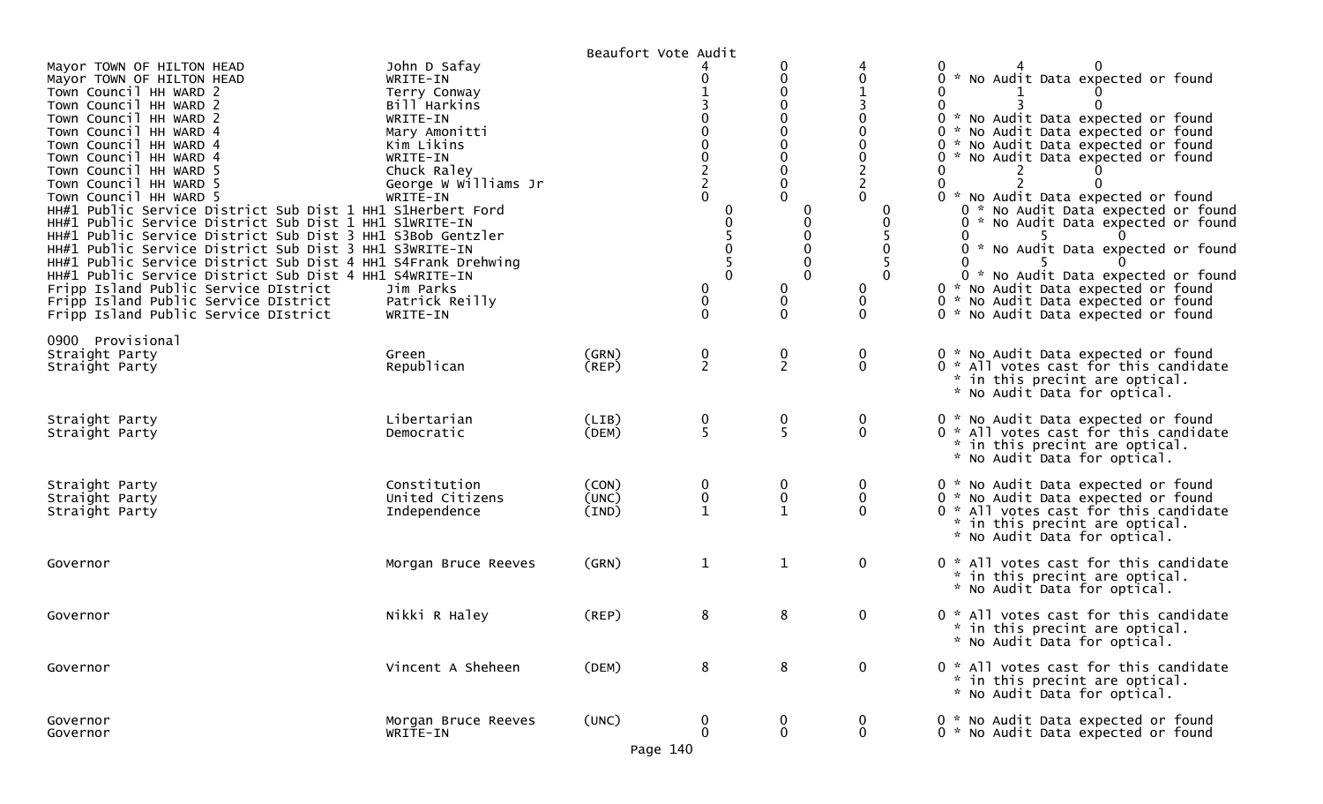|                                                                                                                                                                                                                                                                                                                                                                                                                                                                                                                                                                                                                                                                                                                                                                                                    |                                                                                                                                                                                                               | Beaufort Vote Audit     |                                      |                               |                   |                                                                                                                                                                                                                                                                                                                                                                                                                                                                                                                                                |
|----------------------------------------------------------------------------------------------------------------------------------------------------------------------------------------------------------------------------------------------------------------------------------------------------------------------------------------------------------------------------------------------------------------------------------------------------------------------------------------------------------------------------------------------------------------------------------------------------------------------------------------------------------------------------------------------------------------------------------------------------------------------------------------------------|---------------------------------------------------------------------------------------------------------------------------------------------------------------------------------------------------------------|-------------------------|--------------------------------------|-------------------------------|-------------------|------------------------------------------------------------------------------------------------------------------------------------------------------------------------------------------------------------------------------------------------------------------------------------------------------------------------------------------------------------------------------------------------------------------------------------------------------------------------------------------------------------------------------------------------|
| Mayor TOWN OF HILTON HEAD<br>Mayor TOWN OF HILTON HEAD<br>Town Council HH WARD 2<br>Town Council HH WARD 2<br>Town Council HH WARD 2<br>Town Council HH WARD 4<br>Town Council HH WARD 4<br>Town Council HH WARD 4<br>Town Council HH WARD 5<br>Town Council HH WARD 5<br>Town Council HH WARD 5<br>HH#1 Public Service District Sub Dist 1 HH1 S1Herbert Ford<br>HH#1 Public Service District Sub Dist 1 HH1 S1WRITE-IN<br>HH#1 Public Service District Sub Dist 3 HH1 S3Bob Gentzler<br>HH#1 Public Service District Sub Dist 3 HH1 S3WRITE-IN<br>HH#1 Public Service District Sub Dist 4 HH1 S4Frank Drehwing<br>HH#1 Public Service District Sub Dist 4 HH1 S4WRITE-IN<br>Fripp Island Public Service DIstrict<br>Fripp Island Public Service DIstrict<br>Fripp Island Public Service DIstrict | John D Safay<br>WRITE-IN<br>Terry Conway<br>Bill Harkins<br>WRITE-IN<br>Mary Amonitti<br>Kim Likins<br>WRITE-IN<br>Chuck Raley<br>George W Williams Jr<br>WRITE-IN<br>Jim Parks<br>Patrick Reilly<br>WRITE-IN |                         | 0<br>0<br>$\Omega$<br>0<br>$\pmb{0}$ | 0<br>0<br>0<br>$\mathbf 0$    | 0                 | 0 * No Audit Data expected or found<br>0<br>0<br>0 * No Audit Data expected or found<br>0 * No Audit Data expected or found<br>0 * No Audit Data expected or found<br>0 * No Audit Data expected or found<br>0<br>0 * No Audit Data expected or found<br>0 * No Audit Data expected or found<br>0 * No Audit Data expected or found<br>0<br>* No Audit Data expected or found<br>0<br>0 * No Audit Data expected or found<br>0 * No Audit Data expected or found<br>0 * No Audit Data expected or found<br>0 * No Audit Data expected or found |
| 0900 Provisional<br>Straight Party<br>Straight Party                                                                                                                                                                                                                                                                                                                                                                                                                                                                                                                                                                                                                                                                                                                                               | Green<br>Republican                                                                                                                                                                                           | (GRN)<br>(REP)          | $\frac{0}{2}$                        | $\frac{0}{2}$                 | 0<br>$\mathbf{0}$ | 0 * No Audit Data expected or found<br>0 * All votes cast for this candidate<br>* in this precint are optical.<br>* No Audit Data for optical.                                                                                                                                                                                                                                                                                                                                                                                                 |
| Straight Party<br>Straight Party                                                                                                                                                                                                                                                                                                                                                                                                                                                                                                                                                                                                                                                                                                                                                                   | Libertarian<br>Democratic                                                                                                                                                                                     | (LIB)<br>(DEM)          | $\frac{0}{5}$                        | $\frac{0}{5}$                 | 0<br>0            | 0 * No Audit Data expected or found<br>0 * All votes cast for this candidate<br>* in this precint are optical.<br>* No Audit Data for optical.                                                                                                                                                                                                                                                                                                                                                                                                 |
| Straight Party<br>Straight Party<br>Straight Party                                                                                                                                                                                                                                                                                                                                                                                                                                                                                                                                                                                                                                                                                                                                                 | Constitution<br>United Citizens<br>Independence                                                                                                                                                               | (CON)<br>(UNC)<br>(IND) | 0<br>$\pmb{0}$<br>$\mathbf 1$        | 0<br>$\bf{0}$<br>$\mathbf{1}$ | $\mathbf 0$<br>0  | 0 * No Audit Data expected or found<br>0 * No Audit Data expected or found<br>0 * All votes cast for this candidate<br>* in this precint are optical.<br>* No Audit Data for optical.                                                                                                                                                                                                                                                                                                                                                          |
| Governor                                                                                                                                                                                                                                                                                                                                                                                                                                                                                                                                                                                                                                                                                                                                                                                           | Morgan Bruce Reeves                                                                                                                                                                                           | (GRN)                   | $\mathbf{1}$                         | $\mathbf{1}$                  | $\mathbf 0$       | 0 * All votes cast for this candidate<br>* in this precint are optical.<br>* No Audit Data for optical.                                                                                                                                                                                                                                                                                                                                                                                                                                        |
| Governor                                                                                                                                                                                                                                                                                                                                                                                                                                                                                                                                                                                                                                                                                                                                                                                           | Nikki R Haley                                                                                                                                                                                                 | (REP)                   | 8                                    | 8                             | $\mathbf 0$       | 0 * All votes cast for this candidate<br>* in this precint are optical<br>* No Audit Data for optical.                                                                                                                                                                                                                                                                                                                                                                                                                                         |
| Governor                                                                                                                                                                                                                                                                                                                                                                                                                                                                                                                                                                                                                                                                                                                                                                                           | Vincent A Sheheen                                                                                                                                                                                             | (DEM)                   | 8                                    | 8                             | $\mathbf 0$       | 0 * All votes cast for this candidate<br>* in this precint are optical.<br>* No Audit Data for optical.                                                                                                                                                                                                                                                                                                                                                                                                                                        |
| Governor<br>Governor                                                                                                                                                                                                                                                                                                                                                                                                                                                                                                                                                                                                                                                                                                                                                                               | Morgan Bruce Reeves<br>WRITE-IN                                                                                                                                                                               | (UNC)<br>Page 140       | 0<br>$\mathbf 0$                     | 0<br>$\mathbf 0$              | 0<br>$\mathbf 0$  | 0 * No Audit Data expected or found<br>0 * No Audit Data expected or found                                                                                                                                                                                                                                                                                                                                                                                                                                                                     |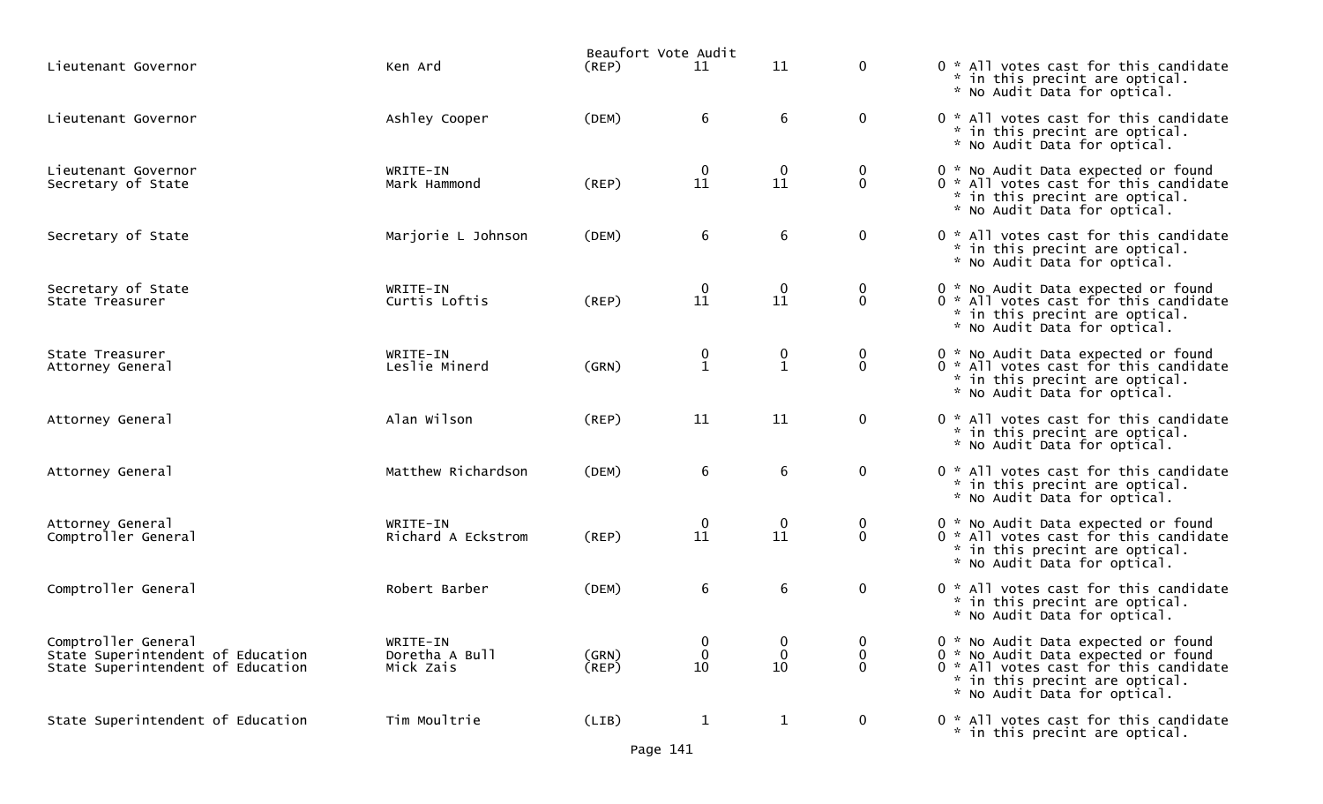|                                                                                               |                                         | Beaufort Vote Audit  |                                                |                                |                             |                                                                                                                                                                                       |
|-----------------------------------------------------------------------------------------------|-----------------------------------------|----------------------|------------------------------------------------|--------------------------------|-----------------------------|---------------------------------------------------------------------------------------------------------------------------------------------------------------------------------------|
| Lieutenant Governor                                                                           | Ken Ard                                 | (REP)                | 11                                             | 11                             | $\mathbf{0}$                | 0 * All votes cast for this candidate<br>* in this precint are optical.<br>* No Audit Data for optical.                                                                               |
| Lieutenant Governor                                                                           | Ashley Cooper                           | (DEM)                | 6                                              | 6                              | $\mathbf{0}$                | 0 * All votes cast for this candidate<br>* in this precint are optical.<br>* No Audit Data for optical.                                                                               |
| Lieutenant Governor<br>Secretary of State                                                     | WRITE-IN<br>Mark Hammond                | $($ REP $)$          | $\bf{0}$<br>11                                 | $\mathbf 0$<br>11              | 0<br>0                      | 0 * No Audit Data expected or found<br>0 * All votes cast for this candidate<br>* in this precint are optical.<br>* No Audit Data for optical.                                        |
| Secretary of State                                                                            | Marjorie L Johnson                      | (DEM)                | $\boldsymbol{6}$                               | 6                              | $\mathbf 0$                 | 0 * All votes cast for this candidate<br>* in this precint are optical.<br>* No Audit Data for optical.                                                                               |
| Secretary of State<br>State Treasurer                                                         | WRITE-IN<br>Curtis Loftis               | (REP)                | $\overline{0}$<br>11                           | 0<br>11                        | $\mathbf 0$<br>$\mathbf{0}$ | 0 * No Audit Data expected or found<br>0 * All votes cast for this candidate<br>* in this precint are optical.<br>* No Audit Data for optical.                                        |
| State Treasurer<br>Attorney General                                                           | WRITE-IN<br>Leslie Minerd               | (GRN)                | $\begin{smallmatrix} 0 \\ 1 \end{smallmatrix}$ | $\mathbf 0$<br>$\mathbf{1}$    | $\mathbf 0$<br>0            | 0 * No Audit Data expected or found<br>0 * All votes cast for this candidate<br>* in this precint are optical.<br>* No Audit Data for optical.                                        |
| Attorney General                                                                              | Alan Wilson                             | (REP)                | 11                                             | 11                             | $\mathbf 0$                 | 0 * All votes cast for this candidate<br>* in this precint are optical.<br>* No Audit Data for optical.                                                                               |
| Attorney General                                                                              | Matthew Richardson                      | (DEM)                | 6                                              | 6                              | $\mathbf 0$                 | 0 * All votes cast for this candidate<br>* in this precint are optical.<br>* No Audit Data for optical.                                                                               |
| Attorney General<br>Comptroller General                                                       | WRITE-IN<br>Richard A Eckstrom          | (REP)                | $\begin{smallmatrix}0\11\end{smallmatrix}$     | $\boldsymbol{0}$<br>11         | 0<br>$\mathbf{0}$           | 0 * No Audit Data expected or found<br>0 * All votes cast for this candidate<br>* in this precint are optical.<br>* No Audit Data for optical.                                        |
| Comptroller General                                                                           | Robert Barber                           | (DEM)                | $\boldsymbol{6}$                               | 6                              | $\mathbf 0$                 | 0 * All votes cast for this candidate<br>* in this precint are optical.<br>* No Audit Data for optical.                                                                               |
| Comptroller General<br>State Superintendent of Education<br>State Superintendent of Education | WRITE-IN<br>Doretha A Bull<br>Mick Zais | (GRN)<br>$($ REP $)$ | $\bf{0}$<br>0<br>10                            | $\bf{0}$<br>$\mathbf{0}$<br>10 | 0<br>0<br>0                 | 0 * No Audit Data expected or found<br>0 * No Audit Data expected or found<br>0 * All votes cast for this candidate<br>* in this precint are optical.<br>* No Audit Data for optical. |
| State Superintendent of Education                                                             | Tim Moultrie                            | (LIB)                | $\mathbf{1}$                                   | $\mathbf{1}$                   | $\overline{0}$              | 0 * All votes cast for this candidate<br>* in this precint are optical.                                                                                                               |

Page 141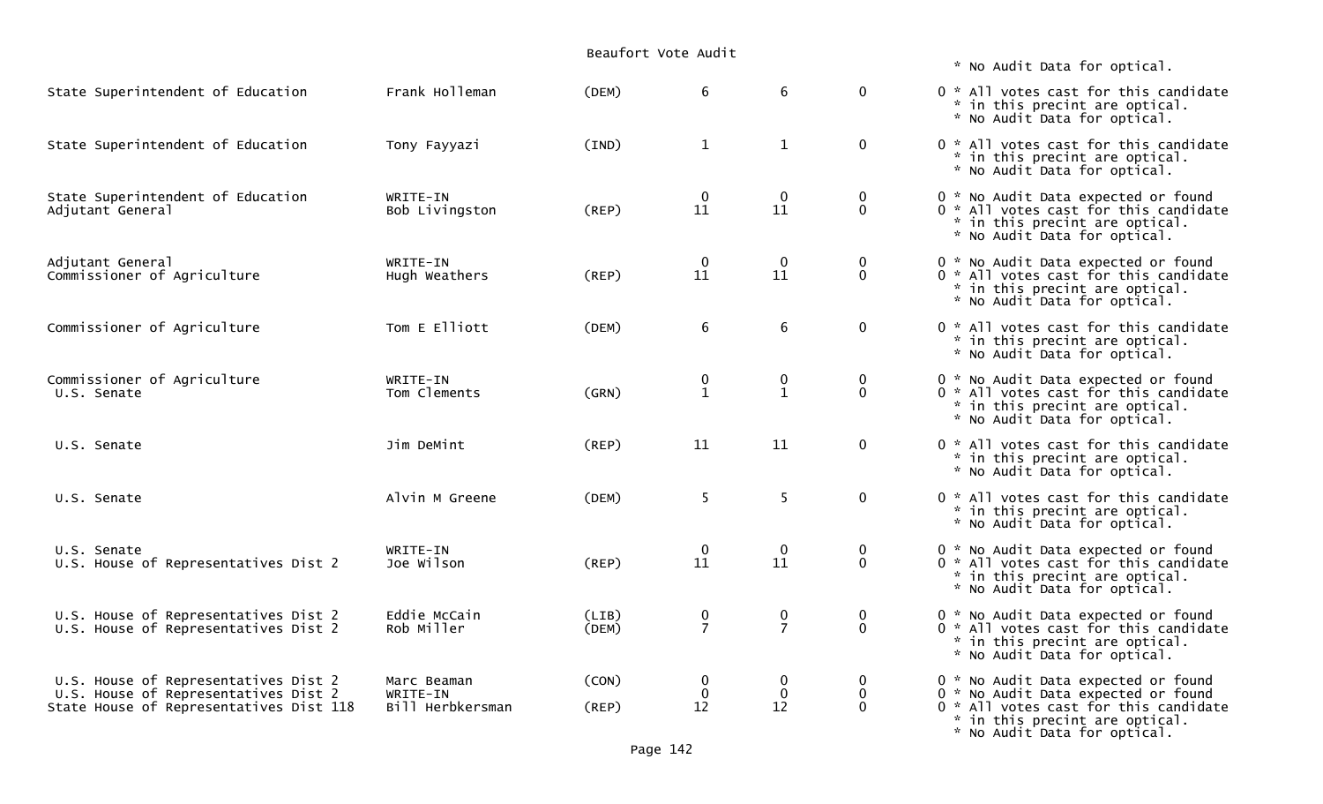|                                                                                                                         |                                             |                | Beaufort Vote Audit                        |                                  |                                              |                                                                                                                                                                                       |
|-------------------------------------------------------------------------------------------------------------------------|---------------------------------------------|----------------|--------------------------------------------|----------------------------------|----------------------------------------------|---------------------------------------------------------------------------------------------------------------------------------------------------------------------------------------|
|                                                                                                                         |                                             |                |                                            |                                  |                                              | * No Audit Data for optical.                                                                                                                                                          |
| State Superintendent of Education                                                                                       | Frank Holleman                              | (DEM)          | 6                                          | $6\phantom{1}$                   | $\mathbf 0$                                  | 0 * All votes cast for this candidate<br>* in this precint are optical.<br>* No Audit Data for optical.                                                                               |
| State Superintendent of Education                                                                                       | Tony Fayyazi                                | (IND)          | $\mathbf{1}$                               | $\mathbf{1}$                     | $\mathbf 0$                                  | 0 * All votes cast for this candidate<br>* in this precint are optical.<br>* No Audit Data for optical.                                                                               |
| State Superintendent of Education<br>Adjutant General                                                                   | WRITE-IN<br>Bob Livingston                  | $($ REP $)$    | $\boldsymbol{0}$<br>11                     | 0<br>11                          | $\overline{0}$<br>$\mathbf 0$                | 0 * No Audit Data expected or found<br>0 * All votes cast for this candidate<br>* in this precint are optical.<br>* No Audit Data for optical.                                        |
| Adjutant General<br>Commissioner of Agriculture                                                                         | WRITE-IN<br>Hugh Weathers                   | (REP)          | $\begin{smallmatrix}0\11\end{smallmatrix}$ | $\mathbf 0$<br>11                | $\begin{smallmatrix}0\0\end{smallmatrix}$    | 0 * No Audit Data expected or found<br>0 * All votes cast for this candidate<br>* in this precint are optical.<br>* No Audit Data for optical.                                        |
| Commissioner of Agriculture                                                                                             | Tom E Elliott                               | (DEM)          | 6                                          | $\,6\,$                          | $\mathbf 0$                                  | 0 * All votes cast for this candidate<br>* in this precint are optical.<br>* No Audit Data for optical.                                                                               |
| Commissioner of Agriculture<br>U.S. Senate                                                                              | WRITE-IN<br>Tom Clements                    | (GRN)          | $\boldsymbol{0}$<br>$\mathbf{1}$           | $\boldsymbol{0}$<br>$\mathbf{1}$ | $\mathbf 0$<br>$\mathbf 0$                   | 0 * No Audit Data expected or found<br>0 * All votes cast for this candidate<br>* in this precint are optical.<br>* No Audit Data for optical.                                        |
| U.S. Senate                                                                                                             | Jim DeMint                                  | (REP)          | 11                                         | 11                               | $\mathbf 0$                                  | 0 * All votes cast for this candidate<br>* in this precint are optical.<br>* No Audit Data for optical.                                                                               |
| U.S. Senate                                                                                                             | Alvin M Greene                              | (DEM)          | 5                                          | 5                                | $\mathbf 0$                                  | 0 * All votes cast for this candidate<br>* in this precint are optical.<br>* No Audit Data for optical.                                                                               |
| U.S. Senate<br>U.S. House of Representatives Dist 2                                                                     | WRITE-IN<br>Joe Wilson                      | (REP)          | $\boldsymbol{0}$<br>11                     | $\mathbf 0$<br>11                | $\mathbf 0$<br>$\mathbf 0$                   | 0 * No Audit Data expected or found<br>0 * All votes cast for this candidate<br>* in this precint are optical.<br>* No Audit Data for optical.                                        |
| U.S. House of Representatives Dist 2<br>U.S. House of Representatives Dist 2                                            | Eddie McCain<br>Rob Miller                  | (LIB)<br>(DEM) | $\frac{0}{7}$                              | 0<br>$\overline{7}$              | $\boldsymbol{0}$<br>$\mathbf 0$              | 0 * No Audit Data expected or found<br>0 * All votes cast for this candidate<br>* in this precint are optical.<br>* No Audit Data for optical.                                        |
| U.S. House of Representatives Dist 2<br>U.S. House of Representatives Dist 2<br>State House of Representatives Dist 118 | Marc Beaman<br>WRITE-IN<br>Bill Herbkersman | (CON)<br>(REP) | $\bf{0}$<br>$\mathbf 0$<br>12              | $\bf{0}$<br>0<br>12              | $\overline{0}$<br>$\mathbf 0$<br>$\mathbf 0$ | 0 * No Audit Data expected or found<br>0 * No Audit Data expected or found<br>0 * All votes cast for this candidate<br>* in this precint are optical.<br>* No Audit Data for optical. |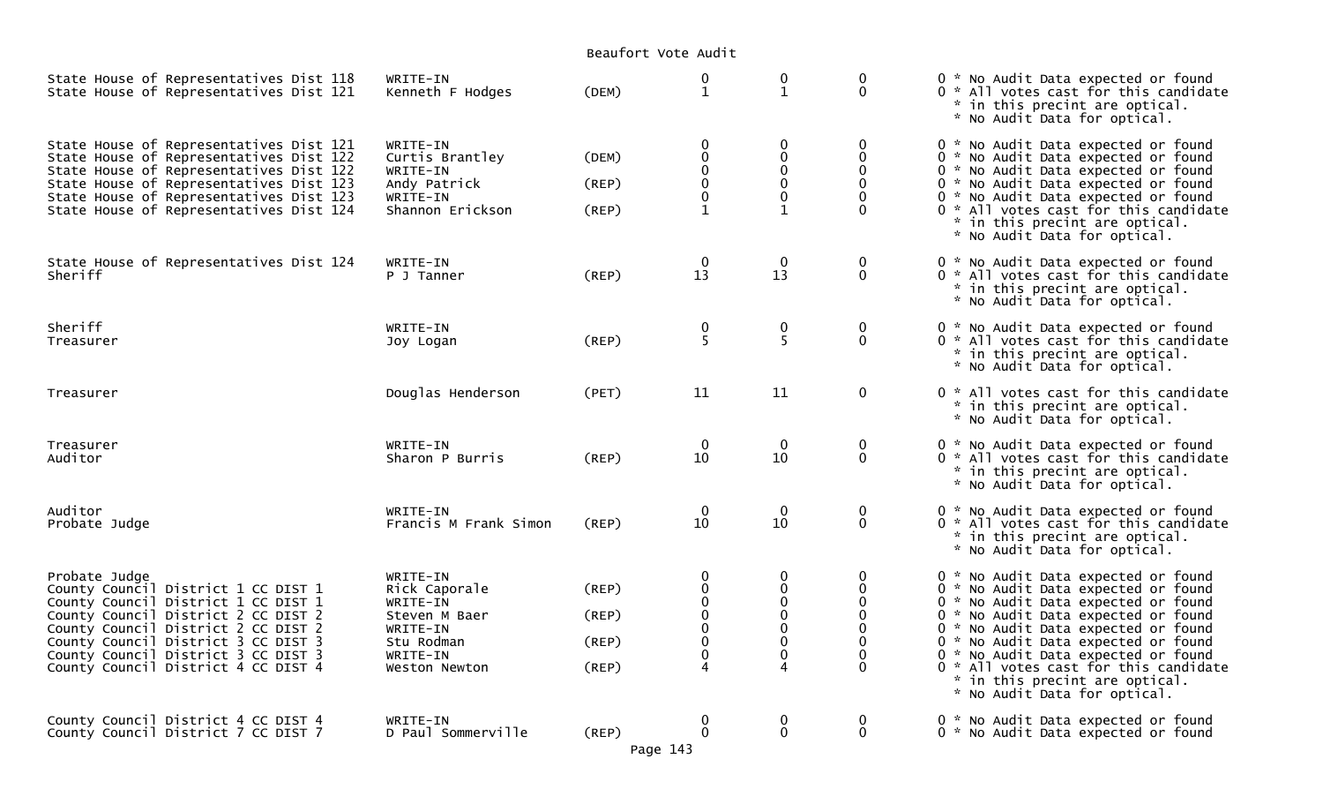Beaufort Vote Audit

| State House of Representatives Dist 118<br>State House of Representatives Dist 121                                                                                                                                                                                                             | WRITE-IN<br>Kenneth F Hodges                                                                                  | (DEM)                            | $\pmb{0}$<br>$\mathbf{1}$                                              | 0<br>$\mathbf{1}$                                           | 0<br>$\Omega$                                                                             | 0 * No Audit Data expected or found<br>0 * All votes cast for this candidate<br>* in this precint are optical.<br>* No Audit Data for optical.                                                                                                                                                                                                                                           |
|------------------------------------------------------------------------------------------------------------------------------------------------------------------------------------------------------------------------------------------------------------------------------------------------|---------------------------------------------------------------------------------------------------------------|----------------------------------|------------------------------------------------------------------------|-------------------------------------------------------------|-------------------------------------------------------------------------------------------|------------------------------------------------------------------------------------------------------------------------------------------------------------------------------------------------------------------------------------------------------------------------------------------------------------------------------------------------------------------------------------------|
| State House of Representatives Dist 121<br>State House of Representatives Dist 122<br>State House of Representatives Dist 122<br>State House of Representatives Dist 123<br>State House of Representatives Dist 123<br>State House of Representatives Dist 124                                 | WRITE-IN<br>Curtis Brantley<br>WRITE-IN<br>Andy Patrick<br>WRITE-IN<br>Shannon Erickson                       | (DEM)<br>(REP)<br>(REP)          | 0<br>$\mathbf 0$<br>$\mathbf 0$<br>$\Omega$<br>$\overline{0}$          | 0<br>$\pmb{0}$<br>$\pmb{0}$<br>0<br>0                       | 0<br>$\mathbf{0}$<br>$\Omega$<br>$\Omega$                                                 | 0 * No Audit Data expected or found<br>0 * No Audit Data expected or found<br>0 * No Audit Data expected or found<br>0 * No Audit Data expected or found<br>0 * No Audit Data expected or found<br>0 * All votes cast for this candidate<br>* in this precint are optical.<br>* No Audit Data for optical.                                                                               |
| State House of Representatives Dist 124<br>Sheriff                                                                                                                                                                                                                                             | WRITE-IN<br>P J Tanner                                                                                        | (REP)                            | $\bf{0}$<br>13                                                         | $\mathbf 0$<br>13                                           | $\mathbf 0$<br>$\mathbf{0}$                                                               | 0 * No Audit Data expected or found<br>0 * All votes cast for this candidate<br>* in this precint are optical.<br>* No Audit Data for optical.                                                                                                                                                                                                                                           |
| Sheriff<br>Treasurer                                                                                                                                                                                                                                                                           | WRITE-IN<br>Joy Logan                                                                                         | (REP)                            | $\frac{0}{5}$                                                          | 0<br>5                                                      | $\mathbf 0$<br>$\mathbf{0}$                                                               | 0 * No Audit Data expected or found<br>0 * All votes cast for this candidate<br>* in this precint are optical.<br>* No Audit Data for optical.                                                                                                                                                                                                                                           |
| Treasurer                                                                                                                                                                                                                                                                                      | Douglas Henderson                                                                                             | (PET)                            | 11                                                                     | 11                                                          | $\mathbf 0$                                                                               | 0 * All votes cast for this candidate<br>* in this precint are optical.<br>* No Audit Data for optical.                                                                                                                                                                                                                                                                                  |
| Treasurer<br>Auditor                                                                                                                                                                                                                                                                           | WRITE-IN<br>Sharon P Burris                                                                                   | (REP)                            | $\mathbf 0$<br>10                                                      | $\mathbf 0$<br>10                                           | 0<br>$\mathbf 0$                                                                          | 0 * No Audit Data expected or found<br>0 * All votes cast for this candidate<br>* in this precint are optical.<br>* No Audit Data for optical.                                                                                                                                                                                                                                           |
| Auditor<br>Probate Judge                                                                                                                                                                                                                                                                       | WRITE-IN<br>Francis M Frank Simon                                                                             | (REP)                            | $\mathbf 0$<br>10                                                      | $\mathbf 0$<br>10                                           | 0<br>$\Omega$                                                                             | 0 * No Audit Data expected or found<br>0 * All votes cast for this candidate<br>* in this precint are optical.<br>* No Audit Data for optical.                                                                                                                                                                                                                                           |
| Probate Judge<br>County Council District 1 CC DIST 1<br>County Council District 1 CC DIST 1<br>County Council District 2 CC DIST 2<br>County Council District 2 CC DIST 2<br>County Council District 3 CC DIST 3<br>County Council District 3 CC DIST 3<br>County Council District 4 CC DIST 4 | WRITE-IN<br>Rick Caporale<br>WRITE-IN<br>Steven M Baer<br>WRITE-IN<br>Stu Rodman<br>WRITE-IN<br>Weston Newton | (REP)<br>(REP)<br>(REP)<br>(REP) | 0<br>$\mathbf 0$<br>$\pmb{0}$<br>$\mathbf 0$<br>$\mathbf{0}$<br>0<br>4 | 0<br>$\mathbf 0$<br>$\pmb{0}$<br>$\mathbf 0$<br>0<br>0<br>0 | 0<br>0<br>$\mathbf 0$<br>$\Omega$<br>$\mathbf{0}$<br>$\Omega$<br>$\mathbf{0}$<br>$\Omega$ | 0 * No Audit Data expected or found<br>0 * No Audit Data expected or found<br>0 * No Audit Data expected or found<br>0 * No Audit Data expected or found<br>0 * No Audit Data expected or found<br>0 * No Audit Data expected or found<br>0 * No Audit Data expected or found<br>0 * All votes cast for this candidate<br>* in this precint are optical.<br>* No Audit Data for optical. |
| County Council District 4 CC DIST 4<br>County Council District 7 CC DIST 7                                                                                                                                                                                                                     | WRITE-IN<br>D Paul Sommerville                                                                                | (REP)                            | 0<br>$\ddot{\mathbf{0}}$                                               | 0<br>$\pmb{0}$                                              | $\mathbf 0$<br>$\Omega$                                                                   | 0 * No Audit Data expected or found<br>0 * No Audit Data expected or found                                                                                                                                                                                                                                                                                                               |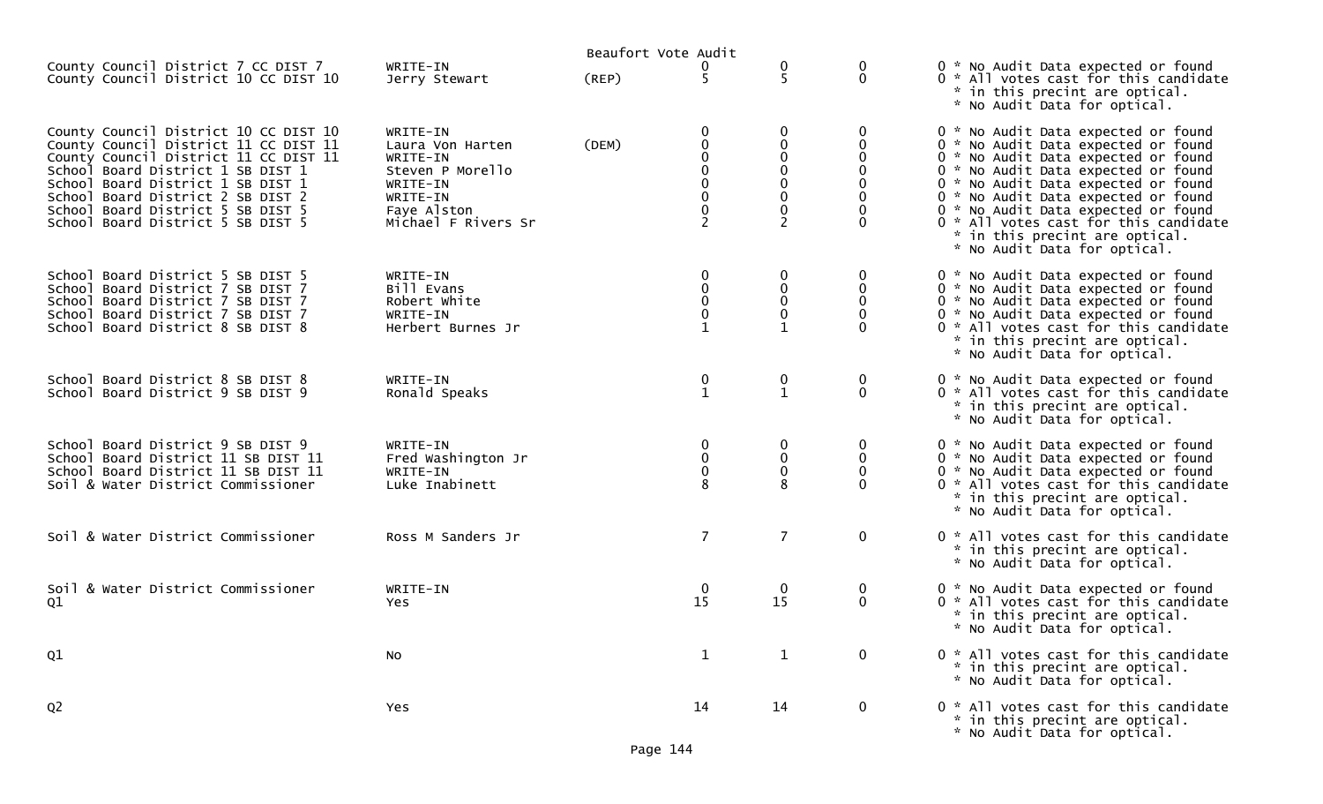| County Council District 7 CC DIST 7                                                                                                                                                                                                    | WRITE-IN                                                                             | Beaufort Vote Audit |                          |                             | 0                           | 0 * No Audit Data expected or found                                                                                                                                                                                                    |
|----------------------------------------------------------------------------------------------------------------------------------------------------------------------------------------------------------------------------------------|--------------------------------------------------------------------------------------|---------------------|--------------------------|-----------------------------|-----------------------------|----------------------------------------------------------------------------------------------------------------------------------------------------------------------------------------------------------------------------------------|
| County Council District 10 CC DIST 10                                                                                                                                                                                                  | Jerry Stewart                                                                        | (REP)               | 5                        | 5                           | 0                           | 0 * All votes cast for this candidate<br>* in this precint are optical.<br>* No Audit Data for optical.                                                                                                                                |
| County Council District 10 CC DIST 10<br>County Council District 11 CC DIST 11<br>County Council District 11 CC DIST 11<br>School Board District 1 SB DIST 1<br>School Board District 1 SB DIST 1<br>School Board District 2 SB DIST 2 | WRITE-IN<br>Laura Von Harten<br>WRITE-IN<br>Steven P Morello<br>WRITE-IN<br>WRITE-IN | (DEM)               | 0<br>0<br>0<br>$\pmb{0}$ |                             | 0<br>0                      | 0 * No Audit Data expected or found<br>0 * No Audit Data expected or found<br>0 * No Audit Data expected or found<br>0 * No Audit Data expected or found<br>0 * No Audit Data expected or found<br>0 * No Audit Data expected or found |
| School Board District 5 SB DIST 5<br>School Board District 5 SB DIST 5                                                                                                                                                                 | Faye Alston<br>Michael F Rivers Sr                                                   |                     | $\overline{2}$           | $\overline{2}$              | 0                           | 0 * No Audit Data expected or found<br>0 * All votes cast for this candidate<br>* in this precint are optical.<br>* No Audit Data for optical.                                                                                         |
| School Board District 5 SB DIST 5<br>School Board District 7 SB DIST 7                                                                                                                                                                 | WRITE-IN<br>Bill Evans                                                               |                     | 0<br>0                   | 0<br>0                      | 0<br>0                      | 0 * No Audit Data expected or found<br>0 * No Audit Data expected or found                                                                                                                                                             |
| School Board District 7 SB DIST 7<br>School Board District 7 SB DIST 7<br>School Board District 8 SB DIST 8                                                                                                                            | Robert White<br>WRITE-IN<br>Herbert Burnes Jr                                        |                     | $\mathbf 0$<br>0         | $\mathbf 0$                 | 0                           | 0 * No Audit Data expected or found<br>0 * No Audit Data expected or found<br>0 * All votes cast for this candidate<br>* in this precint are optical.<br>* No Audit Data for optical.                                                  |
| School Board District 8 SB DIST 8<br>School Board District 9 SB DIST 9                                                                                                                                                                 | WRITE-IN<br>Ronald Speaks                                                            |                     | 0<br>$\mathbf{1}$        | $\mathbf 0$<br>$\mathbf{1}$ | 0<br>0                      | 0 * No Audit Data expected or found<br>0 * All votes cast for this candidate<br>* in this precint are optical.<br>* No Audit Data for optical.                                                                                         |
| School Board District 9 SB DIST 9<br>School Board District 11 SB DIST 11                                                                                                                                                               | WRITE-IN<br>Fred Washington Jr                                                       |                     | 0<br>$\pmb{0}$           | 0<br>0                      | 0<br>$\mathbf 0$            | 0 * No Audit Data expected or found<br>0 * No Audit Data expected or found                                                                                                                                                             |
| School Board District 11 SB DIST 11<br>Soil & Water District Commissioner                                                                                                                                                              | WRITE-IN<br>Luke Inabinett                                                           |                     | 0<br>8                   | $\mathbf 0$                 |                             | 0 * No Audit Data expected or found<br>0 * All votes cast for this candidate<br>* in this precint are optical.<br>* No Audit Data for optical.                                                                                         |
| Soil & Water District Commissioner                                                                                                                                                                                                     | Ross M Sanders Jr                                                                    |                     | $\overline{7}$           | $\overline{7}$              | $\mathbf 0$                 | 0 * All votes cast for this candidate<br>* in this precint are optical.<br>* No Audit Data for optical.                                                                                                                                |
| Soil & Water District Commissioner<br>Q1                                                                                                                                                                                               | WRITE-IN<br>Yes                                                                      |                     | $\bf{0}$<br>15           | $\boldsymbol{0}$<br>15      | $\mathbf 0$<br>$\mathbf{0}$ | 0 * No Audit Data expected or found<br>0 * All votes cast for this candidate<br>* in this precint are optical.<br>* No Audit Data for optical.                                                                                         |
| Q1                                                                                                                                                                                                                                     | No                                                                                   |                     | $\mathbf{1}$             | $\mathbf{1}$                | $\mathbf 0$                 | 0 * All votes cast for this candidate<br>* in this precint are optical.<br>* No Audit Data for optical.                                                                                                                                |
| Q <sub>2</sub>                                                                                                                                                                                                                         | Yes                                                                                  |                     | 14                       | 14                          | $\mathbf 0$                 | 0 * All votes cast for this candidate<br>* in this precint are optical.<br>* No Audit Data for optical.                                                                                                                                |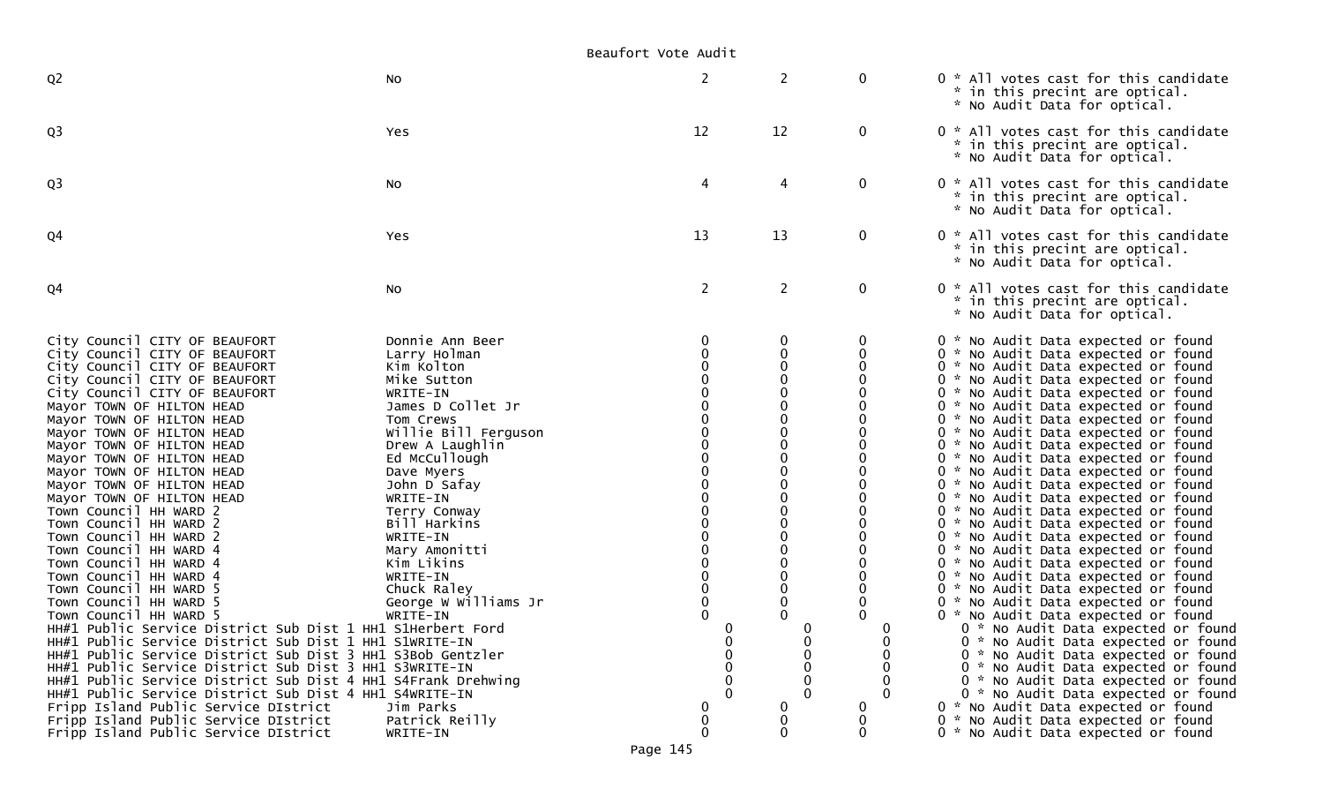Beaufort Vote Audit

| Q <sub>2</sub>                                                                                                                                                                                                                                                                                                                                                                                                                                                                                                                                                                                                                                                                                                                                                                                                                                                                                                                                                                                                                                                                                                                                      | No                                                                                                                                                                                                                                                                                                                                                                                                    | $\overline{2}$                              | $\overline{c}$                                                                                                                             | $\mathbf 0$                                                                                                                                                 | 0 * All votes cast for this candidate<br>* in this precint are optical.<br>* No Audit Data for optical.                                                                                                                                                                                                                                                                                                                                                                                                                                                                                                                                                                                                                                                                                                                                                                                                                                                                                                                                                                                                                                                                                                                                               |
|-----------------------------------------------------------------------------------------------------------------------------------------------------------------------------------------------------------------------------------------------------------------------------------------------------------------------------------------------------------------------------------------------------------------------------------------------------------------------------------------------------------------------------------------------------------------------------------------------------------------------------------------------------------------------------------------------------------------------------------------------------------------------------------------------------------------------------------------------------------------------------------------------------------------------------------------------------------------------------------------------------------------------------------------------------------------------------------------------------------------------------------------------------|-------------------------------------------------------------------------------------------------------------------------------------------------------------------------------------------------------------------------------------------------------------------------------------------------------------------------------------------------------------------------------------------------------|---------------------------------------------|--------------------------------------------------------------------------------------------------------------------------------------------|-------------------------------------------------------------------------------------------------------------------------------------------------------------|-------------------------------------------------------------------------------------------------------------------------------------------------------------------------------------------------------------------------------------------------------------------------------------------------------------------------------------------------------------------------------------------------------------------------------------------------------------------------------------------------------------------------------------------------------------------------------------------------------------------------------------------------------------------------------------------------------------------------------------------------------------------------------------------------------------------------------------------------------------------------------------------------------------------------------------------------------------------------------------------------------------------------------------------------------------------------------------------------------------------------------------------------------------------------------------------------------------------------------------------------------|
| Q <sub>3</sub>                                                                                                                                                                                                                                                                                                                                                                                                                                                                                                                                                                                                                                                                                                                                                                                                                                                                                                                                                                                                                                                                                                                                      | Yes                                                                                                                                                                                                                                                                                                                                                                                                   | 12                                          | 12                                                                                                                                         | $\mathbf 0$                                                                                                                                                 | 0 * All votes cast for this candidate<br>* in this precint are optical.<br>* No Audit Data for optical.                                                                                                                                                                                                                                                                                                                                                                                                                                                                                                                                                                                                                                                                                                                                                                                                                                                                                                                                                                                                                                                                                                                                               |
| Q <sub>3</sub>                                                                                                                                                                                                                                                                                                                                                                                                                                                                                                                                                                                                                                                                                                                                                                                                                                                                                                                                                                                                                                                                                                                                      | No                                                                                                                                                                                                                                                                                                                                                                                                    | 4                                           | 4                                                                                                                                          | $\mathbf 0$                                                                                                                                                 | 0 * All votes cast for this candidate<br>* in this precint are optical.<br>* No Audit Data for optical.                                                                                                                                                                                                                                                                                                                                                                                                                                                                                                                                                                                                                                                                                                                                                                                                                                                                                                                                                                                                                                                                                                                                               |
| Q4                                                                                                                                                                                                                                                                                                                                                                                                                                                                                                                                                                                                                                                                                                                                                                                                                                                                                                                                                                                                                                                                                                                                                  | Yes                                                                                                                                                                                                                                                                                                                                                                                                   | 13                                          | 13                                                                                                                                         | $\mathbf 0$                                                                                                                                                 | 0 * All votes cast for this candidate<br>* in this precint are optical.<br>* No Audit Data for optical.                                                                                                                                                                                                                                                                                                                                                                                                                                                                                                                                                                                                                                                                                                                                                                                                                                                                                                                                                                                                                                                                                                                                               |
| Q4                                                                                                                                                                                                                                                                                                                                                                                                                                                                                                                                                                                                                                                                                                                                                                                                                                                                                                                                                                                                                                                                                                                                                  | No                                                                                                                                                                                                                                                                                                                                                                                                    | $\overline{2}$                              | $\overline{2}$                                                                                                                             | $\mathbf 0$                                                                                                                                                 | 0 * All votes cast for this candidate<br>* in this precint are optical.<br>* No Audit Data for optical.                                                                                                                                                                                                                                                                                                                                                                                                                                                                                                                                                                                                                                                                                                                                                                                                                                                                                                                                                                                                                                                                                                                                               |
| City Council CITY OF BEAUFORT<br>City Council CITY OF BEAUFORT<br>City Council CITY OF BEAUFORT<br>City Council CITY OF BEAUFORT<br>City Council CITY OF BEAUFORT<br>Mayor TOWN OF HILTON HEAD<br>Mayor TOWN OF HILTON HEAD<br>Mayor TOWN OF HILTON HEAD<br>Mayor TOWN OF HILTON HEAD<br>Mayor TOWN OF HILTON HEAD<br>Mayor TOWN OF HILTON HEAD<br>Mayor TOWN OF HILTON HEAD<br>Mayor TOWN OF HILTON HEAD<br>Town Council HH WARD 2<br>Town Council HH WARD<br>Town Council HH WARD 2<br>Town Council HH WARD 4<br>Town Council HH WARD 4<br>Town Council HH WARD 4<br>Town Council HH WARD 5<br>Town Council HH WARD 5<br>Town Council HH WARD 5<br>HH#1 Public Service District Sub Dist 1 HH1 S1Herbert Ford<br>HH#1 Public Service District Sub Dist 1 HH1 S1WRITE-IN<br>HH#1 Public Service District Sub Dist 3 HH1 S3Bob Gentzler<br>HH#1 Public Service District Sub Dist 3 HH1 S3WRITE-IN<br>HH#1 Public Service District Sub Dist 4 HH1 S4Frank Drehwing<br>HH#1 Public Service District Sub Dist 4 HH1 S4WRITE-IN<br>Fripp Island Public Service DIstrict<br>Fripp Island Public Service DIstrict<br>Fripp Island Public Service DIstrict | Donnie Ann Beer<br>Larry Holman<br>Kim Kolton<br>Mike Sutton<br>WRITE-IN<br>James D Collet Jr<br>Tom Crews<br>Willie Bill Ferguson<br>Drew A Laughlin<br>Ed McCullough<br>Dave Myers<br>John D Safay<br>WRITE-IN<br>Terry Conway<br>Bill Harkins<br>WRITE-IN<br>Mary Amonitti<br>Kim Likins<br>WRITE-IN<br>Chuck Raley<br>George W Williams Jr<br>WRITE-IN<br>Jim Parks<br>Patrick Reilly<br>WRITE-IN | $\mathbf 0$<br>$\mathbf 0$<br>0<br>$\Omega$ | $\Omega$<br>0<br>0<br>O<br>0<br>U<br>$\Omega$<br>0<br>$\Omega$<br>U<br>0<br>0<br>O<br>0<br>0<br>∩<br>$\Omega$<br>$\Omega$<br>0<br>$\Omega$ | 0<br>$\Omega$<br>$\Omega$<br>$\Omega$<br>$\Omega$<br>$\Omega$<br>$\Omega$<br>$\Omega$<br>$\Omega$<br>∩<br>$\Omega$<br>$\Omega$<br>$\Omega$<br>0<br>$\Omega$ | 0 * No Audit Data expected or found<br>0 * No Audit Data expected or found<br>0 * No Audit Data expected or found<br>0 * No Audit Data expected or found<br>0 * No Audit Data expected or found<br>0 * No Audit Data expected or found<br>0 * No Audit Data expected or found<br>0 * No Audit Data expected or found<br>0 * No Audit Data expected or found<br>0 * No Audit Data expected or found<br>0 * No Audit Data expected or found<br>0 * No Audit Data expected or found<br>0 * No Audit Data expected or found<br>0 * No Audit Data expected or found<br>0 * No Audit Data expected or found<br>0 * No Audit Data expected or found<br>0 * No Audit Data expected or found<br>0 * No Audit Data expected or found<br>0 * No Audit Data expected or found<br>0 * No Audit Data expected or found<br>0 * No Audit Data expected or found<br>0 * No Audit Data expected or found<br>0 * No Audit Data expected or found<br>0 * No Audit Data expected or found<br>0 * No Audit Data expected or found<br>0 * No Audit Data expected or found<br>0 * No Audit Data expected or found<br>0 * No Audit Data expected or found<br>0 * No Audit Data expected or found<br>0 * No Audit Data expected or found<br>0 * No Audit Data expected or found |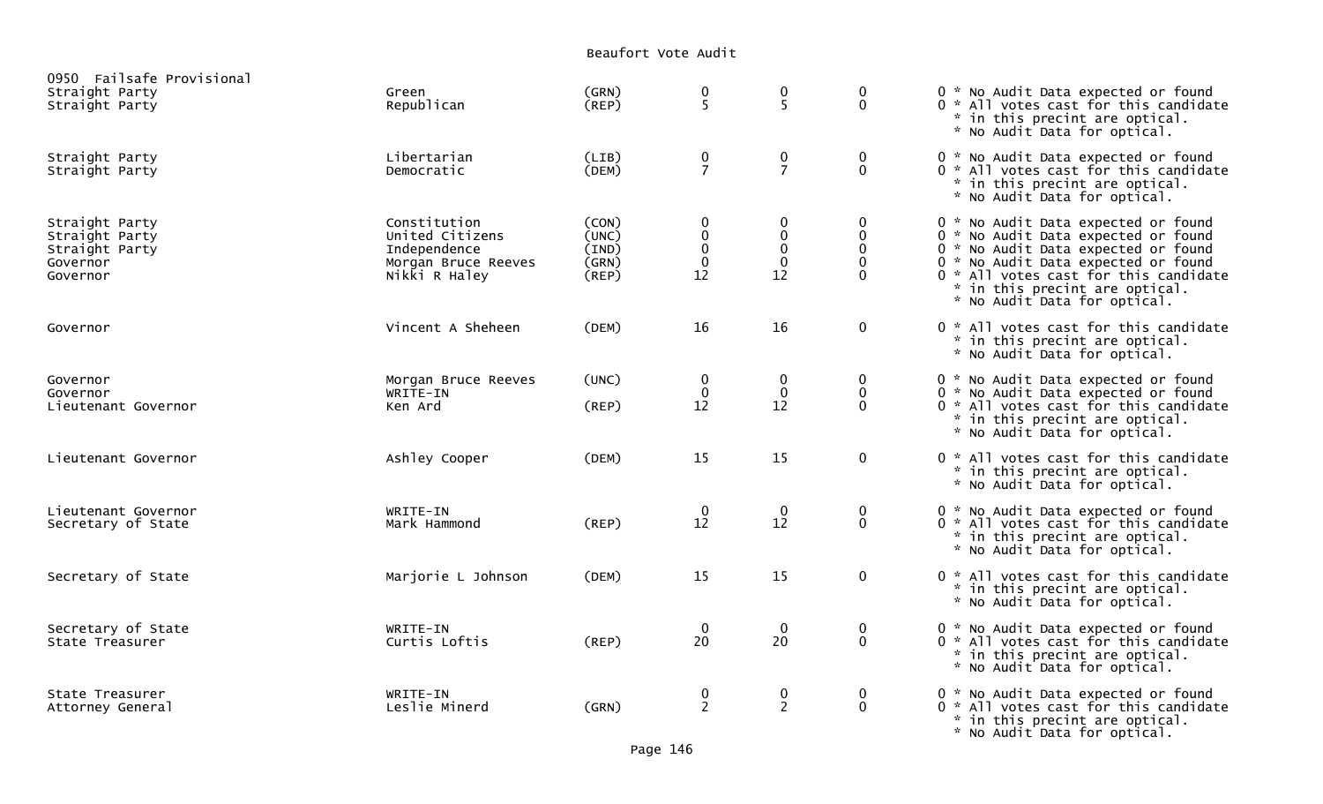Beaufort Vote Audit

| 0950 Failsafe Provisional                                                  |                                                                                         |                                           |                                                                 |                                                                    |                                                |                                                                                                                                                                                                                                                                     |
|----------------------------------------------------------------------------|-----------------------------------------------------------------------------------------|-------------------------------------------|-----------------------------------------------------------------|--------------------------------------------------------------------|------------------------------------------------|---------------------------------------------------------------------------------------------------------------------------------------------------------------------------------------------------------------------------------------------------------------------|
| Straight Party<br>Straight Party                                           | Green<br>Republican                                                                     | (GRN)<br>(REP)                            | 0<br>5                                                          | $\boldsymbol{0}$<br>5                                              | $\mathbf 0$<br>$\Omega$                        | 0 * No Audit Data expected or found<br>0 * All votes cast for this candidate<br>* in this precint are optical.<br>* No Audit Data for optical.                                                                                                                      |
| Straight Party<br>Straight Party                                           | Libertarian<br>Democratic                                                               | (LIB)<br>(DEM)                            | 0<br>$\overline{7}$                                             | $\frac{0}{7}$                                                      | 0<br>$\mathbf{0}$                              | 0 * No Audit Data expected or found<br>0 * All votes cast for this candidate<br>* in this precint are optical.<br>* No Audit Data for optical.                                                                                                                      |
| Straight Party<br>Straight Party<br>Straight Party<br>Governor<br>Governor | Constitution<br>United Citizens<br>Independence<br>Morgan Bruce Reeves<br>Nikki R Haley | (CON)<br>(UNC)<br>(IND)<br>(GRN)<br>(REP) | $\boldsymbol{0}$<br>$\pmb{0}$<br>$\pmb{0}$<br>$\mathbf 0$<br>12 | $\mathbf 0$<br>$\begin{smallmatrix}0\\0\\0\end{smallmatrix}$<br>12 | 0<br>$\pmb{0}$<br>0<br>$\mathbf 0$<br>$\Omega$ | 0 * No Audit Data expected or found<br>0 * No Audit Data expected or found<br>0 * No Audit Data expected or found<br>0 * No Audit Data expected or found<br>0 * All votes cast for this candidate<br>* in this precint are optical.<br>* No Audit Data for optical. |
| Governor                                                                   | Vincent A Sheheen                                                                       | (DEM)                                     | 16                                                              | 16                                                                 | $\pmb{0}$                                      | 0 * All votes cast for this candidate<br>* in this precint are optical.<br>* No Audit Data for optical.                                                                                                                                                             |
| Governor<br>Governor<br>Lieutenant Governor                                | Morgan Bruce Reeves<br>WRITE-IN<br>Ken Ard                                              | (UNC)<br>(REP)                            | $\mathbf 0$<br>$\mathbf 0$<br>12                                | $\mathbf 0$<br>$\boldsymbol{0}$<br>12                              | 0<br>0<br>$\Omega$                             | 0 * No Audit Data expected or found<br>0 * No Audit Data expected or found<br>0 * All votes cast for this candidate<br>* in this precint are optical.<br>* No Audit Data for optical.                                                                               |
| Lieutenant Governor                                                        | Ashley Cooper                                                                           | (DEM)                                     | 15                                                              | 15                                                                 | $\mathbf 0$                                    | 0 * All votes cast for this candidate<br>* in this precint are optical.<br>* No Audit Data for optical.                                                                                                                                                             |
| Lieutenant Governor<br>Secretary of State                                  | WRITE-IN<br>Mark Hammond                                                                | (REP)                                     | $\mathbf 0$<br>12                                               | $\overline{0}$<br>12                                               | $\mathbf 0$<br>$\mathbf{0}$                    | 0 * No Audit Data expected or found<br>0 * All votes cast for this candidate<br>* in this precint are optical.<br>* No Audit Data for optical.                                                                                                                      |
| Secretary of State                                                         | Marjorie L Johnson                                                                      | (DEM)                                     | 15                                                              | 15                                                                 | $\mathbf 0$                                    | 0 * All votes cast for this candidate<br>* in this precint are optical.<br>* No Audit Data for optical.                                                                                                                                                             |
| Secretary of State<br>State Treasurer                                      | WRITE-IN<br>Curtis Loftis                                                               | $($ REP $)$                               | $\boldsymbol{0}$<br>20                                          | $\bf{0}$<br>20                                                     | $\mathbf 0$<br>$\mathbf 0$                     | 0 * No Audit Data expected or found<br>0 * All votes cast for this candidate<br>* in this precint are optical.<br>* No Audit Data for optical.                                                                                                                      |
| State Treasurer<br>Attorney General                                        | WRITE-IN<br>Leslie Minerd                                                               | (GRN)                                     | $\frac{0}{2}$                                                   | $\frac{0}{2}$                                                      | $\boldsymbol{0}$<br>$\mathbf{0}$               | 0 * No Audit Data expected or found<br>0 * All votes cast for this candidate<br>* in this precint are optical.<br>* No Audit Data for optical.                                                                                                                      |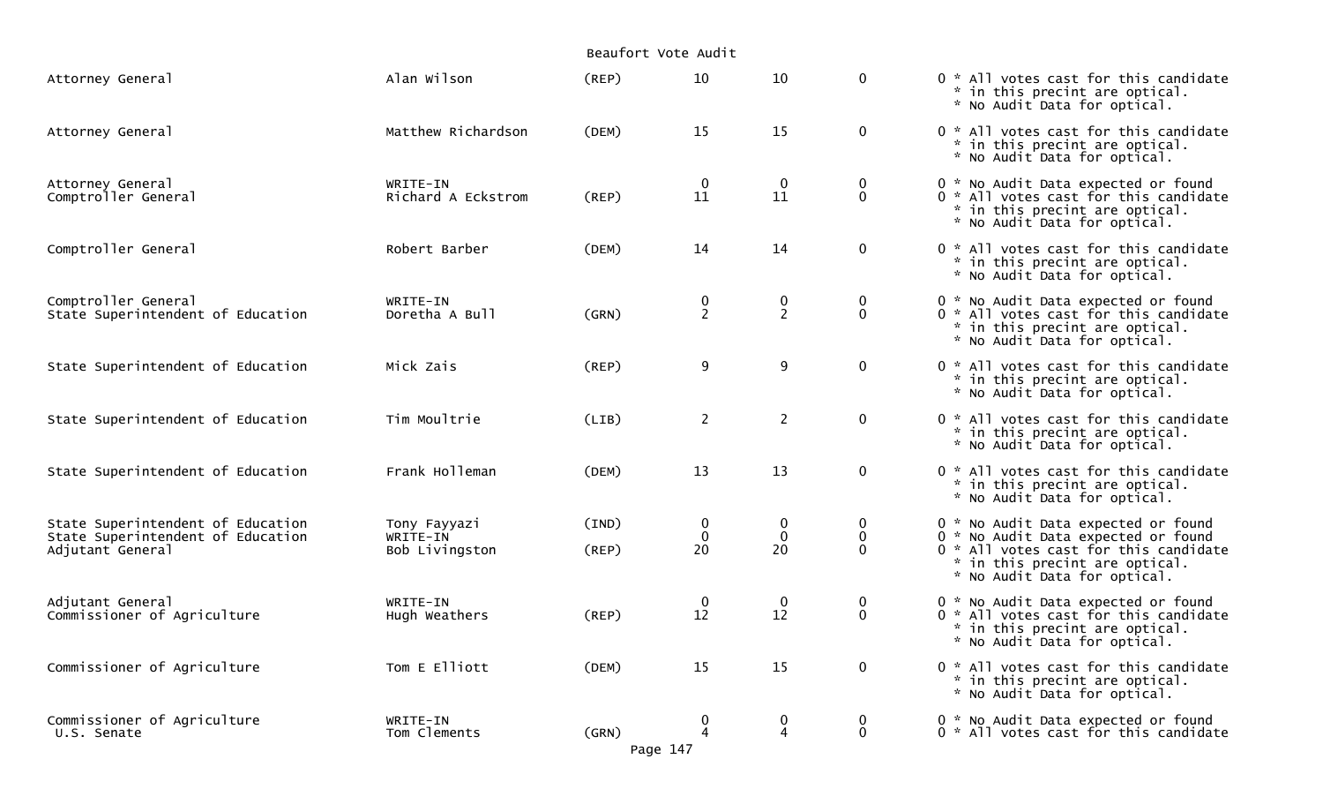|                                                                                            |                                            | Beaufort Vote Audit |                        |                               |                                        |                                                                                                                                                                                       |
|--------------------------------------------------------------------------------------------|--------------------------------------------|---------------------|------------------------|-------------------------------|----------------------------------------|---------------------------------------------------------------------------------------------------------------------------------------------------------------------------------------|
| Attorney General                                                                           | Alan Wilson                                | (REP)               | 10                     | 10                            | $\mathbf{0}$                           | 0 * All votes cast for this candidate<br>* in this precint are optical.<br>* No Audit Data for optical.                                                                               |
| Attorney General                                                                           | Matthew Richardson                         | (DEM)               | 15                     | 15                            | $\mathbf 0$                            | 0 * All votes cast for this candidate<br>* in this precint are optical.<br>* No Audit Data for optical.                                                                               |
| Attorney General<br>Comptroller General                                                    | WRITE-IN<br>Richard A Eckstrom             | (REP)               | $\boldsymbol{0}$<br>11 | $\mathbf 0$<br>11             | $\bf{0}$<br>$\mathbf 0$                | 0 * No Audit Data expected or found<br>0 * All votes cast for this candidate<br>* in this precint are optical.<br>* No Audit Data for optical.                                        |
| Comptroller General                                                                        | Robert Barber                              | (DEM)               | 14                     | 14                            | $\mathbf 0$                            | 0 * All votes cast for this candidate<br>* in this precint are optical.<br>* No Audit Data for optical.                                                                               |
| Comptroller General<br>State Superintendent of Education                                   | WRITE-IN<br>Doretha A Bull                 | (GRN)               | $\frac{0}{2}$          | 0<br>$\overline{2}$           | $\bf{0}$<br>$\mathbf 0$                | 0 * No Audit Data expected or found<br>0 * All votes cast for this candidate<br>* in this precint are optical.<br>* No Audit Data for optical.                                        |
| State Superintendent of Education                                                          | Mick Zais                                  | (REP)               | 9                      | 9                             | $\mathbf 0$                            | 0 * All votes cast for this candidate<br>* in this precint are optical.<br>* No Audit Data for optical.                                                                               |
| State Superintendent of Education                                                          | Tim Moultrie                               | (LIB)               | $\overline{2}$         | $2^{\circ}$                   | $\mathbf 0$                            | 0 * All votes cast for this candidate<br>* in this precint are optical.<br>* No Audit Data for optical.                                                                               |
| State Superintendent of Education                                                          | Frank Holleman                             | (DEM)               | 13                     | 13                            | $\mathbf 0$                            | 0 * All votes cast for this candidate<br>* in this precint are optical.<br>* No Audit Data for optical.                                                                               |
| State Superintendent of Education<br>State Superintendent of Education<br>Adjutant General | Tony Fayyazi<br>WRITE-IN<br>Bob Livingston | (IND)<br>(REP)      | 0<br>0<br>20           | $\bf{0}$<br>$\mathbf 0$<br>20 | $\bf{0}$<br>$\mathbf 0$<br>$\mathbf 0$ | 0 * No Audit Data expected or found<br>0 * No Audit Data expected or found<br>0 * All votes cast for this candidate<br>* in this precint are optical.<br>* No Audit Data for optical. |
| Adjutant General<br>Commissioner of Agriculture                                            | WRITE-IN<br>Hugh Weathers                  | (REP)               | 0<br>12                | $\mathbf 0$<br>12             | $\bf{0}$<br>$\mathbf 0$                | 0 * No Audit Data expected or found<br>0 * All votes cast for this candidate<br>* in this precint are optical.<br>* No Audit Data for optical.                                        |
| Commissioner of Agriculture                                                                | Tom E Elliott                              | (DEM)               | 15                     | 15                            | $\mathbf 0$                            | 0 * All votes cast for this candidate<br>* in this precint are optical.<br>* No Audit Data for optical.                                                                               |
| Commissioner of Agriculture<br>U.S. Senate                                                 | WRITE-IN<br>Tom Clements                   | (GRN)<br>Page 147   | 0<br>4                 | 0<br>4                        | $\bf{0}$<br>$\mathbf{0}$               | 0 * No Audit Data expected or found<br>0 * All votes cast for this candidate                                                                                                          |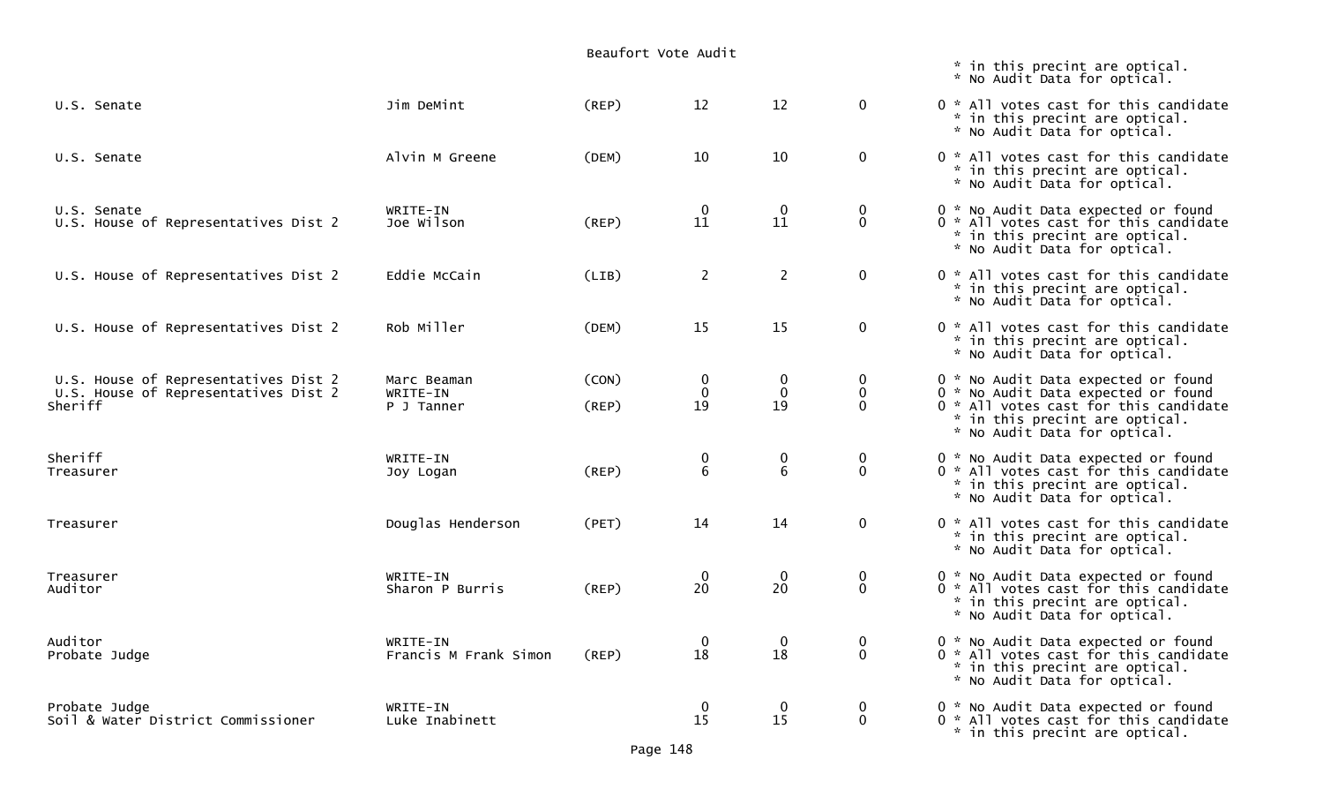|                                                                                         |                                       | Beaufort Vote Audit  |                                      |                                       |                                     |                                                                                                                                                                                       |  |  |
|-----------------------------------------------------------------------------------------|---------------------------------------|----------------------|--------------------------------------|---------------------------------------|-------------------------------------|---------------------------------------------------------------------------------------------------------------------------------------------------------------------------------------|--|--|
|                                                                                         |                                       |                      |                                      |                                       |                                     | * in this precint are optical.<br>* No Audit Data for optical.                                                                                                                        |  |  |
| U.S. Senate                                                                             | Jim DeMint                            | $($ REP $)$          | 12                                   | 12                                    | $\mathbf 0$                         | 0 * All votes cast for this candidate<br>* in this precint are optical.<br>* No Audit Data for optical.                                                                               |  |  |
| U.S. Senate                                                                             | Alvin M Greene                        | (DEM)                | 10                                   | 10                                    | $\mathbf 0$                         | 0 * All votes cast for this candidate<br>* in this precint are optical.<br>* No Audit Data for optical.                                                                               |  |  |
| U.S. Senate<br>U.S. House of Representatives Dist 2                                     | WRITE-IN<br>Joe Wilson                | $($ REP $)$          | $\bf{0}$<br>11                       | $\mathbf{0}$<br>11                    | 0<br>$\mathbf 0$                    | 0 * No Audit Data expected or found<br>0 * All votes cast for this candidate<br>* in this precint are optical.<br>* No Audit Data for optical.                                        |  |  |
| U.S. House of Representatives Dist 2                                                    | Eddie McCain                          | (LIB)                | $\overline{2}$                       | $\overline{2}$                        | $\mathbf 0$                         | 0 * All votes cast for this candidate<br>* in this precint are optical.<br>* No Audit Data for optical.                                                                               |  |  |
| U.S. House of Representatives Dist 2                                                    | Rob Miller                            | (DEM)                | 15                                   | 15                                    | $\mathbf 0$                         | 0 * All votes cast for this candidate<br>* in this precint are optical.<br>* No Audit Data for optical.                                                                               |  |  |
| U.S. House of Representatives Dist 2<br>U.S. House of Representatives Dist 2<br>Sheriff | Marc Beaman<br>WRITE-IN<br>P J Tanner | (CON)<br>$($ REP $)$ | $\mathbf 0$<br>$\mathbf 0$<br>19     | $\boldsymbol{0}$<br>$\mathbf 0$<br>19 | $\bf{0}$<br>$\mathbf 0$<br>$\Omega$ | 0 * No Audit Data expected or found<br>0 * No Audit Data expected or found<br>0 * All votes cast for this candidate<br>* in this precint are optical.<br>* No Audit Data for optical. |  |  |
| Sheriff<br>Treasurer                                                                    | WRITE-IN<br>Joy Logan                 | $($ REP $)$          | $\begin{matrix} 0 \\ 6 \end{matrix}$ | $\begin{matrix}0\\6\end{matrix}$      | 0<br>$\mathbf 0$                    | 0 * No Audit Data expected or found<br>0 * All votes cast for this candidate<br>* in this precint are optical.<br>* No Audit Data for optical.                                        |  |  |
| Treasurer                                                                               | Douglas Henderson                     | (PET)                | 14                                   | 14                                    | $\mathbf 0$                         | 0 * All votes cast for this candidate<br>* in this precint are optical.<br>* No Audit Data for optical.                                                                               |  |  |
| Treasurer<br>Auditor                                                                    | WRITE-IN<br>Sharon P Burris           | (REP)                | $\bf{0}$<br>20                       | $\bf{0}$<br>20                        | 0<br>$\mathbf 0$                    | 0 * No Audit Data expected or found<br>0 * All votes cast for this candidate<br>* in this precint are optical.<br>* No Audit Data for optical.                                        |  |  |
| Auditor<br>Probate Judge                                                                | WRITE-IN<br>Francis M Frank Simon     | $($ REP $)$          | $\bf{0}$<br>18                       | $\boldsymbol{0}$<br>18                | 0<br>$\mathbf 0$                    | 0 * No Audit Data expected or found<br>0 * All votes cast for this candidate<br>* in this precint are optical.<br>* No Audit Data for optical.                                        |  |  |
| Probate Judge<br>Soil & Water District Commissioner                                     | WRITE-IN<br>Luke Inabinett            |                      | $\bf{0}$<br>15                       | $\mathbf 0$<br>15                     | $\mathbf 0$<br>$\mathbf 0$          | 0 * No Audit Data expected or found<br>0 * All votes cast for this candidate<br>* in this precint are optical.                                                                        |  |  |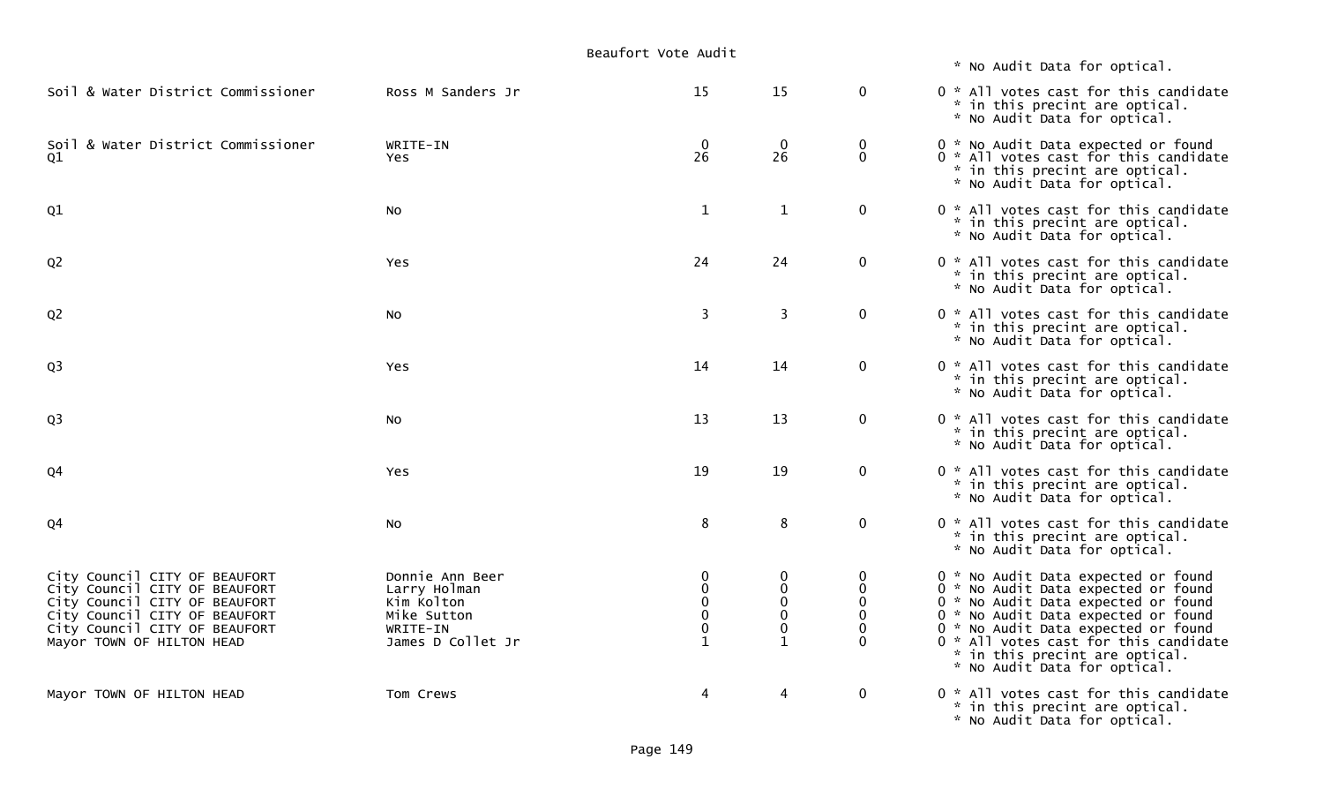\* No Audit Data for optical.

| Soil & Water District Commissioner                             | Ross M Sanders Jr          | 15                          | 15                          | 0                        | 0 * All votes cast for this candidate<br>* in this precint are optical.<br>* No Audit Data for optical.                                        |
|----------------------------------------------------------------|----------------------------|-----------------------------|-----------------------------|--------------------------|------------------------------------------------------------------------------------------------------------------------------------------------|
| Soil & Water District Commissioner<br>Q1                       | WRITE-IN<br>Yes.           | $\mathbf 0$<br>26           | $\mathbf 0$<br>26           | 0<br>$\mathbf 0$         | 0 * No Audit Data expected or found<br>0 * All votes cast for this candidate<br>* in this precint are optical.<br>* No Audit Data for optical. |
| Q1                                                             | NO.                        | $\mathbf{1}$                | $\mathbf{1}$                | $\mathbf 0$              | 0 * All votes cast for this candidate<br>* in this precint are optical.<br>* No Audit Data for optical.                                        |
| Q <sub>2</sub>                                                 | <b>Yes</b>                 | 24                          | 24                          | $\mathbf 0$              | 0 * All votes cast for this candidate<br>* in this precint are optical.<br>* No Audit Data for optical.                                        |
| Q <sub>2</sub>                                                 | NO.                        | 3                           | $\overline{3}$              | $\mathbf 0$              | 0 * All votes cast for this candidate<br>* in this precint are optical.<br>* No Audit Data for optical.                                        |
| Q <sub>3</sub>                                                 | <b>Yes</b>                 | 14                          | 14                          | $\mathbf 0$              | 0 * All votes cast for this candidate<br>* in this precint are optical.<br>* No Audit Data for optical.                                        |
| Q <sub>3</sub>                                                 | NO.                        | 13                          | 13                          | $\mathbf 0$              | 0 * All votes cast for this candidate<br>* in this precint are optical.<br>* No Audit Data for optical.                                        |
| Q <sub>4</sub>                                                 | Yes                        | 19                          | 19                          | $\overline{0}$           | 0 * All votes cast for this candidate<br>* in this precint are optical.<br>* No Audit Data for optical.                                        |
| Q4                                                             | NO.                        | 8                           | 8                           | 0                        | 0 * All votes cast for this candidate<br>* in this precint are optical.<br>* No Audit Data for optical.                                        |
| City Council CITY OF BEAUFORT                                  | Donnie Ann Beer            | $\mathbf 0$                 | 0                           | 0                        | 0 * No Audit Data expected or found                                                                                                            |
| City Council CITY OF BEAUFORT                                  | Larry Holman<br>Kim Kolton | $\mathbf{0}$<br>$\mathbf 0$ | $\mathbf 0$<br>$\mathbf{0}$ | $\mathbf{0}$<br>$\Omega$ | 0 * No Audit Data expected or found<br>0 * No Audit Data expected or found                                                                     |
| City Council CITY OF BEAUFORT<br>City Council CITY OF BEAUFORT | Mike Sutton                | $\mathbf 0$                 | $\mathbf 0$                 | $\Omega$                 | 0 * No Audit Data expected or found                                                                                                            |
| City Council CITY OF BEAUFORT                                  | WRITE-IN                   | $\mathbf{0}$                | $\mathbf 0$                 | $\Omega$                 | 0 * No Audit Data expected or found                                                                                                            |
| Mayor TOWN OF HILTON HEAD                                      | James D Collet Jr          | $\mathbf{1}$                | $\mathbf 1$                 | $\Omega$                 | 0 * All votes cast for this candidate<br>* in this precint are optical.<br>* No Audit Data for optical.                                        |
| Mayor TOWN OF HILTON HEAD                                      | Tom Crews                  | $\overline{4}$              | $\overline{4}$              | $\overline{0}$           | 0 * All votes cast for this candidate<br>* in this precint are optical.<br>* No Audit Data for optical.                                        |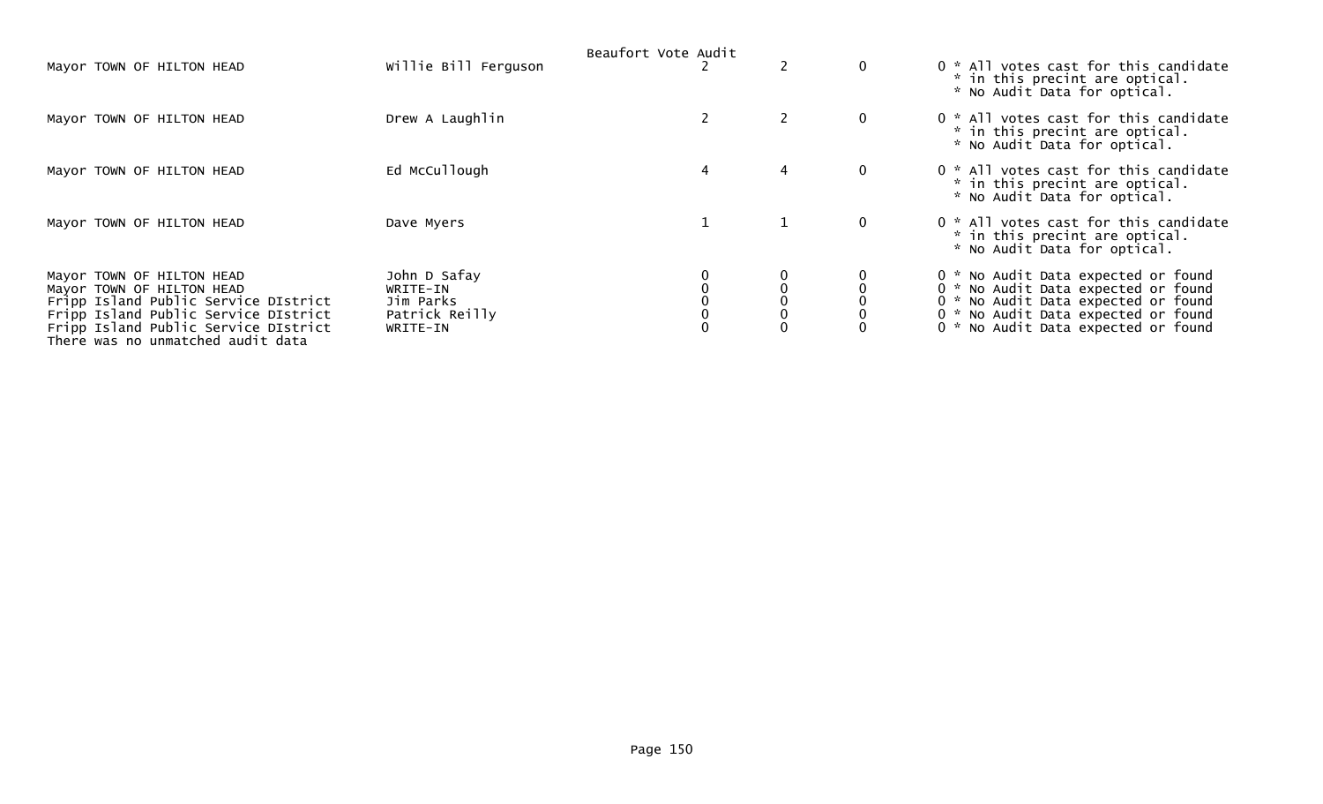|                                                                           |                      | Beaufort Vote Audit |   |   |              |                                                                                                         |
|---------------------------------------------------------------------------|----------------------|---------------------|---|---|--------------|---------------------------------------------------------------------------------------------------------|
| Mayor TOWN OF HILTON HEAD                                                 | Willie Bill Ferguson |                     |   |   | $\mathbf{0}$ | 0 * All votes cast for this candidate<br>* in this precint are optical.<br>* No Audit Data for optical. |
| Mayor TOWN OF HILTON HEAD                                                 | Drew A Laughlin      |                     |   |   | $\mathbf{0}$ | 0 * All votes cast for this candidate<br>* in this precint are optical.<br>* No Audit Data for optical. |
| Mayor TOWN OF HILTON HEAD                                                 | Ed McCullough        |                     | 4 | 4 | $\mathbf{0}$ | 0 * All votes cast for this candidate<br>* in this precint are optical.<br>* No Audit Data for optical. |
| Mayor TOWN OF HILTON HEAD                                                 | Dave Myers           |                     |   |   | $\mathbf{0}$ | 0 * All votes cast for this candidate<br>* in this precint are optical.<br>* No Audit Data for optical. |
| Mayor TOWN OF HILTON HEAD                                                 | John D Safay         |                     |   |   |              | 0 * No Audit Data expected or found                                                                     |
| Mayor TOWN OF HILTON HEAD                                                 | WRITE-IN             |                     |   |   |              | 0 * No Audit Data expected or found                                                                     |
| Fripp Island Public Service DIstrict                                      | Jim Parks            |                     |   |   |              | 0 * No Audit Data expected or found                                                                     |
| Fripp Island Public Service DIstrict                                      | Patrick Reilly       |                     |   |   |              | 0 * No Audit Data expected or found                                                                     |
| Fripp Island Public Service DIstrict<br>There was no unmatched audit data | WRITE-IN             |                     |   |   |              | 0 * No Audit Data expected or found                                                                     |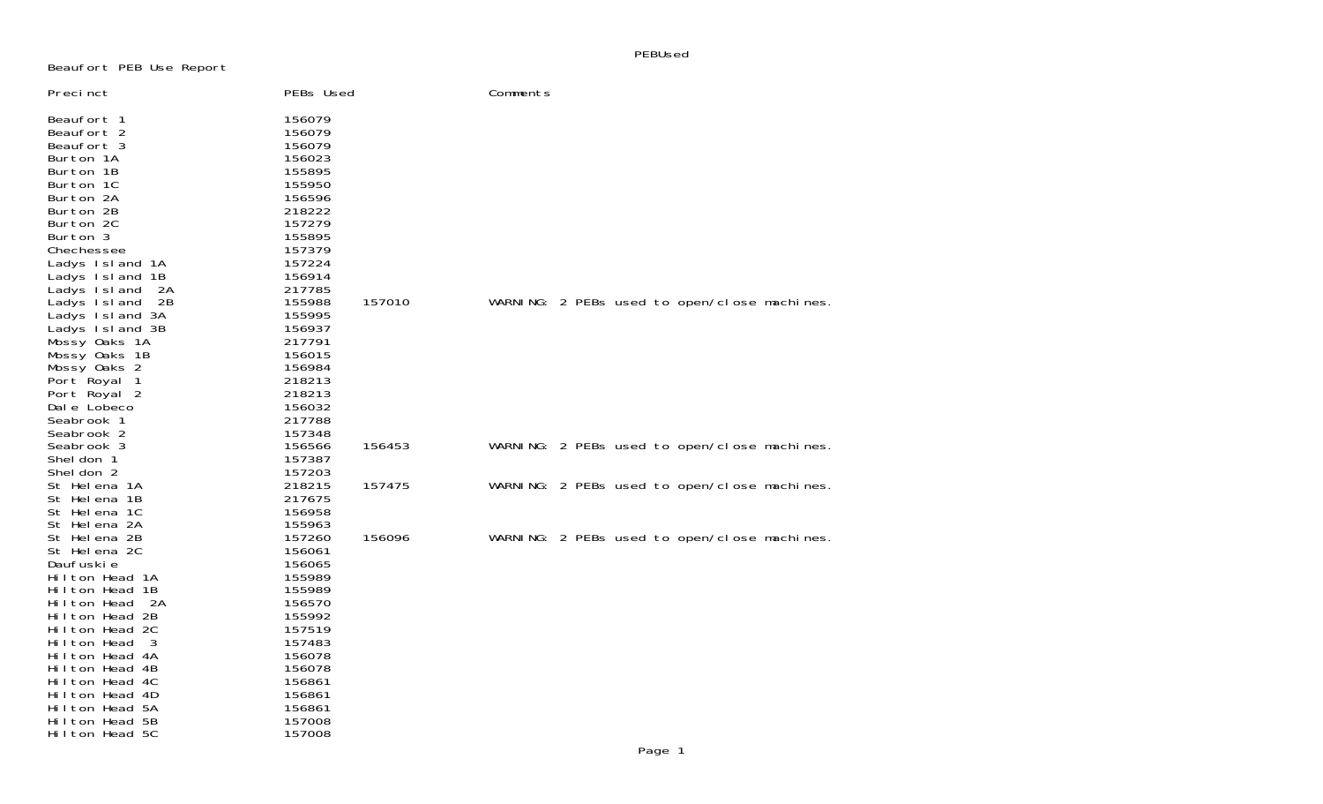PEBUsed

## Beaufort PEB Use Report

| Precinct                                                                                                                         | PEBs Used                                                                                        |        | Comments |  |                                              |  |
|----------------------------------------------------------------------------------------------------------------------------------|--------------------------------------------------------------------------------------------------|--------|----------|--|----------------------------------------------|--|
| Beaufort 1<br>Beaufort 2<br>Beaufort 3<br>Burton 1A<br>Burton 1B<br>Burton 1C<br>Burton 2A<br>Burton 2B<br>Burton 2C<br>Burton 3 | 156079<br>156079<br>156079<br>156023<br>155895<br>155950<br>156596<br>218222<br>157279<br>155895 |        |          |  |                                              |  |
| Chechessee<br>Ladys Island 1A                                                                                                    | 157379<br>157224                                                                                 |        |          |  |                                              |  |
| Ladys Island 1B                                                                                                                  | 156914                                                                                           |        |          |  |                                              |  |
| Ladys Island<br>- 2A                                                                                                             | 217785                                                                                           |        |          |  |                                              |  |
| Ladys Island<br>- 2B                                                                                                             | 155988                                                                                           | 157010 |          |  | WARNING: 2 PEBs used to open/close machines. |  |
| Ladys Island 3A<br>Ladys Island 3B                                                                                               | 155995<br>156937                                                                                 |        |          |  |                                              |  |
| Mossy Oaks 1A                                                                                                                    | 217791                                                                                           |        |          |  |                                              |  |
| Mossy Oaks 1B                                                                                                                    | 156015                                                                                           |        |          |  |                                              |  |
| Mossy Oaks 2                                                                                                                     | 156984                                                                                           |        |          |  |                                              |  |
| Port Royal 1                                                                                                                     | 218213                                                                                           |        |          |  |                                              |  |
| Port Royal 2                                                                                                                     | 218213                                                                                           |        |          |  |                                              |  |
| Dale Lobeco                                                                                                                      | 156032                                                                                           |        |          |  |                                              |  |
| Seabrook 1                                                                                                                       | 217788                                                                                           |        |          |  |                                              |  |
| Seabrook 2<br>Seabrook 3                                                                                                         | 157348<br>156566                                                                                 | 156453 |          |  | WARNING: 2 PEBs used to open/close machines. |  |
| Shel don 1                                                                                                                       | 157387                                                                                           |        |          |  |                                              |  |
| Shel don 2                                                                                                                       | 157203                                                                                           |        |          |  |                                              |  |
| St Helena 1A                                                                                                                     | 218215                                                                                           | 157475 |          |  | WARNING: 2 PEBs used to open/close machines. |  |
| St Helena 1B                                                                                                                     | 217675                                                                                           |        |          |  |                                              |  |
| St Helena 1C                                                                                                                     | 156958                                                                                           |        |          |  |                                              |  |
| St Helena 2A                                                                                                                     | 155963                                                                                           |        |          |  |                                              |  |
| St Helena 2B                                                                                                                     | 157260                                                                                           | 156096 |          |  | WARNING: 2 PEBs used to open/close machines. |  |
| St Helena 2C                                                                                                                     | 156061                                                                                           |        |          |  |                                              |  |
| Daufuski e<br>Hilton Head 1A                                                                                                     | 156065<br>155989                                                                                 |        |          |  |                                              |  |
| Hilton Head 1B                                                                                                                   | 155989                                                                                           |        |          |  |                                              |  |
| Hilton Head<br>- 2A                                                                                                              | 156570                                                                                           |        |          |  |                                              |  |
| Hilton Head 2B                                                                                                                   | 155992                                                                                           |        |          |  |                                              |  |
| Hilton Head 2C                                                                                                                   | 157519                                                                                           |        |          |  |                                              |  |
| Hilton Head<br>- 3                                                                                                               | 157483                                                                                           |        |          |  |                                              |  |
| Hilton Head 4A                                                                                                                   | 156078                                                                                           |        |          |  |                                              |  |
| Hilton Head 4B                                                                                                                   | 156078                                                                                           |        |          |  |                                              |  |
| Hilton Head 4C                                                                                                                   | 156861                                                                                           |        |          |  |                                              |  |
| Hilton Head 4D                                                                                                                   | 156861                                                                                           |        |          |  |                                              |  |
| Hilton Head 5A                                                                                                                   | 156861                                                                                           |        |          |  |                                              |  |
| Hilton Head 5B<br>Hilton Head 5C                                                                                                 | 157008<br>157008                                                                                 |        |          |  |                                              |  |
|                                                                                                                                  |                                                                                                  |        |          |  |                                              |  |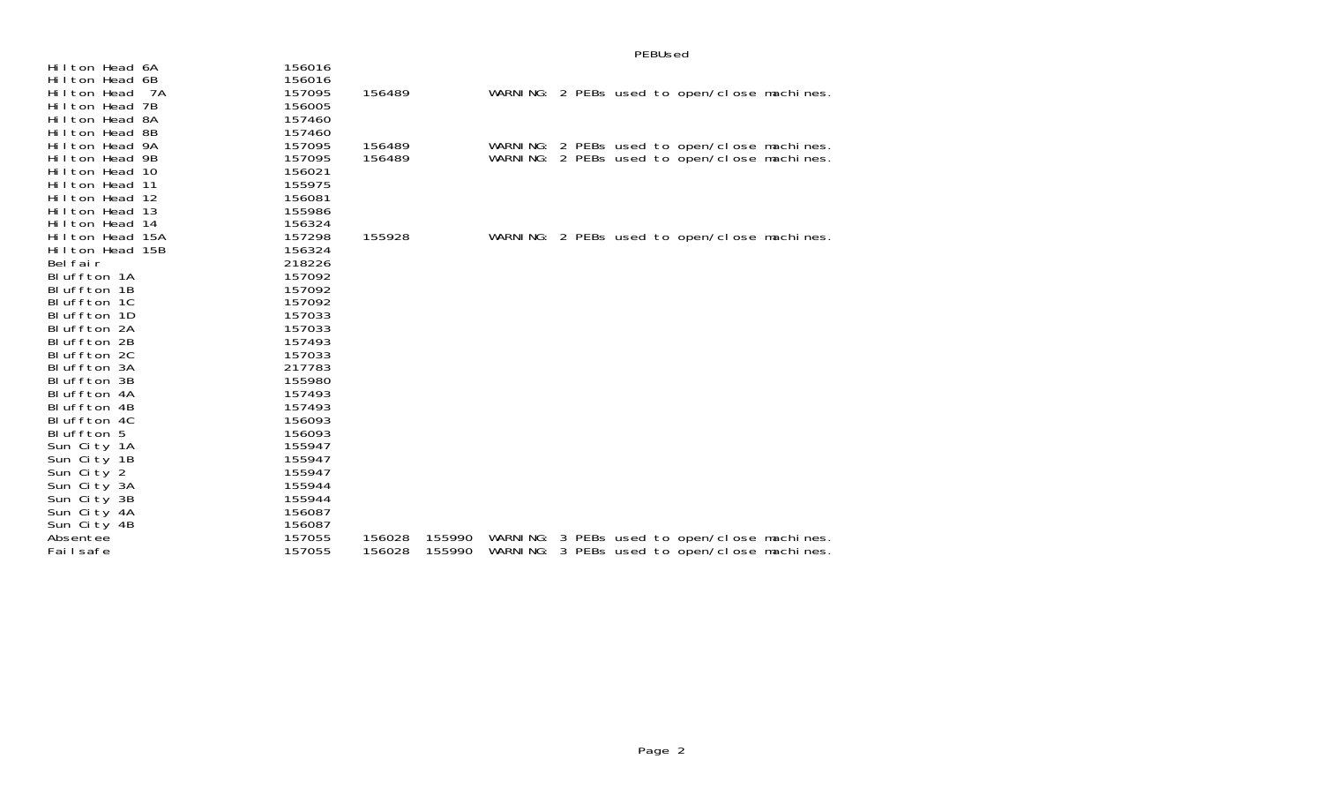| Hilton Head 6A                        | 156016           |        |        |  |  |                                                                                              |  |
|---------------------------------------|------------------|--------|--------|--|--|----------------------------------------------------------------------------------------------|--|
| Hilton Head 6B                        | 156016           |        |        |  |  |                                                                                              |  |
| Hilton Head<br>- 7A<br>Hilton Head 7B | 157095<br>156005 | 156489 |        |  |  | WARNING: 2 PEBs used to open/close machines.                                                 |  |
| Hilton Head 8A                        | 157460           |        |        |  |  |                                                                                              |  |
| Hilton Head 8B                        | 157460           |        |        |  |  |                                                                                              |  |
| Hilton Head 9A                        | 157095           | 156489 |        |  |  |                                                                                              |  |
| Hilton Head 9B                        | 157095           | 156489 |        |  |  | WARNING: 2 PEBs used to open/close machines.<br>WARNING: 2 PEBs used to open/close machines. |  |
| Hilton Head 10                        | 156021           |        |        |  |  |                                                                                              |  |
| Hilton Head 11                        | 155975           |        |        |  |  |                                                                                              |  |
| Hilton Head 12                        | 156081           |        |        |  |  |                                                                                              |  |
| Hilton Head 13                        | 155986           |        |        |  |  |                                                                                              |  |
| Hilton Head 14                        | 156324           |        |        |  |  |                                                                                              |  |
| Hilton Head 15A                       | 157298           | 155928 |        |  |  | WARNING: 2 PEBs used to open/close machines.                                                 |  |
| Hilton Head 15B                       | 156324           |        |        |  |  |                                                                                              |  |
| Bel fair                              | 218226           |        |        |  |  |                                                                                              |  |
| Bluffton 1A                           | 157092           |        |        |  |  |                                                                                              |  |
| Bluffton 1B                           | 157092           |        |        |  |  |                                                                                              |  |
| Bluffton 1C                           | 157092           |        |        |  |  |                                                                                              |  |
| Bluffton 1D                           | 157033           |        |        |  |  |                                                                                              |  |
| Bluffton 2A                           | 157033           |        |        |  |  |                                                                                              |  |
| Bluffton 2B                           | 157493           |        |        |  |  |                                                                                              |  |
| Bluffton 2C                           | 157033           |        |        |  |  |                                                                                              |  |
| Bluffton 3A                           | 217783           |        |        |  |  |                                                                                              |  |
| Bluffton 3B                           | 155980           |        |        |  |  |                                                                                              |  |
| Bluffton 4A                           | 157493           |        |        |  |  |                                                                                              |  |
| Bluffton 4B                           | 157493           |        |        |  |  |                                                                                              |  |
| Bluffton 4C                           | 156093           |        |        |  |  |                                                                                              |  |
| Bluffton 5                            | 156093           |        |        |  |  |                                                                                              |  |
| Sun City 1A                           | 155947           |        |        |  |  |                                                                                              |  |
| Sun City 1B                           | 155947           |        |        |  |  |                                                                                              |  |
| Sun City 2                            | 155947           |        |        |  |  |                                                                                              |  |
| Sun City 3A                           | 155944           |        |        |  |  |                                                                                              |  |
| Sun City 3B                           | 155944           |        |        |  |  |                                                                                              |  |
| Sun City 4A                           | 156087           |        |        |  |  |                                                                                              |  |
| Sun City 4B                           | 156087           |        |        |  |  |                                                                                              |  |
| Absentee                              | 157055           | 156028 | 155990 |  |  | WARNING: 3 PEBs used to open/close machines.                                                 |  |
| Failsafe                              | 157055           | 156028 | 155990 |  |  | WARNING: 3 PEBs used to open/close machines.                                                 |  |

## PEBUsed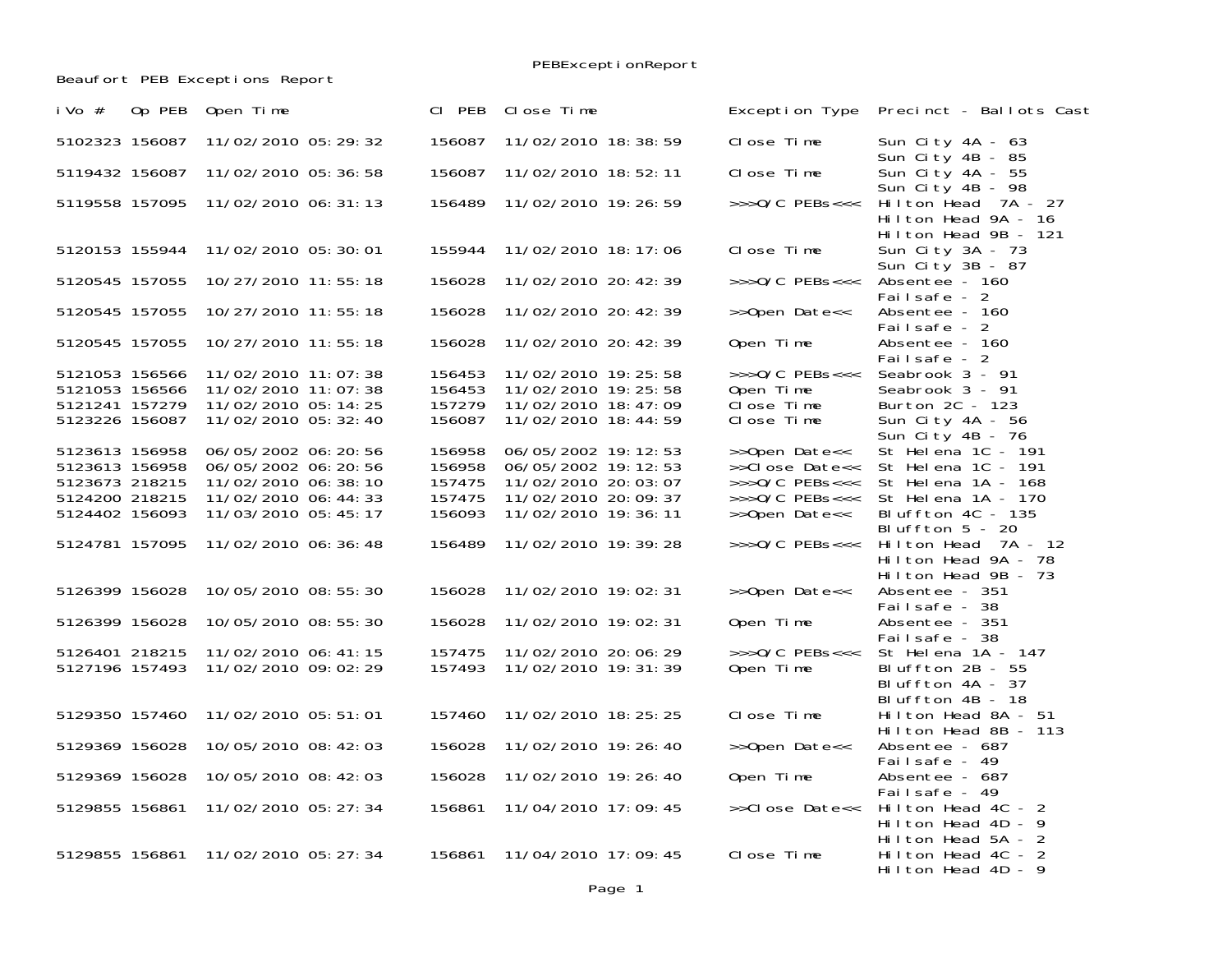Beaufort PEB Exceptions Report

PEBExceptionReport

| 5102323 156087<br>11/02/2010 05: 29: 32<br>156087<br>11/02/2010 18:38:59<br>Close Time<br>Sun City 4A - 63<br>Sun City 4B - 85<br>Sun City 4A - 55<br>5119432 156087<br>11/02/2010 05:36:58<br>156087<br>11/02/2010 18:52:11<br>Close Time<br>Sun City $4B - 98$<br>11/02/2010 06: 31: 13<br>156489<br>11/02/2010 19: 26: 59<br>$\gg$ >0/C PEBs<<<<br>Hilton Head 7A - 27<br>5119558 157095<br>Hilton Head 9A - 16<br>Hilton Head 9B - 121<br>11/02/2010 05:30:01<br>Close Time<br>Sun City 3A - 73<br>5120153 155944<br>155944<br>11/02/2010 18: 17: 06<br>Sun City 3B - 87<br>5120545 157055<br>10/27/2010 11:55:18<br>156028<br>11/02/2010 20: 42: 39<br>Absentee - 160<br>$\rightarrow$ >>0/C PEBs<<<<br>Failsafe - 2<br>156028<br>5120545 157055<br>10/27/2010 11:55:18<br>11/02/2010 20: 42: 39<br>>>Open Date<<<br>Absentee - 160<br>Failsafe - 2<br>5120545 157055<br>10/27/2010 11:55:18<br>156028<br>11/02/2010 20: 42: 39<br>Open Time<br>Absentee - 160<br>Failsafe - 2<br>5121053 156566<br>$\gg$ >0/C PEBs<<<<br>Seabrook 3 - 91<br>11/02/2010 11:07:38<br>156453<br>11/02/2010 19: 25: 58<br>5121053 156566<br>11/02/2010 11:07:38<br>156453<br>11/02/2010 19: 25: 58<br>Open Time<br>Seabrook 3 - 91<br>5121241 157279<br>157279<br>11/02/2010 18: 47: 09<br>Close Time<br>Burton 2C - 123<br>11/02/2010 05:14:25<br>156087<br>Sun City 4A - 56<br>5123226 156087<br>11/02/2010 05:32:40<br>11/02/2010 18:44:59<br>Close Time<br>Sun City 4B - 76<br>St Helena 1C - 191<br>5123613 156958<br>06/05/2002 06:20:56<br>156958<br>06/05/2002 19:12:53<br>>>Open Date<<<br>156958<br>>>Close Date<< St Helena 1C - 191<br>5123613 156958<br>06/05/2002 06:20:56<br>06/05/2002 19:12:53<br>5123673 218215<br>11/02/2010 06:38:10<br>157475<br>11/02/2010 20:03:07<br>>>>0/C PEBs<<< St Helena 1A - 168<br>5124200 218215<br>11/02/2010 06:44:33<br>157475<br>11/02/2010 20:09:37<br>$\rightarrow$ >>0/C PEBs<<<<br>St Helena 1A - 170<br>5124402 156093<br>11/03/2010 05: 45: 17<br>156093<br>11/02/2010 19:36:11<br>>>Open Date<<<br>Bluffton 4C - 135<br>Bluffton $5 - 20$<br>156489<br>>>>0/C PEBs<<< Hilton Head 7A - 12<br>5124781 157095<br>11/02/2010 06:36:48<br>11/02/2010 19: 39: 28<br>Hilton Head 9A - 78<br>Hilton Head 9B - 73<br>5126399 156028<br>10/05/2010 08:55:30<br>156028<br>11/02/2010 19:02:31<br>>>Open Date<<<br>Absentee - 351<br>Failsafe - 38<br>10/05/2010 08:55:30<br>156028<br>11/02/2010 19:02:31<br>Open Time<br>5126399 156028<br>Absentee - 351<br>Failsafe - 38<br>5126401 218215<br>$\gg$ >0/C PEBs<<<<br>11/02/2010 06: 41: 15<br>157475<br>11/02/2010 20:06:29<br>St Helena 1A - 147<br>157493<br>5127196 157493<br>Open Time<br>Bluffton 2B - 55<br>11/02/2010 09:02:29<br>11/02/2010 19: 31: 39<br>Bluffton 4A - 37<br>Bluffton 4B - 18<br>5129350 157460<br>157460<br>11/02/2010 18: 25: 25<br>Close Time<br>11/02/2010 05:51:01<br>Hilton Head 8A - 51<br>Hilton Head 8B - 113<br>5129369 156028<br>10/05/2010 08:42:03<br>156028<br>11/02/2010 19: 26: 40<br>>>Open Date<<<br>Absentee - 687<br>Failsafe - 49<br>5129369 156028<br>10/05/2010 08:42:03<br>156028<br>11/02/2010 19: 26: 40<br>Open Time<br>Absentee - 687<br>Failsafe - 49<br>11/02/2010 05: 27: 34<br>156861<br>11/04/2010 17:09:45<br>5129855 156861<br>>>Close Date<<<br>Hilton Head 4C - 2<br>Hilton Head 4D - 9<br>Hilton Head 5A - 2<br>11/02/2010 05: 27: 34<br>156861<br>5129855 156861<br>11/04/2010 17:09:45<br>Close Time<br>Hilton Head 4C - 2 | Op PEB<br>i Vo $#$ | Open Time | CI PEB | Close Time | Exception Type Precinct - Ballots Cast |
|----------------------------------------------------------------------------------------------------------------------------------------------------------------------------------------------------------------------------------------------------------------------------------------------------------------------------------------------------------------------------------------------------------------------------------------------------------------------------------------------------------------------------------------------------------------------------------------------------------------------------------------------------------------------------------------------------------------------------------------------------------------------------------------------------------------------------------------------------------------------------------------------------------------------------------------------------------------------------------------------------------------------------------------------------------------------------------------------------------------------------------------------------------------------------------------------------------------------------------------------------------------------------------------------------------------------------------------------------------------------------------------------------------------------------------------------------------------------------------------------------------------------------------------------------------------------------------------------------------------------------------------------------------------------------------------------------------------------------------------------------------------------------------------------------------------------------------------------------------------------------------------------------------------------------------------------------------------------------------------------------------------------------------------------------------------------------------------------------------------------------------------------------------------------------------------------------------------------------------------------------------------------------------------------------------------------------------------------------------------------------------------------------------------------------------------------------------------------------------------------------------------------------------------------------------------------------------------------------------------------------------------------------------------------------------------------------------------------------------------------------------------------------------------------------------------------------------------------------------------------------------------------------------------------------------------------------------------------------------------------------------------------------------------------------------------------------------------------------------------------------------------------------------------------------------------------------------------------------------------------------------------------------------------------------------------------------------------------------------------------------------------------------------------------------------------------------------------------------------|--------------------|-----------|--------|------------|----------------------------------------|
|                                                                                                                                                                                                                                                                                                                                                                                                                                                                                                                                                                                                                                                                                                                                                                                                                                                                                                                                                                                                                                                                                                                                                                                                                                                                                                                                                                                                                                                                                                                                                                                                                                                                                                                                                                                                                                                                                                                                                                                                                                                                                                                                                                                                                                                                                                                                                                                                                                                                                                                                                                                                                                                                                                                                                                                                                                                                                                                                                                                                                                                                                                                                                                                                                                                                                                                                                                                                                                                                                  |                    |           |        |            |                                        |
|                                                                                                                                                                                                                                                                                                                                                                                                                                                                                                                                                                                                                                                                                                                                                                                                                                                                                                                                                                                                                                                                                                                                                                                                                                                                                                                                                                                                                                                                                                                                                                                                                                                                                                                                                                                                                                                                                                                                                                                                                                                                                                                                                                                                                                                                                                                                                                                                                                                                                                                                                                                                                                                                                                                                                                                                                                                                                                                                                                                                                                                                                                                                                                                                                                                                                                                                                                                                                                                                                  |                    |           |        |            |                                        |
|                                                                                                                                                                                                                                                                                                                                                                                                                                                                                                                                                                                                                                                                                                                                                                                                                                                                                                                                                                                                                                                                                                                                                                                                                                                                                                                                                                                                                                                                                                                                                                                                                                                                                                                                                                                                                                                                                                                                                                                                                                                                                                                                                                                                                                                                                                                                                                                                                                                                                                                                                                                                                                                                                                                                                                                                                                                                                                                                                                                                                                                                                                                                                                                                                                                                                                                                                                                                                                                                                  |                    |           |        |            |                                        |
|                                                                                                                                                                                                                                                                                                                                                                                                                                                                                                                                                                                                                                                                                                                                                                                                                                                                                                                                                                                                                                                                                                                                                                                                                                                                                                                                                                                                                                                                                                                                                                                                                                                                                                                                                                                                                                                                                                                                                                                                                                                                                                                                                                                                                                                                                                                                                                                                                                                                                                                                                                                                                                                                                                                                                                                                                                                                                                                                                                                                                                                                                                                                                                                                                                                                                                                                                                                                                                                                                  |                    |           |        |            |                                        |
|                                                                                                                                                                                                                                                                                                                                                                                                                                                                                                                                                                                                                                                                                                                                                                                                                                                                                                                                                                                                                                                                                                                                                                                                                                                                                                                                                                                                                                                                                                                                                                                                                                                                                                                                                                                                                                                                                                                                                                                                                                                                                                                                                                                                                                                                                                                                                                                                                                                                                                                                                                                                                                                                                                                                                                                                                                                                                                                                                                                                                                                                                                                                                                                                                                                                                                                                                                                                                                                                                  |                    |           |        |            |                                        |
|                                                                                                                                                                                                                                                                                                                                                                                                                                                                                                                                                                                                                                                                                                                                                                                                                                                                                                                                                                                                                                                                                                                                                                                                                                                                                                                                                                                                                                                                                                                                                                                                                                                                                                                                                                                                                                                                                                                                                                                                                                                                                                                                                                                                                                                                                                                                                                                                                                                                                                                                                                                                                                                                                                                                                                                                                                                                                                                                                                                                                                                                                                                                                                                                                                                                                                                                                                                                                                                                                  |                    |           |        |            |                                        |
|                                                                                                                                                                                                                                                                                                                                                                                                                                                                                                                                                                                                                                                                                                                                                                                                                                                                                                                                                                                                                                                                                                                                                                                                                                                                                                                                                                                                                                                                                                                                                                                                                                                                                                                                                                                                                                                                                                                                                                                                                                                                                                                                                                                                                                                                                                                                                                                                                                                                                                                                                                                                                                                                                                                                                                                                                                                                                                                                                                                                                                                                                                                                                                                                                                                                                                                                                                                                                                                                                  |                    |           |        |            |                                        |
|                                                                                                                                                                                                                                                                                                                                                                                                                                                                                                                                                                                                                                                                                                                                                                                                                                                                                                                                                                                                                                                                                                                                                                                                                                                                                                                                                                                                                                                                                                                                                                                                                                                                                                                                                                                                                                                                                                                                                                                                                                                                                                                                                                                                                                                                                                                                                                                                                                                                                                                                                                                                                                                                                                                                                                                                                                                                                                                                                                                                                                                                                                                                                                                                                                                                                                                                                                                                                                                                                  |                    |           |        |            |                                        |
|                                                                                                                                                                                                                                                                                                                                                                                                                                                                                                                                                                                                                                                                                                                                                                                                                                                                                                                                                                                                                                                                                                                                                                                                                                                                                                                                                                                                                                                                                                                                                                                                                                                                                                                                                                                                                                                                                                                                                                                                                                                                                                                                                                                                                                                                                                                                                                                                                                                                                                                                                                                                                                                                                                                                                                                                                                                                                                                                                                                                                                                                                                                                                                                                                                                                                                                                                                                                                                                                                  |                    |           |        |            |                                        |
|                                                                                                                                                                                                                                                                                                                                                                                                                                                                                                                                                                                                                                                                                                                                                                                                                                                                                                                                                                                                                                                                                                                                                                                                                                                                                                                                                                                                                                                                                                                                                                                                                                                                                                                                                                                                                                                                                                                                                                                                                                                                                                                                                                                                                                                                                                                                                                                                                                                                                                                                                                                                                                                                                                                                                                                                                                                                                                                                                                                                                                                                                                                                                                                                                                                                                                                                                                                                                                                                                  |                    |           |        |            |                                        |
|                                                                                                                                                                                                                                                                                                                                                                                                                                                                                                                                                                                                                                                                                                                                                                                                                                                                                                                                                                                                                                                                                                                                                                                                                                                                                                                                                                                                                                                                                                                                                                                                                                                                                                                                                                                                                                                                                                                                                                                                                                                                                                                                                                                                                                                                                                                                                                                                                                                                                                                                                                                                                                                                                                                                                                                                                                                                                                                                                                                                                                                                                                                                                                                                                                                                                                                                                                                                                                                                                  |                    |           |        |            |                                        |
|                                                                                                                                                                                                                                                                                                                                                                                                                                                                                                                                                                                                                                                                                                                                                                                                                                                                                                                                                                                                                                                                                                                                                                                                                                                                                                                                                                                                                                                                                                                                                                                                                                                                                                                                                                                                                                                                                                                                                                                                                                                                                                                                                                                                                                                                                                                                                                                                                                                                                                                                                                                                                                                                                                                                                                                                                                                                                                                                                                                                                                                                                                                                                                                                                                                                                                                                                                                                                                                                                  |                    |           |        |            |                                        |
|                                                                                                                                                                                                                                                                                                                                                                                                                                                                                                                                                                                                                                                                                                                                                                                                                                                                                                                                                                                                                                                                                                                                                                                                                                                                                                                                                                                                                                                                                                                                                                                                                                                                                                                                                                                                                                                                                                                                                                                                                                                                                                                                                                                                                                                                                                                                                                                                                                                                                                                                                                                                                                                                                                                                                                                                                                                                                                                                                                                                                                                                                                                                                                                                                                                                                                                                                                                                                                                                                  |                    |           |        |            |                                        |
|                                                                                                                                                                                                                                                                                                                                                                                                                                                                                                                                                                                                                                                                                                                                                                                                                                                                                                                                                                                                                                                                                                                                                                                                                                                                                                                                                                                                                                                                                                                                                                                                                                                                                                                                                                                                                                                                                                                                                                                                                                                                                                                                                                                                                                                                                                                                                                                                                                                                                                                                                                                                                                                                                                                                                                                                                                                                                                                                                                                                                                                                                                                                                                                                                                                                                                                                                                                                                                                                                  |                    |           |        |            |                                        |
|                                                                                                                                                                                                                                                                                                                                                                                                                                                                                                                                                                                                                                                                                                                                                                                                                                                                                                                                                                                                                                                                                                                                                                                                                                                                                                                                                                                                                                                                                                                                                                                                                                                                                                                                                                                                                                                                                                                                                                                                                                                                                                                                                                                                                                                                                                                                                                                                                                                                                                                                                                                                                                                                                                                                                                                                                                                                                                                                                                                                                                                                                                                                                                                                                                                                                                                                                                                                                                                                                  |                    |           |        |            |                                        |
|                                                                                                                                                                                                                                                                                                                                                                                                                                                                                                                                                                                                                                                                                                                                                                                                                                                                                                                                                                                                                                                                                                                                                                                                                                                                                                                                                                                                                                                                                                                                                                                                                                                                                                                                                                                                                                                                                                                                                                                                                                                                                                                                                                                                                                                                                                                                                                                                                                                                                                                                                                                                                                                                                                                                                                                                                                                                                                                                                                                                                                                                                                                                                                                                                                                                                                                                                                                                                                                                                  |                    |           |        |            |                                        |
|                                                                                                                                                                                                                                                                                                                                                                                                                                                                                                                                                                                                                                                                                                                                                                                                                                                                                                                                                                                                                                                                                                                                                                                                                                                                                                                                                                                                                                                                                                                                                                                                                                                                                                                                                                                                                                                                                                                                                                                                                                                                                                                                                                                                                                                                                                                                                                                                                                                                                                                                                                                                                                                                                                                                                                                                                                                                                                                                                                                                                                                                                                                                                                                                                                                                                                                                                                                                                                                                                  |                    |           |        |            |                                        |
|                                                                                                                                                                                                                                                                                                                                                                                                                                                                                                                                                                                                                                                                                                                                                                                                                                                                                                                                                                                                                                                                                                                                                                                                                                                                                                                                                                                                                                                                                                                                                                                                                                                                                                                                                                                                                                                                                                                                                                                                                                                                                                                                                                                                                                                                                                                                                                                                                                                                                                                                                                                                                                                                                                                                                                                                                                                                                                                                                                                                                                                                                                                                                                                                                                                                                                                                                                                                                                                                                  |                    |           |        |            |                                        |
|                                                                                                                                                                                                                                                                                                                                                                                                                                                                                                                                                                                                                                                                                                                                                                                                                                                                                                                                                                                                                                                                                                                                                                                                                                                                                                                                                                                                                                                                                                                                                                                                                                                                                                                                                                                                                                                                                                                                                                                                                                                                                                                                                                                                                                                                                                                                                                                                                                                                                                                                                                                                                                                                                                                                                                                                                                                                                                                                                                                                                                                                                                                                                                                                                                                                                                                                                                                                                                                                                  |                    |           |        |            |                                        |
|                                                                                                                                                                                                                                                                                                                                                                                                                                                                                                                                                                                                                                                                                                                                                                                                                                                                                                                                                                                                                                                                                                                                                                                                                                                                                                                                                                                                                                                                                                                                                                                                                                                                                                                                                                                                                                                                                                                                                                                                                                                                                                                                                                                                                                                                                                                                                                                                                                                                                                                                                                                                                                                                                                                                                                                                                                                                                                                                                                                                                                                                                                                                                                                                                                                                                                                                                                                                                                                                                  |                    |           |        |            |                                        |
|                                                                                                                                                                                                                                                                                                                                                                                                                                                                                                                                                                                                                                                                                                                                                                                                                                                                                                                                                                                                                                                                                                                                                                                                                                                                                                                                                                                                                                                                                                                                                                                                                                                                                                                                                                                                                                                                                                                                                                                                                                                                                                                                                                                                                                                                                                                                                                                                                                                                                                                                                                                                                                                                                                                                                                                                                                                                                                                                                                                                                                                                                                                                                                                                                                                                                                                                                                                                                                                                                  |                    |           |        |            |                                        |
|                                                                                                                                                                                                                                                                                                                                                                                                                                                                                                                                                                                                                                                                                                                                                                                                                                                                                                                                                                                                                                                                                                                                                                                                                                                                                                                                                                                                                                                                                                                                                                                                                                                                                                                                                                                                                                                                                                                                                                                                                                                                                                                                                                                                                                                                                                                                                                                                                                                                                                                                                                                                                                                                                                                                                                                                                                                                                                                                                                                                                                                                                                                                                                                                                                                                                                                                                                                                                                                                                  |                    |           |        |            |                                        |
|                                                                                                                                                                                                                                                                                                                                                                                                                                                                                                                                                                                                                                                                                                                                                                                                                                                                                                                                                                                                                                                                                                                                                                                                                                                                                                                                                                                                                                                                                                                                                                                                                                                                                                                                                                                                                                                                                                                                                                                                                                                                                                                                                                                                                                                                                                                                                                                                                                                                                                                                                                                                                                                                                                                                                                                                                                                                                                                                                                                                                                                                                                                                                                                                                                                                                                                                                                                                                                                                                  |                    |           |        |            |                                        |
|                                                                                                                                                                                                                                                                                                                                                                                                                                                                                                                                                                                                                                                                                                                                                                                                                                                                                                                                                                                                                                                                                                                                                                                                                                                                                                                                                                                                                                                                                                                                                                                                                                                                                                                                                                                                                                                                                                                                                                                                                                                                                                                                                                                                                                                                                                                                                                                                                                                                                                                                                                                                                                                                                                                                                                                                                                                                                                                                                                                                                                                                                                                                                                                                                                                                                                                                                                                                                                                                                  |                    |           |        |            |                                        |
|                                                                                                                                                                                                                                                                                                                                                                                                                                                                                                                                                                                                                                                                                                                                                                                                                                                                                                                                                                                                                                                                                                                                                                                                                                                                                                                                                                                                                                                                                                                                                                                                                                                                                                                                                                                                                                                                                                                                                                                                                                                                                                                                                                                                                                                                                                                                                                                                                                                                                                                                                                                                                                                                                                                                                                                                                                                                                                                                                                                                                                                                                                                                                                                                                                                                                                                                                                                                                                                                                  |                    |           |        |            |                                        |
|                                                                                                                                                                                                                                                                                                                                                                                                                                                                                                                                                                                                                                                                                                                                                                                                                                                                                                                                                                                                                                                                                                                                                                                                                                                                                                                                                                                                                                                                                                                                                                                                                                                                                                                                                                                                                                                                                                                                                                                                                                                                                                                                                                                                                                                                                                                                                                                                                                                                                                                                                                                                                                                                                                                                                                                                                                                                                                                                                                                                                                                                                                                                                                                                                                                                                                                                                                                                                                                                                  |                    |           |        |            |                                        |
|                                                                                                                                                                                                                                                                                                                                                                                                                                                                                                                                                                                                                                                                                                                                                                                                                                                                                                                                                                                                                                                                                                                                                                                                                                                                                                                                                                                                                                                                                                                                                                                                                                                                                                                                                                                                                                                                                                                                                                                                                                                                                                                                                                                                                                                                                                                                                                                                                                                                                                                                                                                                                                                                                                                                                                                                                                                                                                                                                                                                                                                                                                                                                                                                                                                                                                                                                                                                                                                                                  |                    |           |        |            |                                        |
|                                                                                                                                                                                                                                                                                                                                                                                                                                                                                                                                                                                                                                                                                                                                                                                                                                                                                                                                                                                                                                                                                                                                                                                                                                                                                                                                                                                                                                                                                                                                                                                                                                                                                                                                                                                                                                                                                                                                                                                                                                                                                                                                                                                                                                                                                                                                                                                                                                                                                                                                                                                                                                                                                                                                                                                                                                                                                                                                                                                                                                                                                                                                                                                                                                                                                                                                                                                                                                                                                  |                    |           |        |            |                                        |
|                                                                                                                                                                                                                                                                                                                                                                                                                                                                                                                                                                                                                                                                                                                                                                                                                                                                                                                                                                                                                                                                                                                                                                                                                                                                                                                                                                                                                                                                                                                                                                                                                                                                                                                                                                                                                                                                                                                                                                                                                                                                                                                                                                                                                                                                                                                                                                                                                                                                                                                                                                                                                                                                                                                                                                                                                                                                                                                                                                                                                                                                                                                                                                                                                                                                                                                                                                                                                                                                                  |                    |           |        |            |                                        |
|                                                                                                                                                                                                                                                                                                                                                                                                                                                                                                                                                                                                                                                                                                                                                                                                                                                                                                                                                                                                                                                                                                                                                                                                                                                                                                                                                                                                                                                                                                                                                                                                                                                                                                                                                                                                                                                                                                                                                                                                                                                                                                                                                                                                                                                                                                                                                                                                                                                                                                                                                                                                                                                                                                                                                                                                                                                                                                                                                                                                                                                                                                                                                                                                                                                                                                                                                                                                                                                                                  |                    |           |        |            |                                        |
|                                                                                                                                                                                                                                                                                                                                                                                                                                                                                                                                                                                                                                                                                                                                                                                                                                                                                                                                                                                                                                                                                                                                                                                                                                                                                                                                                                                                                                                                                                                                                                                                                                                                                                                                                                                                                                                                                                                                                                                                                                                                                                                                                                                                                                                                                                                                                                                                                                                                                                                                                                                                                                                                                                                                                                                                                                                                                                                                                                                                                                                                                                                                                                                                                                                                                                                                                                                                                                                                                  |                    |           |        |            |                                        |
|                                                                                                                                                                                                                                                                                                                                                                                                                                                                                                                                                                                                                                                                                                                                                                                                                                                                                                                                                                                                                                                                                                                                                                                                                                                                                                                                                                                                                                                                                                                                                                                                                                                                                                                                                                                                                                                                                                                                                                                                                                                                                                                                                                                                                                                                                                                                                                                                                                                                                                                                                                                                                                                                                                                                                                                                                                                                                                                                                                                                                                                                                                                                                                                                                                                                                                                                                                                                                                                                                  |                    |           |        |            |                                        |
|                                                                                                                                                                                                                                                                                                                                                                                                                                                                                                                                                                                                                                                                                                                                                                                                                                                                                                                                                                                                                                                                                                                                                                                                                                                                                                                                                                                                                                                                                                                                                                                                                                                                                                                                                                                                                                                                                                                                                                                                                                                                                                                                                                                                                                                                                                                                                                                                                                                                                                                                                                                                                                                                                                                                                                                                                                                                                                                                                                                                                                                                                                                                                                                                                                                                                                                                                                                                                                                                                  |                    |           |        |            |                                        |
|                                                                                                                                                                                                                                                                                                                                                                                                                                                                                                                                                                                                                                                                                                                                                                                                                                                                                                                                                                                                                                                                                                                                                                                                                                                                                                                                                                                                                                                                                                                                                                                                                                                                                                                                                                                                                                                                                                                                                                                                                                                                                                                                                                                                                                                                                                                                                                                                                                                                                                                                                                                                                                                                                                                                                                                                                                                                                                                                                                                                                                                                                                                                                                                                                                                                                                                                                                                                                                                                                  |                    |           |        |            |                                        |
|                                                                                                                                                                                                                                                                                                                                                                                                                                                                                                                                                                                                                                                                                                                                                                                                                                                                                                                                                                                                                                                                                                                                                                                                                                                                                                                                                                                                                                                                                                                                                                                                                                                                                                                                                                                                                                                                                                                                                                                                                                                                                                                                                                                                                                                                                                                                                                                                                                                                                                                                                                                                                                                                                                                                                                                                                                                                                                                                                                                                                                                                                                                                                                                                                                                                                                                                                                                                                                                                                  |                    |           |        |            |                                        |
|                                                                                                                                                                                                                                                                                                                                                                                                                                                                                                                                                                                                                                                                                                                                                                                                                                                                                                                                                                                                                                                                                                                                                                                                                                                                                                                                                                                                                                                                                                                                                                                                                                                                                                                                                                                                                                                                                                                                                                                                                                                                                                                                                                                                                                                                                                                                                                                                                                                                                                                                                                                                                                                                                                                                                                                                                                                                                                                                                                                                                                                                                                                                                                                                                                                                                                                                                                                                                                                                                  |                    |           |        |            |                                        |
|                                                                                                                                                                                                                                                                                                                                                                                                                                                                                                                                                                                                                                                                                                                                                                                                                                                                                                                                                                                                                                                                                                                                                                                                                                                                                                                                                                                                                                                                                                                                                                                                                                                                                                                                                                                                                                                                                                                                                                                                                                                                                                                                                                                                                                                                                                                                                                                                                                                                                                                                                                                                                                                                                                                                                                                                                                                                                                                                                                                                                                                                                                                                                                                                                                                                                                                                                                                                                                                                                  |                    |           |        |            |                                        |
|                                                                                                                                                                                                                                                                                                                                                                                                                                                                                                                                                                                                                                                                                                                                                                                                                                                                                                                                                                                                                                                                                                                                                                                                                                                                                                                                                                                                                                                                                                                                                                                                                                                                                                                                                                                                                                                                                                                                                                                                                                                                                                                                                                                                                                                                                                                                                                                                                                                                                                                                                                                                                                                                                                                                                                                                                                                                                                                                                                                                                                                                                                                                                                                                                                                                                                                                                                                                                                                                                  |                    |           |        |            | Hilton Head 4D - 9                     |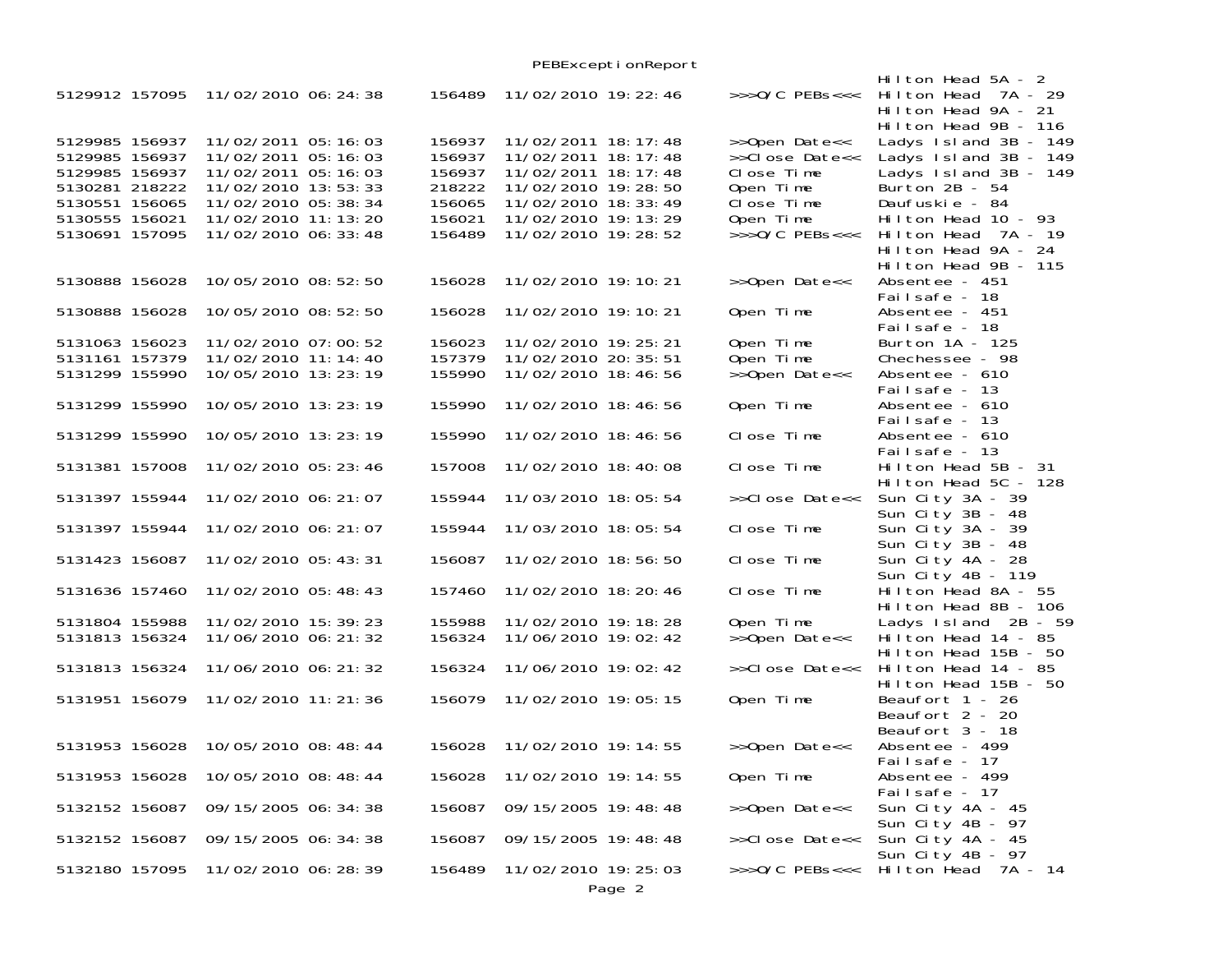|                                                                                                                            |                |                                                                                                                                                                 |                                                                    |                                                                                                                                                                             | PEBExcepti onReport |                                                                                                             |                                                                                                                                                                                               |
|----------------------------------------------------------------------------------------------------------------------------|----------------|-----------------------------------------------------------------------------------------------------------------------------------------------------------------|--------------------------------------------------------------------|-----------------------------------------------------------------------------------------------------------------------------------------------------------------------------|---------------------|-------------------------------------------------------------------------------------------------------------|-----------------------------------------------------------------------------------------------------------------------------------------------------------------------------------------------|
| 5129912 157095                                                                                                             |                | 11/02/2010 06: 24: 38                                                                                                                                           | 156489                                                             | 11/02/2010 19: 22: 46                                                                                                                                                       |                     | $>>$ >O/C PEBs<<<                                                                                           | Hilton Head 5A - 2<br>Hilton Head 7A - 29<br>Hilton Head 9A - 21<br>Hilton Head 9B - 116                                                                                                      |
| 5129985 156937<br>5129985 156937<br>5129985 156937<br>5130281 218222<br>5130551 156065<br>5130555 156021<br>5130691 157095 |                | 11/02/2011 05:16:03<br>11/02/2011 05:16:03<br>11/02/2011 05:16:03<br>11/02/2010 13:53:33<br>11/02/2010 05:38:34<br>11/02/2010 11:13:20<br>11/02/2010 06: 33: 48 | 156937<br>156937<br>156937<br>218222<br>156065<br>156021<br>156489 | 11/02/2011 18: 17: 48<br>11/02/2011 18: 17: 48<br>11/02/2011 18: 17: 48<br>11/02/2010 19: 28: 50<br>11/02/2010 18: 33: 49<br>11/02/2010 19: 13: 29<br>11/02/2010 19: 28: 52 |                     | >>Open Date<<<br>>>Close Date<<<br>Close Time<br>Open Time<br>Close Time<br>Open Time<br>$>>$ $0/C$ PEBs<<< | Ladys Island 3B - 149<br>Ladys $1 \,$ sl and $3B - 149$<br>Ladys Island 3B - 149<br>Burton $2B - 54$<br>Daufuskie - 84<br>Hilton Head $10 - 93$<br>Hilton Head 7A - 19<br>Hilton Head 9A - 24 |
| 5130888 156028                                                                                                             |                | 10/05/2010 08:52:50                                                                                                                                             | 156028                                                             | 11/02/2010 19: 10: 21                                                                                                                                                       |                     | >>Open Date<<                                                                                               | Hilton Head 9B - 115<br>Absentee - 451                                                                                                                                                        |
| 5130888 156028                                                                                                             |                | 10/05/2010 08:52:50                                                                                                                                             | 156028                                                             | 11/02/2010 19: 10: 21                                                                                                                                                       |                     | Open Time                                                                                                   | Failsafe - 18<br>Absentee - 451                                                                                                                                                               |
| 5131063 156023<br>5131161 157379<br>5131299 155990                                                                         |                | 11/02/2010 07:00:52<br>11/02/2010 11: 14: 40<br>10/05/2010 13:23:19                                                                                             | 156023<br>157379<br>155990                                         | 11/02/2010 19: 25: 21<br>11/02/2010 20: 35: 51<br>11/02/2010 18:46:56                                                                                                       |                     | Open Time<br>Open Time<br>>>Open Date<<                                                                     | Failsafe - 18<br>Burton 1A - 125<br>Chechessee - 98<br>Absentee - 610                                                                                                                         |
| 5131299 155990                                                                                                             |                | 10/05/2010 13:23:19                                                                                                                                             | 155990                                                             | 11/02/2010 18:46:56                                                                                                                                                         |                     | Open Time                                                                                                   | Failsafe - 13<br>Absentee - 610                                                                                                                                                               |
| 5131299 155990                                                                                                             |                | 10/05/2010 13:23:19                                                                                                                                             | 155990                                                             | 11/02/2010 18:46:56                                                                                                                                                         |                     | Close Time                                                                                                  | Failsafe - 13<br>Absentee - 610<br>Failsafe - 13                                                                                                                                              |
| 5131381 157008                                                                                                             |                | 11/02/2010 05: 23: 46                                                                                                                                           | 157008                                                             | 11/02/2010 18:40:08                                                                                                                                                         |                     | Close Time                                                                                                  | Hilton Head 5B - 31<br>Hilton Head 5C - 128                                                                                                                                                   |
| 5131397 155944                                                                                                             |                | 11/02/2010 06: 21: 07                                                                                                                                           | 155944                                                             | 11/03/2010 18:05:54                                                                                                                                                         |                     | >>Close Date<<                                                                                              | Sun City 3A - 39<br>Sun City 3B - 48                                                                                                                                                          |
| 5131397 155944                                                                                                             |                | 11/02/2010 06: 21: 07                                                                                                                                           | 155944                                                             | 11/03/2010 18:05:54                                                                                                                                                         |                     | Close Time                                                                                                  | Sun City 3A - 39<br>Sun City 3B - 48                                                                                                                                                          |
| 5131423 156087                                                                                                             |                | 11/02/2010 05:43:31                                                                                                                                             | 156087                                                             | 11/02/2010 18:56:50                                                                                                                                                         |                     | Close Time                                                                                                  | Sun City 4A - 28<br>Sun City 4B - 119                                                                                                                                                         |
| 5131636 157460                                                                                                             |                | 11/02/2010 05:48:43                                                                                                                                             | 157460                                                             | 11/02/2010 18: 20: 46                                                                                                                                                       |                     | Close Time                                                                                                  | Hilton Head 8A - 55<br>Hilton Head 8B - 106                                                                                                                                                   |
| 5131804 155988<br>5131813 156324                                                                                           |                | 11/02/2010 15:39:23<br>11/06/2010 06: 21: 32                                                                                                                    | 155988<br>156324                                                   | 11/02/2010 19: 18: 28<br>11/06/2010 19:02:42                                                                                                                                |                     | Open Time<br>>>Open Date<<                                                                                  | Ladys Island 2B - 59<br>Hilton Head $14 - 85$<br>Hilton Head 15B - 50                                                                                                                         |
| 5131813 156324                                                                                                             |                | 11/06/2010 06: 21: 32                                                                                                                                           | 156324                                                             | 11/06/2010 19:02:42                                                                                                                                                         |                     | >>Close Date<<                                                                                              | Hilton Head 14 - 85<br>Hilton Head 15B - 50                                                                                                                                                   |
| 5131951 156079                                                                                                             |                | 11/02/2010 11: 21: 36                                                                                                                                           | 156079                                                             | 11/02/2010 19:05:15                                                                                                                                                         |                     | Open Time                                                                                                   | Beaufort 1 - 26<br>Beaufort 2 - 20<br>Beaufort 3 - 18                                                                                                                                         |
|                                                                                                                            | 5131953 156028 | 10/05/2010 08:48:44                                                                                                                                             | 156028                                                             | 11/02/2010 19: 14: 55                                                                                                                                                       |                     | >>Open Date<<                                                                                               | Absentee - 499<br>Failsafe - 17                                                                                                                                                               |
| 5131953 156028                                                                                                             |                | 10/05/2010 08:48:44                                                                                                                                             | 156028                                                             | 11/02/2010 19: 14: 55                                                                                                                                                       |                     | Open Time                                                                                                   | Absentee - 499<br>Failsafe - 17                                                                                                                                                               |
| 5132152 156087                                                                                                             |                | 09/15/2005 06:34:38                                                                                                                                             | 156087                                                             | 09/15/2005 19:48:48                                                                                                                                                         |                     | >>Open Date<<                                                                                               | Sun City 4A - 45<br>Sun City 4B - 97                                                                                                                                                          |
| 5132152 156087                                                                                                             |                | 09/15/2005 06:34:38                                                                                                                                             | 156087                                                             | 09/15/2005 19:48:48                                                                                                                                                         |                     | >>Close Date<<                                                                                              | Sun City 4A - 45<br>Sun City 4B - 97                                                                                                                                                          |
| 5132180 157095                                                                                                             |                | 11/02/2010 06:28:39                                                                                                                                             | 156489                                                             | 11/02/2010 19: 25: 03                                                                                                                                                       | Page 2              |                                                                                                             | >>>0/C PEBs<<< Hilton Head 7A - 14                                                                                                                                                            |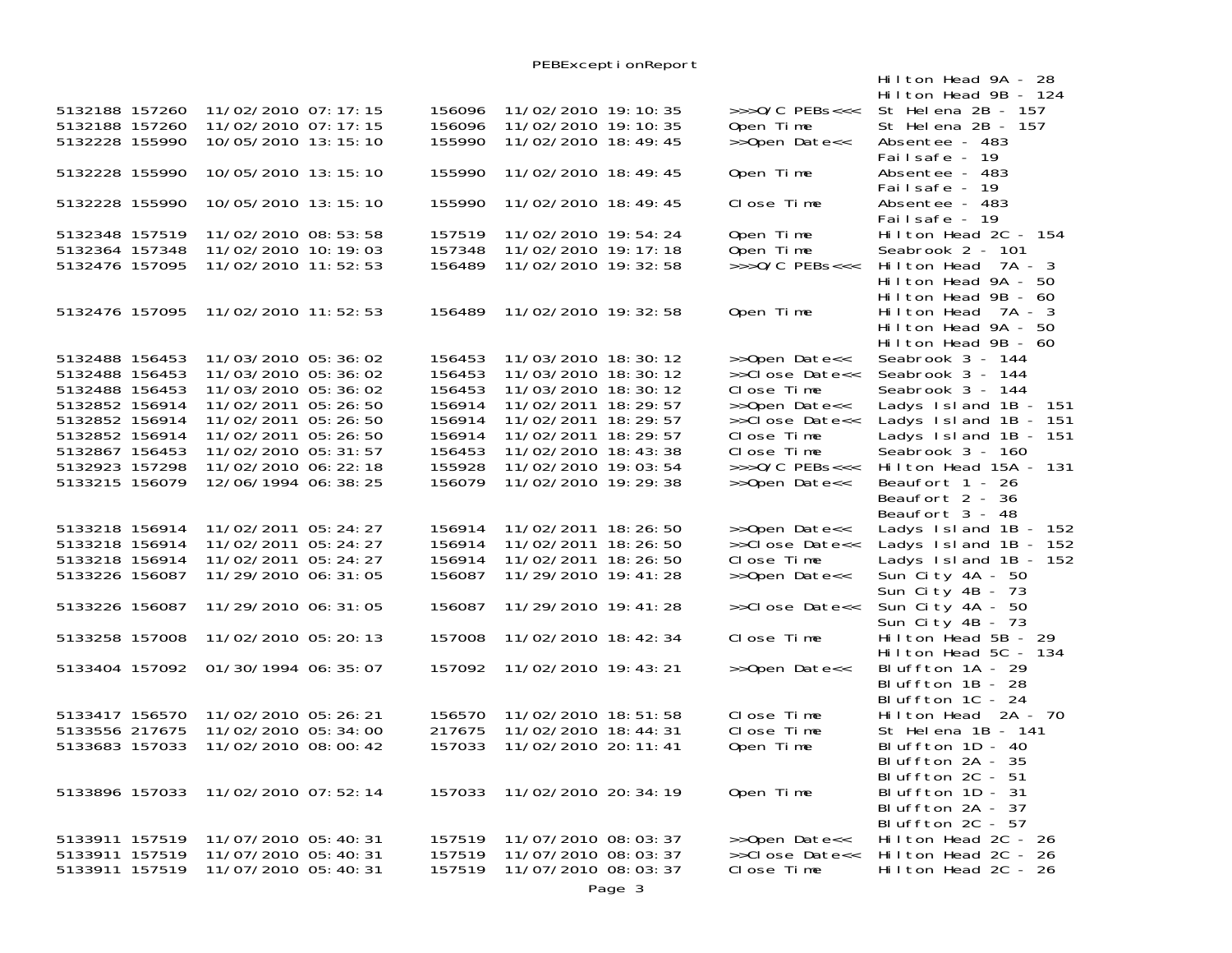PEBExceptionReport

|                |                |                       |        |                       |                   | Hilton Head 9A - 28                  |
|----------------|----------------|-----------------------|--------|-----------------------|-------------------|--------------------------------------|
|                |                |                       |        |                       |                   | Hilton Head 9B - 124                 |
| 5132188 157260 |                | 11/02/2010 07:17:15   | 156096 | 11/02/2010 19:10:35   | $>>0/C$ PEBs<<<   | St Helena 2B - 157                   |
| 5132188 157260 |                | 11/02/2010 07: 17: 15 | 156096 | 11/02/2010 19: 10: 35 | Open Time         | St Helena 2B - 157                   |
| 5132228 155990 |                | 10/05/2010 13: 15: 10 | 155990 | 11/02/2010 18:49:45   | >>Open Date<<     | Absentee - 483                       |
|                |                |                       |        |                       |                   | Failsafe - 19                        |
| 5132228 155990 |                | 10/05/2010 13: 15: 10 | 155990 | 11/02/2010 18:49:45   | Open Time         | Absentee - 483                       |
|                |                |                       |        |                       |                   | Failsafe - 19                        |
| 5132228 155990 |                | 10/05/2010 13: 15: 10 | 155990 | 11/02/2010 18: 49: 45 | Close Time        | Absentee - 483                       |
|                |                |                       |        |                       |                   | Failsafe - 19                        |
| 5132348 157519 |                | 11/02/2010 08:53:58   | 157519 | 11/02/2010 19:54:24   | Open Time         | Hilton Head $2C - 154$               |
| 5132364 157348 |                | 11/02/2010 10: 19: 03 | 157348 | 11/02/2010 19: 17: 18 | Open Time         | Seabrook 2 - 101                     |
| 5132476 157095 |                | 11/02/2010 11:52:53   | 156489 | 11/02/2010 19: 32: 58 | $>>$ >0/C PEBs<<< | Hilton Head 7A - 3                   |
|                |                |                       |        |                       |                   | Hilton Head 9A - 50                  |
|                |                |                       |        |                       |                   | Hilton Head 9B - 60                  |
| 5132476 157095 |                | 11/02/2010 11:52:53   | 156489 | 11/02/2010 19: 32: 58 | Open Time         | Hilton Head 7A - 3                   |
|                |                |                       |        |                       |                   | Hilton Head 9A - 50                  |
|                |                |                       |        |                       |                   | Hilton Head 9B - 60                  |
| 5132488 156453 |                | 11/03/2010 05:36:02   | 156453 | 11/03/2010 18: 30: 12 | >>Open Date<<     | Seabrook 3 - 144                     |
| 5132488 156453 |                | 11/03/2010 05:36:02   | 156453 | 11/03/2010 18: 30: 12 | >>Close Date<<    | Seabrook 3 - 144                     |
| 5132488 156453 |                | 11/03/2010 05:36:02   | 156453 | 11/03/2010 18: 30: 12 | Close Time        | Seabrook 3 - 144                     |
| 5132852 156914 |                | 11/02/2011 05:26:50   | 156914 | 11/02/2011 18: 29: 57 | >>Open Date<<     | Ladys Island 1B - 151                |
| 5132852 156914 |                | 11/02/2011 05: 26: 50 | 156914 | 11/02/2011 18: 29: 57 | >>Close Date<<    | Ladys Island 1B - 151                |
| 5132852 156914 |                | 11/02/2011 05: 26: 50 | 156914 | 11/02/2011 18: 29: 57 | Close Time        | Ladys Island 1B - 151                |
| 5132867 156453 |                | 11/02/2010 05: 31: 57 | 156453 | 11/02/2010 18: 43: 38 | Close Time        | Seabrook 3 - 160                     |
| 5132923 157298 |                | 11/02/2010 06: 22: 18 | 155928 | 11/02/2010 19:03:54   | >>>0/C PEBs<<<    | Hilton Head 15A - 131                |
| 5133215 156079 |                | 12/06/1994 06: 38: 25 | 156079 | 11/02/2010 19: 29: 38 | >>Open Date<<     | Beaufort 1 - 26                      |
|                |                |                       |        |                       |                   | Beaufort 2 - 36                      |
|                |                |                       |        |                       |                   | Beaufort 3 - 48                      |
| 5133218 156914 |                | 11/02/2011 05: 24: 27 | 156914 | 11/02/2011 18:26:50   | >>Open Date<<     | Ladys Island 1B - 152                |
| 5133218 156914 |                | 11/02/2011 05: 24: 27 | 156914 | 11/02/2011 18: 26: 50 | >>Close Date<<    | Ladys 1sl and $1B - 152$             |
| 5133218 156914 |                | 11/02/2011 05: 24: 27 | 156914 | 11/02/2011 18: 26: 50 | Close Time        | Ladys $1 \,$ sl and $1B - 152$       |
| 5133226 156087 |                | 11/29/2010 06: 31: 05 | 156087 | 11/29/2010 19: 41: 28 | >>Open Date<<     | Sun City 4A - 50                     |
|                |                |                       |        |                       |                   | Sun City 4B - 73                     |
| 5133226 156087 |                | 11/29/2010 06: 31: 05 | 156087 | 11/29/2010 19: 41: 28 | >>Close Date<<    | Sun City 4A - 50                     |
|                |                |                       |        |                       |                   | Sun City 4B - 73                     |
| 5133258 157008 |                | 11/02/2010 05:20:13   | 157008 | 11/02/2010 18: 42: 34 | Close Time        | Hilton Head $5B - 29$                |
|                |                |                       |        |                       |                   | Hilton Head 5C - 134                 |
|                | 5133404 157092 | 01/30/1994 06: 35: 07 | 157092 | 11/02/2010 19: 43: 21 | >>Open Date<<     | Bluffton 1A - 29                     |
|                |                |                       |        |                       |                   | Bluffton 1B - 28                     |
|                |                |                       |        |                       |                   | Bluffton 1C - 24                     |
| 5133417 156570 |                | 11/02/2010 05:26:21   | 156570 | 11/02/2010 18:51:58   | Close Time        | Hilton Head 2A - 70                  |
| 5133556 217675 |                | 11/02/2010 05:34:00   | 217675 | 11/02/2010 18:44:31   | Close Time        | St Helena 1B - 141                   |
| 5133683 157033 |                | 11/02/2010 08:00:42   | 157033 | 11/02/2010 20: 11: 41 | Open Time         | Bluffton 1D - 40                     |
|                |                |                       |        |                       |                   | Bluffton $2A - 35$                   |
|                |                |                       |        |                       |                   | Bluffton 2C - 51                     |
| 5133896 157033 |                | 11/02/2010 07:52:14   | 157033 | 11/02/2010 20: 34: 19 | Open Time         | Bluffton 1D - 31                     |
|                |                |                       |        |                       |                   | Bluffton 2A - 37<br>Bluffton 2C - 57 |
| 5133911 157519 |                | 11/07/2010 05:40:31   | 157519 | 11/07/2010 08: 03: 37 | >>Open Date<<     | $Hilton$ Head 2C - 26                |
| 5133911 157519 |                | 11/07/2010 05:40:31   | 157519 | 11/07/2010 08:03:37   | >>Close Date<<    | Hilton Head 2C - 26                  |
| 5133911 157519 |                | 11/07/2010 05:40:31   | 157519 | 11/07/2010 08: 03: 37 | Close Time        | Hilton Head 2C - 26                  |
|                |                |                       |        |                       |                   |                                      |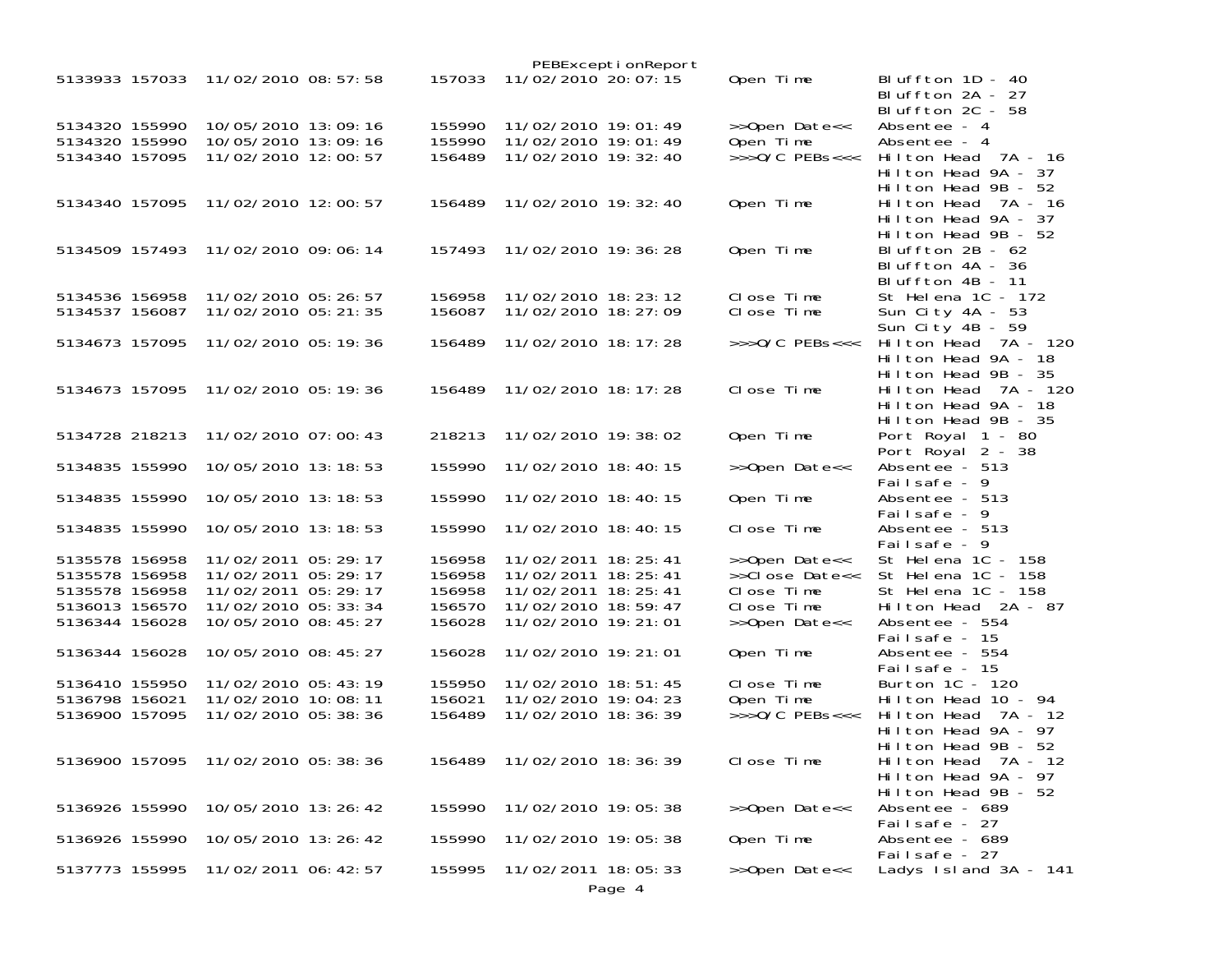|                |                                    |        |                              | PEBExceptionReport |                             |                                      |
|----------------|------------------------------------|--------|------------------------------|--------------------|-----------------------------|--------------------------------------|
| 5133933 157033 | 11/02/2010 08: 57: 58              | 157033 | 11/02/2010 20: 07: 15        |                    | Open Time                   | Bluffton $1D - 40$                   |
|                |                                    |        |                              |                    |                             | Bluffton 2A - 27                     |
|                |                                    |        |                              |                    |                             | Bluffton 2C - 58                     |
| 5134320 155990 | 10/05/2010 13:09:16                | 155990 | 11/02/2010 19:01:49          |                    | >>Open Date<<               | Absentee - 4                         |
| 5134320 155990 | 10/05/2010 13:09:16                | 155990 | 11/02/2010 19:01:49          |                    | Open Time                   | Absentee - 4                         |
| 5134340 157095 | 11/02/2010 12:00:57                | 156489 | 11/02/2010 19: 32: 40        |                    | $>>$ $0/C$ PEBs<<<          | Hilton Head 7A - 16                  |
|                |                                    |        |                              |                    |                             | Hilton Head 9A - 37                  |
|                |                                    |        |                              |                    |                             | Hilton Head $9B - 52$                |
| 5134340 157095 | 11/02/2010 12:00:57                |        | 156489 11/02/2010 19: 32: 40 |                    | Open Time                   | Hilton Head 7A - 16                  |
|                |                                    |        |                              |                    |                             | Hilton Head 9A - 37                  |
|                |                                    |        |                              |                    |                             | Hilton Head 9B - 52                  |
| 5134509 157493 | 11/02/2010 09:06:14                | 157493 | 11/02/2010 19: 36: 28        |                    | Open Time                   | Bluffton $2B - 62$                   |
|                |                                    |        |                              |                    |                             | Bluffton 4A - 36<br>Bluffton 4B - 11 |
| 5134536 156958 | 11/02/2010 05:26:57                | 156958 | 11/02/2010 18: 23: 12        |                    | Close Time                  | St Helena 1C - 172                   |
|                | 11/02/2010 05: 21: 35              | 156087 | 11/02/2010 18: 27: 09        |                    | Close Time                  |                                      |
| 5134537 156087 |                                    |        |                              |                    |                             | Sun City 4A - 53<br>Sun City 4B - 59 |
| 5134673 157095 | 11/02/2010 05:19:36                | 156489 | 11/02/2010 18: 17: 28        |                    | $\rightarrow$ >>0/C PEBs<<< | Hilton Head 7A - 120                 |
|                |                                    |        |                              |                    |                             | Hilton Head 9A - 18                  |
|                |                                    |        |                              |                    |                             | Hilton Head 9B - 35                  |
|                | 5134673 157095 11/02/2010 05:19:36 |        | 156489 11/02/2010 18: 17: 28 |                    | Close Time                  | Hilton Head 7A - 120                 |
|                |                                    |        |                              |                    |                             | Hilton Head 9A - 18                  |
|                |                                    |        |                              |                    |                             | Hilton Head 9B - 35                  |
| 5134728 218213 | 11/02/2010 07:00:43                | 218213 | 11/02/2010 19:38:02          |                    | Open Time                   | Port Royal 1 - 80                    |
|                |                                    |        |                              |                    |                             | Port Royal 2 - 38                    |
| 5134835 155990 | 10/05/2010 13:18:53                | 155990 | 11/02/2010 18:40:15          |                    | >>Open Date<<               | Absentee - 513                       |
|                |                                    |        |                              |                    |                             | Failsafe - 9                         |
| 5134835 155990 | 10/05/2010 13:18:53                | 155990 | 11/02/2010 18:40:15          |                    | Open Time                   | Absentee - 513                       |
|                |                                    |        |                              |                    |                             | Failsafe - 9                         |
| 5134835 155990 | 10/05/2010 13:18:53                | 155990 | 11/02/2010 18:40:15          |                    | Close Time                  | Absentee - 513                       |
|                |                                    |        |                              |                    |                             | Failsafe - 9                         |
| 5135578 156958 | 11/02/2011 05:29:17                | 156958 | 11/02/2011 18: 25: 41        |                    | >>Open Date<<               | St Helena 1C - 158                   |
| 5135578 156958 | 11/02/2011 05: 29: 17              | 156958 | 11/02/2011 18: 25: 41        |                    | >>Close Date<<              | St Helena 1C - 158                   |
| 5135578 156958 | 11/02/2011 05:29:17                | 156958 | 11/02/2011 18: 25: 41        |                    | Close Time                  | St Helena 1C - 158                   |
| 5136013 156570 | 11/02/2010 05: 33: 34              | 156570 | 11/02/2010 18:59:47          |                    | Close Time                  | Hilton Head 2A - 87                  |
| 5136344 156028 | 10/05/2010 08:45:27                | 156028 | 11/02/2010 19: 21: 01        |                    | >>Open Date<<               | Absentee - 554                       |
|                |                                    |        |                              |                    |                             | Failsafe - 15                        |
| 5136344 156028 | 10/05/2010 08:45:27                | 156028 | 11/02/2010 19: 21: 01        |                    | Open Time                   | Absentee - 554                       |
|                |                                    |        |                              |                    |                             | Failsafe - 15                        |
| 5136410 155950 | 11/02/2010 05:43:19                | 155950 | 11/02/2010 18:51:45          |                    | Close Time                  | Burton 1C - 120                      |
| 5136798 156021 | 11/02/2010 10:08:11                | 156021 | 11/02/2010 19:04:23          |                    | Open Time                   | Hilton Head 10 - 94                  |
| 5136900 157095 | 11/02/2010 05:38:36                | 156489 | 11/02/2010 18: 36: 39        |                    | $>>0/C$ PEBs<<<             | Hilton Head<br>7A - 12               |
|                |                                    |        |                              |                    |                             | Hilton Head 9A - 97                  |
|                |                                    |        |                              |                    |                             | Hilton Head 9B - 52                  |
| 5136900 157095 | 11/02/2010 05:38:36                |        | 156489 11/02/2010 18: 36: 39 |                    | Close Time                  | Hilton Head 7A - 12                  |
|                |                                    |        |                              |                    |                             | Hilton Head 9A - 97                  |
|                |                                    |        |                              |                    |                             | Hilton Head 9B - 52                  |
| 5136926 155990 | 10/05/2010 13:26:42                | 155990 | 11/02/2010 19:05:38          |                    | >>Open Date<<               | Absentee - 689                       |
|                |                                    |        |                              |                    |                             | Failsafe - 27                        |
| 5136926 155990 | 10/05/2010 13:26:42                | 155990 | 11/02/2010 19:05:38          |                    | Open Time                   | Absentee - 689                       |
|                |                                    |        |                              |                    |                             | Failsafe - 27                        |
| 5137773 155995 | 11/02/2011 06: 42: 57              | 155995 | 11/02/2011 18:05:33          |                    | >>Open Date<<               | Ladys $Island 3A - 141$              |
|                |                                    |        |                              | Page 4             |                             |                                      |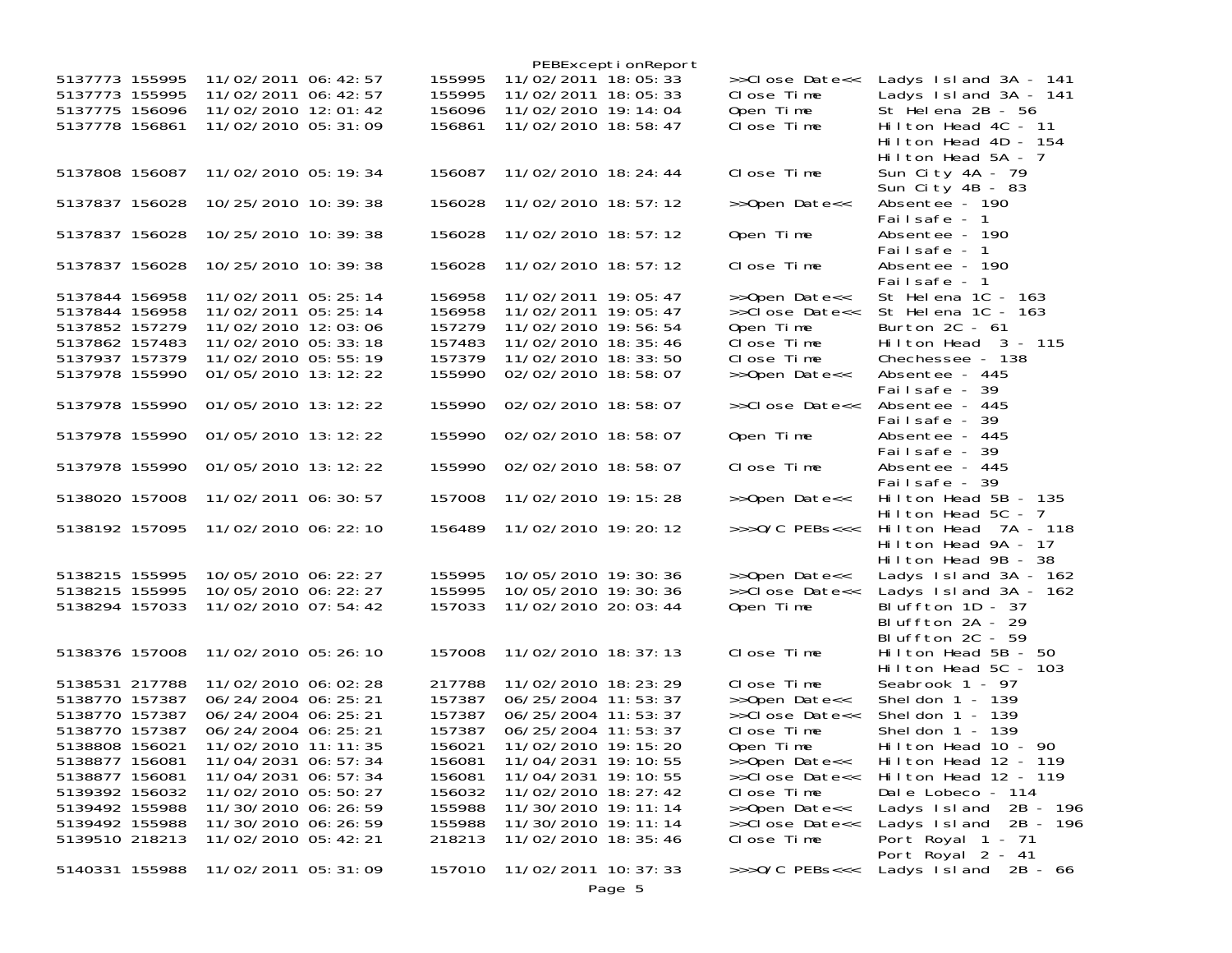|                                                    |                                                                       |  |                            |                                                                   | PEBExceptionReport |                                           |                                                                     |
|----------------------------------------------------|-----------------------------------------------------------------------|--|----------------------------|-------------------------------------------------------------------|--------------------|-------------------------------------------|---------------------------------------------------------------------|
| 5137773 155995<br>5137773 155995<br>5137775 156096 | 11/02/2011 06: 42: 57<br>11/02/2011 06: 42: 57<br>11/02/2010 12:01:42 |  | 155995<br>155995<br>156096 | 11/02/2011 18:05:33<br>11/02/2011 18:05:33<br>11/02/2010 19:14:04 |                    | >>Close Date<<<br>Close Time<br>Open Time | Ladys Island 3A - 141<br>Ladys Island 3A - 141<br>St Helena 2B - 56 |
| 5137778 156861                                     | 11/02/2010 05: 31: 09                                                 |  | 156861                     | 11/02/2010 18:58:47                                               |                    | Close Time                                | Hilton Head 4C - 11<br>Hilton Head 4D - 154<br>Hilton Head 5A - 7   |
| 5137808 156087                                     | 11/02/2010 05:19:34                                                   |  | 156087                     | 11/02/2010 18: 24: 44                                             |                    | Close Time                                | Sun City 4A - 79<br>Sun City 4B - 83                                |
| 5137837 156028                                     | 10/25/2010 10: 39: 38                                                 |  | 156028                     | 11/02/2010 18:57:12                                               |                    | >>Open Date<<                             | Absentee - 190<br>Failsafe - 1                                      |
| 5137837 156028                                     | 10/25/2010 10:39:38                                                   |  | 156028                     | 11/02/2010 18:57:12                                               |                    | Open Time                                 | Absentee - 190<br>Failsafe - 1                                      |
| 5137837 156028                                     | 10/25/2010 10: 39: 38                                                 |  | 156028                     | 11/02/2010 18:57:12                                               |                    | Close Time                                | Absentee - 190<br>Failsafe - 1                                      |
| 5137844 156958<br>5137844 156958                   | 11/02/2011 05: 25: 14<br>11/02/2011 05: 25: 14                        |  | 156958<br>156958           | 11/02/2011 19:05:47<br>11/02/2011 19:05:47                        |                    | >>Open Date<<<br>>>Close Date<<           | St Helena 1C - 163<br>St Helena 1C - 163                            |
| 5137852 157279                                     | 11/02/2010 12:03:06                                                   |  | 157279                     | 11/02/2010 19:56:54                                               |                    | Open Time                                 | Burton $2C - 61$                                                    |
| 5137862 157483                                     | 11/02/2010 05: 33: 18                                                 |  | 157483                     | 11/02/2010 18: 35: 46                                             |                    | Close Time                                | Hilton Head 3 - 115                                                 |
| 5137937 157379                                     | 11/02/2010 05:55:19                                                   |  | 157379                     | 11/02/2010 18: 33: 50                                             |                    | Close Time                                | Chechessee - 138                                                    |
| 5137978 155990                                     | 01/05/2010 13:12:22                                                   |  | 155990                     | 02/02/2010 18:58:07                                               |                    | >>Open Date<<                             | Absentee - 445                                                      |
|                                                    |                                                                       |  |                            |                                                                   |                    |                                           | Failsafe - 39                                                       |
| 5137978 155990                                     | 01/05/2010 13:12:22                                                   |  | 155990                     | 02/02/2010 18:58:07                                               |                    | >>Close Date<<                            | Absentee - 445<br>Failsafe - 39                                     |
| 5137978 155990                                     | 01/05/2010 13:12:22                                                   |  | 155990                     | 02/02/2010 18:58:07                                               |                    | Open Time                                 | Absentee - 445<br>Failsafe - 39                                     |
| 5137978 155990                                     | 01/05/2010 13:12:22                                                   |  | 155990                     | 02/02/2010 18:58:07                                               |                    | Close Time                                | Absentee - 445<br>Failsafe - 39                                     |
| 5138020 157008                                     | 11/02/2011 06: 30: 57                                                 |  | 157008                     | 11/02/2010 19: 15: 28                                             |                    | >>Open Date<<                             | Hilton Head 5B - 135<br>Hilton Head $5C - 7$                        |
| 5138192 157095                                     | 11/02/2010 06: 22: 10                                                 |  | 156489                     | 11/02/2010 19: 20: 12                                             |                    | $>>$ $0/C$ PEBs<<<                        | Hilton Head 7A - 118<br>Hilton Head 9A - 17<br>Hilton Head 9B - 38  |
| 5138215 155995                                     | 10/05/2010 06: 22: 27                                                 |  | 155995                     | 10/05/2010 19: 30: 36                                             |                    | >>Open Date<<                             | Ladys $Island 3A - 162$                                             |
| 5138215 155995                                     | 10/05/2010 06: 22: 27                                                 |  | 155995                     | 10/05/2010 19:30:36                                               |                    | >>Close Date<<                            | Ladys $Island 3A - 162$                                             |
| 5138294 157033                                     | 11/02/2010 07:54:42                                                   |  | 157033                     | 11/02/2010 20:03:44                                               |                    | Open Time                                 | Bluffton $1D - 37$<br>Bluffton 2A - 29                              |
| 5138376 157008                                     | 11/02/2010 05: 26: 10                                                 |  | 157008                     | 11/02/2010 18: 37: 13                                             |                    | Close Time                                | Bluffton 2C - 59<br>Hilton Head 5B - 50                             |
|                                                    |                                                                       |  |                            |                                                                   |                    |                                           | Hilton Head $5C - 103$                                              |
| 5138531 217788                                     | 11/02/2010 06:02:28                                                   |  | 217788                     | 11/02/2010 18: 23: 29                                             |                    | Close Time                                | Seabrook 1 - 97                                                     |
| 5138770 157387                                     | 06/24/2004 06:25:21                                                   |  | 157387                     | 06/25/2004 11:53:37                                               |                    | >>Open Date<<                             | Sheldon $1 - 139$                                                   |
| 5138770 157387                                     | 06/24/2004 06:25:21                                                   |  | 157387                     | 06/25/2004 11:53:37                                               |                    | >>Close Date<<                            | Sheldon $1 - 139$                                                   |
| 5138770 157387                                     | 06/24/2004 06:25:21                                                   |  | 157387                     | 06/25/2004 11:53:37                                               |                    | Close Time                                | Sheldon $1 - 139$                                                   |
| 5138808 156021                                     | 11/02/2010 11:11:35                                                   |  | 156021                     | 11/02/2010 19: 15: 20                                             |                    | Open Time                                 | Hilton Head 10 - 90                                                 |
| 5138877 156081                                     | 11/04/2031 06: 57: 34                                                 |  | 156081                     | 11/04/2031 19: 10: 55                                             |                    | >>Open Date<<                             | Hilton Head 12 - 119                                                |
| 5138877 156081                                     | 11/04/2031 06: 57: 34                                                 |  | 156081                     | 11/04/2031 19: 10: 55                                             |                    | >>Close Date<<                            | Hilton Head 12 - 119                                                |
| 5139392 156032                                     | 11/02/2010 05:50:27                                                   |  | 156032                     | 11/02/2010 18: 27: 42                                             |                    | Close Time                                | Dale Lobeco - 114                                                   |
| 5139492 155988                                     | 11/30/2010 06: 26: 59                                                 |  | 155988                     | 11/30/2010 19: 11: 14                                             |                    | >>Open Date<<                             | Ladys Island<br>2B - 196                                            |
| 5139492 155988                                     | 11/30/2010 06: 26: 59                                                 |  | 155988                     | 11/30/2010 19: 11: 14                                             |                    | >>Close Date<<                            | Ladys $1 \, \text{sl}$ and $2B - 196$                               |
| 5139510 218213                                     | 11/02/2010 05:42:21                                                   |  | 218213                     | 11/02/2010 18: 35: 46                                             |                    | Close Time                                | Port Royal 1 - 71<br>Port Royal 2 - 41                              |
| 5140331 155988                                     | 11/02/2011 05: 31: 09                                                 |  | 157010                     | 11/02/2011 10: 37: 33                                             |                    | $\rightarrow$ >>0/C PEBs<<<               | Ladys Island $2B - 66$                                              |
|                                                    |                                                                       |  |                            |                                                                   | Page 5             |                                           |                                                                     |
|                                                    |                                                                       |  |                            |                                                                   |                    |                                           |                                                                     |